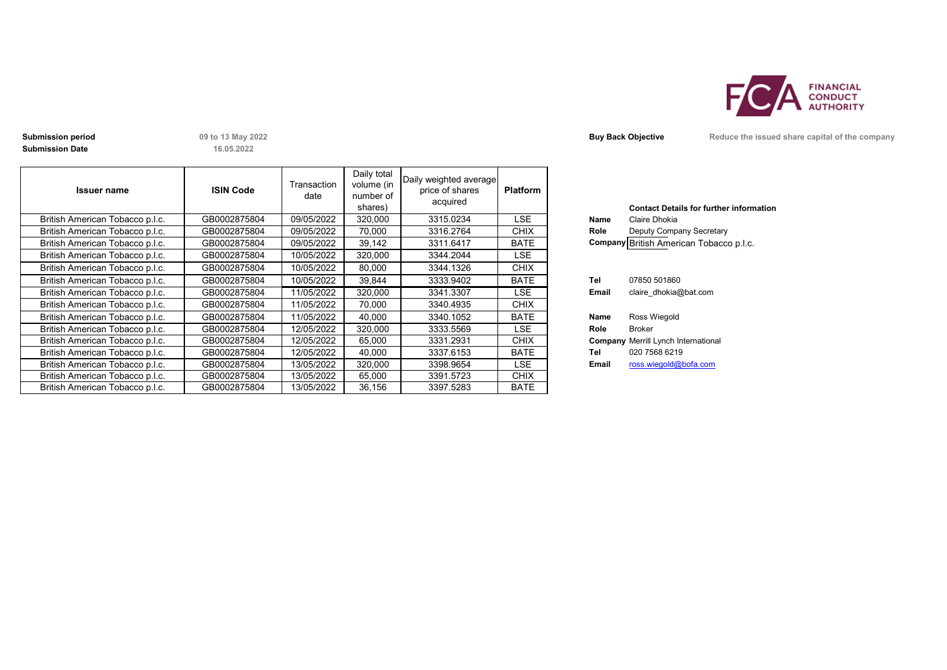

**Submission Date**

**16.05.2022**

| <b>Issuer name</b>              | <b>ISIN Code</b> | Transaction<br>date | Daily total<br>volume (in<br>number of<br>shares) | Daily weighted average<br>price of shares<br>acquired | <b>Platform</b> |       | <b>Contact Details for further inforn</b>  |
|---------------------------------|------------------|---------------------|---------------------------------------------------|-------------------------------------------------------|-----------------|-------|--------------------------------------------|
| British American Tobacco p.l.c. | GB0002875804     | 09/05/2022          | 320,000                                           | 3315.0234                                             | LSE             | Name  | Claire Dhokia                              |
| British American Tobacco p.l.c. | GB0002875804     | 09/05/2022          | 70.000                                            | 3316.2764                                             | <b>CHIX</b>     | Role  | Deputy Company Secretary                   |
| British American Tobacco p.l.c. | GB0002875804     | 09/05/2022          | 39,142                                            | 3311.6417                                             | <b>BATE</b>     |       | Company British American Tobacco p.l.c.    |
| British American Tobacco p.l.c. | GB0002875804     | 10/05/2022          | 320,000                                           | 3344.2044                                             | LSE.            |       |                                            |
| British American Tobacco p.l.c. | GB0002875804     | 10/05/2022          | 80,000                                            | 3344.1326                                             | <b>CHIX</b>     |       |                                            |
| British American Tobacco p.l.c. | GB0002875804     | 10/05/2022          | 39,844                                            | 3333.9402                                             | <b>BATE</b>     | Tel   | 07850 501860                               |
| British American Tobacco p.l.c. | GB0002875804     | 11/05/2022          | 320,000                                           | 3341.3307                                             | LSE.            | Email | claire dhokia@bat.com                      |
| British American Tobacco p.l.c. | GB0002875804     | 11/05/2022          | 70,000                                            | 3340.4935                                             | <b>CHIX</b>     |       |                                            |
| British American Tobacco p.l.c. | GB0002875804     | 11/05/2022          | 40.000                                            | 3340.1052                                             | <b>BATE</b>     | Name  | Ross Wiegold                               |
| British American Tobacco p.l.c. | GB0002875804     | 12/05/2022          | 320,000                                           | 3333.5569                                             | LSE.            | Role  | <b>Broker</b>                              |
| British American Tobacco p.l.c. | GB0002875804     | 12/05/2022          | 65,000                                            | 3331.2931                                             | <b>CHIX</b>     |       | <b>Company Merrill Lynch International</b> |
| British American Tobacco p.l.c. | GB0002875804     | 12/05/2022          | 40,000                                            | 3337.6153                                             | <b>BATE</b>     | Tel   | 020 7568 6219                              |
| British American Tobacco p.l.c. | GB0002875804     | 13/05/2022          | 320,000                                           | 3398.9654                                             | LSE.            | Email | ross.wiegold@bofa.com                      |
| British American Tobacco p.l.c. | GB0002875804     | 13/05/2022          | 65,000                                            | 3391.5723                                             | <b>CHIX</b>     |       |                                            |
| British American Tobacco p.l.c. | GB0002875804     | 13/05/2022          | 36.156                                            | 3397.5283                                             | <b>BATE</b>     |       |                                            |

|         | <b>Contact Details for further information</b> |
|---------|------------------------------------------------|
| Name    | Claire Dhokia                                  |
| Role    | Deputy Company Secretary                       |
|         | Company British American Tobacco p.l.c.        |
|         |                                                |
|         |                                                |
| Tel     | 07850 501860                                   |
| Email   | claire dhokia@bat.com                          |
|         |                                                |
| Name    | Ross Wiegold                                   |
| Role    | Broker                                         |
| Company | Merrill Lynch International                    |
| Tel     | 020 7568 6219                                  |
| Email   | ross.wiegold@bofa.com                          |
|         |                                                |

**Submission period 19 Conserverse and the Company Submission period Conserverse issued share capital of the company**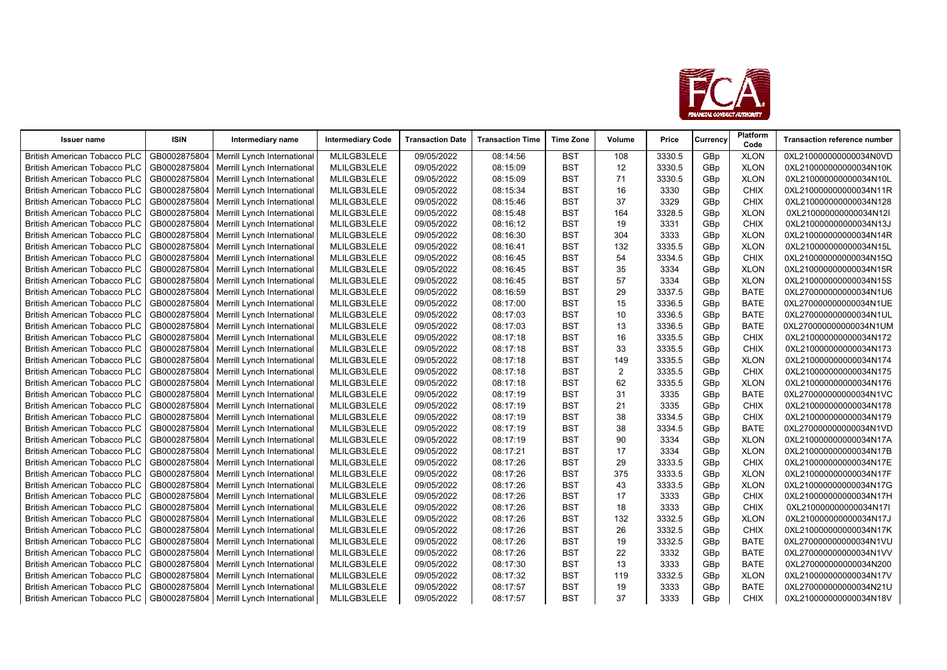

| <b>Issuer name</b>                  | <b>ISIN</b>  | Intermediary name                          | <b>Intermediary Code</b> | <b>Transaction Date</b> | <b>Transaction Time</b> | <b>Time Zone</b> | Volume         | Price  | Currency        | Platform<br>Code | <b>Transaction reference number</b> |
|-------------------------------------|--------------|--------------------------------------------|--------------------------|-------------------------|-------------------------|------------------|----------------|--------|-----------------|------------------|-------------------------------------|
| <b>British American Tobacco PLC</b> | GB0002875804 | Merrill Lynch International                | MLILGB3LELE              | 09/05/2022              | 08:14:56                | <b>BST</b>       | 108            | 3330.5 | GBp             | <b>XLON</b>      | 0XL210000000000034N0VD              |
| <b>British American Tobacco PLC</b> | GB0002875804 | Merrill Lynch International                | MLILGB3LELE              | 09/05/2022              | 08:15:09                | <b>BST</b>       | 12             | 3330.5 | GBp             | <b>XLON</b>      | 0XL210000000000034N10K              |
| <b>British American Tobacco PLC</b> | GB0002875804 | Merrill Lynch International                | MLILGB3LELE              | 09/05/2022              | 08:15:09                | <b>BST</b>       | 71             | 3330.5 | GBp             | <b>XLON</b>      | 0XL210000000000034N10L              |
| <b>British American Tobacco PLC</b> | GB0002875804 | Merrill Lynch International                | MLILGB3LELE              | 09/05/2022              | 08:15:34                | <b>BST</b>       | 16             | 3330   | GBp             | <b>CHIX</b>      | 0XL210000000000034N11R              |
| <b>British American Tobacco PLC</b> | GB0002875804 | Merrill Lynch International                | MLILGB3LELE              | 09/05/2022              | 08:15:46                | <b>BST</b>       | 37             | 3329   | GBp             | <b>CHIX</b>      | 0XL210000000000034N128              |
| <b>British American Tobacco PLC</b> | GB0002875804 | Merrill Lynch International                | MLILGB3LELE              | 09/05/2022              | 08:15:48                | <b>BST</b>       | 164            | 3328.5 | GBp             | <b>XLON</b>      | 0XL210000000000034N12I              |
| <b>British American Tobacco PLC</b> | GB0002875804 | Merrill Lynch International                | MLILGB3LELE              | 09/05/2022              | 08:16:12                | <b>BST</b>       | 19             | 3331   | GBp             | <b>CHIX</b>      | 0XL210000000000034N13J              |
| <b>British American Tobacco PLC</b> | GB0002875804 | Merrill Lynch International                | MLILGB3LELE              | 09/05/2022              | 08:16:30                | <b>BST</b>       | 304            | 3333   | GBp             | <b>XLON</b>      | 0XL210000000000034N14R              |
| <b>British American Tobacco PLC</b> | GB0002875804 | Merrill Lynch International                | MLILGB3LELE              | 09/05/2022              | 08:16:41                | <b>BST</b>       | 132            | 3335.5 | GBp             | <b>XLON</b>      | 0XL210000000000034N15L              |
| <b>British American Tobacco PLC</b> | GB0002875804 | Merrill Lynch International                | MLILGB3LELE              | 09/05/2022              | 08:16:45                | <b>BST</b>       | 54             | 3334.5 | GBp             | CHIX             | 0XL210000000000034N15Q              |
| <b>British American Tobacco PLC</b> | GB0002875804 | Merrill Lynch International                | MLILGB3LELE              | 09/05/2022              | 08:16:45                | <b>BST</b>       | 35             | 3334   | GBp             | <b>XLON</b>      | 0XL210000000000034N15R              |
| <b>British American Tobacco PLC</b> | GB0002875804 | Merrill Lynch International                | MLILGB3LELE              | 09/05/2022              | 08:16:45                | <b>BST</b>       | 57             | 3334   | GBp             | <b>XLON</b>      | 0XL210000000000034N15S              |
| <b>British American Tobacco PLC</b> | GB0002875804 | Merrill Lynch International                | MLILGB3LELE              | 09/05/2022              | 08:16:59                | <b>BST</b>       | 29             | 3337.5 | GBp             | <b>BATE</b>      | 0XL270000000000034N1U6              |
| <b>British American Tobacco PLC</b> | GB0002875804 | Merrill Lynch International                | MLILGB3LELE              | 09/05/2022              | 08:17:00                | <b>BST</b>       | 15             | 3336.5 | GBp             | <b>BATE</b>      | 0XL270000000000034N1UE              |
| <b>British American Tobacco PLC</b> | GB0002875804 | Merrill Lynch International                | MLILGB3LELE              | 09/05/2022              | 08:17:03                | <b>BST</b>       | 10             | 3336.5 | GBp             | <b>BATE</b>      | 0XL270000000000034N1UL              |
| <b>British American Tobacco PLC</b> | GB0002875804 | Merrill Lynch International                | MLILGB3LELE              | 09/05/2022              | 08:17:03                | <b>BST</b>       | 13             | 3336.5 | GBp             | <b>BATE</b>      | 0XL270000000000034N1UM              |
| <b>British American Tobacco PLC</b> | GB0002875804 | Merrill Lynch International                | MLILGB3LELE              | 09/05/2022              | 08:17:18                | <b>BST</b>       | 16             | 3335.5 | GBp             | <b>CHIX</b>      | 0XL210000000000034N172              |
| <b>British American Tobacco PLC</b> | GB0002875804 | Merrill Lynch International                | MLILGB3LELE              | 09/05/2022              | 08:17:18                | <b>BST</b>       | 33             | 3335.5 | GBp             | <b>CHIX</b>      | 0XL210000000000034N173              |
| <b>British American Tobacco PLC</b> | GB0002875804 | Merrill Lynch International                | MLILGB3LELE              | 09/05/2022              | 08:17:18                | <b>BST</b>       | 149            | 3335.5 | GBp             | <b>XLON</b>      | 0XL210000000000034N174              |
| <b>British American Tobacco PLC</b> | GB0002875804 | Merrill Lynch International                | MLILGB3LELE              | 09/05/2022              | 08:17:18                | <b>BST</b>       | $\overline{2}$ | 3335.5 | GB <sub>p</sub> | <b>CHIX</b>      | 0XL210000000000034N175              |
| <b>British American Tobacco PLC</b> | GB0002875804 | Merrill Lynch International                | MLILGB3LELE              | 09/05/2022              | 08:17:18                | <b>BST</b>       | 62             | 3335.5 | GBp             | <b>XLON</b>      | 0XL210000000000034N176              |
| <b>British American Tobacco PLC</b> | GB0002875804 | Merrill Lynch International                | MLILGB3LELE              | 09/05/2022              | 08:17:19                | <b>BST</b>       | 31             | 3335   | GBp             | <b>BATE</b>      | 0XL270000000000034N1VC              |
| <b>British American Tobacco PLC</b> | GB0002875804 | Merrill Lynch International                | MLILGB3LELE              | 09/05/2022              | 08:17:19                | <b>BST</b>       | 21             | 3335   | GBp             | <b>CHIX</b>      | 0XL210000000000034N178              |
| <b>British American Tobacco PLC</b> | GB0002875804 | Merrill Lynch International                | MLILGB3LELE              | 09/05/2022              | 08:17:19                | <b>BST</b>       | 38             | 3334.5 | GBp             | <b>CHIX</b>      | 0XL210000000000034N179              |
| <b>British American Tobacco PLC</b> | GB0002875804 | Merrill Lynch International                | MLILGB3LELE              | 09/05/2022              | 08:17:19                | <b>BST</b>       | 38             | 3334.5 | GBp             | <b>BATE</b>      | 0XL270000000000034N1VD              |
| <b>British American Tobacco PLC</b> | GB0002875804 | Merrill Lynch International                | MLILGB3LELE              | 09/05/2022              | 08:17:19                | <b>BST</b>       | 90             | 3334   | GBp             | <b>XLON</b>      | 0XL210000000000034N17A              |
| <b>British American Tobacco PLC</b> | GB0002875804 | Merrill Lynch International                | MLILGB3LELE              | 09/05/2022              | 08:17:21                | <b>BST</b>       | 17             | 3334   | GBp             | <b>XLON</b>      | 0XL210000000000034N17B              |
| <b>British American Tobacco PLC</b> | GB0002875804 | Merrill Lynch International                | MLILGB3LELE              | 09/05/2022              | 08:17:26                | <b>BST</b>       | 29             | 3333.5 | GBp             | CHIX             | 0XL210000000000034N17E              |
| <b>British American Tobacco PLC</b> | GB0002875804 | Merrill Lynch International                | MLILGB3LELE              | 09/05/2022              | 08:17:26                | <b>BST</b>       | 375            | 3333.5 | GBp             | <b>XLON</b>      | 0XL210000000000034N17F              |
| <b>British American Tobacco PLC</b> | GB0002875804 | Merrill Lynch International                | MLILGB3LELE              | 09/05/2022              | 08:17:26                | <b>BST</b>       | 43             | 3333.5 | GBp             | <b>XLON</b>      | 0XL210000000000034N17G              |
| <b>British American Tobacco PLC</b> | GB0002875804 | Merrill Lynch International                | MLILGB3LELE              | 09/05/2022              | 08:17:26                | <b>BST</b>       | 17             | 3333   | GBp             | CHIX             | 0XL210000000000034N17H              |
| <b>British American Tobacco PLC</b> | GB0002875804 | Merrill Lynch International                | MLILGB3LELE              | 09/05/2022              | 08:17:26                | <b>BST</b>       | 18             | 3333   | GBp             | CHIX             | 0XL210000000000034N17I              |
| <b>British American Tobacco PLC</b> | GB0002875804 | Merrill Lynch International                | MLILGB3LELE              | 09/05/2022              | 08:17:26                | <b>BST</b>       | 132            | 3332.5 | GBp             | <b>XLON</b>      | 0XL210000000000034N17J              |
| <b>British American Tobacco PLC</b> | GB0002875804 | Merrill Lynch International                | MLILGB3LELE              | 09/05/2022              | 08:17:26                | <b>BST</b>       | 26             | 3332.5 | GBp             | CHIX             | 0XL210000000000034N17K              |
| <b>British American Tobacco PLC</b> | GB0002875804 | Merrill Lynch International                | MLILGB3LELE              | 09/05/2022              | 08:17:26                | <b>BST</b>       | 19             | 3332.5 | GBp             | <b>BATE</b>      | 0XL270000000000034N1VU              |
| <b>British American Tobacco PLC</b> | GB0002875804 | Merrill Lynch International                | MLILGB3LELE              | 09/05/2022              | 08:17:26                | <b>BST</b>       | 22             | 3332   | GBp             | <b>BATE</b>      | 0XL270000000000034N1VV              |
| <b>British American Tobacco PLC</b> | GB0002875804 | Merrill Lynch International                | MLILGB3LELE              | 09/05/2022              | 08:17:30                | <b>BST</b>       | 13             | 3333   | GBp             | <b>BATE</b>      | 0XL270000000000034N200              |
| <b>British American Tobacco PLC</b> | GB0002875804 | Merrill Lynch International                | MLILGB3LELE              | 09/05/2022              | 08:17:32                | <b>BST</b>       | 119            | 3332.5 | GBp             | <b>XLON</b>      | 0XL210000000000034N17V              |
| <b>British American Tobacco PLC</b> | GB0002875804 | Merrill Lynch International                | MLILGB3LELE              | 09/05/2022              | 08:17:57                | <b>BST</b>       | 19             | 3333   | GBp             | <b>BATE</b>      | 0XL270000000000034N21U              |
| <b>British American Tobacco PLC</b> |              | GB0002875804   Merrill Lynch International | MLILGB3LELE              | 09/05/2022              | 08:17:57                | <b>BST</b>       | 37             | 3333   | GBp             | <b>CHIX</b>      | 0XL210000000000034N18V              |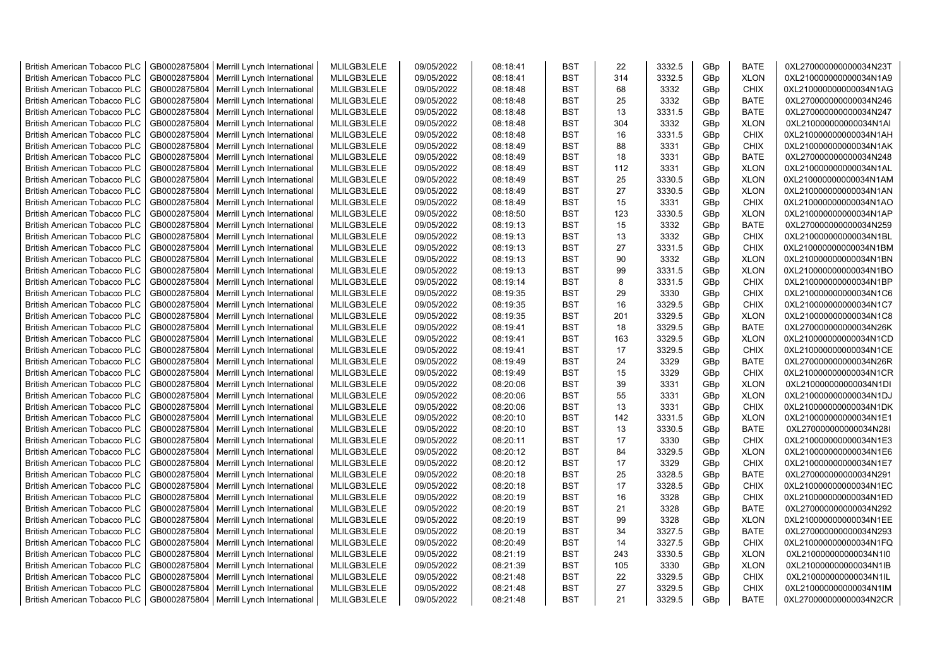| <b>British American Tobacco PLC</b> | GB0002875804 | Merrill Lynch International | MLILGB3LELE | 09/05/2022 | 08:18:41 | <b>BST</b> | 22  | 3332.5 | GBp | <b>BATE</b> | 0XL270000000000034N23T |
|-------------------------------------|--------------|-----------------------------|-------------|------------|----------|------------|-----|--------|-----|-------------|------------------------|
| <b>British American Tobacco PLC</b> | GB0002875804 | Merrill Lynch International | MLILGB3LELE | 09/05/2022 | 08:18:41 | <b>BST</b> | 314 | 3332.5 | GBp | <b>XLON</b> | 0XL210000000000034N1A9 |
| <b>British American Tobacco PLC</b> | GB0002875804 | Merrill Lynch International | MLILGB3LELE | 09/05/2022 | 08:18:48 | <b>BST</b> | 68  | 3332   | GBp | <b>CHIX</b> | 0XL210000000000034N1AG |
| <b>British American Tobacco PLC</b> | GB0002875804 | Merrill Lynch International | MLILGB3LELE | 09/05/2022 | 08:18:48 | <b>BST</b> | 25  | 3332   | GBp | <b>BATE</b> | 0XL270000000000034N246 |
| <b>British American Tobacco PLC</b> | GB0002875804 | Merrill Lynch International | MLILGB3LELE | 09/05/2022 | 08:18:48 | <b>BST</b> | 13  | 3331.5 | GBp | <b>BATE</b> | 0XL270000000000034N247 |
| <b>British American Tobacco PLC</b> | GB0002875804 | Merrill Lynch International | MLILGB3LELE | 09/05/2022 | 08:18:48 | <b>BST</b> | 304 | 3332   | GBp | <b>XLON</b> | 0XL210000000000034N1AI |
| <b>British American Tobacco PLC</b> | GB0002875804 | Merrill Lynch International | MLILGB3LELE | 09/05/2022 | 08:18:48 | <b>BST</b> | 16  | 3331.5 | GBp | CHIX        | 0XL210000000000034N1AH |
| <b>British American Tobacco PLC</b> | GB0002875804 | Merrill Lynch International | MLILGB3LELE | 09/05/2022 | 08:18:49 | <b>BST</b> | 88  | 3331   | GBp | CHIX        | 0XL210000000000034N1AK |
| <b>British American Tobacco PLC</b> | GB0002875804 | Merrill Lynch International | MLILGB3LELE | 09/05/2022 | 08:18:49 | <b>BST</b> | 18  | 3331   | GBp | <b>BATE</b> | 0XL270000000000034N248 |
| <b>British American Tobacco PLC</b> | GB0002875804 | Merrill Lynch International | MLILGB3LELE | 09/05/2022 | 08:18:49 | <b>BST</b> | 112 | 3331   | GBp | <b>XLON</b> | 0XL210000000000034N1AL |
| <b>British American Tobacco PLC</b> | GB0002875804 | Merrill Lynch International | MLILGB3LELE | 09/05/2022 | 08:18:49 | <b>BST</b> | 25  | 3330.5 | GBp | <b>XLON</b> | 0XL210000000000034N1AM |
| <b>British American Tobacco PLC</b> | GB0002875804 | Merrill Lynch International | MLILGB3LELE | 09/05/2022 | 08:18:49 | <b>BST</b> | 27  | 3330.5 | GBp | <b>XLON</b> | 0XL210000000000034N1AN |
| <b>British American Tobacco PLC</b> | GB0002875804 | Merrill Lynch International | MLILGB3LELE | 09/05/2022 | 08:18:49 | <b>BST</b> | 15  | 3331   | GBp | <b>CHIX</b> | 0XL210000000000034N1AO |
| <b>British American Tobacco PLC</b> | GB0002875804 | Merrill Lynch International | MLILGB3LELE | 09/05/2022 | 08:18:50 | <b>BST</b> | 123 | 3330.5 | GBp | <b>XLON</b> | 0XL210000000000034N1AP |
| <b>British American Tobacco PLC</b> | GB0002875804 | Merrill Lynch International | MLILGB3LELE | 09/05/2022 | 08:19:13 | <b>BST</b> | 15  | 3332   | GBp | <b>BATE</b> | 0XL270000000000034N259 |
| <b>British American Tobacco PLC</b> | GB0002875804 | Merrill Lynch International | MLILGB3LELE | 09/05/2022 | 08:19:13 | <b>BST</b> | 13  | 3332   | GBp | <b>CHIX</b> | 0XL210000000000034N1BL |
| <b>British American Tobacco PLC</b> | GB0002875804 | Merrill Lynch International | MLILGB3LELE | 09/05/2022 | 08:19:13 | <b>BST</b> | 27  | 3331.5 | GBp | CHIX        | 0XL210000000000034N1BM |
| <b>British American Tobacco PLC</b> | GB0002875804 | Merrill Lynch International | MLILGB3LELE | 09/05/2022 | 08:19:13 | <b>BST</b> | 90  | 3332   | GBp | <b>XLON</b> | 0XL210000000000034N1BN |
| <b>British American Tobacco PLC</b> | GB0002875804 | Merrill Lynch International | MLILGB3LELE | 09/05/2022 | 08:19:13 | <b>BST</b> | 99  | 3331.5 | GBp | <b>XLON</b> | 0XL210000000000034N1BO |
| <b>British American Tobacco PLC</b> | GB0002875804 | Merrill Lynch International | MLILGB3LELE | 09/05/2022 | 08:19:14 | <b>BST</b> | 8   | 3331.5 | GBp | <b>CHIX</b> | 0XL210000000000034N1BP |
| <b>British American Tobacco PLC</b> | GB0002875804 | Merrill Lynch International | MLILGB3LELE | 09/05/2022 | 08:19:35 | <b>BST</b> | 29  | 3330   | GBp | <b>CHIX</b> | 0XL210000000000034N1C6 |
| <b>British American Tobacco PLC</b> | GB0002875804 | Merrill Lynch International | MLILGB3LELE | 09/05/2022 | 08:19:35 | <b>BST</b> | 16  | 3329.5 | GBp | <b>CHIX</b> | 0XL210000000000034N1C7 |
| <b>British American Tobacco PLC</b> | GB0002875804 | Merrill Lynch International | MLILGB3LELE | 09/05/2022 | 08:19:35 | <b>BST</b> | 201 | 3329.5 | GBp | <b>XLON</b> | 0XL210000000000034N1C8 |
| <b>British American Tobacco PLC</b> | GB0002875804 | Merrill Lynch International | MLILGB3LELE | 09/05/2022 | 08:19:41 | <b>BST</b> | 18  | 3329.5 | GBp | <b>BATE</b> | 0XL270000000000034N26K |
| <b>British American Tobacco PLC</b> | GB0002875804 | Merrill Lynch International | MLILGB3LELE | 09/05/2022 | 08:19:41 | <b>BST</b> | 163 | 3329.5 | GBp | <b>XLON</b> | 0XL210000000000034N1CD |
| <b>British American Tobacco PLC</b> | GB0002875804 | Merrill Lynch International | MLILGB3LELE | 09/05/2022 | 08:19:41 | <b>BST</b> | 17  | 3329.5 | GBp | <b>CHIX</b> | 0XL210000000000034N1CE |
| <b>British American Tobacco PLC</b> | GB0002875804 | Merrill Lynch International | MLILGB3LELE | 09/05/2022 | 08:19:49 | <b>BST</b> | 24  | 3329   | GBp | <b>BATE</b> | 0XL270000000000034N26R |
| <b>British American Tobacco PLC</b> | GB0002875804 | Merrill Lynch International | MLILGB3LELE | 09/05/2022 | 08:19:49 | <b>BST</b> | 15  | 3329   | GBp | <b>CHIX</b> | 0XL210000000000034N1CR |
| <b>British American Tobacco PLC</b> | GB0002875804 | Merrill Lynch International | MLILGB3LELE | 09/05/2022 | 08:20:06 | <b>BST</b> | 39  | 3331   | GBp | <b>XLON</b> | 0XL210000000000034N1DI |
| <b>British American Tobacco PLC</b> | GB0002875804 | Merrill Lynch International | MLILGB3LELE | 09/05/2022 | 08:20:06 | <b>BST</b> | 55  | 3331   | GBp | <b>XLON</b> | 0XL210000000000034N1DJ |
| <b>British American Tobacco PLC</b> | GB0002875804 | Merrill Lynch International | MLILGB3LELE | 09/05/2022 | 08:20:06 | <b>BST</b> | 13  | 3331   | GBp | <b>CHIX</b> | 0XL210000000000034N1DK |
| <b>British American Tobacco PLC</b> | GB0002875804 | Merrill Lynch International | MLILGB3LELE | 09/05/2022 | 08:20:10 | <b>BST</b> | 142 | 3331.5 | GBp | <b>XLON</b> | 0XL210000000000034N1E1 |
| <b>British American Tobacco PLC</b> | GB0002875804 | Merrill Lynch International | MLILGB3LELE | 09/05/2022 | 08:20:10 | <b>BST</b> | 13  | 3330.5 | GBp | <b>BATE</b> | 0XL270000000000034N28I |
| <b>British American Tobacco PLC</b> | GB0002875804 | Merrill Lynch International | MLILGB3LELE | 09/05/2022 | 08:20:11 | <b>BST</b> | 17  | 3330   | GBp | <b>CHIX</b> | 0XL210000000000034N1E3 |
| <b>British American Tobacco PLC</b> | GB0002875804 | Merrill Lynch International | MLILGB3LELE | 09/05/2022 | 08:20:12 | <b>BST</b> | 84  | 3329.5 | GBp | <b>XLON</b> | 0XL210000000000034N1E6 |
| <b>British American Tobacco PLC</b> | GB0002875804 | Merrill Lynch International | MLILGB3LELE | 09/05/2022 | 08:20:12 | <b>BST</b> | 17  | 3329   | GBp | <b>CHIX</b> | 0XL210000000000034N1E7 |
| <b>British American Tobacco PLC</b> | GB0002875804 | Merrill Lynch International | MLILGB3LELE | 09/05/2022 | 08:20:18 | <b>BST</b> | 25  | 3328.5 | GBp | <b>BATE</b> | 0XL270000000000034N291 |
| <b>British American Tobacco PLC</b> | GB0002875804 | Merrill Lynch International | MLILGB3LELE | 09/05/2022 | 08:20:18 | <b>BST</b> | 17  | 3328.5 | GBp | <b>CHIX</b> | 0XL210000000000034N1EC |
| <b>British American Tobacco PLC</b> | GB0002875804 | Merrill Lynch International | MLILGB3LELE | 09/05/2022 | 08:20:19 | <b>BST</b> | 16  | 3328   | GBp | <b>CHIX</b> | 0XL210000000000034N1ED |
| <b>British American Tobacco PLC</b> | GB0002875804 | Merrill Lynch International | MLILGB3LELE | 09/05/2022 | 08:20:19 | <b>BST</b> | 21  | 3328   | GBp | <b>BATE</b> | 0XL270000000000034N292 |
| <b>British American Tobacco PLC</b> | GB0002875804 | Merrill Lynch International | MLILGB3LELE | 09/05/2022 | 08:20:19 | <b>BST</b> | 99  | 3328   | GBp | <b>XLON</b> | 0XL210000000000034N1EE |
| <b>British American Tobacco PLC</b> | GB0002875804 | Merrill Lynch International | MLILGB3LELE | 09/05/2022 | 08:20:19 | <b>BST</b> | 34  | 3327.5 | GBp | <b>BATE</b> | 0XL270000000000034N293 |
| <b>British American Tobacco PLC</b> | GB0002875804 | Merrill Lynch International | MLILGB3LELE | 09/05/2022 | 08:20:49 | <b>BST</b> | 14  | 3327.5 | GBp | <b>CHIX</b> | 0XL210000000000034N1FQ |
| <b>British American Tobacco PLC</b> | GB0002875804 | Merrill Lynch International | MLILGB3LELE | 09/05/2022 | 08:21:19 | <b>BST</b> | 243 | 3330.5 | GBp | <b>XLON</b> | 0XL210000000000034N1l0 |
| <b>British American Tobacco PLC</b> | GB0002875804 | Merrill Lynch International | MLILGB3LELE | 09/05/2022 | 08:21:39 | <b>BST</b> | 105 | 3330   | GBp | <b>XLON</b> | 0XL210000000000034N1IB |
| <b>British American Tobacco PLC</b> | GB0002875804 | Merrill Lynch International | MLILGB3LELE | 09/05/2022 | 08:21:48 | <b>BST</b> | 22  | 3329.5 | GBp | <b>CHIX</b> | 0XL210000000000034N1IL |
| <b>British American Tobacco PLC</b> | GB0002875804 | Merrill Lynch International | MLILGB3LELE | 09/05/2022 | 08:21:48 | <b>BST</b> | 27  | 3329.5 | GBp | CHIX        | 0XL210000000000034N1IM |
| <b>British American Tobacco PLC</b> | GB0002875804 | Merrill Lynch International | MLILGB3LELE | 09/05/2022 | 08:21:48 | <b>BST</b> | 21  | 3329.5 | GBp | <b>BATE</b> | 0XL270000000000034N2CR |
|                                     |              |                             |             |            |          |            |     |        |     |             |                        |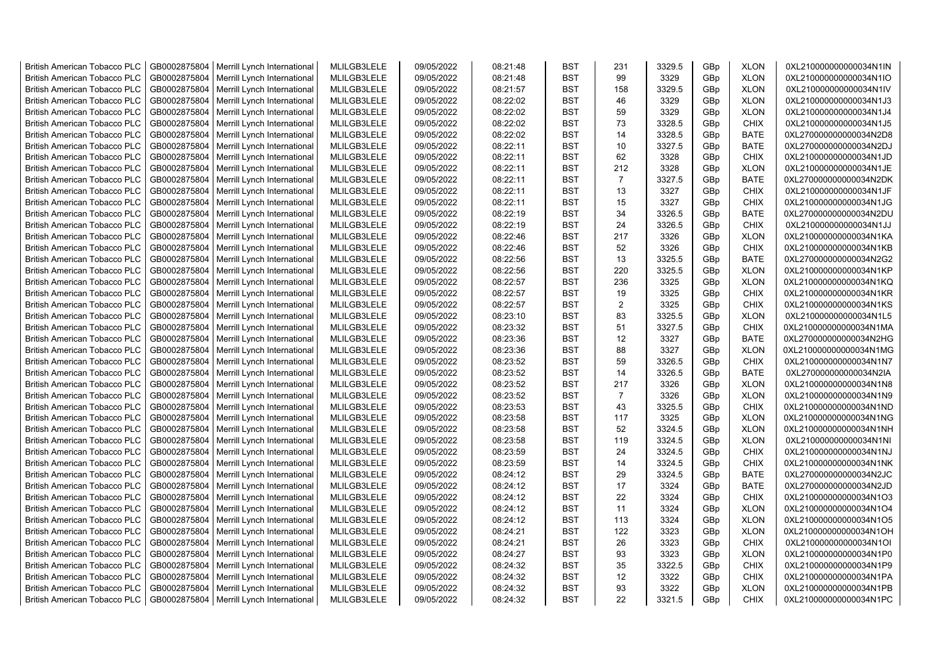| <b>British American Tobacco PLC</b> | GB0002875804 | Merrill Lynch International                | MLILGB3LELE | 09/05/2022 | 08:21:48 | <b>BST</b> | 231            | 3329.5 | GBp             | <b>XLON</b> | 0XL210000000000034N1IN |
|-------------------------------------|--------------|--------------------------------------------|-------------|------------|----------|------------|----------------|--------|-----------------|-------------|------------------------|
| <b>British American Tobacco PLC</b> | GB0002875804 | Merrill Lynch International                | MLILGB3LELE | 09/05/2022 | 08:21:48 | <b>BST</b> | 99             | 3329   | GBp             | <b>XLON</b> | 0XL210000000000034N1IO |
| <b>British American Tobacco PLC</b> | GB0002875804 | Merrill Lynch International                | MLILGB3LELE | 09/05/2022 | 08:21:57 | <b>BST</b> | 158            | 3329.5 | GBp             | <b>XLON</b> | 0XL210000000000034N1IV |
| <b>British American Tobacco PLC</b> | GB0002875804 | Merrill Lynch International                | MLILGB3LELE | 09/05/2022 | 08:22:02 | <b>BST</b> | 46             | 3329   | GBp             | <b>XLON</b> | 0XL210000000000034N1J3 |
| <b>British American Tobacco PLC</b> | GB0002875804 | Merrill Lynch International                | MLILGB3LELE | 09/05/2022 | 08:22:02 | <b>BST</b> | 59             | 3329   | GBp             | <b>XLON</b> | 0XL210000000000034N1J4 |
| <b>British American Tobacco PLC</b> | GB0002875804 | Merrill Lynch International                | MLILGB3LELE | 09/05/2022 | 08:22:02 | <b>BST</b> | 73             | 3328.5 | GBp             | <b>CHIX</b> | 0XL210000000000034N1J5 |
| British American Tobacco PLC        | GB0002875804 | Merrill Lynch International                | MLILGB3LELE | 09/05/2022 | 08:22:02 | <b>BST</b> | 14             | 3328.5 | GBp             | <b>BATE</b> | 0XL270000000000034N2D8 |
| <b>British American Tobacco PLC</b> | GB0002875804 | Merrill Lynch International                | MLILGB3LELE | 09/05/2022 | 08:22:11 | <b>BST</b> | 10             | 3327.5 | GBp             | <b>BATE</b> | 0XL270000000000034N2DJ |
| <b>British American Tobacco PLC</b> | GB0002875804 | Merrill Lynch International                | MLILGB3LELE | 09/05/2022 | 08:22:11 | <b>BST</b> | 62             | 3328   | GBp             | <b>CHIX</b> | 0XL210000000000034N1JD |
| <b>British American Tobacco PLC</b> | GB0002875804 | Merrill Lynch International                | MLILGB3LELE | 09/05/2022 | 08:22:11 | <b>BST</b> | 212            | 3328   | GBp             | <b>XLON</b> | 0XL210000000000034N1JE |
| <b>British American Tobacco PLC</b> | GB0002875804 | Merrill Lynch International                | MLILGB3LELE | 09/05/2022 | 08:22:11 | <b>BST</b> | $\overline{7}$ | 3327.5 | GBp             | <b>BATE</b> | 0XL270000000000034N2DK |
| <b>British American Tobacco PLC</b> | GB0002875804 | Merrill Lynch International                | MLILGB3LELE | 09/05/2022 | 08:22:11 | <b>BST</b> | 13             | 3327   | GBp             | <b>CHIX</b> | 0XL210000000000034N1JF |
| <b>British American Tobacco PLC</b> | GB0002875804 | Merrill Lynch International                | MLILGB3LELE | 09/05/2022 | 08:22:11 | <b>BST</b> | 15             | 3327   | GBp             | <b>CHIX</b> | 0XL210000000000034N1JG |
| <b>British American Tobacco PLC</b> | GB0002875804 | Merrill Lynch International                | MLILGB3LELE | 09/05/2022 | 08:22:19 | <b>BST</b> | 34             | 3326.5 | GBp             | <b>BATE</b> | 0XL270000000000034N2DU |
| <b>British American Tobacco PLC</b> | GB0002875804 | Merrill Lynch International                | MLILGB3LELE | 09/05/2022 | 08:22:19 | <b>BST</b> | 24             | 3326.5 | GBp             | <b>CHIX</b> | 0XL210000000000034N1JJ |
| <b>British American Tobacco PLC</b> | GB0002875804 | Merrill Lynch International                | MLILGB3LELE | 09/05/2022 | 08:22:46 | <b>BST</b> | 217            | 3326   | GBp             | <b>XLON</b> | 0XL210000000000034N1KA |
| <b>British American Tobacco PLC</b> | GB0002875804 | Merrill Lynch International                | MLILGB3LELE | 09/05/2022 | 08:22:46 | <b>BST</b> | 52             | 3326   | GBp             | <b>CHIX</b> | 0XL210000000000034N1KB |
| <b>British American Tobacco PLC</b> | GB0002875804 | Merrill Lynch International                | MLILGB3LELE | 09/05/2022 | 08:22:56 | <b>BST</b> | 13             | 3325.5 | GBp             | <b>BATE</b> | 0XL270000000000034N2G2 |
| <b>British American Tobacco PLC</b> | GB0002875804 | Merrill Lynch International                | MLILGB3LELE | 09/05/2022 | 08:22:56 | <b>BST</b> | 220            | 3325.5 | GBp             | <b>XLON</b> | 0XL210000000000034N1KP |
| <b>British American Tobacco PLC</b> | GB0002875804 | Merrill Lynch International                | MLILGB3LELE | 09/05/2022 | 08:22:57 | <b>BST</b> | 236            | 3325   | GBp             | <b>XLON</b> | 0XL210000000000034N1KQ |
| <b>British American Tobacco PLC</b> | GB0002875804 | Merrill Lynch International                | MLILGB3LELE | 09/05/2022 | 08:22:57 | <b>BST</b> | 19             | 3325   | GBp             | <b>CHIX</b> | 0XL210000000000034N1KR |
| <b>British American Tobacco PLC</b> | GB0002875804 | Merrill Lynch International                | MLILGB3LELE | 09/05/2022 | 08:22:57 | <b>BST</b> | 2              | 3325   | GBp             | <b>CHIX</b> | 0XL210000000000034N1KS |
| <b>British American Tobacco PLC</b> | GB0002875804 | Merrill Lynch International                | MLILGB3LELE | 09/05/2022 | 08:23:10 | <b>BST</b> | 83             | 3325.5 | GBp             | <b>XLON</b> | 0XL210000000000034N1L5 |
| <b>British American Tobacco PLC</b> | GB0002875804 | Merrill Lynch International                | MLILGB3LELE | 09/05/2022 | 08:23:32 | <b>BST</b> | 51             | 3327.5 | GBp             | <b>CHIX</b> | 0XL210000000000034N1MA |
| <b>British American Tobacco PLC</b> | GB0002875804 | Merrill Lynch International                | MLILGB3LELE | 09/05/2022 | 08:23:36 | <b>BST</b> | 12             | 3327   | GBp             | <b>BATE</b> | 0XL270000000000034N2HG |
| <b>British American Tobacco PLC</b> | GB0002875804 | Merrill Lynch International                | MLILGB3LELE | 09/05/2022 | 08:23:36 | <b>BST</b> | 88             | 3327   | GBp             | <b>XLON</b> | 0XL210000000000034N1MG |
| <b>British American Tobacco PLC</b> | GB0002875804 | Merrill Lynch International                | MLILGB3LELE | 09/05/2022 | 08:23:52 | <b>BST</b> | 59             | 3326.5 | GBp             | <b>CHIX</b> | 0XL210000000000034N1N7 |
| <b>British American Tobacco PLC</b> | GB0002875804 | Merrill Lynch International                | MLILGB3LELE | 09/05/2022 | 08:23:52 | <b>BST</b> | 14             | 3326.5 | GBp             | BATE        | 0XL270000000000034N2IA |
| <b>British American Tobacco PLC</b> | GB0002875804 | Merrill Lynch International                | MLILGB3LELE | 09/05/2022 | 08:23:52 | <b>BST</b> | 217            | 3326   | GBp             | <b>XLON</b> | 0XL210000000000034N1N8 |
| <b>British American Tobacco PLC</b> | GB0002875804 | Merrill Lynch International                | MLILGB3LELE | 09/05/2022 | 08:23:52 | <b>BST</b> | $\overline{7}$ | 3326   | GBp             | <b>XLON</b> | 0XL210000000000034N1N9 |
| <b>British American Tobacco PLC</b> | GB0002875804 | Merrill Lynch International                | MLILGB3LELE | 09/05/2022 | 08:23:53 | <b>BST</b> | 43             | 3325.5 | GBp             | <b>CHIX</b> | 0XL210000000000034N1ND |
| <b>British American Tobacco PLC</b> | GB0002875804 | Merrill Lynch International                | MLILGB3LELE | 09/05/2022 | 08:23:58 | <b>BST</b> | 117            | 3325   | GBp             | <b>XLON</b> | 0XL210000000000034N1NG |
| <b>British American Tobacco PLC</b> | GB0002875804 | Merrill Lynch International                | MLILGB3LELE | 09/05/2022 | 08:23:58 | <b>BST</b> | 52             | 3324.5 | GBp             | <b>XLON</b> | 0XL210000000000034N1NH |
| <b>British American Tobacco PLC</b> | GB0002875804 | Merrill Lynch International                | MLILGB3LELE | 09/05/2022 | 08:23:58 | <b>BST</b> | 119            | 3324.5 | GBp             | <b>XLON</b> | 0XL210000000000034N1NI |
| <b>British American Tobacco PLC</b> | GB0002875804 | Merrill Lynch International                | MLILGB3LELE | 09/05/2022 | 08:23:59 | <b>BST</b> | 24             | 3324.5 | GBp             | <b>CHIX</b> | 0XL210000000000034N1NJ |
| <b>British American Tobacco PLC</b> | GB0002875804 | Merrill Lynch International                | MLILGB3LELE | 09/05/2022 | 08:23:59 | <b>BST</b> | 14             | 3324.5 | GBp             | <b>CHIX</b> | 0XL210000000000034N1NK |
| <b>British American Tobacco PLC</b> | GB0002875804 | Merrill Lynch International                | MLILGB3LELE | 09/05/2022 | 08:24:12 | <b>BST</b> | 29             | 3324.5 | GBp             | <b>BATE</b> | 0XL270000000000034N2JC |
| <b>British American Tobacco PLC</b> | GB0002875804 | Merrill Lynch International                | MLILGB3LELE | 09/05/2022 | 08:24:12 | <b>BST</b> | 17             | 3324   | GBp             | <b>BATE</b> | 0XL270000000000034N2JD |
| <b>British American Tobacco PLC</b> | GB0002875804 | Merrill Lynch International                | MLILGB3LELE | 09/05/2022 | 08:24:12 | <b>BST</b> | 22             | 3324   | GBp             | <b>CHIX</b> | 0XL210000000000034N1O3 |
| <b>British American Tobacco PLC</b> | GB0002875804 | Merrill Lynch International                | MLILGB3LELE | 09/05/2022 | 08:24:12 | <b>BST</b> | 11             | 3324   | GBp             | <b>XLON</b> | 0XL210000000000034N1O4 |
| <b>British American Tobacco PLC</b> | GB0002875804 | Merrill Lynch International                | MLILGB3LELE | 09/05/2022 | 08:24:12 | <b>BST</b> | 113            | 3324   | GBp             | <b>XLON</b> | 0XL210000000000034N1O5 |
| <b>British American Tobacco PLC</b> | GB0002875804 | Merrill Lynch International                | MLILGB3LELE | 09/05/2022 | 08:24:21 | <b>BST</b> | 122            | 3323   | GBp             | <b>XLON</b> | 0XL210000000000034N1OH |
| <b>British American Tobacco PLC</b> | GB0002875804 | Merrill Lynch International                | MLILGB3LELE | 09/05/2022 | 08:24:21 | <b>BST</b> | 26             | 3323   | GBp             | <b>CHIX</b> | 0XL210000000000034N1OI |
| <b>British American Tobacco PLC</b> | GB0002875804 | Merrill Lynch International                | MLILGB3LELE | 09/05/2022 | 08:24:27 | <b>BST</b> | 93             | 3323   | GBp             | <b>XLON</b> | 0XL210000000000034N1P0 |
| <b>British American Tobacco PLC</b> | GB0002875804 | Merrill Lynch International                | MLILGB3LELE | 09/05/2022 | 08:24:32 | <b>BST</b> | 35             | 3322.5 | GBp             | <b>CHIX</b> | 0XL210000000000034N1P9 |
| <b>British American Tobacco PLC</b> | GB0002875804 | Merrill Lynch International                | MLILGB3LELE | 09/05/2022 | 08:24:32 | <b>BST</b> | 12             | 3322   | GBp             | <b>CHIX</b> | 0XL210000000000034N1PA |
| <b>British American Tobacco PLC</b> | GB0002875804 | Merrill Lynch International                | MLILGB3LELE | 09/05/2022 | 08:24:32 | <b>BST</b> | 93             | 3322   | GBp             | <b>XLON</b> | 0XL210000000000034N1PB |
| <b>British American Tobacco PLC</b> |              | GB0002875804   Merrill Lynch International | MLILGB3LELE | 09/05/2022 | 08:24:32 | <b>BST</b> | 22             | 3321.5 | GB <sub>p</sub> | <b>CHIX</b> | 0XL210000000000034N1PC |
|                                     |              |                                            |             |            |          |            |                |        |                 |             |                        |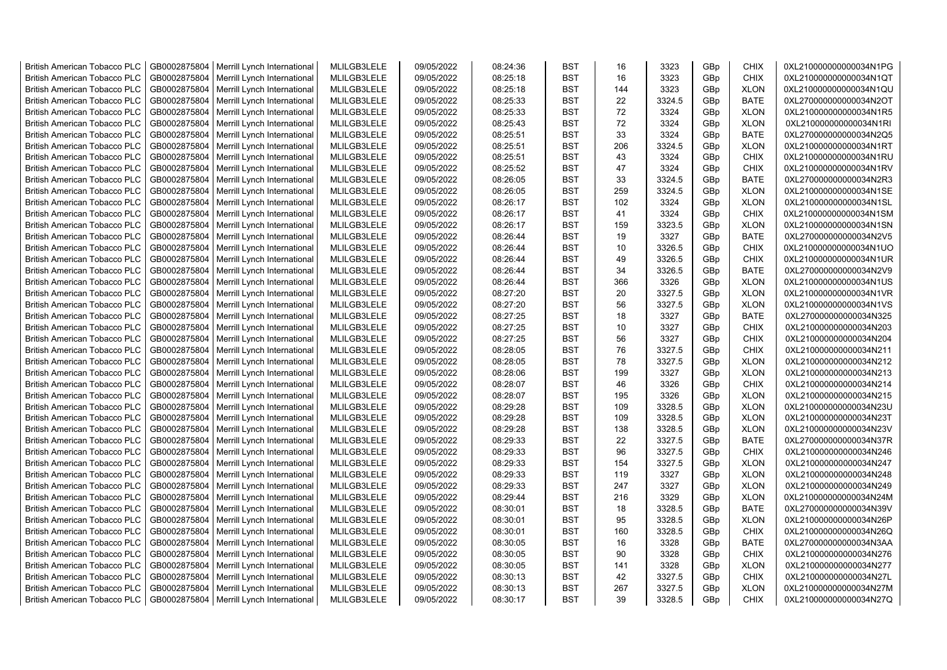| <b>British American Tobacco PLC</b> | GB0002875804 | Merrill Lynch International                | MLILGB3LELE | 09/05/2022 | 08:24:36 | <b>BST</b> | 16  | 3323   | GBp | <b>CHIX</b> | 0XL210000000000034N1PG |
|-------------------------------------|--------------|--------------------------------------------|-------------|------------|----------|------------|-----|--------|-----|-------------|------------------------|
| <b>British American Tobacco PLC</b> | GB0002875804 | Merrill Lynch International                | MLILGB3LELE | 09/05/2022 | 08:25:18 | <b>BST</b> | 16  | 3323   | GBp | <b>CHIX</b> | 0XL210000000000034N1QT |
| <b>British American Tobacco PLC</b> | GB0002875804 | Merrill Lynch International                | MLILGB3LELE | 09/05/2022 | 08:25:18 | <b>BST</b> | 144 | 3323   | GBp | <b>XLON</b> | 0XL210000000000034N1QU |
| <b>British American Tobacco PLC</b> | GB0002875804 | Merrill Lynch International                | MLILGB3LELE | 09/05/2022 | 08:25:33 | <b>BST</b> | 22  | 3324.5 | GBp | <b>BATE</b> | 0XL270000000000034N2OT |
| <b>British American Tobacco PLC</b> | GB0002875804 | Merrill Lynch International                | MLILGB3LELE | 09/05/2022 | 08:25:33 | <b>BST</b> | 72  | 3324   | GBp | <b>XLON</b> | 0XL210000000000034N1R5 |
| <b>British American Tobacco PLC</b> | GB0002875804 | Merrill Lynch International                | MLILGB3LELE | 09/05/2022 | 08:25:43 | <b>BST</b> | 72  | 3324   | GBp | <b>XLON</b> | 0XL210000000000034N1RI |
| <b>British American Tobacco PLC</b> | GB0002875804 | Merrill Lynch International                | MLILGB3LELE | 09/05/2022 | 08:25:51 | <b>BST</b> | 33  | 3324   | GBp | <b>BATE</b> | 0XL270000000000034N2Q5 |
| <b>British American Tobacco PLC</b> | GB0002875804 | Merrill Lynch International                | MLILGB3LELE | 09/05/2022 | 08:25:51 | <b>BST</b> | 206 | 3324.5 | GBp | <b>XLON</b> | 0XL210000000000034N1RT |
| <b>British American Tobacco PLC</b> | GB0002875804 | Merrill Lynch International                | MLILGB3LELE | 09/05/2022 | 08:25:51 | <b>BST</b> | 43  | 3324   | GBp | <b>CHIX</b> | 0XL210000000000034N1RU |
| <b>British American Tobacco PLC</b> | GB0002875804 | Merrill Lynch International                | MLILGB3LELE | 09/05/2022 | 08:25:52 | <b>BST</b> | 47  | 3324   | GBp | <b>CHIX</b> | 0XL210000000000034N1RV |
| <b>British American Tobacco PLC</b> | GB0002875804 | Merrill Lynch International                | MLILGB3LELE | 09/05/2022 | 08:26:05 | <b>BST</b> | 33  | 3324.5 | GBp | <b>BATE</b> | 0XL270000000000034N2R3 |
| <b>British American Tobacco PLC</b> | GB0002875804 | Merrill Lynch International                | MLILGB3LELE | 09/05/2022 | 08:26:05 | <b>BST</b> | 259 | 3324.5 | GBp | <b>XLON</b> | 0XL210000000000034N1SE |
| <b>British American Tobacco PLC</b> | GB0002875804 | Merrill Lynch International                | MLILGB3LELE | 09/05/2022 | 08:26:17 | <b>BST</b> | 102 | 3324   | GBp | <b>XLON</b> | 0XL210000000000034N1SL |
| <b>British American Tobacco PLC</b> | GB0002875804 | Merrill Lynch International                | MLILGB3LELE | 09/05/2022 | 08:26:17 | <b>BST</b> | 41  | 3324   | GBp | <b>CHIX</b> | 0XL210000000000034N1SM |
| <b>British American Tobacco PLC</b> | GB0002875804 | Merrill Lynch International                | MLILGB3LELE | 09/05/2022 | 08:26:17 | <b>BST</b> | 159 | 3323.5 | GBp | <b>XLON</b> | 0XL210000000000034N1SN |
| <b>British American Tobacco PLC</b> | GB0002875804 | Merrill Lynch International                | MLILGB3LELE | 09/05/2022 | 08:26:44 | <b>BST</b> | 19  | 3327   | GBp | <b>BATE</b> | 0XL270000000000034N2V5 |
| <b>British American Tobacco PLC</b> | GB0002875804 | Merrill Lynch International                | MLILGB3LELE | 09/05/2022 | 08:26:44 | <b>BST</b> | 10  | 3326.5 | GBp | CHIX        | 0XL210000000000034N1UO |
| <b>British American Tobacco PLC</b> | GB0002875804 | Merrill Lynch International                | MLILGB3LELE | 09/05/2022 | 08:26:44 | <b>BST</b> | 49  | 3326.5 | GBp | CHIX        | 0XL210000000000034N1UR |
| <b>British American Tobacco PLC</b> | GB0002875804 | Merrill Lynch International                | MLILGB3LELE | 09/05/2022 | 08:26:44 | <b>BST</b> | 34  | 3326.5 | GBp | <b>BATE</b> | 0XL270000000000034N2V9 |
| <b>British American Tobacco PLC</b> | GB0002875804 | Merrill Lynch International                | MLILGB3LELE | 09/05/2022 | 08:26:44 | <b>BST</b> | 366 | 3326   | GBp | <b>XLON</b> | 0XL210000000000034N1US |
| <b>British American Tobacco PLC</b> | GB0002875804 | Merrill Lynch International                | MLILGB3LELE | 09/05/2022 | 08:27:20 | <b>BST</b> | 20  | 3327.5 | GBp | <b>XLON</b> | 0XL210000000000034N1VR |
| <b>British American Tobacco PLC</b> | GB0002875804 | Merrill Lynch International                | MLILGB3LELE | 09/05/2022 | 08:27:20 | <b>BST</b> | 56  | 3327.5 | GBp | <b>XLON</b> | 0XL210000000000034N1VS |
| <b>British American Tobacco PLC</b> | GB0002875804 | Merrill Lynch International                | MLILGB3LELE | 09/05/2022 | 08:27:25 | <b>BST</b> | 18  | 3327   | GBp | <b>BATE</b> | 0XL270000000000034N325 |
| <b>British American Tobacco PLC</b> | GB0002875804 | Merrill Lynch International                | MLILGB3LELE | 09/05/2022 | 08:27:25 | <b>BST</b> | 10  | 3327   | GBp | CHIX        | 0XL210000000000034N203 |
| <b>British American Tobacco PLC</b> | GB0002875804 | Merrill Lynch International                | MLILGB3LELE | 09/05/2022 | 08:27:25 | <b>BST</b> | 56  | 3327   | GBp | <b>CHIX</b> | 0XL210000000000034N204 |
| <b>British American Tobacco PLC</b> | GB0002875804 | Merrill Lynch International                | MLILGB3LELE | 09/05/2022 | 08:28:05 | <b>BST</b> | 76  | 3327.5 | GBp | <b>CHIX</b> | 0XL210000000000034N211 |
| <b>British American Tobacco PLC</b> | GB0002875804 | Merrill Lynch International                | MLILGB3LELE | 09/05/2022 | 08:28:05 | <b>BST</b> | 78  | 3327.5 | GBp | <b>XLON</b> | 0XL210000000000034N212 |
| <b>British American Tobacco PLC</b> | GB0002875804 | Merrill Lynch International                | MLILGB3LELE | 09/05/2022 | 08:28:06 | <b>BST</b> | 199 | 3327   | GBp | <b>XLON</b> | 0XL210000000000034N213 |
| <b>British American Tobacco PLC</b> | GB0002875804 | Merrill Lynch International                | MLILGB3LELE | 09/05/2022 | 08:28:07 | <b>BST</b> | 46  | 3326   | GBp | <b>CHIX</b> | 0XL210000000000034N214 |
| <b>British American Tobacco PLC</b> | GB0002875804 | Merrill Lynch International                | MLILGB3LELE | 09/05/2022 | 08:28:07 | <b>BST</b> | 195 | 3326   | GBp | <b>XLON</b> | 0XL210000000000034N215 |
| <b>British American Tobacco PLC</b> | GB0002875804 | Merrill Lynch International                | MLILGB3LELE | 09/05/2022 | 08:29:28 | <b>BST</b> | 109 | 3328.5 | GBp | <b>XLON</b> | 0XL210000000000034N23U |
| <b>British American Tobacco PLC</b> | GB0002875804 | Merrill Lynch International                | MLILGB3LELE | 09/05/2022 | 08:29:28 | <b>BST</b> | 109 | 3328.5 | GBp | <b>XLON</b> | 0XL210000000000034N23T |
| <b>British American Tobacco PLC</b> | GB0002875804 | Merrill Lynch International                | MLILGB3LELE | 09/05/2022 | 08:29:28 | <b>BST</b> | 138 | 3328.5 | GBp | <b>XLON</b> | 0XL210000000000034N23V |
| <b>British American Tobacco PLC</b> | GB0002875804 | Merrill Lynch International                | MLILGB3LELE | 09/05/2022 | 08:29:33 | <b>BST</b> | 22  | 3327.5 | GBp | <b>BATE</b> | 0XL270000000000034N37R |
| <b>British American Tobacco PLC</b> | GB0002875804 | Merrill Lynch International                | MLILGB3LELE | 09/05/2022 | 08:29:33 | <b>BST</b> | 96  | 3327.5 | GBp | <b>CHIX</b> | 0XL210000000000034N246 |
| <b>British American Tobacco PLC</b> | GB0002875804 | Merrill Lynch International                | MLILGB3LELE | 09/05/2022 | 08:29:33 | <b>BST</b> | 154 | 3327.5 | GBp | <b>XLON</b> | 0XL210000000000034N247 |
| <b>British American Tobacco PLC</b> | GB0002875804 | Merrill Lynch International                | MLILGB3LELE | 09/05/2022 | 08:29:33 | <b>BST</b> | 119 | 3327   | GBp | <b>XLON</b> | 0XL210000000000034N248 |
| <b>British American Tobacco PLC</b> | GB0002875804 | Merrill Lynch International                | MLILGB3LELE | 09/05/2022 | 08:29:33 | <b>BST</b> | 247 | 3327   | GBp | <b>XLON</b> | 0XL210000000000034N249 |
| <b>British American Tobacco PLC</b> | GB0002875804 | Merrill Lynch International                | MLILGB3LELE | 09/05/2022 | 08:29:44 | <b>BST</b> | 216 | 3329   | GBp | <b>XLON</b> | 0XL210000000000034N24M |
| <b>British American Tobacco PLC</b> | GB0002875804 | Merrill Lynch International                | MLILGB3LELE | 09/05/2022 | 08:30:01 | <b>BST</b> | 18  | 3328.5 | GBp | <b>BATE</b> | 0XL270000000000034N39V |
| <b>British American Tobacco PLC</b> | GB0002875804 | Merrill Lynch International                | MLILGB3LELE | 09/05/2022 | 08:30:01 | <b>BST</b> | 95  | 3328.5 | GBp | <b>XLON</b> | 0XL210000000000034N26P |
| <b>British American Tobacco PLC</b> | GB0002875804 | Merrill Lynch International                | MLILGB3LELE | 09/05/2022 | 08:30:01 | <b>BST</b> | 160 | 3328.5 | GBp | <b>CHIX</b> | 0XL210000000000034N26Q |
| <b>British American Tobacco PLC</b> | GB0002875804 | Merrill Lynch International                | MLILGB3LELE | 09/05/2022 | 08:30:05 | <b>BST</b> | 16  | 3328   | GBp | <b>BATE</b> | 0XL270000000000034N3AA |
| <b>British American Tobacco PLC</b> | GB0002875804 | Merrill Lynch International                | MLILGB3LELE | 09/05/2022 | 08:30:05 | <b>BST</b> | 90  | 3328   | GBp | <b>CHIX</b> | 0XL210000000000034N276 |
| <b>British American Tobacco PLC</b> | GB0002875804 | Merrill Lynch International                | MLILGB3LELE | 09/05/2022 | 08:30:05 | <b>BST</b> | 141 | 3328   | GBp | <b>XLON</b> | 0XL210000000000034N277 |
| <b>British American Tobacco PLC</b> | GB0002875804 | Merrill Lynch International                | MLILGB3LELE | 09/05/2022 | 08:30:13 | <b>BST</b> | 42  | 3327.5 | GBp | <b>CHIX</b> | 0XL210000000000034N27L |
| <b>British American Tobacco PLC</b> | GB0002875804 | Merrill Lynch International                | MLILGB3LELE | 09/05/2022 | 08:30:13 | <b>BST</b> | 267 | 3327.5 | GBp | <b>XLON</b> | 0XL210000000000034N27M |
| <b>British American Tobacco PLC</b> |              | GB0002875804   Merrill Lynch International | MLILGB3LELE | 09/05/2022 | 08:30:17 | <b>BST</b> | 39  | 3328.5 | GBp | <b>CHIX</b> | 0XL210000000000034N27Q |
|                                     |              |                                            |             |            |          |            |     |        |     |             |                        |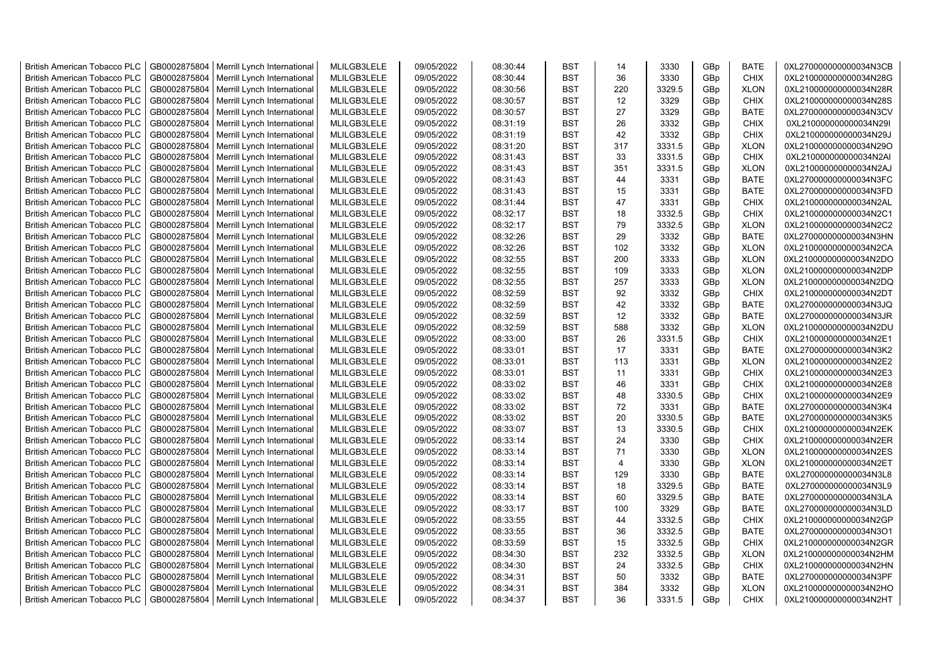| <b>British American Tobacco PLC</b> | GB0002875804 | Merrill Lynch International                | MLILGB3LELE | 09/05/2022 | 08:30:44 | <b>BST</b> | 14             | 3330   | GBp | <b>BATE</b> | 0XL270000000000034N3CB |
|-------------------------------------|--------------|--------------------------------------------|-------------|------------|----------|------------|----------------|--------|-----|-------------|------------------------|
| <b>British American Tobacco PLC</b> | GB0002875804 | Merrill Lynch International                | MLILGB3LELE | 09/05/2022 | 08:30:44 | <b>BST</b> | 36             | 3330   | GBp | <b>CHIX</b> | 0XL210000000000034N28G |
| <b>British American Tobacco PLC</b> | GB0002875804 | Merrill Lynch International                | MLILGB3LELE | 09/05/2022 | 08:30:56 | <b>BST</b> | 220            | 3329.5 | GBp | <b>XLON</b> | 0XL210000000000034N28R |
| <b>British American Tobacco PLC</b> | GB0002875804 | Merrill Lynch International                | MLILGB3LELE | 09/05/2022 | 08:30:57 | <b>BST</b> | 12             | 3329   | GBp | <b>CHIX</b> | 0XL210000000000034N28S |
| <b>British American Tobacco PLC</b> | GB0002875804 | Merrill Lynch International                | MLILGB3LELE | 09/05/2022 | 08:30:57 | <b>BST</b> | 27             | 3329   | GBp | <b>BATE</b> | 0XL270000000000034N3CV |
| <b>British American Tobacco PLC</b> | GB0002875804 | Merrill Lynch International                | MLILGB3LELE | 09/05/2022 | 08:31:19 | <b>BST</b> | 26             | 3332   | GBp | <b>CHIX</b> | 0XL210000000000034N29I |
| <b>British American Tobacco PLC</b> | GB0002875804 | Merrill Lynch International                | MLILGB3LELE | 09/05/2022 | 08:31:19 | <b>BST</b> | 42             | 3332   | GBp | CHIX        | 0XL210000000000034N29J |
| <b>British American Tobacco PLC</b> | GB0002875804 | Merrill Lynch International                | MLILGB3LELE | 09/05/2022 | 08:31:20 | <b>BST</b> | 317            | 3331.5 | GBp | <b>XLON</b> | 0XL210000000000034N29O |
| <b>British American Tobacco PLC</b> | GB0002875804 | Merrill Lynch International                | MLILGB3LELE | 09/05/2022 | 08:31:43 | <b>BST</b> | 33             | 3331.5 | GBp | <b>CHIX</b> | 0XL210000000000034N2AI |
| <b>British American Tobacco PLC</b> | GB0002875804 | Merrill Lynch International                | MLILGB3LELE | 09/05/2022 | 08:31:43 | <b>BST</b> | 351            | 3331.5 | GBp | <b>XLON</b> | 0XL210000000000034N2AJ |
| <b>British American Tobacco PLC</b> | GB0002875804 | Merrill Lynch International                | MLILGB3LELE | 09/05/2022 | 08:31:43 | <b>BST</b> | 44             | 3331   | GBp | <b>BATE</b> | 0XL270000000000034N3FC |
| <b>British American Tobacco PLC</b> | GB0002875804 | Merrill Lynch International                | MLILGB3LELE | 09/05/2022 | 08:31:43 | <b>BST</b> | 15             | 3331   | GBp | <b>BATE</b> | 0XL270000000000034N3FD |
| <b>British American Tobacco PLC</b> | GB0002875804 | Merrill Lynch International                | MLILGB3LELE | 09/05/2022 | 08:31:44 | <b>BST</b> | 47             | 3331   | GBp | <b>CHIX</b> | 0XL210000000000034N2AL |
| <b>British American Tobacco PLC</b> | GB0002875804 | Merrill Lynch International                | MLILGB3LELE | 09/05/2022 | 08:32:17 | <b>BST</b> | 18             | 3332.5 | GBp | <b>CHIX</b> | 0XL210000000000034N2C1 |
| <b>British American Tobacco PLC</b> | GB0002875804 | Merrill Lynch International                | MLILGB3LELE | 09/05/2022 | 08:32:17 | <b>BST</b> | 79             | 3332.5 | GBp | <b>XLON</b> | 0XL210000000000034N2C2 |
| <b>British American Tobacco PLC</b> | GB0002875804 | Merrill Lynch International                | MLILGB3LELE | 09/05/2022 | 08:32:26 | <b>BST</b> | 29             | 3332   | GBp | <b>BATE</b> | 0XL270000000000034N3HN |
| <b>British American Tobacco PLC</b> | GB0002875804 | Merrill Lynch International                | MLILGB3LELE | 09/05/2022 | 08:32:26 | <b>BST</b> | 102            | 3332   | GBp | <b>XLON</b> | 0XL210000000000034N2CA |
| <b>British American Tobacco PLC</b> | GB0002875804 | Merrill Lynch International                | MLILGB3LELE | 09/05/2022 | 08:32:55 | <b>BST</b> | 200            | 3333   | GBp | <b>XLON</b> | 0XL210000000000034N2DO |
| <b>British American Tobacco PLC</b> | GB0002875804 | Merrill Lynch International                | MLILGB3LELE | 09/05/2022 | 08:32:55 | <b>BST</b> | 109            | 3333   | GBp | <b>XLON</b> | 0XL210000000000034N2DP |
| <b>British American Tobacco PLC</b> | GB0002875804 | Merrill Lynch International                | MLILGB3LELE | 09/05/2022 | 08:32:55 | <b>BST</b> | 257            | 3333   | GBp | <b>XLON</b> | 0XL210000000000034N2DQ |
| <b>British American Tobacco PLC</b> | GB0002875804 | Merrill Lynch International                | MLILGB3LELE | 09/05/2022 | 08:32:59 | <b>BST</b> | 92             | 3332   | GBp | <b>CHIX</b> | 0XL210000000000034N2DT |
| <b>British American Tobacco PLC</b> | GB0002875804 | Merrill Lynch International                | MLILGB3LELE | 09/05/2022 | 08:32:59 | <b>BST</b> | 42             | 3332   | GBp | <b>BATE</b> | 0XL270000000000034N3JQ |
| <b>British American Tobacco PLC</b> | GB0002875804 | Merrill Lynch International                | MLILGB3LELE | 09/05/2022 | 08:32:59 | <b>BST</b> | 12             | 3332   | GBp | <b>BATE</b> | 0XL270000000000034N3JR |
| <b>British American Tobacco PLC</b> | GB0002875804 | Merrill Lynch International                | MLILGB3LELE | 09/05/2022 | 08:32:59 | <b>BST</b> | 588            | 3332   | GBp | <b>XLON</b> | 0XL210000000000034N2DU |
| <b>British American Tobacco PLC</b> | GB0002875804 | Merrill Lynch International                | MLILGB3LELE | 09/05/2022 | 08:33:00 | <b>BST</b> | 26             | 3331.5 | GBp | <b>CHIX</b> | 0XL210000000000034N2E1 |
| <b>British American Tobacco PLC</b> | GB0002875804 | Merrill Lynch International                | MLILGB3LELE | 09/05/2022 | 08:33:01 | <b>BST</b> | 17             | 3331   | GBp | <b>BATE</b> | 0XL270000000000034N3K2 |
| <b>British American Tobacco PLC</b> | GB0002875804 | Merrill Lynch International                | MLILGB3LELE | 09/05/2022 | 08:33:01 | <b>BST</b> | 113            | 3331   | GBp | <b>XLON</b> | 0XL210000000000034N2E2 |
| <b>British American Tobacco PLC</b> | GB0002875804 | Merrill Lynch International                | MLILGB3LELE | 09/05/2022 | 08:33:01 | <b>BST</b> | 11             | 3331   | GBp | <b>CHIX</b> | 0XL210000000000034N2E3 |
| <b>British American Tobacco PLC</b> | GB0002875804 | Merrill Lynch International                | MLILGB3LELE | 09/05/2022 | 08:33:02 | <b>BST</b> | 46             | 3331   | GBp | <b>CHIX</b> | 0XL210000000000034N2E8 |
| <b>British American Tobacco PLC</b> | GB0002875804 | Merrill Lynch International                | MLILGB3LELE | 09/05/2022 | 08:33:02 | <b>BST</b> | 48             | 3330.5 | GBp | <b>CHIX</b> | 0XL210000000000034N2E9 |
| <b>British American Tobacco PLC</b> | GB0002875804 | Merrill Lynch International                | MLILGB3LELE | 09/05/2022 | 08:33:02 | <b>BST</b> | 72             | 3331   | GBp | <b>BATE</b> | 0XL270000000000034N3K4 |
| <b>British American Tobacco PLC</b> | GB0002875804 | Merrill Lynch International                | MLILGB3LELE | 09/05/2022 | 08:33:02 | <b>BST</b> | 20             | 3330.5 | GBp | <b>BATE</b> | 0XL270000000000034N3K5 |
| <b>British American Tobacco PLC</b> | GB0002875804 | Merrill Lynch International                | MLILGB3LELE | 09/05/2022 | 08:33:07 | <b>BST</b> | 13             | 3330.5 | GBp | CHIX        | 0XL210000000000034N2EK |
| <b>British American Tobacco PLC</b> | GB0002875804 | Merrill Lynch International                | MLILGB3LELE | 09/05/2022 | 08:33:14 | <b>BST</b> | 24             | 3330   | GBp | <b>CHIX</b> | 0XL210000000000034N2ER |
| <b>British American Tobacco PLC</b> | GB0002875804 | Merrill Lynch International                | MLILGB3LELE | 09/05/2022 | 08:33:14 | <b>BST</b> | 71             | 3330   | GBp | <b>XLON</b> | 0XL210000000000034N2ES |
| <b>British American Tobacco PLC</b> | GB0002875804 | Merrill Lynch International                | MLILGB3LELE | 09/05/2022 | 08:33:14 | <b>BST</b> | $\overline{4}$ | 3330   | GBp | <b>XLON</b> | 0XL210000000000034N2ET |
| <b>British American Tobacco PLC</b> | GB0002875804 | Merrill Lynch International                | MLILGB3LELE | 09/05/2022 | 08:33:14 | <b>BST</b> | 129            | 3330   | GBp | <b>BATE</b> | 0XL270000000000034N3L8 |
| <b>British American Tobacco PLC</b> | GB0002875804 | Merrill Lynch International                | MLILGB3LELE | 09/05/2022 | 08:33:14 | <b>BST</b> | 18             | 3329.5 | GBp | <b>BATE</b> | 0XL270000000000034N3L9 |
| <b>British American Tobacco PLC</b> | GB0002875804 | Merrill Lynch International                | MLILGB3LELE | 09/05/2022 | 08:33:14 | <b>BST</b> | 60             | 3329.5 | GBp | <b>BATE</b> | 0XL270000000000034N3LA |
| <b>British American Tobacco PLC</b> | GB0002875804 | Merrill Lynch International                | MLILGB3LELE | 09/05/2022 | 08:33:17 | <b>BST</b> | 100            | 3329   | GBp | <b>BATE</b> | 0XL270000000000034N3LD |
| <b>British American Tobacco PLC</b> | GB0002875804 | Merrill Lynch International                | MLILGB3LELE | 09/05/2022 | 08:33:55 | <b>BST</b> | 44             | 3332.5 | GBp | <b>CHIX</b> | 0XL210000000000034N2GP |
| <b>British American Tobacco PLC</b> | GB0002875804 | Merrill Lynch International                | MLILGB3LELE | 09/05/2022 | 08:33:55 | <b>BST</b> | 36             | 3332.5 | GBp | <b>BATE</b> | 0XL270000000000034N3O1 |
| <b>British American Tobacco PLC</b> | GB0002875804 | Merrill Lynch International                | MLILGB3LELE | 09/05/2022 | 08:33:59 | <b>BST</b> | 15             | 3332.5 | GBp | <b>CHIX</b> | 0XL210000000000034N2GR |
| <b>British American Tobacco PLC</b> | GB0002875804 | Merrill Lynch International                | MLILGB3LELE | 09/05/2022 | 08:34:30 | <b>BST</b> | 232            | 3332.5 | GBp | <b>XLON</b> | 0XL210000000000034N2HM |
| <b>British American Tobacco PLC</b> | GB0002875804 | Merrill Lynch International                | MLILGB3LELE | 09/05/2022 | 08:34:30 | <b>BST</b> | 24             | 3332.5 | GBp | <b>CHIX</b> | 0XL210000000000034N2HN |
| <b>British American Tobacco PLC</b> | GB0002875804 | Merrill Lynch International                | MLILGB3LELE | 09/05/2022 | 08:34:31 | <b>BST</b> | 50             | 3332   | GBp | <b>BATE</b> | 0XL270000000000034N3PF |
| <b>British American Tobacco PLC</b> | GB0002875804 | Merrill Lynch International                | MLILGB3LELE | 09/05/2022 | 08:34:31 | <b>BST</b> | 384            | 3332   | GBp | <b>XLON</b> | 0XL210000000000034N2HO |
| <b>British American Tobacco PLC</b> |              | GB0002875804   Merrill Lynch International | MLILGB3LELE | 09/05/2022 | 08:34:37 | <b>BST</b> | 36             | 3331.5 | GBp | <b>CHIX</b> | 0XL210000000000034N2HT |
|                                     |              |                                            |             |            |          |            |                |        |     |             |                        |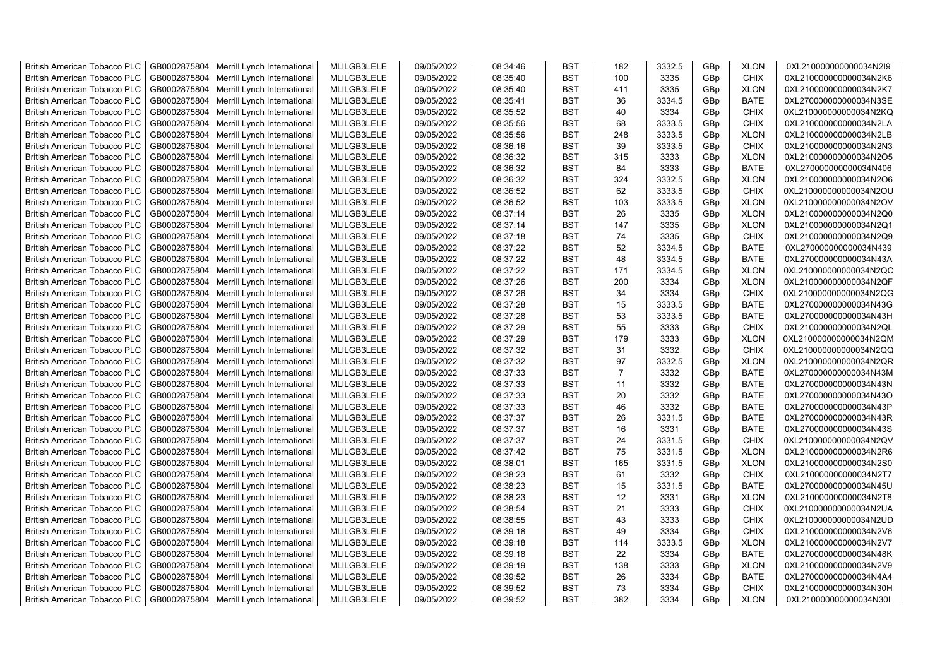| <b>British American Tobacco PLC</b> | GB0002875804 | Merrill Lynch International                | MLILGB3LELE | 09/05/2022 | 08:34:46 | <b>BST</b> | 182            | 3332.5 | GBp             | <b>XLON</b> | 0XL210000000000034N2I9 |
|-------------------------------------|--------------|--------------------------------------------|-------------|------------|----------|------------|----------------|--------|-----------------|-------------|------------------------|
| <b>British American Tobacco PLC</b> | GB0002875804 | Merrill Lynch International                | MLILGB3LELE | 09/05/2022 | 08:35:40 | <b>BST</b> | 100            | 3335   | GBp             | <b>CHIX</b> | 0XL210000000000034N2K6 |
| <b>British American Tobacco PLC</b> | GB0002875804 | Merrill Lynch International                | MLILGB3LELE | 09/05/2022 | 08:35:40 | <b>BST</b> | 411            | 3335   | GBp             | <b>XLON</b> | 0XL210000000000034N2K7 |
| <b>British American Tobacco PLC</b> | GB0002875804 | Merrill Lynch International                | MLILGB3LELE | 09/05/2022 | 08:35:41 | <b>BST</b> | 36             | 3334.5 | GBp             | <b>BATE</b> | 0XL270000000000034N3SE |
| <b>British American Tobacco PLC</b> | GB0002875804 | Merrill Lynch International                | MLILGB3LELE | 09/05/2022 | 08:35:52 | <b>BST</b> | 40             | 3334   | GBp             | <b>CHIX</b> | 0XL210000000000034N2KQ |
| <b>British American Tobacco PLC</b> | GB0002875804 | Merrill Lynch International                | MLILGB3LELE | 09/05/2022 | 08:35:56 | <b>BST</b> | 68             | 3333.5 | GBp             | <b>CHIX</b> | 0XL210000000000034N2LA |
| <b>British American Tobacco PLC</b> | GB0002875804 | Merrill Lynch International                | MLILGB3LELE | 09/05/2022 | 08:35:56 | <b>BST</b> | 248            | 3333.5 | GBp             | <b>XLON</b> | 0XL210000000000034N2LB |
| <b>British American Tobacco PLC</b> | GB0002875804 | Merrill Lynch International                | MLILGB3LELE | 09/05/2022 | 08:36:16 | <b>BST</b> | 39             | 3333.5 | GBp             | <b>CHIX</b> | 0XL210000000000034N2N3 |
| <b>British American Tobacco PLC</b> | GB0002875804 | Merrill Lynch International                | MLILGB3LELE | 09/05/2022 | 08:36:32 | BST        | 315            | 3333   | GBp             | <b>XLON</b> | 0XL210000000000034N2O5 |
| <b>British American Tobacco PLC</b> | GB0002875804 | Merrill Lynch International                | MLILGB3LELE | 09/05/2022 | 08:36:32 | <b>BST</b> | 84             | 3333   | GBp             | <b>BATE</b> | 0XL270000000000034N406 |
| <b>British American Tobacco PLC</b> | GB0002875804 | Merrill Lynch International                | MLILGB3LELE | 09/05/2022 | 08:36:32 | BST        | 324            | 3332.5 | GBp             | <b>XLON</b> | 0XL210000000000034N2O6 |
| <b>British American Tobacco PLC</b> | GB0002875804 | Merrill Lynch International                | MLILGB3LELE | 09/05/2022 | 08:36:52 | <b>BST</b> | 62             | 3333.5 | GBp             | <b>CHIX</b> | 0XL210000000000034N2OU |
| <b>British American Tobacco PLC</b> | GB0002875804 | Merrill Lynch International                | MLILGB3LELE | 09/05/2022 | 08:36:52 | <b>BST</b> | 103            | 3333.5 | GBp             | <b>XLON</b> | 0XL210000000000034N2OV |
| <b>British American Tobacco PLC</b> | GB0002875804 | Merrill Lynch International                | MLILGB3LELE | 09/05/2022 | 08:37:14 | <b>BST</b> | 26             | 3335   | GBp             | <b>XLON</b> | 0XL210000000000034N2Q0 |
| <b>British American Tobacco PLC</b> | GB0002875804 | Merrill Lynch International                | MLILGB3LELE | 09/05/2022 | 08:37:14 | <b>BST</b> | 147            | 3335   | GBp             | <b>XLON</b> | 0XL210000000000034N2Q1 |
| <b>British American Tobacco PLC</b> | GB0002875804 | Merrill Lynch International                | MLILGB3LELE | 09/05/2022 | 08:37:18 | <b>BST</b> | 74             | 3335   | GBp             | <b>CHIX</b> | 0XL210000000000034N2Q9 |
| <b>British American Tobacco PLC</b> | GB0002875804 | Merrill Lynch International                | MLILGB3LELE | 09/05/2022 | 08:37:22 | <b>BST</b> | 52             | 3334.5 | GBp             | <b>BATE</b> | 0XL270000000000034N439 |
| <b>British American Tobacco PLC</b> | GB0002875804 | Merrill Lynch International                | MLILGB3LELE | 09/05/2022 | 08:37:22 | <b>BST</b> | 48             | 3334.5 | GBp             | <b>BATE</b> | 0XL270000000000034N43A |
| <b>British American Tobacco PLC</b> | GB0002875804 | Merrill Lynch International                | MLILGB3LELE | 09/05/2022 | 08:37:22 | <b>BST</b> | 171            | 3334.5 | GBp             | <b>XLON</b> | 0XL210000000000034N2QC |
| <b>British American Tobacco PLC</b> | GB0002875804 | Merrill Lynch International                | MLILGB3LELE | 09/05/2022 | 08:37:26 | <b>BST</b> | 200            | 3334   | GBp             | <b>XLON</b> | 0XL210000000000034N2QF |
| <b>British American Tobacco PLC</b> | GB0002875804 | Merrill Lynch International                | MLILGB3LELE | 09/05/2022 | 08:37:26 | <b>BST</b> | 34             | 3334   | GBp             | <b>CHIX</b> | 0XL210000000000034N2QG |
| <b>British American Tobacco PLC</b> | GB0002875804 | Merrill Lynch International                | MLILGB3LELE | 09/05/2022 | 08:37:28 | <b>BST</b> | 15             | 3333.5 | GBp             | <b>BATE</b> | 0XL270000000000034N43G |
| <b>British American Tobacco PLC</b> | GB0002875804 | Merrill Lynch International                | MLILGB3LELE | 09/05/2022 | 08:37:28 | <b>BST</b> | 53             | 3333.5 | GBp             | <b>BATE</b> | 0XL270000000000034N43H |
| <b>British American Tobacco PLC</b> | GB0002875804 | Merrill Lynch International                | MLILGB3LELE | 09/05/2022 | 08:37:29 | <b>BST</b> | 55             | 3333   | GBp             | <b>CHIX</b> | 0XL210000000000034N2QL |
| <b>British American Tobacco PLC</b> | GB0002875804 | Merrill Lynch International                | MLILGB3LELE | 09/05/2022 | 08:37:29 | <b>BST</b> | 179            | 3333   | GBp             | <b>XLON</b> | 0XL210000000000034N2QM |
| <b>British American Tobacco PLC</b> | GB0002875804 | Merrill Lynch International                | MLILGB3LELE | 09/05/2022 | 08:37:32 | <b>BST</b> | 31             | 3332   | GBp             | <b>CHIX</b> | 0XL210000000000034N2QQ |
| <b>British American Tobacco PLC</b> | GB0002875804 | Merrill Lynch International                | MLILGB3LELE | 09/05/2022 | 08:37:32 | <b>BST</b> | 97             | 3332.5 | GBp             | <b>XLON</b> | 0XL210000000000034N2QR |
| <b>British American Tobacco PLC</b> | GB0002875804 | Merrill Lynch International                | MLILGB3LELE | 09/05/2022 | 08:37:33 | <b>BST</b> | $\overline{7}$ | 3332   | GBp             | <b>BATE</b> | 0XL270000000000034N43M |
| <b>British American Tobacco PLC</b> | GB0002875804 | Merrill Lynch International                | MLILGB3LELE | 09/05/2022 | 08:37:33 | BST        | 11             | 3332   | GBp             | <b>BATE</b> | 0XL270000000000034N43N |
| <b>British American Tobacco PLC</b> | GB0002875804 | Merrill Lynch International                | MLILGB3LELE | 09/05/2022 | 08:37:33 | <b>BST</b> | 20             | 3332   | GBp             | <b>BATE</b> | 0XL270000000000034N43O |
| <b>British American Tobacco PLC</b> | GB0002875804 | Merrill Lynch International                | MLILGB3LELE | 09/05/2022 | 08:37:33 | <b>BST</b> | 46             | 3332   | GBp             | <b>BATE</b> | 0XL270000000000034N43P |
| <b>British American Tobacco PLC</b> | GB0002875804 | Merrill Lynch International                | MLILGB3LELE | 09/05/2022 | 08:37:37 | <b>BST</b> | 26             | 3331.5 | GBp             | <b>BATE</b> | 0XL270000000000034N43R |
| <b>British American Tobacco PLC</b> | GB0002875804 | Merrill Lynch International                | MLILGB3LELE | 09/05/2022 | 08:37:37 | <b>BST</b> | 16             | 3331   | GBp             | <b>BATE</b> | 0XL270000000000034N43S |
| <b>British American Tobacco PLC</b> | GB0002875804 | Merrill Lynch International                | MLILGB3LELE | 09/05/2022 | 08:37:37 | BST        | 24             | 3331.5 | GBp             | <b>CHIX</b> | 0XL210000000000034N2QV |
| <b>British American Tobacco PLC</b> | GB0002875804 | Merrill Lynch International                | MLILGB3LELE | 09/05/2022 | 08:37:42 | <b>BST</b> | 75             | 3331.5 | GBp             | <b>XLON</b> | 0XL210000000000034N2R6 |
| <b>British American Tobacco PLC</b> | GB0002875804 | Merrill Lynch International                | MLILGB3LELE | 09/05/2022 | 08:38:01 | <b>BST</b> | 165            | 3331.5 | GBp             | <b>XLON</b> | 0XL210000000000034N2S0 |
| <b>British American Tobacco PLC</b> | GB0002875804 | Merrill Lynch International                | MLILGB3LELE | 09/05/2022 | 08:38:23 | <b>BST</b> | 61             | 3332   | GBp             | <b>CHIX</b> | 0XL210000000000034N2T7 |
| <b>British American Tobacco PLC</b> | GB0002875804 | Merrill Lynch International                | MLILGB3LELE | 09/05/2022 | 08:38:23 | <b>BST</b> | 15             | 3331.5 | GBp             | <b>BATE</b> | 0XL270000000000034N45U |
| <b>British American Tobacco PLC</b> | GB0002875804 | Merrill Lynch International                | MLILGB3LELE | 09/05/2022 | 08:38:23 | <b>BST</b> | 12             | 3331   | GBp             | <b>XLON</b> | 0XL210000000000034N2T8 |
| <b>British American Tobacco PLC</b> | GB0002875804 | Merrill Lynch International                | MLILGB3LELE | 09/05/2022 | 08:38:54 | <b>BST</b> | 21             | 3333   | GBp             | <b>CHIX</b> | 0XL210000000000034N2UA |
| <b>British American Tobacco PLC</b> | GB0002875804 | Merrill Lynch International                | MLILGB3LELE | 09/05/2022 | 08:38:55 | <b>BST</b> | 43             | 3333   | GBp             | <b>CHIX</b> | 0XL210000000000034N2UD |
| <b>British American Tobacco PLC</b> | GB0002875804 | Merrill Lynch International                | MLILGB3LELE | 09/05/2022 | 08:39:18 | <b>BST</b> | 49             | 3334   | GBp             | <b>CHIX</b> | 0XL210000000000034N2V6 |
| <b>British American Tobacco PLC</b> | GB0002875804 | Merrill Lynch International                | MLILGB3LELE | 09/05/2022 | 08:39:18 | <b>BST</b> | 114            | 3333.5 | GBp             | <b>XLON</b> | 0XL210000000000034N2V7 |
| <b>British American Tobacco PLC</b> | GB0002875804 | Merrill Lynch International                | MLILGB3LELE | 09/05/2022 | 08:39:18 | <b>BST</b> | 22             | 3334   | GBp             | <b>BATE</b> | 0XL270000000000034N48K |
| <b>British American Tobacco PLC</b> | GB0002875804 | Merrill Lynch International                | MLILGB3LELE | 09/05/2022 | 08:39:19 | <b>BST</b> | 138            | 3333   | GBp             | <b>XLON</b> | 0XL210000000000034N2V9 |
| <b>British American Tobacco PLC</b> | GB0002875804 | Merrill Lynch International                | MLILGB3LELE | 09/05/2022 | 08:39:52 | <b>BST</b> | 26             | 3334   | GBp             | <b>BATE</b> | 0XL270000000000034N4A4 |
| <b>British American Tobacco PLC</b> | GB0002875804 | Merrill Lynch International                | MLILGB3LELE | 09/05/2022 | 08:39:52 | <b>BST</b> | 73             | 3334   | GBp             | <b>CHIX</b> | 0XL210000000000034N30H |
| <b>British American Tobacco PLC</b> |              | GB0002875804   Merrill Lynch International | MLILGB3LELE | 09/05/2022 | 08:39:52 | <b>BST</b> | 382            | 3334   | GB <sub>p</sub> | <b>XLON</b> | 0XL210000000000034N30I |
|                                     |              |                                            |             |            |          |            |                |        |                 |             |                        |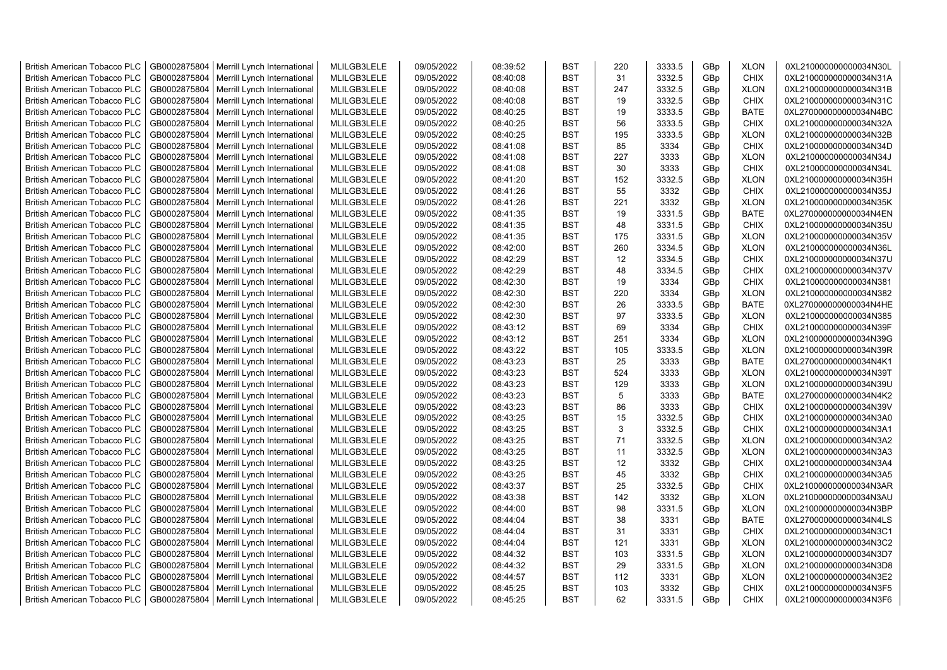| <b>British American Tobacco PLC</b> | GB0002875804 | Merrill Lynch International                                | MLILGB3LELE | 09/05/2022 | 08:39:52 | <b>BST</b> | 220 | 3333.5 | GBp             | <b>XLON</b> | 0XL210000000000034N30L                           |
|-------------------------------------|--------------|------------------------------------------------------------|-------------|------------|----------|------------|-----|--------|-----------------|-------------|--------------------------------------------------|
| <b>British American Tobacco PLC</b> | GB0002875804 | Merrill Lynch International                                | MLILGB3LELE | 09/05/2022 | 08:40:08 | <b>BST</b> | 31  | 3332.5 | GBp             | <b>CHIX</b> | 0XL210000000000034N31A                           |
| <b>British American Tobacco PLC</b> | GB0002875804 | Merrill Lynch International                                | MLILGB3LELE | 09/05/2022 | 08:40:08 | <b>BST</b> | 247 | 3332.5 | GBp             | <b>XLON</b> | 0XL210000000000034N31B                           |
| <b>British American Tobacco PLC</b> | GB0002875804 | Merrill Lynch International                                | MLILGB3LELE | 09/05/2022 | 08:40:08 | <b>BST</b> | 19  | 3332.5 | GBp             | <b>CHIX</b> | 0XL210000000000034N31C                           |
| <b>British American Tobacco PLC</b> | GB0002875804 | Merrill Lynch International                                | MLILGB3LELE | 09/05/2022 | 08:40:25 | <b>BST</b> | 19  | 3333.5 | GBp             | <b>BATE</b> | 0XL270000000000034N4BC                           |
| <b>British American Tobacco PLC</b> | GB0002875804 | Merrill Lynch International                                | MLILGB3LELE | 09/05/2022 | 08:40:25 | <b>BST</b> | 56  | 3333.5 | GBp             | <b>CHIX</b> | 0XL210000000000034N32A                           |
| <b>British American Tobacco PLC</b> | GB0002875804 | Merrill Lynch International                                | MLILGB3LELE | 09/05/2022 | 08:40:25 | BST        | 195 | 3333.5 | GBp             | <b>XLON</b> | 0XL210000000000034N32B                           |
| <b>British American Tobacco PLC</b> | GB0002875804 | Merrill Lynch International                                | MLILGB3LELE | 09/05/2022 | 08:41:08 | <b>BST</b> | 85  | 3334   | GBp             | <b>CHIX</b> | 0XL210000000000034N34D                           |
| <b>British American Tobacco PLC</b> | GB0002875804 | Merrill Lynch International                                | MLILGB3LELE | 09/05/2022 | 08:41:08 | <b>BST</b> | 227 | 3333   | GBp             | <b>XLON</b> | 0XL210000000000034N34J                           |
| <b>British American Tobacco PLC</b> | GB0002875804 | Merrill Lynch International                                | MLILGB3LELE | 09/05/2022 | 08:41:08 | BST        | 30  | 3333   | GBp             | <b>CHIX</b> | 0XL210000000000034N34L                           |
| <b>British American Tobacco PLC</b> | GB0002875804 | Merrill Lynch International                                | MLILGB3LELE | 09/05/2022 | 08:41:20 | <b>BST</b> | 152 | 3332.5 | GBp             | <b>XLON</b> | 0XL210000000000034N35H                           |
| <b>British American Tobacco PLC</b> | GB0002875804 | Merrill Lynch International                                | MLILGB3LELE | 09/05/2022 | 08:41:26 | <b>BST</b> | 55  | 3332   | GBp             | <b>CHIX</b> | 0XL210000000000034N35J                           |
| <b>British American Tobacco PLC</b> | GB0002875804 | Merrill Lynch International                                | MLILGB3LELE | 09/05/2022 | 08:41:26 | <b>BST</b> | 221 | 3332   | GBp             | <b>XLON</b> | 0XL210000000000034N35K                           |
| <b>British American Tobacco PLC</b> | GB0002875804 | Merrill Lynch International                                | MLILGB3LELE | 09/05/2022 | 08:41:35 | <b>BST</b> | 19  | 3331.5 | GBp             | <b>BATE</b> | 0XL270000000000034N4EN                           |
|                                     |              |                                                            |             |            |          | <b>BST</b> | 48  | 3331.5 |                 | <b>CHIX</b> |                                                  |
| <b>British American Tobacco PLC</b> | GB0002875804 | Merrill Lynch International                                | MLILGB3LELE | 09/05/2022 | 08:41:35 |            |     |        | GBp             |             | 0XL210000000000034N35U                           |
| <b>British American Tobacco PLC</b> | GB0002875804 | Merrill Lynch International                                | MLILGB3LELE | 09/05/2022 | 08:41:35 | BST        | 175 | 3331.5 | GBp             | <b>XLON</b> | 0XL210000000000034N35V                           |
| <b>British American Tobacco PLC</b> | GB0002875804 | Merrill Lynch International                                | MLILGB3LELE | 09/05/2022 | 08:42:00 | BST        | 260 | 3334.5 | GBp             | <b>XLON</b> | 0XL210000000000034N36L                           |
| <b>British American Tobacco PLC</b> | GB0002875804 | Merrill Lynch International                                | MLILGB3LELE | 09/05/2022 | 08:42:29 | BST        | 12  | 3334.5 | GBp             | <b>CHIX</b> | 0XL210000000000034N37U                           |
| <b>British American Tobacco PLC</b> | GB0002875804 | Merrill Lynch International                                | MLILGB3LELE | 09/05/2022 | 08:42:29 | <b>BST</b> | 48  | 3334.5 | GBp             | <b>CHIX</b> | 0XL210000000000034N37V                           |
| <b>British American Tobacco PLC</b> | GB0002875804 | Merrill Lynch International                                | MLILGB3LELE | 09/05/2022 | 08:42:30 | <b>BST</b> | 19  | 3334   | GBp             | <b>CHIX</b> | 0XL210000000000034N381                           |
| <b>British American Tobacco PLC</b> | GB0002875804 | Merrill Lynch International                                | MLILGB3LELE | 09/05/2022 | 08:42:30 | <b>BST</b> | 220 | 3334   | GBp             | <b>XLON</b> | 0XL210000000000034N382                           |
| <b>British American Tobacco PLC</b> | GB0002875804 | Merrill Lynch International                                | MLILGB3LELE | 09/05/2022 | 08:42:30 | <b>BST</b> | 26  | 3333.5 | GBp             | <b>BATE</b> | 0XL270000000000034N4HE                           |
| <b>British American Tobacco PLC</b> | GB0002875804 | Merrill Lynch International                                | MLILGB3LELE | 09/05/2022 | 08:42:30 | <b>BST</b> | 97  | 3333.5 | GBp             | <b>XLON</b> | 0XL210000000000034N385                           |
| <b>British American Tobacco PLC</b> | GB0002875804 | Merrill Lynch International                                | MLILGB3LELE | 09/05/2022 | 08:43:12 | <b>BST</b> | 69  | 3334   | GBp             | <b>CHIX</b> | 0XL210000000000034N39F                           |
| <b>British American Tobacco PLC</b> | GB0002875804 | Merrill Lynch International                                | MLILGB3LELE | 09/05/2022 | 08:43:12 | <b>BST</b> | 251 | 3334   | GBp             | <b>XLON</b> | 0XL210000000000034N39G                           |
| <b>British American Tobacco PLC</b> | GB0002875804 | Merrill Lynch International                                | MLILGB3LELE | 09/05/2022 | 08:43:22 | BST        | 105 | 3333.5 | GBp             | <b>XLON</b> | 0XL210000000000034N39R                           |
| <b>British American Tobacco PLC</b> | GB0002875804 | Merrill Lynch International                                | MLILGB3LELE | 09/05/2022 | 08:43:23 | <b>BST</b> | 25  | 3333   | GBp             | <b>BATE</b> | 0XL270000000000034N4K1                           |
| <b>British American Tobacco PLC</b> | GB0002875804 | Merrill Lynch International                                | MLILGB3LELE | 09/05/2022 | 08:43:23 | <b>BST</b> | 524 | 3333   | GBp             | <b>XLON</b> | 0XL210000000000034N39T                           |
| <b>British American Tobacco PLC</b> | GB0002875804 | Merrill Lynch International                                | MLILGB3LELE | 09/05/2022 | 08:43:23 | <b>BST</b> | 129 | 3333   | GBp             | <b>XLON</b> | 0XL210000000000034N39U                           |
| <b>British American Tobacco PLC</b> | GB0002875804 | Merrill Lynch International                                | MLILGB3LELE | 09/05/2022 | 08:43:23 | <b>BST</b> | 5   | 3333   | GBp             | <b>BATE</b> | 0XL270000000000034N4K2                           |
| <b>British American Tobacco PLC</b> | GB0002875804 | Merrill Lynch International                                | MLILGB3LELE | 09/05/2022 | 08:43:23 | <b>BST</b> | 86  | 3333   | GBp             | <b>CHIX</b> | 0XL210000000000034N39V                           |
| <b>British American Tobacco PLC</b> | GB0002875804 | Merrill Lynch International                                | MLILGB3LELE | 09/05/2022 | 08:43:25 | <b>BST</b> | 15  | 3332.5 | GBp             | <b>CHIX</b> | 0XL210000000000034N3A0                           |
| <b>British American Tobacco PLC</b> | GB0002875804 | Merrill Lynch International                                | MLILGB3LELE | 09/05/2022 | 08:43:25 | <b>BST</b> | 3   | 3332.5 | GBp             | <b>CHIX</b> | 0XL210000000000034N3A1                           |
| <b>British American Tobacco PLC</b> | GB0002875804 | Merrill Lynch International                                | MLILGB3LELE | 09/05/2022 | 08:43:25 | BST        | 71  | 3332.5 | GBp             | <b>XLON</b> | 0XL210000000000034N3A2                           |
| <b>British American Tobacco PLC</b> | GB0002875804 | Merrill Lynch International                                | MLILGB3LELE | 09/05/2022 | 08:43:25 | <b>BST</b> | 11  | 3332.5 | GBp             | <b>XLON</b> | 0XL210000000000034N3A3                           |
| <b>British American Tobacco PLC</b> | GB0002875804 | Merrill Lynch International                                | MLILGB3LELE | 09/05/2022 | 08:43:25 | <b>BST</b> | 12  | 3332   | GBp             | <b>CHIX</b> | 0XL210000000000034N3A4                           |
| <b>British American Tobacco PLC</b> | GB0002875804 | Merrill Lynch International                                | MLILGB3LELE | 09/05/2022 | 08:43:25 | <b>BST</b> | 45  | 3332   | GBp             | <b>CHIX</b> | 0XL210000000000034N3A5                           |
| <b>British American Tobacco PLC</b> | GB0002875804 | Merrill Lynch International                                | MLILGB3LELE | 09/05/2022 | 08:43:37 | <b>BST</b> | 25  | 3332.5 | GBp             | <b>CHIX</b> | 0XL210000000000034N3AR                           |
| <b>British American Tobacco PLC</b> | GB0002875804 | Merrill Lynch International                                | MLILGB3LELE | 09/05/2022 | 08:43:38 | <b>BST</b> | 142 | 3332   | GBp             | <b>XLON</b> | 0XL210000000000034N3AU                           |
| <b>British American Tobacco PLC</b> | GB0002875804 | Merrill Lynch International                                | MLILGB3LELE | 09/05/2022 | 08:44:00 | <b>BST</b> | 98  | 3331.5 | GBp             | <b>XLON</b> | 0XL210000000000034N3BP                           |
| <b>British American Tobacco PLC</b> | GB0002875804 | Merrill Lynch International                                | MLILGB3LELE | 09/05/2022 | 08:44:04 | BST        | 38  | 3331   | GBp             | <b>BATE</b> | 0XL270000000000034N4LS                           |
| <b>British American Tobacco PLC</b> | GB0002875804 | Merrill Lynch International                                | MLILGB3LELE | 09/05/2022 | 08:44:04 | <b>BST</b> | 31  | 3331   | GBp             | <b>CHIX</b> | 0XL210000000000034N3C1                           |
| <b>British American Tobacco PLC</b> | GB0002875804 | Merrill Lynch International                                | MLILGB3LELE | 09/05/2022 | 08:44:04 | <b>BST</b> | 121 | 3331   | GBp             | <b>XLON</b> | 0XL210000000000034N3C2                           |
| <b>British American Tobacco PLC</b> | GB0002875804 | Merrill Lynch International                                | MLILGB3LELE | 09/05/2022 | 08:44:32 | <b>BST</b> | 103 | 3331.5 | GBp             | <b>XLON</b> |                                                  |
| <b>British American Tobacco PLC</b> | GB0002875804 |                                                            | MLILGB3LELE | 09/05/2022 | 08:44:32 | <b>BST</b> | 29  | 3331.5 | GBp             | <b>XLON</b> | 0XL210000000000034N3D7<br>0XL210000000000034N3D8 |
| <b>British American Tobacco PLC</b> | GB0002875804 | Merrill Lynch International<br>Merrill Lynch International | MLILGB3LELE | 09/05/2022 | 08:44:57 | <b>BST</b> | 112 | 3331   | GBp             | <b>XLON</b> | 0XL210000000000034N3E2                           |
|                                     |              |                                                            |             |            |          |            |     |        |                 |             |                                                  |
| <b>British American Tobacco PLC</b> | GB0002875804 | Merrill Lynch International                                | MLILGB3LELE | 09/05/2022 | 08:45:25 | <b>BST</b> | 103 | 3332   | GBp             | <b>CHIX</b> | 0XL210000000000034N3F5                           |
| <b>British American Tobacco PLC</b> |              | GB0002875804   Merrill Lynch International                 | MLILGB3LELE | 09/05/2022 | 08:45:25 | <b>BST</b> | 62  | 3331.5 | GB <sub>p</sub> | <b>CHIX</b> | 0XL210000000000034N3F6                           |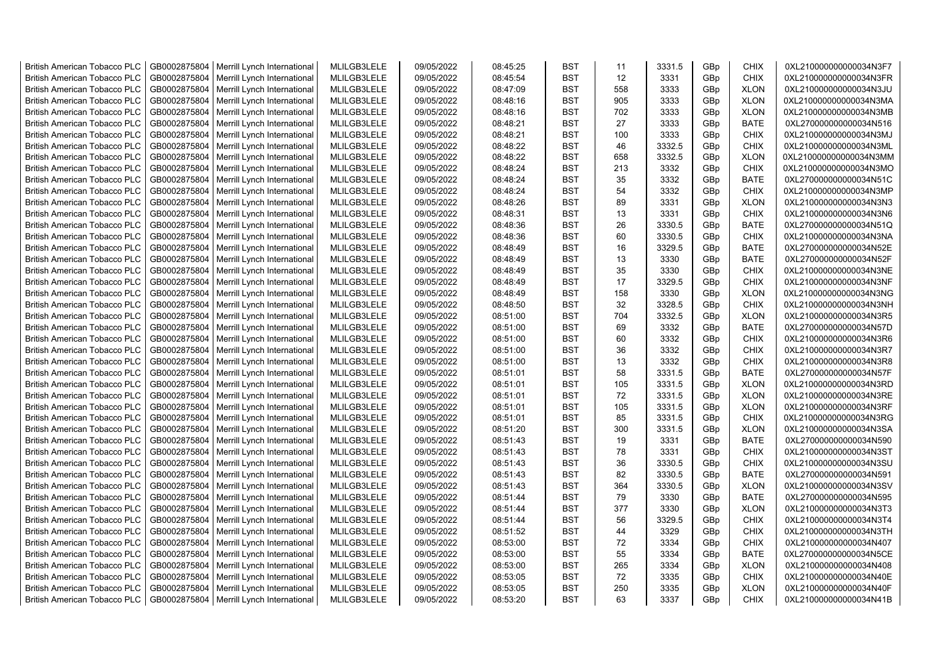| <b>British American Tobacco PLC</b> | GB0002875804 | Merrill Lynch International                | MLILGB3LELE | 09/05/2022 | 08:45:25 | <b>BST</b> | 11  | 3331.5 | GBp             | <b>CHIX</b> | 0XL210000000000034N3F7 |
|-------------------------------------|--------------|--------------------------------------------|-------------|------------|----------|------------|-----|--------|-----------------|-------------|------------------------|
| <b>British American Tobacco PLC</b> | GB0002875804 | Merrill Lynch International                | MLILGB3LELE | 09/05/2022 | 08:45:54 | <b>BST</b> | 12  | 3331   | GBp             | <b>CHIX</b> | 0XL210000000000034N3FR |
| <b>British American Tobacco PLC</b> | GB0002875804 | Merrill Lynch International                | MLILGB3LELE | 09/05/2022 | 08:47:09 | <b>BST</b> | 558 | 3333   | GBp             | <b>XLON</b> | 0XL210000000000034N3JU |
| <b>British American Tobacco PLC</b> | GB0002875804 | Merrill Lynch International                | MLILGB3LELE | 09/05/2022 | 08:48:16 | <b>BST</b> | 905 | 3333   | GBp             | <b>XLON</b> | 0XL210000000000034N3MA |
| <b>British American Tobacco PLC</b> | GB0002875804 | Merrill Lynch International                | MLILGB3LELE | 09/05/2022 | 08:48:16 | <b>BST</b> | 702 | 3333   | GBp             | <b>XLON</b> | 0XL210000000000034N3MB |
| <b>British American Tobacco PLC</b> | GB0002875804 | Merrill Lynch International                | MLILGB3LELE | 09/05/2022 | 08:48:21 | <b>BST</b> | 27  | 3333   | GBp             | <b>BATE</b> | 0XL270000000000034N516 |
| British American Tobacco PLC        | GB0002875804 | Merrill Lynch International                | MLILGB3LELE | 09/05/2022 | 08:48:21 | <b>BST</b> | 100 | 3333   | GBp             | <b>CHIX</b> | 0XL210000000000034N3MJ |
| <b>British American Tobacco PLC</b> | GB0002875804 | Merrill Lynch International                | MLILGB3LELE | 09/05/2022 | 08:48:22 | <b>BST</b> | 46  | 3332.5 | GBp             | <b>CHIX</b> | 0XL210000000000034N3ML |
| <b>British American Tobacco PLC</b> | GB0002875804 | Merrill Lynch International                | MLILGB3LELE | 09/05/2022 | 08:48:22 | <b>BST</b> | 658 | 3332.5 | GBp             | <b>XLON</b> | 0XL210000000000034N3MM |
| <b>British American Tobacco PLC</b> | GB0002875804 | Merrill Lynch International                | MLILGB3LELE | 09/05/2022 | 08:48:24 | <b>BST</b> | 213 | 3332   | GBp             | <b>CHIX</b> | 0XL210000000000034N3MO |
| <b>British American Tobacco PLC</b> | GB0002875804 | Merrill Lynch International                | MLILGB3LELE | 09/05/2022 | 08:48:24 | <b>BST</b> | 35  | 3332   | GBp             | <b>BATE</b> | 0XL270000000000034N51C |
| <b>British American Tobacco PLC</b> | GB0002875804 | Merrill Lynch International                | MLILGB3LELE | 09/05/2022 | 08:48:24 | <b>BST</b> | 54  | 3332   | GBp             | <b>CHIX</b> | 0XL210000000000034N3MP |
| <b>British American Tobacco PLC</b> | GB0002875804 | Merrill Lynch International                | MLILGB3LELE | 09/05/2022 | 08:48:26 | <b>BST</b> | 89  | 3331   | GBp             | <b>XLON</b> | 0XL210000000000034N3N3 |
| <b>British American Tobacco PLC</b> | GB0002875804 | Merrill Lynch International                | MLILGB3LELE | 09/05/2022 | 08:48:31 | <b>BST</b> | 13  | 3331   | GBp             | <b>CHIX</b> | 0XL210000000000034N3N6 |
| <b>British American Tobacco PLC</b> | GB0002875804 | Merrill Lynch International                | MLILGB3LELE | 09/05/2022 | 08:48:36 | <b>BST</b> | 26  | 3330.5 | GBp             | BATE        | 0XL270000000000034N51Q |
| <b>British American Tobacco PLC</b> | GB0002875804 | Merrill Lynch International                | MLILGB3LELE | 09/05/2022 | 08:48:36 | <b>BST</b> | 60  | 3330.5 | GBp             | <b>CHIX</b> | 0XL210000000000034N3NA |
| <b>British American Tobacco PLC</b> | GB0002875804 | Merrill Lynch International                | MLILGB3LELE | 09/05/2022 | 08:48:49 | <b>BST</b> | 16  | 3329.5 | GBp             | <b>BATE</b> | 0XL270000000000034N52E |
| <b>British American Tobacco PLC</b> | GB0002875804 | Merrill Lynch International                | MLILGB3LELE | 09/05/2022 | 08:48:49 | <b>BST</b> | 13  | 3330   | GBp             | <b>BATE</b> | 0XL270000000000034N52F |
| <b>British American Tobacco PLC</b> | GB0002875804 | Merrill Lynch International                | MLILGB3LELE | 09/05/2022 | 08:48:49 | <b>BST</b> | 35  | 3330   | GBp             | <b>CHIX</b> | 0XL210000000000034N3NE |
| <b>British American Tobacco PLC</b> | GB0002875804 | Merrill Lynch International                | MLILGB3LELE | 09/05/2022 | 08:48:49 | <b>BST</b> | 17  | 3329.5 | GBp             | <b>CHIX</b> | 0XL210000000000034N3NF |
| <b>British American Tobacco PLC</b> | GB0002875804 | Merrill Lynch International                | MLILGB3LELE | 09/05/2022 | 08:48:49 | <b>BST</b> | 158 | 3330   | GBp             | <b>XLON</b> | 0XL210000000000034N3NG |
| <b>British American Tobacco PLC</b> | GB0002875804 | Merrill Lynch International                | MLILGB3LELE | 09/05/2022 | 08:48:50 | <b>BST</b> | 32  | 3328.5 | GBp             | <b>CHIX</b> | 0XL210000000000034N3NH |
| <b>British American Tobacco PLC</b> | GB0002875804 | Merrill Lynch International                | MLILGB3LELE | 09/05/2022 | 08:51:00 | <b>BST</b> | 704 | 3332.5 | GBp             | <b>XLON</b> | 0XL210000000000034N3R5 |
| <b>British American Tobacco PLC</b> | GB0002875804 | Merrill Lynch International                | MLILGB3LELE | 09/05/2022 | 08:51:00 | <b>BST</b> | 69  | 3332   | GBp             | <b>BATE</b> | 0XL270000000000034N57D |
| <b>British American Tobacco PLC</b> | GB0002875804 | Merrill Lynch International                | MLILGB3LELE | 09/05/2022 | 08:51:00 | <b>BST</b> | 60  | 3332   | GBp             | <b>CHIX</b> | 0XL210000000000034N3R6 |
| <b>British American Tobacco PLC</b> | GB0002875804 | Merrill Lynch International                | MLILGB3LELE | 09/05/2022 | 08:51:00 | <b>BST</b> | 36  | 3332   | GBp             | <b>CHIX</b> | 0XL210000000000034N3R7 |
| <b>British American Tobacco PLC</b> | GB0002875804 | Merrill Lynch International                | MLILGB3LELE | 09/05/2022 | 08:51:00 | <b>BST</b> | 13  | 3332   | GBp             | <b>CHIX</b> | 0XL210000000000034N3R8 |
| <b>British American Tobacco PLC</b> | GB0002875804 | Merrill Lynch International                | MLILGB3LELE | 09/05/2022 | 08:51:01 | <b>BST</b> | 58  | 3331.5 | GBp             | BATE        | 0XL270000000000034N57F |
| <b>British American Tobacco PLC</b> | GB0002875804 | Merrill Lynch International                | MLILGB3LELE | 09/05/2022 | 08:51:01 | <b>BST</b> | 105 | 3331.5 | GBp             | <b>XLON</b> | 0XL210000000000034N3RD |
| <b>British American Tobacco PLC</b> | GB0002875804 | Merrill Lynch International                | MLILGB3LELE | 09/05/2022 | 08:51:01 | <b>BST</b> | 72  | 3331.5 | GBp             | <b>XLON</b> | 0XL210000000000034N3RE |
| <b>British American Tobacco PLC</b> | GB0002875804 | Merrill Lynch International                | MLILGB3LELE | 09/05/2022 | 08:51:01 | <b>BST</b> | 105 | 3331.5 | GBp             | <b>XLON</b> | 0XL210000000000034N3RF |
| <b>British American Tobacco PLC</b> | GB0002875804 | Merrill Lynch International                | MLILGB3LELE | 09/05/2022 | 08:51:01 | <b>BST</b> | 85  | 3331.5 | GBp             | <b>CHIX</b> | 0XL210000000000034N3RG |
| <b>British American Tobacco PLC</b> | GB0002875804 | Merrill Lynch International                | MLILGB3LELE | 09/05/2022 | 08:51:20 | <b>BST</b> | 300 | 3331.5 | GBp             | <b>XLON</b> | 0XL210000000000034N3SA |
| <b>British American Tobacco PLC</b> | GB0002875804 | Merrill Lynch International                | MLILGB3LELE | 09/05/2022 | 08:51:43 | <b>BST</b> | 19  | 3331   | GBp             | <b>BATE</b> | 0XL270000000000034N590 |
| <b>British American Tobacco PLC</b> | GB0002875804 | Merrill Lynch International                | MLILGB3LELE | 09/05/2022 | 08:51:43 | <b>BST</b> | 78  | 3331   | GBp             | <b>CHIX</b> | 0XL210000000000034N3ST |
| <b>British American Tobacco PLC</b> | GB0002875804 | Merrill Lynch International                | MLILGB3LELE | 09/05/2022 | 08:51:43 | <b>BST</b> | 36  | 3330.5 | GBp             | <b>CHIX</b> | 0XL210000000000034N3SU |
| <b>British American Tobacco PLC</b> | GB0002875804 | Merrill Lynch International                | MLILGB3LELE | 09/05/2022 | 08:51:43 | <b>BST</b> | 82  | 3330.5 | GBp             | <b>BATE</b> | 0XL270000000000034N591 |
| <b>British American Tobacco PLC</b> | GB0002875804 | Merrill Lynch International                | MLILGB3LELE | 09/05/2022 | 08:51:43 | <b>BST</b> | 364 | 3330.5 | GBp             | <b>XLON</b> | 0XL210000000000034N3SV |
| <b>British American Tobacco PLC</b> | GB0002875804 | Merrill Lynch International                | MLILGB3LELE | 09/05/2022 | 08:51:44 | <b>BST</b> | 79  | 3330   | GBp             | <b>BATE</b> | 0XL270000000000034N595 |
| <b>British American Tobacco PLC</b> | GB0002875804 | Merrill Lynch International                | MLILGB3LELE | 09/05/2022 | 08:51:44 | <b>BST</b> | 377 | 3330   | GBp             | <b>XLON</b> | 0XL210000000000034N3T3 |
| <b>British American Tobacco PLC</b> | GB0002875804 | Merrill Lynch International                | MLILGB3LELE | 09/05/2022 | 08:51:44 | <b>BST</b> | 56  | 3329.5 | GBp             | <b>CHIX</b> | 0XL210000000000034N3T4 |
| <b>British American Tobacco PLC</b> | GB0002875804 | Merrill Lynch International                | MLILGB3LELE | 09/05/2022 | 08:51:52 | <b>BST</b> | 44  | 3329   | GBp             | <b>CHIX</b> | 0XL210000000000034N3TH |
| <b>British American Tobacco PLC</b> | GB0002875804 | Merrill Lynch International                | MLILGB3LELE | 09/05/2022 | 08:53:00 | <b>BST</b> | 72  | 3334   | GBp             | <b>CHIX</b> | 0XL210000000000034N407 |
| <b>British American Tobacco PLC</b> | GB0002875804 | Merrill Lynch International                | MLILGB3LELE | 09/05/2022 | 08:53:00 | <b>BST</b> | 55  | 3334   | GBp             | <b>BATE</b> | 0XL270000000000034N5CE |
| <b>British American Tobacco PLC</b> | GB0002875804 | Merrill Lynch International                | MLILGB3LELE | 09/05/2022 | 08:53:00 | <b>BST</b> | 265 | 3334   | GBp             | <b>XLON</b> | 0XL210000000000034N408 |
| <b>British American Tobacco PLC</b> | GB0002875804 | Merrill Lynch International                | MLILGB3LELE | 09/05/2022 | 08:53:05 | <b>BST</b> | 72  | 3335   | GBp             | <b>CHIX</b> | 0XL210000000000034N40E |
| <b>British American Tobacco PLC</b> | GB0002875804 | Merrill Lynch International                | MLILGB3LELE | 09/05/2022 | 08:53:05 | <b>BST</b> | 250 | 3335   | GBp             | <b>XLON</b> | 0XL210000000000034N40F |
| <b>British American Tobacco PLC</b> |              | GB0002875804   Merrill Lynch International | MLILGB3LELE | 09/05/2022 | 08:53:20 | <b>BST</b> | 63  | 3337   | GB <sub>p</sub> | <b>CHIX</b> | 0XL210000000000034N41B |
|                                     |              |                                            |             |            |          |            |     |        |                 |             |                        |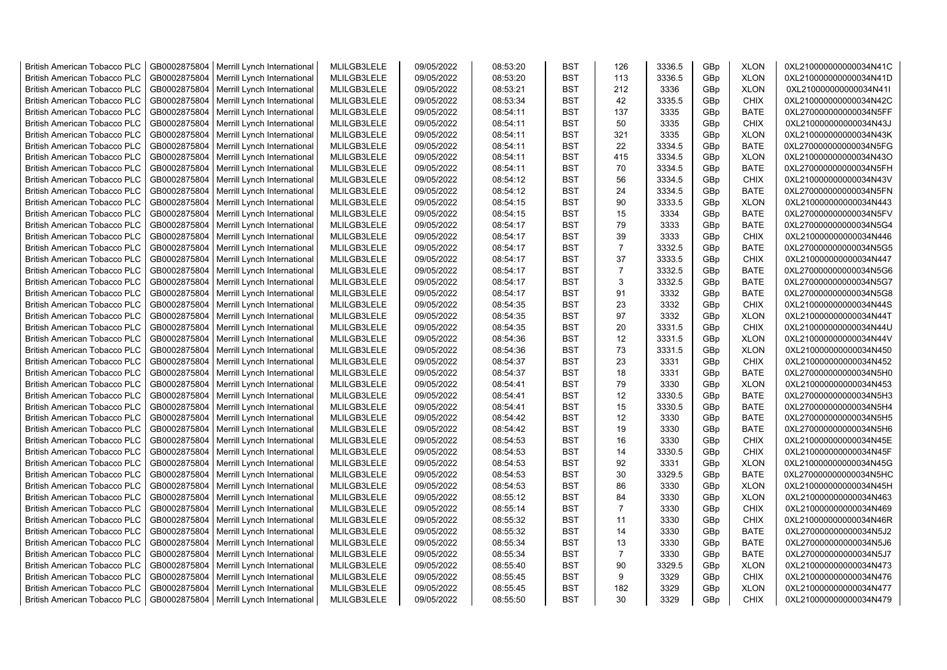| <b>British American Tobacco PLC</b> | GB0002875804 | Merrill Lynch International                | MLILGB3LELE | 09/05/2022 | 08:53:20 | <b>BST</b> | 126            | 3336.5 | GBp             | <b>XLON</b> | 0XL210000000000034N41C |
|-------------------------------------|--------------|--------------------------------------------|-------------|------------|----------|------------|----------------|--------|-----------------|-------------|------------------------|
| <b>British American Tobacco PLC</b> | GB0002875804 | Merrill Lynch International                | MLILGB3LELE | 09/05/2022 | 08:53:20 | <b>BST</b> | 113            | 3336.5 | GBp             | <b>XLON</b> | 0XL210000000000034N41D |
| <b>British American Tobacco PLC</b> | GB0002875804 | Merrill Lynch International                | MLILGB3LELE | 09/05/2022 | 08:53:21 | <b>BST</b> | 212            | 3336   | GBp             | <b>XLON</b> | 0XL210000000000034N41I |
| <b>British American Tobacco PLC</b> | GB0002875804 | Merrill Lynch International                | MLILGB3LELE | 09/05/2022 | 08:53:34 | <b>BST</b> | 42             | 3335.5 | GBp             | <b>CHIX</b> | 0XL210000000000034N42C |
| <b>British American Tobacco PLC</b> | GB0002875804 | Merrill Lynch International                | MLILGB3LELE | 09/05/2022 | 08:54:11 | <b>BST</b> | 137            | 3335   | GBp             | <b>BATE</b> | 0XL270000000000034N5FF |
| <b>British American Tobacco PLC</b> | GB0002875804 | Merrill Lynch International                | MLILGB3LELE | 09/05/2022 | 08:54:11 | <b>BST</b> | 50             | 3335   | GBp             | <b>CHIX</b> | 0XL210000000000034N43J |
| <b>British American Tobacco PLC</b> | GB0002875804 | Merrill Lynch International                | MLILGB3LELE | 09/05/2022 | 08:54:11 | <b>BST</b> | 321            | 3335   | GBp             | <b>XLON</b> | 0XL210000000000034N43K |
| <b>British American Tobacco PLC</b> | GB0002875804 | Merrill Lynch International                | MLILGB3LELE | 09/05/2022 | 08:54:11 | <b>BST</b> | 22             | 3334.5 | GBp             | <b>BATE</b> | 0XL270000000000034N5FG |
| <b>British American Tobacco PLC</b> | GB0002875804 | Merrill Lynch International                | MLILGB3LELE | 09/05/2022 | 08:54:11 | <b>BST</b> | 415            | 3334.5 | GBp             | <b>XLON</b> | 0XL210000000000034N43O |
| <b>British American Tobacco PLC</b> | GB0002875804 | Merrill Lynch International                | MLILGB3LELE | 09/05/2022 | 08:54:11 | <b>BST</b> | 70             | 3334.5 | GBp             | <b>BATE</b> | 0XL270000000000034N5FH |
| <b>British American Tobacco PLC</b> | GB0002875804 | Merrill Lynch International                | MLILGB3LELE | 09/05/2022 | 08:54:12 | <b>BST</b> | 56             | 3334.5 | GBp             | <b>CHIX</b> | 0XL210000000000034N43V |
| <b>British American Tobacco PLC</b> | GB0002875804 | Merrill Lynch International                | MLILGB3LELE | 09/05/2022 | 08:54:12 | <b>BST</b> | 24             | 3334.5 | GBp             | <b>BATE</b> | 0XL270000000000034N5FN |
| <b>British American Tobacco PLC</b> | GB0002875804 | Merrill Lynch International                | MLILGB3LELE | 09/05/2022 | 08:54:15 | <b>BST</b> | 90             | 3333.5 | GBp             | <b>XLON</b> | 0XL210000000000034N443 |
| <b>British American Tobacco PLC</b> | GB0002875804 | Merrill Lynch International                | MLILGB3LELE | 09/05/2022 | 08:54:15 | <b>BST</b> | 15             | 3334   | GBp             | <b>BATE</b> | 0XL270000000000034N5FV |
| <b>British American Tobacco PLC</b> | GB0002875804 | Merrill Lynch International                | MLILGB3LELE | 09/05/2022 | 08:54:17 | <b>BST</b> | 79             | 3333   | GBp             | <b>BATE</b> | 0XL270000000000034N5G4 |
| <b>British American Tobacco PLC</b> | GB0002875804 | Merrill Lynch International                | MLILGB3LELE | 09/05/2022 | 08:54:17 | <b>BST</b> | 39             | 3333   | GBp             | <b>CHIX</b> | 0XL210000000000034N446 |
| <b>British American Tobacco PLC</b> | GB0002875804 | Merrill Lynch International                | MLILGB3LELE | 09/05/2022 | 08:54:17 | <b>BST</b> | $\overline{7}$ | 3332.5 | GBp             | <b>BATE</b> | 0XL270000000000034N5G5 |
| <b>British American Tobacco PLC</b> | GB0002875804 | Merrill Lynch International                | MLILGB3LELE | 09/05/2022 | 08:54:17 | <b>BST</b> | 37             | 3333.5 | GBp             | <b>CHIX</b> | 0XL210000000000034N447 |
| <b>British American Tobacco PLC</b> | GB0002875804 | Merrill Lynch International                | MLILGB3LELE | 09/05/2022 | 08:54:17 | <b>BST</b> | $\overline{7}$ | 3332.5 | GBp             | <b>BATE</b> | 0XL270000000000034N5G6 |
| <b>British American Tobacco PLC</b> | GB0002875804 | Merrill Lynch International                | MLILGB3LELE | 09/05/2022 | 08:54:17 | <b>BST</b> | 3              | 3332.5 | GBp             | <b>BATE</b> | 0XL270000000000034N5G7 |
| <b>British American Tobacco PLC</b> | GB0002875804 | Merrill Lynch International                | MLILGB3LELE | 09/05/2022 | 08:54:17 | <b>BST</b> | 91             | 3332   | GBp             | <b>BATE</b> | 0XL270000000000034N5G8 |
| <b>British American Tobacco PLC</b> | GB0002875804 | Merrill Lynch International                | MLILGB3LELE | 09/05/2022 | 08:54:35 | <b>BST</b> | 23             | 3332   | GBp             | <b>CHIX</b> | 0XL210000000000034N44S |
| <b>British American Tobacco PLC</b> | GB0002875804 | Merrill Lynch International                | MLILGB3LELE | 09/05/2022 | 08:54:35 | <b>BST</b> | 97             | 3332   | GBp             | <b>XLON</b> | 0XL210000000000034N44T |
|                                     |              |                                            |             |            |          | <b>BST</b> | 20             | 3331.5 |                 | <b>CHIX</b> |                        |
| <b>British American Tobacco PLC</b> | GB0002875804 | Merrill Lynch International                | MLILGB3LELE | 09/05/2022 | 08:54:35 |            |                |        | GBp             |             | 0XL210000000000034N44U |
| <b>British American Tobacco PLC</b> | GB0002875804 | Merrill Lynch International                | MLILGB3LELE | 09/05/2022 | 08:54:36 | <b>BST</b> | 12<br>73       | 3331.5 | GBp             | <b>XLON</b> | 0XL210000000000034N44V |
| <b>British American Tobacco PLC</b> | GB0002875804 | Merrill Lynch International                | MLILGB3LELE | 09/05/2022 | 08:54:36 | BST        |                | 3331.5 | GBp             | <b>XLON</b> | 0XL210000000000034N450 |
| <b>British American Tobacco PLC</b> | GB0002875804 | Merrill Lynch International                | MLILGB3LELE | 09/05/2022 | 08:54:37 | <b>BST</b> | 23             | 3331   | GBp             | <b>CHIX</b> | 0XL210000000000034N452 |
| <b>British American Tobacco PLC</b> | GB0002875804 | Merrill Lynch International                | MLILGB3LELE | 09/05/2022 | 08:54:37 | <b>BST</b> | 18             | 3331   | GBp             | <b>BATE</b> | 0XL270000000000034N5H0 |
| <b>British American Tobacco PLC</b> | GB0002875804 | Merrill Lynch International                | MLILGB3LELE | 09/05/2022 | 08:54:41 | BST        | 79             | 3330   | GBp             | <b>XLON</b> | 0XL210000000000034N453 |
| <b>British American Tobacco PLC</b> | GB0002875804 | Merrill Lynch International                | MLILGB3LELE | 09/05/2022 | 08:54:41 | <b>BST</b> | 12             | 3330.5 | GBp             | <b>BATE</b> | 0XL270000000000034N5H3 |
| <b>British American Tobacco PLC</b> | GB0002875804 | Merrill Lynch International                | MLILGB3LELE | 09/05/2022 | 08:54:41 | <b>BST</b> | 15             | 3330.5 | GBp             | <b>BATE</b> | 0XL270000000000034N5H4 |
| <b>British American Tobacco PLC</b> | GB0002875804 | Merrill Lynch International                | MLILGB3LELE | 09/05/2022 | 08:54:42 | <b>BST</b> | 12             | 3330   | GBp             | <b>BATE</b> | 0XL270000000000034N5H5 |
| <b>British American Tobacco PLC</b> | GB0002875804 | Merrill Lynch International                | MLILGB3LELE | 09/05/2022 | 08:54:42 | <b>BST</b> | 19             | 3330   | GBp             | <b>BATE</b> | 0XL270000000000034N5H6 |
| <b>British American Tobacco PLC</b> | GB0002875804 | Merrill Lynch International                | MLILGB3LELE | 09/05/2022 | 08:54:53 | BST        | 16             | 3330   | GBp             | <b>CHIX</b> | 0XL210000000000034N45E |
| <b>British American Tobacco PLC</b> | GB0002875804 | Merrill Lynch International                | MLILGB3LELE | 09/05/2022 | 08:54:53 | <b>BST</b> | 14             | 3330.5 | GBp             | <b>CHIX</b> | 0XL210000000000034N45F |
| <b>British American Tobacco PLC</b> | GB0002875804 | Merrill Lynch International                | MLILGB3LELE | 09/05/2022 | 08:54:53 | <b>BST</b> | 92             | 3331   | GBp             | <b>XLON</b> | 0XL210000000000034N45G |
| <b>British American Tobacco PLC</b> | GB0002875804 | Merrill Lynch International                | MLILGB3LELE | 09/05/2022 | 08:54:53 | <b>BST</b> | 30             | 3329.5 | GBp             | <b>BATE</b> | 0XL270000000000034N5HC |
| <b>British American Tobacco PLC</b> | GB0002875804 | Merrill Lynch International                | MLILGB3LELE | 09/05/2022 | 08:54:53 | <b>BST</b> | 86             | 3330   | GBp             | <b>XLON</b> | 0XL210000000000034N45H |
| <b>British American Tobacco PLC</b> | GB0002875804 | Merrill Lynch International                | MLILGB3LELE | 09/05/2022 | 08:55:12 | <b>BST</b> | 84             | 3330   | GBp             | <b>XLON</b> | 0XL210000000000034N463 |
| British American Tobacco PLC        | GB0002875804 | Merrill Lynch International                | MLILGB3LELE | 09/05/2022 | 08:55:14 | <b>BST</b> | $\overline{7}$ | 3330   | GBp             | <b>CHIX</b> | 0XL210000000000034N469 |
| <b>British American Tobacco PLC</b> | GB0002875804 | Merrill Lynch International                | MLILGB3LELE | 09/05/2022 | 08:55:32 | <b>BST</b> | 11             | 3330   | GBp             | <b>CHIX</b> | 0XL210000000000034N46R |
| <b>British American Tobacco PLC</b> | GB0002875804 | Merrill Lynch International                | MLILGB3LELE | 09/05/2022 | 08:55:32 | BST        | 14             | 3330   | GBp             | <b>BATE</b> | 0XL270000000000034N5J2 |
| <b>British American Tobacco PLC</b> | GB0002875804 | Merrill Lynch International                | MLILGB3LELE | 09/05/2022 | 08:55:34 | <b>BST</b> | 13             | 3330   | GBp             | <b>BATE</b> | 0XL270000000000034N5J6 |
| <b>British American Tobacco PLC</b> | GB0002875804 | Merrill Lynch International                | MLILGB3LELE | 09/05/2022 | 08:55:34 | <b>BST</b> | $\overline{7}$ | 3330   | GBp             | <b>BATE</b> | 0XL270000000000034N5J7 |
| <b>British American Tobacco PLC</b> | GB0002875804 | Merrill Lynch International                | MLILGB3LELE | 09/05/2022 | 08:55:40 | <b>BST</b> | 90             | 3329.5 | GBp             | <b>XLON</b> | 0XL210000000000034N473 |
| <b>British American Tobacco PLC</b> | GB0002875804 | Merrill Lynch International                | MLILGB3LELE | 09/05/2022 | 08:55:45 | <b>BST</b> | 9              | 3329   | GBp             | <b>CHIX</b> | 0XL210000000000034N476 |
| <b>British American Tobacco PLC</b> | GB0002875804 | Merrill Lynch International                | MLILGB3LELE | 09/05/2022 | 08:55:45 | <b>BST</b> | 182            | 3329   | GBp             | <b>XLON</b> | 0XL210000000000034N477 |
| <b>British American Tobacco PLC</b> |              | GB0002875804   Merrill Lynch International | MLILGB3LELE | 09/05/2022 | 08:55:50 | <b>BST</b> | 30             | 3329   | GB <sub>p</sub> | <b>CHIX</b> | 0XL210000000000034N479 |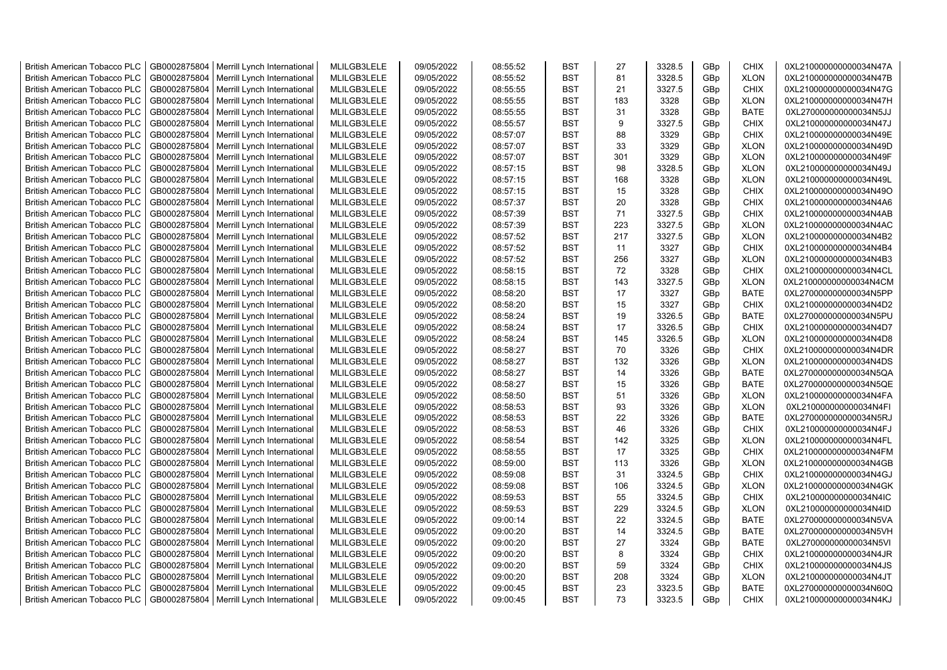| <b>British American Tobacco PLC</b> | GB0002875804 | Merrill Lynch International                | MLILGB3LELE | 09/05/2022 | 08:55:52 | <b>BST</b> | 27  | 3328.5 | GBp             | <b>CHIX</b> | 0XL210000000000034N47A |
|-------------------------------------|--------------|--------------------------------------------|-------------|------------|----------|------------|-----|--------|-----------------|-------------|------------------------|
| <b>British American Tobacco PLC</b> | GB0002875804 | Merrill Lynch International                | MLILGB3LELE | 09/05/2022 | 08:55:52 | <b>BST</b> | 81  | 3328.5 | GBp             | <b>XLON</b> | 0XL210000000000034N47B |
| <b>British American Tobacco PLC</b> | GB0002875804 | Merrill Lynch International                | MLILGB3LELE | 09/05/2022 | 08:55:55 | <b>BST</b> | 21  | 3327.5 | GBp             | <b>CHIX</b> | 0XL210000000000034N47G |
| <b>British American Tobacco PLC</b> | GB0002875804 | Merrill Lynch International                | MLILGB3LELE | 09/05/2022 | 08:55:55 | <b>BST</b> | 183 | 3328   | GBp             | <b>XLON</b> | 0XL210000000000034N47H |
| <b>British American Tobacco PLC</b> | GB0002875804 | Merrill Lynch International                | MLILGB3LELE | 09/05/2022 | 08:55:55 | <b>BST</b> | 31  | 3328   | GBp             | <b>BATE</b> | 0XL270000000000034N5JJ |
| <b>British American Tobacco PLC</b> | GB0002875804 | Merrill Lynch International                | MLILGB3LELE | 09/05/2022 | 08:55:57 | <b>BST</b> | 9   | 3327.5 | GBp             | <b>CHIX</b> | 0XL210000000000034N47J |
| British American Tobacco PLC        | GB0002875804 | Merrill Lynch International                | MLILGB3LELE | 09/05/2022 | 08:57:07 | <b>BST</b> | 88  | 3329   | GBp             | <b>CHIX</b> | 0XL210000000000034N49E |
| <b>British American Tobacco PLC</b> | GB0002875804 | Merrill Lynch International                | MLILGB3LELE | 09/05/2022 | 08:57:07 | <b>BST</b> | 33  | 3329   | GBp             | <b>XLON</b> | 0XL210000000000034N49D |
| <b>British American Tobacco PLC</b> | GB0002875804 | Merrill Lynch International                | MLILGB3LELE | 09/05/2022 | 08:57:07 | <b>BST</b> | 301 | 3329   | GBp             | <b>XLON</b> | 0XL210000000000034N49F |
| <b>British American Tobacco PLC</b> | GB0002875804 | Merrill Lynch International                | MLILGB3LELE | 09/05/2022 | 08:57:15 | <b>BST</b> | 98  | 3328.5 | GBp             | <b>XLON</b> | 0XL210000000000034N49J |
| <b>British American Tobacco PLC</b> | GB0002875804 | Merrill Lynch International                | MLILGB3LELE | 09/05/2022 | 08:57:15 | <b>BST</b> | 168 | 3328   | GBp             | <b>XLON</b> | 0XL210000000000034N49L |
| <b>British American Tobacco PLC</b> | GB0002875804 | Merrill Lynch International                | MLILGB3LELE | 09/05/2022 | 08:57:15 | <b>BST</b> | 15  | 3328   | GBp             | <b>CHIX</b> | 0XL210000000000034N49O |
| <b>British American Tobacco PLC</b> | GB0002875804 | Merrill Lynch International                | MLILGB3LELE | 09/05/2022 | 08:57:37 | <b>BST</b> | 20  | 3328   | GBp             | <b>CHIX</b> | 0XL210000000000034N4A6 |
| <b>British American Tobacco PLC</b> | GB0002875804 | Merrill Lynch International                | MLILGB3LELE | 09/05/2022 | 08:57:39 | <b>BST</b> | 71  | 3327.5 | GBp             | <b>CHIX</b> | 0XL210000000000034N4AB |
| <b>British American Tobacco PLC</b> | GB0002875804 | Merrill Lynch International                | MLILGB3LELE | 09/05/2022 | 08:57:39 | <b>BST</b> | 223 | 3327.5 | GBp             | <b>XLON</b> | 0XL210000000000034N4AC |
| <b>British American Tobacco PLC</b> | GB0002875804 | Merrill Lynch International                | MLILGB3LELE | 09/05/2022 | 08:57:52 | <b>BST</b> | 217 | 3327.5 | GBp             | <b>XLON</b> | 0XL210000000000034N4B2 |
| <b>British American Tobacco PLC</b> | GB0002875804 | Merrill Lynch International                | MLILGB3LELE | 09/05/2022 | 08:57:52 | <b>BST</b> | 11  | 3327   | GBp             | <b>CHIX</b> | 0XL210000000000034N4B4 |
| <b>British American Tobacco PLC</b> | GB0002875804 | Merrill Lynch International                | MLILGB3LELE | 09/05/2022 | 08:57:52 | <b>BST</b> | 256 | 3327   | GBp             | <b>XLON</b> | 0XL210000000000034N4B3 |
| <b>British American Tobacco PLC</b> | GB0002875804 | Merrill Lynch International                | MLILGB3LELE | 09/05/2022 | 08:58:15 | <b>BST</b> | 72  | 3328   | GBp             | <b>CHIX</b> | 0XL210000000000034N4CL |
| <b>British American Tobacco PLC</b> | GB0002875804 | Merrill Lynch International                | MLILGB3LELE | 09/05/2022 | 08:58:15 | <b>BST</b> | 143 | 3327.5 | GBp             | <b>XLON</b> | 0XL210000000000034N4CM |
| <b>British American Tobacco PLC</b> | GB0002875804 | Merrill Lynch International                | MLILGB3LELE | 09/05/2022 | 08:58:20 | <b>BST</b> | 17  | 3327   | GBp             | <b>BATE</b> | 0XL270000000000034N5PP |
| <b>British American Tobacco PLC</b> | GB0002875804 | Merrill Lynch International                | MLILGB3LELE | 09/05/2022 | 08:58:20 | <b>BST</b> | 15  | 3327   | GBp             | <b>CHIX</b> | 0XL210000000000034N4D2 |
| <b>British American Tobacco PLC</b> | GB0002875804 | Merrill Lynch International                | MLILGB3LELE | 09/05/2022 | 08:58:24 | <b>BST</b> | 19  | 3326.5 | GBp             | <b>BATE</b> | 0XL270000000000034N5PU |
| <b>British American Tobacco PLC</b> | GB0002875804 | Merrill Lynch International                | MLILGB3LELE | 09/05/2022 | 08:58:24 | BST        | 17  | 3326.5 | GBp             | <b>CHIX</b> | 0XL210000000000034N4D7 |
| <b>British American Tobacco PLC</b> | GB0002875804 | Merrill Lynch International                | MLILGB3LELE | 09/05/2022 | 08:58:24 | <b>BST</b> | 145 | 3326.5 | GBp             | <b>XLON</b> | 0XL210000000000034N4D8 |
| <b>British American Tobacco PLC</b> | GB0002875804 | Merrill Lynch International                | MLILGB3LELE | 09/05/2022 | 08:58:27 | <b>BST</b> | 70  | 3326   | GBp             | <b>CHIX</b> | 0XL210000000000034N4DR |
| <b>British American Tobacco PLC</b> | GB0002875804 | Merrill Lynch International                | MLILGB3LELE | 09/05/2022 | 08:58:27 | <b>BST</b> | 132 | 3326   | GBp             | <b>XLON</b> | 0XL210000000000034N4DS |
| <b>British American Tobacco PLC</b> | GB0002875804 | Merrill Lynch International                | MLILGB3LELE | 09/05/2022 | 08:58:27 | <b>BST</b> | 14  | 3326   | GBp             | <b>BATE</b> | 0XL270000000000034N5QA |
| <b>British American Tobacco PLC</b> | GB0002875804 | Merrill Lynch International                | MLILGB3LELE | 09/05/2022 | 08:58:27 | <b>BST</b> | 15  | 3326   | GBp             | <b>BATE</b> | 0XL270000000000034N5QE |
| <b>British American Tobacco PLC</b> | GB0002875804 | Merrill Lynch International                | MLILGB3LELE | 09/05/2022 | 08:58:50 | <b>BST</b> | 51  | 3326   | GBp             | <b>XLON</b> | 0XL210000000000034N4FA |
| <b>British American Tobacco PLC</b> | GB0002875804 | Merrill Lynch International                | MLILGB3LELE | 09/05/2022 | 08:58:53 | <b>BST</b> | 93  | 3326   | GBp             | <b>XLON</b> | 0XL210000000000034N4FI |
| <b>British American Tobacco PLC</b> | GB0002875804 | Merrill Lynch International                | MLILGB3LELE | 09/05/2022 | 08:58:53 | <b>BST</b> | 22  | 3326   | GBp             | <b>BATE</b> | 0XL270000000000034N5RJ |
| <b>British American Tobacco PLC</b> | GB0002875804 | Merrill Lynch International                | MLILGB3LELE | 09/05/2022 | 08:58:53 | <b>BST</b> | 46  | 3326   | GBp             | <b>CHIX</b> | 0XL210000000000034N4FJ |
| <b>British American Tobacco PLC</b> | GB0002875804 | Merrill Lynch International                | MLILGB3LELE | 09/05/2022 | 08:58:54 | <b>BST</b> | 142 | 3325   | GBp             | <b>XLON</b> | 0XL210000000000034N4FL |
| <b>British American Tobacco PLC</b> | GB0002875804 | Merrill Lynch International                | MLILGB3LELE | 09/05/2022 | 08:58:55 | <b>BST</b> | 17  | 3325   | GBp             | <b>CHIX</b> | 0XL210000000000034N4FM |
| <b>British American Tobacco PLC</b> | GB0002875804 | Merrill Lynch International                | MLILGB3LELE | 09/05/2022 | 08:59:00 | <b>BST</b> | 113 | 3326   | GBp             | <b>XLON</b> | 0XL210000000000034N4GB |
| <b>British American Tobacco PLC</b> | GB0002875804 | Merrill Lynch International                | MLILGB3LELE | 09/05/2022 | 08:59:08 | <b>BST</b> | 31  | 3324.5 | GBp             | <b>CHIX</b> | 0XL210000000000034N4GJ |
| <b>British American Tobacco PLC</b> | GB0002875804 | Merrill Lynch International                | MLILGB3LELE | 09/05/2022 | 08:59:08 | <b>BST</b> | 106 | 3324.5 | GBp             | <b>XLON</b> | 0XL210000000000034N4GK |
| <b>British American Tobacco PLC</b> | GB0002875804 | Merrill Lynch International                | MLILGB3LELE | 09/05/2022 | 08:59:53 | <b>BST</b> | 55  | 3324.5 | GBp             | <b>CHIX</b> | 0XL210000000000034N4IC |
| <b>British American Tobacco PLC</b> | GB0002875804 | Merrill Lynch International                | MLILGB3LELE | 09/05/2022 | 08:59:53 | <b>BST</b> | 229 | 3324.5 | GBp             | <b>XLON</b> | 0XL210000000000034N4ID |
| <b>British American Tobacco PLC</b> | GB0002875804 | Merrill Lynch International                | MLILGB3LELE | 09/05/2022 | 09:00:14 | <b>BST</b> | 22  | 3324.5 | GBp             | <b>BATE</b> | 0XL270000000000034N5VA |
| <b>British American Tobacco PLC</b> | GB0002875804 | Merrill Lynch International                | MLILGB3LELE | 09/05/2022 | 09:00:20 | <b>BST</b> | 14  | 3324.5 | GBp             | <b>BATE</b> | 0XL270000000000034N5VH |
| <b>British American Tobacco PLC</b> | GB0002875804 | Merrill Lynch International                | MLILGB3LELE | 09/05/2022 | 09:00:20 | <b>BST</b> | 27  | 3324   | GBp             | <b>BATE</b> | 0XL270000000000034N5VI |
| <b>British American Tobacco PLC</b> | GB0002875804 | Merrill Lynch International                | MLILGB3LELE | 09/05/2022 | 09:00:20 | <b>BST</b> | 8   | 3324   | GBp             | <b>CHIX</b> | 0XL210000000000034N4JR |
| <b>British American Tobacco PLC</b> | GB0002875804 | Merrill Lynch International                | MLILGB3LELE | 09/05/2022 | 09:00:20 | <b>BST</b> | 59  | 3324   | GBp             | <b>CHIX</b> | 0XL210000000000034N4JS |
| <b>British American Tobacco PLC</b> | GB0002875804 | Merrill Lynch International                | MLILGB3LELE | 09/05/2022 | 09:00:20 | <b>BST</b> | 208 | 3324   | GBp             | <b>XLON</b> | 0XL210000000000034N4JT |
| <b>British American Tobacco PLC</b> | GB0002875804 | Merrill Lynch International                | MLILGB3LELE | 09/05/2022 | 09:00:45 | <b>BST</b> | 23  | 3323.5 | GBp             | <b>BATE</b> | 0XL270000000000034N60Q |
| <b>British American Tobacco PLC</b> |              | GB0002875804   Merrill Lynch International | MLILGB3LELE | 09/05/2022 | 09:00:45 | <b>BST</b> | 73  | 3323.5 | GB <sub>p</sub> | <b>CHIX</b> | 0XL210000000000034N4KJ |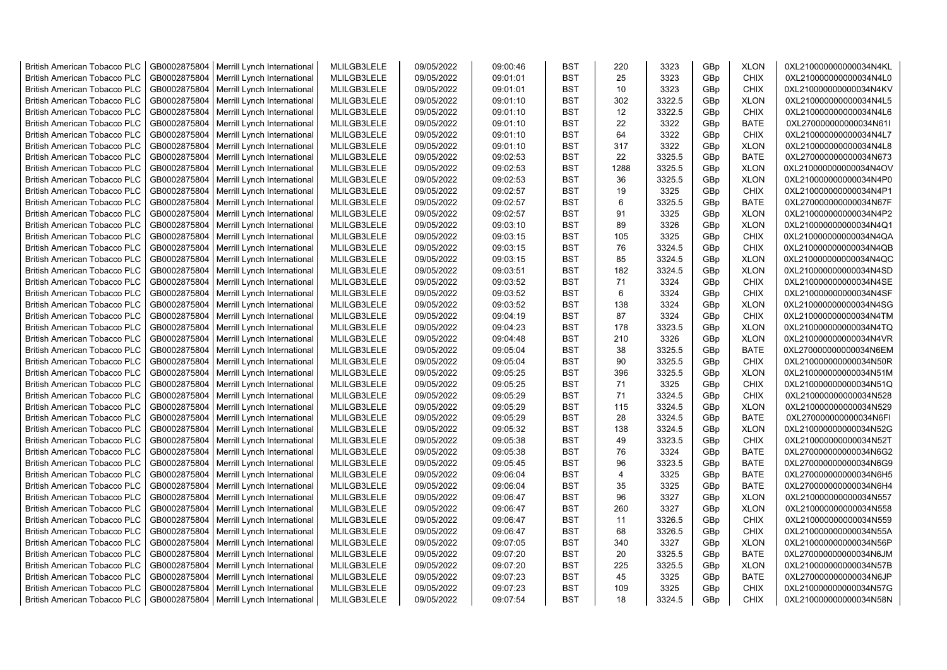| <b>British American Tobacco PLC</b> | GB0002875804 | Merrill Lynch International                | MLILGB3LELE | 09/05/2022 | 09:00:46 | <b>BST</b> | 220            | 3323   | GBp             | <b>XLON</b> | 0XL210000000000034N4KL |
|-------------------------------------|--------------|--------------------------------------------|-------------|------------|----------|------------|----------------|--------|-----------------|-------------|------------------------|
| <b>British American Tobacco PLC</b> | GB0002875804 | Merrill Lynch International                | MLILGB3LELE | 09/05/2022 | 09:01:01 | <b>BST</b> | 25             | 3323   | GBp             | <b>CHIX</b> | 0XL210000000000034N4L0 |
| <b>British American Tobacco PLC</b> | GB0002875804 | Merrill Lynch International                | MLILGB3LELE | 09/05/2022 | 09:01:01 | <b>BST</b> | 10             | 3323   | GBp             | <b>CHIX</b> | 0XL210000000000034N4KV |
| <b>British American Tobacco PLC</b> | GB0002875804 | Merrill Lynch International                | MLILGB3LELE | 09/05/2022 | 09:01:10 | <b>BST</b> | 302            | 3322.5 | GBp             | <b>XLON</b> | 0XL210000000000034N4L5 |
| <b>British American Tobacco PLC</b> | GB0002875804 | Merrill Lynch International                | MLILGB3LELE | 09/05/2022 | 09:01:10 | <b>BST</b> | 12             | 3322.5 | GBp             | <b>CHIX</b> | 0XL210000000000034N4L6 |
| <b>British American Tobacco PLC</b> | GB0002875804 | Merrill Lynch International                | MLILGB3LELE | 09/05/2022 | 09:01:10 | <b>BST</b> | 22             | 3322   | GBp             | <b>BATE</b> | 0XL270000000000034N61I |
| <b>British American Tobacco PLC</b> | GB0002875804 | Merrill Lynch International                | MLILGB3LELE | 09/05/2022 | 09:01:10 | <b>BST</b> | 64             | 3322   | GBp             | <b>CHIX</b> | 0XL210000000000034N4L7 |
| <b>British American Tobacco PLC</b> | GB0002875804 | Merrill Lynch International                | MLILGB3LELE | 09/05/2022 | 09:01:10 | <b>BST</b> | 317            | 3322   | GBp             | <b>XLON</b> | 0XL210000000000034N4L8 |
| <b>British American Tobacco PLC</b> | GB0002875804 | Merrill Lynch International                | MLILGB3LELE | 09/05/2022 | 09:02:53 | BST        | 22             | 3325.5 | GBp             | <b>BATE</b> | 0XL270000000000034N673 |
| <b>British American Tobacco PLC</b> | GB0002875804 | Merrill Lynch International                | MLILGB3LELE | 09/05/2022 | 09:02:53 | <b>BST</b> | 1288           | 3325.5 | GBp             | <b>XLON</b> | 0XL210000000000034N4OV |
| <b>British American Tobacco PLC</b> | GB0002875804 | Merrill Lynch International                | MLILGB3LELE | 09/05/2022 | 09:02:53 | BST        | 36             | 3325.5 | GBp             | <b>XLON</b> | 0XL210000000000034N4P0 |
| <b>British American Tobacco PLC</b> | GB0002875804 | Merrill Lynch International                | MLILGB3LELE | 09/05/2022 | 09:02:57 | <b>BST</b> | 19             | 3325   | GBp             | <b>CHIX</b> | 0XL210000000000034N4P1 |
| <b>British American Tobacco PLC</b> | GB0002875804 | Merrill Lynch International                | MLILGB3LELE | 09/05/2022 | 09:02:57 | <b>BST</b> | 6              | 3325.5 | GBp             | <b>BATE</b> | 0XL270000000000034N67F |
| <b>British American Tobacco PLC</b> | GB0002875804 | Merrill Lynch International                | MLILGB3LELE | 09/05/2022 | 09:02:57 | <b>BST</b> | 91             | 3325   | GBp             | <b>XLON</b> | 0XL210000000000034N4P2 |
| <b>British American Tobacco PLC</b> | GB0002875804 | Merrill Lynch International                | MLILGB3LELE | 09/05/2022 | 09:03:10 | <b>BST</b> | 89             | 3326   | GBp             | <b>XLON</b> | 0XL210000000000034N4Q1 |
| <b>British American Tobacco PLC</b> | GB0002875804 | Merrill Lynch International                | MLILGB3LELE | 09/05/2022 | 09:03:15 | <b>BST</b> | 105            | 3325   | GBp             | <b>CHIX</b> | 0XL210000000000034N4QA |
| <b>British American Tobacco PLC</b> | GB0002875804 | Merrill Lynch International                | MLILGB3LELE | 09/05/2022 | 09:03:15 | <b>BST</b> | 76             | 3324.5 | GBp             | <b>CHIX</b> | 0XL210000000000034N4QB |
| <b>British American Tobacco PLC</b> | GB0002875804 | Merrill Lynch International                | MLILGB3LELE | 09/05/2022 | 09:03:15 | <b>BST</b> | 85             | 3324.5 | GBp             | <b>XLON</b> | 0XL210000000000034N4QC |
| <b>British American Tobacco PLC</b> | GB0002875804 | Merrill Lynch International                | MLILGB3LELE | 09/05/2022 | 09:03:51 | <b>BST</b> | 182            | 3324.5 | GBp             | <b>XLON</b> | 0XL210000000000034N4SD |
| <b>British American Tobacco PLC</b> | GB0002875804 | Merrill Lynch International                | MLILGB3LELE | 09/05/2022 | 09:03:52 | <b>BST</b> | 71             | 3324   | GBp             | <b>CHIX</b> | 0XL210000000000034N4SE |
| <b>British American Tobacco PLC</b> | GB0002875804 | Merrill Lynch International                | MLILGB3LELE | 09/05/2022 | 09:03:52 | <b>BST</b> | 6              | 3324   | GBp             | <b>CHIX</b> | 0XL210000000000034N4SF |
| <b>British American Tobacco PLC</b> | GB0002875804 | Merrill Lynch International                | MLILGB3LELE | 09/05/2022 | 09:03:52 | <b>BST</b> | 138            | 3324   | GBp             | <b>XLON</b> | 0XL210000000000034N4SG |
| <b>British American Tobacco PLC</b> | GB0002875804 | Merrill Lynch International                | MLILGB3LELE | 09/05/2022 | 09:04:19 | <b>BST</b> | 87             | 3324   | GBp             | <b>CHIX</b> | 0XL210000000000034N4TM |
| <b>British American Tobacco PLC</b> | GB0002875804 | Merrill Lynch International                | MLILGB3LELE | 09/05/2022 | 09:04:23 | <b>BST</b> | 178            | 3323.5 | GBp             | <b>XLON</b> | 0XL210000000000034N4TQ |
|                                     |              |                                            |             |            |          | <b>BST</b> |                | 3326   |                 |             |                        |
| <b>British American Tobacco PLC</b> | GB0002875804 | Merrill Lynch International                | MLILGB3LELE | 09/05/2022 | 09:04:48 |            | 210<br>38      |        | GBp             | <b>XLON</b> | 0XL210000000000034N4VR |
| <b>British American Tobacco PLC</b> | GB0002875804 | Merrill Lynch International                | MLILGB3LELE | 09/05/2022 | 09:05:04 | BST        | 90             | 3325.5 | GBp             | <b>BATE</b> | 0XL270000000000034N6EM |
| <b>British American Tobacco PLC</b> | GB0002875804 | Merrill Lynch International                | MLILGB3LELE | 09/05/2022 | 09:05:04 | <b>BST</b> |                | 3325.5 | GBp             | <b>CHIX</b> | 0XL210000000000034N50R |
| <b>British American Tobacco PLC</b> | GB0002875804 | Merrill Lynch International                | MLILGB3LELE | 09/05/2022 | 09:05:25 | <b>BST</b> | 396            | 3325.5 | GBp             | <b>XLON</b> | 0XL210000000000034N51M |
| <b>British American Tobacco PLC</b> | GB0002875804 | Merrill Lynch International                | MLILGB3LELE | 09/05/2022 | 09:05:25 | BST        | 71             | 3325   | GBp             | <b>CHIX</b> | 0XL210000000000034N51Q |
| <b>British American Tobacco PLC</b> | GB0002875804 | Merrill Lynch International                | MLILGB3LELE | 09/05/2022 | 09:05:29 | <b>BST</b> | 71             | 3324.5 | GBp             | <b>CHIX</b> | 0XL210000000000034N528 |
| <b>British American Tobacco PLC</b> | GB0002875804 | Merrill Lynch International                | MLILGB3LELE | 09/05/2022 | 09:05:29 | <b>BST</b> | 115            | 3324.5 | GBp             | <b>XLON</b> | 0XL210000000000034N529 |
| <b>British American Tobacco PLC</b> | GB0002875804 | Merrill Lynch International                | MLILGB3LELE | 09/05/2022 | 09:05:29 | <b>BST</b> | 28             | 3324.5 | GBp             | <b>BATE</b> | 0XL270000000000034N6FI |
| <b>British American Tobacco PLC</b> | GB0002875804 | Merrill Lynch International                | MLILGB3LELE | 09/05/2022 | 09:05:32 | BST        | 138            | 3324.5 | GBp             | <b>XLON</b> | 0XL210000000000034N52G |
| <b>British American Tobacco PLC</b> | GB0002875804 | Merrill Lynch International                | MLILGB3LELE | 09/05/2022 | 09:05:38 | BST        | 49             | 3323.5 | GBp             | <b>CHIX</b> | 0XL210000000000034N52T |
| <b>British American Tobacco PLC</b> | GB0002875804 | Merrill Lynch International                | MLILGB3LELE | 09/05/2022 | 09:05:38 | <b>BST</b> | 76             | 3324   | GBp             | <b>BATE</b> | 0XL270000000000034N6G2 |
| <b>British American Tobacco PLC</b> | GB0002875804 | Merrill Lynch International                | MLILGB3LELE | 09/05/2022 | 09:05:45 | <b>BST</b> | 96             | 3323.5 | GBp             | <b>BATE</b> | 0XL270000000000034N6G9 |
| <b>British American Tobacco PLC</b> | GB0002875804 | Merrill Lynch International                | MLILGB3LELE | 09/05/2022 | 09:06:04 | <b>BST</b> | $\overline{4}$ | 3325   | GBp             | <b>BATE</b> | 0XL270000000000034N6H5 |
| <b>British American Tobacco PLC</b> | GB0002875804 | Merrill Lynch International                | MLILGB3LELE | 09/05/2022 | 09:06:04 | <b>BST</b> | 35             | 3325   | GBp             | <b>BATE</b> | 0XL270000000000034N6H4 |
| <b>British American Tobacco PLC</b> | GB0002875804 | Merrill Lynch International                | MLILGB3LELE | 09/05/2022 | 09:06:47 | <b>BST</b> | 96             | 3327   | GBp             | <b>XLON</b> | 0XL210000000000034N557 |
| <b>British American Tobacco PLC</b> | GB0002875804 | Merrill Lynch International                | MLILGB3LELE | 09/05/2022 | 09:06:47 | <b>BST</b> | 260            | 3327   | GBp             | <b>XLON</b> | 0XL210000000000034N558 |
| <b>British American Tobacco PLC</b> | GB0002875804 | Merrill Lynch International                | MLILGB3LELE | 09/05/2022 | 09:06:47 | <b>BST</b> | 11             | 3326.5 | GBp             | <b>CHIX</b> | 0XL210000000000034N559 |
| <b>British American Tobacco PLC</b> | GB0002875804 | Merrill Lynch International                | MLILGB3LELE | 09/05/2022 | 09:06:47 | <b>BST</b> | 68             | 3326.5 | GBp             | <b>CHIX</b> | 0XL210000000000034N55A |
| <b>British American Tobacco PLC</b> | GB0002875804 | Merrill Lynch International                | MLILGB3LELE | 09/05/2022 | 09:07:05 | <b>BST</b> | 340            | 3327   | GBp             | <b>XLON</b> | 0XL210000000000034N56P |
| <b>British American Tobacco PLC</b> | GB0002875804 | Merrill Lynch International                | MLILGB3LELE | 09/05/2022 | 09:07:20 | <b>BST</b> | 20             | 3325.5 | GBp             | <b>BATE</b> | 0XL270000000000034N6JM |
| <b>British American Tobacco PLC</b> | GB0002875804 | Merrill Lynch International                | MLILGB3LELE | 09/05/2022 | 09:07:20 | <b>BST</b> | 225            | 3325.5 | GBp             | <b>XLON</b> | 0XL210000000000034N57B |
| <b>British American Tobacco PLC</b> | GB0002875804 | Merrill Lynch International                | MLILGB3LELE | 09/05/2022 | 09:07:23 | <b>BST</b> | 45             | 3325   | GBp             | <b>BATE</b> | 0XL270000000000034N6JP |
| <b>British American Tobacco PLC</b> | GB0002875804 | Merrill Lynch International                | MLILGB3LELE | 09/05/2022 | 09:07:23 | <b>BST</b> | 109            | 3325   | GBp             | <b>CHIX</b> | 0XL210000000000034N57G |
| <b>British American Tobacco PLC</b> |              | GB0002875804   Merrill Lynch International | MLILGB3LELE | 09/05/2022 | 09:07:54 | <b>BST</b> | 18             | 3324.5 | GB <sub>p</sub> | <b>CHIX</b> | 0XL210000000000034N58N |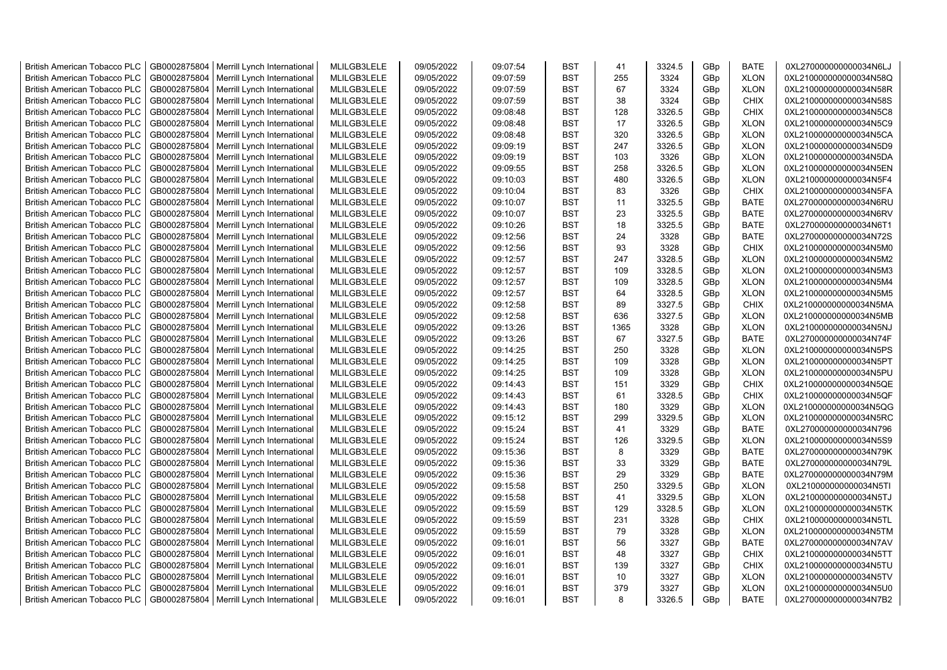| <b>British American Tobacco PLC</b> | GB0002875804 | Merrill Lynch International                | MLILGB3LELE | 09/05/2022 | 09:07:54 | <b>BST</b> | 41   | 3324.5 | GBp | <b>BATE</b> | 0XL270000000000034N6LJ |
|-------------------------------------|--------------|--------------------------------------------|-------------|------------|----------|------------|------|--------|-----|-------------|------------------------|
| <b>British American Tobacco PLC</b> | GB0002875804 | Merrill Lynch International                | MLILGB3LELE | 09/05/2022 | 09:07:59 | <b>BST</b> | 255  | 3324   | GBp | <b>XLON</b> | 0XL210000000000034N58Q |
| <b>British American Tobacco PLC</b> | GB0002875804 | Merrill Lynch International                | MLILGB3LELE | 09/05/2022 | 09:07:59 | <b>BST</b> | 67   | 3324   | GBp | <b>XLON</b> | 0XL210000000000034N58R |
| <b>British American Tobacco PLC</b> | GB0002875804 | Merrill Lynch International                | MLILGB3LELE | 09/05/2022 | 09:07:59 | <b>BST</b> | 38   | 3324   | GBp | <b>CHIX</b> | 0XL210000000000034N58S |
| <b>British American Tobacco PLC</b> | GB0002875804 | Merrill Lynch International                | MLILGB3LELE | 09/05/2022 | 09:08:48 | <b>BST</b> | 128  | 3326.5 | GBp | <b>CHIX</b> | 0XL210000000000034N5C8 |
| <b>British American Tobacco PLC</b> | GB0002875804 | Merrill Lynch International                | MLILGB3LELE | 09/05/2022 | 09:08:48 | <b>BST</b> | 17   | 3326.5 | GBp | <b>XLON</b> | 0XL210000000000034N5C9 |
| <b>British American Tobacco PLC</b> | GB0002875804 | Merrill Lynch International                | MLILGB3LELE | 09/05/2022 | 09:08:48 | BST        | 320  | 3326.5 | GBp | <b>XLON</b> | 0XL210000000000034N5CA |
| <b>British American Tobacco PLC</b> | GB0002875804 | Merrill Lynch International                | MLILGB3LELE | 09/05/2022 | 09:09:19 | <b>BST</b> | 247  | 3326.5 | GBp | <b>XLON</b> | 0XL210000000000034N5D9 |
| <b>British American Tobacco PLC</b> | GB0002875804 | Merrill Lynch International                | MLILGB3LELE | 09/05/2022 | 09:09:19 | <b>BST</b> | 103  | 3326   | GBp | <b>XLON</b> | 0XL210000000000034N5DA |
| <b>British American Tobacco PLC</b> |              |                                            |             |            |          | <b>BST</b> | 258  |        |     | <b>XLON</b> |                        |
|                                     | GB0002875804 | Merrill Lynch International                | MLILGB3LELE | 09/05/2022 | 09:09:55 |            |      | 3326.5 | GBp |             | 0XL210000000000034N5EN |
| <b>British American Tobacco PLC</b> | GB0002875804 | Merrill Lynch International                | MLILGB3LELE | 09/05/2022 | 09:10:03 | <b>BST</b> | 480  | 3326.5 | GBp | <b>XLON</b> | 0XL210000000000034N5F4 |
| <b>British American Tobacco PLC</b> | GB0002875804 | Merrill Lynch International                | MLILGB3LELE | 09/05/2022 | 09:10:04 | <b>BST</b> | 83   | 3326   | GBp | <b>CHIX</b> | 0XL210000000000034N5FA |
| <b>British American Tobacco PLC</b> | GB0002875804 | Merrill Lynch International                | MLILGB3LELE | 09/05/2022 | 09:10:07 | <b>BST</b> | 11   | 3325.5 | GBp | <b>BATE</b> | 0XL270000000000034N6RU |
| <b>British American Tobacco PLC</b> | GB0002875804 | Merrill Lynch International                | MLILGB3LELE | 09/05/2022 | 09:10:07 | <b>BST</b> | 23   | 3325.5 | GBp | <b>BATE</b> | 0XL270000000000034N6RV |
| <b>British American Tobacco PLC</b> | GB0002875804 | Merrill Lynch International                | MLILGB3LELE | 09/05/2022 | 09:10:26 | <b>BST</b> | 18   | 3325.5 | GBp | <b>BATE</b> | 0XL270000000000034N6T1 |
| <b>British American Tobacco PLC</b> | GB0002875804 | Merrill Lynch International                | MLILGB3LELE | 09/05/2022 | 09:12:56 | BST        | 24   | 3328   | GBp | <b>BATE</b> | 0XL270000000000034N72S |
| <b>British American Tobacco PLC</b> | GB0002875804 | Merrill Lynch International                | MLILGB3LELE | 09/05/2022 | 09:12:56 | BST        | 93   | 3328   | GBp | <b>CHIX</b> | 0XL210000000000034N5M0 |
| <b>British American Tobacco PLC</b> | GB0002875804 | Merrill Lynch International                | MLILGB3LELE | 09/05/2022 | 09:12:57 | <b>BST</b> | 247  | 3328.5 | GBp | <b>XLON</b> | 0XL210000000000034N5M2 |
| <b>British American Tobacco PLC</b> | GB0002875804 | Merrill Lynch International                | MLILGB3LELE | 09/05/2022 | 09:12:57 | <b>BST</b> | 109  | 3328.5 | GBp | <b>XLON</b> | 0XL210000000000034N5M3 |
| <b>British American Tobacco PLC</b> | GB0002875804 | Merrill Lynch International                | MLILGB3LELE | 09/05/2022 | 09:12:57 | <b>BST</b> | 109  | 3328.5 | GBp | <b>XLON</b> | 0XL210000000000034N5M4 |
| <b>British American Tobacco PLC</b> | GB0002875804 | Merrill Lynch International                | MLILGB3LELE | 09/05/2022 | 09:12:57 | <b>BST</b> | 64   | 3328.5 | GBp | <b>XLON</b> | 0XL210000000000034N5M5 |
| <b>British American Tobacco PLC</b> | GB0002875804 | Merrill Lynch International                | MLILGB3LELE | 09/05/2022 | 09:12:58 | <b>BST</b> | 89   | 3327.5 | GBp | <b>CHIX</b> | 0XL210000000000034N5MA |
| <b>British American Tobacco PLC</b> | GB0002875804 | Merrill Lynch International                | MLILGB3LELE | 09/05/2022 | 09:12:58 | <b>BST</b> | 636  | 3327.5 | GBp | <b>XLON</b> | 0XL210000000000034N5MB |
| <b>British American Tobacco PLC</b> | GB0002875804 | Merrill Lynch International                | MLILGB3LELE | 09/05/2022 | 09:13:26 | BST        | 1365 | 3328   | GBp | <b>XLON</b> | 0XL210000000000034N5NJ |
| <b>British American Tobacco PLC</b> | GB0002875804 | Merrill Lynch International                | MLILGB3LELE | 09/05/2022 | 09:13:26 | <b>BST</b> | 67   | 3327.5 | GBp | <b>BATE</b> | 0XL270000000000034N74F |
| <b>British American Tobacco PLC</b> | GB0002875804 | Merrill Lynch International                | MLILGB3LELE | 09/05/2022 | 09:14:25 | <b>BST</b> | 250  | 3328   | GBp | <b>XLON</b> | 0XL210000000000034N5PS |
| <b>British American Tobacco PLC</b> | GB0002875804 | Merrill Lynch International                | MLILGB3LELE | 09/05/2022 | 09:14:25 | <b>BST</b> | 109  | 3328   | GBp | <b>XLON</b> | 0XL210000000000034N5PT |
| <b>British American Tobacco PLC</b> | GB0002875804 | Merrill Lynch International                | MLILGB3LELE | 09/05/2022 | 09:14:25 | <b>BST</b> | 109  | 3328   | GBp | <b>XLON</b> | 0XL210000000000034N5PU |
| <b>British American Tobacco PLC</b> | GB0002875804 | Merrill Lynch International                | MLILGB3LELE | 09/05/2022 | 09:14:43 | <b>BST</b> | 151  | 3329   | GBp | <b>CHIX</b> | 0XL210000000000034N5QE |
| <b>British American Tobacco PLC</b> | GB0002875804 | Merrill Lynch International                | MLILGB3LELE | 09/05/2022 | 09:14:43 | <b>BST</b> | 61   | 3328.5 | GBp | <b>CHIX</b> | 0XL210000000000034N5QF |
| <b>British American Tobacco PLC</b> | GB0002875804 |                                            | MLILGB3LELE | 09/05/2022 | 09:14:43 | <b>BST</b> | 180  | 3329   | GBp | <b>XLON</b> |                        |
|                                     |              | Merrill Lynch International                |             |            |          |            | 299  |        |     |             | 0XL210000000000034N5QG |
| <b>British American Tobacco PLC</b> | GB0002875804 | Merrill Lynch International                | MLILGB3LELE | 09/05/2022 | 09:15:12 | <b>BST</b> |      | 3329.5 | GBp | <b>XLON</b> | 0XL210000000000034N5RC |
| <b>British American Tobacco PLC</b> | GB0002875804 | Merrill Lynch International                | MLILGB3LELE | 09/05/2022 | 09:15:24 | <b>BST</b> | 41   | 3329   | GBp | <b>BATE</b> | 0XL270000000000034N796 |
| <b>British American Tobacco PLC</b> | GB0002875804 | Merrill Lynch International                | MLILGB3LELE | 09/05/2022 | 09:15:24 | <b>BST</b> | 126  | 3329.5 | GBp | <b>XLON</b> | 0XL210000000000034N5S9 |
| <b>British American Tobacco PLC</b> | GB0002875804 | Merrill Lynch International                | MLILGB3LELE | 09/05/2022 | 09:15:36 | <b>BST</b> | 8    | 3329   | GBp | <b>BATE</b> | 0XL270000000000034N79K |
| <b>British American Tobacco PLC</b> | GB0002875804 | Merrill Lynch International                | MLILGB3LELE | 09/05/2022 | 09:15:36 | <b>BST</b> | 33   | 3329   | GBp | <b>BATE</b> | 0XL270000000000034N79L |
| <b>British American Tobacco PLC</b> | GB0002875804 | Merrill Lynch International                | MLILGB3LELE | 09/05/2022 | 09:15:36 | <b>BST</b> | 29   | 3329   | GBp | <b>BATE</b> | 0XL270000000000034N79M |
| <b>British American Tobacco PLC</b> | GB0002875804 | Merrill Lynch International                | MLILGB3LELE | 09/05/2022 | 09:15:58 | <b>BST</b> | 250  | 3329.5 | GBp | <b>XLON</b> | 0XL210000000000034N5TI |
| <b>British American Tobacco PLC</b> | GB0002875804 | Merrill Lynch International                | MLILGB3LELE | 09/05/2022 | 09:15:58 | <b>BST</b> | 41   | 3329.5 | GBp | <b>XLON</b> | 0XL210000000000034N5TJ |
| <b>British American Tobacco PLC</b> | GB0002875804 | Merrill Lynch International                | MLILGB3LELE | 09/05/2022 | 09:15:59 | <b>BST</b> | 129  | 3328.5 | GBp | <b>XLON</b> | 0XL210000000000034N5TK |
| <b>British American Tobacco PLC</b> | GB0002875804 | Merrill Lynch International                | MLILGB3LELE | 09/05/2022 | 09:15:59 | <b>BST</b> | 231  | 3328   | GBp | <b>CHIX</b> | 0XL210000000000034N5TL |
| <b>British American Tobacco PLC</b> | GB0002875804 | Merrill Lynch International                | MLILGB3LELE | 09/05/2022 | 09:15:59 | <b>BST</b> | 79   | 3328   | GBp | <b>XLON</b> | 0XL210000000000034N5TM |
| <b>British American Tobacco PLC</b> | GB0002875804 | Merrill Lynch International                | MLILGB3LELE | 09/05/2022 | 09:16:01 | BST        | 56   | 3327   | GBp | <b>BATE</b> | 0XL270000000000034N7AV |
| <b>British American Tobacco PLC</b> | GB0002875804 | Merrill Lynch International                | MLILGB3LELE | 09/05/2022 | 09:16:01 | <b>BST</b> | 48   | 3327   | GBp | <b>CHIX</b> | 0XL210000000000034N5TT |
| <b>British American Tobacco PLC</b> | GB0002875804 | Merrill Lynch International                | MLILGB3LELE | 09/05/2022 | 09:16:01 | <b>BST</b> | 139  | 3327   | GBp | <b>CHIX</b> | 0XL210000000000034N5TU |
| <b>British American Tobacco PLC</b> | GB0002875804 | Merrill Lynch International                | MLILGB3LELE | 09/05/2022 | 09:16:01 | <b>BST</b> | 10   | 3327   | GBp | <b>XLON</b> | 0XL210000000000034N5TV |
| <b>British American Tobacco PLC</b> | GB0002875804 | Merrill Lynch International                | MLILGB3LELE | 09/05/2022 | 09:16:01 | <b>BST</b> | 379  | 3327   | GBp | <b>XLON</b> | 0XL210000000000034N5U0 |
| <b>British American Tobacco PLC</b> |              | GB0002875804   Merrill Lynch International | MLILGB3LELE | 09/05/2022 | 09:16:01 | <b>BST</b> | 8    | 3326.5 | GBp | <b>BATE</b> | 0XL270000000000034N7B2 |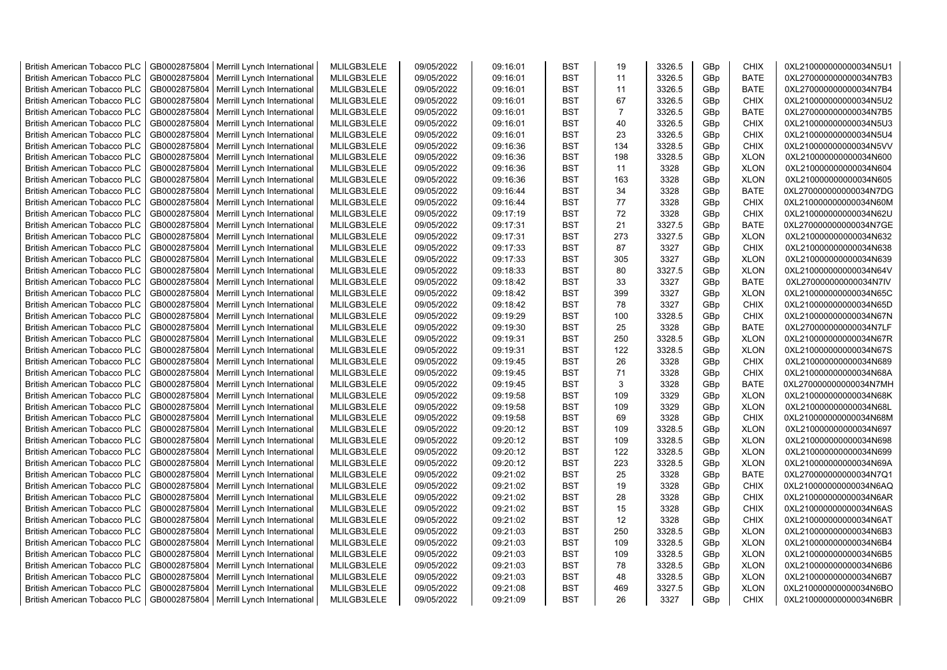| <b>British American Tobacco PLC</b>                                        | GB0002875804                 | Merrill Lynch International                | MLILGB3LELE                | 09/05/2022               | 09:16:01             | <b>BST</b>               | 19             | 3326.5           | GBp             | <b>CHIX</b>                | 0XL210000000000034N5U1                           |
|----------------------------------------------------------------------------|------------------------------|--------------------------------------------|----------------------------|--------------------------|----------------------|--------------------------|----------------|------------------|-----------------|----------------------------|--------------------------------------------------|
| <b>British American Tobacco PLC</b>                                        | GB0002875804                 | Merrill Lynch International                | MLILGB3LELE                | 09/05/2022               | 09:16:01             | <b>BST</b>               | 11             | 3326.5           | GBp             | <b>BATE</b>                | 0XL270000000000034N7B3                           |
| <b>British American Tobacco PLC</b>                                        | GB0002875804                 | Merrill Lynch International                | MLILGB3LELE                | 09/05/2022               | 09:16:01             | <b>BST</b>               | 11             | 3326.5           | GBp             | <b>BATE</b>                | 0XL270000000000034N7B4                           |
| <b>British American Tobacco PLC</b>                                        | GB0002875804                 | Merrill Lynch International                | MLILGB3LELE                | 09/05/2022               | 09:16:01             | <b>BST</b>               | 67             | 3326.5           | GBp             | <b>CHIX</b>                | 0XL210000000000034N5U2                           |
| <b>British American Tobacco PLC</b>                                        | GB0002875804                 | Merrill Lynch International                | MLILGB3LELE                | 09/05/2022               | 09:16:01             | <b>BST</b>               | $\overline{7}$ | 3326.5           | GBp             | <b>BATE</b>                | 0XL270000000000034N7B5                           |
| <b>British American Tobacco PLC</b>                                        | GB0002875804                 | Merrill Lynch International                | MLILGB3LELE                | 09/05/2022               | 09:16:01             | <b>BST</b>               | 40             | 3326.5           | GBp             | <b>CHIX</b>                | 0XL210000000000034N5U3                           |
| <b>British American Tobacco PLC</b>                                        | GB0002875804                 | Merrill Lynch International                | MLILGB3LELE                | 09/05/2022               | 09:16:01             | <b>BST</b>               | 23             | 3326.5           | GBp             | <b>CHIX</b>                | 0XL210000000000034N5U4                           |
| <b>British American Tobacco PLC</b>                                        | GB0002875804                 | Merrill Lynch International                | MLILGB3LELE                | 09/05/2022               | 09:16:36             | <b>BST</b>               | 134            | 3328.5           | GBp             | <b>CHIX</b>                | 0XL210000000000034N5VV                           |
| <b>British American Tobacco PLC</b>                                        | GB0002875804                 | Merrill Lynch International                | MLILGB3LELE                | 09/05/2022               | 09:16:36             | BST                      | 198            | 3328.5           | GBp             | <b>XLON</b>                | 0XL210000000000034N600                           |
| <b>British American Tobacco PLC</b>                                        | GB0002875804                 | Merrill Lynch International                | MLILGB3LELE                | 09/05/2022               | 09:16:36             | <b>BST</b>               | 11             | 3328             | GBp             | <b>XLON</b>                | 0XL210000000000034N604                           |
| <b>British American Tobacco PLC</b>                                        | GB0002875804                 | Merrill Lynch International                | MLILGB3LELE                | 09/05/2022               | 09:16:36             | BST                      | 163            | 3328             | GBp             | <b>XLON</b>                | 0XL210000000000034N605                           |
| <b>British American Tobacco PLC</b>                                        | GB0002875804                 | Merrill Lynch International                | MLILGB3LELE                | 09/05/2022               | 09:16:44             | <b>BST</b>               | 34             | 3328             | GBp             | <b>BATE</b>                | 0XL270000000000034N7DG                           |
| <b>British American Tobacco PLC</b>                                        | GB0002875804                 | Merrill Lynch International                | MLILGB3LELE                | 09/05/2022               | 09:16:44             | <b>BST</b>               | 77             | 3328             | GBp             | <b>CHIX</b>                | 0XL210000000000034N60M                           |
| <b>British American Tobacco PLC</b>                                        | GB0002875804                 | Merrill Lynch International                | MLILGB3LELE                | 09/05/2022               | 09:17:19             | <b>BST</b>               | 72             | 3328             | GBp             | <b>CHIX</b>                | 0XL210000000000034N62U                           |
| <b>British American Tobacco PLC</b>                                        | GB0002875804                 | Merrill Lynch International                | MLILGB3LELE                | 09/05/2022               | 09:17:31             | <b>BST</b>               | 21             | 3327.5           | GBp             | <b>BATE</b>                | 0XL270000000000034N7GE                           |
| <b>British American Tobacco PLC</b>                                        | GB0002875804                 | Merrill Lynch International                | MLILGB3LELE                | 09/05/2022               | 09:17:31             | <b>BST</b>               | 273            | 3327.5           | GBp             | <b>XLON</b>                | 0XL210000000000034N632                           |
| <b>British American Tobacco PLC</b>                                        | GB0002875804                 | Merrill Lynch International                | MLILGB3LELE                | 09/05/2022               | 09:17:33             | <b>BST</b>               | 87             | 3327             | GBp             | <b>CHIX</b>                | 0XL210000000000034N638                           |
| <b>British American Tobacco PLC</b>                                        | GB0002875804                 | Merrill Lynch International                | MLILGB3LELE                | 09/05/2022               | 09:17:33             | <b>BST</b>               | 305            | 3327             | GBp             | <b>XLON</b>                | 0XL210000000000034N639                           |
| <b>British American Tobacco PLC</b>                                        | GB0002875804                 | Merrill Lynch International                | MLILGB3LELE                | 09/05/2022               | 09:18:33             | <b>BST</b>               | 80             | 3327.5           | GBp             | <b>XLON</b>                | 0XL210000000000034N64V                           |
| <b>British American Tobacco PLC</b>                                        | GB0002875804                 | Merrill Lynch International                | MLILGB3LELE                | 09/05/2022               | 09:18:42             | <b>BST</b>               | 33             | 3327             | GBp             | <b>BATE</b>                | 0XL270000000000034N7IV                           |
| <b>British American Tobacco PLC</b>                                        | GB0002875804                 | Merrill Lynch International                | MLILGB3LELE                | 09/05/2022               | 09:18:42             | <b>BST</b>               | 399            | 3327             | GBp             | <b>XLON</b>                | 0XL210000000000034N65C                           |
| <b>British American Tobacco PLC</b>                                        | GB0002875804                 | Merrill Lynch International                | MLILGB3LELE                | 09/05/2022               | 09:18:42             | <b>BST</b>               | 78             | 3327             | GBp             | <b>CHIX</b>                | 0XL210000000000034N65D                           |
| <b>British American Tobacco PLC</b>                                        | GB0002875804                 | Merrill Lynch International                | MLILGB3LELE                | 09/05/2022               | 09:19:29             | <b>BST</b>               | 100            | 3328.5           | GBp             | <b>CHIX</b>                | 0XL210000000000034N67N                           |
|                                                                            |                              |                                            |                            |                          |                      | <b>BST</b>               | 25             |                  |                 |                            |                                                  |
| <b>British American Tobacco PLC</b>                                        | GB0002875804                 | Merrill Lynch International                | MLILGB3LELE                | 09/05/2022               | 09:19:30             |                          |                | 3328             | GBp             | <b>BATE</b>                | 0XL270000000000034N7LF                           |
| <b>British American Tobacco PLC</b><br><b>British American Tobacco PLC</b> | GB0002875804<br>GB0002875804 | Merrill Lynch International                | MLILGB3LELE<br>MLILGB3LELE | 09/05/2022<br>09/05/2022 | 09:19:31<br>09:19:31 | <b>BST</b><br><b>BST</b> | 250<br>122     | 3328.5<br>3328.5 | GBp<br>GBp      | <b>XLON</b><br><b>XLON</b> | 0XL210000000000034N67R<br>0XL210000000000034N67S |
|                                                                            |                              | Merrill Lynch International                |                            |                          |                      | <b>BST</b>               | 26             |                  |                 |                            |                                                  |
| <b>British American Tobacco PLC</b>                                        | GB0002875804<br>GB0002875804 | Merrill Lynch International                | MLILGB3LELE                | 09/05/2022<br>09/05/2022 | 09:19:45             | <b>BST</b>               | 71             | 3328             | GBp             | <b>CHIX</b><br><b>CHIX</b> | 0XL210000000000034N689                           |
| <b>British American Tobacco PLC</b>                                        |                              | Merrill Lynch International                | MLILGB3LELE                |                          | 09:19:45             |                          |                | 3328             | GBp             |                            | 0XL210000000000034N68A                           |
| <b>British American Tobacco PLC</b>                                        | GB0002875804                 | Merrill Lynch International                | MLILGB3LELE                | 09/05/2022               | 09:19:45             | BST                      | 3              | 3328             | GBp             | <b>BATE</b>                | 0XL270000000000034N7MH                           |
| <b>British American Tobacco PLC</b>                                        | GB0002875804                 | Merrill Lynch International                | MLILGB3LELE                | 09/05/2022               | 09:19:58             | <b>BST</b>               | 109            | 3329             | GBp             | <b>XLON</b>                | 0XL210000000000034N68K                           |
| <b>British American Tobacco PLC</b>                                        | GB0002875804                 | Merrill Lynch International                | MLILGB3LELE                | 09/05/2022               | 09:19:58             | <b>BST</b>               | 109            | 3329             | GBp             | <b>XLON</b>                | 0XL210000000000034N68L                           |
| <b>British American Tobacco PLC</b>                                        | GB0002875804                 | Merrill Lynch International                | MLILGB3LELE                | 09/05/2022               | 09:19:58             | <b>BST</b>               | 69             | 3328             | GBp             | <b>CHIX</b>                | 0XL210000000000034N68M                           |
| <b>British American Tobacco PLC</b>                                        | GB0002875804                 | Merrill Lynch International                | MLILGB3LELE                | 09/05/2022               | 09:20:12             | BST                      | 109            | 3328.5           | GBp             | <b>XLON</b>                | 0XL210000000000034N697                           |
| <b>British American Tobacco PLC</b>                                        | GB0002875804                 | Merrill Lynch International                | MLILGB3LELE                | 09/05/2022               | 09:20:12             | BST                      | 109            | 3328.5           | GBp             | <b>XLON</b>                | 0XL210000000000034N698                           |
| <b>British American Tobacco PLC</b>                                        | GB0002875804                 | Merrill Lynch International                | MLILGB3LELE                | 09/05/2022               | 09:20:12             | <b>BST</b>               | 122            | 3328.5           | GBp             | <b>XLON</b>                | 0XL210000000000034N699                           |
| <b>British American Tobacco PLC</b>                                        | GB0002875804                 | Merrill Lynch International                | MLILGB3LELE                | 09/05/2022               | 09:20:12             | <b>BST</b>               | 223            | 3328.5           | GBp             | <b>XLON</b>                | 0XL210000000000034N69A                           |
| <b>British American Tobacco PLC</b>                                        | GB0002875804                 | Merrill Lynch International                | MLILGB3LELE                | 09/05/2022               | 09:21:02             | <b>BST</b>               | 25             | 3328             | GBp             | <b>BATE</b>                | 0XL270000000000034N7Q1                           |
| <b>British American Tobacco PLC</b>                                        | GB0002875804                 | Merrill Lynch International                | MLILGB3LELE                | 09/05/2022               | 09:21:02             | <b>BST</b>               | 19             | 3328             | GBp             | <b>CHIX</b>                | 0XL210000000000034N6AQ                           |
| <b>British American Tobacco PLC</b>                                        | GB0002875804                 | Merrill Lynch International                | MLILGB3LELE                | 09/05/2022               | 09:21:02             | <b>BST</b>               | 28             | 3328             | GBp             | <b>CHIX</b>                | 0XL210000000000034N6AR                           |
| British American Tobacco PLC                                               | GB0002875804                 | Merrill Lynch International                | MLILGB3LELE                | 09/05/2022               | 09:21:02             | <b>BST</b>               | 15             | 3328             | GBp             | <b>CHIX</b>                | 0XL210000000000034N6AS                           |
| <b>British American Tobacco PLC</b>                                        | GB0002875804                 | Merrill Lynch International                | MLILGB3LELE                | 09/05/2022               | 09:21:02             | <b>BST</b>               | 12             | 3328             | GBp             | <b>CHIX</b>                | 0XL210000000000034N6AT                           |
| <b>British American Tobacco PLC</b>                                        | GB0002875804                 | Merrill Lynch International                | MLILGB3LELE                | 09/05/2022               | 09:21:03             | <b>BST</b>               | 250            | 3328.5           | GBp             | <b>XLON</b>                | 0XL210000000000034N6B3                           |
| <b>British American Tobacco PLC</b>                                        | GB0002875804                 | Merrill Lynch International                | MLILGB3LELE                | 09/05/2022               | 09:21:03             | <b>BST</b>               | 109            | 3328.5           | GBp             | <b>XLON</b>                | 0XL210000000000034N6B4                           |
| <b>British American Tobacco PLC</b>                                        | GB0002875804                 | Merrill Lynch International                | MLILGB3LELE                | 09/05/2022               | 09:21:03             | <b>BST</b>               | 109            | 3328.5           | GBp             | <b>XLON</b>                | 0XL210000000000034N6B5                           |
| <b>British American Tobacco PLC</b>                                        | GB0002875804                 | Merrill Lynch International                | MLILGB3LELE                | 09/05/2022               | 09:21:03             | <b>BST</b>               | 78             | 3328.5           | GBp             | <b>XLON</b>                | 0XL210000000000034N6B6                           |
| <b>British American Tobacco PLC</b>                                        | GB0002875804                 | Merrill Lynch International                | MLILGB3LELE                | 09/05/2022               | 09:21:03             | <b>BST</b>               | 48             | 3328.5           | GBp             | <b>XLON</b>                | 0XL210000000000034N6B7                           |
| <b>British American Tobacco PLC</b>                                        | GB0002875804                 | Merrill Lynch International                | MLILGB3LELE                | 09/05/2022               | 09:21:08             | <b>BST</b>               | 469            | 3327.5           | GBp             | <b>XLON</b>                | 0XL210000000000034N6BO                           |
| <b>British American Tobacco PLC</b>                                        |                              | GB0002875804   Merrill Lynch International | MLILGB3LELE                | 09/05/2022               | 09:21:09             | <b>BST</b>               | 26             | 3327             | GB <sub>p</sub> | <b>CHIX</b>                | 0XL210000000000034N6BR                           |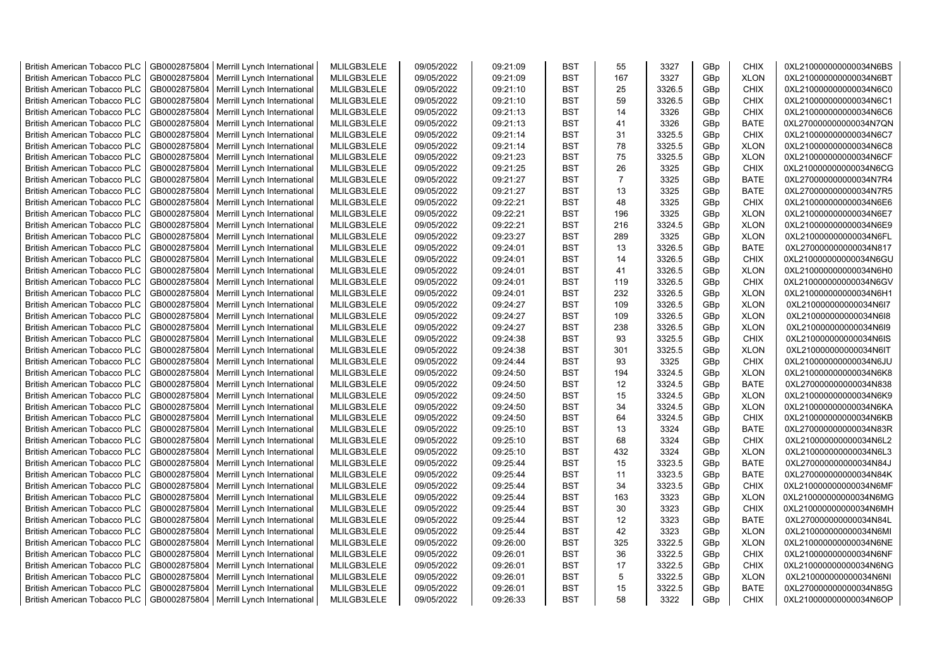| <b>British American Tobacco PLC</b> | GB0002875804 | Merrill Lynch International | MLILGB3LELE | 09/05/2022 | 09:21:09 | <b>BST</b> | 55             | 3327   | GBp | <b>CHIX</b> | 0XL210000000000034N6BS |
|-------------------------------------|--------------|-----------------------------|-------------|------------|----------|------------|----------------|--------|-----|-------------|------------------------|
| <b>British American Tobacco PLC</b> | GB0002875804 | Merrill Lynch International | MLILGB3LELE | 09/05/2022 | 09:21:09 | <b>BST</b> | 167            | 3327   | GBp | <b>XLON</b> | 0XL210000000000034N6BT |
| <b>British American Tobacco PLC</b> | GB0002875804 | Merrill Lynch International | MLILGB3LELE | 09/05/2022 | 09:21:10 | <b>BST</b> | 25             | 3326.5 | GBp | <b>CHIX</b> | 0XL210000000000034N6C0 |
| <b>British American Tobacco PLC</b> | GB0002875804 | Merrill Lynch International | MLILGB3LELE | 09/05/2022 | 09:21:10 | <b>BST</b> | 59             | 3326.5 | GBp | <b>CHIX</b> | 0XL210000000000034N6C1 |
| <b>British American Tobacco PLC</b> | GB0002875804 | Merrill Lynch International | MLILGB3LELE | 09/05/2022 | 09:21:13 | <b>BST</b> | 14             | 3326   | GBp | <b>CHIX</b> | 0XL210000000000034N6C6 |
| <b>British American Tobacco PLC</b> | GB0002875804 | Merrill Lynch International | MLILGB3LELE | 09/05/2022 | 09:21:13 | <b>BST</b> | 41             | 3326   | GBp | <b>BATE</b> | 0XL270000000000034N7QN |
| <b>British American Tobacco PLC</b> | GB0002875804 | Merrill Lynch International | MLILGB3LELE | 09/05/2022 | 09:21:14 | <b>BST</b> | 31             | 3325.5 | GBp | <b>CHIX</b> | 0XL210000000000034N6C7 |
| <b>British American Tobacco PLC</b> | GB0002875804 | Merrill Lynch International | MLILGB3LELE | 09/05/2022 | 09:21:14 | <b>BST</b> | 78             | 3325.5 | GBp | <b>XLON</b> | 0XL210000000000034N6C8 |
| <b>British American Tobacco PLC</b> | GB0002875804 | Merrill Lynch International | MLILGB3LELE | 09/05/2022 | 09:21:23 | <b>BST</b> | 75             | 3325.5 | GBp | <b>XLON</b> | 0XL210000000000034N6CF |
| <b>British American Tobacco PLC</b> | GB0002875804 | Merrill Lynch International | MLILGB3LELE | 09/05/2022 | 09:21:25 | <b>BST</b> | 26             | 3325   | GBp | <b>CHIX</b> | 0XL210000000000034N6CG |
| <b>British American Tobacco PLC</b> | GB0002875804 | Merrill Lynch International | MLILGB3LELE | 09/05/2022 | 09:21:27 | <b>BST</b> | $\overline{7}$ | 3325   | GBp | <b>BATE</b> | 0XL270000000000034N7R4 |
| <b>British American Tobacco PLC</b> | GB0002875804 | Merrill Lynch International | MLILGB3LELE | 09/05/2022 | 09:21:27 | <b>BST</b> | 13             | 3325   | GBp | <b>BATE</b> | 0XL270000000000034N7R5 |
| <b>British American Tobacco PLC</b> | GB0002875804 | Merrill Lynch International | MLILGB3LELE | 09/05/2022 | 09:22:21 | <b>BST</b> | 48             | 3325   | GBp | <b>CHIX</b> | 0XL210000000000034N6E6 |
| <b>British American Tobacco PLC</b> | GB0002875804 | Merrill Lynch International | MLILGB3LELE | 09/05/2022 | 09:22:21 | <b>BST</b> | 196            | 3325   | GBp | <b>XLON</b> | 0XL210000000000034N6E7 |
| <b>British American Tobacco PLC</b> | GB0002875804 | Merrill Lynch International | MLILGB3LELE | 09/05/2022 | 09:22:21 | <b>BST</b> | 216            | 3324.5 | GBp | <b>XLON</b> | 0XL210000000000034N6E9 |
| <b>British American Tobacco PLC</b> | GB0002875804 | Merrill Lynch International | MLILGB3LELE | 09/05/2022 | 09:23:27 | <b>BST</b> | 289            | 3325   | GBp | <b>XLON</b> | 0XL210000000000034N6FL |
| <b>British American Tobacco PLC</b> | GB0002875804 | Merrill Lynch International | MLILGB3LELE | 09/05/2022 | 09:24:01 | <b>BST</b> | 13             | 3326.5 | GBp | <b>BATE</b> | 0XL270000000000034N817 |
| <b>British American Tobacco PLC</b> | GB0002875804 | Merrill Lynch International | MLILGB3LELE | 09/05/2022 | 09:24:01 | <b>BST</b> | 14             | 3326.5 | GBp | <b>CHIX</b> | 0XL210000000000034N6GU |
| <b>British American Tobacco PLC</b> | GB0002875804 | Merrill Lynch International | MLILGB3LELE | 09/05/2022 | 09:24:01 | <b>BST</b> | 41             | 3326.5 | GBp | <b>XLON</b> | 0XL210000000000034N6H0 |
| <b>British American Tobacco PLC</b> | GB0002875804 | Merrill Lynch International | MLILGB3LELE | 09/05/2022 | 09:24:01 | <b>BST</b> | 119            | 3326.5 | GBp | <b>CHIX</b> | 0XL210000000000034N6GV |
| <b>British American Tobacco PLC</b> | GB0002875804 | Merrill Lynch International | MLILGB3LELE | 09/05/2022 | 09:24:01 | <b>BST</b> | 232            | 3326.5 | GBp | <b>XLON</b> | 0XL210000000000034N6H1 |
| <b>British American Tobacco PLC</b> | GB0002875804 | Merrill Lynch International | MLILGB3LELE | 09/05/2022 | 09:24:27 | <b>BST</b> | 109            | 3326.5 | GBp | <b>XLON</b> | 0XL210000000000034N6I7 |
| <b>British American Tobacco PLC</b> | GB0002875804 | Merrill Lynch International | MLILGB3LELE | 09/05/2022 | 09:24:27 | <b>BST</b> | 109            | 3326.5 | GBp | <b>XLON</b> | 0XL210000000000034N6I8 |
| <b>British American Tobacco PLC</b> | GB0002875804 | Merrill Lynch International | MLILGB3LELE | 09/05/2022 | 09:24:27 | <b>BST</b> | 238            | 3326.5 | GBp | <b>XLON</b> | 0XL210000000000034N6I9 |
| <b>British American Tobacco PLC</b> | GB0002875804 | Merrill Lynch International | MLILGB3LELE | 09/05/2022 | 09:24:38 | <b>BST</b> | 93             | 3325.5 | GBp | <b>CHIX</b> | 0XL210000000000034N6IS |
| <b>British American Tobacco PLC</b> | GB0002875804 | Merrill Lynch International | MLILGB3LELE | 09/05/2022 | 09:24:38 | <b>BST</b> | 301            | 3325.5 | GBp | <b>XLON</b> | 0XL210000000000034N6IT |
| <b>British American Tobacco PLC</b> | GB0002875804 | Merrill Lynch International | MLILGB3LELE | 09/05/2022 | 09:24:44 | <b>BST</b> | 93             | 3325   | GBp | <b>CHIX</b> | 0XL210000000000034N6JU |
| <b>British American Tobacco PLC</b> | GB0002875804 | Merrill Lynch International | MLILGB3LELE | 09/05/2022 | 09:24:50 | <b>BST</b> | 194            | 3324.5 | GBp | <b>XLON</b> | 0XL210000000000034N6K8 |
| <b>British American Tobacco PLC</b> | GB0002875804 | Merrill Lynch International | MLILGB3LELE | 09/05/2022 | 09:24:50 | <b>BST</b> | 12             | 3324.5 | GBp | <b>BATE</b> | 0XL270000000000034N838 |
| <b>British American Tobacco PLC</b> | GB0002875804 | Merrill Lynch International | MLILGB3LELE | 09/05/2022 | 09:24:50 | <b>BST</b> | 15             | 3324.5 | GBp | <b>XLON</b> | 0XL210000000000034N6K9 |
| <b>British American Tobacco PLC</b> | GB0002875804 | Merrill Lynch International | MLILGB3LELE | 09/05/2022 | 09:24:50 | <b>BST</b> | 34             | 3324.5 | GBp | <b>XLON</b> | 0XL210000000000034N6KA |
| <b>British American Tobacco PLC</b> | GB0002875804 | Merrill Lynch International | MLILGB3LELE | 09/05/2022 | 09:24:50 | <b>BST</b> | 64             | 3324.5 | GBp | <b>CHIX</b> | 0XL210000000000034N6KB |
| <b>British American Tobacco PLC</b> | GB0002875804 | Merrill Lynch International | MLILGB3LELE | 09/05/2022 | 09:25:10 | <b>BST</b> | 13             | 3324   | GBp | <b>BATE</b> | 0XL270000000000034N83R |
| <b>British American Tobacco PLC</b> | GB0002875804 | Merrill Lynch International | MLILGB3LELE | 09/05/2022 | 09:25:10 | <b>BST</b> | 68             | 3324   | GBp | <b>CHIX</b> | 0XL210000000000034N6L2 |
| <b>British American Tobacco PLC</b> | GB0002875804 | Merrill Lynch International | MLILGB3LELE | 09/05/2022 | 09:25:10 | <b>BST</b> | 432            | 3324   | GBp | <b>XLON</b> | 0XL210000000000034N6L3 |
| <b>British American Tobacco PLC</b> | GB0002875804 | Merrill Lynch International | MLILGB3LELE | 09/05/2022 | 09:25:44 | <b>BST</b> | 15             | 3323.5 | GBp | <b>BATE</b> | 0XL270000000000034N84J |
| <b>British American Tobacco PLC</b> | GB0002875804 | Merrill Lynch International | MLILGB3LELE | 09/05/2022 | 09:25:44 | <b>BST</b> | 11             | 3323.5 | GBp | <b>BATE</b> | 0XL270000000000034N84K |
| <b>British American Tobacco PLC</b> | GB0002875804 | Merrill Lynch International | MLILGB3LELE | 09/05/2022 | 09:25:44 | <b>BST</b> | 34             | 3323.5 | GBp | <b>CHIX</b> | 0XL210000000000034N6MF |
| <b>British American Tobacco PLC</b> | GB0002875804 | Merrill Lynch International | MLILGB3LELE | 09/05/2022 | 09:25:44 | <b>BST</b> | 163            | 3323   | GBp | <b>XLON</b> | 0XL210000000000034N6MG |
| <b>British American Tobacco PLC</b> | GB0002875804 | Merrill Lynch International | MLILGB3LELE | 09/05/2022 | 09:25:44 | <b>BST</b> | 30             | 3323   | GBp | <b>CHIX</b> | 0XL210000000000034N6MH |
| <b>British American Tobacco PLC</b> | GB0002875804 | Merrill Lynch International | MLILGB3LELE | 09/05/2022 | 09:25:44 | <b>BST</b> | 12             | 3323   | GBp | <b>BATE</b> | 0XL270000000000034N84L |
| <b>British American Tobacco PLC</b> | GB0002875804 | Merrill Lynch International | MLILGB3LELE | 09/05/2022 | 09:25:44 | <b>BST</b> | 42             | 3323   | GBp | <b>XLON</b> | 0XL210000000000034N6MI |
| <b>British American Tobacco PLC</b> | GB0002875804 | Merrill Lynch International | MLILGB3LELE | 09/05/2022 | 09:26:00 | <b>BST</b> | 325            | 3322.5 | GBp | <b>XLON</b> | 0XL210000000000034N6NE |
| <b>British American Tobacco PLC</b> | GB0002875804 | Merrill Lynch International | MLILGB3LELE | 09/05/2022 | 09:26:01 | <b>BST</b> | 36             | 3322.5 | GBp | <b>CHIX</b> | 0XL210000000000034N6NF |
| <b>British American Tobacco PLC</b> | GB0002875804 | Merrill Lynch International | MLILGB3LELE | 09/05/2022 | 09:26:01 | <b>BST</b> | 17             | 3322.5 | GBp | <b>CHIX</b> | 0XL210000000000034N6NG |
| <b>British American Tobacco PLC</b> | GB0002875804 | Merrill Lynch International | MLILGB3LELE | 09/05/2022 | 09:26:01 | <b>BST</b> | 5              | 3322.5 | GBp | <b>XLON</b> | 0XL210000000000034N6NI |
| <b>British American Tobacco PLC</b> | GB0002875804 | Merrill Lynch International | MLILGB3LELE | 09/05/2022 | 09:26:01 | <b>BST</b> | 15             | 3322.5 | GBp | <b>BATE</b> | 0XL270000000000034N85G |
| <b>British American Tobacco PLC</b> | GB0002875804 | Merrill Lynch International | MLILGB3LELE | 09/05/2022 | 09:26:33 | <b>BST</b> | 58             | 3322   | GBp | <b>CHIX</b> | 0XL210000000000034N6OP |
|                                     |              |                             |             |            |          |            |                |        |     |             |                        |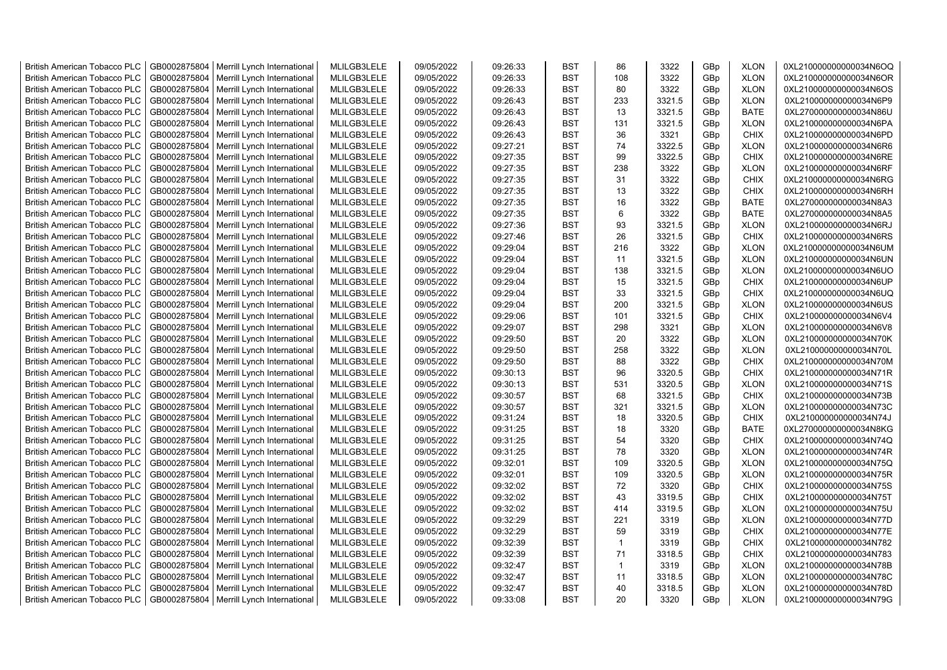| <b>British American Tobacco PLC</b> | GB0002875804 | Merrill Lynch International | MLILGB3LELE | 09/05/2022 | 09:26:33 | <b>BST</b> | 86           | 3322   | GBp | <b>XLON</b> | 0XL210000000000034N6OQ |
|-------------------------------------|--------------|-----------------------------|-------------|------------|----------|------------|--------------|--------|-----|-------------|------------------------|
| <b>British American Tobacco PLC</b> | GB0002875804 | Merrill Lynch International | MLILGB3LELE | 09/05/2022 | 09:26:33 | <b>BST</b> | 108          | 3322   | GBp | <b>XLON</b> | 0XL210000000000034N6OR |
| <b>British American Tobacco PLC</b> | GB0002875804 | Merrill Lynch International | MLILGB3LELE | 09/05/2022 | 09:26:33 | <b>BST</b> | 80           | 3322   | GBp | <b>XLON</b> | 0XL210000000000034N6OS |
| <b>British American Tobacco PLC</b> | GB0002875804 | Merrill Lynch International | MLILGB3LELE | 09/05/2022 | 09:26:43 | <b>BST</b> | 233          | 3321.5 | GBp | <b>XLON</b> | 0XL210000000000034N6P9 |
| <b>British American Tobacco PLC</b> | GB0002875804 | Merrill Lynch International | MLILGB3LELE | 09/05/2022 | 09:26:43 | <b>BST</b> | 13           | 3321.5 | GBp | <b>BATE</b> | 0XL270000000000034N86U |
| <b>British American Tobacco PLC</b> | GB0002875804 | Merrill Lynch International | MLILGB3LELE | 09/05/2022 | 09:26:43 | <b>BST</b> | 131          | 3321.5 | GBp | <b>XLON</b> | 0XL210000000000034N6PA |
| <b>British American Tobacco PLC</b> | GB0002875804 | Merrill Lynch International | MLILGB3LELE | 09/05/2022 | 09:26:43 | <b>BST</b> | 36           | 3321   | GBp | <b>CHIX</b> | 0XL210000000000034N6PD |
| <b>British American Tobacco PLC</b> | GB0002875804 | Merrill Lynch International | MLILGB3LELE | 09/05/2022 | 09:27:21 | <b>BST</b> | 74           | 3322.5 | GBp | <b>XLON</b> | 0XL210000000000034N6R6 |
| <b>British American Tobacco PLC</b> | GB0002875804 | Merrill Lynch International | MLILGB3LELE | 09/05/2022 | 09:27:35 | <b>BST</b> | 99           | 3322.5 | GBp | <b>CHIX</b> | 0XL210000000000034N6RE |
| <b>British American Tobacco PLC</b> | GB0002875804 | Merrill Lynch International | MLILGB3LELE | 09/05/2022 | 09:27:35 | <b>BST</b> | 238          | 3322   | GBp | <b>XLON</b> | 0XL210000000000034N6RF |
| <b>British American Tobacco PLC</b> | GB0002875804 | Merrill Lynch International | MLILGB3LELE | 09/05/2022 | 09:27:35 | <b>BST</b> | 31           | 3322   | GBp | <b>CHIX</b> | 0XL210000000000034N6RG |
| <b>British American Tobacco PLC</b> | GB0002875804 | Merrill Lynch International | MLILGB3LELE | 09/05/2022 | 09:27:35 | <b>BST</b> | 13           | 3322   | GBp | CHIX        | 0XL210000000000034N6RH |
| <b>British American Tobacco PLC</b> | GB0002875804 | Merrill Lynch International | MLILGB3LELE | 09/05/2022 | 09:27:35 | <b>BST</b> | 16           | 3322   | GBp | <b>BATE</b> | 0XL270000000000034N8A3 |
| <b>British American Tobacco PLC</b> | GB0002875804 | Merrill Lynch International | MLILGB3LELE | 09/05/2022 | 09:27:35 | <b>BST</b> | 6            | 3322   | GBp | <b>BATE</b> | 0XL270000000000034N8A5 |
| <b>British American Tobacco PLC</b> | GB0002875804 | Merrill Lynch International | MLILGB3LELE | 09/05/2022 | 09:27:36 | <b>BST</b> | 93           | 3321.5 | GBp | <b>XLON</b> | 0XL210000000000034N6RJ |
| <b>British American Tobacco PLC</b> | GB0002875804 | Merrill Lynch International | MLILGB3LELE | 09/05/2022 | 09:27:46 | <b>BST</b> | 26           | 3321.5 | GBp | <b>CHIX</b> | 0XL210000000000034N6RS |
| <b>British American Tobacco PLC</b> | GB0002875804 | Merrill Lynch International | MLILGB3LELE | 09/05/2022 | 09:29:04 | <b>BST</b> | 216          | 3322   | GBp | <b>XLON</b> | 0XL210000000000034N6UM |
| <b>British American Tobacco PLC</b> | GB0002875804 | Merrill Lynch International | MLILGB3LELE | 09/05/2022 | 09:29:04 | <b>BST</b> | 11           | 3321.5 | GBp | <b>XLON</b> | 0XL210000000000034N6UN |
| <b>British American Tobacco PLC</b> | GB0002875804 | Merrill Lynch International | MLILGB3LELE | 09/05/2022 | 09:29:04 | <b>BST</b> | 138          | 3321.5 | GBp | <b>XLON</b> | 0XL210000000000034N6UO |
| <b>British American Tobacco PLC</b> | GB0002875804 | Merrill Lynch International | MLILGB3LELE | 09/05/2022 | 09:29:04 | <b>BST</b> | 15           | 3321.5 | GBp | <b>CHIX</b> | 0XL210000000000034N6UP |
| <b>British American Tobacco PLC</b> | GB0002875804 | Merrill Lynch International | MLILGB3LELE | 09/05/2022 | 09:29:04 | <b>BST</b> | 33           | 3321.5 | GBp | <b>CHIX</b> | 0XL210000000000034N6UQ |
| <b>British American Tobacco PLC</b> | GB0002875804 | Merrill Lynch International | MLILGB3LELE | 09/05/2022 | 09:29:04 | <b>BST</b> | 200          | 3321.5 | GBp | <b>XLON</b> | 0XL210000000000034N6US |
| British American Tobacco PLC        | GB0002875804 | Merrill Lynch International | MLILGB3LELE | 09/05/2022 | 09:29:06 | <b>BST</b> | 101          | 3321.5 | GBp | <b>CHIX</b> | 0XL210000000000034N6V4 |
| <b>British American Tobacco PLC</b> | GB0002875804 | Merrill Lynch International | MLILGB3LELE | 09/05/2022 | 09:29:07 | <b>BST</b> | 298          | 3321   | GBp | <b>XLON</b> | 0XL210000000000034N6V8 |
| <b>British American Tobacco PLC</b> | GB0002875804 | Merrill Lynch International | MLILGB3LELE | 09/05/2022 | 09:29:50 | <b>BST</b> | 20           | 3322   | GBp | <b>XLON</b> | 0XL210000000000034N70K |
| <b>British American Tobacco PLC</b> | GB0002875804 | Merrill Lynch International | MLILGB3LELE | 09/05/2022 | 09:29:50 | <b>BST</b> | 258          | 3322   | GBp | <b>XLON</b> | 0XL210000000000034N70L |
| <b>British American Tobacco PLC</b> | GB0002875804 | Merrill Lynch International | MLILGB3LELE | 09/05/2022 | 09:29:50 | <b>BST</b> | 88           | 3322   | GBp | <b>CHIX</b> | 0XL210000000000034N70M |
| <b>British American Tobacco PLC</b> | GB0002875804 | Merrill Lynch International | MLILGB3LELE | 09/05/2022 | 09:30:13 | <b>BST</b> | 96           | 3320.5 | GBp | <b>CHIX</b> | 0XL210000000000034N71R |
| <b>British American Tobacco PLC</b> | GB0002875804 | Merrill Lynch International | MLILGB3LELE | 09/05/2022 | 09:30:13 | <b>BST</b> | 531          | 3320.5 | GBp | <b>XLON</b> | 0XL210000000000034N71S |
| <b>British American Tobacco PLC</b> | GB0002875804 | Merrill Lynch International | MLILGB3LELE | 09/05/2022 | 09:30:57 | <b>BST</b> | 68           | 3321.5 | GBp | <b>CHIX</b> | 0XL210000000000034N73B |
| <b>British American Tobacco PLC</b> | GB0002875804 | Merrill Lynch International | MLILGB3LELE | 09/05/2022 | 09:30:57 | <b>BST</b> | 321          | 3321.5 | GBp | <b>XLON</b> | 0XL210000000000034N73C |
| <b>British American Tobacco PLC</b> | GB0002875804 | Merrill Lynch International | MLILGB3LELE | 09/05/2022 | 09:31:24 | <b>BST</b> | 18           | 3320.5 | GBp | <b>CHIX</b> | 0XL210000000000034N74J |
| <b>British American Tobacco PLC</b> | GB0002875804 | Merrill Lynch International | MLILGB3LELE | 09/05/2022 | 09:31:25 | <b>BST</b> | 18           | 3320   | GBp | <b>BATE</b> | 0XL270000000000034N8KG |
| <b>British American Tobacco PLC</b> | GB0002875804 | Merrill Lynch International | MLILGB3LELE | 09/05/2022 | 09:31:25 | <b>BST</b> | 54           | 3320   | GBp | <b>CHIX</b> | 0XL210000000000034N74Q |
| <b>British American Tobacco PLC</b> | GB0002875804 | Merrill Lynch International | MLILGB3LELE | 09/05/2022 | 09:31:25 | <b>BST</b> | 78           | 3320   | GBp | <b>XLON</b> | 0XL210000000000034N74R |
| <b>British American Tobacco PLC</b> | GB0002875804 | Merrill Lynch International | MLILGB3LELE | 09/05/2022 | 09:32:01 | <b>BST</b> | 109          | 3320.5 | GBp | <b>XLON</b> | 0XL210000000000034N75Q |
| <b>British American Tobacco PLC</b> | GB0002875804 | Merrill Lynch International | MLILGB3LELE | 09/05/2022 | 09:32:01 | <b>BST</b> | 109          | 3320.5 | GBp | <b>XLON</b> | 0XL210000000000034N75R |
| <b>British American Tobacco PLC</b> | GB0002875804 | Merrill Lynch International | MLILGB3LELE | 09/05/2022 | 09:32:02 | <b>BST</b> | 72           | 3320   | GBp | <b>CHIX</b> | 0XL210000000000034N75S |
| <b>British American Tobacco PLC</b> | GB0002875804 | Merrill Lynch International | MLILGB3LELE | 09/05/2022 | 09:32:02 | <b>BST</b> | 43           | 3319.5 | GBp | <b>CHIX</b> | 0XL210000000000034N75T |
| <b>British American Tobacco PLC</b> | GB0002875804 | Merrill Lynch International | MLILGB3LELE | 09/05/2022 | 09:32:02 | <b>BST</b> | 414          | 3319.5 | GBp | <b>XLON</b> | 0XL210000000000034N75U |
| <b>British American Tobacco PLC</b> | GB0002875804 | Merrill Lynch International | MLILGB3LELE | 09/05/2022 | 09:32:29 | <b>BST</b> | 221          | 3319   | GBp | <b>XLON</b> | 0XL210000000000034N77D |
| <b>British American Tobacco PLC</b> | GB0002875804 | Merrill Lynch International | MLILGB3LELE | 09/05/2022 | 09:32:29 | <b>BST</b> | 59           | 3319   | GBp | CHIX        | 0XL210000000000034N77E |
| <b>British American Tobacco PLC</b> | GB0002875804 | Merrill Lynch International | MLILGB3LELE | 09/05/2022 | 09:32:39 | <b>BST</b> | $\mathbf{1}$ | 3319   | GBp | <b>CHIX</b> | 0XL210000000000034N782 |
| <b>British American Tobacco PLC</b> | GB0002875804 | Merrill Lynch International | MLILGB3LELE | 09/05/2022 | 09:32:39 | <b>BST</b> | 71           | 3318.5 | GBp | <b>CHIX</b> | 0XL210000000000034N783 |
| <b>British American Tobacco PLC</b> | GB0002875804 | Merrill Lynch International | MLILGB3LELE | 09/05/2022 | 09:32:47 | <b>BST</b> | $\mathbf{1}$ | 3319   | GBp | <b>XLON</b> | 0XL210000000000034N78B |
| <b>British American Tobacco PLC</b> | GB0002875804 | Merrill Lynch International | MLILGB3LELE | 09/05/2022 | 09:32:47 | <b>BST</b> | 11           | 3318.5 | GBp | <b>XLON</b> | 0XL210000000000034N78C |
| <b>British American Tobacco PLC</b> | GB0002875804 | Merrill Lynch International | MLILGB3LELE | 09/05/2022 | 09:32:47 | <b>BST</b> | 40           | 3318.5 | GBp | <b>XLON</b> | 0XL210000000000034N78D |
| <b>British American Tobacco PLC</b> | GB0002875804 | Merrill Lynch International | MLILGB3LELE | 09/05/2022 | 09:33:08 | <b>BST</b> | 20           | 3320   | GBp | <b>XLON</b> | 0XL210000000000034N79G |
|                                     |              |                             |             |            |          |            |              |        |     |             |                        |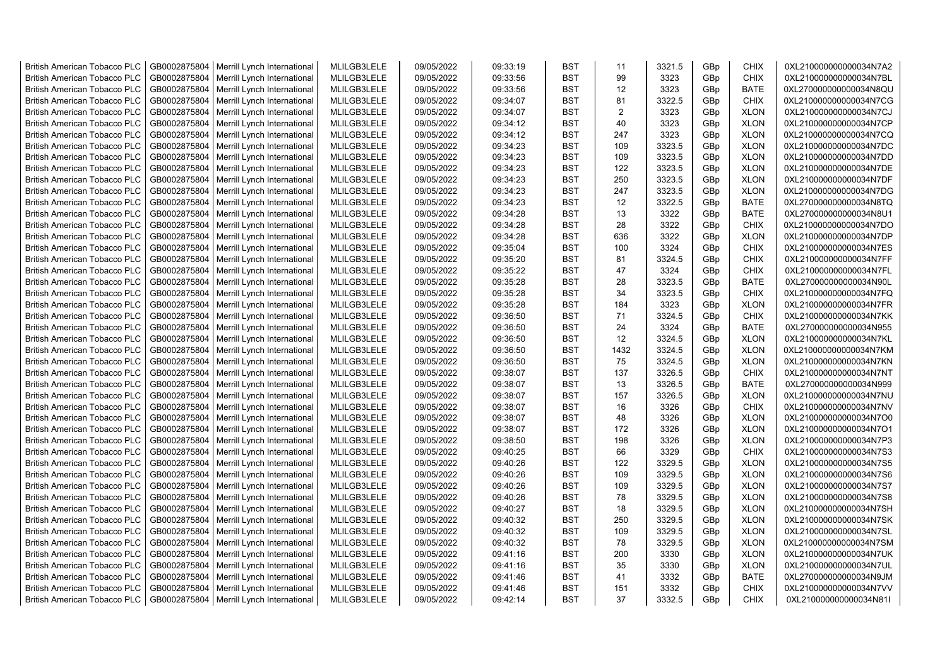| <b>British American Tobacco PLC</b> | GB0002875804 | Merrill Lynch International | MLILGB3LELE | 09/05/2022 | 09:33:19 | <b>BST</b> | 11   | 3321.5 | GBp | <b>CHIX</b> | 0XL210000000000034N7A2 |
|-------------------------------------|--------------|-----------------------------|-------------|------------|----------|------------|------|--------|-----|-------------|------------------------|
| <b>British American Tobacco PLC</b> | GB0002875804 | Merrill Lynch International | MLILGB3LELE | 09/05/2022 | 09:33:56 | <b>BST</b> | 99   | 3323   | GBp | <b>CHIX</b> | 0XL210000000000034N7BL |
| <b>British American Tobacco PLC</b> | GB0002875804 | Merrill Lynch International | MLILGB3LELE | 09/05/2022 | 09:33:56 | <b>BST</b> | 12   | 3323   | GBp | <b>BATE</b> | 0XL270000000000034N8QU |
| <b>British American Tobacco PLC</b> | GB0002875804 | Merrill Lynch International | MLILGB3LELE | 09/05/2022 | 09:34:07 | <b>BST</b> | 81   | 3322.5 | GBp | <b>CHIX</b> | 0XL210000000000034N7CG |
| <b>British American Tobacco PLC</b> | GB0002875804 | Merrill Lynch International | MLILGB3LELE | 09/05/2022 | 09:34:07 | <b>BST</b> | 2    | 3323   | GBp | <b>XLON</b> | 0XL210000000000034N7CJ |
| <b>British American Tobacco PLC</b> | GB0002875804 | Merrill Lynch International | MLILGB3LELE | 09/05/2022 | 09:34:12 | <b>BST</b> | 40   | 3323   | GBp | <b>XLON</b> | 0XL210000000000034N7CP |
| <b>British American Tobacco PLC</b> | GB0002875804 | Merrill Lynch International | MLILGB3LELE | 09/05/2022 | 09:34:12 | <b>BST</b> | 247  | 3323   | GBp | <b>XLON</b> | 0XL210000000000034N7CQ |
| <b>British American Tobacco PLC</b> | GB0002875804 | Merrill Lynch International | MLILGB3LELE | 09/05/2022 | 09:34:23 | <b>BST</b> | 109  | 3323.5 | GBp | <b>XLON</b> | 0XL210000000000034N7DC |
| <b>British American Tobacco PLC</b> | GB0002875804 | Merrill Lynch International | MLILGB3LELE | 09/05/2022 | 09:34:23 | <b>BST</b> | 109  | 3323.5 | GBp | <b>XLON</b> | 0XL210000000000034N7DD |
| <b>British American Tobacco PLC</b> | GB0002875804 | Merrill Lynch International | MLILGB3LELE | 09/05/2022 | 09:34:23 | <b>BST</b> | 122  | 3323.5 | GBp | <b>XLON</b> | 0XL210000000000034N7DE |
| <b>British American Tobacco PLC</b> | GB0002875804 | Merrill Lynch International | MLILGB3LELE | 09/05/2022 | 09:34:23 | <b>BST</b> | 250  | 3323.5 | GBp | <b>XLON</b> | 0XL210000000000034N7DF |
| <b>British American Tobacco PLC</b> | GB0002875804 | Merrill Lynch International | MLILGB3LELE | 09/05/2022 | 09:34:23 | <b>BST</b> | 247  | 3323.5 | GBp | <b>XLON</b> | 0XL210000000000034N7DG |
| <b>British American Tobacco PLC</b> | GB0002875804 | Merrill Lynch International | MLILGB3LELE | 09/05/2022 | 09:34:23 | <b>BST</b> | 12   | 3322.5 | GBp | <b>BATE</b> | 0XL270000000000034N8TQ |
| <b>British American Tobacco PLC</b> | GB0002875804 | Merrill Lynch International | MLILGB3LELE | 09/05/2022 | 09:34:28 | <b>BST</b> | 13   | 3322   | GBp | <b>BATE</b> | 0XL270000000000034N8U1 |
| <b>British American Tobacco PLC</b> | GB0002875804 | Merrill Lynch International | MLILGB3LELE | 09/05/2022 | 09:34:28 | <b>BST</b> | 28   | 3322   | GBp | <b>CHIX</b> | 0XL210000000000034N7DO |
| <b>British American Tobacco PLC</b> | GB0002875804 | Merrill Lynch International | MLILGB3LELE | 09/05/2022 | 09:34:28 | <b>BST</b> | 636  | 3322   | GBp | <b>XLON</b> | 0XL210000000000034N7DP |
| <b>British American Tobacco PLC</b> | GB0002875804 | Merrill Lynch International | MLILGB3LELE | 09/05/2022 | 09:35:04 | <b>BST</b> | 100  | 3324   | GBp | CHIX        | 0XL210000000000034N7ES |
| <b>British American Tobacco PLC</b> | GB0002875804 | Merrill Lynch International | MLILGB3LELE | 09/05/2022 | 09:35:20 | <b>BST</b> | 81   | 3324.5 | GBp | <b>CHIX</b> | 0XL210000000000034N7FF |
| <b>British American Tobacco PLC</b> | GB0002875804 | Merrill Lynch International | MLILGB3LELE | 09/05/2022 | 09:35:22 | <b>BST</b> | 47   | 3324   | GBp | <b>CHIX</b> | 0XL210000000000034N7FL |
| <b>British American Tobacco PLC</b> | GB0002875804 | Merrill Lynch International | MLILGB3LELE | 09/05/2022 | 09:35:28 | <b>BST</b> | 28   | 3323.5 | GBp | <b>BATE</b> | 0XL270000000000034N90L |
| <b>British American Tobacco PLC</b> | GB0002875804 | Merrill Lynch International | MLILGB3LELE | 09/05/2022 | 09:35:28 | <b>BST</b> | 34   | 3323.5 | GBp | <b>CHIX</b> | 0XL210000000000034N7FQ |
| <b>British American Tobacco PLC</b> | GB0002875804 | Merrill Lynch International | MLILGB3LELE | 09/05/2022 | 09:35:28 | <b>BST</b> | 184  | 3323   | GBp | <b>XLON</b> | 0XL210000000000034N7FR |
| <b>British American Tobacco PLC</b> | GB0002875804 | Merrill Lynch International | MLILGB3LELE | 09/05/2022 | 09:36:50 | <b>BST</b> | 71   | 3324.5 | GBp | <b>CHIX</b> | 0XL210000000000034N7KK |
| <b>British American Tobacco PLC</b> | GB0002875804 | Merrill Lynch International | MLILGB3LELE | 09/05/2022 | 09:36:50 | <b>BST</b> | 24   | 3324   | GBp | <b>BATE</b> | 0XL270000000000034N955 |
| <b>British American Tobacco PLC</b> | GB0002875804 | Merrill Lynch International | MLILGB3LELE | 09/05/2022 | 09:36:50 | <b>BST</b> | 12   | 3324.5 | GBp | <b>XLON</b> | 0XL210000000000034N7KL |
| <b>British American Tobacco PLC</b> | GB0002875804 | Merrill Lynch International | MLILGB3LELE | 09/05/2022 | 09:36:50 | <b>BST</b> | 1432 | 3324.5 | GBp | <b>XLON</b> | 0XL210000000000034N7KM |
| <b>British American Tobacco PLC</b> | GB0002875804 | Merrill Lynch International | MLILGB3LELE | 09/05/2022 | 09:36:50 | <b>BST</b> | 75   | 3324.5 | GBp | <b>XLON</b> | 0XL210000000000034N7KN |
| <b>British American Tobacco PLC</b> | GB0002875804 | Merrill Lynch International | MLILGB3LELE | 09/05/2022 | 09:38:07 | <b>BST</b> | 137  | 3326.5 | GBp | <b>CHIX</b> | 0XL210000000000034N7NT |
| <b>British American Tobacco PLC</b> | GB0002875804 | Merrill Lynch International | MLILGB3LELE | 09/05/2022 | 09:38:07 | <b>BST</b> | 13   | 3326.5 | GBp | <b>BATE</b> | 0XL270000000000034N999 |
| <b>British American Tobacco PLC</b> | GB0002875804 | Merrill Lynch International | MLILGB3LELE | 09/05/2022 | 09:38:07 | <b>BST</b> | 157  | 3326.5 | GBp | <b>XLON</b> | 0XL210000000000034N7NU |
| <b>British American Tobacco PLC</b> | GB0002875804 | Merrill Lynch International | MLILGB3LELE | 09/05/2022 | 09:38:07 | <b>BST</b> | 16   | 3326   | GBp | <b>CHIX</b> | 0XL210000000000034N7NV |
| <b>British American Tobacco PLC</b> | GB0002875804 | Merrill Lynch International | MLILGB3LELE | 09/05/2022 | 09:38:07 | <b>BST</b> | 48   | 3326   | GBp | <b>XLON</b> | 0XL210000000000034N7O0 |
| <b>British American Tobacco PLC</b> | GB0002875804 | Merrill Lynch International | MLILGB3LELE | 09/05/2022 | 09:38:07 | <b>BST</b> | 172  | 3326   | GBp | <b>XLON</b> | 0XL210000000000034N7O1 |
| <b>British American Tobacco PLC</b> | GB0002875804 | Merrill Lynch International | MLILGB3LELE | 09/05/2022 | 09:38:50 | <b>BST</b> | 198  | 3326   | GBp | <b>XLON</b> | 0XL210000000000034N7P3 |
| <b>British American Tobacco PLC</b> | GB0002875804 | Merrill Lynch International | MLILGB3LELE | 09/05/2022 | 09:40:25 | <b>BST</b> | 66   | 3329   | GBp | <b>CHIX</b> | 0XL210000000000034N7S3 |
| <b>British American Tobacco PLC</b> | GB0002875804 | Merrill Lynch International | MLILGB3LELE | 09/05/2022 | 09:40:26 | <b>BST</b> | 122  | 3329.5 | GBp | <b>XLON</b> | 0XL210000000000034N7S5 |
| <b>British American Tobacco PLC</b> | GB0002875804 | Merrill Lynch International | MLILGB3LELE | 09/05/2022 | 09:40:26 | <b>BST</b> | 109  | 3329.5 | GBp | <b>XLON</b> | 0XL210000000000034N7S6 |
| <b>British American Tobacco PLC</b> | GB0002875804 | Merrill Lynch International | MLILGB3LELE | 09/05/2022 | 09:40:26 | <b>BST</b> | 109  | 3329.5 | GBp | <b>XLON</b> | 0XL210000000000034N7S7 |
| <b>British American Tobacco PLC</b> | GB0002875804 | Merrill Lynch International | MLILGB3LELE | 09/05/2022 | 09:40:26 | <b>BST</b> | 78   | 3329.5 | GBp | <b>XLON</b> | 0XL210000000000034N7S8 |
| <b>British American Tobacco PLC</b> | GB0002875804 | Merrill Lynch International | MLILGB3LELE | 09/05/2022 | 09:40:27 | <b>BST</b> | 18   | 3329.5 | GBp | <b>XLON</b> | 0XL210000000000034N7SH |
| <b>British American Tobacco PLC</b> | GB0002875804 | Merrill Lynch International | MLILGB3LELE | 09/05/2022 | 09:40:32 | <b>BST</b> | 250  | 3329.5 | GBp | <b>XLON</b> | 0XL210000000000034N7SK |
| <b>British American Tobacco PLC</b> | GB0002875804 | Merrill Lynch International | MLILGB3LELE | 09/05/2022 | 09:40:32 | <b>BST</b> | 109  | 3329.5 | GBp | <b>XLON</b> | 0XL210000000000034N7SL |
| <b>British American Tobacco PLC</b> | GB0002875804 | Merrill Lynch International | MLILGB3LELE | 09/05/2022 | 09:40:32 | <b>BST</b> | 78   | 3329.5 | GBp | <b>XLON</b> | 0XL210000000000034N7SM |
| <b>British American Tobacco PLC</b> | GB0002875804 | Merrill Lynch International | MLILGB3LELE | 09/05/2022 | 09:41:16 | <b>BST</b> | 200  | 3330   | GBp | <b>XLON</b> | 0XL210000000000034N7UK |
| <b>British American Tobacco PLC</b> | GB0002875804 | Merrill Lynch International | MLILGB3LELE | 09/05/2022 | 09:41:16 | <b>BST</b> | 35   | 3330   | GBp | <b>XLON</b> | 0XL210000000000034N7UL |
| <b>British American Tobacco PLC</b> | GB0002875804 | Merrill Lynch International | MLILGB3LELE | 09/05/2022 | 09:41:46 | <b>BST</b> | 41   | 3332   | GBp | <b>BATE</b> | 0XL270000000000034N9JM |
| <b>British American Tobacco PLC</b> | GB0002875804 | Merrill Lynch International | MLILGB3LELE | 09/05/2022 | 09:41:46 | <b>BST</b> | 151  | 3332   | GBp | CHIX        | 0XL210000000000034N7VV |
| <b>British American Tobacco PLC</b> | GB0002875804 | Merrill Lynch International | MLILGB3LELE | 09/05/2022 | 09:42:14 | <b>BST</b> | 37   | 3332.5 | GBp | <b>CHIX</b> | 0XL210000000000034N81I |
|                                     |              |                             |             |            |          |            |      |        |     |             |                        |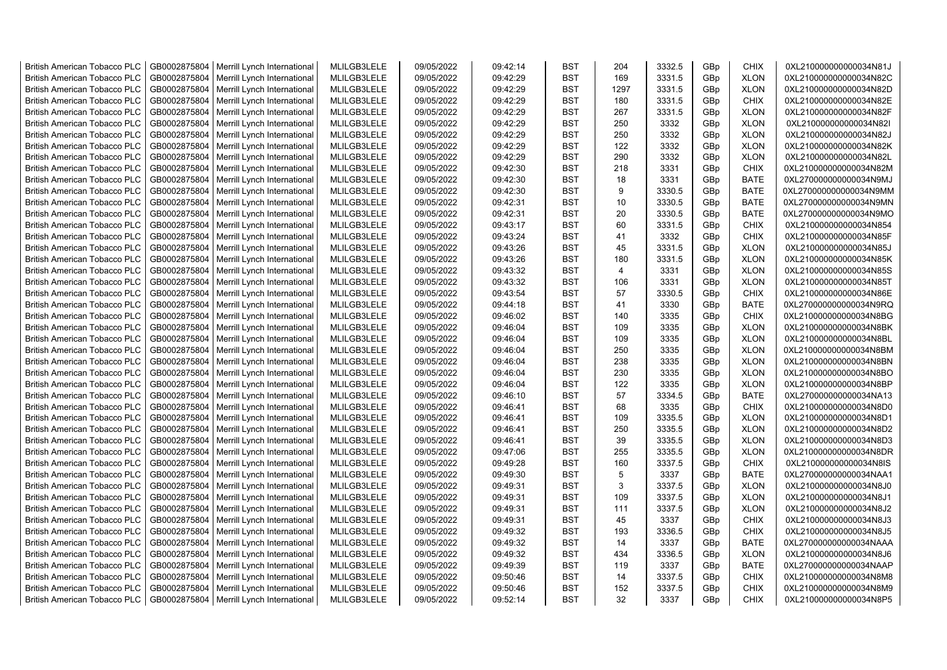| <b>British American Tobacco PLC</b> | GB0002875804 | Merrill Lynch International                | MLILGB3LELE | 09/05/2022 | 09:42:14 | <b>BST</b> | 204            | 3332.5 | GBp             | <b>CHIX</b> | 0XL210000000000034N81J |
|-------------------------------------|--------------|--------------------------------------------|-------------|------------|----------|------------|----------------|--------|-----------------|-------------|------------------------|
| <b>British American Tobacco PLC</b> | GB0002875804 | Merrill Lynch International                | MLILGB3LELE | 09/05/2022 | 09:42:29 | <b>BST</b> | 169            | 3331.5 | GBp             | <b>XLON</b> | 0XL210000000000034N82C |
| <b>British American Tobacco PLC</b> | GB0002875804 | Merrill Lynch International                | MLILGB3LELE | 09/05/2022 | 09:42:29 | <b>BST</b> | 1297           | 3331.5 | GBp             | <b>XLON</b> | 0XL210000000000034N82D |
| <b>British American Tobacco PLC</b> | GB0002875804 | Merrill Lynch International                | MLILGB3LELE | 09/05/2022 | 09:42:29 | <b>BST</b> | 180            | 3331.5 | GBp             | <b>CHIX</b> | 0XL210000000000034N82E |
| <b>British American Tobacco PLC</b> | GB0002875804 | Merrill Lynch International                | MLILGB3LELE | 09/05/2022 | 09:42:29 | <b>BST</b> | 267            | 3331.5 | GBp             | <b>XLON</b> | 0XL210000000000034N82F |
| <b>British American Tobacco PLC</b> | GB0002875804 | Merrill Lynch International                | MLILGB3LELE | 09/05/2022 | 09:42:29 | <b>BST</b> | 250            | 3332   | GBp             | <b>XLON</b> | 0XL210000000000034N82I |
| <b>British American Tobacco PLC</b> | GB0002875804 | Merrill Lynch International                | MLILGB3LELE | 09/05/2022 | 09:42:29 | <b>BST</b> | 250            | 3332   | GBp             | <b>XLON</b> | 0XL210000000000034N82J |
| <b>British American Tobacco PLC</b> | GB0002875804 | Merrill Lynch International                | MLILGB3LELE | 09/05/2022 | 09:42:29 | <b>BST</b> | 122            | 3332   | GBp             | <b>XLON</b> | 0XL210000000000034N82K |
| <b>British American Tobacco PLC</b> | GB0002875804 | Merrill Lynch International                | MLILGB3LELE | 09/05/2022 | 09:42:29 | BST        | 290            | 3332   | GBp             | <b>XLON</b> | 0XL210000000000034N82L |
| <b>British American Tobacco PLC</b> | GB0002875804 | Merrill Lynch International                | MLILGB3LELE | 09/05/2022 | 09:42:30 | <b>BST</b> | 218            | 3331   | GBp             | <b>CHIX</b> | 0XL210000000000034N82M |
| <b>British American Tobacco PLC</b> | GB0002875804 | Merrill Lynch International                | MLILGB3LELE | 09/05/2022 | 09:42:30 | BST        | 18             | 3331   | GBp             | <b>BATE</b> | 0XL270000000000034N9MJ |
| <b>British American Tobacco PLC</b> | GB0002875804 | Merrill Lynch International                | MLILGB3LELE | 09/05/2022 | 09:42:30 | <b>BST</b> | 9              | 3330.5 | GBp             | <b>BATE</b> | 0XL270000000000034N9MM |
| <b>British American Tobacco PLC</b> | GB0002875804 | Merrill Lynch International                | MLILGB3LELE | 09/05/2022 | 09:42:31 | <b>BST</b> | 10             | 3330.5 | GBp             | <b>BATE</b> | 0XL270000000000034N9MN |
| <b>British American Tobacco PLC</b> | GB0002875804 | Merrill Lynch International                | MLILGB3LELE | 09/05/2022 | 09:42:31 | <b>BST</b> | 20             | 3330.5 | GBp             | <b>BATE</b> | 0XL270000000000034N9MO |
| <b>British American Tobacco PLC</b> | GB0002875804 | Merrill Lynch International                | MLILGB3LELE | 09/05/2022 | 09:43:17 | <b>BST</b> | 60             | 3331.5 | GBp             | <b>CHIX</b> | 0XL210000000000034N854 |
| <b>British American Tobacco PLC</b> | GB0002875804 | Merrill Lynch International                | MLILGB3LELE | 09/05/2022 | 09:43:24 | <b>BST</b> | 41             | 3332   | GBp             | <b>CHIX</b> | 0XL210000000000034N85F |
| <b>British American Tobacco PLC</b> | GB0002875804 | Merrill Lynch International                | MLILGB3LELE | 09/05/2022 | 09:43:26 | <b>BST</b> | 45             | 3331.5 | GBp             | <b>XLON</b> | 0XL210000000000034N85J |
| <b>British American Tobacco PLC</b> | GB0002875804 | Merrill Lynch International                | MLILGB3LELE | 09/05/2022 | 09:43:26 | <b>BST</b> | 180            | 3331.5 | GBp             | <b>XLON</b> | 0XL210000000000034N85K |
| <b>British American Tobacco PLC</b> | GB0002875804 | Merrill Lynch International                | MLILGB3LELE | 09/05/2022 | 09:43:32 | <b>BST</b> | $\overline{4}$ | 3331   | GBp             | <b>XLON</b> | 0XL210000000000034N85S |
| <b>British American Tobacco PLC</b> | GB0002875804 | Merrill Lynch International                | MLILGB3LELE | 09/05/2022 | 09:43:32 | <b>BST</b> | 106            | 3331   | GBp             | <b>XLON</b> | 0XL210000000000034N85T |
| <b>British American Tobacco PLC</b> | GB0002875804 | Merrill Lynch International                | MLILGB3LELE | 09/05/2022 | 09:43:54 | <b>BST</b> | 57             | 3330.5 | GBp             | <b>CHIX</b> | 0XL210000000000034N86E |
| <b>British American Tobacco PLC</b> | GB0002875804 | Merrill Lynch International                | MLILGB3LELE | 09/05/2022 | 09:44:18 | <b>BST</b> | 41             | 3330   | GBp             | <b>BATE</b> | 0XL270000000000034N9RQ |
| <b>British American Tobacco PLC</b> | GB0002875804 | Merrill Lynch International                | MLILGB3LELE | 09/05/2022 | 09:46:02 | <b>BST</b> | 140            | 3335   | GBp             | <b>CHIX</b> | 0XL210000000000034N8BG |
|                                     |              |                                            |             |            |          | <b>BST</b> | 109            | 3335   |                 |             |                        |
| <b>British American Tobacco PLC</b> | GB0002875804 | Merrill Lynch International                | MLILGB3LELE | 09/05/2022 | 09:46:04 |            |                |        | GBp             | <b>XLON</b> | 0XL210000000000034N8BK |
| <b>British American Tobacco PLC</b> | GB0002875804 | Merrill Lynch International                | MLILGB3LELE | 09/05/2022 | 09:46:04 | <b>BST</b> | 109            | 3335   | GBp             | <b>XLON</b> | 0XL210000000000034N8BL |
| <b>British American Tobacco PLC</b> | GB0002875804 | Merrill Lynch International                | MLILGB3LELE | 09/05/2022 | 09:46:04 | <b>BST</b> | 250            | 3335   | GBp             | <b>XLON</b> | 0XL210000000000034N8BM |
| <b>British American Tobacco PLC</b> | GB0002875804 | Merrill Lynch International                | MLILGB3LELE | 09/05/2022 | 09:46:04 | <b>BST</b> | 238            | 3335   | GBp             | <b>XLON</b> | 0XL210000000000034N8BN |
| <b>British American Tobacco PLC</b> | GB0002875804 | Merrill Lynch International                | MLILGB3LELE | 09/05/2022 | 09:46:04 | <b>BST</b> | 230            | 3335   | GBp             | <b>XLON</b> | 0XL210000000000034N8BO |
| <b>British American Tobacco PLC</b> | GB0002875804 | Merrill Lynch International                | MLILGB3LELE | 09/05/2022 | 09:46:04 | BST        | 122            | 3335   | GBp             | <b>XLON</b> | 0XL210000000000034N8BP |
| <b>British American Tobacco PLC</b> | GB0002875804 | Merrill Lynch International                | MLILGB3LELE | 09/05/2022 | 09:46:10 | <b>BST</b> | 57             | 3334.5 | GBp             | <b>BATE</b> | 0XL270000000000034NA13 |
| <b>British American Tobacco PLC</b> | GB0002875804 | Merrill Lynch International                | MLILGB3LELE | 09/05/2022 | 09:46:41 | <b>BST</b> | 68             | 3335   | GBp             | <b>CHIX</b> | 0XL210000000000034N8D0 |
| <b>British American Tobacco PLC</b> | GB0002875804 | Merrill Lynch International                | MLILGB3LELE | 09/05/2022 | 09:46:41 | <b>BST</b> | 109            | 3335.5 | GBp             | <b>XLON</b> | 0XL210000000000034N8D1 |
| <b>British American Tobacco PLC</b> | GB0002875804 | Merrill Lynch International                | MLILGB3LELE | 09/05/2022 | 09:46:41 | <b>BST</b> | 250            | 3335.5 | GBp             | <b>XLON</b> | 0XL210000000000034N8D2 |
| <b>British American Tobacco PLC</b> | GB0002875804 | Merrill Lynch International                | MLILGB3LELE | 09/05/2022 | 09:46:41 | BST        | 39             | 3335.5 | GBp             | <b>XLON</b> | 0XL210000000000034N8D3 |
| <b>British American Tobacco PLC</b> | GB0002875804 | Merrill Lynch International                | MLILGB3LELE | 09/05/2022 | 09:47:06 | <b>BST</b> | 255            | 3335.5 | GBp             | <b>XLON</b> | 0XL210000000000034N8DR |
| <b>British American Tobacco PLC</b> | GB0002875804 | Merrill Lynch International                | MLILGB3LELE | 09/05/2022 | 09:49:28 | <b>BST</b> | 160            | 3337.5 | GBp             | <b>CHIX</b> | 0XL210000000000034N8IS |
| <b>British American Tobacco PLC</b> | GB0002875804 | Merrill Lynch International                | MLILGB3LELE | 09/05/2022 | 09:49:30 | <b>BST</b> | 5              | 3337   | GBp             | <b>BATE</b> | 0XL270000000000034NAA1 |
| <b>British American Tobacco PLC</b> | GB0002875804 | Merrill Lynch International                | MLILGB3LELE | 09/05/2022 | 09:49:31 | <b>BST</b> | 3              | 3337.5 | GBp             | <b>XLON</b> | 0XL210000000000034N8J0 |
| <b>British American Tobacco PLC</b> | GB0002875804 | Merrill Lynch International                | MLILGB3LELE | 09/05/2022 | 09:49:31 | <b>BST</b> | 109            | 3337.5 | GBp             | <b>XLON</b> | 0XL210000000000034N8J1 |
| <b>British American Tobacco PLC</b> | GB0002875804 | Merrill Lynch International                | MLILGB3LELE | 09/05/2022 | 09:49:31 | <b>BST</b> | 111            | 3337.5 | GBp             | <b>XLON</b> | 0XL210000000000034N8J2 |
| <b>British American Tobacco PLC</b> | GB0002875804 | Merrill Lynch International                | MLILGB3LELE | 09/05/2022 | 09:49:31 | <b>BST</b> | 45             | 3337   | GBp             | <b>CHIX</b> | 0XL210000000000034N8J3 |
| <b>British American Tobacco PLC</b> | GB0002875804 | Merrill Lynch International                | MLILGB3LELE | 09/05/2022 | 09:49:32 | <b>BST</b> | 193            | 3336.5 | GBp             | <b>CHIX</b> | 0XL210000000000034N8J5 |
| <b>British American Tobacco PLC</b> | GB0002875804 | Merrill Lynch International                | MLILGB3LELE | 09/05/2022 | 09:49:32 | <b>BST</b> | 14             | 3337   | GBp             | <b>BATE</b> | 0XL270000000000034NAAA |
| <b>British American Tobacco PLC</b> | GB0002875804 | Merrill Lynch International                | MLILGB3LELE | 09/05/2022 | 09:49:32 | <b>BST</b> | 434            | 3336.5 | GBp             | <b>XLON</b> | 0XL210000000000034N8J6 |
| <b>British American Tobacco PLC</b> | GB0002875804 | Merrill Lynch International                | MLILGB3LELE | 09/05/2022 | 09:49:39 | <b>BST</b> | 119            | 3337   | GBp             | <b>BATE</b> | 0XL270000000000034NAAP |
| <b>British American Tobacco PLC</b> | GB0002875804 | Merrill Lynch International                | MLILGB3LELE | 09/05/2022 | 09:50:46 | <b>BST</b> | 14             | 3337.5 | GBp             | <b>CHIX</b> | 0XL210000000000034N8M8 |
| <b>British American Tobacco PLC</b> | GB0002875804 | Merrill Lynch International                | MLILGB3LELE | 09/05/2022 | 09:50:46 | <b>BST</b> | 152            | 3337.5 | GBp             | <b>CHIX</b> | 0XL210000000000034N8M9 |
| <b>British American Tobacco PLC</b> |              | GB0002875804   Merrill Lynch International | MLILGB3LELE | 09/05/2022 | 09:52:14 | <b>BST</b> | 32             | 3337   | GB <sub>p</sub> | <b>CHIX</b> | 0XL210000000000034N8P5 |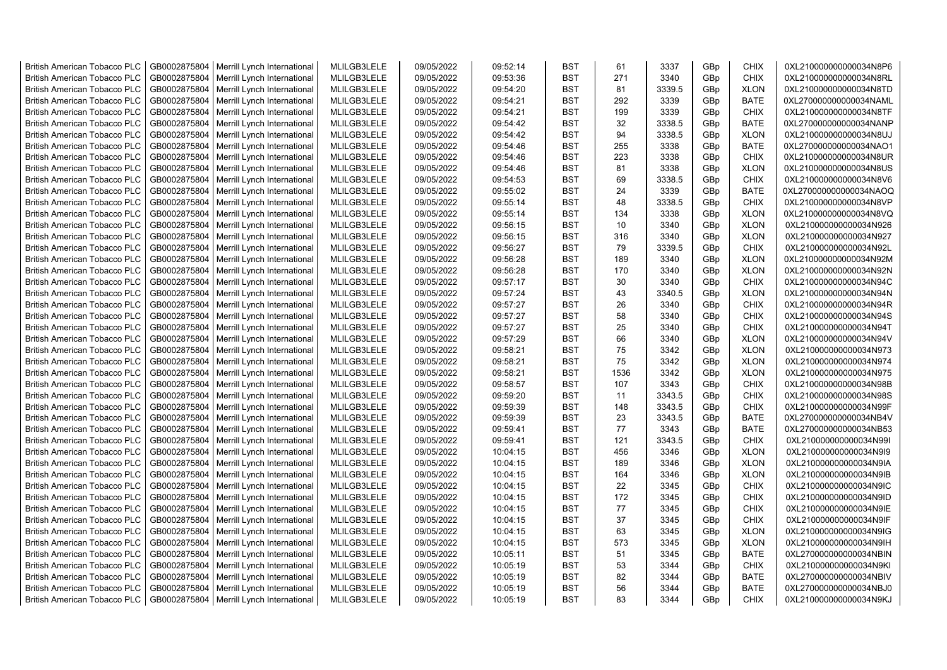| <b>British American Tobacco PLC</b>                                        | GB0002875804                 | Merrill Lynch International                | MLILGB3LELE                | 09/05/2022               | 09:52:14             | <b>BST</b>               | 61       | 3337         | GBp             | <b>CHIX</b>                | 0XL210000000000034N8P6                           |
|----------------------------------------------------------------------------|------------------------------|--------------------------------------------|----------------------------|--------------------------|----------------------|--------------------------|----------|--------------|-----------------|----------------------------|--------------------------------------------------|
| <b>British American Tobacco PLC</b>                                        | GB0002875804                 | Merrill Lynch International                | MLILGB3LELE                | 09/05/2022               | 09:53:36             | <b>BST</b>               | 271      | 3340         | GBp             | <b>CHIX</b>                | 0XL210000000000034N8RL                           |
| <b>British American Tobacco PLC</b>                                        | GB0002875804                 | Merrill Lynch International                | MLILGB3LELE                | 09/05/2022               | 09:54:20             | <b>BST</b>               | 81       | 3339.5       | GBp             | <b>XLON</b>                | 0XL210000000000034N8TD                           |
| <b>British American Tobacco PLC</b>                                        | GB0002875804                 | Merrill Lynch International                | MLILGB3LELE                | 09/05/2022               | 09:54:21             | <b>BST</b>               | 292      | 3339         | GBp             | <b>BATE</b>                | 0XL270000000000034NAML                           |
| <b>British American Tobacco PLC</b>                                        | GB0002875804                 | Merrill Lynch International                | MLILGB3LELE                | 09/05/2022               | 09:54:21             | <b>BST</b>               | 199      | 3339         | GBp             | <b>CHIX</b>                | 0XL210000000000034N8TF                           |
| <b>British American Tobacco PLC</b>                                        | GB0002875804                 | Merrill Lynch International                | MLILGB3LELE                | 09/05/2022               | 09:54:42             | <b>BST</b>               | 32       | 3338.5       | GBp             | <b>BATE</b>                | 0XL270000000000034NANP                           |
| <b>British American Tobacco PLC</b>                                        | GB0002875804                 | Merrill Lynch International                | MLILGB3LELE                | 09/05/2022               | 09:54:42             | <b>BST</b>               | 94       | 3338.5       | GBp             | <b>XLON</b>                | 0XL210000000000034N8UJ                           |
| <b>British American Tobacco PLC</b>                                        | GB0002875804                 | Merrill Lynch International                | MLILGB3LELE                | 09/05/2022               | 09:54:46             | <b>BST</b>               | 255      | 3338         | GBp             | <b>BATE</b>                | 0XL270000000000034NAO1                           |
| <b>British American Tobacco PLC</b>                                        | GB0002875804                 | Merrill Lynch International                | MLILGB3LELE                | 09/05/2022               | 09:54:46             | BST                      | 223      | 3338         | GBp             | <b>CHIX</b>                | 0XL210000000000034N8UR                           |
| <b>British American Tobacco PLC</b>                                        | GB0002875804                 | Merrill Lynch International                | MLILGB3LELE                | 09/05/2022               | 09:54:46             | <b>BST</b>               | 81       | 3338         | GBp             | <b>XLON</b>                | 0XL210000000000034N8US                           |
| <b>British American Tobacco PLC</b>                                        | GB0002875804                 | Merrill Lynch International                | MLILGB3LELE                | 09/05/2022               | 09:54:53             | BST                      | 69       | 3338.5       | GBp             | <b>CHIX</b>                | 0XL210000000000034N8V6                           |
| <b>British American Tobacco PLC</b>                                        | GB0002875804                 | Merrill Lynch International                | MLILGB3LELE                | 09/05/2022               | 09:55:02             | <b>BST</b>               | 24       | 3339         | GBp             | <b>BATE</b>                | 0XL270000000000034NAOQ                           |
| <b>British American Tobacco PLC</b>                                        | GB0002875804                 | Merrill Lynch International                | MLILGB3LELE                | 09/05/2022               | 09:55:14             | <b>BST</b>               | 48       | 3338.5       | GBp             | <b>CHIX</b>                | 0XL210000000000034N8VP                           |
| <b>British American Tobacco PLC</b>                                        | GB0002875804                 | Merrill Lynch International                | MLILGB3LELE                | 09/05/2022               | 09:55:14             | <b>BST</b>               | 134      | 3338         | GBp             | <b>XLON</b>                | 0XL210000000000034N8VQ                           |
| <b>British American Tobacco PLC</b>                                        | GB0002875804                 | Merrill Lynch International                | MLILGB3LELE                | 09/05/2022               | 09:56:15             | <b>BST</b>               | 10       | 3340         | GBp             | <b>XLON</b>                | 0XL210000000000034N926                           |
| <b>British American Tobacco PLC</b>                                        | GB0002875804                 | Merrill Lynch International                | MLILGB3LELE                | 09/05/2022               | 09:56:15             | <b>BST</b>               | 316      | 3340         | GBp             | <b>XLON</b>                | 0XL210000000000034N927                           |
| <b>British American Tobacco PLC</b>                                        | GB0002875804                 | Merrill Lynch International                | MLILGB3LELE                | 09/05/2022               | 09:56:27             | <b>BST</b>               | 79       | 3339.5       | GBp             | <b>CHIX</b>                | 0XL210000000000034N92L                           |
| <b>British American Tobacco PLC</b>                                        | GB0002875804                 | Merrill Lynch International                | MLILGB3LELE                | 09/05/2022               | 09:56:28             | <b>BST</b>               | 189      | 3340         | GBp             | <b>XLON</b>                | 0XL210000000000034N92M                           |
| <b>British American Tobacco PLC</b>                                        | GB0002875804                 | Merrill Lynch International                | MLILGB3LELE                | 09/05/2022               | 09:56:28             | <b>BST</b>               | 170      | 3340         | GBp             | <b>XLON</b>                | 0XL210000000000034N92N                           |
| <b>British American Tobacco PLC</b>                                        | GB0002875804                 | Merrill Lynch International                | MLILGB3LELE                | 09/05/2022               | 09:57:17             | <b>BST</b>               | 30       | 3340         | GBp             | <b>CHIX</b>                | 0XL210000000000034N94C                           |
| <b>British American Tobacco PLC</b>                                        | GB0002875804                 | Merrill Lynch International                | MLILGB3LELE                | 09/05/2022               | 09:57:24             | <b>BST</b>               | 43       | 3340.5       | GBp             | <b>XLON</b>                | 0XL210000000000034N94N                           |
| <b>British American Tobacco PLC</b>                                        | GB0002875804                 | Merrill Lynch International                | MLILGB3LELE                | 09/05/2022               | 09:57:27             | <b>BST</b>               | 26       | 3340         | GBp             | <b>CHIX</b>                | 0XL210000000000034N94R                           |
| <b>British American Tobacco PLC</b>                                        | GB0002875804                 | Merrill Lynch International                | MLILGB3LELE                | 09/05/2022               | 09:57:27             | <b>BST</b>               | 58       | 3340         | GBp             | <b>CHIX</b>                | 0XL210000000000034N94S                           |
|                                                                            |                              |                                            |                            |                          |                      | <b>BST</b>               | 25       |              |                 | <b>CHIX</b>                |                                                  |
| <b>British American Tobacco PLC</b>                                        | GB0002875804                 | Merrill Lynch International                | MLILGB3LELE                | 09/05/2022               | 09:57:27             |                          |          | 3340         | GBp             |                            | 0XL210000000000034N94T                           |
| <b>British American Tobacco PLC</b><br><b>British American Tobacco PLC</b> | GB0002875804<br>GB0002875804 | Merrill Lynch International                | MLILGB3LELE<br>MLILGB3LELE | 09/05/2022<br>09/05/2022 | 09:57:29<br>09:58:21 | <b>BST</b><br><b>BST</b> | 66<br>75 | 3340<br>3342 | GBp<br>GBp      | <b>XLON</b><br><b>XLON</b> | 0XL210000000000034N94V<br>0XL210000000000034N973 |
|                                                                            |                              | Merrill Lynch International                |                            |                          |                      | <b>BST</b>               | 75       |              |                 |                            |                                                  |
| <b>British American Tobacco PLC</b>                                        | GB0002875804<br>GB0002875804 | Merrill Lynch International                | MLILGB3LELE                | 09/05/2022<br>09/05/2022 | 09:58:21             | <b>BST</b>               | 1536     | 3342<br>3342 | GBp             | <b>XLON</b><br><b>XLON</b> | 0XL210000000000034N974                           |
| <b>British American Tobacco PLC</b>                                        |                              | Merrill Lynch International                | MLILGB3LELE                |                          | 09:58:21             |                          |          |              | GBp             |                            | 0XL210000000000034N975                           |
| <b>British American Tobacco PLC</b>                                        | GB0002875804                 | Merrill Lynch International                | MLILGB3LELE                | 09/05/2022               | 09:58:57             | BST                      | 107      | 3343         | GBp             | <b>CHIX</b>                | 0XL210000000000034N98B                           |
| <b>British American Tobacco PLC</b>                                        | GB0002875804                 | Merrill Lynch International                | MLILGB3LELE                | 09/05/2022               | 09:59:20             | <b>BST</b>               | 11       | 3343.5       | GBp             | <b>CHIX</b>                | 0XL210000000000034N98S                           |
| <b>British American Tobacco PLC</b>                                        | GB0002875804                 | Merrill Lynch International                | MLILGB3LELE                | 09/05/2022               | 09:59:39             | <b>BST</b>               | 148      | 3343.5       | GBp             | <b>CHIX</b>                | 0XL210000000000034N99F                           |
| <b>British American Tobacco PLC</b>                                        | GB0002875804                 | Merrill Lynch International                | MLILGB3LELE                | 09/05/2022               | 09:59:39             | <b>BST</b>               | 23       | 3343.5       | GBp             | <b>BATE</b>                | 0XL270000000000034NB4V                           |
| <b>British American Tobacco PLC</b>                                        | GB0002875804                 | Merrill Lynch International                | MLILGB3LELE                | 09/05/2022               | 09:59:41             | BST                      | 77       | 3343         | GBp             | <b>BATE</b>                | 0XL270000000000034NB53                           |
| <b>British American Tobacco PLC</b>                                        | GB0002875804                 | Merrill Lynch International                | MLILGB3LELE                | 09/05/2022               | 09:59:41             | BST                      | 121      | 3343.5       | GBp             | <b>CHIX</b>                | 0XL210000000000034N99I                           |
| <b>British American Tobacco PLC</b>                                        | GB0002875804                 | Merrill Lynch International                | MLILGB3LELE                | 09/05/2022               | 10:04:15             | <b>BST</b>               | 456      | 3346         | GBp             | <b>XLON</b>                | 0XL210000000000034N9I9                           |
| <b>British American Tobacco PLC</b>                                        | GB0002875804                 | Merrill Lynch International                | MLILGB3LELE                | 09/05/2022               | 10:04:15             | <b>BST</b>               | 189      | 3346         | GBp             | <b>XLON</b>                | 0XL210000000000034N9IA                           |
| <b>British American Tobacco PLC</b>                                        | GB0002875804                 | Merrill Lynch International                | MLILGB3LELE                | 09/05/2022               | 10:04:15             | <b>BST</b>               | 164      | 3346         | GBp             | <b>XLON</b>                | 0XL210000000000034N9IB                           |
| <b>British American Tobacco PLC</b>                                        | GB0002875804                 | Merrill Lynch International                | MLILGB3LELE                | 09/05/2022               | 10:04:15             | <b>BST</b>               | 22       | 3345         | GBp             | <b>CHIX</b>                | 0XL210000000000034N9IC                           |
| <b>British American Tobacco PLC</b>                                        | GB0002875804                 | Merrill Lynch International                | MLILGB3LELE                | 09/05/2022               | 10:04:15             | <b>BST</b>               | 172      | 3345         | GBp             | <b>CHIX</b>                | 0XL210000000000034N9ID                           |
| British American Tobacco PLC                                               | GB0002875804                 | Merrill Lynch International                | MLILGB3LELE                | 09/05/2022               | 10:04:15             | <b>BST</b>               | 77       | 3345         | GBp             | <b>CHIX</b>                | 0XL210000000000034N9IE                           |
| <b>British American Tobacco PLC</b>                                        | GB0002875804                 | Merrill Lynch International                | MLILGB3LELE                | 09/05/2022               | 10:04:15             | <b>BST</b>               | 37       | 3345         | GBp             | <b>CHIX</b>                | 0XL210000000000034N9IF                           |
| <b>British American Tobacco PLC</b>                                        | GB0002875804                 | Merrill Lynch International                | MLILGB3LELE                | 09/05/2022               | 10:04:15             | <b>BST</b>               | 63       | 3345         | GBp             | <b>XLON</b>                | 0XL210000000000034N9IG                           |
| <b>British American Tobacco PLC</b>                                        | GB0002875804                 | Merrill Lynch International                | MLILGB3LELE                | 09/05/2022               | 10:04:15             | <b>BST</b>               | 573      | 3345         | GBp             | <b>XLON</b>                | 0XL210000000000034N9IH                           |
| <b>British American Tobacco PLC</b>                                        | GB0002875804                 | Merrill Lynch International                | MLILGB3LELE                | 09/05/2022               | 10:05:11             | <b>BST</b>               | 51       | 3345         | GBp             | <b>BATE</b>                | 0XL270000000000034NBIN                           |
| <b>British American Tobacco PLC</b>                                        | GB0002875804                 | Merrill Lynch International                | MLILGB3LELE                | 09/05/2022               | 10:05:19             | <b>BST</b>               | 53       | 3344         | GBp             | <b>CHIX</b>                | 0XL210000000000034N9KI                           |
| <b>British American Tobacco PLC</b>                                        | GB0002875804                 | Merrill Lynch International                | MLILGB3LELE                | 09/05/2022               | 10:05:19             | <b>BST</b>               | 82       | 3344         | GBp             | <b>BATE</b>                | 0XL270000000000034NBIV                           |
| <b>British American Tobacco PLC</b>                                        | GB0002875804                 | Merrill Lynch International                | MLILGB3LELE                | 09/05/2022               | 10:05:19             | <b>BST</b>               | 56       | 3344         | GBp             | <b>BATE</b>                | 0XL270000000000034NBJ0                           |
| <b>British American Tobacco PLC</b>                                        |                              | GB0002875804   Merrill Lynch International | MLILGB3LELE                | 09/05/2022               | 10:05:19             | <b>BST</b>               | 83       | 3344         | GB <sub>p</sub> | <b>CHIX</b>                | 0XL210000000000034N9KJ                           |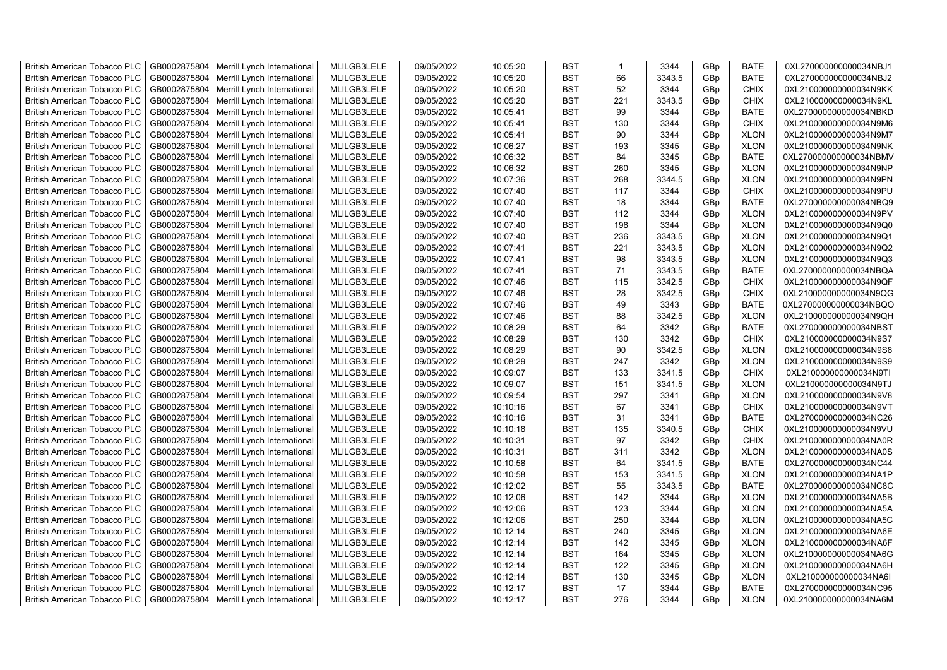| <b>British American Tobacco PLC</b>                                        | GB0002875804                 | Merrill Lynch International                                | MLILGB3LELE                | 09/05/2022               | 10:05:20             | <b>BST</b>               | $\mathbf{1}$ | 3344         | GBp        | <b>BATE</b>                | 0XL270000000000034NBJ1                           |
|----------------------------------------------------------------------------|------------------------------|------------------------------------------------------------|----------------------------|--------------------------|----------------------|--------------------------|--------------|--------------|------------|----------------------------|--------------------------------------------------|
| <b>British American Tobacco PLC</b>                                        | GB0002875804                 | Merrill Lynch International                                | MLILGB3LELE                | 09/05/2022               | 10:05:20             | <b>BST</b>               | 66           | 3343.5       | GBp        | <b>BATE</b>                | 0XL270000000000034NBJ2                           |
| <b>British American Tobacco PLC</b>                                        | GB0002875804                 | Merrill Lynch International                                | MLILGB3LELE                | 09/05/2022               | 10:05:20             | <b>BST</b>               | 52           | 3344         | GBp        | <b>CHIX</b>                | 0XL210000000000034N9KK                           |
| <b>British American Tobacco PLC</b>                                        | GB0002875804                 | Merrill Lynch International                                | MLILGB3LELE                | 09/05/2022               | 10:05:20             | <b>BST</b>               | 221          | 3343.5       | GBp        | CHIX                       | 0XL210000000000034N9KL                           |
| <b>British American Tobacco PLC</b>                                        | GB0002875804                 | Merrill Lynch International                                | MLILGB3LELE                | 09/05/2022               | 10:05:41             | <b>BST</b>               | 99           | 3344         | GBp        | <b>BATE</b>                | 0XL270000000000034NBKD                           |
| <b>British American Tobacco PLC</b>                                        | GB0002875804                 | Merrill Lynch International                                | MLILGB3LELE                | 09/05/2022               | 10:05:41             | <b>BST</b>               | 130          | 3344         | GBp        | <b>CHIX</b>                | 0XL210000000000034N9M6                           |
| <b>British American Tobacco PLC</b>                                        | GB0002875804                 | Merrill Lynch International                                | MLILGB3LELE                | 09/05/2022               | 10:05:41             | <b>BST</b>               | 90           | 3344         | GBp        | <b>XLON</b>                | 0XL210000000000034N9M7                           |
| <b>British American Tobacco PLC</b>                                        | GB0002875804                 | Merrill Lynch International                                | MLILGB3LELE                | 09/05/2022               | 10:06:27             | <b>BST</b>               | 193          | 3345         | GBp        | <b>XLON</b>                | 0XL210000000000034N9NK                           |
| <b>British American Tobacco PLC</b>                                        | GB0002875804                 | Merrill Lynch International                                | MLILGB3LELE                | 09/05/2022               | 10:06:32             | <b>BST</b>               | 84           | 3345         | GBp        | <b>BATE</b>                | 0XL270000000000034NBMV                           |
| <b>British American Tobacco PLC</b>                                        | GB0002875804                 | Merrill Lynch International                                | MLILGB3LELE                | 09/05/2022               | 10:06:32             | <b>BST</b>               | 260          | 3345         | GBp        | <b>XLON</b>                | 0XL210000000000034N9NP                           |
| <b>British American Tobacco PLC</b>                                        | GB0002875804                 | Merrill Lynch International                                | MLILGB3LELE                | 09/05/2022               | 10:07:36             | <b>BST</b>               | 268          | 3344.5       | GBp        | <b>XLON</b>                | 0XL210000000000034N9PN                           |
| <b>British American Tobacco PLC</b>                                        | GB0002875804                 | Merrill Lynch International                                | MLILGB3LELE                | 09/05/2022               | 10:07:40             | <b>BST</b>               | 117          | 3344         | GBp        | <b>CHIX</b>                | 0XL210000000000034N9PU                           |
| <b>British American Tobacco PLC</b>                                        | GB0002875804                 | Merrill Lynch International                                | MLILGB3LELE                | 09/05/2022               | 10:07:40             | <b>BST</b>               | 18           | 3344         | GBp        | <b>BATE</b>                | 0XL270000000000034NBQ9                           |
| <b>British American Tobacco PLC</b>                                        | GB0002875804                 | Merrill Lynch International                                | MLILGB3LELE                | 09/05/2022               | 10:07:40             | <b>BST</b>               | 112          | 3344         | GBp        | <b>XLON</b>                | 0XL210000000000034N9PV                           |
| <b>British American Tobacco PLC</b>                                        | GB0002875804                 | Merrill Lynch International                                | MLILGB3LELE                | 09/05/2022               | 10:07:40             | <b>BST</b>               | 198          | 3344         | GBp        | <b>XLON</b>                | 0XL210000000000034N9Q0                           |
| <b>British American Tobacco PLC</b>                                        | GB0002875804                 | Merrill Lynch International                                | MLILGB3LELE                | 09/05/2022               | 10:07:40             | <b>BST</b>               | 236          | 3343.5       | GBp        | <b>XLON</b>                | 0XL210000000000034N9Q1                           |
| <b>British American Tobacco PLC</b>                                        | GB0002875804                 | Merrill Lynch International                                | MLILGB3LELE                | 09/05/2022               | 10:07:41             | <b>BST</b>               | 221          | 3343.5       | GBp        | <b>XLON</b>                | 0XL210000000000034N9Q2                           |
| <b>British American Tobacco PLC</b>                                        | GB0002875804                 | Merrill Lynch International                                | MLILGB3LELE                | 09/05/2022               | 10:07:41             | <b>BST</b>               | 98           | 3343.5       | GBp        | <b>XLON</b>                | 0XL210000000000034N9Q3                           |
| <b>British American Tobacco PLC</b>                                        | GB0002875804                 | Merrill Lynch International                                | MLILGB3LELE                | 09/05/2022               | 10:07:41             | <b>BST</b>               | 71           | 3343.5       | GBp        | <b>BATE</b>                | 0XL270000000000034NBQA                           |
| <b>British American Tobacco PLC</b>                                        | GB0002875804                 | Merrill Lynch International                                | MLILGB3LELE                | 09/05/2022               | 10:07:46             | <b>BST</b>               | 115          | 3342.5       | GBp        | <b>CHIX</b>                | 0XL210000000000034N9QF                           |
| <b>British American Tobacco PLC</b>                                        | GB0002875804                 | Merrill Lynch International                                | MLILGB3LELE                | 09/05/2022               | 10:07:46             | <b>BST</b>               | 28           | 3342.5       | GBp        | <b>CHIX</b>                | 0XL210000000000034N9QG                           |
| <b>British American Tobacco PLC</b>                                        | GB0002875804                 | Merrill Lynch International                                | MLILGB3LELE                | 09/05/2022               | 10:07:46             | <b>BST</b>               | 49           | 3343         | GBp        | <b>BATE</b>                | 0XL270000000000034NBQO                           |
| <b>British American Tobacco PLC</b>                                        | GB0002875804                 | Merrill Lynch International                                | MLILGB3LELE                | 09/05/2022               | 10:07:46             | <b>BST</b>               | 88           | 3342.5       | GBp        | <b>XLON</b>                | 0XL210000000000034N9QH                           |
| <b>British American Tobacco PLC</b>                                        | GB0002875804                 | Merrill Lynch International                                | MLILGB3LELE                | 09/05/2022               | 10:08:29             | <b>BST</b>               | 64           | 3342         | GBp        | <b>BATE</b>                | 0XL270000000000034NBST                           |
| <b>British American Tobacco PLC</b>                                        | GB0002875804                 | Merrill Lynch International                                | MLILGB3LELE                | 09/05/2022               | 10:08:29             | <b>BST</b>               | 130          | 3342         | GBp        | <b>CHIX</b>                | 0XL210000000000034N9S7                           |
| <b>British American Tobacco PLC</b>                                        | GB0002875804                 | Merrill Lynch International                                | MLILGB3LELE                | 09/05/2022               | 10:08:29             | <b>BST</b>               | 90           | 3342.5       | GBp        | <b>XLON</b>                | 0XL210000000000034N9S8                           |
| <b>British American Tobacco PLC</b>                                        | GB0002875804                 | Merrill Lynch International                                | MLILGB3LELE                | 09/05/2022               | 10:08:29             | <b>BST</b>               | 247          | 3342         | GBp        | <b>XLON</b>                | 0XL210000000000034N9S9                           |
| <b>British American Tobacco PLC</b>                                        | GB0002875804                 | Merrill Lynch International                                | MLILGB3LELE                | 09/05/2022               | 10:09:07             | <b>BST</b>               | 133          | 3341.5       | GBp        | <b>CHIX</b>                | 0XL210000000000034N9TI                           |
| <b>British American Tobacco PLC</b>                                        | GB0002875804                 | Merrill Lynch International                                | MLILGB3LELE                | 09/05/2022               | 10:09:07             | <b>BST</b>               | 151          | 3341.5       | GBp        | <b>XLON</b>                | 0XL210000000000034N9TJ                           |
| <b>British American Tobacco PLC</b>                                        | GB0002875804                 | Merrill Lynch International                                | MLILGB3LELE                | 09/05/2022               | 10:09:54             | <b>BST</b>               | 297          | 3341         | GBp        | <b>XLON</b>                | 0XL210000000000034N9V8                           |
| <b>British American Tobacco PLC</b>                                        | GB0002875804                 |                                                            | MLILGB3LELE                | 09/05/2022               | 10:10:16             | <b>BST</b>               | 67           | 3341         | GBp        | <b>CHIX</b>                | 0XL210000000000034N9VT                           |
| <b>British American Tobacco PLC</b>                                        | GB0002875804                 | Merrill Lynch International<br>Merrill Lynch International | MLILGB3LELE                | 09/05/2022               | 10:10:16             | <b>BST</b>               | 31           | 3341         | GBp        | <b>BATE</b>                | 0XL270000000000034NC26                           |
| <b>British American Tobacco PLC</b>                                        | GB0002875804                 | Merrill Lynch International                                | MLILGB3LELE                | 09/05/2022               | 10:10:18             | <b>BST</b>               | 135          | 3340.5       | GBp        | <b>CHIX</b>                | 0XL210000000000034N9VU                           |
| <b>British American Tobacco PLC</b>                                        | GB0002875804                 | Merrill Lynch International                                | MLILGB3LELE                | 09/05/2022               | 10:10:31             | <b>BST</b>               | 97           | 3342         | GBp        | <b>CHIX</b>                | 0XL210000000000034NA0R                           |
| <b>British American Tobacco PLC</b>                                        | GB0002875804                 | Merrill Lynch International                                | MLILGB3LELE                | 09/05/2022               | 10:10:31             | <b>BST</b>               | 311          | 3342         | GBp        | <b>XLON</b>                | 0XL210000000000034NA0S                           |
| <b>British American Tobacco PLC</b>                                        | GB0002875804                 | Merrill Lynch International                                | MLILGB3LELE                | 09/05/2022               | 10:10:58             | <b>BST</b>               | 64           | 3341.5       | GBp        | <b>BATE</b>                | 0XL270000000000034NC44                           |
| <b>British American Tobacco PLC</b>                                        | GB0002875804                 | Merrill Lynch International                                | MLILGB3LELE                | 09/05/2022               | 10:10:58             | <b>BST</b>               | 153          | 3341.5       | GBp        | <b>XLON</b>                | 0XL210000000000034NA1P                           |
| <b>British American Tobacco PLC</b>                                        | GB0002875804                 | Merrill Lynch International                                | MLILGB3LELE                | 09/05/2022               | 10:12:02             | <b>BST</b>               | 55           | 3343.5       | GBp        | <b>BATE</b>                | 0XL270000000000034NC8C                           |
| <b>British American Tobacco PLC</b>                                        | GB0002875804                 | Merrill Lynch International                                | MLILGB3LELE                | 09/05/2022               | 10:12:06             | <b>BST</b>               | 142          | 3344         | GBp        | <b>XLON</b>                | 0XL210000000000034NA5B                           |
| <b>British American Tobacco PLC</b>                                        | GB0002875804                 | Merrill Lynch International                                | MLILGB3LELE                | 09/05/2022               | 10:12:06             | <b>BST</b>               | 123          | 3344         | GBp        | <b>XLON</b>                | 0XL210000000000034NA5A                           |
|                                                                            | GB0002875804                 |                                                            |                            |                          |                      | <b>BST</b>               | 250          | 3344         |            | <b>XLON</b>                |                                                  |
| <b>British American Tobacco PLC</b>                                        | GB0002875804                 | Merrill Lynch International                                | MLILGB3LELE                | 09/05/2022               | 10:12:06<br>10:12:14 | <b>BST</b>               | 240          | 3345         | GBp        |                            | 0XL210000000000034NA5C<br>0XL210000000000034NA6E |
| <b>British American Tobacco PLC</b>                                        |                              | Merrill Lynch International                                | MLILGB3LELE                | 09/05/2022               |                      |                          |              |              | GBp        | <b>XLON</b>                |                                                  |
| <b>British American Tobacco PLC</b>                                        | GB0002875804                 | Merrill Lynch International                                | MLILGB3LELE                | 09/05/2022               | 10:12:14             | <b>BST</b><br><b>BST</b> | 142          | 3345<br>3345 | GBp        | <b>XLON</b>                | 0XL210000000000034NA6F                           |
| <b>British American Tobacco PLC</b><br><b>British American Tobacco PLC</b> | GB0002875804<br>GB0002875804 | Merrill Lynch International                                | MLILGB3LELE<br>MLILGB3LELE | 09/05/2022<br>09/05/2022 | 10:12:14<br>10:12:14 | <b>BST</b>               | 164<br>122   | 3345         | GBp<br>GBp | <b>XLON</b><br><b>XLON</b> | 0XL210000000000034NA6G<br>0XL210000000000034NA6H |
| <b>British American Tobacco PLC</b>                                        | GB0002875804                 | Merrill Lynch International<br>Merrill Lynch International | MLILGB3LELE                | 09/05/2022               | 10:12:14             | <b>BST</b>               | 130          | 3345         | GBp        | <b>XLON</b>                | 0XL210000000000034NA6I                           |
|                                                                            |                              |                                                            | MLILGB3LELE                | 09/05/2022               |                      | <b>BST</b>               | 17           | 3344         |            | <b>BATE</b>                |                                                  |
| <b>British American Tobacco PLC</b>                                        | GB0002875804                 | Merrill Lynch International                                |                            |                          | 10:12:17             | <b>BST</b>               | 276          |              | GBp        |                            | 0XL270000000000034NC95                           |
| <b>British American Tobacco PLC</b>                                        |                              | GB0002875804   Merrill Lynch International                 | MLILGB3LELE                | 09/05/2022               | 10:12:17             |                          |              | 3344         | GBp        | <b>XLON</b>                | 0XL210000000000034NA6M                           |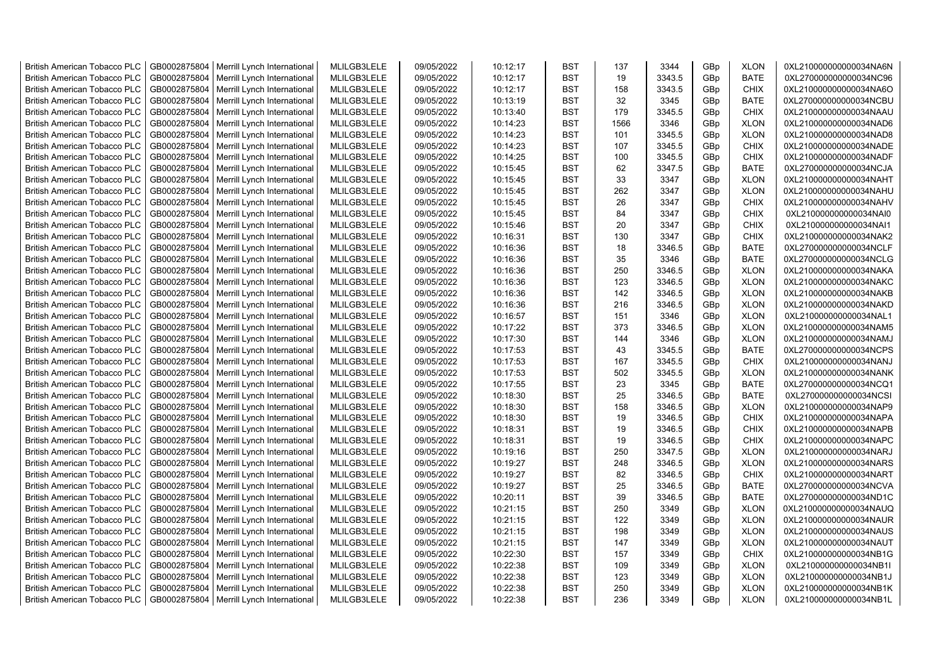| <b>British American Tobacco PLC</b> | GB0002875804 | Merrill Lynch International                | MLILGB3LELE | 09/05/2022 | 10:12:17 | <b>BST</b> | 137  | 3344   | GBp             | <b>XLON</b> | 0XL210000000000034NA6N |
|-------------------------------------|--------------|--------------------------------------------|-------------|------------|----------|------------|------|--------|-----------------|-------------|------------------------|
| <b>British American Tobacco PLC</b> | GB0002875804 | Merrill Lynch International                | MLILGB3LELE | 09/05/2022 | 10:12:17 | <b>BST</b> | 19   | 3343.5 | GBp             | <b>BATE</b> | 0XL270000000000034NC96 |
| <b>British American Tobacco PLC</b> | GB0002875804 | Merrill Lynch International                | MLILGB3LELE | 09/05/2022 | 10:12:17 | <b>BST</b> | 158  | 3343.5 | GBp             | <b>CHIX</b> | 0XL210000000000034NA6O |
| <b>British American Tobacco PLC</b> | GB0002875804 | Merrill Lynch International                | MLILGB3LELE | 09/05/2022 | 10:13:19 | <b>BST</b> | 32   | 3345   | GBp             | <b>BATE</b> | 0XL270000000000034NCBU |
| <b>British American Tobacco PLC</b> | GB0002875804 | Merrill Lynch International                | MLILGB3LELE | 09/05/2022 | 10:13:40 | <b>BST</b> | 179  | 3345.5 | GBp             | <b>CHIX</b> | 0XL210000000000034NAAU |
| <b>British American Tobacco PLC</b> | GB0002875804 | Merrill Lynch International                | MLILGB3LELE | 09/05/2022 | 10:14:23 | <b>BST</b> | 1566 | 3346   | GBp             | <b>XLON</b> | 0XL210000000000034NAD6 |
| <b>British American Tobacco PLC</b> | GB0002875804 | Merrill Lynch International                | MLILGB3LELE | 09/05/2022 | 10:14:23 | <b>BST</b> | 101  | 3345.5 | GBp             | <b>XLON</b> | 0XL210000000000034NAD8 |
| <b>British American Tobacco PLC</b> | GB0002875804 | Merrill Lynch International                | MLILGB3LELE | 09/05/2022 | 10:14:23 | <b>BST</b> | 107  | 3345.5 | GBp             | <b>CHIX</b> | 0XL210000000000034NADE |
| <b>British American Tobacco PLC</b> | GB0002875804 | Merrill Lynch International                | MLILGB3LELE | 09/05/2022 | 10:14:25 | <b>BST</b> | 100  | 3345.5 | GBp             | <b>CHIX</b> | 0XL210000000000034NADF |
| <b>British American Tobacco PLC</b> | GB0002875804 | Merrill Lynch International                | MLILGB3LELE | 09/05/2022 | 10:15:45 | <b>BST</b> | 62   | 3347.5 | GBp             | <b>BATE</b> | 0XL270000000000034NCJA |
| <b>British American Tobacco PLC</b> | GB0002875804 | Merrill Lynch International                | MLILGB3LELE | 09/05/2022 | 10:15:45 | <b>BST</b> | 33   | 3347   | GBp             | <b>XLON</b> | 0XL210000000000034NAHT |
| <b>British American Tobacco PLC</b> | GB0002875804 | Merrill Lynch International                | MLILGB3LELE | 09/05/2022 | 10:15:45 | <b>BST</b> | 262  | 3347   | GBp             | <b>XLON</b> | 0XL210000000000034NAHU |
| <b>British American Tobacco PLC</b> | GB0002875804 | Merrill Lynch International                | MLILGB3LELE | 09/05/2022 | 10:15:45 | <b>BST</b> | 26   | 3347   | GBp             | <b>CHIX</b> | 0XL210000000000034NAHV |
| <b>British American Tobacco PLC</b> | GB0002875804 | Merrill Lynch International                | MLILGB3LELE | 09/05/2022 | 10:15:45 | <b>BST</b> | 84   | 3347   | GBp             | <b>CHIX</b> | 0XL210000000000034NAI0 |
| British American Tobacco PLC        | GB0002875804 | Merrill Lynch International                | MLILGB3LELE | 09/05/2022 | 10:15:46 | <b>BST</b> | 20   | 3347   | GBp             | <b>CHIX</b> | 0XL210000000000034NAI1 |
| <b>British American Tobacco PLC</b> | GB0002875804 | Merrill Lynch International                | MLILGB3LELE | 09/05/2022 | 10:16:31 | <b>BST</b> | 130  | 3347   | GBp             | <b>CHIX</b> | 0XL210000000000034NAK2 |
| <b>British American Tobacco PLC</b> | GB0002875804 | Merrill Lynch International                | MLILGB3LELE | 09/05/2022 | 10:16:36 | <b>BST</b> | 18   | 3346.5 | GBp             | BATE        | 0XL270000000000034NCLF |
| <b>British American Tobacco PLC</b> | GB0002875804 | Merrill Lynch International                | MLILGB3LELE | 09/05/2022 | 10:16:36 | <b>BST</b> | 35   | 3346   | GBp             | <b>BATE</b> | 0XL270000000000034NCLG |
| <b>British American Tobacco PLC</b> | GB0002875804 | Merrill Lynch International                | MLILGB3LELE | 09/05/2022 | 10:16:36 | <b>BST</b> | 250  | 3346.5 | GBp             | <b>XLON</b> | 0XL210000000000034NAKA |
| <b>British American Tobacco PLC</b> | GB0002875804 | Merrill Lynch International                | MLILGB3LELE | 09/05/2022 | 10:16:36 | <b>BST</b> | 123  | 3346.5 | GBp             | <b>XLON</b> | 0XL210000000000034NAKC |
| <b>British American Tobacco PLC</b> | GB0002875804 | Merrill Lynch International                | MLILGB3LELE | 09/05/2022 | 10:16:36 | <b>BST</b> | 142  | 3346.5 | GBp             | <b>XLON</b> | 0XL210000000000034NAKB |
| <b>British American Tobacco PLC</b> | GB0002875804 | Merrill Lynch International                | MLILGB3LELE | 09/05/2022 | 10:16:36 | <b>BST</b> | 216  | 3346.5 | GBp             | <b>XLON</b> | 0XL210000000000034NAKD |
|                                     |              |                                            |             |            |          | <b>BST</b> |      |        |                 |             |                        |
| <b>British American Tobacco PLC</b> | GB0002875804 | Merrill Lynch International                | MLILGB3LELE | 09/05/2022 | 10:16:57 |            | 151  | 3346   | GBp             | <b>XLON</b> | 0XL210000000000034NAL1 |
| <b>British American Tobacco PLC</b> | GB0002875804 | Merrill Lynch International                | MLILGB3LELE | 09/05/2022 | 10:17:22 | <b>BST</b> | 373  | 3346.5 | GBp             | <b>XLON</b> | 0XL210000000000034NAM5 |
| <b>British American Tobacco PLC</b> | GB0002875804 | Merrill Lynch International                | MLILGB3LELE | 09/05/2022 | 10:17:30 | <b>BST</b> | 144  | 3346   | GBp             | <b>XLON</b> | 0XL210000000000034NAMJ |
| <b>British American Tobacco PLC</b> | GB0002875804 | Merrill Lynch International                | MLILGB3LELE | 09/05/2022 | 10:17:53 | <b>BST</b> | 43   | 3345.5 | GBp             | <b>BATE</b> | 0XL270000000000034NCPS |
| <b>British American Tobacco PLC</b> | GB0002875804 | Merrill Lynch International                | MLILGB3LELE | 09/05/2022 | 10:17:53 | <b>BST</b> | 167  | 3345.5 | GBp             | <b>CHIX</b> | 0XL210000000000034NANJ |
| <b>British American Tobacco PLC</b> | GB0002875804 | Merrill Lynch International                | MLILGB3LELE | 09/05/2022 | 10:17:53 | <b>BST</b> | 502  | 3345.5 | GBp             | <b>XLON</b> | 0XL210000000000034NANK |
| <b>British American Tobacco PLC</b> | GB0002875804 | Merrill Lynch International                | MLILGB3LELE | 09/05/2022 | 10:17:55 | <b>BST</b> | 23   | 3345   | GBp             | <b>BATE</b> | 0XL270000000000034NCQ1 |
| <b>British American Tobacco PLC</b> | GB0002875804 | Merrill Lynch International                | MLILGB3LELE | 09/05/2022 | 10:18:30 | <b>BST</b> | 25   | 3346.5 | GBp             | <b>BATE</b> | 0XL270000000000034NCSI |
| <b>British American Tobacco PLC</b> | GB0002875804 | Merrill Lynch International                | MLILGB3LELE | 09/05/2022 | 10:18:30 | <b>BST</b> | 158  | 3346.5 | GBp             | <b>XLON</b> | 0XL210000000000034NAP9 |
| <b>British American Tobacco PLC</b> | GB0002875804 | Merrill Lynch International                | MLILGB3LELE | 09/05/2022 | 10:18:30 | <b>BST</b> | 19   | 3346.5 | GBp             | <b>CHIX</b> | 0XL210000000000034NAPA |
| <b>British American Tobacco PLC</b> | GB0002875804 | Merrill Lynch International                | MLILGB3LELE | 09/05/2022 | 10:18:31 | <b>BST</b> | 19   | 3346.5 | GBp             | <b>CHIX</b> | 0XL210000000000034NAPB |
| <b>British American Tobacco PLC</b> | GB0002875804 | Merrill Lynch International                | MLILGB3LELE | 09/05/2022 | 10:18:31 | <b>BST</b> | 19   | 3346.5 | GBp             | <b>CHIX</b> | 0XL210000000000034NAPC |
| <b>British American Tobacco PLC</b> | GB0002875804 | Merrill Lynch International                | MLILGB3LELE | 09/05/2022 | 10:19:16 | <b>BST</b> | 250  | 3347.5 | GBp             | <b>XLON</b> | 0XL210000000000034NARJ |
| <b>British American Tobacco PLC</b> | GB0002875804 | Merrill Lynch International                | MLILGB3LELE | 09/05/2022 | 10:19:27 | <b>BST</b> | 248  | 3346.5 | GBp             | <b>XLON</b> | 0XL210000000000034NARS |
| <b>British American Tobacco PLC</b> | GB0002875804 | Merrill Lynch International                | MLILGB3LELE | 09/05/2022 | 10:19:27 | <b>BST</b> | 82   | 3346.5 | GBp             | <b>CHIX</b> | 0XL210000000000034NART |
| <b>British American Tobacco PLC</b> | GB0002875804 | Merrill Lynch International                | MLILGB3LELE | 09/05/2022 | 10:19:27 | <b>BST</b> | 25   | 3346.5 | GBp             | <b>BATE</b> | 0XL270000000000034NCVA |
| <b>British American Tobacco PLC</b> | GB0002875804 | Merrill Lynch International                | MLILGB3LELE | 09/05/2022 | 10:20:11 | <b>BST</b> | 39   | 3346.5 | GBp             | <b>BATE</b> | 0XL270000000000034ND1C |
| <b>British American Tobacco PLC</b> | GB0002875804 | Merrill Lynch International                | MLILGB3LELE | 09/05/2022 | 10:21:15 | <b>BST</b> | 250  | 3349   | GBp             | <b>XLON</b> | 0XL210000000000034NAUQ |
| <b>British American Tobacco PLC</b> | GB0002875804 | Merrill Lynch International                | MLILGB3LELE | 09/05/2022 | 10:21:15 | <b>BST</b> | 122  | 3349   | GBp             | <b>XLON</b> | 0XL210000000000034NAUR |
| <b>British American Tobacco PLC</b> | GB0002875804 | Merrill Lynch International                | MLILGB3LELE | 09/05/2022 | 10:21:15 | <b>BST</b> | 198  | 3349   | GBp             | <b>XLON</b> | 0XL210000000000034NAUS |
| <b>British American Tobacco PLC</b> | GB0002875804 | Merrill Lynch International                | MLILGB3LELE | 09/05/2022 | 10:21:15 | <b>BST</b> | 147  | 3349   | GBp             | <b>XLON</b> | 0XL210000000000034NAUT |
| <b>British American Tobacco PLC</b> | GB0002875804 | Merrill Lynch International                | MLILGB3LELE | 09/05/2022 | 10:22:30 | <b>BST</b> | 157  | 3349   | GBp             | <b>CHIX</b> | 0XL210000000000034NB1G |
| British American Tobacco PLC        | GB0002875804 | Merrill Lynch International                | MLILGB3LELE | 09/05/2022 | 10:22:38 | <b>BST</b> | 109  | 3349   | GBp             | <b>XLON</b> | 0XL210000000000034NB1I |
| <b>British American Tobacco PLC</b> | GB0002875804 | Merrill Lynch International                | MLILGB3LELE | 09/05/2022 | 10:22:38 | <b>BST</b> | 123  | 3349   | GBp             | <b>XLON</b> | 0XL210000000000034NB1J |
| <b>British American Tobacco PLC</b> | GB0002875804 | Merrill Lynch International                | MLILGB3LELE | 09/05/2022 | 10:22:38 | <b>BST</b> | 250  | 3349   | GBp             | <b>XLON</b> | 0XL210000000000034NB1K |
| <b>British American Tobacco PLC</b> |              | GB0002875804   Merrill Lynch International | MLILGB3LELE | 09/05/2022 | 10:22:38 | <b>BST</b> | 236  | 3349   | GB <sub>p</sub> | <b>XLON</b> | 0XL210000000000034NB1L |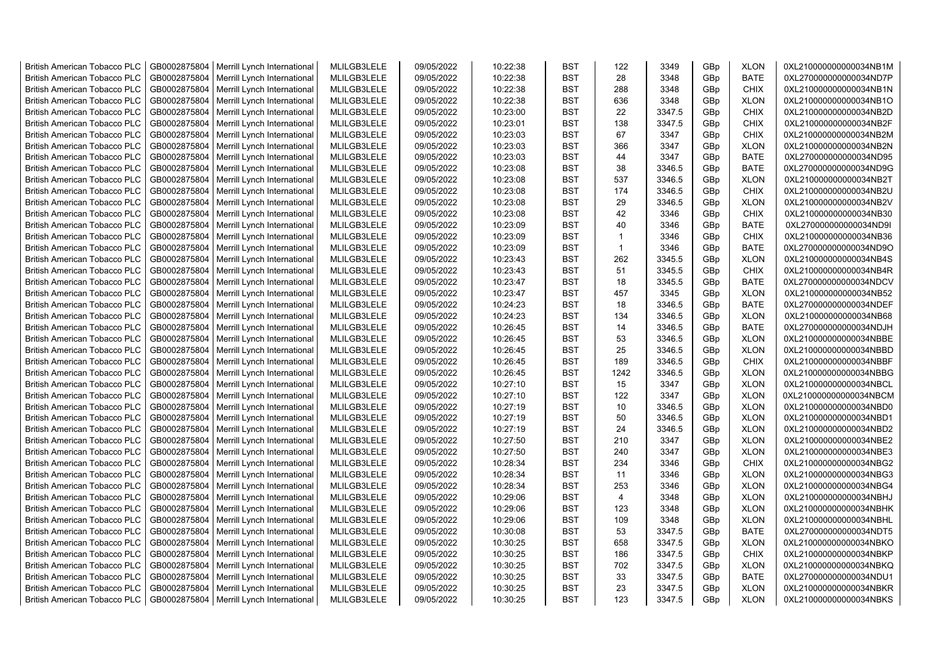| <b>British American Tobacco PLC</b> | GB0002875804 | Merrill Lynch International                | MLILGB3LELE | 09/05/2022 | 10:22:38 | <b>BST</b> | 122            | 3349   | GBp             | <b>XLON</b> | 0XL210000000000034NB1M |
|-------------------------------------|--------------|--------------------------------------------|-------------|------------|----------|------------|----------------|--------|-----------------|-------------|------------------------|
| <b>British American Tobacco PLC</b> | GB0002875804 | Merrill Lynch International                | MLILGB3LELE | 09/05/2022 | 10:22:38 | <b>BST</b> | 28             | 3348   | GBp             | <b>BATE</b> | 0XL270000000000034ND7P |
| <b>British American Tobacco PLC</b> | GB0002875804 | Merrill Lynch International                | MLILGB3LELE | 09/05/2022 | 10:22:38 | <b>BST</b> | 288            | 3348   | GBp             | <b>CHIX</b> | 0XL210000000000034NB1N |
| <b>British American Tobacco PLC</b> | GB0002875804 | Merrill Lynch International                | MLILGB3LELE | 09/05/2022 | 10:22:38 | <b>BST</b> | 636            | 3348   | GBp             | <b>XLON</b> | 0XL210000000000034NB1O |
| <b>British American Tobacco PLC</b> | GB0002875804 | Merrill Lynch International                | MLILGB3LELE | 09/05/2022 | 10:23:00 | <b>BST</b> | 22             | 3347.5 | GBp             | <b>CHIX</b> | 0XL210000000000034NB2D |
| <b>British American Tobacco PLC</b> | GB0002875804 | Merrill Lynch International                | MLILGB3LELE | 09/05/2022 | 10:23:01 | <b>BST</b> | 138            | 3347.5 | GBp             | <b>CHIX</b> | 0XL210000000000034NB2F |
| British American Tobacco PLC        | GB0002875804 | Merrill Lynch International                | MLILGB3LELE | 09/05/2022 | 10:23:03 | <b>BST</b> | 67             | 3347   | GBp             | <b>CHIX</b> | 0XL210000000000034NB2M |
| <b>British American Tobacco PLC</b> | GB0002875804 | Merrill Lynch International                | MLILGB3LELE | 09/05/2022 | 10:23:03 | <b>BST</b> | 366            | 3347   | GBp             | <b>XLON</b> | 0XL210000000000034NB2N |
| <b>British American Tobacco PLC</b> | GB0002875804 | Merrill Lynch International                | MLILGB3LELE | 09/05/2022 | 10:23:03 | <b>BST</b> | 44             | 3347   | GBp             | <b>BATE</b> | 0XL270000000000034ND95 |
| <b>British American Tobacco PLC</b> | GB0002875804 | Merrill Lynch International                | MLILGB3LELE | 09/05/2022 | 10:23:08 | <b>BST</b> | 38             | 3346.5 | GBp             | <b>BATE</b> | 0XL270000000000034ND9G |
| <b>British American Tobacco PLC</b> | GB0002875804 | Merrill Lynch International                | MLILGB3LELE | 09/05/2022 | 10:23:08 | <b>BST</b> | 537            | 3346.5 | GBp             | <b>XLON</b> | 0XL210000000000034NB2T |
| <b>British American Tobacco PLC</b> | GB0002875804 | Merrill Lynch International                | MLILGB3LELE | 09/05/2022 | 10:23:08 | <b>BST</b> | 174            | 3346.5 | GBp             | <b>CHIX</b> | 0XL210000000000034NB2U |
| <b>British American Tobacco PLC</b> | GB0002875804 | Merrill Lynch International                | MLILGB3LELE | 09/05/2022 | 10:23:08 | BST        | 29             | 3346.5 | GBp             | <b>XLON</b> | 0XL210000000000034NB2V |
| <b>British American Tobacco PLC</b> | GB0002875804 | Merrill Lynch International                | MLILGB3LELE | 09/05/2022 | 10:23:08 | <b>BST</b> | 42             | 3346   | GBp             | <b>CHIX</b> | 0XL210000000000034NB30 |
| <b>British American Tobacco PLC</b> | GB0002875804 | Merrill Lynch International                | MLILGB3LELE | 09/05/2022 | 10:23:09 | <b>BST</b> | 40             | 3346   | GBp             | <b>BATE</b> | 0XL270000000000034ND9I |
| <b>British American Tobacco PLC</b> | GB0002875804 | Merrill Lynch International                | MLILGB3LELE | 09/05/2022 | 10:23:09 | <b>BST</b> | $\overline{1}$ | 3346   | GBp             | <b>CHIX</b> | 0XL210000000000034NB36 |
| <b>British American Tobacco PLC</b> | GB0002875804 | Merrill Lynch International                | MLILGB3LELE | 09/05/2022 | 10:23:09 | <b>BST</b> | $\overline{1}$ | 3346   | GBp             | <b>BATE</b> | 0XL270000000000034ND9O |
| <b>British American Tobacco PLC</b> | GB0002875804 | Merrill Lynch International                | MLILGB3LELE | 09/05/2022 | 10:23:43 | <b>BST</b> | 262            | 3345.5 | GBp             | <b>XLON</b> | 0XL210000000000034NB4S |
| <b>British American Tobacco PLC</b> | GB0002875804 | Merrill Lynch International                | MLILGB3LELE | 09/05/2022 | 10:23:43 | <b>BST</b> | 51             | 3345.5 | GBp             | <b>CHIX</b> | 0XL210000000000034NB4R |
| <b>British American Tobacco PLC</b> | GB0002875804 | Merrill Lynch International                | MLILGB3LELE | 09/05/2022 | 10:23:47 | <b>BST</b> | 18             | 3345.5 | GBp             | <b>BATE</b> | 0XL270000000000034NDCV |
| <b>British American Tobacco PLC</b> | GB0002875804 | Merrill Lynch International                | MLILGB3LELE | 09/05/2022 | 10:23:47 | <b>BST</b> | 457            | 3345   | GBp             | <b>XLON</b> | 0XL210000000000034NB52 |
| <b>British American Tobacco PLC</b> | GB0002875804 | Merrill Lynch International                | MLILGB3LELE | 09/05/2022 | 10:24:23 | <b>BST</b> | 18             | 3346.5 | GBp             | <b>BATE</b> | 0XL270000000000034NDEF |
| <b>British American Tobacco PLC</b> | GB0002875804 | Merrill Lynch International                | MLILGB3LELE | 09/05/2022 | 10:24:23 | <b>BST</b> | 134            | 3346.5 | GBp             | <b>XLON</b> | 0XL210000000000034NB68 |
| <b>British American Tobacco PLC</b> | GB0002875804 | Merrill Lynch International                | MLILGB3LELE | 09/05/2022 | 10:26:45 | <b>BST</b> | 14             | 3346.5 | GBp             | <b>BATE</b> | 0XL270000000000034NDJH |
| <b>British American Tobacco PLC</b> | GB0002875804 | Merrill Lynch International                | MLILGB3LELE | 09/05/2022 | 10:26:45 | <b>BST</b> | 53             | 3346.5 | GBp             | <b>XLON</b> | 0XL210000000000034NBBE |
| <b>British American Tobacco PLC</b> | GB0002875804 | Merrill Lynch International                | MLILGB3LELE | 09/05/2022 | 10:26:45 | <b>BST</b> | 25             | 3346.5 | GBp             | <b>XLON</b> | 0XL210000000000034NBBD |
| <b>British American Tobacco PLC</b> | GB0002875804 | Merrill Lynch International                | MLILGB3LELE | 09/05/2022 | 10:26:45 | <b>BST</b> | 189            | 3346.5 | GBp             | <b>CHIX</b> | 0XL210000000000034NBBF |
| <b>British American Tobacco PLC</b> | GB0002875804 | Merrill Lynch International                | MLILGB3LELE | 09/05/2022 | 10:26:45 | <b>BST</b> | 1242           | 3346.5 | GBp             | <b>XLON</b> | 0XL210000000000034NBBG |
| <b>British American Tobacco PLC</b> | GB0002875804 | Merrill Lynch International                | MLILGB3LELE | 09/05/2022 | 10:27:10 | <b>BST</b> | 15             | 3347   | GBp             | <b>XLON</b> | 0XL210000000000034NBCL |
| <b>British American Tobacco PLC</b> | GB0002875804 | Merrill Lynch International                | MLILGB3LELE | 09/05/2022 | 10:27:10 | <b>BST</b> | 122            | 3347   | GBp             | <b>XLON</b> | 0XL210000000000034NBCM |
| <b>British American Tobacco PLC</b> | GB0002875804 | Merrill Lynch International                | MLILGB3LELE | 09/05/2022 | 10:27:19 | <b>BST</b> | 10             | 3346.5 | GBp             | <b>XLON</b> | 0XL210000000000034NBD0 |
| <b>British American Tobacco PLC</b> | GB0002875804 | Merrill Lynch International                | MLILGB3LELE | 09/05/2022 | 10:27:19 | <b>BST</b> | 50             | 3346.5 | GBp             | <b>XLON</b> | 0XL210000000000034NBD1 |
| <b>British American Tobacco PLC</b> | GB0002875804 | Merrill Lynch International                | MLILGB3LELE | 09/05/2022 | 10:27:19 | <b>BST</b> | 24             | 3346.5 | GBp             | <b>XLON</b> | 0XL210000000000034NBD2 |
| <b>British American Tobacco PLC</b> | GB0002875804 | Merrill Lynch International                | MLILGB3LELE | 09/05/2022 | 10:27:50 | <b>BST</b> | 210            | 3347   | GBp             | <b>XLON</b> | 0XL210000000000034NBE2 |
| <b>British American Tobacco PLC</b> | GB0002875804 | Merrill Lynch International                | MLILGB3LELE | 09/05/2022 | 10:27:50 | <b>BST</b> | 240            | 3347   | GBp             | <b>XLON</b> | 0XL210000000000034NBE3 |
| British American Tobacco PLC        | GB0002875804 | Merrill Lynch International                | MLILGB3LELE | 09/05/2022 | 10:28:34 | <b>BST</b> | 234            | 3346   | GBp             | <b>CHIX</b> | 0XL210000000000034NBG2 |
| <b>British American Tobacco PLC</b> | GB0002875804 | Merrill Lynch International                | MLILGB3LELE | 09/05/2022 | 10:28:34 | <b>BST</b> | 11             | 3346   | GBp             | <b>XLON</b> | 0XL210000000000034NBG3 |
| <b>British American Tobacco PLC</b> | GB0002875804 | Merrill Lynch International                | MLILGB3LELE | 09/05/2022 | 10:28:34 | <b>BST</b> | 253            | 3346   | GBp             | <b>XLON</b> | 0XL210000000000034NBG4 |
| <b>British American Tobacco PLC</b> | GB0002875804 | Merrill Lynch International                | MLILGB3LELE | 09/05/2022 | 10:29:06 | <b>BST</b> | $\overline{4}$ | 3348   | GBp             | <b>XLON</b> | 0XL210000000000034NBHJ |
| <b>British American Tobacco PLC</b> | GB0002875804 | Merrill Lynch International                | MLILGB3LELE | 09/05/2022 | 10:29:06 | <b>BST</b> | 123            | 3348   | GBp             | <b>XLON</b> | 0XL210000000000034NBHK |
| <b>British American Tobacco PLC</b> | GB0002875804 | Merrill Lynch International                | MLILGB3LELE | 09/05/2022 | 10:29:06 | <b>BST</b> | 109            | 3348   | GBp             | <b>XLON</b> | 0XL210000000000034NBHL |
| <b>British American Tobacco PLC</b> | GB0002875804 | Merrill Lynch International                | MLILGB3LELE | 09/05/2022 | 10:30:08 | <b>BST</b> | 53             | 3347.5 | GBp             | <b>BATE</b> | 0XL270000000000034NDT5 |
| <b>British American Tobacco PLC</b> | GB0002875804 | Merrill Lynch International                | MLILGB3LELE | 09/05/2022 | 10:30:25 | <b>BST</b> | 658            | 3347.5 | GBp             | <b>XLON</b> | 0XL210000000000034NBKO |
| <b>British American Tobacco PLC</b> | GB0002875804 | Merrill Lynch International                | MLILGB3LELE | 09/05/2022 | 10:30:25 | <b>BST</b> | 186            | 3347.5 | GBp             | <b>CHIX</b> | 0XL210000000000034NBKP |
| <b>British American Tobacco PLC</b> | GB0002875804 | Merrill Lynch International                | MLILGB3LELE | 09/05/2022 | 10:30:25 | <b>BST</b> | 702            | 3347.5 | GBp             | <b>XLON</b> | 0XL210000000000034NBKQ |
| <b>British American Tobacco PLC</b> | GB0002875804 | Merrill Lynch International                | MLILGB3LELE | 09/05/2022 | 10:30:25 | <b>BST</b> | 33             | 3347.5 | GBp             | <b>BATE</b> | 0XL270000000000034NDU1 |
| <b>British American Tobacco PLC</b> | GB0002875804 | Merrill Lynch International                | MLILGB3LELE | 09/05/2022 | 10:30:25 | <b>BST</b> | 23             | 3347.5 | GBp             | <b>XLON</b> | 0XL210000000000034NBKR |
| <b>British American Tobacco PLC</b> |              | GB0002875804   Merrill Lynch International | MLILGB3LELE | 09/05/2022 | 10:30:25 | <b>BST</b> | 123            | 3347.5 | GB <sub>p</sub> | <b>XLON</b> | 0XL210000000000034NBKS |
|                                     |              |                                            |             |            |          |            |                |        |                 |             |                        |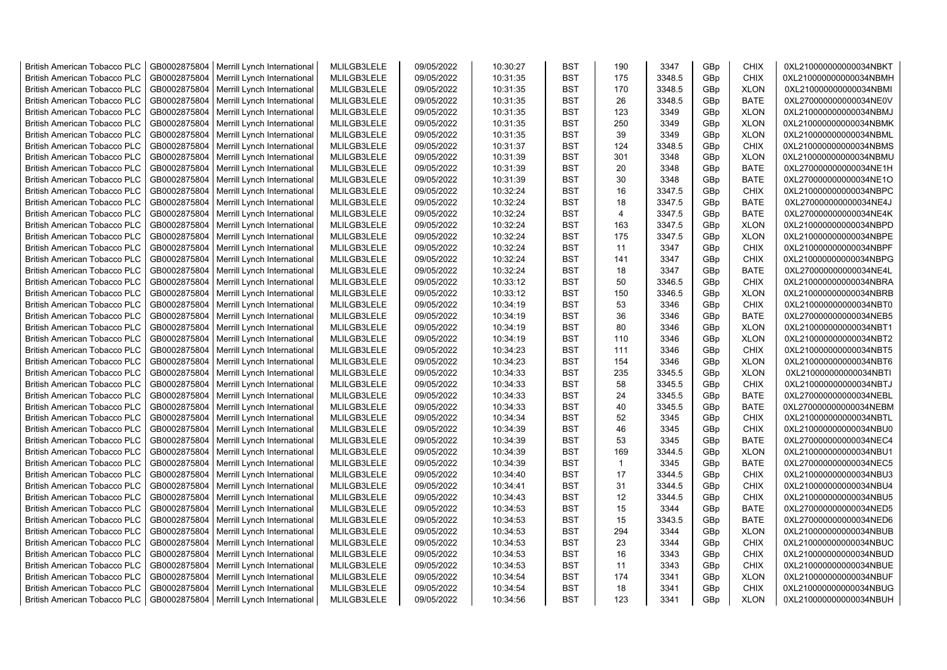| <b>British American Tobacco PLC</b> | GB0002875804 | Merrill Lynch International                | MLILGB3LELE | 09/05/2022 | 10:30:27 | <b>BST</b> | 190            | 3347           | GBp             | <b>CHIX</b> | 0XL210000000000034NBKT |
|-------------------------------------|--------------|--------------------------------------------|-------------|------------|----------|------------|----------------|----------------|-----------------|-------------|------------------------|
| <b>British American Tobacco PLC</b> | GB0002875804 | Merrill Lynch International                | MLILGB3LELE | 09/05/2022 | 10:31:35 | <b>BST</b> | 175            | 3348.5         | GBp             | <b>CHIX</b> | 0XL210000000000034NBMH |
| <b>British American Tobacco PLC</b> | GB0002875804 | Merrill Lynch International                | MLILGB3LELE | 09/05/2022 | 10:31:35 | <b>BST</b> | 170            | 3348.5         | GBp             | <b>XLON</b> | 0XL210000000000034NBMI |
| <b>British American Tobacco PLC</b> | GB0002875804 | Merrill Lynch International                | MLILGB3LELE | 09/05/2022 | 10:31:35 | <b>BST</b> | 26             | 3348.5         | GBp             | <b>BATE</b> | 0XL270000000000034NE0V |
| <b>British American Tobacco PLC</b> | GB0002875804 | Merrill Lynch International                | MLILGB3LELE | 09/05/2022 | 10:31:35 | <b>BST</b> | 123            | 3349           | GBp             | <b>XLON</b> | 0XL210000000000034NBMJ |
| <b>British American Tobacco PLC</b> | GB0002875804 | Merrill Lynch International                | MLILGB3LELE | 09/05/2022 | 10:31:35 | <b>BST</b> | 250            | 3349           | GBp             | <b>XLON</b> | 0XL210000000000034NBMK |
| <b>British American Tobacco PLC</b> | GB0002875804 | Merrill Lynch International                | MLILGB3LELE | 09/05/2022 | 10:31:35 | <b>BST</b> | 39             | 3349           | GBp             | <b>XLON</b> | 0XL210000000000034NBML |
| <b>British American Tobacco PLC</b> | GB0002875804 | Merrill Lynch International                | MLILGB3LELE | 09/05/2022 | 10:31:37 | BST        | 124            | 3348.5         | GBp             | <b>CHIX</b> | 0XL210000000000034NBMS |
| <b>British American Tobacco PLC</b> | GB0002875804 | Merrill Lynch International                | MLILGB3LELE | 09/05/2022 | 10:31:39 | <b>BST</b> | 301            | 3348           | GBp             | <b>XLON</b> | 0XL210000000000034NBMU |
| <b>British American Tobacco PLC</b> | GB0002875804 | Merrill Lynch International                | MLILGB3LELE | 09/05/2022 | 10:31:39 | <b>BST</b> | 20             | 3348           | GBp             | <b>BATE</b> | 0XL270000000000034NE1H |
| <b>British American Tobacco PLC</b> | GB0002875804 | Merrill Lynch International                | MLILGB3LELE | 09/05/2022 | 10:31:39 | <b>BST</b> | 30             | 3348           | GBp             | <b>BATE</b> | 0XL270000000000034NE1O |
| <b>British American Tobacco PLC</b> | GB0002875804 | Merrill Lynch International                | MLILGB3LELE | 09/05/2022 | 10:32:24 | <b>BST</b> | 16             | 3347.5         | GBp             | <b>CHIX</b> | 0XL210000000000034NBPC |
| <b>British American Tobacco PLC</b> | GB0002875804 | Merrill Lynch International                | MLILGB3LELE | 09/05/2022 | 10:32:24 | <b>BST</b> | 18             | 3347.5         | GBp             | <b>BATE</b> | 0XL270000000000034NE4J |
| <b>British American Tobacco PLC</b> | GB0002875804 | Merrill Lynch International                | MLILGB3LELE | 09/05/2022 | 10:32:24 | <b>BST</b> | $\overline{4}$ | 3347.5         | GBp             | <b>BATE</b> | 0XL270000000000034NE4K |
| <b>British American Tobacco PLC</b> | GB0002875804 | Merrill Lynch International                | MLILGB3LELE | 09/05/2022 | 10:32:24 | <b>BST</b> | 163            | 3347.5         | GBp             | <b>XLON</b> | 0XL210000000000034NBPD |
| <b>British American Tobacco PLC</b> | GB0002875804 | Merrill Lynch International                | MLILGB3LELE | 09/05/2022 | 10:32:24 | <b>BST</b> | 175            | 3347.5         | GBp             | <b>XLON</b> | 0XL210000000000034NBPE |
| <b>British American Tobacco PLC</b> | GB0002875804 | Merrill Lynch International                | MLILGB3LELE | 09/05/2022 | 10:32:24 | <b>BST</b> | 11             | 3347           | GBp             | <b>CHIX</b> | 0XL210000000000034NBPF |
| <b>British American Tobacco PLC</b> | GB0002875804 | Merrill Lynch International                | MLILGB3LELE | 09/05/2022 | 10:32:24 | <b>BST</b> | 141            | 3347           | GBp             | <b>CHIX</b> | 0XL210000000000034NBPG |
| <b>British American Tobacco PLC</b> | GB0002875804 | Merrill Lynch International                | MLILGB3LELE | 09/05/2022 | 10:32:24 | <b>BST</b> | 18             | 3347           | GBp             | <b>BATE</b> | 0XL270000000000034NE4L |
| <b>British American Tobacco PLC</b> | GB0002875804 | Merrill Lynch International                | MLILGB3LELE | 09/05/2022 | 10:33:12 | <b>BST</b> | 50             | 3346.5         | GBp             | <b>CHIX</b> | 0XL210000000000034NBRA |
| <b>British American Tobacco PLC</b> | GB0002875804 | Merrill Lynch International                | MLILGB3LELE | 09/05/2022 | 10:33:12 | <b>BST</b> | 150            | 3346.5         | GBp             | <b>XLON</b> | 0XL210000000000034NBRB |
| <b>British American Tobacco PLC</b> | GB0002875804 | Merrill Lynch International                | MLILGB3LELE | 09/05/2022 | 10:34:19 | <b>BST</b> | 53             | 3346           | GBp             | <b>CHIX</b> | 0XL210000000000034NBT0 |
| <b>British American Tobacco PLC</b> | GB0002875804 | Merrill Lynch International                | MLILGB3LELE | 09/05/2022 | 10:34:19 | <b>BST</b> | 36             | 3346           | GBp             | <b>BATE</b> | 0XL270000000000034NEB5 |
| <b>British American Tobacco PLC</b> | GB0002875804 | Merrill Lynch International                | MLILGB3LELE | 09/05/2022 | 10:34:19 | BST        | 80             | 3346           | GBp             | <b>XLON</b> | 0XL210000000000034NBT1 |
| <b>British American Tobacco PLC</b> | GB0002875804 | Merrill Lynch International                | MLILGB3LELE | 09/05/2022 | 10:34:19 | <b>BST</b> | 110            | 3346           | GBp             | <b>XLON</b> | 0XL210000000000034NBT2 |
| <b>British American Tobacco PLC</b> | GB0002875804 | Merrill Lynch International                | MLILGB3LELE | 09/05/2022 | 10:34:23 | <b>BST</b> | 111            | 3346           | GBp             | <b>CHIX</b> | 0XL210000000000034NBT5 |
| British American Tobacco PLC        | GB0002875804 | Merrill Lynch International                | MLILGB3LELE | 09/05/2022 | 10:34:23 | <b>BST</b> | 154            | 3346           | GBp             | <b>XLON</b> | 0XL210000000000034NBT6 |
| British American Tobacco PLC        | GB0002875804 | Merrill Lynch International                | MLILGB3LELE | 09/05/2022 | 10:34:33 | <b>BST</b> | 235            | 3345.5         | GBp             | <b>XLON</b> | 0XL210000000000034NBTI |
| <b>British American Tobacco PLC</b> | GB0002875804 | Merrill Lynch International                | MLILGB3LELE | 09/05/2022 | 10:34:33 | <b>BST</b> | 58             | 3345.5         | GBp             | <b>CHIX</b> | 0XL210000000000034NBTJ |
| <b>British American Tobacco PLC</b> | GB0002875804 | Merrill Lynch International                | MLILGB3LELE | 09/05/2022 | 10:34:33 | <b>BST</b> | 24             | 3345.5         | GBp             | <b>BATE</b> | 0XL270000000000034NEBL |
| <b>British American Tobacco PLC</b> | GB0002875804 | Merrill Lynch International                | MLILGB3LELE | 09/05/2022 | 10:34:33 | <b>BST</b> | 40             | 3345.5         | GBp             | <b>BATE</b> | 0XL270000000000034NEBM |
| <b>British American Tobacco PLC</b> | GB0002875804 | Merrill Lynch International                | MLILGB3LELE | 09/05/2022 | 10:34:34 | <b>BST</b> | 52             | 3345           | GBp             | <b>CHIX</b> | 0XL210000000000034NBTL |
| <b>British American Tobacco PLC</b> | GB0002875804 | Merrill Lynch International                | MLILGB3LELE | 09/05/2022 | 10:34:39 | <b>BST</b> | 46             | 3345           | GBp             | <b>CHIX</b> | 0XL210000000000034NBU0 |
|                                     |              |                                            |             |            |          | <b>BST</b> | 53             |                |                 | <b>BATE</b> |                        |
| <b>British American Tobacco PLC</b> | GB0002875804 | Merrill Lynch International                | MLILGB3LELE | 09/05/2022 | 10:34:39 | <b>BST</b> | 169            | 3345           | GBp             |             | 0XL270000000000034NEC4 |
| <b>British American Tobacco PLC</b> | GB0002875804 | Merrill Lynch International                | MLILGB3LELE | 09/05/2022 | 10:34:39 |            | $\mathbf{1}$   | 3344.5<br>3345 | GBp             | <b>XLON</b> | 0XL210000000000034NBU1 |
| <b>British American Tobacco PLC</b> | GB0002875804 | Merrill Lynch International                | MLILGB3LELE | 09/05/2022 | 10:34:39 | <b>BST</b> |                |                | GBp             | <b>BATE</b> | 0XL270000000000034NEC5 |
| <b>British American Tobacco PLC</b> | GB0002875804 | Merrill Lynch International                | MLILGB3LELE | 09/05/2022 | 10:34:40 | <b>BST</b> | 17             | 3344.5         | GBp             | <b>CHIX</b> | 0XL210000000000034NBU3 |
| <b>British American Tobacco PLC</b> | GB0002875804 | Merrill Lynch International                | MLILGB3LELE | 09/05/2022 | 10:34:41 | <b>BST</b> | 31             | 3344.5         | GBp             | <b>CHIX</b> | 0XL210000000000034NBU4 |
| <b>British American Tobacco PLC</b> | GB0002875804 | Merrill Lynch International                | MLILGB3LELE | 09/05/2022 | 10:34:43 | <b>BST</b> | 12             | 3344.5         | GBp             | <b>CHIX</b> | 0XL210000000000034NBU5 |
| <b>British American Tobacco PLC</b> | GB0002875804 | Merrill Lynch International                | MLILGB3LELE | 09/05/2022 | 10:34:53 | <b>BST</b> | 15             | 3344           | GBp             | <b>BATE</b> | 0XL270000000000034NED5 |
| <b>British American Tobacco PLC</b> | GB0002875804 | Merrill Lynch International                | MLILGB3LELE | 09/05/2022 | 10:34:53 | <b>BST</b> | 15             | 3343.5         | GBp             | <b>BATE</b> | 0XL270000000000034NED6 |
| <b>British American Tobacco PLC</b> | GB0002875804 | Merrill Lynch International                | MLILGB3LELE | 09/05/2022 | 10:34:53 | <b>BST</b> | 294            | 3344           | GBp             | <b>XLON</b> | 0XL210000000000034NBUB |
| <b>British American Tobacco PLC</b> | GB0002875804 | Merrill Lynch International                | MLILGB3LELE | 09/05/2022 | 10:34:53 | <b>BST</b> | 23             | 3344           | GBp             | <b>CHIX</b> | 0XL210000000000034NBUC |
| <b>British American Tobacco PLC</b> | GB0002875804 | Merrill Lynch International                | MLILGB3LELE | 09/05/2022 | 10:34:53 | <b>BST</b> | 16             | 3343           | GBp             | <b>CHIX</b> | 0XL210000000000034NBUD |
| <b>British American Tobacco PLC</b> | GB0002875804 | Merrill Lynch International                | MLILGB3LELE | 09/05/2022 | 10:34:53 | <b>BST</b> | 11             | 3343           | GBp             | <b>CHIX</b> | 0XL210000000000034NBUE |
| <b>British American Tobacco PLC</b> | GB0002875804 | Merrill Lynch International                | MLILGB3LELE | 09/05/2022 | 10:34:54 | <b>BST</b> | 174            | 3341           | GBp             | <b>XLON</b> | 0XL210000000000034NBUF |
| <b>British American Tobacco PLC</b> | GB0002875804 | Merrill Lynch International                | MLILGB3LELE | 09/05/2022 | 10:34:54 | <b>BST</b> | 18             | 3341           | GBp             | <b>CHIX</b> | 0XL210000000000034NBUG |
| <b>British American Tobacco PLC</b> |              | GB0002875804   Merrill Lynch International | MLILGB3LELE | 09/05/2022 | 10:34:56 | <b>BST</b> | 123            | 3341           | GB <sub>p</sub> | <b>XLON</b> | 0XL210000000000034NBUH |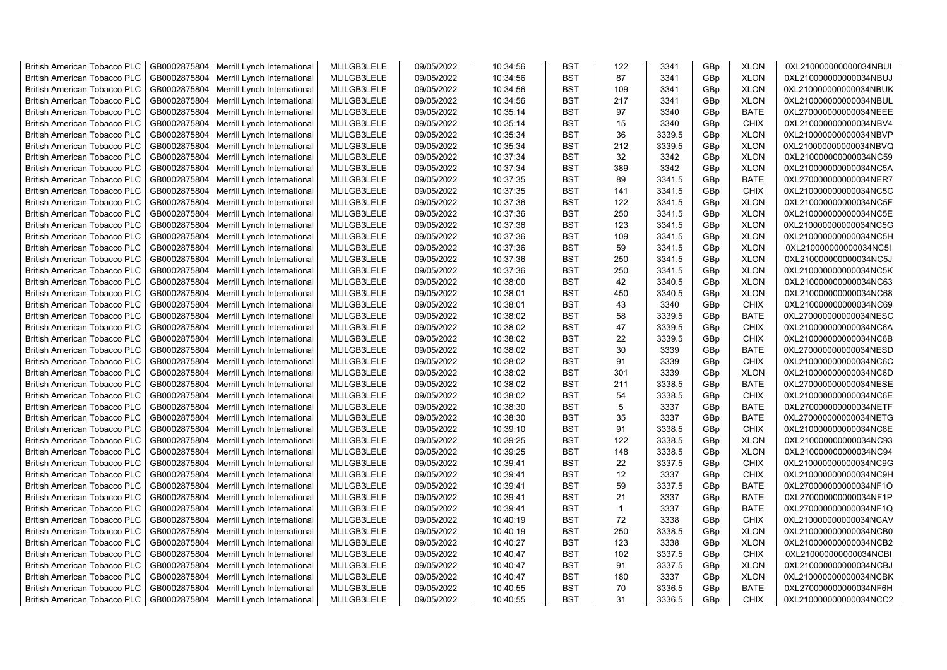| <b>British American Tobacco PLC</b> | GB0002875804 | Merrill Lynch International | MLILGB3LELE | 09/05/2022 | 10:34:56 | <b>BST</b> | 122          | 3341   | GBp | <b>XLON</b> | 0XL210000000000034NBUI |
|-------------------------------------|--------------|-----------------------------|-------------|------------|----------|------------|--------------|--------|-----|-------------|------------------------|
| <b>British American Tobacco PLC</b> | GB0002875804 | Merrill Lynch International | MLILGB3LELE | 09/05/2022 | 10:34:56 | <b>BST</b> | 87           | 3341   | GBp | <b>XLON</b> | 0XL210000000000034NBUJ |
| <b>British American Tobacco PLC</b> | GB0002875804 | Merrill Lynch International | MLILGB3LELE | 09/05/2022 | 10:34:56 | <b>BST</b> | 109          | 3341   | GBp | <b>XLON</b> | 0XL210000000000034NBUK |
| <b>British American Tobacco PLC</b> | GB0002875804 | Merrill Lynch International | MLILGB3LELE | 09/05/2022 | 10:34:56 | <b>BST</b> | 217          | 3341   | GBp | <b>XLON</b> | 0XL210000000000034NBUL |
| <b>British American Tobacco PLC</b> | GB0002875804 | Merrill Lynch International | MLILGB3LELE | 09/05/2022 | 10:35:14 | <b>BST</b> | 97           | 3340   | GBp | <b>BATE</b> | 0XL270000000000034NEEE |
| <b>British American Tobacco PLC</b> | GB0002875804 | Merrill Lynch International | MLILGB3LELE | 09/05/2022 | 10:35:14 | <b>BST</b> | 15           | 3340   | GBp | <b>CHIX</b> | 0XL210000000000034NBV4 |
| <b>British American Tobacco PLC</b> | GB0002875804 | Merrill Lynch International | MLILGB3LELE | 09/05/2022 | 10:35:34 | <b>BST</b> | 36           | 3339.5 | GBp | <b>XLON</b> | 0XL210000000000034NBVP |
| <b>British American Tobacco PLC</b> | GB0002875804 | Merrill Lynch International | MLILGB3LELE | 09/05/2022 | 10:35:34 | <b>BST</b> | 212          | 3339.5 | GBp | <b>XLON</b> | 0XL210000000000034NBVQ |
| <b>British American Tobacco PLC</b> | GB0002875804 | Merrill Lynch International | MLILGB3LELE | 09/05/2022 | 10:37:34 | <b>BST</b> | 32           | 3342   | GBp | <b>XLON</b> | 0XL210000000000034NC59 |
| <b>British American Tobacco PLC</b> | GB0002875804 | Merrill Lynch International | MLILGB3LELE | 09/05/2022 | 10:37:34 | <b>BST</b> | 389          | 3342   | GBp | <b>XLON</b> | 0XL210000000000034NC5A |
| <b>British American Tobacco PLC</b> | GB0002875804 | Merrill Lynch International | MLILGB3LELE | 09/05/2022 | 10:37:35 | <b>BST</b> | 89           | 3341.5 | GBp | <b>BATE</b> | 0XL270000000000034NER7 |
| <b>British American Tobacco PLC</b> | GB0002875804 | Merrill Lynch International | MLILGB3LELE | 09/05/2022 | 10:37:35 | <b>BST</b> | 141          | 3341.5 | GBp | <b>CHIX</b> | 0XL210000000000034NC5C |
| <b>British American Tobacco PLC</b> | GB0002875804 | Merrill Lynch International | MLILGB3LELE | 09/05/2022 | 10:37:36 | <b>BST</b> | 122          | 3341.5 | GBp | <b>XLON</b> | 0XL210000000000034NC5F |
| <b>British American Tobacco PLC</b> | GB0002875804 | Merrill Lynch International | MLILGB3LELE | 09/05/2022 | 10:37:36 | <b>BST</b> | 250          | 3341.5 | GBp | <b>XLON</b> | 0XL210000000000034NC5E |
| <b>British American Tobacco PLC</b> | GB0002875804 | Merrill Lynch International | MLILGB3LELE | 09/05/2022 | 10:37:36 | <b>BST</b> | 123          | 3341.5 | GBp | <b>XLON</b> | 0XL210000000000034NC5G |
| <b>British American Tobacco PLC</b> | GB0002875804 | Merrill Lynch International | MLILGB3LELE | 09/05/2022 | 10:37:36 | <b>BST</b> | 109          | 3341.5 | GBp | <b>XLON</b> | 0XL210000000000034NC5H |
| <b>British American Tobacco PLC</b> | GB0002875804 | Merrill Lynch International | MLILGB3LELE | 09/05/2022 | 10:37:36 | <b>BST</b> | 59           | 3341.5 | GBp | <b>XLON</b> | 0XL210000000000034NC5I |
| <b>British American Tobacco PLC</b> | GB0002875804 | Merrill Lynch International | MLILGB3LELE | 09/05/2022 | 10:37:36 | <b>BST</b> | 250          | 3341.5 | GBp | <b>XLON</b> | 0XL210000000000034NC5J |
| <b>British American Tobacco PLC</b> | GB0002875804 | Merrill Lynch International | MLILGB3LELE | 09/05/2022 | 10:37:36 | <b>BST</b> | 250          | 3341.5 | GBp | <b>XLON</b> | 0XL210000000000034NC5K |
| <b>British American Tobacco PLC</b> | GB0002875804 | Merrill Lynch International | MLILGB3LELE | 09/05/2022 | 10:38:00 | <b>BST</b> | 42           | 3340.5 | GBp | <b>XLON</b> | 0XL210000000000034NC63 |
| <b>British American Tobacco PLC</b> | GB0002875804 | Merrill Lynch International | MLILGB3LELE | 09/05/2022 | 10:38:01 | <b>BST</b> | 450          | 3340.5 | GBp | <b>XLON</b> | 0XL210000000000034NC68 |
| <b>British American Tobacco PLC</b> | GB0002875804 | Merrill Lynch International | MLILGB3LELE | 09/05/2022 | 10:38:01 | <b>BST</b> | 43           | 3340   | GBp | <b>CHIX</b> | 0XL210000000000034NC69 |
| <b>British American Tobacco PLC</b> | GB0002875804 | Merrill Lynch International | MLILGB3LELE | 09/05/2022 | 10:38:02 | <b>BST</b> | 58           | 3339.5 | GBp | <b>BATE</b> | 0XL270000000000034NESC |
| <b>British American Tobacco PLC</b> | GB0002875804 | Merrill Lynch International | MLILGB3LELE | 09/05/2022 | 10:38:02 | <b>BST</b> | 47           | 3339.5 | GBp | <b>CHIX</b> | 0XL210000000000034NC6A |
| <b>British American Tobacco PLC</b> | GB0002875804 | Merrill Lynch International | MLILGB3LELE | 09/05/2022 | 10:38:02 | <b>BST</b> | 22           | 3339.5 | GBp | CHIX        | 0XL210000000000034NC6B |
| <b>British American Tobacco PLC</b> | GB0002875804 | Merrill Lynch International | MLILGB3LELE | 09/05/2022 | 10:38:02 | <b>BST</b> | 30           | 3339   | GBp | <b>BATE</b> | 0XL270000000000034NESD |
| British American Tobacco PLC        | GB0002875804 | Merrill Lynch International | MLILGB3LELE | 09/05/2022 | 10:38:02 | <b>BST</b> | 91           | 3339   | GBp | <b>CHIX</b> | 0XL210000000000034NC6C |
| <b>British American Tobacco PLC</b> | GB0002875804 | Merrill Lynch International | MLILGB3LELE | 09/05/2022 | 10:38:02 | <b>BST</b> | 301          | 3339   | GBp | <b>XLON</b> | 0XL210000000000034NC6D |
| <b>British American Tobacco PLC</b> | GB0002875804 | Merrill Lynch International | MLILGB3LELE | 09/05/2022 | 10:38:02 | <b>BST</b> | 211          | 3338.5 | GBp | <b>BATE</b> | 0XL270000000000034NESE |
| <b>British American Tobacco PLC</b> | GB0002875804 | Merrill Lynch International | MLILGB3LELE | 09/05/2022 | 10:38:02 | <b>BST</b> | 54           | 3338.5 | GBp | CHIX        | 0XL210000000000034NC6E |
| <b>British American Tobacco PLC</b> | GB0002875804 | Merrill Lynch International | MLILGB3LELE | 09/05/2022 | 10:38:30 | <b>BST</b> | 5            | 3337   | GBp | <b>BATE</b> | 0XL270000000000034NETF |
| <b>British American Tobacco PLC</b> | GB0002875804 | Merrill Lynch International | MLILGB3LELE | 09/05/2022 | 10:38:30 | <b>BST</b> | 35           | 3337   | GBp | <b>BATE</b> | 0XL270000000000034NETG |
| <b>British American Tobacco PLC</b> | GB0002875804 | Merrill Lynch International | MLILGB3LELE | 09/05/2022 | 10:39:10 | <b>BST</b> | 91           | 3338.5 | GBp | CHIX        | 0XL210000000000034NC8E |
| <b>British American Tobacco PLC</b> | GB0002875804 | Merrill Lynch International | MLILGB3LELE | 09/05/2022 | 10:39:25 | <b>BST</b> | 122          | 3338.5 | GBp | <b>XLON</b> | 0XL210000000000034NC93 |
| <b>British American Tobacco PLC</b> | GB0002875804 | Merrill Lynch International | MLILGB3LELE | 09/05/2022 | 10:39:25 | <b>BST</b> | 148          | 3338.5 | GBp | <b>XLON</b> | 0XL210000000000034NC94 |
| <b>British American Tobacco PLC</b> | GB0002875804 | Merrill Lynch International | MLILGB3LELE | 09/05/2022 | 10:39:41 | <b>BST</b> | 22           | 3337.5 | GBp | <b>CHIX</b> | 0XL210000000000034NC9G |
| <b>British American Tobacco PLC</b> | GB0002875804 | Merrill Lynch International | MLILGB3LELE | 09/05/2022 | 10:39:41 | <b>BST</b> | 12           | 3337   | GBp | <b>CHIX</b> | 0XL210000000000034NC9H |
| <b>British American Tobacco PLC</b> | GB0002875804 | Merrill Lynch International | MLILGB3LELE | 09/05/2022 | 10:39:41 | <b>BST</b> | 59           | 3337.5 | GBp | <b>BATE</b> | 0XL270000000000034NF1O |
| <b>British American Tobacco PLC</b> | GB0002875804 | Merrill Lynch International | MLILGB3LELE | 09/05/2022 | 10:39:41 | <b>BST</b> | 21           | 3337   | GBp | <b>BATE</b> | 0XL270000000000034NF1P |
| <b>British American Tobacco PLC</b> | GB0002875804 | Merrill Lynch International | MLILGB3LELE | 09/05/2022 | 10:39:41 | <b>BST</b> | $\mathbf{1}$ | 3337   | GBp | <b>BATE</b> | 0XL270000000000034NF1Q |
| <b>British American Tobacco PLC</b> | GB0002875804 | Merrill Lynch International | MLILGB3LELE | 09/05/2022 | 10:40:19 | <b>BST</b> | 72           | 3338   | GBp | <b>CHIX</b> | 0XL210000000000034NCAV |
| <b>British American Tobacco PLC</b> | GB0002875804 | Merrill Lynch International | MLILGB3LELE | 09/05/2022 | 10:40:19 | <b>BST</b> | 250          | 3338.5 | GBp | <b>XLON</b> | 0XL210000000000034NCB0 |
| <b>British American Tobacco PLC</b> | GB0002875804 | Merrill Lynch International | MLILGB3LELE | 09/05/2022 | 10:40:27 | <b>BST</b> | 123          | 3338   | GBp | <b>XLON</b> | 0XL210000000000034NCB2 |
| <b>British American Tobacco PLC</b> | GB0002875804 | Merrill Lynch International | MLILGB3LELE | 09/05/2022 | 10:40:47 | <b>BST</b> | 102          | 3337.5 | GBp | <b>CHIX</b> | 0XL210000000000034NCBI |
| <b>British American Tobacco PLC</b> | GB0002875804 | Merrill Lynch International | MLILGB3LELE | 09/05/2022 | 10:40:47 | <b>BST</b> | 91           | 3337.5 | GBp | <b>XLON</b> | 0XL210000000000034NCBJ |
| <b>British American Tobacco PLC</b> | GB0002875804 | Merrill Lynch International | MLILGB3LELE | 09/05/2022 | 10:40:47 | <b>BST</b> | 180          | 3337   | GBp | <b>XLON</b> | 0XL210000000000034NCBK |
| <b>British American Tobacco PLC</b> | GB0002875804 | Merrill Lynch International | MLILGB3LELE | 09/05/2022 | 10:40:55 | <b>BST</b> | 70           | 3336.5 | GBp | <b>BATE</b> | 0XL270000000000034NF6H |
| <b>British American Tobacco PLC</b> | GB0002875804 | Merrill Lynch International | MLILGB3LELE | 09/05/2022 | 10:40:55 | <b>BST</b> | 31           | 3336.5 | GBp | <b>CHIX</b> | 0XL210000000000034NCC2 |
|                                     |              |                             |             |            |          |            |              |        |     |             |                        |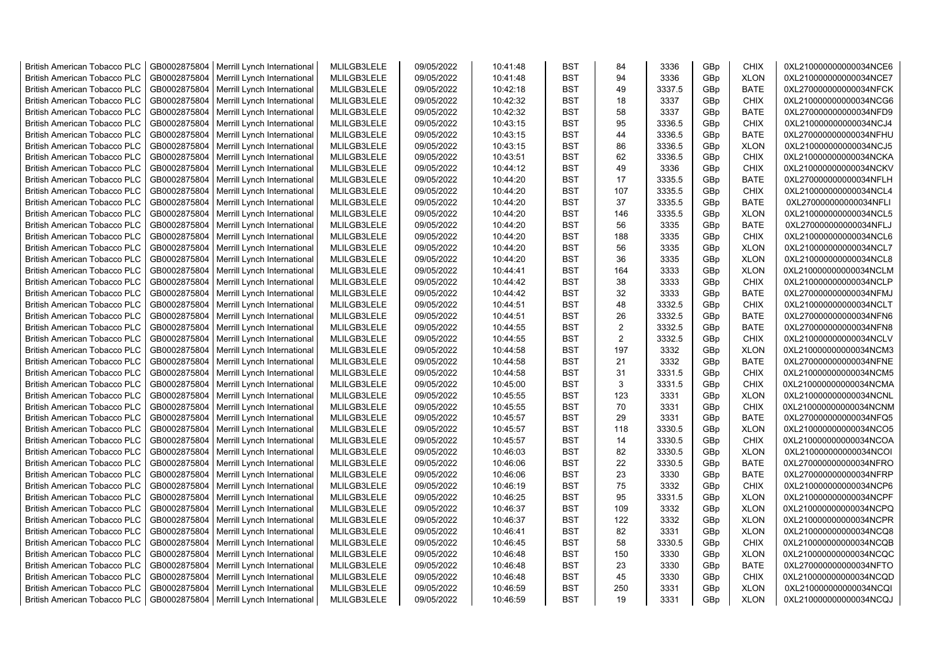| <b>British American Tobacco PLC</b> | GB0002875804 | Merrill Lynch International | MLILGB3LELE | 09/05/2022 | 10:41:48 | <b>BST</b> | 84             | 3336   | GBp | <b>CHIX</b> | 0XL210000000000034NCE6 |
|-------------------------------------|--------------|-----------------------------|-------------|------------|----------|------------|----------------|--------|-----|-------------|------------------------|
| <b>British American Tobacco PLC</b> | GB0002875804 | Merrill Lynch International | MLILGB3LELE | 09/05/2022 | 10:41:48 | <b>BST</b> | 94             | 3336   | GBp | <b>XLON</b> | 0XL210000000000034NCE7 |
| <b>British American Tobacco PLC</b> | GB0002875804 | Merrill Lynch International | MLILGB3LELE | 09/05/2022 | 10:42:18 | <b>BST</b> | 49             | 3337.5 | GBp | <b>BATE</b> | 0XL270000000000034NFCK |
| <b>British American Tobacco PLC</b> | GB0002875804 | Merrill Lynch International | MLILGB3LELE | 09/05/2022 | 10:42:32 | <b>BST</b> | 18             | 3337   | GBp | <b>CHIX</b> | 0XL210000000000034NCG6 |
| <b>British American Tobacco PLC</b> | GB0002875804 | Merrill Lynch International | MLILGB3LELE | 09/05/2022 | 10:42:32 | <b>BST</b> | 58             | 3337   | GBp | <b>BATE</b> | 0XL270000000000034NFD9 |
| <b>British American Tobacco PLC</b> | GB0002875804 | Merrill Lynch International | MLILGB3LELE | 09/05/2022 | 10:43:15 | <b>BST</b> | 95             | 3336.5 | GBp | <b>CHIX</b> | 0XL210000000000034NCJ4 |
| <b>British American Tobacco PLC</b> | GB0002875804 | Merrill Lynch International | MLILGB3LELE | 09/05/2022 | 10:43:15 | <b>BST</b> | 44             | 3336.5 | GBp | <b>BATE</b> | 0XL270000000000034NFHU |
| <b>British American Tobacco PLC</b> | GB0002875804 | Merrill Lynch International | MLILGB3LELE | 09/05/2022 | 10:43:15 | <b>BST</b> | 86             | 3336.5 | GBp | <b>XLON</b> | 0XL210000000000034NCJ5 |
| <b>British American Tobacco PLC</b> | GB0002875804 | Merrill Lynch International | MLILGB3LELE | 09/05/2022 | 10:43:51 | <b>BST</b> | 62             | 3336.5 | GBp | <b>CHIX</b> | 0XL210000000000034NCKA |
| <b>British American Tobacco PLC</b> | GB0002875804 | Merrill Lynch International | MLILGB3LELE | 09/05/2022 | 10:44:12 | <b>BST</b> | 49             | 3336   | GBp | <b>CHIX</b> | 0XL210000000000034NCKV |
| <b>British American Tobacco PLC</b> | GB0002875804 | Merrill Lynch International | MLILGB3LELE | 09/05/2022 | 10:44:20 | <b>BST</b> | 17             | 3335.5 | GBp | <b>BATE</b> | 0XL270000000000034NFLH |
| <b>British American Tobacco PLC</b> | GB0002875804 | Merrill Lynch International | MLILGB3LELE | 09/05/2022 | 10:44:20 | <b>BST</b> | 107            | 3335.5 | GBp | <b>CHIX</b> | 0XL210000000000034NCL4 |
| <b>British American Tobacco PLC</b> | GB0002875804 | Merrill Lynch International | MLILGB3LELE | 09/05/2022 | 10:44:20 | <b>BST</b> | 37             | 3335.5 | GBp | <b>BATE</b> | 0XL270000000000034NFLI |
| <b>British American Tobacco PLC</b> | GB0002875804 | Merrill Lynch International | MLILGB3LELE | 09/05/2022 | 10:44:20 | <b>BST</b> | 146            | 3335.5 | GBp | <b>XLON</b> | 0XL210000000000034NCL5 |
| <b>British American Tobacco PLC</b> | GB0002875804 | Merrill Lynch International | MLILGB3LELE | 09/05/2022 | 10:44:20 | <b>BST</b> | 56             | 3335   | GBp | <b>BATE</b> | 0XL270000000000034NFLJ |
| <b>British American Tobacco PLC</b> | GB0002875804 | Merrill Lynch International | MLILGB3LELE | 09/05/2022 | 10:44:20 | <b>BST</b> | 188            | 3335   | GBp | <b>CHIX</b> | 0XL210000000000034NCL6 |
| <b>British American Tobacco PLC</b> | GB0002875804 | Merrill Lynch International | MLILGB3LELE | 09/05/2022 | 10:44:20 | <b>BST</b> | 56             | 3335   | GBp | <b>XLON</b> | 0XL210000000000034NCL7 |
| <b>British American Tobacco PLC</b> | GB0002875804 | Merrill Lynch International | MLILGB3LELE | 09/05/2022 | 10:44:20 | <b>BST</b> | 36             | 3335   | GBp | <b>XLON</b> | 0XL210000000000034NCL8 |
| <b>British American Tobacco PLC</b> | GB0002875804 | Merrill Lynch International | MLILGB3LELE | 09/05/2022 | 10:44:41 | <b>BST</b> | 164            | 3333   | GBp | <b>XLON</b> | 0XL210000000000034NCLM |
| <b>British American Tobacco PLC</b> | GB0002875804 | Merrill Lynch International | MLILGB3LELE | 09/05/2022 | 10:44:42 | <b>BST</b> | 38             | 3333   | GBp | <b>CHIX</b> | 0XL210000000000034NCLP |
| <b>British American Tobacco PLC</b> | GB0002875804 | Merrill Lynch International | MLILGB3LELE | 09/05/2022 | 10:44:42 | <b>BST</b> | 32             | 3333   | GBp | <b>BATE</b> | 0XL270000000000034NFMJ |
| <b>British American Tobacco PLC</b> | GB0002875804 | Merrill Lynch International | MLILGB3LELE | 09/05/2022 | 10:44:51 | <b>BST</b> | 48             | 3332.5 | GBp | <b>CHIX</b> | 0XL210000000000034NCLT |
| <b>British American Tobacco PLC</b> | GB0002875804 | Merrill Lynch International | MLILGB3LELE | 09/05/2022 | 10:44:51 | <b>BST</b> | 26             | 3332.5 | GBp | <b>BATE</b> | 0XL270000000000034NFN6 |
| <b>British American Tobacco PLC</b> | GB0002875804 | Merrill Lynch International | MLILGB3LELE | 09/05/2022 | 10:44:55 | BST        | $\overline{2}$ | 3332.5 | GBp | <b>BATE</b> | 0XL270000000000034NFN8 |
| <b>British American Tobacco PLC</b> | GB0002875804 | Merrill Lynch International | MLILGB3LELE | 09/05/2022 | 10:44:55 | <b>BST</b> | $\overline{2}$ | 3332.5 | GBp | <b>CHIX</b> | 0XL210000000000034NCLV |
| British American Tobacco PLC        | GB0002875804 | Merrill Lynch International | MLILGB3LELE | 09/05/2022 | 10:44:58 | <b>BST</b> | 197            | 3332   | GBp | <b>XLON</b> | 0XL210000000000034NCM3 |
| <b>British American Tobacco PLC</b> | GB0002875804 | Merrill Lynch International | MLILGB3LELE | 09/05/2022 | 10:44:58 | <b>BST</b> | 21             | 3332   | GBp | <b>BATE</b> | 0XL270000000000034NFNE |
| British American Tobacco PLC        | GB0002875804 | Merrill Lynch International | MLILGB3LELE | 09/05/2022 | 10:44:58 | <b>BST</b> | 31             | 3331.5 | GBp | <b>CHIX</b> | 0XL210000000000034NCM5 |
| <b>British American Tobacco PLC</b> | GB0002875804 | Merrill Lynch International | MLILGB3LELE | 09/05/2022 | 10:45:00 | <b>BST</b> | 3              | 3331.5 | GBp | <b>CHIX</b> | 0XL210000000000034NCMA |
| <b>British American Tobacco PLC</b> | GB0002875804 | Merrill Lynch International | MLILGB3LELE | 09/05/2022 | 10:45:55 | <b>BST</b> | 123            | 3331   | GBp | <b>XLON</b> | 0XL210000000000034NCNL |
| <b>British American Tobacco PLC</b> | GB0002875804 | Merrill Lynch International | MLILGB3LELE | 09/05/2022 | 10:45:55 | <b>BST</b> | 70             | 3331   | GBp | <b>CHIX</b> | 0XL210000000000034NCNM |
| <b>British American Tobacco PLC</b> | GB0002875804 | Merrill Lynch International | MLILGB3LELE | 09/05/2022 | 10:45:57 | <b>BST</b> | 29             | 3331   | GBp | <b>BATE</b> | 0XL270000000000034NFQ5 |
| <b>British American Tobacco PLC</b> | GB0002875804 | Merrill Lynch International | MLILGB3LELE | 09/05/2022 | 10:45:57 | <b>BST</b> | 118            | 3330.5 | GBp | <b>XLON</b> | 0XL210000000000034NCO5 |
| <b>British American Tobacco PLC</b> | GB0002875804 | Merrill Lynch International | MLILGB3LELE | 09/05/2022 | 10:45:57 | <b>BST</b> | 14             | 3330.5 | GBp | <b>CHIX</b> | 0XL210000000000034NCOA |
| <b>British American Tobacco PLC</b> | GB0002875804 | Merrill Lynch International | MLILGB3LELE | 09/05/2022 | 10:46:03 | <b>BST</b> | 82             | 3330.5 | GBp | <b>XLON</b> | 0XL210000000000034NCOI |
| <b>British American Tobacco PLC</b> | GB0002875804 | Merrill Lynch International | MLILGB3LELE | 09/05/2022 | 10:46:06 | <b>BST</b> | 22             | 3330.5 | GBp | <b>BATE</b> | 0XL270000000000034NFRO |
| <b>British American Tobacco PLC</b> | GB0002875804 | Merrill Lynch International | MLILGB3LELE | 09/05/2022 | 10:46:06 | <b>BST</b> | 23             | 3330   | GBp | <b>BATE</b> | 0XL270000000000034NFRP |
| <b>British American Tobacco PLC</b> | GB0002875804 | Merrill Lynch International | MLILGB3LELE | 09/05/2022 | 10:46:19 | <b>BST</b> | 75             | 3332   | GBp | <b>CHIX</b> | 0XL210000000000034NCP6 |
| <b>British American Tobacco PLC</b> | GB0002875804 | Merrill Lynch International | MLILGB3LELE | 09/05/2022 | 10:46:25 | <b>BST</b> | 95             | 3331.5 | GBp | <b>XLON</b> | 0XL210000000000034NCPF |
| <b>British American Tobacco PLC</b> | GB0002875804 | Merrill Lynch International | MLILGB3LELE | 09/05/2022 | 10:46:37 | <b>BST</b> | 109            | 3332   | GBp | <b>XLON</b> | 0XL210000000000034NCPQ |
| <b>British American Tobacco PLC</b> | GB0002875804 | Merrill Lynch International | MLILGB3LELE | 09/05/2022 | 10:46:37 | <b>BST</b> | 122            | 3332   | GBp | <b>XLON</b> | 0XL210000000000034NCPR |
| <b>British American Tobacco PLC</b> | GB0002875804 | Merrill Lynch International | MLILGB3LELE | 09/05/2022 | 10:46:41 | <b>BST</b> | 82             | 3331   | GBp | <b>XLON</b> | 0XL210000000000034NCQ8 |
| <b>British American Tobacco PLC</b> | GB0002875804 | Merrill Lynch International | MLILGB3LELE | 09/05/2022 | 10:46:45 | <b>BST</b> | 58             | 3330.5 | GBp | <b>CHIX</b> | 0XL210000000000034NCQB |
| <b>British American Tobacco PLC</b> | GB0002875804 | Merrill Lynch International | MLILGB3LELE | 09/05/2022 | 10:46:48 | <b>BST</b> | 150            | 3330   | GBp | <b>XLON</b> | 0XL210000000000034NCQC |
| <b>British American Tobacco PLC</b> | GB0002875804 | Merrill Lynch International | MLILGB3LELE | 09/05/2022 | 10:46:48 | <b>BST</b> | 23             | 3330   | GBp | <b>BATE</b> | 0XL270000000000034NFTO |
| <b>British American Tobacco PLC</b> | GB0002875804 | Merrill Lynch International | MLILGB3LELE | 09/05/2022 | 10:46:48 | <b>BST</b> | 45             | 3330   | GBp | <b>CHIX</b> | 0XL210000000000034NCQD |
| <b>British American Tobacco PLC</b> | GB0002875804 | Merrill Lynch International | MLILGB3LELE | 09/05/2022 | 10:46:59 | <b>BST</b> | 250            | 3331   | GBp | <b>XLON</b> | 0XL210000000000034NCQI |
| <b>British American Tobacco PLC</b> | GB0002875804 | Merrill Lynch International | MLILGB3LELE | 09/05/2022 | 10:46:59 | <b>BST</b> | 19             | 3331   | GBp | <b>XLON</b> | 0XL210000000000034NCQJ |
|                                     |              |                             |             |            |          |            |                |        |     |             |                        |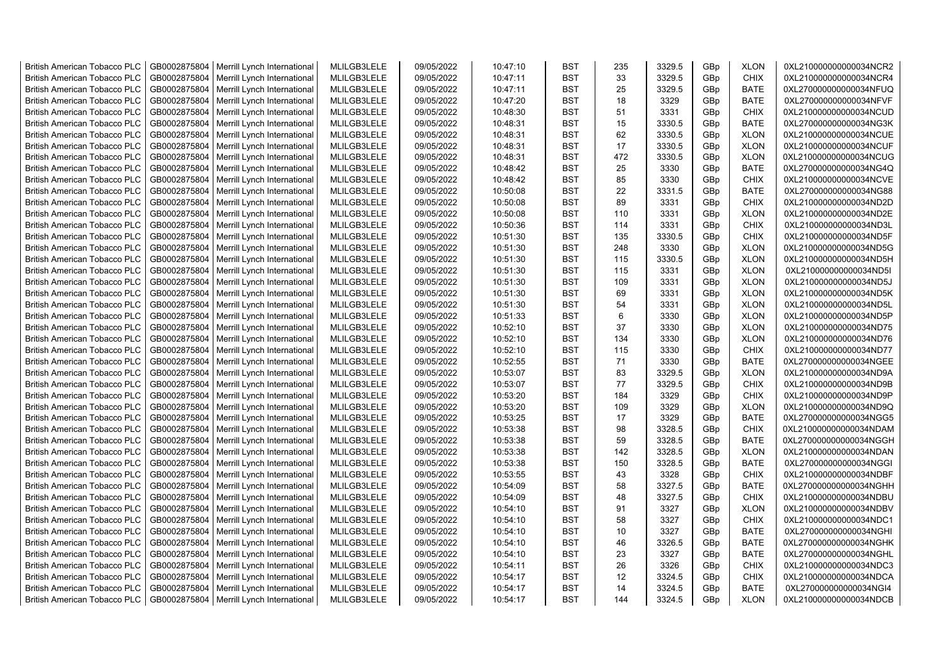| <b>British American Tobacco PLC</b> | GB0002875804 | Merrill Lynch International                | MLILGB3LELE | 09/05/2022 | 10:47:10 | <b>BST</b> | 235      | 3329.5 | GBp             | <b>XLON</b> | 0XL210000000000034NCR2 |
|-------------------------------------|--------------|--------------------------------------------|-------------|------------|----------|------------|----------|--------|-----------------|-------------|------------------------|
| <b>British American Tobacco PLC</b> | GB0002875804 | Merrill Lynch International                | MLILGB3LELE | 09/05/2022 | 10:47:11 | <b>BST</b> | 33       | 3329.5 | GBp             | <b>CHIX</b> | 0XL210000000000034NCR4 |
| <b>British American Tobacco PLC</b> | GB0002875804 | Merrill Lynch International                | MLILGB3LELE | 09/05/2022 | 10:47:11 | <b>BST</b> | 25       | 3329.5 | GBp             | <b>BATE</b> | 0XL270000000000034NFUQ |
| <b>British American Tobacco PLC</b> | GB0002875804 | Merrill Lynch International                | MLILGB3LELE | 09/05/2022 | 10:47:20 | <b>BST</b> | 18       | 3329   | GBp             | <b>BATE</b> | 0XL270000000000034NFVF |
| <b>British American Tobacco PLC</b> | GB0002875804 | Merrill Lynch International                | MLILGB3LELE | 09/05/2022 | 10:48:30 | <b>BST</b> | 51       | 3331   | GBp             | <b>CHIX</b> | 0XL210000000000034NCUD |
| <b>British American Tobacco PLC</b> | GB0002875804 | Merrill Lynch International                | MLILGB3LELE | 09/05/2022 | 10:48:31 | <b>BST</b> | 15       | 3330.5 | GBp             | <b>BATE</b> | 0XL270000000000034NG3K |
| British American Tobacco PLC        | GB0002875804 | Merrill Lynch International                | MLILGB3LELE | 09/05/2022 | 10:48:31 | <b>BST</b> | 62       | 3330.5 | GBp             | <b>XLON</b> | 0XL210000000000034NCUE |
| <b>British American Tobacco PLC</b> | GB0002875804 | Merrill Lynch International                | MLILGB3LELE | 09/05/2022 | 10:48:31 | <b>BST</b> | 17       | 3330.5 | GBp             | <b>XLON</b> | 0XL210000000000034NCUF |
| <b>British American Tobacco PLC</b> | GB0002875804 | Merrill Lynch International                | MLILGB3LELE | 09/05/2022 | 10:48:31 | <b>BST</b> | 472      | 3330.5 | GBp             | <b>XLON</b> | 0XL210000000000034NCUG |
| <b>British American Tobacco PLC</b> | GB0002875804 | Merrill Lynch International                | MLILGB3LELE | 09/05/2022 | 10:48:42 | <b>BST</b> | 25       | 3330   | GBp             | <b>BATE</b> | 0XL270000000000034NG4Q |
| <b>British American Tobacco PLC</b> | GB0002875804 | Merrill Lynch International                | MLILGB3LELE | 09/05/2022 | 10:48:42 | <b>BST</b> | 85       | 3330   | GBp             | <b>CHIX</b> | 0XL210000000000034NCVE |
| <b>British American Tobacco PLC</b> | GB0002875804 | Merrill Lynch International                | MLILGB3LELE | 09/05/2022 | 10:50:08 | <b>BST</b> | 22       | 3331.5 | GBp             | <b>BATE</b> | 0XL270000000000034NG88 |
| <b>British American Tobacco PLC</b> | GB0002875804 | Merrill Lynch International                | MLILGB3LELE | 09/05/2022 | 10:50:08 | BST        | 89       | 3331   | GBp             | <b>CHIX</b> | 0XL210000000000034ND2D |
| <b>British American Tobacco PLC</b> | GB0002875804 | Merrill Lynch International                | MLILGB3LELE | 09/05/2022 | 10:50:08 | <b>BST</b> | 110      | 3331   | GBp             | <b>XLON</b> | 0XL210000000000034ND2E |
| <b>British American Tobacco PLC</b> | GB0002875804 | Merrill Lynch International                | MLILGB3LELE | 09/05/2022 | 10:50:36 | <b>BST</b> | 114      | 3331   | GBp             | <b>CHIX</b> | 0XL210000000000034ND3L |
| <b>British American Tobacco PLC</b> | GB0002875804 | Merrill Lynch International                | MLILGB3LELE | 09/05/2022 | 10:51:30 | <b>BST</b> | 135      | 3330.5 | GBp             | <b>CHIX</b> | 0XL210000000000034ND5F |
| <b>British American Tobacco PLC</b> | GB0002875804 | Merrill Lynch International                | MLILGB3LELE | 09/05/2022 | 10:51:30 | <b>BST</b> | 248      | 3330   | GBp             | <b>XLON</b> | 0XL210000000000034ND5G |
| <b>British American Tobacco PLC</b> | GB0002875804 | Merrill Lynch International                | MLILGB3LELE | 09/05/2022 | 10:51:30 | <b>BST</b> | 115      | 3330.5 | GBp             | <b>XLON</b> | 0XL210000000000034ND5H |
| <b>British American Tobacco PLC</b> | GB0002875804 | Merrill Lynch International                | MLILGB3LELE | 09/05/2022 | 10:51:30 | <b>BST</b> | 115      | 3331   | GBp             | <b>XLON</b> | 0XL210000000000034ND5I |
| <b>British American Tobacco PLC</b> | GB0002875804 | Merrill Lynch International                | MLILGB3LELE | 09/05/2022 | 10:51:30 | <b>BST</b> | 109      | 3331   | GBp             | <b>XLON</b> | 0XL210000000000034ND5J |
| <b>British American Tobacco PLC</b> | GB0002875804 | Merrill Lynch International                | MLILGB3LELE | 09/05/2022 | 10:51:30 | <b>BST</b> | 69       | 3331   | GBp             | <b>XLON</b> | 0XL210000000000034ND5K |
| <b>British American Tobacco PLC</b> | GB0002875804 | Merrill Lynch International                | MLILGB3LELE | 09/05/2022 | 10:51:30 | <b>BST</b> | 54       | 3331   | GBp             | <b>XLON</b> | 0XL210000000000034ND5L |
| <b>British American Tobacco PLC</b> | GB0002875804 | Merrill Lynch International                | MLILGB3LELE | 09/05/2022 | 10:51:33 | <b>BST</b> | 6        | 3330   | GBp             | <b>XLON</b> | 0XL210000000000034ND5P |
| <b>British American Tobacco PLC</b> | GB0002875804 | Merrill Lynch International                | MLILGB3LELE | 09/05/2022 | 10:52:10 | <b>BST</b> | 37       | 3330   | GBp             | <b>XLON</b> | 0XL210000000000034ND75 |
|                                     |              |                                            |             |            |          |            | 134      |        |                 |             |                        |
| <b>British American Tobacco PLC</b> | GB0002875804 | Merrill Lynch International                | MLILGB3LELE | 09/05/2022 | 10:52:10 | <b>BST</b> |          | 3330   | GBp             | <b>XLON</b> | 0XL210000000000034ND76 |
| <b>British American Tobacco PLC</b> | GB0002875804 | Merrill Lynch International                | MLILGB3LELE | 09/05/2022 | 10:52:10 | <b>BST</b> | 115      | 3330   | GBp             | <b>CHIX</b> | 0XL210000000000034ND77 |
| <b>British American Tobacco PLC</b> | GB0002875804 | Merrill Lynch International                | MLILGB3LELE | 09/05/2022 | 10:52:55 | <b>BST</b> | 71<br>83 | 3330   | GBp             | <b>BATE</b> | 0XL270000000000034NGEE |
| <b>British American Tobacco PLC</b> | GB0002875804 | Merrill Lynch International                | MLILGB3LELE | 09/05/2022 | 10:53:07 | <b>BST</b> |          | 3329.5 | GBp             | <b>XLON</b> | 0XL210000000000034ND9A |
| <b>British American Tobacco PLC</b> | GB0002875804 | Merrill Lynch International                | MLILGB3LELE | 09/05/2022 | 10:53:07 | <b>BST</b> | 77       | 3329.5 | GBp             | <b>CHIX</b> | 0XL210000000000034ND9B |
| <b>British American Tobacco PLC</b> | GB0002875804 | Merrill Lynch International                | MLILGB3LELE | 09/05/2022 | 10:53:20 | <b>BST</b> | 184      | 3329   | GBp             | <b>CHIX</b> | 0XL210000000000034ND9P |
| <b>British American Tobacco PLC</b> | GB0002875804 | Merrill Lynch International                | MLILGB3LELE | 09/05/2022 | 10:53:20 | <b>BST</b> | 109      | 3329   | GBp             | <b>XLON</b> | 0XL210000000000034ND9Q |
| <b>British American Tobacco PLC</b> | GB0002875804 | Merrill Lynch International                | MLILGB3LELE | 09/05/2022 | 10:53:25 | <b>BST</b> | 17       | 3329   | GBp             | <b>BATE</b> | 0XL270000000000034NGG5 |
| <b>British American Tobacco PLC</b> | GB0002875804 | Merrill Lynch International                | MLILGB3LELE | 09/05/2022 | 10:53:38 | <b>BST</b> | 98       | 3328.5 | GBp             | <b>CHIX</b> | 0XL210000000000034NDAM |
| <b>British American Tobacco PLC</b> | GB0002875804 | Merrill Lynch International                | MLILGB3LELE | 09/05/2022 | 10:53:38 | <b>BST</b> | 59       | 3328.5 | GBp             | <b>BATE</b> | 0XL270000000000034NGGH |
| <b>British American Tobacco PLC</b> | GB0002875804 | Merrill Lynch International                | MLILGB3LELE | 09/05/2022 | 10:53:38 | <b>BST</b> | 142      | 3328.5 | GBp             | <b>XLON</b> | 0XL210000000000034NDAN |
| British American Tobacco PLC        | GB0002875804 | Merrill Lynch International                | MLILGB3LELE | 09/05/2022 | 10:53:38 | <b>BST</b> | 150      | 3328.5 | GBp             | <b>BATE</b> | 0XL270000000000034NGGI |
| <b>British American Tobacco PLC</b> | GB0002875804 | Merrill Lynch International                | MLILGB3LELE | 09/05/2022 | 10:53:55 | <b>BST</b> | 43       | 3328   | GBp             | <b>CHIX</b> | 0XL210000000000034NDBF |
| <b>British American Tobacco PLC</b> | GB0002875804 | Merrill Lynch International                | MLILGB3LELE | 09/05/2022 | 10:54:09 | <b>BST</b> | 58       | 3327.5 | GBp             | <b>BATE</b> | 0XL270000000000034NGHH |
| <b>British American Tobacco PLC</b> | GB0002875804 | Merrill Lynch International                | MLILGB3LELE | 09/05/2022 | 10:54:09 | <b>BST</b> | 48       | 3327.5 | GBp             | <b>CHIX</b> | 0XL210000000000034NDBU |
| <b>British American Tobacco PLC</b> | GB0002875804 | Merrill Lynch International                | MLILGB3LELE | 09/05/2022 | 10:54:10 | <b>BST</b> | 91       | 3327   | GBp             | <b>XLON</b> | 0XL210000000000034NDBV |
| <b>British American Tobacco PLC</b> | GB0002875804 | Merrill Lynch International                | MLILGB3LELE | 09/05/2022 | 10:54:10 | <b>BST</b> | 58       | 3327   | GBp             | <b>CHIX</b> | 0XL210000000000034NDC1 |
| <b>British American Tobacco PLC</b> | GB0002875804 | Merrill Lynch International                | MLILGB3LELE | 09/05/2022 | 10:54:10 | <b>BST</b> | 10       | 3327   | GBp             | BATE        | 0XL270000000000034NGHI |
| <b>British American Tobacco PLC</b> | GB0002875804 | Merrill Lynch International                | MLILGB3LELE | 09/05/2022 | 10:54:10 | <b>BST</b> | 46       | 3326.5 | GBp             | <b>BATE</b> | 0XL270000000000034NGHK |
| <b>British American Tobacco PLC</b> | GB0002875804 | Merrill Lynch International                | MLILGB3LELE | 09/05/2022 | 10:54:10 | <b>BST</b> | 23       | 3327   | GBp             | <b>BATE</b> | 0XL270000000000034NGHL |
| <b>British American Tobacco PLC</b> | GB0002875804 | Merrill Lynch International                | MLILGB3LELE | 09/05/2022 | 10:54:11 | <b>BST</b> | 26       | 3326   | GBp             | <b>CHIX</b> | 0XL210000000000034NDC3 |
| <b>British American Tobacco PLC</b> | GB0002875804 | Merrill Lynch International                | MLILGB3LELE | 09/05/2022 | 10:54:17 | <b>BST</b> | 12       | 3324.5 | GBp             | <b>CHIX</b> | 0XL210000000000034NDCA |
| <b>British American Tobacco PLC</b> | GB0002875804 | Merrill Lynch International                | MLILGB3LELE | 09/05/2022 | 10:54:17 | <b>BST</b> | 14       | 3324.5 | GBp             | <b>BATE</b> | 0XL270000000000034NGI4 |
| <b>British American Tobacco PLC</b> |              | GB0002875804   Merrill Lynch International | MLILGB3LELE | 09/05/2022 | 10:54:17 | <b>BST</b> | 144      | 3324.5 | GB <sub>p</sub> | <b>XLON</b> | 0XL210000000000034NDCB |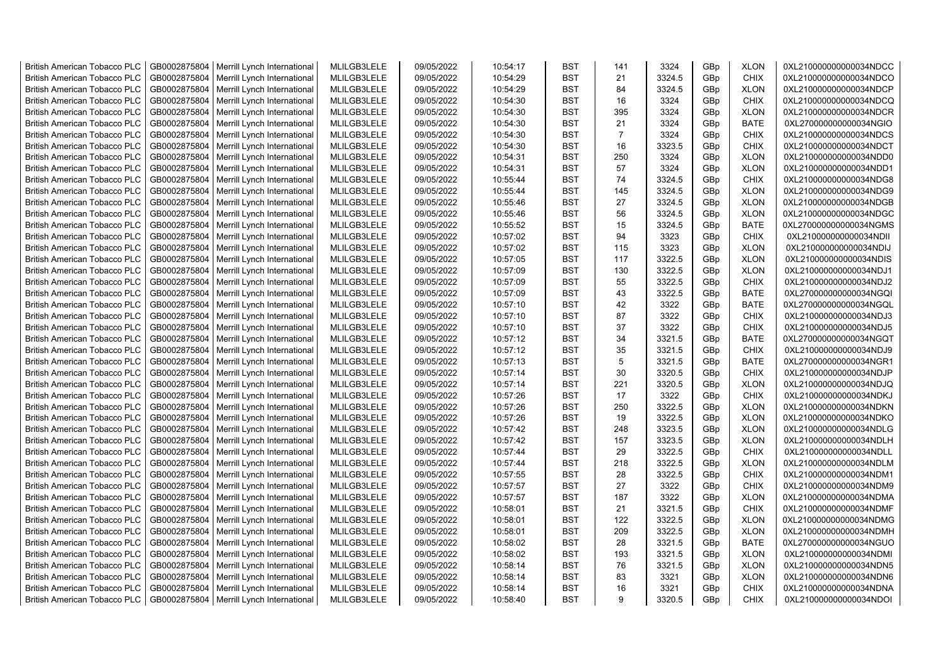| <b>British American Tobacco PLC</b> | GB0002875804 | Merrill Lynch International                                | MLILGB3LELE | 09/05/2022 | 10:54:17 | <b>BST</b> | 141            | 3324   | GBp             | <b>XLON</b> | 0XL210000000000034NDCC |
|-------------------------------------|--------------|------------------------------------------------------------|-------------|------------|----------|------------|----------------|--------|-----------------|-------------|------------------------|
| <b>British American Tobacco PLC</b> | GB0002875804 | Merrill Lynch International                                | MLILGB3LELE | 09/05/2022 | 10:54:29 | <b>BST</b> | 21             | 3324.5 | GBp             | <b>CHIX</b> | 0XL210000000000034NDCO |
| <b>British American Tobacco PLC</b> | GB0002875804 | Merrill Lynch International                                | MLILGB3LELE | 09/05/2022 | 10:54:29 | <b>BST</b> | 84             | 3324.5 | GBp             | <b>XLON</b> | 0XL210000000000034NDCP |
| <b>British American Tobacco PLC</b> | GB0002875804 | Merrill Lynch International                                | MLILGB3LELE | 09/05/2022 | 10:54:30 | <b>BST</b> | 16             | 3324   | GBp             | <b>CHIX</b> | 0XL210000000000034NDCQ |
| <b>British American Tobacco PLC</b> | GB0002875804 | Merrill Lynch International                                | MLILGB3LELE | 09/05/2022 | 10:54:30 | <b>BST</b> | 395            | 3324   | GBp             | <b>XLON</b> | 0XL210000000000034NDCR |
| <b>British American Tobacco PLC</b> | GB0002875804 | Merrill Lynch International                                | MLILGB3LELE | 09/05/2022 | 10:54:30 | <b>BST</b> | 21             | 3324   | GBp             | <b>BATE</b> | 0XL270000000000034NGIO |
| <b>British American Tobacco PLC</b> | GB0002875804 | Merrill Lynch International                                | MLILGB3LELE | 09/05/2022 | 10:54:30 | <b>BST</b> | $\overline{7}$ | 3324   | GBp             | <b>CHIX</b> | 0XL210000000000034NDCS |
| <b>British American Tobacco PLC</b> | GB0002875804 | Merrill Lynch International                                | MLILGB3LELE | 09/05/2022 | 10:54:30 | BST        | 16             | 3323.5 | GBp             | <b>CHIX</b> | 0XL210000000000034NDCT |
| <b>British American Tobacco PLC</b> | GB0002875804 | Merrill Lynch International                                | MLILGB3LELE | 09/05/2022 | 10:54:31 | <b>BST</b> | 250            | 3324   | GBp             | <b>XLON</b> | 0XL210000000000034NDD0 |
| <b>British American Tobacco PLC</b> | GB0002875804 | Merrill Lynch International                                | MLILGB3LELE | 09/05/2022 | 10:54:31 | <b>BST</b> | 57             | 3324   | GBp             | <b>XLON</b> | 0XL210000000000034NDD1 |
| <b>British American Tobacco PLC</b> | GB0002875804 | Merrill Lynch International                                | MLILGB3LELE | 09/05/2022 | 10:55:44 | <b>BST</b> | 74             | 3324.5 | GBp             | <b>CHIX</b> | 0XL210000000000034NDG8 |
| <b>British American Tobacco PLC</b> | GB0002875804 | Merrill Lynch International                                | MLILGB3LELE | 09/05/2022 | 10:55:44 | <b>BST</b> | 145            | 3324.5 | GBp             | <b>XLON</b> | 0XL210000000000034NDG9 |
| <b>British American Tobacco PLC</b> | GB0002875804 | Merrill Lynch International                                | MLILGB3LELE | 09/05/2022 | 10:55:46 | <b>BST</b> | 27             | 3324.5 | GBp             | <b>XLON</b> | 0XL210000000000034NDGB |
| <b>British American Tobacco PLC</b> | GB0002875804 | Merrill Lynch International                                | MLILGB3LELE | 09/05/2022 | 10:55:46 | <b>BST</b> | 56             | 3324.5 | GBp             | <b>XLON</b> | 0XL210000000000034NDGC |
| <b>British American Tobacco PLC</b> | GB0002875804 | Merrill Lynch International                                | MLILGB3LELE | 09/05/2022 | 10:55:52 | <b>BST</b> | 15             | 3324.5 | GBp             | <b>BATE</b> | 0XL270000000000034NGMS |
| <b>British American Tobacco PLC</b> | GB0002875804 | Merrill Lynch International                                | MLILGB3LELE | 09/05/2022 | 10:57:02 | <b>BST</b> | 94             | 3323   | GBp             | <b>CHIX</b> | 0XL210000000000034NDII |
| <b>British American Tobacco PLC</b> | GB0002875804 | Merrill Lynch International                                | MLILGB3LELE | 09/05/2022 | 10:57:02 | <b>BST</b> | 115            | 3323   | GBp             | <b>XLON</b> | 0XL210000000000034NDIJ |
| <b>British American Tobacco PLC</b> | GB0002875804 | Merrill Lynch International                                | MLILGB3LELE | 09/05/2022 | 10:57:05 | <b>BST</b> | 117            | 3322.5 | GBp             | <b>XLON</b> | 0XL210000000000034NDIS |
| <b>British American Tobacco PLC</b> | GB0002875804 | Merrill Lynch International                                | MLILGB3LELE | 09/05/2022 | 10:57:09 | <b>BST</b> | 130            | 3322.5 | GBp             | <b>XLON</b> | 0XL210000000000034NDJ1 |
| <b>British American Tobacco PLC</b> | GB0002875804 | Merrill Lynch International                                | MLILGB3LELE | 09/05/2022 | 10:57:09 | <b>BST</b> | 55             | 3322.5 | GBp             | <b>CHIX</b> | 0XL210000000000034NDJ2 |
| <b>British American Tobacco PLC</b> | GB0002875804 | Merrill Lynch International                                | MLILGB3LELE | 09/05/2022 | 10:57:09 | <b>BST</b> | 43             | 3322.5 | GBp             | <b>BATE</b> | 0XL270000000000034NGQI |
| <b>British American Tobacco PLC</b> | GB0002875804 | Merrill Lynch International                                | MLILGB3LELE | 09/05/2022 | 10:57:10 | <b>BST</b> | 42             | 3322   | GBp             | <b>BATE</b> | 0XL270000000000034NGQL |
| <b>British American Tobacco PLC</b> | GB0002875804 | Merrill Lynch International                                | MLILGB3LELE | 09/05/2022 | 10:57:10 | <b>BST</b> | 87             | 3322   | GBp             | <b>CHIX</b> | 0XL210000000000034NDJ3 |
| <b>British American Tobacco PLC</b> | GB0002875804 | Merrill Lynch International                                | MLILGB3LELE | 09/05/2022 | 10:57:10 | BST        | 37             | 3322   | GBp             | <b>CHIX</b> | 0XL210000000000034NDJ5 |
| <b>British American Tobacco PLC</b> | GB0002875804 | Merrill Lynch International                                | MLILGB3LELE | 09/05/2022 | 10:57:12 | <b>BST</b> | 34             | 3321.5 | GBp             | <b>BATE</b> | 0XL270000000000034NGQT |
| <b>British American Tobacco PLC</b> | GB0002875804 | Merrill Lynch International                                | MLILGB3LELE | 09/05/2022 | 10:57:12 | <b>BST</b> | 35             | 3321.5 | GBp             | <b>CHIX</b> | 0XL210000000000034NDJ9 |
| <b>British American Tobacco PLC</b> | GB0002875804 | Merrill Lynch International                                | MLILGB3LELE | 09/05/2022 | 10:57:13 | <b>BST</b> | 5              | 3321.5 | GBp             | <b>BATE</b> | 0XL270000000000034NGR1 |
| <b>British American Tobacco PLC</b> | GB0002875804 | Merrill Lynch International                                | MLILGB3LELE | 09/05/2022 | 10:57:14 | <b>BST</b> | 30             | 3320.5 | GBp             | <b>CHIX</b> | 0XL210000000000034NDJP |
| <b>British American Tobacco PLC</b> | GB0002875804 | Merrill Lynch International                                | MLILGB3LELE | 09/05/2022 | 10:57:14 | <b>BST</b> | 221            | 3320.5 | GBp             | <b>XLON</b> | 0XL210000000000034NDJQ |
| <b>British American Tobacco PLC</b> | GB0002875804 | Merrill Lynch International                                | MLILGB3LELE | 09/05/2022 | 10:57:26 | <b>BST</b> | 17             | 3322   | GBp             | <b>CHIX</b> | 0XL210000000000034NDKJ |
| <b>British American Tobacco PLC</b> | GB0002875804 | Merrill Lynch International                                | MLILGB3LELE | 09/05/2022 | 10:57:26 | <b>BST</b> | 250            | 3322.5 | GBp             | <b>XLON</b> | 0XL210000000000034NDKN |
| <b>British American Tobacco PLC</b> | GB0002875804 | Merrill Lynch International                                | MLILGB3LELE | 09/05/2022 | 10:57:26 | <b>BST</b> | 19             | 3322.5 | GBp             | <b>XLON</b> | 0XL210000000000034NDKO |
| <b>British American Tobacco PLC</b> | GB0002875804 | Merrill Lynch International                                | MLILGB3LELE | 09/05/2022 | 10:57:42 | <b>BST</b> | 248            | 3323.5 | GBp             | <b>XLON</b> | 0XL210000000000034NDLG |
| <b>British American Tobacco PLC</b> | GB0002875804 | Merrill Lynch International                                | MLILGB3LELE | 09/05/2022 | 10:57:42 | <b>BST</b> | 157            | 3323.5 | GBp             | <b>XLON</b> | 0XL210000000000034NDLH |
| <b>British American Tobacco PLC</b> | GB0002875804 | Merrill Lynch International                                | MLILGB3LELE | 09/05/2022 | 10:57:44 | <b>BST</b> | 29             | 3322.5 | GBp             | <b>CHIX</b> | 0XL210000000000034NDLL |
| <b>British American Tobacco PLC</b> | GB0002875804 | Merrill Lynch International                                | MLILGB3LELE | 09/05/2022 | 10:57:44 | <b>BST</b> | 218            | 3322.5 | GBp             | <b>XLON</b> | 0XL210000000000034NDLM |
| <b>British American Tobacco PLC</b> | GB0002875804 | Merrill Lynch International                                | MLILGB3LELE | 09/05/2022 | 10:57:55 | <b>BST</b> | 28             | 3322.5 | GBp             | <b>CHIX</b> | 0XL210000000000034NDM1 |
| <b>British American Tobacco PLC</b> | GB0002875804 | Merrill Lynch International                                | MLILGB3LELE | 09/05/2022 | 10:57:57 | <b>BST</b> | 27             | 3322   | GBp             | <b>CHIX</b> | 0XL210000000000034NDM9 |
| <b>British American Tobacco PLC</b> | GB0002875804 | Merrill Lynch International                                | MLILGB3LELE | 09/05/2022 | 10:57:57 | <b>BST</b> | 187            | 3322   | GBp             | <b>XLON</b> | 0XL210000000000034NDMA |
| <b>British American Tobacco PLC</b> | GB0002875804 | Merrill Lynch International                                | MLILGB3LELE | 09/05/2022 | 10:58:01 | <b>BST</b> | 21             | 3321.5 | GBp             | <b>CHIX</b> | 0XL210000000000034NDMF |
| <b>British American Tobacco PLC</b> | GB0002875804 | Merrill Lynch International                                | MLILGB3LELE | 09/05/2022 | 10:58:01 | <b>BST</b> | 122            | 3322.5 | GBp             | <b>XLON</b> | 0XL210000000000034NDMG |
| <b>British American Tobacco PLC</b> | GB0002875804 | Merrill Lynch International                                | MLILGB3LELE | 09/05/2022 | 10:58:01 | <b>BST</b> | 209            | 3322.5 | GBp             | <b>XLON</b> | 0XL210000000000034NDMH |
| <b>British American Tobacco PLC</b> | GB0002875804 |                                                            | MLILGB3LELE | 09/05/2022 | 10:58:02 | <b>BST</b> | 28             | 3321.5 |                 | <b>BATE</b> | 0XL270000000000034NGUO |
| <b>British American Tobacco PLC</b> | GB0002875804 | Merrill Lynch International<br>Merrill Lynch International | MLILGB3LELE | 09/05/2022 | 10:58:02 | <b>BST</b> | 193            | 3321.5 | GBp<br>GBp      | <b>XLON</b> | 0XL210000000000034NDMI |
| <b>British American Tobacco PLC</b> | GB0002875804 | Merrill Lynch International                                | MLILGB3LELE | 09/05/2022 | 10:58:14 | <b>BST</b> | 76             | 3321.5 | GBp             | <b>XLON</b> | 0XL210000000000034NDN5 |
| <b>British American Tobacco PLC</b> | GB0002875804 | Merrill Lynch International                                | MLILGB3LELE | 09/05/2022 | 10:58:14 | <b>BST</b> | 83             | 3321   | GBp             | <b>XLON</b> | 0XL210000000000034NDN6 |
| <b>British American Tobacco PLC</b> | GB0002875804 | Merrill Lynch International                                | MLILGB3LELE | 09/05/2022 | 10:58:14 | <b>BST</b> | 16             | 3321   | GBp             | <b>CHIX</b> | 0XL210000000000034NDNA |
| <b>British American Tobacco PLC</b> |              | GB0002875804   Merrill Lynch International                 | MLILGB3LELE | 09/05/2022 | 10:58:40 | <b>BST</b> | 9              | 3320.5 | GB <sub>p</sub> | <b>CHIX</b> | 0XL210000000000034NDOI |
|                                     |              |                                                            |             |            |          |            |                |        |                 |             |                        |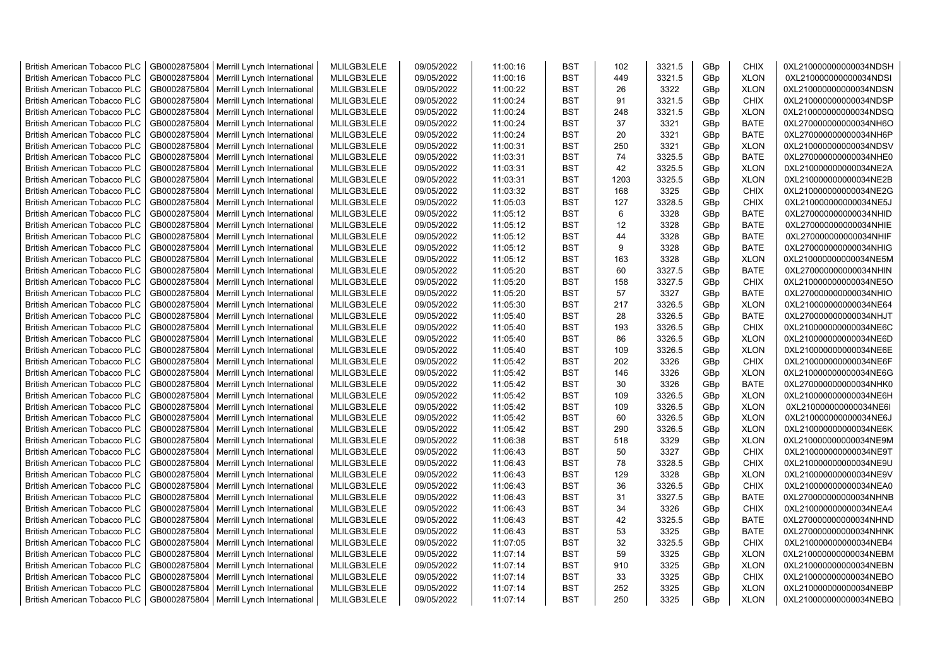| <b>British American Tobacco PLC</b> | GB0002875804 | Merrill Lynch International                | MLILGB3LELE | 09/05/2022 | 11:00:16 | <b>BST</b> | 102       | 3321.5 | GBp             | <b>CHIX</b> | 0XL210000000000034NDSH |
|-------------------------------------|--------------|--------------------------------------------|-------------|------------|----------|------------|-----------|--------|-----------------|-------------|------------------------|
| <b>British American Tobacco PLC</b> | GB0002875804 | Merrill Lynch International                | MLILGB3LELE | 09/05/2022 | 11:00:16 | <b>BST</b> | 449       | 3321.5 | GBp             | <b>XLON</b> | 0XL210000000000034NDSI |
| <b>British American Tobacco PLC</b> | GB0002875804 | Merrill Lynch International                | MLILGB3LELE | 09/05/2022 | 11:00:22 | <b>BST</b> | 26        | 3322   | GBp             | <b>XLON</b> | 0XL210000000000034NDSN |
| <b>British American Tobacco PLC</b> | GB0002875804 | Merrill Lynch International                | MLILGB3LELE | 09/05/2022 | 11:00:24 | <b>BST</b> | 91        | 3321.5 | GBp             | <b>CHIX</b> | 0XL210000000000034NDSP |
| <b>British American Tobacco PLC</b> | GB0002875804 | Merrill Lynch International                | MLILGB3LELE | 09/05/2022 | 11:00:24 | <b>BST</b> | 248       | 3321.5 | GBp             | <b>XLON</b> | 0XL210000000000034NDSQ |
| <b>British American Tobacco PLC</b> | GB0002875804 | Merrill Lynch International                | MLILGB3LELE | 09/05/2022 | 11:00:24 | <b>BST</b> | 37        | 3321   | GBp             | <b>BATE</b> | 0XL270000000000034NH6O |
| British American Tobacco PLC        | GB0002875804 | Merrill Lynch International                | MLILGB3LELE | 09/05/2022 | 11:00:24 | <b>BST</b> | 20        | 3321   | GBp             | <b>BATE</b> | 0XL270000000000034NH6P |
| <b>British American Tobacco PLC</b> | GB0002875804 | Merrill Lynch International                | MLILGB3LELE | 09/05/2022 | 11:00:31 | <b>BST</b> | 250       | 3321   | GBp             | <b>XLON</b> | 0XL210000000000034NDSV |
| <b>British American Tobacco PLC</b> | GB0002875804 | Merrill Lynch International                | MLILGB3LELE | 09/05/2022 | 11:03:31 | <b>BST</b> | 74        | 3325.5 | GBp             | <b>BATE</b> | 0XL270000000000034NHE0 |
| <b>British American Tobacco PLC</b> | GB0002875804 | Merrill Lynch International                | MLILGB3LELE | 09/05/2022 | 11:03:31 | <b>BST</b> | 42        | 3325.5 | GBp             | <b>XLON</b> | 0XL210000000000034NE2A |
| <b>British American Tobacco PLC</b> | GB0002875804 | Merrill Lynch International                | MLILGB3LELE | 09/05/2022 | 11:03:31 | <b>BST</b> | 1203      | 3325.5 | GBp             | <b>XLON</b> | 0XL210000000000034NE2B |
| <b>British American Tobacco PLC</b> | GB0002875804 | Merrill Lynch International                | MLILGB3LELE | 09/05/2022 | 11:03:32 | <b>BST</b> | 168       | 3325   | GBp             | <b>CHIX</b> | 0XL210000000000034NE2G |
| <b>British American Tobacco PLC</b> | GB0002875804 | Merrill Lynch International                | MLILGB3LELE | 09/05/2022 | 11:05:03 | BST        | 127       | 3328.5 | GBp             | <b>CHIX</b> | 0XL210000000000034NE5J |
| <b>British American Tobacco PLC</b> | GB0002875804 | Merrill Lynch International                | MLILGB3LELE | 09/05/2022 | 11:05:12 | <b>BST</b> | 6         | 3328   | GBp             | <b>BATE</b> | 0XL270000000000034NHID |
| <b>British American Tobacco PLC</b> | GB0002875804 | Merrill Lynch International                | MLILGB3LELE | 09/05/2022 | 11:05:12 | <b>BST</b> | 12        | 3328   | GBp             | <b>BATE</b> | 0XL270000000000034NHIE |
| <b>British American Tobacco PLC</b> | GB0002875804 | Merrill Lynch International                | MLILGB3LELE | 09/05/2022 | 11:05:12 | <b>BST</b> | 44        | 3328   | GBp             | <b>BATE</b> | 0XL270000000000034NHIF |
| <b>British American Tobacco PLC</b> | GB0002875804 | Merrill Lynch International                | MLILGB3LELE | 09/05/2022 | 11:05:12 | <b>BST</b> | 9         | 3328   | GBp             | <b>BATE</b> | 0XL270000000000034NHIG |
| <b>British American Tobacco PLC</b> | GB0002875804 | Merrill Lynch International                | MLILGB3LELE | 09/05/2022 | 11:05:12 | <b>BST</b> | 163       | 3328   | GBp             | <b>XLON</b> | 0XL210000000000034NE5M |
| <b>British American Tobacco PLC</b> | GB0002875804 | Merrill Lynch International                | MLILGB3LELE | 09/05/2022 | 11:05:20 | <b>BST</b> | 60        | 3327.5 | GBp             | <b>BATE</b> | 0XL270000000000034NHIN |
| <b>British American Tobacco PLC</b> | GB0002875804 | Merrill Lynch International                | MLILGB3LELE | 09/05/2022 | 11:05:20 | <b>BST</b> | 158       | 3327.5 | GBp             | <b>CHIX</b> | 0XL210000000000034NE5O |
| <b>British American Tobacco PLC</b> | GB0002875804 | Merrill Lynch International                | MLILGB3LELE | 09/05/2022 | 11:05:20 | <b>BST</b> | 57        | 3327   | GBp             | <b>BATE</b> | 0XL270000000000034NHIO |
| <b>British American Tobacco PLC</b> | GB0002875804 | Merrill Lynch International                | MLILGB3LELE | 09/05/2022 | 11:05:30 | <b>BST</b> | 217       | 3326.5 | GBp             | <b>XLON</b> | 0XL210000000000034NE64 |
| <b>British American Tobacco PLC</b> | GB0002875804 | Merrill Lynch International                | MLILGB3LELE | 09/05/2022 | 11:05:40 | <b>BST</b> | 28        | 3326.5 | GBp             | <b>BATE</b> | 0XL270000000000034NHJT |
| <b>British American Tobacco PLC</b> | GB0002875804 | Merrill Lynch International                | MLILGB3LELE | 09/05/2022 |          | <b>BST</b> | 193       | 3326.5 | GBp             | <b>CHIX</b> | 0XL210000000000034NE6C |
|                                     |              |                                            |             |            | 11:05:40 |            |           |        |                 |             |                        |
| <b>British American Tobacco PLC</b> | GB0002875804 | Merrill Lynch International                | MLILGB3LELE | 09/05/2022 | 11:05:40 | <b>BST</b> | 86<br>109 | 3326.5 | GBp             | <b>XLON</b> | 0XL210000000000034NE6D |
| <b>British American Tobacco PLC</b> | GB0002875804 | Merrill Lynch International                | MLILGB3LELE | 09/05/2022 | 11:05:40 | <b>BST</b> | 202       | 3326.5 | GBp             | <b>XLON</b> | 0XL210000000000034NE6E |
| <b>British American Tobacco PLC</b> | GB0002875804 | Merrill Lynch International                | MLILGB3LELE | 09/05/2022 | 11:05:42 | <b>BST</b> |           | 3326   | GBp             | <b>CHIX</b> | 0XL210000000000034NE6F |
| <b>British American Tobacco PLC</b> | GB0002875804 | Merrill Lynch International                | MLILGB3LELE | 09/05/2022 | 11:05:42 | <b>BST</b> | 146       | 3326   | GBp             | <b>XLON</b> | 0XL210000000000034NE6G |
| <b>British American Tobacco PLC</b> | GB0002875804 | Merrill Lynch International                | MLILGB3LELE | 09/05/2022 | 11:05:42 | <b>BST</b> | 30        | 3326   | GBp             | <b>BATE</b> | 0XL270000000000034NHK0 |
| <b>British American Tobacco PLC</b> | GB0002875804 | Merrill Lynch International                | MLILGB3LELE | 09/05/2022 | 11:05:42 | <b>BST</b> | 109       | 3326.5 | GBp             | <b>XLON</b> | 0XL210000000000034NE6H |
| <b>British American Tobacco PLC</b> | GB0002875804 | Merrill Lynch International                | MLILGB3LELE | 09/05/2022 | 11:05:42 | <b>BST</b> | 109       | 3326.5 | GBp             | <b>XLON</b> | 0XL210000000000034NE6I |
| <b>British American Tobacco PLC</b> | GB0002875804 | Merrill Lynch International                | MLILGB3LELE | 09/05/2022 | 11:05:42 | <b>BST</b> | 60        | 3326.5 | GBp             | <b>XLON</b> | 0XL210000000000034NE6J |
| <b>British American Tobacco PLC</b> | GB0002875804 | Merrill Lynch International                | MLILGB3LELE | 09/05/2022 | 11:05:42 | <b>BST</b> | 290       | 3326.5 | GBp             | <b>XLON</b> | 0XL210000000000034NE6K |
| <b>British American Tobacco PLC</b> | GB0002875804 | Merrill Lynch International                | MLILGB3LELE | 09/05/2022 | 11:06:38 | <b>BST</b> | 518       | 3329   | GBp             | <b>XLON</b> | 0XL210000000000034NE9M |
| <b>British American Tobacco PLC</b> | GB0002875804 | Merrill Lynch International                | MLILGB3LELE | 09/05/2022 | 11:06:43 | <b>BST</b> | 50        | 3327   | GBp             | <b>CHIX</b> | 0XL210000000000034NE9T |
| British American Tobacco PLC        | GB0002875804 | Merrill Lynch International                | MLILGB3LELE | 09/05/2022 | 11:06:43 | <b>BST</b> | 78        | 3328.5 | GBp             | <b>CHIX</b> | 0XL210000000000034NE9U |
| <b>British American Tobacco PLC</b> | GB0002875804 | Merrill Lynch International                | MLILGB3LELE | 09/05/2022 | 11:06:43 | <b>BST</b> | 129       | 3328   | GBp             | <b>XLON</b> | 0XL210000000000034NE9V |
| <b>British American Tobacco PLC</b> | GB0002875804 | Merrill Lynch International                | MLILGB3LELE | 09/05/2022 | 11:06:43 | <b>BST</b> | 36        | 3326.5 | GBp             | <b>CHIX</b> | 0XL210000000000034NEA0 |
| <b>British American Tobacco PLC</b> | GB0002875804 | Merrill Lynch International                | MLILGB3LELE | 09/05/2022 | 11:06:43 | <b>BST</b> | 31        | 3327.5 | GBp             | <b>BATE</b> | 0XL270000000000034NHNB |
| <b>British American Tobacco PLC</b> | GB0002875804 | Merrill Lynch International                | MLILGB3LELE | 09/05/2022 | 11:06:43 | <b>BST</b> | 34        | 3326   | GBp             | <b>CHIX</b> | 0XL210000000000034NEA4 |
| <b>British American Tobacco PLC</b> | GB0002875804 | Merrill Lynch International                | MLILGB3LELE | 09/05/2022 | 11:06:43 | <b>BST</b> | 42        | 3325.5 | GBp             | <b>BATE</b> | 0XL270000000000034NHND |
| <b>British American Tobacco PLC</b> | GB0002875804 | Merrill Lynch International                | MLILGB3LELE | 09/05/2022 | 11:06:43 | <b>BST</b> | 53        | 3325   | GBp             | <b>BATE</b> | 0XL270000000000034NHNK |
| <b>British American Tobacco PLC</b> | GB0002875804 | Merrill Lynch International                | MLILGB3LELE | 09/05/2022 | 11:07:05 | <b>BST</b> | 32        | 3325.5 | GBp             | <b>CHIX</b> | 0XL210000000000034NEB4 |
| <b>British American Tobacco PLC</b> | GB0002875804 | Merrill Lynch International                | MLILGB3LELE | 09/05/2022 | 11:07:14 | <b>BST</b> | 59        | 3325   | GBp             | <b>XLON</b> | 0XL210000000000034NEBM |
| <b>British American Tobacco PLC</b> | GB0002875804 | Merrill Lynch International                | MLILGB3LELE | 09/05/2022 | 11:07:14 | <b>BST</b> | 910       | 3325   | GBp             | <b>XLON</b> | 0XL210000000000034NEBN |
| <b>British American Tobacco PLC</b> | GB0002875804 | Merrill Lynch International                | MLILGB3LELE | 09/05/2022 | 11:07:14 | <b>BST</b> | 33        | 3325   | GBp             | <b>CHIX</b> | 0XL210000000000034NEBO |
| <b>British American Tobacco PLC</b> | GB0002875804 | Merrill Lynch International                | MLILGB3LELE | 09/05/2022 | 11:07:14 | <b>BST</b> | 252       | 3325   | GBp             | <b>XLON</b> | 0XL210000000000034NEBP |
| <b>British American Tobacco PLC</b> |              | GB0002875804   Merrill Lynch International | MLILGB3LELE | 09/05/2022 | 11:07:14 | <b>BST</b> | 250       | 3325   | GB <sub>p</sub> | <b>XLON</b> | 0XL210000000000034NEBQ |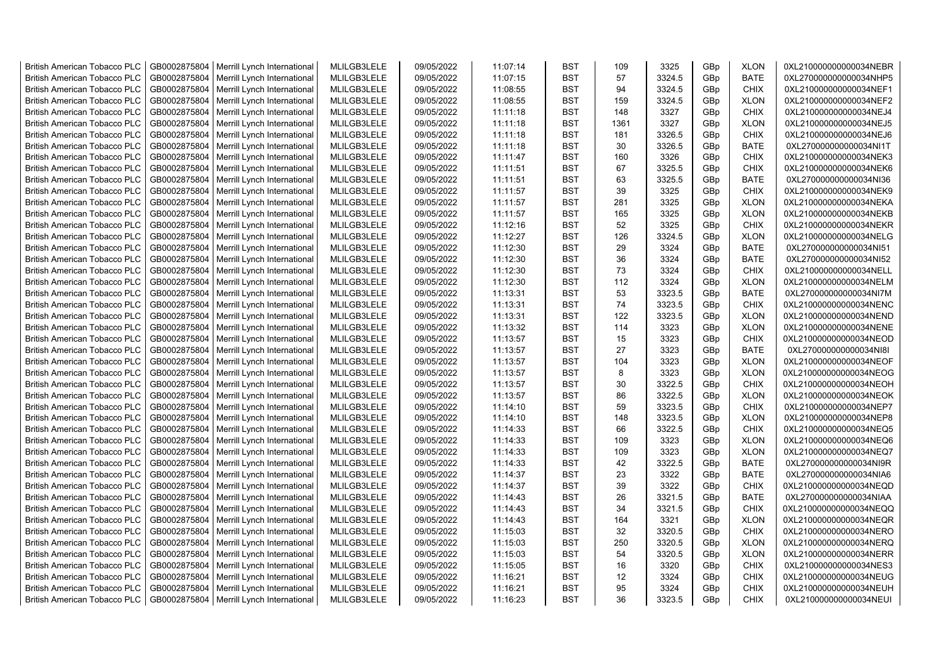| <b>British American Tobacco PLC</b> | GB0002875804 | Merrill Lynch International                | MLILGB3LELE | 09/05/2022 | 11:07:14 | <b>BST</b> | 109  | 3325   | GBp             | <b>XLON</b> | 0XL210000000000034NEBR |
|-------------------------------------|--------------|--------------------------------------------|-------------|------------|----------|------------|------|--------|-----------------|-------------|------------------------|
| <b>British American Tobacco PLC</b> | GB0002875804 | Merrill Lynch International                | MLILGB3LELE | 09/05/2022 | 11:07:15 | <b>BST</b> | 57   | 3324.5 | GBp             | <b>BATE</b> | 0XL270000000000034NHP5 |
| <b>British American Tobacco PLC</b> | GB0002875804 | Merrill Lynch International                | MLILGB3LELE | 09/05/2022 | 11:08:55 | <b>BST</b> | 94   | 3324.5 | GBp             | <b>CHIX</b> | 0XL210000000000034NEF1 |
| <b>British American Tobacco PLC</b> | GB0002875804 | Merrill Lynch International                | MLILGB3LELE | 09/05/2022 | 11:08:55 | <b>BST</b> | 159  | 3324.5 | GBp             | <b>XLON</b> | 0XL210000000000034NEF2 |
| <b>British American Tobacco PLC</b> | GB0002875804 | Merrill Lynch International                | MLILGB3LELE | 09/05/2022 | 11:11:18 | <b>BST</b> | 148  | 3327   | GBp             | <b>CHIX</b> | 0XL210000000000034NEJ4 |
| <b>British American Tobacco PLC</b> | GB0002875804 | Merrill Lynch International                | MLILGB3LELE | 09/05/2022 | 11:11:18 | <b>BST</b> | 1361 | 3327   | GBp             | <b>XLON</b> | 0XL210000000000034NEJ5 |
| British American Tobacco PLC        | GB0002875804 | Merrill Lynch International                | MLILGB3LELE | 09/05/2022 | 11:11:18 | <b>BST</b> | 181  | 3326.5 | GBp             | <b>CHIX</b> | 0XL210000000000034NEJ6 |
| <b>British American Tobacco PLC</b> | GB0002875804 | Merrill Lynch International                | MLILGB3LELE | 09/05/2022 | 11:11:18 | <b>BST</b> | 30   | 3326.5 | GBp             | <b>BATE</b> | 0XL270000000000034NI1T |
| <b>British American Tobacco PLC</b> | GB0002875804 | Merrill Lynch International                | MLILGB3LELE | 09/05/2022 | 11:11:47 | <b>BST</b> | 160  | 3326   | GBp             | <b>CHIX</b> | 0XL210000000000034NEK3 |
| <b>British American Tobacco PLC</b> | GB0002875804 | Merrill Lynch International                | MLILGB3LELE | 09/05/2022 | 11:11:51 | <b>BST</b> | 67   | 3325.5 | GBp             | <b>CHIX</b> | 0XL210000000000034NEK6 |
| <b>British American Tobacco PLC</b> | GB0002875804 | Merrill Lynch International                | MLILGB3LELE | 09/05/2022 | 11:11:51 | <b>BST</b> | 63   | 3325.5 | GBp             | <b>BATE</b> | 0XL270000000000034NI36 |
| <b>British American Tobacco PLC</b> | GB0002875804 | Merrill Lynch International                | MLILGB3LELE | 09/05/2022 | 11:11:57 | <b>BST</b> | 39   | 3325   | GBp             | <b>CHIX</b> | 0XL210000000000034NEK9 |
| <b>British American Tobacco PLC</b> | GB0002875804 | Merrill Lynch International                | MLILGB3LELE | 09/05/2022 | 11:11:57 | <b>BST</b> | 281  | 3325   | GBp             | <b>XLON</b> | 0XL210000000000034NEKA |
| <b>British American Tobacco PLC</b> | GB0002875804 | Merrill Lynch International                | MLILGB3LELE | 09/05/2022 | 11:11:57 | <b>BST</b> | 165  | 3325   | GBp             | <b>XLON</b> | 0XL210000000000034NEKB |
| <b>British American Tobacco PLC</b> | GB0002875804 | Merrill Lynch International                | MLILGB3LELE | 09/05/2022 | 11:12:16 | <b>BST</b> | 52   | 3325   | GBp             | <b>CHIX</b> | 0XL210000000000034NEKR |
| <b>British American Tobacco PLC</b> | GB0002875804 | Merrill Lynch International                | MLILGB3LELE | 09/05/2022 | 11:12:27 | <b>BST</b> | 126  | 3324.5 | GBp             | <b>XLON</b> | 0XL210000000000034NELG |
| <b>British American Tobacco PLC</b> | GB0002875804 | Merrill Lynch International                | MLILGB3LELE | 09/05/2022 | 11:12:30 | <b>BST</b> | 29   | 3324   | GBp             | <b>BATE</b> | 0XL270000000000034NI51 |
| <b>British American Tobacco PLC</b> | GB0002875804 | Merrill Lynch International                | MLILGB3LELE | 09/05/2022 | 11:12:30 | <b>BST</b> | 36   | 3324   | GBp             | <b>BATE</b> | 0XL270000000000034NI52 |
| <b>British American Tobacco PLC</b> | GB0002875804 | Merrill Lynch International                | MLILGB3LELE | 09/05/2022 | 11:12:30 | <b>BST</b> | 73   | 3324   | GBp             | <b>CHIX</b> | 0XL210000000000034NELL |
| <b>British American Tobacco PLC</b> | GB0002875804 | Merrill Lynch International                | MLILGB3LELE | 09/05/2022 | 11:12:30 | <b>BST</b> | 112  | 3324   | GBp             | <b>XLON</b> | 0XL210000000000034NELM |
| <b>British American Tobacco PLC</b> | GB0002875804 | Merrill Lynch International                | MLILGB3LELE | 09/05/2022 | 11:13:31 | <b>BST</b> | 53   | 3323.5 | GBp             | <b>BATE</b> | 0XL270000000000034NI7M |
| <b>British American Tobacco PLC</b> | GB0002875804 | Merrill Lynch International                | MLILGB3LELE | 09/05/2022 | 11:13:31 | <b>BST</b> | 74   | 3323.5 | GBp             | <b>CHIX</b> | 0XL210000000000034NENC |
| <b>British American Tobacco PLC</b> | GB0002875804 | Merrill Lynch International                | MLILGB3LELE | 09/05/2022 | 11:13:31 | <b>BST</b> | 122  | 3323.5 | GBp             | <b>XLON</b> | 0XL210000000000034NEND |
| <b>British American Tobacco PLC</b> | GB0002875804 | Merrill Lynch International                | MLILGB3LELE | 09/05/2022 | 11:13:32 | <b>BST</b> | 114  | 3323   | GBp             | <b>XLON</b> | 0XL210000000000034NENE |
| <b>British American Tobacco PLC</b> | GB0002875804 | Merrill Lynch International                | MLILGB3LELE | 09/05/2022 | 11:13:57 | <b>BST</b> | 15   | 3323   | GBp             | <b>CHIX</b> | 0XL210000000000034NEOD |
| <b>British American Tobacco PLC</b> | GB0002875804 | Merrill Lynch International                | MLILGB3LELE | 09/05/2022 | 11:13:57 | <b>BST</b> | 27   | 3323   | GBp             | <b>BATE</b> | 0XL270000000000034NI8I |
| <b>British American Tobacco PLC</b> | GB0002875804 | Merrill Lynch International                | MLILGB3LELE | 09/05/2022 | 11:13:57 | <b>BST</b> | 104  | 3323   | GBp             | <b>XLON</b> | 0XL210000000000034NEOF |
| <b>British American Tobacco PLC</b> | GB0002875804 | Merrill Lynch International                | MLILGB3LELE | 09/05/2022 | 11:13:57 | <b>BST</b> | 8    | 3323   | GBp             | <b>XLON</b> | 0XL210000000000034NEOG |
| <b>British American Tobacco PLC</b> | GB0002875804 | Merrill Lynch International                | MLILGB3LELE | 09/05/2022 | 11:13:57 | <b>BST</b> | 30   | 3322.5 | GBp             | <b>CHIX</b> | 0XL210000000000034NEOH |
| <b>British American Tobacco PLC</b> | GB0002875804 | Merrill Lynch International                | MLILGB3LELE | 09/05/2022 | 11:13:57 | <b>BST</b> | 86   | 3322.5 | GBp             | <b>XLON</b> | 0XL210000000000034NEOK |
| <b>British American Tobacco PLC</b> | GB0002875804 | Merrill Lynch International                | MLILGB3LELE | 09/05/2022 | 11:14:10 | <b>BST</b> | 59   | 3323.5 | GBp             | <b>CHIX</b> | 0XL210000000000034NEP7 |
| <b>British American Tobacco PLC</b> | GB0002875804 | Merrill Lynch International                | MLILGB3LELE | 09/05/2022 | 11:14:10 | <b>BST</b> | 148  | 3323.5 | GBp             | <b>XLON</b> | 0XL210000000000034NEP8 |
| <b>British American Tobacco PLC</b> | GB0002875804 | Merrill Lynch International                | MLILGB3LELE | 09/05/2022 | 11:14:33 | <b>BST</b> | 66   | 3322.5 | GBp             | <b>CHIX</b> | 0XL210000000000034NEQ5 |
| <b>British American Tobacco PLC</b> | GB0002875804 | Merrill Lynch International                | MLILGB3LELE | 09/05/2022 | 11:14:33 | <b>BST</b> | 109  | 3323   | GBp             | <b>XLON</b> | 0XL210000000000034NEQ6 |
| <b>British American Tobacco PLC</b> | GB0002875804 | Merrill Lynch International                | MLILGB3LELE | 09/05/2022 | 11:14:33 | <b>BST</b> | 109  | 3323   | GBp             | <b>XLON</b> | 0XL210000000000034NEQ7 |
| British American Tobacco PLC        | GB0002875804 | Merrill Lynch International                | MLILGB3LELE | 09/05/2022 | 11:14:33 | <b>BST</b> | 42   | 3322.5 | GBp             | <b>BATE</b> | 0XL270000000000034NI9R |
| <b>British American Tobacco PLC</b> | GB0002875804 | Merrill Lynch International                | MLILGB3LELE | 09/05/2022 | 11:14:37 | <b>BST</b> | 23   | 3322   | GBp             | <b>BATE</b> | 0XL270000000000034NIA6 |
| <b>British American Tobacco PLC</b> | GB0002875804 | Merrill Lynch International                | MLILGB3LELE | 09/05/2022 | 11:14:37 | <b>BST</b> | 39   | 3322   | GBp             | <b>CHIX</b> | 0XL210000000000034NEQD |
| <b>British American Tobacco PLC</b> | GB0002875804 | Merrill Lynch International                | MLILGB3LELE | 09/05/2022 | 11:14:43 | <b>BST</b> | 26   | 3321.5 | GBp             | <b>BATE</b> | 0XL270000000000034NIAA |
| <b>British American Tobacco PLC</b> | GB0002875804 | Merrill Lynch International                | MLILGB3LELE | 09/05/2022 | 11:14:43 | <b>BST</b> | 34   | 3321.5 | GBp             | <b>CHIX</b> | 0XL210000000000034NEQQ |
| <b>British American Tobacco PLC</b> | GB0002875804 | Merrill Lynch International                | MLILGB3LELE | 09/05/2022 | 11:14:43 | <b>BST</b> | 164  | 3321   | GBp             | <b>XLON</b> | 0XL210000000000034NEQR |
| <b>British American Tobacco PLC</b> | GB0002875804 | Merrill Lynch International                | MLILGB3LELE | 09/05/2022 | 11:15:03 | <b>BST</b> | 32   | 3320.5 | GBp             | <b>CHIX</b> | 0XL210000000000034NERO |
| <b>British American Tobacco PLC</b> | GB0002875804 | Merrill Lynch International                | MLILGB3LELE | 09/05/2022 | 11:15:03 | <b>BST</b> | 250  | 3320.5 | GBp             | <b>XLON</b> | 0XL210000000000034NERQ |
| <b>British American Tobacco PLC</b> | GB0002875804 | Merrill Lynch International                | MLILGB3LELE | 09/05/2022 | 11:15:03 | <b>BST</b> | 54   | 3320.5 | GBp             | <b>XLON</b> | 0XL210000000000034NERR |
| <b>British American Tobacco PLC</b> | GB0002875804 | Merrill Lynch International                | MLILGB3LELE | 09/05/2022 | 11:15:05 | <b>BST</b> | 16   | 3320   | GBp             | <b>CHIX</b> | 0XL210000000000034NES3 |
| <b>British American Tobacco PLC</b> | GB0002875804 | Merrill Lynch International                | MLILGB3LELE | 09/05/2022 | 11:16:21 | <b>BST</b> | 12   | 3324   | GBp             | <b>CHIX</b> | 0XL210000000000034NEUG |
| <b>British American Tobacco PLC</b> | GB0002875804 | Merrill Lynch International                | MLILGB3LELE | 09/05/2022 | 11:16:21 | <b>BST</b> | 95   | 3324   | GBp             | <b>CHIX</b> | 0XL210000000000034NEUH |
| <b>British American Tobacco PLC</b> |              | GB0002875804   Merrill Lynch International | MLILGB3LELE | 09/05/2022 | 11:16:23 | <b>BST</b> | 36   | 3323.5 | GB <sub>p</sub> | <b>CHIX</b> | 0XL210000000000034NEUI |
|                                     |              |                                            |             |            |          |            |      |        |                 |             |                        |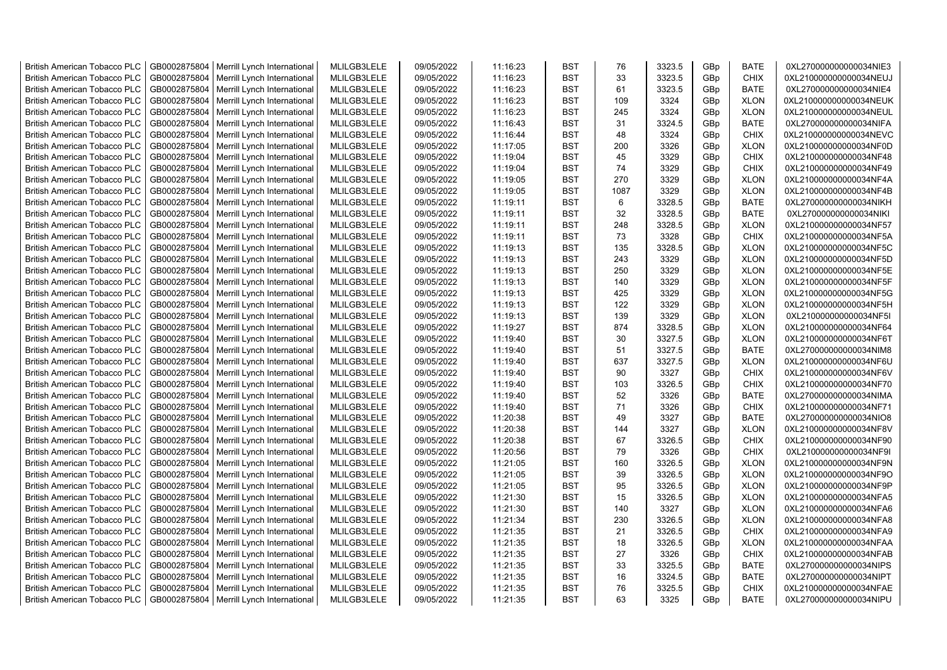| <b>British American Tobacco PLC</b> | GB0002875804 | Merrill Lynch International                | MLILGB3LELE | 09/05/2022 | 11:16:23 | <b>BST</b> | 76        | 3323.5 | GBp             | <b>BATE</b> | 0XL270000000000034NIE3 |
|-------------------------------------|--------------|--------------------------------------------|-------------|------------|----------|------------|-----------|--------|-----------------|-------------|------------------------|
| <b>British American Tobacco PLC</b> | GB0002875804 | Merrill Lynch International                | MLILGB3LELE | 09/05/2022 | 11:16:23 | <b>BST</b> | 33        | 3323.5 | GBp             | <b>CHIX</b> | 0XL210000000000034NEUJ |
| <b>British American Tobacco PLC</b> | GB0002875804 | Merrill Lynch International                | MLILGB3LELE | 09/05/2022 | 11:16:23 | <b>BST</b> | 61        | 3323.5 | GBp             | <b>BATE</b> | 0XL270000000000034NIE4 |
| <b>British American Tobacco PLC</b> | GB0002875804 | Merrill Lynch International                | MLILGB3LELE | 09/05/2022 | 11:16:23 | <b>BST</b> | 109       | 3324   | GBp             | <b>XLON</b> | 0XL210000000000034NEUK |
| <b>British American Tobacco PLC</b> | GB0002875804 | Merrill Lynch International                | MLILGB3LELE | 09/05/2022 | 11:16:23 | <b>BST</b> | 245       | 3324   | GBp             | <b>XLON</b> | 0XL210000000000034NEUL |
| <b>British American Tobacco PLC</b> | GB0002875804 | Merrill Lynch International                | MLILGB3LELE | 09/05/2022 | 11:16:43 | <b>BST</b> | 31        | 3324.5 | GBp             | <b>BATE</b> | 0XL270000000000034NIFA |
| British American Tobacco PLC        | GB0002875804 | Merrill Lynch International                | MLILGB3LELE | 09/05/2022 | 11:16:44 | <b>BST</b> | 48        | 3324   | GBp             | <b>CHIX</b> | 0XL210000000000034NEVC |
| <b>British American Tobacco PLC</b> | GB0002875804 | Merrill Lynch International                | MLILGB3LELE | 09/05/2022 | 11:17:05 | <b>BST</b> | 200       | 3326   | GBp             | <b>XLON</b> | 0XL210000000000034NF0D |
| <b>British American Tobacco PLC</b> | GB0002875804 | Merrill Lynch International                | MLILGB3LELE | 09/05/2022 | 11:19:04 | <b>BST</b> | 45        | 3329   | GBp             | <b>CHIX</b> | 0XL210000000000034NF48 |
| <b>British American Tobacco PLC</b> | GB0002875804 | Merrill Lynch International                | MLILGB3LELE | 09/05/2022 | 11:19:04 | <b>BST</b> | 74        | 3329   | GBp             | <b>CHIX</b> | 0XL210000000000034NF49 |
| <b>British American Tobacco PLC</b> | GB0002875804 | Merrill Lynch International                | MLILGB3LELE | 09/05/2022 | 11:19:05 | <b>BST</b> | 270       | 3329   | GBp             | <b>XLON</b> | 0XL210000000000034NF4A |
| <b>British American Tobacco PLC</b> | GB0002875804 | Merrill Lynch International                | MLILGB3LELE | 09/05/2022 | 11:19:05 | <b>BST</b> | 1087      | 3329   | GBp             | <b>XLON</b> | 0XL210000000000034NF4B |
| <b>British American Tobacco PLC</b> | GB0002875804 | Merrill Lynch International                | MLILGB3LELE | 09/05/2022 | 11:19:11 | <b>BST</b> | 6         | 3328.5 | GBp             | <b>BATE</b> | 0XL270000000000034NIKH |
| <b>British American Tobacco PLC</b> | GB0002875804 | Merrill Lynch International                | MLILGB3LELE | 09/05/2022 | 11:19:11 | <b>BST</b> | 32        | 3328.5 | GBp             | <b>BATE</b> | 0XL270000000000034NIKI |
| <b>British American Tobacco PLC</b> | GB0002875804 | Merrill Lynch International                | MLILGB3LELE | 09/05/2022 | 11:19:11 | <b>BST</b> | 248       | 3328.5 | GBp             | <b>XLON</b> | 0XL210000000000034NF57 |
| <b>British American Tobacco PLC</b> | GB0002875804 | Merrill Lynch International                | MLILGB3LELE | 09/05/2022 | 11:19:11 | <b>BST</b> | 73        | 3328   | GBp             | <b>CHIX</b> | 0XL210000000000034NF5A |
| <b>British American Tobacco PLC</b> | GB0002875804 | Merrill Lynch International                | MLILGB3LELE | 09/05/2022 | 11:19:13 | <b>BST</b> | 135       | 3328.5 | GBp             | <b>XLON</b> | 0XL210000000000034NF5C |
| <b>British American Tobacco PLC</b> | GB0002875804 | Merrill Lynch International                | MLILGB3LELE | 09/05/2022 | 11:19:13 | <b>BST</b> | 243       | 3329   | GBp             | <b>XLON</b> | 0XL210000000000034NF5D |
| <b>British American Tobacco PLC</b> | GB0002875804 | Merrill Lynch International                | MLILGB3LELE | 09/05/2022 | 11:19:13 | <b>BST</b> | 250       | 3329   | GBp             | <b>XLON</b> | 0XL210000000000034NF5E |
| <b>British American Tobacco PLC</b> | GB0002875804 | Merrill Lynch International                | MLILGB3LELE | 09/05/2022 | 11:19:13 | <b>BST</b> | 140       | 3329   | GBp             | <b>XLON</b> | 0XL210000000000034NF5F |
| <b>British American Tobacco PLC</b> | GB0002875804 | Merrill Lynch International                | MLILGB3LELE | 09/05/2022 | 11:19:13 | <b>BST</b> | 425       | 3329   | GBp             | <b>XLON</b> | 0XL210000000000034NF5G |
| <b>British American Tobacco PLC</b> | GB0002875804 | Merrill Lynch International                | MLILGB3LELE | 09/05/2022 | 11:19:13 | <b>BST</b> | 122       | 3329   | GBp             | <b>XLON</b> | 0XL210000000000034NF5H |
| <b>British American Tobacco PLC</b> | GB0002875804 | Merrill Lynch International                | MLILGB3LELE | 09/05/2022 | 11:19:13 | <b>BST</b> | 139       | 3329   | GBp             | <b>XLON</b> | 0XL210000000000034NF5I |
| <b>British American Tobacco PLC</b> | GB0002875804 | Merrill Lynch International                | MLILGB3LELE | 09/05/2022 | 11:19:27 | <b>BST</b> | 874       | 3328.5 | GBp             | <b>XLON</b> | 0XL210000000000034NF64 |
|                                     |              |                                            |             |            |          | <b>BST</b> | 30        |        |                 |             |                        |
| <b>British American Tobacco PLC</b> | GB0002875804 | Merrill Lynch International                | MLILGB3LELE | 09/05/2022 | 11:19:40 | <b>BST</b> | 51        | 3327.5 | GBp             | <b>XLON</b> | 0XL210000000000034NF6T |
| <b>British American Tobacco PLC</b> | GB0002875804 | Merrill Lynch International                | MLILGB3LELE | 09/05/2022 | 11:19:40 |            |           | 3327.5 | GBp             | <b>BATE</b> | 0XL270000000000034NIM8 |
| <b>British American Tobacco PLC</b> | GB0002875804 | Merrill Lynch International                | MLILGB3LELE | 09/05/2022 | 11:19:40 | <b>BST</b> | 637<br>90 | 3327.5 | GBp             | <b>XLON</b> | 0XL210000000000034NF6U |
| <b>British American Tobacco PLC</b> | GB0002875804 | Merrill Lynch International                | MLILGB3LELE | 09/05/2022 | 11:19:40 | <b>BST</b> |           | 3327   | GBp             | <b>CHIX</b> | 0XL210000000000034NF6V |
| <b>British American Tobacco PLC</b> | GB0002875804 | Merrill Lynch International                | MLILGB3LELE | 09/05/2022 | 11:19:40 | <b>BST</b> | 103       | 3326.5 | GBp             | <b>CHIX</b> | 0XL210000000000034NF70 |
| <b>British American Tobacco PLC</b> | GB0002875804 | Merrill Lynch International                | MLILGB3LELE | 09/05/2022 | 11:19:40 | <b>BST</b> | 52        | 3326   | GBp             | <b>BATE</b> | 0XL270000000000034NIMA |
| <b>British American Tobacco PLC</b> | GB0002875804 | Merrill Lynch International                | MLILGB3LELE | 09/05/2022 | 11:19:40 | <b>BST</b> | 71        | 3326   | GBp             | <b>CHIX</b> | 0XL210000000000034NF71 |
| <b>British American Tobacco PLC</b> | GB0002875804 | Merrill Lynch International                | MLILGB3LELE | 09/05/2022 | 11:20:38 | <b>BST</b> | 49        | 3327   | GBp             | <b>BATE</b> | 0XL270000000000034NIO8 |
| <b>British American Tobacco PLC</b> | GB0002875804 | Merrill Lynch International                | MLILGB3LELE | 09/05/2022 | 11:20:38 | <b>BST</b> | 144       | 3327   | GBp             | <b>XLON</b> | 0XL210000000000034NF8V |
| <b>British American Tobacco PLC</b> | GB0002875804 | Merrill Lynch International                | MLILGB3LELE | 09/05/2022 | 11:20:38 | <b>BST</b> | 67        | 3326.5 | GBp             | <b>CHIX</b> | 0XL210000000000034NF90 |
| <b>British American Tobacco PLC</b> | GB0002875804 | Merrill Lynch International                | MLILGB3LELE | 09/05/2022 | 11:20:56 | <b>BST</b> | 79        | 3326   | GBp             | <b>CHIX</b> | 0XL210000000000034NF9I |
| <b>British American Tobacco PLC</b> | GB0002875804 | Merrill Lynch International                | MLILGB3LELE | 09/05/2022 | 11:21:05 | <b>BST</b> | 160       | 3326.5 | GBp             | <b>XLON</b> | 0XL210000000000034NF9N |
| <b>British American Tobacco PLC</b> | GB0002875804 | Merrill Lynch International                | MLILGB3LELE | 09/05/2022 | 11:21:05 | <b>BST</b> | 39        | 3326.5 | GBp             | <b>XLON</b> | 0XL210000000000034NF9O |
| <b>British American Tobacco PLC</b> | GB0002875804 | Merrill Lynch International                | MLILGB3LELE | 09/05/2022 | 11:21:05 | <b>BST</b> | 95        | 3326.5 | GBp             | <b>XLON</b> | 0XL210000000000034NF9P |
| <b>British American Tobacco PLC</b> | GB0002875804 | Merrill Lynch International                | MLILGB3LELE | 09/05/2022 | 11:21:30 | <b>BST</b> | 15        | 3326.5 | GBp             | <b>XLON</b> | 0XL210000000000034NFA5 |
| <b>British American Tobacco PLC</b> | GB0002875804 | Merrill Lynch International                | MLILGB3LELE | 09/05/2022 | 11:21:30 | <b>BST</b> | 140       | 3327   | GBp             | <b>XLON</b> | 0XL210000000000034NFA6 |
| <b>British American Tobacco PLC</b> | GB0002875804 | Merrill Lynch International                | MLILGB3LELE | 09/05/2022 | 11:21:34 | <b>BST</b> | 230       | 3326.5 | GBp             | <b>XLON</b> | 0XL210000000000034NFA8 |
| <b>British American Tobacco PLC</b> | GB0002875804 | Merrill Lynch International                | MLILGB3LELE | 09/05/2022 | 11:21:35 | <b>BST</b> | 21        | 3326.5 | GBp             | <b>CHIX</b> | 0XL210000000000034NFA9 |
| <b>British American Tobacco PLC</b> | GB0002875804 | Merrill Lynch International                | MLILGB3LELE | 09/05/2022 | 11:21:35 | <b>BST</b> | 18        | 3326.5 | GBp             | <b>XLON</b> | 0XL210000000000034NFAA |
| <b>British American Tobacco PLC</b> | GB0002875804 | Merrill Lynch International                | MLILGB3LELE | 09/05/2022 | 11:21:35 | <b>BST</b> | 27        | 3326   | GBp             | <b>CHIX</b> | 0XL210000000000034NFAB |
| <b>British American Tobacco PLC</b> | GB0002875804 | Merrill Lynch International                | MLILGB3LELE | 09/05/2022 | 11:21:35 | <b>BST</b> | 33        | 3325.5 | GBp             | <b>BATE</b> | 0XL270000000000034NIPS |
| <b>British American Tobacco PLC</b> | GB0002875804 | Merrill Lynch International                | MLILGB3LELE | 09/05/2022 | 11:21:35 | <b>BST</b> | 16        | 3324.5 | GBp             | <b>BATE</b> | 0XL270000000000034NIPT |
| <b>British American Tobacco PLC</b> | GB0002875804 | Merrill Lynch International                | MLILGB3LELE | 09/05/2022 | 11:21:35 | <b>BST</b> | 76        | 3325.5 | GBp             | <b>CHIX</b> | 0XL210000000000034NFAE |
| <b>British American Tobacco PLC</b> |              | GB0002875804   Merrill Lynch International | MLILGB3LELE | 09/05/2022 | 11:21:35 | <b>BST</b> | 63        | 3325   | GB <sub>p</sub> | <b>BATE</b> | 0XL270000000000034NIPU |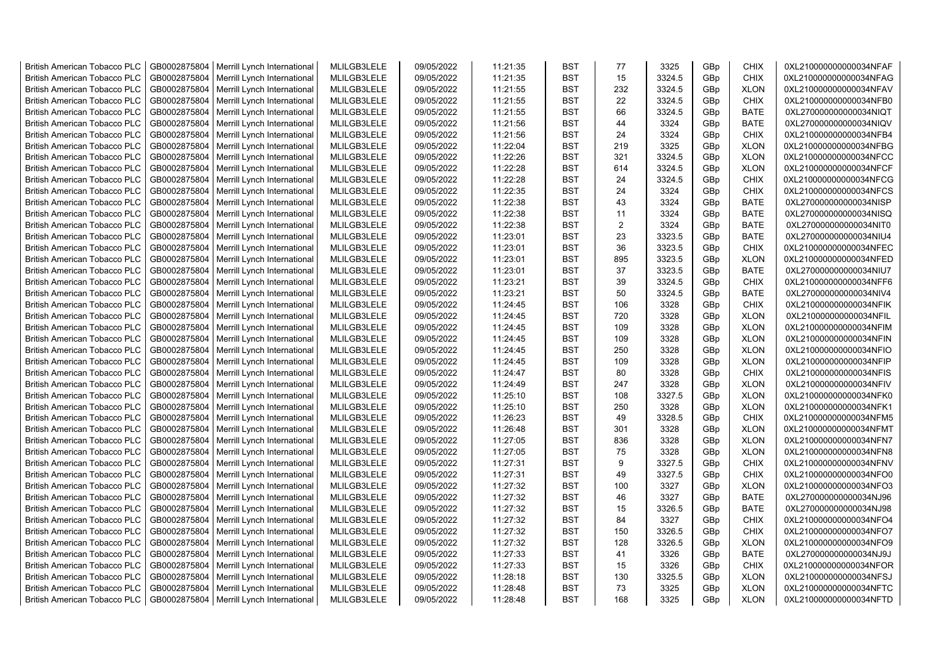| <b>British American Tobacco PLC</b> | GB0002875804                 | Merrill Lynch International                | MLILGB3LELE                | 09/05/2022               | 11:21:35 | <b>BST</b> | 77             | 3325         | GBp             | <b>CHIX</b>                | 0XL210000000000034NFAF |
|-------------------------------------|------------------------------|--------------------------------------------|----------------------------|--------------------------|----------|------------|----------------|--------------|-----------------|----------------------------|------------------------|
| <b>British American Tobacco PLC</b> | GB0002875804                 | Merrill Lynch International                | MLILGB3LELE                | 09/05/2022               | 11:21:35 | <b>BST</b> | 15             | 3324.5       | GBp             | <b>CHIX</b>                | 0XL210000000000034NFAG |
| <b>British American Tobacco PLC</b> | GB0002875804                 | Merrill Lynch International                | MLILGB3LELE                | 09/05/2022               | 11:21:55 | <b>BST</b> | 232            | 3324.5       | GBp             | <b>XLON</b>                | 0XL210000000000034NFAV |
| <b>British American Tobacco PLC</b> | GB0002875804                 | Merrill Lynch International                | MLILGB3LELE                | 09/05/2022               | 11:21:55 | <b>BST</b> | 22             | 3324.5       | GBp             | <b>CHIX</b>                | 0XL210000000000034NFB0 |
| <b>British American Tobacco PLC</b> | GB0002875804                 | Merrill Lynch International                | MLILGB3LELE                | 09/05/2022               | 11:21:55 | <b>BST</b> | 66             | 3324.5       | GBp             | <b>BATE</b>                | 0XL270000000000034NIQT |
| <b>British American Tobacco PLC</b> | GB0002875804                 | Merrill Lynch International                | MLILGB3LELE                | 09/05/2022               | 11:21:56 | <b>BST</b> | 44             | 3324         | GBp             | <b>BATE</b>                | 0XL270000000000034NIQV |
| British American Tobacco PLC        | GB0002875804                 | Merrill Lynch International                | MLILGB3LELE                | 09/05/2022               | 11:21:56 | <b>BST</b> | 24             | 3324         | GBp             | <b>CHIX</b>                | 0XL210000000000034NFB4 |
| <b>British American Tobacco PLC</b> | GB0002875804                 | Merrill Lynch International                | MLILGB3LELE                | 09/05/2022               | 11:22:04 | <b>BST</b> | 219            | 3325         | GBp             | <b>XLON</b>                | 0XL210000000000034NFBG |
| <b>British American Tobacco PLC</b> | GB0002875804                 | Merrill Lynch International                | MLILGB3LELE                | 09/05/2022               | 11:22:26 | <b>BST</b> | 321            | 3324.5       | GBp             | <b>XLON</b>                | 0XL210000000000034NFCC |
| <b>British American Tobacco PLC</b> | GB0002875804                 | Merrill Lynch International                | MLILGB3LELE                | 09/05/2022               | 11:22:28 | <b>BST</b> | 614            | 3324.5       | GBp             | <b>XLON</b>                | 0XL210000000000034NFCF |
| <b>British American Tobacco PLC</b> | GB0002875804                 | Merrill Lynch International                | MLILGB3LELE                | 09/05/2022               | 11:22:28 | <b>BST</b> | 24             | 3324.5       | GBp             | <b>CHIX</b>                | 0XL210000000000034NFCG |
| <b>British American Tobacco PLC</b> | GB0002875804                 | Merrill Lynch International                | MLILGB3LELE                | 09/05/2022               | 11:22:35 | <b>BST</b> | 24             | 3324         | GBp             | <b>CHIX</b>                | 0XL210000000000034NFCS |
| <b>British American Tobacco PLC</b> | GB0002875804                 | Merrill Lynch International                | MLILGB3LELE                | 09/05/2022               | 11:22:38 | <b>BST</b> | 43             | 3324         | GBp             | <b>BATE</b>                | 0XL270000000000034NISP |
| <b>British American Tobacco PLC</b> | GB0002875804                 | Merrill Lynch International                | MLILGB3LELE                | 09/05/2022               | 11:22:38 | <b>BST</b> | 11             | 3324         | GBp             | <b>BATE</b>                | 0XL270000000000034NISQ |
| <b>British American Tobacco PLC</b> | GB0002875804                 | Merrill Lynch International                | MLILGB3LELE                | 09/05/2022               | 11:22:38 | <b>BST</b> | $\overline{2}$ | 3324         | GBp             | <b>BATE</b>                | 0XL270000000000034NIT0 |
| <b>British American Tobacco PLC</b> | GB0002875804                 | Merrill Lynch International                | MLILGB3LELE                | 09/05/2022               | 11:23:01 | <b>BST</b> | 23             | 3323.5       | GBp             | <b>BATE</b>                | 0XL270000000000034NIU4 |
| <b>British American Tobacco PLC</b> | GB0002875804                 | Merrill Lynch International                | MLILGB3LELE                | 09/05/2022               | 11:23:01 | <b>BST</b> | 36             | 3323.5       | GBp             | <b>CHIX</b>                | 0XL210000000000034NFEC |
| <b>British American Tobacco PLC</b> | GB0002875804                 | Merrill Lynch International                | MLILGB3LELE                | 09/05/2022               | 11:23:01 | <b>BST</b> | 895            | 3323.5       | GBp             | <b>XLON</b>                | 0XL210000000000034NFED |
| <b>British American Tobacco PLC</b> | GB0002875804                 | Merrill Lynch International                | MLILGB3LELE                | 09/05/2022               | 11:23:01 | <b>BST</b> | 37             | 3323.5       | GBp             | <b>BATE</b>                | 0XL270000000000034NIU7 |
| <b>British American Tobacco PLC</b> | GB0002875804                 | Merrill Lynch International                | MLILGB3LELE                | 09/05/2022               | 11:23:21 | <b>BST</b> | 39             | 3324.5       | GBp             | <b>CHIX</b>                | 0XL210000000000034NFF6 |
| <b>British American Tobacco PLC</b> | GB0002875804                 | Merrill Lynch International                | MLILGB3LELE                | 09/05/2022               | 11:23:21 | <b>BST</b> | 50             | 3324.5       | GBp             | <b>BATE</b>                | 0XL270000000000034NIV4 |
| <b>British American Tobacco PLC</b> | GB0002875804                 | Merrill Lynch International                | MLILGB3LELE                | 09/05/2022               | 11:24:45 | <b>BST</b> | 106            | 3328         | GBp             | <b>CHIX</b>                | 0XL210000000000034NFIK |
| <b>British American Tobacco PLC</b> | GB0002875804                 | Merrill Lynch International                | MLILGB3LELE                | 09/05/2022               | 11:24:45 | <b>BST</b> | 720            | 3328         | GBp             | <b>XLON</b>                | 0XL210000000000034NFIL |
| <b>British American Tobacco PLC</b> | GB0002875804                 | Merrill Lynch International                | MLILGB3LELE                | 09/05/2022               | 11:24:45 | <b>BST</b> | 109            | 3328         | GBp             | <b>XLON</b>                | 0XL210000000000034NFIM |
|                                     |                              |                                            |                            |                          |          | <b>BST</b> | 109            | 3328         |                 |                            |                        |
| <b>British American Tobacco PLC</b> | GB0002875804                 | Merrill Lynch International                | MLILGB3LELE                | 09/05/2022               | 11:24:45 | <b>BST</b> | 250            |              | GBp             | <b>XLON</b>                | 0XL210000000000034NFIN |
| <b>British American Tobacco PLC</b> | GB0002875804                 | Merrill Lynch International                | MLILGB3LELE                | 09/05/2022               | 11:24:45 | <b>BST</b> | 109            | 3328         | GBp             | <b>XLON</b>                | 0XL210000000000034NFIO |
| <b>British American Tobacco PLC</b> | GB0002875804<br>GB0002875804 | Merrill Lynch International                | MLILGB3LELE<br>MLILGB3LELE | 09/05/2022<br>09/05/2022 | 11:24:45 | <b>BST</b> | 80             | 3328<br>3328 | GBp             | <b>XLON</b><br><b>CHIX</b> | 0XL210000000000034NFIP |
| <b>British American Tobacco PLC</b> |                              | Merrill Lynch International                |                            |                          | 11:24:47 |            |                |              | GBp             |                            | 0XL210000000000034NFIS |
| <b>British American Tobacco PLC</b> | GB0002875804                 | Merrill Lynch International                | MLILGB3LELE                | 09/05/2022               | 11:24:49 | <b>BST</b> | 247            | 3328         | GBp             | <b>XLON</b>                | 0XL210000000000034NFIV |
| <b>British American Tobacco PLC</b> | GB0002875804                 | Merrill Lynch International                | MLILGB3LELE                | 09/05/2022               | 11:25:10 | <b>BST</b> | 108            | 3327.5       | GBp             | <b>XLON</b>                | 0XL210000000000034NFK0 |
| <b>British American Tobacco PLC</b> | GB0002875804                 | Merrill Lynch International                | MLILGB3LELE                | 09/05/2022               | 11:25:10 | <b>BST</b> | 250            | 3328         | GBp             | <b>XLON</b>                | 0XL210000000000034NFK1 |
| <b>British American Tobacco PLC</b> | GB0002875804                 | Merrill Lynch International                | MLILGB3LELE                | 09/05/2022               | 11:26:23 | <b>BST</b> | 49             | 3328.5       | GBp             | <b>CHIX</b>                | 0XL210000000000034NFM5 |
| <b>British American Tobacco PLC</b> | GB0002875804                 | Merrill Lynch International                | MLILGB3LELE                | 09/05/2022               | 11:26:48 | <b>BST</b> | 301            | 3328         | GBp             | <b>XLON</b>                | 0XL210000000000034NFMT |
| <b>British American Tobacco PLC</b> | GB0002875804                 | Merrill Lynch International                | MLILGB3LELE                | 09/05/2022               | 11:27:05 | <b>BST</b> | 836            | 3328         | GBp             | <b>XLON</b>                | 0XL210000000000034NFN7 |
| <b>British American Tobacco PLC</b> | GB0002875804                 | Merrill Lynch International                | MLILGB3LELE                | 09/05/2022               | 11:27:05 | <b>BST</b> | 75             | 3328         | GBp             | <b>XLON</b>                | 0XL210000000000034NFN8 |
| <b>British American Tobacco PLC</b> | GB0002875804                 | Merrill Lynch International                | MLILGB3LELE                | 09/05/2022               | 11:27:31 | <b>BST</b> | 9              | 3327.5       | GBp             | <b>CHIX</b>                | 0XL210000000000034NFNV |
| <b>British American Tobacco PLC</b> | GB0002875804                 | Merrill Lynch International                | MLILGB3LELE                | 09/05/2022               | 11:27:31 | <b>BST</b> | 49             | 3327.5       | GBp             | <b>CHIX</b>                | 0XL210000000000034NFO0 |
| <b>British American Tobacco PLC</b> | GB0002875804                 | Merrill Lynch International                | MLILGB3LELE                | 09/05/2022               | 11:27:32 | <b>BST</b> | 100            | 3327         | GBp             | <b>XLON</b>                | 0XL210000000000034NFO3 |
| <b>British American Tobacco PLC</b> | GB0002875804                 | Merrill Lynch International                | MLILGB3LELE                | 09/05/2022               | 11:27:32 | <b>BST</b> | 46             | 3327         | GBp             | <b>BATE</b>                | 0XL270000000000034NJ96 |
| <b>British American Tobacco PLC</b> | GB0002875804                 | Merrill Lynch International                | MLILGB3LELE                | 09/05/2022               | 11:27:32 | <b>BST</b> | 15             | 3326.5       | GBp             | <b>BATE</b>                | 0XL270000000000034NJ98 |
| <b>British American Tobacco PLC</b> | GB0002875804                 | Merrill Lynch International                | MLILGB3LELE                | 09/05/2022               | 11:27:32 | <b>BST</b> | 84             | 3327         | GBp             | <b>CHIX</b>                | 0XL210000000000034NFO4 |
| <b>British American Tobacco PLC</b> | GB0002875804                 | Merrill Lynch International                | MLILGB3LELE                | 09/05/2022               | 11:27:32 | <b>BST</b> | 150            | 3326.5       | GBp             | <b>CHIX</b>                | 0XL210000000000034NFO7 |
| <b>British American Tobacco PLC</b> | GB0002875804                 | Merrill Lynch International                | MLILGB3LELE                | 09/05/2022               | 11:27:32 | <b>BST</b> | 128            | 3326.5       | GBp             | <b>XLON</b>                | 0XL210000000000034NFO9 |
| <b>British American Tobacco PLC</b> | GB0002875804                 | Merrill Lynch International                | MLILGB3LELE                | 09/05/2022               | 11:27:33 | <b>BST</b> | 41             | 3326         | GBp             | <b>BATE</b>                | 0XL270000000000034NJ9J |
| <b>British American Tobacco PLC</b> | GB0002875804                 | Merrill Lynch International                | MLILGB3LELE                | 09/05/2022               | 11:27:33 | <b>BST</b> | 15             | 3326         | GBp             | <b>CHIX</b>                | 0XL210000000000034NFOR |
| <b>British American Tobacco PLC</b> | GB0002875804                 | Merrill Lynch International                | MLILGB3LELE                | 09/05/2022               | 11:28:18 | <b>BST</b> | 130            | 3325.5       | GBp             | <b>XLON</b>                | 0XL210000000000034NFSJ |
| <b>British American Tobacco PLC</b> | GB0002875804                 | Merrill Lynch International                | MLILGB3LELE                | 09/05/2022               | 11:28:48 | <b>BST</b> | 73             | 3325         | GBp             | <b>XLON</b>                | 0XL210000000000034NFTC |
| <b>British American Tobacco PLC</b> |                              | GB0002875804   Merrill Lynch International | MLILGB3LELE                | 09/05/2022               | 11:28:48 | <b>BST</b> | 168            | 3325         | GB <sub>p</sub> | <b>XLON</b>                | 0XL210000000000034NFTD |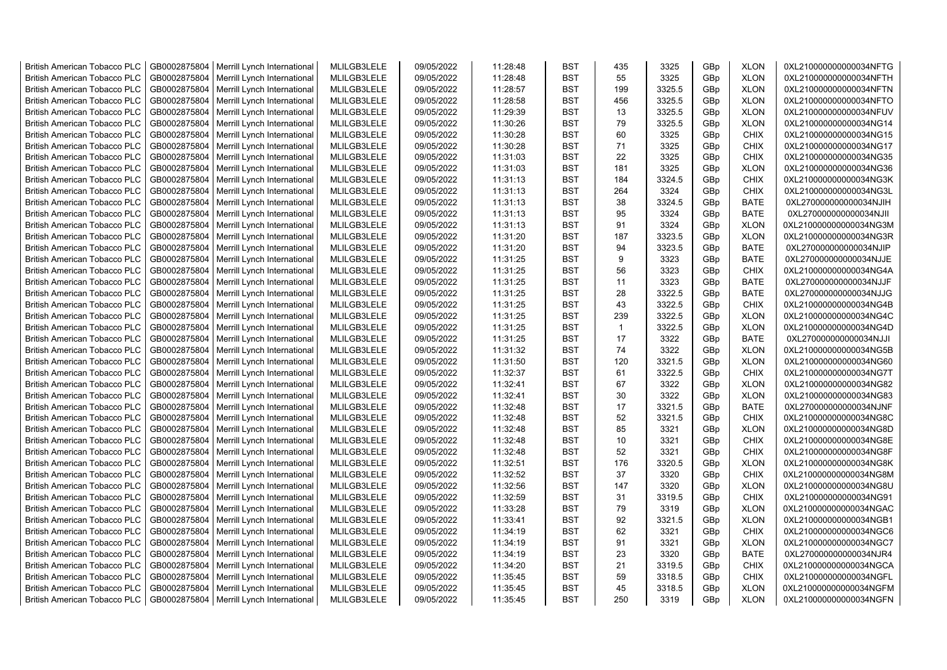| <b>British American Tobacco PLC</b> | GB0002875804 | Merrill Lynch International | MLILGB3LELE | 09/05/2022 | 11:28:48 | <b>BST</b> | 435          | 3325   | GBp             | <b>XLON</b> | 0XL210000000000034NFTG |
|-------------------------------------|--------------|-----------------------------|-------------|------------|----------|------------|--------------|--------|-----------------|-------------|------------------------|
| <b>British American Tobacco PLC</b> | GB0002875804 | Merrill Lynch International | MLILGB3LELE | 09/05/2022 | 11:28:48 | <b>BST</b> | 55           | 3325   | GBp             | <b>XLON</b> | 0XL210000000000034NFTH |
| <b>British American Tobacco PLC</b> | GB0002875804 | Merrill Lynch International | MLILGB3LELE | 09/05/2022 | 11:28:57 | <b>BST</b> | 199          | 3325.5 | GBp             | <b>XLON</b> | 0XL210000000000034NFTN |
| <b>British American Tobacco PLC</b> | GB0002875804 | Merrill Lynch International | MLILGB3LELE | 09/05/2022 | 11:28:58 | <b>BST</b> | 456          | 3325.5 | GBp             | <b>XLON</b> | 0XL210000000000034NFTO |
| <b>British American Tobacco PLC</b> | GB0002875804 | Merrill Lynch International | MLILGB3LELE | 09/05/2022 | 11:29:39 | <b>BST</b> | 13           | 3325.5 | GBp             | <b>XLON</b> | 0XL210000000000034NFUV |
| <b>British American Tobacco PLC</b> | GB0002875804 | Merrill Lynch International | MLILGB3LELE | 09/05/2022 | 11:30:26 | <b>BST</b> | 79           | 3325.5 | GBp             | <b>XLON</b> | 0XL210000000000034NG14 |
| <b>British American Tobacco PLC</b> | GB0002875804 | Merrill Lynch International | MLILGB3LELE | 09/05/2022 | 11:30:28 | <b>BST</b> | 60           | 3325   | GBp             | <b>CHIX</b> | 0XL210000000000034NG15 |
| <b>British American Tobacco PLC</b> | GB0002875804 | Merrill Lynch International | MLILGB3LELE | 09/05/2022 | 11:30:28 | <b>BST</b> | 71           | 3325   | GBp             | <b>CHIX</b> | 0XL210000000000034NG17 |
| <b>British American Tobacco PLC</b> | GB0002875804 | Merrill Lynch International | MLILGB3LELE | 09/05/2022 | 11:31:03 | <b>BST</b> | 22           | 3325   | GBp             | <b>CHIX</b> | 0XL210000000000034NG35 |
| <b>British American Tobacco PLC</b> | GB0002875804 | Merrill Lynch International | MLILGB3LELE | 09/05/2022 | 11:31:03 | <b>BST</b> | 181          | 3325   | GBp             | <b>XLON</b> | 0XL210000000000034NG36 |
| <b>British American Tobacco PLC</b> | GB0002875804 | Merrill Lynch International | MLILGB3LELE | 09/05/2022 | 11:31:13 | <b>BST</b> | 184          | 3324.5 | GBp             | <b>CHIX</b> | 0XL210000000000034NG3K |
| <b>British American Tobacco PLC</b> | GB0002875804 | Merrill Lynch International | MLILGB3LELE | 09/05/2022 | 11:31:13 | <b>BST</b> | 264          | 3324   | GBp             | <b>CHIX</b> | 0XL210000000000034NG3L |
| <b>British American Tobacco PLC</b> | GB0002875804 | Merrill Lynch International | MLILGB3LELE | 09/05/2022 | 11:31:13 | <b>BST</b> | 38           | 3324.5 | GBp             | <b>BATE</b> | 0XL270000000000034NJIH |
| <b>British American Tobacco PLC</b> | GB0002875804 | Merrill Lynch International | MLILGB3LELE | 09/05/2022 | 11:31:13 | <b>BST</b> | 95           | 3324   | GBp             | <b>BATE</b> | 0XL270000000000034NJII |
| <b>British American Tobacco PLC</b> | GB0002875804 | Merrill Lynch International | MLILGB3LELE | 09/05/2022 | 11:31:13 | <b>BST</b> | 91           | 3324   | GBp             | <b>XLON</b> | 0XL210000000000034NG3M |
| <b>British American Tobacco PLC</b> | GB0002875804 | Merrill Lynch International | MLILGB3LELE | 09/05/2022 | 11:31:20 | <b>BST</b> | 187          | 3323.5 | GBp             | <b>XLON</b> | 0XL210000000000034NG3R |
| <b>British American Tobacco PLC</b> | GB0002875804 | Merrill Lynch International | MLILGB3LELE | 09/05/2022 | 11:31:20 | <b>BST</b> | 94           | 3323.5 | GBp             | <b>BATE</b> | 0XL270000000000034NJIP |
| <b>British American Tobacco PLC</b> | GB0002875804 | Merrill Lynch International | MLILGB3LELE | 09/05/2022 | 11:31:25 | <b>BST</b> | 9            | 3323   | GBp             | <b>BATE</b> | 0XL270000000000034NJJE |
| <b>British American Tobacco PLC</b> | GB0002875804 | Merrill Lynch International | MLILGB3LELE | 09/05/2022 | 11:31:25 | <b>BST</b> | 56           | 3323   | GBp             | <b>CHIX</b> | 0XL210000000000034NG4A |
| <b>British American Tobacco PLC</b> | GB0002875804 | Merrill Lynch International | MLILGB3LELE | 09/05/2022 | 11:31:25 | <b>BST</b> | 11           | 3323   | GBp             | <b>BATE</b> | 0XL270000000000034NJJF |
| <b>British American Tobacco PLC</b> | GB0002875804 | Merrill Lynch International | MLILGB3LELE | 09/05/2022 | 11:31:25 | <b>BST</b> | 28           | 3322.5 | GBp             | <b>BATE</b> | 0XL270000000000034NJJG |
| <b>British American Tobacco PLC</b> | GB0002875804 | Merrill Lynch International | MLILGB3LELE | 09/05/2022 | 11:31:25 | <b>BST</b> | 43           | 3322.5 | GBp             | <b>CHIX</b> | 0XL210000000000034NG4B |
| <b>British American Tobacco PLC</b> | GB0002875804 | Merrill Lynch International | MLILGB3LELE | 09/05/2022 | 11:31:25 | <b>BST</b> | 239          | 3322.5 | GBp             | <b>XLON</b> | 0XL210000000000034NG4C |
| <b>British American Tobacco PLC</b> | GB0002875804 | Merrill Lynch International | MLILGB3LELE | 09/05/2022 | 11:31:25 | <b>BST</b> | $\mathbf{1}$ | 3322.5 | GBp             | <b>XLON</b> | 0XL210000000000034NG4D |
| <b>British American Tobacco PLC</b> | GB0002875804 | Merrill Lynch International | MLILGB3LELE | 09/05/2022 | 11:31:25 | <b>BST</b> | 17           | 3322   | GBp             | <b>BATE</b> | 0XL270000000000034NJJI |
| <b>British American Tobacco PLC</b> | GB0002875804 | Merrill Lynch International | MLILGB3LELE | 09/05/2022 | 11:31:32 | <b>BST</b> | 74           | 3322   | GBp             | <b>XLON</b> | 0XL210000000000034NG5B |
| <b>British American Tobacco PLC</b> | GB0002875804 | Merrill Lynch International | MLILGB3LELE | 09/05/2022 | 11:31:50 | <b>BST</b> | 120          | 3321.5 | GBp             | <b>XLON</b> | 0XL210000000000034NG60 |
| <b>British American Tobacco PLC</b> | GB0002875804 | Merrill Lynch International | MLILGB3LELE | 09/05/2022 | 11:32:37 | <b>BST</b> | 61           | 3322.5 | GBp             | <b>CHIX</b> | 0XL210000000000034NG7T |
| <b>British American Tobacco PLC</b> | GB0002875804 | Merrill Lynch International | MLILGB3LELE | 09/05/2022 | 11:32:41 | <b>BST</b> | 67           | 3322   | GBp             | <b>XLON</b> | 0XL210000000000034NG82 |
| <b>British American Tobacco PLC</b> | GB0002875804 | Merrill Lynch International | MLILGB3LELE | 09/05/2022 | 11:32:41 | <b>BST</b> | 30           | 3322   | GBp             | <b>XLON</b> | 0XL210000000000034NG83 |
| <b>British American Tobacco PLC</b> | GB0002875804 | Merrill Lynch International | MLILGB3LELE | 09/05/2022 | 11:32:48 | <b>BST</b> | 17           | 3321.5 | GBp             | <b>BATE</b> | 0XL270000000000034NJNF |
| <b>British American Tobacco PLC</b> | GB0002875804 | Merrill Lynch International | MLILGB3LELE | 09/05/2022 | 11:32:48 | <b>BST</b> | 52           | 3321.5 | GBp             | <b>CHIX</b> | 0XL210000000000034NG8C |
| <b>British American Tobacco PLC</b> | GB0002875804 | Merrill Lynch International | MLILGB3LELE | 09/05/2022 | 11:32:48 | BST        | 85           | 3321   | GBp             | <b>XLON</b> | 0XL210000000000034NG8D |
| <b>British American Tobacco PLC</b> | GB0002875804 | Merrill Lynch International | MLILGB3LELE | 09/05/2022 | 11:32:48 | <b>BST</b> | 10           | 3321   | GBp             | <b>CHIX</b> | 0XL210000000000034NG8E |
| <b>British American Tobacco PLC</b> | GB0002875804 | Merrill Lynch International | MLILGB3LELE | 09/05/2022 | 11:32:48 | <b>BST</b> | 52           | 3321   | GBp             | <b>CHIX</b> | 0XL210000000000034NG8F |
| <b>British American Tobacco PLC</b> | GB0002875804 | Merrill Lynch International | MLILGB3LELE | 09/05/2022 | 11:32:51 | <b>BST</b> | 176          | 3320.5 | GBp             | <b>XLON</b> | 0XL210000000000034NG8K |
| <b>British American Tobacco PLC</b> | GB0002875804 | Merrill Lynch International | MLILGB3LELE | 09/05/2022 | 11:32:52 | <b>BST</b> | 37           | 3320   | GBp             | <b>CHIX</b> | 0XL210000000000034NG8M |
| <b>British American Tobacco PLC</b> | GB0002875804 | Merrill Lynch International | MLILGB3LELE | 09/05/2022 | 11:32:56 | <b>BST</b> | 147          | 3320   | GBp             | <b>XLON</b> | 0XL210000000000034NG8U |
| <b>British American Tobacco PLC</b> | GB0002875804 | Merrill Lynch International | MLILGB3LELE | 09/05/2022 | 11:32:59 | <b>BST</b> | 31           | 3319.5 | GBp             | <b>CHIX</b> | 0XL210000000000034NG91 |
| <b>British American Tobacco PLC</b> | GB0002875804 | Merrill Lynch International | MLILGB3LELE | 09/05/2022 | 11:33:28 | <b>BST</b> | 79           | 3319   | GBp             | <b>XLON</b> | 0XL210000000000034NGAC |
| <b>British American Tobacco PLC</b> | GB0002875804 | Merrill Lynch International | MLILGB3LELE | 09/05/2022 | 11:33:41 | <b>BST</b> | 92           | 3321.5 | GBp             | <b>XLON</b> | 0XL210000000000034NGB1 |
| <b>British American Tobacco PLC</b> | GB0002875804 | Merrill Lynch International | MLILGB3LELE | 09/05/2022 | 11:34:19 | <b>BST</b> | 62           | 3321   | GBp             | <b>CHIX</b> | 0XL210000000000034NGC6 |
| <b>British American Tobacco PLC</b> | GB0002875804 | Merrill Lynch International | MLILGB3LELE | 09/05/2022 | 11:34:19 | <b>BST</b> | 91           | 3321   | GBp             | <b>XLON</b> | 0XL210000000000034NGC7 |
| <b>British American Tobacco PLC</b> | GB0002875804 | Merrill Lynch International | MLILGB3LELE | 09/05/2022 | 11:34:19 | <b>BST</b> | 23           | 3320   | GBp             | <b>BATE</b> | 0XL270000000000034NJR4 |
| <b>British American Tobacco PLC</b> | GB0002875804 | Merrill Lynch International | MLILGB3LELE | 09/05/2022 | 11:34:20 | <b>BST</b> | 21           | 3319.5 | GBp             | <b>CHIX</b> | 0XL210000000000034NGCA |
| <b>British American Tobacco PLC</b> | GB0002875804 | Merrill Lynch International | MLILGB3LELE | 09/05/2022 | 11:35:45 | <b>BST</b> | 59           | 3318.5 | GBp             | <b>CHIX</b> | 0XL210000000000034NGFL |
| <b>British American Tobacco PLC</b> | GB0002875804 | Merrill Lynch International | MLILGB3LELE | 09/05/2022 | 11:35:45 | <b>BST</b> | 45           | 3318.5 | GBp             | <b>XLON</b> | 0XL210000000000034NGFM |
| <b>British American Tobacco PLC</b> | GB0002875804 | Merrill Lynch International | MLILGB3LELE | 09/05/2022 | 11:35:45 | <b>BST</b> | 250          | 3319   | GB <sub>p</sub> | <b>XLON</b> | 0XL210000000000034NGFN |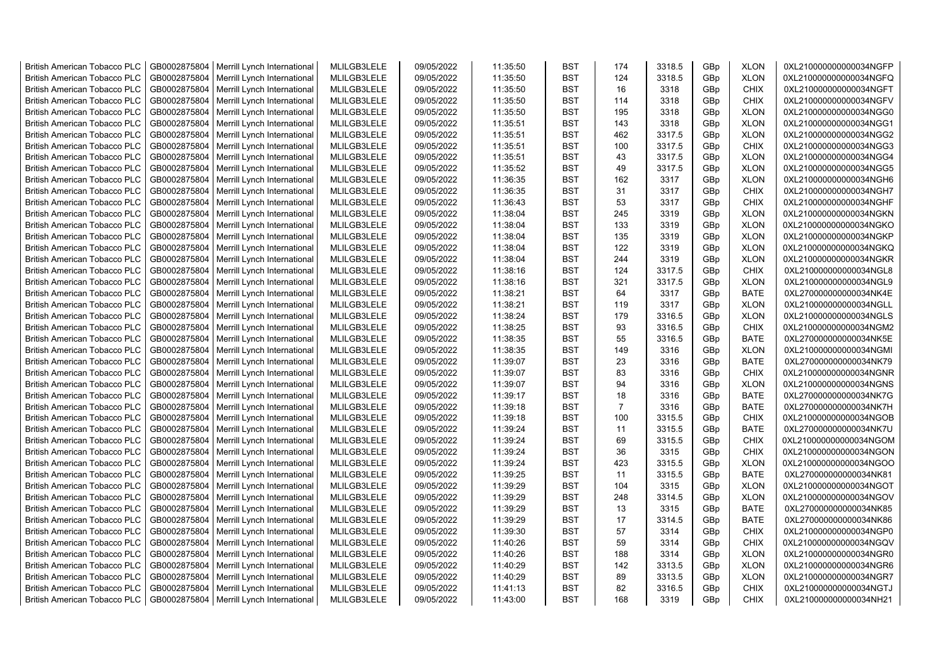| <b>British American Tobacco PLC</b> | GB0002875804 | Merrill Lynch International | MLILGB3LELE | 09/05/2022 | 11:35:50 | <b>BST</b> | 174            | 3318.5 | GBp | <b>XLON</b> | 0XL210000000000034NGFP |
|-------------------------------------|--------------|-----------------------------|-------------|------------|----------|------------|----------------|--------|-----|-------------|------------------------|
| <b>British American Tobacco PLC</b> | GB0002875804 | Merrill Lynch International | MLILGB3LELE | 09/05/2022 | 11:35:50 | <b>BST</b> | 124            | 3318.5 | GBp | <b>XLON</b> | 0XL210000000000034NGFQ |
| <b>British American Tobacco PLC</b> | GB0002875804 | Merrill Lynch International | MLILGB3LELE | 09/05/2022 | 11:35:50 | <b>BST</b> | 16             | 3318   | GBp | <b>CHIX</b> | 0XL210000000000034NGFT |
| <b>British American Tobacco PLC</b> | GB0002875804 | Merrill Lynch International | MLILGB3LELE | 09/05/2022 | 11:35:50 | <b>BST</b> | 114            | 3318   | GBp | <b>CHIX</b> | 0XL210000000000034NGFV |
| <b>British American Tobacco PLC</b> | GB0002875804 | Merrill Lynch International | MLILGB3LELE | 09/05/2022 | 11:35:50 | <b>BST</b> | 195            | 3318   | GBp | <b>XLON</b> | 0XL210000000000034NGG0 |
| <b>British American Tobacco PLC</b> | GB0002875804 | Merrill Lynch International | MLILGB3LELE | 09/05/2022 | 11:35:51 | <b>BST</b> | 143            | 3318   | GBp | <b>XLON</b> | 0XL210000000000034NGG1 |
| <b>British American Tobacco PLC</b> | GB0002875804 | Merrill Lynch International | MLILGB3LELE | 09/05/2022 | 11:35:51 | <b>BST</b> | 462            | 3317.5 | GBp | <b>XLON</b> | 0XL210000000000034NGG2 |
| <b>British American Tobacco PLC</b> | GB0002875804 | Merrill Lynch International | MLILGB3LELE | 09/05/2022 | 11:35:51 | <b>BST</b> | 100            | 3317.5 | GBp | <b>CHIX</b> | 0XL210000000000034NGG3 |
| <b>British American Tobacco PLC</b> | GB0002875804 | Merrill Lynch International | MLILGB3LELE | 09/05/2022 | 11:35:51 | <b>BST</b> | 43             | 3317.5 | GBp | <b>XLON</b> | 0XL210000000000034NGG4 |
| <b>British American Tobacco PLC</b> | GB0002875804 | Merrill Lynch International | MLILGB3LELE | 09/05/2022 | 11:35:52 | <b>BST</b> | 49             | 3317.5 | GBp | <b>XLON</b> | 0XL210000000000034NGG5 |
| <b>British American Tobacco PLC</b> | GB0002875804 | Merrill Lynch International | MLILGB3LELE | 09/05/2022 | 11:36:35 | <b>BST</b> | 162            | 3317   | GBp | <b>XLON</b> | 0XL210000000000034NGH6 |
| British American Tobacco PLC        | GB0002875804 | Merrill Lynch International | MLILGB3LELE | 09/05/2022 | 11:36:35 | <b>BST</b> | 31             | 3317   | GBp | <b>CHIX</b> | 0XL210000000000034NGH7 |
| <b>British American Tobacco PLC</b> | GB0002875804 | Merrill Lynch International | MLILGB3LELE | 09/05/2022 | 11:36:43 | <b>BST</b> | 53             | 3317   | GBp | <b>CHIX</b> | 0XL210000000000034NGHF |
| <b>British American Tobacco PLC</b> | GB0002875804 | Merrill Lynch International | MLILGB3LELE | 09/05/2022 | 11:38:04 | <b>BST</b> | 245            | 3319   | GBp | <b>XLON</b> | 0XL210000000000034NGKN |
| <b>British American Tobacco PLC</b> | GB0002875804 | Merrill Lynch International | MLILGB3LELE | 09/05/2022 | 11:38:04 | <b>BST</b> | 133            | 3319   | GBp | <b>XLON</b> | 0XL210000000000034NGKO |
| <b>British American Tobacco PLC</b> | GB0002875804 | Merrill Lynch International | MLILGB3LELE | 09/05/2022 | 11:38:04 | <b>BST</b> | 135            | 3319   | GBp | <b>XLON</b> | 0XL210000000000034NGKP |
| <b>British American Tobacco PLC</b> | GB0002875804 | Merrill Lynch International | MLILGB3LELE | 09/05/2022 | 11:38:04 | <b>BST</b> | 122            | 3319   | GBp | <b>XLON</b> | 0XL210000000000034NGKQ |
| <b>British American Tobacco PLC</b> | GB0002875804 | Merrill Lynch International | MLILGB3LELE | 09/05/2022 | 11:38:04 | <b>BST</b> | 244            | 3319   | GBp | <b>XLON</b> | 0XL210000000000034NGKR |
| <b>British American Tobacco PLC</b> | GB0002875804 | Merrill Lynch International | MLILGB3LELE | 09/05/2022 | 11:38:16 | <b>BST</b> | 124            | 3317.5 | GBp | <b>CHIX</b> | 0XL210000000000034NGL8 |
| <b>British American Tobacco PLC</b> | GB0002875804 | Merrill Lynch International | MLILGB3LELE | 09/05/2022 | 11:38:16 | <b>BST</b> | 321            | 3317.5 | GBp | <b>XLON</b> | 0XL210000000000034NGL9 |
| <b>British American Tobacco PLC</b> | GB0002875804 | Merrill Lynch International | MLILGB3LELE | 09/05/2022 | 11:38:21 | <b>BST</b> | 64             | 3317   | GBp | <b>BATE</b> | 0XL270000000000034NK4E |
| <b>British American Tobacco PLC</b> | GB0002875804 | Merrill Lynch International | MLILGB3LELE | 09/05/2022 | 11:38:21 | <b>BST</b> | 119            | 3317   | GBp | <b>XLON</b> | 0XL210000000000034NGLL |
| <b>British American Tobacco PLC</b> | GB0002875804 | Merrill Lynch International | MLILGB3LELE | 09/05/2022 | 11:38:24 | <b>BST</b> | 179            | 3316.5 | GBp | <b>XLON</b> | 0XL210000000000034NGLS |
| <b>British American Tobacco PLC</b> | GB0002875804 | Merrill Lynch International | MLILGB3LELE | 09/05/2022 | 11:38:25 | <b>BST</b> | 93             | 3316.5 | GBp | <b>CHIX</b> | 0XL210000000000034NGM2 |
| <b>British American Tobacco PLC</b> | GB0002875804 | Merrill Lynch International | MLILGB3LELE | 09/05/2022 | 11:38:35 | <b>BST</b> | 55             | 3316.5 | GBp | <b>BATE</b> | 0XL270000000000034NK5E |
| <b>British American Tobacco PLC</b> | GB0002875804 | Merrill Lynch International | MLILGB3LELE | 09/05/2022 | 11:38:35 | <b>BST</b> | 149            | 3316   | GBp | <b>XLON</b> | 0XL210000000000034NGMI |
| <b>British American Tobacco PLC</b> | GB0002875804 | Merrill Lynch International | MLILGB3LELE | 09/05/2022 | 11:39:07 | <b>BST</b> | 23             | 3316   | GBp | <b>BATE</b> | 0XL270000000000034NK79 |
| <b>British American Tobacco PLC</b> | GB0002875804 | Merrill Lynch International | MLILGB3LELE | 09/05/2022 | 11:39:07 | <b>BST</b> | 83             | 3316   | GBp | <b>CHIX</b> | 0XL210000000000034NGNR |
| <b>British American Tobacco PLC</b> | GB0002875804 | Merrill Lynch International | MLILGB3LELE | 09/05/2022 | 11:39:07 | <b>BST</b> | 94             | 3316   | GBp | <b>XLON</b> | 0XL210000000000034NGNS |
| British American Tobacco PLC        | GB0002875804 | Merrill Lynch International | MLILGB3LELE | 09/05/2022 | 11:39:17 | <b>BST</b> | 18             | 3316   | GBp | <b>BATE</b> | 0XL270000000000034NK7G |
| <b>British American Tobacco PLC</b> | GB0002875804 | Merrill Lynch International | MLILGB3LELE | 09/05/2022 | 11:39:18 | <b>BST</b> | $\overline{7}$ | 3316   | GBp | <b>BATE</b> | 0XL270000000000034NK7H |
| <b>British American Tobacco PLC</b> | GB0002875804 | Merrill Lynch International | MLILGB3LELE | 09/05/2022 | 11:39:18 | <b>BST</b> | 100            | 3315.5 | GBp | <b>CHIX</b> | 0XL210000000000034NGOB |
| <b>British American Tobacco PLC</b> | GB0002875804 | Merrill Lynch International | MLILGB3LELE | 09/05/2022 | 11:39:24 | <b>BST</b> | 11             | 3315.5 | GBp | <b>BATE</b> | 0XL270000000000034NK7U |
| <b>British American Tobacco PLC</b> | GB0002875804 | Merrill Lynch International | MLILGB3LELE | 09/05/2022 | 11:39:24 | <b>BST</b> | 69             | 3315.5 | GBp | <b>CHIX</b> | 0XL210000000000034NGOM |
| <b>British American Tobacco PLC</b> | GB0002875804 | Merrill Lynch International | MLILGB3LELE | 09/05/2022 | 11:39:24 | <b>BST</b> | 36             | 3315   | GBp | <b>CHIX</b> | 0XL210000000000034NGON |
| <b>British American Tobacco PLC</b> | GB0002875804 | Merrill Lynch International | MLILGB3LELE | 09/05/2022 | 11:39:24 | <b>BST</b> | 423            | 3315.5 | GBp | <b>XLON</b> | 0XL210000000000034NGOO |
| <b>British American Tobacco PLC</b> | GB0002875804 | Merrill Lynch International | MLILGB3LELE | 09/05/2022 | 11:39:25 | <b>BST</b> | 11             | 3315.5 | GBp | <b>BATE</b> | 0XL270000000000034NK81 |
| <b>British American Tobacco PLC</b> | GB0002875804 | Merrill Lynch International | MLILGB3LELE | 09/05/2022 | 11:39:29 | <b>BST</b> | 104            | 3315   | GBp | <b>XLON</b> | 0XL210000000000034NGOT |
| <b>British American Tobacco PLC</b> | GB0002875804 | Merrill Lynch International | MLILGB3LELE | 09/05/2022 | 11:39:29 | <b>BST</b> | 248            | 3314.5 | GBp | <b>XLON</b> | 0XL210000000000034NGOV |
| <b>British American Tobacco PLC</b> | GB0002875804 | Merrill Lynch International | MLILGB3LELE | 09/05/2022 | 11:39:29 | <b>BST</b> | 13             | 3315   | GBp | <b>BATE</b> | 0XL270000000000034NK85 |
| <b>British American Tobacco PLC</b> | GB0002875804 | Merrill Lynch International | MLILGB3LELE | 09/05/2022 | 11:39:29 | <b>BST</b> | 17             | 3314.5 | GBp | <b>BATE</b> | 0XL270000000000034NK86 |
| <b>British American Tobacco PLC</b> | GB0002875804 | Merrill Lynch International | MLILGB3LELE | 09/05/2022 | 11:39:30 | <b>BST</b> | 57             | 3314   | GBp | <b>CHIX</b> | 0XL210000000000034NGP0 |
| <b>British American Tobacco PLC</b> | GB0002875804 | Merrill Lynch International | MLILGB3LELE | 09/05/2022 | 11:40:26 | <b>BST</b> | 59             | 3314   | GBp | <b>CHIX</b> | 0XL210000000000034NGQV |
| <b>British American Tobacco PLC</b> | GB0002875804 | Merrill Lynch International | MLILGB3LELE | 09/05/2022 | 11:40:26 | <b>BST</b> | 188            | 3314   | GBp | <b>XLON</b> | 0XL210000000000034NGR0 |
| <b>British American Tobacco PLC</b> | GB0002875804 | Merrill Lynch International | MLILGB3LELE | 09/05/2022 | 11:40:29 | <b>BST</b> | 142            | 3313.5 | GBp | <b>XLON</b> | 0XL210000000000034NGR6 |
| <b>British American Tobacco PLC</b> | GB0002875804 | Merrill Lynch International | MLILGB3LELE | 09/05/2022 | 11:40:29 | <b>BST</b> | 89             | 3313.5 | GBp | <b>XLON</b> | 0XL210000000000034NGR7 |
| <b>British American Tobacco PLC</b> | GB0002875804 | Merrill Lynch International | MLILGB3LELE | 09/05/2022 | 11:41:13 | <b>BST</b> | 82             | 3316.5 | GBp | <b>CHIX</b> | 0XL210000000000034NGTJ |
| <b>British American Tobacco PLC</b> | GB0002875804 | Merrill Lynch International | MLILGB3LELE | 09/05/2022 | 11:43:00 | <b>BST</b> | 168            | 3319   | GBp | <b>CHIX</b> | 0XL210000000000034NH21 |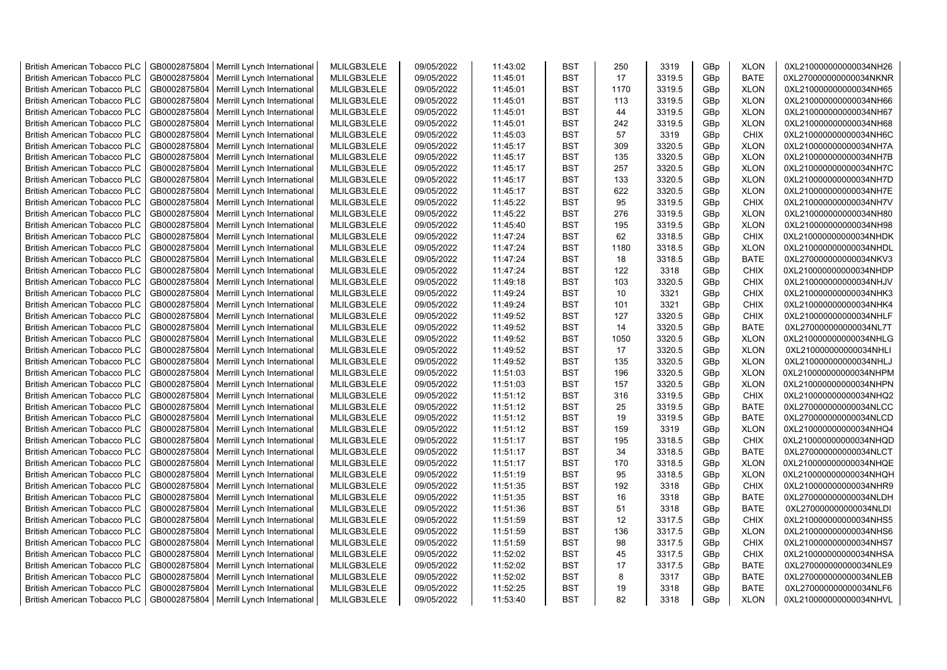| <b>British American Tobacco PLC</b> | GB0002875804 | Merrill Lynch International | MLILGB3LELE | 09/05/2022 | 11:43:02 | <b>BST</b> | 250  | 3319   | GBp | <b>XLON</b> | 0XL210000000000034NH26 |
|-------------------------------------|--------------|-----------------------------|-------------|------------|----------|------------|------|--------|-----|-------------|------------------------|
| <b>British American Tobacco PLC</b> | GB0002875804 | Merrill Lynch International | MLILGB3LELE | 09/05/2022 | 11:45:01 | <b>BST</b> | 17   | 3319.5 | GBp | <b>BATE</b> | 0XL270000000000034NKNR |
| <b>British American Tobacco PLC</b> | GB0002875804 | Merrill Lynch International | MLILGB3LELE | 09/05/2022 | 11:45:01 | <b>BST</b> | 1170 | 3319.5 | GBp | <b>XLON</b> | 0XL210000000000034NH65 |
| <b>British American Tobacco PLC</b> | GB0002875804 | Merrill Lynch International | MLILGB3LELE | 09/05/2022 | 11:45:01 | <b>BST</b> | 113  | 3319.5 | GBp | <b>XLON</b> | 0XL210000000000034NH66 |
| <b>British American Tobacco PLC</b> | GB0002875804 | Merrill Lynch International | MLILGB3LELE | 09/05/2022 | 11:45:01 | <b>BST</b> | 44   | 3319.5 | GBp | <b>XLON</b> | 0XL210000000000034NH67 |
| <b>British American Tobacco PLC</b> | GB0002875804 | Merrill Lynch International | MLILGB3LELE | 09/05/2022 | 11:45:01 | <b>BST</b> | 242  | 3319.5 | GBp | <b>XLON</b> | 0XL210000000000034NH68 |
| <b>British American Tobacco PLC</b> | GB0002875804 | Merrill Lynch International | MLILGB3LELE | 09/05/2022 | 11:45:03 | <b>BST</b> | 57   | 3319   | GBp | <b>CHIX</b> | 0XL210000000000034NH6C |
| <b>British American Tobacco PLC</b> | GB0002875804 | Merrill Lynch International | MLILGB3LELE | 09/05/2022 | 11:45:17 | <b>BST</b> | 309  | 3320.5 | GBp | <b>XLON</b> | 0XL210000000000034NH7A |
| <b>British American Tobacco PLC</b> | GB0002875804 | Merrill Lynch International | MLILGB3LELE | 09/05/2022 | 11:45:17 | <b>BST</b> | 135  | 3320.5 | GBp | <b>XLON</b> | 0XL210000000000034NH7B |
| <b>British American Tobacco PLC</b> | GB0002875804 | Merrill Lynch International | MLILGB3LELE | 09/05/2022 | 11:45:17 | <b>BST</b> | 257  | 3320.5 | GBp | <b>XLON</b> | 0XL210000000000034NH7C |
| <b>British American Tobacco PLC</b> | GB0002875804 | Merrill Lynch International | MLILGB3LELE | 09/05/2022 | 11:45:17 | <b>BST</b> | 133  | 3320.5 | GBp | <b>XLON</b> | 0XL210000000000034NH7D |
| <b>British American Tobacco PLC</b> | GB0002875804 | Merrill Lynch International | MLILGB3LELE | 09/05/2022 | 11:45:17 | <b>BST</b> | 622  | 3320.5 | GBp | <b>XLON</b> | 0XL210000000000034NH7E |
| <b>British American Tobacco PLC</b> | GB0002875804 | Merrill Lynch International | MLILGB3LELE | 09/05/2022 | 11:45:22 | <b>BST</b> | 95   | 3319.5 | GBp | <b>CHIX</b> | 0XL210000000000034NH7V |
| <b>British American Tobacco PLC</b> | GB0002875804 | Merrill Lynch International | MLILGB3LELE | 09/05/2022 | 11:45:22 | <b>BST</b> | 276  | 3319.5 | GBp | <b>XLON</b> | 0XL210000000000034NH80 |
| <b>British American Tobacco PLC</b> | GB0002875804 | Merrill Lynch International | MLILGB3LELE | 09/05/2022 | 11:45:40 | <b>BST</b> | 195  | 3319.5 | GBp | <b>XLON</b> | 0XL210000000000034NH98 |
| <b>British American Tobacco PLC</b> | GB0002875804 | Merrill Lynch International | MLILGB3LELE | 09/05/2022 | 11:47:24 | <b>BST</b> | 62   | 3318.5 | GBp | <b>CHIX</b> | 0XL210000000000034NHDK |
| <b>British American Tobacco PLC</b> | GB0002875804 | Merrill Lynch International | MLILGB3LELE | 09/05/2022 | 11:47:24 | <b>BST</b> | 1180 | 3318.5 | GBp | <b>XLON</b> | 0XL210000000000034NHDL |
| <b>British American Tobacco PLC</b> | GB0002875804 | Merrill Lynch International | MLILGB3LELE | 09/05/2022 | 11:47:24 | <b>BST</b> | 18   | 3318.5 | GBp | <b>BATE</b> | 0XL270000000000034NKV3 |
| <b>British American Tobacco PLC</b> | GB0002875804 | Merrill Lynch International | MLILGB3LELE | 09/05/2022 | 11:47:24 | <b>BST</b> | 122  | 3318   | GBp | <b>CHIX</b> | 0XL210000000000034NHDP |
| <b>British American Tobacco PLC</b> | GB0002875804 | Merrill Lynch International | MLILGB3LELE | 09/05/2022 | 11:49:18 | <b>BST</b> | 103  | 3320.5 | GBp | <b>CHIX</b> | 0XL210000000000034NHJV |
| <b>British American Tobacco PLC</b> | GB0002875804 | Merrill Lynch International | MLILGB3LELE | 09/05/2022 | 11:49:24 | <b>BST</b> | 10   | 3321   | GBp | <b>CHIX</b> | 0XL210000000000034NHK3 |
| <b>British American Tobacco PLC</b> | GB0002875804 | Merrill Lynch International | MLILGB3LELE | 09/05/2022 | 11:49:24 | <b>BST</b> | 101  | 3321   | GBp | <b>CHIX</b> | 0XL210000000000034NHK4 |
| <b>British American Tobacco PLC</b> | GB0002875804 | Merrill Lynch International | MLILGB3LELE | 09/05/2022 | 11:49:52 | <b>BST</b> | 127  | 3320.5 | GBp | <b>CHIX</b> | 0XL210000000000034NHLF |
| <b>British American Tobacco PLC</b> | GB0002875804 | Merrill Lynch International | MLILGB3LELE | 09/05/2022 | 11:49:52 | <b>BST</b> | 14   | 3320.5 | GBp | <b>BATE</b> | 0XL270000000000034NL7T |
| <b>British American Tobacco PLC</b> | GB0002875804 | Merrill Lynch International | MLILGB3LELE | 09/05/2022 | 11:49:52 | <b>BST</b> | 1050 | 3320.5 | GBp | <b>XLON</b> | 0XL210000000000034NHLG |
| <b>British American Tobacco PLC</b> | GB0002875804 | Merrill Lynch International | MLILGB3LELE | 09/05/2022 | 11:49:52 | <b>BST</b> | 17   | 3320.5 | GBp | <b>XLON</b> | 0XL210000000000034NHLI |
| <b>British American Tobacco PLC</b> | GB0002875804 | Merrill Lynch International | MLILGB3LELE | 09/05/2022 | 11:49:52 | <b>BST</b> | 135  | 3320.5 | GBp | <b>XLON</b> | 0XL210000000000034NHLJ |
| <b>British American Tobacco PLC</b> | GB0002875804 | Merrill Lynch International | MLILGB3LELE | 09/05/2022 | 11:51:03 | <b>BST</b> | 196  | 3320.5 | GBp | <b>XLON</b> | 0XL210000000000034NHPM |
| <b>British American Tobacco PLC</b> | GB0002875804 | Merrill Lynch International | MLILGB3LELE | 09/05/2022 | 11:51:03 | <b>BST</b> | 157  | 3320.5 | GBp | <b>XLON</b> | 0XL210000000000034NHPN |
| <b>British American Tobacco PLC</b> | GB0002875804 | Merrill Lynch International | MLILGB3LELE | 09/05/2022 | 11:51:12 | <b>BST</b> | 316  | 3319.5 | GBp | <b>CHIX</b> | 0XL210000000000034NHQ2 |
| <b>British American Tobacco PLC</b> | GB0002875804 | Merrill Lynch International | MLILGB3LELE | 09/05/2022 | 11:51:12 | <b>BST</b> | 25   | 3319.5 | GBp | <b>BATE</b> | 0XL270000000000034NLCC |
| <b>British American Tobacco PLC</b> | GB0002875804 | Merrill Lynch International | MLILGB3LELE | 09/05/2022 | 11:51:12 | <b>BST</b> | 19   | 3319.5 | GBp | <b>BATE</b> | 0XL270000000000034NLCD |
| <b>British American Tobacco PLC</b> | GB0002875804 | Merrill Lynch International | MLILGB3LELE | 09/05/2022 | 11:51:12 | <b>BST</b> | 159  | 3319   | GBp | <b>XLON</b> | 0XL210000000000034NHQ4 |
| <b>British American Tobacco PLC</b> | GB0002875804 | Merrill Lynch International | MLILGB3LELE | 09/05/2022 | 11:51:17 | <b>BST</b> | 195  | 3318.5 | GBp | <b>CHIX</b> | 0XL210000000000034NHQD |
| <b>British American Tobacco PLC</b> | GB0002875804 | Merrill Lynch International | MLILGB3LELE | 09/05/2022 | 11:51:17 | <b>BST</b> | 34   | 3318.5 | GBp | <b>BATE</b> | 0XL270000000000034NLCT |
| <b>British American Tobacco PLC</b> | GB0002875804 | Merrill Lynch International | MLILGB3LELE | 09/05/2022 | 11:51:17 | <b>BST</b> | 170  | 3318.5 | GBp | <b>XLON</b> | 0XL210000000000034NHQE |
| <b>British American Tobacco PLC</b> | GB0002875804 | Merrill Lynch International | MLILGB3LELE | 09/05/2022 | 11:51:19 | <b>BST</b> | 95   | 3318.5 | GBp | <b>XLON</b> | 0XL210000000000034NHQH |
| <b>British American Tobacco PLC</b> | GB0002875804 | Merrill Lynch International | MLILGB3LELE | 09/05/2022 | 11:51:35 | <b>BST</b> | 192  | 3318   | GBp | <b>CHIX</b> | 0XL210000000000034NHR9 |
| <b>British American Tobacco PLC</b> | GB0002875804 | Merrill Lynch International | MLILGB3LELE | 09/05/2022 | 11:51:35 | <b>BST</b> | 16   | 3318   | GBp | <b>BATE</b> | 0XL270000000000034NLDH |
| <b>British American Tobacco PLC</b> | GB0002875804 | Merrill Lynch International | MLILGB3LELE | 09/05/2022 | 11:51:36 | <b>BST</b> | 51   | 3318   | GBp | <b>BATE</b> | 0XL270000000000034NLDI |
| <b>British American Tobacco PLC</b> | GB0002875804 | Merrill Lynch International | MLILGB3LELE | 09/05/2022 | 11:51:59 | <b>BST</b> | 12   | 3317.5 | GBp | <b>CHIX</b> | 0XL210000000000034NHS5 |
| <b>British American Tobacco PLC</b> | GB0002875804 | Merrill Lynch International | MLILGB3LELE | 09/05/2022 | 11:51:59 | <b>BST</b> | 136  | 3317.5 | GBp | <b>XLON</b> | 0XL210000000000034NHS6 |
| <b>British American Tobacco PLC</b> | GB0002875804 | Merrill Lynch International | MLILGB3LELE | 09/05/2022 | 11:51:59 | <b>BST</b> | 98   | 3317.5 | GBp | <b>CHIX</b> | 0XL210000000000034NHS7 |
| <b>British American Tobacco PLC</b> | GB0002875804 | Merrill Lynch International | MLILGB3LELE | 09/05/2022 | 11:52:02 | <b>BST</b> | 45   | 3317.5 | GBp | <b>CHIX</b> | 0XL210000000000034NHSA |
| <b>British American Tobacco PLC</b> | GB0002875804 | Merrill Lynch International | MLILGB3LELE | 09/05/2022 | 11:52:02 | <b>BST</b> | 17   | 3317.5 | GBp | <b>BATE</b> | 0XL270000000000034NLE9 |
| <b>British American Tobacco PLC</b> | GB0002875804 | Merrill Lynch International | MLILGB3LELE | 09/05/2022 | 11:52:02 | <b>BST</b> | 8    | 3317   | GBp | <b>BATE</b> | 0XL270000000000034NLEB |
| <b>British American Tobacco PLC</b> | GB0002875804 | Merrill Lynch International | MLILGB3LELE | 09/05/2022 | 11:52:25 | <b>BST</b> | 19   | 3318   | GBp | <b>BATE</b> | 0XL270000000000034NLF6 |
| <b>British American Tobacco PLC</b> | GB0002875804 | Merrill Lynch International | MLILGB3LELE | 09/05/2022 | 11:53:40 | <b>BST</b> | 82   | 3318   | GBp | <b>XLON</b> | 0XL210000000000034NHVL |
|                                     |              |                             |             |            |          |            |      |        |     |             |                        |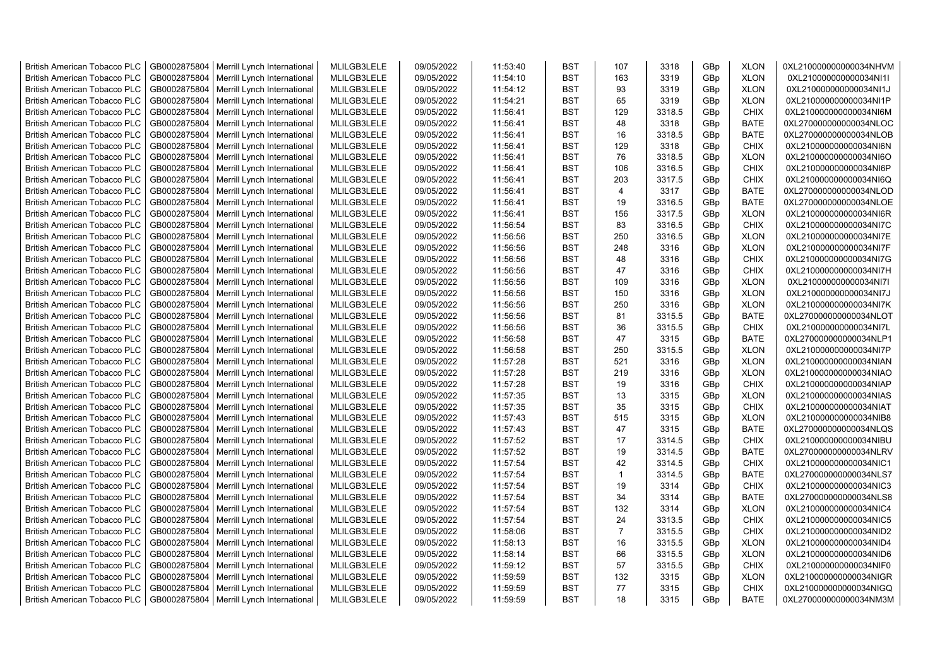| <b>British American Tobacco PLC</b> | GB0002875804 | Merrill Lynch International                | MLILGB3LELE | 09/05/2022 | 11:53:40 | <b>BST</b> | 107            | 3318   | GBp             | <b>XLON</b> | 0XL210000000000034NHVM |
|-------------------------------------|--------------|--------------------------------------------|-------------|------------|----------|------------|----------------|--------|-----------------|-------------|------------------------|
| <b>British American Tobacco PLC</b> | GB0002875804 | Merrill Lynch International                | MLILGB3LELE | 09/05/2022 | 11:54:10 | <b>BST</b> | 163            | 3319   | GBp             | <b>XLON</b> | 0XL210000000000034NI1I |
| <b>British American Tobacco PLC</b> | GB0002875804 | Merrill Lynch International                | MLILGB3LELE | 09/05/2022 | 11:54:12 | <b>BST</b> | 93             | 3319   | GBp             | <b>XLON</b> | 0XL210000000000034NI1J |
| <b>British American Tobacco PLC</b> | GB0002875804 | Merrill Lynch International                | MLILGB3LELE | 09/05/2022 | 11:54:21 | <b>BST</b> | 65             | 3319   | GBp             | <b>XLON</b> | 0XL210000000000034NI1P |
| <b>British American Tobacco PLC</b> | GB0002875804 | Merrill Lynch International                | MLILGB3LELE | 09/05/2022 | 11:56:41 | <b>BST</b> | 129            | 3318.5 | GBp             | <b>CHIX</b> | 0XL210000000000034NI6M |
| <b>British American Tobacco PLC</b> | GB0002875804 | Merrill Lynch International                | MLILGB3LELE | 09/05/2022 | 11:56:41 | <b>BST</b> | 48             | 3318   | GBp             | <b>BATE</b> | 0XL270000000000034NLOC |
| <b>British American Tobacco PLC</b> | GB0002875804 | Merrill Lynch International                | MLILGB3LELE | 09/05/2022 | 11:56:41 | <b>BST</b> | 16             | 3318.5 | GBp             | <b>BATE</b> | 0XL270000000000034NLOB |
| <b>British American Tobacco PLC</b> | GB0002875804 | Merrill Lynch International                | MLILGB3LELE | 09/05/2022 | 11:56:41 | <b>BST</b> | 129            | 3318   | GBp             | <b>CHIX</b> | 0XL210000000000034NI6N |
| <b>British American Tobacco PLC</b> | GB0002875804 | Merrill Lynch International                | MLILGB3LELE | 09/05/2022 | 11:56:41 | <b>BST</b> | 76             | 3318.5 | GBp             | <b>XLON</b> | 0XL210000000000034NI6O |
| <b>British American Tobacco PLC</b> | GB0002875804 | Merrill Lynch International                | MLILGB3LELE | 09/05/2022 | 11:56:41 | <b>BST</b> | 106            | 3316.5 | GBp             | <b>CHIX</b> | 0XL210000000000034NI6P |
| <b>British American Tobacco PLC</b> | GB0002875804 | Merrill Lynch International                | MLILGB3LELE | 09/05/2022 | 11:56:41 | <b>BST</b> | 203            | 3317.5 | GBp             | <b>CHIX</b> | 0XL210000000000034NI6Q |
| <b>British American Tobacco PLC</b> | GB0002875804 | Merrill Lynch International                | MLILGB3LELE | 09/05/2022 | 11:56:41 | <b>BST</b> | $\overline{4}$ | 3317   | GBp             | <b>BATE</b> | 0XL270000000000034NLOD |
| <b>British American Tobacco PLC</b> | GB0002875804 | Merrill Lynch International                | MLILGB3LELE | 09/05/2022 | 11:56:41 | <b>BST</b> | 19             | 3316.5 | GBp             | <b>BATE</b> | 0XL270000000000034NLOE |
| <b>British American Tobacco PLC</b> | GB0002875804 | Merrill Lynch International                | MLILGB3LELE | 09/05/2022 | 11:56:41 | <b>BST</b> | 156            | 3317.5 | GBp             | <b>XLON</b> | 0XL210000000000034NI6R |
| <b>British American Tobacco PLC</b> | GB0002875804 | Merrill Lynch International                | MLILGB3LELE | 09/05/2022 | 11:56:54 | <b>BST</b> | 83             | 3316.5 | GBp             | <b>CHIX</b> | 0XL210000000000034NI7C |
| <b>British American Tobacco PLC</b> | GB0002875804 | Merrill Lynch International                | MLILGB3LELE | 09/05/2022 | 11:56:56 | BST        | 250            | 3316.5 | GBp             | <b>XLON</b> | 0XL210000000000034NI7E |
| <b>British American Tobacco PLC</b> | GB0002875804 | Merrill Lynch International                | MLILGB3LELE | 09/05/2022 | 11:56:56 | BST        | 248            | 3316   | GBp             | <b>XLON</b> | 0XL210000000000034NI7F |
| <b>British American Tobacco PLC</b> | GB0002875804 | Merrill Lynch International                | MLILGB3LELE | 09/05/2022 | 11:56:56 | <b>BST</b> | 48             | 3316   | GBp             | <b>CHIX</b> | 0XL210000000000034NI7G |
| <b>British American Tobacco PLC</b> | GB0002875804 | Merrill Lynch International                | MLILGB3LELE | 09/05/2022 | 11:56:56 | <b>BST</b> | 47             | 3316   | GBp             | <b>CHIX</b> | 0XL210000000000034NI7H |
| <b>British American Tobacco PLC</b> | GB0002875804 | Merrill Lynch International                | MLILGB3LELE | 09/05/2022 | 11:56:56 | <b>BST</b> | 109            | 3316   | GBp             | <b>XLON</b> | 0XL210000000000034NI7I |
| <b>British American Tobacco PLC</b> | GB0002875804 | Merrill Lynch International                | MLILGB3LELE | 09/05/2022 | 11:56:56 | <b>BST</b> | 150            | 3316   | GBp             | <b>XLON</b> | 0XL210000000000034NI7J |
| <b>British American Tobacco PLC</b> | GB0002875804 | Merrill Lynch International                | MLILGB3LELE | 09/05/2022 | 11:56:56 | <b>BST</b> | 250            | 3316   | GBp             | <b>XLON</b> | 0XL210000000000034NI7K |
| <b>British American Tobacco PLC</b> | GB0002875804 | Merrill Lynch International                | MLILGB3LELE | 09/05/2022 | 11:56:56 | <b>BST</b> | 81             | 3315.5 | GBp             | <b>BATE</b> | 0XL270000000000034NLOT |
| <b>British American Tobacco PLC</b> | GB0002875804 | Merrill Lynch International                | MLILGB3LELE | 09/05/2022 | 11:56:56 | <b>BST</b> | 36             | 3315.5 | GBp             | <b>CHIX</b> | 0XL210000000000034NI7L |
| <b>British American Tobacco PLC</b> | GB0002875804 | Merrill Lynch International                | MLILGB3LELE | 09/05/2022 | 11:56:58 | <b>BST</b> | 47             | 3315   | GBp             | <b>BATE</b> | 0XL270000000000034NLP1 |
| <b>British American Tobacco PLC</b> | GB0002875804 | Merrill Lynch International                | MLILGB3LELE | 09/05/2022 | 11:56:58 | <b>BST</b> | 250            | 3315.5 | GBp             | <b>XLON</b> | 0XL210000000000034NI7P |
| <b>British American Tobacco PLC</b> | GB0002875804 | Merrill Lynch International                | MLILGB3LELE | 09/05/2022 | 11:57:28 | <b>BST</b> | 521            | 3316   | GBp             | <b>XLON</b> | 0XL210000000000034NIAN |
| <b>British American Tobacco PLC</b> | GB0002875804 | Merrill Lynch International                | MLILGB3LELE | 09/05/2022 | 11:57:28 | <b>BST</b> | 219            | 3316   | GBp             | <b>XLON</b> | 0XL210000000000034NIAO |
| <b>British American Tobacco PLC</b> | GB0002875804 | Merrill Lynch International                | MLILGB3LELE | 09/05/2022 | 11:57:28 | BST        | 19             | 3316   | GBp             | <b>CHIX</b> | 0XL210000000000034NIAP |
| <b>British American Tobacco PLC</b> | GB0002875804 | Merrill Lynch International                | MLILGB3LELE | 09/05/2022 | 11:57:35 | <b>BST</b> | 13             | 3315   | GBp             | <b>XLON</b> | 0XL210000000000034NIAS |
| <b>British American Tobacco PLC</b> | GB0002875804 | Merrill Lynch International                | MLILGB3LELE | 09/05/2022 | 11:57:35 | <b>BST</b> | 35             | 3315   | GBp             | <b>CHIX</b> | 0XL210000000000034NIAT |
| <b>British American Tobacco PLC</b> | GB0002875804 | Merrill Lynch International                | MLILGB3LELE | 09/05/2022 | 11:57:43 | <b>BST</b> | 515            | 3315   | GBp             | <b>XLON</b> | 0XL210000000000034NIB8 |
| <b>British American Tobacco PLC</b> | GB0002875804 | Merrill Lynch International                | MLILGB3LELE | 09/05/2022 | 11:57:43 | <b>BST</b> | 47             | 3315   | GBp             | <b>BATE</b> | 0XL270000000000034NLQS |
| <b>British American Tobacco PLC</b> | GB0002875804 | Merrill Lynch International                | MLILGB3LELE | 09/05/2022 | 11:57:52 | <b>BST</b> | 17             | 3314.5 | GBp             | <b>CHIX</b> | 0XL210000000000034NIBU |
| <b>British American Tobacco PLC</b> | GB0002875804 | Merrill Lynch International                | MLILGB3LELE | 09/05/2022 | 11:57:52 | <b>BST</b> | 19             | 3314.5 | GBp             | <b>BATE</b> | 0XL270000000000034NLRV |
| <b>British American Tobacco PLC</b> | GB0002875804 | Merrill Lynch International                | MLILGB3LELE | 09/05/2022 | 11:57:54 | <b>BST</b> | 42             | 3314.5 | GBp             | <b>CHIX</b> | 0XL210000000000034NIC1 |
| <b>British American Tobacco PLC</b> | GB0002875804 | Merrill Lynch International                | MLILGB3LELE | 09/05/2022 | 11:57:54 | <b>BST</b> | $\overline{1}$ | 3314.5 | GBp             | <b>BATE</b> | 0XL270000000000034NLS7 |
| <b>British American Tobacco PLC</b> | GB0002875804 | Merrill Lynch International                | MLILGB3LELE | 09/05/2022 | 11:57:54 | <b>BST</b> | 19             | 3314   | GBp             | <b>CHIX</b> | 0XL210000000000034NIC3 |
| <b>British American Tobacco PLC</b> | GB0002875804 | Merrill Lynch International                | MLILGB3LELE | 09/05/2022 | 11:57:54 | <b>BST</b> | 34             | 3314   | GBp             | <b>BATE</b> | 0XL270000000000034NLS8 |
| <b>British American Tobacco PLC</b> | GB0002875804 | Merrill Lynch International                | MLILGB3LELE | 09/05/2022 | 11:57:54 | <b>BST</b> | 132            | 3314   | GBp             | <b>XLON</b> | 0XL210000000000034NIC4 |
| <b>British American Tobacco PLC</b> | GB0002875804 | Merrill Lynch International                | MLILGB3LELE | 09/05/2022 | 11:57:54 | <b>BST</b> | 24             | 3313.5 | GBp             | <b>CHIX</b> | 0XL210000000000034NIC5 |
| <b>British American Tobacco PLC</b> | GB0002875804 | Merrill Lynch International                | MLILGB3LELE | 09/05/2022 | 11:58:06 | <b>BST</b> | $\overline{7}$ | 3315.5 | GBp             | <b>CHIX</b> | 0XL210000000000034NID2 |
| <b>British American Tobacco PLC</b> | GB0002875804 | Merrill Lynch International                | MLILGB3LELE | 09/05/2022 | 11:58:13 | <b>BST</b> | 16             | 3315.5 | GBp             | <b>XLON</b> | 0XL210000000000034NID4 |
| <b>British American Tobacco PLC</b> | GB0002875804 | Merrill Lynch International                | MLILGB3LELE | 09/05/2022 | 11:58:14 | <b>BST</b> | 66             | 3315.5 | GBp             | <b>XLON</b> | 0XL210000000000034NID6 |
| <b>British American Tobacco PLC</b> | GB0002875804 | Merrill Lynch International                | MLILGB3LELE | 09/05/2022 | 11:59:12 | <b>BST</b> | 57             | 3315.5 | GBp             | <b>CHIX</b> | 0XL210000000000034NIF0 |
| <b>British American Tobacco PLC</b> | GB0002875804 | Merrill Lynch International                | MLILGB3LELE | 09/05/2022 | 11:59:59 | <b>BST</b> | 132            | 3315   | GBp             | <b>XLON</b> | 0XL210000000000034NIGR |
| <b>British American Tobacco PLC</b> | GB0002875804 | Merrill Lynch International                | MLILGB3LELE | 09/05/2022 | 11:59:59 | <b>BST</b> | 77             | 3315   | GBp             | <b>CHIX</b> | 0XL210000000000034NIGQ |
| <b>British American Tobacco PLC</b> |              | GB0002875804   Merrill Lynch International | MLILGB3LELE | 09/05/2022 | 11:59:59 | <b>BST</b> | 18             | 3315   | GB <sub>p</sub> | <b>BATE</b> | 0XL270000000000034NM3M |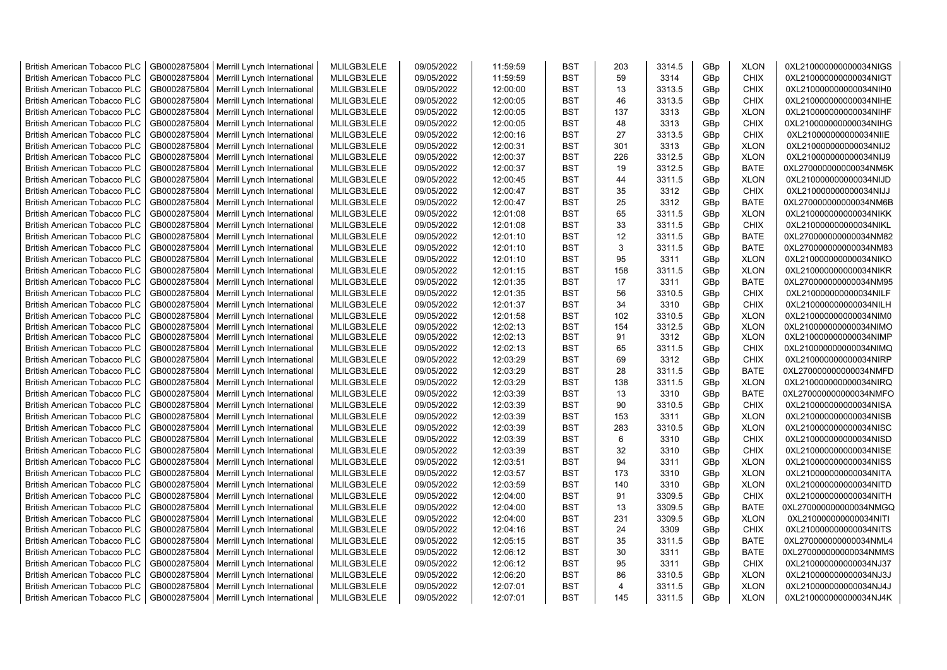| <b>British American Tobacco PLC</b> | GB0002875804 | Merrill Lynch International                | MLILGB3LELE | 09/05/2022 | 11:59:59 | <b>BST</b> | 203            | 3314.5 | GBp             | <b>XLON</b> | 0XL210000000000034NIGS |
|-------------------------------------|--------------|--------------------------------------------|-------------|------------|----------|------------|----------------|--------|-----------------|-------------|------------------------|
| <b>British American Tobacco PLC</b> | GB0002875804 | Merrill Lynch International                | MLILGB3LELE | 09/05/2022 | 11:59:59 | <b>BST</b> | 59             | 3314   | GBp             | <b>CHIX</b> | 0XL210000000000034NIGT |
| <b>British American Tobacco PLC</b> | GB0002875804 | Merrill Lynch International                | MLILGB3LELE | 09/05/2022 | 12:00:00 | <b>BST</b> | 13             | 3313.5 | GBp             | <b>CHIX</b> | 0XL210000000000034NIH0 |
| <b>British American Tobacco PLC</b> | GB0002875804 | Merrill Lynch International                | MLILGB3LELE | 09/05/2022 | 12:00:05 | <b>BST</b> | 46             | 3313.5 | GBp             | <b>CHIX</b> | 0XL210000000000034NIHE |
| <b>British American Tobacco PLC</b> | GB0002875804 | Merrill Lynch International                | MLILGB3LELE | 09/05/2022 | 12:00:05 | <b>BST</b> | 137            | 3313   | GBp             | <b>XLON</b> | 0XL210000000000034NIHF |
| <b>British American Tobacco PLC</b> | GB0002875804 | Merrill Lynch International                | MLILGB3LELE | 09/05/2022 | 12:00:05 | <b>BST</b> | 48             | 3313   | GBp             | <b>CHIX</b> | 0XL210000000000034NIHG |
| <b>British American Tobacco PLC</b> | GB0002875804 | Merrill Lynch International                | MLILGB3LELE | 09/05/2022 | 12:00:16 | <b>BST</b> | 27             | 3313.5 | GBp             | <b>CHIX</b> | 0XL210000000000034NIIE |
| <b>British American Tobacco PLC</b> | GB0002875804 | Merrill Lynch International                | MLILGB3LELE | 09/05/2022 | 12:00:31 | <b>BST</b> | 301            | 3313   | GBp             | <b>XLON</b> | 0XL210000000000034NIJ2 |
| <b>British American Tobacco PLC</b> | GB0002875804 | Merrill Lynch International                | MLILGB3LELE | 09/05/2022 | 12:00:37 | <b>BST</b> | 226            | 3312.5 | GBp             | <b>XLON</b> | 0XL210000000000034NIJ9 |
| <b>British American Tobacco PLC</b> | GB0002875804 | Merrill Lynch International                | MLILGB3LELE | 09/05/2022 | 12:00:37 | <b>BST</b> | 19             | 3312.5 | GBp             | <b>BATE</b> | 0XL270000000000034NM5K |
| <b>British American Tobacco PLC</b> | GB0002875804 | Merrill Lynch International                | MLILGB3LELE | 09/05/2022 | 12:00:45 | BST        | 44             | 3311.5 | GBp             | <b>XLON</b> | 0XL210000000000034NIJD |
| <b>British American Tobacco PLC</b> | GB0002875804 | Merrill Lynch International                | MLILGB3LELE | 09/05/2022 | 12:00:47 | <b>BST</b> | 35             | 3312   | GBp             | <b>CHIX</b> | 0XL210000000000034NIJJ |
| <b>British American Tobacco PLC</b> | GB0002875804 | Merrill Lynch International                | MLILGB3LELE | 09/05/2022 | 12:00:47 | <b>BST</b> | 25             | 3312   | GBp             | <b>BATE</b> | 0XL270000000000034NM6B |
| <b>British American Tobacco PLC</b> | GB0002875804 | Merrill Lynch International                | MLILGB3LELE | 09/05/2022 | 12:01:08 | <b>BST</b> | 65             | 3311.5 | GBp             | <b>XLON</b> | 0XL210000000000034NIKK |
| <b>British American Tobacco PLC</b> | GB0002875804 | Merrill Lynch International                | MLILGB3LELE | 09/05/2022 | 12:01:08 | BST        | 33             | 3311.5 | GBp             | <b>CHIX</b> | 0XL210000000000034NIKL |
| <b>British American Tobacco PLC</b> | GB0002875804 | Merrill Lynch International                | MLILGB3LELE | 09/05/2022 | 12:01:10 | <b>BST</b> | 12             | 3311.5 | GBp             | <b>BATE</b> | 0XL270000000000034NM82 |
| <b>British American Tobacco PLC</b> | GB0002875804 | Merrill Lynch International                | MLILGB3LELE | 09/05/2022 | 12:01:10 | <b>BST</b> | 3              | 3311.5 | GBp             | <b>BATE</b> | 0XL270000000000034NM83 |
| <b>British American Tobacco PLC</b> | GB0002875804 | Merrill Lynch International                | MLILGB3LELE | 09/05/2022 | 12:01:10 | BST        | 95             | 3311   | GBp             | <b>XLON</b> | 0XL210000000000034NIKO |
| <b>British American Tobacco PLC</b> | GB0002875804 | Merrill Lynch International                | MLILGB3LELE | 09/05/2022 | 12:01:15 | <b>BST</b> | 158            | 3311.5 | GBp             | <b>XLON</b> | 0XL210000000000034NIKR |
| <b>British American Tobacco PLC</b> | GB0002875804 | Merrill Lynch International                | MLILGB3LELE | 09/05/2022 | 12:01:35 | <b>BST</b> | 17             | 3311   | GBp             | <b>BATE</b> | 0XL270000000000034NM95 |
| <b>British American Tobacco PLC</b> | GB0002875804 | Merrill Lynch International                | MLILGB3LELE | 09/05/2022 | 12:01:35 | <b>BST</b> | 56             | 3310.5 | GBp             | <b>CHIX</b> | 0XL210000000000034NILF |
| <b>British American Tobacco PLC</b> | GB0002875804 | Merrill Lynch International                | MLILGB3LELE | 09/05/2022 | 12:01:37 | <b>BST</b> | 34             | 3310   | GBp             | <b>CHIX</b> | 0XL210000000000034NILH |
| <b>British American Tobacco PLC</b> | GB0002875804 | Merrill Lynch International                | MLILGB3LELE | 09/05/2022 | 12:01:58 | <b>BST</b> | 102            | 3310.5 | GBp             | <b>XLON</b> | 0XL210000000000034NIM0 |
| <b>British American Tobacco PLC</b> | GB0002875804 | Merrill Lynch International                | MLILGB3LELE | 09/05/2022 | 12:02:13 | BST        | 154            | 3312.5 | GBp             | <b>XLON</b> | 0XL210000000000034NIMO |
| <b>British American Tobacco PLC</b> | GB0002875804 | Merrill Lynch International                | MLILGB3LELE | 09/05/2022 | 12:02:13 | <b>BST</b> | 91             | 3312   | GBp             | <b>XLON</b> | 0XL210000000000034NIMP |
| <b>British American Tobacco PLC</b> | GB0002875804 | Merrill Lynch International                | MLILGB3LELE | 09/05/2022 | 12:02:13 | <b>BST</b> | 65             | 3311.5 | GBp             | <b>CHIX</b> | 0XL210000000000034NIMQ |
| <b>British American Tobacco PLC</b> | GB0002875804 | Merrill Lynch International                | MLILGB3LELE | 09/05/2022 | 12:03:29 | <b>BST</b> | 69             | 3312   | GBp             | <b>CHIX</b> | 0XL210000000000034NIRP |
| <b>British American Tobacco PLC</b> | GB0002875804 | Merrill Lynch International                | MLILGB3LELE | 09/05/2022 | 12:03:29 | <b>BST</b> | 28             | 3311.5 | GBp             | <b>BATE</b> | 0XL270000000000034NMFD |
| <b>British American Tobacco PLC</b> | GB0002875804 | Merrill Lynch International                | MLILGB3LELE | 09/05/2022 | 12:03:29 | <b>BST</b> | 138            | 3311.5 | GBp             | <b>XLON</b> | 0XL210000000000034NIRQ |
| <b>British American Tobacco PLC</b> | GB0002875804 | Merrill Lynch International                | MLILGB3LELE | 09/05/2022 | 12:03:39 | <b>BST</b> | 13             | 3310   | GBp             | <b>BATE</b> | 0XL270000000000034NMFO |
| <b>British American Tobacco PLC</b> | GB0002875804 | Merrill Lynch International                | MLILGB3LELE | 09/05/2022 | 12:03:39 | <b>BST</b> | 90             | 3310.5 | GBp             | <b>CHIX</b> | 0XL210000000000034NISA |
| <b>British American Tobacco PLC</b> | GB0002875804 | Merrill Lynch International                | MLILGB3LELE | 09/05/2022 | 12:03:39 | <b>BST</b> | 153            | 3311   | GBp             | <b>XLON</b> | 0XL210000000000034NISB |
| <b>British American Tobacco PLC</b> | GB0002875804 | Merrill Lynch International                | MLILGB3LELE | 09/05/2022 | 12:03:39 | <b>BST</b> | 283            | 3310.5 | GBp             | <b>XLON</b> | 0XL210000000000034NISC |
| <b>British American Tobacco PLC</b> | GB0002875804 | Merrill Lynch International                | MLILGB3LELE | 09/05/2022 | 12:03:39 | BST        | 6              | 3310   | GBp             | <b>CHIX</b> | 0XL210000000000034NISD |
| <b>British American Tobacco PLC</b> | GB0002875804 | Merrill Lynch International                | MLILGB3LELE | 09/05/2022 | 12:03:39 | <b>BST</b> | 32             | 3310   | GBp             | <b>CHIX</b> | 0XL210000000000034NISE |
| <b>British American Tobacco PLC</b> | GB0002875804 | Merrill Lynch International                | MLILGB3LELE | 09/05/2022 | 12:03:51 | <b>BST</b> | 94             | 3311   | GBp             | <b>XLON</b> | 0XL210000000000034NISS |
| <b>British American Tobacco PLC</b> | GB0002875804 | Merrill Lynch International                | MLILGB3LELE | 09/05/2022 | 12:03:57 | <b>BST</b> | 173            | 3310   | GBp             | <b>XLON</b> | 0XL210000000000034NITA |
| <b>British American Tobacco PLC</b> | GB0002875804 | Merrill Lynch International                | MLILGB3LELE | 09/05/2022 | 12:03:59 | <b>BST</b> | 140            | 3310   | GBp             | <b>XLON</b> | 0XL210000000000034NITD |
| <b>British American Tobacco PLC</b> | GB0002875804 | Merrill Lynch International                | MLILGB3LELE | 09/05/2022 | 12:04:00 | <b>BST</b> | 91             | 3309.5 | GBp             | <b>CHIX</b> | 0XL210000000000034NITH |
| <b>British American Tobacco PLC</b> | GB0002875804 | Merrill Lynch International                | MLILGB3LELE | 09/05/2022 | 12:04:00 | <b>BST</b> | 13             | 3309.5 | GBp             | <b>BATE</b> | 0XL270000000000034NMGQ |
| <b>British American Tobacco PLC</b> | GB0002875804 | Merrill Lynch International                | MLILGB3LELE | 09/05/2022 | 12:04:00 | <b>BST</b> | 231            | 3309.5 | GBp             | <b>XLON</b> | 0XL210000000000034NITI |
| <b>British American Tobacco PLC</b> | GB0002875804 | Merrill Lynch International                | MLILGB3LELE | 09/05/2022 | 12:04:16 | BST        | 24             | 3309   | GBp             | <b>CHIX</b> | 0XL210000000000034NITS |
| <b>British American Tobacco PLC</b> | GB0002875804 | Merrill Lynch International                | MLILGB3LELE | 09/05/2022 | 12:05:15 | BST        | 35             | 3311.5 | GBp             | <b>BATE</b> | 0XL270000000000034NML4 |
| <b>British American Tobacco PLC</b> | GB0002875804 | Merrill Lynch International                | MLILGB3LELE | 09/05/2022 | 12:06:12 | <b>BST</b> | 30             | 3311   | GBp             | <b>BATE</b> | 0XL270000000000034NMMS |
| <b>British American Tobacco PLC</b> | GB0002875804 | Merrill Lynch International                | MLILGB3LELE | 09/05/2022 | 12:06:12 | BST        | 95             | 3311   | GBp             | <b>CHIX</b> | 0XL210000000000034NJ37 |
| <b>British American Tobacco PLC</b> | GB0002875804 | Merrill Lynch International                | MLILGB3LELE | 09/05/2022 | 12:06:20 | <b>BST</b> | 86             | 3310.5 | GBp             | <b>XLON</b> | 0XL210000000000034NJ3J |
| <b>British American Tobacco PLC</b> | GB0002875804 | Merrill Lynch International                | MLILGB3LELE | 09/05/2022 | 12:07:01 | <b>BST</b> | $\overline{4}$ | 3311.5 | GBp             | <b>XLON</b> | 0XL210000000000034NJ4J |
| <b>British American Tobacco PLC</b> |              | GB0002875804   Merrill Lynch International | MLILGB3LELE | 09/05/2022 | 12:07:01 | <b>BST</b> | 145            | 3311.5 | GB <sub>p</sub> | <b>XLON</b> | 0XL210000000000034NJ4K |
|                                     |              |                                            |             |            |          |            |                |        |                 |             |                        |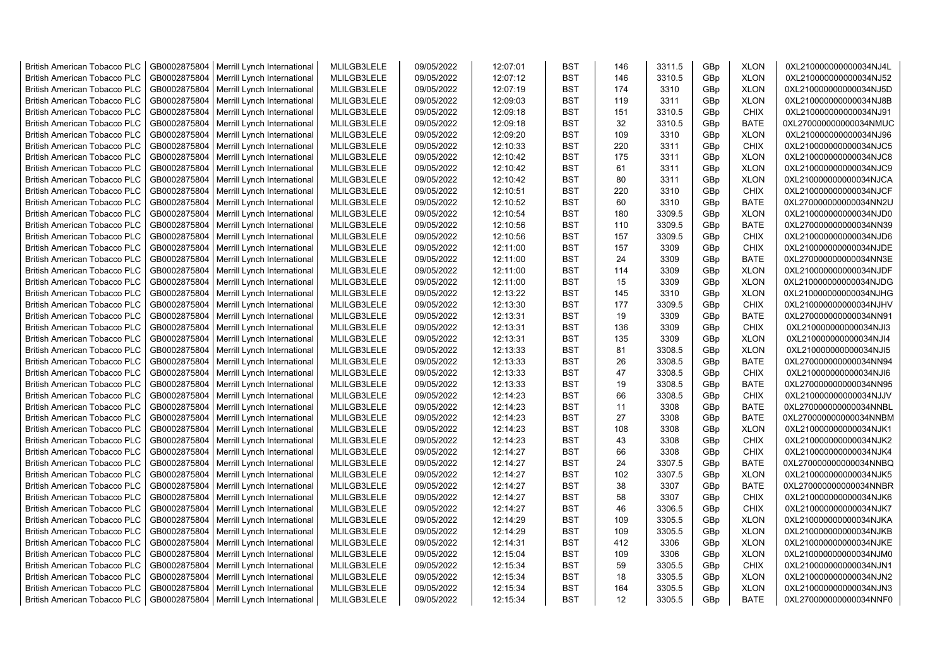| <b>British American Tobacco PLC</b>                                        | GB0002875804 | Merrill Lynch International                | MLILGB3LELE                | 09/05/2022               | 12:07:01 | <b>BST</b> | 146 | 3311.5 | GBp             | <b>XLON</b> | 0XL210000000000034NJ4L                           |
|----------------------------------------------------------------------------|--------------|--------------------------------------------|----------------------------|--------------------------|----------|------------|-----|--------|-----------------|-------------|--------------------------------------------------|
| <b>British American Tobacco PLC</b>                                        | GB0002875804 | Merrill Lynch International                | MLILGB3LELE                | 09/05/2022               | 12:07:12 | <b>BST</b> | 146 | 3310.5 | GBp             | <b>XLON</b> | 0XL210000000000034NJ52                           |
| <b>British American Tobacco PLC</b>                                        | GB0002875804 | Merrill Lynch International                | MLILGB3LELE                | 09/05/2022               | 12:07:19 | <b>BST</b> | 174 | 3310   | GBp             | <b>XLON</b> | 0XL210000000000034NJ5D                           |
| <b>British American Tobacco PLC</b>                                        | GB0002875804 | Merrill Lynch International                | MLILGB3LELE                | 09/05/2022               | 12:09:03 | <b>BST</b> | 119 | 3311   | GBp             | <b>XLON</b> | 0XL210000000000034NJ8B                           |
| <b>British American Tobacco PLC</b>                                        | GB0002875804 | Merrill Lynch International                | MLILGB3LELE                | 09/05/2022               | 12:09:18 | <b>BST</b> | 151 | 3310.5 | GBp             | <b>CHIX</b> | 0XL210000000000034NJ91                           |
| <b>British American Tobacco PLC</b>                                        | GB0002875804 | Merrill Lynch International                | MLILGB3LELE                | 09/05/2022               | 12:09:18 | <b>BST</b> | 32  | 3310.5 | GBp             | <b>BATE</b> | 0XL270000000000034NMUC                           |
| British American Tobacco PLC                                               | GB0002875804 | Merrill Lynch International                | MLILGB3LELE                | 09/05/2022               | 12:09:20 | <b>BST</b> | 109 | 3310   | GBp             | <b>XLON</b> | 0XL210000000000034NJ96                           |
| <b>British American Tobacco PLC</b>                                        | GB0002875804 | Merrill Lynch International                | MLILGB3LELE                | 09/05/2022               | 12:10:33 | <b>BST</b> | 220 | 3311   | GBp             | <b>CHIX</b> | 0XL210000000000034NJC5                           |
| <b>British American Tobacco PLC</b>                                        | GB0002875804 | Merrill Lynch International                | MLILGB3LELE                | 09/05/2022               | 12:10:42 | <b>BST</b> | 175 | 3311   | GBp             | <b>XLON</b> | 0XL210000000000034NJC8                           |
| <b>British American Tobacco PLC</b>                                        | GB0002875804 | Merrill Lynch International                | MLILGB3LELE                | 09/05/2022               | 12:10:42 | <b>BST</b> | 61  | 3311   | GBp             | <b>XLON</b> | 0XL210000000000034NJC9                           |
| <b>British American Tobacco PLC</b>                                        | GB0002875804 | Merrill Lynch International                | MLILGB3LELE                | 09/05/2022               | 12:10:42 | <b>BST</b> | 80  | 3311   | GBp             | <b>XLON</b> | 0XL210000000000034NJCA                           |
| <b>British American Tobacco PLC</b>                                        | GB0002875804 | Merrill Lynch International                | MLILGB3LELE                | 09/05/2022               | 12:10:51 | <b>BST</b> | 220 | 3310   | GBp             | <b>CHIX</b> | 0XL210000000000034NJCF                           |
| <b>British American Tobacco PLC</b>                                        | GB0002875804 | Merrill Lynch International                | MLILGB3LELE                | 09/05/2022               | 12:10:52 | <b>BST</b> | 60  | 3310   | GBp             | <b>BATE</b> | 0XL270000000000034NN2U                           |
| <b>British American Tobacco PLC</b>                                        | GB0002875804 | Merrill Lynch International                | MLILGB3LELE                | 09/05/2022               | 12:10:54 | <b>BST</b> | 180 | 3309.5 | GBp             | <b>XLON</b> | 0XL210000000000034NJD0                           |
| <b>British American Tobacco PLC</b>                                        | GB0002875804 | Merrill Lynch International                | MLILGB3LELE                | 09/05/2022               | 12:10:56 | <b>BST</b> | 110 | 3309.5 | GBp             | <b>BATE</b> | 0XL270000000000034NN39                           |
| <b>British American Tobacco PLC</b>                                        | GB0002875804 | Merrill Lynch International                | MLILGB3LELE                | 09/05/2022               | 12:10:56 | <b>BST</b> | 157 | 3309.5 | GBp             | <b>CHIX</b> | 0XL210000000000034NJD6                           |
| <b>British American Tobacco PLC</b>                                        | GB0002875804 | Merrill Lynch International                | MLILGB3LELE                | 09/05/2022               | 12:11:00 | <b>BST</b> | 157 | 3309   | GBp             | <b>CHIX</b> | 0XL210000000000034NJDE                           |
| <b>British American Tobacco PLC</b>                                        | GB0002875804 | Merrill Lynch International                | MLILGB3LELE                | 09/05/2022               | 12:11:00 | <b>BST</b> | 24  | 3309   | GBp             | <b>BATE</b> | 0XL270000000000034NN3E                           |
| <b>British American Tobacco PLC</b>                                        | GB0002875804 | Merrill Lynch International                | MLILGB3LELE                | 09/05/2022               | 12:11:00 | <b>BST</b> | 114 | 3309   | GBp             | <b>XLON</b> | 0XL210000000000034NJDF                           |
| <b>British American Tobacco PLC</b>                                        | GB0002875804 | Merrill Lynch International                | MLILGB3LELE                | 09/05/2022               | 12:11:00 | <b>BST</b> | 15  | 3309   | GBp             | <b>XLON</b> | 0XL210000000000034NJDG                           |
| <b>British American Tobacco PLC</b>                                        | GB0002875804 | Merrill Lynch International                | MLILGB3LELE                | 09/05/2022               | 12:13:22 | <b>BST</b> | 145 | 3310   | GBp             | <b>XLON</b> | 0XL210000000000034NJHG                           |
| <b>British American Tobacco PLC</b>                                        | GB0002875804 | Merrill Lynch International                | MLILGB3LELE                | 09/05/2022               | 12:13:30 | <b>BST</b> | 177 | 3309.5 | GBp             | <b>CHIX</b> | 0XL210000000000034NJHV                           |
| <b>British American Tobacco PLC</b>                                        | GB0002875804 | Merrill Lynch International                | MLILGB3LELE                | 09/05/2022               | 12:13:31 | <b>BST</b> | 19  | 3309   | GBp             | <b>BATE</b> | 0XL270000000000034NN91                           |
| <b>British American Tobacco PLC</b>                                        | GB0002875804 | Merrill Lynch International                | MLILGB3LELE                | 09/05/2022               | 12:13:31 | <b>BST</b> | 136 | 3309   | GBp             | <b>CHIX</b> | 0XL210000000000034NJI3                           |
| <b>British American Tobacco PLC</b>                                        | GB0002875804 | Merrill Lynch International                | MLILGB3LELE                | 09/05/2022               | 12:13:31 | <b>BST</b> | 135 | 3309   | GBp             | <b>XLON</b> | 0XL210000000000034NJI4                           |
| <b>British American Tobacco PLC</b>                                        | GB0002875804 | Merrill Lynch International                | MLILGB3LELE                | 09/05/2022               | 12:13:33 | <b>BST</b> | 81  | 3308.5 | GBp             | <b>XLON</b> | 0XL210000000000034NJI5                           |
| <b>British American Tobacco PLC</b>                                        | GB0002875804 | Merrill Lynch International                | MLILGB3LELE                | 09/05/2022               | 12:13:33 | <b>BST</b> | 26  | 3308.5 | GBp             | <b>BATE</b> | 0XL270000000000034NN94                           |
| <b>British American Tobacco PLC</b>                                        | GB0002875804 | Merrill Lynch International                | MLILGB3LELE                | 09/05/2022               | 12:13:33 | <b>BST</b> | 47  | 3308.5 | GBp             | <b>CHIX</b> | 0XL210000000000034NJI6                           |
| <b>British American Tobacco PLC</b>                                        | GB0002875804 | Merrill Lynch International                | MLILGB3LELE                | 09/05/2022               | 12:13:33 | <b>BST</b> | 19  | 3308.5 | GBp             | <b>BATE</b> | 0XL270000000000034NN95                           |
| <b>British American Tobacco PLC</b>                                        | GB0002875804 | Merrill Lynch International                | MLILGB3LELE                | 09/05/2022               | 12:14:23 | <b>BST</b> | 66  | 3308.5 | GBp             | <b>CHIX</b> | 0XL210000000000034NJJV                           |
| <b>British American Tobacco PLC</b>                                        | GB0002875804 | Merrill Lynch International                | MLILGB3LELE                | 09/05/2022               | 12:14:23 | <b>BST</b> | 11  | 3308   | GBp             | <b>BATE</b> | 0XL270000000000034NNBL                           |
| <b>British American Tobacco PLC</b>                                        | GB0002875804 | Merrill Lynch International                | MLILGB3LELE                | 09/05/2022               | 12:14:23 | <b>BST</b> | 27  | 3308   | GBp             | <b>BATE</b> | 0XL270000000000034NNBM                           |
| <b>British American Tobacco PLC</b>                                        | GB0002875804 | Merrill Lynch International                | MLILGB3LELE                | 09/05/2022               | 12:14:23 | <b>BST</b> | 108 | 3308   | GBp             | <b>XLON</b> |                                                  |
| <b>British American Tobacco PLC</b>                                        | GB0002875804 | Merrill Lynch International                | MLILGB3LELE                | 09/05/2022               | 12:14:23 | <b>BST</b> | 43  | 3308   | GBp             | <b>CHIX</b> | 0XL210000000000034NJK1                           |
|                                                                            | GB0002875804 | Merrill Lynch International                | MLILGB3LELE                | 09/05/2022               | 12:14:27 | <b>BST</b> | 66  | 3308   | GBp             | <b>CHIX</b> | 0XL210000000000034NJK2<br>0XL210000000000034NJK4 |
| <b>British American Tobacco PLC</b><br><b>British American Tobacco PLC</b> | GB0002875804 | Merrill Lynch International                | MLILGB3LELE                | 09/05/2022               | 12:14:27 | <b>BST</b> | 24  | 3307.5 | GBp             | <b>BATE</b> | 0XL270000000000034NNBQ                           |
| <b>British American Tobacco PLC</b>                                        | GB0002875804 |                                            | MLILGB3LELE                | 09/05/2022               | 12:14:27 | <b>BST</b> | 102 | 3307.5 |                 | <b>XLON</b> |                                                  |
| <b>British American Tobacco PLC</b>                                        | GB0002875804 | Merrill Lynch International                |                            |                          | 12:14:27 | <b>BST</b> | 38  | 3307   | GBp             | <b>BATE</b> | 0XL210000000000034NJK5                           |
| <b>British American Tobacco PLC</b>                                        | GB0002875804 | Merrill Lynch International                | MLILGB3LELE<br>MLILGB3LELE | 09/05/2022<br>09/05/2022 | 12:14:27 | <b>BST</b> | 58  | 3307   | GBp<br>GBp      | <b>CHIX</b> | 0XL270000000000034NNBR                           |
| <b>British American Tobacco PLC</b>                                        | GB0002875804 | Merrill Lynch International                | MLILGB3LELE                | 09/05/2022               | 12:14:27 | <b>BST</b> | 46  | 3306.5 | GBp             | <b>CHIX</b> | 0XL210000000000034NJK6                           |
|                                                                            |              | Merrill Lynch International                |                            |                          |          | <b>BST</b> | 109 | 3305.5 |                 | <b>XLON</b> | 0XL210000000000034NJK7                           |
| <b>British American Tobacco PLC</b>                                        | GB0002875804 | Merrill Lynch International                | MLILGB3LELE                | 09/05/2022               | 12:14:29 |            | 109 |        | GBp             |             | 0XL210000000000034NJKA                           |
| <b>British American Tobacco PLC</b>                                        | GB0002875804 | Merrill Lynch International                | MLILGB3LELE                | 09/05/2022               | 12:14:29 | <b>BST</b> |     | 3305.5 | GBp             | <b>XLON</b> | 0XL210000000000034NJKB                           |
| <b>British American Tobacco PLC</b>                                        | GB0002875804 | Merrill Lynch International                | MLILGB3LELE                | 09/05/2022               | 12:14:31 | <b>BST</b> | 412 | 3306   | GBp             | <b>XLON</b> | 0XL210000000000034NJKE                           |
| <b>British American Tobacco PLC</b>                                        | GB0002875804 | Merrill Lynch International                | MLILGB3LELE                | 09/05/2022               | 12:15:04 | <b>BST</b> | 109 | 3306   | GBp             | <b>XLON</b> | 0XL210000000000034NJM0                           |
| <b>British American Tobacco PLC</b>                                        | GB0002875804 | Merrill Lynch International                | MLILGB3LELE                | 09/05/2022               | 12:15:34 | <b>BST</b> | 59  | 3305.5 | GBp             | <b>CHIX</b> | 0XL210000000000034NJN1                           |
| <b>British American Tobacco PLC</b>                                        | GB0002875804 | Merrill Lynch International                | MLILGB3LELE                | 09/05/2022               | 12:15:34 | <b>BST</b> | 18  | 3305.5 | GBp             | <b>XLON</b> | 0XL210000000000034NJN2                           |
| <b>British American Tobacco PLC</b>                                        | GB0002875804 | Merrill Lynch International                | MLILGB3LELE                | 09/05/2022               | 12:15:34 | <b>BST</b> | 164 | 3305.5 | GBp             | <b>XLON</b> | 0XL210000000000034NJN3                           |
| <b>British American Tobacco PLC</b>                                        |              | GB0002875804   Merrill Lynch International | MLILGB3LELE                | 09/05/2022               | 12:15:34 | <b>BST</b> | 12  | 3305.5 | GB <sub>p</sub> | <b>BATE</b> | 0XL270000000000034NNF0                           |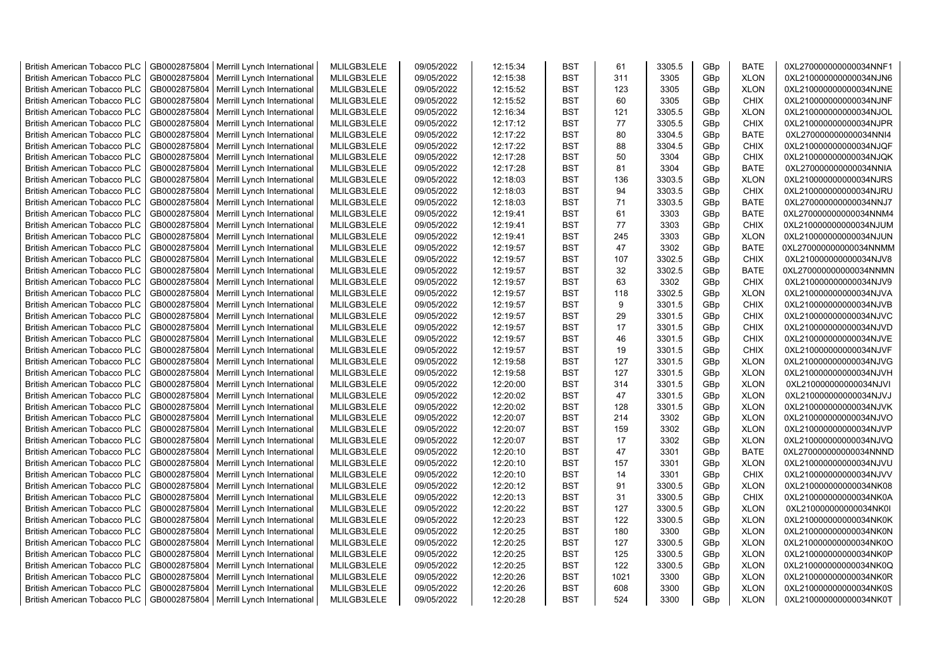| <b>British American Tobacco PLC</b> | GB0002875804 | Merrill Lynch International                | MLILGB3LELE | 09/05/2022 | 12:15:34 | <b>BST</b> | 61   | 3305.5 | GBp | <b>BATE</b> | 0XL270000000000034NNF1 |
|-------------------------------------|--------------|--------------------------------------------|-------------|------------|----------|------------|------|--------|-----|-------------|------------------------|
| <b>British American Tobacco PLC</b> | GB0002875804 | Merrill Lynch International                | MLILGB3LELE | 09/05/2022 | 12:15:38 | <b>BST</b> | 311  | 3305   | GBp | <b>XLON</b> | 0XL210000000000034NJN6 |
| <b>British American Tobacco PLC</b> | GB0002875804 | Merrill Lynch International                | MLILGB3LELE | 09/05/2022 | 12:15:52 | <b>BST</b> | 123  | 3305   | GBp | <b>XLON</b> | 0XL210000000000034NJNE |
| <b>British American Tobacco PLC</b> | GB0002875804 | Merrill Lynch International                | MLILGB3LELE | 09/05/2022 | 12:15:52 | <b>BST</b> | 60   | 3305   | GBp | <b>CHIX</b> | 0XL210000000000034NJNF |
| <b>British American Tobacco PLC</b> | GB0002875804 | Merrill Lynch International                | MLILGB3LELE | 09/05/2022 | 12:16:34 | <b>BST</b> | 121  | 3305.5 | GBp | <b>XLON</b> | 0XL210000000000034NJOL |
| <b>British American Tobacco PLC</b> | GB0002875804 | Merrill Lynch International                | MLILGB3LELE | 09/05/2022 | 12:17:12 | <b>BST</b> | 77   | 3305.5 | GBp | <b>CHIX</b> | 0XL210000000000034NJPR |
| <b>British American Tobacco PLC</b> | GB0002875804 | Merrill Lynch International                | MLILGB3LELE | 09/05/2022 | 12:17:22 | <b>BST</b> | 80   | 3304.5 | GBp | <b>BATE</b> | 0XL270000000000034NNI4 |
| <b>British American Tobacco PLC</b> | GB0002875804 | Merrill Lynch International                | MLILGB3LELE | 09/05/2022 | 12:17:22 | <b>BST</b> | 88   | 3304.5 | GBp | <b>CHIX</b> | 0XL210000000000034NJQF |
| <b>British American Tobacco PLC</b> | GB0002875804 | Merrill Lynch International                | MLILGB3LELE | 09/05/2022 | 12:17:28 | <b>BST</b> | 50   | 3304   | GBp | <b>CHIX</b> | 0XL210000000000034NJQK |
| <b>British American Tobacco PLC</b> | GB0002875804 | Merrill Lynch International                | MLILGB3LELE | 09/05/2022 | 12:17:28 | <b>BST</b> | 81   | 3304   | GBp | <b>BATE</b> | 0XL270000000000034NNIA |
| <b>British American Tobacco PLC</b> | GB0002875804 |                                            | MLILGB3LELE | 09/05/2022 | 12:18:03 | <b>BST</b> | 136  | 3303.5 | GBp | <b>XLON</b> | 0XL210000000000034NJRS |
|                                     | GB0002875804 | Merrill Lynch International                |             |            |          | <b>BST</b> | 94   | 3303.5 |     | <b>CHIX</b> |                        |
| <b>British American Tobacco PLC</b> |              | Merrill Lynch International                | MLILGB3LELE | 09/05/2022 | 12:18:03 |            |      |        | GBp |             | 0XL210000000000034NJRU |
| <b>British American Tobacco PLC</b> | GB0002875804 | Merrill Lynch International                | MLILGB3LELE | 09/05/2022 | 12:18:03 | <b>BST</b> | 71   | 3303.5 | GBp | <b>BATE</b> | 0XL270000000000034NNJ7 |
| <b>British American Tobacco PLC</b> | GB0002875804 | Merrill Lynch International                | MLILGB3LELE | 09/05/2022 | 12:19:41 | <b>BST</b> | 61   | 3303   | GBp | <b>BATE</b> | 0XL270000000000034NNM4 |
| <b>British American Tobacco PLC</b> | GB0002875804 | Merrill Lynch International                | MLILGB3LELE | 09/05/2022 | 12:19:41 | <b>BST</b> | 77   | 3303   | GBp | <b>CHIX</b> | 0XL210000000000034NJUM |
| <b>British American Tobacco PLC</b> | GB0002875804 | Merrill Lynch International                | MLILGB3LELE | 09/05/2022 | 12:19:41 | <b>BST</b> | 245  | 3303   | GBp | <b>XLON</b> | 0XL210000000000034NJUN |
| <b>British American Tobacco PLC</b> | GB0002875804 | Merrill Lynch International                | MLILGB3LELE | 09/05/2022 | 12:19:57 | <b>BST</b> | 47   | 3302   | GBp | <b>BATE</b> | 0XL270000000000034NNMM |
| <b>British American Tobacco PLC</b> | GB0002875804 | Merrill Lynch International                | MLILGB3LELE | 09/05/2022 | 12:19:57 | <b>BST</b> | 107  | 3302.5 | GBp | CHIX        | 0XL210000000000034NJV8 |
| <b>British American Tobacco PLC</b> | GB0002875804 | Merrill Lynch International                | MLILGB3LELE | 09/05/2022 | 12:19:57 | <b>BST</b> | 32   | 3302.5 | GBp | <b>BATE</b> | 0XL270000000000034NNMN |
| <b>British American Tobacco PLC</b> | GB0002875804 | Merrill Lynch International                | MLILGB3LELE | 09/05/2022 | 12:19:57 | <b>BST</b> | 63   | 3302   | GBp | <b>CHIX</b> | 0XL210000000000034NJV9 |
| <b>British American Tobacco PLC</b> | GB0002875804 | Merrill Lynch International                | MLILGB3LELE | 09/05/2022 | 12:19:57 | <b>BST</b> | 118  | 3302.5 | GBp | <b>XLON</b> | 0XL210000000000034NJVA |
| <b>British American Tobacco PLC</b> | GB0002875804 | Merrill Lynch International                | MLILGB3LELE | 09/05/2022 | 12:19:57 | <b>BST</b> | 9    | 3301.5 | GBp | <b>CHIX</b> | 0XL210000000000034NJVB |
| <b>British American Tobacco PLC</b> | GB0002875804 | Merrill Lynch International                | MLILGB3LELE | 09/05/2022 | 12:19:57 | <b>BST</b> | 29   | 3301.5 | GBp | <b>CHIX</b> | 0XL210000000000034NJVC |
| <b>British American Tobacco PLC</b> | GB0002875804 | Merrill Lynch International                | MLILGB3LELE | 09/05/2022 | 12:19:57 | <b>BST</b> | 17   | 3301.5 | GBp | <b>CHIX</b> | 0XL210000000000034NJVD |
| <b>British American Tobacco PLC</b> | GB0002875804 | Merrill Lynch International                | MLILGB3LELE | 09/05/2022 | 12:19:57 | <b>BST</b> | 46   | 3301.5 | GBp | <b>CHIX</b> | 0XL210000000000034NJVE |
| <b>British American Tobacco PLC</b> | GB0002875804 | Merrill Lynch International                | MLILGB3LELE | 09/05/2022 | 12:19:57 | <b>BST</b> | 19   | 3301.5 | GBp | CHIX        | 0XL210000000000034NJVF |
| <b>British American Tobacco PLC</b> | GB0002875804 | Merrill Lynch International                | MLILGB3LELE | 09/05/2022 | 12:19:58 | <b>BST</b> | 127  | 3301.5 | GBp | <b>XLON</b> | 0XL210000000000034NJVG |
| <b>British American Tobacco PLC</b> | GB0002875804 | Merrill Lynch International                | MLILGB3LELE | 09/05/2022 | 12:19:58 | <b>BST</b> | 127  | 3301.5 | GBp | <b>XLON</b> | 0XL210000000000034NJVH |
| <b>British American Tobacco PLC</b> | GB0002875804 | Merrill Lynch International                | MLILGB3LELE | 09/05/2022 | 12:20:00 | <b>BST</b> | 314  | 3301.5 | GBp | <b>XLON</b> | 0XL210000000000034NJVI |
| <b>British American Tobacco PLC</b> | GB0002875804 | Merrill Lynch International                | MLILGB3LELE | 09/05/2022 | 12:20:02 | <b>BST</b> | 47   | 3301.5 | GBp | <b>XLON</b> | 0XL210000000000034NJVJ |
| <b>British American Tobacco PLC</b> | GB0002875804 | Merrill Lynch International                | MLILGB3LELE | 09/05/2022 | 12:20:02 | <b>BST</b> | 128  | 3301.5 | GBp | <b>XLON</b> | 0XL210000000000034NJVK |
| <b>British American Tobacco PLC</b> | GB0002875804 | Merrill Lynch International                | MLILGB3LELE | 09/05/2022 | 12:20:07 | <b>BST</b> | 214  | 3302   | GBp | <b>XLON</b> | 0XL210000000000034NJVO |
| <b>British American Tobacco PLC</b> | GB0002875804 | Merrill Lynch International                | MLILGB3LELE | 09/05/2022 | 12:20:07 | <b>BST</b> | 159  | 3302   | GBp | <b>XLON</b> | 0XL210000000000034NJVP |
| <b>British American Tobacco PLC</b> | GB0002875804 | Merrill Lynch International                | MLILGB3LELE | 09/05/2022 | 12:20:07 | <b>BST</b> | 17   | 3302   | GBp | <b>XLON</b> | 0XL210000000000034NJVQ |
| <b>British American Tobacco PLC</b> | GB0002875804 | Merrill Lynch International                | MLILGB3LELE | 09/05/2022 | 12:20:10 | <b>BST</b> | 47   | 3301   | GBp | <b>BATE</b> | 0XL270000000000034NNND |
| <b>British American Tobacco PLC</b> | GB0002875804 | Merrill Lynch International                | MLILGB3LELE | 09/05/2022 | 12:20:10 | <b>BST</b> | 157  | 3301   | GBp | <b>XLON</b> | 0XL210000000000034NJVU |
| <b>British American Tobacco PLC</b> | GB0002875804 | Merrill Lynch International                | MLILGB3LELE | 09/05/2022 | 12:20:10 | <b>BST</b> | 14   | 3301   | GBp | <b>CHIX</b> | 0XL210000000000034NJVV |
| <b>British American Tobacco PLC</b> | GB0002875804 | Merrill Lynch International                | MLILGB3LELE | 09/05/2022 | 12:20:12 | <b>BST</b> | 91   | 3300.5 | GBp | <b>XLON</b> | 0XL210000000000034NK08 |
| <b>British American Tobacco PLC</b> | GB0002875804 | Merrill Lynch International                | MLILGB3LELE | 09/05/2022 | 12:20:13 | <b>BST</b> | 31   | 3300.5 | GBp | <b>CHIX</b> | 0XL210000000000034NK0A |
| <b>British American Tobacco PLC</b> | GB0002875804 | Merrill Lynch International                | MLILGB3LELE | 09/05/2022 | 12:20:22 | <b>BST</b> | 127  | 3300.5 | GBp | <b>XLON</b> | 0XL210000000000034NK0I |
| <b>British American Tobacco PLC</b> | GB0002875804 | Merrill Lynch International                | MLILGB3LELE | 09/05/2022 | 12:20:23 | <b>BST</b> | 122  | 3300.5 | GBp | <b>XLON</b> | 0XL210000000000034NK0K |
| <b>British American Tobacco PLC</b> | GB0002875804 | Merrill Lynch International                | MLILGB3LELE | 09/05/2022 | 12:20:25 | <b>BST</b> | 180  | 3300   | GBp | <b>XLON</b> | 0XL210000000000034NK0N |
| <b>British American Tobacco PLC</b> | GB0002875804 | Merrill Lynch International                | MLILGB3LELE | 09/05/2022 | 12:20:25 | <b>BST</b> | 127  | 3300.5 |     | <b>XLON</b> |                        |
|                                     |              |                                            |             |            |          | <b>BST</b> | 125  |        | GBp |             | 0XL210000000000034NK0O |
| <b>British American Tobacco PLC</b> | GB0002875804 | Merrill Lynch International                | MLILGB3LELE | 09/05/2022 | 12:20:25 | <b>BST</b> | 122  | 3300.5 | GBp | <b>XLON</b> | 0XL210000000000034NK0P |
| <b>British American Tobacco PLC</b> | GB0002875804 | Merrill Lynch International                | MLILGB3LELE | 09/05/2022 | 12:20:25 | <b>BST</b> | 1021 | 3300.5 | GBp | <b>XLON</b> | 0XL210000000000034NK0Q |
| <b>British American Tobacco PLC</b> | GB0002875804 | Merrill Lynch International                | MLILGB3LELE | 09/05/2022 | 12:20:26 |            |      | 3300   | GBp | <b>XLON</b> | 0XL210000000000034NK0R |
| <b>British American Tobacco PLC</b> | GB0002875804 | Merrill Lynch International                | MLILGB3LELE | 09/05/2022 | 12:20:26 | <b>BST</b> | 608  | 3300   | GBp | <b>XLON</b> | 0XL210000000000034NK0S |
| <b>British American Tobacco PLC</b> |              | GB0002875804   Merrill Lynch International | MLILGB3LELE | 09/05/2022 | 12:20:28 | <b>BST</b> | 524  | 3300   | GBp | <b>XLON</b> | 0XL210000000000034NK0T |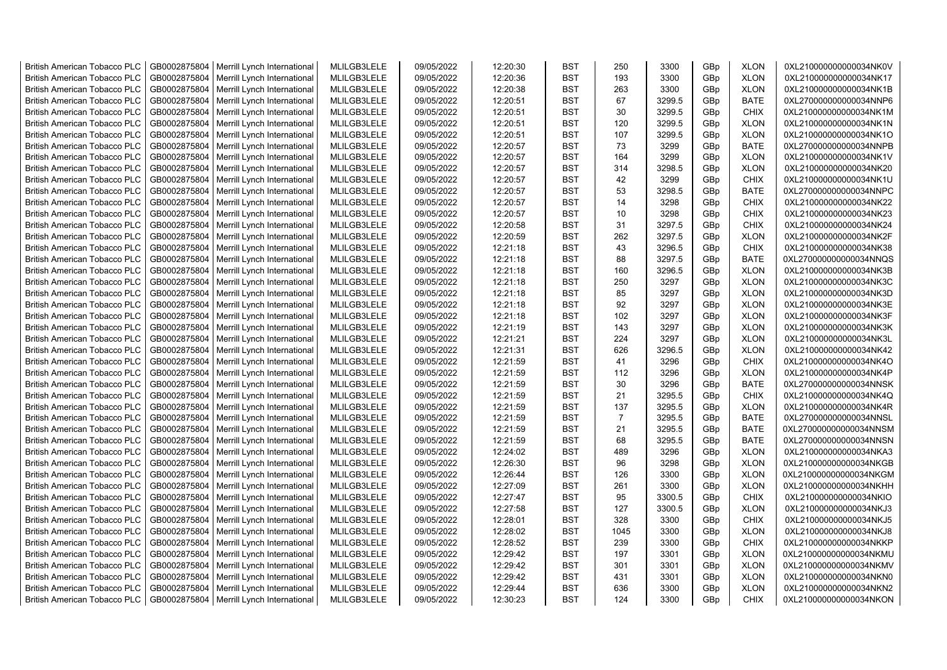| <b>British American Tobacco PLC</b> | GB0002875804 | Merrill Lynch International                | MLILGB3LELE | 09/05/2022 | 12:20:30 | <b>BST</b> | 250            | 3300   | GBp | <b>XLON</b> | 0XL210000000000034NK0V |
|-------------------------------------|--------------|--------------------------------------------|-------------|------------|----------|------------|----------------|--------|-----|-------------|------------------------|
| <b>British American Tobacco PLC</b> | GB0002875804 | Merrill Lynch International                | MLILGB3LELE | 09/05/2022 | 12:20:36 | <b>BST</b> | 193            | 3300   | GBp | <b>XLON</b> | 0XL210000000000034NK17 |
| <b>British American Tobacco PLC</b> | GB0002875804 | Merrill Lynch International                | MLILGB3LELE | 09/05/2022 | 12:20:38 | <b>BST</b> | 263            | 3300   | GBp | <b>XLON</b> | 0XL210000000000034NK1B |
| <b>British American Tobacco PLC</b> | GB0002875804 | Merrill Lynch International                | MLILGB3LELE | 09/05/2022 | 12:20:51 | <b>BST</b> | 67             | 3299.5 | GBp | <b>BATE</b> | 0XL270000000000034NNP6 |
| <b>British American Tobacco PLC</b> | GB0002875804 | Merrill Lynch International                | MLILGB3LELE | 09/05/2022 | 12:20:51 | <b>BST</b> | 30             | 3299.5 | GBp | <b>CHIX</b> | 0XL210000000000034NK1M |
| <b>British American Tobacco PLC</b> | GB0002875804 | Merrill Lynch International                | MLILGB3LELE | 09/05/2022 | 12:20:51 | <b>BST</b> | 120            | 3299.5 | GBp | <b>XLON</b> | 0XL210000000000034NK1N |
| <b>British American Tobacco PLC</b> | GB0002875804 | Merrill Lynch International                | MLILGB3LELE | 09/05/2022 | 12:20:51 | <b>BST</b> | 107            | 3299.5 | GBp | <b>XLON</b> | 0XL210000000000034NK1O |
| <b>British American Tobacco PLC</b> | GB0002875804 | Merrill Lynch International                | MLILGB3LELE | 09/05/2022 | 12:20:57 | <b>BST</b> | 73             | 3299   | GBp | <b>BATE</b> | 0XL270000000000034NNPB |
| <b>British American Tobacco PLC</b> | GB0002875804 | Merrill Lynch International                | MLILGB3LELE | 09/05/2022 | 12:20:57 | <b>BST</b> | 164            | 3299   | GBp | <b>XLON</b> | 0XL210000000000034NK1V |
| <b>British American Tobacco PLC</b> | GB0002875804 | Merrill Lynch International                | MLILGB3LELE | 09/05/2022 | 12:20:57 | <b>BST</b> | 314            | 3298.5 | GBp | <b>XLON</b> | 0XL210000000000034NK20 |
| <b>British American Tobacco PLC</b> | GB0002875804 | Merrill Lynch International                | MLILGB3LELE | 09/05/2022 | 12:20:57 | <b>BST</b> | 42             | 3299   | GBp | <b>CHIX</b> | 0XL210000000000034NK1U |
| <b>British American Tobacco PLC</b> | GB0002875804 | Merrill Lynch International                | MLILGB3LELE | 09/05/2022 | 12:20:57 | <b>BST</b> | 53             | 3298.5 | GBp | <b>BATE</b> | 0XL270000000000034NNPC |
| <b>British American Tobacco PLC</b> | GB0002875804 |                                            | MLILGB3LELE | 09/05/2022 | 12:20:57 | <b>BST</b> | 14             | 3298   | GBp | <b>CHIX</b> | 0XL210000000000034NK22 |
|                                     |              | Merrill Lynch International                |             |            |          | <b>BST</b> | 10             |        |     |             |                        |
| <b>British American Tobacco PLC</b> | GB0002875804 | Merrill Lynch International                | MLILGB3LELE | 09/05/2022 | 12:20:57 |            |                | 3298   | GBp | <b>CHIX</b> | 0XL210000000000034NK23 |
| <b>British American Tobacco PLC</b> | GB0002875804 | Merrill Lynch International                | MLILGB3LELE | 09/05/2022 | 12:20:58 | <b>BST</b> | 31             | 3297.5 | GBp | CHIX        | 0XL210000000000034NK24 |
| <b>British American Tobacco PLC</b> | GB0002875804 | Merrill Lynch International                | MLILGB3LELE | 09/05/2022 | 12:20:59 | <b>BST</b> | 262            | 3297.5 | GBp | <b>XLON</b> | 0XL210000000000034NK2F |
| <b>British American Tobacco PLC</b> | GB0002875804 | Merrill Lynch International                | MLILGB3LELE | 09/05/2022 | 12:21:18 | <b>BST</b> | 43             | 3296.5 | GBp | CHIX        | 0XL210000000000034NK38 |
| <b>British American Tobacco PLC</b> | GB0002875804 | Merrill Lynch International                | MLILGB3LELE | 09/05/2022 | 12:21:18 | <b>BST</b> | 88             | 3297.5 | GBp | <b>BATE</b> | 0XL270000000000034NNQS |
| <b>British American Tobacco PLC</b> | GB0002875804 | Merrill Lynch International                | MLILGB3LELE | 09/05/2022 | 12:21:18 | <b>BST</b> | 160            | 3296.5 | GBp | <b>XLON</b> | 0XL210000000000034NK3B |
| <b>British American Tobacco PLC</b> | GB0002875804 | Merrill Lynch International                | MLILGB3LELE | 09/05/2022 | 12:21:18 | <b>BST</b> | 250            | 3297   | GBp | <b>XLON</b> | 0XL210000000000034NK3C |
| <b>British American Tobacco PLC</b> | GB0002875804 | Merrill Lynch International                | MLILGB3LELE | 09/05/2022 | 12:21:18 | <b>BST</b> | 85             | 3297   | GBp | <b>XLON</b> | 0XL210000000000034NK3D |
| <b>British American Tobacco PLC</b> | GB0002875804 | Merrill Lynch International                | MLILGB3LELE | 09/05/2022 | 12:21:18 | <b>BST</b> | 92             | 3297   | GBp | <b>XLON</b> | 0XL210000000000034NK3E |
| <b>British American Tobacco PLC</b> | GB0002875804 | Merrill Lynch International                | MLILGB3LELE | 09/05/2022 | 12:21:18 | <b>BST</b> | 102            | 3297   | GBp | <b>XLON</b> | 0XL210000000000034NK3F |
| <b>British American Tobacco PLC</b> | GB0002875804 | Merrill Lynch International                | MLILGB3LELE | 09/05/2022 | 12:21:19 | <b>BST</b> | 143            | 3297   | GBp | <b>XLON</b> | 0XL210000000000034NK3K |
| <b>British American Tobacco PLC</b> | GB0002875804 | Merrill Lynch International                | MLILGB3LELE | 09/05/2022 | 12:21:21 | <b>BST</b> | 224            | 3297   | GBp | <b>XLON</b> | 0XL210000000000034NK3L |
| <b>British American Tobacco PLC</b> | GB0002875804 | Merrill Lynch International                | MLILGB3LELE | 09/05/2022 | 12:21:31 | <b>BST</b> | 626            | 3296.5 | GBp | <b>XLON</b> | 0XL210000000000034NK42 |
| <b>British American Tobacco PLC</b> | GB0002875804 | Merrill Lynch International                | MLILGB3LELE | 09/05/2022 | 12:21:59 | <b>BST</b> | 41             | 3296   | GBp | <b>CHIX</b> | 0XL210000000000034NK4O |
| <b>British American Tobacco PLC</b> | GB0002875804 | Merrill Lynch International                | MLILGB3LELE | 09/05/2022 | 12:21:59 | <b>BST</b> | 112            | 3296   | GBp | <b>XLON</b> | 0XL210000000000034NK4P |
| <b>British American Tobacco PLC</b> | GB0002875804 | Merrill Lynch International                | MLILGB3LELE | 09/05/2022 | 12:21:59 | <b>BST</b> | 30             | 3296   | GBp | <b>BATE</b> | 0XL270000000000034NNSK |
| <b>British American Tobacco PLC</b> | GB0002875804 | Merrill Lynch International                | MLILGB3LELE | 09/05/2022 | 12:21:59 | <b>BST</b> | 21             | 3295.5 | GBp | <b>CHIX</b> | 0XL210000000000034NK4Q |
| <b>British American Tobacco PLC</b> | GB0002875804 | Merrill Lynch International                | MLILGB3LELE | 09/05/2022 | 12:21:59 | <b>BST</b> | 137            | 3295.5 | GBp | <b>XLON</b> | 0XL210000000000034NK4R |
| <b>British American Tobacco PLC</b> | GB0002875804 | Merrill Lynch International                | MLILGB3LELE | 09/05/2022 | 12:21:59 | <b>BST</b> | $\overline{7}$ | 3295.5 | GBp | <b>BATE</b> | 0XL270000000000034NNSL |
| <b>British American Tobacco PLC</b> | GB0002875804 | Merrill Lynch International                | MLILGB3LELE | 09/05/2022 | 12:21:59 | <b>BST</b> | 21             | 3295.5 | GBp | <b>BATE</b> | 0XL270000000000034NNSM |
| <b>British American Tobacco PLC</b> | GB0002875804 | Merrill Lynch International                | MLILGB3LELE | 09/05/2022 | 12:21:59 | <b>BST</b> | 68             | 3295.5 | GBp | <b>BATE</b> | 0XL270000000000034NNSN |
| <b>British American Tobacco PLC</b> | GB0002875804 | Merrill Lynch International                | MLILGB3LELE | 09/05/2022 | 12:24:02 | <b>BST</b> | 489            | 3296   | GBp | <b>XLON</b> | 0XL210000000000034NKA3 |
| <b>British American Tobacco PLC</b> | GB0002875804 | Merrill Lynch International                | MLILGB3LELE | 09/05/2022 | 12:26:30 | <b>BST</b> | 96             | 3298   | GBp | <b>XLON</b> | 0XL210000000000034NKGB |
| <b>British American Tobacco PLC</b> | GB0002875804 | Merrill Lynch International                | MLILGB3LELE | 09/05/2022 | 12:26:44 | <b>BST</b> | 126            | 3300   | GBp | <b>XLON</b> | 0XL210000000000034NKGM |
| <b>British American Tobacco PLC</b> | GB0002875804 | Merrill Lynch International                | MLILGB3LELE | 09/05/2022 | 12:27:09 | <b>BST</b> | 261            | 3300   | GBp | <b>XLON</b> | 0XL210000000000034NKHH |
| <b>British American Tobacco PLC</b> | GB0002875804 | Merrill Lynch International                | MLILGB3LELE | 09/05/2022 | 12:27:47 | <b>BST</b> | 95             | 3300.5 | GBp | <b>CHIX</b> | 0XL210000000000034NKIO |
| <b>British American Tobacco PLC</b> | GB0002875804 | Merrill Lynch International                | MLILGB3LELE | 09/05/2022 | 12:27:58 | <b>BST</b> | 127            | 3300.5 | GBp | <b>XLON</b> | 0XL210000000000034NKJ3 |
| <b>British American Tobacco PLC</b> | GB0002875804 | Merrill Lynch International                | MLILGB3LELE | 09/05/2022 | 12:28:01 | <b>BST</b> | 328            | 3300   | GBp | <b>CHIX</b> | 0XL210000000000034NKJ5 |
| <b>British American Tobacco PLC</b> | GB0002875804 | Merrill Lynch International                | MLILGB3LELE | 09/05/2022 | 12:28:02 | <b>BST</b> | 1045           | 3300   | GBp | <b>XLON</b> | 0XL210000000000034NKJ8 |
| <b>British American Tobacco PLC</b> | GB0002875804 | Merrill Lynch International                | MLILGB3LELE | 09/05/2022 | 12:28:52 | <b>BST</b> | 239            | 3300   | GBp | <b>CHIX</b> | 0XL210000000000034NKKP |
| <b>British American Tobacco PLC</b> | GB0002875804 | Merrill Lynch International                | MLILGB3LELE | 09/05/2022 | 12:29:42 | <b>BST</b> | 197            | 3301   | GBp | <b>XLON</b> | 0XL210000000000034NKMU |
| <b>British American Tobacco PLC</b> | GB0002875804 | Merrill Lynch International                | MLILGB3LELE | 09/05/2022 | 12:29:42 | <b>BST</b> | 301            | 3301   | GBp | <b>XLON</b> | 0XL210000000000034NKMV |
| <b>British American Tobacco PLC</b> | GB0002875804 | Merrill Lynch International                | MLILGB3LELE | 09/05/2022 | 12:29:42 | <b>BST</b> | 431            | 3301   | GBp | <b>XLON</b> | 0XL210000000000034NKN0 |
| <b>British American Tobacco PLC</b> | GB0002875804 | Merrill Lynch International                | MLILGB3LELE | 09/05/2022 | 12:29:44 | <b>BST</b> | 636            | 3300   | GBp | <b>XLON</b> | 0XL210000000000034NKN2 |
| <b>British American Tobacco PLC</b> |              | GB0002875804   Merrill Lynch International | MLILGB3LELE | 09/05/2022 | 12:30:23 | <b>BST</b> | 124            | 3300   | GBp | <b>CHIX</b> | 0XL210000000000034NKON |
|                                     |              |                                            |             |            |          |            |                |        |     |             |                        |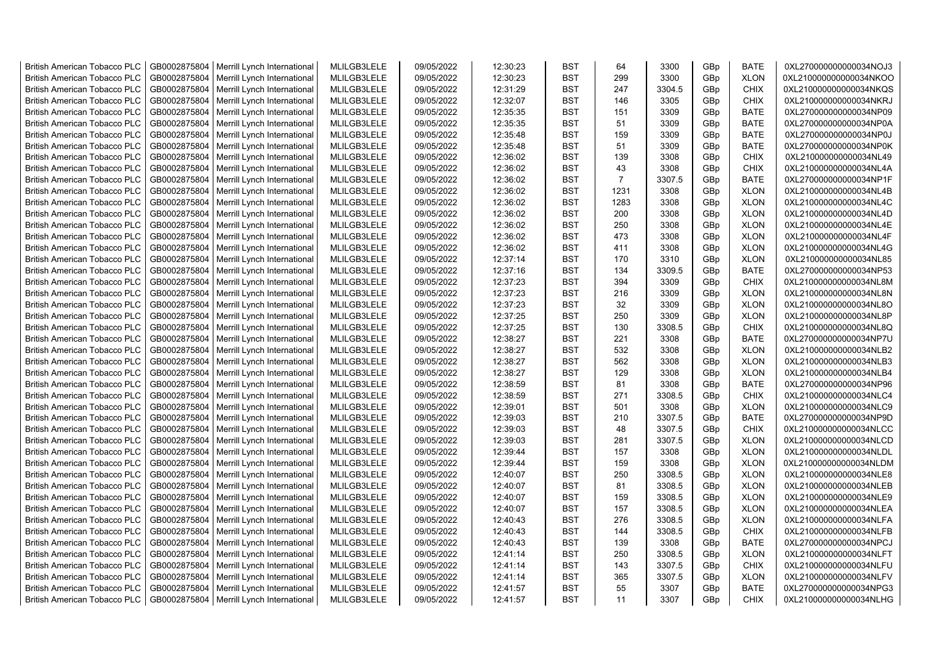| <b>British American Tobacco PLC</b> | GB0002875804 | Merrill Lynch International | MLILGB3LELE | 09/05/2022 | 12:30:23 | <b>BST</b> | 64             | 3300   | GBp | <b>BATE</b> | 0XL270000000000034NOJ3 |
|-------------------------------------|--------------|-----------------------------|-------------|------------|----------|------------|----------------|--------|-----|-------------|------------------------|
| <b>British American Tobacco PLC</b> | GB0002875804 | Merrill Lynch International | MLILGB3LELE | 09/05/2022 | 12:30:23 | <b>BST</b> | 299            | 3300   | GBp | <b>XLON</b> | 0XL210000000000034NKOO |
| <b>British American Tobacco PLC</b> | GB0002875804 | Merrill Lynch International | MLILGB3LELE | 09/05/2022 | 12:31:29 | <b>BST</b> | 247            | 3304.5 | GBp | <b>CHIX</b> | 0XL210000000000034NKQS |
| <b>British American Tobacco PLC</b> | GB0002875804 | Merrill Lynch International | MLILGB3LELE | 09/05/2022 | 12:32:07 | <b>BST</b> | 146            | 3305   | GBp | <b>CHIX</b> | 0XL210000000000034NKRJ |
| <b>British American Tobacco PLC</b> | GB0002875804 | Merrill Lynch International | MLILGB3LELE | 09/05/2022 | 12:35:35 | <b>BST</b> | 151            | 3309   | GBp | <b>BATE</b> | 0XL270000000000034NP09 |
| <b>British American Tobacco PLC</b> | GB0002875804 | Merrill Lynch International | MLILGB3LELE | 09/05/2022 | 12:35:35 | <b>BST</b> | 51             | 3309   | GBp | <b>BATE</b> | 0XL270000000000034NP0A |
| <b>British American Tobacco PLC</b> | GB0002875804 | Merrill Lynch International | MLILGB3LELE | 09/05/2022 | 12:35:48 | <b>BST</b> | 159            | 3309   | GBp | <b>BATE</b> | 0XL270000000000034NP0J |
| <b>British American Tobacco PLC</b> | GB0002875804 | Merrill Lynch International | MLILGB3LELE | 09/05/2022 | 12:35:48 | <b>BST</b> | 51             | 3309   | GBp | <b>BATE</b> | 0XL270000000000034NP0K |
| <b>British American Tobacco PLC</b> | GB0002875804 | Merrill Lynch International | MLILGB3LELE | 09/05/2022 | 12:36:02 | BST        | 139            | 3308   | GBp | <b>CHIX</b> | 0XL210000000000034NL49 |
| <b>British American Tobacco PLC</b> | GB0002875804 | Merrill Lynch International | MLILGB3LELE | 09/05/2022 | 12:36:02 | <b>BST</b> | 43             | 3308   | GBp | <b>CHIX</b> | 0XL210000000000034NL4A |
| British American Tobacco PLC        | GB0002875804 | Merrill Lynch International | MLILGB3LELE | 09/05/2022 | 12:36:02 | <b>BST</b> | $\overline{7}$ | 3307.5 | GBp | <b>BATE</b> | 0XL270000000000034NP1F |
| <b>British American Tobacco PLC</b> | GB0002875804 | Merrill Lynch International | MLILGB3LELE | 09/05/2022 | 12:36:02 | <b>BST</b> | 1231           | 3308   | GBp | <b>XLON</b> | 0XL210000000000034NL4B |
| <b>British American Tobacco PLC</b> | GB0002875804 | Merrill Lynch International | MLILGB3LELE | 09/05/2022 | 12:36:02 | <b>BST</b> | 1283           | 3308   | GBp | <b>XLON</b> | 0XL210000000000034NL4C |
| <b>British American Tobacco PLC</b> | GB0002875804 | Merrill Lynch International | MLILGB3LELE | 09/05/2022 | 12:36:02 | <b>BST</b> | 200            | 3308   | GBp | <b>XLON</b> | 0XL210000000000034NL4D |
| <b>British American Tobacco PLC</b> | GB0002875804 | Merrill Lynch International | MLILGB3LELE | 09/05/2022 | 12:36:02 | <b>BST</b> | 250            | 3308   | GBp | <b>XLON</b> | 0XL210000000000034NL4E |
| <b>British American Tobacco PLC</b> | GB0002875804 | Merrill Lynch International | MLILGB3LELE | 09/05/2022 | 12:36:02 | <b>BST</b> | 473            | 3308   | GBp | <b>XLON</b> | 0XL210000000000034NL4F |
| <b>British American Tobacco PLC</b> | GB0002875804 | Merrill Lynch International | MLILGB3LELE | 09/05/2022 | 12:36:02 | <b>BST</b> | 411            | 3308   | GBp | <b>XLON</b> | 0XL210000000000034NL4G |
| <b>British American Tobacco PLC</b> | GB0002875804 | Merrill Lynch International | MLILGB3LELE | 09/05/2022 | 12:37:14 | <b>BST</b> | 170            | 3310   | GBp | <b>XLON</b> | 0XL210000000000034NL85 |
| <b>British American Tobacco PLC</b> | GB0002875804 | Merrill Lynch International | MLILGB3LELE | 09/05/2022 | 12:37:16 | <b>BST</b> | 134            | 3309.5 | GBp | <b>BATE</b> | 0XL270000000000034NP53 |
| <b>British American Tobacco PLC</b> | GB0002875804 | Merrill Lynch International | MLILGB3LELE | 09/05/2022 | 12:37:23 | <b>BST</b> | 394            | 3309   | GBp | <b>CHIX</b> | 0XL210000000000034NL8M |
| <b>British American Tobacco PLC</b> | GB0002875804 | Merrill Lynch International | MLILGB3LELE | 09/05/2022 | 12:37:23 | <b>BST</b> | 216            | 3309   | GBp | <b>XLON</b> | 0XL210000000000034NL8N |
| <b>British American Tobacco PLC</b> | GB0002875804 | Merrill Lynch International | MLILGB3LELE | 09/05/2022 | 12:37:23 | <b>BST</b> | 32             | 3309   | GBp | <b>XLON</b> | 0XL210000000000034NL8O |
| <b>British American Tobacco PLC</b> | GB0002875804 | Merrill Lynch International | MLILGB3LELE | 09/05/2022 | 12:37:25 | <b>BST</b> | 250            | 3309   | GBp | <b>XLON</b> | 0XL210000000000034NL8P |
| <b>British American Tobacco PLC</b> | GB0002875804 | Merrill Lynch International | MLILGB3LELE | 09/05/2022 | 12:37:25 | BST        | 130            | 3308.5 | GBp | <b>CHIX</b> | 0XL210000000000034NL8Q |
| <b>British American Tobacco PLC</b> | GB0002875804 | Merrill Lynch International | MLILGB3LELE | 09/05/2022 | 12:38:27 | <b>BST</b> | 221            | 3308   | GBp | <b>BATE</b> | 0XL270000000000034NP7U |
| <b>British American Tobacco PLC</b> | GB0002875804 | Merrill Lynch International | MLILGB3LELE | 09/05/2022 | 12:38:27 | <b>BST</b> | 532            | 3308   | GBp | <b>XLON</b> | 0XL210000000000034NLB2 |
| <b>British American Tobacco PLC</b> | GB0002875804 | Merrill Lynch International | MLILGB3LELE | 09/05/2022 | 12:38:27 | <b>BST</b> | 562            | 3308   | GBp | <b>XLON</b> | 0XL210000000000034NLB3 |
| British American Tobacco PLC        | GB0002875804 | Merrill Lynch International | MLILGB3LELE | 09/05/2022 | 12:38:27 | <b>BST</b> | 129            | 3308   | GBp | <b>XLON</b> | 0XL210000000000034NLB4 |
| <b>British American Tobacco PLC</b> | GB0002875804 | Merrill Lynch International | MLILGB3LELE | 09/05/2022 | 12:38:59 | <b>BST</b> | 81             | 3308   | GBp | <b>BATE</b> | 0XL270000000000034NP96 |
| <b>British American Tobacco PLC</b> | GB0002875804 | Merrill Lynch International | MLILGB3LELE | 09/05/2022 | 12:38:59 | <b>BST</b> | 271            | 3308.5 | GBp | <b>CHIX</b> | 0XL210000000000034NLC4 |
| <b>British American Tobacco PLC</b> | GB0002875804 | Merrill Lynch International | MLILGB3LELE | 09/05/2022 | 12:39:01 | <b>BST</b> | 501            | 3308   | GBp | <b>XLON</b> | 0XL210000000000034NLC9 |
| <b>British American Tobacco PLC</b> | GB0002875804 | Merrill Lynch International | MLILGB3LELE | 09/05/2022 | 12:39:03 | <b>BST</b> | 210            | 3307.5 | GBp | <b>BATE</b> | 0XL270000000000034NP9D |
| <b>British American Tobacco PLC</b> | GB0002875804 | Merrill Lynch International | MLILGB3LELE | 09/05/2022 | 12:39:03 | <b>BST</b> | 48             | 3307.5 | GBp | <b>CHIX</b> | 0XL210000000000034NLCC |
| <b>British American Tobacco PLC</b> | GB0002875804 | Merrill Lynch International | MLILGB3LELE | 09/05/2022 | 12:39:03 | <b>BST</b> | 281            | 3307.5 | GBp | <b>XLON</b> | 0XL210000000000034NLCD |
| <b>British American Tobacco PLC</b> | GB0002875804 | Merrill Lynch International | MLILGB3LELE | 09/05/2022 | 12:39:44 | <b>BST</b> | 157            | 3308   | GBp | <b>XLON</b> | 0XL210000000000034NLDL |
| <b>British American Tobacco PLC</b> | GB0002875804 | Merrill Lynch International | MLILGB3LELE | 09/05/2022 | 12:39:44 | <b>BST</b> | 159            | 3308   | GBp | <b>XLON</b> | 0XL210000000000034NLDM |
| <b>British American Tobacco PLC</b> | GB0002875804 | Merrill Lynch International | MLILGB3LELE | 09/05/2022 | 12:40:07 | <b>BST</b> | 250            | 3308.5 | GBp | <b>XLON</b> | 0XL210000000000034NLE8 |
| <b>British American Tobacco PLC</b> | GB0002875804 | Merrill Lynch International | MLILGB3LELE | 09/05/2022 | 12:40:07 | <b>BST</b> | 81             | 3308.5 | GBp | <b>XLON</b> | 0XL210000000000034NLEB |
| <b>British American Tobacco PLC</b> | GB0002875804 | Merrill Lynch International | MLILGB3LELE | 09/05/2022 | 12:40:07 | <b>BST</b> | 159            | 3308.5 | GBp | <b>XLON</b> | 0XL210000000000034NLE9 |
| <b>British American Tobacco PLC</b> | GB0002875804 | Merrill Lynch International | MLILGB3LELE | 09/05/2022 | 12:40:07 | <b>BST</b> | 157            | 3308.5 | GBp | <b>XLON</b> | 0XL210000000000034NLEA |
| <b>British American Tobacco PLC</b> | GB0002875804 | Merrill Lynch International | MLILGB3LELE | 09/05/2022 | 12:40:43 | <b>BST</b> | 276            | 3308.5 | GBp | <b>XLON</b> | 0XL210000000000034NLFA |
| <b>British American Tobacco PLC</b> | GB0002875804 | Merrill Lynch International | MLILGB3LELE | 09/05/2022 | 12:40:43 | <b>BST</b> | 144            | 3308.5 | GBp | <b>CHIX</b> | 0XL210000000000034NLFB |
| <b>British American Tobacco PLC</b> | GB0002875804 | Merrill Lynch International | MLILGB3LELE | 09/05/2022 | 12:40:43 | <b>BST</b> | 139            | 3308   | GBp | <b>BATE</b> | 0XL270000000000034NPCJ |
| British American Tobacco PLC        | GB0002875804 | Merrill Lynch International | MLILGB3LELE | 09/05/2022 | 12:41:14 | <b>BST</b> | 250            | 3308.5 | GBp | <b>XLON</b> | 0XL210000000000034NLFT |
| <b>British American Tobacco PLC</b> | GB0002875804 | Merrill Lynch International | MLILGB3LELE | 09/05/2022 | 12:41:14 | <b>BST</b> | 143            | 3307.5 | GBp | <b>CHIX</b> | 0XL210000000000034NLFU |
| <b>British American Tobacco PLC</b> | GB0002875804 | Merrill Lynch International | MLILGB3LELE | 09/05/2022 | 12:41:14 | <b>BST</b> | 365            | 3307.5 | GBp | <b>XLON</b> | 0XL210000000000034NLFV |
| <b>British American Tobacco PLC</b> | GB0002875804 | Merrill Lynch International | MLILGB3LELE | 09/05/2022 | 12:41:57 | <b>BST</b> | 55             | 3307   | GBp | <b>BATE</b> | 0XL270000000000034NPG3 |
| <b>British American Tobacco PLC</b> | GB0002875804 | Merrill Lynch International | MLILGB3LELE | 09/05/2022 | 12:41:57 | <b>BST</b> | 11             | 3307   | GBp | <b>CHIX</b> | 0XL210000000000034NLHG |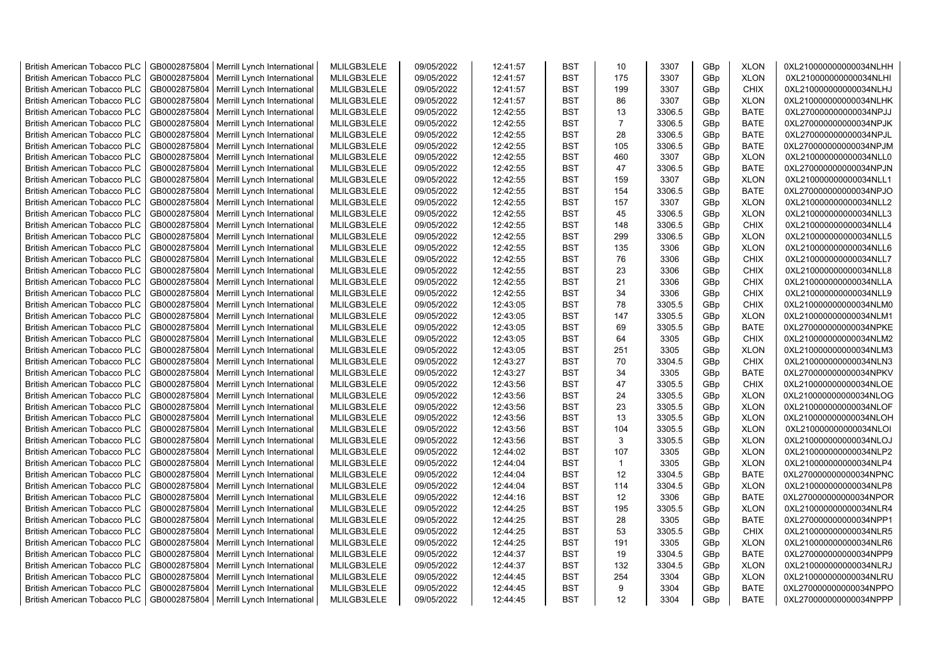| <b>British American Tobacco PLC</b> | GB0002875804 | Merrill Lynch International                | MLILGB3LELE | 09/05/2022 | 12:41:57 | <b>BST</b> | 10             | 3307   | GBp | <b>XLON</b> | 0XL210000000000034NLHH |
|-------------------------------------|--------------|--------------------------------------------|-------------|------------|----------|------------|----------------|--------|-----|-------------|------------------------|
| <b>British American Tobacco PLC</b> | GB0002875804 | Merrill Lynch International                | MLILGB3LELE | 09/05/2022 | 12:41:57 | <b>BST</b> | 175            | 3307   | GBp | <b>XLON</b> | 0XL210000000000034NLHI |
| <b>British American Tobacco PLC</b> | GB0002875804 | Merrill Lynch International                | MLILGB3LELE | 09/05/2022 | 12:41:57 | <b>BST</b> | 199            | 3307   | GBp | <b>CHIX</b> | 0XL210000000000034NLHJ |
| <b>British American Tobacco PLC</b> | GB0002875804 | Merrill Lynch International                | MLILGB3LELE | 09/05/2022 | 12:41:57 | <b>BST</b> | 86             | 3307   | GBp | <b>XLON</b> | 0XL210000000000034NLHK |
| <b>British American Tobacco PLC</b> | GB0002875804 | Merrill Lynch International                | MLILGB3LELE | 09/05/2022 | 12:42:55 | <b>BST</b> | 13             | 3306.5 | GBp | <b>BATE</b> | 0XL270000000000034NPJJ |
| <b>British American Tobacco PLC</b> | GB0002875804 | Merrill Lynch International                | MLILGB3LELE | 09/05/2022 | 12:42:55 | <b>BST</b> | $\overline{7}$ | 3306.5 | GBp | <b>BATE</b> | 0XL270000000000034NPJK |
| <b>British American Tobacco PLC</b> | GB0002875804 | Merrill Lynch International                | MLILGB3LELE | 09/05/2022 | 12:42:55 | <b>BST</b> | 28             | 3306.5 | GBp | <b>BATE</b> | 0XL270000000000034NPJL |
| <b>British American Tobacco PLC</b> | GB0002875804 | Merrill Lynch International                | MLILGB3LELE | 09/05/2022 | 12:42:55 | BST        | 105            | 3306.5 | GBp | <b>BATE</b> | 0XL270000000000034NPJM |
| <b>British American Tobacco PLC</b> | GB0002875804 | Merrill Lynch International                | MLILGB3LELE | 09/05/2022 | 12:42:55 | <b>BST</b> | 460            | 3307   | GBp | <b>XLON</b> | 0XL210000000000034NLL0 |
| <b>British American Tobacco PLC</b> | GB0002875804 | Merrill Lynch International                | MLILGB3LELE | 09/05/2022 | 12:42:55 | <b>BST</b> | 47             | 3306.5 | GBp | <b>BATE</b> | 0XL270000000000034NPJN |
| <b>British American Tobacco PLC</b> | GB0002875804 | Merrill Lynch International                | MLILGB3LELE | 09/05/2022 | 12:42:55 | <b>BST</b> | 159            | 3307   | GBp | <b>XLON</b> | 0XL210000000000034NLL1 |
| <b>British American Tobacco PLC</b> | GB0002875804 | Merrill Lynch International                | MLILGB3LELE | 09/05/2022 | 12:42:55 | <b>BST</b> | 154            | 3306.5 | GBp | <b>BATE</b> | 0XL270000000000034NPJO |
| <b>British American Tobacco PLC</b> | GB0002875804 | Merrill Lynch International                | MLILGB3LELE | 09/05/2022 | 12:42:55 | <b>BST</b> | 157            | 3307   | GBp | <b>XLON</b> | 0XL210000000000034NLL2 |
| <b>British American Tobacco PLC</b> | GB0002875804 | Merrill Lynch International                | MLILGB3LELE | 09/05/2022 | 12:42:55 | <b>BST</b> | 45             | 3306.5 | GBp | <b>XLON</b> | 0XL210000000000034NLL3 |
| <b>British American Tobacco PLC</b> | GB0002875804 | Merrill Lynch International                | MLILGB3LELE | 09/05/2022 | 12:42:55 | <b>BST</b> | 148            | 3306.5 | GBp | <b>CHIX</b> | 0XL210000000000034NLL4 |
| <b>British American Tobacco PLC</b> | GB0002875804 | Merrill Lynch International                | MLILGB3LELE | 09/05/2022 | 12:42:55 | <b>BST</b> | 299            | 3306.5 | GBp | <b>XLON</b> | 0XL210000000000034NLL5 |
| <b>British American Tobacco PLC</b> | GB0002875804 | Merrill Lynch International                | MLILGB3LELE | 09/05/2022 | 12:42:55 | <b>BST</b> | 135            | 3306   | GBp | <b>XLON</b> | 0XL210000000000034NLL6 |
| <b>British American Tobacco PLC</b> | GB0002875804 | Merrill Lynch International                | MLILGB3LELE | 09/05/2022 | 12:42:55 | <b>BST</b> | 76             | 3306   | GBp | <b>CHIX</b> | 0XL210000000000034NLL7 |
| <b>British American Tobacco PLC</b> | GB0002875804 | Merrill Lynch International                | MLILGB3LELE | 09/05/2022 | 12:42:55 | <b>BST</b> | 23             | 3306   | GBp | <b>CHIX</b> | 0XL210000000000034NLL8 |
| <b>British American Tobacco PLC</b> | GB0002875804 | Merrill Lynch International                | MLILGB3LELE | 09/05/2022 | 12:42:55 | <b>BST</b> | 21             | 3306   | GBp | <b>CHIX</b> | 0XL210000000000034NLLA |
| <b>British American Tobacco PLC</b> | GB0002875804 | Merrill Lynch International                | MLILGB3LELE | 09/05/2022 | 12:42:55 | <b>BST</b> | 34             | 3306   | GBp | <b>CHIX</b> | 0XL210000000000034NLL9 |
| <b>British American Tobacco PLC</b> | GB0002875804 | Merrill Lynch International                | MLILGB3LELE | 09/05/2022 | 12:43:05 | <b>BST</b> | 78             | 3305.5 | GBp | <b>CHIX</b> | 0XL210000000000034NLM0 |
| <b>British American Tobacco PLC</b> | GB0002875804 | Merrill Lynch International                | MLILGB3LELE | 09/05/2022 | 12:43:05 | <b>BST</b> | 147            | 3305.5 | GBp | <b>XLON</b> | 0XL210000000000034NLM1 |
| <b>British American Tobacco PLC</b> | GB0002875804 | Merrill Lynch International                | MLILGB3LELE | 09/05/2022 | 12:43:05 | BST        | 69             | 3305.5 | GBp | <b>BATE</b> | 0XL270000000000034NPKE |
| <b>British American Tobacco PLC</b> | GB0002875804 | Merrill Lynch International                | MLILGB3LELE | 09/05/2022 | 12:43:05 | <b>BST</b> | 64             | 3305   | GBp | <b>CHIX</b> | 0XL210000000000034NLM2 |
| <b>British American Tobacco PLC</b> | GB0002875804 | Merrill Lynch International                | MLILGB3LELE | 09/05/2022 | 12:43:05 | <b>BST</b> | 251            | 3305   | GBp | <b>XLON</b> | 0XL210000000000034NLM3 |
| British American Tobacco PLC        | GB0002875804 | Merrill Lynch International                | MLILGB3LELE | 09/05/2022 | 12:43:27 | <b>BST</b> | 70             | 3304.5 | GBp | <b>CHIX</b> | 0XL210000000000034NLN3 |
| British American Tobacco PLC        | GB0002875804 | Merrill Lynch International                | MLILGB3LELE | 09/05/2022 | 12:43:27 | <b>BST</b> | 34             | 3305   | GBp | <b>BATE</b> | 0XL270000000000034NPKV |
| <b>British American Tobacco PLC</b> | GB0002875804 | Merrill Lynch International                | MLILGB3LELE | 09/05/2022 | 12:43:56 | <b>BST</b> | 47             | 3305.5 | GBp | <b>CHIX</b> | 0XL210000000000034NLOE |
| <b>British American Tobacco PLC</b> | GB0002875804 | Merrill Lynch International                | MLILGB3LELE | 09/05/2022 | 12:43:56 | <b>BST</b> | 24             | 3305.5 | GBp | <b>XLON</b> | 0XL210000000000034NLOG |
| <b>British American Tobacco PLC</b> | GB0002875804 | Merrill Lynch International                | MLILGB3LELE | 09/05/2022 | 12:43:56 | <b>BST</b> | 23             | 3305.5 | GBp | <b>XLON</b> | 0XL210000000000034NLOF |
| <b>British American Tobacco PLC</b> | GB0002875804 | Merrill Lynch International                | MLILGB3LELE | 09/05/2022 | 12:43:56 | <b>BST</b> | 13             | 3305.5 | GBp | <b>XLON</b> | 0XL210000000000034NLOH |
| <b>British American Tobacco PLC</b> | GB0002875804 | Merrill Lynch International                | MLILGB3LELE | 09/05/2022 | 12:43:56 | <b>BST</b> | 104            | 3305.5 | GBp | <b>XLON</b> | 0XL210000000000034NLOI |
| <b>British American Tobacco PLC</b> | GB0002875804 | Merrill Lynch International                | MLILGB3LELE | 09/05/2022 | 12:43:56 | <b>BST</b> | 3              | 3305.5 | GBp | <b>XLON</b> | 0XL210000000000034NLOJ |
| <b>British American Tobacco PLC</b> | GB0002875804 | Merrill Lynch International                | MLILGB3LELE | 09/05/2022 | 12:44:02 | <b>BST</b> | 107            | 3305   | GBp | <b>XLON</b> | 0XL210000000000034NLP2 |
| <b>British American Tobacco PLC</b> | GB0002875804 | Merrill Lynch International                | MLILGB3LELE | 09/05/2022 | 12:44:04 | <b>BST</b> | $\mathbf{1}$   | 3305   | GBp | <b>XLON</b> | 0XL210000000000034NLP4 |
| <b>British American Tobacco PLC</b> | GB0002875804 | Merrill Lynch International                | MLILGB3LELE | 09/05/2022 | 12:44:04 | <b>BST</b> | 12             | 3304.5 | GBp | <b>BATE</b> | 0XL270000000000034NPNC |
| <b>British American Tobacco PLC</b> | GB0002875804 | Merrill Lynch International                | MLILGB3LELE | 09/05/2022 | 12:44:04 | <b>BST</b> | 114            | 3304.5 | GBp | <b>XLON</b> | 0XL210000000000034NLP8 |
| <b>British American Tobacco PLC</b> | GB0002875804 | Merrill Lynch International                | MLILGB3LELE | 09/05/2022 | 12:44:16 | <b>BST</b> | 12             | 3306   | GBp | <b>BATE</b> | 0XL270000000000034NPOR |
| <b>British American Tobacco PLC</b> | GB0002875804 | Merrill Lynch International                | MLILGB3LELE | 09/05/2022 | 12:44:25 | <b>BST</b> | 195            | 3305.5 | GBp | <b>XLON</b> | 0XL210000000000034NLR4 |
| <b>British American Tobacco PLC</b> | GB0002875804 | Merrill Lynch International                | MLILGB3LELE | 09/05/2022 | 12:44:25 | <b>BST</b> | 28             | 3305   | GBp | <b>BATE</b> | 0XL270000000000034NPP1 |
| <b>British American Tobacco PLC</b> | GB0002875804 | Merrill Lynch International                | MLILGB3LELE | 09/05/2022 | 12:44:25 | <b>BST</b> | 53             | 3305.5 | GBp | <b>CHIX</b> | 0XL210000000000034NLR5 |
| <b>British American Tobacco PLC</b> | GB0002875804 | Merrill Lynch International                | MLILGB3LELE | 09/05/2022 | 12:44:25 | <b>BST</b> | 191            | 3305   | GBp | <b>XLON</b> | 0XL210000000000034NLR6 |
| <b>British American Tobacco PLC</b> | GB0002875804 | Merrill Lynch International                | MLILGB3LELE | 09/05/2022 | 12:44:37 | <b>BST</b> | 19             | 3304.5 | GBp | <b>BATE</b> | 0XL270000000000034NPP9 |
| <b>British American Tobacco PLC</b> | GB0002875804 | Merrill Lynch International                | MLILGB3LELE | 09/05/2022 | 12:44:37 | <b>BST</b> | 132            | 3304.5 | GBp | <b>XLON</b> | 0XL210000000000034NLRJ |
| <b>British American Tobacco PLC</b> | GB0002875804 | Merrill Lynch International                | MLILGB3LELE | 09/05/2022 | 12:44:45 | <b>BST</b> | 254            | 3304   | GBp | <b>XLON</b> | 0XL210000000000034NLRU |
| <b>British American Tobacco PLC</b> | GB0002875804 | Merrill Lynch International                | MLILGB3LELE | 09/05/2022 | 12:44:45 | <b>BST</b> | 9              | 3304   | GBp | <b>BATE</b> | 0XL270000000000034NPPO |
| <b>British American Tobacco PLC</b> |              | GB0002875804   Merrill Lynch International | MLILGB3LELE | 09/05/2022 | 12:44:45 | <b>BST</b> | 12             | 3304   | GBp | <b>BATE</b> | 0XL270000000000034NPPP |
|                                     |              |                                            |             |            |          |            |                |        |     |             |                        |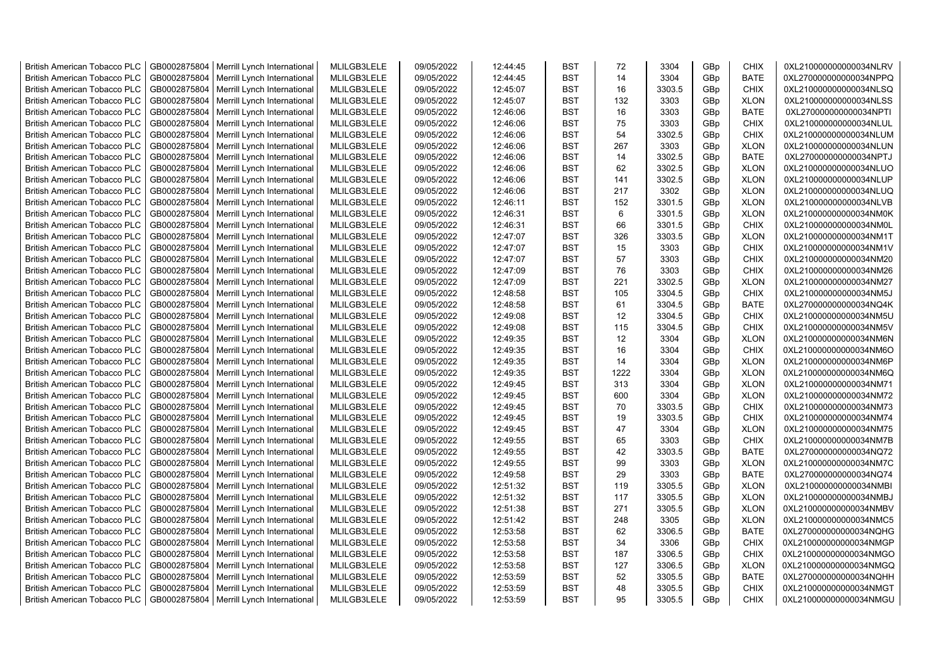| <b>British American Tobacco PLC</b> | GB0002875804 | Merrill Lynch International | MLILGB3LELE | 09/05/2022 | 12:44:45 | <b>BST</b> | 72   | 3304   | GBp             | <b>CHIX</b> | 0XL210000000000034NLRV |
|-------------------------------------|--------------|-----------------------------|-------------|------------|----------|------------|------|--------|-----------------|-------------|------------------------|
| <b>British American Tobacco PLC</b> | GB0002875804 | Merrill Lynch International | MLILGB3LELE | 09/05/2022 | 12:44:45 | <b>BST</b> | 14   | 3304   | GBp             | <b>BATE</b> | 0XL270000000000034NPPQ |
| <b>British American Tobacco PLC</b> | GB0002875804 | Merrill Lynch International | MLILGB3LELE | 09/05/2022 | 12:45:07 | <b>BST</b> | 16   | 3303.5 | GBp             | <b>CHIX</b> | 0XL210000000000034NLSQ |
| <b>British American Tobacco PLC</b> | GB0002875804 | Merrill Lynch International | MLILGB3LELE | 09/05/2022 | 12:45:07 | <b>BST</b> | 132  | 3303   | GBp             | <b>XLON</b> | 0XL210000000000034NLSS |
| <b>British American Tobacco PLC</b> | GB0002875804 | Merrill Lynch International | MLILGB3LELE | 09/05/2022 | 12:46:06 | <b>BST</b> | 16   | 3303   | GBp             | <b>BATE</b> | 0XL270000000000034NPTI |
| <b>British American Tobacco PLC</b> | GB0002875804 | Merrill Lynch International | MLILGB3LELE | 09/05/2022 | 12:46:06 | <b>BST</b> | 75   | 3303   | GBp             | <b>CHIX</b> | 0XL210000000000034NLUL |
| <b>British American Tobacco PLC</b> | GB0002875804 | Merrill Lynch International | MLILGB3LELE | 09/05/2022 | 12:46:06 | <b>BST</b> | 54   | 3302.5 | GBp             | <b>CHIX</b> | 0XL210000000000034NLUM |
| <b>British American Tobacco PLC</b> | GB0002875804 | Merrill Lynch International | MLILGB3LELE | 09/05/2022 | 12:46:06 | <b>BST</b> | 267  | 3303   | GBp             | <b>XLON</b> | 0XL210000000000034NLUN |
| <b>British American Tobacco PLC</b> | GB0002875804 | Merrill Lynch International | MLILGB3LELE | 09/05/2022 | 12:46:06 | <b>BST</b> | 14   | 3302.5 | GBp             | <b>BATE</b> | 0XL270000000000034NPTJ |
| <b>British American Tobacco PLC</b> | GB0002875804 | Merrill Lynch International | MLILGB3LELE | 09/05/2022 | 12:46:06 | <b>BST</b> | 62   | 3302.5 | GBp             | <b>XLON</b> | 0XL210000000000034NLUO |
| British American Tobacco PLC        | GB0002875804 | Merrill Lynch International | MLILGB3LELE | 09/05/2022 | 12:46:06 | <b>BST</b> | 141  | 3302.5 | GBp             | <b>XLON</b> | 0XL210000000000034NLUP |
| <b>British American Tobacco PLC</b> | GB0002875804 | Merrill Lynch International | MLILGB3LELE | 09/05/2022 | 12:46:06 | <b>BST</b> | 217  | 3302   | GBp             | <b>XLON</b> | 0XL210000000000034NLUQ |
| <b>British American Tobacco PLC</b> | GB0002875804 | Merrill Lynch International | MLILGB3LELE | 09/05/2022 | 12:46:11 | <b>BST</b> | 152  | 3301.5 | GBp             | <b>XLON</b> | 0XL210000000000034NLVB |
| <b>British American Tobacco PLC</b> | GB0002875804 | Merrill Lynch International | MLILGB3LELE | 09/05/2022 | 12:46:31 | <b>BST</b> | 6    | 3301.5 | GBp             | <b>XLON</b> | 0XL210000000000034NM0K |
| <b>British American Tobacco PLC</b> | GB0002875804 | Merrill Lynch International | MLILGB3LELE | 09/05/2022 | 12:46:31 | <b>BST</b> | 66   | 3301.5 | GBp             | <b>CHIX</b> | 0XL210000000000034NM0L |
| <b>British American Tobacco PLC</b> | GB0002875804 | Merrill Lynch International | MLILGB3LELE | 09/05/2022 | 12:47:07 | <b>BST</b> | 326  | 3303.5 | GBp             | <b>XLON</b> | 0XL210000000000034NM1T |
| <b>British American Tobacco PLC</b> | GB0002875804 | Merrill Lynch International | MLILGB3LELE | 09/05/2022 | 12:47:07 | <b>BST</b> | 15   | 3303   | GBp             | <b>CHIX</b> | 0XL210000000000034NM1V |
| <b>British American Tobacco PLC</b> | GB0002875804 | Merrill Lynch International | MLILGB3LELE | 09/05/2022 | 12:47:07 | <b>BST</b> | 57   | 3303   | GBp             | <b>CHIX</b> | 0XL210000000000034NM20 |
| <b>British American Tobacco PLC</b> | GB0002875804 | Merrill Lynch International | MLILGB3LELE | 09/05/2022 | 12:47:09 | <b>BST</b> | 76   | 3303   | GBp             | <b>CHIX</b> | 0XL210000000000034NM26 |
| <b>British American Tobacco PLC</b> | GB0002875804 | Merrill Lynch International | MLILGB3LELE | 09/05/2022 | 12:47:09 | <b>BST</b> | 221  | 3302.5 | GBp             | <b>XLON</b> | 0XL210000000000034NM27 |
| <b>British American Tobacco PLC</b> | GB0002875804 | Merrill Lynch International | MLILGB3LELE | 09/05/2022 | 12:48:58 | <b>BST</b> | 105  | 3304.5 | GBp             | <b>CHIX</b> | 0XL210000000000034NM5J |
| <b>British American Tobacco PLC</b> | GB0002875804 | Merrill Lynch International | MLILGB3LELE | 09/05/2022 | 12:48:58 | <b>BST</b> | 61   | 3304.5 | GBp             | <b>BATE</b> | 0XL270000000000034NQ4K |
| <b>British American Tobacco PLC</b> | GB0002875804 | Merrill Lynch International | MLILGB3LELE | 09/05/2022 | 12:49:08 | <b>BST</b> | 12   | 3304.5 | GBp             | <b>CHIX</b> | 0XL210000000000034NM5U |
| <b>British American Tobacco PLC</b> | GB0002875804 | Merrill Lynch International | MLILGB3LELE | 09/05/2022 | 12:49:08 | <b>BST</b> | 115  | 3304.5 | GBp             | <b>CHIX</b> | 0XL210000000000034NM5V |
| <b>British American Tobacco PLC</b> | GB0002875804 | Merrill Lynch International | MLILGB3LELE | 09/05/2022 | 12:49:35 | <b>BST</b> | 12   | 3304   | GBp             | <b>XLON</b> | 0XL210000000000034NM6N |
| British American Tobacco PLC        | GB0002875804 | Merrill Lynch International | MLILGB3LELE | 09/05/2022 | 12:49:35 | <b>BST</b> | 16   | 3304   | GBp             | <b>CHIX</b> | 0XL210000000000034NM6O |
| British American Tobacco PLC        | GB0002875804 | Merrill Lynch International | MLILGB3LELE | 09/05/2022 | 12:49:35 | <b>BST</b> | 14   | 3304   | GBp             | <b>XLON</b> | 0XL210000000000034NM6P |
| British American Tobacco PLC        | GB0002875804 | Merrill Lynch International | MLILGB3LELE | 09/05/2022 | 12:49:35 | <b>BST</b> | 1222 | 3304   | GBp             | <b>XLON</b> | 0XL210000000000034NM6Q |
| <b>British American Tobacco PLC</b> | GB0002875804 | Merrill Lynch International | MLILGB3LELE | 09/05/2022 | 12:49:45 | <b>BST</b> | 313  | 3304   | GBp             | <b>XLON</b> | 0XL210000000000034NM71 |
| <b>British American Tobacco PLC</b> | GB0002875804 | Merrill Lynch International | MLILGB3LELE | 09/05/2022 | 12:49:45 | <b>BST</b> | 600  | 3304   | GBp             | <b>XLON</b> | 0XL210000000000034NM72 |
| <b>British American Tobacco PLC</b> | GB0002875804 | Merrill Lynch International | MLILGB3LELE | 09/05/2022 | 12:49:45 | <b>BST</b> | 70   | 3303.5 | GBp             | <b>CHIX</b> | 0XL210000000000034NM73 |
| <b>British American Tobacco PLC</b> | GB0002875804 | Merrill Lynch International | MLILGB3LELE | 09/05/2022 | 12:49:45 | <b>BST</b> | 19   | 3303.5 | GBp             | <b>CHIX</b> | 0XL210000000000034NM74 |
| <b>British American Tobacco PLC</b> | GB0002875804 | Merrill Lynch International | MLILGB3LELE | 09/05/2022 | 12:49:45 | <b>BST</b> | 47   | 3304   | GBp             | <b>XLON</b> | 0XL210000000000034NM75 |
| <b>British American Tobacco PLC</b> | GB0002875804 | Merrill Lynch International | MLILGB3LELE | 09/05/2022 | 12:49:55 | <b>BST</b> | 65   | 3303   | GBp             | <b>CHIX</b> | 0XL210000000000034NM7B |
| <b>British American Tobacco PLC</b> | GB0002875804 | Merrill Lynch International | MLILGB3LELE | 09/05/2022 | 12:49:55 | <b>BST</b> | 42   | 3303.5 | GBp             | <b>BATE</b> | 0XL270000000000034NQ72 |
| <b>British American Tobacco PLC</b> | GB0002875804 | Merrill Lynch International | MLILGB3LELE | 09/05/2022 | 12:49:55 | <b>BST</b> | 99   | 3303   | GBp             | <b>XLON</b> | 0XL210000000000034NM7C |
| British American Tobacco PLC        | GB0002875804 | Merrill Lynch International | MLILGB3LELE | 09/05/2022 | 12:49:58 | <b>BST</b> | 29   | 3303   | GBp             | <b>BATE</b> | 0XL270000000000034NQ74 |
| <b>British American Tobacco PLC</b> | GB0002875804 | Merrill Lynch International | MLILGB3LELE | 09/05/2022 | 12:51:32 | <b>BST</b> | 119  | 3305.5 | GBp             | <b>XLON</b> | 0XL210000000000034NMBI |
| <b>British American Tobacco PLC</b> | GB0002875804 | Merrill Lynch International | MLILGB3LELE | 09/05/2022 | 12:51:32 | <b>BST</b> | 117  | 3305.5 | GBp             | <b>XLON</b> | 0XL210000000000034NMBJ |
| <b>British American Tobacco PLC</b> | GB0002875804 | Merrill Lynch International | MLILGB3LELE | 09/05/2022 | 12:51:38 | <b>BST</b> | 271  | 3305.5 | GBp             | <b>XLON</b> | 0XL210000000000034NMBV |
| British American Tobacco PLC        | GB0002875804 | Merrill Lynch International | MLILGB3LELE | 09/05/2022 | 12:51:42 | <b>BST</b> | 248  | 3305   | GBp             | <b>XLON</b> | 0XL210000000000034NMC5 |
| <b>British American Tobacco PLC</b> | GB0002875804 | Merrill Lynch International | MLILGB3LELE | 09/05/2022 | 12:53:58 | <b>BST</b> | 62   | 3306.5 | GBp             | <b>BATE</b> | 0XL270000000000034NQHG |
| British American Tobacco PLC        | GB0002875804 | Merrill Lynch International | MLILGB3LELE | 09/05/2022 | 12:53:58 | <b>BST</b> | 34   | 3306   | GBp             | <b>CHIX</b> | 0XL210000000000034NMGP |
| British American Tobacco PLC        | GB0002875804 | Merrill Lynch International | MLILGB3LELE | 09/05/2022 | 12:53:58 | <b>BST</b> | 187  | 3306.5 | GBp             | <b>CHIX</b> | 0XL210000000000034NMGO |
| <b>British American Tobacco PLC</b> | GB0002875804 | Merrill Lynch International | MLILGB3LELE | 09/05/2022 | 12:53:58 | <b>BST</b> | 127  | 3306.5 | GBp             | <b>XLON</b> | 0XL210000000000034NMGQ |
| <b>British American Tobacco PLC</b> | GB0002875804 | Merrill Lynch International | MLILGB3LELE | 09/05/2022 | 12:53:59 | <b>BST</b> | 52   | 3305.5 | GBp             | <b>BATE</b> | 0XL270000000000034NQHH |
| <b>British American Tobacco PLC</b> | GB0002875804 | Merrill Lynch International | MLILGB3LELE | 09/05/2022 | 12:53:59 | <b>BST</b> | 48   | 3305.5 | GBp             | <b>CHIX</b> | 0XL210000000000034NMGT |
| <b>British American Tobacco PLC</b> | GB0002875804 | Merrill Lynch International | MLILGB3LELE | 09/05/2022 | 12:53:59 | <b>BST</b> | 95   | 3305.5 | GB <sub>p</sub> | <b>CHIX</b> | 0XL210000000000034NMGU |
|                                     |              |                             |             |            |          |            |      |        |                 |             |                        |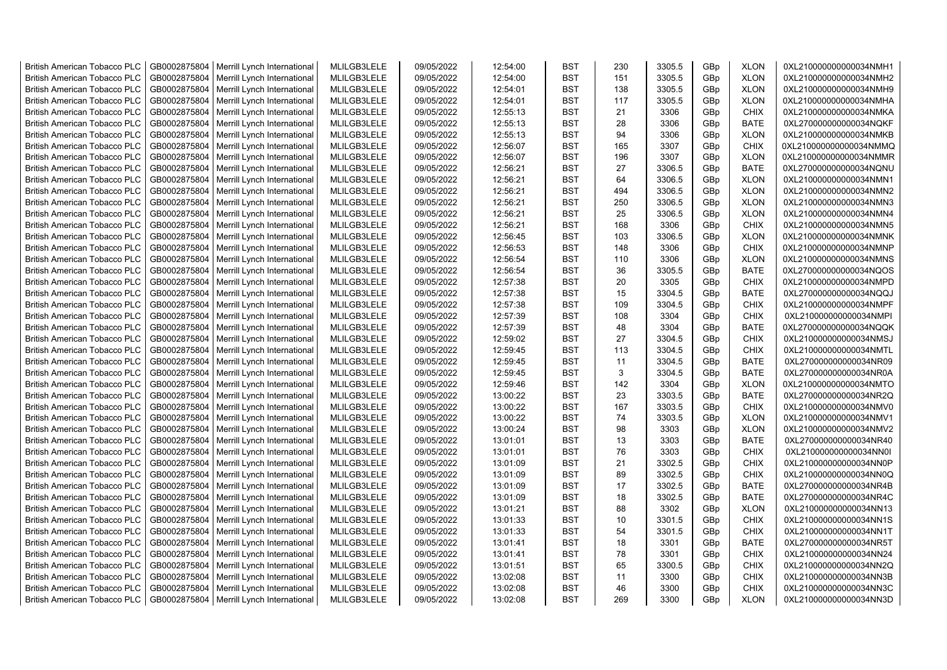| <b>British American Tobacco PLC</b> | GB0002875804 | Merrill Lynch International | MLILGB3LELE | 09/05/2022 | 12:54:00 | <b>BST</b> | 230 | 3305.5 | GBp | <b>XLON</b> | 0XL210000000000034NMH1 |
|-------------------------------------|--------------|-----------------------------|-------------|------------|----------|------------|-----|--------|-----|-------------|------------------------|
| <b>British American Tobacco PLC</b> | GB0002875804 | Merrill Lynch International | MLILGB3LELE | 09/05/2022 | 12:54:00 | <b>BST</b> | 151 | 3305.5 | GBp | <b>XLON</b> | 0XL210000000000034NMH2 |
| <b>British American Tobacco PLC</b> | GB0002875804 | Merrill Lynch International | MLILGB3LELE | 09/05/2022 | 12:54:01 | <b>BST</b> | 138 | 3305.5 | GBp | <b>XLON</b> | 0XL210000000000034NMH9 |
| <b>British American Tobacco PLC</b> | GB0002875804 | Merrill Lynch International | MLILGB3LELE | 09/05/2022 | 12:54:01 | <b>BST</b> | 117 | 3305.5 | GBp | <b>XLON</b> | 0XL210000000000034NMHA |
| <b>British American Tobacco PLC</b> | GB0002875804 | Merrill Lynch International | MLILGB3LELE | 09/05/2022 | 12:55:13 | <b>BST</b> | 21  | 3306   | GBp | <b>CHIX</b> | 0XL210000000000034NMKA |
| <b>British American Tobacco PLC</b> | GB0002875804 | Merrill Lynch International | MLILGB3LELE | 09/05/2022 | 12:55:13 | <b>BST</b> | 28  | 3306   | GBp | <b>BATE</b> | 0XL270000000000034NQKF |
| <b>British American Tobacco PLC</b> | GB0002875804 | Merrill Lynch International | MLILGB3LELE | 09/05/2022 | 12:55:13 | <b>BST</b> | 94  | 3306   | GBp | <b>XLON</b> | 0XL210000000000034NMKB |
| <b>British American Tobacco PLC</b> | GB0002875804 | Merrill Lynch International | MLILGB3LELE | 09/05/2022 | 12:56:07 | <b>BST</b> | 165 | 3307   | GBp | <b>CHIX</b> | 0XL210000000000034NMMQ |
| <b>British American Tobacco PLC</b> | GB0002875804 | Merrill Lynch International | MLILGB3LELE | 09/05/2022 | 12:56:07 | <b>BST</b> | 196 | 3307   | GBp | <b>XLON</b> | 0XL210000000000034NMMR |
| <b>British American Tobacco PLC</b> | GB0002875804 | Merrill Lynch International | MLILGB3LELE | 09/05/2022 | 12:56:21 | <b>BST</b> | 27  | 3306.5 | GBp | <b>BATE</b> | 0XL270000000000034NQNU |
| <b>British American Tobacco PLC</b> | GB0002875804 | Merrill Lynch International | MLILGB3LELE | 09/05/2022 | 12:56:21 | <b>BST</b> | 64  | 3306.5 | GBp | <b>XLON</b> | 0XL210000000000034NMN1 |
| <b>British American Tobacco PLC</b> | GB0002875804 | Merrill Lynch International | MLILGB3LELE | 09/05/2022 | 12:56:21 | <b>BST</b> | 494 | 3306.5 | GBp | <b>XLON</b> | 0XL210000000000034NMN2 |
| <b>British American Tobacco PLC</b> | GB0002875804 | Merrill Lynch International | MLILGB3LELE | 09/05/2022 | 12:56:21 | <b>BST</b> | 250 | 3306.5 | GBp | <b>XLON</b> | 0XL210000000000034NMN3 |
| <b>British American Tobacco PLC</b> | GB0002875804 | Merrill Lynch International | MLILGB3LELE | 09/05/2022 | 12:56:21 | <b>BST</b> | 25  | 3306.5 | GBp | <b>XLON</b> | 0XL210000000000034NMN4 |
| <b>British American Tobacco PLC</b> | GB0002875804 | Merrill Lynch International | MLILGB3LELE | 09/05/2022 | 12:56:21 | <b>BST</b> | 168 | 3306   | GBp | <b>CHIX</b> | 0XL210000000000034NMN5 |
| <b>British American Tobacco PLC</b> | GB0002875804 | Merrill Lynch International | MLILGB3LELE | 09/05/2022 | 12:56:45 | <b>BST</b> | 103 | 3306.5 | GBp | <b>XLON</b> | 0XL210000000000034NMNK |
| <b>British American Tobacco PLC</b> | GB0002875804 | Merrill Lynch International | MLILGB3LELE | 09/05/2022 | 12:56:53 | <b>BST</b> | 148 | 3306   | GBp | <b>CHIX</b> | 0XL210000000000034NMNP |
| <b>British American Tobacco PLC</b> | GB0002875804 | Merrill Lynch International | MLILGB3LELE | 09/05/2022 | 12:56:54 | <b>BST</b> | 110 | 3306   | GBp | <b>XLON</b> | 0XL210000000000034NMNS |
| <b>British American Tobacco PLC</b> | GB0002875804 | Merrill Lynch International | MLILGB3LELE | 09/05/2022 | 12:56:54 | <b>BST</b> | 36  | 3305.5 | GBp | <b>BATE</b> | 0XL270000000000034NQOS |
| <b>British American Tobacco PLC</b> | GB0002875804 | Merrill Lynch International | MLILGB3LELE | 09/05/2022 | 12:57:38 | <b>BST</b> | 20  | 3305   | GBp | <b>CHIX</b> | 0XL210000000000034NMPD |
| <b>British American Tobacco PLC</b> | GB0002875804 | Merrill Lynch International | MLILGB3LELE | 09/05/2022 | 12:57:38 | <b>BST</b> | 15  | 3304.5 | GBp | <b>BATE</b> | 0XL270000000000034NQQJ |
| <b>British American Tobacco PLC</b> | GB0002875804 | Merrill Lynch International | MLILGB3LELE | 09/05/2022 | 12:57:38 | <b>BST</b> | 109 | 3304.5 | GBp | <b>CHIX</b> | 0XL210000000000034NMPF |
| <b>British American Tobacco PLC</b> | GB0002875804 | Merrill Lynch International | MLILGB3LELE | 09/05/2022 | 12:57:39 | <b>BST</b> | 108 | 3304   | GBp | <b>CHIX</b> | 0XL210000000000034NMPI |
| <b>British American Tobacco PLC</b> | GB0002875804 | Merrill Lynch International | MLILGB3LELE | 09/05/2022 | 12:57:39 | <b>BST</b> | 48  | 3304   | GBp | <b>BATE</b> | 0XL270000000000034NQQK |
| <b>British American Tobacco PLC</b> | GB0002875804 | Merrill Lynch International | MLILGB3LELE | 09/05/2022 | 12:59:02 | <b>BST</b> | 27  | 3304.5 | GBp | <b>CHIX</b> | 0XL210000000000034NMSJ |
| British American Tobacco PLC        | GB0002875804 | Merrill Lynch International | MLILGB3LELE | 09/05/2022 | 12:59:45 | <b>BST</b> | 113 | 3304.5 | GBp | <b>CHIX</b> | 0XL210000000000034NMTL |
| <b>British American Tobacco PLC</b> | GB0002875804 | Merrill Lynch International | MLILGB3LELE | 09/05/2022 | 12:59:45 | <b>BST</b> | 11  | 3304.5 | GBp | <b>BATE</b> | 0XL270000000000034NR09 |
| British American Tobacco PLC        | GB0002875804 | Merrill Lynch International | MLILGB3LELE | 09/05/2022 | 12:59:45 | <b>BST</b> | 3   | 3304.5 | GBp | <b>BATE</b> | 0XL270000000000034NR0A |
| <b>British American Tobacco PLC</b> | GB0002875804 | Merrill Lynch International | MLILGB3LELE | 09/05/2022 | 12:59:46 | <b>BST</b> | 142 | 3304   | GBp | <b>XLON</b> | 0XL210000000000034NMTO |
| <b>British American Tobacco PLC</b> | GB0002875804 | Merrill Lynch International | MLILGB3LELE | 09/05/2022 | 13:00:22 | <b>BST</b> | 23  | 3303.5 | GBp | <b>BATE</b> | 0XL270000000000034NR2Q |
| <b>British American Tobacco PLC</b> | GB0002875804 | Merrill Lynch International | MLILGB3LELE | 09/05/2022 | 13:00:22 | <b>BST</b> | 167 | 3303.5 | GBp | <b>CHIX</b> | 0XL210000000000034NMV0 |
| <b>British American Tobacco PLC</b> | GB0002875804 | Merrill Lynch International | MLILGB3LELE | 09/05/2022 | 13:00:22 | <b>BST</b> | 74  | 3303.5 | GBp | <b>XLON</b> | 0XL210000000000034NMV1 |
| <b>British American Tobacco PLC</b> | GB0002875804 | Merrill Lynch International | MLILGB3LELE | 09/05/2022 | 13:00:24 | <b>BST</b> | 98  | 3303   | GBp | <b>XLON</b> | 0XL210000000000034NMV2 |
| <b>British American Tobacco PLC</b> | GB0002875804 | Merrill Lynch International | MLILGB3LELE | 09/05/2022 | 13:01:01 | <b>BST</b> | 13  | 3303   | GBp | <b>BATE</b> | 0XL270000000000034NR40 |
| <b>British American Tobacco PLC</b> | GB0002875804 | Merrill Lynch International | MLILGB3LELE | 09/05/2022 | 13:01:01 | <b>BST</b> | 76  | 3303   | GBp | <b>CHIX</b> | 0XL210000000000034NN0I |
| <b>British American Tobacco PLC</b> | GB0002875804 | Merrill Lynch International | MLILGB3LELE | 09/05/2022 | 13:01:09 | <b>BST</b> | 21  | 3302.5 | GBp | <b>CHIX</b> | 0XL210000000000034NN0P |
| British American Tobacco PLC        | GB0002875804 | Merrill Lynch International | MLILGB3LELE | 09/05/2022 | 13:01:09 | <b>BST</b> | 89  | 3302.5 | GBp | <b>CHIX</b> | 0XL210000000000034NN0Q |
| <b>British American Tobacco PLC</b> | GB0002875804 | Merrill Lynch International | MLILGB3LELE | 09/05/2022 | 13:01:09 | <b>BST</b> | 17  | 3302.5 | GBp | <b>BATE</b> | 0XL270000000000034NR4B |
| <b>British American Tobacco PLC</b> | GB0002875804 | Merrill Lynch International | MLILGB3LELE | 09/05/2022 | 13:01:09 | <b>BST</b> | 18  | 3302.5 | GBp | <b>BATE</b> | 0XL270000000000034NR4C |
| <b>British American Tobacco PLC</b> | GB0002875804 | Merrill Lynch International | MLILGB3LELE | 09/05/2022 | 13:01:21 | <b>BST</b> | 88  | 3302   | GBp | <b>XLON</b> | 0XL210000000000034NN13 |
| British American Tobacco PLC        | GB0002875804 | Merrill Lynch International | MLILGB3LELE | 09/05/2022 | 13:01:33 | <b>BST</b> | 10  | 3301.5 | GBp | <b>CHIX</b> | 0XL210000000000034NN1S |
| <b>British American Tobacco PLC</b> | GB0002875804 | Merrill Lynch International | MLILGB3LELE | 09/05/2022 | 13:01:33 | <b>BST</b> | 54  | 3301.5 | GBp | <b>CHIX</b> | 0XL210000000000034NN1T |
| British American Tobacco PLC        | GB0002875804 | Merrill Lynch International | MLILGB3LELE | 09/05/2022 | 13:01:41 | <b>BST</b> | 18  | 3301   | GBp | <b>BATE</b> | 0XL270000000000034NR5T |
| British American Tobacco PLC        | GB0002875804 | Merrill Lynch International | MLILGB3LELE | 09/05/2022 | 13:01:41 | <b>BST</b> | 78  | 3301   | GBp | <b>CHIX</b> | 0XL210000000000034NN24 |
| <b>British American Tobacco PLC</b> | GB0002875804 | Merrill Lynch International | MLILGB3LELE | 09/05/2022 | 13:01:51 | <b>BST</b> | 65  | 3300.5 | GBp | <b>CHIX</b> | 0XL210000000000034NN2Q |
| <b>British American Tobacco PLC</b> | GB0002875804 | Merrill Lynch International | MLILGB3LELE | 09/05/2022 | 13:02:08 | <b>BST</b> | 11  | 3300   | GBp | <b>CHIX</b> | 0XL210000000000034NN3B |
| <b>British American Tobacco PLC</b> | GB0002875804 | Merrill Lynch International | MLILGB3LELE | 09/05/2022 | 13:02:08 | <b>BST</b> | 46  | 3300   | GBp | <b>CHIX</b> | 0XL210000000000034NN3C |
|                                     | GB0002875804 | Merrill Lynch International | MLILGB3LELE | 09/05/2022 | 13:02:08 | <b>BST</b> | 269 | 3300   | GBp | <b>XLON</b> | 0XL210000000000034NN3D |
| <b>British American Tobacco PLC</b> |              |                             |             |            |          |            |     |        |     |             |                        |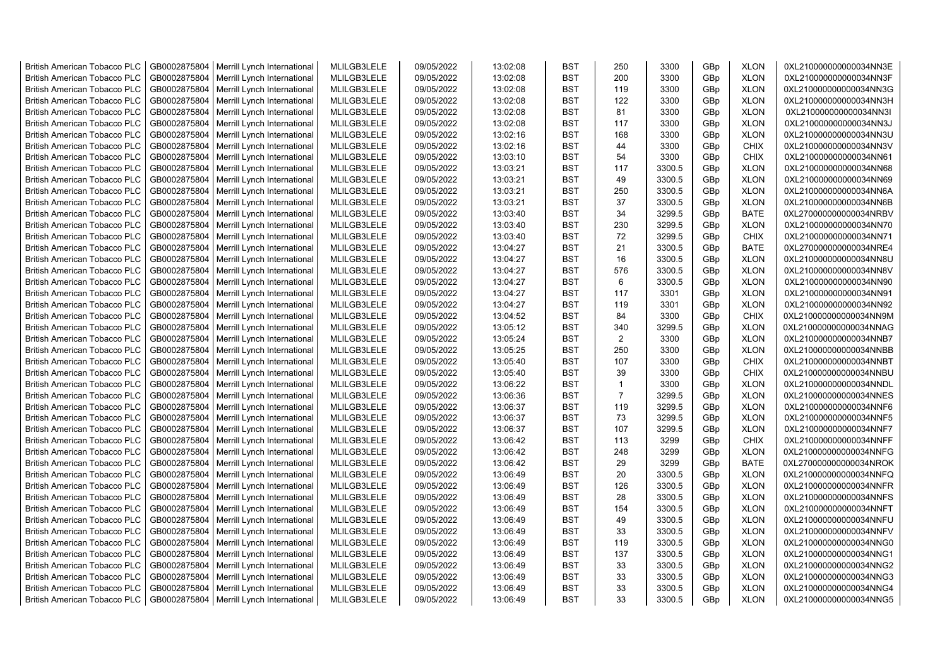| <b>British American Tobacco PLC</b> | GB0002875804 | Merrill Lynch International                | MLILGB3LELE | 09/05/2022 | 13:02:08 | <b>BST</b> | 250            | 3300   | GBp | <b>XLON</b> | 0XL210000000000034NN3E |
|-------------------------------------|--------------|--------------------------------------------|-------------|------------|----------|------------|----------------|--------|-----|-------------|------------------------|
| <b>British American Tobacco PLC</b> | GB0002875804 | Merrill Lynch International                | MLILGB3LELE | 09/05/2022 | 13:02:08 | <b>BST</b> | 200            | 3300   | GBp | <b>XLON</b> | 0XL210000000000034NN3F |
| <b>British American Tobacco PLC</b> | GB0002875804 | Merrill Lynch International                | MLILGB3LELE | 09/05/2022 | 13:02:08 | <b>BST</b> | 119            | 3300   | GBp | <b>XLON</b> | 0XL210000000000034NN3G |
| <b>British American Tobacco PLC</b> | GB0002875804 | Merrill Lynch International                | MLILGB3LELE | 09/05/2022 | 13:02:08 | <b>BST</b> | 122            | 3300   | GBp | <b>XLON</b> | 0XL210000000000034NN3H |
| <b>British American Tobacco PLC</b> | GB0002875804 | Merrill Lynch International                | MLILGB3LELE | 09/05/2022 | 13:02:08 | <b>BST</b> | 81             | 3300   | GBp | <b>XLON</b> | 0XL210000000000034NN3I |
| <b>British American Tobacco PLC</b> | GB0002875804 | Merrill Lynch International                | MLILGB3LELE | 09/05/2022 | 13:02:08 | <b>BST</b> | 117            | 3300   | GBp | <b>XLON</b> | 0XL210000000000034NN3J |
| <b>British American Tobacco PLC</b> | GB0002875804 | Merrill Lynch International                | MLILGB3LELE | 09/05/2022 | 13:02:16 | <b>BST</b> | 168            | 3300   | GBp | <b>XLON</b> | 0XL210000000000034NN3U |
| <b>British American Tobacco PLC</b> | GB0002875804 | Merrill Lynch International                | MLILGB3LELE | 09/05/2022 | 13:02:16 | <b>BST</b> | 44             | 3300   | GBp | CHIX        | 0XL210000000000034NN3V |
| <b>British American Tobacco PLC</b> | GB0002875804 | Merrill Lynch International                | MLILGB3LELE | 09/05/2022 | 13:03:10 | <b>BST</b> | 54             | 3300   | GBp | <b>CHIX</b> | 0XL210000000000034NN61 |
| <b>British American Tobacco PLC</b> | GB0002875804 | Merrill Lynch International                | MLILGB3LELE | 09/05/2022 | 13:03:21 | <b>BST</b> | 117            | 3300.5 |     | <b>XLON</b> | 0XL210000000000034NN68 |
|                                     |              |                                            |             |            |          |            |                |        | GBp |             |                        |
| <b>British American Tobacco PLC</b> | GB0002875804 | Merrill Lynch International                | MLILGB3LELE | 09/05/2022 | 13:03:21 | <b>BST</b> | 49             | 3300.5 | GBp | <b>XLON</b> | 0XL210000000000034NN69 |
| <b>British American Tobacco PLC</b> | GB0002875804 | Merrill Lynch International                | MLILGB3LELE | 09/05/2022 | 13:03:21 | <b>BST</b> | 250            | 3300.5 | GBp | <b>XLON</b> | 0XL210000000000034NN6A |
| <b>British American Tobacco PLC</b> | GB0002875804 | Merrill Lynch International                | MLILGB3LELE | 09/05/2022 | 13:03:21 | <b>BST</b> | 37             | 3300.5 | GBp | <b>XLON</b> | 0XL210000000000034NN6B |
| <b>British American Tobacco PLC</b> | GB0002875804 | Merrill Lynch International                | MLILGB3LELE | 09/05/2022 | 13:03:40 | <b>BST</b> | 34             | 3299.5 | GBp | <b>BATE</b> | 0XL270000000000034NRBV |
| <b>British American Tobacco PLC</b> | GB0002875804 | Merrill Lynch International                | MLILGB3LELE | 09/05/2022 | 13:03:40 | <b>BST</b> | 230            | 3299.5 | GBp | <b>XLON</b> | 0XL210000000000034NN70 |
| <b>British American Tobacco PLC</b> | GB0002875804 | Merrill Lynch International                | MLILGB3LELE | 09/05/2022 | 13:03:40 | <b>BST</b> | 72             | 3299.5 | GBp | <b>CHIX</b> | 0XL210000000000034NN71 |
| <b>British American Tobacco PLC</b> | GB0002875804 | Merrill Lynch International                | MLILGB3LELE | 09/05/2022 | 13:04:27 | <b>BST</b> | 21             | 3300.5 | GBp | <b>BATE</b> | 0XL270000000000034NRE4 |
| <b>British American Tobacco PLC</b> | GB0002875804 | Merrill Lynch International                | MLILGB3LELE | 09/05/2022 | 13:04:27 | <b>BST</b> | 16             | 3300.5 | GBp | <b>XLON</b> | 0XL210000000000034NN8U |
| <b>British American Tobacco PLC</b> | GB0002875804 | Merrill Lynch International                | MLILGB3LELE | 09/05/2022 | 13:04:27 | <b>BST</b> | 576            | 3300.5 | GBp | <b>XLON</b> | 0XL210000000000034NN8V |
| <b>British American Tobacco PLC</b> | GB0002875804 | Merrill Lynch International                | MLILGB3LELE | 09/05/2022 | 13:04:27 | <b>BST</b> | 6              | 3300.5 | GBp | <b>XLON</b> | 0XL210000000000034NN90 |
| <b>British American Tobacco PLC</b> | GB0002875804 | Merrill Lynch International                | MLILGB3LELE | 09/05/2022 | 13:04:27 | <b>BST</b> | 117            | 3301   | GBp | <b>XLON</b> | 0XL210000000000034NN91 |
| <b>British American Tobacco PLC</b> | GB0002875804 | Merrill Lynch International                | MLILGB3LELE | 09/05/2022 | 13:04:27 | <b>BST</b> | 119            | 3301   | GBp | <b>XLON</b> | 0XL210000000000034NN92 |
| <b>British American Tobacco PLC</b> | GB0002875804 | Merrill Lynch International                | MLILGB3LELE | 09/05/2022 | 13:04:52 | <b>BST</b> | 84             | 3300   | GBp | CHIX        | 0XL210000000000034NN9M |
| <b>British American Tobacco PLC</b> | GB0002875804 | Merrill Lynch International                | MLILGB3LELE | 09/05/2022 | 13:05:12 | BST        | 340            | 3299.5 | GBp | <b>XLON</b> | 0XL210000000000034NNAG |
| <b>British American Tobacco PLC</b> | GB0002875804 | Merrill Lynch International                | MLILGB3LELE | 09/05/2022 | 13:05:24 | <b>BST</b> | 2              | 3300   | GBp | <b>XLON</b> | 0XL210000000000034NNB7 |
| <b>British American Tobacco PLC</b> | GB0002875804 | Merrill Lynch International                | MLILGB3LELE | 09/05/2022 | 13:05:25 | <b>BST</b> | 250            | 3300   | GBp | <b>XLON</b> | 0XL210000000000034NNBB |
| <b>British American Tobacco PLC</b> | GB0002875804 | Merrill Lynch International                | MLILGB3LELE | 09/05/2022 | 13:05:40 | <b>BST</b> | 107            | 3300   | GBp | <b>CHIX</b> | 0XL210000000000034NNBT |
| <b>British American Tobacco PLC</b> | GB0002875804 | Merrill Lynch International                | MLILGB3LELE | 09/05/2022 | 13:05:40 | <b>BST</b> | 39             | 3300   | GBp | <b>CHIX</b> | 0XL210000000000034NNBU |
| <b>British American Tobacco PLC</b> | GB0002875804 | Merrill Lynch International                | MLILGB3LELE | 09/05/2022 | 13:06:22 | <b>BST</b> | $\mathbf{1}$   | 3300   | GBp | <b>XLON</b> | 0XL210000000000034NNDL |
| <b>British American Tobacco PLC</b> | GB0002875804 | Merrill Lynch International                | MLILGB3LELE | 09/05/2022 | 13:06:36 | <b>BST</b> | $\overline{7}$ | 3299.5 | GBp | <b>XLON</b> | 0XL210000000000034NNES |
| <b>British American Tobacco PLC</b> | GB0002875804 | Merrill Lynch International                | MLILGB3LELE | 09/05/2022 | 13:06:37 | <b>BST</b> | 119            | 3299.5 | GBp | <b>XLON</b> | 0XL210000000000034NNF6 |
| <b>British American Tobacco PLC</b> | GB0002875804 | Merrill Lynch International                | MLILGB3LELE | 09/05/2022 | 13:06:37 | <b>BST</b> | 73             | 3299.5 | GBp | <b>XLON</b> | 0XL210000000000034NNF5 |
| <b>British American Tobacco PLC</b> | GB0002875804 | Merrill Lynch International                | MLILGB3LELE | 09/05/2022 | 13:06:37 | <b>BST</b> | 107            | 3299.5 | GBp | <b>XLON</b> | 0XL210000000000034NNF7 |
|                                     |              |                                            |             |            |          | <b>BST</b> | 113            | 3299   |     | <b>CHIX</b> |                        |
| <b>British American Tobacco PLC</b> | GB0002875804 | Merrill Lynch International                | MLILGB3LELE | 09/05/2022 | 13:06:42 |            |                |        | GBp |             | 0XL210000000000034NNFF |
| <b>British American Tobacco PLC</b> | GB0002875804 | Merrill Lynch International                | MLILGB3LELE | 09/05/2022 | 13:06:42 | <b>BST</b> | 248            | 3299   | GBp | <b>XLON</b> | 0XL210000000000034NNFG |
| <b>British American Tobacco PLC</b> | GB0002875804 | Merrill Lynch International                | MLILGB3LELE | 09/05/2022 | 13:06:42 | <b>BST</b> | 29             | 3299   | GBp | <b>BATE</b> | 0XL270000000000034NROK |
| <b>British American Tobacco PLC</b> | GB0002875804 | Merrill Lynch International                | MLILGB3LELE | 09/05/2022 | 13:06:49 | <b>BST</b> | 20             | 3300.5 | GBp | <b>XLON</b> | 0XL210000000000034NNFQ |
| <b>British American Tobacco PLC</b> | GB0002875804 | Merrill Lynch International                | MLILGB3LELE | 09/05/2022 | 13:06:49 | <b>BST</b> | 126            | 3300.5 | GBp | <b>XLON</b> | 0XL210000000000034NNFR |
| <b>British American Tobacco PLC</b> | GB0002875804 | Merrill Lynch International                | MLILGB3LELE | 09/05/2022 | 13:06:49 | <b>BST</b> | 28             | 3300.5 | GBp | <b>XLON</b> | 0XL210000000000034NNFS |
| <b>British American Tobacco PLC</b> | GB0002875804 | Merrill Lynch International                | MLILGB3LELE | 09/05/2022 | 13:06:49 | <b>BST</b> | 154            | 3300.5 | GBp | <b>XLON</b> | 0XL210000000000034NNFT |
| <b>British American Tobacco PLC</b> | GB0002875804 | Merrill Lynch International                | MLILGB3LELE | 09/05/2022 | 13:06:49 | <b>BST</b> | 49             | 3300.5 | GBp | <b>XLON</b> | 0XL210000000000034NNFU |
| <b>British American Tobacco PLC</b> | GB0002875804 | Merrill Lynch International                | MLILGB3LELE | 09/05/2022 | 13:06:49 | <b>BST</b> | 33             | 3300.5 | GBp | <b>XLON</b> | 0XL210000000000034NNFV |
| <b>British American Tobacco PLC</b> | GB0002875804 | Merrill Lynch International                | MLILGB3LELE | 09/05/2022 | 13:06:49 | <b>BST</b> | 119            | 3300.5 | GBp | <b>XLON</b> | 0XL210000000000034NNG0 |
| <b>British American Tobacco PLC</b> | GB0002875804 | Merrill Lynch International                | MLILGB3LELE | 09/05/2022 | 13:06:49 | <b>BST</b> | 137            | 3300.5 | GBp | <b>XLON</b> | 0XL210000000000034NNG1 |
| <b>British American Tobacco PLC</b> | GB0002875804 | Merrill Lynch International                | MLILGB3LELE | 09/05/2022 | 13:06:49 | <b>BST</b> | 33             | 3300.5 | GBp | <b>XLON</b> | 0XL210000000000034NNG2 |
| <b>British American Tobacco PLC</b> | GB0002875804 | Merrill Lynch International                | MLILGB3LELE | 09/05/2022 | 13:06:49 | <b>BST</b> | 33             | 3300.5 | GBp | <b>XLON</b> | 0XL210000000000034NNG3 |
| <b>British American Tobacco PLC</b> | GB0002875804 | Merrill Lynch International                | MLILGB3LELE | 09/05/2022 | 13:06:49 | <b>BST</b> | 33             | 3300.5 | GBp | <b>XLON</b> | 0XL210000000000034NNG4 |
| <b>British American Tobacco PLC</b> |              | GB0002875804   Merrill Lynch International | MLILGB3LELE | 09/05/2022 | 13:06:49 | <b>BST</b> | 33             | 3300.5 | GBp | <b>XLON</b> | 0XL210000000000034NNG5 |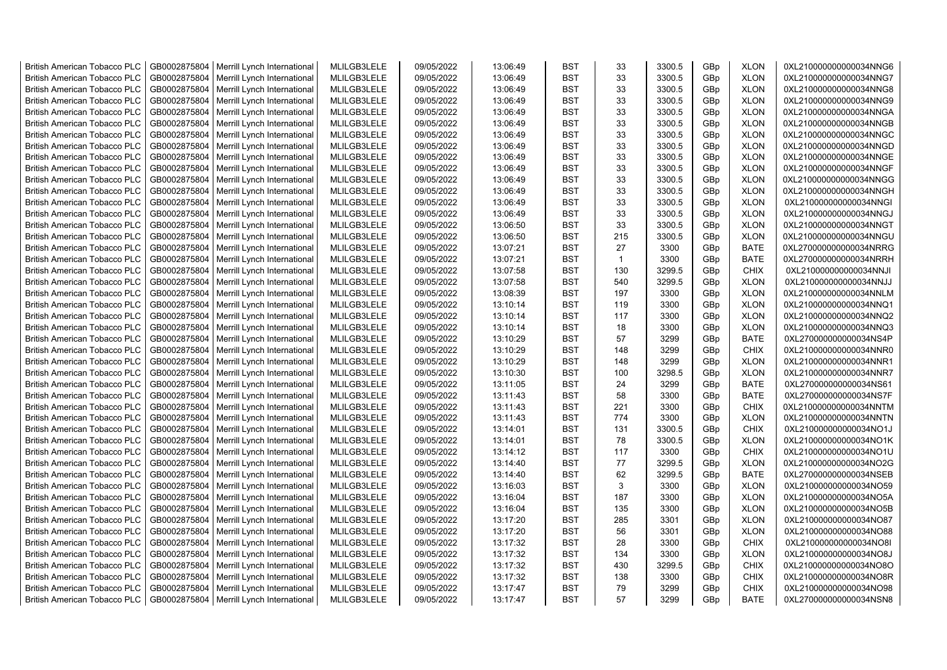| <b>British American Tobacco PLC</b> | GB0002875804 | Merrill Lynch International | MLILGB3LELE | 09/05/2022 | 13:06:49 | <b>BST</b> | 33           | 3300.5 | GBp | <b>XLON</b> | 0XL210000000000034NNG6 |
|-------------------------------------|--------------|-----------------------------|-------------|------------|----------|------------|--------------|--------|-----|-------------|------------------------|
| <b>British American Tobacco PLC</b> | GB0002875804 | Merrill Lynch International | MLILGB3LELE | 09/05/2022 | 13:06:49 | <b>BST</b> | 33           | 3300.5 | GBp | <b>XLON</b> | 0XL210000000000034NNG7 |
| <b>British American Tobacco PLC</b> | GB0002875804 | Merrill Lynch International | MLILGB3LELE | 09/05/2022 | 13:06:49 | <b>BST</b> | 33           | 3300.5 | GBp | <b>XLON</b> | 0XL210000000000034NNG8 |
| <b>British American Tobacco PLC</b> | GB0002875804 | Merrill Lynch International | MLILGB3LELE | 09/05/2022 | 13:06:49 | <b>BST</b> | 33           | 3300.5 | GBp | <b>XLON</b> | 0XL210000000000034NNG9 |
| <b>British American Tobacco PLC</b> | GB0002875804 | Merrill Lynch International | MLILGB3LELE | 09/05/2022 | 13:06:49 | <b>BST</b> | 33           | 3300.5 | GBp | <b>XLON</b> | 0XL210000000000034NNGA |
| <b>British American Tobacco PLC</b> | GB0002875804 | Merrill Lynch International | MLILGB3LELE | 09/05/2022 | 13:06:49 | <b>BST</b> | 33           | 3300.5 | GBp | <b>XLON</b> | 0XL210000000000034NNGB |
| <b>British American Tobacco PLC</b> | GB0002875804 | Merrill Lynch International | MLILGB3LELE | 09/05/2022 | 13:06:49 | <b>BST</b> | 33           | 3300.5 | GBp | <b>XLON</b> | 0XL210000000000034NNGC |
| <b>British American Tobacco PLC</b> | GB0002875804 | Merrill Lynch International | MLILGB3LELE | 09/05/2022 | 13:06:49 | <b>BST</b> | 33           | 3300.5 | GBp | <b>XLON</b> | 0XL210000000000034NNGD |
| <b>British American Tobacco PLC</b> | GB0002875804 | Merrill Lynch International | MLILGB3LELE | 09/05/2022 | 13:06:49 | <b>BST</b> | 33           | 3300.5 | GBp | <b>XLON</b> | 0XL210000000000034NNGE |
| <b>British American Tobacco PLC</b> | GB0002875804 | Merrill Lynch International | MLILGB3LELE | 09/05/2022 | 13:06:49 | <b>BST</b> | 33           | 3300.5 | GBp | <b>XLON</b> | 0XL210000000000034NNGF |
| <b>British American Tobacco PLC</b> | GB0002875804 | Merrill Lynch International | MLILGB3LELE | 09/05/2022 | 13:06:49 | <b>BST</b> | 33           | 3300.5 | GBp | <b>XLON</b> | 0XL210000000000034NNGG |
| <b>British American Tobacco PLC</b> | GB0002875804 | Merrill Lynch International | MLILGB3LELE | 09/05/2022 | 13:06:49 | <b>BST</b> | 33           | 3300.5 | GBp | <b>XLON</b> | 0XL210000000000034NNGH |
| <b>British American Tobacco PLC</b> | GB0002875804 | Merrill Lynch International | MLILGB3LELE | 09/05/2022 | 13:06:49 | <b>BST</b> | 33           | 3300.5 | GBp | <b>XLON</b> | 0XL210000000000034NNGI |
|                                     |              |                             | MLILGB3LELE | 09/05/2022 |          | <b>BST</b> | 33           | 3300.5 |     | <b>XLON</b> |                        |
| <b>British American Tobacco PLC</b> | GB0002875804 | Merrill Lynch International |             |            | 13:06:49 |            |              |        | GBp |             | 0XL210000000000034NNGJ |
| <b>British American Tobacco PLC</b> | GB0002875804 | Merrill Lynch International | MLILGB3LELE | 09/05/2022 | 13:06:50 | <b>BST</b> | 33           | 3300.5 | GBp | <b>XLON</b> | 0XL210000000000034NNGT |
| <b>British American Tobacco PLC</b> | GB0002875804 | Merrill Lynch International | MLILGB3LELE | 09/05/2022 | 13:06:50 | <b>BST</b> | 215          | 3300.5 | GBp | <b>XLON</b> | 0XL210000000000034NNGU |
| <b>British American Tobacco PLC</b> | GB0002875804 | Merrill Lynch International | MLILGB3LELE | 09/05/2022 | 13:07:21 | <b>BST</b> | 27           | 3300   | GBp | <b>BATE</b> | 0XL270000000000034NRRG |
| <b>British American Tobacco PLC</b> | GB0002875804 | Merrill Lynch International | MLILGB3LELE | 09/05/2022 | 13:07:21 | <b>BST</b> | $\mathbf{1}$ | 3300   | GBp | <b>BATE</b> | 0XL270000000000034NRRH |
| <b>British American Tobacco PLC</b> | GB0002875804 | Merrill Lynch International | MLILGB3LELE | 09/05/2022 | 13:07:58 | <b>BST</b> | 130          | 3299.5 | GBp | <b>CHIX</b> | 0XL210000000000034NNJI |
| <b>British American Tobacco PLC</b> | GB0002875804 | Merrill Lynch International | MLILGB3LELE | 09/05/2022 | 13:07:58 | <b>BST</b> | 540          | 3299.5 | GBp | <b>XLON</b> | 0XL210000000000034NNJJ |
| <b>British American Tobacco PLC</b> | GB0002875804 | Merrill Lynch International | MLILGB3LELE | 09/05/2022 | 13:08:39 | <b>BST</b> | 197          | 3300   | GBp | <b>XLON</b> | 0XL210000000000034NNLM |
| <b>British American Tobacco PLC</b> | GB0002875804 | Merrill Lynch International | MLILGB3LELE | 09/05/2022 | 13:10:14 | <b>BST</b> | 119          | 3300   | GBp | <b>XLON</b> | 0XL210000000000034NNQ1 |
| <b>British American Tobacco PLC</b> | GB0002875804 | Merrill Lynch International | MLILGB3LELE | 09/05/2022 | 13:10:14 | <b>BST</b> | 117          | 3300   | GBp | <b>XLON</b> | 0XL210000000000034NNQ2 |
| <b>British American Tobacco PLC</b> | GB0002875804 | Merrill Lynch International | MLILGB3LELE | 09/05/2022 | 13:10:14 | <b>BST</b> | 18           | 3300   | GBp | <b>XLON</b> | 0XL210000000000034NNQ3 |
| <b>British American Tobacco PLC</b> | GB0002875804 | Merrill Lynch International | MLILGB3LELE | 09/05/2022 | 13:10:29 | <b>BST</b> | 57           | 3299   | GBp | <b>BATE</b> | 0XL270000000000034NS4P |
| <b>British American Tobacco PLC</b> | GB0002875804 | Merrill Lynch International | MLILGB3LELE | 09/05/2022 | 13:10:29 | <b>BST</b> | 148          | 3299   | GBp | <b>CHIX</b> | 0XL210000000000034NNR0 |
| <b>British American Tobacco PLC</b> | GB0002875804 | Merrill Lynch International | MLILGB3LELE | 09/05/2022 | 13:10:29 | <b>BST</b> | 148          | 3299   | GBp | <b>XLON</b> | 0XL210000000000034NNR1 |
| British American Tobacco PLC        | GB0002875804 | Merrill Lynch International | MLILGB3LELE | 09/05/2022 | 13:10:30 | <b>BST</b> | 100          | 3298.5 | GBp | <b>XLON</b> | 0XL210000000000034NNR7 |
| <b>British American Tobacco PLC</b> | GB0002875804 | Merrill Lynch International | MLILGB3LELE | 09/05/2022 | 13:11:05 | <b>BST</b> | 24           | 3299   | GBp | <b>BATE</b> | 0XL270000000000034NS61 |
| <b>British American Tobacco PLC</b> | GB0002875804 | Merrill Lynch International | MLILGB3LELE | 09/05/2022 | 13:11:43 | <b>BST</b> | 58           | 3300   | GBp | BATE        | 0XL270000000000034NS7F |
| <b>British American Tobacco PLC</b> | GB0002875804 | Merrill Lynch International | MLILGB3LELE | 09/05/2022 | 13:11:43 | <b>BST</b> | 221          | 3300   | GBp | <b>CHIX</b> | 0XL210000000000034NNTM |
| <b>British American Tobacco PLC</b> | GB0002875804 | Merrill Lynch International | MLILGB3LELE | 09/05/2022 | 13:11:43 | <b>BST</b> | 774          | 3300   | GBp | <b>XLON</b> | 0XL210000000000034NNTN |
| <b>British American Tobacco PLC</b> | GB0002875804 | Merrill Lynch International | MLILGB3LELE | 09/05/2022 | 13:14:01 | <b>BST</b> | 131          | 3300.5 | GBp | <b>CHIX</b> | 0XL210000000000034NO1J |
| <b>British American Tobacco PLC</b> | GB0002875804 | Merrill Lynch International | MLILGB3LELE | 09/05/2022 | 13:14:01 | <b>BST</b> | 78           | 3300.5 | GBp | <b>XLON</b> | 0XL210000000000034NO1K |
| <b>British American Tobacco PLC</b> | GB0002875804 | Merrill Lynch International | MLILGB3LELE | 09/05/2022 | 13:14:12 | <b>BST</b> | 117          | 3300   | GBp | <b>CHIX</b> | 0XL210000000000034NO1U |
| <b>British American Tobacco PLC</b> | GB0002875804 | Merrill Lynch International | MLILGB3LELE | 09/05/2022 | 13:14:40 | <b>BST</b> | 77           | 3299.5 | GBp | <b>XLON</b> | 0XL210000000000034NO2G |
| <b>British American Tobacco PLC</b> | GB0002875804 | Merrill Lynch International | MLILGB3LELE | 09/05/2022 | 13:14:40 | <b>BST</b> | 62           | 3299.5 | GBp | <b>BATE</b> | 0XL270000000000034NSEB |
| <b>British American Tobacco PLC</b> | GB0002875804 | Merrill Lynch International | MLILGB3LELE | 09/05/2022 | 13:16:03 | <b>BST</b> | 3            | 3300   | GBp | <b>XLON</b> | 0XL210000000000034NO59 |
| <b>British American Tobacco PLC</b> | GB0002875804 | Merrill Lynch International | MLILGB3LELE | 09/05/2022 | 13:16:04 | <b>BST</b> | 187          | 3300   | GBp | <b>XLON</b> | 0XL210000000000034NO5A |
| <b>British American Tobacco PLC</b> | GB0002875804 | Merrill Lynch International | MLILGB3LELE | 09/05/2022 | 13:16:04 | <b>BST</b> | 135          | 3300   | GBp | <b>XLON</b> | 0XL210000000000034NO5B |
| <b>British American Tobacco PLC</b> | GB0002875804 | Merrill Lynch International | MLILGB3LELE | 09/05/2022 | 13:17:20 | <b>BST</b> | 285          | 3301   | GBp | <b>XLON</b> | 0XL210000000000034NO87 |
| <b>British American Tobacco PLC</b> | GB0002875804 | Merrill Lynch International | MLILGB3LELE | 09/05/2022 | 13:17:20 | <b>BST</b> | 56           | 3301   | GBp | <b>XLON</b> | 0XL210000000000034NO88 |
| <b>British American Tobacco PLC</b> | GB0002875804 | Merrill Lynch International | MLILGB3LELE | 09/05/2022 | 13:17:32 | <b>BST</b> | 28           | 3300   | GBp | <b>CHIX</b> | 0XL210000000000034NO8I |
| <b>British American Tobacco PLC</b> | GB0002875804 | Merrill Lynch International | MLILGB3LELE | 09/05/2022 | 13:17:32 | <b>BST</b> | 134          | 3300   | GBp | <b>XLON</b> | 0XL210000000000034NO8J |
| British American Tobacco PLC        | GB0002875804 | Merrill Lynch International | MLILGB3LELE | 09/05/2022 | 13:17:32 | <b>BST</b> | 430          | 3299.5 | GBp | <b>CHIX</b> | 0XL210000000000034NO8O |
| <b>British American Tobacco PLC</b> | GB0002875804 | Merrill Lynch International | MLILGB3LELE | 09/05/2022 | 13:17:32 | <b>BST</b> | 138          | 3300   | GBp | <b>CHIX</b> | 0XL210000000000034NO8R |
| <b>British American Tobacco PLC</b> | GB0002875804 | Merrill Lynch International | MLILGB3LELE | 09/05/2022 | 13:17:47 | <b>BST</b> | 79           | 3299   | GBp | <b>CHIX</b> | 0XL210000000000034NO98 |
| <b>British American Tobacco PLC</b> | GB0002875804 | Merrill Lynch International | MLILGB3LELE | 09/05/2022 | 13:17:47 | <b>BST</b> | 57           | 3299   | GBp | <b>BATE</b> | 0XL270000000000034NSN8 |
|                                     |              |                             |             |            |          |            |              |        |     |             |                        |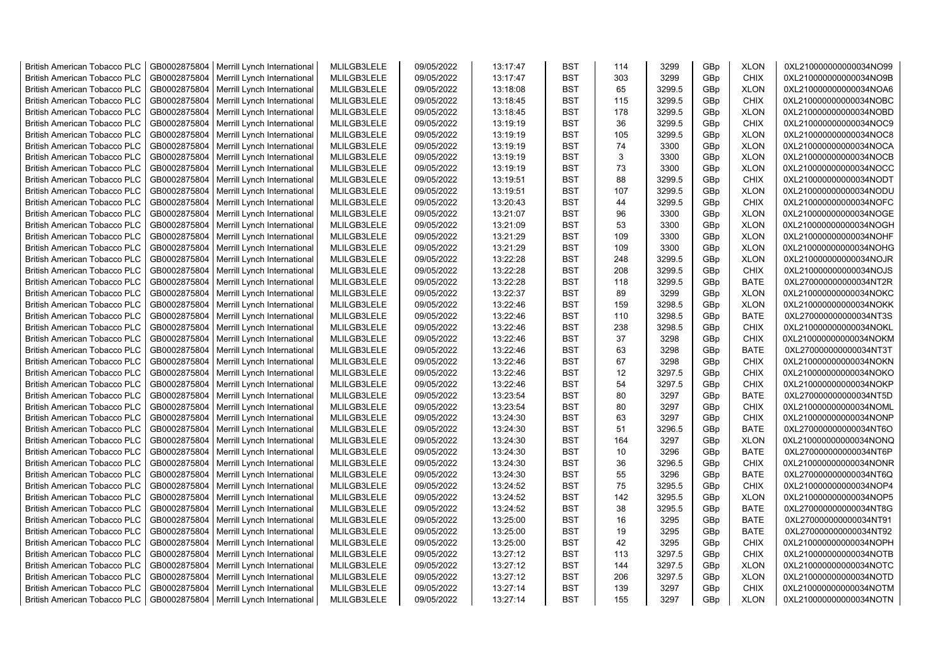| <b>British American Tobacco PLC</b> | GB0002875804 | Merrill Lynch International                | MLILGB3LELE | 09/05/2022 | 13:17:47 | <b>BST</b> | 114 | 3299   | GBp | <b>XLON</b> | 0XL210000000000034NO99 |
|-------------------------------------|--------------|--------------------------------------------|-------------|------------|----------|------------|-----|--------|-----|-------------|------------------------|
| <b>British American Tobacco PLC</b> | GB0002875804 | Merrill Lynch International                | MLILGB3LELE | 09/05/2022 | 13:17:47 | <b>BST</b> | 303 | 3299   | GBp | <b>CHIX</b> | 0XL210000000000034NO9B |
| <b>British American Tobacco PLC</b> | GB0002875804 | Merrill Lynch International                | MLILGB3LELE | 09/05/2022 | 13:18:08 | <b>BST</b> | 65  | 3299.5 | GBp | <b>XLON</b> | 0XL210000000000034NOA6 |
| <b>British American Tobacco PLC</b> | GB0002875804 | Merrill Lynch International                | MLILGB3LELE | 09/05/2022 | 13:18:45 | <b>BST</b> | 115 | 3299.5 | GBp | <b>CHIX</b> | 0XL210000000000034NOBC |
| <b>British American Tobacco PLC</b> | GB0002875804 | Merrill Lynch International                | MLILGB3LELE | 09/05/2022 | 13:18:45 | <b>BST</b> | 178 | 3299.5 | GBp | <b>XLON</b> | 0XL210000000000034NOBD |
| <b>British American Tobacco PLC</b> | GB0002875804 | Merrill Lynch International                | MLILGB3LELE | 09/05/2022 | 13:19:19 | <b>BST</b> | 36  | 3299.5 | GBp | <b>CHIX</b> | 0XL210000000000034NOC9 |
| <b>British American Tobacco PLC</b> | GB0002875804 | Merrill Lynch International                | MLILGB3LELE | 09/05/2022 | 13:19:19 | <b>BST</b> | 105 | 3299.5 | GBp | <b>XLON</b> | 0XL210000000000034NOC8 |
| <b>British American Tobacco PLC</b> | GB0002875804 | Merrill Lynch International                | MLILGB3LELE | 09/05/2022 | 13:19:19 | BST        | 74  | 3300   | GBp | <b>XLON</b> | 0XL210000000000034NOCA |
| <b>British American Tobacco PLC</b> | GB0002875804 | Merrill Lynch International                | MLILGB3LELE | 09/05/2022 | 13:19:19 | <b>BST</b> | 3   | 3300   | GBp | <b>XLON</b> | 0XL210000000000034NOCB |
| <b>British American Tobacco PLC</b> | GB0002875804 | Merrill Lynch International                | MLILGB3LELE | 09/05/2022 | 13:19:19 | <b>BST</b> | 73  | 3300   | GBp | <b>XLON</b> | 0XL210000000000034NOCC |
| <b>British American Tobacco PLC</b> | GB0002875804 | Merrill Lynch International                | MLILGB3LELE | 09/05/2022 | 13:19:51 | <b>BST</b> | 88  | 3299.5 | GBp | <b>CHIX</b> | 0XL210000000000034NODT |
| <b>British American Tobacco PLC</b> | GB0002875804 | Merrill Lynch International                | MLILGB3LELE | 09/05/2022 | 13:19:51 | <b>BST</b> | 107 | 3299.5 | GBp | <b>XLON</b> | 0XL210000000000034NODU |
| <b>British American Tobacco PLC</b> | GB0002875804 | Merrill Lynch International                | MLILGB3LELE | 09/05/2022 | 13:20:43 | <b>BST</b> | 44  | 3299.5 | GBp | <b>CHIX</b> | 0XL210000000000034NOFC |
| <b>British American Tobacco PLC</b> | GB0002875804 | Merrill Lynch International                | MLILGB3LELE | 09/05/2022 | 13:21:07 | <b>BST</b> | 96  | 3300   | GBp | <b>XLON</b> | 0XL210000000000034NOGE |
| <b>British American Tobacco PLC</b> | GB0002875804 | Merrill Lynch International                | MLILGB3LELE | 09/05/2022 | 13:21:09 | <b>BST</b> | 53  | 3300   | GBp | <b>XLON</b> | 0XL210000000000034NOGH |
| <b>British American Tobacco PLC</b> | GB0002875804 | Merrill Lynch International                | MLILGB3LELE | 09/05/2022 | 13:21:29 | <b>BST</b> | 109 | 3300   | GBp | <b>XLON</b> | 0XL210000000000034NOHF |
| <b>British American Tobacco PLC</b> | GB0002875804 | Merrill Lynch International                | MLILGB3LELE | 09/05/2022 | 13:21:29 | <b>BST</b> | 109 | 3300   | GBp | <b>XLON</b> | 0XL210000000000034NOHG |
| <b>British American Tobacco PLC</b> | GB0002875804 | Merrill Lynch International                | MLILGB3LELE | 09/05/2022 | 13:22:28 | <b>BST</b> | 248 | 3299.5 | GBp | <b>XLON</b> | 0XL210000000000034NOJR |
| <b>British American Tobacco PLC</b> | GB0002875804 | Merrill Lynch International                | MLILGB3LELE | 09/05/2022 | 13:22:28 | <b>BST</b> | 208 | 3299.5 | GBp | <b>CHIX</b> | 0XL210000000000034NOJS |
| <b>British American Tobacco PLC</b> | GB0002875804 | Merrill Lynch International                | MLILGB3LELE | 09/05/2022 | 13:22:28 | <b>BST</b> | 118 | 3299.5 | GBp | <b>BATE</b> | 0XL270000000000034NT2R |
| <b>British American Tobacco PLC</b> | GB0002875804 | Merrill Lynch International                | MLILGB3LELE | 09/05/2022 | 13:22:37 | <b>BST</b> | 89  | 3299   | GBp | <b>XLON</b> | 0XL210000000000034NOKC |
| <b>British American Tobacco PLC</b> | GB0002875804 | Merrill Lynch International                | MLILGB3LELE | 09/05/2022 | 13:22:46 | <b>BST</b> | 159 | 3298.5 | GBp | <b>XLON</b> | 0XL210000000000034NOKK |
|                                     | GB0002875804 |                                            | MLILGB3LELE | 09/05/2022 | 13:22:46 | <b>BST</b> | 110 | 3298.5 |     | <b>BATE</b> | 0XL270000000000034NT3S |
| <b>British American Tobacco PLC</b> |              | Merrill Lynch International                |             |            |          |            |     |        | GBp |             |                        |
| <b>British American Tobacco PLC</b> | GB0002875804 | Merrill Lynch International                | MLILGB3LELE | 09/05/2022 | 13:22:46 | BST        | 238 | 3298.5 | GBp | <b>CHIX</b> | 0XL210000000000034NOKL |
| <b>British American Tobacco PLC</b> | GB0002875804 | Merrill Lynch International                | MLILGB3LELE | 09/05/2022 | 13:22:46 | <b>BST</b> | 37  | 3298   | GBp | <b>CHIX</b> | 0XL210000000000034NOKM |
| <b>British American Tobacco PLC</b> | GB0002875804 | Merrill Lynch International                | MLILGB3LELE | 09/05/2022 | 13:22:46 | <b>BST</b> | 63  | 3298   | GBp | <b>BATE</b> | 0XL270000000000034NT3T |
| British American Tobacco PLC        | GB0002875804 | Merrill Lynch International                | MLILGB3LELE | 09/05/2022 | 13:22:46 | <b>BST</b> | 67  | 3298   | GBp | <b>CHIX</b> | 0XL210000000000034NOKN |
| British American Tobacco PLC        | GB0002875804 | Merrill Lynch International                | MLILGB3LELE | 09/05/2022 | 13:22:46 | <b>BST</b> | 12  | 3297.5 | GBp | <b>CHIX</b> | 0XL210000000000034NOKO |
| <b>British American Tobacco PLC</b> | GB0002875804 | Merrill Lynch International                | MLILGB3LELE | 09/05/2022 | 13:22:46 | <b>BST</b> | 54  | 3297.5 | GBp | <b>CHIX</b> | 0XL210000000000034NOKP |
| <b>British American Tobacco PLC</b> | GB0002875804 | Merrill Lynch International                | MLILGB3LELE | 09/05/2022 | 13:23:54 | <b>BST</b> | 80  | 3297   | GBp | <b>BATE</b> | 0XL270000000000034NT5D |
| <b>British American Tobacco PLC</b> | GB0002875804 | Merrill Lynch International                | MLILGB3LELE | 09/05/2022 | 13:23:54 | <b>BST</b> | 80  | 3297   | GBp | <b>CHIX</b> | 0XL210000000000034NOML |
| <b>British American Tobacco PLC</b> | GB0002875804 | Merrill Lynch International                | MLILGB3LELE | 09/05/2022 | 13:24:30 | <b>BST</b> | 63  | 3297   | GBp | <b>CHIX</b> | 0XL210000000000034NONP |
| <b>British American Tobacco PLC</b> | GB0002875804 | Merrill Lynch International                | MLILGB3LELE | 09/05/2022 | 13:24:30 | <b>BST</b> | 51  | 3296.5 | GBp | <b>BATE</b> | 0XL270000000000034NT6O |
| <b>British American Tobacco PLC</b> | GB0002875804 | Merrill Lynch International                | MLILGB3LELE | 09/05/2022 | 13:24:30 | <b>BST</b> | 164 | 3297   | GBp | <b>XLON</b> | 0XL210000000000034NONQ |
| <b>British American Tobacco PLC</b> | GB0002875804 | Merrill Lynch International                | MLILGB3LELE | 09/05/2022 | 13:24:30 | <b>BST</b> | 10  | 3296   | GBp | <b>BATE</b> | 0XL270000000000034NT6P |
| <b>British American Tobacco PLC</b> | GB0002875804 | Merrill Lynch International                | MLILGB3LELE | 09/05/2022 | 13:24:30 | <b>BST</b> | 36  | 3296.5 | GBp | <b>CHIX</b> | 0XL210000000000034NONR |
| <b>British American Tobacco PLC</b> | GB0002875804 | Merrill Lynch International                | MLILGB3LELE | 09/05/2022 | 13:24:30 | <b>BST</b> | 55  | 3296   | GBp | <b>BATE</b> | 0XL270000000000034NT6Q |
| <b>British American Tobacco PLC</b> | GB0002875804 | Merrill Lynch International                | MLILGB3LELE | 09/05/2022 | 13:24:52 | <b>BST</b> | 75  | 3295.5 | GBp | <b>CHIX</b> | 0XL210000000000034NOP4 |
| <b>British American Tobacco PLC</b> | GB0002875804 | Merrill Lynch International                | MLILGB3LELE | 09/05/2022 | 13:24:52 | <b>BST</b> | 142 | 3295.5 | GBp | <b>XLON</b> | 0XL210000000000034NOP5 |
| <b>British American Tobacco PLC</b> | GB0002875804 | Merrill Lynch International                | MLILGB3LELE | 09/05/2022 | 13:24:52 | <b>BST</b> | 38  | 3295.5 | GBp | <b>BATE</b> | 0XL270000000000034NT8G |
| <b>British American Tobacco PLC</b> | GB0002875804 | Merrill Lynch International                | MLILGB3LELE | 09/05/2022 | 13:25:00 | <b>BST</b> | 16  | 3295   | GBp | <b>BATE</b> | 0XL270000000000034NT91 |
| <b>British American Tobacco PLC</b> | GB0002875804 | Merrill Lynch International                | MLILGB3LELE | 09/05/2022 | 13:25:00 | <b>BST</b> | 19  | 3295   | GBp | <b>BATE</b> | 0XL270000000000034NT92 |
| <b>British American Tobacco PLC</b> | GB0002875804 | Merrill Lynch International                | MLILGB3LELE | 09/05/2022 | 13:25:00 | <b>BST</b> | 42  | 3295   | GBp | <b>CHIX</b> | 0XL210000000000034NOPH |
| <b>British American Tobacco PLC</b> | GB0002875804 | Merrill Lynch International                | MLILGB3LELE | 09/05/2022 | 13:27:12 | <b>BST</b> | 113 | 3297.5 | GBp | <b>CHIX</b> | 0XL210000000000034NOTB |
| <b>British American Tobacco PLC</b> | GB0002875804 | Merrill Lynch International                | MLILGB3LELE | 09/05/2022 | 13:27:12 | <b>BST</b> | 144 | 3297.5 | GBp | <b>XLON</b> | 0XL210000000000034NOTC |
| <b>British American Tobacco PLC</b> | GB0002875804 | Merrill Lynch International                | MLILGB3LELE | 09/05/2022 | 13:27:12 | <b>BST</b> | 206 | 3297.5 | GBp | <b>XLON</b> | 0XL210000000000034NOTD |
| <b>British American Tobacco PLC</b> | GB0002875804 | Merrill Lynch International                | MLILGB3LELE | 09/05/2022 | 13:27:14 | <b>BST</b> | 139 | 3297   | GBp | <b>CHIX</b> | 0XL210000000000034NOTM |
| <b>British American Tobacco PLC</b> |              | GB0002875804   Merrill Lynch International | MLILGB3LELE | 09/05/2022 | 13:27:14 | <b>BST</b> | 155 | 3297   | GBp | <b>XLON</b> | 0XL210000000000034NOTN |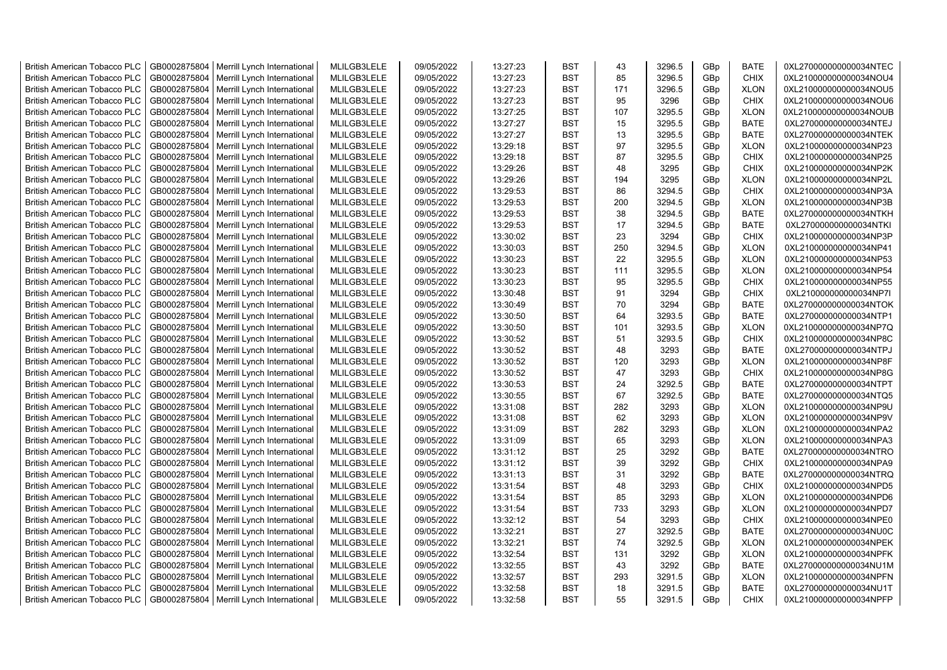| <b>British American Tobacco PLC</b> | GB0002875804                 | Merrill Lynch International                | MLILGB3LELE                | 09/05/2022 | 13:27:23             | <b>BST</b>               | 43  | 3296.5         | GBp             | <b>BATE</b>                | 0XL270000000000034NTEC |
|-------------------------------------|------------------------------|--------------------------------------------|----------------------------|------------|----------------------|--------------------------|-----|----------------|-----------------|----------------------------|------------------------|
| <b>British American Tobacco PLC</b> | GB0002875804                 | Merrill Lynch International                | MLILGB3LELE                | 09/05/2022 | 13:27:23             | <b>BST</b>               | 85  | 3296.5         | GBp             | <b>CHIX</b>                | 0XL210000000000034NOU4 |
| <b>British American Tobacco PLC</b> | GB0002875804                 | Merrill Lynch International                | MLILGB3LELE                | 09/05/2022 | 13:27:23             | <b>BST</b>               | 171 | 3296.5         | GBp             | <b>XLON</b>                | 0XL210000000000034NOU5 |
| <b>British American Tobacco PLC</b> | GB0002875804                 | Merrill Lynch International                | MLILGB3LELE                | 09/05/2022 | 13:27:23             | <b>BST</b>               | 95  | 3296           | GBp             | <b>CHIX</b>                | 0XL210000000000034NOU6 |
| <b>British American Tobacco PLC</b> | GB0002875804                 | Merrill Lynch International                | MLILGB3LELE                | 09/05/2022 | 13:27:25             | <b>BST</b>               | 107 | 3295.5         | GBp             | <b>XLON</b>                | 0XL210000000000034NOUB |
| <b>British American Tobacco PLC</b> | GB0002875804                 | Merrill Lynch International                | MLILGB3LELE                | 09/05/2022 | 13:27:27             | <b>BST</b>               | 15  | 3295.5         | GBp             | <b>BATE</b>                | 0XL270000000000034NTEJ |
| British American Tobacco PLC        | GB0002875804                 | Merrill Lynch International                | MLILGB3LELE                | 09/05/2022 | 13:27:27             | <b>BST</b>               | 13  | 3295.5         | GBp             | <b>BATE</b>                | 0XL270000000000034NTEK |
| <b>British American Tobacco PLC</b> | GB0002875804                 | Merrill Lynch International                | MLILGB3LELE                | 09/05/2022 | 13:29:18             | <b>BST</b>               | 97  | 3295.5         | GBp             | <b>XLON</b>                | 0XL210000000000034NP23 |
| <b>British American Tobacco PLC</b> | GB0002875804                 | Merrill Lynch International                | MLILGB3LELE                | 09/05/2022 | 13:29:18             | <b>BST</b>               | 87  | 3295.5         | GBp             | <b>CHIX</b>                | 0XL210000000000034NP25 |
| <b>British American Tobacco PLC</b> | GB0002875804                 | Merrill Lynch International                | MLILGB3LELE                | 09/05/2022 | 13:29:26             | <b>BST</b>               | 48  | 3295           | GBp             | <b>CHIX</b>                | 0XL210000000000034NP2K |
| <b>British American Tobacco PLC</b> | GB0002875804                 | Merrill Lynch International                | MLILGB3LELE                | 09/05/2022 | 13:29:26             | <b>BST</b>               | 194 | 3295           | GBp             | <b>XLON</b>                | 0XL210000000000034NP2L |
| <b>British American Tobacco PLC</b> | GB0002875804                 | Merrill Lynch International                | MLILGB3LELE                | 09/05/2022 | 13:29:53             | <b>BST</b>               | 86  | 3294.5         | GBp             | <b>CHIX</b>                | 0XL210000000000034NP3A |
| <b>British American Tobacco PLC</b> | GB0002875804                 | Merrill Lynch International                | MLILGB3LELE                | 09/05/2022 | 13:29:53             | BST                      | 200 | 3294.5         | GBp             | <b>XLON</b>                | 0XL210000000000034NP3B |
| <b>British American Tobacco PLC</b> | GB0002875804                 | Merrill Lynch International                | MLILGB3LELE                | 09/05/2022 | 13:29:53             | <b>BST</b>               | 38  | 3294.5         | GBp             | <b>BATE</b>                | 0XL270000000000034NTKH |
| <b>British American Tobacco PLC</b> | GB0002875804                 | Merrill Lynch International                | MLILGB3LELE                | 09/05/2022 | 13:29:53             | <b>BST</b>               | 17  | 3294.5         | GBp             | <b>BATE</b>                | 0XL270000000000034NTKI |
| <b>British American Tobacco PLC</b> | GB0002875804                 | Merrill Lynch International                | MLILGB3LELE                | 09/05/2022 | 13:30:02             | <b>BST</b>               | 23  | 3294           | GBp             | <b>CHIX</b>                | 0XL210000000000034NP3P |
| <b>British American Tobacco PLC</b> | GB0002875804                 | Merrill Lynch International                | MLILGB3LELE                | 09/05/2022 | 13:30:03             | <b>BST</b>               | 250 | 3294.5         | GBp             | <b>XLON</b>                | 0XL210000000000034NP41 |
| <b>British American Tobacco PLC</b> | GB0002875804                 | Merrill Lynch International                | MLILGB3LELE                | 09/05/2022 | 13:30:23             | <b>BST</b>               | 22  | 3295.5         | GBp             | <b>XLON</b>                | 0XL210000000000034NP53 |
| <b>British American Tobacco PLC</b> | GB0002875804                 | Merrill Lynch International                | MLILGB3LELE                | 09/05/2022 | 13:30:23             | <b>BST</b>               | 111 | 3295.5         | GBp             | <b>XLON</b>                | 0XL210000000000034NP54 |
| <b>British American Tobacco PLC</b> | GB0002875804                 | Merrill Lynch International                | MLILGB3LELE                | 09/05/2022 | 13:30:23             | <b>BST</b>               | 95  | 3295.5         | GBp             | <b>CHIX</b>                | 0XL210000000000034NP55 |
| <b>British American Tobacco PLC</b> | GB0002875804                 | Merrill Lynch International                | MLILGB3LELE                | 09/05/2022 | 13:30:48             | <b>BST</b>               | 91  | 3294           | GBp             | <b>CHIX</b>                | 0XL210000000000034NP7I |
| <b>British American Tobacco PLC</b> | GB0002875804                 | Merrill Lynch International                | MLILGB3LELE                | 09/05/2022 | 13:30:49             | <b>BST</b>               | 70  | 3294           | GBp             | <b>BATE</b>                | 0XL270000000000034NTOK |
| <b>British American Tobacco PLC</b> | GB0002875804                 | Merrill Lynch International                | MLILGB3LELE                | 09/05/2022 | 13:30:50             | <b>BST</b>               | 64  | 3293.5         | GBp             | <b>BATE</b>                | 0XL270000000000034NTP1 |
| <b>British American Tobacco PLC</b> | GB0002875804                 | Merrill Lynch International                | MLILGB3LELE                | 09/05/2022 | 13:30:50             | <b>BST</b>               | 101 | 3293.5         | GBp             | <b>XLON</b>                | 0XL210000000000034NP7Q |
| <b>British American Tobacco PLC</b> | GB0002875804                 | Merrill Lynch International                | MLILGB3LELE                | 09/05/2022 | 13:30:52             | <b>BST</b>               | 51  | 3293.5         | GBp             | <b>CHIX</b>                | 0XL210000000000034NP8C |
| <b>British American Tobacco PLC</b> | GB0002875804                 | Merrill Lynch International                | MLILGB3LELE                | 09/05/2022 | 13:30:52             | <b>BST</b>               | 48  | 3293           | GBp             | BATE                       | 0XL270000000000034NTPJ |
| <b>British American Tobacco PLC</b> | GB0002875804                 | Merrill Lynch International                | MLILGB3LELE                | 09/05/2022 | 13:30:52             | <b>BST</b>               | 120 | 3293           | GBp             | <b>XLON</b>                | 0XL210000000000034NP8F |
| <b>British American Tobacco PLC</b> | GB0002875804                 | Merrill Lynch International                | MLILGB3LELE                | 09/05/2022 | 13:30:52             | <b>BST</b>               | 47  | 3293           | GBp             | <b>CHIX</b>                | 0XL210000000000034NP8G |
| <b>British American Tobacco PLC</b> | GB0002875804                 | Merrill Lynch International                | MLILGB3LELE                | 09/05/2022 | 13:30:53             | <b>BST</b>               | 24  | 3292.5         | GBp             | <b>BATE</b>                | 0XL270000000000034NTPT |
| <b>British American Tobacco PLC</b> | GB0002875804                 | Merrill Lynch International                | MLILGB3LELE                | 09/05/2022 | 13:30:55             | <b>BST</b>               | 67  | 3292.5         | GBp             | <b>BATE</b>                | 0XL270000000000034NTQ5 |
| <b>British American Tobacco PLC</b> | GB0002875804                 | Merrill Lynch International                | MLILGB3LELE                | 09/05/2022 | 13:31:08             | <b>BST</b>               | 282 | 3293           | GBp             | <b>XLON</b>                | 0XL210000000000034NP9U |
| <b>British American Tobacco PLC</b> | GB0002875804                 | Merrill Lynch International                | MLILGB3LELE                | 09/05/2022 | 13:31:08             | <b>BST</b>               | 62  | 3293           | GBp             | <b>XLON</b>                | 0XL210000000000034NP9V |
| <b>British American Tobacco PLC</b> | GB0002875804                 | Merrill Lynch International                | MLILGB3LELE                | 09/05/2022 | 13:31:09             | <b>BST</b>               | 282 | 3293           | GBp             | <b>XLON</b>                | 0XL210000000000034NPA2 |
| <b>British American Tobacco PLC</b> | GB0002875804                 | Merrill Lynch International                | MLILGB3LELE                | 09/05/2022 | 13:31:09             | <b>BST</b>               | 65  | 3293           | GBp             | <b>XLON</b>                | 0XL210000000000034NPA3 |
| <b>British American Tobacco PLC</b> | GB0002875804                 | Merrill Lynch International                | MLILGB3LELE                | 09/05/2022 | 13:31:12             | <b>BST</b>               | 25  | 3292           | GBp             | <b>BATE</b>                | 0XL270000000000034NTRO |
| British American Tobacco PLC        | GB0002875804                 | Merrill Lynch International                | MLILGB3LELE                | 09/05/2022 | 13:31:12             | <b>BST</b>               | 39  | 3292           | GBp             | <b>CHIX</b>                | 0XL210000000000034NPA9 |
| <b>British American Tobacco PLC</b> | GB0002875804                 | Merrill Lynch International                | MLILGB3LELE                | 09/05/2022 | 13:31:13             | <b>BST</b>               | 31  | 3292           | GBp             | <b>BATE</b>                | 0XL270000000000034NTRQ |
| <b>British American Tobacco PLC</b> | GB0002875804                 | Merrill Lynch International                | MLILGB3LELE                | 09/05/2022 | 13:31:54             | <b>BST</b>               | 48  | 3293           | GBp             | <b>CHIX</b>                | 0XL210000000000034NPD5 |
| <b>British American Tobacco PLC</b> | GB0002875804                 | Merrill Lynch International                | MLILGB3LELE                | 09/05/2022 | 13:31:54             | <b>BST</b>               | 85  | 3293           | GBp             | <b>XLON</b>                | 0XL210000000000034NPD6 |
| <b>British American Tobacco PLC</b> | GB0002875804                 | Merrill Lynch International                | MLILGB3LELE                | 09/05/2022 | 13:31:54             | <b>BST</b>               | 733 | 3293           | GBp             | <b>XLON</b>                | 0XL210000000000034NPD7 |
| <b>British American Tobacco PLC</b> | GB0002875804                 | Merrill Lynch International                | MLILGB3LELE                | 09/05/2022 | 13:32:12             | <b>BST</b>               | 54  | 3293           | GBp             | <b>CHIX</b>                | 0XL210000000000034NPE0 |
| <b>British American Tobacco PLC</b> | GB0002875804                 | Merrill Lynch International                | MLILGB3LELE                | 09/05/2022 | 13:32:21             | <b>BST</b>               | 27  | 3292.5         | GBp             | <b>BATE</b>                | 0XL270000000000034NU0C |
|                                     |                              |                                            |                            |            |                      |                          | 74  |                |                 |                            |                        |
| <b>British American Tobacco PLC</b> | GB0002875804                 | Merrill Lynch International                | MLILGB3LELE                | 09/05/2022 | 13:32:21             | <b>BST</b><br><b>BST</b> | 131 | 3292.5         | GBp             | <b>XLON</b>                | 0XL210000000000034NPEK |
| <b>British American Tobacco PLC</b> | GB0002875804<br>GB0002875804 | Merrill Lynch International                | MLILGB3LELE<br>MLILGB3LELE | 09/05/2022 | 13:32:54             | <b>BST</b>               | 43  | 3292           | GBp             | <b>XLON</b><br><b>BATE</b> | 0XL210000000000034NPFK |
| <b>British American Tobacco PLC</b> | GB0002875804                 | Merrill Lynch International                | MLILGB3LELE                | 09/05/2022 | 13:32:55             | <b>BST</b>               | 293 | 3292<br>3291.5 | GBp             |                            | 0XL270000000000034NU1M |
| <b>British American Tobacco PLC</b> |                              | Merrill Lynch International                |                            | 09/05/2022 | 13:32:57             |                          |     | 3291.5         | GBp             | <b>XLON</b>                | 0XL210000000000034NPFN |
| <b>British American Tobacco PLC</b> | GB0002875804                 | Merrill Lynch International                | MLILGB3LELE                | 09/05/2022 | 13:32:58<br>13:32:58 | <b>BST</b><br><b>BST</b> | 18  |                | GBp             | <b>BATE</b>                | 0XL270000000000034NU1T |
| <b>British American Tobacco PLC</b> |                              | GB0002875804   Merrill Lynch International | MLILGB3LELE                | 09/05/2022 |                      |                          | 55  | 3291.5         | GB <sub>p</sub> | <b>CHIX</b>                | 0XL210000000000034NPFP |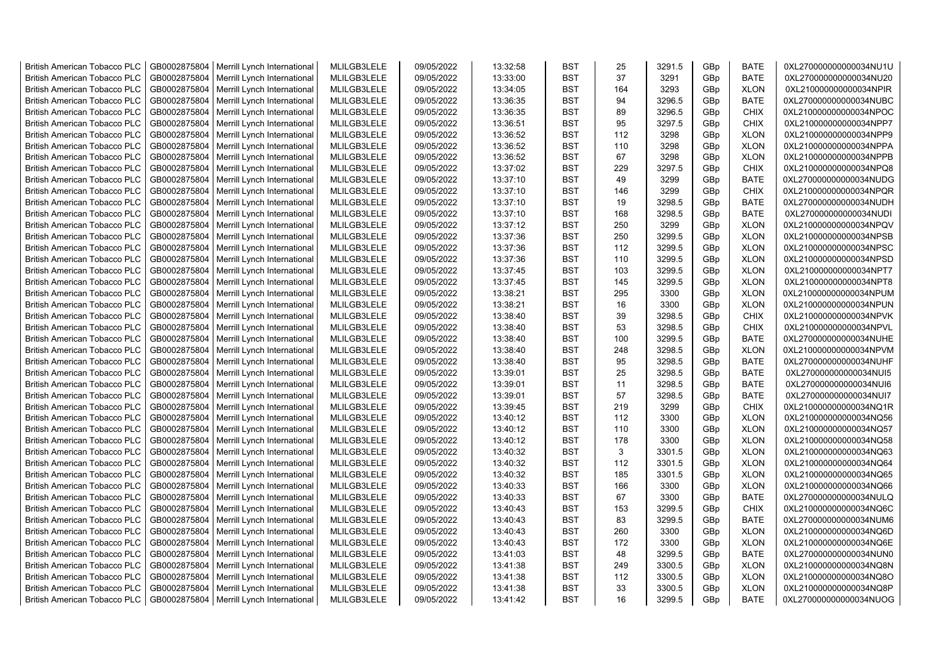| <b>British American Tobacco PLC</b> | GB0002875804 | Merrill Lynch International | MLILGB3LELE | 09/05/2022 | 13:32:58 | <b>BST</b> | 25  | 3291.5 | GBp             | <b>BATE</b> | 0XL270000000000034NU1U |
|-------------------------------------|--------------|-----------------------------|-------------|------------|----------|------------|-----|--------|-----------------|-------------|------------------------|
| <b>British American Tobacco PLC</b> | GB0002875804 | Merrill Lynch International | MLILGB3LELE | 09/05/2022 | 13:33:00 | <b>BST</b> | 37  | 3291   | GBp             | <b>BATE</b> | 0XL270000000000034NU20 |
| <b>British American Tobacco PLC</b> | GB0002875804 | Merrill Lynch International | MLILGB3LELE | 09/05/2022 | 13:34:05 | <b>BST</b> | 164 | 3293   | GBp             | <b>XLON</b> | 0XL210000000000034NPIR |
| <b>British American Tobacco PLC</b> | GB0002875804 | Merrill Lynch International | MLILGB3LELE | 09/05/2022 | 13:36:35 | <b>BST</b> | 94  | 3296.5 | GBp             | <b>BATE</b> | 0XL270000000000034NUBC |
| <b>British American Tobacco PLC</b> | GB0002875804 | Merrill Lynch International | MLILGB3LELE | 09/05/2022 | 13:36:35 | <b>BST</b> | 89  | 3296.5 | GBp             | <b>CHIX</b> | 0XL210000000000034NPOC |
| <b>British American Tobacco PLC</b> | GB0002875804 | Merrill Lynch International | MLILGB3LELE | 09/05/2022 | 13:36:51 | <b>BST</b> | 95  | 3297.5 | GBp             | <b>CHIX</b> | 0XL210000000000034NPP7 |
| <b>British American Tobacco PLC</b> | GB0002875804 | Merrill Lynch International | MLILGB3LELE | 09/05/2022 | 13:36:52 | <b>BST</b> | 112 | 3298   | GBp             | <b>XLON</b> | 0XL210000000000034NPP9 |
| <b>British American Tobacco PLC</b> | GB0002875804 | Merrill Lynch International | MLILGB3LELE | 09/05/2022 | 13:36:52 | <b>BST</b> | 110 | 3298   | GBp             | <b>XLON</b> | 0XL210000000000034NPPA |
| <b>British American Tobacco PLC</b> | GB0002875804 | Merrill Lynch International | MLILGB3LELE | 09/05/2022 | 13:36:52 | <b>BST</b> | 67  | 3298   | GBp             | <b>XLON</b> | 0XL210000000000034NPPB |
| <b>British American Tobacco PLC</b> | GB0002875804 | Merrill Lynch International | MLILGB3LELE | 09/05/2022 | 13:37:02 | <b>BST</b> | 229 | 3297.5 | GBp             | <b>CHIX</b> | 0XL210000000000034NPQ8 |
| <b>British American Tobacco PLC</b> | GB0002875804 | Merrill Lynch International | MLILGB3LELE | 09/05/2022 | 13:37:10 | <b>BST</b> | 49  | 3299   | GBp             | <b>BATE</b> | 0XL270000000000034NUDG |
| <b>British American Tobacco PLC</b> | GB0002875804 | Merrill Lynch International | MLILGB3LELE | 09/05/2022 | 13:37:10 | <b>BST</b> | 146 | 3299   | GBp             | <b>CHIX</b> | 0XL210000000000034NPQR |
| <b>British American Tobacco PLC</b> | GB0002875804 | Merrill Lynch International | MLILGB3LELE | 09/05/2022 | 13:37:10 | <b>BST</b> | 19  | 3298.5 | GBp             | <b>BATE</b> | 0XL270000000000034NUDH |
| <b>British American Tobacco PLC</b> | GB0002875804 | Merrill Lynch International | MLILGB3LELE | 09/05/2022 | 13:37:10 | <b>BST</b> | 168 | 3298.5 | GBp             | <b>BATE</b> | 0XL270000000000034NUDI |
| <b>British American Tobacco PLC</b> | GB0002875804 | Merrill Lynch International | MLILGB3LELE | 09/05/2022 | 13:37:12 | <b>BST</b> | 250 | 3299   | GBp             | <b>XLON</b> | 0XL210000000000034NPQV |
| <b>British American Tobacco PLC</b> | GB0002875804 | Merrill Lynch International | MLILGB3LELE | 09/05/2022 | 13:37:36 | <b>BST</b> | 250 | 3299.5 | GBp             | <b>XLON</b> | 0XL210000000000034NPSB |
| <b>British American Tobacco PLC</b> | GB0002875804 | Merrill Lynch International | MLILGB3LELE | 09/05/2022 | 13:37:36 | <b>BST</b> | 112 | 3299.5 | GBp             | <b>XLON</b> | 0XL210000000000034NPSC |
| <b>British American Tobacco PLC</b> | GB0002875804 | Merrill Lynch International | MLILGB3LELE | 09/05/2022 | 13:37:36 | <b>BST</b> | 110 | 3299.5 | GBp             | <b>XLON</b> | 0XL210000000000034NPSD |
| <b>British American Tobacco PLC</b> | GB0002875804 | Merrill Lynch International | MLILGB3LELE | 09/05/2022 | 13:37:45 | <b>BST</b> | 103 | 3299.5 | GBp             | <b>XLON</b> | 0XL210000000000034NPT7 |
| <b>British American Tobacco PLC</b> | GB0002875804 | Merrill Lynch International | MLILGB3LELE | 09/05/2022 | 13:37:45 | <b>BST</b> | 145 | 3299.5 | GBp             | <b>XLON</b> | 0XL210000000000034NPT8 |
| <b>British American Tobacco PLC</b> | GB0002875804 | Merrill Lynch International | MLILGB3LELE | 09/05/2022 | 13:38:21 | <b>BST</b> | 295 | 3300   | GBp             | <b>XLON</b> | 0XL210000000000034NPUM |
| <b>British American Tobacco PLC</b> | GB0002875804 | Merrill Lynch International | MLILGB3LELE | 09/05/2022 | 13:38:21 | <b>BST</b> | 16  | 3300   | GBp             | <b>XLON</b> | 0XL210000000000034NPUN |
| <b>British American Tobacco PLC</b> | GB0002875804 | Merrill Lynch International | MLILGB3LELE | 09/05/2022 | 13:38:40 | <b>BST</b> | 39  | 3298.5 | GBp             | <b>CHIX</b> | 0XL210000000000034NPVK |
| <b>British American Tobacco PLC</b> | GB0002875804 | Merrill Lynch International | MLILGB3LELE | 09/05/2022 | 13:38:40 | <b>BST</b> | 53  | 3298.5 | GBp             | <b>CHIX</b> | 0XL210000000000034NPVL |
| <b>British American Tobacco PLC</b> | GB0002875804 | Merrill Lynch International | MLILGB3LELE | 09/05/2022 | 13:38:40 | <b>BST</b> | 100 | 3299.5 | GBp             | <b>BATE</b> | 0XL270000000000034NUHE |
| <b>British American Tobacco PLC</b> | GB0002875804 | Merrill Lynch International | MLILGB3LELE | 09/05/2022 | 13:38:40 | <b>BST</b> | 248 | 3298.5 | GBp             | <b>XLON</b> | 0XL210000000000034NPVM |
| <b>British American Tobacco PLC</b> | GB0002875804 | Merrill Lynch International | MLILGB3LELE | 09/05/2022 | 13:38:40 | <b>BST</b> | 95  | 3298.5 | GBp             | <b>BATE</b> | 0XL270000000000034NUHF |
| <b>British American Tobacco PLC</b> | GB0002875804 | Merrill Lynch International | MLILGB3LELE | 09/05/2022 | 13:39:01 | <b>BST</b> | 25  | 3298.5 | GBp             | <b>BATE</b> | 0XL270000000000034NUI5 |
| <b>British American Tobacco PLC</b> | GB0002875804 | Merrill Lynch International | MLILGB3LELE | 09/05/2022 | 13:39:01 | BST        | 11  | 3298.5 | GBp             | <b>BATE</b> | 0XL270000000000034NUI6 |
| <b>British American Tobacco PLC</b> | GB0002875804 | Merrill Lynch International | MLILGB3LELE | 09/05/2022 | 13:39:01 | <b>BST</b> | 57  | 3298.5 | GBp             | <b>BATE</b> | 0XL270000000000034NUI7 |
| <b>British American Tobacco PLC</b> | GB0002875804 | Merrill Lynch International | MLILGB3LELE | 09/05/2022 | 13:39:45 | <b>BST</b> | 219 | 3299   | GBp             | <b>CHIX</b> | 0XL210000000000034NQ1R |
| <b>British American Tobacco PLC</b> | GB0002875804 | Merrill Lynch International | MLILGB3LELE | 09/05/2022 | 13:40:12 | <b>BST</b> | 112 | 3300   | GBp             | <b>XLON</b> | 0XL210000000000034NQ56 |
| <b>British American Tobacco PLC</b> | GB0002875804 | Merrill Lynch International | MLILGB3LELE | 09/05/2022 | 13:40:12 | <b>BST</b> | 110 | 3300   | GBp             | <b>XLON</b> | 0XL210000000000034NQ57 |
| <b>British American Tobacco PLC</b> | GB0002875804 | Merrill Lynch International | MLILGB3LELE | 09/05/2022 | 13:40:12 | <b>BST</b> | 178 | 3300   | GBp             | <b>XLON</b> | 0XL210000000000034NQ58 |
| <b>British American Tobacco PLC</b> | GB0002875804 | Merrill Lynch International | MLILGB3LELE | 09/05/2022 | 13:40:32 | <b>BST</b> | 3   | 3301.5 | GBp             | <b>XLON</b> | 0XL210000000000034NQ63 |
| <b>British American Tobacco PLC</b> | GB0002875804 | Merrill Lynch International | MLILGB3LELE | 09/05/2022 | 13:40:32 | <b>BST</b> | 112 | 3301.5 | GBp             | <b>XLON</b> | 0XL210000000000034NQ64 |
| <b>British American Tobacco PLC</b> | GB0002875804 | Merrill Lynch International | MLILGB3LELE | 09/05/2022 | 13:40:32 | <b>BST</b> | 185 | 3301.5 | GBp             | <b>XLON</b> | 0XL210000000000034NQ65 |
| <b>British American Tobacco PLC</b> | GB0002875804 | Merrill Lynch International | MLILGB3LELE | 09/05/2022 | 13:40:33 | <b>BST</b> | 166 | 3300   | GBp             | <b>XLON</b> | 0XL210000000000034NQ66 |
| <b>British American Tobacco PLC</b> | GB0002875804 | Merrill Lynch International | MLILGB3LELE | 09/05/2022 | 13:40:33 | <b>BST</b> | 67  | 3300   | GBp             | <b>BATE</b> | 0XL270000000000034NULQ |
| <b>British American Tobacco PLC</b> | GB0002875804 | Merrill Lynch International | MLILGB3LELE | 09/05/2022 | 13:40:43 | <b>BST</b> | 153 | 3299.5 | GBp             | <b>CHIX</b> | 0XL210000000000034NQ6C |
| <b>British American Tobacco PLC</b> | GB0002875804 | Merrill Lynch International | MLILGB3LELE | 09/05/2022 | 13:40:43 | <b>BST</b> | 83  | 3299.5 | GBp             | <b>BATE</b> | 0XL270000000000034NUM6 |
| <b>British American Tobacco PLC</b> | GB0002875804 | Merrill Lynch International | MLILGB3LELE | 09/05/2022 | 13:40:43 | <b>BST</b> | 260 | 3300   | GBp             | <b>XLON</b> | 0XL210000000000034NQ6D |
| <b>British American Tobacco PLC</b> | GB0002875804 | Merrill Lynch International | MLILGB3LELE | 09/05/2022 | 13:40:43 | <b>BST</b> | 172 | 3300   | GBp             | <b>XLON</b> | 0XL210000000000034NQ6E |
| <b>British American Tobacco PLC</b> | GB0002875804 | Merrill Lynch International | MLILGB3LELE | 09/05/2022 | 13:41:03 | <b>BST</b> | 48  | 3299.5 | GBp             | <b>BATE</b> | 0XL270000000000034NUN0 |
| <b>British American Tobacco PLC</b> | GB0002875804 | Merrill Lynch International | MLILGB3LELE | 09/05/2022 | 13:41:38 | <b>BST</b> | 249 | 3300.5 | GBp             | <b>XLON</b> | 0XL210000000000034NQ8N |
| <b>British American Tobacco PLC</b> | GB0002875804 | Merrill Lynch International | MLILGB3LELE | 09/05/2022 | 13:41:38 | <b>BST</b> | 112 | 3300.5 | GBp             | <b>XLON</b> | 0XL210000000000034NQ8O |
| <b>British American Tobacco PLC</b> | GB0002875804 | Merrill Lynch International | MLILGB3LELE | 09/05/2022 | 13:41:38 | <b>BST</b> | 33  | 3300.5 | GBp             | <b>XLON</b> | 0XL210000000000034NQ8P |
| <b>British American Tobacco PLC</b> | GB0002875804 | Merrill Lynch International | MLILGB3LELE | 09/05/2022 | 13:41:42 | <b>BST</b> | 16  | 3299.5 | GB <sub>p</sub> | <b>BATE</b> | 0XL270000000000034NUOG |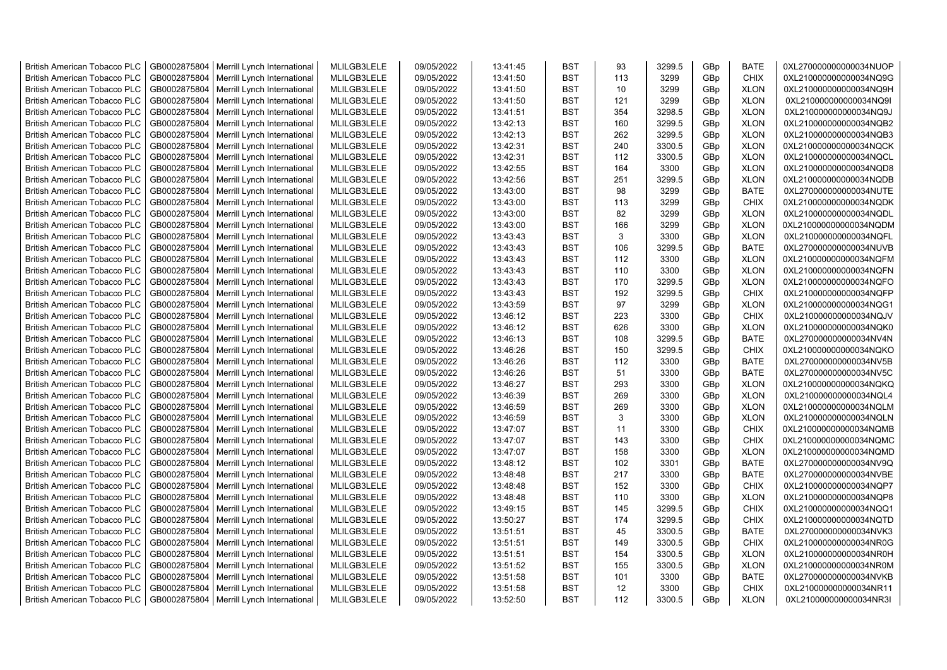| <b>British American Tobacco PLC</b> | GB0002875804 | Merrill Lynch International | MLILGB3LELE | 09/05/2022 | 13:41:45 | <b>BST</b> | 93              | 3299.5 | GBp             | <b>BATE</b> | 0XL270000000000034NUOP |
|-------------------------------------|--------------|-----------------------------|-------------|------------|----------|------------|-----------------|--------|-----------------|-------------|------------------------|
| <b>British American Tobacco PLC</b> | GB0002875804 | Merrill Lynch International | MLILGB3LELE | 09/05/2022 | 13:41:50 | <b>BST</b> | 113             | 3299   | GBp             | <b>CHIX</b> | 0XL210000000000034NQ9G |
| <b>British American Tobacco PLC</b> | GB0002875804 | Merrill Lynch International | MLILGB3LELE | 09/05/2022 | 13:41:50 | <b>BST</b> | 10              | 3299   | GBp             | <b>XLON</b> | 0XL210000000000034NQ9H |
| <b>British American Tobacco PLC</b> | GB0002875804 | Merrill Lynch International | MLILGB3LELE | 09/05/2022 | 13:41:50 | <b>BST</b> | 121             | 3299   | GBp             | <b>XLON</b> | 0XL210000000000034NQ9I |
| <b>British American Tobacco PLC</b> | GB0002875804 | Merrill Lynch International | MLILGB3LELE | 09/05/2022 | 13:41:51 | <b>BST</b> | 354             | 3298.5 | GBp             | <b>XLON</b> | 0XL210000000000034NQ9J |
| <b>British American Tobacco PLC</b> | GB0002875804 | Merrill Lynch International | MLILGB3LELE | 09/05/2022 | 13:42:13 | <b>BST</b> | 160             | 3299.5 | GBp             | <b>XLON</b> | 0XL210000000000034NQB2 |
| <b>British American Tobacco PLC</b> | GB0002875804 | Merrill Lynch International | MLILGB3LELE | 09/05/2022 | 13:42:13 | <b>BST</b> | 262             | 3299.5 | GBp             | <b>XLON</b> | 0XL210000000000034NQB3 |
| <b>British American Tobacco PLC</b> | GB0002875804 | Merrill Lynch International | MLILGB3LELE | 09/05/2022 | 13:42:31 | <b>BST</b> | 240             | 3300.5 | GBp             | <b>XLON</b> | 0XL210000000000034NQCK |
| <b>British American Tobacco PLC</b> | GB0002875804 | Merrill Lynch International | MLILGB3LELE | 09/05/2022 | 13:42:31 | <b>BST</b> | 112             | 3300.5 | GBp             | <b>XLON</b> | 0XL210000000000034NQCL |
| <b>British American Tobacco PLC</b> | GB0002875804 | Merrill Lynch International | MLILGB3LELE | 09/05/2022 | 13:42:55 | <b>BST</b> | 164             | 3300   | GBp             | <b>XLON</b> | 0XL210000000000034NQD8 |
| <b>British American Tobacco PLC</b> | GB0002875804 | Merrill Lynch International | MLILGB3LELE | 09/05/2022 | 13:42:56 | <b>BST</b> | 251             | 3299.5 | GBp             | <b>XLON</b> | 0XL210000000000034NQDB |
| <b>British American Tobacco PLC</b> | GB0002875804 | Merrill Lynch International | MLILGB3LELE | 09/05/2022 | 13:43:00 | <b>BST</b> | 98              | 3299   | GBp             | <b>BATE</b> | 0XL270000000000034NUTE |
| <b>British American Tobacco PLC</b> | GB0002875804 | Merrill Lynch International | MLILGB3LELE | 09/05/2022 | 13:43:00 | <b>BST</b> | 113             | 3299   | GBp             | <b>CHIX</b> | 0XL210000000000034NQDK |
|                                     |              |                             | MLILGB3LELE | 09/05/2022 |          | <b>BST</b> | 82              | 3299   |                 |             |                        |
| <b>British American Tobacco PLC</b> | GB0002875804 | Merrill Lynch International |             |            | 13:43:00 |            |                 |        | GBp             | <b>XLON</b> | 0XL210000000000034NQDL |
| <b>British American Tobacco PLC</b> | GB0002875804 | Merrill Lynch International | MLILGB3LELE | 09/05/2022 | 13:43:00 | <b>BST</b> | 166             | 3299   | GBp             | <b>XLON</b> | 0XL210000000000034NQDM |
| <b>British American Tobacco PLC</b> | GB0002875804 | Merrill Lynch International | MLILGB3LELE | 09/05/2022 | 13:43:43 | <b>BST</b> | 3               | 3300   | GBp             | <b>XLON</b> | 0XL210000000000034NQFL |
| <b>British American Tobacco PLC</b> | GB0002875804 | Merrill Lynch International | MLILGB3LELE | 09/05/2022 | 13:43:43 | <b>BST</b> | 106             | 3299.5 | GBp             | <b>BATE</b> | 0XL270000000000034NUVB |
| <b>British American Tobacco PLC</b> | GB0002875804 | Merrill Lynch International | MLILGB3LELE | 09/05/2022 | 13:43:43 | <b>BST</b> | 112             | 3300   | GBp             | <b>XLON</b> | 0XL210000000000034NQFM |
| <b>British American Tobacco PLC</b> | GB0002875804 | Merrill Lynch International | MLILGB3LELE | 09/05/2022 | 13:43:43 | <b>BST</b> | 110             | 3300   | GBp             | <b>XLON</b> | 0XL210000000000034NQFN |
| <b>British American Tobacco PLC</b> | GB0002875804 | Merrill Lynch International | MLILGB3LELE | 09/05/2022 | 13:43:43 | <b>BST</b> | 170             | 3299.5 | GBp             | <b>XLON</b> | 0XL210000000000034NQFO |
| <b>British American Tobacco PLC</b> | GB0002875804 | Merrill Lynch International | MLILGB3LELE | 09/05/2022 | 13:43:43 | <b>BST</b> | 192             | 3299.5 | GBp             | <b>CHIX</b> | 0XL210000000000034NQFP |
| <b>British American Tobacco PLC</b> | GB0002875804 | Merrill Lynch International | MLILGB3LELE | 09/05/2022 | 13:43:59 | <b>BST</b> | 97              | 3299   | GBp             | <b>XLON</b> | 0XL210000000000034NQG1 |
| <b>British American Tobacco PLC</b> | GB0002875804 | Merrill Lynch International | MLILGB3LELE | 09/05/2022 | 13:46:12 | <b>BST</b> | 223             | 3300   | GBp             | <b>CHIX</b> | 0XL210000000000034NQJV |
| <b>British American Tobacco PLC</b> | GB0002875804 | Merrill Lynch International | MLILGB3LELE | 09/05/2022 | 13:46:12 | <b>BST</b> | 626             | 3300   | GBp             | <b>XLON</b> | 0XL210000000000034NQK0 |
| <b>British American Tobacco PLC</b> | GB0002875804 | Merrill Lynch International | MLILGB3LELE | 09/05/2022 | 13:46:13 | <b>BST</b> | 108             | 3299.5 | GBp             | <b>BATE</b> | 0XL270000000000034NV4N |
| <b>British American Tobacco PLC</b> | GB0002875804 | Merrill Lynch International | MLILGB3LELE | 09/05/2022 | 13:46:26 | <b>BST</b> | 150             | 3299.5 | GBp             | <b>CHIX</b> | 0XL210000000000034NQKO |
| <b>British American Tobacco PLC</b> | GB0002875804 | Merrill Lynch International | MLILGB3LELE | 09/05/2022 | 13:46:26 | <b>BST</b> | 112             | 3300   | GBp             | <b>BATE</b> | 0XL270000000000034NV5B |
| British American Tobacco PLC        | GB0002875804 | Merrill Lynch International | MLILGB3LELE | 09/05/2022 | 13:46:26 | <b>BST</b> | 51              | 3300   | GBp             | <b>BATE</b> | 0XL270000000000034NV5C |
| <b>British American Tobacco PLC</b> | GB0002875804 | Merrill Lynch International | MLILGB3LELE | 09/05/2022 | 13:46:27 | <b>BST</b> | 293             | 3300   | GBp             | <b>XLON</b> | 0XL210000000000034NQKQ |
| <b>British American Tobacco PLC</b> | GB0002875804 | Merrill Lynch International | MLILGB3LELE | 09/05/2022 | 13:46:39 | <b>BST</b> | 269             | 3300   | GBp             | <b>XLON</b> | 0XL210000000000034NQL4 |
| <b>British American Tobacco PLC</b> | GB0002875804 | Merrill Lynch International | MLILGB3LELE | 09/05/2022 | 13:46:59 | <b>BST</b> | 269             | 3300   | GBp             | <b>XLON</b> | 0XL210000000000034NQLM |
| <b>British American Tobacco PLC</b> | GB0002875804 | Merrill Lynch International | MLILGB3LELE | 09/05/2022 | 13:46:59 | <b>BST</b> | 3               | 3300   | GBp             | <b>XLON</b> | 0XL210000000000034NQLN |
| <b>British American Tobacco PLC</b> | GB0002875804 | Merrill Lynch International | MLILGB3LELE | 09/05/2022 | 13:47:07 | <b>BST</b> | 11              | 3300   | GBp             | <b>CHIX</b> | 0XL210000000000034NQMB |
| <b>British American Tobacco PLC</b> | GB0002875804 | Merrill Lynch International | MLILGB3LELE | 09/05/2022 | 13:47:07 | <b>BST</b> | 143             | 3300   | GBp             | <b>CHIX</b> | 0XL210000000000034NQMC |
| <b>British American Tobacco PLC</b> | GB0002875804 | Merrill Lynch International | MLILGB3LELE | 09/05/2022 | 13:47:07 | <b>BST</b> | 158             | 3300   | GBp             | <b>XLON</b> | 0XL210000000000034NQMD |
| <b>British American Tobacco PLC</b> | GB0002875804 | Merrill Lynch International | MLILGB3LELE | 09/05/2022 | 13:48:12 | <b>BST</b> | 102             | 3301   | GBp             | <b>BATE</b> | 0XL270000000000034NV9Q |
| <b>British American Tobacco PLC</b> | GB0002875804 | Merrill Lynch International | MLILGB3LELE | 09/05/2022 | 13:48:48 | <b>BST</b> | 217             | 3300   | GBp             | <b>BATE</b> | 0XL270000000000034NVBE |
| <b>British American Tobacco PLC</b> | GB0002875804 | Merrill Lynch International | MLILGB3LELE | 09/05/2022 | 13:48:48 | <b>BST</b> | 152             | 3300   | GBp             | <b>CHIX</b> | 0XL210000000000034NQP7 |
| <b>British American Tobacco PLC</b> | GB0002875804 | Merrill Lynch International | MLILGB3LELE | 09/05/2022 | 13:48:48 | <b>BST</b> | 110             | 3300   | GBp             | <b>XLON</b> | 0XL210000000000034NQP8 |
| <b>British American Tobacco PLC</b> | GB0002875804 | Merrill Lynch International | MLILGB3LELE | 09/05/2022 | 13:49:15 | <b>BST</b> | 145             | 3299.5 | GBp             | <b>CHIX</b> | 0XL210000000000034NQQ1 |
| <b>British American Tobacco PLC</b> | GB0002875804 | Merrill Lynch International | MLILGB3LELE | 09/05/2022 | 13:50:27 | <b>BST</b> | 174             | 3299.5 | GBp             | <b>CHIX</b> | 0XL210000000000034NQTD |
| <b>British American Tobacco PLC</b> | GB0002875804 | Merrill Lynch International | MLILGB3LELE | 09/05/2022 | 13:51:51 | <b>BST</b> | 45              | 3300.5 | GBp             | <b>BATE</b> | 0XL270000000000034NVK3 |
| <b>British American Tobacco PLC</b> | GB0002875804 | Merrill Lynch International | MLILGB3LELE | 09/05/2022 | 13:51:51 | <b>BST</b> | 149             | 3300.5 | GBp             | <b>CHIX</b> | 0XL210000000000034NR0G |
| <b>British American Tobacco PLC</b> | GB0002875804 | Merrill Lynch International | MLILGB3LELE | 09/05/2022 | 13:51:51 | <b>BST</b> | 154             | 3300.5 | GBp             | <b>XLON</b> | 0XL210000000000034NR0H |
| British American Tobacco PLC        | GB0002875804 | Merrill Lynch International | MLILGB3LELE | 09/05/2022 | 13:51:52 | <b>BST</b> | 155             | 3300.5 | GBp             | <b>XLON</b> | 0XL210000000000034NR0M |
| <b>British American Tobacco PLC</b> | GB0002875804 | Merrill Lynch International | MLILGB3LELE | 09/05/2022 | 13:51:58 | <b>BST</b> | 101             | 3300   | GBp             | <b>BATE</b> | 0XL270000000000034NVKB |
| <b>British American Tobacco PLC</b> | GB0002875804 | Merrill Lynch International | MLILGB3LELE | 09/05/2022 | 13:51:58 | <b>BST</b> | 12 <sup>2</sup> | 3300   | GBp             | <b>CHIX</b> | 0XL210000000000034NR11 |
| <b>British American Tobacco PLC</b> | GB0002875804 | Merrill Lynch International | MLILGB3LELE | 09/05/2022 | 13:52:50 | <b>BST</b> | 112             | 3300.5 | GB <sub>p</sub> | <b>XLON</b> | 0XL210000000000034NR3I |
|                                     |              |                             |             |            |          |            |                 |        |                 |             |                        |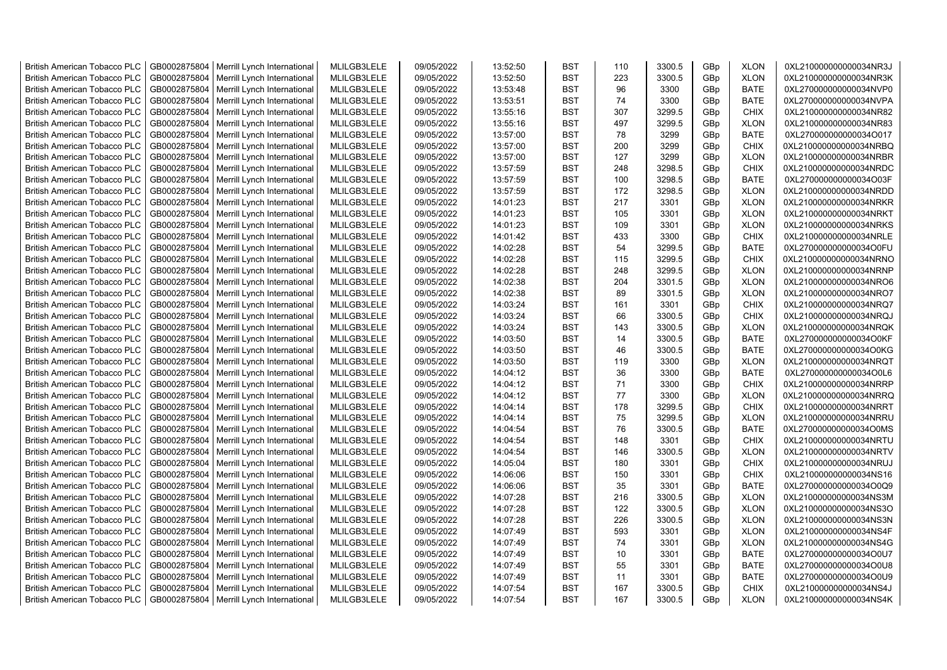| <b>British American Tobacco PLC</b> | GB0002875804 | Merrill Lynch International                | MLILGB3LELE | 09/05/2022 | 13:52:50 | <b>BST</b> | 110 | 3300.5 | GBp             | <b>XLON</b> | 0XL210000000000034NR3J |
|-------------------------------------|--------------|--------------------------------------------|-------------|------------|----------|------------|-----|--------|-----------------|-------------|------------------------|
| <b>British American Tobacco PLC</b> | GB0002875804 | Merrill Lynch International                | MLILGB3LELE | 09/05/2022 | 13:52:50 | <b>BST</b> | 223 | 3300.5 | GBp             | <b>XLON</b> | 0XL210000000000034NR3K |
| <b>British American Tobacco PLC</b> | GB0002875804 | Merrill Lynch International                | MLILGB3LELE | 09/05/2022 | 13:53:48 | <b>BST</b> | 96  | 3300   | GBp             | <b>BATE</b> | 0XL270000000000034NVP0 |
| <b>British American Tobacco PLC</b> | GB0002875804 | Merrill Lynch International                | MLILGB3LELE | 09/05/2022 | 13:53:51 | <b>BST</b> | 74  | 3300   | GBp             | <b>BATE</b> | 0XL270000000000034NVPA |
| <b>British American Tobacco PLC</b> | GB0002875804 | Merrill Lynch International                | MLILGB3LELE | 09/05/2022 | 13:55:16 | <b>BST</b> | 307 | 3299.5 | GBp             | <b>CHIX</b> | 0XL210000000000034NR82 |
| <b>British American Tobacco PLC</b> | GB0002875804 | Merrill Lynch International                | MLILGB3LELE | 09/05/2022 | 13:55:16 | <b>BST</b> | 497 | 3299.5 | GBp             | <b>XLON</b> | 0XL210000000000034NR83 |
| <b>British American Tobacco PLC</b> | GB0002875804 | Merrill Lynch International                | MLILGB3LELE | 09/05/2022 | 13:57:00 | BST        | 78  | 3299   | GBp             | <b>BATE</b> | 0XL270000000000034O017 |
| <b>British American Tobacco PLC</b> | GB0002875804 | Merrill Lynch International                | MLILGB3LELE | 09/05/2022 | 13:57:00 | <b>BST</b> | 200 | 3299   | GBp             | <b>CHIX</b> | 0XL210000000000034NRBQ |
| <b>British American Tobacco PLC</b> | GB0002875804 | Merrill Lynch International                | MLILGB3LELE | 09/05/2022 | 13:57:00 | <b>BST</b> | 127 | 3299   | GBp             | <b>XLON</b> | 0XL210000000000034NRBR |
| <b>British American Tobacco PLC</b> | GB0002875804 | Merrill Lynch International                | MLILGB3LELE | 09/05/2022 | 13:57:59 | <b>BST</b> | 248 | 3298.5 | GBp             | <b>CHIX</b> | 0XL210000000000034NRDC |
| <b>British American Tobacco PLC</b> | GB0002875804 | Merrill Lynch International                | MLILGB3LELE | 09/05/2022 | 13:57:59 | <b>BST</b> | 100 | 3298.5 | GBp             | <b>BATE</b> | 0XL270000000000034O03F |
| <b>British American Tobacco PLC</b> | GB0002875804 | Merrill Lynch International                | MLILGB3LELE | 09/05/2022 | 13:57:59 | <b>BST</b> | 172 | 3298.5 | GBp             | <b>XLON</b> | 0XL210000000000034NRDD |
| <b>British American Tobacco PLC</b> | GB0002875804 | Merrill Lynch International                | MLILGB3LELE | 09/05/2022 | 14:01:23 | <b>BST</b> | 217 | 3301   | GBp             | <b>XLON</b> | 0XL210000000000034NRKR |
| <b>British American Tobacco PLC</b> | GB0002875804 | Merrill Lynch International                | MLILGB3LELE | 09/05/2022 | 14:01:23 | <b>BST</b> | 105 | 3301   | GBp             | <b>XLON</b> | 0XL210000000000034NRKT |
| British American Tobacco PLC        | GB0002875804 | Merrill Lynch International                | MLILGB3LELE | 09/05/2022 | 14:01:23 | <b>BST</b> | 109 | 3301   | GBp             | <b>XLON</b> | 0XL210000000000034NRKS |
| <b>British American Tobacco PLC</b> | GB0002875804 | Merrill Lynch International                | MLILGB3LELE | 09/05/2022 | 14:01:42 | <b>BST</b> | 433 | 3300   | GBp             | <b>CHIX</b> | 0XL210000000000034NRLE |
| <b>British American Tobacco PLC</b> | GB0002875804 | Merrill Lynch International                | MLILGB3LELE | 09/05/2022 | 14:02:28 | <b>BST</b> | 54  | 3299.5 | GBp             | BATE        | 0XL270000000000034O0FU |
| <b>British American Tobacco PLC</b> | GB0002875804 | Merrill Lynch International                | MLILGB3LELE | 09/05/2022 | 14:02:28 | <b>BST</b> | 115 | 3299.5 | GBp             | <b>CHIX</b> | 0XL210000000000034NRNO |
| <b>British American Tobacco PLC</b> | GB0002875804 | Merrill Lynch International                | MLILGB3LELE | 09/05/2022 | 14:02:28 | <b>BST</b> | 248 | 3299.5 | GBp             | <b>XLON</b> | 0XL210000000000034NRNP |
| <b>British American Tobacco PLC</b> | GB0002875804 | Merrill Lynch International                | MLILGB3LELE | 09/05/2022 | 14:02:38 | <b>BST</b> | 204 | 3301.5 | GBp             | <b>XLON</b> | 0XL210000000000034NRO6 |
| <b>British American Tobacco PLC</b> | GB0002875804 | Merrill Lynch International                | MLILGB3LELE | 09/05/2022 | 14:02:38 | <b>BST</b> | 89  | 3301.5 | GBp             | <b>XLON</b> | 0XL210000000000034NRO7 |
| <b>British American Tobacco PLC</b> | GB0002875804 | Merrill Lynch International                | MLILGB3LELE | 09/05/2022 | 14:03:24 | <b>BST</b> | 161 | 3301   | GBp             | <b>CHIX</b> | 0XL210000000000034NRQ7 |
|                                     |              |                                            |             |            |          | <b>BST</b> | 66  | 3300.5 |                 | <b>CHIX</b> |                        |
| <b>British American Tobacco PLC</b> | GB0002875804 | Merrill Lynch International                | MLILGB3LELE | 09/05/2022 | 14:03:24 |            |     |        | GBp             |             | 0XL210000000000034NRQJ |
| <b>British American Tobacco PLC</b> | GB0002875804 | Merrill Lynch International                | MLILGB3LELE | 09/05/2022 | 14:03:24 | <b>BST</b> | 143 | 3300.5 | GBp             | <b>XLON</b> | 0XL210000000000034NRQK |
| <b>British American Tobacco PLC</b> | GB0002875804 | Merrill Lynch International                | MLILGB3LELE | 09/05/2022 | 14:03:50 | <b>BST</b> | 14  | 3300.5 | GBp             | <b>BATE</b> | 0XL270000000000034O0KF |
| <b>British American Tobacco PLC</b> | GB0002875804 | Merrill Lynch International                | MLILGB3LELE | 09/05/2022 | 14:03:50 | <b>BST</b> | 46  | 3300.5 | GBp             | <b>BATE</b> | 0XL270000000000034O0KG |
| <b>British American Tobacco PLC</b> | GB0002875804 | Merrill Lynch International                | MLILGB3LELE | 09/05/2022 | 14:03:50 | <b>BST</b> | 119 | 3300   | GBp             | <b>XLON</b> | 0XL210000000000034NRQT |
| <b>British American Tobacco PLC</b> | GB0002875804 | Merrill Lynch International                | MLILGB3LELE | 09/05/2022 | 14:04:12 | <b>BST</b> | 36  | 3300   | GBp             | <b>BATE</b> | 0XL270000000000034O0L6 |
| <b>British American Tobacco PLC</b> | GB0002875804 | Merrill Lynch International                | MLILGB3LELE | 09/05/2022 | 14:04:12 | <b>BST</b> | 71  | 3300   | GBp             | <b>CHIX</b> | 0XL210000000000034NRRP |
| <b>British American Tobacco PLC</b> | GB0002875804 | Merrill Lynch International                | MLILGB3LELE | 09/05/2022 | 14:04:12 | <b>BST</b> | 77  | 3300   | GBp             | <b>XLON</b> | 0XL210000000000034NRRQ |
| <b>British American Tobacco PLC</b> | GB0002875804 | Merrill Lynch International                | MLILGB3LELE | 09/05/2022 | 14:04:14 | <b>BST</b> | 178 | 3299.5 | GBp             | <b>CHIX</b> | 0XL210000000000034NRRT |
| <b>British American Tobacco PLC</b> | GB0002875804 | Merrill Lynch International                | MLILGB3LELE | 09/05/2022 | 14:04:14 | <b>BST</b> | 75  | 3299.5 | GBp             | <b>XLON</b> | 0XL210000000000034NRRU |
| <b>British American Tobacco PLC</b> | GB0002875804 | Merrill Lynch International                | MLILGB3LELE | 09/05/2022 | 14:04:54 | <b>BST</b> | 76  | 3300.5 | GBp             | <b>BATE</b> | 0XL270000000000034O0MS |
| <b>British American Tobacco PLC</b> | GB0002875804 | Merrill Lynch International                | MLILGB3LELE | 09/05/2022 | 14:04:54 | <b>BST</b> | 148 | 3301   | GBp             | <b>CHIX</b> | 0XL210000000000034NRTU |
| <b>British American Tobacco PLC</b> | GB0002875804 | Merrill Lynch International                | MLILGB3LELE | 09/05/2022 | 14:04:54 | <b>BST</b> | 146 | 3300.5 | GBp             | <b>XLON</b> | 0XL210000000000034NRTV |
| <b>British American Tobacco PLC</b> | GB0002875804 | Merrill Lynch International                | MLILGB3LELE | 09/05/2022 | 14:05:04 | <b>BST</b> | 180 | 3301   | GBp             | <b>CHIX</b> | 0XL210000000000034NRUJ |
| <b>British American Tobacco PLC</b> | GB0002875804 | Merrill Lynch International                | MLILGB3LELE | 09/05/2022 | 14:06:06 | <b>BST</b> | 150 | 3301   | GBp             | <b>CHIX</b> | 0XL210000000000034NS16 |
| <b>British American Tobacco PLC</b> | GB0002875804 | Merrill Lynch International                | MLILGB3LELE | 09/05/2022 | 14:06:06 | <b>BST</b> | 35  | 3301   | GBp             | <b>BATE</b> | 0XL270000000000034O0Q9 |
| <b>British American Tobacco PLC</b> | GB0002875804 | Merrill Lynch International                | MLILGB3LELE | 09/05/2022 | 14:07:28 | <b>BST</b> | 216 | 3300.5 | GBp             | <b>XLON</b> | 0XL210000000000034NS3M |
| <b>British American Tobacco PLC</b> | GB0002875804 | Merrill Lynch International                | MLILGB3LELE | 09/05/2022 | 14:07:28 | <b>BST</b> | 122 | 3300.5 | GBp             | <b>XLON</b> | 0XL210000000000034NS3O |
| <b>British American Tobacco PLC</b> | GB0002875804 | Merrill Lynch International                | MLILGB3LELE | 09/05/2022 | 14:07:28 | <b>BST</b> | 226 | 3300.5 | GBp             | <b>XLON</b> | 0XL210000000000034NS3N |
| <b>British American Tobacco PLC</b> | GB0002875804 | Merrill Lynch International                | MLILGB3LELE | 09/05/2022 | 14:07:49 | <b>BST</b> | 593 | 3301   | GBp             | <b>XLON</b> | 0XL210000000000034NS4F |
| <b>British American Tobacco PLC</b> | GB0002875804 | Merrill Lynch International                | MLILGB3LELE | 09/05/2022 | 14:07:49 | <b>BST</b> | 74  | 3301   | GBp             | <b>XLON</b> | 0XL210000000000034NS4G |
| <b>British American Tobacco PLC</b> | GB0002875804 | Merrill Lynch International                | MLILGB3LELE | 09/05/2022 | 14:07:49 | <b>BST</b> | 10  | 3301   | GBp             | <b>BATE</b> | 0XL270000000000034O0U7 |
| British American Tobacco PLC        | GB0002875804 | Merrill Lynch International                | MLILGB3LELE | 09/05/2022 | 14:07:49 | <b>BST</b> | 55  | 3301   | GBp             | <b>BATE</b> | 0XL270000000000034O0U8 |
| <b>British American Tobacco PLC</b> | GB0002875804 | Merrill Lynch International                | MLILGB3LELE | 09/05/2022 | 14:07:49 | <b>BST</b> | 11  | 3301   | GBp             | <b>BATE</b> | 0XL270000000000034O0U9 |
| <b>British American Tobacco PLC</b> | GB0002875804 | Merrill Lynch International                | MLILGB3LELE | 09/05/2022 | 14:07:54 | <b>BST</b> | 167 | 3300.5 | GBp             | <b>CHIX</b> | 0XL210000000000034NS4J |
| <b>British American Tobacco PLC</b> |              | GB0002875804   Merrill Lynch International | MLILGB3LELE | 09/05/2022 | 14:07:54 | <b>BST</b> | 167 | 3300.5 | GB <sub>p</sub> | <b>XLON</b> | 0XL210000000000034NS4K |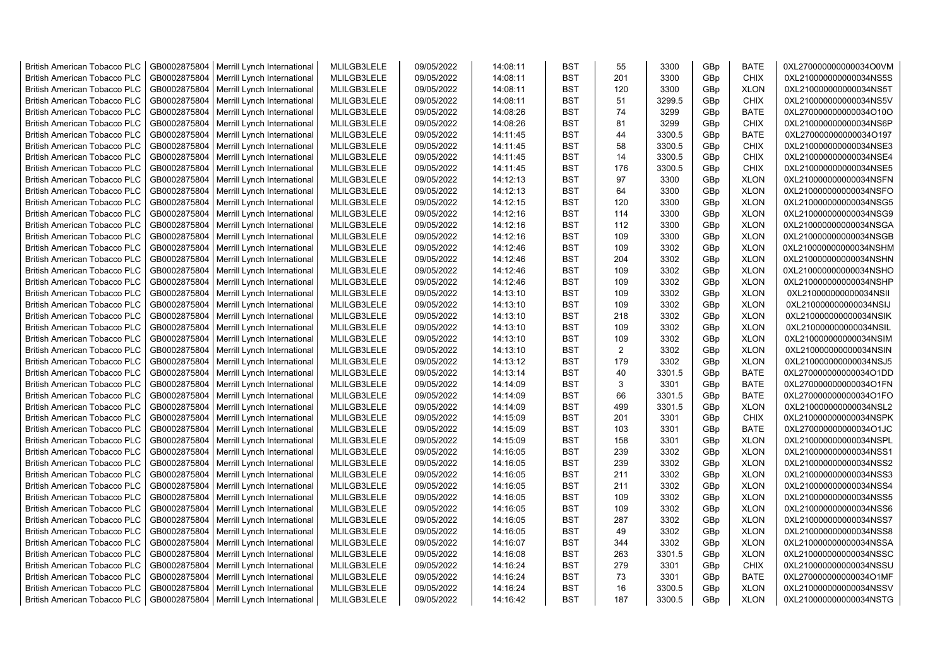| <b>British American Tobacco PLC</b> | GB0002875804 | Merrill Lynch International | MLILGB3LELE | 09/05/2022 | 14:08:11 | <b>BST</b> | 55             | 3300   | GBp             | <b>BATE</b> | 0XL270000000000034O0VM |
|-------------------------------------|--------------|-----------------------------|-------------|------------|----------|------------|----------------|--------|-----------------|-------------|------------------------|
| <b>British American Tobacco PLC</b> | GB0002875804 | Merrill Lynch International | MLILGB3LELE | 09/05/2022 | 14:08:11 | <b>BST</b> | 201            | 3300   | GBp             | <b>CHIX</b> | 0XL210000000000034NS5S |
| <b>British American Tobacco PLC</b> | GB0002875804 | Merrill Lynch International | MLILGB3LELE | 09/05/2022 | 14:08:11 | <b>BST</b> | 120            | 3300   | GBp             | <b>XLON</b> | 0XL210000000000034NS5T |
| <b>British American Tobacco PLC</b> | GB0002875804 | Merrill Lynch International | MLILGB3LELE | 09/05/2022 | 14:08:11 | <b>BST</b> | 51             | 3299.5 | GBp             | <b>CHIX</b> | 0XL210000000000034NS5V |
| <b>British American Tobacco PLC</b> | GB0002875804 | Merrill Lynch International | MLILGB3LELE | 09/05/2022 | 14:08:26 | <b>BST</b> | 74             | 3299   | GBp             | <b>BATE</b> | 0XL270000000000034O10O |
| <b>British American Tobacco PLC</b> | GB0002875804 | Merrill Lynch International | MLILGB3LELE | 09/05/2022 | 14:08:26 | <b>BST</b> | 81             | 3299   | GBp             | <b>CHIX</b> | 0XL210000000000034NS6P |
| <b>British American Tobacco PLC</b> | GB0002875804 | Merrill Lynch International | MLILGB3LELE | 09/05/2022 | 14:11:45 | <b>BST</b> | 44             | 3300.5 | GBp             | <b>BATE</b> | 0XL270000000000034O197 |
| <b>British American Tobacco PLC</b> | GB0002875804 | Merrill Lynch International | MLILGB3LELE | 09/05/2022 | 14:11:45 | <b>BST</b> | 58             | 3300.5 | GBp             | <b>CHIX</b> | 0XL210000000000034NSE3 |
| <b>British American Tobacco PLC</b> | GB0002875804 | Merrill Lynch International | MLILGB3LELE | 09/05/2022 | 14:11:45 | <b>BST</b> | 14             | 3300.5 | GBp             | <b>CHIX</b> | 0XL210000000000034NSE4 |
| <b>British American Tobacco PLC</b> | GB0002875804 | Merrill Lynch International | MLILGB3LELE | 09/05/2022 | 14:11:45 | <b>BST</b> | 176            | 3300.5 | GBp             | <b>CHIX</b> | 0XL210000000000034NSE5 |
| <b>British American Tobacco PLC</b> | GB0002875804 | Merrill Lynch International | MLILGB3LELE | 09/05/2022 | 14:12:13 | <b>BST</b> | 97             | 3300   | GBp             | <b>XLON</b> | 0XL210000000000034NSFN |
| <b>British American Tobacco PLC</b> | GB0002875804 | Merrill Lynch International | MLILGB3LELE | 09/05/2022 | 14:12:13 | <b>BST</b> | 64             | 3300   | GBp             | <b>XLON</b> | 0XL210000000000034NSFO |
| <b>British American Tobacco PLC</b> | GB0002875804 | Merrill Lynch International | MLILGB3LELE | 09/05/2022 | 14:12:15 | <b>BST</b> | 120            | 3300   | GBp             | <b>XLON</b> | 0XL210000000000034NSG5 |
| <b>British American Tobacco PLC</b> | GB0002875804 | Merrill Lynch International | MLILGB3LELE | 09/05/2022 | 14:12:16 | <b>BST</b> | 114            | 3300   | GBp             | <b>XLON</b> | 0XL210000000000034NSG9 |
| <b>British American Tobacco PLC</b> | GB0002875804 | Merrill Lynch International | MLILGB3LELE | 09/05/2022 | 14:12:16 | <b>BST</b> | 112            | 3300   | GBp             | <b>XLON</b> | 0XL210000000000034NSGA |
| <b>British American Tobacco PLC</b> | GB0002875804 | Merrill Lynch International | MLILGB3LELE | 09/05/2022 | 14:12:16 | <b>BST</b> | 109            | 3300   | GBp             | <b>XLON</b> | 0XL210000000000034NSGB |
| <b>British American Tobacco PLC</b> | GB0002875804 | Merrill Lynch International | MLILGB3LELE | 09/05/2022 | 14:12:46 | <b>BST</b> | 109            | 3302   | GBp             | <b>XLON</b> | 0XL210000000000034NSHM |
| <b>British American Tobacco PLC</b> | GB0002875804 | Merrill Lynch International | MLILGB3LELE | 09/05/2022 | 14:12:46 | <b>BST</b> | 204            | 3302   | GBp             | <b>XLON</b> | 0XL210000000000034NSHN |
| <b>British American Tobacco PLC</b> | GB0002875804 | Merrill Lynch International | MLILGB3LELE | 09/05/2022 | 14:12:46 | <b>BST</b> | 109            | 3302   | GBp             | <b>XLON</b> | 0XL210000000000034NSHO |
| <b>British American Tobacco PLC</b> | GB0002875804 | Merrill Lynch International | MLILGB3LELE | 09/05/2022 | 14:12:46 | <b>BST</b> | 109            | 3302   | GBp             | <b>XLON</b> | 0XL210000000000034NSHP |
| <b>British American Tobacco PLC</b> | GB0002875804 | Merrill Lynch International | MLILGB3LELE | 09/05/2022 | 14:13:10 | <b>BST</b> | 109            | 3302   | GBp             | <b>XLON</b> | 0XL210000000000034NSII |
| British American Tobacco PLC        | GB0002875804 | Merrill Lynch International | MLILGB3LELE | 09/05/2022 | 14:13:10 | <b>BST</b> | 109            | 3302   | GBp             | <b>XLON</b> | 0XL210000000000034NSIJ |
| <b>British American Tobacco PLC</b> | GB0002875804 | Merrill Lynch International | MLILGB3LELE | 09/05/2022 | 14:13:10 | <b>BST</b> | 218            | 3302   | GBp             | <b>XLON</b> | 0XL210000000000034NSIK |
| <b>British American Tobacco PLC</b> | GB0002875804 | Merrill Lynch International | MLILGB3LELE | 09/05/2022 | 14:13:10 | <b>BST</b> | 109            | 3302   | GBp             | <b>XLON</b> | 0XL210000000000034NSIL |
| <b>British American Tobacco PLC</b> | GB0002875804 | Merrill Lynch International | MLILGB3LELE | 09/05/2022 | 14:13:10 | <b>BST</b> | 109            | 3302   | GBp             | <b>XLON</b> | 0XL210000000000034NSIM |
| <b>British American Tobacco PLC</b> | GB0002875804 | Merrill Lynch International | MLILGB3LELE | 09/05/2022 | 14:13:10 | <b>BST</b> | $\overline{2}$ | 3302   | GBp             | <b>XLON</b> | 0XL210000000000034NSIN |
| <b>British American Tobacco PLC</b> | GB0002875804 | Merrill Lynch International | MLILGB3LELE | 09/05/2022 | 14:13:12 | <b>BST</b> | 179            | 3302   | GBp             | <b>XLON</b> | 0XL210000000000034NSJ5 |
| <b>British American Tobacco PLC</b> | GB0002875804 | Merrill Lynch International | MLILGB3LELE | 09/05/2022 | 14:13:14 | <b>BST</b> | 40             | 3301.5 | GBp             | <b>BATE</b> | 0XL270000000000034O1DD |
| <b>British American Tobacco PLC</b> | GB0002875804 | Merrill Lynch International | MLILGB3LELE | 09/05/2022 | 14:14:09 | <b>BST</b> | 3              | 3301   | GBp             | <b>BATE</b> | 0XL270000000000034O1FN |
| <b>British American Tobacco PLC</b> | GB0002875804 | Merrill Lynch International | MLILGB3LELE | 09/05/2022 | 14:14:09 | <b>BST</b> | 66             | 3301.5 | GBp             | <b>BATE</b> | 0XL270000000000034O1FO |
| <b>British American Tobacco PLC</b> | GB0002875804 | Merrill Lynch International | MLILGB3LELE | 09/05/2022 | 14:14:09 | <b>BST</b> | 499            | 3301.5 | GBp             | <b>XLON</b> | 0XL210000000000034NSL2 |
| <b>British American Tobacco PLC</b> | GB0002875804 | Merrill Lynch International | MLILGB3LELE | 09/05/2022 | 14:15:09 | <b>BST</b> | 201            | 3301   | GBp             | <b>CHIX</b> | 0XL210000000000034NSPK |
| <b>British American Tobacco PLC</b> | GB0002875804 | Merrill Lynch International | MLILGB3LELE | 09/05/2022 | 14:15:09 | BST        | 103            | 3301   | GBp             | <b>BATE</b> | 0XL270000000000034O1JC |
| <b>British American Tobacco PLC</b> | GB0002875804 | Merrill Lynch International | MLILGB3LELE | 09/05/2022 | 14:15:09 | <b>BST</b> | 158            | 3301   | GBp             | <b>XLON</b> | 0XL210000000000034NSPL |
| <b>British American Tobacco PLC</b> | GB0002875804 | Merrill Lynch International | MLILGB3LELE | 09/05/2022 | 14:16:05 | <b>BST</b> | 239            | 3302   | GBp             | <b>XLON</b> | 0XL210000000000034NSS1 |
| <b>British American Tobacco PLC</b> | GB0002875804 | Merrill Lynch International | MLILGB3LELE | 09/05/2022 | 14:16:05 | <b>BST</b> | 239            | 3302   | GBp             | <b>XLON</b> | 0XL210000000000034NSS2 |
| <b>British American Tobacco PLC</b> | GB0002875804 | Merrill Lynch International | MLILGB3LELE | 09/05/2022 | 14:16:05 | <b>BST</b> | 211            | 3302   | GBp             | <b>XLON</b> | 0XL210000000000034NSS3 |
| <b>British American Tobacco PLC</b> | GB0002875804 | Merrill Lynch International | MLILGB3LELE | 09/05/2022 | 14:16:05 | <b>BST</b> | 211            | 3302   | GBp             | <b>XLON</b> | 0XL210000000000034NSS4 |
| <b>British American Tobacco PLC</b> | GB0002875804 | Merrill Lynch International | MLILGB3LELE | 09/05/2022 | 14:16:05 | <b>BST</b> | 109            | 3302   | GBp             | <b>XLON</b> | 0XL210000000000034NSS5 |
| <b>British American Tobacco PLC</b> | GB0002875804 | Merrill Lynch International | MLILGB3LELE | 09/05/2022 | 14:16:05 | <b>BST</b> | 109            | 3302   | GBp             | <b>XLON</b> | 0XL210000000000034NSS6 |
| <b>British American Tobacco PLC</b> | GB0002875804 | Merrill Lynch International | MLILGB3LELE | 09/05/2022 | 14:16:05 | <b>BST</b> | 287            | 3302   | GBp             | <b>XLON</b> | 0XL210000000000034NSS7 |
| <b>British American Tobacco PLC</b> | GB0002875804 | Merrill Lynch International | MLILGB3LELE | 09/05/2022 | 14:16:05 | <b>BST</b> | 49             | 3302   | GBp             | <b>XLON</b> | 0XL210000000000034NSS8 |
| <b>British American Tobacco PLC</b> | GB0002875804 | Merrill Lynch International | MLILGB3LELE | 09/05/2022 | 14:16:07 | <b>BST</b> | 344            | 3302   | GBp             | <b>XLON</b> | 0XL210000000000034NSSA |
| <b>British American Tobacco PLC</b> | GB0002875804 | Merrill Lynch International | MLILGB3LELE | 09/05/2022 | 14:16:08 | <b>BST</b> | 263            | 3301.5 | GBp             | <b>XLON</b> | 0XL210000000000034NSSC |
| <b>British American Tobacco PLC</b> | GB0002875804 | Merrill Lynch International | MLILGB3LELE | 09/05/2022 | 14:16:24 | <b>BST</b> | 279            | 3301   | GBp             | <b>CHIX</b> | 0XL210000000000034NSSU |
| <b>British American Tobacco PLC</b> | GB0002875804 | Merrill Lynch International | MLILGB3LELE | 09/05/2022 | 14:16:24 | <b>BST</b> | 73             | 3301   | GBp             | <b>BATE</b> | 0XL270000000000034O1MF |
| <b>British American Tobacco PLC</b> | GB0002875804 |                             | MLILGB3LELE | 09/05/2022 | 14:16:24 | <b>BST</b> | 16             | 3300.5 | GBp             | <b>XLON</b> | 0XL210000000000034NSSV |
|                                     |              | Merrill Lynch International | MLILGB3LELE |            | 14:16:42 | <b>BST</b> | 187            | 3300.5 | GB <sub>p</sub> |             |                        |
| <b>British American Tobacco PLC</b> | GB0002875804 | Merrill Lynch International |             | 09/05/2022 |          |            |                |        |                 | <b>XLON</b> | 0XL210000000000034NSTG |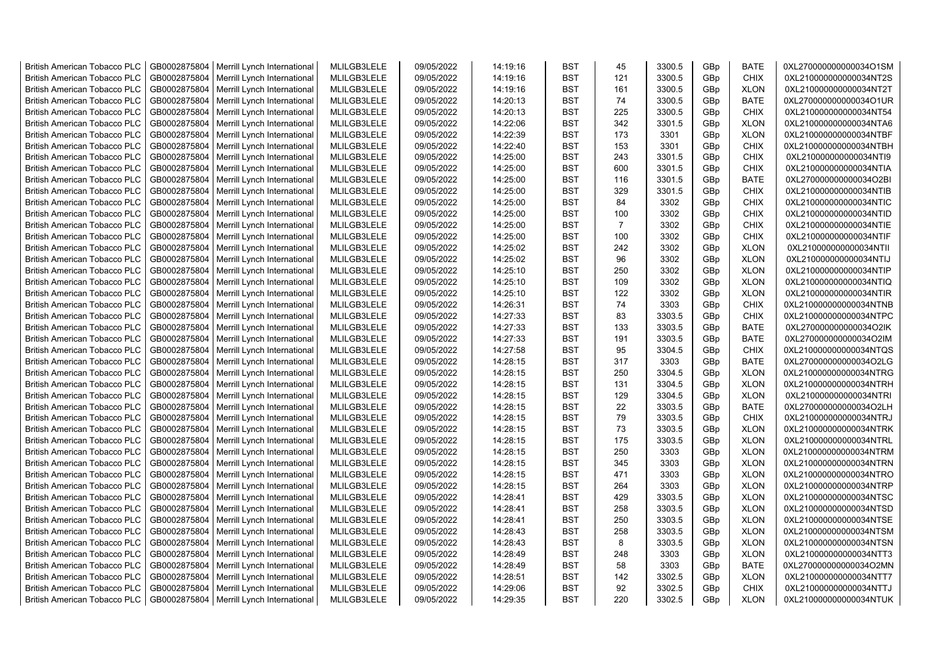| <b>British American Tobacco PLC</b> | GB0002875804 | Merrill Lynch International                | MLILGB3LELE | 09/05/2022 | 14:19:16 | <b>BST</b> | 45             | 3300.5 | GBp | <b>BATE</b> | 0XL270000000000034O1SM |
|-------------------------------------|--------------|--------------------------------------------|-------------|------------|----------|------------|----------------|--------|-----|-------------|------------------------|
| <b>British American Tobacco PLC</b> | GB0002875804 | Merrill Lynch International                | MLILGB3LELE | 09/05/2022 | 14:19:16 | <b>BST</b> | 121            | 3300.5 | GBp | <b>CHIX</b> | 0XL210000000000034NT2S |
| <b>British American Tobacco PLC</b> | GB0002875804 | Merrill Lynch International                | MLILGB3LELE | 09/05/2022 | 14:19:16 | <b>BST</b> | 161            | 3300.5 | GBp | <b>XLON</b> | 0XL210000000000034NT2T |
| <b>British American Tobacco PLC</b> | GB0002875804 | Merrill Lynch International                | MLILGB3LELE | 09/05/2022 | 14:20:13 | <b>BST</b> | 74             | 3300.5 | GBp | <b>BATE</b> | 0XL270000000000034O1UR |
| <b>British American Tobacco PLC</b> | GB0002875804 | Merrill Lynch International                | MLILGB3LELE | 09/05/2022 | 14:20:13 | <b>BST</b> | 225            | 3300.5 | GBp | <b>CHIX</b> | 0XL210000000000034NT54 |
| <b>British American Tobacco PLC</b> | GB0002875804 | Merrill Lynch International                | MLILGB3LELE | 09/05/2022 | 14:22:06 | <b>BST</b> | 342            | 3301.5 | GBp | <b>XLON</b> | 0XL210000000000034NTA6 |
| <b>British American Tobacco PLC</b> | GB0002875804 | Merrill Lynch International                | MLILGB3LELE | 09/05/2022 | 14:22:39 | <b>BST</b> | 173            | 3301   | GBp | <b>XLON</b> | 0XL210000000000034NTBF |
| <b>British American Tobacco PLC</b> | GB0002875804 | Merrill Lynch International                | MLILGB3LELE | 09/05/2022 | 14:22:40 | <b>BST</b> | 153            | 3301   | GBp | CHIX        | 0XL210000000000034NTBH |
| <b>British American Tobacco PLC</b> | GB0002875804 | Merrill Lynch International                | MLILGB3LELE | 09/05/2022 | 14:25:00 | <b>BST</b> | 243            | 3301.5 | GBp | <b>CHIX</b> | 0XL210000000000034NTI9 |
| <b>British American Tobacco PLC</b> | GB0002875804 | Merrill Lynch International                | MLILGB3LELE | 09/05/2022 | 14:25:00 | <b>BST</b> | 600            | 3301.5 | GBp | <b>CHIX</b> | 0XL210000000000034NTIA |
| <b>British American Tobacco PLC</b> | GB0002875804 | Merrill Lynch International                | MLILGB3LELE | 09/05/2022 | 14:25:00 | <b>BST</b> | 116            | 3301.5 | GBp | <b>BATE</b> | 0XL270000000000034O2BI |
| <b>British American Tobacco PLC</b> | GB0002875804 | Merrill Lynch International                | MLILGB3LELE | 09/05/2022 | 14:25:00 | <b>BST</b> | 329            | 3301.5 | GBp | <b>CHIX</b> | 0XL210000000000034NTIB |
| <b>British American Tobacco PLC</b> | GB0002875804 | Merrill Lynch International                | MLILGB3LELE | 09/05/2022 | 14:25:00 | <b>BST</b> | 84             | 3302   | GBp | <b>CHIX</b> | 0XL210000000000034NTIC |
| <b>British American Tobacco PLC</b> | GB0002875804 | Merrill Lynch International                | MLILGB3LELE | 09/05/2022 | 14:25:00 | <b>BST</b> | 100            | 3302   | GBp | <b>CHIX</b> | 0XL210000000000034NTID |
| <b>British American Tobacco PLC</b> | GB0002875804 | Merrill Lynch International                | MLILGB3LELE | 09/05/2022 | 14:25:00 | <b>BST</b> | $\overline{7}$ | 3302   | GBp | <b>CHIX</b> | 0XL210000000000034NTIE |
| <b>British American Tobacco PLC</b> | GB0002875804 | Merrill Lynch International                | MLILGB3LELE | 09/05/2022 | 14:25:00 | <b>BST</b> | 100            | 3302   | GBp | <b>CHIX</b> | 0XL210000000000034NTIF |
| <b>British American Tobacco PLC</b> | GB0002875804 | Merrill Lynch International                | MLILGB3LELE | 09/05/2022 | 14:25:02 | <b>BST</b> | 242            | 3302   | GBp | <b>XLON</b> | 0XL210000000000034NTII |
| <b>British American Tobacco PLC</b> | GB0002875804 | Merrill Lynch International                | MLILGB3LELE | 09/05/2022 | 14:25:02 | <b>BST</b> | 96             | 3302   | GBp | <b>XLON</b> | 0XL210000000000034NTIJ |
| <b>British American Tobacco PLC</b> | GB0002875804 | Merrill Lynch International                | MLILGB3LELE | 09/05/2022 | 14:25:10 | <b>BST</b> | 250            | 3302   | GBp | <b>XLON</b> | 0XL210000000000034NTIP |
| <b>British American Tobacco PLC</b> | GB0002875804 | Merrill Lynch International                | MLILGB3LELE | 09/05/2022 | 14:25:10 | <b>BST</b> | 109            | 3302   | GBp | <b>XLON</b> | 0XL210000000000034NTIQ |
| <b>British American Tobacco PLC</b> | GB0002875804 | Merrill Lynch International                | MLILGB3LELE | 09/05/2022 | 14:25:10 | <b>BST</b> | 122            | 3302   | GBp | <b>XLON</b> | 0XL210000000000034NTIR |
| <b>British American Tobacco PLC</b> | GB0002875804 | Merrill Lynch International                | MLILGB3LELE | 09/05/2022 | 14:26:31 | <b>BST</b> | 74             | 3303   | GBp | <b>CHIX</b> | 0XL210000000000034NTNB |
| <b>British American Tobacco PLC</b> | GB0002875804 | Merrill Lynch International                | MLILGB3LELE | 09/05/2022 | 14:27:33 | <b>BST</b> | 83             | 3303.5 | GBp | <b>CHIX</b> | 0XL210000000000034NTPC |
| <b>British American Tobacco PLC</b> | GB0002875804 | Merrill Lynch International                | MLILGB3LELE | 09/05/2022 | 14:27:33 | <b>BST</b> | 133            | 3303.5 | GBp | <b>BATE</b> | 0XL270000000000034O2IK |
| <b>British American Tobacco PLC</b> | GB0002875804 | Merrill Lynch International                | MLILGB3LELE | 09/05/2022 | 14:27:33 | <b>BST</b> | 191            | 3303.5 | GBp | <b>BATE</b> | 0XL270000000000034O2IM |
| <b>British American Tobacco PLC</b> | GB0002875804 | Merrill Lynch International                | MLILGB3LELE | 09/05/2022 | 14:27:58 | <b>BST</b> | 95             | 3304.5 | GBp | <b>CHIX</b> | 0XL210000000000034NTQS |
| <b>British American Tobacco PLC</b> | GB0002875804 | Merrill Lynch International                | MLILGB3LELE | 09/05/2022 | 14:28:15 | <b>BST</b> | 317            | 3303   | GBp | <b>BATE</b> | 0XL270000000000034O2LG |
| <b>British American Tobacco PLC</b> | GB0002875804 | Merrill Lynch International                | MLILGB3LELE | 09/05/2022 | 14:28:15 | <b>BST</b> | 250            | 3304.5 | GBp | <b>XLON</b> | 0XL210000000000034NTRG |
| <b>British American Tobacco PLC</b> | GB0002875804 | Merrill Lynch International                | MLILGB3LELE | 09/05/2022 | 14:28:15 | <b>BST</b> | 131            | 3304.5 | GBp | <b>XLON</b> | 0XL210000000000034NTRH |
| <b>British American Tobacco PLC</b> | GB0002875804 | Merrill Lynch International                | MLILGB3LELE | 09/05/2022 | 14:28:15 | <b>BST</b> | 129            | 3304.5 | GBp | <b>XLON</b> | 0XL210000000000034NTRI |
| <b>British American Tobacco PLC</b> | GB0002875804 | Merrill Lynch International                | MLILGB3LELE | 09/05/2022 | 14:28:15 | <b>BST</b> | 22             | 3303.5 | GBp | <b>BATE</b> | 0XL270000000000034O2LH |
| <b>British American Tobacco PLC</b> | GB0002875804 | Merrill Lynch International                | MLILGB3LELE | 09/05/2022 | 14:28:15 | <b>BST</b> | 79             | 3303.5 | GBp | <b>CHIX</b> | 0XL210000000000034NTRJ |
| <b>British American Tobacco PLC</b> | GB0002875804 | Merrill Lynch International                | MLILGB3LELE | 09/05/2022 | 14:28:15 | <b>BST</b> | 73             | 3303.5 | GBp | <b>XLON</b> | 0XL210000000000034NTRK |
| <b>British American Tobacco PLC</b> | GB0002875804 | Merrill Lynch International                | MLILGB3LELE | 09/05/2022 | 14:28:15 | <b>BST</b> | 175            | 3303.5 | GBp | <b>XLON</b> | 0XL210000000000034NTRL |
| <b>British American Tobacco PLC</b> | GB0002875804 | Merrill Lynch International                | MLILGB3LELE | 09/05/2022 | 14:28:15 | <b>BST</b> | 250            | 3303   | GBp | <b>XLON</b> | 0XL210000000000034NTRM |
| <b>British American Tobacco PLC</b> | GB0002875804 | Merrill Lynch International                | MLILGB3LELE | 09/05/2022 | 14:28:15 | <b>BST</b> | 345            | 3303   | GBp | <b>XLON</b> | 0XL210000000000034NTRN |
| <b>British American Tobacco PLC</b> | GB0002875804 | Merrill Lynch International                | MLILGB3LELE | 09/05/2022 | 14:28:15 | <b>BST</b> | 471            | 3303   | GBp | <b>XLON</b> | 0XL210000000000034NTRO |
| <b>British American Tobacco PLC</b> | GB0002875804 | Merrill Lynch International                | MLILGB3LELE | 09/05/2022 | 14:28:15 | <b>BST</b> | 264            | 3303   | GBp | <b>XLON</b> | 0XL210000000000034NTRP |
| <b>British American Tobacco PLC</b> | GB0002875804 | Merrill Lynch International                | MLILGB3LELE | 09/05/2022 | 14:28:41 | <b>BST</b> | 429            | 3303.5 | GBp | <b>XLON</b> | 0XL210000000000034NTSC |
| <b>British American Tobacco PLC</b> | GB0002875804 | Merrill Lynch International                | MLILGB3LELE | 09/05/2022 | 14:28:41 | <b>BST</b> | 258            | 3303.5 | GBp | <b>XLON</b> | 0XL210000000000034NTSD |
| <b>British American Tobacco PLC</b> | GB0002875804 | Merrill Lynch International                | MLILGB3LELE | 09/05/2022 | 14:28:41 | <b>BST</b> | 250            | 3303.5 | GBp | <b>XLON</b> | 0XL210000000000034NTSE |
| <b>British American Tobacco PLC</b> | GB0002875804 | Merrill Lynch International                | MLILGB3LELE | 09/05/2022 | 14:28:43 | <b>BST</b> | 258            | 3303.5 | GBp | <b>XLON</b> | 0XL210000000000034NTSM |
| <b>British American Tobacco PLC</b> | GB0002875804 | Merrill Lynch International                | MLILGB3LELE | 09/05/2022 | 14:28:43 | <b>BST</b> | 8              | 3303.5 | GBp | <b>XLON</b> | 0XL210000000000034NTSN |
| <b>British American Tobacco PLC</b> | GB0002875804 | Merrill Lynch International                | MLILGB3LELE | 09/05/2022 | 14:28:49 | <b>BST</b> | 248            | 3303   | GBp | <b>XLON</b> | 0XL210000000000034NTT3 |
| <b>British American Tobacco PLC</b> | GB0002875804 | Merrill Lynch International                | MLILGB3LELE | 09/05/2022 | 14:28:49 | <b>BST</b> | 58             | 3303   | GBp | <b>BATE</b> | 0XL270000000000034O2MN |
| <b>British American Tobacco PLC</b> | GB0002875804 | Merrill Lynch International                | MLILGB3LELE | 09/05/2022 | 14:28:51 | <b>BST</b> | 142            | 3302.5 | GBp | <b>XLON</b> | 0XL210000000000034NTT7 |
| <b>British American Tobacco PLC</b> | GB0002875804 | Merrill Lynch International                | MLILGB3LELE | 09/05/2022 | 14:29:06 | <b>BST</b> | 92             | 3302.5 | GBp | <b>CHIX</b> | 0XL210000000000034NTTJ |
| <b>British American Tobacco PLC</b> |              | GB0002875804   Merrill Lynch International | MLILGB3LELE | 09/05/2022 | 14:29:35 | <b>BST</b> | 220            | 3302.5 | GBp | <b>XLON</b> | 0XL210000000000034NTUK |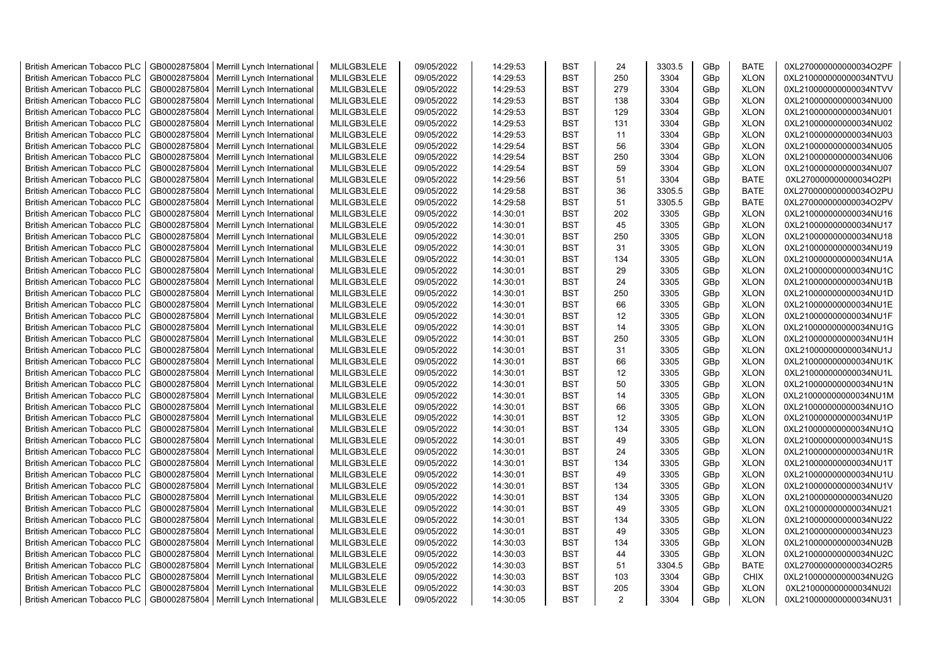| <b>British American Tobacco PLC</b> | GB0002875804 | Merrill Lynch International                | MLILGB3LELE | 09/05/2022 | 14:29:53 | <b>BST</b> | 24       | 3303.5 | GBp | <b>BATE</b> | 0XL270000000000034O2PF |
|-------------------------------------|--------------|--------------------------------------------|-------------|------------|----------|------------|----------|--------|-----|-------------|------------------------|
| <b>British American Tobacco PLC</b> | GB0002875804 | Merrill Lynch International                | MLILGB3LELE | 09/05/2022 | 14:29:53 | <b>BST</b> | 250      | 3304   | GBp | <b>XLON</b> | 0XL210000000000034NTVU |
| <b>British American Tobacco PLC</b> | GB0002875804 | Merrill Lynch International                | MLILGB3LELE | 09/05/2022 | 14:29:53 | <b>BST</b> | 279      | 3304   | GBp | <b>XLON</b> | 0XL210000000000034NTVV |
| <b>British American Tobacco PLC</b> | GB0002875804 | Merrill Lynch International                | MLILGB3LELE | 09/05/2022 | 14:29:53 | <b>BST</b> | 138      | 3304   | GBp | <b>XLON</b> | 0XL210000000000034NU00 |
| <b>British American Tobacco PLC</b> | GB0002875804 | Merrill Lynch International                | MLILGB3LELE | 09/05/2022 | 14:29:53 | <b>BST</b> | 129      | 3304   | GBp | <b>XLON</b> | 0XL210000000000034NU01 |
| <b>British American Tobacco PLC</b> | GB0002875804 | Merrill Lynch International                | MLILGB3LELE | 09/05/2022 | 14:29:53 | <b>BST</b> | 131      | 3304   | GBp | <b>XLON</b> | 0XL210000000000034NU02 |
| <b>British American Tobacco PLC</b> | GB0002875804 | Merrill Lynch International                | MLILGB3LELE | 09/05/2022 | 14:29:53 | <b>BST</b> | 11       | 3304   | GBp | <b>XLON</b> | 0XL210000000000034NU03 |
| <b>British American Tobacco PLC</b> | GB0002875804 | Merrill Lynch International                | MLILGB3LELE | 09/05/2022 | 14:29:54 | <b>BST</b> | 56       | 3304   | GBp | <b>XLON</b> | 0XL210000000000034NU05 |
| <b>British American Tobacco PLC</b> | GB0002875804 | Merrill Lynch International                | MLILGB3LELE | 09/05/2022 | 14:29:54 | <b>BST</b> | 250      | 3304   | GBp | <b>XLON</b> | 0XL210000000000034NU06 |
| <b>British American Tobacco PLC</b> | GB0002875804 | Merrill Lynch International                | MLILGB3LELE | 09/05/2022 | 14:29:54 | <b>BST</b> | 59       | 3304   | GBp | <b>XLON</b> | 0XL210000000000034NU07 |
| <b>British American Tobacco PLC</b> | GB0002875804 | Merrill Lynch International                | MLILGB3LELE | 09/05/2022 | 14:29:56 | <b>BST</b> | 51       | 3304   | GBp | <b>BATE</b> | 0XL270000000000034O2PI |
| <b>British American Tobacco PLC</b> | GB0002875804 | Merrill Lynch International                | MLILGB3LELE | 09/05/2022 | 14:29:58 | <b>BST</b> | 36       | 3305.5 | GBp | <b>BATE</b> | 0XL270000000000034O2PU |
| <b>British American Tobacco PLC</b> | GB0002875804 | Merrill Lynch International                | MLILGB3LELE | 09/05/2022 | 14:29:58 | <b>BST</b> | 51       | 3305.5 | GBp | <b>BATE</b> | 0XL270000000000034O2PV |
| <b>British American Tobacco PLC</b> | GB0002875804 | Merrill Lynch International                | MLILGB3LELE | 09/05/2022 | 14:30:01 | <b>BST</b> | 202      | 3305   | GBp | <b>XLON</b> | 0XL210000000000034NU16 |
| <b>British American Tobacco PLC</b> | GB0002875804 | Merrill Lynch International                | MLILGB3LELE | 09/05/2022 | 14:30:01 | <b>BST</b> | 45       | 3305   | GBp | <b>XLON</b> | 0XL210000000000034NU17 |
| <b>British American Tobacco PLC</b> | GB0002875804 | Merrill Lynch International                | MLILGB3LELE | 09/05/2022 | 14:30:01 | <b>BST</b> | 250      | 3305   | GBp | <b>XLON</b> | 0XL210000000000034NU18 |
| <b>British American Tobacco PLC</b> | GB0002875804 | Merrill Lynch International                | MLILGB3LELE | 09/05/2022 | 14:30:01 | <b>BST</b> | 31       | 3305   | GBp | <b>XLON</b> | 0XL210000000000034NU19 |
| <b>British American Tobacco PLC</b> | GB0002875804 | Merrill Lynch International                | MLILGB3LELE | 09/05/2022 | 14:30:01 | <b>BST</b> | 134      | 3305   | GBp | <b>XLON</b> | 0XL210000000000034NU1A |
| <b>British American Tobacco PLC</b> | GB0002875804 | Merrill Lynch International                | MLILGB3LELE | 09/05/2022 | 14:30:01 | <b>BST</b> | 29       | 3305   | GBp | <b>XLON</b> | 0XL210000000000034NU1C |
| <b>British American Tobacco PLC</b> | GB0002875804 | Merrill Lynch International                | MLILGB3LELE | 09/05/2022 | 14:30:01 | <b>BST</b> | 24       | 3305   | GBp | <b>XLON</b> | 0XL210000000000034NU1B |
| <b>British American Tobacco PLC</b> | GB0002875804 | Merrill Lynch International                | MLILGB3LELE | 09/05/2022 | 14:30:01 | <b>BST</b> | 250      | 3305   | GBp | <b>XLON</b> | 0XL210000000000034NU1D |
| <b>British American Tobacco PLC</b> | GB0002875804 | Merrill Lynch International                | MLILGB3LELE | 09/05/2022 | 14:30:01 | <b>BST</b> | 66       | 3305   | GBp | <b>XLON</b> | 0XL210000000000034NU1E |
|                                     | GB0002875804 |                                            | MLILGB3LELE | 09/05/2022 | 14:30:01 | <b>BST</b> | 12       | 3305   | GBp | <b>XLON</b> | 0XL210000000000034NU1F |
| <b>British American Tobacco PLC</b> |              | Merrill Lynch International                |             |            |          |            | 14       |        |     |             |                        |
| <b>British American Tobacco PLC</b> | GB0002875804 | Merrill Lynch International                | MLILGB3LELE | 09/05/2022 | 14:30:01 | <b>BST</b> |          | 3305   | GBp | <b>XLON</b> | 0XL210000000000034NU1G |
| <b>British American Tobacco PLC</b> | GB0002875804 | Merrill Lynch International                | MLILGB3LELE | 09/05/2022 | 14:30:01 | <b>BST</b> | 250      | 3305   | GBp | <b>XLON</b> | 0XL210000000000034NU1H |
| <b>British American Tobacco PLC</b> | GB0002875804 | Merrill Lynch International                | MLILGB3LELE | 09/05/2022 | 14:30:01 | <b>BST</b> | 31<br>66 | 3305   | GBp | <b>XLON</b> | 0XL210000000000034NU1J |
| <b>British American Tobacco PLC</b> | GB0002875804 | Merrill Lynch International                | MLILGB3LELE | 09/05/2022 | 14:30:01 | <b>BST</b> |          | 3305   | GBp | <b>XLON</b> | 0XL210000000000034NU1K |
| <b>British American Tobacco PLC</b> | GB0002875804 | Merrill Lynch International                | MLILGB3LELE | 09/05/2022 | 14:30:01 | <b>BST</b> | 12       | 3305   | GBp | <b>XLON</b> | 0XL210000000000034NU1L |
| <b>British American Tobacco PLC</b> | GB0002875804 | Merrill Lynch International                | MLILGB3LELE | 09/05/2022 | 14:30:01 | <b>BST</b> | 50       | 3305   | GBp | <b>XLON</b> | 0XL210000000000034NU1N |
| <b>British American Tobacco PLC</b> | GB0002875804 | Merrill Lynch International                | MLILGB3LELE | 09/05/2022 | 14:30:01 | <b>BST</b> | 14       | 3305   | GBp | <b>XLON</b> | 0XL210000000000034NU1M |
| <b>British American Tobacco PLC</b> | GB0002875804 | Merrill Lynch International                | MLILGB3LELE | 09/05/2022 | 14:30:01 | <b>BST</b> | 66       | 3305   | GBp | <b>XLON</b> | 0XL210000000000034NU1O |
| <b>British American Tobacco PLC</b> | GB0002875804 | Merrill Lynch International                | MLILGB3LELE | 09/05/2022 | 14:30:01 | <b>BST</b> | 12       | 3305   | GBp | <b>XLON</b> | 0XL210000000000034NU1P |
| <b>British American Tobacco PLC</b> | GB0002875804 | Merrill Lynch International                | MLILGB3LELE | 09/05/2022 | 14:30:01 | <b>BST</b> | 134      | 3305   | GBp | <b>XLON</b> | 0XL210000000000034NU1Q |
| <b>British American Tobacco PLC</b> | GB0002875804 | Merrill Lynch International                | MLILGB3LELE | 09/05/2022 | 14:30:01 | <b>BST</b> | 49       | 3305   | GBp | <b>XLON</b> | 0XL210000000000034NU1S |
| <b>British American Tobacco PLC</b> | GB0002875804 | Merrill Lynch International                | MLILGB3LELE | 09/05/2022 | 14:30:01 | <b>BST</b> | 24       | 3305   | GBp | <b>XLON</b> | 0XL210000000000034NU1R |
| <b>British American Tobacco PLC</b> | GB0002875804 | Merrill Lynch International                | MLILGB3LELE | 09/05/2022 | 14:30:01 | <b>BST</b> | 134      | 3305   | GBp | <b>XLON</b> | 0XL210000000000034NU1T |
| <b>British American Tobacco PLC</b> | GB0002875804 | Merrill Lynch International                | MLILGB3LELE | 09/05/2022 | 14:30:01 | <b>BST</b> | 49       | 3305   | GBp | <b>XLON</b> | 0XL210000000000034NU1U |
| <b>British American Tobacco PLC</b> | GB0002875804 | Merrill Lynch International                | MLILGB3LELE | 09/05/2022 | 14:30:01 | <b>BST</b> | 134      | 3305   | GBp | <b>XLON</b> | 0XL210000000000034NU1V |
| <b>British American Tobacco PLC</b> | GB0002875804 | Merrill Lynch International                | MLILGB3LELE | 09/05/2022 | 14:30:01 | <b>BST</b> | 134      | 3305   | GBp | <b>XLON</b> | 0XL210000000000034NU20 |
| <b>British American Tobacco PLC</b> | GB0002875804 | Merrill Lynch International                | MLILGB3LELE | 09/05/2022 | 14:30:01 | <b>BST</b> | 49       | 3305   | GBp | <b>XLON</b> | 0XL210000000000034NU21 |
| <b>British American Tobacco PLC</b> | GB0002875804 | Merrill Lynch International                | MLILGB3LELE | 09/05/2022 | 14:30:01 | <b>BST</b> | 134      | 3305   | GBp | <b>XLON</b> | 0XL210000000000034NU22 |
| <b>British American Tobacco PLC</b> | GB0002875804 | Merrill Lynch International                | MLILGB3LELE | 09/05/2022 | 14:30:01 | <b>BST</b> | 49       | 3305   | GBp | <b>XLON</b> | 0XL210000000000034NU23 |
| <b>British American Tobacco PLC</b> | GB0002875804 | Merrill Lynch International                | MLILGB3LELE | 09/05/2022 | 14:30:03 | <b>BST</b> | 134      | 3305   | GBp | <b>XLON</b> | 0XL210000000000034NU2B |
| <b>British American Tobacco PLC</b> | GB0002875804 | Merrill Lynch International                | MLILGB3LELE | 09/05/2022 | 14:30:03 | <b>BST</b> | 44       | 3305   | GBp | <b>XLON</b> | 0XL210000000000034NU2C |
| <b>British American Tobacco PLC</b> | GB0002875804 | Merrill Lynch International                | MLILGB3LELE | 09/05/2022 | 14:30:03 | <b>BST</b> | 51       | 3304.5 | GBp | <b>BATE</b> | 0XL270000000000034O2R5 |
| <b>British American Tobacco PLC</b> | GB0002875804 | Merrill Lynch International                | MLILGB3LELE | 09/05/2022 | 14:30:03 | <b>BST</b> | 103      | 3304   | GBp | <b>CHIX</b> | 0XL210000000000034NU2G |
| <b>British American Tobacco PLC</b> | GB0002875804 | Merrill Lynch International                | MLILGB3LELE | 09/05/2022 | 14:30:03 | <b>BST</b> | 205      | 3304   | GBp | <b>XLON</b> | 0XL210000000000034NU2I |
| <b>British American Tobacco PLC</b> |              | GB0002875804   Merrill Lynch International | MLILGB3LELE | 09/05/2022 | 14:30:05 | <b>BST</b> | 2        | 3304   | GBp | <b>XLON</b> | 0XL210000000000034NU31 |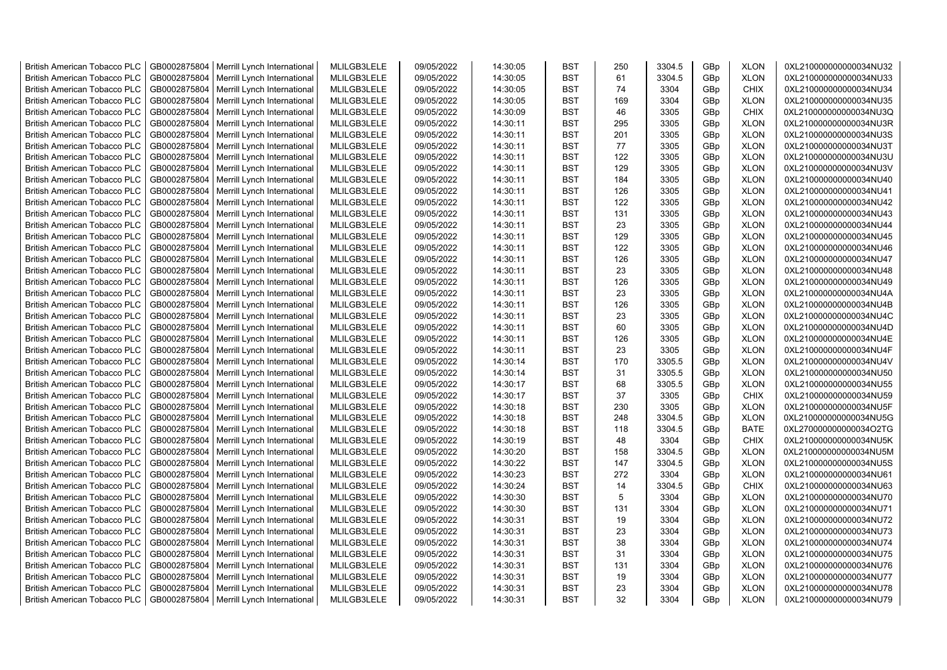| <b>British American Tobacco PLC</b> | GB0002875804 | Merrill Lynch International                | MLILGB3LELE | 09/05/2022 | 14:30:05 | <b>BST</b> | 250 | 3304.5 | GBp             | <b>XLON</b> | 0XL210000000000034NU32 |
|-------------------------------------|--------------|--------------------------------------------|-------------|------------|----------|------------|-----|--------|-----------------|-------------|------------------------|
| <b>British American Tobacco PLC</b> | GB0002875804 | Merrill Lynch International                | MLILGB3LELE | 09/05/2022 | 14:30:05 | <b>BST</b> | 61  | 3304.5 | GBp             | <b>XLON</b> | 0XL210000000000034NU33 |
| <b>British American Tobacco PLC</b> | GB0002875804 | Merrill Lynch International                | MLILGB3LELE | 09/05/2022 | 14:30:05 | <b>BST</b> | 74  | 3304   | GBp             | <b>CHIX</b> | 0XL210000000000034NU34 |
| <b>British American Tobacco PLC</b> | GB0002875804 | Merrill Lynch International                | MLILGB3LELE | 09/05/2022 | 14:30:05 | <b>BST</b> | 169 | 3304   | GBp             | <b>XLON</b> | 0XL210000000000034NU35 |
| <b>British American Tobacco PLC</b> | GB0002875804 | Merrill Lynch International                | MLILGB3LELE | 09/05/2022 | 14:30:09 | <b>BST</b> | 46  | 3305   | GBp             | <b>CHIX</b> | 0XL210000000000034NU3Q |
| <b>British American Tobacco PLC</b> | GB0002875804 | Merrill Lynch International                | MLILGB3LELE | 09/05/2022 | 14:30:11 | <b>BST</b> | 295 | 3305   | GBp             | <b>XLON</b> | 0XL210000000000034NU3R |
| British American Tobacco PLC        | GB0002875804 | Merrill Lynch International                | MLILGB3LELE | 09/05/2022 | 14:30:11 | <b>BST</b> | 201 | 3305   | GBp             | <b>XLON</b> | 0XL210000000000034NU3S |
| <b>British American Tobacco PLC</b> | GB0002875804 | Merrill Lynch International                | MLILGB3LELE | 09/05/2022 | 14:30:11 | <b>BST</b> | 77  | 3305   | GBp             | <b>XLON</b> | 0XL210000000000034NU3T |
| <b>British American Tobacco PLC</b> | GB0002875804 | Merrill Lynch International                | MLILGB3LELE | 09/05/2022 | 14:30:11 | <b>BST</b> | 122 | 3305   | GBp             | <b>XLON</b> | 0XL210000000000034NU3U |
| <b>British American Tobacco PLC</b> | GB0002875804 | Merrill Lynch International                | MLILGB3LELE | 09/05/2022 | 14:30:11 | <b>BST</b> | 129 | 3305   | GBp             | <b>XLON</b> | 0XL210000000000034NU3V |
| <b>British American Tobacco PLC</b> | GB0002875804 | Merrill Lynch International                | MLILGB3LELE | 09/05/2022 | 14:30:11 | <b>BST</b> | 184 | 3305   | GBp             | <b>XLON</b> | 0XL210000000000034NU40 |
| <b>British American Tobacco PLC</b> | GB0002875804 | Merrill Lynch International                | MLILGB3LELE | 09/05/2022 | 14:30:11 | <b>BST</b> | 126 | 3305   | GBp             | <b>XLON</b> | 0XL210000000000034NU41 |
| <b>British American Tobacco PLC</b> | GB0002875804 | Merrill Lynch International                | MLILGB3LELE | 09/05/2022 | 14:30:11 | <b>BST</b> | 122 | 3305   | GBp             | <b>XLON</b> | 0XL210000000000034NU42 |
| <b>British American Tobacco PLC</b> | GB0002875804 | Merrill Lynch International                | MLILGB3LELE | 09/05/2022 | 14:30:11 | <b>BST</b> | 131 | 3305   | GBp             | <b>XLON</b> | 0XL210000000000034NU43 |
| <b>British American Tobacco PLC</b> | GB0002875804 | Merrill Lynch International                | MLILGB3LELE | 09/05/2022 | 14:30:11 | <b>BST</b> | 23  | 3305   | GBp             | <b>XLON</b> | 0XL210000000000034NU44 |
| <b>British American Tobacco PLC</b> | GB0002875804 | Merrill Lynch International                | MLILGB3LELE | 09/05/2022 | 14:30:11 | <b>BST</b> | 129 | 3305   | GBp             | <b>XLON</b> | 0XL210000000000034NU45 |
| <b>British American Tobacco PLC</b> | GB0002875804 | Merrill Lynch International                | MLILGB3LELE | 09/05/2022 | 14:30:11 | <b>BST</b> | 122 | 3305   | GBp             | <b>XLON</b> | 0XL210000000000034NU46 |
| <b>British American Tobacco PLC</b> | GB0002875804 | Merrill Lynch International                | MLILGB3LELE | 09/05/2022 | 14:30:11 | <b>BST</b> | 126 | 3305   | GBp             | <b>XLON</b> | 0XL210000000000034NU47 |
| <b>British American Tobacco PLC</b> | GB0002875804 | Merrill Lynch International                | MLILGB3LELE | 09/05/2022 | 14:30:11 | <b>BST</b> | 23  | 3305   | GBp             | <b>XLON</b> | 0XL210000000000034NU48 |
| <b>British American Tobacco PLC</b> | GB0002875804 | Merrill Lynch International                | MLILGB3LELE | 09/05/2022 | 14:30:11 | <b>BST</b> | 126 | 3305   | GBp             | <b>XLON</b> | 0XL210000000000034NU49 |
| <b>British American Tobacco PLC</b> | GB0002875804 | Merrill Lynch International                | MLILGB3LELE | 09/05/2022 | 14:30:11 | <b>BST</b> | 23  | 3305   | GBp             | <b>XLON</b> | 0XL210000000000034NU4A |
| <b>British American Tobacco PLC</b> | GB0002875804 | Merrill Lynch International                | MLILGB3LELE | 09/05/2022 | 14:30:11 | <b>BST</b> | 126 | 3305   | GBp             | <b>XLON</b> | 0XL210000000000034NU4B |
| <b>British American Tobacco PLC</b> | GB0002875804 | Merrill Lynch International                | MLILGB3LELE | 09/05/2022 | 14:30:11 | <b>BST</b> | 23  | 3305   | GBp             | <b>XLON</b> | 0XL210000000000034NU4C |
| <b>British American Tobacco PLC</b> | GB0002875804 | Merrill Lynch International                | MLILGB3LELE | 09/05/2022 | 14:30:11 | <b>BST</b> | 60  | 3305   | GBp             | <b>XLON</b> | 0XL210000000000034NU4D |
|                                     |              |                                            |             |            |          |            |     |        |                 |             |                        |
| <b>British American Tobacco PLC</b> | GB0002875804 | Merrill Lynch International                | MLILGB3LELE | 09/05/2022 | 14:30:11 | <b>BST</b> | 126 | 3305   | GBp             | <b>XLON</b> | 0XL210000000000034NU4E |
| <b>British American Tobacco PLC</b> | GB0002875804 | Merrill Lynch International                | MLILGB3LELE | 09/05/2022 | 14:30:11 | <b>BST</b> | 23  | 3305   | GBp             | <b>XLON</b> | 0XL210000000000034NU4F |
| <b>British American Tobacco PLC</b> | GB0002875804 | Merrill Lynch International                | MLILGB3LELE | 09/05/2022 | 14:30:14 | <b>BST</b> | 170 | 3305.5 | GBp             | <b>XLON</b> | 0XL210000000000034NU4V |
| <b>British American Tobacco PLC</b> | GB0002875804 | Merrill Lynch International                | MLILGB3LELE | 09/05/2022 | 14:30:14 | <b>BST</b> | 31  | 3305.5 | GBp             | <b>XLON</b> | 0XL210000000000034NU50 |
| <b>British American Tobacco PLC</b> | GB0002875804 | Merrill Lynch International                | MLILGB3LELE | 09/05/2022 | 14:30:17 | <b>BST</b> | 68  | 3305.5 | GBp             | <b>XLON</b> | 0XL210000000000034NU55 |
| <b>British American Tobacco PLC</b> | GB0002875804 | Merrill Lynch International                | MLILGB3LELE | 09/05/2022 | 14:30:17 | <b>BST</b> | 37  | 3305   | GBp             | <b>CHIX</b> | 0XL210000000000034NU59 |
| <b>British American Tobacco PLC</b> | GB0002875804 | Merrill Lynch International                | MLILGB3LELE | 09/05/2022 | 14:30:18 | <b>BST</b> | 230 | 3305   | GBp             | <b>XLON</b> | 0XL210000000000034NU5F |
| <b>British American Tobacco PLC</b> | GB0002875804 | Merrill Lynch International                | MLILGB3LELE | 09/05/2022 | 14:30:18 | <b>BST</b> | 248 | 3304.5 | GBp             | <b>XLON</b> | 0XL210000000000034NU5G |
| <b>British American Tobacco PLC</b> | GB0002875804 | Merrill Lynch International                | MLILGB3LELE | 09/05/2022 | 14:30:18 | <b>BST</b> | 118 | 3304.5 | GBp             | <b>BATE</b> | 0XL270000000000034O2TG |
| <b>British American Tobacco PLC</b> | GB0002875804 | Merrill Lynch International                | MLILGB3LELE | 09/05/2022 | 14:30:19 | <b>BST</b> | 48  | 3304   | GBp             | <b>CHIX</b> | 0XL210000000000034NU5K |
| <b>British American Tobacco PLC</b> | GB0002875804 | Merrill Lynch International                | MLILGB3LELE | 09/05/2022 | 14:30:20 | <b>BST</b> | 158 | 3304.5 | GBp             | <b>XLON</b> | 0XL210000000000034NU5M |
| British American Tobacco PLC        | GB0002875804 | Merrill Lynch International                | MLILGB3LELE | 09/05/2022 | 14:30:22 | <b>BST</b> | 147 | 3304.5 | GBp             | <b>XLON</b> | 0XL210000000000034NU5S |
| <b>British American Tobacco PLC</b> | GB0002875804 | Merrill Lynch International                | MLILGB3LELE | 09/05/2022 | 14:30:23 | <b>BST</b> | 272 | 3304   | GBp             | <b>XLON</b> | 0XL210000000000034NU61 |
| <b>British American Tobacco PLC</b> | GB0002875804 | Merrill Lynch International                | MLILGB3LELE | 09/05/2022 | 14:30:24 | <b>BST</b> | 14  | 3304.5 | GBp             | <b>CHIX</b> | 0XL210000000000034NU63 |
| <b>British American Tobacco PLC</b> | GB0002875804 | Merrill Lynch International                | MLILGB3LELE | 09/05/2022 | 14:30:30 | <b>BST</b> | 5   | 3304   | GBp             | <b>XLON</b> | 0XL210000000000034NU70 |
| <b>British American Tobacco PLC</b> | GB0002875804 | Merrill Lynch International                | MLILGB3LELE | 09/05/2022 | 14:30:30 | <b>BST</b> | 131 | 3304   | GBp             | <b>XLON</b> | 0XL210000000000034NU71 |
| <b>British American Tobacco PLC</b> | GB0002875804 | Merrill Lynch International                | MLILGB3LELE | 09/05/2022 | 14:30:31 | <b>BST</b> | 19  | 3304   | GBp             | <b>XLON</b> | 0XL210000000000034NU72 |
| <b>British American Tobacco PLC</b> | GB0002875804 | Merrill Lynch International                | MLILGB3LELE | 09/05/2022 | 14:30:31 | <b>BST</b> | 23  | 3304   | GBp             | <b>XLON</b> | 0XL210000000000034NU73 |
| <b>British American Tobacco PLC</b> | GB0002875804 | Merrill Lynch International                | MLILGB3LELE | 09/05/2022 | 14:30:31 | <b>BST</b> | 38  | 3304   | GBp             | <b>XLON</b> | 0XL210000000000034NU74 |
| <b>British American Tobacco PLC</b> | GB0002875804 | Merrill Lynch International                | MLILGB3LELE | 09/05/2022 | 14:30:31 | <b>BST</b> | 31  | 3304   | GBp             | <b>XLON</b> | 0XL210000000000034NU75 |
| <b>British American Tobacco PLC</b> | GB0002875804 | Merrill Lynch International                | MLILGB3LELE | 09/05/2022 | 14:30:31 | <b>BST</b> | 131 | 3304   | GBp             | <b>XLON</b> | 0XL210000000000034NU76 |
| <b>British American Tobacco PLC</b> | GB0002875804 | Merrill Lynch International                | MLILGB3LELE | 09/05/2022 | 14:30:31 | <b>BST</b> | 19  | 3304   | GBp             | <b>XLON</b> | 0XL210000000000034NU77 |
| <b>British American Tobacco PLC</b> | GB0002875804 | Merrill Lynch International                | MLILGB3LELE | 09/05/2022 | 14:30:31 | <b>BST</b> | 23  | 3304   | GBp             | <b>XLON</b> | 0XL210000000000034NU78 |
| <b>British American Tobacco PLC</b> |              | GB0002875804   Merrill Lynch International | MLILGB3LELE | 09/05/2022 | 14:30:31 | <b>BST</b> | 32  | 3304   | GB <sub>p</sub> | <b>XLON</b> | 0XL210000000000034NU79 |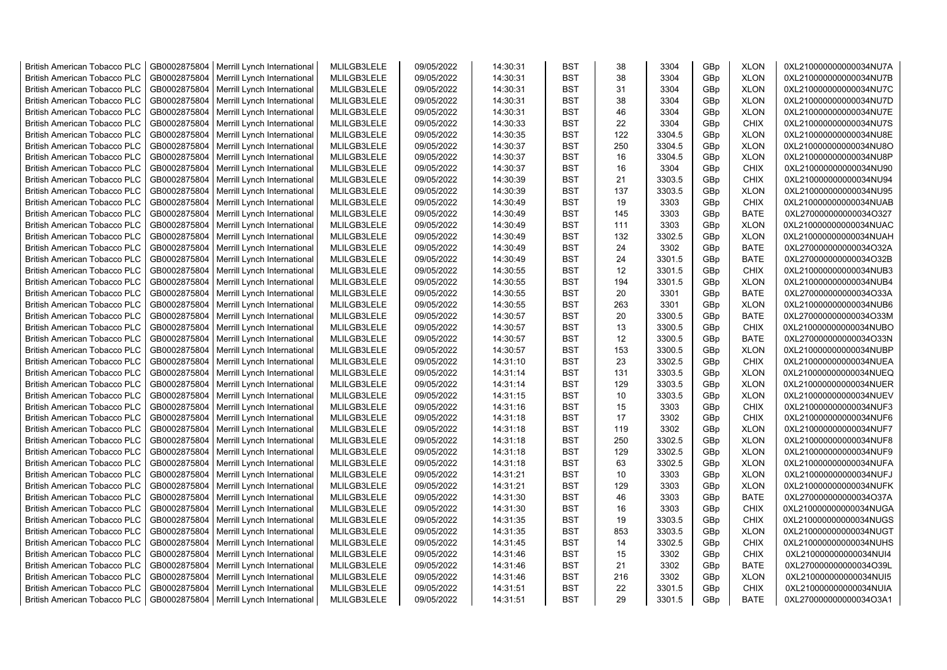| <b>British American Tobacco PLC</b> | GB0002875804 | Merrill Lynch International                | MLILGB3LELE | 09/05/2022 | 14:30:31 | <b>BST</b> | 38  | 3304   | GBp        | <b>XLON</b> | 0XL210000000000034NU7A |
|-------------------------------------|--------------|--------------------------------------------|-------------|------------|----------|------------|-----|--------|------------|-------------|------------------------|
| <b>British American Tobacco PLC</b> | GB0002875804 | Merrill Lynch International                | MLILGB3LELE | 09/05/2022 | 14:30:31 | <b>BST</b> | 38  | 3304   | GBp        | <b>XLON</b> | 0XL210000000000034NU7B |
| <b>British American Tobacco PLC</b> | GB0002875804 | Merrill Lynch International                | MLILGB3LELE | 09/05/2022 | 14:30:31 | <b>BST</b> | 31  | 3304   | GBp        | <b>XLON</b> | 0XL210000000000034NU7C |
| <b>British American Tobacco PLC</b> | GB0002875804 | Merrill Lynch International                | MLILGB3LELE | 09/05/2022 | 14:30:31 | <b>BST</b> | 38  | 3304   | GBp        | <b>XLON</b> | 0XL210000000000034NU7D |
| <b>British American Tobacco PLC</b> | GB0002875804 | Merrill Lynch International                | MLILGB3LELE | 09/05/2022 | 14:30:31 | <b>BST</b> | 46  | 3304   | GBp        | <b>XLON</b> | 0XL210000000000034NU7E |
| <b>British American Tobacco PLC</b> | GB0002875804 | Merrill Lynch International                | MLILGB3LELE | 09/05/2022 | 14:30:33 | <b>BST</b> | 22  | 3304   | GBp        | <b>CHIX</b> | 0XL210000000000034NU7S |
| <b>British American Tobacco PLC</b> | GB0002875804 | Merrill Lynch International                | MLILGB3LELE | 09/05/2022 | 14:30:35 | <b>BST</b> | 122 | 3304.5 | GBp        | <b>XLON</b> | 0XL210000000000034NU8E |
| <b>British American Tobacco PLC</b> | GB0002875804 | Merrill Lynch International                | MLILGB3LELE | 09/05/2022 | 14:30:37 | <b>BST</b> | 250 | 3304.5 | GBp        | <b>XLON</b> | 0XL210000000000034NU8O |
| <b>British American Tobacco PLC</b> | GB0002875804 | Merrill Lynch International                | MLILGB3LELE | 09/05/2022 | 14:30:37 | <b>BST</b> | 16  | 3304.5 | GBp        | <b>XLON</b> | 0XL210000000000034NU8P |
| <b>British American Tobacco PLC</b> | GB0002875804 | Merrill Lynch International                | MLILGB3LELE | 09/05/2022 | 14:30:37 | <b>BST</b> | 16  | 3304   | GBp        | <b>CHIX</b> | 0XL210000000000034NU90 |
| <b>British American Tobacco PLC</b> | GB0002875804 | Merrill Lynch International                | MLILGB3LELE | 09/05/2022 | 14:30:39 | <b>BST</b> | 21  | 3303.5 | GBp        | <b>CHIX</b> | 0XL210000000000034NU94 |
| <b>British American Tobacco PLC</b> | GB0002875804 | Merrill Lynch International                | MLILGB3LELE | 09/05/2022 | 14:30:39 | <b>BST</b> | 137 | 3303.5 | GBp        | <b>XLON</b> | 0XL210000000000034NU95 |
| <b>British American Tobacco PLC</b> | GB0002875804 | Merrill Lynch International                | MLILGB3LELE | 09/05/2022 | 14:30:49 | <b>BST</b> | 19  | 3303   | GBp        | <b>CHIX</b> | 0XL210000000000034NUAB |
| <b>British American Tobacco PLC</b> | GB0002875804 | Merrill Lynch International                | MLILGB3LELE | 09/05/2022 | 14:30:49 | <b>BST</b> | 145 | 3303   | GBp        | <b>BATE</b> | 0XL270000000000034O327 |
| <b>British American Tobacco PLC</b> | GB0002875804 | Merrill Lynch International                | MLILGB3LELE | 09/05/2022 | 14:30:49 | <b>BST</b> | 111 | 3303   | GBp        | <b>XLON</b> | 0XL210000000000034NUAC |
| <b>British American Tobacco PLC</b> | GB0002875804 | Merrill Lynch International                | MLILGB3LELE | 09/05/2022 | 14:30:49 | <b>BST</b> | 132 | 3302.5 | GBp        | <b>XLON</b> | 0XL210000000000034NUAH |
| <b>British American Tobacco PLC</b> | GB0002875804 | Merrill Lynch International                | MLILGB3LELE | 09/05/2022 | 14:30:49 | <b>BST</b> | 24  | 3302   | GBp        | <b>BATE</b> | 0XL270000000000034O32A |
| <b>British American Tobacco PLC</b> | GB0002875804 | Merrill Lynch International                | MLILGB3LELE | 09/05/2022 | 14:30:49 | <b>BST</b> | 24  | 3301.5 | GBp        | <b>BATE</b> | 0XL270000000000034O32B |
| <b>British American Tobacco PLC</b> | GB0002875804 | Merrill Lynch International                | MLILGB3LELE | 09/05/2022 | 14:30:55 | <b>BST</b> | 12  | 3301.5 | GBp        | <b>CHIX</b> | 0XL210000000000034NUB3 |
| <b>British American Tobacco PLC</b> | GB0002875804 | Merrill Lynch International                | MLILGB3LELE | 09/05/2022 | 14:30:55 | <b>BST</b> | 194 | 3301.5 | GBp        | <b>XLON</b> | 0XL210000000000034NUB4 |
| <b>British American Tobacco PLC</b> | GB0002875804 | Merrill Lynch International                | MLILGB3LELE | 09/05/2022 | 14:30:55 | <b>BST</b> | 20  | 3301   | GBp        | <b>BATE</b> | 0XL270000000000034O33A |
| <b>British American Tobacco PLC</b> | GB0002875804 | Merrill Lynch International                | MLILGB3LELE | 09/05/2022 | 14:30:55 | <b>BST</b> | 263 | 3301   | GBp        | <b>XLON</b> | 0XL210000000000034NUB6 |
| <b>British American Tobacco PLC</b> | GB0002875804 | Merrill Lynch International                | MLILGB3LELE | 09/05/2022 | 14:30:57 | <b>BST</b> | 20  | 3300.5 | GBp        | <b>BATE</b> | 0XL270000000000034O33M |
| <b>British American Tobacco PLC</b> | GB0002875804 | Merrill Lynch International                | MLILGB3LELE | 09/05/2022 | 14:30:57 | <b>BST</b> | 13  | 3300.5 | GBp        | CHIX        | 0XL210000000000034NUBO |
| <b>British American Tobacco PLC</b> | GB0002875804 | Merrill Lynch International                | MLILGB3LELE | 09/05/2022 | 14:30:57 | <b>BST</b> | 12  | 3300.5 | GBp        | <b>BATE</b> | 0XL270000000000034O33N |
| <b>British American Tobacco PLC</b> | GB0002875804 | Merrill Lynch International                | MLILGB3LELE | 09/05/2022 | 14:30:57 | <b>BST</b> | 153 | 3300.5 | GBp        | <b>XLON</b> | 0XL210000000000034NUBP |
| <b>British American Tobacco PLC</b> | GB0002875804 | Merrill Lynch International                | MLILGB3LELE | 09/05/2022 | 14:31:10 | <b>BST</b> | 23  | 3302.5 | GBp        | <b>CHIX</b> | 0XL210000000000034NUEA |
| <b>British American Tobacco PLC</b> | GB0002875804 | Merrill Lynch International                | MLILGB3LELE | 09/05/2022 | 14:31:14 | <b>BST</b> | 131 | 3303.5 | GBp        | <b>XLON</b> | 0XL210000000000034NUEQ |
| <b>British American Tobacco PLC</b> | GB0002875804 | Merrill Lynch International                | MLILGB3LELE | 09/05/2022 | 14:31:14 | <b>BST</b> | 129 | 3303.5 | GBp        | <b>XLON</b> | 0XL210000000000034NUER |
| <b>British American Tobacco PLC</b> | GB0002875804 | Merrill Lynch International                | MLILGB3LELE | 09/05/2022 | 14:31:15 | <b>BST</b> | 10  | 3303.5 | GBp        | <b>XLON</b> | 0XL210000000000034NUEV |
| <b>British American Tobacco PLC</b> | GB0002875804 | Merrill Lynch International                | MLILGB3LELE | 09/05/2022 | 14:31:16 | <b>BST</b> | 15  | 3303   | GBp        | <b>CHIX</b> | 0XL210000000000034NUF3 |
| <b>British American Tobacco PLC</b> | GB0002875804 | Merrill Lynch International                | MLILGB3LELE | 09/05/2022 | 14:31:18 | <b>BST</b> | 17  | 3302   | GBp        | <b>CHIX</b> | 0XL210000000000034NUF6 |
| <b>British American Tobacco PLC</b> | GB0002875804 | Merrill Lynch International                | MLILGB3LELE | 09/05/2022 | 14:31:18 | <b>BST</b> | 119 | 3302   | GBp        | <b>XLON</b> | 0XL210000000000034NUF7 |
| <b>British American Tobacco PLC</b> | GB0002875804 | Merrill Lynch International                | MLILGB3LELE | 09/05/2022 | 14:31:18 | <b>BST</b> | 250 | 3302.5 | GBp        | <b>XLON</b> | 0XL210000000000034NUF8 |
| <b>British American Tobacco PLC</b> | GB0002875804 | Merrill Lynch International                | MLILGB3LELE | 09/05/2022 | 14:31:18 | <b>BST</b> | 129 | 3302.5 | GBp        | <b>XLON</b> | 0XL210000000000034NUF9 |
| <b>British American Tobacco PLC</b> | GB0002875804 | Merrill Lynch International                | MLILGB3LELE | 09/05/2022 | 14:31:18 | <b>BST</b> | 63  | 3302.5 | GBp        | <b>XLON</b> | 0XL210000000000034NUFA |
| <b>British American Tobacco PLC</b> | GB0002875804 | Merrill Lynch International                | MLILGB3LELE | 09/05/2022 | 14:31:21 | <b>BST</b> | 10  | 3303   | GBp        | <b>XLON</b> | 0XL210000000000034NUFJ |
| <b>British American Tobacco PLC</b> | GB0002875804 | Merrill Lynch International                | MLILGB3LELE | 09/05/2022 | 14:31:21 | <b>BST</b> | 129 | 3303   | GBp        | <b>XLON</b> | 0XL210000000000034NUFK |
| <b>British American Tobacco PLC</b> | GB0002875804 | Merrill Lynch International                | MLILGB3LELE | 09/05/2022 | 14:31:30 | <b>BST</b> | 46  | 3303   | GBp        | <b>BATE</b> | 0XL270000000000034O37A |
| <b>British American Tobacco PLC</b> | GB0002875804 | Merrill Lynch International                | MLILGB3LELE | 09/05/2022 | 14:31:30 | <b>BST</b> | 16  | 3303   | GBp        | <b>CHIX</b> | 0XL210000000000034NUGA |
| <b>British American Tobacco PLC</b> | GB0002875804 | Merrill Lynch International                | MLILGB3LELE | 09/05/2022 | 14:31:35 | <b>BST</b> | 19  | 3303.5 | GBp        | <b>CHIX</b> | 0XL210000000000034NUGS |
| <b>British American Tobacco PLC</b> | GB0002875804 | Merrill Lynch International                | MLILGB3LELE | 09/05/2022 | 14:31:35 | <b>BST</b> | 853 | 3303.5 | GBp        | <b>XLON</b> | 0XL210000000000034NUGT |
| <b>British American Tobacco PLC</b> | GB0002875804 | Merrill Lynch International                | MLILGB3LELE | 09/05/2022 | 14:31:45 | <b>BST</b> | 14  | 3302.5 |            | <b>CHIX</b> | 0XL210000000000034NUHS |
| <b>British American Tobacco PLC</b> | GB0002875804 | Merrill Lynch International                | MLILGB3LELE | 09/05/2022 | 14:31:46 | <b>BST</b> | 15  | 3302   | GBp<br>GBp | <b>CHIX</b> | 0XL210000000000034NUI4 |
| <b>British American Tobacco PLC</b> | GB0002875804 | Merrill Lynch International                | MLILGB3LELE | 09/05/2022 | 14:31:46 | <b>BST</b> | 21  | 3302   | GBp        | <b>BATE</b> | 0XL270000000000034O39L |
| <b>British American Tobacco PLC</b> | GB0002875804 | Merrill Lynch International                | MLILGB3LELE | 09/05/2022 | 14:31:46 | <b>BST</b> | 216 | 3302   | GBp        | <b>XLON</b> | 0XL210000000000034NUI5 |
| <b>British American Tobacco PLC</b> | GB0002875804 | Merrill Lynch International                | MLILGB3LELE | 09/05/2022 | 14:31:51 | <b>BST</b> | 22  | 3301.5 | GBp        | <b>CHIX</b> | 0XL210000000000034NUIA |
| <b>British American Tobacco PLC</b> |              | GB0002875804   Merrill Lynch International | MLILGB3LELE | 09/05/2022 | 14:31:51 | <b>BST</b> | 29  | 3301.5 | GBp        | <b>BATE</b> | 0XL270000000000034O3A1 |
|                                     |              |                                            |             |            |          |            |     |        |            |             |                        |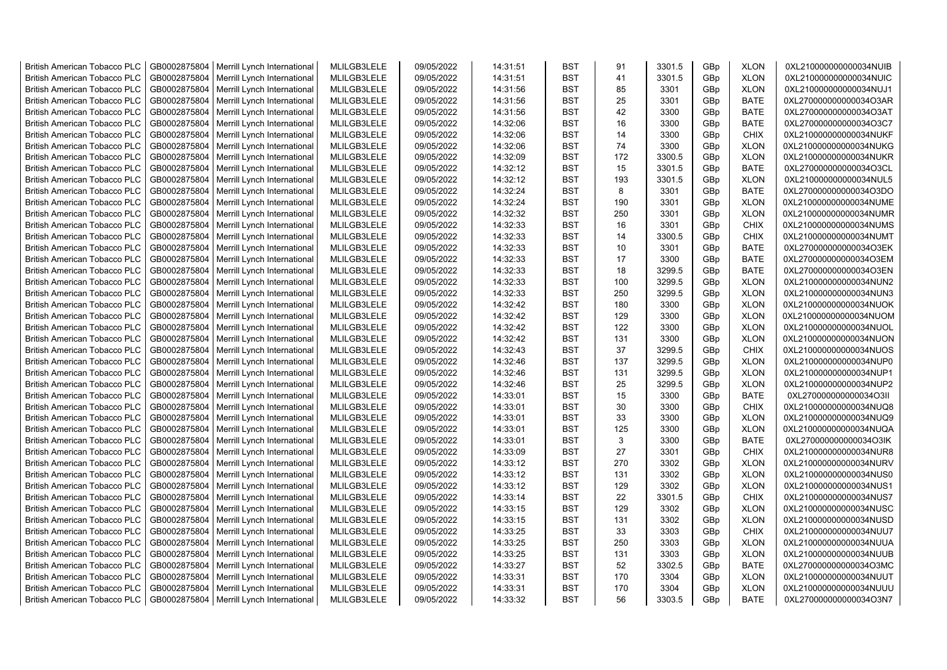| <b>British American Tobacco PLC</b> | GB0002875804 | Merrill Lynch International | MLILGB3LELE | 09/05/2022 | 14:31:51 | <b>BST</b> | 91  | 3301.5 | GBp             | <b>XLON</b> | 0XL210000000000034NUIB |
|-------------------------------------|--------------|-----------------------------|-------------|------------|----------|------------|-----|--------|-----------------|-------------|------------------------|
| <b>British American Tobacco PLC</b> | GB0002875804 | Merrill Lynch International | MLILGB3LELE | 09/05/2022 | 14:31:51 | <b>BST</b> | 41  | 3301.5 | GBp             | <b>XLON</b> | 0XL210000000000034NUIC |
| <b>British American Tobacco PLC</b> | GB0002875804 | Merrill Lynch International | MLILGB3LELE | 09/05/2022 | 14:31:56 | <b>BST</b> | 85  | 3301   | GBp             | <b>XLON</b> | 0XL210000000000034NUJ1 |
| <b>British American Tobacco PLC</b> | GB0002875804 | Merrill Lynch International | MLILGB3LELE | 09/05/2022 | 14:31:56 | <b>BST</b> | 25  | 3301   | GBp             | <b>BATE</b> | 0XL270000000000034O3AR |
| <b>British American Tobacco PLC</b> | GB0002875804 | Merrill Lynch International | MLILGB3LELE | 09/05/2022 | 14:31:56 | <b>BST</b> | 42  | 3300   | GBp             | <b>BATE</b> | 0XL270000000000034O3AT |
| <b>British American Tobacco PLC</b> | GB0002875804 | Merrill Lynch International | MLILGB3LELE | 09/05/2022 | 14:32:06 | <b>BST</b> | 16  | 3300   | GBp             | <b>BATE</b> | 0XL270000000000034O3C7 |
| <b>British American Tobacco PLC</b> | GB0002875804 | Merrill Lynch International | MLILGB3LELE | 09/05/2022 | 14:32:06 | <b>BST</b> | 14  | 3300   | GBp             | <b>CHIX</b> | 0XL210000000000034NUKF |
| <b>British American Tobacco PLC</b> | GB0002875804 | Merrill Lynch International | MLILGB3LELE | 09/05/2022 | 14:32:06 | <b>BST</b> | 74  | 3300   | GBp             | <b>XLON</b> | 0XL210000000000034NUKG |
| <b>British American Tobacco PLC</b> | GB0002875804 | Merrill Lynch International | MLILGB3LELE | 09/05/2022 | 14:32:09 | <b>BST</b> | 172 | 3300.5 | GBp             | <b>XLON</b> | 0XL210000000000034NUKR |
| <b>British American Tobacco PLC</b> | GB0002875804 | Merrill Lynch International | MLILGB3LELE | 09/05/2022 | 14:32:12 | <b>BST</b> | 15  | 3301.5 | GBp             | <b>BATE</b> | 0XL270000000000034O3CL |
| <b>British American Tobacco PLC</b> | GB0002875804 | Merrill Lynch International | MLILGB3LELE | 09/05/2022 | 14:32:12 | <b>BST</b> | 193 | 3301.5 | GBp             | <b>XLON</b> | 0XL210000000000034NUL5 |
| <b>British American Tobacco PLC</b> | GB0002875804 | Merrill Lynch International | MLILGB3LELE | 09/05/2022 | 14:32:24 | <b>BST</b> | 8   | 3301   | GBp             | <b>BATE</b> | 0XL270000000000034O3DO |
| <b>British American Tobacco PLC</b> | GB0002875804 | Merrill Lynch International | MLILGB3LELE | 09/05/2022 | 14:32:24 | <b>BST</b> | 190 | 3301   | GBp             | <b>XLON</b> | 0XL210000000000034NUME |
|                                     |              |                             | MLILGB3LELE |            | 14:32:32 | <b>BST</b> | 250 |        |                 |             |                        |
| <b>British American Tobacco PLC</b> | GB0002875804 | Merrill Lynch International |             | 09/05/2022 |          |            |     | 3301   | GBp             | <b>XLON</b> | 0XL210000000000034NUMR |
| <b>British American Tobacco PLC</b> | GB0002875804 | Merrill Lynch International | MLILGB3LELE | 09/05/2022 | 14:32:33 | <b>BST</b> | 16  | 3301   | GBp             | <b>CHIX</b> | 0XL210000000000034NUMS |
| <b>British American Tobacco PLC</b> | GB0002875804 | Merrill Lynch International | MLILGB3LELE | 09/05/2022 | 14:32:33 | <b>BST</b> | 14  | 3300.5 | GBp             | <b>CHIX</b> | 0XL210000000000034NUMT |
| <b>British American Tobacco PLC</b> | GB0002875804 | Merrill Lynch International | MLILGB3LELE | 09/05/2022 | 14:32:33 | <b>BST</b> | 10  | 3301   | GBp             | BATE        | 0XL270000000000034O3EK |
| <b>British American Tobacco PLC</b> | GB0002875804 | Merrill Lynch International | MLILGB3LELE | 09/05/2022 | 14:32:33 | <b>BST</b> | 17  | 3300   | GBp             | <b>BATE</b> | 0XL270000000000034O3EM |
| <b>British American Tobacco PLC</b> | GB0002875804 | Merrill Lynch International | MLILGB3LELE | 09/05/2022 | 14:32:33 | <b>BST</b> | 18  | 3299.5 | GBp             | <b>BATE</b> | 0XL270000000000034O3EN |
| <b>British American Tobacco PLC</b> | GB0002875804 | Merrill Lynch International | MLILGB3LELE | 09/05/2022 | 14:32:33 | <b>BST</b> | 100 | 3299.5 | GBp             | <b>XLON</b> | 0XL210000000000034NUN2 |
| <b>British American Tobacco PLC</b> | GB0002875804 | Merrill Lynch International | MLILGB3LELE | 09/05/2022 | 14:32:33 | <b>BST</b> | 250 | 3299.5 | GBp             | <b>XLON</b> | 0XL210000000000034NUN3 |
| <b>British American Tobacco PLC</b> | GB0002875804 | Merrill Lynch International | MLILGB3LELE | 09/05/2022 | 14:32:42 | <b>BST</b> | 180 | 3300   | GBp             | <b>XLON</b> | 0XL210000000000034NUOK |
| <b>British American Tobacco PLC</b> | GB0002875804 | Merrill Lynch International | MLILGB3LELE | 09/05/2022 | 14:32:42 | <b>BST</b> | 129 | 3300   | GBp             | <b>XLON</b> | 0XL210000000000034NUOM |
| <b>British American Tobacco PLC</b> | GB0002875804 | Merrill Lynch International | MLILGB3LELE | 09/05/2022 | 14:32:42 | <b>BST</b> | 122 | 3300   | GBp             | <b>XLON</b> | 0XL210000000000034NUOL |
| <b>British American Tobacco PLC</b> | GB0002875804 | Merrill Lynch International | MLILGB3LELE | 09/05/2022 | 14:32:42 | <b>BST</b> | 131 | 3300   | GBp             | <b>XLON</b> | 0XL210000000000034NUON |
| <b>British American Tobacco PLC</b> | GB0002875804 | Merrill Lynch International | MLILGB3LELE | 09/05/2022 | 14:32:43 | <b>BST</b> | 37  | 3299.5 | GBp             | <b>CHIX</b> | 0XL210000000000034NUOS |
| <b>British American Tobacco PLC</b> | GB0002875804 | Merrill Lynch International | MLILGB3LELE | 09/05/2022 | 14:32:46 | <b>BST</b> | 137 | 3299.5 | GBp             | <b>XLON</b> | 0XL210000000000034NUP0 |
| British American Tobacco PLC        | GB0002875804 | Merrill Lynch International | MLILGB3LELE | 09/05/2022 | 14:32:46 | <b>BST</b> | 131 | 3299.5 | GBp             | <b>XLON</b> | 0XL210000000000034NUP1 |
| <b>British American Tobacco PLC</b> | GB0002875804 | Merrill Lynch International | MLILGB3LELE | 09/05/2022 | 14:32:46 | <b>BST</b> | 25  | 3299.5 | GBp             | <b>XLON</b> | 0XL210000000000034NUP2 |
| <b>British American Tobacco PLC</b> | GB0002875804 | Merrill Lynch International | MLILGB3LELE | 09/05/2022 | 14:33:01 | <b>BST</b> | 15  | 3300   | GBp             | <b>BATE</b> | 0XL270000000000034O3II |
| <b>British American Tobacco PLC</b> | GB0002875804 | Merrill Lynch International | MLILGB3LELE | 09/05/2022 | 14:33:01 | <b>BST</b> | 30  | 3300   | GBp             | <b>CHIX</b> | 0XL210000000000034NUQ8 |
| <b>British American Tobacco PLC</b> | GB0002875804 | Merrill Lynch International | MLILGB3LELE | 09/05/2022 | 14:33:01 | <b>BST</b> | 33  | 3300   | GBp             | <b>XLON</b> | 0XL210000000000034NUQ9 |
| <b>British American Tobacco PLC</b> | GB0002875804 | Merrill Lynch International | MLILGB3LELE | 09/05/2022 | 14:33:01 | <b>BST</b> | 125 | 3300   | GBp             | <b>XLON</b> | 0XL210000000000034NUQA |
| <b>British American Tobacco PLC</b> | GB0002875804 | Merrill Lynch International | MLILGB3LELE | 09/05/2022 | 14:33:01 | <b>BST</b> | 3   | 3300   | GBp             | <b>BATE</b> | 0XL270000000000034O3IK |
| <b>British American Tobacco PLC</b> | GB0002875804 | Merrill Lynch International | MLILGB3LELE | 09/05/2022 | 14:33:09 | <b>BST</b> | 27  | 3301   | GBp             | <b>CHIX</b> | 0XL210000000000034NUR8 |
| <b>British American Tobacco PLC</b> | GB0002875804 | Merrill Lynch International | MLILGB3LELE | 09/05/2022 | 14:33:12 | <b>BST</b> | 270 | 3302   | GBp             | <b>XLON</b> | 0XL210000000000034NURV |
| <b>British American Tobacco PLC</b> | GB0002875804 | Merrill Lynch International | MLILGB3LELE | 09/05/2022 | 14:33:12 | <b>BST</b> | 131 | 3302   | GBp             | <b>XLON</b> | 0XL210000000000034NUS0 |
| <b>British American Tobacco PLC</b> | GB0002875804 | Merrill Lynch International | MLILGB3LELE | 09/05/2022 | 14:33:12 | <b>BST</b> | 129 | 3302   | GBp             | <b>XLON</b> | 0XL210000000000034NUS1 |
| <b>British American Tobacco PLC</b> | GB0002875804 | Merrill Lynch International | MLILGB3LELE | 09/05/2022 | 14:33:14 | <b>BST</b> | 22  | 3301.5 | GBp             | <b>CHIX</b> | 0XL210000000000034NUS7 |
| <b>British American Tobacco PLC</b> | GB0002875804 | Merrill Lynch International | MLILGB3LELE | 09/05/2022 | 14:33:15 | <b>BST</b> | 129 | 3302   | GBp             | <b>XLON</b> | 0XL210000000000034NUSC |
| <b>British American Tobacco PLC</b> | GB0002875804 | Merrill Lynch International | MLILGB3LELE | 09/05/2022 | 14:33:15 | <b>BST</b> | 131 | 3302   | GBp             | <b>XLON</b> | 0XL210000000000034NUSD |
| <b>British American Tobacco PLC</b> | GB0002875804 | Merrill Lynch International | MLILGB3LELE | 09/05/2022 | 14:33:25 | <b>BST</b> | 33  | 3303   | GBp             | <b>CHIX</b> | 0XL210000000000034NUU7 |
| <b>British American Tobacco PLC</b> | GB0002875804 | Merrill Lynch International | MLILGB3LELE | 09/05/2022 | 14:33:25 | <b>BST</b> | 250 | 3303   | GBp             | <b>XLON</b> | 0XL210000000000034NUUA |
| <b>British American Tobacco PLC</b> | GB0002875804 | Merrill Lynch International | MLILGB3LELE | 09/05/2022 | 14:33:25 | <b>BST</b> | 131 | 3303   | GBp             | <b>XLON</b> | 0XL210000000000034NUUB |
| British American Tobacco PLC        | GB0002875804 | Merrill Lynch International | MLILGB3LELE | 09/05/2022 | 14:33:27 | <b>BST</b> | 52  | 3302.5 | GBp             | <b>BATE</b> | 0XL270000000000034O3MC |
| <b>British American Tobacco PLC</b> | GB0002875804 | Merrill Lynch International | MLILGB3LELE | 09/05/2022 | 14:33:31 | <b>BST</b> | 170 | 3304   | GBp             | <b>XLON</b> | 0XL210000000000034NUUT |
| <b>British American Tobacco PLC</b> | GB0002875804 | Merrill Lynch International | MLILGB3LELE | 09/05/2022 | 14:33:31 | <b>BST</b> | 170 | 3304   | GBp             | <b>XLON</b> | 0XL210000000000034NUUU |
| <b>British American Tobacco PLC</b> | GB0002875804 | Merrill Lynch International | MLILGB3LELE | 09/05/2022 | 14:33:32 | <b>BST</b> | 56  | 3303.5 | GB <sub>p</sub> | <b>BATE</b> | 0XL270000000000034O3N7 |
|                                     |              |                             |             |            |          |            |     |        |                 |             |                        |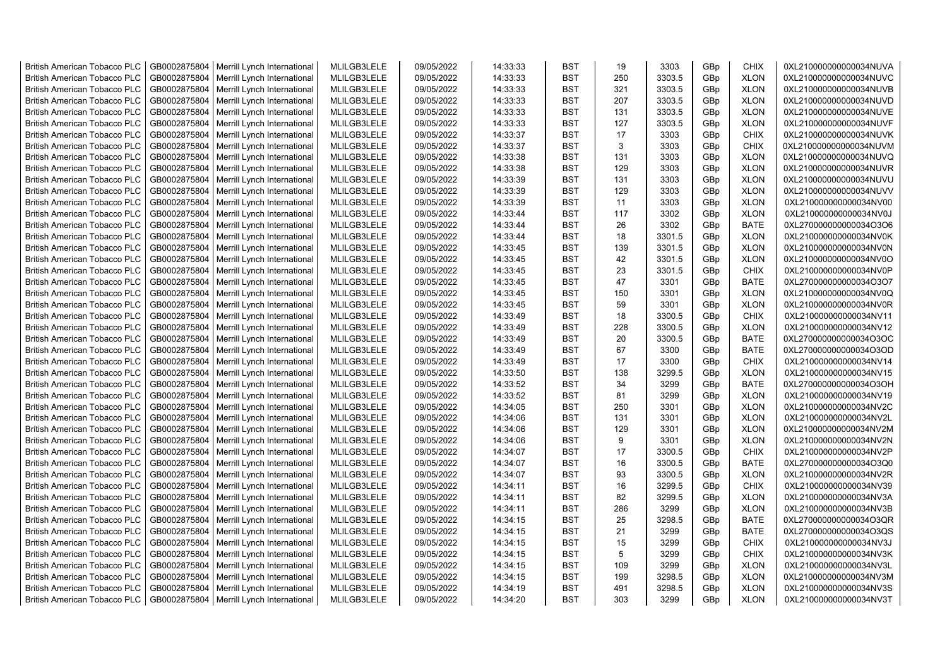| <b>British American Tobacco PLC</b> | GB0002875804 | Merrill Lynch International | MLILGB3LELE | 09/05/2022 | 14:33:33 | <b>BST</b> | 19  | 3303   | GBp | CHIX        | 0XL210000000000034NUVA |
|-------------------------------------|--------------|-----------------------------|-------------|------------|----------|------------|-----|--------|-----|-------------|------------------------|
| <b>British American Tobacco PLC</b> | GB0002875804 | Merrill Lynch International | MLILGB3LELE | 09/05/2022 | 14:33:33 | <b>BST</b> | 250 | 3303.5 | GBp | <b>XLON</b> | 0XL210000000000034NUVC |
| <b>British American Tobacco PLC</b> | GB0002875804 | Merrill Lynch International | MLILGB3LELE | 09/05/2022 | 14:33:33 | <b>BST</b> | 321 | 3303.5 | GBp | <b>XLON</b> | 0XL210000000000034NUVB |
| <b>British American Tobacco PLC</b> | GB0002875804 | Merrill Lynch International | MLILGB3LELE | 09/05/2022 | 14:33:33 | <b>BST</b> | 207 | 3303.5 | GBp | <b>XLON</b> | 0XL210000000000034NUVD |
| <b>British American Tobacco PLC</b> | GB0002875804 | Merrill Lynch International | MLILGB3LELE | 09/05/2022 | 14:33:33 | <b>BST</b> | 131 | 3303.5 | GBp | <b>XLON</b> | 0XL210000000000034NUVE |
| <b>British American Tobacco PLC</b> | GB0002875804 | Merrill Lynch International | MLILGB3LELE | 09/05/2022 | 14:33:33 | <b>BST</b> | 127 | 3303.5 | GBp | <b>XLON</b> | 0XL210000000000034NUVF |
| <b>British American Tobacco PLC</b> | GB0002875804 | Merrill Lynch International | MLILGB3LELE | 09/05/2022 | 14:33:37 | <b>BST</b> | 17  | 3303   | GBp | CHIX        | 0XL210000000000034NUVK |
| <b>British American Tobacco PLC</b> | GB0002875804 | Merrill Lynch International | MLILGB3LELE | 09/05/2022 | 14:33:37 | BST        | 3   | 3303   | GBp | <b>CHIX</b> | 0XL210000000000034NUVM |
| <b>British American Tobacco PLC</b> | GB0002875804 | Merrill Lynch International | MLILGB3LELE | 09/05/2022 | 14:33:38 | <b>BST</b> | 131 | 3303   | GBp | <b>XLON</b> | 0XL210000000000034NUVQ |
| <b>British American Tobacco PLC</b> | GB0002875804 | Merrill Lynch International | MLILGB3LELE | 09/05/2022 | 14:33:38 | <b>BST</b> | 129 | 3303   | GBp | <b>XLON</b> | 0XL210000000000034NUVR |
| <b>British American Tobacco PLC</b> | GB0002875804 | Merrill Lynch International | MLILGB3LELE | 09/05/2022 | 14:33:39 | <b>BST</b> | 131 | 3303   | GBp | <b>XLON</b> | 0XL210000000000034NUVU |
| <b>British American Tobacco PLC</b> | GB0002875804 | Merrill Lynch International | MLILGB3LELE | 09/05/2022 | 14:33:39 | <b>BST</b> | 129 | 3303   | GBp | <b>XLON</b> | 0XL210000000000034NUVV |
| <b>British American Tobacco PLC</b> | GB0002875804 | Merrill Lynch International | MLILGB3LELE | 09/05/2022 | 14:33:39 | <b>BST</b> | 11  | 3303   | GBp | <b>XLON</b> | 0XL210000000000034NV00 |
| <b>British American Tobacco PLC</b> | GB0002875804 | Merrill Lynch International | MLILGB3LELE | 09/05/2022 | 14:33:44 | <b>BST</b> | 117 | 3302   | GBp | <b>XLON</b> | 0XL210000000000034NV0J |
| <b>British American Tobacco PLC</b> | GB0002875804 | Merrill Lynch International | MLILGB3LELE | 09/05/2022 | 14:33:44 | <b>BST</b> | 26  | 3302   | GBp | <b>BATE</b> | 0XL270000000000034O3O6 |
| <b>British American Tobacco PLC</b> | GB0002875804 | Merrill Lynch International | MLILGB3LELE | 09/05/2022 | 14:33:44 | <b>BST</b> | 18  | 3301.5 | GBp | <b>XLON</b> | 0XL210000000000034NV0K |
| <b>British American Tobacco PLC</b> | GB0002875804 | Merrill Lynch International | MLILGB3LELE | 09/05/2022 | 14:33:45 | <b>BST</b> | 139 | 3301.5 | GBp | <b>XLON</b> | 0XL210000000000034NV0N |
| <b>British American Tobacco PLC</b> | GB0002875804 | Merrill Lynch International | MLILGB3LELE | 09/05/2022 | 14:33:45 | <b>BST</b> | 42  | 3301.5 | GBp | <b>XLON</b> | 0XL210000000000034NV0O |
| <b>British American Tobacco PLC</b> | GB0002875804 | Merrill Lynch International | MLILGB3LELE | 09/05/2022 | 14:33:45 | <b>BST</b> | 23  | 3301.5 | GBp | <b>CHIX</b> | 0XL210000000000034NV0P |
| <b>British American Tobacco PLC</b> | GB0002875804 | Merrill Lynch International | MLILGB3LELE | 09/05/2022 | 14:33:45 | <b>BST</b> | 47  | 3301   | GBp | <b>BATE</b> | 0XL270000000000034O3O7 |
| <b>British American Tobacco PLC</b> | GB0002875804 | Merrill Lynch International | MLILGB3LELE | 09/05/2022 | 14:33:45 | <b>BST</b> | 150 | 3301   | GBp | <b>XLON</b> | 0XL210000000000034NV0Q |
| <b>British American Tobacco PLC</b> | GB0002875804 | Merrill Lynch International | MLILGB3LELE | 09/05/2022 | 14:33:45 | <b>BST</b> | 59  | 3301   | GBp | <b>XLON</b> | 0XL210000000000034NV0R |
| <b>British American Tobacco PLC</b> | GB0002875804 | Merrill Lynch International | MLILGB3LELE | 09/05/2022 | 14:33:49 | <b>BST</b> | 18  | 3300.5 | GBp | <b>CHIX</b> | 0XL210000000000034NV11 |
| <b>British American Tobacco PLC</b> | GB0002875804 | Merrill Lynch International | MLILGB3LELE | 09/05/2022 | 14:33:49 | <b>BST</b> | 228 | 3300.5 | GBp | <b>XLON</b> | 0XL210000000000034NV12 |
| <b>British American Tobacco PLC</b> | GB0002875804 | Merrill Lynch International | MLILGB3LELE | 09/05/2022 | 14:33:49 | <b>BST</b> | 20  | 3300.5 | GBp | <b>BATE</b> | 0XL270000000000034O3OC |
| <b>British American Tobacco PLC</b> | GB0002875804 | Merrill Lynch International | MLILGB3LELE | 09/05/2022 | 14:33:49 | <b>BST</b> | 67  | 3300   | GBp | <b>BATE</b> | 0XL270000000000034O3OD |
| <b>British American Tobacco PLC</b> | GB0002875804 | Merrill Lynch International | MLILGB3LELE | 09/05/2022 | 14:33:49 | <b>BST</b> | 17  | 3300   | GBp | <b>CHIX</b> | 0XL210000000000034NV14 |
| <b>British American Tobacco PLC</b> | GB0002875804 | Merrill Lynch International | MLILGB3LELE | 09/05/2022 | 14:33:50 | <b>BST</b> | 138 | 3299.5 | GBp | <b>XLON</b> | 0XL210000000000034NV15 |
| <b>British American Tobacco PLC</b> | GB0002875804 | Merrill Lynch International | MLILGB3LELE | 09/05/2022 | 14:33:52 | <b>BST</b> | 34  | 3299   | GBp | <b>BATE</b> | 0XL270000000000034O3OH |
| <b>British American Tobacco PLC</b> | GB0002875804 | Merrill Lynch International | MLILGB3LELE | 09/05/2022 | 14:33:52 | <b>BST</b> | 81  | 3299   | GBp | <b>XLON</b> | 0XL210000000000034NV19 |
| British American Tobacco PLC        | GB0002875804 | Merrill Lynch International | MLILGB3LELE | 09/05/2022 | 14:34:05 | <b>BST</b> | 250 | 3301   | GBp | <b>XLON</b> | 0XL210000000000034NV2C |
| <b>British American Tobacco PLC</b> | GB0002875804 | Merrill Lynch International | MLILGB3LELE | 09/05/2022 | 14:34:06 | <b>BST</b> | 131 | 3301   | GBp | <b>XLON</b> | 0XL210000000000034NV2L |
| <b>British American Tobacco PLC</b> | GB0002875804 | Merrill Lynch International | MLILGB3LELE | 09/05/2022 | 14:34:06 | <b>BST</b> | 129 | 3301   | GBp | <b>XLON</b> | 0XL210000000000034NV2M |
| <b>British American Tobacco PLC</b> | GB0002875804 | Merrill Lynch International | MLILGB3LELE | 09/05/2022 | 14:34:06 | <b>BST</b> | 9   | 3301   | GBp | <b>XLON</b> | 0XL210000000000034NV2N |
| <b>British American Tobacco PLC</b> | GB0002875804 | Merrill Lynch International | MLILGB3LELE | 09/05/2022 | 14:34:07 | <b>BST</b> | 17  | 3300.5 | GBp | CHIX        | 0XL210000000000034NV2P |
| <b>British American Tobacco PLC</b> | GB0002875804 | Merrill Lynch International | MLILGB3LELE | 09/05/2022 | 14:34:07 | <b>BST</b> | 16  | 3300.5 | GBp | <b>BATE</b> | 0XL270000000000034O3Q0 |
| <b>British American Tobacco PLC</b> | GB0002875804 | Merrill Lynch International | MLILGB3LELE | 09/05/2022 | 14:34:07 | <b>BST</b> | 93  | 3300.5 | GBp | <b>XLON</b> | 0XL210000000000034NV2R |
| <b>British American Tobacco PLC</b> | GB0002875804 | Merrill Lynch International | MLILGB3LELE | 09/05/2022 | 14:34:11 | BST        | 16  | 3299.5 | GBp | <b>CHIX</b> | 0XL210000000000034NV39 |
| <b>British American Tobacco PLC</b> | GB0002875804 | Merrill Lynch International | MLILGB3LELE | 09/05/2022 | 14:34:11 | <b>BST</b> | 82  | 3299.5 | GBp | <b>XLON</b> | 0XL210000000000034NV3A |
| <b>British American Tobacco PLC</b> | GB0002875804 | Merrill Lynch International | MLILGB3LELE | 09/05/2022 | 14:34:11 | <b>BST</b> | 286 | 3299   | GBp | <b>XLON</b> | 0XL210000000000034NV3B |
| <b>British American Tobacco PLC</b> | GB0002875804 | Merrill Lynch International | MLILGB3LELE | 09/05/2022 | 14:34:15 | <b>BST</b> | 25  | 3298.5 | GBp | <b>BATE</b> | 0XL270000000000034O3QR |
| British American Tobacco PLC        | GB0002875804 | Merrill Lynch International | MLILGB3LELE | 09/05/2022 | 14:34:15 | <b>BST</b> | 21  | 3299   | GBp | <b>BATE</b> | 0XL270000000000034O3QS |
| <b>British American Tobacco PLC</b> | GB0002875804 | Merrill Lynch International | MLILGB3LELE | 09/05/2022 | 14:34:15 | <b>BST</b> | 15  | 3299   | GBp | <b>CHIX</b> | 0XL210000000000034NV3J |
| <b>British American Tobacco PLC</b> | GB0002875804 | Merrill Lynch International | MLILGB3LELE | 09/05/2022 | 14:34:15 | <b>BST</b> | 5   | 3299   | GBp | <b>CHIX</b> | 0XL210000000000034NV3K |
| <b>British American Tobacco PLC</b> | GB0002875804 | Merrill Lynch International | MLILGB3LELE | 09/05/2022 | 14:34:15 | <b>BST</b> | 109 | 3299   | GBp | <b>XLON</b> | 0XL210000000000034NV3L |
| <b>British American Tobacco PLC</b> | GB0002875804 | Merrill Lynch International | MLILGB3LELE | 09/05/2022 | 14:34:15 | <b>BST</b> | 199 | 3298.5 | GBp | <b>XLON</b> | 0XL210000000000034NV3M |
| <b>British American Tobacco PLC</b> | GB0002875804 | Merrill Lynch International | MLILGB3LELE | 09/05/2022 | 14:34:19 | <b>BST</b> | 491 | 3298.5 | GBp | <b>XLON</b> | 0XL210000000000034NV3S |
| <b>British American Tobacco PLC</b> | GB0002875804 | Merrill Lynch International | MLILGB3LELE | 09/05/2022 | 14:34:20 | <b>BST</b> | 303 | 3299   | GBp | <b>XLON</b> | 0XL210000000000034NV3T |
|                                     |              |                             |             |            |          |            |     |        |     |             |                        |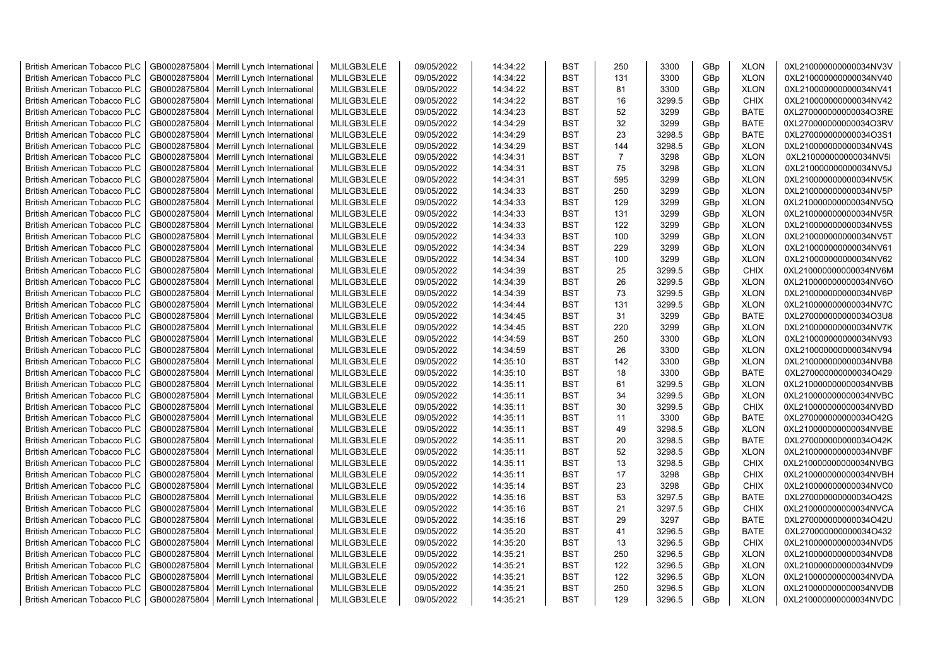| <b>British American Tobacco PLC</b> | GB0002875804 | Merrill Lynch International                | MLILGB3LELE | 09/05/2022 | 14:34:22 | <b>BST</b> | 250            | 3300   | GBp             | <b>XLON</b> | 0XL210000000000034NV3V |
|-------------------------------------|--------------|--------------------------------------------|-------------|------------|----------|------------|----------------|--------|-----------------|-------------|------------------------|
| <b>British American Tobacco PLC</b> | GB0002875804 | Merrill Lynch International                | MLILGB3LELE | 09/05/2022 | 14:34:22 | <b>BST</b> | 131            | 3300   | GBp             | <b>XLON</b> | 0XL210000000000034NV40 |
| <b>British American Tobacco PLC</b> | GB0002875804 | Merrill Lynch International                | MLILGB3LELE | 09/05/2022 | 14:34:22 | <b>BST</b> | 81             | 3300   | GBp             | <b>XLON</b> | 0XL210000000000034NV41 |
| <b>British American Tobacco PLC</b> | GB0002875804 | Merrill Lynch International                | MLILGB3LELE | 09/05/2022 | 14:34:22 | <b>BST</b> | 16             | 3299.5 | GBp             | <b>CHIX</b> | 0XL210000000000034NV42 |
| <b>British American Tobacco PLC</b> | GB0002875804 | Merrill Lynch International                | MLILGB3LELE | 09/05/2022 | 14:34:23 | <b>BST</b> | 52             | 3299   | GBp             | <b>BATE</b> | 0XL270000000000034O3RE |
| <b>British American Tobacco PLC</b> | GB0002875804 | Merrill Lynch International                | MLILGB3LELE | 09/05/2022 | 14:34:29 | <b>BST</b> | 32             | 3299   | GBp             | <b>BATE</b> | 0XL270000000000034O3RV |
| British American Tobacco PLC        | GB0002875804 | Merrill Lynch International                | MLILGB3LELE | 09/05/2022 | 14:34:29 | <b>BST</b> | 23             | 3298.5 | GBp             | <b>BATE</b> | 0XL270000000000034O3S1 |
| <b>British American Tobacco PLC</b> | GB0002875804 | Merrill Lynch International                | MLILGB3LELE | 09/05/2022 | 14:34:29 | <b>BST</b> | 144            | 3298.5 | GBp             | <b>XLON</b> | 0XL210000000000034NV4S |
| <b>British American Tobacco PLC</b> | GB0002875804 | Merrill Lynch International                | MLILGB3LELE | 09/05/2022 | 14:34:31 | <b>BST</b> | $\overline{7}$ | 3298   | GBp             | <b>XLON</b> | 0XL210000000000034NV5I |
| <b>British American Tobacco PLC</b> | GB0002875804 | Merrill Lynch International                | MLILGB3LELE | 09/05/2022 | 14:34:31 | <b>BST</b> | 75             | 3298   | GBp             | <b>XLON</b> | 0XL210000000000034NV5J |
| <b>British American Tobacco PLC</b> | GB0002875804 | Merrill Lynch International                | MLILGB3LELE | 09/05/2022 | 14:34:31 | <b>BST</b> | 595            | 3299   | GBp             | <b>XLON</b> | 0XL210000000000034NV5K |
| <b>British American Tobacco PLC</b> | GB0002875804 | Merrill Lynch International                | MLILGB3LELE | 09/05/2022 | 14:34:33 | <b>BST</b> | 250            | 3299   | GBp             | <b>XLON</b> | 0XL210000000000034NV5P |
| <b>British American Tobacco PLC</b> | GB0002875804 | Merrill Lynch International                | MLILGB3LELE | 09/05/2022 | 14:34:33 | BST        | 129            | 3299   | GBp             | <b>XLON</b> | 0XL210000000000034NV5Q |
| <b>British American Tobacco PLC</b> | GB0002875804 | Merrill Lynch International                | MLILGB3LELE | 09/05/2022 | 14:34:33 | <b>BST</b> | 131            | 3299   | GBp             | <b>XLON</b> | 0XL210000000000034NV5R |
| <b>British American Tobacco PLC</b> | GB0002875804 | Merrill Lynch International                | MLILGB3LELE | 09/05/2022 | 14:34:33 | <b>BST</b> | 122            | 3299   | GBp             | <b>XLON</b> | 0XL210000000000034NV5S |
| <b>British American Tobacco PLC</b> | GB0002875804 | Merrill Lynch International                | MLILGB3LELE | 09/05/2022 | 14:34:33 | <b>BST</b> | 100            | 3299   | GBp             | <b>XLON</b> | 0XL210000000000034NV5T |
| <b>British American Tobacco PLC</b> | GB0002875804 | Merrill Lynch International                | MLILGB3LELE | 09/05/2022 | 14:34:34 | <b>BST</b> | 229            | 3299   | GBp             | <b>XLON</b> | 0XL210000000000034NV61 |
| <b>British American Tobacco PLC</b> | GB0002875804 | Merrill Lynch International                | MLILGB3LELE | 09/05/2022 | 14:34:34 | <b>BST</b> | 100            | 3299   | GBp             | <b>XLON</b> | 0XL210000000000034NV62 |
| <b>British American Tobacco PLC</b> | GB0002875804 | Merrill Lynch International                | MLILGB3LELE | 09/05/2022 | 14:34:39 | <b>BST</b> | 25             | 3299.5 | GBp             | <b>CHIX</b> | 0XL210000000000034NV6M |
| <b>British American Tobacco PLC</b> | GB0002875804 | Merrill Lynch International                | MLILGB3LELE | 09/05/2022 | 14:34:39 | <b>BST</b> | 26             | 3299.5 | GBp             | <b>XLON</b> | 0XL210000000000034NV6O |
| <b>British American Tobacco PLC</b> | GB0002875804 | Merrill Lynch International                | MLILGB3LELE | 09/05/2022 | 14:34:39 | <b>BST</b> | 73             | 3299.5 | GBp             | <b>XLON</b> | 0XL210000000000034NV6P |
| <b>British American Tobacco PLC</b> | GB0002875804 | Merrill Lynch International                | MLILGB3LELE | 09/05/2022 | 14:34:44 | <b>BST</b> | 131            | 3299.5 | GBp             | <b>XLON</b> | 0XL210000000000034NV7C |
| <b>British American Tobacco PLC</b> | GB0002875804 | Merrill Lynch International                | MLILGB3LELE | 09/05/2022 | 14:34:45 | <b>BST</b> | 31             | 3299   | GBp             | <b>BATE</b> | 0XL270000000000034O3U8 |
| <b>British American Tobacco PLC</b> | GB0002875804 | Merrill Lynch International                | MLILGB3LELE | 09/05/2022 | 14:34:45 | <b>BST</b> | 220            | 3299   | GBp             | <b>XLON</b> | 0XL210000000000034NV7K |
|                                     |              |                                            |             |            |          |            |                |        |                 |             |                        |
| <b>British American Tobacco PLC</b> | GB0002875804 | Merrill Lynch International                | MLILGB3LELE | 09/05/2022 | 14:34:59 | <b>BST</b> | 250            | 3300   | GBp             | <b>XLON</b> | 0XL210000000000034NV93 |
| <b>British American Tobacco PLC</b> | GB0002875804 | Merrill Lynch International                | MLILGB3LELE | 09/05/2022 | 14:34:59 | <b>BST</b> | 26             | 3300   | GBp             | <b>XLON</b> | 0XL210000000000034NV94 |
| <b>British American Tobacco PLC</b> | GB0002875804 | Merrill Lynch International                | MLILGB3LELE | 09/05/2022 | 14:35:10 | <b>BST</b> | 142<br>18      | 3300   | GBp             | <b>XLON</b> | 0XL210000000000034NVB8 |
| <b>British American Tobacco PLC</b> | GB0002875804 | Merrill Lynch International                | MLILGB3LELE | 09/05/2022 | 14:35:10 | <b>BST</b> |                | 3300   | GBp             | <b>BATE</b> | 0XL270000000000034O429 |
| <b>British American Tobacco PLC</b> | GB0002875804 | Merrill Lynch International                | MLILGB3LELE | 09/05/2022 | 14:35:11 | <b>BST</b> | 61             | 3299.5 | GBp             | <b>XLON</b> | 0XL210000000000034NVBB |
| <b>British American Tobacco PLC</b> | GB0002875804 | Merrill Lynch International                | MLILGB3LELE | 09/05/2022 | 14:35:11 | <b>BST</b> | 34             | 3299.5 | GBp             | <b>XLON</b> | 0XL210000000000034NVBC |
| <b>British American Tobacco PLC</b> | GB0002875804 | Merrill Lynch International                | MLILGB3LELE | 09/05/2022 | 14:35:11 | <b>BST</b> | 30             | 3299.5 | GBp             | <b>CHIX</b> | 0XL210000000000034NVBD |
| <b>British American Tobacco PLC</b> | GB0002875804 | Merrill Lynch International                | MLILGB3LELE | 09/05/2022 | 14:35:11 | <b>BST</b> | 11             | 3300   | GBp             | <b>BATE</b> | 0XL270000000000034O42G |
| <b>British American Tobacco PLC</b> | GB0002875804 | Merrill Lynch International                | MLILGB3LELE | 09/05/2022 | 14:35:11 | <b>BST</b> | 49             | 3298.5 | GBp             | <b>XLON</b> | 0XL210000000000034NVBE |
| <b>British American Tobacco PLC</b> | GB0002875804 | Merrill Lynch International                | MLILGB3LELE | 09/05/2022 | 14:35:11 | <b>BST</b> | 20             | 3298.5 | GBp             | <b>BATE</b> | 0XL270000000000034O42K |
| <b>British American Tobacco PLC</b> | GB0002875804 | Merrill Lynch International                | MLILGB3LELE | 09/05/2022 | 14:35:11 | <b>BST</b> | 52             | 3298.5 | GBp             | <b>XLON</b> | 0XL210000000000034NVBF |
| British American Tobacco PLC        | GB0002875804 | Merrill Lynch International                | MLILGB3LELE | 09/05/2022 | 14:35:11 | <b>BST</b> | 13             | 3298.5 | GBp             | <b>CHIX</b> | 0XL210000000000034NVBG |
| <b>British American Tobacco PLC</b> | GB0002875804 | Merrill Lynch International                | MLILGB3LELE | 09/05/2022 | 14:35:11 | <b>BST</b> | 17             | 3298   | GBp             | <b>CHIX</b> | 0XL210000000000034NVBH |
| <b>British American Tobacco PLC</b> | GB0002875804 | Merrill Lynch International                | MLILGB3LELE | 09/05/2022 | 14:35:14 | <b>BST</b> | 23             | 3298   | GBp             | <b>CHIX</b> | 0XL210000000000034NVC0 |
| <b>British American Tobacco PLC</b> | GB0002875804 | Merrill Lynch International                | MLILGB3LELE | 09/05/2022 | 14:35:16 | <b>BST</b> | 53             | 3297.5 | GBp             | <b>BATE</b> | 0XL270000000000034O42S |
| <b>British American Tobacco PLC</b> | GB0002875804 | Merrill Lynch International                | MLILGB3LELE | 09/05/2022 | 14:35:16 | <b>BST</b> | 21             | 3297.5 | GBp             | <b>CHIX</b> | 0XL210000000000034NVCA |
| <b>British American Tobacco PLC</b> | GB0002875804 | Merrill Lynch International                | MLILGB3LELE | 09/05/2022 | 14:35:16 | <b>BST</b> | 29             | 3297   | GBp             | <b>BATE</b> | 0XL270000000000034O42U |
| <b>British American Tobacco PLC</b> | GB0002875804 | Merrill Lynch International                | MLILGB3LELE | 09/05/2022 | 14:35:20 | <b>BST</b> | 41             | 3296.5 | GBp             | <b>BATE</b> | 0XL270000000000034O432 |
| <b>British American Tobacco PLC</b> | GB0002875804 | Merrill Lynch International                | MLILGB3LELE | 09/05/2022 | 14:35:20 | <b>BST</b> | 13             | 3296.5 | GBp             | <b>CHIX</b> | 0XL210000000000034NVD5 |
| <b>British American Tobacco PLC</b> | GB0002875804 | Merrill Lynch International                | MLILGB3LELE | 09/05/2022 | 14:35:21 | <b>BST</b> | 250            | 3296.5 | GBp             | <b>XLON</b> | 0XL210000000000034NVD8 |
| <b>British American Tobacco PLC</b> | GB0002875804 | Merrill Lynch International                | MLILGB3LELE | 09/05/2022 | 14:35:21 | <b>BST</b> | 122            | 3296.5 | GBp             | <b>XLON</b> | 0XL210000000000034NVD9 |
| <b>British American Tobacco PLC</b> | GB0002875804 | Merrill Lynch International                | MLILGB3LELE | 09/05/2022 | 14:35:21 | <b>BST</b> | 122            | 3296.5 | GBp             | <b>XLON</b> | 0XL210000000000034NVDA |
| <b>British American Tobacco PLC</b> | GB0002875804 | Merrill Lynch International                | MLILGB3LELE | 09/05/2022 | 14:35:21 | <b>BST</b> | 250            | 3296.5 | GBp             | <b>XLON</b> | 0XL210000000000034NVDB |
| <b>British American Tobacco PLC</b> |              | GB0002875804   Merrill Lynch International | MLILGB3LELE | 09/05/2022 | 14:35:21 | <b>BST</b> | 129            | 3296.5 | GB <sub>p</sub> | <b>XLON</b> | 0XL210000000000034NVDC |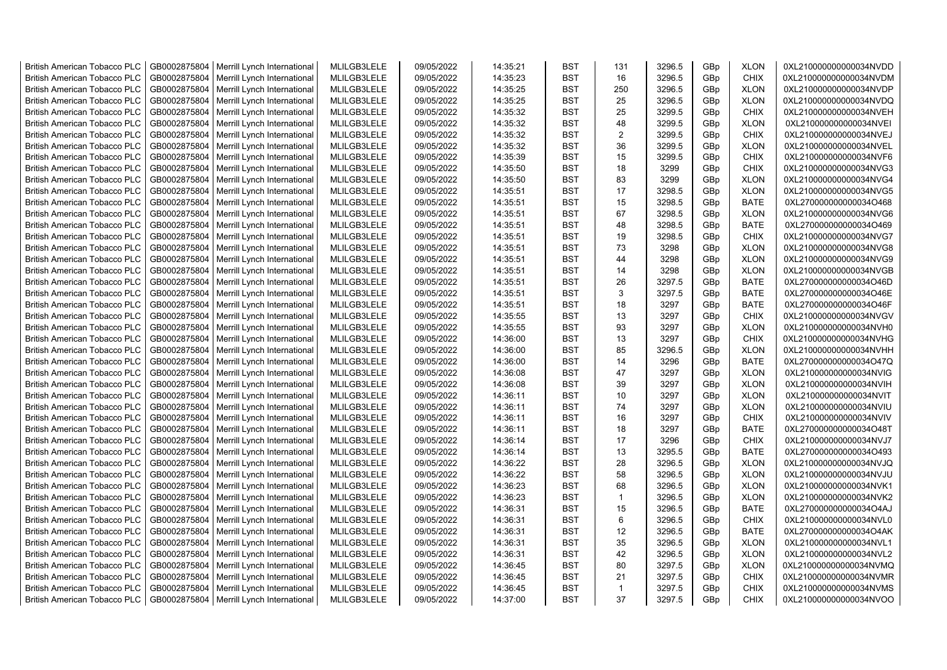| <b>British American Tobacco PLC</b> | GB0002875804 | Merrill Lynch International                | MLILGB3LELE | 09/05/2022 | 14:35:21 | <b>BST</b> | 131          | 3296.5 | GBp             | <b>XLON</b> | 0XL210000000000034NVDD |
|-------------------------------------|--------------|--------------------------------------------|-------------|------------|----------|------------|--------------|--------|-----------------|-------------|------------------------|
| <b>British American Tobacco PLC</b> | GB0002875804 | Merrill Lynch International                | MLILGB3LELE | 09/05/2022 | 14:35:23 | <b>BST</b> | 16           | 3296.5 | GBp             | <b>CHIX</b> | 0XL210000000000034NVDM |
| <b>British American Tobacco PLC</b> | GB0002875804 | Merrill Lynch International                | MLILGB3LELE | 09/05/2022 | 14:35:25 | <b>BST</b> | 250          | 3296.5 | GBp             | <b>XLON</b> | 0XL210000000000034NVDP |
| <b>British American Tobacco PLC</b> | GB0002875804 | Merrill Lynch International                | MLILGB3LELE | 09/05/2022 | 14:35:25 | <b>BST</b> | 25           | 3296.5 | GBp             | <b>XLON</b> | 0XL210000000000034NVDQ |
| <b>British American Tobacco PLC</b> | GB0002875804 | Merrill Lynch International                | MLILGB3LELE | 09/05/2022 | 14:35:32 | <b>BST</b> | 25           | 3299.5 | GBp             | <b>CHIX</b> | 0XL210000000000034NVEH |
| <b>British American Tobacco PLC</b> | GB0002875804 | Merrill Lynch International                | MLILGB3LELE | 09/05/2022 | 14:35:32 | <b>BST</b> | 48           | 3299.5 | GBp             | <b>XLON</b> | 0XL210000000000034NVEI |
| British American Tobacco PLC        | GB0002875804 | Merrill Lynch International                | MLILGB3LELE | 09/05/2022 | 14:35:32 | <b>BST</b> | 2            | 3299.5 | GBp             | <b>CHIX</b> | 0XL210000000000034NVEJ |
| <b>British American Tobacco PLC</b> | GB0002875804 | Merrill Lynch International                | MLILGB3LELE | 09/05/2022 | 14:35:32 | <b>BST</b> | 36           | 3299.5 | GBp             | <b>XLON</b> | 0XL210000000000034NVEL |
| <b>British American Tobacco PLC</b> | GB0002875804 | Merrill Lynch International                | MLILGB3LELE | 09/05/2022 | 14:35:39 | <b>BST</b> | 15           | 3299.5 | GBp             | <b>CHIX</b> | 0XL210000000000034NVF6 |
| <b>British American Tobacco PLC</b> | GB0002875804 | Merrill Lynch International                | MLILGB3LELE | 09/05/2022 | 14:35:50 | <b>BST</b> | 18           | 3299   | GBp             | <b>CHIX</b> | 0XL210000000000034NVG3 |
| <b>British American Tobacco PLC</b> | GB0002875804 | Merrill Lynch International                | MLILGB3LELE | 09/05/2022 | 14:35:50 | <b>BST</b> | 83           | 3299   | GBp             | <b>XLON</b> | 0XL210000000000034NVG4 |
| <b>British American Tobacco PLC</b> | GB0002875804 | Merrill Lynch International                | MLILGB3LELE | 09/05/2022 | 14:35:51 | <b>BST</b> | 17           | 3298.5 | GBp             | <b>XLON</b> | 0XL210000000000034NVG5 |
| <b>British American Tobacco PLC</b> | GB0002875804 | Merrill Lynch International                | MLILGB3LELE | 09/05/2022 | 14:35:51 | BST        | 15           | 3298.5 | GBp             | <b>BATE</b> | 0XL270000000000034O468 |
| <b>British American Tobacco PLC</b> | GB0002875804 | Merrill Lynch International                | MLILGB3LELE | 09/05/2022 | 14:35:51 | <b>BST</b> | 67           | 3298.5 | GBp             | <b>XLON</b> | 0XL210000000000034NVG6 |
| <b>British American Tobacco PLC</b> | GB0002875804 | Merrill Lynch International                | MLILGB3LELE | 09/05/2022 | 14:35:51 | <b>BST</b> | 48           | 3298.5 | GBp             | <b>BATE</b> | 0XL270000000000034O469 |
| <b>British American Tobacco PLC</b> | GB0002875804 | Merrill Lynch International                | MLILGB3LELE | 09/05/2022 | 14:35:51 | <b>BST</b> | 19           | 3298.5 | GBp             | <b>CHIX</b> | 0XL210000000000034NVG7 |
| <b>British American Tobacco PLC</b> | GB0002875804 | Merrill Lynch International                | MLILGB3LELE | 09/05/2022 | 14:35:51 | <b>BST</b> | 73           | 3298   | GBp             | <b>XLON</b> | 0XL210000000000034NVG8 |
| <b>British American Tobacco PLC</b> | GB0002875804 | Merrill Lynch International                | MLILGB3LELE | 09/05/2022 | 14:35:51 | <b>BST</b> | 44           | 3298   | GBp             | <b>XLON</b> | 0XL210000000000034NVG9 |
| <b>British American Tobacco PLC</b> | GB0002875804 | Merrill Lynch International                | MLILGB3LELE | 09/05/2022 | 14:35:51 | <b>BST</b> | 14           | 3298   | GBp             | <b>XLON</b> | 0XL210000000000034NVGB |
| <b>British American Tobacco PLC</b> | GB0002875804 | Merrill Lynch International                | MLILGB3LELE | 09/05/2022 | 14:35:51 | <b>BST</b> | 26           | 3297.5 | GBp             | <b>BATE</b> | 0XL270000000000034O46D |
| <b>British American Tobacco PLC</b> | GB0002875804 | Merrill Lynch International                | MLILGB3LELE | 09/05/2022 | 14:35:51 | <b>BST</b> | 3            | 3297.5 | GBp             | <b>BATE</b> | 0XL270000000000034O46E |
| <b>British American Tobacco PLC</b> | GB0002875804 | Merrill Lynch International                | MLILGB3LELE | 09/05/2022 | 14:35:51 | <b>BST</b> | 18           | 3297   | GBp             | <b>BATE</b> | 0XL270000000000034O46F |
| <b>British American Tobacco PLC</b> | GB0002875804 | Merrill Lynch International                | MLILGB3LELE | 09/05/2022 | 14:35:55 | <b>BST</b> | 13           | 3297   | GBp             | <b>CHIX</b> | 0XL210000000000034NVGV |
| <b>British American Tobacco PLC</b> | GB0002875804 | Merrill Lynch International                | MLILGB3LELE | 09/05/2022 | 14:35:55 | <b>BST</b> | 93           | 3297   | GBp             | <b>XLON</b> | 0XL210000000000034NVH0 |
| <b>British American Tobacco PLC</b> | GB0002875804 | Merrill Lynch International                | MLILGB3LELE | 09/05/2022 | 14:36:00 | <b>BST</b> | 13           | 3297   | GBp             | <b>CHIX</b> | 0XL210000000000034NVHG |
| <b>British American Tobacco PLC</b> | GB0002875804 | Merrill Lynch International                | MLILGB3LELE | 09/05/2022 | 14:36:00 | <b>BST</b> | 85           | 3296.5 | GBp             | <b>XLON</b> | 0XL210000000000034NVHH |
| <b>British American Tobacco PLC</b> | GB0002875804 | Merrill Lynch International                | MLILGB3LELE | 09/05/2022 | 14:36:00 | <b>BST</b> | 14           | 3296   | GBp             | <b>BATE</b> | 0XL270000000000034O47Q |
| <b>British American Tobacco PLC</b> | GB0002875804 | Merrill Lynch International                | MLILGB3LELE | 09/05/2022 | 14:36:08 | <b>BST</b> | 47           | 3297   | GBp             | <b>XLON</b> | 0XL210000000000034NVIG |
|                                     | GB0002875804 |                                            | MLILGB3LELE | 09/05/2022 |          | <b>BST</b> | 39           | 3297   |                 | <b>XLON</b> | 0XL210000000000034NVIH |
| <b>British American Tobacco PLC</b> |              | Merrill Lynch International                |             |            | 14:36:08 |            |              | 3297   | GBp             |             |                        |
| <b>British American Tobacco PLC</b> | GB0002875804 | Merrill Lynch International                | MLILGB3LELE | 09/05/2022 | 14:36:11 | <b>BST</b> | 10           |        | GBp             | <b>XLON</b> | 0XL210000000000034NVIT |
| <b>British American Tobacco PLC</b> | GB0002875804 | Merrill Lynch International                | MLILGB3LELE | 09/05/2022 | 14:36:11 | <b>BST</b> | 74           | 3297   | GBp             | <b>XLON</b> | 0XL210000000000034NVIU |
| <b>British American Tobacco PLC</b> | GB0002875804 | Merrill Lynch International                | MLILGB3LELE | 09/05/2022 | 14:36:11 | <b>BST</b> | 16           | 3297   | GBp             | <b>CHIX</b> | 0XL210000000000034NVIV |
| <b>British American Tobacco PLC</b> | GB0002875804 | Merrill Lynch International                | MLILGB3LELE | 09/05/2022 | 14:36:11 | <b>BST</b> | 18           | 3297   | GBp             | <b>BATE</b> | 0XL270000000000034O48T |
| <b>British American Tobacco PLC</b> | GB0002875804 | Merrill Lynch International                | MLILGB3LELE | 09/05/2022 | 14:36:14 | <b>BST</b> | 17           | 3296   | GBp             | <b>CHIX</b> | 0XL210000000000034NVJ7 |
| <b>British American Tobacco PLC</b> | GB0002875804 | Merrill Lynch International                | MLILGB3LELE | 09/05/2022 | 14:36:14 | <b>BST</b> | 13           | 3295.5 | GBp             | <b>BATE</b> | 0XL270000000000034O493 |
| British American Tobacco PLC        | GB0002875804 | Merrill Lynch International                | MLILGB3LELE | 09/05/2022 | 14:36:22 | <b>BST</b> | 28           | 3296.5 | GBp             | <b>XLON</b> | 0XL210000000000034NVJQ |
| <b>British American Tobacco PLC</b> | GB0002875804 | Merrill Lynch International                | MLILGB3LELE | 09/05/2022 | 14:36:22 | <b>BST</b> | 58           | 3296.5 | GBp             | <b>XLON</b> | 0XL210000000000034NVJU |
| <b>British American Tobacco PLC</b> | GB0002875804 | Merrill Lynch International                | MLILGB3LELE | 09/05/2022 | 14:36:23 | <b>BST</b> | 68           | 3296.5 | GBp             | <b>XLON</b> | 0XL210000000000034NVK1 |
| <b>British American Tobacco PLC</b> | GB0002875804 | Merrill Lynch International                | MLILGB3LELE | 09/05/2022 | 14:36:23 | <b>BST</b> | $\mathbf{1}$ | 3296.5 | GBp             | <b>XLON</b> | 0XL210000000000034NVK2 |
| <b>British American Tobacco PLC</b> | GB0002875804 | Merrill Lynch International                | MLILGB3LELE | 09/05/2022 | 14:36:31 | <b>BST</b> | 15           | 3296.5 | GBp             | <b>BATE</b> | 0XL270000000000034O4AJ |
| <b>British American Tobacco PLC</b> | GB0002875804 | Merrill Lynch International                | MLILGB3LELE | 09/05/2022 | 14:36:31 | <b>BST</b> | 6            | 3296.5 | GBp             | <b>CHIX</b> | 0XL210000000000034NVL0 |
| <b>British American Tobacco PLC</b> | GB0002875804 | Merrill Lynch International                | MLILGB3LELE | 09/05/2022 | 14:36:31 | <b>BST</b> | 12           | 3296.5 | GBp             | <b>BATE</b> | 0XL270000000000034O4AK |
| <b>British American Tobacco PLC</b> | GB0002875804 | Merrill Lynch International                | MLILGB3LELE | 09/05/2022 | 14:36:31 | <b>BST</b> | 35           | 3296.5 | GBp             | <b>XLON</b> | 0XL210000000000034NVL1 |
| <b>British American Tobacco PLC</b> | GB0002875804 | Merrill Lynch International                | MLILGB3LELE | 09/05/2022 | 14:36:31 | <b>BST</b> | 42           | 3296.5 | GBp             | <b>XLON</b> | 0XL210000000000034NVL2 |
| <b>British American Tobacco PLC</b> | GB0002875804 | Merrill Lynch International                | MLILGB3LELE | 09/05/2022 | 14:36:45 | <b>BST</b> | 80           | 3297.5 | GBp             | <b>XLON</b> | 0XL210000000000034NVMQ |
| <b>British American Tobacco PLC</b> | GB0002875804 | Merrill Lynch International                | MLILGB3LELE | 09/05/2022 | 14:36:45 | <b>BST</b> | 21           | 3297.5 | GBp             | <b>CHIX</b> | 0XL210000000000034NVMR |
| <b>British American Tobacco PLC</b> | GB0002875804 | Merrill Lynch International                | MLILGB3LELE | 09/05/2022 | 14:36:45 | <b>BST</b> | $\mathbf{1}$ | 3297.5 | GBp             | <b>CHIX</b> | 0XL210000000000034NVMS |
| <b>British American Tobacco PLC</b> |              | GB0002875804   Merrill Lynch International | MLILGB3LELE | 09/05/2022 | 14:37:00 | <b>BST</b> | 37           | 3297.5 | GB <sub>p</sub> | <b>CHIX</b> | 0XL210000000000034NVOO |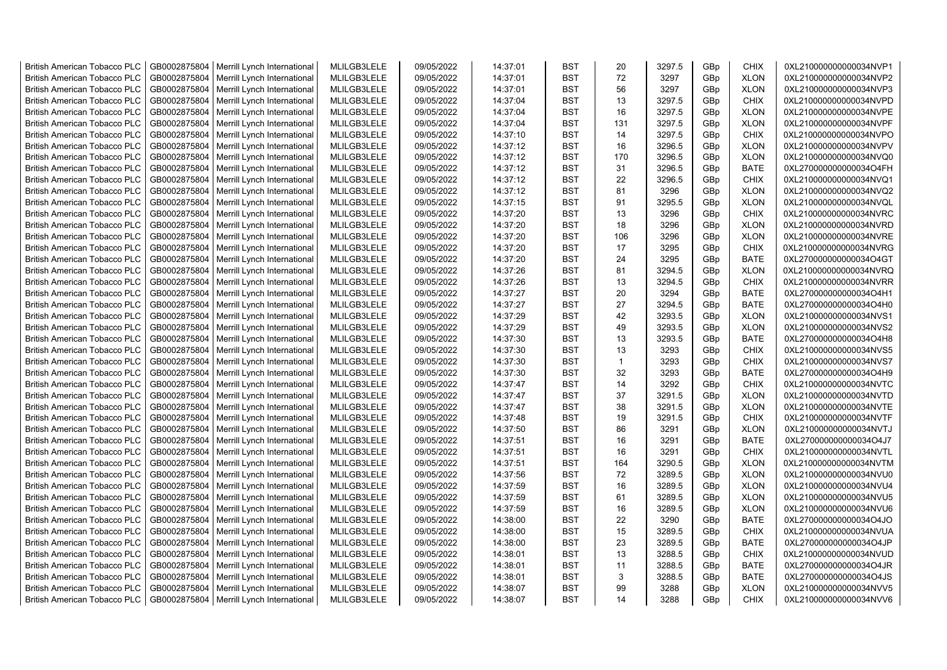| <b>British American Tobacco PLC</b> | GB0002875804 | Merrill Lynch International                | MLILGB3LELE | 09/05/2022 | 14:37:01 | <b>BST</b> | 20             | 3297.5 | GBp | <b>CHIX</b> | 0XL210000000000034NVP1 |
|-------------------------------------|--------------|--------------------------------------------|-------------|------------|----------|------------|----------------|--------|-----|-------------|------------------------|
| <b>British American Tobacco PLC</b> | GB0002875804 | Merrill Lynch International                | MLILGB3LELE | 09/05/2022 | 14:37:01 | <b>BST</b> | 72             | 3297   | GBp | <b>XLON</b> | 0XL210000000000034NVP2 |
| <b>British American Tobacco PLC</b> | GB0002875804 | Merrill Lynch International                | MLILGB3LELE | 09/05/2022 | 14:37:01 | <b>BST</b> | 56             | 3297   | GBp | <b>XLON</b> | 0XL210000000000034NVP3 |
| <b>British American Tobacco PLC</b> | GB0002875804 | Merrill Lynch International                | MLILGB3LELE | 09/05/2022 | 14:37:04 | <b>BST</b> | 13             | 3297.5 | GBp | <b>CHIX</b> | 0XL210000000000034NVPD |
| <b>British American Tobacco PLC</b> | GB0002875804 | Merrill Lynch International                | MLILGB3LELE | 09/05/2022 | 14:37:04 | <b>BST</b> | 16             | 3297.5 | GBp | <b>XLON</b> | 0XL210000000000034NVPE |
| <b>British American Tobacco PLC</b> | GB0002875804 | Merrill Lynch International                | MLILGB3LELE | 09/05/2022 | 14:37:04 | <b>BST</b> | 131            | 3297.5 | GBp | <b>XLON</b> | 0XL210000000000034NVPF |
| <b>British American Tobacco PLC</b> | GB0002875804 | Merrill Lynch International                | MLILGB3LELE | 09/05/2022 | 14:37:10 | <b>BST</b> | 14             | 3297.5 | GBp | <b>CHIX</b> | 0XL210000000000034NVPO |
| <b>British American Tobacco PLC</b> | GB0002875804 | Merrill Lynch International                | MLILGB3LELE | 09/05/2022 | 14:37:12 | BST        | 16             | 3296.5 | GBp | <b>XLON</b> | 0XL210000000000034NVPV |
| <b>British American Tobacco PLC</b> | GB0002875804 | Merrill Lynch International                | MLILGB3LELE | 09/05/2022 | 14:37:12 | <b>BST</b> | 170            | 3296.5 | GBp | <b>XLON</b> | 0XL210000000000034NVQ0 |
| <b>British American Tobacco PLC</b> | GB0002875804 | Merrill Lynch International                | MLILGB3LELE | 09/05/2022 | 14:37:12 | <b>BST</b> | 31             | 3296.5 | GBp | <b>BATE</b> | 0XL270000000000034O4FH |
| <b>British American Tobacco PLC</b> | GB0002875804 | Merrill Lynch International                | MLILGB3LELE | 09/05/2022 | 14:37:12 | <b>BST</b> | 22             | 3296.5 | GBp | <b>CHIX</b> | 0XL210000000000034NVQ1 |
| <b>British American Tobacco PLC</b> | GB0002875804 | Merrill Lynch International                | MLILGB3LELE | 09/05/2022 | 14:37:12 | <b>BST</b> | 81             | 3296   | GBp | <b>XLON</b> | 0XL210000000000034NVQ2 |
| <b>British American Tobacco PLC</b> | GB0002875804 | Merrill Lynch International                | MLILGB3LELE | 09/05/2022 | 14:37:15 | <b>BST</b> | 91             | 3295.5 | GBp | <b>XLON</b> | 0XL210000000000034NVQL |
| <b>British American Tobacco PLC</b> | GB0002875804 | Merrill Lynch International                | MLILGB3LELE | 09/05/2022 | 14:37:20 | <b>BST</b> | 13             | 3296   | GBp | <b>CHIX</b> | 0XL210000000000034NVRC |
| <b>British American Tobacco PLC</b> | GB0002875804 | Merrill Lynch International                | MLILGB3LELE | 09/05/2022 | 14:37:20 | <b>BST</b> | 18             | 3296   | GBp | <b>XLON</b> | 0XL210000000000034NVRD |
| <b>British American Tobacco PLC</b> | GB0002875804 | Merrill Lynch International                | MLILGB3LELE | 09/05/2022 | 14:37:20 | <b>BST</b> | 106            | 3296   | GBp | <b>XLON</b> | 0XL210000000000034NVRE |
| <b>British American Tobacco PLC</b> | GB0002875804 | Merrill Lynch International                | MLILGB3LELE | 09/05/2022 | 14:37:20 | <b>BST</b> | 17             | 3295   | GBp | <b>CHIX</b> | 0XL210000000000034NVRG |
| <b>British American Tobacco PLC</b> | GB0002875804 | Merrill Lynch International                | MLILGB3LELE | 09/05/2022 | 14:37:20 | <b>BST</b> | 24             | 3295   | GBp | <b>BATE</b> | 0XL270000000000034O4GT |
| <b>British American Tobacco PLC</b> | GB0002875804 | Merrill Lynch International                | MLILGB3LELE | 09/05/2022 | 14:37:26 | <b>BST</b> | 81             | 3294.5 | GBp | <b>XLON</b> | 0XL210000000000034NVRQ |
| <b>British American Tobacco PLC</b> | GB0002875804 | Merrill Lynch International                | MLILGB3LELE | 09/05/2022 | 14:37:26 | <b>BST</b> | 13             | 3294.5 | GBp | <b>CHIX</b> | 0XL210000000000034NVRR |
| <b>British American Tobacco PLC</b> | GB0002875804 | Merrill Lynch International                | MLILGB3LELE | 09/05/2022 | 14:37:27 | <b>BST</b> | 20             | 3294   | GBp | <b>BATE</b> | 0XL270000000000034O4H1 |
| <b>British American Tobacco PLC</b> | GB0002875804 | Merrill Lynch International                | MLILGB3LELE | 09/05/2022 | 14:37:27 | <b>BST</b> | 27             | 3294.5 | GBp | <b>BATE</b> | 0XL270000000000034O4H0 |
|                                     | GB0002875804 |                                            | MLILGB3LELE | 09/05/2022 | 14:37:29 | <b>BST</b> | 42             | 3293.5 |     |             |                        |
| <b>British American Tobacco PLC</b> |              | Merrill Lynch International                |             |            |          |            |                |        | GBp | <b>XLON</b> | 0XL210000000000034NVS1 |
| <b>British American Tobacco PLC</b> | GB0002875804 | Merrill Lynch International                | MLILGB3LELE | 09/05/2022 | 14:37:29 | BST        | 49             | 3293.5 | GBp | <b>XLON</b> | 0XL210000000000034NVS2 |
| <b>British American Tobacco PLC</b> | GB0002875804 | Merrill Lynch International                | MLILGB3LELE | 09/05/2022 | 14:37:30 | <b>BST</b> | 13             | 3293.5 | GBp | <b>BATE</b> | 0XL270000000000034O4H8 |
| <b>British American Tobacco PLC</b> | GB0002875804 | Merrill Lynch International                | MLILGB3LELE | 09/05/2022 | 14:37:30 | <b>BST</b> | 13             | 3293   | GBp | <b>CHIX</b> | 0XL210000000000034NVS5 |
| <b>British American Tobacco PLC</b> | GB0002875804 | Merrill Lynch International                | MLILGB3LELE | 09/05/2022 | 14:37:30 | <b>BST</b> | $\overline{1}$ | 3293   | GBp | <b>CHIX</b> | 0XL210000000000034NVS7 |
| <b>British American Tobacco PLC</b> | GB0002875804 | Merrill Lynch International                | MLILGB3LELE | 09/05/2022 | 14:37:30 | <b>BST</b> | 32             | 3293   | GBp | <b>BATE</b> | 0XL270000000000034O4H9 |
| <b>British American Tobacco PLC</b> | GB0002875804 | Merrill Lynch International                | MLILGB3LELE | 09/05/2022 | 14:37:47 | <b>BST</b> | 14             | 3292   | GBp | <b>CHIX</b> | 0XL210000000000034NVTC |
| <b>British American Tobacco PLC</b> | GB0002875804 | Merrill Lynch International                | MLILGB3LELE | 09/05/2022 | 14:37:47 | <b>BST</b> | 37             | 3291.5 | GBp | <b>XLON</b> | 0XL210000000000034NVTD |
| <b>British American Tobacco PLC</b> | GB0002875804 | Merrill Lynch International                | MLILGB3LELE | 09/05/2022 | 14:37:47 | <b>BST</b> | 38             | 3291.5 | GBp | <b>XLON</b> | 0XL210000000000034NVTE |
| <b>British American Tobacco PLC</b> | GB0002875804 | Merrill Lynch International                | MLILGB3LELE | 09/05/2022 | 14:37:48 | <b>BST</b> | 19             | 3291.5 | GBp | <b>CHIX</b> | 0XL210000000000034NVTF |
| <b>British American Tobacco PLC</b> | GB0002875804 | Merrill Lynch International                | MLILGB3LELE | 09/05/2022 | 14:37:50 | <b>BST</b> | 86             | 3291   | GBp | <b>XLON</b> | 0XL210000000000034NVTJ |
| <b>British American Tobacco PLC</b> | GB0002875804 | Merrill Lynch International                | MLILGB3LELE | 09/05/2022 | 14:37:51 | <b>BST</b> | 16             | 3291   | GBp | <b>BATE</b> | 0XL270000000000034O4J7 |
| <b>British American Tobacco PLC</b> | GB0002875804 | Merrill Lynch International                | MLILGB3LELE | 09/05/2022 | 14:37:51 | <b>BST</b> | 16             | 3291   | GBp | <b>CHIX</b> | 0XL210000000000034NVTL |
| <b>British American Tobacco PLC</b> | GB0002875804 | Merrill Lynch International                | MLILGB3LELE | 09/05/2022 | 14:37:51 | <b>BST</b> | 164            | 3290.5 | GBp | <b>XLON</b> | 0XL210000000000034NVTM |
| <b>British American Tobacco PLC</b> | GB0002875804 | Merrill Lynch International                | MLILGB3LELE | 09/05/2022 | 14:37:56 | <b>BST</b> | 72             | 3289.5 | GBp | <b>XLON</b> | 0XL210000000000034NVU0 |
| <b>British American Tobacco PLC</b> | GB0002875804 | Merrill Lynch International                | MLILGB3LELE | 09/05/2022 | 14:37:59 | <b>BST</b> | 16             | 3289.5 | GBp | <b>XLON</b> | 0XL210000000000034NVU4 |
| <b>British American Tobacco PLC</b> | GB0002875804 | Merrill Lynch International                | MLILGB3LELE | 09/05/2022 | 14:37:59 | <b>BST</b> | 61             | 3289.5 | GBp | <b>XLON</b> | 0XL210000000000034NVU5 |
| <b>British American Tobacco PLC</b> | GB0002875804 | Merrill Lynch International                | MLILGB3LELE | 09/05/2022 | 14:37:59 | <b>BST</b> | 16             | 3289.5 | GBp | <b>XLON</b> | 0XL210000000000034NVU6 |
| <b>British American Tobacco PLC</b> | GB0002875804 | Merrill Lynch International                | MLILGB3LELE | 09/05/2022 | 14:38:00 | <b>BST</b> | 22             | 3290   | GBp | <b>BATE</b> | 0XL270000000000034O4JO |
| <b>British American Tobacco PLC</b> | GB0002875804 | Merrill Lynch International                | MLILGB3LELE | 09/05/2022 | 14:38:00 | <b>BST</b> | 15             | 3289.5 | GBp | <b>CHIX</b> | 0XL210000000000034NVUA |
| <b>British American Tobacco PLC</b> | GB0002875804 | Merrill Lynch International                | MLILGB3LELE | 09/05/2022 | 14:38:00 | <b>BST</b> | 23             | 3289.5 | GBp | <b>BATE</b> | 0XL270000000000034O4JP |
| <b>British American Tobacco PLC</b> | GB0002875804 | Merrill Lynch International                | MLILGB3LELE | 09/05/2022 | 14:38:01 | <b>BST</b> | 13             | 3288.5 | GBp | <b>CHIX</b> | 0XL210000000000034NVUD |
| <b>British American Tobacco PLC</b> | GB0002875804 | Merrill Lynch International                | MLILGB3LELE | 09/05/2022 | 14:38:01 | <b>BST</b> | 11             | 3288.5 | GBp | <b>BATE</b> | 0XL270000000000034O4JR |
| <b>British American Tobacco PLC</b> | GB0002875804 | Merrill Lynch International                | MLILGB3LELE | 09/05/2022 | 14:38:01 | <b>BST</b> | 3              | 3288.5 | GBp | <b>BATE</b> | 0XL270000000000034O4JS |
| <b>British American Tobacco PLC</b> | GB0002875804 | Merrill Lynch International                | MLILGB3LELE | 09/05/2022 | 14:38:07 | <b>BST</b> | 99             | 3288   | GBp | <b>XLON</b> | 0XL210000000000034NVV5 |
| <b>British American Tobacco PLC</b> |              | GB0002875804   Merrill Lynch International | MLILGB3LELE | 09/05/2022 | 14:38:07 | <b>BST</b> | 14             | 3288   | GBp | <b>CHIX</b> | 0XL210000000000034NVV6 |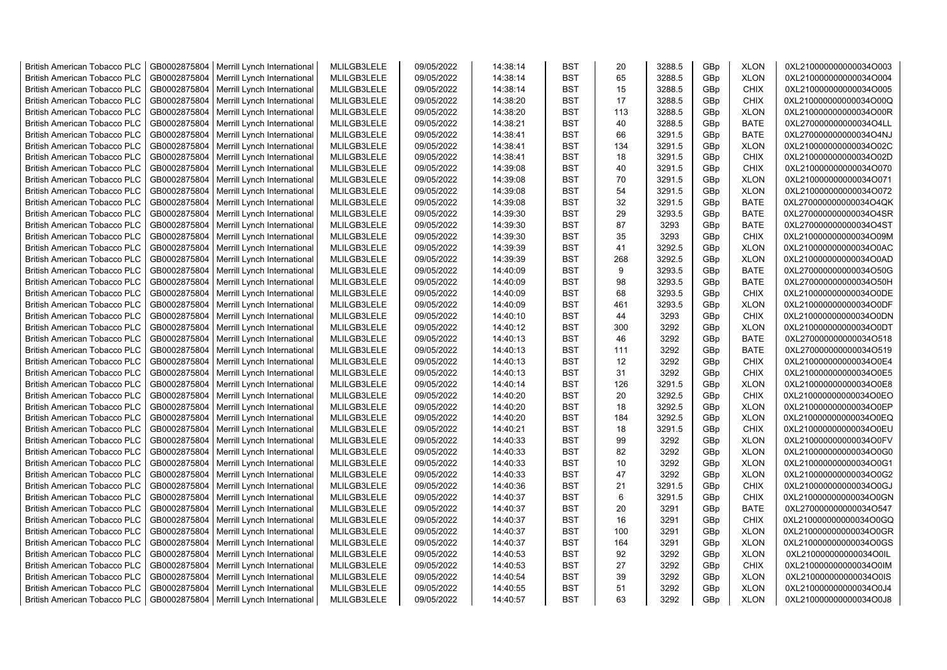| <b>British American Tobacco PLC</b> | GB0002875804 | Merrill Lynch International                | MLILGB3LELE | 09/05/2022 | 14:38:14 | <b>BST</b> | 20       | 3288.5 | GBp             | <b>XLON</b> | 0XL210000000000034O003 |
|-------------------------------------|--------------|--------------------------------------------|-------------|------------|----------|------------|----------|--------|-----------------|-------------|------------------------|
| <b>British American Tobacco PLC</b> | GB0002875804 | Merrill Lynch International                | MLILGB3LELE | 09/05/2022 | 14:38:14 | <b>BST</b> | 65       | 3288.5 | GBp             | <b>XLON</b> | 0XL210000000000034O004 |
| <b>British American Tobacco PLC</b> | GB0002875804 | Merrill Lynch International                | MLILGB3LELE | 09/05/2022 | 14:38:14 | <b>BST</b> | 15       | 3288.5 | GBp             | <b>CHIX</b> | 0XL210000000000034O005 |
| <b>British American Tobacco PLC</b> | GB0002875804 | Merrill Lynch International                | MLILGB3LELE | 09/05/2022 | 14:38:20 | <b>BST</b> | 17       | 3288.5 | GBp             | <b>CHIX</b> | 0XL210000000000034O00Q |
| <b>British American Tobacco PLC</b> | GB0002875804 | Merrill Lynch International                | MLILGB3LELE | 09/05/2022 | 14:38:20 | <b>BST</b> | 113      | 3288.5 | GBp             | <b>XLON</b> | 0XL210000000000034O00R |
| <b>British American Tobacco PLC</b> | GB0002875804 | Merrill Lynch International                | MLILGB3LELE | 09/05/2022 | 14:38:21 | <b>BST</b> | 40       | 3288.5 | GBp             | <b>BATE</b> | 0XL270000000000034O4LL |
| <b>British American Tobacco PLC</b> | GB0002875804 | Merrill Lynch International                | MLILGB3LELE | 09/05/2022 | 14:38:41 | <b>BST</b> | 66       | 3291.5 | GBp             | <b>BATE</b> | 0XL270000000000034O4NJ |
| <b>British American Tobacco PLC</b> | GB0002875804 | Merrill Lynch International                | MLILGB3LELE | 09/05/2022 | 14:38:41 | <b>BST</b> | 134      | 3291.5 | GBp             | <b>XLON</b> | 0XL210000000000034O02C |
| <b>British American Tobacco PLC</b> | GB0002875804 | Merrill Lynch International                | MLILGB3LELE | 09/05/2022 | 14:38:41 | BST        | 18       | 3291.5 | GBp             | <b>CHIX</b> | 0XL210000000000034O02D |
| <b>British American Tobacco PLC</b> | GB0002875804 | Merrill Lynch International                | MLILGB3LELE | 09/05/2022 | 14:39:08 | <b>BST</b> | 40       | 3291.5 | GBp             | <b>CHIX</b> | 0XL210000000000034O070 |
| <b>British American Tobacco PLC</b> | GB0002875804 | Merrill Lynch International                | MLILGB3LELE | 09/05/2022 | 14:39:08 | BST        | 70       | 3291.5 | GBp             | <b>XLON</b> | 0XL210000000000034O071 |
| <b>British American Tobacco PLC</b> | GB0002875804 | Merrill Lynch International                | MLILGB3LELE | 09/05/2022 | 14:39:08 | <b>BST</b> | 54       | 3291.5 | GBp             | <b>XLON</b> | 0XL210000000000034O072 |
| <b>British American Tobacco PLC</b> | GB0002875804 | Merrill Lynch International                | MLILGB3LELE | 09/05/2022 | 14:39:08 | <b>BST</b> | 32       | 3291.5 | GBp             | <b>BATE</b> | 0XL270000000000034O4QK |
| <b>British American Tobacco PLC</b> | GB0002875804 | Merrill Lynch International                | MLILGB3LELE | 09/05/2022 | 14:39:30 | <b>BST</b> | 29       | 3293.5 | GBp             | <b>BATE</b> | 0XL270000000000034O4SR |
| <b>British American Tobacco PLC</b> | GB0002875804 | Merrill Lynch International                | MLILGB3LELE | 09/05/2022 | 14:39:30 | <b>BST</b> | 87       | 3293   | GBp             | <b>BATE</b> | 0XL270000000000034O4ST |
| <b>British American Tobacco PLC</b> | GB0002875804 | Merrill Lynch International                | MLILGB3LELE | 09/05/2022 | 14:39:30 | <b>BST</b> | 35       | 3293   | GBp             | <b>CHIX</b> | 0XL210000000000034O09M |
| <b>British American Tobacco PLC</b> | GB0002875804 | Merrill Lynch International                | MLILGB3LELE | 09/05/2022 | 14:39:39 | <b>BST</b> | 41       | 3292.5 | GBp             | <b>XLON</b> | 0XL210000000000034O0AC |
| <b>British American Tobacco PLC</b> | GB0002875804 | Merrill Lynch International                | MLILGB3LELE | 09/05/2022 | 14:39:39 | BST        | 268      | 3292.5 | GBp             | <b>XLON</b> | 0XL210000000000034O0AD |
| <b>British American Tobacco PLC</b> | GB0002875804 | Merrill Lynch International                | MLILGB3LELE | 09/05/2022 | 14:40:09 | <b>BST</b> | 9        | 3293.5 | GBp             | <b>BATE</b> | 0XL270000000000034O50G |
| <b>British American Tobacco PLC</b> | GB0002875804 | Merrill Lynch International                | MLILGB3LELE | 09/05/2022 | 14:40:09 | <b>BST</b> | 98       | 3293.5 | GBp             | <b>BATE</b> | 0XL270000000000034O50H |
| <b>British American Tobacco PLC</b> | GB0002875804 | Merrill Lynch International                | MLILGB3LELE | 09/05/2022 | 14:40:09 | <b>BST</b> | 68       | 3293.5 | GBp             | <b>CHIX</b> | 0XL210000000000034O0DE |
| <b>British American Tobacco PLC</b> | GB0002875804 | Merrill Lynch International                | MLILGB3LELE | 09/05/2022 | 14:40:09 | <b>BST</b> | 461      | 3293.5 | GBp             | <b>XLON</b> | 0XL210000000000034O0DF |
| <b>British American Tobacco PLC</b> | GB0002875804 | Merrill Lynch International                | MLILGB3LELE | 09/05/2022 | 14:40:10 | <b>BST</b> | 44       | 3293   | GBp             | <b>CHIX</b> | 0XL210000000000034O0DN |
| <b>British American Tobacco PLC</b> | GB0002875804 | Merrill Lynch International                | MLILGB3LELE | 09/05/2022 | 14:40:12 | <b>BST</b> | 300      | 3292   | GBp             | <b>XLON</b> | 0XL210000000000034O0DT |
| <b>British American Tobacco PLC</b> |              |                                            |             |            |          | <b>BST</b> | 46       | 3292   |                 | <b>BATE</b> |                        |
|                                     | GB0002875804 | Merrill Lynch International                | MLILGB3LELE | 09/05/2022 | 14:40:13 |            | 111      | 3292   | GBp             |             | 0XL270000000000034O518 |
| <b>British American Tobacco PLC</b> | GB0002875804 | Merrill Lynch International                | MLILGB3LELE | 09/05/2022 | 14:40:13 | BST        |          |        | GBp             | <b>BATE</b> | 0XL270000000000034O519 |
| <b>British American Tobacco PLC</b> | GB0002875804 | Merrill Lynch International                | MLILGB3LELE | 09/05/2022 | 14:40:13 | <b>BST</b> | 12<br>31 | 3292   | GBp             | <b>CHIX</b> | 0XL210000000000034O0E4 |
| <b>British American Tobacco PLC</b> | GB0002875804 | Merrill Lynch International                | MLILGB3LELE | 09/05/2022 | 14:40:13 | <b>BST</b> |          | 3292   | GBp             | <b>CHIX</b> | 0XL210000000000034O0E5 |
| <b>British American Tobacco PLC</b> | GB0002875804 | Merrill Lynch International                | MLILGB3LELE | 09/05/2022 | 14:40:14 | BST        | 126      | 3291.5 | GBp             | <b>XLON</b> | 0XL210000000000034O0E8 |
| <b>British American Tobacco PLC</b> | GB0002875804 | Merrill Lynch International                | MLILGB3LELE | 09/05/2022 | 14:40:20 | <b>BST</b> | 20       | 3292.5 | GBp             | <b>CHIX</b> | 0XL210000000000034O0EO |
| <b>British American Tobacco PLC</b> | GB0002875804 | Merrill Lynch International                | MLILGB3LELE | 09/05/2022 | 14:40:20 | <b>BST</b> | 18       | 3292.5 | GBp             | <b>XLON</b> | 0XL210000000000034O0EP |
| <b>British American Tobacco PLC</b> | GB0002875804 | Merrill Lynch International                | MLILGB3LELE | 09/05/2022 | 14:40:20 | <b>BST</b> | 184      | 3292.5 | GBp             | <b>XLON</b> | 0XL210000000000034O0EQ |
| <b>British American Tobacco PLC</b> | GB0002875804 | Merrill Lynch International                | MLILGB3LELE | 09/05/2022 | 14:40:21 | <b>BST</b> | 18       | 3291.5 | GBp             | <b>CHIX</b> | 0XL210000000000034O0EU |
| <b>British American Tobacco PLC</b> | GB0002875804 | Merrill Lynch International                | MLILGB3LELE | 09/05/2022 | 14:40:33 | BST        | 99       | 3292   | GBp             | <b>XLON</b> | 0XL210000000000034O0FV |
| <b>British American Tobacco PLC</b> | GB0002875804 | Merrill Lynch International                | MLILGB3LELE | 09/05/2022 | 14:40:33 | <b>BST</b> | 82       | 3292   | GBp             | <b>XLON</b> | 0XL210000000000034O0G0 |
| <b>British American Tobacco PLC</b> | GB0002875804 | Merrill Lynch International                | MLILGB3LELE | 09/05/2022 | 14:40:33 | <b>BST</b> | 10       | 3292   | GBp             | <b>XLON</b> | 0XL210000000000034O0G1 |
| <b>British American Tobacco PLC</b> | GB0002875804 | Merrill Lynch International                | MLILGB3LELE | 09/05/2022 | 14:40:33 | <b>BST</b> | 47       | 3292   | GBp             | <b>XLON</b> | 0XL210000000000034O0G2 |
| <b>British American Tobacco PLC</b> | GB0002875804 | Merrill Lynch International                | MLILGB3LELE | 09/05/2022 | 14:40:36 | <b>BST</b> | 21       | 3291.5 | GBp             | <b>CHIX</b> | 0XL210000000000034O0GJ |
| <b>British American Tobacco PLC</b> | GB0002875804 | Merrill Lynch International                | MLILGB3LELE | 09/05/2022 | 14:40:37 | <b>BST</b> | 6        | 3291.5 | GBp             | <b>CHIX</b> | 0XL210000000000034O0GN |
| British American Tobacco PLC        | GB0002875804 | Merrill Lynch International                | MLILGB3LELE | 09/05/2022 | 14:40:37 | <b>BST</b> | 20       | 3291   | GBp             | <b>BATE</b> | 0XL270000000000034O547 |
| <b>British American Tobacco PLC</b> | GB0002875804 | Merrill Lynch International                | MLILGB3LELE | 09/05/2022 | 14:40:37 | <b>BST</b> | 16       | 3291   | GBp             | <b>CHIX</b> | 0XL210000000000034O0GQ |
| <b>British American Tobacco PLC</b> | GB0002875804 | Merrill Lynch International                | MLILGB3LELE | 09/05/2022 | 14:40:37 | <b>BST</b> | 100      | 3291   | GBp             | <b>XLON</b> | 0XL210000000000034O0GR |
| <b>British American Tobacco PLC</b> | GB0002875804 | Merrill Lynch International                | MLILGB3LELE | 09/05/2022 | 14:40:37 | <b>BST</b> | 164      | 3291   | GBp             | <b>XLON</b> | 0XL210000000000034O0GS |
| <b>British American Tobacco PLC</b> | GB0002875804 | Merrill Lynch International                | MLILGB3LELE | 09/05/2022 | 14:40:53 | <b>BST</b> | 92       | 3292   | GBp             | <b>XLON</b> | 0XL210000000000034O0IL |
| <b>British American Tobacco PLC</b> | GB0002875804 | Merrill Lynch International                | MLILGB3LELE | 09/05/2022 | 14:40:53 | <b>BST</b> | 27       | 3292   | GBp             | <b>CHIX</b> | 0XL210000000000034O0IM |
| <b>British American Tobacco PLC</b> | GB0002875804 | Merrill Lynch International                | MLILGB3LELE | 09/05/2022 | 14:40:54 | <b>BST</b> | 39       | 3292   | GBp             | <b>XLON</b> | 0XL210000000000034O0IS |
| <b>British American Tobacco PLC</b> | GB0002875804 | Merrill Lynch International                | MLILGB3LELE | 09/05/2022 | 14:40:55 | <b>BST</b> | 51       | 3292   | GBp             | <b>XLON</b> | 0XL210000000000034O0J4 |
| <b>British American Tobacco PLC</b> |              | GB0002875804   Merrill Lynch International | MLILGB3LELE | 09/05/2022 | 14:40:57 | <b>BST</b> | 63       | 3292   | GB <sub>p</sub> | <b>XLON</b> | 0XL210000000000034O0J8 |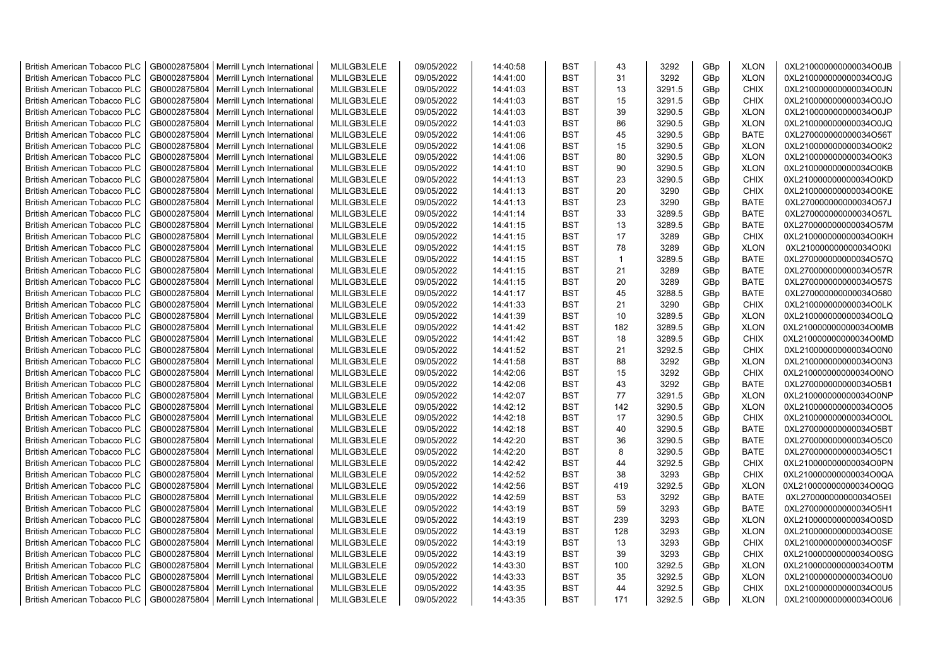| <b>British American Tobacco PLC</b> | GB0002875804 | Merrill Lynch International | MLILGB3LELE | 09/05/2022 | 14:40:58 | <b>BST</b> | 43           | 3292   | GBp | <b>XLON</b> | 0XL210000000000034O0JB |
|-------------------------------------|--------------|-----------------------------|-------------|------------|----------|------------|--------------|--------|-----|-------------|------------------------|
| <b>British American Tobacco PLC</b> | GB0002875804 | Merrill Lynch International | MLILGB3LELE | 09/05/2022 | 14:41:00 | <b>BST</b> | 31           | 3292   | GBp | <b>XLON</b> | 0XL210000000000034O0JG |
| <b>British American Tobacco PLC</b> | GB0002875804 | Merrill Lynch International | MLILGB3LELE | 09/05/2022 | 14:41:03 | <b>BST</b> | 13           | 3291.5 | GBp | <b>CHIX</b> | 0XL210000000000034O0JN |
| <b>British American Tobacco PLC</b> | GB0002875804 | Merrill Lynch International | MLILGB3LELE | 09/05/2022 | 14:41:03 | <b>BST</b> | 15           | 3291.5 | GBp | <b>CHIX</b> | 0XL210000000000034O0JO |
| <b>British American Tobacco PLC</b> | GB0002875804 | Merrill Lynch International | MLILGB3LELE | 09/05/2022 | 14:41:03 | <b>BST</b> | 39           | 3290.5 | GBp | <b>XLON</b> | 0XL210000000000034O0JP |
| <b>British American Tobacco PLC</b> | GB0002875804 | Merrill Lynch International | MLILGB3LELE | 09/05/2022 | 14:41:03 | <b>BST</b> | 86           | 3290.5 | GBp | <b>XLON</b> | 0XL210000000000034O0JQ |
| <b>British American Tobacco PLC</b> | GB0002875804 | Merrill Lynch International | MLILGB3LELE | 09/05/2022 | 14:41:06 | <b>BST</b> | 45           | 3290.5 | GBp | <b>BATE</b> | 0XL270000000000034O56T |
| <b>British American Tobacco PLC</b> | GB0002875804 | Merrill Lynch International | MLILGB3LELE | 09/05/2022 | 14:41:06 | <b>BST</b> | 15           | 3290.5 | GBp | <b>XLON</b> | 0XL210000000000034O0K2 |
| <b>British American Tobacco PLC</b> | GB0002875804 | Merrill Lynch International | MLILGB3LELE | 09/05/2022 | 14:41:06 | <b>BST</b> | 80           | 3290.5 | GBp | <b>XLON</b> | 0XL210000000000034O0K3 |
| <b>British American Tobacco PLC</b> | GB0002875804 | Merrill Lynch International | MLILGB3LELE | 09/05/2022 | 14:41:10 | <b>BST</b> | 90           | 3290.5 | GBp | <b>XLON</b> | 0XL210000000000034O0KB |
| <b>British American Tobacco PLC</b> | GB0002875804 | Merrill Lynch International | MLILGB3LELE | 09/05/2022 | 14:41:13 | <b>BST</b> | 23           | 3290.5 | GBp | <b>CHIX</b> | 0XL210000000000034O0KD |
| <b>British American Tobacco PLC</b> | GB0002875804 | Merrill Lynch International | MLILGB3LELE | 09/05/2022 | 14:41:13 | <b>BST</b> | 20           | 3290   | GBp | CHIX        | 0XL210000000000034O0KE |
| <b>British American Tobacco PLC</b> | GB0002875804 | Merrill Lynch International | MLILGB3LELE | 09/05/2022 | 14:41:13 | <b>BST</b> | 23           | 3290   | GBp | <b>BATE</b> | 0XL270000000000034O57J |
| <b>British American Tobacco PLC</b> | GB0002875804 | Merrill Lynch International | MLILGB3LELE | 09/05/2022 | 14:41:14 | <b>BST</b> | 33           | 3289.5 | GBp | <b>BATE</b> | 0XL270000000000034O57L |
| <b>British American Tobacco PLC</b> | GB0002875804 | Merrill Lynch International | MLILGB3LELE | 09/05/2022 | 14:41:15 | <b>BST</b> | 13           | 3289.5 | GBp | <b>BATE</b> | 0XL270000000000034O57M |
| <b>British American Tobacco PLC</b> | GB0002875804 | Merrill Lynch International | MLILGB3LELE | 09/05/2022 | 14:41:15 | <b>BST</b> | 17           | 3289   | GBp | <b>CHIX</b> | 0XL210000000000034O0KH |
| <b>British American Tobacco PLC</b> | GB0002875804 | Merrill Lynch International | MLILGB3LELE | 09/05/2022 | 14:41:15 | <b>BST</b> | 78           | 3289   | GBp | <b>XLON</b> | 0XL210000000000034O0KI |
| <b>British American Tobacco PLC</b> | GB0002875804 | Merrill Lynch International | MLILGB3LELE | 09/05/2022 | 14:41:15 | <b>BST</b> | $\mathbf{1}$ | 3289.5 | GBp | <b>BATE</b> | 0XL270000000000034O57Q |
| <b>British American Tobacco PLC</b> | GB0002875804 | Merrill Lynch International | MLILGB3LELE | 09/05/2022 | 14:41:15 | <b>BST</b> | 21           | 3289   | GBp | <b>BATE</b> | 0XL270000000000034O57R |
| <b>British American Tobacco PLC</b> | GB0002875804 | Merrill Lynch International | MLILGB3LELE | 09/05/2022 | 14:41:15 | <b>BST</b> | 20           | 3289   | GBp | <b>BATE</b> | 0XL270000000000034O57S |
| <b>British American Tobacco PLC</b> | GB0002875804 | Merrill Lynch International | MLILGB3LELE | 09/05/2022 | 14:41:17 | <b>BST</b> | 45           | 3288.5 | GBp | <b>BATE</b> | 0XL270000000000034O580 |
| <b>British American Tobacco PLC</b> | GB0002875804 | Merrill Lynch International | MLILGB3LELE | 09/05/2022 | 14:41:33 | <b>BST</b> | 21           | 3290   | GBp | <b>CHIX</b> | 0XL210000000000034O0LK |
| <b>British American Tobacco PLC</b> | GB0002875804 | Merrill Lynch International | MLILGB3LELE | 09/05/2022 | 14:41:39 | <b>BST</b> | 10           | 3289.5 | GBp | <b>XLON</b> | 0XL210000000000034O0LQ |
| <b>British American Tobacco PLC</b> | GB0002875804 | Merrill Lynch International | MLILGB3LELE | 09/05/2022 | 14:41:42 | <b>BST</b> | 182          | 3289.5 | GBp | <b>XLON</b> | 0XL210000000000034O0MB |
| <b>British American Tobacco PLC</b> | GB0002875804 | Merrill Lynch International | MLILGB3LELE | 09/05/2022 | 14:41:42 | <b>BST</b> | 18           | 3289.5 | GBp | <b>CHIX</b> | 0XL210000000000034O0MD |
| <b>British American Tobacco PLC</b> | GB0002875804 | Merrill Lynch International | MLILGB3LELE | 09/05/2022 | 14:41:52 | <b>BST</b> | 21           | 3292.5 | GBp | CHIX        | 0XL210000000000034O0N0 |
| <b>British American Tobacco PLC</b> | GB0002875804 | Merrill Lynch International | MLILGB3LELE | 09/05/2022 | 14:41:58 | <b>BST</b> | 88           | 3292   | GBp | <b>XLON</b> | 0XL210000000000034O0N3 |
| <b>British American Tobacco PLC</b> | GB0002875804 | Merrill Lynch International | MLILGB3LELE | 09/05/2022 | 14:42:06 | <b>BST</b> | 15           | 3292   | GBp | <b>CHIX</b> | 0XL210000000000034O0NO |
| <b>British American Tobacco PLC</b> | GB0002875804 | Merrill Lynch International | MLILGB3LELE | 09/05/2022 | 14:42:06 | <b>BST</b> | 43           | 3292   | GBp | <b>BATE</b> | 0XL270000000000034O5B1 |
| <b>British American Tobacco PLC</b> | GB0002875804 | Merrill Lynch International | MLILGB3LELE | 09/05/2022 | 14:42:07 | <b>BST</b> | 77           | 3291.5 | GBp | <b>XLON</b> | 0XL210000000000034O0NP |
| <b>British American Tobacco PLC</b> | GB0002875804 | Merrill Lynch International | MLILGB3LELE | 09/05/2022 | 14:42:12 | <b>BST</b> | 142          | 3290.5 | GBp | <b>XLON</b> | 0XL210000000000034O0O5 |
| <b>British American Tobacco PLC</b> | GB0002875804 | Merrill Lynch International | MLILGB3LELE | 09/05/2022 | 14:42:18 | <b>BST</b> | 17           | 3290.5 | GBp | <b>CHIX</b> | 0XL210000000000034O0OL |
| <b>British American Tobacco PLC</b> | GB0002875804 | Merrill Lynch International | MLILGB3LELE | 09/05/2022 | 14:42:18 | <b>BST</b> | 40           | 3290.5 | GBp | <b>BATE</b> | 0XL270000000000034O5BT |
| <b>British American Tobacco PLC</b> | GB0002875804 | Merrill Lynch International | MLILGB3LELE | 09/05/2022 | 14:42:20 | <b>BST</b> | 36           | 3290.5 | GBp | <b>BATE</b> | 0XL270000000000034O5C0 |
| <b>British American Tobacco PLC</b> | GB0002875804 | Merrill Lynch International | MLILGB3LELE | 09/05/2022 | 14:42:20 | <b>BST</b> | 8            | 3290.5 | GBp | <b>BATE</b> | 0XL270000000000034O5C1 |
| <b>British American Tobacco PLC</b> | GB0002875804 | Merrill Lynch International | MLILGB3LELE | 09/05/2022 | 14:42:42 | <b>BST</b> | 44           | 3292.5 | GBp | <b>CHIX</b> | 0XL210000000000034O0PN |
| <b>British American Tobacco PLC</b> | GB0002875804 | Merrill Lynch International | MLILGB3LELE | 09/05/2022 | 14:42:52 | <b>BST</b> | 38           | 3293   | GBp | <b>CHIX</b> | 0XL210000000000034O0QA |
| <b>British American Tobacco PLC</b> | GB0002875804 | Merrill Lynch International | MLILGB3LELE | 09/05/2022 | 14:42:56 | <b>BST</b> | 419          | 3292.5 | GBp | <b>XLON</b> | 0XL210000000000034O0QG |
| <b>British American Tobacco PLC</b> | GB0002875804 | Merrill Lynch International | MLILGB3LELE | 09/05/2022 | 14:42:59 | <b>BST</b> | 53           | 3292   | GBp | <b>BATE</b> | 0XL270000000000034O5EI |
| <b>British American Tobacco PLC</b> | GB0002875804 | Merrill Lynch International | MLILGB3LELE | 09/05/2022 | 14:43:19 | <b>BST</b> | 59           | 3293   | GBp | <b>BATE</b> | 0XL270000000000034O5H1 |
| <b>British American Tobacco PLC</b> | GB0002875804 | Merrill Lynch International | MLILGB3LELE | 09/05/2022 | 14:43:19 | <b>BST</b> | 239          | 3293   | GBp | <b>XLON</b> | 0XL210000000000034O0SD |
| <b>British American Tobacco PLC</b> | GB0002875804 | Merrill Lynch International | MLILGB3LELE | 09/05/2022 | 14:43:19 | <b>BST</b> | 128          | 3293   | GBp | <b>XLON</b> | 0XL210000000000034O0SE |
| <b>British American Tobacco PLC</b> | GB0002875804 | Merrill Lynch International | MLILGB3LELE | 09/05/2022 | 14:43:19 | <b>BST</b> | 13           | 3293   | GBp | <b>CHIX</b> | 0XL210000000000034O0SF |
| <b>British American Tobacco PLC</b> | GB0002875804 | Merrill Lynch International | MLILGB3LELE | 09/05/2022 | 14:43:19 | <b>BST</b> | 39           | 3293   | GBp | <b>CHIX</b> | 0XL210000000000034O0SG |
| <b>British American Tobacco PLC</b> | GB0002875804 | Merrill Lynch International | MLILGB3LELE | 09/05/2022 | 14:43:30 | <b>BST</b> | 100          | 3292.5 | GBp | <b>XLON</b> | 0XL210000000000034O0TM |
| <b>British American Tobacco PLC</b> | GB0002875804 | Merrill Lynch International | MLILGB3LELE | 09/05/2022 | 14:43:33 | <b>BST</b> | 35           | 3292.5 | GBp | <b>XLON</b> | 0XL210000000000034O0U0 |
| <b>British American Tobacco PLC</b> | GB0002875804 | Merrill Lynch International | MLILGB3LELE | 09/05/2022 | 14:43:35 | <b>BST</b> | 44           | 3292.5 | GBp | <b>CHIX</b> | 0XL210000000000034O0U5 |
| <b>British American Tobacco PLC</b> | GB0002875804 | Merrill Lynch International | MLILGB3LELE | 09/05/2022 | 14:43:35 | <b>BST</b> | 171          | 3292.5 | GBp | <b>XLON</b> | 0XL210000000000034O0U6 |
|                                     |              |                             |             |            |          |            |              |        |     |             |                        |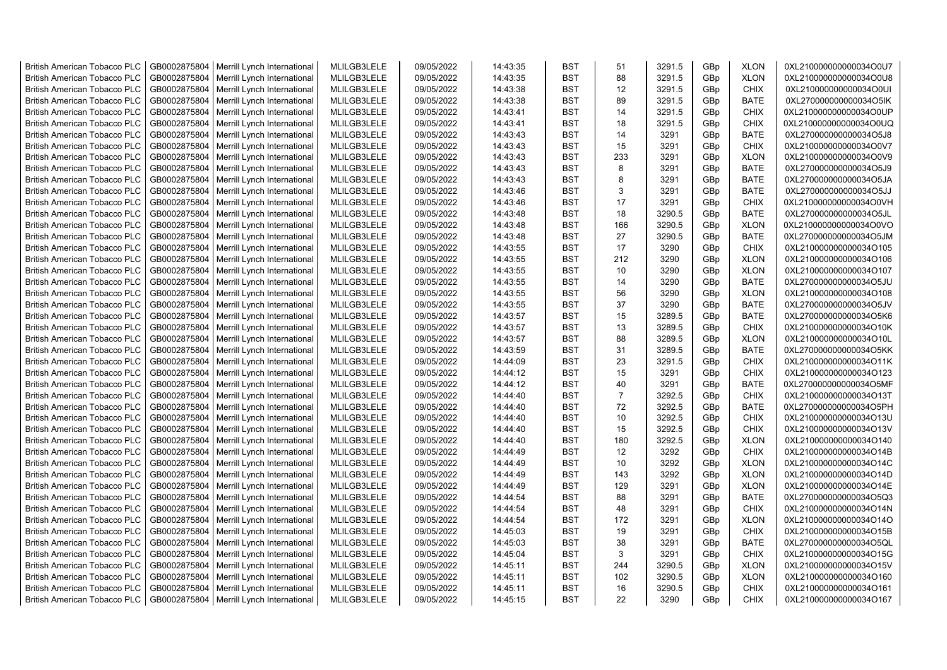| <b>British American Tobacco PLC</b> | GB0002875804 | Merrill Lynch International | MLILGB3LELE | 09/05/2022 | 14:43:35 | <b>BST</b> | 51             | 3291.5 | GBp | <b>XLON</b> | 0XL210000000000034O0U7 |
|-------------------------------------|--------------|-----------------------------|-------------|------------|----------|------------|----------------|--------|-----|-------------|------------------------|
| <b>British American Tobacco PLC</b> | GB0002875804 | Merrill Lynch International | MLILGB3LELE | 09/05/2022 | 14:43:35 | <b>BST</b> | 88             | 3291.5 | GBp | <b>XLON</b> | 0XL210000000000034O0U8 |
| <b>British American Tobacco PLC</b> | GB0002875804 | Merrill Lynch International | MLILGB3LELE | 09/05/2022 | 14:43:38 | <b>BST</b> | 12             | 3291.5 | GBp | <b>CHIX</b> | 0XL210000000000034O0UI |
| <b>British American Tobacco PLC</b> | GB0002875804 | Merrill Lynch International | MLILGB3LELE | 09/05/2022 | 14:43:38 | <b>BST</b> | 89             | 3291.5 | GBp | <b>BATE</b> | 0XL270000000000034O5IK |
| <b>British American Tobacco PLC</b> | GB0002875804 | Merrill Lynch International | MLILGB3LELE | 09/05/2022 | 14:43:41 | <b>BST</b> | 14             | 3291.5 | GBp | <b>CHIX</b> | 0XL210000000000034O0UP |
| <b>British American Tobacco PLC</b> | GB0002875804 | Merrill Lynch International | MLILGB3LELE | 09/05/2022 | 14:43:41 | <b>BST</b> | 18             | 3291.5 | GBp | <b>CHIX</b> | 0XL210000000000034O0UQ |
| <b>British American Tobacco PLC</b> | GB0002875804 | Merrill Lynch International | MLILGB3LELE | 09/05/2022 | 14:43:43 | <b>BST</b> | 14             | 3291   | GBp | <b>BATE</b> | 0XL270000000000034O5J8 |
| <b>British American Tobacco PLC</b> | GB0002875804 | Merrill Lynch International | MLILGB3LELE | 09/05/2022 | 14:43:43 | <b>BST</b> | 15             | 3291   | GBp | CHIX        | 0XL210000000000034O0V7 |
| <b>British American Tobacco PLC</b> | GB0002875804 | Merrill Lynch International | MLILGB3LELE | 09/05/2022 | 14:43:43 | <b>BST</b> | 233            | 3291   | GBp | <b>XLON</b> | 0XL210000000000034O0V9 |
| <b>British American Tobacco PLC</b> | GB0002875804 | Merrill Lynch International | MLILGB3LELE | 09/05/2022 | 14:43:43 | <b>BST</b> | 8              | 3291   | GBp | <b>BATE</b> | 0XL270000000000034O5J9 |
| <b>British American Tobacco PLC</b> | GB0002875804 | Merrill Lynch International | MLILGB3LELE | 09/05/2022 | 14:43:43 | <b>BST</b> | 8              | 3291   | GBp | <b>BATE</b> | 0XL270000000000034O5JA |
| <b>British American Tobacco PLC</b> | GB0002875804 | Merrill Lynch International | MLILGB3LELE | 09/05/2022 | 14:43:46 | <b>BST</b> | 3              | 3291   | GBp | <b>BATE</b> | 0XL270000000000034O5JJ |
| <b>British American Tobacco PLC</b> | GB0002875804 | Merrill Lynch International | MLILGB3LELE | 09/05/2022 | 14:43:46 | <b>BST</b> | 17             | 3291   | GBp | <b>CHIX</b> | 0XL210000000000034O0VH |
| <b>British American Tobacco PLC</b> | GB0002875804 | Merrill Lynch International | MLILGB3LELE | 09/05/2022 | 14:43:48 | <b>BST</b> | 18             | 3290.5 | GBp | <b>BATE</b> | 0XL270000000000034O5JL |
| <b>British American Tobacco PLC</b> | GB0002875804 | Merrill Lynch International | MLILGB3LELE | 09/05/2022 | 14:43:48 | <b>BST</b> | 166            | 3290.5 | GBp | <b>XLON</b> | 0XL210000000000034O0VO |
| <b>British American Tobacco PLC</b> | GB0002875804 | Merrill Lynch International | MLILGB3LELE | 09/05/2022 | 14:43:48 | <b>BST</b> | 27             | 3290.5 | GBp | <b>BATE</b> | 0XL270000000000034O5JM |
| <b>British American Tobacco PLC</b> | GB0002875804 | Merrill Lynch International | MLILGB3LELE | 09/05/2022 | 14:43:55 | <b>BST</b> | 17             | 3290   | GBp | CHIX        | 0XL210000000000034O105 |
| <b>British American Tobacco PLC</b> | GB0002875804 | Merrill Lynch International | MLILGB3LELE | 09/05/2022 | 14:43:55 | <b>BST</b> | 212            | 3290   | GBp | <b>XLON</b> | 0XL210000000000034O106 |
| <b>British American Tobacco PLC</b> | GB0002875804 | Merrill Lynch International | MLILGB3LELE | 09/05/2022 | 14:43:55 | <b>BST</b> | 10             | 3290   | GBp | <b>XLON</b> | 0XL210000000000034O107 |
| <b>British American Tobacco PLC</b> | GB0002875804 | Merrill Lynch International | MLILGB3LELE | 09/05/2022 | 14:43:55 | <b>BST</b> | 14             | 3290   | GBp | <b>BATE</b> | 0XL270000000000034O5JU |
| <b>British American Tobacco PLC</b> | GB0002875804 | Merrill Lynch International | MLILGB3LELE | 09/05/2022 | 14:43:55 | <b>BST</b> | 56             | 3290   | GBp | <b>XLON</b> | 0XL210000000000034O108 |
| <b>British American Tobacco PLC</b> | GB0002875804 | Merrill Lynch International | MLILGB3LELE | 09/05/2022 | 14:43:55 | <b>BST</b> | 37             | 3290   | GBp | <b>BATE</b> | 0XL270000000000034O5JV |
| <b>British American Tobacco PLC</b> | GB0002875804 | Merrill Lynch International | MLILGB3LELE | 09/05/2022 | 14:43:57 | <b>BST</b> | 15             | 3289.5 | GBp | <b>BATE</b> | 0XL270000000000034O5K6 |
| <b>British American Tobacco PLC</b> | GB0002875804 | Merrill Lynch International | MLILGB3LELE | 09/05/2022 | 14:43:57 | <b>BST</b> | 13             | 3289.5 | GBp | <b>CHIX</b> | 0XL210000000000034O10K |
| <b>British American Tobacco PLC</b> | GB0002875804 | Merrill Lynch International | MLILGB3LELE | 09/05/2022 | 14:43:57 | <b>BST</b> | 88             | 3289.5 | GBp | <b>XLON</b> | 0XL210000000000034O10L |
| <b>British American Tobacco PLC</b> | GB0002875804 | Merrill Lynch International | MLILGB3LELE | 09/05/2022 | 14:43:59 | <b>BST</b> | 31             | 3289.5 | GBp | <b>BATE</b> | 0XL270000000000034O5KK |
| <b>British American Tobacco PLC</b> | GB0002875804 | Merrill Lynch International | MLILGB3LELE | 09/05/2022 | 14:44:09 | <b>BST</b> | 23             | 3291.5 | GBp | CHIX        | 0XL210000000000034O11K |
| <b>British American Tobacco PLC</b> | GB0002875804 | Merrill Lynch International | MLILGB3LELE | 09/05/2022 | 14:44:12 | <b>BST</b> | 15             | 3291   | GBp | <b>CHIX</b> | 0XL210000000000034O123 |
| <b>British American Tobacco PLC</b> | GB0002875804 | Merrill Lynch International | MLILGB3LELE | 09/05/2022 | 14:44:12 | <b>BST</b> | 40             | 3291   | GBp | <b>BATE</b> | 0XL270000000000034O5MF |
| <b>British American Tobacco PLC</b> | GB0002875804 | Merrill Lynch International | MLILGB3LELE | 09/05/2022 | 14:44:40 | <b>BST</b> | $\overline{7}$ | 3292.5 | GBp | CHIX        | 0XL210000000000034O13T |
| <b>British American Tobacco PLC</b> | GB0002875804 | Merrill Lynch International | MLILGB3LELE | 09/05/2022 | 14:44:40 | <b>BST</b> | 72             | 3292.5 | GBp | <b>BATE</b> | 0XL270000000000034O5PH |
| <b>British American Tobacco PLC</b> | GB0002875804 | Merrill Lynch International | MLILGB3LELE | 09/05/2022 | 14:44:40 | <b>BST</b> | 10             | 3292.5 | GBp | <b>CHIX</b> | 0XL210000000000034O13U |
| <b>British American Tobacco PLC</b> | GB0002875804 | Merrill Lynch International | MLILGB3LELE | 09/05/2022 | 14:44:40 | BST        | 15             | 3292.5 | GBp | CHIX        | 0XL210000000000034O13V |
| <b>British American Tobacco PLC</b> | GB0002875804 | Merrill Lynch International | MLILGB3LELE | 09/05/2022 | 14:44:40 | <b>BST</b> | 180            | 3292.5 | GBp | <b>XLON</b> | 0XL210000000000034O140 |
| <b>British American Tobacco PLC</b> | GB0002875804 | Merrill Lynch International | MLILGB3LELE | 09/05/2022 | 14:44:49 | <b>BST</b> | 12             | 3292   | GBp | <b>CHIX</b> | 0XL210000000000034O14B |
| <b>British American Tobacco PLC</b> | GB0002875804 | Merrill Lynch International | MLILGB3LELE | 09/05/2022 | 14:44:49 | <b>BST</b> | 10             | 3292   | GBp | <b>XLON</b> | 0XL210000000000034O14C |
| <b>British American Tobacco PLC</b> | GB0002875804 | Merrill Lynch International | MLILGB3LELE | 09/05/2022 | 14:44:49 | <b>BST</b> | 143            | 3292   | GBp | <b>XLON</b> | 0XL210000000000034O14D |
| <b>British American Tobacco PLC</b> | GB0002875804 | Merrill Lynch International | MLILGB3LELE | 09/05/2022 | 14:44:49 | <b>BST</b> | 129            | 3291   | GBp | <b>XLON</b> | 0XL210000000000034O14E |
| <b>British American Tobacco PLC</b> | GB0002875804 | Merrill Lynch International | MLILGB3LELE | 09/05/2022 | 14:44:54 | <b>BST</b> | 88             | 3291   | GBp | <b>BATE</b> | 0XL270000000000034O5Q3 |
| <b>British American Tobacco PLC</b> | GB0002875804 | Merrill Lynch International | MLILGB3LELE | 09/05/2022 | 14:44:54 | <b>BST</b> | 48             | 3291   | GBp | <b>CHIX</b> | 0XL210000000000034O14N |
| <b>British American Tobacco PLC</b> | GB0002875804 | Merrill Lynch International | MLILGB3LELE | 09/05/2022 | 14:44:54 | <b>BST</b> | 172            | 3291   | GBp | <b>XLON</b> | 0XL210000000000034O14O |
| <b>British American Tobacco PLC</b> | GB0002875804 | Merrill Lynch International | MLILGB3LELE | 09/05/2022 | 14:45:03 | <b>BST</b> | 19             | 3291   | GBp | <b>CHIX</b> | 0XL210000000000034O15B |
| <b>British American Tobacco PLC</b> | GB0002875804 | Merrill Lynch International | MLILGB3LELE | 09/05/2022 | 14:45:03 | <b>BST</b> | 38             | 3291   | GBp | <b>BATE</b> | 0XL270000000000034O5QL |
| <b>British American Tobacco PLC</b> | GB0002875804 | Merrill Lynch International | MLILGB3LELE | 09/05/2022 | 14:45:04 | <b>BST</b> | 3              | 3291   | GBp | <b>CHIX</b> | 0XL210000000000034O15G |
| <b>British American Tobacco PLC</b> | GB0002875804 | Merrill Lynch International | MLILGB3LELE | 09/05/2022 | 14:45:11 | <b>BST</b> | 244            | 3290.5 | GBp | <b>XLON</b> | 0XL210000000000034O15V |
| <b>British American Tobacco PLC</b> | GB0002875804 | Merrill Lynch International | MLILGB3LELE | 09/05/2022 | 14:45:11 | <b>BST</b> | 102            | 3290.5 | GBp | <b>XLON</b> | 0XL210000000000034O160 |
| <b>British American Tobacco PLC</b> | GB0002875804 | Merrill Lynch International | MLILGB3LELE | 09/05/2022 | 14:45:11 | <b>BST</b> | 16             | 3290.5 | GBp | <b>CHIX</b> | 0XL210000000000034O161 |
| <b>British American Tobacco PLC</b> | GB0002875804 | Merrill Lynch International | MLILGB3LELE | 09/05/2022 | 14:45:15 | <b>BST</b> | 22             | 3290   | GBp | <b>CHIX</b> | 0XL210000000000034O167 |
|                                     |              |                             |             |            |          |            |                |        |     |             |                        |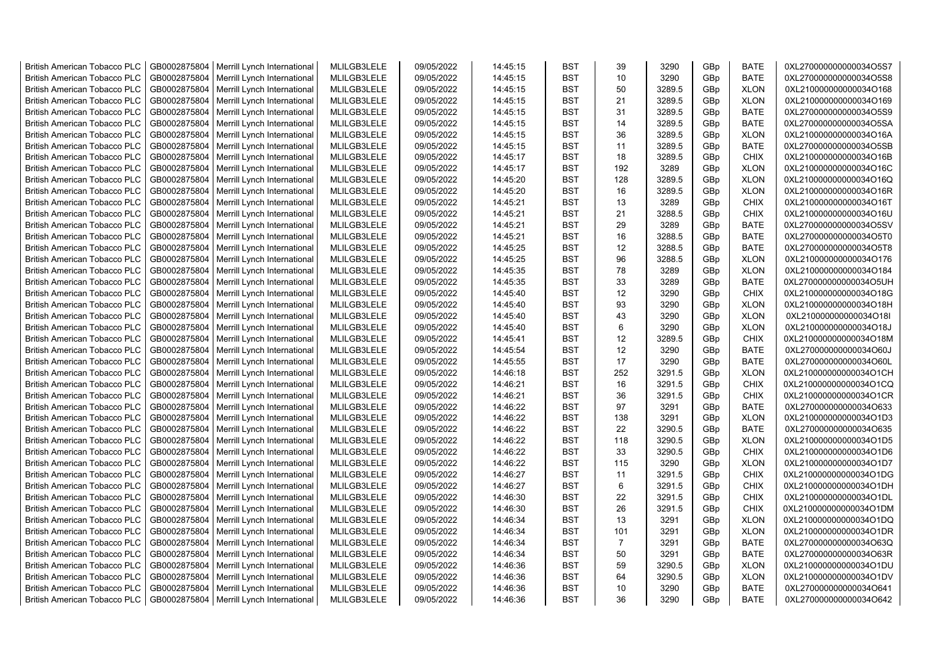| <b>British American Tobacco PLC</b> | GB0002875804 | Merrill Lynch International                | MLILGB3LELE | 09/05/2022 | 14:45:15 | <b>BST</b> | 39              | 3290   | GBp | <b>BATE</b> | 0XL270000000000034O5S7 |
|-------------------------------------|--------------|--------------------------------------------|-------------|------------|----------|------------|-----------------|--------|-----|-------------|------------------------|
| <b>British American Tobacco PLC</b> | GB0002875804 | Merrill Lynch International                | MLILGB3LELE | 09/05/2022 | 14:45:15 | <b>BST</b> | 10              | 3290   | GBp | <b>BATE</b> | 0XL270000000000034O5S8 |
| <b>British American Tobacco PLC</b> | GB0002875804 | Merrill Lynch International                | MLILGB3LELE | 09/05/2022 | 14:45:15 | <b>BST</b> | 50              | 3289.5 | GBp | <b>XLON</b> | 0XL210000000000034O168 |
| <b>British American Tobacco PLC</b> | GB0002875804 | Merrill Lynch International                | MLILGB3LELE | 09/05/2022 | 14:45:15 | <b>BST</b> | 21              | 3289.5 | GBp | <b>XLON</b> | 0XL210000000000034O169 |
| <b>British American Tobacco PLC</b> | GB0002875804 | Merrill Lynch International                | MLILGB3LELE | 09/05/2022 | 14:45:15 | <b>BST</b> | 31              | 3289.5 | GBp | <b>BATE</b> | 0XL270000000000034O5S9 |
| <b>British American Tobacco PLC</b> | GB0002875804 | Merrill Lynch International                | MLILGB3LELE | 09/05/2022 | 14:45:15 | <b>BST</b> | 14              | 3289.5 | GBp | <b>BATE</b> | 0XL270000000000034O5SA |
| <b>British American Tobacco PLC</b> | GB0002875804 | Merrill Lynch International                | MLILGB3LELE | 09/05/2022 | 14:45:15 | <b>BST</b> | 36              | 3289.5 | GBp | <b>XLON</b> | 0XL210000000000034O16A |
| <b>British American Tobacco PLC</b> | GB0002875804 | Merrill Lynch International                | MLILGB3LELE | 09/05/2022 | 14:45:15 | <b>BST</b> | 11              | 3289.5 | GBp | <b>BATE</b> | 0XL270000000000034O5SB |
| <b>British American Tobacco PLC</b> | GB0002875804 | Merrill Lynch International                | MLILGB3LELE | 09/05/2022 | 14:45:17 | BST        | 18              | 3289.5 | GBp | <b>CHIX</b> | 0XL210000000000034O16B |
| <b>British American Tobacco PLC</b> | GB0002875804 | Merrill Lynch International                | MLILGB3LELE | 09/05/2022 | 14:45:17 | <b>BST</b> | 192             | 3289   | GBp | <b>XLON</b> | 0XL210000000000034O16C |
| <b>British American Tobacco PLC</b> | GB0002875804 | Merrill Lynch International                | MLILGB3LELE | 09/05/2022 | 14:45:20 | BST        | 128             | 3289.5 | GBp | <b>XLON</b> | 0XL210000000000034O16Q |
| <b>British American Tobacco PLC</b> | GB0002875804 | Merrill Lynch International                | MLILGB3LELE | 09/05/2022 | 14:45:20 | <b>BST</b> | 16              | 3289.5 | GBp | <b>XLON</b> | 0XL210000000000034O16R |
| <b>British American Tobacco PLC</b> | GB0002875804 | Merrill Lynch International                | MLILGB3LELE | 09/05/2022 | 14:45:21 | <b>BST</b> | 13              | 3289   | GBp | <b>CHIX</b> | 0XL210000000000034O16T |
| <b>British American Tobacco PLC</b> | GB0002875804 | Merrill Lynch International                | MLILGB3LELE | 09/05/2022 | 14:45:21 | <b>BST</b> | 21              | 3288.5 | GBp | <b>CHIX</b> | 0XL210000000000034O16U |
| <b>British American Tobacco PLC</b> | GB0002875804 | Merrill Lynch International                | MLILGB3LELE | 09/05/2022 | 14:45:21 | <b>BST</b> | 29              | 3289   | GBp | <b>BATE</b> | 0XL270000000000034O5SV |
| <b>British American Tobacco PLC</b> | GB0002875804 | Merrill Lynch International                | MLILGB3LELE | 09/05/2022 | 14:45:21 | <b>BST</b> | 16              | 3288.5 | GBp | <b>BATE</b> | 0XL270000000000034O5T0 |
| <b>British American Tobacco PLC</b> | GB0002875804 | Merrill Lynch International                | MLILGB3LELE | 09/05/2022 | 14:45:25 | <b>BST</b> | 12              | 3288.5 | GBp | <b>BATE</b> | 0XL270000000000034O5T8 |
| <b>British American Tobacco PLC</b> | GB0002875804 | Merrill Lynch International                | MLILGB3LELE | 09/05/2022 | 14:45:25 | <b>BST</b> | 96              | 3288.5 | GBp | <b>XLON</b> | 0XL210000000000034O176 |
| <b>British American Tobacco PLC</b> | GB0002875804 | Merrill Lynch International                | MLILGB3LELE | 09/05/2022 | 14:45:35 | <b>BST</b> | 78              | 3289   | GBp | <b>XLON</b> | 0XL210000000000034O184 |
| <b>British American Tobacco PLC</b> | GB0002875804 | Merrill Lynch International                | MLILGB3LELE | 09/05/2022 | 14:45:35 | <b>BST</b> | 33              | 3289   | GBp | <b>BATE</b> | 0XL270000000000034O5UH |
| <b>British American Tobacco PLC</b> | GB0002875804 | Merrill Lynch International                | MLILGB3LELE | 09/05/2022 | 14:45:40 | <b>BST</b> | 12              | 3290   | GBp | <b>CHIX</b> | 0XL210000000000034O18G |
| <b>British American Tobacco PLC</b> | GB0002875804 | Merrill Lynch International                | MLILGB3LELE | 09/05/2022 | 14:45:40 | <b>BST</b> | 93              | 3290   | GBp | <b>XLON</b> | 0XL210000000000034O18H |
| <b>British American Tobacco PLC</b> | GB0002875804 | Merrill Lynch International                | MLILGB3LELE | 09/05/2022 | 14:45:40 | <b>BST</b> | 43              | 3290   | GBp | <b>XLON</b> | 0XL210000000000034O18I |
| <b>British American Tobacco PLC</b> | GB0002875804 | Merrill Lynch International                | MLILGB3LELE | 09/05/2022 | 14:45:40 | <b>BST</b> | 6               | 3290   | GBp | <b>XLON</b> | 0XL210000000000034O18J |
| <b>British American Tobacco PLC</b> |              |                                            |             |            |          | <b>BST</b> | 12              |        |     |             |                        |
|                                     | GB0002875804 | Merrill Lynch International                | MLILGB3LELE | 09/05/2022 | 14:45:41 |            | 12              | 3289.5 | GBp | <b>CHIX</b> | 0XL210000000000034O18M |
| <b>British American Tobacco PLC</b> | GB0002875804 | Merrill Lynch International                | MLILGB3LELE | 09/05/2022 | 14:45:54 | BST        | 17              | 3290   | GBp | <b>BATE</b> | 0XL270000000000034O60J |
| <b>British American Tobacco PLC</b> | GB0002875804 | Merrill Lynch International                | MLILGB3LELE | 09/05/2022 | 14:45:55 | <b>BST</b> |                 | 3290   | GBp | <b>BATE</b> | 0XL270000000000034O60L |
| <b>British American Tobacco PLC</b> | GB0002875804 | Merrill Lynch International                | MLILGB3LELE | 09/05/2022 | 14:46:18 | <b>BST</b> | 252             | 3291.5 | GBp | <b>XLON</b> | 0XL210000000000034O1CH |
| <b>British American Tobacco PLC</b> | GB0002875804 | Merrill Lynch International                | MLILGB3LELE | 09/05/2022 | 14:46:21 | BST        | 16              | 3291.5 | GBp | <b>CHIX</b> | 0XL210000000000034O1CQ |
| <b>British American Tobacco PLC</b> | GB0002875804 | Merrill Lynch International                | MLILGB3LELE | 09/05/2022 | 14:46:21 | <b>BST</b> | 36              | 3291.5 | GBp | <b>CHIX</b> | 0XL210000000000034O1CR |
| <b>British American Tobacco PLC</b> | GB0002875804 | Merrill Lynch International                | MLILGB3LELE | 09/05/2022 | 14:46:22 | <b>BST</b> | 97              | 3291   | GBp | <b>BATE</b> | 0XL270000000000034O633 |
| <b>British American Tobacco PLC</b> | GB0002875804 | Merrill Lynch International                | MLILGB3LELE | 09/05/2022 | 14:46:22 | <b>BST</b> | 138             | 3291   | GBp | <b>XLON</b> | 0XL210000000000034O1D3 |
| <b>British American Tobacco PLC</b> | GB0002875804 | Merrill Lynch International                | MLILGB3LELE | 09/05/2022 | 14:46:22 | <b>BST</b> | 22              | 3290.5 | GBp | <b>BATE</b> | 0XL270000000000034O635 |
| <b>British American Tobacco PLC</b> | GB0002875804 | Merrill Lynch International                | MLILGB3LELE | 09/05/2022 | 14:46:22 | BST        | 118             | 3290.5 | GBp | <b>XLON</b> | 0XL210000000000034O1D5 |
| <b>British American Tobacco PLC</b> | GB0002875804 | Merrill Lynch International                | MLILGB3LELE | 09/05/2022 | 14:46:22 | <b>BST</b> | 33              | 3290.5 | GBp | <b>CHIX</b> | 0XL210000000000034O1D6 |
| <b>British American Tobacco PLC</b> | GB0002875804 | Merrill Lynch International                | MLILGB3LELE | 09/05/2022 | 14:46:22 | <b>BST</b> | 115             | 3290   | GBp | <b>XLON</b> | 0XL210000000000034O1D7 |
| <b>British American Tobacco PLC</b> | GB0002875804 | Merrill Lynch International                | MLILGB3LELE | 09/05/2022 | 14:46:27 | <b>BST</b> | 11              | 3291.5 | GBp | <b>CHIX</b> | 0XL210000000000034O1DG |
| <b>British American Tobacco PLC</b> | GB0002875804 | Merrill Lynch International                | MLILGB3LELE | 09/05/2022 | 14:46:27 | <b>BST</b> | $6\phantom{1}6$ | 3291.5 | GBp | <b>CHIX</b> | 0XL210000000000034O1DH |
| <b>British American Tobacco PLC</b> | GB0002875804 | Merrill Lynch International                | MLILGB3LELE | 09/05/2022 | 14:46:30 | <b>BST</b> | 22              | 3291.5 | GBp | <b>CHIX</b> | 0XL210000000000034O1DL |
| British American Tobacco PLC        | GB0002875804 | Merrill Lynch International                | MLILGB3LELE | 09/05/2022 | 14:46:30 | <b>BST</b> | 26              | 3291.5 | GBp | <b>CHIX</b> | 0XL210000000000034O1DM |
| <b>British American Tobacco PLC</b> | GB0002875804 | Merrill Lynch International                | MLILGB3LELE | 09/05/2022 | 14:46:34 | <b>BST</b> | 13              | 3291   | GBp | <b>XLON</b> | 0XL210000000000034O1DQ |
| <b>British American Tobacco PLC</b> | GB0002875804 | Merrill Lynch International                | MLILGB3LELE | 09/05/2022 | 14:46:34 | <b>BST</b> | 101             | 3291   | GBp | <b>XLON</b> | 0XL210000000000034O1DR |
| <b>British American Tobacco PLC</b> | GB0002875804 | Merrill Lynch International                | MLILGB3LELE | 09/05/2022 | 14:46:34 | <b>BST</b> | $\overline{7}$  | 3291   | GBp | <b>BATE</b> | 0XL270000000000034O63Q |
| <b>British American Tobacco PLC</b> | GB0002875804 | Merrill Lynch International                | MLILGB3LELE | 09/05/2022 | 14:46:34 | <b>BST</b> | 50              | 3291   | GBp | <b>BATE</b> | 0XL270000000000034O63R |
| <b>British American Tobacco PLC</b> | GB0002875804 | Merrill Lynch International                | MLILGB3LELE | 09/05/2022 | 14:46:36 | <b>BST</b> | 59              | 3290.5 | GBp | <b>XLON</b> | 0XL210000000000034O1DU |
| <b>British American Tobacco PLC</b> | GB0002875804 | Merrill Lynch International                | MLILGB3LELE | 09/05/2022 | 14:46:36 | <b>BST</b> | 64              | 3290.5 | GBp | <b>XLON</b> | 0XL210000000000034O1DV |
| <b>British American Tobacco PLC</b> | GB0002875804 | Merrill Lynch International                | MLILGB3LELE | 09/05/2022 | 14:46:36 | <b>BST</b> | 10              | 3290   | GBp | <b>BATE</b> | 0XL270000000000034O641 |
| <b>British American Tobacco PLC</b> |              | GB0002875804   Merrill Lynch International | MLILGB3LELE | 09/05/2022 | 14:46:36 | <b>BST</b> | 36              | 3290   | GBp | <b>BATE</b> | 0XL270000000000034O642 |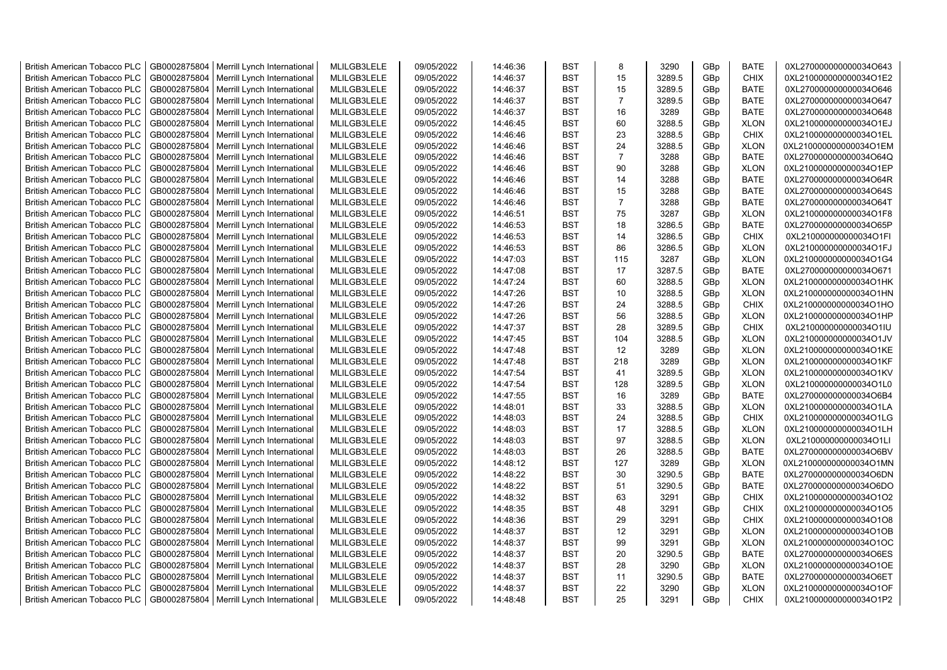| <b>British American Tobacco PLC</b> | GB0002875804 | Merrill Lynch International                | MLILGB3LELE | 09/05/2022 | 14:46:36 | <b>BST</b> | 8              | 3290   | GBp             | <b>BATE</b> | 0XL270000000000034O643 |
|-------------------------------------|--------------|--------------------------------------------|-------------|------------|----------|------------|----------------|--------|-----------------|-------------|------------------------|
| <b>British American Tobacco PLC</b> | GB0002875804 | Merrill Lynch International                | MLILGB3LELE | 09/05/2022 | 14:46:37 | <b>BST</b> | 15             | 3289.5 | GBp             | <b>CHIX</b> | 0XL210000000000034O1E2 |
| <b>British American Tobacco PLC</b> | GB0002875804 | Merrill Lynch International                | MLILGB3LELE | 09/05/2022 | 14:46:37 | <b>BST</b> | 15             | 3289.5 | GBp             | <b>BATE</b> | 0XL270000000000034O646 |
| <b>British American Tobacco PLC</b> | GB0002875804 | Merrill Lynch International                | MLILGB3LELE | 09/05/2022 | 14:46:37 | <b>BST</b> | $\overline{7}$ | 3289.5 | GBp             | <b>BATE</b> | 0XL270000000000034O647 |
| <b>British American Tobacco PLC</b> | GB0002875804 | Merrill Lynch International                | MLILGB3LELE | 09/05/2022 | 14:46:37 | <b>BST</b> | 16             | 3289   | GBp             | <b>BATE</b> | 0XL270000000000034O648 |
| <b>British American Tobacco PLC</b> | GB0002875804 | Merrill Lynch International                | MLILGB3LELE | 09/05/2022 | 14:46:45 | <b>BST</b> | 60             | 3288.5 | GBp             | <b>XLON</b> | 0XL210000000000034O1EJ |
| British American Tobacco PLC        | GB0002875804 | Merrill Lynch International                | MLILGB3LELE | 09/05/2022 | 14:46:46 | <b>BST</b> | 23             | 3288.5 | GBp             | <b>CHIX</b> | 0XL210000000000034O1EL |
| <b>British American Tobacco PLC</b> | GB0002875804 | Merrill Lynch International                | MLILGB3LELE | 09/05/2022 | 14:46:46 | <b>BST</b> | 24             | 3288.5 | GBp             | <b>XLON</b> | 0XL210000000000034O1EM |
| <b>British American Tobacco PLC</b> | GB0002875804 | Merrill Lynch International                | MLILGB3LELE | 09/05/2022 | 14:46:46 | <b>BST</b> | $\overline{7}$ | 3288   | GBp             | <b>BATE</b> | 0XL270000000000034O64Q |
| <b>British American Tobacco PLC</b> | GB0002875804 | Merrill Lynch International                | MLILGB3LELE | 09/05/2022 | 14:46:46 | <b>BST</b> | 90             | 3288   | GBp             | <b>XLON</b> | 0XL210000000000034O1EP |
| <b>British American Tobacco PLC</b> | GB0002875804 | Merrill Lynch International                | MLILGB3LELE | 09/05/2022 | 14:46:46 | <b>BST</b> | 14             | 3288   | GBp             | <b>BATE</b> | 0XL270000000000034O64R |
| <b>British American Tobacco PLC</b> | GB0002875804 | Merrill Lynch International                | MLILGB3LELE | 09/05/2022 | 14:46:46 | <b>BST</b> | 15             | 3288   | GBp             | <b>BATE</b> | 0XL270000000000034O64S |
| <b>British American Tobacco PLC</b> | GB0002875804 | Merrill Lynch International                | MLILGB3LELE | 09/05/2022 | 14:46:46 | BST        | $\overline{7}$ | 3288   | GBp             | <b>BATE</b> | 0XL270000000000034O64T |
| <b>British American Tobacco PLC</b> | GB0002875804 | Merrill Lynch International                | MLILGB3LELE | 09/05/2022 | 14:46:51 | <b>BST</b> | 75             | 3287   | GBp             | <b>XLON</b> | 0XL210000000000034O1F8 |
| <b>British American Tobacco PLC</b> | GB0002875804 | Merrill Lynch International                | MLILGB3LELE | 09/05/2022 | 14:46:53 | <b>BST</b> | 18             | 3286.5 | GBp             | <b>BATE</b> | 0XL270000000000034O65P |
| <b>British American Tobacco PLC</b> | GB0002875804 | Merrill Lynch International                | MLILGB3LELE | 09/05/2022 | 14:46:53 | <b>BST</b> | 14             | 3286.5 | GBp             | <b>CHIX</b> | 0XL210000000000034O1FI |
| <b>British American Tobacco PLC</b> | GB0002875804 | Merrill Lynch International                | MLILGB3LELE | 09/05/2022 | 14:46:53 | <b>BST</b> | 86             | 3286.5 | GBp             | <b>XLON</b> | 0XL210000000000034O1FJ |
| <b>British American Tobacco PLC</b> | GB0002875804 | Merrill Lynch International                | MLILGB3LELE | 09/05/2022 | 14:47:03 | <b>BST</b> | 115            | 3287   | GBp             | <b>XLON</b> | 0XL210000000000034O1G4 |
| <b>British American Tobacco PLC</b> | GB0002875804 | Merrill Lynch International                | MLILGB3LELE | 09/05/2022 | 14:47:08 | <b>BST</b> | 17             | 3287.5 | GBp             | <b>BATE</b> | 0XL270000000000034O671 |
| <b>British American Tobacco PLC</b> | GB0002875804 | Merrill Lynch International                | MLILGB3LELE | 09/05/2022 | 14:47:24 | <b>BST</b> | 60             | 3288.5 | GBp             | <b>XLON</b> | 0XL210000000000034O1HK |
| <b>British American Tobacco PLC</b> | GB0002875804 | Merrill Lynch International                | MLILGB3LELE | 09/05/2022 | 14:47:26 | <b>BST</b> | 10             | 3288.5 | GBp             | <b>XLON</b> | 0XL210000000000034O1HN |
| <b>British American Tobacco PLC</b> | GB0002875804 | Merrill Lynch International                | MLILGB3LELE | 09/05/2022 | 14:47:26 | <b>BST</b> | 24             | 3288.5 | GBp             | <b>CHIX</b> | 0XL210000000000034O1HO |
| <b>British American Tobacco PLC</b> | GB0002875804 | Merrill Lynch International                | MLILGB3LELE | 09/05/2022 | 14:47:26 | <b>BST</b> | 56             | 3288.5 | GBp             | <b>XLON</b> | 0XL210000000000034O1HP |
| <b>British American Tobacco PLC</b> | GB0002875804 | Merrill Lynch International                | MLILGB3LELE | 09/05/2022 | 14:47:37 | <b>BST</b> | 28             | 3289.5 | GBp             | <b>CHIX</b> | 0XL210000000000034O1IU |
| <b>British American Tobacco PLC</b> | GB0002875804 | Merrill Lynch International                | MLILGB3LELE | 09/05/2022 | 14:47:45 | <b>BST</b> | 104            | 3288.5 | GBp             | <b>XLON</b> | 0XL210000000000034O1JV |
| <b>British American Tobacco PLC</b> | GB0002875804 | Merrill Lynch International                | MLILGB3LELE | 09/05/2022 | 14:47:48 | <b>BST</b> | 12             | 3289   | GBp             | <b>XLON</b> | 0XL210000000000034O1KE |
| <b>British American Tobacco PLC</b> | GB0002875804 | Merrill Lynch International                | MLILGB3LELE | 09/05/2022 | 14:47:48 | <b>BST</b> | 218            | 3289   | GBp             | <b>XLON</b> | 0XL210000000000034O1KF |
| <b>British American Tobacco PLC</b> | GB0002875804 | Merrill Lynch International                | MLILGB3LELE | 09/05/2022 | 14:47:54 | <b>BST</b> | 41             | 3289.5 | GBp             | <b>XLON</b> | 0XL210000000000034O1KV |
|                                     | GB0002875804 |                                            | MLILGB3LELE | 09/05/2022 |          | <b>BST</b> | 128            | 3289.5 |                 | <b>XLON</b> | 0XL210000000000034O1L0 |
| <b>British American Tobacco PLC</b> |              | Merrill Lynch International                |             |            | 14:47:54 |            |                |        | GBp             |             |                        |
| <b>British American Tobacco PLC</b> | GB0002875804 | Merrill Lynch International                | MLILGB3LELE | 09/05/2022 | 14:47:55 | <b>BST</b> | 16             | 3289   | GBp             | <b>BATE</b> | 0XL270000000000034O6B4 |
| <b>British American Tobacco PLC</b> | GB0002875804 | Merrill Lynch International                | MLILGB3LELE | 09/05/2022 | 14:48:01 | <b>BST</b> | 33             | 3288.5 | GBp             | <b>XLON</b> | 0XL210000000000034O1LA |
| <b>British American Tobacco PLC</b> | GB0002875804 | Merrill Lynch International                | MLILGB3LELE | 09/05/2022 | 14:48:03 | <b>BST</b> | 24             | 3288.5 | GBp             | <b>CHIX</b> | 0XL210000000000034O1LG |
| <b>British American Tobacco PLC</b> | GB0002875804 | Merrill Lynch International                | MLILGB3LELE | 09/05/2022 | 14:48:03 | <b>BST</b> | 17             | 3288.5 | GBp             | <b>XLON</b> | 0XL210000000000034O1LH |
| <b>British American Tobacco PLC</b> | GB0002875804 | Merrill Lynch International                | MLILGB3LELE | 09/05/2022 | 14:48:03 | BST        | 97             | 3288.5 | GBp             | <b>XLON</b> | 0XL210000000000034O1LI |
| <b>British American Tobacco PLC</b> | GB0002875804 | Merrill Lynch International                | MLILGB3LELE | 09/05/2022 | 14:48:03 | <b>BST</b> | 26             | 3288.5 | GBp             | <b>BATE</b> | 0XL270000000000034O6BV |
| British American Tobacco PLC        | GB0002875804 | Merrill Lynch International                | MLILGB3LELE | 09/05/2022 | 14:48:12 | <b>BST</b> | 127            | 3289   | GBp             | <b>XLON</b> | 0XL210000000000034O1MN |
| <b>British American Tobacco PLC</b> | GB0002875804 | Merrill Lynch International                | MLILGB3LELE | 09/05/2022 | 14:48:22 | <b>BST</b> | 30             | 3290.5 | GBp             | <b>BATE</b> | 0XL270000000000034O6DN |
| <b>British American Tobacco PLC</b> | GB0002875804 | Merrill Lynch International                | MLILGB3LELE | 09/05/2022 | 14:48:22 | <b>BST</b> | 51             | 3290.5 | GBp             | <b>BATE</b> | 0XL270000000000034O6DO |
| <b>British American Tobacco PLC</b> | GB0002875804 | Merrill Lynch International                | MLILGB3LELE | 09/05/2022 | 14:48:32 | <b>BST</b> | 63             | 3291   | GBp             | <b>CHIX</b> | 0XL210000000000034O1O2 |
| <b>British American Tobacco PLC</b> | GB0002875804 | Merrill Lynch International                | MLILGB3LELE | 09/05/2022 | 14:48:35 | <b>BST</b> | 48             | 3291   | GBp             | <b>CHIX</b> | 0XL210000000000034O1O5 |
| <b>British American Tobacco PLC</b> | GB0002875804 | Merrill Lynch International                | MLILGB3LELE | 09/05/2022 | 14:48:36 | <b>BST</b> | 29             | 3291   | GBp             | <b>CHIX</b> | 0XL210000000000034O1O8 |
| <b>British American Tobacco PLC</b> | GB0002875804 | Merrill Lynch International                | MLILGB3LELE | 09/05/2022 | 14:48:37 | <b>BST</b> | 12             | 3291   | GBp             | <b>XLON</b> | 0XL210000000000034O1OB |
| <b>British American Tobacco PLC</b> | GB0002875804 | Merrill Lynch International                | MLILGB3LELE | 09/05/2022 | 14:48:37 | <b>BST</b> | 99             | 3291   | GBp             | <b>XLON</b> | 0XL210000000000034O1OC |
| <b>British American Tobacco PLC</b> | GB0002875804 | Merrill Lynch International                | MLILGB3LELE | 09/05/2022 | 14:48:37 | <b>BST</b> | 20             | 3290.5 | GBp             | <b>BATE</b> | 0XL270000000000034O6ES |
| <b>British American Tobacco PLC</b> | GB0002875804 | Merrill Lynch International                | MLILGB3LELE | 09/05/2022 | 14:48:37 | <b>BST</b> | 28             | 3290   | GBp             | <b>XLON</b> | 0XL210000000000034O1OE |
| <b>British American Tobacco PLC</b> | GB0002875804 | Merrill Lynch International                | MLILGB3LELE | 09/05/2022 | 14:48:37 | <b>BST</b> | 11             | 3290.5 | GBp             | <b>BATE</b> | 0XL270000000000034O6ET |
| <b>British American Tobacco PLC</b> | GB0002875804 | Merrill Lynch International                | MLILGB3LELE | 09/05/2022 | 14:48:37 | <b>BST</b> | 22             | 3290   | GBp             | <b>XLON</b> | 0XL210000000000034O1OF |
| <b>British American Tobacco PLC</b> |              | GB0002875804   Merrill Lynch International | MLILGB3LELE | 09/05/2022 | 14:48:48 | <b>BST</b> | 25             | 3291   | GB <sub>p</sub> | <b>CHIX</b> | 0XL210000000000034O1P2 |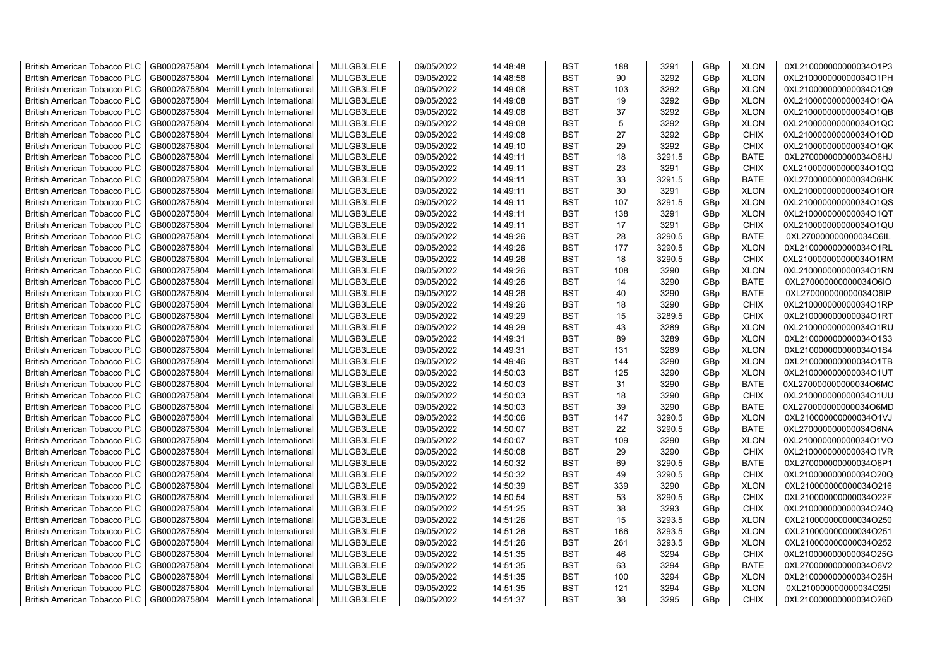| <b>British American Tobacco PLC</b> | GB0002875804 | Merrill Lynch International | MLILGB3LELE | 09/05/2022 | 14:48:48 | <b>BST</b> | 188 | 3291   | GBp             | <b>XLON</b> | 0XL210000000000034O1P3 |
|-------------------------------------|--------------|-----------------------------|-------------|------------|----------|------------|-----|--------|-----------------|-------------|------------------------|
| <b>British American Tobacco PLC</b> | GB0002875804 | Merrill Lynch International | MLILGB3LELE | 09/05/2022 | 14:48:58 | <b>BST</b> | 90  | 3292   | GBp             | <b>XLON</b> | 0XL210000000000034O1PH |
| <b>British American Tobacco PLC</b> | GB0002875804 | Merrill Lynch International | MLILGB3LELE | 09/05/2022 | 14:49:08 | <b>BST</b> | 103 | 3292   | GBp             | <b>XLON</b> | 0XL210000000000034O1Q9 |
| <b>British American Tobacco PLC</b> | GB0002875804 | Merrill Lynch International | MLILGB3LELE | 09/05/2022 | 14:49:08 | <b>BST</b> | 19  | 3292   | GBp             | <b>XLON</b> | 0XL210000000000034O1QA |
| <b>British American Tobacco PLC</b> | GB0002875804 | Merrill Lynch International | MLILGB3LELE | 09/05/2022 | 14:49:08 | <b>BST</b> | 37  | 3292   | GBp             | <b>XLON</b> | 0XL210000000000034O1QB |
| <b>British American Tobacco PLC</b> | GB0002875804 | Merrill Lynch International | MLILGB3LELE | 09/05/2022 | 14:49:08 | <b>BST</b> | 5   | 3292   | GBp             | <b>XLON</b> | 0XL210000000000034O1QC |
| <b>British American Tobacco PLC</b> | GB0002875804 | Merrill Lynch International | MLILGB3LELE | 09/05/2022 | 14:49:08 | <b>BST</b> | 27  | 3292   | GBp             | <b>CHIX</b> | 0XL210000000000034O1QD |
| <b>British American Tobacco PLC</b> | GB0002875804 | Merrill Lynch International | MLILGB3LELE | 09/05/2022 | 14:49:10 | <b>BST</b> | 29  | 3292   | GBp             | CHIX        | 0XL210000000000034O1QK |
| <b>British American Tobacco PLC</b> | GB0002875804 | Merrill Lynch International | MLILGB3LELE | 09/05/2022 | 14:49:11 | <b>BST</b> | 18  | 3291.5 | GBp             | BATE        | 0XL270000000000034O6HJ |
| <b>British American Tobacco PLC</b> | GB0002875804 | Merrill Lynch International | MLILGB3LELE | 09/05/2022 | 14:49:11 | <b>BST</b> | 23  | 3291   | GBp             | <b>CHIX</b> | 0XL210000000000034O1QQ |
| <b>British American Tobacco PLC</b> | GB0002875804 | Merrill Lynch International | MLILGB3LELE | 09/05/2022 | 14:49:11 | <b>BST</b> | 33  | 3291.5 | GBp             | <b>BATE</b> | 0XL270000000000034O6HK |
| <b>British American Tobacco PLC</b> | GB0002875804 | Merrill Lynch International | MLILGB3LELE | 09/05/2022 | 14:49:11 | <b>BST</b> | 30  | 3291   | GBp             | <b>XLON</b> | 0XL210000000000034O1QR |
| <b>British American Tobacco PLC</b> | GB0002875804 | Merrill Lynch International | MLILGB3LELE | 09/05/2022 | 14:49:11 | <b>BST</b> | 107 | 3291.5 | GBp             | <b>XLON</b> | 0XL210000000000034O1QS |
| <b>British American Tobacco PLC</b> | GB0002875804 | Merrill Lynch International | MLILGB3LELE | 09/05/2022 | 14:49:11 | <b>BST</b> | 138 | 3291   | GBp             | <b>XLON</b> | 0XL210000000000034O1QT |
|                                     |              |                             |             |            |          |            | 17  |        |                 |             |                        |
| <b>British American Tobacco PLC</b> | GB0002875804 | Merrill Lynch International | MLILGB3LELE | 09/05/2022 | 14:49:11 | <b>BST</b> |     | 3291   | GBp             | <b>CHIX</b> | 0XL210000000000034O1QU |
| <b>British American Tobacco PLC</b> | GB0002875804 | Merrill Lynch International | MLILGB3LELE | 09/05/2022 | 14:49:26 | <b>BST</b> | 28  | 3290.5 | GBp             | <b>BATE</b> | 0XL270000000000034O6IL |
| <b>British American Tobacco PLC</b> | GB0002875804 | Merrill Lynch International | MLILGB3LELE | 09/05/2022 | 14:49:26 | <b>BST</b> | 177 | 3290.5 | GBp             | <b>XLON</b> | 0XL210000000000034O1RL |
| <b>British American Tobacco PLC</b> | GB0002875804 | Merrill Lynch International | MLILGB3LELE | 09/05/2022 | 14:49:26 | <b>BST</b> | 18  | 3290.5 | GBp             | <b>CHIX</b> | 0XL210000000000034O1RM |
| <b>British American Tobacco PLC</b> | GB0002875804 | Merrill Lynch International | MLILGB3LELE | 09/05/2022 | 14:49:26 | <b>BST</b> | 108 | 3290   | GBp             | <b>XLON</b> | 0XL210000000000034O1RN |
| <b>British American Tobacco PLC</b> | GB0002875804 | Merrill Lynch International | MLILGB3LELE | 09/05/2022 | 14:49:26 | <b>BST</b> | 14  | 3290   | GBp             | <b>BATE</b> | 0XL270000000000034O6IO |
| <b>British American Tobacco PLC</b> | GB0002875804 | Merrill Lynch International | MLILGB3LELE | 09/05/2022 | 14:49:26 | <b>BST</b> | 40  | 3290   | GBp             | <b>BATE</b> | 0XL270000000000034O6IP |
| <b>British American Tobacco PLC</b> | GB0002875804 | Merrill Lynch International | MLILGB3LELE | 09/05/2022 | 14:49:26 | <b>BST</b> | 18  | 3290   | GBp             | <b>CHIX</b> | 0XL210000000000034O1RP |
| <b>British American Tobacco PLC</b> | GB0002875804 | Merrill Lynch International | MLILGB3LELE | 09/05/2022 | 14:49:29 | <b>BST</b> | 15  | 3289.5 | GBp             | <b>CHIX</b> | 0XL210000000000034O1RT |
| <b>British American Tobacco PLC</b> | GB0002875804 | Merrill Lynch International | MLILGB3LELE | 09/05/2022 | 14:49:29 | BST        | 43  | 3289   | GBp             | <b>XLON</b> | 0XL210000000000034O1RU |
| <b>British American Tobacco PLC</b> | GB0002875804 | Merrill Lynch International | MLILGB3LELE | 09/05/2022 | 14:49:31 | <b>BST</b> | 89  | 3289   | GBp             | <b>XLON</b> | 0XL210000000000034O1S3 |
| British American Tobacco PLC        | GB0002875804 | Merrill Lynch International | MLILGB3LELE | 09/05/2022 | 14:49:31 | <b>BST</b> | 131 | 3289   | GBp             | <b>XLON</b> | 0XL210000000000034O1S4 |
| <b>British American Tobacco PLC</b> | GB0002875804 | Merrill Lynch International | MLILGB3LELE | 09/05/2022 | 14:49:46 | <b>BST</b> | 144 | 3290   | GBp             | <b>XLON</b> | 0XL210000000000034O1TB |
| British American Tobacco PLC        | GB0002875804 | Merrill Lynch International | MLILGB3LELE | 09/05/2022 | 14:50:03 | <b>BST</b> | 125 | 3290   | GBp             | <b>XLON</b> | 0XL210000000000034O1UT |
| <b>British American Tobacco PLC</b> | GB0002875804 | Merrill Lynch International | MLILGB3LELE | 09/05/2022 | 14:50:03 | <b>BST</b> | 31  | 3290   | GBp             | <b>BATE</b> | 0XL270000000000034O6MC |
| <b>British American Tobacco PLC</b> | GB0002875804 | Merrill Lynch International | MLILGB3LELE | 09/05/2022 | 14:50:03 | <b>BST</b> | 18  | 3290   | GBp             | <b>CHIX</b> | 0XL210000000000034O1UU |
| <b>British American Tobacco PLC</b> | GB0002875804 | Merrill Lynch International | MLILGB3LELE | 09/05/2022 | 14:50:03 | <b>BST</b> | 39  | 3290   | GBp             | <b>BATE</b> | 0XL270000000000034O6MD |
| <b>British American Tobacco PLC</b> | GB0002875804 | Merrill Lynch International | MLILGB3LELE | 09/05/2022 | 14:50:06 | <b>BST</b> | 147 | 3290.5 | GBp             | <b>XLON</b> | 0XL210000000000034O1VJ |
| <b>British American Tobacco PLC</b> | GB0002875804 | Merrill Lynch International | MLILGB3LELE | 09/05/2022 | 14:50:07 | <b>BST</b> | 22  | 3290.5 | GBp             | <b>BATE</b> | 0XL270000000000034O6NA |
| <b>British American Tobacco PLC</b> | GB0002875804 | Merrill Lynch International | MLILGB3LELE | 09/05/2022 | 14:50:07 | <b>BST</b> | 109 | 3290   | GBp             | <b>XLON</b> | 0XL210000000000034O1VO |
| <b>British American Tobacco PLC</b> | GB0002875804 | Merrill Lynch International | MLILGB3LELE | 09/05/2022 | 14:50:08 | <b>BST</b> | 29  | 3290   | GBp             | <b>CHIX</b> | 0XL210000000000034O1VR |
| <b>British American Tobacco PLC</b> | GB0002875804 | Merrill Lynch International | MLILGB3LELE | 09/05/2022 | 14:50:32 | <b>BST</b> | 69  | 3290.5 | GBp             | <b>BATE</b> | 0XL270000000000034O6P1 |
| <b>British American Tobacco PLC</b> | GB0002875804 | Merrill Lynch International | MLILGB3LELE | 09/05/2022 | 14:50:32 | <b>BST</b> | 49  | 3290.5 | GBp             | <b>CHIX</b> | 0XL210000000000034O20Q |
| <b>British American Tobacco PLC</b> | GB0002875804 | Merrill Lynch International | MLILGB3LELE | 09/05/2022 | 14:50:39 | <b>BST</b> | 339 | 3290   | GBp             | <b>XLON</b> | 0XL210000000000034O216 |
| <b>British American Tobacco PLC</b> | GB0002875804 | Merrill Lynch International | MLILGB3LELE | 09/05/2022 | 14:50:54 | <b>BST</b> | 53  | 3290.5 | GBp             | <b>CHIX</b> | 0XL210000000000034O22F |
| <b>British American Tobacco PLC</b> | GB0002875804 | Merrill Lynch International | MLILGB3LELE | 09/05/2022 | 14:51:25 | <b>BST</b> | 38  | 3293   | GBp             | <b>CHIX</b> | 0XL210000000000034O24Q |
| <b>British American Tobacco PLC</b> | GB0002875804 | Merrill Lynch International | MLILGB3LELE | 09/05/2022 | 14:51:26 | <b>BST</b> | 15  | 3293.5 | GBp             | <b>XLON</b> | 0XL210000000000034O250 |
| <b>British American Tobacco PLC</b> | GB0002875804 | Merrill Lynch International | MLILGB3LELE | 09/05/2022 | 14:51:26 | <b>BST</b> | 166 | 3293.5 | GBp             | <b>XLON</b> | 0XL210000000000034O251 |
| <b>British American Tobacco PLC</b> | GB0002875804 | Merrill Lynch International | MLILGB3LELE | 09/05/2022 | 14:51:26 | <b>BST</b> | 261 | 3293.5 | GBp             | <b>XLON</b> | 0XL210000000000034O252 |
| <b>British American Tobacco PLC</b> | GB0002875804 | Merrill Lynch International | MLILGB3LELE | 09/05/2022 | 14:51:35 | <b>BST</b> | 46  | 3294   | GBp             | <b>CHIX</b> | 0XL210000000000034O25G |
| <b>British American Tobacco PLC</b> | GB0002875804 | Merrill Lynch International | MLILGB3LELE | 09/05/2022 | 14:51:35 | <b>BST</b> | 63  | 3294   | GBp             | <b>BATE</b> | 0XL270000000000034O6V2 |
| <b>British American Tobacco PLC</b> | GB0002875804 | Merrill Lynch International | MLILGB3LELE | 09/05/2022 | 14:51:35 | <b>BST</b> | 100 | 3294   | GBp             | <b>XLON</b> | 0XL210000000000034O25H |
| <b>British American Tobacco PLC</b> | GB0002875804 | Merrill Lynch International | MLILGB3LELE | 09/05/2022 | 14:51:35 | <b>BST</b> | 121 | 3294   | GBp             | <b>XLON</b> | 0XL210000000000034O25I |
| <b>British American Tobacco PLC</b> | GB0002875804 | Merrill Lynch International | MLILGB3LELE | 09/05/2022 | 14:51:37 | <b>BST</b> | 38  | 3295   | GB <sub>p</sub> | <b>CHIX</b> | 0XL210000000000034O26D |
|                                     |              |                             |             |            |          |            |     |        |                 |             |                        |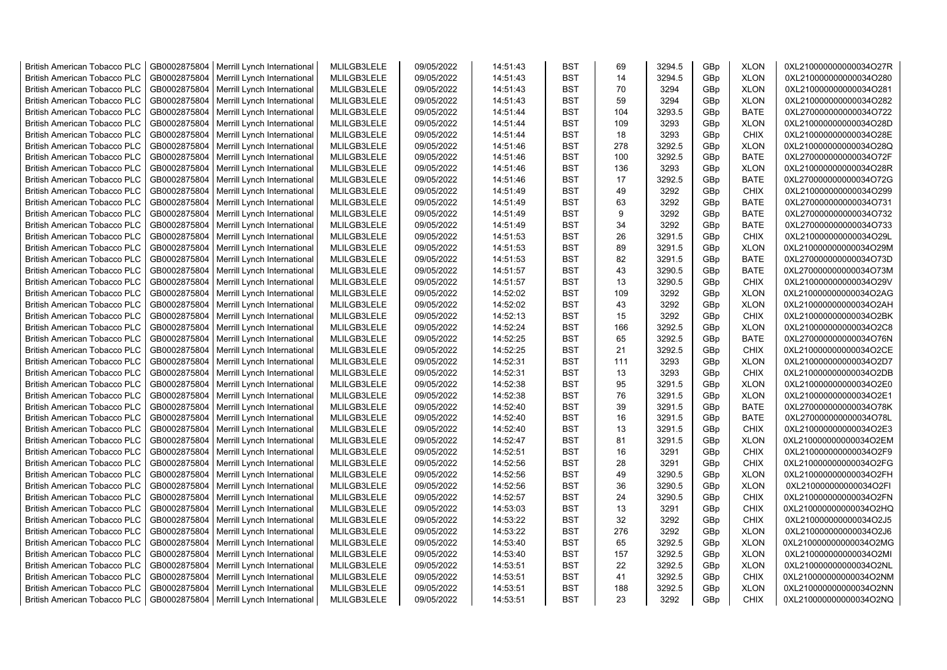| <b>British American Tobacco PLC</b>                                        | GB0002875804 | Merrill Lynch International | MLILGB3LELE                | 09/05/2022               | 14:51:43             | <b>BST</b>               | 69  | 3294.5       | GBp        | <b>XLON</b>                | 0XL210000000000034O27R                           |
|----------------------------------------------------------------------------|--------------|-----------------------------|----------------------------|--------------------------|----------------------|--------------------------|-----|--------------|------------|----------------------------|--------------------------------------------------|
| <b>British American Tobacco PLC</b>                                        | GB0002875804 | Merrill Lynch International | MLILGB3LELE                | 09/05/2022               | 14:51:43             | <b>BST</b>               | 14  | 3294.5       | GBp        | <b>XLON</b>                | 0XL210000000000034O280                           |
| <b>British American Tobacco PLC</b>                                        | GB0002875804 | Merrill Lynch International | MLILGB3LELE                | 09/05/2022               | 14:51:43             | <b>BST</b>               | 70  | 3294         | GBp        | <b>XLON</b>                | 0XL210000000000034O281                           |
| <b>British American Tobacco PLC</b>                                        | GB0002875804 | Merrill Lynch International | MLILGB3LELE                | 09/05/2022               | 14:51:43             | <b>BST</b>               | 59  | 3294         | GBp        | <b>XLON</b>                | 0XL210000000000034O282                           |
| <b>British American Tobacco PLC</b>                                        | GB0002875804 | Merrill Lynch International | MLILGB3LELE                | 09/05/2022               | 14:51:44             | <b>BST</b>               | 104 | 3293.5       | GBp        | <b>BATE</b>                | 0XL270000000000034O722                           |
| <b>British American Tobacco PLC</b>                                        | GB0002875804 | Merrill Lynch International | MLILGB3LELE                | 09/05/2022               | 14:51:44             | <b>BST</b>               | 109 | 3293         | GBp        | <b>XLON</b>                | 0XL210000000000034O28D                           |
| <b>British American Tobacco PLC</b>                                        | GB0002875804 | Merrill Lynch International | MLILGB3LELE                | 09/05/2022               | 14:51:44             | <b>BST</b>               | 18  | 3293         | GBp        | <b>CHIX</b>                | 0XL210000000000034O28E                           |
| <b>British American Tobacco PLC</b>                                        | GB0002875804 | Merrill Lynch International | MLILGB3LELE                | 09/05/2022               | 14:51:46             | <b>BST</b>               | 278 | 3292.5       | GBp        | <b>XLON</b>                | 0XL210000000000034O28Q                           |
| <b>British American Tobacco PLC</b>                                        | GB0002875804 | Merrill Lynch International | MLILGB3LELE                | 09/05/2022               | 14:51:46             | <b>BST</b>               | 100 | 3292.5       | GBp        | <b>BATE</b>                | 0XL270000000000034O72F                           |
| <b>British American Tobacco PLC</b>                                        | GB0002875804 | Merrill Lynch International | MLILGB3LELE                | 09/05/2022               | 14:51:46             | <b>BST</b>               | 136 | 3293         | GBp        | <b>XLON</b>                | 0XL210000000000034O28R                           |
| <b>British American Tobacco PLC</b>                                        | GB0002875804 | Merrill Lynch International | MLILGB3LELE                | 09/05/2022               | 14:51:46             | <b>BST</b>               | 17  | 3292.5       | GBp        | <b>BATE</b>                | 0XL270000000000034O72G                           |
| <b>British American Tobacco PLC</b>                                        | GB0002875804 | Merrill Lynch International | MLILGB3LELE                | 09/05/2022               | 14:51:49             | <b>BST</b>               | 49  | 3292         | GBp        | CHIX                       | 0XL210000000000034O299                           |
| <b>British American Tobacco PLC</b>                                        | GB0002875804 | Merrill Lynch International | MLILGB3LELE                | 09/05/2022               | 14:51:49             | <b>BST</b>               | 63  | 3292         | GBp        | <b>BATE</b>                | 0XL270000000000034O731                           |
| <b>British American Tobacco PLC</b>                                        | GB0002875804 | Merrill Lynch International | MLILGB3LELE                | 09/05/2022               | 14:51:49             | <b>BST</b>               | 9   | 3292         | GBp        | <b>BATE</b>                | 0XL270000000000034O732                           |
| <b>British American Tobacco PLC</b>                                        | GB0002875804 | Merrill Lynch International | MLILGB3LELE                | 09/05/2022               | 14:51:49             | <b>BST</b>               | 34  | 3292         | GBp        | <b>BATE</b>                | 0XL270000000000034O733                           |
| <b>British American Tobacco PLC</b>                                        | GB0002875804 | Merrill Lynch International | MLILGB3LELE                | 09/05/2022               | 14:51:53             | <b>BST</b>               | 26  | 3291.5       | GBp        | <b>CHIX</b>                | 0XL210000000000034O29L                           |
| <b>British American Tobacco PLC</b>                                        | GB0002875804 | Merrill Lynch International | MLILGB3LELE                | 09/05/2022               | 14:51:53             | <b>BST</b>               | 89  | 3291.5       | GBp        | <b>XLON</b>                | 0XL210000000000034O29M                           |
| <b>British American Tobacco PLC</b>                                        | GB0002875804 | Merrill Lynch International | MLILGB3LELE                | 09/05/2022               | 14:51:53             | <b>BST</b>               | 82  | 3291.5       | GBp        | <b>BATE</b>                | 0XL270000000000034O73D                           |
| <b>British American Tobacco PLC</b>                                        | GB0002875804 | Merrill Lynch International | MLILGB3LELE                | 09/05/2022               | 14:51:57             | <b>BST</b>               | 43  | 3290.5       | GBp        | <b>BATE</b>                | 0XL270000000000034O73M                           |
| <b>British American Tobacco PLC</b>                                        | GB0002875804 | Merrill Lynch International | MLILGB3LELE                | 09/05/2022               | 14:51:57             | <b>BST</b>               | 13  | 3290.5       | GBp        | <b>CHIX</b>                | 0XL210000000000034O29V                           |
| <b>British American Tobacco PLC</b>                                        | GB0002875804 | Merrill Lynch International | MLILGB3LELE                | 09/05/2022               | 14:52:02             | <b>BST</b>               | 109 | 3292         | GBp        | <b>XLON</b>                | 0XL210000000000034O2AG                           |
| <b>British American Tobacco PLC</b>                                        | GB0002875804 | Merrill Lynch International | MLILGB3LELE                | 09/05/2022               | 14:52:02             | <b>BST</b>               | 43  | 3292         | GBp        | <b>XLON</b>                | 0XL210000000000034O2AH                           |
| <b>British American Tobacco PLC</b>                                        | GB0002875804 | Merrill Lynch International | MLILGB3LELE                | 09/05/2022               | 14:52:13             | <b>BST</b>               | 15  | 3292         | GBp        | <b>CHIX</b>                | 0XL210000000000034O2BK                           |
| <b>British American Tobacco PLC</b>                                        | GB0002875804 | Merrill Lynch International | MLILGB3LELE                | 09/05/2022               | 14:52:24             | <b>BST</b>               | 166 | 3292.5       | GBp        | <b>XLON</b>                | 0XL210000000000034O2C8                           |
| <b>British American Tobacco PLC</b>                                        | GB0002875804 | Merrill Lynch International | MLILGB3LELE                | 09/05/2022               | 14:52:25             | <b>BST</b>               | 65  | 3292.5       | GBp        | <b>BATE</b>                | 0XL270000000000034O76N                           |
| <b>British American Tobacco PLC</b>                                        | GB0002875804 | Merrill Lynch International | MLILGB3LELE                | 09/05/2022               | 14:52:25             | <b>BST</b>               | 21  | 3292.5       | GBp        | CHIX                       | 0XL210000000000034O2CE                           |
| <b>British American Tobacco PLC</b>                                        | GB0002875804 | Merrill Lynch International | MLILGB3LELE                | 09/05/2022               | 14:52:31             | <b>BST</b>               | 111 | 3293         | GBp        | <b>XLON</b>                | 0XL210000000000034O2D7                           |
| <b>British American Tobacco PLC</b>                                        | GB0002875804 | Merrill Lynch International | MLILGB3LELE                | 09/05/2022               | 14:52:31             | <b>BST</b>               | 13  | 3293         | GBp        | <b>CHIX</b>                | 0XL210000000000034O2DB                           |
| <b>British American Tobacco PLC</b>                                        | GB0002875804 | Merrill Lynch International | MLILGB3LELE                | 09/05/2022               | 14:52:38             | <b>BST</b>               | 95  | 3291.5       | GBp        | <b>XLON</b>                | 0XL210000000000034O2E0                           |
| <b>British American Tobacco PLC</b>                                        | GB0002875804 | Merrill Lynch International | MLILGB3LELE                | 09/05/2022               | 14:52:38             | <b>BST</b>               | 76  | 3291.5       | GBp        | <b>XLON</b>                | 0XL210000000000034O2E1                           |
| <b>British American Tobacco PLC</b>                                        | GB0002875804 | Merrill Lynch International | MLILGB3LELE                | 09/05/2022               | 14:52:40             | <b>BST</b>               | 39  | 3291.5       | GBp        | <b>BATE</b>                | 0XL270000000000034O78K                           |
| <b>British American Tobacco PLC</b>                                        | GB0002875804 | Merrill Lynch International | MLILGB3LELE                | 09/05/2022               | 14:52:40             | <b>BST</b>               | 16  | 3291.5       | GBp        | <b>BATE</b>                | 0XL270000000000034O78L                           |
| <b>British American Tobacco PLC</b>                                        | GB0002875804 | Merrill Lynch International | MLILGB3LELE                | 09/05/2022               | 14:52:40             | <b>BST</b>               | 13  | 3291.5       | GBp        | CHIX                       |                                                  |
| <b>British American Tobacco PLC</b>                                        | GB0002875804 | Merrill Lynch International | MLILGB3LELE                | 09/05/2022               | 14:52:47             | <b>BST</b>               | 81  | 3291.5       | GBp        | <b>XLON</b>                | 0XL210000000000034O2E3                           |
|                                                                            | GB0002875804 | Merrill Lynch International | MLILGB3LELE                | 09/05/2022               | 14:52:51             | <b>BST</b>               | 16  | 3291         |            | <b>CHIX</b>                | 0XL210000000000034O2EM<br>0XL210000000000034O2F9 |
| <b>British American Tobacco PLC</b><br><b>British American Tobacco PLC</b> | GB0002875804 | Merrill Lynch International | MLILGB3LELE                | 09/05/2022               | 14:52:56             | <b>BST</b>               | 28  | 3291         | GBp<br>GBp | <b>CHIX</b>                | 0XL210000000000034O2FG                           |
| <b>British American Tobacco PLC</b>                                        | GB0002875804 |                             | MLILGB3LELE                | 09/05/2022               | 14:52:56             | <b>BST</b>               | 49  | 3290.5       |            | <b>XLON</b>                | 0XL210000000000034O2FH                           |
|                                                                            |              | Merrill Lynch International |                            |                          |                      |                          | 36  |              | GBp        |                            |                                                  |
| <b>British American Tobacco PLC</b><br><b>British American Tobacco PLC</b> | GB0002875804 | Merrill Lynch International | MLILGB3LELE                | 09/05/2022               | 14:52:56<br>14:52:57 | <b>BST</b><br><b>BST</b> | 24  | 3290.5       | GBp        | <b>XLON</b><br><b>CHIX</b> | 0XL210000000000034O2FI                           |
| <b>British American Tobacco PLC</b>                                        | GB0002875804 | Merrill Lynch International | MLILGB3LELE<br>MLILGB3LELE | 09/05/2022<br>09/05/2022 |                      | <b>BST</b>               | 13  | 3290.5       | GBp        |                            | 0XL210000000000034O2FN                           |
| <b>British American Tobacco PLC</b>                                        | GB0002875804 | Merrill Lynch International |                            |                          | 14:53:03             | <b>BST</b>               | 32  | 3291<br>3292 | GBp        | <b>CHIX</b><br><b>CHIX</b> | 0XL210000000000034O2HQ                           |
|                                                                            | GB0002875804 | Merrill Lynch International | MLILGB3LELE                | 09/05/2022               | 14:53:22             |                          | 276 |              | GBp        |                            | 0XL210000000000034O2J5                           |
| <b>British American Tobacco PLC</b>                                        | GB0002875804 | Merrill Lynch International | MLILGB3LELE                | 09/05/2022               | 14:53:22             | <b>BST</b>               |     | 3292         | GBp        | <b>XLON</b>                | 0XL210000000000034O2J6                           |
| <b>British American Tobacco PLC</b>                                        | GB0002875804 | Merrill Lynch International | MLILGB3LELE                | 09/05/2022               | 14:53:40             | <b>BST</b>               | 65  | 3292.5       | GBp        | <b>XLON</b>                | 0XL210000000000034O2MG                           |
| <b>British American Tobacco PLC</b>                                        | GB0002875804 | Merrill Lynch International | MLILGB3LELE                | 09/05/2022               | 14:53:40             | <b>BST</b>               | 157 | 3292.5       | GBp        | <b>XLON</b>                | 0XL210000000000034O2MI                           |
| <b>British American Tobacco PLC</b>                                        | GB0002875804 | Merrill Lynch International | MLILGB3LELE                | 09/05/2022               | 14:53:51             | <b>BST</b>               | 22  | 3292.5       | GBp        | <b>XLON</b>                | 0XL210000000000034O2NL                           |
| <b>British American Tobacco PLC</b>                                        | GB0002875804 | Merrill Lynch International | MLILGB3LELE                | 09/05/2022               | 14:53:51             | <b>BST</b>               | 41  | 3292.5       | GBp        | <b>CHIX</b>                | 0XL210000000000034O2NM                           |
| <b>British American Tobacco PLC</b>                                        | GB0002875804 | Merrill Lynch International | MLILGB3LELE                | 09/05/2022               | 14:53:51             | <b>BST</b>               | 188 | 3292.5       | GBp        | <b>XLON</b>                | 0XL210000000000034O2NN                           |
| <b>British American Tobacco PLC</b>                                        | GB0002875804 | Merrill Lynch International | MLILGB3LELE                | 09/05/2022               | 14:53:51             | <b>BST</b>               | 23  | 3292         | GBp        | <b>CHIX</b>                | 0XL210000000000034O2NQ                           |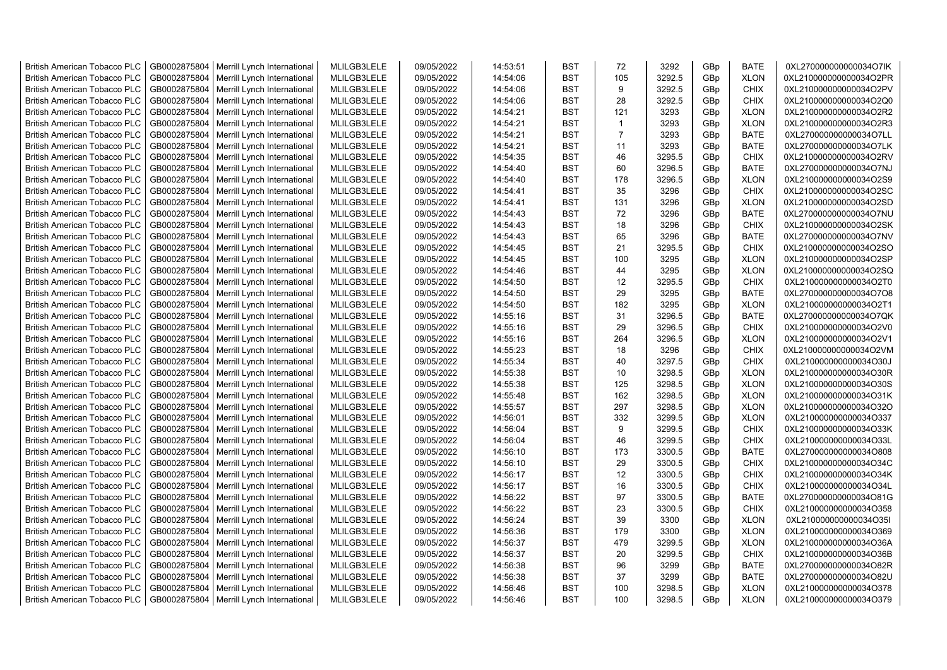| <b>British American Tobacco PLC</b> | GB0002875804 | Merrill Lynch International                | MLILGB3LELE | 09/05/2022 | 14:53:51 | <b>BST</b> | 72             | 3292   | GBp             | <b>BATE</b> | 0XL270000000000034O7IK |
|-------------------------------------|--------------|--------------------------------------------|-------------|------------|----------|------------|----------------|--------|-----------------|-------------|------------------------|
| <b>British American Tobacco PLC</b> | GB0002875804 | Merrill Lynch International                | MLILGB3LELE | 09/05/2022 | 14:54:06 | <b>BST</b> | 105            | 3292.5 | GBp             | <b>XLON</b> | 0XL210000000000034O2PR |
| <b>British American Tobacco PLC</b> | GB0002875804 | Merrill Lynch International                | MLILGB3LELE | 09/05/2022 | 14:54:06 | <b>BST</b> | 9              | 3292.5 | GBp             | <b>CHIX</b> | 0XL210000000000034O2PV |
| <b>British American Tobacco PLC</b> | GB0002875804 | Merrill Lynch International                | MLILGB3LELE | 09/05/2022 | 14:54:06 | <b>BST</b> | 28             | 3292.5 | GBp             | <b>CHIX</b> | 0XL210000000000034O2Q0 |
| <b>British American Tobacco PLC</b> | GB0002875804 | Merrill Lynch International                | MLILGB3LELE | 09/05/2022 | 14:54:21 | <b>BST</b> | 121            | 3293   | GBp             | <b>XLON</b> | 0XL210000000000034O2R2 |
| <b>British American Tobacco PLC</b> | GB0002875804 | Merrill Lynch International                | MLILGB3LELE | 09/05/2022 | 14:54:21 | <b>BST</b> | $\overline{1}$ | 3293   | GBp             | <b>XLON</b> | 0XL210000000000034O2R3 |
| <b>British American Tobacco PLC</b> | GB0002875804 | Merrill Lynch International                | MLILGB3LELE | 09/05/2022 | 14:54:21 | <b>BST</b> | $\overline{7}$ | 3293   | GBp             | <b>BATE</b> | 0XL270000000000034O7LL |
| <b>British American Tobacco PLC</b> | GB0002875804 | Merrill Lynch International                | MLILGB3LELE | 09/05/2022 | 14:54:21 | <b>BST</b> | 11             | 3293   | GBp             | <b>BATE</b> | 0XL270000000000034O7LK |
| <b>British American Tobacco PLC</b> | GB0002875804 | Merrill Lynch International                | MLILGB3LELE | 09/05/2022 | 14:54:35 | BST        | 46             | 3295.5 | GBp             | <b>CHIX</b> | 0XL210000000000034O2RV |
| <b>British American Tobacco PLC</b> | GB0002875804 | Merrill Lynch International                | MLILGB3LELE | 09/05/2022 | 14:54:40 | <b>BST</b> | 60             | 3296.5 | GBp             | <b>BATE</b> | 0XL270000000000034O7NJ |
| <b>British American Tobacco PLC</b> | GB0002875804 | Merrill Lynch International                | MLILGB3LELE | 09/05/2022 | 14:54:40 | <b>BST</b> | 178            | 3296.5 | GBp             | <b>XLON</b> | 0XL210000000000034O2S9 |
| <b>British American Tobacco PLC</b> | GB0002875804 | Merrill Lynch International                | MLILGB3LELE | 09/05/2022 | 14:54:41 | <b>BST</b> | 35             | 3296   | GBp             | <b>CHIX</b> | 0XL210000000000034O2SC |
| <b>British American Tobacco PLC</b> | GB0002875804 | Merrill Lynch International                | MLILGB3LELE | 09/05/2022 | 14:54:41 | <b>BST</b> | 131            | 3296   | GBp             | <b>XLON</b> | 0XL210000000000034O2SD |
| <b>British American Tobacco PLC</b> | GB0002875804 | Merrill Lynch International                | MLILGB3LELE | 09/05/2022 | 14:54:43 | <b>BST</b> | 72             | 3296   | GBp             | <b>BATE</b> | 0XL270000000000034O7NU |
| <b>British American Tobacco PLC</b> | GB0002875804 | Merrill Lynch International                | MLILGB3LELE | 09/05/2022 | 14:54:43 | <b>BST</b> | 18             | 3296   | GB <sub>p</sub> | <b>CHIX</b> | 0XL210000000000034O2SK |
| <b>British American Tobacco PLC</b> | GB0002875804 | Merrill Lynch International                | MLILGB3LELE | 09/05/2022 | 14:54:43 | <b>BST</b> | 65             | 3296   | GBp             | <b>BATE</b> | 0XL270000000000034O7NV |
| <b>British American Tobacco PLC</b> | GB0002875804 | Merrill Lynch International                | MLILGB3LELE | 09/05/2022 | 14:54:45 | <b>BST</b> | 21             | 3295.5 | GBp             | <b>CHIX</b> | 0XL210000000000034O2SO |
| <b>British American Tobacco PLC</b> | GB0002875804 | Merrill Lynch International                | MLILGB3LELE | 09/05/2022 | 14:54:45 | <b>BST</b> | 100            | 3295   | GBp             | <b>XLON</b> | 0XL210000000000034O2SP |
| <b>British American Tobacco PLC</b> | GB0002875804 | Merrill Lynch International                | MLILGB3LELE | 09/05/2022 | 14:54:46 | <b>BST</b> | 44             | 3295   | GBp             | <b>XLON</b> | 0XL210000000000034O2SQ |
| <b>British American Tobacco PLC</b> | GB0002875804 | Merrill Lynch International                | MLILGB3LELE | 09/05/2022 | 14:54:50 | <b>BST</b> | 12             | 3295.5 | GBp             | <b>CHIX</b> | 0XL210000000000034O2T0 |
| <b>British American Tobacco PLC</b> | GB0002875804 | Merrill Lynch International                | MLILGB3LELE | 09/05/2022 | 14:54:50 | <b>BST</b> | 29             | 3295   | GBp             | <b>BATE</b> | 0XL270000000000034O7O8 |
| <b>British American Tobacco PLC</b> | GB0002875804 | Merrill Lynch International                | MLILGB3LELE | 09/05/2022 | 14:54:50 | <b>BST</b> | 182            | 3295   | GBp             | <b>XLON</b> | 0XL210000000000034O2T1 |
|                                     | GB0002875804 |                                            | MLILGB3LELE | 09/05/2022 | 14:55:16 | <b>BST</b> | 31             | 3296.5 | GBp             | <b>BATE</b> | 0XL270000000000034O7QK |
| <b>British American Tobacco PLC</b> |              | Merrill Lynch International                |             |            |          |            |                |        |                 |             |                        |
| <b>British American Tobacco PLC</b> | GB0002875804 | Merrill Lynch International                | MLILGB3LELE | 09/05/2022 | 14:55:16 | BST        | 29             | 3296.5 | GBp             | <b>CHIX</b> | 0XL210000000000034O2V0 |
| <b>British American Tobacco PLC</b> | GB0002875804 | Merrill Lynch International                | MLILGB3LELE | 09/05/2022 | 14:55:16 | <b>BST</b> | 264            | 3296.5 | GBp             | <b>XLON</b> | 0XL210000000000034O2V1 |
| <b>British American Tobacco PLC</b> | GB0002875804 | Merrill Lynch International                | MLILGB3LELE | 09/05/2022 | 14:55:23 | <b>BST</b> | 18             | 3296   | GBp             | <b>CHIX</b> | 0XL210000000000034O2VM |
| <b>British American Tobacco PLC</b> | GB0002875804 | Merrill Lynch International                | MLILGB3LELE | 09/05/2022 | 14:55:34 | <b>BST</b> | 40             | 3297.5 | GBp             | <b>CHIX</b> | 0XL210000000000034O30J |
| <b>British American Tobacco PLC</b> | GB0002875804 | Merrill Lynch International                | MLILGB3LELE | 09/05/2022 | 14:55:38 | <b>BST</b> | 10             | 3298.5 | GBp             | <b>XLON</b> | 0XL210000000000034O30R |
| <b>British American Tobacco PLC</b> | GB0002875804 | Merrill Lynch International                | MLILGB3LELE | 09/05/2022 | 14:55:38 | <b>BST</b> | 125            | 3298.5 | GBp             | <b>XLON</b> | 0XL210000000000034O30S |
| <b>British American Tobacco PLC</b> | GB0002875804 | Merrill Lynch International                | MLILGB3LELE | 09/05/2022 | 14:55:48 | <b>BST</b> | 162            | 3298.5 | GBp             | <b>XLON</b> | 0XL210000000000034O31K |
| <b>British American Tobacco PLC</b> | GB0002875804 | Merrill Lynch International                | MLILGB3LELE | 09/05/2022 | 14:55:57 | <b>BST</b> | 297            | 3298.5 | GBp             | <b>XLON</b> | 0XL210000000000034O32O |
| <b>British American Tobacco PLC</b> | GB0002875804 | Merrill Lynch International                | MLILGB3LELE | 09/05/2022 | 14:56:01 | <b>BST</b> | 332            | 3299.5 | GBp             | <b>XLON</b> | 0XL210000000000034O337 |
| <b>British American Tobacco PLC</b> | GB0002875804 | Merrill Lynch International                | MLILGB3LELE | 09/05/2022 | 14:56:04 | <b>BST</b> | 9              | 3299.5 | GBp             | <b>CHIX</b> | 0XL210000000000034O33K |
| <b>British American Tobacco PLC</b> | GB0002875804 | Merrill Lynch International                | MLILGB3LELE | 09/05/2022 | 14:56:04 | <b>BST</b> | 46             | 3299.5 | GBp             | <b>CHIX</b> | 0XL210000000000034O33L |
| <b>British American Tobacco PLC</b> | GB0002875804 | Merrill Lynch International                | MLILGB3LELE | 09/05/2022 | 14:56:10 | <b>BST</b> | 173            | 3300.5 | GBp             | BATE        | 0XL270000000000034O808 |
| <b>British American Tobacco PLC</b> | GB0002875804 | Merrill Lynch International                | MLILGB3LELE | 09/05/2022 | 14:56:10 | <b>BST</b> | 29             | 3300.5 | GBp             | <b>CHIX</b> | 0XL210000000000034O34C |
| <b>British American Tobacco PLC</b> | GB0002875804 | Merrill Lynch International                | MLILGB3LELE | 09/05/2022 | 14:56:17 | <b>BST</b> | 12             | 3300.5 | GBp             | <b>CHIX</b> | 0XL210000000000034O34K |
| <b>British American Tobacco PLC</b> | GB0002875804 | Merrill Lynch International                | MLILGB3LELE | 09/05/2022 | 14:56:17 | <b>BST</b> | 16             | 3300.5 | GBp             | <b>CHIX</b> | 0XL210000000000034O34L |
| <b>British American Tobacco PLC</b> | GB0002875804 | Merrill Lynch International                | MLILGB3LELE | 09/05/2022 | 14:56:22 | <b>BST</b> | 97             | 3300.5 | GBp             | <b>BATE</b> | 0XL270000000000034O81G |
| <b>British American Tobacco PLC</b> | GB0002875804 | Merrill Lynch International                | MLILGB3LELE | 09/05/2022 | 14:56:22 | <b>BST</b> | 23             | 3300.5 | GBp             | <b>CHIX</b> | 0XL210000000000034O358 |
| <b>British American Tobacco PLC</b> | GB0002875804 | Merrill Lynch International                | MLILGB3LELE | 09/05/2022 | 14:56:24 | <b>BST</b> | 39             | 3300   | GBp             | <b>XLON</b> | 0XL210000000000034O35I |
| <b>British American Tobacco PLC</b> | GB0002875804 | Merrill Lynch International                | MLILGB3LELE | 09/05/2022 | 14:56:36 | <b>BST</b> | 179            | 3300   | GBp             | <b>XLON</b> | 0XL210000000000034O369 |
| <b>British American Tobacco PLC</b> | GB0002875804 | Merrill Lynch International                | MLILGB3LELE | 09/05/2022 | 14:56:37 | <b>BST</b> | 479            | 3299.5 | GBp             | <b>XLON</b> | 0XL210000000000034O36A |
| <b>British American Tobacco PLC</b> | GB0002875804 | Merrill Lynch International                | MLILGB3LELE | 09/05/2022 | 14:56:37 | <b>BST</b> | 20             | 3299.5 | GBp             | <b>CHIX</b> | 0XL210000000000034O36B |
| <b>British American Tobacco PLC</b> | GB0002875804 | Merrill Lynch International                | MLILGB3LELE | 09/05/2022 | 14:56:38 | <b>BST</b> | 96             | 3299   | GBp             | <b>BATE</b> | 0XL270000000000034O82R |
| <b>British American Tobacco PLC</b> | GB0002875804 | Merrill Lynch International                | MLILGB3LELE | 09/05/2022 | 14:56:38 | <b>BST</b> | 37             | 3299   | GBp             | <b>BATE</b> | 0XL270000000000034O82U |
| <b>British American Tobacco PLC</b> | GB0002875804 | Merrill Lynch International                | MLILGB3LELE | 09/05/2022 | 14:56:46 | <b>BST</b> | 100            | 3298.5 | GBp             | <b>XLON</b> | 0XL210000000000034O378 |
| <b>British American Tobacco PLC</b> |              | GB0002875804   Merrill Lynch International | MLILGB3LELE | 09/05/2022 | 14:56:46 | <b>BST</b> | 100            | 3298.5 | GB <sub>p</sub> | <b>XLON</b> | 0XL210000000000034O379 |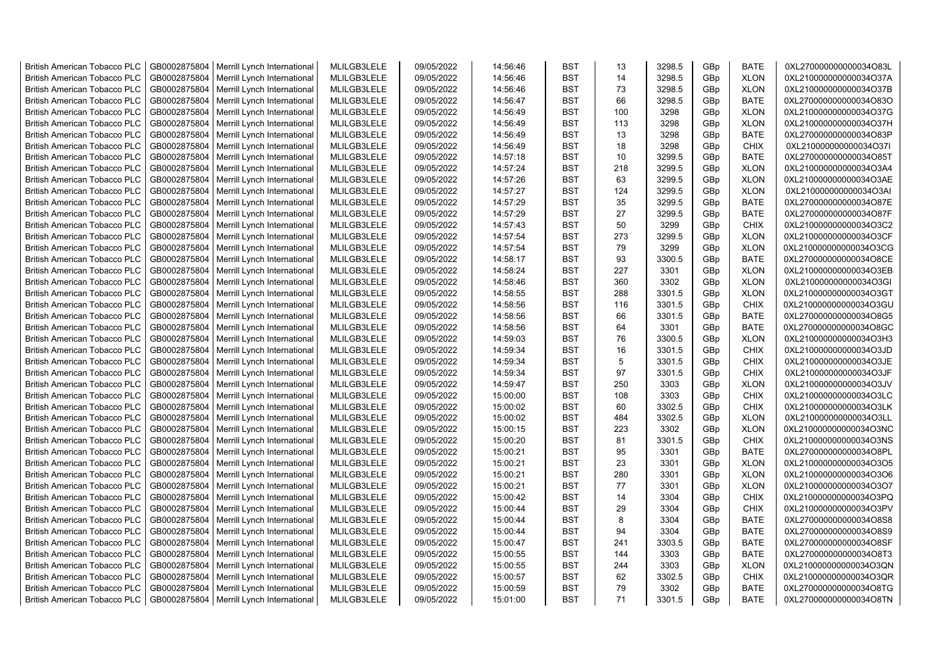| <b>British American Tobacco PLC</b> | GB0002875804 | Merrill Lynch International                | MLILGB3LELE | 09/05/2022 | 14:56:46 | <b>BST</b> | 13  | 3298.5 | GBp | <b>BATE</b> | 0XL270000000000034O83L |
|-------------------------------------|--------------|--------------------------------------------|-------------|------------|----------|------------|-----|--------|-----|-------------|------------------------|
| <b>British American Tobacco PLC</b> | GB0002875804 | Merrill Lynch International                | MLILGB3LELE | 09/05/2022 | 14:56:46 | <b>BST</b> | 14  | 3298.5 | GBp | <b>XLON</b> | 0XL210000000000034O37A |
| <b>British American Tobacco PLC</b> | GB0002875804 | Merrill Lynch International                | MLILGB3LELE | 09/05/2022 | 14:56:46 | <b>BST</b> | 73  | 3298.5 | GBp | <b>XLON</b> | 0XL210000000000034O37B |
| <b>British American Tobacco PLC</b> | GB0002875804 | Merrill Lynch International                | MLILGB3LELE | 09/05/2022 | 14:56:47 | <b>BST</b> | 66  | 3298.5 | GBp | <b>BATE</b> | 0XL270000000000034O83O |
| <b>British American Tobacco PLC</b> | GB0002875804 | Merrill Lynch International                | MLILGB3LELE | 09/05/2022 | 14:56:49 | <b>BST</b> | 100 | 3298   | GBp | <b>XLON</b> | 0XL210000000000034O37G |
| <b>British American Tobacco PLC</b> | GB0002875804 | Merrill Lynch International                | MLILGB3LELE | 09/05/2022 | 14:56:49 | <b>BST</b> | 113 | 3298   | GBp | <b>XLON</b> | 0XL210000000000034O37H |
| <b>British American Tobacco PLC</b> | GB0002875804 | Merrill Lynch International                | MLILGB3LELE | 09/05/2022 | 14:56:49 | <b>BST</b> | 13  | 3298   | GBp | <b>BATE</b> | 0XL270000000000034O83P |
| <b>British American Tobacco PLC</b> | GB0002875804 | Merrill Lynch International                | MLILGB3LELE | 09/05/2022 | 14:56:49 | <b>BST</b> | 18  | 3298   | GBp | CHIX        | 0XL210000000000034O37I |
| <b>British American Tobacco PLC</b> | GB0002875804 | Merrill Lynch International                | MLILGB3LELE | 09/05/2022 | 14:57:18 | <b>BST</b> | 10  | 3299.5 | GBp | <b>BATE</b> | 0XL270000000000034O85T |
| <b>British American Tobacco PLC</b> | GB0002875804 | Merrill Lynch International                | MLILGB3LELE | 09/05/2022 | 14:57:24 | <b>BST</b> | 218 | 3299.5 | GBp | <b>XLON</b> | 0XL210000000000034O3A4 |
| <b>British American Tobacco PLC</b> | GB0002875804 | Merrill Lynch International                | MLILGB3LELE | 09/05/2022 | 14:57:26 | <b>BST</b> | 63  | 3299.5 | GBp | <b>XLON</b> | 0XL210000000000034O3AE |
| <b>British American Tobacco PLC</b> | GB0002875804 | Merrill Lynch International                | MLILGB3LELE | 09/05/2022 | 14:57:27 | <b>BST</b> | 124 | 3299.5 | GBp | <b>XLON</b> | 0XL210000000000034O3AI |
| <b>British American Tobacco PLC</b> | GB0002875804 | Merrill Lynch International                | MLILGB3LELE | 09/05/2022 | 14:57:29 | <b>BST</b> | 35  | 3299.5 | GBp | <b>BATE</b> | 0XL270000000000034O87E |
| <b>British American Tobacco PLC</b> | GB0002875804 | Merrill Lynch International                | MLILGB3LELE | 09/05/2022 | 14:57:29 | <b>BST</b> | 27  | 3299.5 | GBp | <b>BATE</b> | 0XL270000000000034O87F |
| <b>British American Tobacco PLC</b> | GB0002875804 | Merrill Lynch International                | MLILGB3LELE | 09/05/2022 | 14:57:43 | <b>BST</b> | 50  | 3299   | GBp | <b>CHIX</b> | 0XL210000000000034O3C2 |
| <b>British American Tobacco PLC</b> | GB0002875804 | Merrill Lynch International                | MLILGB3LELE | 09/05/2022 | 14:57:54 | <b>BST</b> | 273 | 3299.5 | GBp | <b>XLON</b> | 0XL210000000000034O3CF |
| <b>British American Tobacco PLC</b> | GB0002875804 | Merrill Lynch International                | MLILGB3LELE | 09/05/2022 | 14:57:54 | <b>BST</b> | 79  | 3299   | GBp | <b>XLON</b> | 0XL210000000000034O3CG |
| <b>British American Tobacco PLC</b> | GB0002875804 | Merrill Lynch International                | MLILGB3LELE | 09/05/2022 | 14:58:17 | <b>BST</b> | 93  | 3300.5 | GBp | <b>BATE</b> | 0XL270000000000034O8CE |
| <b>British American Tobacco PLC</b> | GB0002875804 | Merrill Lynch International                | MLILGB3LELE | 09/05/2022 | 14:58:24 | <b>BST</b> | 227 | 3301   | GBp | <b>XLON</b> | 0XL210000000000034O3EB |
| <b>British American Tobacco PLC</b> | GB0002875804 | Merrill Lynch International                | MLILGB3LELE | 09/05/2022 | 14:58:46 | <b>BST</b> | 360 | 3302   | GBp | <b>XLON</b> | 0XL210000000000034O3GI |
| <b>British American Tobacco PLC</b> | GB0002875804 | Merrill Lynch International                | MLILGB3LELE | 09/05/2022 | 14:58:55 | <b>BST</b> | 288 | 3301.5 | GBp | <b>XLON</b> | 0XL210000000000034O3GT |
| <b>British American Tobacco PLC</b> | GB0002875804 | Merrill Lynch International                | MLILGB3LELE | 09/05/2022 | 14:58:56 | <b>BST</b> | 116 | 3301.5 | GBp | <b>CHIX</b> | 0XL210000000000034O3GU |
| <b>British American Tobacco PLC</b> | GB0002875804 | Merrill Lynch International                | MLILGB3LELE | 09/05/2022 | 14:58:56 | <b>BST</b> | 66  | 3301.5 | GBp | <b>BATE</b> | 0XL270000000000034O8G5 |
| <b>British American Tobacco PLC</b> | GB0002875804 | Merrill Lynch International                | MLILGB3LELE | 09/05/2022 | 14:58:56 | BST        | 64  | 3301   | GBp | <b>BATE</b> | 0XL270000000000034O8GC |
| <b>British American Tobacco PLC</b> | GB0002875804 | Merrill Lynch International                | MLILGB3LELE | 09/05/2022 | 14:59:03 | <b>BST</b> | 76  | 3300.5 | GBp | <b>XLON</b> | 0XL210000000000034O3H3 |
| <b>British American Tobacco PLC</b> | GB0002875804 | Merrill Lynch International                | MLILGB3LELE | 09/05/2022 | 14:59:34 | <b>BST</b> | 16  | 3301.5 | GBp | <b>CHIX</b> | 0XL210000000000034O3JD |
| <b>British American Tobacco PLC</b> | GB0002875804 | Merrill Lynch International                | MLILGB3LELE | 09/05/2022 | 14:59:34 | <b>BST</b> | 5   | 3301.5 | GBp | <b>CHIX</b> | 0XL210000000000034O3JE |
| <b>British American Tobacco PLC</b> | GB0002875804 | Merrill Lynch International                | MLILGB3LELE | 09/05/2022 | 14:59:34 | <b>BST</b> | 97  | 3301.5 | GBp | <b>CHIX</b> | 0XL210000000000034O3JF |
| <b>British American Tobacco PLC</b> | GB0002875804 | Merrill Lynch International                | MLILGB3LELE | 09/05/2022 | 14:59:47 | <b>BST</b> | 250 | 3303   | GBp | <b>XLON</b> | 0XL210000000000034O3JV |
| <b>British American Tobacco PLC</b> | GB0002875804 | Merrill Lynch International                | MLILGB3LELE | 09/05/2022 | 15:00:00 | <b>BST</b> | 108 | 3303   | GBp | <b>CHIX</b> | 0XL210000000000034O3LC |
| <b>British American Tobacco PLC</b> | GB0002875804 | Merrill Lynch International                | MLILGB3LELE | 09/05/2022 | 15:00:02 | <b>BST</b> | 60  | 3302.5 | GBp | <b>CHIX</b> | 0XL210000000000034O3LK |
| <b>British American Tobacco PLC</b> | GB0002875804 | Merrill Lynch International                | MLILGB3LELE | 09/05/2022 | 15:00:02 | <b>BST</b> | 484 | 3302.5 | GBp | <b>XLON</b> | 0XL210000000000034O3LL |
| <b>British American Tobacco PLC</b> | GB0002875804 | Merrill Lynch International                | MLILGB3LELE | 09/05/2022 | 15:00:15 | <b>BST</b> | 223 | 3302   | GBp | <b>XLON</b> | 0XL210000000000034O3NC |
| <b>British American Tobacco PLC</b> | GB0002875804 | Merrill Lynch International                | MLILGB3LELE | 09/05/2022 | 15:00:20 | <b>BST</b> | 81  | 3301.5 | GBp | <b>CHIX</b> | 0XL210000000000034O3NS |
| <b>British American Tobacco PLC</b> | GB0002875804 | Merrill Lynch International                | MLILGB3LELE | 09/05/2022 | 15:00:21 | <b>BST</b> | 95  | 3301   | GBp | <b>BATE</b> | 0XL270000000000034O8PL |
| <b>British American Tobacco PLC</b> | GB0002875804 | Merrill Lynch International                | MLILGB3LELE | 09/05/2022 | 15:00:21 | <b>BST</b> | 23  | 3301   | GBp | <b>XLON</b> | 0XL210000000000034O3O5 |
| <b>British American Tobacco PLC</b> | GB0002875804 | Merrill Lynch International                | MLILGB3LELE | 09/05/2022 | 15:00:21 | <b>BST</b> | 280 | 3301   | GBp | <b>XLON</b> | 0XL210000000000034O3O6 |
| <b>British American Tobacco PLC</b> | GB0002875804 | Merrill Lynch International                | MLILGB3LELE | 09/05/2022 | 15:00:21 | <b>BST</b> | 77  | 3301   | GBp | <b>XLON</b> | 0XL210000000000034O3O7 |
| <b>British American Tobacco PLC</b> | GB0002875804 | Merrill Lynch International                | MLILGB3LELE | 09/05/2022 | 15:00:42 | <b>BST</b> | 14  | 3304   | GBp | <b>CHIX</b> | 0XL210000000000034O3PQ |
| <b>British American Tobacco PLC</b> | GB0002875804 | Merrill Lynch International                | MLILGB3LELE | 09/05/2022 | 15:00:44 | <b>BST</b> | 29  | 3304   | GBp | <b>CHIX</b> | 0XL210000000000034O3PV |
| <b>British American Tobacco PLC</b> | GB0002875804 | Merrill Lynch International                | MLILGB3LELE | 09/05/2022 | 15:00:44 | <b>BST</b> | 8   | 3304   | GBp | <b>BATE</b> | 0XL270000000000034O8S8 |
| <b>British American Tobacco PLC</b> | GB0002875804 | Merrill Lynch International                | MLILGB3LELE | 09/05/2022 | 15:00:44 | <b>BST</b> | 94  | 3304   | GBp | <b>BATE</b> | 0XL270000000000034O8S9 |
| <b>British American Tobacco PLC</b> | GB0002875804 | Merrill Lynch International                | MLILGB3LELE | 09/05/2022 | 15:00:47 | <b>BST</b> | 241 | 3303.5 | GBp | <b>BATE</b> | 0XL270000000000034O8SF |
| <b>British American Tobacco PLC</b> | GB0002875804 | Merrill Lynch International                | MLILGB3LELE | 09/05/2022 | 15:00:55 | <b>BST</b> | 144 | 3303   | GBp | <b>BATE</b> | 0XL270000000000034O8T3 |
| <b>British American Tobacco PLC</b> | GB0002875804 | Merrill Lynch International                | MLILGB3LELE | 09/05/2022 | 15:00:55 | <b>BST</b> | 244 | 3303   | GBp | <b>XLON</b> | 0XL210000000000034O3QN |
| <b>British American Tobacco PLC</b> | GB0002875804 | Merrill Lynch International                | MLILGB3LELE | 09/05/2022 | 15:00:57 | <b>BST</b> | 62  | 3302.5 | GBp | <b>CHIX</b> | 0XL210000000000034O3QR |
| <b>British American Tobacco PLC</b> | GB0002875804 | Merrill Lynch International                | MLILGB3LELE | 09/05/2022 | 15:00:59 | <b>BST</b> | 79  | 3302   | GBp | <b>BATE</b> | 0XL270000000000034O8TG |
| <b>British American Tobacco PLC</b> |              | GB0002875804   Merrill Lynch International | MLILGB3LELE | 09/05/2022 | 15:01:00 | <b>BST</b> | 71  | 3301.5 | GBp | <b>BATE</b> | 0XL270000000000034O8TN |
|                                     |              |                                            |             |            |          |            |     |        |     |             |                        |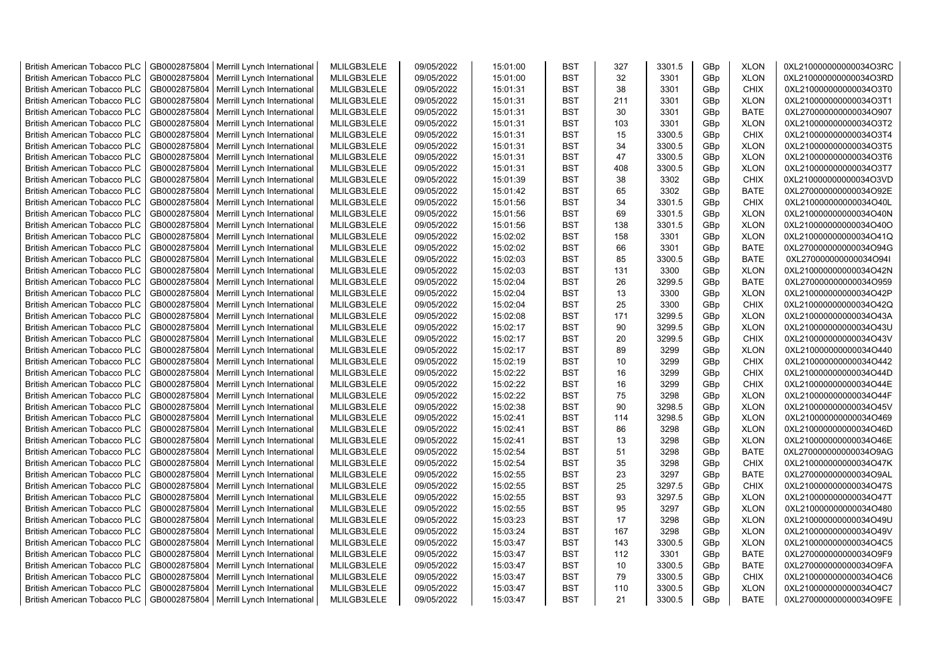| <b>British American Tobacco PLC</b> | GB0002875804 | Merrill Lynch International                | MLILGB3LELE | 09/05/2022 | 15:01:00 | <b>BST</b> | 327 | 3301.5 | GBp | <b>XLON</b> | 0XL210000000000034O3RC |
|-------------------------------------|--------------|--------------------------------------------|-------------|------------|----------|------------|-----|--------|-----|-------------|------------------------|
| <b>British American Tobacco PLC</b> | GB0002875804 | Merrill Lynch International                | MLILGB3LELE | 09/05/2022 | 15:01:00 | <b>BST</b> | 32  | 3301   | GBp | <b>XLON</b> | 0XL210000000000034O3RD |
| <b>British American Tobacco PLC</b> | GB0002875804 | Merrill Lynch International                | MLILGB3LELE | 09/05/2022 | 15:01:31 | <b>BST</b> | 38  | 3301   | GBp | <b>CHIX</b> | 0XL210000000000034O3T0 |
| <b>British American Tobacco PLC</b> | GB0002875804 | Merrill Lynch International                | MLILGB3LELE | 09/05/2022 | 15:01:31 | <b>BST</b> | 211 | 3301   | GBp | <b>XLON</b> | 0XL210000000000034O3T1 |
| <b>British American Tobacco PLC</b> | GB0002875804 | Merrill Lynch International                | MLILGB3LELE | 09/05/2022 | 15:01:31 | <b>BST</b> | 30  | 3301   | GBp | <b>BATE</b> | 0XL270000000000034O907 |
| <b>British American Tobacco PLC</b> | GB0002875804 | Merrill Lynch International                | MLILGB3LELE | 09/05/2022 | 15:01:31 | <b>BST</b> | 103 | 3301   | GBp | <b>XLON</b> | 0XL210000000000034O3T2 |
| <b>British American Tobacco PLC</b> | GB0002875804 | Merrill Lynch International                | MLILGB3LELE | 09/05/2022 | 15:01:31 | <b>BST</b> | 15  | 3300.5 | GBp | <b>CHIX</b> | 0XL210000000000034O3T4 |
| <b>British American Tobacco PLC</b> | GB0002875804 | Merrill Lynch International                | MLILGB3LELE | 09/05/2022 | 15:01:31 | <b>BST</b> | 34  | 3300.5 | GBp | <b>XLON</b> | 0XL210000000000034O3T5 |
| <b>British American Tobacco PLC</b> | GB0002875804 | Merrill Lynch International                | MLILGB3LELE | 09/05/2022 | 15:01:31 | <b>BST</b> | 47  | 3300.5 | GBp | <b>XLON</b> | 0XL210000000000034O3T6 |
| <b>British American Tobacco PLC</b> | GB0002875804 |                                            | MLILGB3LELE | 09/05/2022 | 15:01:31 | <b>BST</b> | 408 | 3300.5 | GBp | <b>XLON</b> | 0XL210000000000034O3T7 |
|                                     |              | Merrill Lynch International                |             |            |          |            |     |        |     |             |                        |
| <b>British American Tobacco PLC</b> | GB0002875804 | Merrill Lynch International                | MLILGB3LELE | 09/05/2022 | 15:01:39 | <b>BST</b> | 38  | 3302   | GBp | <b>CHIX</b> | 0XL210000000000034O3VD |
| <b>British American Tobacco PLC</b> | GB0002875804 | Merrill Lynch International                | MLILGB3LELE | 09/05/2022 | 15:01:42 | <b>BST</b> | 65  | 3302   | GBp | <b>BATE</b> | 0XL270000000000034O92E |
| <b>British American Tobacco PLC</b> | GB0002875804 | Merrill Lynch International                | MLILGB3LELE | 09/05/2022 | 15:01:56 | <b>BST</b> | 34  | 3301.5 | GBp | <b>CHIX</b> | 0XL210000000000034O40L |
| <b>British American Tobacco PLC</b> | GB0002875804 | Merrill Lynch International                | MLILGB3LELE | 09/05/2022 | 15:01:56 | <b>BST</b> | 69  | 3301.5 | GBp | <b>XLON</b> | 0XL210000000000034O40N |
| <b>British American Tobacco PLC</b> | GB0002875804 | Merrill Lynch International                | MLILGB3LELE | 09/05/2022 | 15:01:56 | <b>BST</b> | 138 | 3301.5 | GBp | <b>XLON</b> | 0XL210000000000034O40O |
| <b>British American Tobacco PLC</b> | GB0002875804 | Merrill Lynch International                | MLILGB3LELE | 09/05/2022 | 15:02:02 | <b>BST</b> | 158 | 3301   | GBp | <b>XLON</b> | 0XL210000000000034O41Q |
| <b>British American Tobacco PLC</b> | GB0002875804 | Merrill Lynch International                | MLILGB3LELE | 09/05/2022 | 15:02:02 | <b>BST</b> | 66  | 3301   | GBp | <b>BATE</b> | 0XL270000000000034O94G |
| <b>British American Tobacco PLC</b> | GB0002875804 | Merrill Lynch International                | MLILGB3LELE | 09/05/2022 | 15:02:03 | <b>BST</b> | 85  | 3300.5 | GBp | <b>BATE</b> | 0XL270000000000034O94I |
| <b>British American Tobacco PLC</b> | GB0002875804 | Merrill Lynch International                | MLILGB3LELE | 09/05/2022 | 15:02:03 | <b>BST</b> | 131 | 3300   | GBp | <b>XLON</b> | 0XL210000000000034O42N |
| <b>British American Tobacco PLC</b> | GB0002875804 | Merrill Lynch International                | MLILGB3LELE | 09/05/2022 | 15:02:04 | <b>BST</b> | 26  | 3299.5 | GBp | <b>BATE</b> | 0XL270000000000034O959 |
| <b>British American Tobacco PLC</b> | GB0002875804 | Merrill Lynch International                | MLILGB3LELE | 09/05/2022 | 15:02:04 | <b>BST</b> | 13  | 3300   | GBp | <b>XLON</b> | 0XL210000000000034O42P |
| <b>British American Tobacco PLC</b> | GB0002875804 | Merrill Lynch International                | MLILGB3LELE | 09/05/2022 | 15:02:04 | <b>BST</b> | 25  | 3300   | GBp | <b>CHIX</b> | 0XL210000000000034O42Q |
| <b>British American Tobacco PLC</b> | GB0002875804 | Merrill Lynch International                | MLILGB3LELE | 09/05/2022 | 15:02:08 | <b>BST</b> | 171 | 3299.5 | GBp | <b>XLON</b> | 0XL210000000000034O43A |
| <b>British American Tobacco PLC</b> | GB0002875804 | Merrill Lynch International                | MLILGB3LELE | 09/05/2022 | 15:02:17 | BST        | 90  | 3299.5 | GBp | <b>XLON</b> | 0XL210000000000034O43U |
| <b>British American Tobacco PLC</b> | GB0002875804 | Merrill Lynch International                | MLILGB3LELE | 09/05/2022 | 15:02:17 | <b>BST</b> | 20  | 3299.5 | GBp | <b>CHIX</b> | 0XL210000000000034O43V |
| <b>British American Tobacco PLC</b> | GB0002875804 | Merrill Lynch International                | MLILGB3LELE | 09/05/2022 | 15:02:17 | <b>BST</b> | 89  | 3299   | GBp | <b>XLON</b> | 0XL210000000000034O440 |
| <b>British American Tobacco PLC</b> | GB0002875804 | Merrill Lynch International                | MLILGB3LELE | 09/05/2022 | 15:02:19 | <b>BST</b> | 10  | 3299   | GBp | <b>CHIX</b> | 0XL210000000000034O442 |
| <b>British American Tobacco PLC</b> | GB0002875804 | Merrill Lynch International                | MLILGB3LELE | 09/05/2022 | 15:02:22 | <b>BST</b> | 16  | 3299   | GBp | <b>CHIX</b> | 0XL210000000000034O44D |
| <b>British American Tobacco PLC</b> | GB0002875804 | Merrill Lynch International                | MLILGB3LELE | 09/05/2022 | 15:02:22 | <b>BST</b> | 16  | 3299   | GBp | <b>CHIX</b> | 0XL210000000000034O44E |
| <b>British American Tobacco PLC</b> | GB0002875804 | Merrill Lynch International                | MLILGB3LELE | 09/05/2022 | 15:02:22 | <b>BST</b> | 75  | 3298   | GBp | <b>XLON</b> | 0XL210000000000034O44F |
| <b>British American Tobacco PLC</b> | GB0002875804 | Merrill Lynch International                | MLILGB3LELE | 09/05/2022 | 15:02:38 | <b>BST</b> | 90  | 3298.5 | GBp | <b>XLON</b> | 0XL210000000000034O45V |
| <b>British American Tobacco PLC</b> | GB0002875804 | Merrill Lynch International                | MLILGB3LELE | 09/05/2022 | 15:02:41 | <b>BST</b> | 114 | 3298.5 | GBp | <b>XLON</b> | 0XL210000000000034O469 |
| <b>British American Tobacco PLC</b> | GB0002875804 | Merrill Lynch International                | MLILGB3LELE | 09/05/2022 | 15:02:41 | <b>BST</b> | 86  | 3298   | GBp | <b>XLON</b> | 0XL210000000000034O46D |
| <b>British American Tobacco PLC</b> | GB0002875804 | Merrill Lynch International                | MLILGB3LELE | 09/05/2022 | 15:02:41 | <b>BST</b> | 13  | 3298   | GBp | <b>XLON</b> | 0XL210000000000034O46E |
| <b>British American Tobacco PLC</b> | GB0002875804 | Merrill Lynch International                | MLILGB3LELE | 09/05/2022 | 15:02:54 | <b>BST</b> | 51  | 3298   | GBp | <b>BATE</b> | 0XL270000000000034O9AG |
|                                     | GB0002875804 |                                            |             | 09/05/2022 | 15:02:54 | <b>BST</b> | 35  | 3298   |     | <b>CHIX</b> | 0XL210000000000034O47K |
| <b>British American Tobacco PLC</b> |              | Merrill Lynch International                | MLILGB3LELE |            |          |            |     |        | GBp |             |                        |
| <b>British American Tobacco PLC</b> | GB0002875804 | Merrill Lynch International                | MLILGB3LELE | 09/05/2022 | 15:02:55 | <b>BST</b> | 23  | 3297   | GBp | BATE        | 0XL270000000000034O9AL |
| <b>British American Tobacco PLC</b> | GB0002875804 | Merrill Lynch International                | MLILGB3LELE | 09/05/2022 | 15:02:55 | <b>BST</b> | 25  | 3297.5 | GBp | <b>CHIX</b> | 0XL210000000000034O47S |
| <b>British American Tobacco PLC</b> | GB0002875804 | Merrill Lynch International                | MLILGB3LELE | 09/05/2022 | 15:02:55 | <b>BST</b> | 93  | 3297.5 | GBp | <b>XLON</b> | 0XL210000000000034O47T |
| <b>British American Tobacco PLC</b> | GB0002875804 | Merrill Lynch International                | MLILGB3LELE | 09/05/2022 | 15:02:55 | <b>BST</b> | 95  | 3297   | GBp | <b>XLON</b> | 0XL210000000000034O480 |
| <b>British American Tobacco PLC</b> | GB0002875804 | Merrill Lynch International                | MLILGB3LELE | 09/05/2022 | 15:03:23 | <b>BST</b> | 17  | 3298   | GBp | <b>XLON</b> | 0XL210000000000034O49U |
| <b>British American Tobacco PLC</b> | GB0002875804 | Merrill Lynch International                | MLILGB3LELE | 09/05/2022 | 15:03:24 | <b>BST</b> | 167 | 3298   | GBp | <b>XLON</b> | 0XL210000000000034O49V |
| <b>British American Tobacco PLC</b> | GB0002875804 | Merrill Lynch International                | MLILGB3LELE | 09/05/2022 | 15:03:47 | <b>BST</b> | 143 | 3300.5 | GBp | <b>XLON</b> | 0XL210000000000034O4C5 |
| <b>British American Tobacco PLC</b> | GB0002875804 | Merrill Lynch International                | MLILGB3LELE | 09/05/2022 | 15:03:47 | <b>BST</b> | 112 | 3301   | GBp | <b>BATE</b> | 0XL270000000000034O9F9 |
| <b>British American Tobacco PLC</b> | GB0002875804 | Merrill Lynch International                | MLILGB3LELE | 09/05/2022 | 15:03:47 | <b>BST</b> | 10  | 3300.5 | GBp | <b>BATE</b> | 0XL270000000000034O9FA |
| <b>British American Tobacco PLC</b> | GB0002875804 | Merrill Lynch International                | MLILGB3LELE | 09/05/2022 | 15:03:47 | <b>BST</b> | 79  | 3300.5 | GBp | <b>CHIX</b> | 0XL210000000000034O4C6 |
| <b>British American Tobacco PLC</b> | GB0002875804 | Merrill Lynch International                | MLILGB3LELE | 09/05/2022 | 15:03:47 | <b>BST</b> | 110 | 3300.5 | GBp | <b>XLON</b> | 0XL210000000000034O4C7 |
| <b>British American Tobacco PLC</b> |              | GB0002875804   Merrill Lynch International | MLILGB3LELE | 09/05/2022 | 15:03:47 | <b>BST</b> | 21  | 3300.5 | GBp | <b>BATE</b> | 0XL270000000000034O9FE |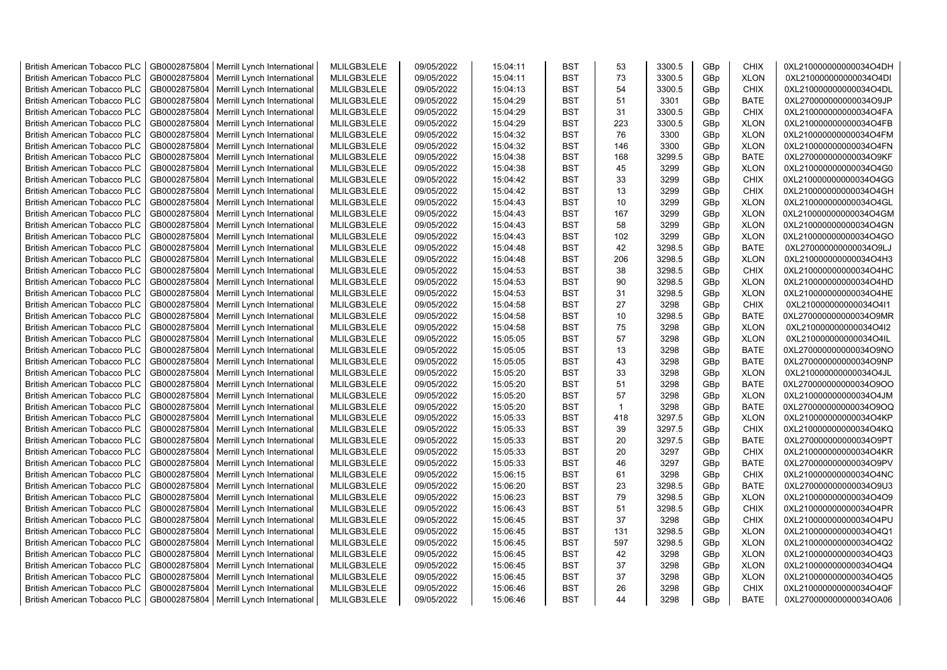| <b>British American Tobacco PLC</b> | GB0002875804 | Merrill Lynch International                | MLILGB3LELE | 09/05/2022 | 15:04:11 | <b>BST</b> | 53           | 3300.5 | GBp             | <b>CHIX</b> | 0XL210000000000034O4DH |
|-------------------------------------|--------------|--------------------------------------------|-------------|------------|----------|------------|--------------|--------|-----------------|-------------|------------------------|
| <b>British American Tobacco PLC</b> | GB0002875804 | Merrill Lynch International                | MLILGB3LELE | 09/05/2022 | 15:04:11 | <b>BST</b> | 73           | 3300.5 | GBp             | <b>XLON</b> | 0XL210000000000034O4DI |
| <b>British American Tobacco PLC</b> | GB0002875804 | Merrill Lynch International                | MLILGB3LELE | 09/05/2022 | 15:04:13 | <b>BST</b> | 54           | 3300.5 | GBp             | <b>CHIX</b> | 0XL210000000000034O4DL |
| <b>British American Tobacco PLC</b> | GB0002875804 | Merrill Lynch International                | MLILGB3LELE | 09/05/2022 | 15:04:29 | <b>BST</b> | 51           | 3301   | GBp             | <b>BATE</b> | 0XL270000000000034O9JP |
| <b>British American Tobacco PLC</b> | GB0002875804 | Merrill Lynch International                | MLILGB3LELE | 09/05/2022 | 15:04:29 | <b>BST</b> | 31           | 3300.5 | GBp             | <b>CHIX</b> | 0XL210000000000034O4FA |
| <b>British American Tobacco PLC</b> | GB0002875804 | Merrill Lynch International                | MLILGB3LELE | 09/05/2022 | 15:04:29 | <b>BST</b> | 223          | 3300.5 | GBp             | <b>XLON</b> | 0XL210000000000034O4FB |
| British American Tobacco PLC        | GB0002875804 | Merrill Lynch International                | MLILGB3LELE | 09/05/2022 | 15:04:32 | <b>BST</b> | 76           | 3300   | GBp             | <b>XLON</b> | 0XL210000000000034O4FM |
| <b>British American Tobacco PLC</b> | GB0002875804 | Merrill Lynch International                | MLILGB3LELE | 09/05/2022 | 15:04:32 | <b>BST</b> | 146          | 3300   | GBp             | <b>XLON</b> | 0XL210000000000034O4FN |
| <b>British American Tobacco PLC</b> | GB0002875804 | Merrill Lynch International                | MLILGB3LELE | 09/05/2022 | 15:04:38 | <b>BST</b> | 168          | 3299.5 | GBp             | <b>BATE</b> | 0XL270000000000034O9KF |
| <b>British American Tobacco PLC</b> | GB0002875804 | Merrill Lynch International                | MLILGB3LELE | 09/05/2022 | 15:04:38 | <b>BST</b> | 45           | 3299   | GBp             | <b>XLON</b> | 0XL210000000000034O4G0 |
| <b>British American Tobacco PLC</b> | GB0002875804 | Merrill Lynch International                | MLILGB3LELE | 09/05/2022 | 15:04:42 | <b>BST</b> | 33           | 3299   | GBp             | <b>CHIX</b> | 0XL210000000000034O4GG |
| <b>British American Tobacco PLC</b> | GB0002875804 | Merrill Lynch International                | MLILGB3LELE | 09/05/2022 | 15:04:42 | <b>BST</b> | 13           | 3299   | GBp             | <b>CHIX</b> | 0XL210000000000034O4GH |
| <b>British American Tobacco PLC</b> | GB0002875804 | Merrill Lynch International                | MLILGB3LELE | 09/05/2022 | 15:04:43 | BST        | 10           | 3299   | GBp             | <b>XLON</b> | 0XL210000000000034O4GL |
| <b>British American Tobacco PLC</b> | GB0002875804 | Merrill Lynch International                | MLILGB3LELE | 09/05/2022 | 15:04:43 | <b>BST</b> | 167          | 3299   | GBp             | <b>XLON</b> | 0XL210000000000034O4GM |
| <b>British American Tobacco PLC</b> | GB0002875804 | Merrill Lynch International                | MLILGB3LELE | 09/05/2022 | 15:04:43 | <b>BST</b> | 58           | 3299   | GBp             | <b>XLON</b> | 0XL210000000000034O4GN |
| <b>British American Tobacco PLC</b> | GB0002875804 | Merrill Lynch International                | MLILGB3LELE | 09/05/2022 | 15:04:43 | <b>BST</b> | 102          | 3299   | GBp             | <b>XLON</b> | 0XL210000000000034O4GO |
| <b>British American Tobacco PLC</b> | GB0002875804 | Merrill Lynch International                | MLILGB3LELE | 09/05/2022 | 15:04:48 | <b>BST</b> | 42           | 3298.5 | GBp             | <b>BATE</b> | 0XL270000000000034O9LJ |
| <b>British American Tobacco PLC</b> | GB0002875804 | Merrill Lynch International                | MLILGB3LELE | 09/05/2022 | 15:04:48 | <b>BST</b> | 206          | 3298.5 | GBp             | <b>XLON</b> | 0XL210000000000034O4H3 |
| <b>British American Tobacco PLC</b> | GB0002875804 | Merrill Lynch International                | MLILGB3LELE | 09/05/2022 | 15:04:53 | <b>BST</b> | 38           | 3298.5 | GBp             | <b>CHIX</b> | 0XL210000000000034O4HC |
| <b>British American Tobacco PLC</b> | GB0002875804 | Merrill Lynch International                | MLILGB3LELE | 09/05/2022 | 15:04:53 | <b>BST</b> | 90           | 3298.5 | GBp             | <b>XLON</b> | 0XL210000000000034O4HD |
| <b>British American Tobacco PLC</b> | GB0002875804 | Merrill Lynch International                | MLILGB3LELE | 09/05/2022 | 15:04:53 | <b>BST</b> | 31           | 3298.5 | GBp             | <b>XLON</b> | 0XL210000000000034O4HE |
| <b>British American Tobacco PLC</b> | GB0002875804 | Merrill Lynch International                | MLILGB3LELE | 09/05/2022 | 15:04:58 | <b>BST</b> | 27           | 3298   | GBp             | <b>CHIX</b> | 0XL210000000000034O4I1 |
| <b>British American Tobacco PLC</b> | GB0002875804 | Merrill Lynch International                | MLILGB3LELE | 09/05/2022 | 15:04:58 | <b>BST</b> | 10           | 3298.5 | GBp             | <b>BATE</b> | 0XL270000000000034O9MR |
| <b>British American Tobacco PLC</b> |              |                                            |             |            |          | <b>BST</b> | 75           |        |                 |             |                        |
|                                     | GB0002875804 | Merrill Lynch International                | MLILGB3LELE | 09/05/2022 | 15:04:58 |            |              | 3298   | GBp             | <b>XLON</b> | 0XL210000000000034O4I2 |
| <b>British American Tobacco PLC</b> | GB0002875804 | Merrill Lynch International                | MLILGB3LELE | 09/05/2022 | 15:05:05 | <b>BST</b> | 57           | 3298   | GBp             | <b>XLON</b> | 0XL210000000000034O4IL |
| <b>British American Tobacco PLC</b> | GB0002875804 | Merrill Lynch International                | MLILGB3LELE | 09/05/2022 | 15:05:05 | <b>BST</b> | 13           | 3298   | GBp             | <b>BATE</b> | 0XL270000000000034O9NO |
| <b>British American Tobacco PLC</b> | GB0002875804 | Merrill Lynch International                | MLILGB3LELE | 09/05/2022 | 15:05:05 | <b>BST</b> | 43           | 3298   | GBp             | <b>BATE</b> | 0XL270000000000034O9NP |
| <b>British American Tobacco PLC</b> | GB0002875804 | Merrill Lynch International                | MLILGB3LELE | 09/05/2022 | 15:05:20 | <b>BST</b> | 33           | 3298   | GBp             | <b>XLON</b> | 0XL210000000000034O4JL |
| <b>British American Tobacco PLC</b> | GB0002875804 | Merrill Lynch International                | MLILGB3LELE | 09/05/2022 | 15:05:20 | <b>BST</b> | 51           | 3298   | GBp             | <b>BATE</b> | 0XL270000000000034O9OO |
| <b>British American Tobacco PLC</b> | GB0002875804 | Merrill Lynch International                | MLILGB3LELE | 09/05/2022 | 15:05:20 | <b>BST</b> | 57           | 3298   | GBp             | <b>XLON</b> | 0XL210000000000034O4JM |
| <b>British American Tobacco PLC</b> | GB0002875804 | Merrill Lynch International                | MLILGB3LELE | 09/05/2022 | 15:05:20 | <b>BST</b> | $\mathbf{1}$ | 3298   | GBp             | <b>BATE</b> | 0XL270000000000034O9OQ |
| <b>British American Tobacco PLC</b> | GB0002875804 | Merrill Lynch International                | MLILGB3LELE | 09/05/2022 | 15:05:33 | <b>BST</b> | 418          | 3297.5 | GBp             | <b>XLON</b> | 0XL210000000000034O4KP |
| <b>British American Tobacco PLC</b> | GB0002875804 | Merrill Lynch International                | MLILGB3LELE | 09/05/2022 | 15:05:33 | <b>BST</b> | 39           | 3297.5 | GBp             | <b>CHIX</b> | 0XL210000000000034O4KQ |
| <b>British American Tobacco PLC</b> | GB0002875804 | Merrill Lynch International                | MLILGB3LELE | 09/05/2022 | 15:05:33 | BST        | 20           | 3297.5 | GBp             | <b>BATE</b> | 0XL270000000000034O9PT |
| <b>British American Tobacco PLC</b> | GB0002875804 | Merrill Lynch International                | MLILGB3LELE | 09/05/2022 | 15:05:33 | <b>BST</b> | 20           | 3297   | GBp             | <b>CHIX</b> | 0XL210000000000034O4KR |
| British American Tobacco PLC        | GB0002875804 | Merrill Lynch International                | MLILGB3LELE | 09/05/2022 | 15:05:33 | <b>BST</b> | 46           | 3297   | GBp             | <b>BATE</b> | 0XL270000000000034O9PV |
| <b>British American Tobacco PLC</b> | GB0002875804 | Merrill Lynch International                | MLILGB3LELE | 09/05/2022 | 15:06:15 | <b>BST</b> | 61           | 3298   | GBp             | <b>CHIX</b> | 0XL210000000000034O4NC |
| <b>British American Tobacco PLC</b> | GB0002875804 | Merrill Lynch International                | MLILGB3LELE | 09/05/2022 | 15:06:20 | <b>BST</b> | 23           | 3298.5 | GBp             | <b>BATE</b> | 0XL270000000000034O9U3 |
| <b>British American Tobacco PLC</b> | GB0002875804 | Merrill Lynch International                | MLILGB3LELE | 09/05/2022 | 15:06:23 | <b>BST</b> | 79           | 3298.5 | GBp             | <b>XLON</b> | 0XL210000000000034O4O9 |
| <b>British American Tobacco PLC</b> | GB0002875804 | Merrill Lynch International                | MLILGB3LELE | 09/05/2022 | 15:06:43 | <b>BST</b> | 51           | 3298.5 | GBp             | <b>CHIX</b> | 0XL210000000000034O4PR |
| <b>British American Tobacco PLC</b> | GB0002875804 | Merrill Lynch International                | MLILGB3LELE | 09/05/2022 | 15:06:45 | <b>BST</b> | 37           | 3298   | GBp             | <b>CHIX</b> | 0XL210000000000034O4PU |
| <b>British American Tobacco PLC</b> | GB0002875804 | Merrill Lynch International                | MLILGB3LELE | 09/05/2022 | 15:06:45 | <b>BST</b> | 131          | 3298.5 | GBp             | <b>XLON</b> | 0XL210000000000034O4Q1 |
| <b>British American Tobacco PLC</b> | GB0002875804 | Merrill Lynch International                | MLILGB3LELE | 09/05/2022 | 15:06:45 | <b>BST</b> | 597          | 3298.5 | GBp             | <b>XLON</b> | 0XL210000000000034O4Q2 |
| <b>British American Tobacco PLC</b> | GB0002875804 | Merrill Lynch International                | MLILGB3LELE | 09/05/2022 | 15:06:45 | <b>BST</b> | 42           | 3298   | GBp             | <b>XLON</b> | 0XL210000000000034O4Q3 |
| <b>British American Tobacco PLC</b> | GB0002875804 | Merrill Lynch International                | MLILGB3LELE | 09/05/2022 | 15:06:45 | <b>BST</b> | 37           | 3298   | GBp             | <b>XLON</b> | 0XL210000000000034O4Q4 |
| <b>British American Tobacco PLC</b> | GB0002875804 | Merrill Lynch International                | MLILGB3LELE | 09/05/2022 | 15:06:45 | <b>BST</b> | 37           | 3298   | GBp             | <b>XLON</b> | 0XL210000000000034O4Q5 |
| <b>British American Tobacco PLC</b> | GB0002875804 | Merrill Lynch International                | MLILGB3LELE | 09/05/2022 | 15:06:46 | <b>BST</b> | 26           | 3298   | GBp             | <b>CHIX</b> | 0XL210000000000034O4QF |
| <b>British American Tobacco PLC</b> |              | GB0002875804   Merrill Lynch International | MLILGB3LELE | 09/05/2022 | 15:06:46 | <b>BST</b> | 44           | 3298   | GB <sub>p</sub> | <b>BATE</b> | 0XL270000000000034OA06 |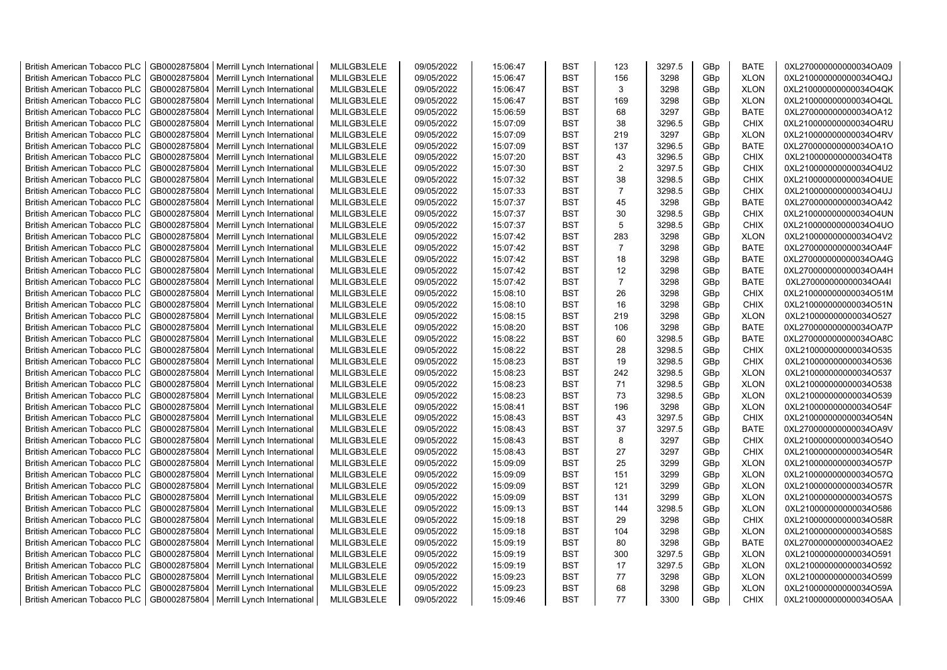| <b>British American Tobacco PLC</b> | GB0002875804 | Merrill Lynch International                | MLILGB3LELE | 09/05/2022 | 15:06:47 | <b>BST</b> | 123            | 3297.5 | GBp | <b>BATE</b> | 0XL270000000000034OA09 |
|-------------------------------------|--------------|--------------------------------------------|-------------|------------|----------|------------|----------------|--------|-----|-------------|------------------------|
| <b>British American Tobacco PLC</b> | GB0002875804 | Merrill Lynch International                | MLILGB3LELE | 09/05/2022 | 15:06:47 | <b>BST</b> | 156            | 3298   | GBp | <b>XLON</b> | 0XL210000000000034O4QJ |
| <b>British American Tobacco PLC</b> | GB0002875804 | Merrill Lynch International                | MLILGB3LELE | 09/05/2022 | 15:06:47 | <b>BST</b> | 3              | 3298   | GBp | <b>XLON</b> | 0XL210000000000034O4QK |
| <b>British American Tobacco PLC</b> | GB0002875804 | Merrill Lynch International                | MLILGB3LELE | 09/05/2022 | 15:06:47 | <b>BST</b> | 169            | 3298   | GBp | <b>XLON</b> | 0XL210000000000034O4QL |
| <b>British American Tobacco PLC</b> | GB0002875804 | Merrill Lynch International                | MLILGB3LELE | 09/05/2022 | 15:06:59 | <b>BST</b> | 68             | 3297   | GBp | <b>BATE</b> | 0XL270000000000034OA12 |
| <b>British American Tobacco PLC</b> | GB0002875804 | Merrill Lynch International                | MLILGB3LELE | 09/05/2022 | 15:07:09 | <b>BST</b> | 38             | 3296.5 | GBp | <b>CHIX</b> | 0XL210000000000034O4RU |
| <b>British American Tobacco PLC</b> | GB0002875804 | Merrill Lynch International                | MLILGB3LELE | 09/05/2022 | 15:07:09 | <b>BST</b> | 219            | 3297   | GBp | <b>XLON</b> | 0XL210000000000034O4RV |
| <b>British American Tobacco PLC</b> | GB0002875804 | Merrill Lynch International                | MLILGB3LELE | 09/05/2022 | 15:07:09 | <b>BST</b> | 137            | 3296.5 | GBp | <b>BATE</b> | 0XL270000000000034OA1O |
| <b>British American Tobacco PLC</b> | GB0002875804 | Merrill Lynch International                | MLILGB3LELE | 09/05/2022 | 15:07:20 | <b>BST</b> | 43             | 3296.5 | GBp | CHIX        | 0XL210000000000034O4T8 |
| <b>British American Tobacco PLC</b> | GB0002875804 | Merrill Lynch International                | MLILGB3LELE | 09/05/2022 | 15:07:30 | <b>BST</b> | $\overline{2}$ | 3297.5 | GBp | <b>CHIX</b> | 0XL210000000000034O4U2 |
| <b>British American Tobacco PLC</b> | GB0002875804 | Merrill Lynch International                | MLILGB3LELE | 09/05/2022 | 15:07:32 | <b>BST</b> | 38             | 3298.5 | GBp | <b>CHIX</b> | 0XL210000000000034O4UE |
| <b>British American Tobacco PLC</b> | GB0002875804 | Merrill Lynch International                | MLILGB3LELE | 09/05/2022 | 15:07:33 | <b>BST</b> | $\overline{7}$ | 3298.5 | GBp | <b>CHIX</b> | 0XL210000000000034O4UJ |
| <b>British American Tobacco PLC</b> | GB0002875804 | Merrill Lynch International                | MLILGB3LELE | 09/05/2022 | 15:07:37 | <b>BST</b> | 45             | 3298   | GBp | <b>BATE</b> | 0XL270000000000034OA42 |
| <b>British American Tobacco PLC</b> | GB0002875804 | Merrill Lynch International                | MLILGB3LELE | 09/05/2022 | 15:07:37 | <b>BST</b> | 30             | 3298.5 | GBp | <b>CHIX</b> | 0XL210000000000034O4UN |
| <b>British American Tobacco PLC</b> | GB0002875804 | Merrill Lynch International                | MLILGB3LELE | 09/05/2022 | 15:07:37 | <b>BST</b> | 5              | 3298.5 | GBp | <b>CHIX</b> | 0XL210000000000034O4UO |
| <b>British American Tobacco PLC</b> | GB0002875804 | Merrill Lynch International                | MLILGB3LELE | 09/05/2022 | 15:07:42 | <b>BST</b> | 283            | 3298   | GBp | <b>XLON</b> | 0XL210000000000034O4V2 |
| <b>British American Tobacco PLC</b> | GB0002875804 | Merrill Lynch International                | MLILGB3LELE | 09/05/2022 | 15:07:42 | BST        | $\overline{7}$ | 3298   | GBp | <b>BATE</b> | 0XL270000000000034OA4F |
| <b>British American Tobacco PLC</b> | GB0002875804 | Merrill Lynch International                | MLILGB3LELE | 09/05/2022 | 15:07:42 | <b>BST</b> | 18             | 3298   | GBp | <b>BATE</b> | 0XL270000000000034OA4G |
| <b>British American Tobacco PLC</b> | GB0002875804 | Merrill Lynch International                | MLILGB3LELE | 09/05/2022 | 15:07:42 | <b>BST</b> | 12             | 3298   | GBp | <b>BATE</b> | 0XL270000000000034OA4H |
| <b>British American Tobacco PLC</b> | GB0002875804 | Merrill Lynch International                | MLILGB3LELE | 09/05/2022 | 15:07:42 | <b>BST</b> | $\overline{7}$ | 3298   | GBp | <b>BATE</b> | 0XL270000000000034OA4I |
| <b>British American Tobacco PLC</b> | GB0002875804 | Merrill Lynch International                | MLILGB3LELE | 09/05/2022 | 15:08:10 | <b>BST</b> | 26             | 3298   | GBp | <b>CHIX</b> | 0XL210000000000034O51M |
| <b>British American Tobacco PLC</b> | GB0002875804 | Merrill Lynch International                | MLILGB3LELE | 09/05/2022 | 15:08:10 | <b>BST</b> | 16             | 3298   | GBp | <b>CHIX</b> | 0XL210000000000034O51N |
| <b>British American Tobacco PLC</b> | GB0002875804 | Merrill Lynch International                | MLILGB3LELE | 09/05/2022 | 15:08:15 | <b>BST</b> | 219            | 3298   | GBp | <b>XLON</b> | 0XL210000000000034O527 |
| <b>British American Tobacco PLC</b> | GB0002875804 | Merrill Lynch International                | MLILGB3LELE | 09/05/2022 | 15:08:20 | <b>BST</b> | 106            | 3298   | GBp | <b>BATE</b> | 0XL270000000000034OA7P |
| <b>British American Tobacco PLC</b> | GB0002875804 | Merrill Lynch International                | MLILGB3LELE | 09/05/2022 | 15:08:22 | <b>BST</b> | 60             | 3298.5 | GBp | <b>BATE</b> | 0XL270000000000034OA8C |
| <b>British American Tobacco PLC</b> | GB0002875804 | Merrill Lynch International                | MLILGB3LELE | 09/05/2022 | 15:08:22 | BST        | 28             | 3298.5 | GBp | CHIX        | 0XL210000000000034O535 |
| <b>British American Tobacco PLC</b> | GB0002875804 | Merrill Lynch International                | MLILGB3LELE | 09/05/2022 | 15:08:23 | <b>BST</b> | 19             | 3298.5 | GBp | CHIX        | 0XL210000000000034O536 |
| <b>British American Tobacco PLC</b> | GB0002875804 | Merrill Lynch International                | MLILGB3LELE | 09/05/2022 | 15:08:23 | <b>BST</b> | 242            | 3298.5 | GBp | <b>XLON</b> | 0XL210000000000034O537 |
| <b>British American Tobacco PLC</b> | GB0002875804 | Merrill Lynch International                | MLILGB3LELE | 09/05/2022 | 15:08:23 | <b>BST</b> | 71             | 3298.5 | GBp | <b>XLON</b> | 0XL210000000000034O538 |
| <b>British American Tobacco PLC</b> | GB0002875804 | Merrill Lynch International                | MLILGB3LELE | 09/05/2022 | 15:08:23 | <b>BST</b> | 73             | 3298.5 | GBp | <b>XLON</b> | 0XL210000000000034O539 |
| <b>British American Tobacco PLC</b> | GB0002875804 | Merrill Lynch International                | MLILGB3LELE | 09/05/2022 | 15:08:41 | <b>BST</b> | 196            | 3298   | GBp | <b>XLON</b> | 0XL210000000000034O54F |
| <b>British American Tobacco PLC</b> | GB0002875804 | Merrill Lynch International                | MLILGB3LELE | 09/05/2022 | 15:08:43 | <b>BST</b> | 43             | 3297.5 | GBp | <b>CHIX</b> | 0XL210000000000034O54N |
| <b>British American Tobacco PLC</b> | GB0002875804 | Merrill Lynch International                | MLILGB3LELE | 09/05/2022 | 15:08:43 | <b>BST</b> | 37             | 3297.5 | GBp | <b>BATE</b> | 0XL270000000000034OA9V |
| <b>British American Tobacco PLC</b> | GB0002875804 | Merrill Lynch International                | MLILGB3LELE | 09/05/2022 | 15:08:43 | <b>BST</b> | 8              | 3297   | GBp | <b>CHIX</b> | 0XL210000000000034O54O |
| <b>British American Tobacco PLC</b> | GB0002875804 | Merrill Lynch International                | MLILGB3LELE | 09/05/2022 | 15:08:43 | <b>BST</b> | 27             | 3297   | GBp | <b>CHIX</b> | 0XL210000000000034O54R |
| <b>British American Tobacco PLC</b> | GB0002875804 | Merrill Lynch International                | MLILGB3LELE | 09/05/2022 | 15:09:09 | <b>BST</b> | 25             | 3299   | GBp | <b>XLON</b> | 0XL210000000000034O57P |
| <b>British American Tobacco PLC</b> | GB0002875804 | Merrill Lynch International                | MLILGB3LELE | 09/05/2022 | 15:09:09 | <b>BST</b> | 151            | 3299   | GBp | <b>XLON</b> | 0XL210000000000034O57Q |
| <b>British American Tobacco PLC</b> | GB0002875804 | Merrill Lynch International                | MLILGB3LELE | 09/05/2022 | 15:09:09 | <b>BST</b> | 121            | 3299   | GBp | <b>XLON</b> | 0XL210000000000034O57R |
| <b>British American Tobacco PLC</b> | GB0002875804 | Merrill Lynch International                | MLILGB3LELE | 09/05/2022 | 15:09:09 | <b>BST</b> | 131            | 3299   | GBp | <b>XLON</b> | 0XL210000000000034O57S |
| <b>British American Tobacco PLC</b> | GB0002875804 | Merrill Lynch International                | MLILGB3LELE | 09/05/2022 | 15:09:13 | <b>BST</b> | 144            | 3298.5 | GBp | <b>XLON</b> | 0XL210000000000034O586 |
| <b>British American Tobacco PLC</b> | GB0002875804 | Merrill Lynch International                | MLILGB3LELE | 09/05/2022 | 15:09:18 | <b>BST</b> | 29             | 3298   | GBp | <b>CHIX</b> | 0XL210000000000034O58R |
| <b>British American Tobacco PLC</b> | GB0002875804 | Merrill Lynch International                | MLILGB3LELE | 09/05/2022 | 15:09:18 | <b>BST</b> | 104            | 3298   | GBp | <b>XLON</b> | 0XL210000000000034O58S |
| <b>British American Tobacco PLC</b> | GB0002875804 | Merrill Lynch International                | MLILGB3LELE | 09/05/2022 | 15:09:19 | <b>BST</b> | 80             | 3298   | GBp | <b>BATE</b> | 0XL270000000000034OAE2 |
| <b>British American Tobacco PLC</b> | GB0002875804 | Merrill Lynch International                | MLILGB3LELE | 09/05/2022 | 15:09:19 | <b>BST</b> | 300            | 3297.5 | GBp | <b>XLON</b> | 0XL210000000000034O591 |
| <b>British American Tobacco PLC</b> | GB0002875804 | Merrill Lynch International                | MLILGB3LELE | 09/05/2022 | 15:09:19 | <b>BST</b> | 17             | 3297.5 | GBp | <b>XLON</b> | 0XL210000000000034O592 |
| <b>British American Tobacco PLC</b> | GB0002875804 | Merrill Lynch International                | MLILGB3LELE | 09/05/2022 | 15:09:23 | <b>BST</b> | 77             | 3298   | GBp | <b>XLON</b> | 0XL210000000000034O599 |
| <b>British American Tobacco PLC</b> | GB0002875804 | Merrill Lynch International                | MLILGB3LELE | 09/05/2022 | 15:09:23 | <b>BST</b> | 68             | 3298   | GBp | <b>XLON</b> | 0XL210000000000034O59A |
| <b>British American Tobacco PLC</b> |              | GB0002875804   Merrill Lynch International | MLILGB3LELE | 09/05/2022 | 15:09:46 | <b>BST</b> | 77             | 3300   | GBp | <b>CHIX</b> | 0XL210000000000034O5AA |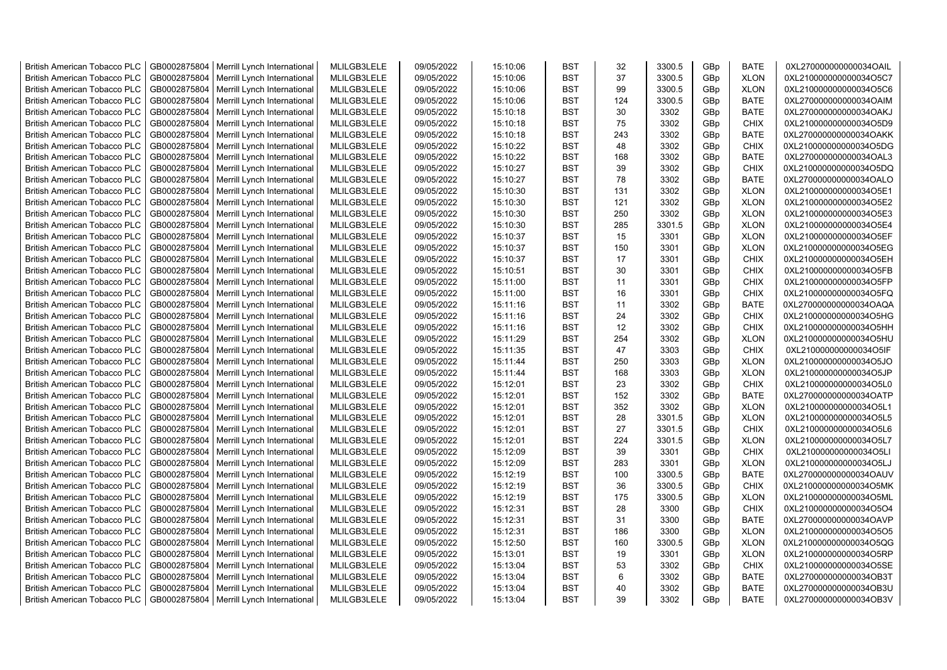| <b>British American Tobacco PLC</b> | GB0002875804 | Merrill Lynch International                | MLILGB3LELE | 09/05/2022 | 15:10:06 | <b>BST</b>               | 32         | 3300.5       | GBp | <b>BATE</b> | 0XL270000000000034OAIL |
|-------------------------------------|--------------|--------------------------------------------|-------------|------------|----------|--------------------------|------------|--------------|-----|-------------|------------------------|
| <b>British American Tobacco PLC</b> | GB0002875804 | Merrill Lynch International                | MLILGB3LELE | 09/05/2022 | 15:10:06 | <b>BST</b>               | 37         | 3300.5       | GBp | <b>XLON</b> | 0XL210000000000034O5C7 |
| <b>British American Tobacco PLC</b> | GB0002875804 | Merrill Lynch International                | MLILGB3LELE | 09/05/2022 | 15:10:06 | <b>BST</b>               | 99         | 3300.5       | GBp | <b>XLON</b> | 0XL210000000000034O5C6 |
| <b>British American Tobacco PLC</b> | GB0002875804 | Merrill Lynch International                | MLILGB3LELE | 09/05/2022 | 15:10:06 | <b>BST</b>               | 124        | 3300.5       | GBp | <b>BATE</b> | 0XL270000000000034OAIM |
| <b>British American Tobacco PLC</b> | GB0002875804 | Merrill Lynch International                | MLILGB3LELE | 09/05/2022 | 15:10:18 | <b>BST</b>               | 30         | 3302         | GBp | <b>BATE</b> | 0XL270000000000034OAKJ |
| <b>British American Tobacco PLC</b> | GB0002875804 | Merrill Lynch International                | MLILGB3LELE | 09/05/2022 | 15:10:18 | <b>BST</b>               | 75         | 3302         | GBp | <b>CHIX</b> | 0XL210000000000034O5D9 |
| <b>British American Tobacco PLC</b> | GB0002875804 | Merrill Lynch International                | MLILGB3LELE | 09/05/2022 | 15:10:18 | <b>BST</b>               | 243        | 3302         | GBp | <b>BATE</b> | 0XL270000000000034OAKK |
| <b>British American Tobacco PLC</b> | GB0002875804 | Merrill Lynch International                | MLILGB3LELE | 09/05/2022 | 15:10:22 | <b>BST</b>               | 48         | 3302         | GBp | <b>CHIX</b> | 0XL210000000000034O5DG |
| <b>British American Tobacco PLC</b> | GB0002875804 | Merrill Lynch International                | MLILGB3LELE | 09/05/2022 | 15:10:22 | <b>BST</b>               | 168        | 3302         | GBp | <b>BATE</b> | 0XL270000000000034OAL3 |
| <b>British American Tobacco PLC</b> | GB0002875804 | Merrill Lynch International                | MLILGB3LELE | 09/05/2022 | 15:10:27 | <b>BST</b>               | 39         | 3302         | GBp | <b>CHIX</b> | 0XL210000000000034O5DQ |
| <b>British American Tobacco PLC</b> | GB0002875804 | Merrill Lynch International                | MLILGB3LELE | 09/05/2022 | 15:10:27 | <b>BST</b>               | 78         | 3302         | GBp | <b>BATE</b> | 0XL270000000000034OALO |
| <b>British American Tobacco PLC</b> | GB0002875804 | Merrill Lynch International                | MLILGB3LELE | 09/05/2022 | 15:10:30 | <b>BST</b>               | 131        | 3302         | GBp | <b>XLON</b> | 0XL210000000000034O5E1 |
| <b>British American Tobacco PLC</b> | GB0002875804 | Merrill Lynch International                | MLILGB3LELE | 09/05/2022 | 15:10:30 | <b>BST</b>               | 121        | 3302         | GBp | <b>XLON</b> | 0XL210000000000034O5E2 |
| <b>British American Tobacco PLC</b> | GB0002875804 | Merrill Lynch International                | MLILGB3LELE | 09/05/2022 | 15:10:30 | <b>BST</b>               | 250        | 3302         | GBp | <b>XLON</b> | 0XL210000000000034O5E3 |
| <b>British American Tobacco PLC</b> | GB0002875804 | Merrill Lynch International                | MLILGB3LELE | 09/05/2022 | 15:10:30 | <b>BST</b>               | 285        | 3301.5       | GBp | <b>XLON</b> | 0XL210000000000034O5E4 |
| <b>British American Tobacco PLC</b> | GB0002875804 | Merrill Lynch International                | MLILGB3LELE | 09/05/2022 | 15:10:37 | <b>BST</b>               | 15         | 3301         | GBp | <b>XLON</b> | 0XL210000000000034O5EF |
| <b>British American Tobacco PLC</b> | GB0002875804 | Merrill Lynch International                | MLILGB3LELE | 09/05/2022 | 15:10:37 | <b>BST</b>               | 150        | 3301         | GBp | <b>XLON</b> | 0XL210000000000034O5EG |
| <b>British American Tobacco PLC</b> | GB0002875804 | Merrill Lynch International                | MLILGB3LELE | 09/05/2022 | 15:10:37 | <b>BST</b>               | 17         | 3301         | GBp | <b>CHIX</b> | 0XL210000000000034O5EH |
| <b>British American Tobacco PLC</b> | GB0002875804 | Merrill Lynch International                | MLILGB3LELE | 09/05/2022 | 15:10:51 | <b>BST</b>               | 30         | 3301         | GBp | <b>CHIX</b> | 0XL210000000000034O5FB |
| <b>British American Tobacco PLC</b> | GB0002875804 | Merrill Lynch International                | MLILGB3LELE | 09/05/2022 | 15:11:00 | <b>BST</b>               | 11         | 3301         | GBp | <b>CHIX</b> | 0XL210000000000034O5FP |
| <b>British American Tobacco PLC</b> | GB0002875804 | Merrill Lynch International                | MLILGB3LELE | 09/05/2022 | 15:11:00 | <b>BST</b>               | 16         | 3301         | GBp | <b>CHIX</b> | 0XL210000000000034O5FQ |
| <b>British American Tobacco PLC</b> | GB0002875804 | Merrill Lynch International                | MLILGB3LELE | 09/05/2022 | 15:11:16 | <b>BST</b>               | 11         | 3302         | GBp | <b>BATE</b> | 0XL270000000000034OAQA |
| <b>British American Tobacco PLC</b> | GB0002875804 | Merrill Lynch International                | MLILGB3LELE | 09/05/2022 | 15:11:16 | <b>BST</b>               | 24         | 3302         | GBp | <b>CHIX</b> | 0XL210000000000034O5HG |
|                                     |              |                                            |             |            |          |                          | 12         |              |     |             |                        |
| <b>British American Tobacco PLC</b> | GB0002875804 | Merrill Lynch International                | MLILGB3LELE | 09/05/2022 | 15:11:16 | <b>BST</b>               |            | 3302         | GBp | <b>CHIX</b> | 0XL210000000000034O5HH |
| <b>British American Tobacco PLC</b> | GB0002875804 | Merrill Lynch International                | MLILGB3LELE | 09/05/2022 | 15:11:29 | <b>BST</b><br><b>BST</b> | 254<br>47  | 3302<br>3303 | GBp | <b>XLON</b> | 0XL210000000000034O5HU |
| <b>British American Tobacco PLC</b> | GB0002875804 | Merrill Lynch International                | MLILGB3LELE | 09/05/2022 | 15:11:35 |                          |            |              | GBp | <b>CHIX</b> | 0XL210000000000034O5IF |
| <b>British American Tobacco PLC</b> | GB0002875804 | Merrill Lynch International                | MLILGB3LELE | 09/05/2022 | 15:11:44 | <b>BST</b>               | 250<br>168 | 3303         | GBp | <b>XLON</b> | 0XL210000000000034O5JO |
| <b>British American Tobacco PLC</b> | GB0002875804 | Merrill Lynch International                | MLILGB3LELE | 09/05/2022 | 15:11:44 | <b>BST</b>               |            | 3303         | GBp | <b>XLON</b> | 0XL210000000000034O5JP |
| <b>British American Tobacco PLC</b> | GB0002875804 | Merrill Lynch International                | MLILGB3LELE | 09/05/2022 | 15:12:01 | <b>BST</b>               | 23         | 3302         | GBp | <b>CHIX</b> | 0XL210000000000034O5L0 |
| <b>British American Tobacco PLC</b> | GB0002875804 | Merrill Lynch International                | MLILGB3LELE | 09/05/2022 | 15:12:01 | <b>BST</b>               | 152        | 3302         | GBp | <b>BATE</b> | 0XL270000000000034OATP |
| <b>British American Tobacco PLC</b> | GB0002875804 | Merrill Lynch International                | MLILGB3LELE | 09/05/2022 | 15:12:01 | <b>BST</b>               | 352        | 3302         | GBp | <b>XLON</b> | 0XL210000000000034O5L1 |
| <b>British American Tobacco PLC</b> | GB0002875804 | Merrill Lynch International                | MLILGB3LELE | 09/05/2022 | 15:12:01 | <b>BST</b>               | 28         | 3301.5       | GBp | <b>XLON</b> | 0XL210000000000034O5L5 |
| <b>British American Tobacco PLC</b> | GB0002875804 | Merrill Lynch International                | MLILGB3LELE | 09/05/2022 | 15:12:01 | <b>BST</b>               | 27         | 3301.5       | GBp | <b>CHIX</b> | 0XL210000000000034O5L6 |
| <b>British American Tobacco PLC</b> | GB0002875804 | Merrill Lynch International                | MLILGB3LELE | 09/05/2022 | 15:12:01 | <b>BST</b>               | 224        | 3301.5       | GBp | <b>XLON</b> | 0XL210000000000034O5L7 |
| <b>British American Tobacco PLC</b> | GB0002875804 | Merrill Lynch International                | MLILGB3LELE | 09/05/2022 | 15:12:09 | <b>BST</b>               | 39         | 3301         | GBp | <b>CHIX</b> | 0XL210000000000034O5LI |
| <b>British American Tobacco PLC</b> | GB0002875804 | Merrill Lynch International                | MLILGB3LELE | 09/05/2022 | 15:12:09 | <b>BST</b>               | 283        | 3301         | GBp | <b>XLON</b> | 0XL210000000000034O5LJ |
| <b>British American Tobacco PLC</b> | GB0002875804 | Merrill Lynch International                | MLILGB3LELE | 09/05/2022 | 15:12:19 | <b>BST</b>               | 100        | 3300.5       | GBp | <b>BATE</b> | 0XL270000000000034OAUV |
| <b>British American Tobacco PLC</b> | GB0002875804 | Merrill Lynch International                | MLILGB3LELE | 09/05/2022 | 15:12:19 | <b>BST</b>               | 36         | 3300.5       | GBp | <b>CHIX</b> | 0XL210000000000034O5MK |
| <b>British American Tobacco PLC</b> | GB0002875804 | Merrill Lynch International                | MLILGB3LELE | 09/05/2022 | 15:12:19 | <b>BST</b>               | 175        | 3300.5       | GBp | <b>XLON</b> | 0XL210000000000034O5ML |
| <b>British American Tobacco PLC</b> | GB0002875804 | Merrill Lynch International                | MLILGB3LELE | 09/05/2022 | 15:12:31 | <b>BST</b>               | 28         | 3300         | GBp | <b>CHIX</b> | 0XL210000000000034O5O4 |
| <b>British American Tobacco PLC</b> | GB0002875804 | Merrill Lynch International                | MLILGB3LELE | 09/05/2022 | 15:12:31 | <b>BST</b>               | 31         | 3300         | GBp | <b>BATE</b> | 0XL270000000000034OAVP |
| <b>British American Tobacco PLC</b> | GB0002875804 | Merrill Lynch International                | MLILGB3LELE | 09/05/2022 | 15:12:31 | <b>BST</b>               | 186        | 3300         | GBp | <b>XLON</b> | 0XL210000000000034O5O5 |
| <b>British American Tobacco PLC</b> | GB0002875804 | Merrill Lynch International                | MLILGB3LELE | 09/05/2022 | 15:12:50 | <b>BST</b>               | 160        | 3300.5       | GBp | <b>XLON</b> | 0XL210000000000034O5QG |
| <b>British American Tobacco PLC</b> | GB0002875804 | Merrill Lynch International                | MLILGB3LELE | 09/05/2022 | 15:13:01 | <b>BST</b>               | 19         | 3301         | GBp | <b>XLON</b> | 0XL210000000000034O5RP |
| <b>British American Tobacco PLC</b> | GB0002875804 | Merrill Lynch International                | MLILGB3LELE | 09/05/2022 | 15:13:04 | <b>BST</b>               | 53         | 3302         | GBp | <b>CHIX</b> | 0XL210000000000034O5SE |
| <b>British American Tobacco PLC</b> | GB0002875804 | Merrill Lynch International                | MLILGB3LELE | 09/05/2022 | 15:13:04 | <b>BST</b>               | 6          | 3302         | GBp | <b>BATE</b> | 0XL270000000000034OB3T |
| <b>British American Tobacco PLC</b> | GB0002875804 | Merrill Lynch International                | MLILGB3LELE | 09/05/2022 | 15:13:04 | <b>BST</b>               | 40         | 3302         | GBp | <b>BATE</b> | 0XL270000000000034OB3U |
| <b>British American Tobacco PLC</b> |              | GB0002875804   Merrill Lynch International | MLILGB3LELE | 09/05/2022 | 15:13:04 | <b>BST</b>               | 39         | 3302         | GBp | <b>BATE</b> | 0XL270000000000034OB3V |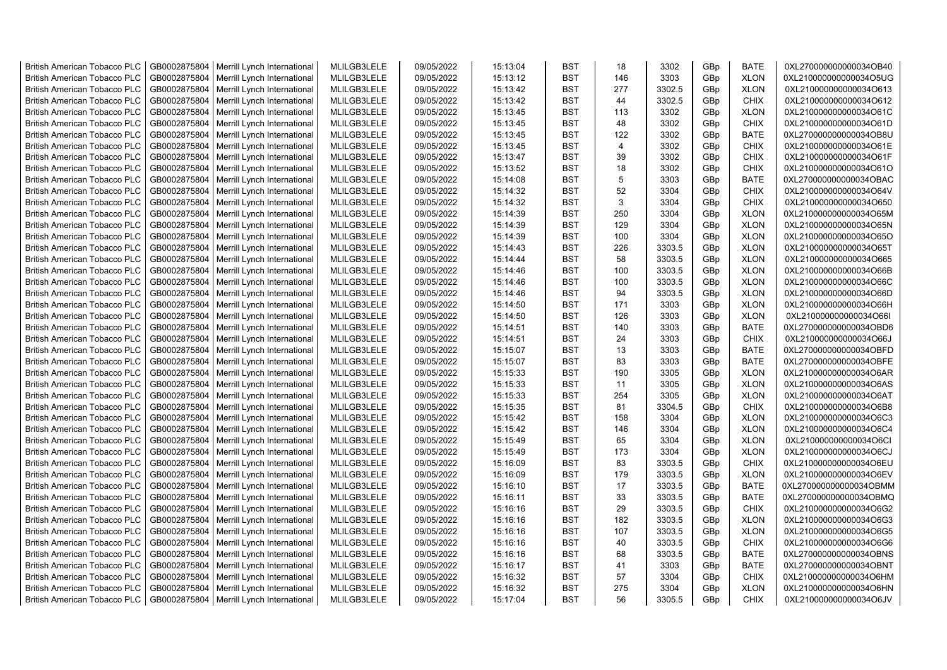| <b>British American Tobacco PLC</b> | GB0002875804 | Merrill Lynch International                | MLILGB3LELE | 09/05/2022 | 15:13:04 | <b>BST</b> | 18             | 3302   | GBp | <b>BATE</b> | 0XL270000000000034OB40 |
|-------------------------------------|--------------|--------------------------------------------|-------------|------------|----------|------------|----------------|--------|-----|-------------|------------------------|
| <b>British American Tobacco PLC</b> | GB0002875804 | Merrill Lynch International                | MLILGB3LELE | 09/05/2022 | 15:13:12 | <b>BST</b> | 146            | 3303   | GBp | <b>XLON</b> | 0XL210000000000034O5UG |
| <b>British American Tobacco PLC</b> | GB0002875804 | Merrill Lynch International                | MLILGB3LELE | 09/05/2022 | 15:13:42 | <b>BST</b> | 277            | 3302.5 | GBp | <b>XLON</b> | 0XL210000000000034O613 |
| <b>British American Tobacco PLC</b> | GB0002875804 | Merrill Lynch International                | MLILGB3LELE | 09/05/2022 | 15:13:42 | <b>BST</b> | 44             | 3302.5 | GBp | <b>CHIX</b> | 0XL210000000000034O612 |
| <b>British American Tobacco PLC</b> | GB0002875804 | Merrill Lynch International                | MLILGB3LELE | 09/05/2022 | 15:13:45 | <b>BST</b> | 113            | 3302   | GBp | <b>XLON</b> | 0XL210000000000034O61C |
| <b>British American Tobacco PLC</b> | GB0002875804 | Merrill Lynch International                | MLILGB3LELE | 09/05/2022 | 15:13:45 | <b>BST</b> | 48             | 3302   | GBp | <b>CHIX</b> | 0XL210000000000034O61D |
| <b>British American Tobacco PLC</b> | GB0002875804 | Merrill Lynch International                | MLILGB3LELE | 09/05/2022 | 15:13:45 | <b>BST</b> | 122            | 3302   | GBp | <b>BATE</b> | 0XL270000000000034OB8U |
| <b>British American Tobacco PLC</b> | GB0002875804 | Merrill Lynch International                | MLILGB3LELE | 09/05/2022 | 15:13:45 | <b>BST</b> | $\overline{4}$ | 3302   | GBp | CHIX        | 0XL210000000000034O61E |
| <b>British American Tobacco PLC</b> | GB0002875804 | Merrill Lynch International                | MLILGB3LELE | 09/05/2022 | 15:13:47 | <b>BST</b> | 39             | 3302   | GBp | <b>CHIX</b> | 0XL210000000000034O61F |
| <b>British American Tobacco PLC</b> | GB0002875804 | Merrill Lynch International                | MLILGB3LELE | 09/05/2022 | 15:13:52 | <b>BST</b> | 18             | 3302   | GBp | <b>CHIX</b> | 0XL210000000000034O61O |
| <b>British American Tobacco PLC</b> | GB0002875804 | Merrill Lynch International                | MLILGB3LELE | 09/05/2022 | 15:14:08 | <b>BST</b> | 5              | 3303   | GBp | <b>BATE</b> | 0XL270000000000034OBAC |
| <b>British American Tobacco PLC</b> | GB0002875804 | Merrill Lynch International                | MLILGB3LELE | 09/05/2022 | 15:14:32 | <b>BST</b> | 52             | 3304   | GBp | <b>CHIX</b> | 0XL210000000000034O64V |
| <b>British American Tobacco PLC</b> | GB0002875804 | Merrill Lynch International                | MLILGB3LELE | 09/05/2022 | 15:14:32 | <b>BST</b> | 3              | 3304   | GBp | <b>CHIX</b> | 0XL210000000000034O650 |
| <b>British American Tobacco PLC</b> |              |                                            | MLILGB3LELE | 09/05/2022 | 15:14:39 | <b>BST</b> | 250            | 3304   |     | <b>XLON</b> |                        |
|                                     | GB0002875804 | Merrill Lynch International                |             |            |          |            |                |        | GBp |             | 0XL210000000000034O65M |
| <b>British American Tobacco PLC</b> | GB0002875804 | Merrill Lynch International                | MLILGB3LELE | 09/05/2022 | 15:14:39 | <b>BST</b> | 129            | 3304   | GBp | <b>XLON</b> | 0XL210000000000034O65N |
| <b>British American Tobacco PLC</b> | GB0002875804 | Merrill Lynch International                | MLILGB3LELE | 09/05/2022 | 15:14:39 | <b>BST</b> | 100            | 3304   | GBp | <b>XLON</b> | 0XL210000000000034O65O |
| <b>British American Tobacco PLC</b> | GB0002875804 | Merrill Lynch International                | MLILGB3LELE | 09/05/2022 | 15:14:43 | <b>BST</b> | 226            | 3303.5 | GBp | <b>XLON</b> | 0XL210000000000034O65T |
| <b>British American Tobacco PLC</b> | GB0002875804 | Merrill Lynch International                | MLILGB3LELE | 09/05/2022 | 15:14:44 | <b>BST</b> | 58             | 3303.5 | GBp | <b>XLON</b> | 0XL210000000000034O665 |
| <b>British American Tobacco PLC</b> | GB0002875804 | Merrill Lynch International                | MLILGB3LELE | 09/05/2022 | 15:14:46 | <b>BST</b> | 100            | 3303.5 | GBp | <b>XLON</b> | 0XL210000000000034O66B |
| <b>British American Tobacco PLC</b> | GB0002875804 | Merrill Lynch International                | MLILGB3LELE | 09/05/2022 | 15:14:46 | <b>BST</b> | 100            | 3303.5 | GBp | <b>XLON</b> | 0XL210000000000034O66C |
| <b>British American Tobacco PLC</b> | GB0002875804 | Merrill Lynch International                | MLILGB3LELE | 09/05/2022 | 15:14:46 | <b>BST</b> | 94             | 3303.5 | GBp | <b>XLON</b> | 0XL210000000000034O66D |
| <b>British American Tobacco PLC</b> | GB0002875804 | Merrill Lynch International                | MLILGB3LELE | 09/05/2022 | 15:14:50 | <b>BST</b> | 171            | 3303   | GBp | <b>XLON</b> | 0XL210000000000034O66H |
| <b>British American Tobacco PLC</b> | GB0002875804 | Merrill Lynch International                | MLILGB3LELE | 09/05/2022 | 15:14:50 | <b>BST</b> | 126            | 3303   | GBp | <b>XLON</b> | 0XL210000000000034O66I |
| <b>British American Tobacco PLC</b> | GB0002875804 | Merrill Lynch International                | MLILGB3LELE | 09/05/2022 | 15:14:51 | <b>BST</b> | 140            | 3303   | GBp | <b>BATE</b> | 0XL270000000000034OBD6 |
| <b>British American Tobacco PLC</b> | GB0002875804 | Merrill Lynch International                | MLILGB3LELE | 09/05/2022 | 15:14:51 | <b>BST</b> | 24             | 3303   | GBp | <b>CHIX</b> | 0XL210000000000034O66J |
| <b>British American Tobacco PLC</b> | GB0002875804 | Merrill Lynch International                | MLILGB3LELE | 09/05/2022 | 15:15:07 | <b>BST</b> | 13             | 3303   | GBp | <b>BATE</b> | 0XL270000000000034OBFD |
| <b>British American Tobacco PLC</b> | GB0002875804 | Merrill Lynch International                | MLILGB3LELE | 09/05/2022 | 15:15:07 | <b>BST</b> | 83             | 3303   | GBp | <b>BATE</b> | 0XL270000000000034OBFE |
| <b>British American Tobacco PLC</b> | GB0002875804 | Merrill Lynch International                | MLILGB3LELE | 09/05/2022 | 15:15:33 | <b>BST</b> | 190            | 3305   | GBp | <b>XLON</b> | 0XL210000000000034O6AR |
| <b>British American Tobacco PLC</b> | GB0002875804 | Merrill Lynch International                | MLILGB3LELE | 09/05/2022 | 15:15:33 | <b>BST</b> | 11             | 3305   | GBp | <b>XLON</b> | 0XL210000000000034O6AS |
| <b>British American Tobacco PLC</b> | GB0002875804 | Merrill Lynch International                | MLILGB3LELE | 09/05/2022 | 15:15:33 | <b>BST</b> | 254            | 3305   | GBp | <b>XLON</b> | 0XL210000000000034O6AT |
| <b>British American Tobacco PLC</b> | GB0002875804 | Merrill Lynch International                | MLILGB3LELE | 09/05/2022 | 15:15:35 | <b>BST</b> | 81             | 3304.5 | GBp | <b>CHIX</b> | 0XL210000000000034O6B8 |
| <b>British American Tobacco PLC</b> | GB0002875804 | Merrill Lynch International                | MLILGB3LELE | 09/05/2022 | 15:15:42 | <b>BST</b> | 158            | 3304   | GBp | <b>XLON</b> | 0XL210000000000034O6C3 |
| <b>British American Tobacco PLC</b> | GB0002875804 | Merrill Lynch International                | MLILGB3LELE | 09/05/2022 | 15:15:42 | <b>BST</b> | 146            | 3304   | GBp | <b>XLON</b> | 0XL210000000000034O6C4 |
| <b>British American Tobacco PLC</b> | GB0002875804 | Merrill Lynch International                | MLILGB3LELE | 09/05/2022 | 15:15:49 | <b>BST</b> | 65             | 3304   | GBp | <b>XLON</b> | 0XL210000000000034O6CI |
| <b>British American Tobacco PLC</b> | GB0002875804 | Merrill Lynch International                | MLILGB3LELE | 09/05/2022 | 15:15:49 | <b>BST</b> | 173            | 3304   | GBp | <b>XLON</b> | 0XL210000000000034O6CJ |
| <b>British American Tobacco PLC</b> | GB0002875804 | Merrill Lynch International                | MLILGB3LELE | 09/05/2022 | 15:16:09 | <b>BST</b> | 83             | 3303.5 | GBp | <b>CHIX</b> | 0XL210000000000034O6EU |
| <b>British American Tobacco PLC</b> | GB0002875804 | Merrill Lynch International                | MLILGB3LELE | 09/05/2022 | 15:16:09 | <b>BST</b> | 179            | 3303.5 | GBp | <b>XLON</b> | 0XL210000000000034O6EV |
| <b>British American Tobacco PLC</b> | GB0002875804 | Merrill Lynch International                | MLILGB3LELE | 09/05/2022 | 15:16:10 | <b>BST</b> | 17             | 3303.5 | GBp | <b>BATE</b> | 0XL270000000000034OBMM |
| <b>British American Tobacco PLC</b> | GB0002875804 | Merrill Lynch International                | MLILGB3LELE | 09/05/2022 | 15:16:11 | <b>BST</b> | 33             | 3303.5 | GBp | <b>BATE</b> | 0XL270000000000034OBMQ |
| <b>British American Tobacco PLC</b> | GB0002875804 | Merrill Lynch International                | MLILGB3LELE | 09/05/2022 | 15:16:16 | <b>BST</b> | 29             | 3303.5 | GBp | <b>CHIX</b> | 0XL210000000000034O6G2 |
| <b>British American Tobacco PLC</b> | GB0002875804 | Merrill Lynch International                | MLILGB3LELE | 09/05/2022 | 15:16:16 | <b>BST</b> | 182            | 3303.5 | GBp | <b>XLON</b> | 0XL210000000000034O6G3 |
| <b>British American Tobacco PLC</b> | GB0002875804 | Merrill Lynch International                | MLILGB3LELE | 09/05/2022 | 15:16:16 | <b>BST</b> | 107            | 3303.5 | GBp | <b>XLON</b> | 0XL210000000000034O6G5 |
| <b>British American Tobacco PLC</b> | GB0002875804 | Merrill Lynch International                | MLILGB3LELE | 09/05/2022 | 15:16:16 | <b>BST</b> | 40             | 3303.5 | GBp | <b>CHIX</b> | 0XL210000000000034O6G6 |
| <b>British American Tobacco PLC</b> | GB0002875804 | Merrill Lynch International                | MLILGB3LELE | 09/05/2022 | 15:16:16 | <b>BST</b> | 68             | 3303.5 | GBp | <b>BATE</b> | 0XL270000000000034OBNS |
| <b>British American Tobacco PLC</b> | GB0002875804 | Merrill Lynch International                | MLILGB3LELE | 09/05/2022 | 15:16:17 | <b>BST</b> | 41             | 3303   | GBp | <b>BATE</b> | 0XL270000000000034OBNT |
| <b>British American Tobacco PLC</b> | GB0002875804 | Merrill Lynch International                | MLILGB3LELE | 09/05/2022 | 15:16:32 | <b>BST</b> | 57             | 3304   | GBp | <b>CHIX</b> | 0XL210000000000034O6HM |
| <b>British American Tobacco PLC</b> | GB0002875804 | Merrill Lynch International                | MLILGB3LELE | 09/05/2022 | 15:16:32 | <b>BST</b> | 275            | 3304   | GBp | <b>XLON</b> | 0XL210000000000034O6HN |
| <b>British American Tobacco PLC</b> |              | GB0002875804   Merrill Lynch International | MLILGB3LELE | 09/05/2022 | 15:17:04 | <b>BST</b> | 56             | 3305.5 | GBp | <b>CHIX</b> | 0XL210000000000034O6JV |
|                                     |              |                                            |             |            |          |            |                |        |     |             |                        |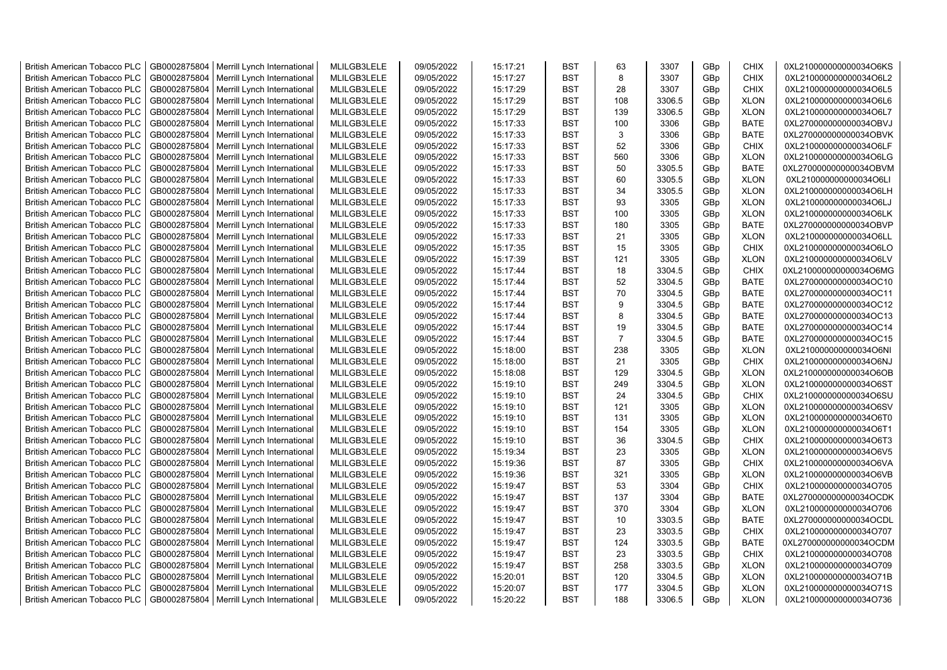| <b>British American Tobacco PLC</b> | GB0002875804 | Merrill Lynch International | MLILGB3LELE | 09/05/2022 | 15:17:21 | <b>BST</b> | 63             | 3307   | GBp | <b>CHIX</b> | 0XL210000000000034O6KS |
|-------------------------------------|--------------|-----------------------------|-------------|------------|----------|------------|----------------|--------|-----|-------------|------------------------|
| <b>British American Tobacco PLC</b> | GB0002875804 | Merrill Lynch International | MLILGB3LELE | 09/05/2022 | 15:17:27 | <b>BST</b> | 8              | 3307   | GBp | <b>CHIX</b> | 0XL210000000000034O6L2 |
| <b>British American Tobacco PLC</b> | GB0002875804 | Merrill Lynch International | MLILGB3LELE | 09/05/2022 | 15:17:29 | <b>BST</b> | 28             | 3307   | GBp | <b>CHIX</b> | 0XL210000000000034O6L5 |
| <b>British American Tobacco PLC</b> | GB0002875804 | Merrill Lynch International | MLILGB3LELE | 09/05/2022 | 15:17:29 | <b>BST</b> | 108            | 3306.5 | GBp | <b>XLON</b> | 0XL210000000000034O6L6 |
| British American Tobacco PLC        | GB0002875804 | Merrill Lynch International | MLILGB3LELE | 09/05/2022 | 15:17:29 | <b>BST</b> | 139            | 3306.5 | GBp | <b>XLON</b> | 0XL210000000000034O6L7 |
| <b>British American Tobacco PLC</b> | GB0002875804 | Merrill Lynch International | MLILGB3LELE | 09/05/2022 | 15:17:33 | <b>BST</b> | 100            | 3306   | GBp | <b>BATE</b> | 0XL270000000000034OBVJ |
| <b>British American Tobacco PLC</b> | GB0002875804 | Merrill Lynch International | MLILGB3LELE | 09/05/2022 | 15:17:33 | <b>BST</b> | 3              | 3306   | GBp | <b>BATE</b> | 0XL270000000000034OBVK |
| <b>British American Tobacco PLC</b> | GB0002875804 | Merrill Lynch International | MLILGB3LELE | 09/05/2022 | 15:17:33 | <b>BST</b> | 52             | 3306   | GBp | CHIX        | 0XL210000000000034O6LF |
| <b>British American Tobacco PLC</b> | GB0002875804 | Merrill Lynch International | MLILGB3LELE | 09/05/2022 | 15:17:33 | <b>BST</b> | 560            | 3306   | GBp | <b>XLON</b> | 0XL210000000000034O6LG |
| <b>British American Tobacco PLC</b> | GB0002875804 | Merrill Lynch International | MLILGB3LELE | 09/05/2022 | 15:17:33 | <b>BST</b> | 50             | 3305.5 | GBp | <b>BATE</b> | 0XL270000000000034OBVM |
| <b>British American Tobacco PLC</b> | GB0002875804 | Merrill Lynch International | MLILGB3LELE | 09/05/2022 | 15:17:33 | <b>BST</b> | 60             | 3305.5 | GBp | <b>XLON</b> | 0XL210000000000034O6LI |
| <b>British American Tobacco PLC</b> | GB0002875804 | Merrill Lynch International | MLILGB3LELE | 09/05/2022 | 15:17:33 | <b>BST</b> | 34             | 3305.5 | GBp | <b>XLON</b> | 0XL210000000000034O6LH |
| <b>British American Tobacco PLC</b> | GB0002875804 | Merrill Lynch International | MLILGB3LELE | 09/05/2022 | 15:17:33 | <b>BST</b> | 93             | 3305   | GBp | <b>XLON</b> | 0XL210000000000034O6LJ |
| <b>British American Tobacco PLC</b> | GB0002875804 | Merrill Lynch International | MLILGB3LELE | 09/05/2022 | 15:17:33 | <b>BST</b> | 100            | 3305   | GBp | <b>XLON</b> | 0XL210000000000034O6LK |
| <b>British American Tobacco PLC</b> | GB0002875804 | Merrill Lynch International | MLILGB3LELE | 09/05/2022 | 15:17:33 | <b>BST</b> | 180            | 3305   | GBp | <b>BATE</b> | 0XL270000000000034OBVP |
| <b>British American Tobacco PLC</b> | GB0002875804 | Merrill Lynch International | MLILGB3LELE | 09/05/2022 | 15:17:33 | <b>BST</b> | 21             | 3305   | GBp | <b>XLON</b> | 0XL210000000000034O6LL |
| <b>British American Tobacco PLC</b> | GB0002875804 | Merrill Lynch International | MLILGB3LELE | 09/05/2022 | 15:17:35 | <b>BST</b> | 15             | 3305   | GBp | <b>CHIX</b> | 0XL210000000000034O6LO |
| <b>British American Tobacco PLC</b> | GB0002875804 | Merrill Lynch International | MLILGB3LELE | 09/05/2022 | 15:17:39 | <b>BST</b> | 121            | 3305   | GBp | <b>XLON</b> | 0XL210000000000034O6LV |
| <b>British American Tobacco PLC</b> | GB0002875804 | Merrill Lynch International | MLILGB3LELE | 09/05/2022 | 15:17:44 | <b>BST</b> | 18             | 3304.5 | GBp | <b>CHIX</b> | 0XL210000000000034O6MG |
| <b>British American Tobacco PLC</b> | GB0002875804 | Merrill Lynch International | MLILGB3LELE | 09/05/2022 | 15:17:44 | <b>BST</b> | 52             | 3304.5 | GBp | <b>BATE</b> | 0XL270000000000034OC10 |
| <b>British American Tobacco PLC</b> | GB0002875804 | Merrill Lynch International | MLILGB3LELE | 09/05/2022 | 15:17:44 | <b>BST</b> | 70             | 3304.5 | GBp | <b>BATE</b> | 0XL270000000000034OC11 |
| <b>British American Tobacco PLC</b> | GB0002875804 | Merrill Lynch International | MLILGB3LELE | 09/05/2022 | 15:17:44 | <b>BST</b> | 9              | 3304.5 | GBp | <b>BATE</b> | 0XL270000000000034OC12 |
| <b>British American Tobacco PLC</b> | GB0002875804 | Merrill Lynch International | MLILGB3LELE | 09/05/2022 | 15:17:44 | <b>BST</b> | 8              | 3304.5 | GBp | <b>BATE</b> | 0XL270000000000034OC13 |
| <b>British American Tobacco PLC</b> | GB0002875804 | Merrill Lynch International | MLILGB3LELE | 09/05/2022 | 15:17:44 | <b>BST</b> | 19             | 3304.5 | GBp | <b>BATE</b> | 0XL270000000000034OC14 |
| <b>British American Tobacco PLC</b> | GB0002875804 | Merrill Lynch International | MLILGB3LELE | 09/05/2022 | 15:17:44 | <b>BST</b> | $\overline{7}$ | 3304.5 | GBp | <b>BATE</b> | 0XL270000000000034OC15 |
| <b>British American Tobacco PLC</b> | GB0002875804 | Merrill Lynch International | MLILGB3LELE | 09/05/2022 | 15:18:00 | <b>BST</b> | 238            | 3305   | GBp | <b>XLON</b> | 0XL210000000000034O6NI |
| <b>British American Tobacco PLC</b> | GB0002875804 | Merrill Lynch International | MLILGB3LELE | 09/05/2022 | 15:18:00 | <b>BST</b> | 21             | 3305   | GBp | <b>CHIX</b> | 0XL210000000000034O6NJ |
| <b>British American Tobacco PLC</b> | GB0002875804 | Merrill Lynch International | MLILGB3LELE | 09/05/2022 | 15:18:08 | <b>BST</b> | 129            | 3304.5 | GBp | <b>XLON</b> | 0XL210000000000034O6OB |
| <b>British American Tobacco PLC</b> | GB0002875804 | Merrill Lynch International | MLILGB3LELE | 09/05/2022 | 15:19:10 | <b>BST</b> | 249            | 3304.5 | GBp | <b>XLON</b> | 0XL210000000000034O6ST |
| <b>British American Tobacco PLC</b> | GB0002875804 | Merrill Lynch International | MLILGB3LELE | 09/05/2022 | 15:19:10 | <b>BST</b> | 24             | 3304.5 | GBp | <b>CHIX</b> | 0XL210000000000034O6SU |
| <b>British American Tobacco PLC</b> | GB0002875804 | Merrill Lynch International | MLILGB3LELE | 09/05/2022 | 15:19:10 | <b>BST</b> | 121            | 3305   | GBp | <b>XLON</b> | 0XL210000000000034O6SV |
| <b>British American Tobacco PLC</b> | GB0002875804 | Merrill Lynch International | MLILGB3LELE | 09/05/2022 | 15:19:10 | <b>BST</b> | 131            | 3305   | GBp | <b>XLON</b> | 0XL210000000000034O6T0 |
| <b>British American Tobacco PLC</b> | GB0002875804 | Merrill Lynch International | MLILGB3LELE | 09/05/2022 | 15:19:10 | <b>BST</b> | 154            | 3305   | GBp | <b>XLON</b> | 0XL210000000000034O6T1 |
| <b>British American Tobacco PLC</b> | GB0002875804 | Merrill Lynch International | MLILGB3LELE | 09/05/2022 | 15:19:10 | <b>BST</b> | 36             | 3304.5 | GBp | <b>CHIX</b> | 0XL210000000000034O6T3 |
| <b>British American Tobacco PLC</b> | GB0002875804 | Merrill Lynch International | MLILGB3LELE | 09/05/2022 | 15:19:34 | <b>BST</b> | 23             | 3305   | GBp | <b>XLON</b> | 0XL210000000000034O6V5 |
| <b>British American Tobacco PLC</b> | GB0002875804 | Merrill Lynch International | MLILGB3LELE | 09/05/2022 | 15:19:36 | <b>BST</b> | 87             | 3305   | GBp | <b>CHIX</b> | 0XL210000000000034O6VA |
| <b>British American Tobacco PLC</b> | GB0002875804 | Merrill Lynch International | MLILGB3LELE | 09/05/2022 | 15:19:36 | <b>BST</b> | 321            | 3305   | GBp | <b>XLON</b> | 0XL210000000000034O6VB |
| <b>British American Tobacco PLC</b> | GB0002875804 | Merrill Lynch International | MLILGB3LELE | 09/05/2022 | 15:19:47 | <b>BST</b> | 53             | 3304   | GBp | <b>CHIX</b> | 0XL210000000000034O705 |
| <b>British American Tobacco PLC</b> | GB0002875804 | Merrill Lynch International | MLILGB3LELE | 09/05/2022 | 15:19:47 | <b>BST</b> | 137            | 3304   | GBp | <b>BATE</b> | 0XL270000000000034OCDK |
| <b>British American Tobacco PLC</b> | GB0002875804 | Merrill Lynch International | MLILGB3LELE | 09/05/2022 | 15:19:47 | <b>BST</b> | 370            | 3304   | GBp | <b>XLON</b> | 0XL210000000000034O706 |
| <b>British American Tobacco PLC</b> | GB0002875804 | Merrill Lynch International | MLILGB3LELE | 09/05/2022 | 15:19:47 | <b>BST</b> | 10             | 3303.5 | GBp | <b>BATE</b> | 0XL270000000000034OCDL |
| <b>British American Tobacco PLC</b> | GB0002875804 | Merrill Lynch International | MLILGB3LELE | 09/05/2022 | 15:19:47 | <b>BST</b> | 23             | 3303.5 | GBp | CHIX        | 0XL210000000000034O707 |
| <b>British American Tobacco PLC</b> | GB0002875804 | Merrill Lynch International | MLILGB3LELE | 09/05/2022 | 15:19:47 | <b>BST</b> | 124            | 3303.5 | GBp | <b>BATE</b> | 0XL270000000000034OCDM |
| <b>British American Tobacco PLC</b> | GB0002875804 | Merrill Lynch International | MLILGB3LELE | 09/05/2022 | 15:19:47 | <b>BST</b> | 23             | 3303.5 | GBp | <b>CHIX</b> | 0XL210000000000034O708 |
| <b>British American Tobacco PLC</b> | GB0002875804 | Merrill Lynch International | MLILGB3LELE | 09/05/2022 | 15:19:47 | <b>BST</b> | 258            | 3303.5 | GBp | <b>XLON</b> | 0XL210000000000034O709 |
| <b>British American Tobacco PLC</b> | GB0002875804 | Merrill Lynch International | MLILGB3LELE | 09/05/2022 | 15:20:01 | <b>BST</b> | 120            | 3304.5 | GBp | <b>XLON</b> | 0XL210000000000034O71B |
| <b>British American Tobacco PLC</b> | GB0002875804 | Merrill Lynch International | MLILGB3LELE | 09/05/2022 | 15:20:07 | <b>BST</b> | 177            | 3304.5 | GBp | <b>XLON</b> | 0XL210000000000034O71S |
| <b>British American Tobacco PLC</b> | GB0002875804 | Merrill Lynch International | MLILGB3LELE | 09/05/2022 | 15:20:22 | <b>BST</b> | 188            | 3306.5 | GBp | <b>XLON</b> | 0XL210000000000034O736 |
|                                     |              |                             |             |            |          |            |                |        |     |             |                        |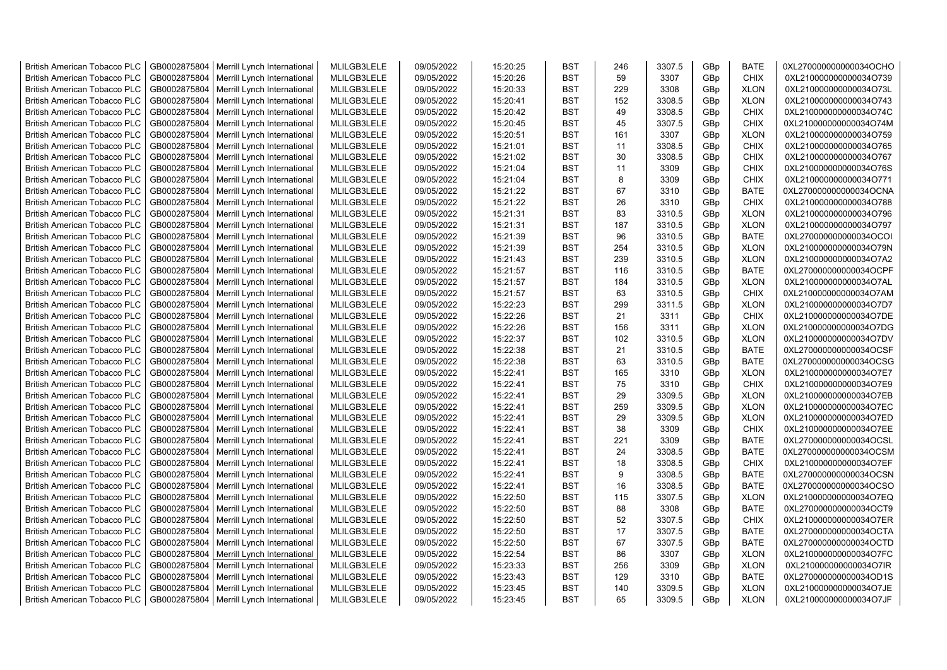| <b>British American Tobacco PLC</b> | GB0002875804 | Merrill Lynch International | MLILGB3LELE | 09/05/2022 | 15:20:25 | <b>BST</b> | 246 | 3307.5 | GBp             | <b>BATE</b> | 0XL270000000000034OCHO |
|-------------------------------------|--------------|-----------------------------|-------------|------------|----------|------------|-----|--------|-----------------|-------------|------------------------|
| <b>British American Tobacco PLC</b> | GB0002875804 | Merrill Lynch International | MLILGB3LELE | 09/05/2022 | 15:20:26 | <b>BST</b> | 59  | 3307   | GBp             | <b>CHIX</b> | 0XL210000000000034O739 |
| <b>British American Tobacco PLC</b> | GB0002875804 | Merrill Lynch International | MLILGB3LELE | 09/05/2022 | 15:20:33 | <b>BST</b> | 229 | 3308   | GBp             | <b>XLON</b> | 0XL210000000000034O73L |
| <b>British American Tobacco PLC</b> | GB0002875804 | Merrill Lynch International | MLILGB3LELE | 09/05/2022 | 15:20:41 | <b>BST</b> | 152 | 3308.5 | GBp             | <b>XLON</b> | 0XL210000000000034O743 |
| <b>British American Tobacco PLC</b> | GB0002875804 | Merrill Lynch International | MLILGB3LELE | 09/05/2022 | 15:20:42 | <b>BST</b> | 49  | 3308.5 | GBp             | <b>CHIX</b> | 0XL210000000000034O74C |
| <b>British American Tobacco PLC</b> | GB0002875804 | Merrill Lynch International | MLILGB3LELE | 09/05/2022 | 15:20:45 | <b>BST</b> | 45  | 3307.5 | GBp             | <b>CHIX</b> | 0XL210000000000034O74M |
| <b>British American Tobacco PLC</b> | GB0002875804 | Merrill Lynch International | MLILGB3LELE | 09/05/2022 | 15:20:51 | <b>BST</b> | 161 | 3307   | GBp             | <b>XLON</b> | 0XL210000000000034O759 |
| <b>British American Tobacco PLC</b> | GB0002875804 | Merrill Lynch International | MLILGB3LELE | 09/05/2022 | 15:21:01 | <b>BST</b> | 11  | 3308.5 | GBp             | <b>CHIX</b> | 0XL210000000000034O765 |
| <b>British American Tobacco PLC</b> | GB0002875804 | Merrill Lynch International | MLILGB3LELE | 09/05/2022 | 15:21:02 | <b>BST</b> | 30  | 3308.5 | GBp             | <b>CHIX</b> | 0XL210000000000034O767 |
| <b>British American Tobacco PLC</b> | GB0002875804 | Merrill Lynch International | MLILGB3LELE | 09/05/2022 | 15:21:04 | <b>BST</b> | 11  | 3309   | GBp             | <b>CHIX</b> | 0XL210000000000034O76S |
| British American Tobacco PLC        | GB0002875804 | Merrill Lynch International | MLILGB3LELE | 09/05/2022 | 15:21:04 | <b>BST</b> | 8   | 3309   | GBp             | <b>CHIX</b> | 0XL210000000000034O771 |
| <b>British American Tobacco PLC</b> | GB0002875804 | Merrill Lynch International | MLILGB3LELE | 09/05/2022 | 15:21:22 | <b>BST</b> | 67  | 3310   | GBp             | <b>BATE</b> | 0XL270000000000034OCNA |
| <b>British American Tobacco PLC</b> | GB0002875804 | Merrill Lynch International | MLILGB3LELE | 09/05/2022 | 15:21:22 | <b>BST</b> | 26  | 3310   | GBp             | <b>CHIX</b> | 0XL210000000000034O788 |
| <b>British American Tobacco PLC</b> | GB0002875804 | Merrill Lynch International | MLILGB3LELE | 09/05/2022 | 15:21:31 | <b>BST</b> | 83  | 3310.5 | GBp             | <b>XLON</b> | 0XL210000000000034O796 |
| <b>British American Tobacco PLC</b> | GB0002875804 | Merrill Lynch International | MLILGB3LELE | 09/05/2022 | 15:21:31 | <b>BST</b> | 187 | 3310.5 | GBp             | <b>XLON</b> | 0XL210000000000034O797 |
| <b>British American Tobacco PLC</b> | GB0002875804 | Merrill Lynch International | MLILGB3LELE | 09/05/2022 | 15:21:39 | <b>BST</b> | 96  | 3310.5 | GBp             | <b>BATE</b> | 0XL270000000000034OCOI |
| <b>British American Tobacco PLC</b> | GB0002875804 | Merrill Lynch International | MLILGB3LELE | 09/05/2022 | 15:21:39 | <b>BST</b> | 254 | 3310.5 | GBp             | <b>XLON</b> | 0XL210000000000034O79N |
| <b>British American Tobacco PLC</b> | GB0002875804 | Merrill Lynch International | MLILGB3LELE | 09/05/2022 | 15:21:43 | <b>BST</b> | 239 | 3310.5 | GBp             | <b>XLON</b> | 0XL210000000000034O7A2 |
| <b>British American Tobacco PLC</b> | GB0002875804 | Merrill Lynch International | MLILGB3LELE | 09/05/2022 | 15:21:57 | <b>BST</b> | 116 | 3310.5 | GBp             | <b>BATE</b> | 0XL270000000000034OCPF |
| <b>British American Tobacco PLC</b> | GB0002875804 | Merrill Lynch International | MLILGB3LELE | 09/05/2022 | 15:21:57 | <b>BST</b> | 184 | 3310.5 | GBp             | <b>XLON</b> | 0XL210000000000034O7AL |
| <b>British American Tobacco PLC</b> | GB0002875804 | Merrill Lynch International | MLILGB3LELE | 09/05/2022 | 15:21:57 | <b>BST</b> | 63  | 3310.5 | GBp             | <b>CHIX</b> | 0XL210000000000034O7AM |
| <b>British American Tobacco PLC</b> | GB0002875804 | Merrill Lynch International | MLILGB3LELE | 09/05/2022 | 15:22:23 | <b>BST</b> | 299 | 3311.5 | GBp             | <b>XLON</b> | 0XL210000000000034O7D7 |
| <b>British American Tobacco PLC</b> | GB0002875804 | Merrill Lynch International | MLILGB3LELE | 09/05/2022 | 15:22:26 | <b>BST</b> | 21  | 3311   | GBp             | <b>CHIX</b> | 0XL210000000000034O7DE |
| <b>British American Tobacco PLC</b> | GB0002875804 | Merrill Lynch International | MLILGB3LELE | 09/05/2022 | 15:22:26 | BST        | 156 | 3311   | GBp             | <b>XLON</b> | 0XL210000000000034O7DG |
| <b>British American Tobacco PLC</b> | GB0002875804 | Merrill Lynch International | MLILGB3LELE | 09/05/2022 | 15:22:37 | <b>BST</b> | 102 | 3310.5 | GBp             | <b>XLON</b> | 0XL210000000000034O7DV |
| British American Tobacco PLC        | GB0002875804 | Merrill Lynch International | MLILGB3LELE | 09/05/2022 | 15:22:38 | <b>BST</b> | 21  | 3310.5 | GBp             | <b>BATE</b> | 0XL270000000000034OCSF |
| <b>British American Tobacco PLC</b> | GB0002875804 | Merrill Lynch International | MLILGB3LELE | 09/05/2022 | 15:22:38 | <b>BST</b> | 63  | 3310.5 | GBp             | <b>BATE</b> | 0XL270000000000034OCSG |
| British American Tobacco PLC        | GB0002875804 | Merrill Lynch International | MLILGB3LELE | 09/05/2022 | 15:22:41 | <b>BST</b> | 165 | 3310   | GBp             | <b>XLON</b> | 0XL210000000000034O7E7 |
| <b>British American Tobacco PLC</b> | GB0002875804 | Merrill Lynch International | MLILGB3LELE | 09/05/2022 | 15:22:41 | <b>BST</b> | 75  | 3310   | GBp             | <b>CHIX</b> | 0XL210000000000034O7E9 |
| <b>British American Tobacco PLC</b> | GB0002875804 | Merrill Lynch International | MLILGB3LELE | 09/05/2022 | 15:22:41 | <b>BST</b> | 29  | 3309.5 | GBp             | <b>XLON</b> | 0XL210000000000034O7EB |
| <b>British American Tobacco PLC</b> | GB0002875804 | Merrill Lynch International | MLILGB3LELE | 09/05/2022 | 15:22:41 | <b>BST</b> | 259 | 3309.5 | GBp             | <b>XLON</b> | 0XL210000000000034O7EC |
| <b>British American Tobacco PLC</b> | GB0002875804 | Merrill Lynch International | MLILGB3LELE | 09/05/2022 | 15:22:41 | <b>BST</b> | 29  | 3309.5 | GBp             | <b>XLON</b> | 0XL210000000000034O7ED |
| <b>British American Tobacco PLC</b> | GB0002875804 | Merrill Lynch International | MLILGB3LELE | 09/05/2022 | 15:22:41 | <b>BST</b> | 38  | 3309   | GBp             | <b>CHIX</b> | 0XL210000000000034O7EE |
| <b>British American Tobacco PLC</b> | GB0002875804 | Merrill Lynch International | MLILGB3LELE | 09/05/2022 | 15:22:41 | <b>BST</b> | 221 | 3309   | GBp             | <b>BATE</b> | 0XL270000000000034OCSL |
| <b>British American Tobacco PLC</b> | GB0002875804 | Merrill Lynch International | MLILGB3LELE | 09/05/2022 | 15:22:41 | <b>BST</b> | 24  | 3308.5 | GBp             | <b>BATE</b> | 0XL270000000000034OCSM |
| <b>British American Tobacco PLC</b> | GB0002875804 | Merrill Lynch International | MLILGB3LELE | 09/05/2022 | 15:22:41 | <b>BST</b> | 18  | 3308.5 | GBp             | <b>CHIX</b> | 0XL210000000000034O7EF |
| <b>British American Tobacco PLC</b> | GB0002875804 | Merrill Lynch International | MLILGB3LELE | 09/05/2022 | 15:22:41 | <b>BST</b> | 9   | 3308.5 | GBp             | <b>BATE</b> | 0XL270000000000034OCSN |
| <b>British American Tobacco PLC</b> | GB0002875804 | Merrill Lynch International | MLILGB3LELE | 09/05/2022 | 15:22:41 | <b>BST</b> | 16  | 3308.5 | GBp             | <b>BATE</b> | 0XL270000000000034OCSO |
| <b>British American Tobacco PLC</b> | GB0002875804 | Merrill Lynch International | MLILGB3LELE | 09/05/2022 | 15:22:50 | <b>BST</b> | 115 | 3307.5 | GBp             | <b>XLON</b> | 0XL210000000000034O7EQ |
| <b>British American Tobacco PLC</b> | GB0002875804 | Merrill Lynch International | MLILGB3LELE | 09/05/2022 | 15:22:50 | <b>BST</b> | 88  | 3308   | GBp             | <b>BATE</b> | 0XL270000000000034OCT9 |
| <b>British American Tobacco PLC</b> | GB0002875804 | Merrill Lynch International | MLILGB3LELE | 09/05/2022 | 15:22:50 | <b>BST</b> | 52  | 3307.5 | GBp             | <b>CHIX</b> | 0XL210000000000034O7ER |
| <b>British American Tobacco PLC</b> | GB0002875804 | Merrill Lynch International | MLILGB3LELE | 09/05/2022 | 15:22:50 | <b>BST</b> | 17  | 3307.5 | GBp             | BATE        | 0XL270000000000034OCTA |
| <b>British American Tobacco PLC</b> | GB0002875804 | Merrill Lynch International | MLILGB3LELE | 09/05/2022 | 15:22:50 | <b>BST</b> | 67  | 3307.5 | GBp             | <b>BATE</b> | 0XL270000000000034OCTD |
| British American Tobacco PLC        | GB0002875804 | Merrill Lynch International | MLILGB3LELE | 09/05/2022 | 15:22:54 | <b>BST</b> | 86  | 3307   | GBp             | <b>XLON</b> | 0XL210000000000034O7FC |
| <b>British American Tobacco PLC</b> | GB0002875804 | Merrill Lynch International | MLILGB3LELE | 09/05/2022 | 15:23:33 | <b>BST</b> | 256 | 3309   | GBp             | <b>XLON</b> | 0XL210000000000034O7IR |
| <b>British American Tobacco PLC</b> | GB0002875804 | Merrill Lynch International | MLILGB3LELE | 09/05/2022 | 15:23:43 | <b>BST</b> | 129 | 3310   | GBp             | <b>BATE</b> | 0XL270000000000034OD1S |
| <b>British American Tobacco PLC</b> | GB0002875804 | Merrill Lynch International | MLILGB3LELE | 09/05/2022 | 15:23:45 | <b>BST</b> | 140 | 3309.5 | GBp             | <b>XLON</b> | 0XL210000000000034O7JE |
| <b>British American Tobacco PLC</b> | GB0002875804 | Merrill Lynch International | MLILGB3LELE | 09/05/2022 | 15:23:45 | <b>BST</b> | 65  | 3309.5 | GB <sub>p</sub> | <b>XLON</b> | 0XL210000000000034O7JF |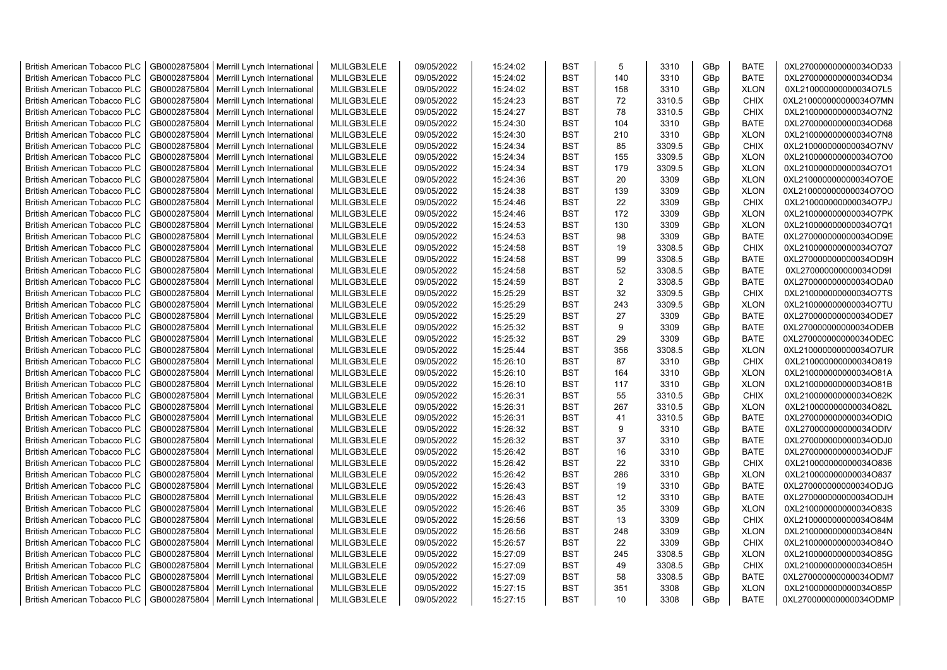| <b>British American Tobacco PLC</b> | GB0002875804 | Merrill Lynch International | MLILGB3LELE | 09/05/2022 | 15:24:02 | <b>BST</b> | 5              | 3310   | GBp | <b>BATE</b> | 0XL270000000000034OD33 |
|-------------------------------------|--------------|-----------------------------|-------------|------------|----------|------------|----------------|--------|-----|-------------|------------------------|
| <b>British American Tobacco PLC</b> | GB0002875804 | Merrill Lynch International | MLILGB3LELE | 09/05/2022 | 15:24:02 | <b>BST</b> | 140            | 3310   | GBp | <b>BATE</b> | 0XL270000000000034OD34 |
| <b>British American Tobacco PLC</b> | GB0002875804 | Merrill Lynch International | MLILGB3LELE | 09/05/2022 | 15:24:02 | <b>BST</b> | 158            | 3310   | GBp | <b>XLON</b> | 0XL210000000000034O7L5 |
| <b>British American Tobacco PLC</b> | GB0002875804 | Merrill Lynch International | MLILGB3LELE | 09/05/2022 | 15:24:23 | <b>BST</b> | 72             | 3310.5 | GBp | <b>CHIX</b> | 0XL210000000000034O7MN |
| <b>British American Tobacco PLC</b> | GB0002875804 | Merrill Lynch International | MLILGB3LELE | 09/05/2022 | 15:24:27 | <b>BST</b> | 78             | 3310.5 | GBp | <b>CHIX</b> | 0XL210000000000034O7N2 |
| <b>British American Tobacco PLC</b> | GB0002875804 | Merrill Lynch International | MLILGB3LELE | 09/05/2022 | 15:24:30 | <b>BST</b> | 104            | 3310   | GBp | <b>BATE</b> | 0XL270000000000034OD68 |
| <b>British American Tobacco PLC</b> | GB0002875804 | Merrill Lynch International | MLILGB3LELE | 09/05/2022 | 15:24:30 | <b>BST</b> | 210            | 3310   | GBp | <b>XLON</b> | 0XL210000000000034O7N8 |
| <b>British American Tobacco PLC</b> | GB0002875804 | Merrill Lynch International | MLILGB3LELE | 09/05/2022 | 15:24:34 | <b>BST</b> | 85             | 3309.5 | GBp | <b>CHIX</b> | 0XL210000000000034O7NV |
| <b>British American Tobacco PLC</b> | GB0002875804 | Merrill Lynch International | MLILGB3LELE | 09/05/2022 | 15:24:34 | <b>BST</b> | 155            | 3309.5 | GBp | <b>XLON</b> | 0XL210000000000034O7O0 |
| <b>British American Tobacco PLC</b> | GB0002875804 | Merrill Lynch International | MLILGB3LELE | 09/05/2022 | 15:24:34 | <b>BST</b> | 179            | 3309.5 | GBp | <b>XLON</b> | 0XL210000000000034O7O1 |
| <b>British American Tobacco PLC</b> | GB0002875804 | Merrill Lynch International | MLILGB3LELE | 09/05/2022 | 15:24:36 | <b>BST</b> | 20             | 3309   | GBp | <b>XLON</b> | 0XL210000000000034O7OE |
| <b>British American Tobacco PLC</b> | GB0002875804 | Merrill Lynch International | MLILGB3LELE | 09/05/2022 | 15:24:38 | <b>BST</b> | 139            | 3309   | GBp | <b>XLON</b> | 0XL210000000000034O7OO |
| <b>British American Tobacco PLC</b> | GB0002875804 | Merrill Lynch International | MLILGB3LELE | 09/05/2022 | 15:24:46 | <b>BST</b> | 22             | 3309   | GBp | <b>CHIX</b> | 0XL210000000000034O7PJ |
| <b>British American Tobacco PLC</b> | GB0002875804 | Merrill Lynch International | MLILGB3LELE | 09/05/2022 | 15:24:46 | <b>BST</b> | 172            | 3309   | GBp | <b>XLON</b> | 0XL210000000000034O7PK |
| <b>British American Tobacco PLC</b> | GB0002875804 | Merrill Lynch International | MLILGB3LELE | 09/05/2022 | 15:24:53 | <b>BST</b> | 130            | 3309   | GBp | <b>XLON</b> | 0XL210000000000034O7Q1 |
| <b>British American Tobacco PLC</b> | GB0002875804 | Merrill Lynch International | MLILGB3LELE | 09/05/2022 | 15:24:53 | <b>BST</b> | 98             | 3309   | GBp | <b>BATE</b> | 0XL270000000000034OD9E |
| <b>British American Tobacco PLC</b> | GB0002875804 | Merrill Lynch International | MLILGB3LELE | 09/05/2022 | 15:24:58 | <b>BST</b> | 19             | 3308.5 | GBp | CHIX        | 0XL210000000000034O7Q7 |
| <b>British American Tobacco PLC</b> | GB0002875804 | Merrill Lynch International | MLILGB3LELE | 09/05/2022 | 15:24:58 | <b>BST</b> | 99             | 3308.5 | GBp | <b>BATE</b> | 0XL270000000000034OD9H |
| <b>British American Tobacco PLC</b> | GB0002875804 | Merrill Lynch International | MLILGB3LELE | 09/05/2022 | 15:24:58 | <b>BST</b> | 52             | 3308.5 | GBp | <b>BATE</b> | 0XL270000000000034OD9I |
| <b>British American Tobacco PLC</b> | GB0002875804 | Merrill Lynch International | MLILGB3LELE | 09/05/2022 | 15:24:59 | <b>BST</b> | $\overline{2}$ | 3308.5 | GBp | <b>BATE</b> | 0XL270000000000034ODA0 |
| <b>British American Tobacco PLC</b> | GB0002875804 | Merrill Lynch International | MLILGB3LELE | 09/05/2022 | 15:25:29 | <b>BST</b> | 32             | 3309.5 | GBp | <b>CHIX</b> | 0XL210000000000034O7TS |
| <b>British American Tobacco PLC</b> | GB0002875804 | Merrill Lynch International | MLILGB3LELE | 09/05/2022 | 15:25:29 | <b>BST</b> | 243            | 3309.5 | GBp | <b>XLON</b> | 0XL210000000000034O7TU |
| British American Tobacco PLC        | GB0002875804 | Merrill Lynch International | MLILGB3LELE | 09/05/2022 | 15:25:29 | <b>BST</b> | 27             | 3309   | GBp | <b>BATE</b> | 0XL270000000000034ODE7 |
| <b>British American Tobacco PLC</b> | GB0002875804 | Merrill Lynch International | MLILGB3LELE | 09/05/2022 | 15:25:32 | <b>BST</b> | 9              | 3309   | GBp | <b>BATE</b> | 0XL270000000000034ODEB |
| <b>British American Tobacco PLC</b> | GB0002875804 | Merrill Lynch International | MLILGB3LELE | 09/05/2022 | 15:25:32 | <b>BST</b> | 29             | 3309   | GBp | <b>BATE</b> | 0XL270000000000034ODEC |
| <b>British American Tobacco PLC</b> | GB0002875804 | Merrill Lynch International | MLILGB3LELE | 09/05/2022 | 15:25:44 | <b>BST</b> | 356            | 3308.5 | GBp | <b>XLON</b> | 0XL210000000000034O7UR |
| <b>British American Tobacco PLC</b> | GB0002875804 | Merrill Lynch International | MLILGB3LELE | 09/05/2022 | 15:26:10 | <b>BST</b> | 87             | 3310   | GBp | <b>CHIX</b> | 0XL210000000000034O819 |
| <b>British American Tobacco PLC</b> | GB0002875804 | Merrill Lynch International | MLILGB3LELE | 09/05/2022 | 15:26:10 | <b>BST</b> | 164            | 3310   | GBp | <b>XLON</b> | 0XL210000000000034O81A |
| <b>British American Tobacco PLC</b> | GB0002875804 | Merrill Lynch International | MLILGB3LELE | 09/05/2022 | 15:26:10 | <b>BST</b> | 117            | 3310   | GBp | <b>XLON</b> | 0XL210000000000034O81B |
| <b>British American Tobacco PLC</b> | GB0002875804 | Merrill Lynch International | MLILGB3LELE | 09/05/2022 | 15:26:31 | <b>BST</b> | 55             | 3310.5 | GBp | <b>CHIX</b> | 0XL210000000000034O82K |
| <b>British American Tobacco PLC</b> | GB0002875804 | Merrill Lynch International | MLILGB3LELE | 09/05/2022 | 15:26:31 | <b>BST</b> | 267            | 3310.5 | GBp | <b>XLON</b> | 0XL210000000000034O82L |
| <b>British American Tobacco PLC</b> | GB0002875804 | Merrill Lynch International | MLILGB3LELE | 09/05/2022 | 15:26:31 | <b>BST</b> | 41             | 3310.5 | GBp | <b>BATE</b> | 0XL270000000000034ODIQ |
| <b>British American Tobacco PLC</b> | GB0002875804 | Merrill Lynch International | MLILGB3LELE | 09/05/2022 | 15:26:32 | <b>BST</b> | 9              | 3310   | GBp | <b>BATE</b> | 0XL270000000000034ODIV |
| <b>British American Tobacco PLC</b> | GB0002875804 | Merrill Lynch International | MLILGB3LELE | 09/05/2022 | 15:26:32 | <b>BST</b> | 37             | 3310   | GBp | <b>BATE</b> | 0XL270000000000034ODJ0 |
| <b>British American Tobacco PLC</b> | GB0002875804 | Merrill Lynch International | MLILGB3LELE | 09/05/2022 | 15:26:42 | <b>BST</b> | 16             | 3310   | GBp | <b>BATE</b> | 0XL270000000000034ODJF |
| <b>British American Tobacco PLC</b> | GB0002875804 | Merrill Lynch International | MLILGB3LELE | 09/05/2022 | 15:26:42 | <b>BST</b> | 22             | 3310   | GBp | <b>CHIX</b> | 0XL210000000000034O836 |
| <b>British American Tobacco PLC</b> | GB0002875804 | Merrill Lynch International | MLILGB3LELE | 09/05/2022 | 15:26:42 | <b>BST</b> | 286            | 3310   | GBp | <b>XLON</b> | 0XL210000000000034O837 |
| <b>British American Tobacco PLC</b> | GB0002875804 | Merrill Lynch International | MLILGB3LELE | 09/05/2022 | 15:26:43 | <b>BST</b> | 19             | 3310   | GBp | <b>BATE</b> | 0XL270000000000034ODJG |
| <b>British American Tobacco PLC</b> | GB0002875804 | Merrill Lynch International | MLILGB3LELE | 09/05/2022 | 15:26:43 | <b>BST</b> | 12             | 3310   | GBp | <b>BATE</b> | 0XL270000000000034ODJH |
| <b>British American Tobacco PLC</b> | GB0002875804 | Merrill Lynch International | MLILGB3LELE | 09/05/2022 | 15:26:46 | <b>BST</b> | 35             | 3309   | GBp | <b>XLON</b> | 0XL210000000000034O83S |
| <b>British American Tobacco PLC</b> | GB0002875804 | Merrill Lynch International | MLILGB3LELE | 09/05/2022 | 15:26:56 | <b>BST</b> | 13             | 3309   | GBp | <b>CHIX</b> | 0XL210000000000034O84M |
| <b>British American Tobacco PLC</b> | GB0002875804 | Merrill Lynch International | MLILGB3LELE | 09/05/2022 | 15:26:56 | BST        | 248            | 3309   | GBp | <b>XLON</b> | 0XL210000000000034O84N |
| <b>British American Tobacco PLC</b> | GB0002875804 | Merrill Lynch International | MLILGB3LELE | 09/05/2022 | 15:26:57 | <b>BST</b> | 22             | 3309   | GBp | <b>CHIX</b> | 0XL210000000000034O84O |
| <b>British American Tobacco PLC</b> | GB0002875804 | Merrill Lynch International | MLILGB3LELE | 09/05/2022 | 15:27:09 | <b>BST</b> | 245            | 3308.5 | GBp | <b>XLON</b> | 0XL210000000000034O85G |
| <b>British American Tobacco PLC</b> | GB0002875804 | Merrill Lynch International | MLILGB3LELE | 09/05/2022 | 15:27:09 | <b>BST</b> | 49             | 3308.5 | GBp | <b>CHIX</b> | 0XL210000000000034O85H |
| <b>British American Tobacco PLC</b> | GB0002875804 | Merrill Lynch International | MLILGB3LELE | 09/05/2022 | 15:27:09 | <b>BST</b> | 58             | 3308.5 | GBp | <b>BATE</b> | 0XL270000000000034ODM7 |
| <b>British American Tobacco PLC</b> | GB0002875804 | Merrill Lynch International | MLILGB3LELE | 09/05/2022 | 15:27:15 | <b>BST</b> | 351            | 3308   | GBp | <b>XLON</b> | 0XL210000000000034O85P |
| <b>British American Tobacco PLC</b> | GB0002875804 | Merrill Lynch International | MLILGB3LELE | 09/05/2022 | 15:27:15 | <b>BST</b> | 10             | 3308   | GBp | <b>BATE</b> | 0XL270000000000034ODMP |
|                                     |              |                             |             |            |          |            |                |        |     |             |                        |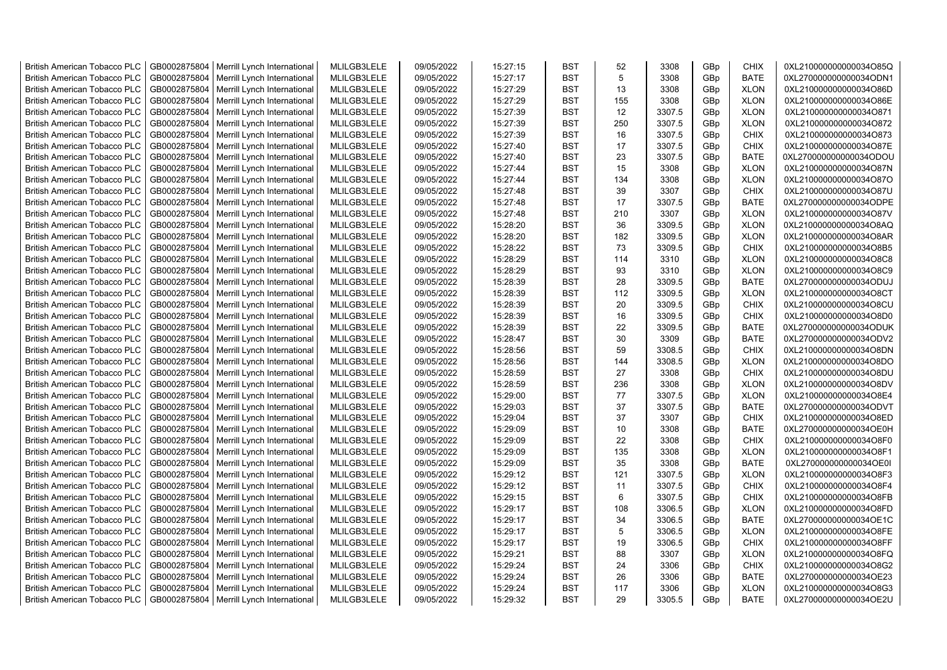| <b>British American Tobacco PLC</b> | GB0002875804 | Merrill Lynch International | MLILGB3LELE | 09/05/2022 | 15:27:15 | <b>BST</b> | 52  | 3308   | GBp             | <b>CHIX</b> | 0XL210000000000034O85Q |
|-------------------------------------|--------------|-----------------------------|-------------|------------|----------|------------|-----|--------|-----------------|-------------|------------------------|
| <b>British American Tobacco PLC</b> | GB0002875804 | Merrill Lynch International | MLILGB3LELE | 09/05/2022 | 15:27:17 | <b>BST</b> | 5   | 3308   | GBp             | <b>BATE</b> | 0XL270000000000034ODN1 |
| <b>British American Tobacco PLC</b> | GB0002875804 | Merrill Lynch International | MLILGB3LELE | 09/05/2022 | 15:27:29 | <b>BST</b> | 13  | 3308   | GBp             | <b>XLON</b> | 0XL210000000000034O86D |
| <b>British American Tobacco PLC</b> | GB0002875804 | Merrill Lynch International | MLILGB3LELE | 09/05/2022 | 15:27:29 | <b>BST</b> | 155 | 3308   | GBp             | <b>XLON</b> | 0XL210000000000034O86E |
| <b>British American Tobacco PLC</b> | GB0002875804 | Merrill Lynch International | MLILGB3LELE | 09/05/2022 | 15:27:39 | <b>BST</b> | 12  | 3307.5 | GBp             | <b>XLON</b> | 0XL210000000000034O871 |
| <b>British American Tobacco PLC</b> | GB0002875804 | Merrill Lynch International | MLILGB3LELE | 09/05/2022 | 15:27:39 | <b>BST</b> | 250 | 3307.5 | GBp             | <b>XLON</b> | 0XL210000000000034O872 |
| <b>British American Tobacco PLC</b> | GB0002875804 | Merrill Lynch International | MLILGB3LELE | 09/05/2022 | 15:27:39 | <b>BST</b> | 16  | 3307.5 | GBp             | <b>CHIX</b> | 0XL210000000000034O873 |
| <b>British American Tobacco PLC</b> | GB0002875804 | Merrill Lynch International | MLILGB3LELE | 09/05/2022 | 15:27:40 | <b>BST</b> | 17  | 3307.5 | GBp             | <b>CHIX</b> | 0XL210000000000034O87E |
| <b>British American Tobacco PLC</b> | GB0002875804 | Merrill Lynch International | MLILGB3LELE | 09/05/2022 | 15:27:40 | <b>BST</b> | 23  | 3307.5 | GBp             | <b>BATE</b> | 0XL270000000000034ODOU |
| <b>British American Tobacco PLC</b> | GB0002875804 | Merrill Lynch International | MLILGB3LELE | 09/05/2022 | 15:27:44 | <b>BST</b> | 15  | 3308   | GBp             | <b>XLON</b> | 0XL210000000000034O87N |
| <b>British American Tobacco PLC</b> | GB0002875804 | Merrill Lynch International | MLILGB3LELE | 09/05/2022 | 15:27:44 | <b>BST</b> | 134 | 3308   | GBp             | <b>XLON</b> | 0XL210000000000034O87O |
| <b>British American Tobacco PLC</b> | GB0002875804 | Merrill Lynch International | MLILGB3LELE | 09/05/2022 | 15:27:48 | <b>BST</b> | 39  | 3307   | GBp             | <b>CHIX</b> | 0XL210000000000034O87U |
| <b>British American Tobacco PLC</b> | GB0002875804 | Merrill Lynch International | MLILGB3LELE | 09/05/2022 | 15:27:48 | <b>BST</b> | 17  | 3307.5 | GBp             | <b>BATE</b> | 0XL270000000000034ODPE |
| <b>British American Tobacco PLC</b> | GB0002875804 | Merrill Lynch International | MLILGB3LELE | 09/05/2022 | 15:27:48 | <b>BST</b> | 210 | 3307   | GBp             | <b>XLON</b> | 0XL210000000000034O87V |
| <b>British American Tobacco PLC</b> | GB0002875804 | Merrill Lynch International | MLILGB3LELE | 09/05/2022 | 15:28:20 | <b>BST</b> | 36  | 3309.5 | GBp             | <b>XLON</b> | 0XL210000000000034O8AQ |
| <b>British American Tobacco PLC</b> | GB0002875804 | Merrill Lynch International | MLILGB3LELE | 09/05/2022 | 15:28:20 | <b>BST</b> | 182 | 3309.5 | GBp             | <b>XLON</b> | 0XL210000000000034O8AR |
| <b>British American Tobacco PLC</b> | GB0002875804 | Merrill Lynch International | MLILGB3LELE | 09/05/2022 | 15:28:22 | <b>BST</b> | 73  | 3309.5 | GBp             | <b>CHIX</b> | 0XL210000000000034O8B5 |
| <b>British American Tobacco PLC</b> | GB0002875804 | Merrill Lynch International | MLILGB3LELE | 09/05/2022 | 15:28:29 | <b>BST</b> | 114 | 3310   | GBp             | <b>XLON</b> | 0XL210000000000034O8C8 |
| <b>British American Tobacco PLC</b> | GB0002875804 | Merrill Lynch International | MLILGB3LELE | 09/05/2022 | 15:28:29 | <b>BST</b> | 93  | 3310   | GBp             | <b>XLON</b> | 0XL210000000000034O8C9 |
| <b>British American Tobacco PLC</b> | GB0002875804 | Merrill Lynch International | MLILGB3LELE | 09/05/2022 | 15:28:39 | <b>BST</b> | 28  | 3309.5 | GBp             | <b>BATE</b> | 0XL270000000000034ODUJ |
| <b>British American Tobacco PLC</b> | GB0002875804 | Merrill Lynch International | MLILGB3LELE | 09/05/2022 | 15:28:39 | <b>BST</b> | 112 | 3309.5 | GBp             | <b>XLON</b> | 0XL210000000000034O8CT |
| <b>British American Tobacco PLC</b> | GB0002875804 | Merrill Lynch International | MLILGB3LELE | 09/05/2022 | 15:28:39 | <b>BST</b> | 20  | 3309.5 | GBp             | <b>CHIX</b> | 0XL210000000000034O8CU |
| <b>British American Tobacco PLC</b> | GB0002875804 | Merrill Lynch International | MLILGB3LELE | 09/05/2022 | 15:28:39 | <b>BST</b> | 16  | 3309.5 | GBp             | <b>CHIX</b> | 0XL210000000000034O8D0 |
| <b>British American Tobacco PLC</b> | GB0002875804 | Merrill Lynch International | MLILGB3LELE | 09/05/2022 | 15:28:39 | <b>BST</b> | 22  | 3309.5 | GBp             | BATE        | 0XL270000000000034ODUK |
| <b>British American Tobacco PLC</b> | GB0002875804 | Merrill Lynch International | MLILGB3LELE | 09/05/2022 | 15:28:47 | <b>BST</b> | 30  | 3309   | GBp             | <b>BATE</b> | 0XL270000000000034ODV2 |
| <b>British American Tobacco PLC</b> | GB0002875804 | Merrill Lynch International | MLILGB3LELE | 09/05/2022 | 15:28:56 | <b>BST</b> | 59  | 3308.5 | GBp             | <b>CHIX</b> | 0XL210000000000034O8DN |
| <b>British American Tobacco PLC</b> | GB0002875804 | Merrill Lynch International | MLILGB3LELE | 09/05/2022 | 15:28:56 | <b>BST</b> | 144 | 3308.5 | GBp             | <b>XLON</b> | 0XL210000000000034O8DO |
| <b>British American Tobacco PLC</b> | GB0002875804 | Merrill Lynch International | MLILGB3LELE | 09/05/2022 | 15:28:59 | <b>BST</b> | 27  | 3308   | GBp             | <b>CHIX</b> | 0XL210000000000034O8DU |
| <b>British American Tobacco PLC</b> | GB0002875804 | Merrill Lynch International | MLILGB3LELE | 09/05/2022 | 15:28:59 | BST        | 236 | 3308   | GBp             | <b>XLON</b> | 0XL210000000000034O8DV |
| <b>British American Tobacco PLC</b> | GB0002875804 | Merrill Lynch International | MLILGB3LELE | 09/05/2022 | 15:29:00 | <b>BST</b> | 77  | 3307.5 | GBp             | <b>XLON</b> | 0XL210000000000034O8E4 |
| <b>British American Tobacco PLC</b> | GB0002875804 | Merrill Lynch International | MLILGB3LELE | 09/05/2022 | 15:29:03 | <b>BST</b> | 37  | 3307.5 | GBp             | <b>BATE</b> | 0XL270000000000034ODVT |
| <b>British American Tobacco PLC</b> | GB0002875804 | Merrill Lynch International | MLILGB3LELE | 09/05/2022 | 15:29:04 | <b>BST</b> | 37  | 3307   | GBp             | <b>CHIX</b> | 0XL210000000000034O8ED |
| <b>British American Tobacco PLC</b> | GB0002875804 | Merrill Lynch International | MLILGB3LELE | 09/05/2022 | 15:29:09 | BST        | 10  | 3308   | GBp             | <b>BATE</b> | 0XL270000000000034OE0H |
| <b>British American Tobacco PLC</b> | GB0002875804 | Merrill Lynch International | MLILGB3LELE | 09/05/2022 | 15:29:09 | <b>BST</b> | 22  | 3308   | GBp             | <b>CHIX</b> | 0XL210000000000034O8F0 |
| <b>British American Tobacco PLC</b> | GB0002875804 | Merrill Lynch International | MLILGB3LELE | 09/05/2022 | 15:29:09 | <b>BST</b> | 135 | 3308   | GBp             | <b>XLON</b> | 0XL210000000000034O8F1 |
| <b>British American Tobacco PLC</b> | GB0002875804 | Merrill Lynch International | MLILGB3LELE | 09/05/2022 | 15:29:09 | <b>BST</b> | 35  | 3308   | GBp             | <b>BATE</b> | 0XL270000000000034OE0I |
| <b>British American Tobacco PLC</b> | GB0002875804 | Merrill Lynch International | MLILGB3LELE | 09/05/2022 | 15:29:12 | <b>BST</b> | 121 | 3307.5 | GBp             | <b>XLON</b> | 0XL210000000000034O8F3 |
| <b>British American Tobacco PLC</b> | GB0002875804 | Merrill Lynch International | MLILGB3LELE | 09/05/2022 | 15:29:12 | <b>BST</b> | 11  | 3307.5 | GBp             | <b>CHIX</b> | 0XL210000000000034O8F4 |
| <b>British American Tobacco PLC</b> | GB0002875804 | Merrill Lynch International | MLILGB3LELE | 09/05/2022 | 15:29:15 | <b>BST</b> | 6   | 3307.5 | GBp             | <b>CHIX</b> | 0XL210000000000034O8FB |
| <b>British American Tobacco PLC</b> | GB0002875804 | Merrill Lynch International | MLILGB3LELE | 09/05/2022 | 15:29:17 | <b>BST</b> | 108 | 3306.5 | GBp             | <b>XLON</b> | 0XL210000000000034O8FD |
| <b>British American Tobacco PLC</b> | GB0002875804 | Merrill Lynch International | MLILGB3LELE | 09/05/2022 | 15:29:17 | <b>BST</b> | 34  | 3306.5 | GBp             | <b>BATE</b> | 0XL270000000000034OE1C |
| <b>British American Tobacco PLC</b> | GB0002875804 | Merrill Lynch International | MLILGB3LELE | 09/05/2022 | 15:29:17 | <b>BST</b> | 5   | 3306.5 | GBp             | <b>XLON</b> | 0XL210000000000034O8FE |
| <b>British American Tobacco PLC</b> | GB0002875804 | Merrill Lynch International | MLILGB3LELE | 09/05/2022 | 15:29:17 | <b>BST</b> | 19  | 3306.5 | GBp             | <b>CHIX</b> | 0XL210000000000034O8FF |
| <b>British American Tobacco PLC</b> | GB0002875804 | Merrill Lynch International | MLILGB3LELE | 09/05/2022 | 15:29:21 | <b>BST</b> | 88  | 3307   | GBp             | <b>XLON</b> | 0XL210000000000034O8FQ |
| <b>British American Tobacco PLC</b> | GB0002875804 | Merrill Lynch International | MLILGB3LELE | 09/05/2022 | 15:29:24 | <b>BST</b> | 24  | 3306   | GBp             | <b>CHIX</b> | 0XL210000000000034O8G2 |
| <b>British American Tobacco PLC</b> | GB0002875804 | Merrill Lynch International | MLILGB3LELE | 09/05/2022 | 15:29:24 | <b>BST</b> | 26  | 3306   | GBp             | <b>BATE</b> | 0XL270000000000034OE23 |
| <b>British American Tobacco PLC</b> | GB0002875804 | Merrill Lynch International | MLILGB3LELE | 09/05/2022 | 15:29:24 | <b>BST</b> | 117 | 3306   | GBp             | <b>XLON</b> | 0XL210000000000034O8G3 |
| <b>British American Tobacco PLC</b> | GB0002875804 | Merrill Lynch International | MLILGB3LELE | 09/05/2022 | 15:29:32 | <b>BST</b> | 29  | 3305.5 | GB <sub>p</sub> | <b>BATE</b> | 0XL270000000000034OE2U |
|                                     |              |                             |             |            |          |            |     |        |                 |             |                        |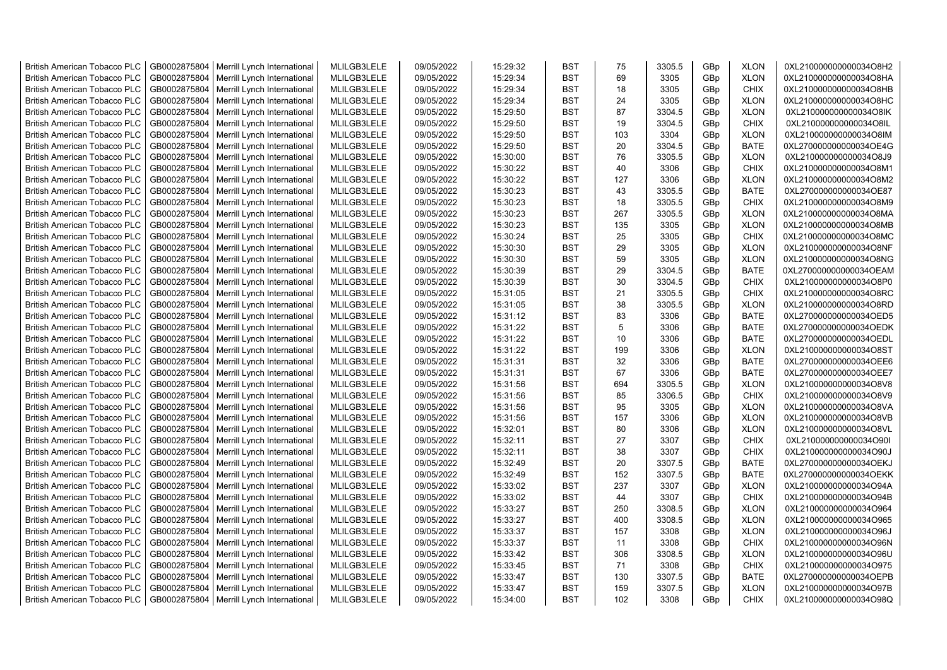| <b>British American Tobacco PLC</b> | GB0002875804 | Merrill Lynch International                | MLILGB3LELE | 09/05/2022 | 15:29:32 | <b>BST</b> | 75  | 3305.5 | GBp | <b>XLON</b> | 0XL210000000000034O8H2 |
|-------------------------------------|--------------|--------------------------------------------|-------------|------------|----------|------------|-----|--------|-----|-------------|------------------------|
| <b>British American Tobacco PLC</b> | GB0002875804 | Merrill Lynch International                | MLILGB3LELE | 09/05/2022 | 15:29:34 | <b>BST</b> | 69  | 3305   | GBp | <b>XLON</b> | 0XL210000000000034O8HA |
| <b>British American Tobacco PLC</b> | GB0002875804 | Merrill Lynch International                | MLILGB3LELE | 09/05/2022 | 15:29:34 | <b>BST</b> | 18  | 3305   | GBp | <b>CHIX</b> | 0XL210000000000034O8HB |
| <b>British American Tobacco PLC</b> | GB0002875804 | Merrill Lynch International                | MLILGB3LELE | 09/05/2022 | 15:29:34 | <b>BST</b> | 24  | 3305   | GBp | <b>XLON</b> | 0XL210000000000034O8HC |
| <b>British American Tobacco PLC</b> | GB0002875804 | Merrill Lynch International                | MLILGB3LELE | 09/05/2022 | 15:29:50 | <b>BST</b> | 87  | 3304.5 | GBp | <b>XLON</b> | 0XL210000000000034O8IK |
| <b>British American Tobacco PLC</b> | GB0002875804 | Merrill Lynch International                | MLILGB3LELE | 09/05/2022 | 15:29:50 | <b>BST</b> | 19  | 3304.5 | GBp | <b>CHIX</b> | 0XL210000000000034O8IL |
| <b>British American Tobacco PLC</b> | GB0002875804 | Merrill Lynch International                | MLILGB3LELE | 09/05/2022 | 15:29:50 | <b>BST</b> | 103 | 3304   | GBp | <b>XLON</b> | 0XL210000000000034O8IM |
| <b>British American Tobacco PLC</b> | GB0002875804 | Merrill Lynch International                | MLILGB3LELE | 09/05/2022 | 15:29:50 | <b>BST</b> | 20  | 3304.5 | GBp | <b>BATE</b> | 0XL270000000000034OE4G |
| <b>British American Tobacco PLC</b> | GB0002875804 | Merrill Lynch International                | MLILGB3LELE | 09/05/2022 | 15:30:00 | <b>BST</b> | 76  | 3305.5 | GBp | <b>XLON</b> | 0XL210000000000034O8J9 |
| <b>British American Tobacco PLC</b> | GB0002875804 | Merrill Lynch International                | MLILGB3LELE | 09/05/2022 | 15:30:22 | <b>BST</b> | 40  | 3306   | GBp | <b>CHIX</b> | 0XL210000000000034O8M1 |
| <b>British American Tobacco PLC</b> | GB0002875804 | Merrill Lynch International                | MLILGB3LELE | 09/05/2022 | 15:30:22 | <b>BST</b> | 127 | 3306   | GBp | <b>XLON</b> | 0XL210000000000034O8M2 |
| <b>British American Tobacco PLC</b> | GB0002875804 | Merrill Lynch International                | MLILGB3LELE | 09/05/2022 | 15:30:23 | <b>BST</b> | 43  | 3305.5 | GBp | <b>BATE</b> | 0XL270000000000034OE87 |
| <b>British American Tobacco PLC</b> | GB0002875804 | Merrill Lynch International                | MLILGB3LELE | 09/05/2022 | 15:30:23 | <b>BST</b> | 18  | 3305.5 | GBp | <b>CHIX</b> | 0XL210000000000034O8M9 |
| <b>British American Tobacco PLC</b> | GB0002875804 | Merrill Lynch International                | MLILGB3LELE | 09/05/2022 | 15:30:23 | <b>BST</b> | 267 | 3305.5 | GBp | <b>XLON</b> | 0XL210000000000034O8MA |
| <b>British American Tobacco PLC</b> | GB0002875804 | Merrill Lynch International                | MLILGB3LELE | 09/05/2022 | 15:30:23 | <b>BST</b> | 135 | 3305   | GBp | <b>XLON</b> | 0XL210000000000034O8MB |
| <b>British American Tobacco PLC</b> | GB0002875804 | Merrill Lynch International                | MLILGB3LELE | 09/05/2022 | 15:30:24 | <b>BST</b> | 25  | 3305   | GBp | <b>CHIX</b> | 0XL210000000000034O8MC |
| <b>British American Tobacco PLC</b> | GB0002875804 | Merrill Lynch International                | MLILGB3LELE | 09/05/2022 | 15:30:30 | <b>BST</b> | 29  | 3305   | GBp | <b>XLON</b> | 0XL210000000000034O8NF |
| <b>British American Tobacco PLC</b> | GB0002875804 | Merrill Lynch International                | MLILGB3LELE | 09/05/2022 | 15:30:30 | <b>BST</b> | 59  | 3305   | GBp | <b>XLON</b> | 0XL210000000000034O8NG |
| <b>British American Tobacco PLC</b> | GB0002875804 | Merrill Lynch International                | MLILGB3LELE | 09/05/2022 | 15:30:39 | <b>BST</b> | 29  | 3304.5 | GBp | <b>BATE</b> | 0XL270000000000034OEAM |
| <b>British American Tobacco PLC</b> | GB0002875804 | Merrill Lynch International                | MLILGB3LELE | 09/05/2022 | 15:30:39 | <b>BST</b> | 30  | 3304.5 | GBp | <b>CHIX</b> | 0XL210000000000034O8P0 |
| <b>British American Tobacco PLC</b> | GB0002875804 | Merrill Lynch International                | MLILGB3LELE | 09/05/2022 | 15:31:05 | <b>BST</b> | 21  | 3305.5 | GBp | CHIX        | 0XL210000000000034O8RC |
| <b>British American Tobacco PLC</b> | GB0002875804 | Merrill Lynch International                | MLILGB3LELE | 09/05/2022 | 15:31:05 | <b>BST</b> | 38  | 3305.5 | GBp | <b>XLON</b> | 0XL210000000000034O8RD |
| <b>British American Tobacco PLC</b> | GB0002875804 | Merrill Lynch International                | MLILGB3LELE | 09/05/2022 | 15:31:12 | <b>BST</b> | 83  | 3306   | GBp | <b>BATE</b> | 0XL270000000000034OED5 |
| <b>British American Tobacco PLC</b> | GB0002875804 | Merrill Lynch International                | MLILGB3LELE | 09/05/2022 | 15:31:22 | <b>BST</b> | 5   | 3306   | GBp | <b>BATE</b> | 0XL270000000000034OEDK |
| <b>British American Tobacco PLC</b> | GB0002875804 | Merrill Lynch International                | MLILGB3LELE | 09/05/2022 | 15:31:22 | <b>BST</b> | 10  | 3306   | GBp | <b>BATE</b> | 0XL270000000000034OEDL |
| <b>British American Tobacco PLC</b> | GB0002875804 | Merrill Lynch International                | MLILGB3LELE | 09/05/2022 | 15:31:22 | <b>BST</b> | 199 | 3306   | GBp | <b>XLON</b> | 0XL210000000000034O8ST |
| <b>British American Tobacco PLC</b> | GB0002875804 | Merrill Lynch International                | MLILGB3LELE | 09/05/2022 | 15:31:31 | <b>BST</b> | 32  | 3306   | GBp | <b>BATE</b> | 0XL270000000000034OEE6 |
| <b>British American Tobacco PLC</b> | GB0002875804 | Merrill Lynch International                | MLILGB3LELE | 09/05/2022 | 15:31:31 | <b>BST</b> | 67  | 3306   | GBp | <b>BATE</b> | 0XL270000000000034OEE7 |
| <b>British American Tobacco PLC</b> | GB0002875804 | Merrill Lynch International                | MLILGB3LELE | 09/05/2022 | 15:31:56 | <b>BST</b> | 694 | 3305.5 | GBp | <b>XLON</b> | 0XL210000000000034O8V8 |
| <b>British American Tobacco PLC</b> | GB0002875804 | Merrill Lynch International                | MLILGB3LELE | 09/05/2022 | 15:31:56 | <b>BST</b> | 85  | 3306.5 | GBp | <b>CHIX</b> | 0XL210000000000034O8V9 |
| <b>British American Tobacco PLC</b> | GB0002875804 | Merrill Lynch International                | MLILGB3LELE | 09/05/2022 | 15:31:56 | <b>BST</b> | 95  | 3305   | GBp | <b>XLON</b> | 0XL210000000000034O8VA |
| British American Tobacco PLC        | GB0002875804 | Merrill Lynch International                | MLILGB3LELE | 09/05/2022 | 15:31:56 | <b>BST</b> | 157 | 3306   | GBp | <b>XLON</b> | 0XL210000000000034O8VB |
| <b>British American Tobacco PLC</b> | GB0002875804 | Merrill Lynch International                | MLILGB3LELE | 09/05/2022 | 15:32:01 | <b>BST</b> | 80  | 3306   | GBp | <b>XLON</b> | 0XL210000000000034O8VL |
| <b>British American Tobacco PLC</b> | GB0002875804 | Merrill Lynch International                | MLILGB3LELE | 09/05/2022 | 15:32:11 | <b>BST</b> | 27  | 3307   | GBp | <b>CHIX</b> | 0XL210000000000034O90I |
| <b>British American Tobacco PLC</b> | GB0002875804 | Merrill Lynch International                | MLILGB3LELE | 09/05/2022 | 15:32:11 | <b>BST</b> | 38  | 3307   | GBp | <b>CHIX</b> | 0XL210000000000034O90J |
| <b>British American Tobacco PLC</b> | GB0002875804 | Merrill Lynch International                | MLILGB3LELE | 09/05/2022 | 15:32:49 | <b>BST</b> | 20  | 3307.5 | GBp | <b>BATE</b> | 0XL270000000000034OEKJ |
| <b>British American Tobacco PLC</b> | GB0002875804 | Merrill Lynch International                | MLILGB3LELE | 09/05/2022 | 15:32:49 | <b>BST</b> | 152 | 3307.5 | GBp | <b>BATE</b> | 0XL270000000000034OEKK |
| <b>British American Tobacco PLC</b> | GB0002875804 | Merrill Lynch International                | MLILGB3LELE | 09/05/2022 | 15:33:02 | <b>BST</b> | 237 | 3307   | GBp | <b>XLON</b> | 0XL210000000000034O94A |
| <b>British American Tobacco PLC</b> | GB0002875804 | Merrill Lynch International                | MLILGB3LELE | 09/05/2022 | 15:33:02 | <b>BST</b> | 44  | 3307   | GBp | <b>CHIX</b> | 0XL210000000000034O94B |
| <b>British American Tobacco PLC</b> | GB0002875804 | Merrill Lynch International                | MLILGB3LELE | 09/05/2022 | 15:33:27 | <b>BST</b> | 250 | 3308.5 | GBp | <b>XLON</b> | 0XL210000000000034O964 |
| <b>British American Tobacco PLC</b> | GB0002875804 | Merrill Lynch International                | MLILGB3LELE | 09/05/2022 | 15:33:27 | <b>BST</b> | 400 | 3308.5 | GBp | <b>XLON</b> | 0XL210000000000034O965 |
| <b>British American Tobacco PLC</b> | GB0002875804 | Merrill Lynch International                | MLILGB3LELE | 09/05/2022 | 15:33:37 | <b>BST</b> | 157 | 3308   | GBp | <b>XLON</b> | 0XL210000000000034O96J |
| <b>British American Tobacco PLC</b> | GB0002875804 | Merrill Lynch International                | MLILGB3LELE | 09/05/2022 | 15:33:37 | <b>BST</b> | 11  | 3308   | GBp | <b>CHIX</b> | 0XL210000000000034O96N |
| <b>British American Tobacco PLC</b> | GB0002875804 | Merrill Lynch International                | MLILGB3LELE | 09/05/2022 | 15:33:42 | <b>BST</b> | 306 | 3308.5 | GBp | <b>XLON</b> | 0XL210000000000034O96U |
| <b>British American Tobacco PLC</b> | GB0002875804 | Merrill Lynch International                | MLILGB3LELE | 09/05/2022 | 15:33:45 | <b>BST</b> | 71  | 3308   | GBp | <b>CHIX</b> | 0XL210000000000034O975 |
| <b>British American Tobacco PLC</b> | GB0002875804 | Merrill Lynch International                | MLILGB3LELE | 09/05/2022 | 15:33:47 | <b>BST</b> | 130 | 3307.5 | GBp | <b>BATE</b> | 0XL270000000000034OEPB |
| <b>British American Tobacco PLC</b> | GB0002875804 | Merrill Lynch International                | MLILGB3LELE | 09/05/2022 | 15:33:47 | <b>BST</b> | 159 | 3307.5 | GBp | <b>XLON</b> | 0XL210000000000034O97B |
| <b>British American Tobacco PLC</b> |              | GB0002875804   Merrill Lynch International | MLILGB3LELE | 09/05/2022 | 15:34:00 | <b>BST</b> | 102 | 3308   | GBp | <b>CHIX</b> | 0XL210000000000034O98Q |
|                                     |              |                                            |             |            |          |            |     |        |     |             |                        |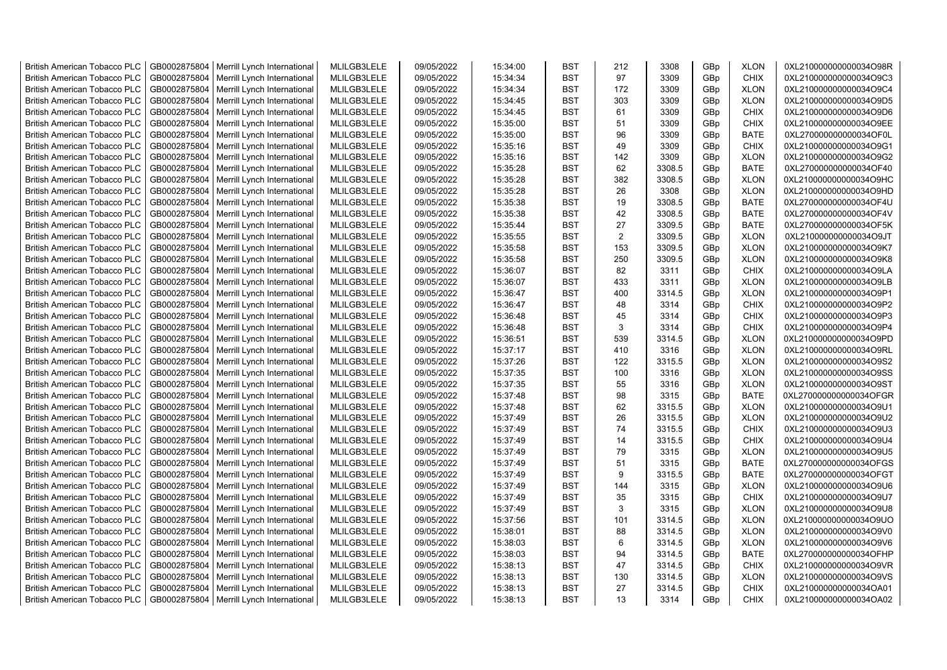| <b>British American Tobacco PLC</b> | GB0002875804 | Merrill Lynch International | MLILGB3LELE | 09/05/2022 | 15:34:00 | <b>BST</b> | 212            | 3308   | GBp | <b>XLON</b> | 0XL210000000000034O98R |
|-------------------------------------|--------------|-----------------------------|-------------|------------|----------|------------|----------------|--------|-----|-------------|------------------------|
| <b>British American Tobacco PLC</b> | GB0002875804 | Merrill Lynch International | MLILGB3LELE | 09/05/2022 | 15:34:34 | <b>BST</b> | 97             | 3309   | GBp | <b>CHIX</b> | 0XL210000000000034O9C3 |
| <b>British American Tobacco PLC</b> | GB0002875804 | Merrill Lynch International | MLILGB3LELE | 09/05/2022 | 15:34:34 | <b>BST</b> | 172            | 3309   | GBp | <b>XLON</b> | 0XL210000000000034O9C4 |
| <b>British American Tobacco PLC</b> | GB0002875804 | Merrill Lynch International | MLILGB3LELE | 09/05/2022 | 15:34:45 | <b>BST</b> | 303            | 3309   | GBp | <b>XLON</b> | 0XL210000000000034O9D5 |
| British American Tobacco PLC        | GB0002875804 | Merrill Lynch International | MLILGB3LELE | 09/05/2022 | 15:34:45 | <b>BST</b> | 61             | 3309   | GBp | <b>CHIX</b> | 0XL210000000000034O9D6 |
| <b>British American Tobacco PLC</b> | GB0002875804 | Merrill Lynch International | MLILGB3LELE | 09/05/2022 | 15:35:00 | <b>BST</b> | 51             | 3309   | GBp | <b>CHIX</b> | 0XL210000000000034O9EE |
| <b>British American Tobacco PLC</b> | GB0002875804 | Merrill Lynch International | MLILGB3LELE | 09/05/2022 | 15:35:00 | <b>BST</b> | 96             | 3309   | GBp | <b>BATE</b> | 0XL270000000000034OF0L |
| <b>British American Tobacco PLC</b> | GB0002875804 | Merrill Lynch International | MLILGB3LELE | 09/05/2022 | 15:35:16 | <b>BST</b> | 49             | 3309   | GBp | CHIX        | 0XL210000000000034O9G1 |
| <b>British American Tobacco PLC</b> | GB0002875804 | Merrill Lynch International | MLILGB3LELE | 09/05/2022 | 15:35:16 | <b>BST</b> | 142            | 3309   | GBp | <b>XLON</b> | 0XL210000000000034O9G2 |
| <b>British American Tobacco PLC</b> | GB0002875804 | Merrill Lynch International | MLILGB3LELE | 09/05/2022 | 15:35:28 | <b>BST</b> | 62             | 3308.5 | GBp | <b>BATE</b> | 0XL270000000000034OF40 |
| <b>British American Tobacco PLC</b> | GB0002875804 | Merrill Lynch International | MLILGB3LELE | 09/05/2022 | 15:35:28 | <b>BST</b> | 382            | 3308.5 | GBp | <b>XLON</b> | 0XL210000000000034O9HC |
| <b>British American Tobacco PLC</b> | GB0002875804 | Merrill Lynch International | MLILGB3LELE | 09/05/2022 | 15:35:28 | <b>BST</b> | 26             | 3308   | GBp | <b>XLON</b> | 0XL210000000000034O9HD |
| <b>British American Tobacco PLC</b> | GB0002875804 | Merrill Lynch International | MLILGB3LELE | 09/05/2022 | 15:35:38 | <b>BST</b> | 19             | 3308.5 | GBp | <b>BATE</b> | 0XL270000000000034OF4U |
| <b>British American Tobacco PLC</b> | GB0002875804 | Merrill Lynch International | MLILGB3LELE | 09/05/2022 | 15:35:38 | <b>BST</b> | 42             | 3308.5 | GBp | <b>BATE</b> | 0XL270000000000034OF4V |
| <b>British American Tobacco PLC</b> | GB0002875804 | Merrill Lynch International | MLILGB3LELE | 09/05/2022 | 15:35:44 | <b>BST</b> | 27             | 3309.5 | GBp | <b>BATE</b> | 0XL270000000000034OF5K |
| <b>British American Tobacco PLC</b> | GB0002875804 | Merrill Lynch International | MLILGB3LELE | 09/05/2022 | 15:35:55 | <b>BST</b> | $\overline{2}$ | 3309.5 | GBp | <b>XLON</b> | 0XL210000000000034O9JT |
| <b>British American Tobacco PLC</b> | GB0002875804 | Merrill Lynch International | MLILGB3LELE | 09/05/2022 | 15:35:58 | <b>BST</b> | 153            | 3309.5 | GBp | <b>XLON</b> | 0XL210000000000034O9K7 |
| <b>British American Tobacco PLC</b> | GB0002875804 | Merrill Lynch International | MLILGB3LELE | 09/05/2022 | 15:35:58 | <b>BST</b> | 250            | 3309.5 | GBp | <b>XLON</b> | 0XL210000000000034O9K8 |
| <b>British American Tobacco PLC</b> | GB0002875804 | Merrill Lynch International | MLILGB3LELE | 09/05/2022 | 15:36:07 | <b>BST</b> | 82             | 3311   | GBp | <b>CHIX</b> | 0XL210000000000034O9LA |
| <b>British American Tobacco PLC</b> | GB0002875804 | Merrill Lynch International | MLILGB3LELE | 09/05/2022 | 15:36:07 | <b>BST</b> | 433            | 3311   | GBp | <b>XLON</b> | 0XL210000000000034O9LB |
| <b>British American Tobacco PLC</b> | GB0002875804 | Merrill Lynch International | MLILGB3LELE | 09/05/2022 | 15:36:47 | <b>BST</b> | 400            | 3314.5 | GBp | <b>XLON</b> | 0XL210000000000034O9P1 |
| <b>British American Tobacco PLC</b> | GB0002875804 | Merrill Lynch International | MLILGB3LELE | 09/05/2022 | 15:36:47 | <b>BST</b> | 48             | 3314   | GBp | <b>CHIX</b> | 0XL210000000000034O9P2 |
| <b>British American Tobacco PLC</b> | GB0002875804 | Merrill Lynch International | MLILGB3LELE | 09/05/2022 | 15:36:48 | <b>BST</b> | 45             | 3314   | GBp | <b>CHIX</b> | 0XL210000000000034O9P3 |
| <b>British American Tobacco PLC</b> | GB0002875804 | Merrill Lynch International | MLILGB3LELE | 09/05/2022 | 15:36:48 | <b>BST</b> | 3              | 3314   | GBp | <b>CHIX</b> | 0XL210000000000034O9P4 |
| <b>British American Tobacco PLC</b> | GB0002875804 | Merrill Lynch International | MLILGB3LELE | 09/05/2022 | 15:36:51 | <b>BST</b> | 539            | 3314.5 | GBp | <b>XLON</b> | 0XL210000000000034O9PD |
| <b>British American Tobacco PLC</b> | GB0002875804 | Merrill Lynch International | MLILGB3LELE | 09/05/2022 | 15:37:17 | <b>BST</b> | 410            | 3316   | GBp | <b>XLON</b> | 0XL210000000000034O9RL |
| <b>British American Tobacco PLC</b> | GB0002875804 | Merrill Lynch International | MLILGB3LELE | 09/05/2022 | 15:37:26 | <b>BST</b> | 122            | 3315.5 | GBp | <b>XLON</b> | 0XL210000000000034O9S2 |
| <b>British American Tobacco PLC</b> | GB0002875804 | Merrill Lynch International | MLILGB3LELE | 09/05/2022 | 15:37:35 | <b>BST</b> | 100            | 3316   | GBp | <b>XLON</b> | 0XL210000000000034O9SS |
|                                     | GB0002875804 |                             | MLILGB3LELE | 09/05/2022 |          | <b>BST</b> | 55             | 3316   |     | <b>XLON</b> | 0XL210000000000034O9ST |
| <b>British American Tobacco PLC</b> |              | Merrill Lynch International |             |            | 15:37:35 |            |                |        | GBp |             |                        |
| <b>British American Tobacco PLC</b> | GB0002875804 | Merrill Lynch International | MLILGB3LELE | 09/05/2022 | 15:37:48 | <b>BST</b> | 98             | 3315   | GBp | <b>BATE</b> | 0XL270000000000034OFGR |
| <b>British American Tobacco PLC</b> | GB0002875804 | Merrill Lynch International | MLILGB3LELE | 09/05/2022 | 15:37:48 | <b>BST</b> | 62             | 3315.5 | GBp | <b>XLON</b> | 0XL210000000000034O9U1 |
| <b>British American Tobacco PLC</b> | GB0002875804 | Merrill Lynch International | MLILGB3LELE | 09/05/2022 | 15:37:49 | <b>BST</b> | 26             | 3315.5 | GBp | <b>XLON</b> | 0XL210000000000034O9U2 |
| <b>British American Tobacco PLC</b> | GB0002875804 | Merrill Lynch International | MLILGB3LELE | 09/05/2022 | 15:37:49 | <b>BST</b> | 74             | 3315.5 | GBp | CHIX        | 0XL210000000000034O9U3 |
| <b>British American Tobacco PLC</b> | GB0002875804 | Merrill Lynch International | MLILGB3LELE | 09/05/2022 | 15:37:49 | <b>BST</b> | 14             | 3315.5 | GBp | <b>CHIX</b> | 0XL210000000000034O9U4 |
| <b>British American Tobacco PLC</b> | GB0002875804 | Merrill Lynch International | MLILGB3LELE | 09/05/2022 | 15:37:49 | <b>BST</b> | 79             | 3315   | GBp | <b>XLON</b> | 0XL210000000000034O9U5 |
| <b>British American Tobacco PLC</b> | GB0002875804 | Merrill Lynch International | MLILGB3LELE | 09/05/2022 | 15:37:49 | <b>BST</b> | 51             | 3315   | GBp | <b>BATE</b> | 0XL270000000000034OFGS |
| <b>British American Tobacco PLC</b> | GB0002875804 | Merrill Lynch International | MLILGB3LELE | 09/05/2022 | 15:37:49 | <b>BST</b> | 9              | 3315.5 | GBp | <b>BATE</b> | 0XL270000000000034OFGT |
| <b>British American Tobacco PLC</b> | GB0002875804 | Merrill Lynch International | MLILGB3LELE | 09/05/2022 | 15:37:49 | <b>BST</b> | 144            | 3315   | GBp | <b>XLON</b> | 0XL210000000000034O9U6 |
| <b>British American Tobacco PLC</b> | GB0002875804 | Merrill Lynch International | MLILGB3LELE | 09/05/2022 | 15:37:49 | <b>BST</b> | 35             | 3315   | GBp | <b>CHIX</b> | 0XL210000000000034O9U7 |
| <b>British American Tobacco PLC</b> | GB0002875804 | Merrill Lynch International | MLILGB3LELE | 09/05/2022 | 15:37:49 | <b>BST</b> | 3              | 3315   | GBp | <b>XLON</b> | 0XL210000000000034O9U8 |
| <b>British American Tobacco PLC</b> | GB0002875804 | Merrill Lynch International | MLILGB3LELE | 09/05/2022 | 15:37:56 | <b>BST</b> | 101            | 3314.5 | GBp | <b>XLON</b> | 0XL210000000000034O9UO |
| <b>British American Tobacco PLC</b> | GB0002875804 | Merrill Lynch International | MLILGB3LELE | 09/05/2022 | 15:38:01 | <b>BST</b> | 88             | 3314.5 | GBp | <b>XLON</b> | 0XL210000000000034O9V0 |
| <b>British American Tobacco PLC</b> | GB0002875804 | Merrill Lynch International | MLILGB3LELE | 09/05/2022 | 15:38:03 | <b>BST</b> | 6              | 3314.5 | GBp | <b>XLON</b> | 0XL210000000000034O9V6 |
| <b>British American Tobacco PLC</b> | GB0002875804 | Merrill Lynch International | MLILGB3LELE | 09/05/2022 | 15:38:03 | <b>BST</b> | 94             | 3314.5 | GBp | <b>BATE</b> | 0XL270000000000034OFHP |
| <b>British American Tobacco PLC</b> | GB0002875804 | Merrill Lynch International | MLILGB3LELE | 09/05/2022 | 15:38:13 | <b>BST</b> | 47             | 3314.5 | GBp | <b>CHIX</b> | 0XL210000000000034O9VR |
| <b>British American Tobacco PLC</b> | GB0002875804 | Merrill Lynch International | MLILGB3LELE | 09/05/2022 | 15:38:13 | <b>BST</b> | 130            | 3314.5 | GBp | <b>XLON</b> | 0XL210000000000034O9VS |
| <b>British American Tobacco PLC</b> | GB0002875804 | Merrill Lynch International | MLILGB3LELE | 09/05/2022 | 15:38:13 | <b>BST</b> | 27             | 3314.5 | GBp | <b>CHIX</b> | 0XL210000000000034OA01 |
| <b>British American Tobacco PLC</b> | GB0002875804 | Merrill Lynch International | MLILGB3LELE | 09/05/2022 | 15:38:13 | <b>BST</b> | 13             | 3314   | GBp | <b>CHIX</b> | 0XL210000000000034OA02 |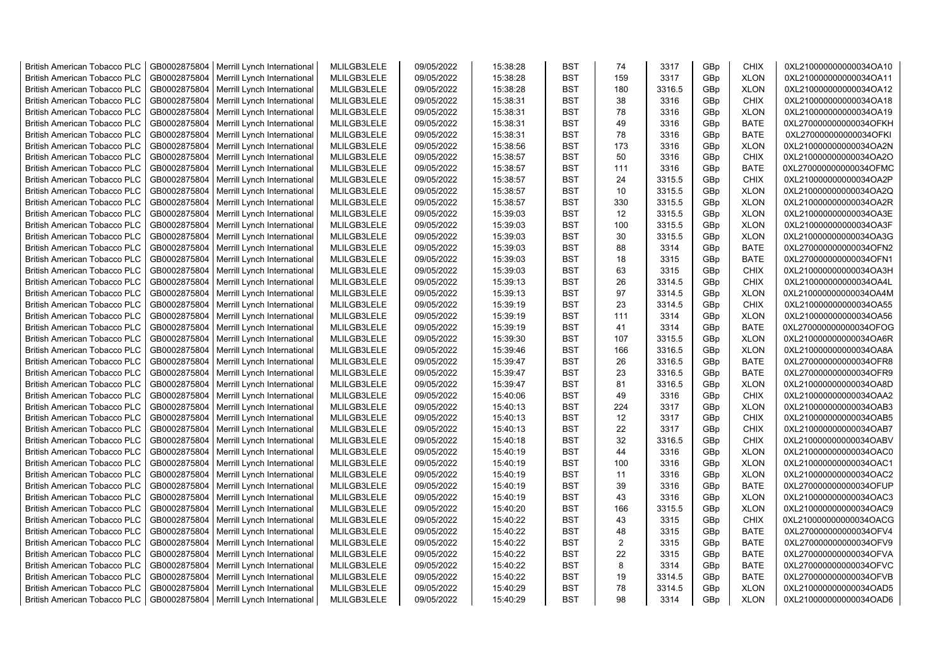| <b>British American Tobacco PLC</b>                                        | GB0002875804                 | Merrill Lynch International | MLILGB3LELE                | 09/05/2022               | 15:38:28 | <b>BST</b>               | 74  | 3317   | GBp             | <b>CHIX</b> | 0XL210000000000034OA10 |
|----------------------------------------------------------------------------|------------------------------|-----------------------------|----------------------------|--------------------------|----------|--------------------------|-----|--------|-----------------|-------------|------------------------|
| <b>British American Tobacco PLC</b>                                        | GB0002875804                 | Merrill Lynch International | MLILGB3LELE                | 09/05/2022               | 15:38:28 | <b>BST</b>               | 159 | 3317   | GBp             | <b>XLON</b> | 0XL210000000000034OA11 |
| <b>British American Tobacco PLC</b>                                        | GB0002875804                 | Merrill Lynch International | MLILGB3LELE                | 09/05/2022               | 15:38:28 | <b>BST</b>               | 180 | 3316.5 | GBp             | <b>XLON</b> | 0XL210000000000034OA12 |
| <b>British American Tobacco PLC</b>                                        | GB0002875804                 | Merrill Lynch International | MLILGB3LELE                | 09/05/2022               | 15:38:31 | <b>BST</b>               | 38  | 3316   | GBp             | <b>CHIX</b> | 0XL210000000000034OA18 |
| <b>British American Tobacco PLC</b>                                        | GB0002875804                 | Merrill Lynch International | MLILGB3LELE                | 09/05/2022               | 15:38:31 | <b>BST</b>               | 78  | 3316   | GBp             | <b>XLON</b> | 0XL210000000000034OA19 |
| <b>British American Tobacco PLC</b>                                        | GB0002875804                 | Merrill Lynch International | MLILGB3LELE                | 09/05/2022               | 15:38:31 | <b>BST</b>               | 49  | 3316   | GBp             | <b>BATE</b> | 0XL270000000000034OFKH |
| <b>British American Tobacco PLC</b>                                        | GB0002875804                 | Merrill Lynch International | MLILGB3LELE                | 09/05/2022               | 15:38:31 | <b>BST</b>               | 78  | 3316   | GBp             | <b>BATE</b> | 0XL270000000000034OFKI |
| <b>British American Tobacco PLC</b>                                        | GB0002875804                 | Merrill Lynch International | MLILGB3LELE                | 09/05/2022               | 15:38:56 | <b>BST</b>               | 173 | 3316   | GBp             | <b>XLON</b> | 0XL210000000000034OA2N |
| <b>British American Tobacco PLC</b>                                        | GB0002875804                 | Merrill Lynch International | MLILGB3LELE                | 09/05/2022               | 15:38:57 | <b>BST</b>               | 50  | 3316   | GBp             | <b>CHIX</b> | 0XL210000000000034OA2O |
| <b>British American Tobacco PLC</b>                                        | GB0002875804                 | Merrill Lynch International | MLILGB3LELE                | 09/05/2022               | 15:38:57 | <b>BST</b>               | 111 | 3316   | GBp             | <b>BATE</b> | 0XL270000000000034OFMC |
| <b>British American Tobacco PLC</b>                                        | GB0002875804                 | Merrill Lynch International | MLILGB3LELE                | 09/05/2022               | 15:38:57 | <b>BST</b>               | 24  | 3315.5 | GBp             | <b>CHIX</b> | 0XL210000000000034OA2P |
| <b>British American Tobacco PLC</b>                                        | GB0002875804                 | Merrill Lynch International | MLILGB3LELE                | 09/05/2022               | 15:38:57 | <b>BST</b>               | 10  | 3315.5 | GBp             | <b>XLON</b> | 0XL210000000000034OA2Q |
| <b>British American Tobacco PLC</b>                                        | GB0002875804                 | Merrill Lynch International | MLILGB3LELE                | 09/05/2022               | 15:38:57 | <b>BST</b>               | 330 | 3315.5 | GBp             | <b>XLON</b> | 0XL210000000000034OA2R |
| <b>British American Tobacco PLC</b>                                        | GB0002875804                 | Merrill Lynch International | MLILGB3LELE                | 09/05/2022               | 15:39:03 | <b>BST</b>               | 12  | 3315.5 | GBp             | <b>XLON</b> | 0XL210000000000034OA3E |
| <b>British American Tobacco PLC</b>                                        | GB0002875804                 | Merrill Lynch International | MLILGB3LELE                | 09/05/2022               | 15:39:03 | <b>BST</b>               | 100 | 3315.5 | GBp             | <b>XLON</b> | 0XL210000000000034OA3F |
| <b>British American Tobacco PLC</b>                                        | GB0002875804                 | Merrill Lynch International | MLILGB3LELE                | 09/05/2022               | 15:39:03 | <b>BST</b>               | 30  | 3315.5 | GBp             | <b>XLON</b> | 0XL210000000000034OA3G |
| <b>British American Tobacco PLC</b>                                        | GB0002875804                 | Merrill Lynch International | MLILGB3LELE                | 09/05/2022               | 15:39:03 | <b>BST</b>               | 88  | 3314   | GBp             | BATE        | 0XL270000000000034OFN2 |
| <b>British American Tobacco PLC</b>                                        | GB0002875804                 | Merrill Lynch International | MLILGB3LELE                | 09/05/2022               | 15:39:03 | <b>BST</b>               | 18  | 3315   | GBp             | BATE        | 0XL270000000000034OFN1 |
| <b>British American Tobacco PLC</b>                                        | GB0002875804                 | Merrill Lynch International | MLILGB3LELE                | 09/05/2022               | 15:39:03 | <b>BST</b>               | 63  | 3315   | GBp             | <b>CHIX</b> | 0XL210000000000034OA3H |
| <b>British American Tobacco PLC</b>                                        | GB0002875804                 | Merrill Lynch International | MLILGB3LELE                | 09/05/2022               | 15:39:13 | <b>BST</b>               | 26  | 3314.5 | GBp             | <b>CHIX</b> | 0XL210000000000034OA4L |
| <b>British American Tobacco PLC</b>                                        | GB0002875804                 | Merrill Lynch International | MLILGB3LELE                | 09/05/2022               | 15:39:13 | <b>BST</b>               | 97  | 3314.5 | GBp             | <b>XLON</b> | 0XL210000000000034OA4M |
| <b>British American Tobacco PLC</b>                                        | GB0002875804                 | Merrill Lynch International | MLILGB3LELE                | 09/05/2022               | 15:39:19 | <b>BST</b>               | 23  | 3314.5 | GBp             | <b>CHIX</b> | 0XL210000000000034OA55 |
| British American Tobacco PLC                                               | GB0002875804                 | Merrill Lynch International | MLILGB3LELE                | 09/05/2022               | 15:39:19 | <b>BST</b>               | 111 | 3314   | GBp             | <b>XLON</b> | 0XL210000000000034OA56 |
| <b>British American Tobacco PLC</b>                                        | GB0002875804                 | Merrill Lynch International | MLILGB3LELE                | 09/05/2022               | 15:39:19 | <b>BST</b>               | 41  | 3314   | GBp             | <b>BATE</b> | 0XL270000000000034OFOG |
| <b>British American Tobacco PLC</b>                                        | GB0002875804                 | Merrill Lynch International | MLILGB3LELE                | 09/05/2022               | 15:39:30 | <b>BST</b>               | 107 | 3315.5 | GBp             | <b>XLON</b> | 0XL210000000000034OA6R |
| <b>British American Tobacco PLC</b>                                        | GB0002875804                 | Merrill Lynch International | MLILGB3LELE                | 09/05/2022               | 15:39:46 | <b>BST</b>               | 166 | 3316.5 | GBp             | <b>XLON</b> | 0XL210000000000034OA8A |
| <b>British American Tobacco PLC</b>                                        | GB0002875804                 | Merrill Lynch International | MLILGB3LELE                | 09/05/2022               | 15:39:47 | <b>BST</b>               | 26  | 3316.5 | GBp             | <b>BATE</b> | 0XL270000000000034OFR8 |
| <b>British American Tobacco PLC</b>                                        | GB0002875804                 | Merrill Lynch International | MLILGB3LELE                | 09/05/2022               | 15:39:47 | <b>BST</b>               | 23  | 3316.5 | GBp             | <b>BATE</b> | 0XL270000000000034OFR9 |
| <b>British American Tobacco PLC</b>                                        | GB0002875804                 | Merrill Lynch International | MLILGB3LELE                | 09/05/2022               | 15:39:47 | BST                      | 81  | 3316.5 | GBp             | <b>XLON</b> | 0XL210000000000034OA8D |
| <b>British American Tobacco PLC</b>                                        | GB0002875804                 | Merrill Lynch International | MLILGB3LELE                | 09/05/2022               | 15:40:06 | <b>BST</b>               | 49  | 3316   | GBp             | <b>CHIX</b> | 0XL210000000000034OAA2 |
| <b>British American Tobacco PLC</b>                                        | GB0002875804                 | Merrill Lynch International | MLILGB3LELE                | 09/05/2022               | 15:40:13 | <b>BST</b>               | 224 | 3317   | GBp             | <b>XLON</b> | 0XL210000000000034OAB3 |
| <b>British American Tobacco PLC</b>                                        | GB0002875804                 | Merrill Lynch International | MLILGB3LELE                | 09/05/2022               | 15:40:13 | <b>BST</b>               | 12  | 3317   | GBp             | <b>CHIX</b> | 0XL210000000000034OAB5 |
| <b>British American Tobacco PLC</b>                                        | GB0002875804                 | Merrill Lynch International | MLILGB3LELE                | 09/05/2022               | 15:40:13 | BST                      | 22  | 3317   | GBp             | <b>CHIX</b> | 0XL210000000000034OAB7 |
| <b>British American Tobacco PLC</b>                                        | GB0002875804                 | Merrill Lynch International | MLILGB3LELE                | 09/05/2022               | 15:40:18 | <b>BST</b>               | 32  | 3316.5 | GBp             | <b>CHIX</b> | 0XL210000000000034OABV |
| <b>British American Tobacco PLC</b>                                        | GB0002875804                 | Merrill Lynch International | MLILGB3LELE                | 09/05/2022               | 15:40:19 | <b>BST</b>               | 44  | 3316   | GBp             | <b>XLON</b> | 0XL210000000000034OAC0 |
| <b>British American Tobacco PLC</b>                                        | GB0002875804                 | Merrill Lynch International | MLILGB3LELE                | 09/05/2022               | 15:40:19 | <b>BST</b>               | 100 | 3316   | GBp             | <b>XLON</b> | 0XL210000000000034OAC1 |
| <b>British American Tobacco PLC</b>                                        | GB0002875804                 | Merrill Lynch International | MLILGB3LELE                | 09/05/2022               | 15:40:19 | <b>BST</b>               | 11  | 3316   | GBp             | <b>XLON</b> | 0XL210000000000034OAC2 |
| <b>British American Tobacco PLC</b>                                        | GB0002875804                 | Merrill Lynch International | MLILGB3LELE                | 09/05/2022               | 15:40:19 | <b>BST</b>               | 39  | 3316   | GBp             | <b>BATE</b> | 0XL270000000000034OFUP |
| <b>British American Tobacco PLC</b>                                        | GB0002875804                 | Merrill Lynch International | MLILGB3LELE                | 09/05/2022               | 15:40:19 | <b>BST</b>               | 43  | 3316   | GBp             | <b>XLON</b> | 0XL210000000000034OAC3 |
| <b>British American Tobacco PLC</b>                                        | GB0002875804                 | Merrill Lynch International | MLILGB3LELE                | 09/05/2022               | 15:40:20 | <b>BST</b>               | 166 | 3315.5 | GBp             | <b>XLON</b> | 0XL210000000000034OAC9 |
| <b>British American Tobacco PLC</b>                                        | GB0002875804                 | Merrill Lynch International | MLILGB3LELE                | 09/05/2022               | 15:40:22 | <b>BST</b>               | 43  | 3315   | GBp             | <b>CHIX</b> | 0XL210000000000034OACG |
|                                                                            |                              |                             |                            |                          |          | <b>BST</b>               | 48  |        |                 |             |                        |
| <b>British American Tobacco PLC</b><br><b>British American Tobacco PLC</b> | GB0002875804<br>GB0002875804 | Merrill Lynch International | MLILGB3LELE<br>MLILGB3LELE | 09/05/2022<br>09/05/2022 | 15:40:22 | <b>BST</b>               | 2   | 3315   | GBp             | BATE        | 0XL270000000000034OFV4 |
|                                                                            |                              | Merrill Lynch International |                            |                          | 15:40:22 | <b>BST</b>               | 22  | 3315   | GBp             | <b>BATE</b> | 0XL270000000000034OFV9 |
| <b>British American Tobacco PLC</b>                                        | GB0002875804                 | Merrill Lynch International | MLILGB3LELE<br>MLILGB3LELE | 09/05/2022               | 15:40:22 |                          | 8   | 3315   | GBp             | <b>BATE</b> | 0XL270000000000034OFVA |
| <b>British American Tobacco PLC</b>                                        | GB0002875804                 | Merrill Lynch International |                            | 09/05/2022               | 15:40:22 | <b>BST</b><br><b>BST</b> | 19  | 3314   | GBp             | <b>BATE</b> | 0XL270000000000034OFVC |
| <b>British American Tobacco PLC</b>                                        | GB0002875804                 | Merrill Lynch International | MLILGB3LELE                | 09/05/2022               | 15:40:22 |                          |     | 3314.5 | GBp             | <b>BATE</b> | 0XL270000000000034OFVB |
| <b>British American Tobacco PLC</b>                                        | GB0002875804                 | Merrill Lynch International | MLILGB3LELE                | 09/05/2022               | 15:40:29 | <b>BST</b>               | 78  | 3314.5 | GBp             | <b>XLON</b> | 0XL210000000000034OAD5 |
| <b>British American Tobacco PLC</b>                                        | GB0002875804                 | Merrill Lynch International | MLILGB3LELE                | 09/05/2022               | 15:40:29 | <b>BST</b>               | 98  | 3314   | GB <sub>p</sub> | <b>XLON</b> | 0XL210000000000034OAD6 |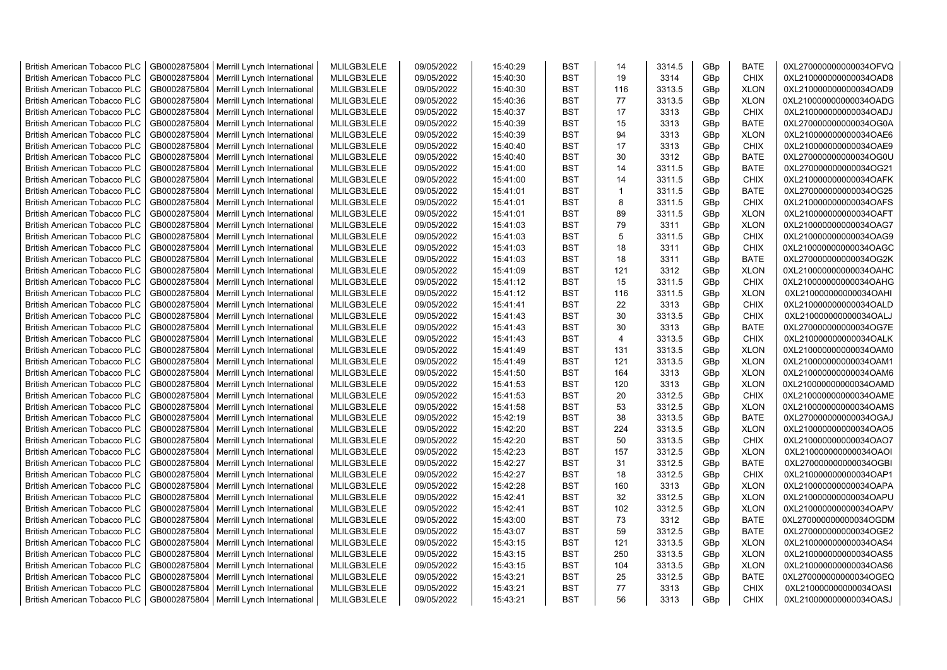| <b>British American Tobacco PLC</b> | GB0002875804 | Merrill Lynch International | MLILGB3LELE | 09/05/2022 | 15:40:29 | <b>BST</b> | 14             | 3314.5 | GBp | <b>BATE</b> | 0XL270000000000034OFVQ |
|-------------------------------------|--------------|-----------------------------|-------------|------------|----------|------------|----------------|--------|-----|-------------|------------------------|
| <b>British American Tobacco PLC</b> | GB0002875804 | Merrill Lynch International | MLILGB3LELE | 09/05/2022 | 15:40:30 | <b>BST</b> | 19             | 3314   | GBp | <b>CHIX</b> | 0XL210000000000034OAD8 |
| <b>British American Tobacco PLC</b> | GB0002875804 | Merrill Lynch International | MLILGB3LELE | 09/05/2022 | 15:40:30 | <b>BST</b> | 116            | 3313.5 | GBp | <b>XLON</b> | 0XL210000000000034OAD9 |
| <b>British American Tobacco PLC</b> | GB0002875804 | Merrill Lynch International | MLILGB3LELE | 09/05/2022 | 15:40:36 | <b>BST</b> | 77             | 3313.5 | GBp | <b>XLON</b> | 0XL210000000000034OADG |
| <b>British American Tobacco PLC</b> | GB0002875804 | Merrill Lynch International | MLILGB3LELE | 09/05/2022 | 15:40:37 | <b>BST</b> | 17             | 3313   | GBp | <b>CHIX</b> | 0XL210000000000034OADJ |
| <b>British American Tobacco PLC</b> | GB0002875804 | Merrill Lynch International | MLILGB3LELE | 09/05/2022 | 15:40:39 | <b>BST</b> | 15             | 3313   | GBp | <b>BATE</b> | 0XL270000000000034OG0A |
| <b>British American Tobacco PLC</b> | GB0002875804 | Merrill Lynch International | MLILGB3LELE | 09/05/2022 | 15:40:39 | <b>BST</b> | 94             | 3313   | GBp | <b>XLON</b> | 0XL210000000000034OAE6 |
| <b>British American Tobacco PLC</b> | GB0002875804 | Merrill Lynch International | MLILGB3LELE | 09/05/2022 | 15:40:40 | <b>BST</b> | 17             | 3313   | GBp | <b>CHIX</b> | 0XL210000000000034OAE9 |
| <b>British American Tobacco PLC</b> | GB0002875804 | Merrill Lynch International | MLILGB3LELE | 09/05/2022 | 15:40:40 | <b>BST</b> | 30             | 3312   | GBp | <b>BATE</b> | 0XL270000000000034OG0U |
| <b>British American Tobacco PLC</b> | GB0002875804 | Merrill Lynch International | MLILGB3LELE | 09/05/2022 | 15:41:00 | <b>BST</b> | 14             | 3311.5 | GBp | <b>BATE</b> | 0XL270000000000034OG21 |
| <b>British American Tobacco PLC</b> | GB0002875804 | Merrill Lynch International | MLILGB3LELE | 09/05/2022 | 15:41:00 | <b>BST</b> | 14             | 3311.5 | GBp | <b>CHIX</b> | 0XL210000000000034OAFK |
| <b>British American Tobacco PLC</b> | GB0002875804 | Merrill Lynch International | MLILGB3LELE | 09/05/2022 | 15:41:01 | <b>BST</b> | $\mathbf{1}$   | 3311.5 | GBp | <b>BATE</b> | 0XL270000000000034OG25 |
| <b>British American Tobacco PLC</b> | GB0002875804 | Merrill Lynch International | MLILGB3LELE | 09/05/2022 | 15:41:01 | <b>BST</b> | 8              | 3311.5 | GBp | <b>CHIX</b> | 0XL210000000000034OAFS |
| <b>British American Tobacco PLC</b> | GB0002875804 | Merrill Lynch International | MLILGB3LELE | 09/05/2022 | 15:41:01 | <b>BST</b> | 89             | 3311.5 | GBp | <b>XLON</b> | 0XL210000000000034OAFT |
| <b>British American Tobacco PLC</b> | GB0002875804 | Merrill Lynch International | MLILGB3LELE | 09/05/2022 | 15:41:03 | <b>BST</b> | 79             | 3311   | GBp | <b>XLON</b> | 0XL210000000000034OAG7 |
| <b>British American Tobacco PLC</b> | GB0002875804 | Merrill Lynch International | MLILGB3LELE | 09/05/2022 | 15:41:03 | <b>BST</b> | 5              | 3311.5 | GBp | <b>CHIX</b> | 0XL210000000000034OAG9 |
| <b>British American Tobacco PLC</b> | GB0002875804 | Merrill Lynch International | MLILGB3LELE | 09/05/2022 | 15:41:03 | <b>BST</b> | 18             | 3311   | GBp | <b>CHIX</b> | 0XL210000000000034OAGC |
| <b>British American Tobacco PLC</b> | GB0002875804 | Merrill Lynch International | MLILGB3LELE | 09/05/2022 | 15:41:03 | <b>BST</b> | 18             | 3311   | GBp | <b>BATE</b> | 0XL270000000000034OG2K |
| <b>British American Tobacco PLC</b> | GB0002875804 | Merrill Lynch International | MLILGB3LELE | 09/05/2022 | 15:41:09 | <b>BST</b> | 121            | 3312   | GBp | <b>XLON</b> | 0XL210000000000034OAHC |
| <b>British American Tobacco PLC</b> | GB0002875804 | Merrill Lynch International | MLILGB3LELE | 09/05/2022 | 15:41:12 | <b>BST</b> | 15             | 3311.5 | GBp | <b>CHIX</b> | 0XL210000000000034OAHG |
| <b>British American Tobacco PLC</b> | GB0002875804 | Merrill Lynch International | MLILGB3LELE | 09/05/2022 | 15:41:12 | <b>BST</b> | 116            | 3311.5 | GBp | <b>XLON</b> | 0XL210000000000034OAHI |
| <b>British American Tobacco PLC</b> | GB0002875804 | Merrill Lynch International | MLILGB3LELE | 09/05/2022 | 15:41:41 | <b>BST</b> | 22             | 3313   | GBp | <b>CHIX</b> | 0XL210000000000034OALD |
| <b>British American Tobacco PLC</b> | GB0002875804 | Merrill Lynch International | MLILGB3LELE | 09/05/2022 | 15:41:43 | <b>BST</b> | 30             | 3313.5 | GBp | <b>CHIX</b> | 0XL210000000000034OALJ |
| <b>British American Tobacco PLC</b> | GB0002875804 | Merrill Lynch International | MLILGB3LELE | 09/05/2022 | 15:41:43 | <b>BST</b> | 30             | 3313   | GBp | <b>BATE</b> | 0XL270000000000034OG7E |
| <b>British American Tobacco PLC</b> | GB0002875804 | Merrill Lynch International | MLILGB3LELE | 09/05/2022 | 15:41:43 | <b>BST</b> | $\overline{4}$ | 3313.5 | GBp | <b>CHIX</b> | 0XL210000000000034OALK |
| British American Tobacco PLC        | GB0002875804 | Merrill Lynch International | MLILGB3LELE | 09/05/2022 | 15:41:49 | <b>BST</b> | 131            | 3313.5 | GBp | <b>XLON</b> | 0XL210000000000034OAM0 |
| British American Tobacco PLC        | GB0002875804 | Merrill Lynch International | MLILGB3LELE | 09/05/2022 | 15:41:49 | <b>BST</b> | 121            | 3313.5 | GBp | <b>XLON</b> | 0XL210000000000034OAM1 |
| British American Tobacco PLC        | GB0002875804 | Merrill Lynch International | MLILGB3LELE | 09/05/2022 | 15:41:50 | <b>BST</b> | 164            | 3313   | GBp | <b>XLON</b> | 0XL210000000000034OAM6 |
| <b>British American Tobacco PLC</b> | GB0002875804 | Merrill Lynch International | MLILGB3LELE | 09/05/2022 | 15:41:53 | <b>BST</b> | 120            | 3313   | GBp | <b>XLON</b> | 0XL210000000000034OAMD |
| <b>British American Tobacco PLC</b> | GB0002875804 | Merrill Lynch International | MLILGB3LELE | 09/05/2022 | 15:41:53 | <b>BST</b> | 20             | 3312.5 | GBp | <b>CHIX</b> | 0XL210000000000034OAME |
| <b>British American Tobacco PLC</b> | GB0002875804 | Merrill Lynch International | MLILGB3LELE | 09/05/2022 | 15:41:58 | <b>BST</b> | 53             | 3312.5 | GBp | <b>XLON</b> | 0XL210000000000034OAMS |
| <b>British American Tobacco PLC</b> | GB0002875804 | Merrill Lynch International | MLILGB3LELE | 09/05/2022 | 15:42:19 | <b>BST</b> | 38             | 3313.5 | GBp | <b>BATE</b> | 0XL270000000000034OGAJ |
| <b>British American Tobacco PLC</b> | GB0002875804 | Merrill Lynch International | MLILGB3LELE | 09/05/2022 | 15:42:20 | <b>BST</b> | 224            | 3313.5 | GBp | <b>XLON</b> | 0XL210000000000034OAO5 |
| <b>British American Tobacco PLC</b> | GB0002875804 | Merrill Lynch International | MLILGB3LELE | 09/05/2022 | 15:42:20 | <b>BST</b> | 50             | 3313.5 | GBp | <b>CHIX</b> | 0XL210000000000034OAO7 |
| <b>British American Tobacco PLC</b> | GB0002875804 | Merrill Lynch International | MLILGB3LELE | 09/05/2022 | 15:42:23 | <b>BST</b> | 157            | 3312.5 | GBp | <b>XLON</b> | 0XL210000000000034OAOI |
| <b>British American Tobacco PLC</b> | GB0002875804 | Merrill Lynch International | MLILGB3LELE | 09/05/2022 | 15:42:27 | <b>BST</b> | 31             | 3312.5 | GBp | <b>BATE</b> | 0XL270000000000034OGBI |
| <b>British American Tobacco PLC</b> | GB0002875804 | Merrill Lynch International | MLILGB3LELE | 09/05/2022 | 15:42:27 | <b>BST</b> | 18             | 3312.5 | GBp | <b>CHIX</b> | 0XL210000000000034OAP1 |
| <b>British American Tobacco PLC</b> | GB0002875804 | Merrill Lynch International | MLILGB3LELE | 09/05/2022 | 15:42:28 | <b>BST</b> | 160            | 3313   | GBp | <b>XLON</b> | 0XL210000000000034OAPA |
| <b>British American Tobacco PLC</b> | GB0002875804 | Merrill Lynch International | MLILGB3LELE | 09/05/2022 | 15:42:41 | <b>BST</b> | 32             | 3312.5 | GBp | <b>XLON</b> | 0XL210000000000034OAPU |
| <b>British American Tobacco PLC</b> | GB0002875804 | Merrill Lynch International | MLILGB3LELE | 09/05/2022 | 15:42:41 | <b>BST</b> | 102            | 3312.5 | GBp | <b>XLON</b> | 0XL210000000000034OAPV |
| British American Tobacco PLC        | GB0002875804 | Merrill Lynch International | MLILGB3LELE | 09/05/2022 | 15:43:00 | <b>BST</b> | 73             | 3312   | GBp | <b>BATE</b> | 0XL270000000000034OGDM |
| <b>British American Tobacco PLC</b> | GB0002875804 | Merrill Lynch International | MLILGB3LELE | 09/05/2022 | 15:43:07 | <b>BST</b> | 59             | 3312.5 | GBp | <b>BATE</b> | 0XL270000000000034OGE2 |
| British American Tobacco PLC        | GB0002875804 | Merrill Lynch International | MLILGB3LELE | 09/05/2022 | 15:43:15 | <b>BST</b> | 121            | 3313.5 | GBp | <b>XLON</b> | 0XL210000000000034OAS4 |
| British American Tobacco PLC        | GB0002875804 | Merrill Lynch International | MLILGB3LELE | 09/05/2022 | 15:43:15 | <b>BST</b> | 250            | 3313.5 | GBp | <b>XLON</b> | 0XL210000000000034OAS5 |
| <b>British American Tobacco PLC</b> | GB0002875804 | Merrill Lynch International | MLILGB3LELE | 09/05/2022 | 15:43:15 | <b>BST</b> | 104            | 3313.5 | GBp | <b>XLON</b> | 0XL210000000000034OAS6 |
| <b>British American Tobacco PLC</b> | GB0002875804 | Merrill Lynch International | MLILGB3LELE | 09/05/2022 | 15:43:21 | <b>BST</b> | 25             | 3312.5 | GBp | <b>BATE</b> | 0XL270000000000034OGEQ |
| <b>British American Tobacco PLC</b> | GB0002875804 | Merrill Lynch International | MLILGB3LELE | 09/05/2022 | 15:43:21 | <b>BST</b> | 77             | 3313   | GBp | <b>CHIX</b> | 0XL210000000000034OASI |
| <b>British American Tobacco PLC</b> | GB0002875804 | Merrill Lynch International | MLILGB3LELE | 09/05/2022 | 15:43:21 | <b>BST</b> | 56             | 3313   | GBp | <b>CHIX</b> | 0XL210000000000034OASJ |
|                                     |              |                             |             |            |          |            |                |        |     |             |                        |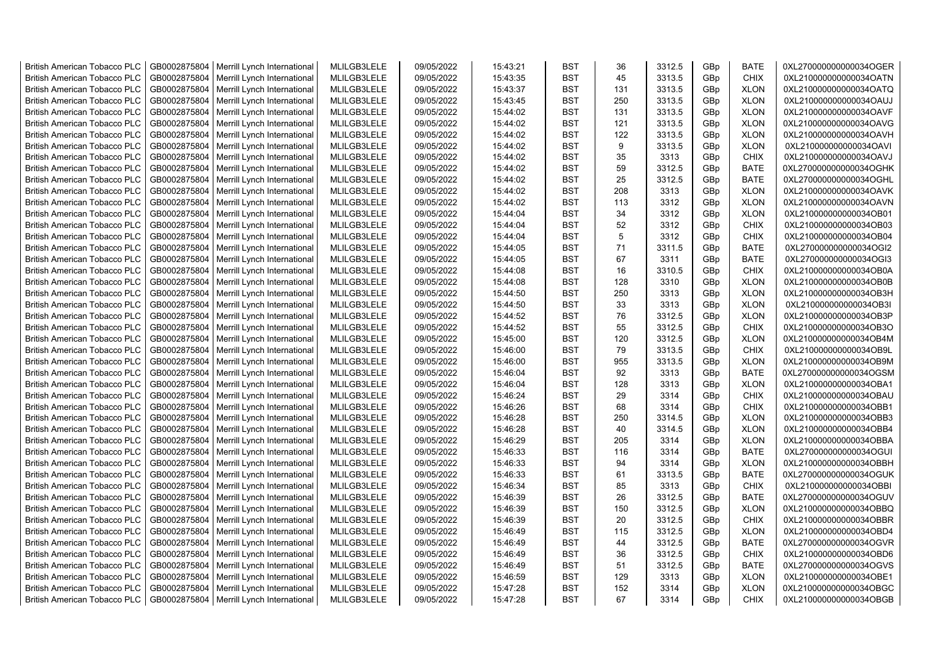| <b>British American Tobacco PLC</b> | GB0002875804 | Merrill Lynch International | MLILGB3LELE | 09/05/2022 | 15:43:21 | <b>BST</b> | 36  | 3312.5 | GBp             | <b>BATE</b> | 0XL270000000000034OGER |
|-------------------------------------|--------------|-----------------------------|-------------|------------|----------|------------|-----|--------|-----------------|-------------|------------------------|
| <b>British American Tobacco PLC</b> | GB0002875804 | Merrill Lynch International | MLILGB3LELE | 09/05/2022 | 15:43:35 | <b>BST</b> | 45  | 3313.5 | GBp             | <b>CHIX</b> | 0XL210000000000034OATN |
| <b>British American Tobacco PLC</b> | GB0002875804 | Merrill Lynch International | MLILGB3LELE | 09/05/2022 | 15:43:37 | <b>BST</b> | 131 | 3313.5 | GBp             | <b>XLON</b> | 0XL210000000000034OATQ |
| <b>British American Tobacco PLC</b> | GB0002875804 | Merrill Lynch International | MLILGB3LELE | 09/05/2022 | 15:43:45 | <b>BST</b> | 250 | 3313.5 | GBp             | <b>XLON</b> | 0XL210000000000034OAUJ |
| <b>British American Tobacco PLC</b> | GB0002875804 | Merrill Lynch International | MLILGB3LELE | 09/05/2022 | 15:44:02 | <b>BST</b> | 131 | 3313.5 | GBp             | <b>XLON</b> | 0XL210000000000034OAVF |
| <b>British American Tobacco PLC</b> | GB0002875804 | Merrill Lynch International | MLILGB3LELE | 09/05/2022 | 15:44:02 | <b>BST</b> | 121 | 3313.5 | GBp             | <b>XLON</b> | 0XL210000000000034OAVG |
| <b>British American Tobacco PLC</b> | GB0002875804 | Merrill Lynch International | MLILGB3LELE | 09/05/2022 | 15:44:02 | <b>BST</b> | 122 | 3313.5 | GBp             | <b>XLON</b> | 0XL210000000000034OAVH |
| <b>British American Tobacco PLC</b> | GB0002875804 | Merrill Lynch International | MLILGB3LELE | 09/05/2022 | 15:44:02 | <b>BST</b> | 9   | 3313.5 | GBp             | <b>XLON</b> | 0XL210000000000034OAVI |
| <b>British American Tobacco PLC</b> | GB0002875804 | Merrill Lynch International | MLILGB3LELE | 09/05/2022 | 15:44:02 | <b>BST</b> | 35  | 3313   | GBp             | <b>CHIX</b> | 0XL210000000000034OAVJ |
| <b>British American Tobacco PLC</b> | GB0002875804 | Merrill Lynch International | MLILGB3LELE | 09/05/2022 | 15:44:02 | <b>BST</b> | 59  | 3312.5 | GBp             | <b>BATE</b> | 0XL270000000000034OGHK |
| <b>British American Tobacco PLC</b> | GB0002875804 | Merrill Lynch International | MLILGB3LELE | 09/05/2022 | 15:44:02 | <b>BST</b> | 25  | 3312.5 | GBp             | <b>BATE</b> | 0XL270000000000034OGHL |
| <b>British American Tobacco PLC</b> | GB0002875804 | Merrill Lynch International | MLILGB3LELE | 09/05/2022 | 15:44:02 | <b>BST</b> | 208 | 3313   | GBp             | <b>XLON</b> | 0XL210000000000034OAVK |
| <b>British American Tobacco PLC</b> | GB0002875804 | Merrill Lynch International | MLILGB3LELE | 09/05/2022 | 15:44:02 | <b>BST</b> | 113 | 3312   | GBp             | <b>XLON</b> | 0XL210000000000034OAVN |
| <b>British American Tobacco PLC</b> | GB0002875804 | Merrill Lynch International | MLILGB3LELE | 09/05/2022 | 15:44:04 | <b>BST</b> | 34  | 3312   | GBp             | <b>XLON</b> | 0XL210000000000034OB01 |
| <b>British American Tobacco PLC</b> | GB0002875804 | Merrill Lynch International | MLILGB3LELE | 09/05/2022 | 15:44:04 | <b>BST</b> | 52  | 3312   | GBp             | <b>CHIX</b> | 0XL210000000000034OB03 |
| British American Tobacco PLC        | GB0002875804 | Merrill Lynch International | MLILGB3LELE | 09/05/2022 | 15:44:04 | <b>BST</b> | 5   | 3312   | GBp             | <b>CHIX</b> | 0XL210000000000034OB04 |
| British American Tobacco PLC        | GB0002875804 | Merrill Lynch International | MLILGB3LELE | 09/05/2022 | 15:44:05 | <b>BST</b> | 71  | 3311.5 | GBp             | <b>BATE</b> | 0XL270000000000034OGI2 |
| <b>British American Tobacco PLC</b> | GB0002875804 | Merrill Lynch International | MLILGB3LELE | 09/05/2022 | 15:44:05 | <b>BST</b> | 67  | 3311   | GBp             | <b>BATE</b> | 0XL270000000000034OGI3 |
| <b>British American Tobacco PLC</b> | GB0002875804 | Merrill Lynch International | MLILGB3LELE | 09/05/2022 | 15:44:08 | <b>BST</b> | 16  | 3310.5 | GBp             | <b>CHIX</b> | 0XL210000000000034OB0A |
| <b>British American Tobacco PLC</b> | GB0002875804 | Merrill Lynch International | MLILGB3LELE | 09/05/2022 | 15:44:08 | <b>BST</b> | 128 | 3310   | GBp             | <b>XLON</b> | 0XL210000000000034OB0B |
| <b>British American Tobacco PLC</b> | GB0002875804 | Merrill Lynch International | MLILGB3LELE | 09/05/2022 | 15:44:50 | <b>BST</b> | 250 | 3313   | GBp             | <b>XLON</b> | 0XL210000000000034OB3H |
| <b>British American Tobacco PLC</b> | GB0002875804 | Merrill Lynch International | MLILGB3LELE | 09/05/2022 | 15:44:50 | <b>BST</b> | 33  | 3313   | GBp             | <b>XLON</b> | 0XL210000000000034OB3I |
| British American Tobacco PLC        | GB0002875804 | Merrill Lynch International | MLILGB3LELE | 09/05/2022 | 15:44:52 | <b>BST</b> | 76  | 3312.5 | GBp             | <b>XLON</b> | 0XL210000000000034OB3P |
| <b>British American Tobacco PLC</b> | GB0002875804 | Merrill Lynch International | MLILGB3LELE | 09/05/2022 | 15:44:52 | <b>BST</b> | 55  | 3312.5 | GBp             | <b>CHIX</b> | 0XL210000000000034OB3O |
| <b>British American Tobacco PLC</b> | GB0002875804 | Merrill Lynch International | MLILGB3LELE | 09/05/2022 | 15:45:00 | <b>BST</b> | 120 | 3312.5 | GBp             | <b>XLON</b> | 0XL210000000000034OB4M |
| <b>British American Tobacco PLC</b> | GB0002875804 | Merrill Lynch International | MLILGB3LELE | 09/05/2022 | 15:46:00 | <b>BST</b> | 79  | 3313.5 | GBp             | <b>CHIX</b> | 0XL210000000000034OB9L |
| <b>British American Tobacco PLC</b> | GB0002875804 | Merrill Lynch International | MLILGB3LELE | 09/05/2022 | 15:46:00 | <b>BST</b> | 955 | 3313.5 | GBp             | <b>XLON</b> | 0XL210000000000034OB9M |
| <b>British American Tobacco PLC</b> | GB0002875804 | Merrill Lynch International | MLILGB3LELE | 09/05/2022 | 15:46:04 | <b>BST</b> | 92  | 3313   | GBp             | <b>BATE</b> | 0XL270000000000034OGSM |
| <b>British American Tobacco PLC</b> | GB0002875804 | Merrill Lynch International | MLILGB3LELE | 09/05/2022 | 15:46:04 | <b>BST</b> | 128 | 3313   | GBp             | <b>XLON</b> | 0XL210000000000034OBA1 |
| <b>British American Tobacco PLC</b> | GB0002875804 | Merrill Lynch International | MLILGB3LELE | 09/05/2022 | 15:46:24 | <b>BST</b> | 29  | 3314   | GBp             | <b>CHIX</b> | 0XL210000000000034OBAU |
| <b>British American Tobacco PLC</b> | GB0002875804 | Merrill Lynch International | MLILGB3LELE | 09/05/2022 | 15:46:26 | <b>BST</b> | 68  | 3314   | GBp             | <b>CHIX</b> | 0XL210000000000034OBB1 |
| <b>British American Tobacco PLC</b> | GB0002875804 | Merrill Lynch International | MLILGB3LELE | 09/05/2022 | 15:46:28 | <b>BST</b> | 250 | 3314.5 | GBp             | <b>XLON</b> | 0XL210000000000034OBB3 |
| <b>British American Tobacco PLC</b> | GB0002875804 | Merrill Lynch International | MLILGB3LELE | 09/05/2022 | 15:46:28 | <b>BST</b> | 40  | 3314.5 | GBp             | <b>XLON</b> | 0XL210000000000034OBB4 |
| <b>British American Tobacco PLC</b> | GB0002875804 | Merrill Lynch International | MLILGB3LELE | 09/05/2022 | 15:46:29 | <b>BST</b> | 205 | 3314   | GBp             | <b>XLON</b> | 0XL210000000000034OBBA |
| <b>British American Tobacco PLC</b> | GB0002875804 | Merrill Lynch International | MLILGB3LELE | 09/05/2022 | 15:46:33 | <b>BST</b> | 116 | 3314   | GBp             | <b>BATE</b> | 0XL270000000000034OGUI |
| British American Tobacco PLC        | GB0002875804 | Merrill Lynch International | MLILGB3LELE | 09/05/2022 | 15:46:33 | <b>BST</b> | 94  | 3314   | GBp             | <b>XLON</b> | 0XL210000000000034OBBH |
| <b>British American Tobacco PLC</b> | GB0002875804 | Merrill Lynch International | MLILGB3LELE | 09/05/2022 | 15:46:33 | <b>BST</b> | 61  | 3313.5 | GBp             | <b>BATE</b> | 0XL270000000000034OGUK |
| <b>British American Tobacco PLC</b> | GB0002875804 | Merrill Lynch International | MLILGB3LELE | 09/05/2022 | 15:46:34 | <b>BST</b> | 85  | 3313   | GBp             | <b>CHIX</b> | 0XL210000000000034OBBI |
| <b>British American Tobacco PLC</b> | GB0002875804 | Merrill Lynch International | MLILGB3LELE | 09/05/2022 | 15:46:39 | <b>BST</b> | 26  | 3312.5 | GBp             | <b>BATE</b> | 0XL270000000000034OGUV |
| <b>British American Tobacco PLC</b> | GB0002875804 | Merrill Lynch International | MLILGB3LELE | 09/05/2022 | 15:46:39 | <b>BST</b> | 150 | 3312.5 | GBp             | <b>XLON</b> | 0XL210000000000034OBBQ |
| <b>British American Tobacco PLC</b> | GB0002875804 | Merrill Lynch International | MLILGB3LELE | 09/05/2022 | 15:46:39 | <b>BST</b> | 20  | 3312.5 | GBp             | <b>CHIX</b> | 0XL210000000000034OBBR |
| <b>British American Tobacco PLC</b> | GB0002875804 | Merrill Lynch International | MLILGB3LELE | 09/05/2022 | 15:46:49 | <b>BST</b> | 115 | 3312.5 | GBp             | <b>XLON</b> | 0XL210000000000034OBD4 |
| <b>British American Tobacco PLC</b> | GB0002875804 | Merrill Lynch International | MLILGB3LELE | 09/05/2022 | 15:46:49 | <b>BST</b> | 44  | 3312.5 | GBp             | <b>BATE</b> | 0XL270000000000034OGVR |
| <b>British American Tobacco PLC</b> | GB0002875804 | Merrill Lynch International | MLILGB3LELE | 09/05/2022 | 15:46:49 | <b>BST</b> | 36  | 3312.5 | GBp             | <b>CHIX</b> | 0XL210000000000034OBD6 |
| <b>British American Tobacco PLC</b> | GB0002875804 | Merrill Lynch International | MLILGB3LELE | 09/05/2022 | 15:46:49 | <b>BST</b> | 51  | 3312.5 | GBp             | <b>BATE</b> | 0XL270000000000034OGVS |
| <b>British American Tobacco PLC</b> | GB0002875804 | Merrill Lynch International | MLILGB3LELE | 09/05/2022 | 15:46:59 | <b>BST</b> | 129 | 3313   | GBp             | <b>XLON</b> | 0XL210000000000034OBE1 |
| <b>British American Tobacco PLC</b> | GB0002875804 | Merrill Lynch International | MLILGB3LELE | 09/05/2022 | 15:47:28 | <b>BST</b> | 152 | 3314   | GBp             | <b>XLON</b> | 0XL210000000000034OBGC |
| <b>British American Tobacco PLC</b> | GB0002875804 | Merrill Lynch International | MLILGB3LELE | 09/05/2022 | 15:47:28 | <b>BST</b> | 67  | 3314   | GB <sub>p</sub> | <b>CHIX</b> | 0XL210000000000034OBGB |
|                                     |              |                             |             |            |          |            |     |        |                 |             |                        |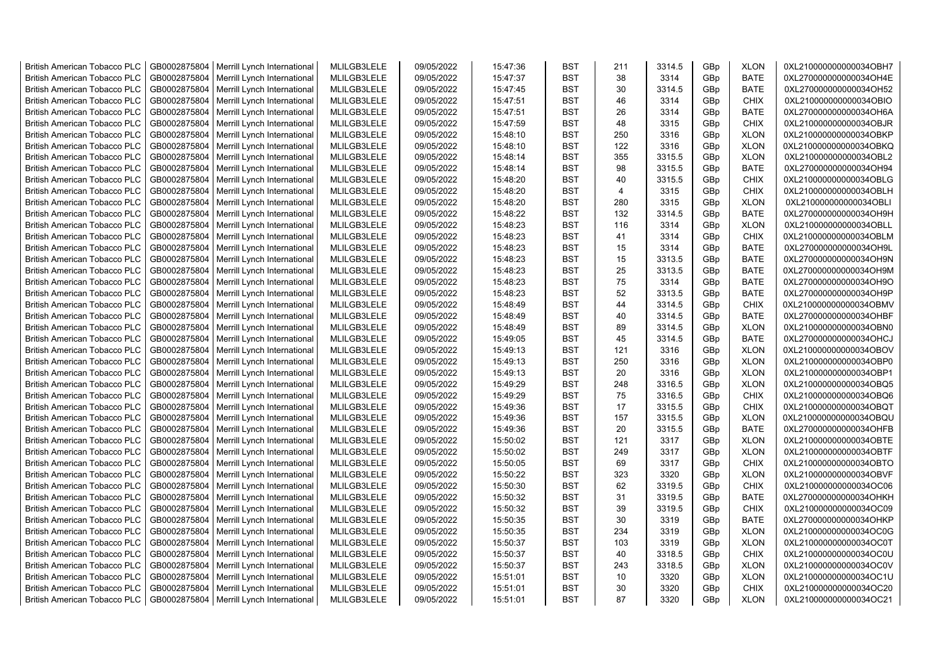| <b>British American Tobacco PLC</b> | GB0002875804 | Merrill Lynch International | MLILGB3LELE | 09/05/2022 | 15:47:36 | <b>BST</b> | 211            | 3314.5 | GBp | <b>XLON</b> | 0XL210000000000034OBH7 |
|-------------------------------------|--------------|-----------------------------|-------------|------------|----------|------------|----------------|--------|-----|-------------|------------------------|
| <b>British American Tobacco PLC</b> | GB0002875804 | Merrill Lynch International | MLILGB3LELE | 09/05/2022 | 15:47:37 | <b>BST</b> | 38             | 3314   | GBp | <b>BATE</b> | 0XL270000000000034OH4E |
| <b>British American Tobacco PLC</b> | GB0002875804 | Merrill Lynch International | MLILGB3LELE | 09/05/2022 | 15:47:45 | <b>BST</b> | 30             | 3314.5 | GBp | <b>BATE</b> | 0XL270000000000034OH52 |
| <b>British American Tobacco PLC</b> | GB0002875804 | Merrill Lynch International | MLILGB3LELE | 09/05/2022 | 15:47:51 | <b>BST</b> | 46             | 3314   | GBp | <b>CHIX</b> | 0XL210000000000034OBIO |
| <b>British American Tobacco PLC</b> | GB0002875804 | Merrill Lynch International | MLILGB3LELE | 09/05/2022 | 15:47:51 | <b>BST</b> | 26             | 3314   | GBp | <b>BATE</b> | 0XL270000000000034OH6A |
| <b>British American Tobacco PLC</b> | GB0002875804 | Merrill Lynch International | MLILGB3LELE | 09/05/2022 | 15:47:59 | <b>BST</b> | 48             | 3315   | GBp | <b>CHIX</b> | 0XL210000000000034OBJR |
| <b>British American Tobacco PLC</b> | GB0002875804 | Merrill Lynch International | MLILGB3LELE | 09/05/2022 | 15:48:10 | <b>BST</b> | 250            | 3316   | GBp | <b>XLON</b> | 0XL210000000000034OBKP |
| <b>British American Tobacco PLC</b> | GB0002875804 | Merrill Lynch International | MLILGB3LELE | 09/05/2022 | 15:48:10 | <b>BST</b> | 122            | 3316   | GBp | <b>XLON</b> | 0XL210000000000034OBKQ |
| <b>British American Tobacco PLC</b> | GB0002875804 | Merrill Lynch International | MLILGB3LELE | 09/05/2022 | 15:48:14 | <b>BST</b> | 355            | 3315.5 | GBp | <b>XLON</b> | 0XL210000000000034OBL2 |
| <b>British American Tobacco PLC</b> | GB0002875804 | Merrill Lynch International | MLILGB3LELE | 09/05/2022 | 15:48:14 | <b>BST</b> | 98             | 3315.5 | GBp | <b>BATE</b> | 0XL270000000000034OH94 |
| <b>British American Tobacco PLC</b> | GB0002875804 | Merrill Lynch International | MLILGB3LELE | 09/05/2022 | 15:48:20 | <b>BST</b> | 40             | 3315.5 | GBp | <b>CHIX</b> | 0XL210000000000034OBLG |
| <b>British American Tobacco PLC</b> | GB0002875804 | Merrill Lynch International | MLILGB3LELE | 09/05/2022 | 15:48:20 | <b>BST</b> | $\overline{4}$ | 3315   | GBp | <b>CHIX</b> | 0XL210000000000034OBLH |
| <b>British American Tobacco PLC</b> | GB0002875804 | Merrill Lynch International | MLILGB3LELE | 09/05/2022 | 15:48:20 | <b>BST</b> | 280            | 3315   | GBp | <b>XLON</b> | 0XL210000000000034OBLI |
| <b>British American Tobacco PLC</b> | GB0002875804 | Merrill Lynch International | MLILGB3LELE | 09/05/2022 | 15:48:22 | <b>BST</b> | 132            | 3314.5 | GBp | <b>BATE</b> | 0XL270000000000034OH9H |
| <b>British American Tobacco PLC</b> | GB0002875804 | Merrill Lynch International | MLILGB3LELE | 09/05/2022 | 15:48:23 | <b>BST</b> | 116            | 3314   | GBp | <b>XLON</b> | 0XL210000000000034OBLL |
| <b>British American Tobacco PLC</b> | GB0002875804 | Merrill Lynch International | MLILGB3LELE | 09/05/2022 | 15:48:23 | <b>BST</b> | 41             | 3314   | GBp | <b>CHIX</b> | 0XL210000000000034OBLM |
| <b>British American Tobacco PLC</b> | GB0002875804 | Merrill Lynch International | MLILGB3LELE | 09/05/2022 | 15:48:23 | <b>BST</b> | 15             | 3314   | GBp | BATE        | 0XL270000000000034OH9L |
| <b>British American Tobacco PLC</b> | GB0002875804 | Merrill Lynch International | MLILGB3LELE | 09/05/2022 | 15:48:23 | <b>BST</b> | 15             | 3313.5 | GBp | <b>BATE</b> | 0XL270000000000034OH9N |
| <b>British American Tobacco PLC</b> | GB0002875804 | Merrill Lynch International | MLILGB3LELE | 09/05/2022 | 15:48:23 | <b>BST</b> | 25             | 3313.5 | GBp | <b>BATE</b> | 0XL270000000000034OH9M |
| <b>British American Tobacco PLC</b> | GB0002875804 | Merrill Lynch International | MLILGB3LELE | 09/05/2022 | 15:48:23 | <b>BST</b> | 75             | 3314   | GBp | <b>BATE</b> | 0XL270000000000034OH9O |
| <b>British American Tobacco PLC</b> | GB0002875804 | Merrill Lynch International | MLILGB3LELE | 09/05/2022 | 15:48:23 | <b>BST</b> | 52             | 3313.5 | GBp | <b>BATE</b> | 0XL270000000000034OH9P |
| <b>British American Tobacco PLC</b> | GB0002875804 | Merrill Lynch International | MLILGB3LELE | 09/05/2022 | 15:48:49 | <b>BST</b> | 44             | 3314.5 | GBp | <b>CHIX</b> | 0XL210000000000034OBMV |
| <b>British American Tobacco PLC</b> | GB0002875804 | Merrill Lynch International | MLILGB3LELE | 09/05/2022 | 15:48:49 | <b>BST</b> | 40             | 3314.5 | GBp | <b>BATE</b> | 0XL270000000000034OHBF |
| <b>British American Tobacco PLC</b> | GB0002875804 | Merrill Lynch International | MLILGB3LELE | 09/05/2022 | 15:48:49 | BST        | 89             | 3314.5 | GBp | <b>XLON</b> | 0XL210000000000034OBN0 |
| <b>British American Tobacco PLC</b> | GB0002875804 | Merrill Lynch International | MLILGB3LELE | 09/05/2022 | 15:49:05 | <b>BST</b> | 45             | 3314.5 | GBp | <b>BATE</b> | 0XL270000000000034OHCJ |
| British American Tobacco PLC        | GB0002875804 | Merrill Lynch International | MLILGB3LELE | 09/05/2022 | 15:49:13 | <b>BST</b> | 121            | 3316   | GBp | <b>XLON</b> | 0XL210000000000034OBOV |
| <b>British American Tobacco PLC</b> | GB0002875804 | Merrill Lynch International | MLILGB3LELE | 09/05/2022 | 15:49:13 | <b>BST</b> | 250            | 3316   | GBp | <b>XLON</b> | 0XL210000000000034OBP0 |
| British American Tobacco PLC        | GB0002875804 | Merrill Lynch International | MLILGB3LELE | 09/05/2022 | 15:49:13 | <b>BST</b> | 20             | 3316   | GBp | <b>XLON</b> | 0XL210000000000034OBP1 |
| <b>British American Tobacco PLC</b> | GB0002875804 | Merrill Lynch International | MLILGB3LELE | 09/05/2022 | 15:49:29 | <b>BST</b> | 248            | 3316.5 | GBp | <b>XLON</b> | 0XL210000000000034OBQ5 |
| <b>British American Tobacco PLC</b> | GB0002875804 | Merrill Lynch International | MLILGB3LELE | 09/05/2022 | 15:49:29 | <b>BST</b> | 75             | 3316.5 | GBp | <b>CHIX</b> | 0XL210000000000034OBQ6 |
| <b>British American Tobacco PLC</b> | GB0002875804 | Merrill Lynch International | MLILGB3LELE | 09/05/2022 | 15:49:36 | <b>BST</b> | 17             | 3315.5 | GBp | <b>CHIX</b> | 0XL210000000000034OBQT |
| <b>British American Tobacco PLC</b> | GB0002875804 | Merrill Lynch International | MLILGB3LELE | 09/05/2022 | 15:49:36 | <b>BST</b> | 157            | 3315.5 | GBp | <b>XLON</b> | 0XL210000000000034OBQU |
| <b>British American Tobacco PLC</b> | GB0002875804 | Merrill Lynch International | MLILGB3LELE | 09/05/2022 | 15:49:36 | <b>BST</b> | 20             | 3315.5 | GBp | <b>BATE</b> | 0XL270000000000034OHFB |
| <b>British American Tobacco PLC</b> | GB0002875804 | Merrill Lynch International | MLILGB3LELE | 09/05/2022 | 15:50:02 | <b>BST</b> | 121            | 3317   | GBp | <b>XLON</b> | 0XL210000000000034OBTE |
| <b>British American Tobacco PLC</b> | GB0002875804 | Merrill Lynch International | MLILGB3LELE | 09/05/2022 | 15:50:02 | <b>BST</b> | 249            | 3317   | GBp | <b>XLON</b> | 0XL210000000000034OBTF |
| <b>British American Tobacco PLC</b> | GB0002875804 | Merrill Lynch International | MLILGB3LELE | 09/05/2022 | 15:50:05 | <b>BST</b> | 69             | 3317   | GBp | <b>CHIX</b> | 0XL210000000000034OBTO |
| <b>British American Tobacco PLC</b> | GB0002875804 | Merrill Lynch International | MLILGB3LELE | 09/05/2022 | 15:50:22 | <b>BST</b> | 323            | 3320   | GBp | <b>XLON</b> | 0XL210000000000034OBVF |
| <b>British American Tobacco PLC</b> | GB0002875804 | Merrill Lynch International | MLILGB3LELE | 09/05/2022 | 15:50:30 | <b>BST</b> | 62             | 3319.5 | GBp | <b>CHIX</b> | 0XL210000000000034OC06 |
| <b>British American Tobacco PLC</b> | GB0002875804 | Merrill Lynch International | MLILGB3LELE | 09/05/2022 | 15:50:32 | <b>BST</b> | 31             | 3319.5 | GBp | <b>BATE</b> | 0XL270000000000034OHKH |
| <b>British American Tobacco PLC</b> | GB0002875804 | Merrill Lynch International | MLILGB3LELE | 09/05/2022 | 15:50:32 | <b>BST</b> | 39             | 3319.5 | GBp | <b>CHIX</b> | 0XL210000000000034OC09 |
| <b>British American Tobacco PLC</b> | GB0002875804 | Merrill Lynch International | MLILGB3LELE | 09/05/2022 | 15:50:35 | <b>BST</b> | 30             | 3319   | GBp | <b>BATE</b> | 0XL270000000000034OHKP |
| <b>British American Tobacco PLC</b> | GB0002875804 | Merrill Lynch International | MLILGB3LELE | 09/05/2022 | 15:50:35 | <b>BST</b> | 234            | 3319   | GBp | <b>XLON</b> | 0XL210000000000034OC0G |
| <b>British American Tobacco PLC</b> | GB0002875804 | Merrill Lynch International | MLILGB3LELE | 09/05/2022 | 15:50:37 | <b>BST</b> | 103            | 3319   | GBp | <b>XLON</b> | 0XL210000000000034OC0T |
| British American Tobacco PLC        | GB0002875804 | Merrill Lynch International | MLILGB3LELE | 09/05/2022 | 15:50:37 | <b>BST</b> | 40             | 3318.5 | GBp | <b>CHIX</b> | 0XL210000000000034OC0U |
| <b>British American Tobacco PLC</b> | GB0002875804 | Merrill Lynch International | MLILGB3LELE | 09/05/2022 | 15:50:37 | <b>BST</b> | 243            | 3318.5 | GBp | <b>XLON</b> | 0XL210000000000034OC0V |
| <b>British American Tobacco PLC</b> | GB0002875804 | Merrill Lynch International | MLILGB3LELE | 09/05/2022 | 15:51:01 | <b>BST</b> | 10             | 3320   | GBp | <b>XLON</b> | 0XL210000000000034OC1U |
| <b>British American Tobacco PLC</b> | GB0002875804 | Merrill Lynch International | MLILGB3LELE | 09/05/2022 | 15:51:01 | <b>BST</b> | 30             | 3320   | GBp | <b>CHIX</b> | 0XL210000000000034OC20 |
| <b>British American Tobacco PLC</b> | GB0002875804 | Merrill Lynch International | MLILGB3LELE | 09/05/2022 | 15:51:01 | <b>BST</b> | 87             | 3320   | GBp | <b>XLON</b> | 0XL210000000000034OC21 |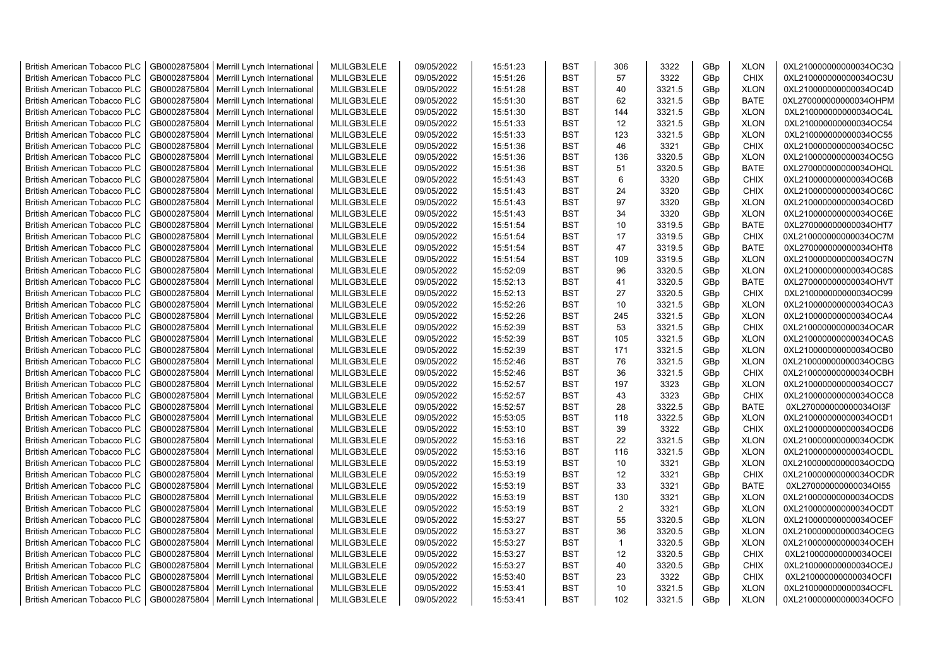| <b>British American Tobacco PLC</b> | GB0002875804                 | Merrill Lynch International | MLILGB3LELE                | 09/05/2022 | 15:51:23 | <b>BST</b>               | 306          | 3322           | GBp             | <b>XLON</b>                | 0XL210000000000034OC3Q                           |
|-------------------------------------|------------------------------|-----------------------------|----------------------------|------------|----------|--------------------------|--------------|----------------|-----------------|----------------------------|--------------------------------------------------|
| <b>British American Tobacco PLC</b> | GB0002875804                 | Merrill Lynch International | MLILGB3LELE                | 09/05/2022 | 15:51:26 | <b>BST</b>               | 57           | 3322           | GBp             | <b>CHIX</b>                | 0XL210000000000034OC3U                           |
| <b>British American Tobacco PLC</b> | GB0002875804                 | Merrill Lynch International | MLILGB3LELE                | 09/05/2022 | 15:51:28 | <b>BST</b>               | 40           | 3321.5         | GBp             | <b>XLON</b>                | 0XL210000000000034OC4D                           |
| <b>British American Tobacco PLC</b> | GB0002875804                 | Merrill Lynch International | MLILGB3LELE                | 09/05/2022 | 15:51:30 | <b>BST</b>               | 62           | 3321.5         | GBp             | <b>BATE</b>                | 0XL270000000000034OHPM                           |
| <b>British American Tobacco PLC</b> | GB0002875804                 | Merrill Lynch International | MLILGB3LELE                | 09/05/2022 | 15:51:30 | <b>BST</b>               | 144          | 3321.5         | GBp             | <b>XLON</b>                | 0XL210000000000034OC4L                           |
| <b>British American Tobacco PLC</b> | GB0002875804                 | Merrill Lynch International | MLILGB3LELE                | 09/05/2022 | 15:51:33 | <b>BST</b>               | 12           | 3321.5         | GBp             | <b>XLON</b>                | 0XL210000000000034OC54                           |
| British American Tobacco PLC        | GB0002875804                 | Merrill Lynch International | MLILGB3LELE                | 09/05/2022 | 15:51:33 | <b>BST</b>               | 123          | 3321.5         | GBp             | <b>XLON</b>                | 0XL210000000000034OC55                           |
| <b>British American Tobacco PLC</b> | GB0002875804                 | Merrill Lynch International | MLILGB3LELE                | 09/05/2022 | 15:51:36 | <b>BST</b>               | 46           | 3321           | GBp             | <b>CHIX</b>                | 0XL210000000000034OC5C                           |
| <b>British American Tobacco PLC</b> | GB0002875804                 | Merrill Lynch International | MLILGB3LELE                | 09/05/2022 | 15:51:36 | <b>BST</b>               | 136          | 3320.5         | GBp             | <b>XLON</b>                | 0XL210000000000034OC5G                           |
| <b>British American Tobacco PLC</b> | GB0002875804                 | Merrill Lynch International | MLILGB3LELE                | 09/05/2022 | 15:51:36 | <b>BST</b>               | 51           | 3320.5         | GBp             | <b>BATE</b>                | 0XL270000000000034OHQL                           |
| <b>British American Tobacco PLC</b> | GB0002875804                 | Merrill Lynch International | MLILGB3LELE                | 09/05/2022 | 15:51:43 | <b>BST</b>               | 6            | 3320           | GBp             | <b>CHIX</b>                | 0XL210000000000034OC6B                           |
| <b>British American Tobacco PLC</b> | GB0002875804                 | Merrill Lynch International | MLILGB3LELE                | 09/05/2022 | 15:51:43 | <b>BST</b>               | 24           | 3320           | GBp             | <b>CHIX</b>                | 0XL210000000000034OC6C                           |
| <b>British American Tobacco PLC</b> | GB0002875804                 | Merrill Lynch International | MLILGB3LELE                | 09/05/2022 | 15:51:43 | <b>BST</b>               | 97           | 3320           | GBp             | <b>XLON</b>                | 0XL210000000000034OC6D                           |
| <b>British American Tobacco PLC</b> | GB0002875804                 | Merrill Lynch International | MLILGB3LELE                | 09/05/2022 | 15:51:43 | <b>BST</b>               | 34           | 3320           | GBp             | <b>XLON</b>                | 0XL210000000000034OC6E                           |
| <b>British American Tobacco PLC</b> | GB0002875804                 | Merrill Lynch International | MLILGB3LELE                | 09/05/2022 | 15:51:54 | <b>BST</b>               | 10           | 3319.5         | GBp             | <b>BATE</b>                | 0XL270000000000034OHT7                           |
| <b>British American Tobacco PLC</b> | GB0002875804                 | Merrill Lynch International | MLILGB3LELE                | 09/05/2022 | 15:51:54 | <b>BST</b>               | 17           | 3319.5         | GBp             | <b>CHIX</b>                | 0XL210000000000034OC7M                           |
| British American Tobacco PLC        | GB0002875804                 | Merrill Lynch International | MLILGB3LELE                | 09/05/2022 | 15:51:54 | <b>BST</b>               | 47           | 3319.5         | GBp             | <b>BATE</b>                | 0XL270000000000034OHT8                           |
| <b>British American Tobacco PLC</b> | GB0002875804                 | Merrill Lynch International | MLILGB3LELE                | 09/05/2022 | 15:51:54 | <b>BST</b>               | 109          | 3319.5         | GBp             | <b>XLON</b>                | 0XL210000000000034OC7N                           |
| <b>British American Tobacco PLC</b> | GB0002875804                 | Merrill Lynch International | MLILGB3LELE                | 09/05/2022 | 15:52:09 | <b>BST</b>               | 96           | 3320.5         | GBp             | <b>XLON</b>                | 0XL210000000000034OC8S                           |
| <b>British American Tobacco PLC</b> | GB0002875804                 | Merrill Lynch International | MLILGB3LELE                | 09/05/2022 | 15:52:13 | <b>BST</b>               | 41           | 3320.5         | GBp             | <b>BATE</b>                | 0XL270000000000034OHVT                           |
| <b>British American Tobacco PLC</b> | GB0002875804                 | Merrill Lynch International | MLILGB3LELE                | 09/05/2022 | 15:52:13 | <b>BST</b>               | 27           | 3320.5         | GBp             | <b>CHIX</b>                | 0XL210000000000034OC99                           |
| <b>British American Tobacco PLC</b> | GB0002875804                 | Merrill Lynch International | MLILGB3LELE                | 09/05/2022 | 15:52:26 | <b>BST</b>               | 10           | 3321.5         | GBp             | <b>XLON</b>                | 0XL210000000000034OCA3                           |
| British American Tobacco PLC        | GB0002875804                 | Merrill Lynch International | MLILGB3LELE                | 09/05/2022 | 15:52:26 | <b>BST</b>               | 245          | 3321.5         | GBp             | <b>XLON</b>                | 0XL210000000000034OCA4                           |
| <b>British American Tobacco PLC</b> | GB0002875804                 | Merrill Lynch International | MLILGB3LELE                | 09/05/2022 | 15:52:39 | <b>BST</b>               | 53           | 3321.5         | GBp             | <b>CHIX</b>                | 0XL210000000000034OCAR                           |
| <b>British American Tobacco PLC</b> | GB0002875804                 | Merrill Lynch International | MLILGB3LELE                | 09/05/2022 | 15:52:39 | <b>BST</b>               | 105          | 3321.5         | GBp             | <b>XLON</b>                | 0XL210000000000034OCAS                           |
| <b>British American Tobacco PLC</b> | GB0002875804                 | Merrill Lynch International | MLILGB3LELE                | 09/05/2022 | 15:52:39 | <b>BST</b>               | 171          | 3321.5         | GBp             | <b>XLON</b>                | 0XL210000000000034OCB0                           |
| <b>British American Tobacco PLC</b> | GB0002875804                 | Merrill Lynch International | MLILGB3LELE                | 09/05/2022 | 15:52:46 | <b>BST</b>               | 76           | 3321.5         | GBp             | <b>XLON</b>                | 0XL210000000000034OCBG                           |
| <b>British American Tobacco PLC</b> | GB0002875804                 | Merrill Lynch International | MLILGB3LELE                | 09/05/2022 | 15:52:46 | <b>BST</b>               | 36           | 3321.5         | GBp             | <b>CHIX</b>                | 0XL210000000000034OCBH                           |
| <b>British American Tobacco PLC</b> | GB0002875804                 | Merrill Lynch International | MLILGB3LELE                | 09/05/2022 | 15:52:57 | <b>BST</b>               | 197          | 3323           | GBp             | <b>XLON</b>                | 0XL210000000000034OCC7                           |
| <b>British American Tobacco PLC</b> | GB0002875804                 | Merrill Lynch International | MLILGB3LELE                | 09/05/2022 | 15:52:57 | <b>BST</b>               | 43           | 3323           | GBp             | <b>CHIX</b>                | 0XL210000000000034OCC8                           |
| <b>British American Tobacco PLC</b> | GB0002875804                 | Merrill Lynch International | MLILGB3LELE                | 09/05/2022 | 15:52:57 | <b>BST</b>               | 28           | 3322.5         | GBp             | <b>BATE</b>                | 0XL270000000000034OI3F                           |
| <b>British American Tobacco PLC</b> | GB0002875804                 | Merrill Lynch International | MLILGB3LELE                | 09/05/2022 | 15:53:05 | <b>BST</b>               | 118          | 3322.5         | GBp             | <b>XLON</b>                | 0XL210000000000034OCD1                           |
| <b>British American Tobacco PLC</b> | GB0002875804                 | Merrill Lynch International | MLILGB3LELE                | 09/05/2022 | 15:53:10 | <b>BST</b>               | 39           | 3322           | GBp             | <b>CHIX</b>                | 0XL210000000000034OCD6                           |
| <b>British American Tobacco PLC</b> | GB0002875804                 | Merrill Lynch International | MLILGB3LELE                | 09/05/2022 | 15:53:16 | <b>BST</b>               | 22           | 3321.5         | GBp             | <b>XLON</b>                | 0XL210000000000034OCDK                           |
| <b>British American Tobacco PLC</b> | GB0002875804                 | Merrill Lynch International | MLILGB3LELE                | 09/05/2022 | 15:53:16 | <b>BST</b>               | 116          | 3321.5         | GBp             | <b>XLON</b>                | 0XL210000000000034OCDL                           |
| <b>British American Tobacco PLC</b> | GB0002875804                 | Merrill Lynch International | MLILGB3LELE                | 09/05/2022 | 15:53:19 | <b>BST</b>               | 10           | 3321           | GBp             | <b>XLON</b>                | 0XL210000000000034OCDQ                           |
| <b>British American Tobacco PLC</b> | GB0002875804                 | Merrill Lynch International | MLILGB3LELE                | 09/05/2022 | 15:53:19 | <b>BST</b>               | 12           | 3321           | GBp             | <b>CHIX</b>                | 0XL210000000000034OCDR                           |
| <b>British American Tobacco PLC</b> | GB0002875804                 | Merrill Lynch International | MLILGB3LELE                | 09/05/2022 | 15:53:19 | <b>BST</b>               | 33           | 3321           | GBp             | <b>BATE</b>                | 0XL270000000000034OI55                           |
| <b>British American Tobacco PLC</b> | GB0002875804                 | Merrill Lynch International | MLILGB3LELE                | 09/05/2022 | 15:53:19 | <b>BST</b>               | 130          | 3321           | GBp             | <b>XLON</b>                | 0XL210000000000034OCDS                           |
| <b>British American Tobacco PLC</b> | GB0002875804                 | Merrill Lynch International | MLILGB3LELE                | 09/05/2022 | 15:53:19 | <b>BST</b>               | 2            | 3321           | GBp             | <b>XLON</b>                | 0XL210000000000034OCDT                           |
| <b>British American Tobacco PLC</b> | GB0002875804                 | Merrill Lynch International | MLILGB3LELE                | 09/05/2022 | 15:53:27 | <b>BST</b>               | 55           | 3320.5         | GBp             | <b>XLON</b>                | 0XL210000000000034OCEF                           |
| <b>British American Tobacco PLC</b> | GB0002875804                 | Merrill Lynch International | MLILGB3LELE                | 09/05/2022 | 15:53:27 | <b>BST</b>               | 36           | 3320.5         | GBp             | <b>XLON</b>                | 0XL210000000000034OCEG                           |
|                                     |                              |                             |                            |            |          |                          | $\mathbf{1}$ |                |                 |                            |                                                  |
| <b>British American Tobacco PLC</b> | GB0002875804                 | Merrill Lynch International | MLILGB3LELE                | 09/05/2022 | 15:53:27 | <b>BST</b><br><b>BST</b> | 12           | 3320.5         | GBp             | <b>XLON</b>                | 0XL210000000000034OCEH                           |
| <b>British American Tobacco PLC</b> | GB0002875804<br>GB0002875804 | Merrill Lynch International | MLILGB3LELE<br>MLILGB3LELE | 09/05/2022 | 15:53:27 | <b>BST</b>               | 40           | 3320.5         | GBp             | <b>CHIX</b>                | 0XL210000000000034OCEI<br>0XL210000000000034OCEJ |
| <b>British American Tobacco PLC</b> |                              | Merrill Lynch International | MLILGB3LELE                | 09/05/2022 | 15:53:27 | <b>BST</b>               |              | 3320.5<br>3322 | GBp             | <b>CHIX</b><br><b>CHIX</b> |                                                  |
| <b>British American Tobacco PLC</b> | GB0002875804                 | Merrill Lynch International |                            | 09/05/2022 | 15:53:40 |                          | 23<br>10     | 3321.5         | GBp             |                            | 0XL210000000000034OCFI                           |
| <b>British American Tobacco PLC</b> | GB0002875804                 | Merrill Lynch International | MLILGB3LELE                | 09/05/2022 | 15:53:41 | <b>BST</b><br><b>BST</b> |              |                | GBp             | <b>XLON</b><br><b>XLON</b> | 0XL210000000000034OCFL                           |
| <b>British American Tobacco PLC</b> | GB0002875804                 | Merrill Lynch International | MLILGB3LELE                | 09/05/2022 | 15:53:41 |                          | 102          | 3321.5         | GB <sub>p</sub> |                            | 0XL210000000000034OCFO                           |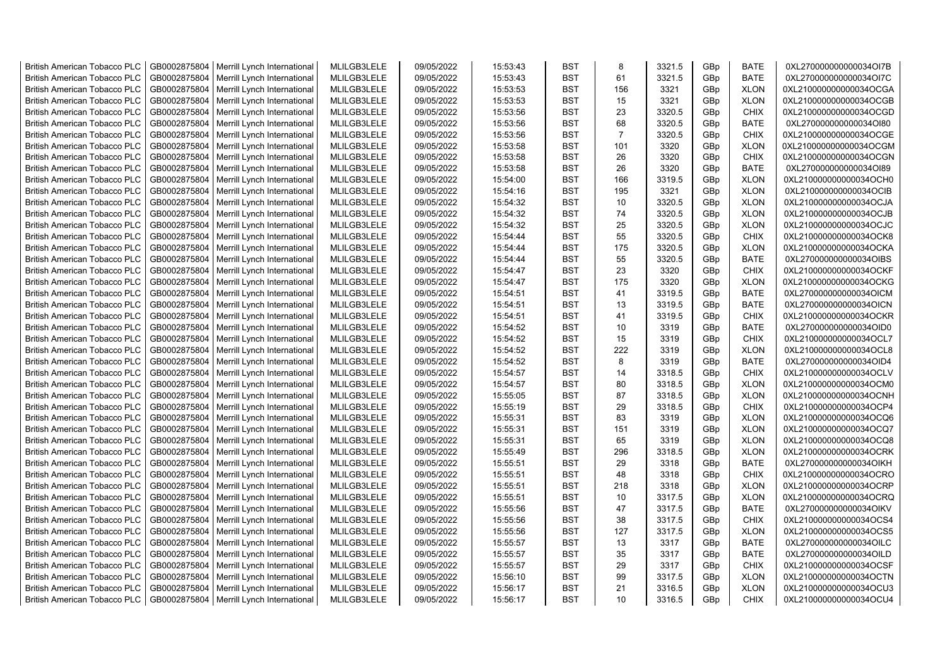| <b>British American Tobacco PLC</b> | GB0002875804 | Merrill Lynch International | MLILGB3LELE | 09/05/2022 | 15:53:43 | <b>BST</b> | 8              | 3321.5 | GBp             | <b>BATE</b> | 0XL270000000000034OI7B |
|-------------------------------------|--------------|-----------------------------|-------------|------------|----------|------------|----------------|--------|-----------------|-------------|------------------------|
| <b>British American Tobacco PLC</b> | GB0002875804 | Merrill Lynch International | MLILGB3LELE | 09/05/2022 | 15:53:43 | <b>BST</b> | 61             | 3321.5 | GBp             | <b>BATE</b> | 0XL270000000000034OI7C |
| <b>British American Tobacco PLC</b> | GB0002875804 | Merrill Lynch International | MLILGB3LELE | 09/05/2022 | 15:53:53 | <b>BST</b> | 156            | 3321   | GBp             | <b>XLON</b> | 0XL210000000000034OCGA |
| <b>British American Tobacco PLC</b> | GB0002875804 | Merrill Lynch International | MLILGB3LELE | 09/05/2022 | 15:53:53 | <b>BST</b> | 15             | 3321   | GBp             | <b>XLON</b> | 0XL210000000000034OCGB |
| <b>British American Tobacco PLC</b> | GB0002875804 | Merrill Lynch International | MLILGB3LELE | 09/05/2022 | 15:53:56 | <b>BST</b> | 23             | 3320.5 | GBp             | <b>CHIX</b> | 0XL210000000000034OCGD |
| <b>British American Tobacco PLC</b> | GB0002875804 | Merrill Lynch International | MLILGB3LELE | 09/05/2022 | 15:53:56 | <b>BST</b> | 68             | 3320.5 | GBp             | <b>BATE</b> | 0XL270000000000034OI80 |
| <b>British American Tobacco PLC</b> | GB0002875804 | Merrill Lynch International | MLILGB3LELE | 09/05/2022 | 15:53:56 | <b>BST</b> | $\overline{7}$ | 3320.5 | GBp             | <b>CHIX</b> | 0XL210000000000034OCGE |
| <b>British American Tobacco PLC</b> | GB0002875804 | Merrill Lynch International | MLILGB3LELE | 09/05/2022 | 15:53:58 | <b>BST</b> | 101            | 3320   | GBp             | <b>XLON</b> | 0XL210000000000034OCGM |
| <b>British American Tobacco PLC</b> | GB0002875804 | Merrill Lynch International | MLILGB3LELE | 09/05/2022 | 15:53:58 | <b>BST</b> | 26             | 3320   | GBp             | <b>CHIX</b> | 0XL210000000000034OCGN |
| <b>British American Tobacco PLC</b> | GB0002875804 | Merrill Lynch International | MLILGB3LELE | 09/05/2022 | 15:53:58 | <b>BST</b> | 26             | 3320   | GBp             | <b>BATE</b> | 0XL270000000000034OI89 |
| <b>British American Tobacco PLC</b> | GB0002875804 | Merrill Lynch International | MLILGB3LELE | 09/05/2022 | 15:54:00 | <b>BST</b> | 166            | 3319.5 | GBp             | <b>XLON</b> | 0XL210000000000034OCH0 |
| <b>British American Tobacco PLC</b> | GB0002875804 | Merrill Lynch International | MLILGB3LELE | 09/05/2022 | 15:54:16 | <b>BST</b> | 195            | 3321   | GBp             | <b>XLON</b> | 0XL210000000000034OCIB |
| <b>British American Tobacco PLC</b> | GB0002875804 | Merrill Lynch International | MLILGB3LELE | 09/05/2022 | 15:54:32 | <b>BST</b> | 10             | 3320.5 | GBp             | <b>XLON</b> | 0XL210000000000034OCJA |
| <b>British American Tobacco PLC</b> | GB0002875804 | Merrill Lynch International | MLILGB3LELE | 09/05/2022 | 15:54:32 | <b>BST</b> | 74             | 3320.5 | GBp             | <b>XLON</b> | 0XL210000000000034OCJB |
|                                     |              |                             | MLILGB3LELE |            |          |            |                |        |                 |             |                        |
| <b>British American Tobacco PLC</b> | GB0002875804 | Merrill Lynch International |             | 09/05/2022 | 15:54:32 | <b>BST</b> | 25             | 3320.5 | GBp             | <b>XLON</b> | 0XL210000000000034OCJC |
| <b>British American Tobacco PLC</b> | GB0002875804 | Merrill Lynch International | MLILGB3LELE | 09/05/2022 | 15:54:44 | <b>BST</b> | 55             | 3320.5 | GBp             | <b>CHIX</b> | 0XL210000000000034OCK8 |
| <b>British American Tobacco PLC</b> | GB0002875804 | Merrill Lynch International | MLILGB3LELE | 09/05/2022 | 15:54:44 | <b>BST</b> | 175            | 3320.5 | GBp             | <b>XLON</b> | 0XL210000000000034OCKA |
| <b>British American Tobacco PLC</b> | GB0002875804 | Merrill Lynch International | MLILGB3LELE | 09/05/2022 | 15:54:44 | <b>BST</b> | 55             | 3320.5 | GBp             | <b>BATE</b> | 0XL270000000000034OIBS |
| <b>British American Tobacco PLC</b> | GB0002875804 | Merrill Lynch International | MLILGB3LELE | 09/05/2022 | 15:54:47 | <b>BST</b> | 23             | 3320   | GBp             | <b>CHIX</b> | 0XL210000000000034OCKF |
| <b>British American Tobacco PLC</b> | GB0002875804 | Merrill Lynch International | MLILGB3LELE | 09/05/2022 | 15:54:47 | <b>BST</b> | 175            | 3320   | GBp             | <b>XLON</b> | 0XL210000000000034OCKG |
| <b>British American Tobacco PLC</b> | GB0002875804 | Merrill Lynch International | MLILGB3LELE | 09/05/2022 | 15:54:51 | <b>BST</b> | 41             | 3319.5 | GBp             | <b>BATE</b> | 0XL270000000000034OICM |
| <b>British American Tobacco PLC</b> | GB0002875804 | Merrill Lynch International | MLILGB3LELE | 09/05/2022 | 15:54:51 | <b>BST</b> | 13             | 3319.5 | GBp             | <b>BATE</b> | 0XL270000000000034OICN |
| <b>British American Tobacco PLC</b> | GB0002875804 | Merrill Lynch International | MLILGB3LELE | 09/05/2022 | 15:54:51 | <b>BST</b> | 41             | 3319.5 | GBp             | <b>CHIX</b> | 0XL210000000000034OCKR |
| <b>British American Tobacco PLC</b> | GB0002875804 | Merrill Lynch International | MLILGB3LELE | 09/05/2022 | 15:54:52 | BST        | 10             | 3319   | GBp             | <b>BATE</b> | 0XL270000000000034OID0 |
| <b>British American Tobacco PLC</b> | GB0002875804 | Merrill Lynch International | MLILGB3LELE | 09/05/2022 | 15:54:52 | <b>BST</b> | 15             | 3319   | GBp             | <b>CHIX</b> | 0XL210000000000034OCL7 |
| <b>British American Tobacco PLC</b> | GB0002875804 | Merrill Lynch International | MLILGB3LELE | 09/05/2022 | 15:54:52 | <b>BST</b> | 222            | 3319   | GBp             | <b>XLON</b> | 0XL210000000000034OCL8 |
| <b>British American Tobacco PLC</b> | GB0002875804 | Merrill Lynch International | MLILGB3LELE | 09/05/2022 | 15:54:52 | <b>BST</b> | 8              | 3319   | GBp             | <b>BATE</b> | 0XL270000000000034OID4 |
| British American Tobacco PLC        | GB0002875804 | Merrill Lynch International | MLILGB3LELE | 09/05/2022 | 15:54:57 | <b>BST</b> | 14             | 3318.5 | GBp             | <b>CHIX</b> | 0XL210000000000034OCLV |
| <b>British American Tobacco PLC</b> | GB0002875804 | Merrill Lynch International | MLILGB3LELE | 09/05/2022 | 15:54:57 | <b>BST</b> | 80             | 3318.5 | GBp             | <b>XLON</b> | 0XL210000000000034OCM0 |
| <b>British American Tobacco PLC</b> | GB0002875804 | Merrill Lynch International | MLILGB3LELE | 09/05/2022 | 15:55:05 | <b>BST</b> | 87             | 3318.5 | GBp             | <b>XLON</b> | 0XL210000000000034OCNH |
| <b>British American Tobacco PLC</b> | GB0002875804 | Merrill Lynch International | MLILGB3LELE | 09/05/2022 | 15:55:19 | <b>BST</b> | 29             | 3318.5 | GBp             | <b>CHIX</b> | 0XL210000000000034OCP4 |
| <b>British American Tobacco PLC</b> | GB0002875804 | Merrill Lynch International | MLILGB3LELE | 09/05/2022 | 15:55:31 | <b>BST</b> | 83             | 3319   | GBp             | <b>XLON</b> | 0XL210000000000034OCQ6 |
| <b>British American Tobacco PLC</b> | GB0002875804 | Merrill Lynch International | MLILGB3LELE | 09/05/2022 | 15:55:31 | <b>BST</b> | 151            | 3319   | GBp             | <b>XLON</b> | 0XL210000000000034OCQ7 |
| <b>British American Tobacco PLC</b> | GB0002875804 | Merrill Lynch International | MLILGB3LELE | 09/05/2022 | 15:55:31 | <b>BST</b> | 65             | 3319   | GBp             | <b>XLON</b> | 0XL210000000000034OCQ8 |
| <b>British American Tobacco PLC</b> | GB0002875804 | Merrill Lynch International | MLILGB3LELE | 09/05/2022 | 15:55:49 | <b>BST</b> | 296            | 3318.5 | GBp             | <b>XLON</b> | 0XL210000000000034OCRK |
| <b>British American Tobacco PLC</b> | GB0002875804 | Merrill Lynch International | MLILGB3LELE | 09/05/2022 | 15:55:51 | <b>BST</b> | 29             | 3318   | GBp             | <b>BATE</b> | 0XL270000000000034OIKH |
| <b>British American Tobacco PLC</b> | GB0002875804 | Merrill Lynch International | MLILGB3LELE | 09/05/2022 | 15:55:51 | <b>BST</b> | 48             | 3318   | GBp             | <b>CHIX</b> | 0XL210000000000034OCRO |
| <b>British American Tobacco PLC</b> | GB0002875804 | Merrill Lynch International | MLILGB3LELE | 09/05/2022 | 15:55:51 | <b>BST</b> | 218            | 3318   | GBp             | <b>XLON</b> | 0XL210000000000034OCRP |
| <b>British American Tobacco PLC</b> | GB0002875804 | Merrill Lynch International | MLILGB3LELE | 09/05/2022 | 15:55:51 | <b>BST</b> | 10             | 3317.5 | GBp             | <b>XLON</b> | 0XL210000000000034OCRQ |
| <b>British American Tobacco PLC</b> | GB0002875804 | Merrill Lynch International | MLILGB3LELE | 09/05/2022 | 15:55:56 | <b>BST</b> | 47             | 3317.5 | GBp             | <b>BATE</b> | 0XL270000000000034OIKV |
| <b>British American Tobacco PLC</b> | GB0002875804 | Merrill Lynch International | MLILGB3LELE | 09/05/2022 | 15:55:56 | <b>BST</b> | 38             | 3317.5 | GBp             | <b>CHIX</b> | 0XL210000000000034OCS4 |
| <b>British American Tobacco PLC</b> | GB0002875804 | Merrill Lynch International | MLILGB3LELE | 09/05/2022 | 15:55:56 | <b>BST</b> | 127            | 3317.5 | GBp             | <b>XLON</b> | 0XL210000000000034OCS5 |
| <b>British American Tobacco PLC</b> | GB0002875804 | Merrill Lynch International | MLILGB3LELE | 09/05/2022 | 15:55:57 | <b>BST</b> | 13             | 3317   | GBp             | <b>BATE</b> | 0XL270000000000034OILC |
| <b>British American Tobacco PLC</b> | GB0002875804 | Merrill Lynch International | MLILGB3LELE | 09/05/2022 | 15:55:57 | <b>BST</b> | 35             | 3317   | GBp             | <b>BATE</b> | 0XL270000000000034OILD |
| <b>British American Tobacco PLC</b> | GB0002875804 | Merrill Lynch International | MLILGB3LELE | 09/05/2022 | 15:55:57 | <b>BST</b> | 29             | 3317   | GBp             | <b>CHIX</b> | 0XL210000000000034OCSF |
| <b>British American Tobacco PLC</b> | GB0002875804 | Merrill Lynch International | MLILGB3LELE | 09/05/2022 | 15:56:10 | <b>BST</b> | 99             | 3317.5 | GBp             | <b>XLON</b> | 0XL210000000000034OCTN |
| <b>British American Tobacco PLC</b> | GB0002875804 | Merrill Lynch International | MLILGB3LELE | 09/05/2022 | 15:56:17 | <b>BST</b> | 21             | 3316.5 | GBp             | <b>XLON</b> | 0XL210000000000034OCU3 |
| <b>British American Tobacco PLC</b> | GB0002875804 | Merrill Lynch International | MLILGB3LELE | 09/05/2022 | 15:56:17 | <b>BST</b> | 10             | 3316.5 | GB <sub>p</sub> | <b>CHIX</b> | 0XL210000000000034OCU4 |
|                                     |              |                             |             |            |          |            |                |        |                 |             |                        |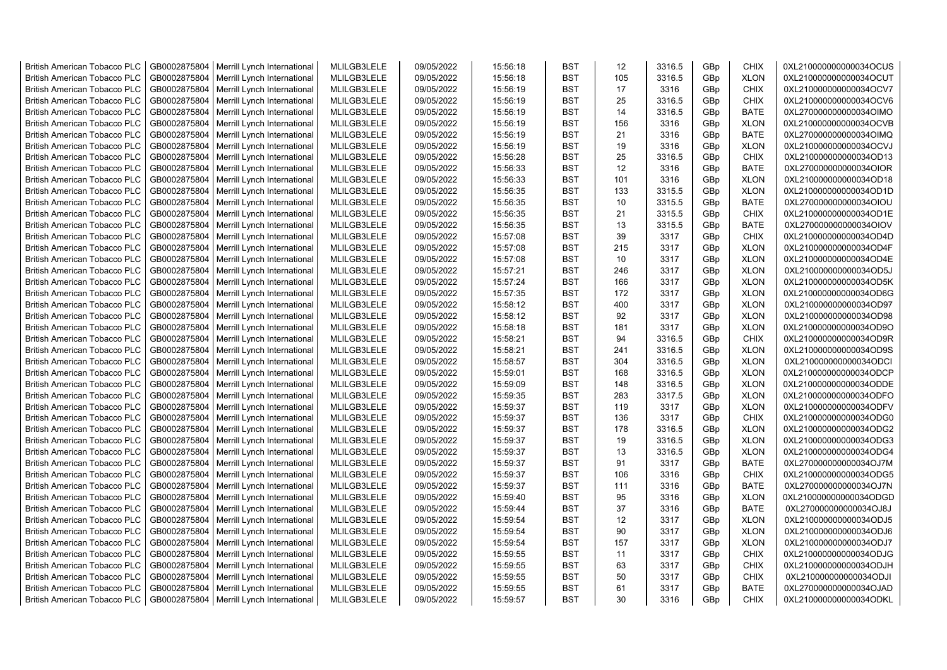| <b>British American Tobacco PLC</b> | GB0002875804 | Merrill Lynch International | MLILGB3LELE | 09/05/2022 | 15:56:18 | <b>BST</b> | 12  | 3316.5 | GBp             | <b>CHIX</b> | 0XL210000000000034OCUS |
|-------------------------------------|--------------|-----------------------------|-------------|------------|----------|------------|-----|--------|-----------------|-------------|------------------------|
| <b>British American Tobacco PLC</b> | GB0002875804 | Merrill Lynch International | MLILGB3LELE | 09/05/2022 | 15:56:18 | <b>BST</b> | 105 | 3316.5 | GBp             | <b>XLON</b> | 0XL210000000000034OCUT |
| <b>British American Tobacco PLC</b> | GB0002875804 | Merrill Lynch International | MLILGB3LELE | 09/05/2022 | 15:56:19 | <b>BST</b> | 17  | 3316   | GBp             | <b>CHIX</b> | 0XL210000000000034OCV7 |
| <b>British American Tobacco PLC</b> | GB0002875804 | Merrill Lynch International | MLILGB3LELE | 09/05/2022 | 15:56:19 | <b>BST</b> | 25  | 3316.5 | GBp             | <b>CHIX</b> | 0XL210000000000034OCV6 |
| <b>British American Tobacco PLC</b> | GB0002875804 | Merrill Lynch International | MLILGB3LELE | 09/05/2022 | 15:56:19 | <b>BST</b> | 14  | 3316.5 | GBp             | <b>BATE</b> | 0XL270000000000034OIMO |
| <b>British American Tobacco PLC</b> | GB0002875804 | Merrill Lynch International | MLILGB3LELE | 09/05/2022 | 15:56:19 | <b>BST</b> | 156 | 3316   | GBp             | <b>XLON</b> | 0XL210000000000034OCVB |
| <b>British American Tobacco PLC</b> | GB0002875804 | Merrill Lynch International | MLILGB3LELE | 09/05/2022 | 15:56:19 | <b>BST</b> | 21  | 3316   | GBp             | <b>BATE</b> | 0XL270000000000034OIMQ |
| <b>British American Tobacco PLC</b> | GB0002875804 | Merrill Lynch International | MLILGB3LELE | 09/05/2022 | 15:56:19 | <b>BST</b> | 19  | 3316   | GBp             | <b>XLON</b> | 0XL210000000000034OCVJ |
| <b>British American Tobacco PLC</b> | GB0002875804 | Merrill Lynch International | MLILGB3LELE | 09/05/2022 | 15:56:28 | <b>BST</b> | 25  | 3316.5 | GBp             | <b>CHIX</b> | 0XL210000000000034OD13 |
| <b>British American Tobacco PLC</b> | GB0002875804 | Merrill Lynch International | MLILGB3LELE | 09/05/2022 | 15:56:33 | <b>BST</b> | 12  | 3316   | GBp             | <b>BATE</b> | 0XL270000000000034OIOR |
| <b>British American Tobacco PLC</b> | GB0002875804 | Merrill Lynch International | MLILGB3LELE | 09/05/2022 | 15:56:33 | <b>BST</b> | 101 | 3316   | GBp             | <b>XLON</b> | 0XL210000000000034OD18 |
| <b>British American Tobacco PLC</b> | GB0002875804 | Merrill Lynch International | MLILGB3LELE | 09/05/2022 | 15:56:35 | <b>BST</b> | 133 | 3315.5 | GBp             | <b>XLON</b> | 0XL210000000000034OD1D |
| <b>British American Tobacco PLC</b> | GB0002875804 | Merrill Lynch International | MLILGB3LELE | 09/05/2022 | 15:56:35 | <b>BST</b> | 10  | 3315.5 | GBp             | <b>BATE</b> | 0XL270000000000034OIOU |
| <b>British American Tobacco PLC</b> | GB0002875804 | Merrill Lynch International | MLILGB3LELE | 09/05/2022 | 15:56:35 | <b>BST</b> | 21  | 3315.5 | GBp             | <b>CHIX</b> | 0XL210000000000034OD1E |
| <b>British American Tobacco PLC</b> | GB0002875804 | Merrill Lynch International | MLILGB3LELE | 09/05/2022 | 15:56:35 | <b>BST</b> | 13  | 3315.5 | GBp             | <b>BATE</b> | 0XL270000000000034OIOV |
| <b>British American Tobacco PLC</b> | GB0002875804 | Merrill Lynch International | MLILGB3LELE | 09/05/2022 | 15:57:08 | <b>BST</b> | 39  | 3317   | GBp             | <b>CHIX</b> | 0XL210000000000034OD4D |
| British American Tobacco PLC        | GB0002875804 | Merrill Lynch International | MLILGB3LELE | 09/05/2022 | 15:57:08 | <b>BST</b> | 215 | 3317   | GBp             | <b>XLON</b> | 0XL210000000000034OD4F |
| <b>British American Tobacco PLC</b> | GB0002875804 | Merrill Lynch International | MLILGB3LELE | 09/05/2022 | 15:57:08 | <b>BST</b> | 10  | 3317   | GBp             | <b>XLON</b> | 0XL210000000000034OD4E |
| <b>British American Tobacco PLC</b> | GB0002875804 | Merrill Lynch International | MLILGB3LELE | 09/05/2022 | 15:57:21 | <b>BST</b> | 246 | 3317   | GBp             | <b>XLON</b> | 0XL210000000000034OD5J |
| <b>British American Tobacco PLC</b> | GB0002875804 | Merrill Lynch International | MLILGB3LELE | 09/05/2022 | 15:57:24 | <b>BST</b> | 166 | 3317   | GBp             | <b>XLON</b> | 0XL210000000000034OD5K |
| <b>British American Tobacco PLC</b> | GB0002875804 | Merrill Lynch International | MLILGB3LELE | 09/05/2022 | 15:57:35 | <b>BST</b> | 172 | 3317   | GBp             | <b>XLON</b> | 0XL210000000000034OD6G |
| <b>British American Tobacco PLC</b> | GB0002875804 | Merrill Lynch International | MLILGB3LELE | 09/05/2022 | 15:58:12 | <b>BST</b> | 400 | 3317   | GBp             | <b>XLON</b> | 0XL210000000000034OD97 |
| British American Tobacco PLC        | GB0002875804 | Merrill Lynch International | MLILGB3LELE | 09/05/2022 | 15:58:12 | <b>BST</b> | 92  | 3317   | GBp             | <b>XLON</b> | 0XL210000000000034OD98 |
| <b>British American Tobacco PLC</b> | GB0002875804 | Merrill Lynch International | MLILGB3LELE | 09/05/2022 | 15:58:18 | <b>BST</b> | 181 | 3317   | GBp             | <b>XLON</b> | 0XL210000000000034OD9O |
| <b>British American Tobacco PLC</b> | GB0002875804 | Merrill Lynch International | MLILGB3LELE | 09/05/2022 | 15:58:21 | <b>BST</b> | 94  | 3316.5 | GBp             | <b>CHIX</b> | 0XL210000000000034OD9R |
| <b>British American Tobacco PLC</b> | GB0002875804 | Merrill Lynch International | MLILGB3LELE | 09/05/2022 | 15:58:21 | <b>BST</b> | 241 | 3316.5 | GBp             | <b>XLON</b> | 0XL210000000000034OD9S |
| <b>British American Tobacco PLC</b> | GB0002875804 | Merrill Lynch International | MLILGB3LELE | 09/05/2022 | 15:58:57 | <b>BST</b> | 304 | 3316.5 | GBp             | <b>XLON</b> | 0XL210000000000034ODCI |
| <b>British American Tobacco PLC</b> | GB0002875804 | Merrill Lynch International | MLILGB3LELE | 09/05/2022 | 15:59:01 | <b>BST</b> | 168 | 3316.5 | GBp             | <b>XLON</b> | 0XL210000000000034ODCP |
| <b>British American Tobacco PLC</b> | GB0002875804 | Merrill Lynch International | MLILGB3LELE | 09/05/2022 | 15:59:09 | <b>BST</b> | 148 | 3316.5 | GBp             | <b>XLON</b> | 0XL210000000000034ODDE |
| <b>British American Tobacco PLC</b> | GB0002875804 | Merrill Lynch International | MLILGB3LELE | 09/05/2022 | 15:59:35 | <b>BST</b> | 283 | 3317.5 | GBp             | <b>XLON</b> | 0XL210000000000034ODFO |
| <b>British American Tobacco PLC</b> | GB0002875804 | Merrill Lynch International | MLILGB3LELE | 09/05/2022 | 15:59:37 | <b>BST</b> | 119 | 3317   | GBp             | <b>XLON</b> | 0XL210000000000034ODFV |
| <b>British American Tobacco PLC</b> | GB0002875804 | Merrill Lynch International | MLILGB3LELE | 09/05/2022 | 15:59:37 | <b>BST</b> | 136 | 3317   | GBp             | <b>CHIX</b> | 0XL210000000000034ODG0 |
| <b>British American Tobacco PLC</b> | GB0002875804 | Merrill Lynch International | MLILGB3LELE | 09/05/2022 | 15:59:37 | <b>BST</b> | 178 | 3316.5 | GBp             | <b>XLON</b> | 0XL210000000000034ODG2 |
| <b>British American Tobacco PLC</b> | GB0002875804 | Merrill Lynch International | MLILGB3LELE | 09/05/2022 | 15:59:37 | <b>BST</b> | 19  | 3316.5 | GBp             | <b>XLON</b> | 0XL210000000000034ODG3 |
| <b>British American Tobacco PLC</b> | GB0002875804 | Merrill Lynch International | MLILGB3LELE | 09/05/2022 | 15:59:37 | <b>BST</b> | 13  | 3316.5 | GBp             | <b>XLON</b> | 0XL210000000000034ODG4 |
| British American Tobacco PLC        | GB0002875804 | Merrill Lynch International | MLILGB3LELE | 09/05/2022 | 15:59:37 | <b>BST</b> | 91  | 3317   | GBp             | <b>BATE</b> | 0XL270000000000034OJ7M |
| <b>British American Tobacco PLC</b> | GB0002875804 | Merrill Lynch International | MLILGB3LELE | 09/05/2022 | 15:59:37 | <b>BST</b> | 106 | 3316   | GBp             | <b>CHIX</b> | 0XL210000000000034ODG5 |
| British American Tobacco PLC        | GB0002875804 | Merrill Lynch International | MLILGB3LELE | 09/05/2022 | 15:59:37 | <b>BST</b> | 111 | 3316   | GBp             | <b>BATE</b> | 0XL270000000000034OJ7N |
| <b>British American Tobacco PLC</b> | GB0002875804 | Merrill Lynch International | MLILGB3LELE | 09/05/2022 | 15:59:40 | <b>BST</b> | 95  | 3316   | GBp             | <b>XLON</b> | 0XL210000000000034ODGD |
| <b>British American Tobacco PLC</b> | GB0002875804 | Merrill Lynch International | MLILGB3LELE | 09/05/2022 | 15:59:44 | <b>BST</b> | 37  | 3316   | GBp             | <b>BATE</b> | 0XL270000000000034OJ8J |
| <b>British American Tobacco PLC</b> | GB0002875804 | Merrill Lynch International | MLILGB3LELE | 09/05/2022 | 15:59:54 | <b>BST</b> | 12  | 3317   | GBp             | <b>XLON</b> | 0XL210000000000034ODJ5 |
| <b>British American Tobacco PLC</b> | GB0002875804 | Merrill Lynch International | MLILGB3LELE | 09/05/2022 | 15:59:54 | <b>BST</b> | 90  | 3317   | GBp             | <b>XLON</b> | 0XL210000000000034ODJ6 |
| <b>British American Tobacco PLC</b> | GB0002875804 | Merrill Lynch International | MLILGB3LELE | 09/05/2022 | 15:59:54 | <b>BST</b> | 157 | 3317   | GBp             | <b>XLON</b> | 0XL210000000000034ODJ7 |
| <b>British American Tobacco PLC</b> | GB0002875804 | Merrill Lynch International | MLILGB3LELE | 09/05/2022 | 15:59:55 | <b>BST</b> | 11  | 3317   | GBp             | <b>CHIX</b> | 0XL210000000000034ODJG |
| <b>British American Tobacco PLC</b> | GB0002875804 | Merrill Lynch International | MLILGB3LELE | 09/05/2022 | 15:59:55 | <b>BST</b> | 63  | 3317   | GBp             | <b>CHIX</b> | 0XL210000000000034ODJH |
| <b>British American Tobacco PLC</b> | GB0002875804 | Merrill Lynch International | MLILGB3LELE | 09/05/2022 | 15:59:55 | <b>BST</b> | 50  | 3317   | GBp             | <b>CHIX</b> | 0XL210000000000034ODJI |
| <b>British American Tobacco PLC</b> | GB0002875804 | Merrill Lynch International | MLILGB3LELE | 09/05/2022 | 15:59:55 | <b>BST</b> | 61  | 3317   | GBp             | <b>BATE</b> | 0XL270000000000034OJAD |
| <b>British American Tobacco PLC</b> | GB0002875804 | Merrill Lynch International | MLILGB3LELE | 09/05/2022 | 15:59:57 | <b>BST</b> | 30  | 3316   | GB <sub>p</sub> | <b>CHIX</b> | 0XL210000000000034ODKL |
|                                     |              |                             |             |            |          |            |     |        |                 |             |                        |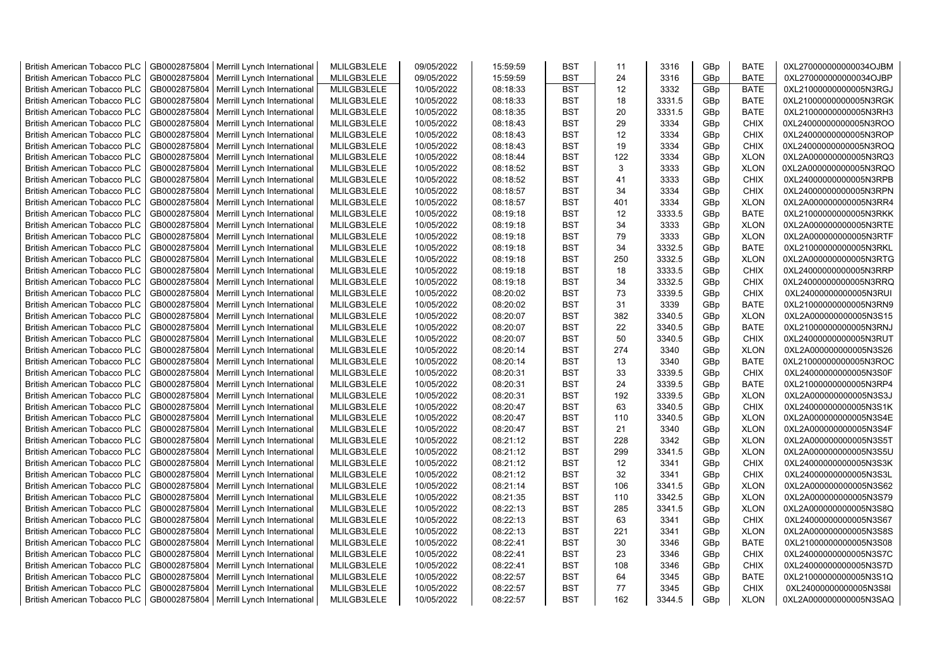| <b>British American Tobacco PLC</b> | GB0002875804                 | Merrill Lynch International                | MLILGB3LELE | 09/05/2022 | 15:59:59 | <b>BST</b>               | 11  | 3316   | GBp             | <b>BATE</b>                | 0XL270000000000034OJBM                           |
|-------------------------------------|------------------------------|--------------------------------------------|-------------|------------|----------|--------------------------|-----|--------|-----------------|----------------------------|--------------------------------------------------|
| <b>British American Tobacco PLC</b> | GB0002875804                 | Merrill Lynch International                | MLILGB3LELE | 09/05/2022 | 15:59:59 | <b>BST</b>               | 24  | 3316   | GBp             | <b>BATE</b>                | 0XL270000000000034OJBP                           |
| <b>British American Tobacco PLC</b> | GB0002875804                 | Merrill Lynch International                | MLILGB3LELE | 10/05/2022 | 08:18:33 | <b>BST</b>               | 12  | 3332   | GBp             | <b>BATE</b>                | 0XL21000000000005N3RGJ                           |
| <b>British American Tobacco PLC</b> | GB0002875804                 | Merrill Lynch International                | MLILGB3LELE | 10/05/2022 | 08:18:33 | <b>BST</b>               | 18  | 3331.5 | GBp             | <b>BATE</b>                | 0XL21000000000005N3RGK                           |
| <b>British American Tobacco PLC</b> | GB0002875804                 | Merrill Lynch International                | MLILGB3LELE | 10/05/2022 | 08:18:35 | <b>BST</b>               | 20  | 3331.5 | GBp             | <b>BATE</b>                | 0XL21000000000005N3RH3                           |
| <b>British American Tobacco PLC</b> | GB0002875804                 | Merrill Lynch International                | MLILGB3LELE | 10/05/2022 | 08:18:43 | <b>BST</b>               | 29  | 3334   | GBp             | <b>CHIX</b>                | 0XL24000000000005N3ROO                           |
| <b>British American Tobacco PLC</b> | GB0002875804                 | Merrill Lynch International                | MLILGB3LELE | 10/05/2022 | 08:18:43 | <b>BST</b>               | 12  | 3334   | GBp             | <b>CHIX</b>                | 0XL24000000000005N3ROP                           |
| <b>British American Tobacco PLC</b> | GB0002875804                 | Merrill Lynch International                | MLILGB3LELE | 10/05/2022 | 08:18:43 | <b>BST</b>               | 19  | 3334   | GBp             | <b>CHIX</b>                | 0XL24000000000005N3ROQ                           |
| <b>British American Tobacco PLC</b> | GB0002875804                 | Merrill Lynch International                | MLILGB3LELE | 10/05/2022 | 08:18:44 | <b>BST</b>               | 122 | 3334   | GB <sub>p</sub> | <b>XLON</b>                | 0XL2A000000000005N3RQ3                           |
| <b>British American Tobacco PLC</b> | GB0002875804                 | Merrill Lynch International                | MLILGB3LELE | 10/05/2022 | 08:18:52 | <b>BST</b>               | 3   | 3333   | GB <sub>p</sub> | <b>XLON</b>                | 0XL2A000000000005N3RQO                           |
| <b>British American Tobacco PLC</b> | GB0002875804                 | Merrill Lynch International                | MLILGB3LELE | 10/05/2022 | 08:18:52 | <b>BST</b>               | 41  | 3333   | GBp             | <b>CHIX</b>                | 0XL24000000000005N3RPB                           |
| <b>British American Tobacco PLC</b> | GB0002875804                 | Merrill Lynch International                | MLILGB3LELE | 10/05/2022 | 08:18:57 | <b>BST</b>               | 34  | 3334   | GBp             | <b>CHIX</b>                | 0XL24000000000005N3RPN                           |
| <b>British American Tobacco PLC</b> | GB0002875804                 | Merrill Lynch International                | MLILGB3LELE | 10/05/2022 | 08:18:57 | <b>BST</b>               | 401 | 3334   | GBp             | <b>XLON</b>                | 0XL2A000000000005N3RR4                           |
| <b>British American Tobacco PLC</b> | GB0002875804                 | Merrill Lynch International                | MLILGB3LELE | 10/05/2022 | 08:19:18 | <b>BST</b>               | 12  | 3333.5 | GB <sub>p</sub> | <b>BATE</b>                | 0XL21000000000005N3RKK                           |
| <b>British American Tobacco PLC</b> | GB0002875804                 | Merrill Lynch International                | MLILGB3LELE | 10/05/2022 | 08:19:18 | <b>BST</b>               | 34  | 3333   | GBp             | <b>XLON</b>                | 0XL2A000000000005N3RTE                           |
| <b>British American Tobacco PLC</b> | GB0002875804                 | Merrill Lynch International                | MLILGB3LELE | 10/05/2022 | 08:19:18 | <b>BST</b>               | 79  | 3333   | GBp             | <b>XLON</b>                | 0XL2A000000000005N3RTF                           |
| <b>British American Tobacco PLC</b> | GB0002875804                 | Merrill Lynch International                | MLILGB3LELE | 10/05/2022 | 08:19:18 | <b>BST</b>               | 34  | 3332.5 | GBp             | <b>BATE</b>                | 0XL21000000000005N3RKL                           |
| <b>British American Tobacco PLC</b> | GB0002875804                 | Merrill Lynch International                | MLILGB3LELE | 10/05/2022 | 08:19:18 | <b>BST</b>               | 250 | 3332.5 | GBp             | <b>XLON</b>                | 0XL2A000000000005N3RTG                           |
| <b>British American Tobacco PLC</b> | GB0002875804                 | Merrill Lynch International                | MLILGB3LELE | 10/05/2022 | 08:19:18 | <b>BST</b>               | 18  | 3333.5 | GBp             | <b>CHIX</b>                | 0XL24000000000005N3RRP                           |
| <b>British American Tobacco PLC</b> | GB0002875804                 | Merrill Lynch International                | MLILGB3LELE | 10/05/2022 | 08:19:18 | <b>BST</b>               | 34  | 3332.5 | GBp             | <b>CHIX</b>                | 0XL24000000000005N3RRQ                           |
| <b>British American Tobacco PLC</b> | GB0002875804                 | Merrill Lynch International                | MLILGB3LELE | 10/05/2022 | 08:20:02 | <b>BST</b>               | 73  | 3339.5 | GBp             | <b>CHIX</b>                | 0XL24000000000005N3RUI                           |
| <b>British American Tobacco PLC</b> | GB0002875804                 | Merrill Lynch International                | MLILGB3LELE | 10/05/2022 | 08:20:02 | <b>BST</b>               | 31  | 3339   | GB <sub>p</sub> | <b>BATE</b>                | 0XL21000000000005N3RN9                           |
| <b>British American Tobacco PLC</b> | GB0002875804                 | Merrill Lynch International                | MLILGB3LELE | 10/05/2022 | 08:20:07 | <b>BST</b>               | 382 | 3340.5 | GBp             | <b>XLON</b>                | 0XL2A000000000005N3S15                           |
| <b>British American Tobacco PLC</b> | GB0002875804                 | Merrill Lynch International                | MLILGB3LELE | 10/05/2022 | 08:20:07 | <b>BST</b>               | 22  | 3340.5 | GBp             | <b>BATE</b>                | 0XL21000000000005N3RNJ                           |
| <b>British American Tobacco PLC</b> | GB0002875804                 | Merrill Lynch International                | MLILGB3LELE | 10/05/2022 | 08:20:07 | <b>BST</b>               | 50  | 3340.5 | GBp             | <b>CHIX</b>                | 0XL24000000000005N3RUT                           |
| <b>British American Tobacco PLC</b> | GB0002875804                 | Merrill Lynch International                | MLILGB3LELE | 10/05/2022 | 08:20:14 | <b>BST</b>               | 274 | 3340   | GBp             | <b>XLON</b>                | 0XL2A000000000005N3S26                           |
| <b>British American Tobacco PLC</b> | GB0002875804                 | Merrill Lynch International                | MLILGB3LELE | 10/05/2022 | 08:20:14 | <b>BST</b>               | 13  | 3340   | GBp             | <b>BATE</b>                | 0XL21000000000005N3ROC                           |
| <b>British American Tobacco PLC</b> | GB0002875804                 | Merrill Lynch International                | MLILGB3LELE | 10/05/2022 | 08:20:31 | <b>BST</b>               | 33  | 3339.5 | GBp             | <b>CHIX</b>                | 0XL24000000000005N3S0F                           |
| <b>British American Tobacco PLC</b> | GB0002875804                 | Merrill Lynch International                | MLILGB3LELE | 10/05/2022 | 08:20:31 | <b>BST</b>               | 24  | 3339.5 | GBp             | <b>BATE</b>                | 0XL21000000000005N3RP4                           |
| <b>British American Tobacco PLC</b> | GB0002875804                 | Merrill Lynch International                | MLILGB3LELE | 10/05/2022 | 08:20:31 | <b>BST</b>               | 192 | 3339.5 | GBp             | <b>XLON</b>                | 0XL2A000000000005N3S3J                           |
| <b>British American Tobacco PLC</b> | GB0002875804                 | Merrill Lynch International                | MLILGB3LELE | 10/05/2022 | 08:20:47 | <b>BST</b>               | 63  | 3340.5 | GBp             | <b>CHIX</b>                | 0XL24000000000005N3S1K                           |
| <b>British American Tobacco PLC</b> | GB0002875804                 | Merrill Lynch International                | MLILGB3LELE | 10/05/2022 | 08:20:47 | <b>BST</b>               | 110 | 3340.5 | GBp             | <b>XLON</b>                | 0XL2A000000000005N3S4E                           |
| <b>British American Tobacco PLC</b> | GB0002875804                 | Merrill Lynch International                | MLILGB3LELE | 10/05/2022 | 08:20:47 | <b>BST</b>               | 21  | 3340   | GB <sub>p</sub> | <b>XLON</b>                | 0XL2A000000000005N3S4F                           |
| <b>British American Tobacco PLC</b> | GB0002875804                 | Merrill Lynch International                | MLILGB3LELE | 10/05/2022 | 08:21:12 | <b>BST</b>               | 228 | 3342   | GBp             | <b>XLON</b>                | 0XL2A000000000005N3S5T                           |
| <b>British American Tobacco PLC</b> | GB0002875804                 | Merrill Lynch International                | MLILGB3LELE | 10/05/2022 | 08:21:12 | <b>BST</b>               | 299 | 3341.5 | GBp             | <b>XLON</b>                | 0XL2A000000000005N3S5U                           |
| <b>British American Tobacco PLC</b> | GB0002875804                 | Merrill Lynch International                | MLILGB3LELE | 10/05/2022 | 08:21:12 | <b>BST</b>               | 12  | 3341   | GBp             | <b>CHIX</b>                | 0XL24000000000005N3S3K                           |
| <b>British American Tobacco PLC</b> | GB0002875804                 | Merrill Lynch International                | MLILGB3LELE | 10/05/2022 | 08:21:12 | <b>BST</b>               | 32  | 3341   | GBp             | <b>CHIX</b>                | 0XL24000000000005N3S3L                           |
| <b>British American Tobacco PLC</b> | GB0002875804                 | Merrill Lynch International                | MLILGB3LELE | 10/05/2022 | 08:21:14 | <b>BST</b>               | 106 | 3341.5 | GBp             | <b>XLON</b>                | 0XL2A000000000005N3S62                           |
| <b>British American Tobacco PLC</b> | GB0002875804                 | Merrill Lynch International                | MLILGB3LELE | 10/05/2022 | 08:21:35 | <b>BST</b>               | 110 | 3342.5 | GBp             | <b>XLON</b>                | 0XL2A000000000005N3S79                           |
|                                     | GB0002875804                 |                                            | MLILGB3LELE | 10/05/2022 | 08:22:13 | <b>BST</b>               | 285 | 3341.5 | GBp             |                            | 0XL2A000000000005N3S8Q                           |
| <b>British American Tobacco PLC</b> |                              | Merrill Lynch International                | MLILGB3LELE |            |          | <b>BST</b>               | 63  | 3341   |                 | <b>XLON</b>                |                                                  |
| <b>British American Tobacco PLC</b> | GB0002875804<br>GB0002875804 | Merrill Lynch International                |             | 10/05/2022 | 08:22:13 | <b>BST</b>               | 221 | 3341   | GBp<br>GBp      | <b>CHIX</b><br><b>XLON</b> | 0XL24000000000005N3S67<br>0XL2A000000000005N3S8S |
| <b>British American Tobacco PLC</b> |                              | Merrill Lynch International                | MLILGB3LELE | 10/05/2022 | 08:22:13 |                          |     |        |                 |                            |                                                  |
| <b>British American Tobacco PLC</b> | GB0002875804                 | Merrill Lynch International                | MLILGB3LELE | 10/05/2022 | 08:22:41 | <b>BST</b>               | 30  | 3346   | GBp             | <b>BATE</b>                | 0XL21000000000005N3S08                           |
| <b>British American Tobacco PLC</b> | GB0002875804                 | Merrill Lynch International                | MLILGB3LELE | 10/05/2022 | 08:22:41 | <b>BST</b><br><b>BST</b> | 23  | 3346   | GBp             | <b>CHIX</b>                | 0XL24000000000005N3S7C                           |
| <b>British American Tobacco PLC</b> | GB0002875804                 | Merrill Lynch International                | MLILGB3LELE | 10/05/2022 | 08:22:41 |                          | 108 | 3346   | GBp             | <b>CHIX</b>                | 0XL24000000000005N3S7D                           |
| <b>British American Tobacco PLC</b> | GB0002875804                 | Merrill Lynch International                | MLILGB3LELE | 10/05/2022 | 08:22:57 | <b>BST</b>               | 64  | 3345   | GBp             | <b>BATE</b>                | 0XL21000000000005N3S1Q                           |
| <b>British American Tobacco PLC</b> | GB0002875804                 | Merrill Lynch International                | MLILGB3LELE | 10/05/2022 | 08:22:57 | <b>BST</b>               | 77  | 3345   | GB <sub>p</sub> | <b>CHIX</b>                | 0XL24000000000005N3S8I                           |
| <b>British American Tobacco PLC</b> |                              | GB0002875804   Merrill Lynch International | MLILGB3LELE | 10/05/2022 | 08:22:57 | <b>BST</b>               | 162 | 3344.5 | GBp             | <b>XLON</b>                | 0XL2A000000000005N3SAQ                           |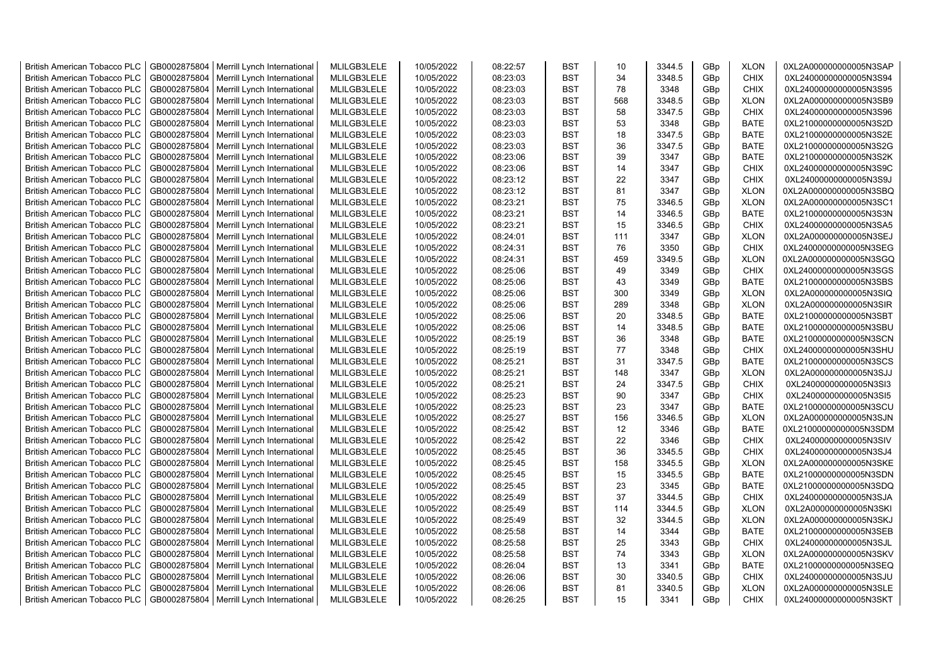| <b>British American Tobacco PLC</b> | GB0002875804 | Merrill Lynch International | MLILGB3LELE | 10/05/2022 | 08:22:57 | <b>BST</b> | 10  | 3344.5 | GBp             | <b>XLON</b> | 0XL2A000000000005N3SAP |
|-------------------------------------|--------------|-----------------------------|-------------|------------|----------|------------|-----|--------|-----------------|-------------|------------------------|
| <b>British American Tobacco PLC</b> | GB0002875804 | Merrill Lynch International | MLILGB3LELE | 10/05/2022 | 08:23:03 | <b>BST</b> | 34  | 3348.5 | GBp             | <b>CHIX</b> | 0XL24000000000005N3S94 |
| <b>British American Tobacco PLC</b> | GB0002875804 | Merrill Lynch International | MLILGB3LELE | 10/05/2022 | 08:23:03 | <b>BST</b> | 78  | 3348   | GBp             | <b>CHIX</b> | 0XL24000000000005N3S95 |
| <b>British American Tobacco PLC</b> | GB0002875804 | Merrill Lynch International | MLILGB3LELE | 10/05/2022 | 08:23:03 | <b>BST</b> | 568 | 3348.5 | GBp             | <b>XLON</b> | 0XL2A000000000005N3SB9 |
| <b>British American Tobacco PLC</b> | GB0002875804 | Merrill Lynch International | MLILGB3LELE | 10/05/2022 | 08:23:03 | <b>BST</b> | 58  | 3347.5 | GBp             | <b>CHIX</b> | 0XL24000000000005N3S96 |
| <b>British American Tobacco PLC</b> | GB0002875804 | Merrill Lynch International | MLILGB3LELE | 10/05/2022 | 08:23:03 | <b>BST</b> | 53  | 3348   | GBp             | <b>BATE</b> | 0XL21000000000005N3S2D |
| <b>British American Tobacco PLC</b> | GB0002875804 | Merrill Lynch International | MLILGB3LELE | 10/05/2022 | 08:23:03 | <b>BST</b> | 18  | 3347.5 | GBp             | <b>BATE</b> | 0XL21000000000005N3S2E |
| <b>British American Tobacco PLC</b> | GB0002875804 | Merrill Lynch International | MLILGB3LELE | 10/05/2022 | 08:23:03 | <b>BST</b> | 36  | 3347.5 | GBp             | <b>BATE</b> | 0XL21000000000005N3S2G |
| <b>British American Tobacco PLC</b> | GB0002875804 | Merrill Lynch International | MLILGB3LELE | 10/05/2022 | 08:23:06 | <b>BST</b> | 39  | 3347   | GBp             | <b>BATE</b> | 0XL21000000000005N3S2K |
| <b>British American Tobacco PLC</b> | GB0002875804 | Merrill Lynch International | MLILGB3LELE | 10/05/2022 | 08:23:06 | <b>BST</b> | 14  | 3347   | GBp             | <b>CHIX</b> | 0XL24000000000005N3S9C |
| <b>British American Tobacco PLC</b> | GB0002875804 | Merrill Lynch International | MLILGB3LELE | 10/05/2022 | 08:23:12 | <b>BST</b> | 22  | 3347   | GBp             | <b>CHIX</b> | 0XL24000000000005N3S9J |
| <b>British American Tobacco PLC</b> | GB0002875804 | Merrill Lynch International | MLILGB3LELE | 10/05/2022 | 08:23:12 | <b>BST</b> | 81  | 3347   | GBp             | <b>XLON</b> | 0XL2A000000000005N3SBQ |
| <b>British American Tobacco PLC</b> | GB0002875804 | Merrill Lynch International | MLILGB3LELE | 10/05/2022 | 08:23:21 | <b>BST</b> | 75  | 3346.5 | GBp             | <b>XLON</b> | 0XL2A000000000005N3SC1 |
| <b>British American Tobacco PLC</b> | GB0002875804 | Merrill Lynch International | MLILGB3LELE | 10/05/2022 | 08:23:21 | <b>BST</b> | 14  | 3346.5 | GBp             | <b>BATE</b> | 0XL21000000000005N3S3N |
| <b>British American Tobacco PLC</b> | GB0002875804 | Merrill Lynch International | MLILGB3LELE | 10/05/2022 | 08:23:21 | <b>BST</b> | 15  | 3346.5 | GBp             | <b>CHIX</b> | 0XL24000000000005N3SA5 |
| <b>British American Tobacco PLC</b> | GB0002875804 | Merrill Lynch International | MLILGB3LELE | 10/05/2022 | 08:24:01 | <b>BST</b> | 111 | 3347   | GBp             | <b>XLON</b> | 0XL2A000000000005N3SEJ |
| <b>British American Tobacco PLC</b> | GB0002875804 | Merrill Lynch International | MLILGB3LELE | 10/05/2022 | 08:24:31 | <b>BST</b> | 76  | 3350   | GBp             | <b>CHIX</b> | 0XL24000000000005N3SEG |
| <b>British American Tobacco PLC</b> | GB0002875804 | Merrill Lynch International | MLILGB3LELE | 10/05/2022 | 08:24:31 | <b>BST</b> | 459 | 3349.5 | GBp             | <b>XLON</b> | 0XL2A000000000005N3SGQ |
| <b>British American Tobacco PLC</b> | GB0002875804 | Merrill Lynch International | MLILGB3LELE | 10/05/2022 | 08:25:06 | <b>BST</b> | 49  | 3349   | GBp             | <b>CHIX</b> | 0XL24000000000005N3SGS |
| <b>British American Tobacco PLC</b> | GB0002875804 | Merrill Lynch International | MLILGB3LELE | 10/05/2022 | 08:25:06 | <b>BST</b> | 43  | 3349   | GBp             | <b>BATE</b> | 0XL21000000000005N3SBS |
| <b>British American Tobacco PLC</b> | GB0002875804 | Merrill Lynch International | MLILGB3LELE | 10/05/2022 | 08:25:06 | <b>BST</b> | 300 | 3349   | GBp             | <b>XLON</b> | 0XL2A000000000005N3SIQ |
| <b>British American Tobacco PLC</b> | GB0002875804 | Merrill Lynch International | MLILGB3LELE | 10/05/2022 | 08:25:06 | <b>BST</b> | 289 | 3348   | GBp             | <b>XLON</b> | 0XL2A000000000005N3SIR |
| <b>British American Tobacco PLC</b> | GB0002875804 | Merrill Lynch International | MLILGB3LELE | 10/05/2022 | 08:25:06 | <b>BST</b> | 20  | 3348.5 | GBp             | <b>BATE</b> | 0XL21000000000005N3SBT |
| <b>British American Tobacco PLC</b> | GB0002875804 | Merrill Lynch International | MLILGB3LELE | 10/05/2022 | 08:25:06 | <b>BST</b> | 14  | 3348.5 | GBp             | <b>BATE</b> | 0XL21000000000005N3SBU |
| <b>British American Tobacco PLC</b> | GB0002875804 | Merrill Lynch International | MLILGB3LELE | 10/05/2022 | 08:25:19 | <b>BST</b> | 36  | 3348   | GBp             | <b>BATE</b> | 0XL21000000000005N3SCN |
| <b>British American Tobacco PLC</b> | GB0002875804 | Merrill Lynch International | MLILGB3LELE | 10/05/2022 | 08:25:19 | <b>BST</b> | 77  | 3348   | GBp             | <b>CHIX</b> | 0XL24000000000005N3SHU |
| <b>British American Tobacco PLC</b> | GB0002875804 | Merrill Lynch International | MLILGB3LELE | 10/05/2022 | 08:25:21 | <b>BST</b> | 31  | 3347.5 | GBp             | <b>BATE</b> | 0XL21000000000005N3SCS |
| <b>British American Tobacco PLC</b> | GB0002875804 | Merrill Lynch International | MLILGB3LELE | 10/05/2022 | 08:25:21 | <b>BST</b> | 148 | 3347   | GBp             | <b>XLON</b> | 0XL2A000000000005N3SJJ |
| <b>British American Tobacco PLC</b> | GB0002875804 | Merrill Lynch International | MLILGB3LELE | 10/05/2022 | 08:25:21 | <b>BST</b> | 24  | 3347.5 | GBp             | <b>CHIX</b> | 0XL24000000000005N3SI3 |
| <b>British American Tobacco PLC</b> | GB0002875804 | Merrill Lynch International | MLILGB3LELE | 10/05/2022 | 08:25:23 | <b>BST</b> | 90  | 3347   | GBp             | <b>CHIX</b> | 0XL24000000000005N3SI5 |
| <b>British American Tobacco PLC</b> | GB0002875804 | Merrill Lynch International | MLILGB3LELE | 10/05/2022 | 08:25:23 | <b>BST</b> | 23  | 3347   | GBp             | <b>BATE</b> | 0XL21000000000005N3SCU |
| <b>British American Tobacco PLC</b> | GB0002875804 | Merrill Lynch International | MLILGB3LELE | 10/05/2022 | 08:25:27 | <b>BST</b> | 156 | 3346.5 | GBp             | <b>XLON</b> | 0XL2A000000000005N3SJN |
| <b>British American Tobacco PLC</b> | GB0002875804 | Merrill Lynch International | MLILGB3LELE | 10/05/2022 | 08:25:42 | <b>BST</b> | 12  | 3346   | GBp             | <b>BATE</b> | 0XL21000000000005N3SDM |
| <b>British American Tobacco PLC</b> | GB0002875804 | Merrill Lynch International | MLILGB3LELE | 10/05/2022 | 08:25:42 | <b>BST</b> | 22  | 3346   | GBp             | <b>CHIX</b> | 0XL24000000000005N3SIV |
| <b>British American Tobacco PLC</b> | GB0002875804 | Merrill Lynch International | MLILGB3LELE | 10/05/2022 | 08:25:45 | <b>BST</b> | 36  | 3345.5 | GBp             | <b>CHIX</b> | 0XL24000000000005N3SJ4 |
| <b>British American Tobacco PLC</b> | GB0002875804 | Merrill Lynch International | MLILGB3LELE | 10/05/2022 | 08:25:45 | <b>BST</b> | 158 | 3345.5 | GBp             | <b>XLON</b> | 0XL2A000000000005N3SKE |
| <b>British American Tobacco PLC</b> | GB0002875804 | Merrill Lynch International | MLILGB3LELE | 10/05/2022 | 08:25:45 | <b>BST</b> | 15  | 3345.5 | GBp             | <b>BATE</b> | 0XL21000000000005N3SDN |
| <b>British American Tobacco PLC</b> | GB0002875804 | Merrill Lynch International | MLILGB3LELE | 10/05/2022 | 08:25:45 | <b>BST</b> | 23  | 3345   | GBp             | BATE        | 0XL21000000000005N3SDQ |
| <b>British American Tobacco PLC</b> | GB0002875804 | Merrill Lynch International | MLILGB3LELE | 10/05/2022 | 08:25:49 | <b>BST</b> | 37  | 3344.5 | GBp             | <b>CHIX</b> | 0XL24000000000005N3SJA |
| <b>British American Tobacco PLC</b> | GB0002875804 | Merrill Lynch International | MLILGB3LELE | 10/05/2022 | 08:25:49 | <b>BST</b> | 114 | 3344.5 | GBp             | <b>XLON</b> | 0XL2A000000000005N3SKI |
| <b>British American Tobacco PLC</b> | GB0002875804 | Merrill Lynch International | MLILGB3LELE | 10/05/2022 | 08:25:49 | <b>BST</b> | 32  | 3344.5 | GBp             | <b>XLON</b> | 0XL2A000000000005N3SKJ |
| <b>British American Tobacco PLC</b> | GB0002875804 | Merrill Lynch International | MLILGB3LELE | 10/05/2022 | 08:25:58 | <b>BST</b> | 14  | 3344   | GBp             | <b>BATE</b> | 0XL21000000000005N3SEB |
| <b>British American Tobacco PLC</b> | GB0002875804 | Merrill Lynch International | MLILGB3LELE | 10/05/2022 | 08:25:58 | <b>BST</b> | 25  | 3343   | GBp             | <b>CHIX</b> | 0XL24000000000005N3SJL |
| <b>British American Tobacco PLC</b> | GB0002875804 | Merrill Lynch International | MLILGB3LELE | 10/05/2022 | 08:25:58 | <b>BST</b> | 74  | 3343   | GBp             | <b>XLON</b> | 0XL2A000000000005N3SKV |
| <b>British American Tobacco PLC</b> | GB0002875804 | Merrill Lynch International | MLILGB3LELE | 10/05/2022 | 08:26:04 | <b>BST</b> | 13  | 3341   | GBp             | <b>BATE</b> | 0XL21000000000005N3SEQ |
| <b>British American Tobacco PLC</b> | GB0002875804 | Merrill Lynch International | MLILGB3LELE | 10/05/2022 | 08:26:06 | <b>BST</b> | 30  | 3340.5 | GBp             | <b>CHIX</b> | 0XL24000000000005N3SJU |
| <b>British American Tobacco PLC</b> | GB0002875804 | Merrill Lynch International | MLILGB3LELE | 10/05/2022 | 08:26:06 | <b>BST</b> | 81  | 3340.5 | GBp             | <b>XLON</b> | 0XL2A000000000005N3SLE |
| <b>British American Tobacco PLC</b> | GB0002875804 | Merrill Lynch International | MLILGB3LELE | 10/05/2022 | 08:26:25 | <b>BST</b> | 15  | 3341   | GB <sub>p</sub> | <b>CHIX</b> | 0XL24000000000005N3SKT |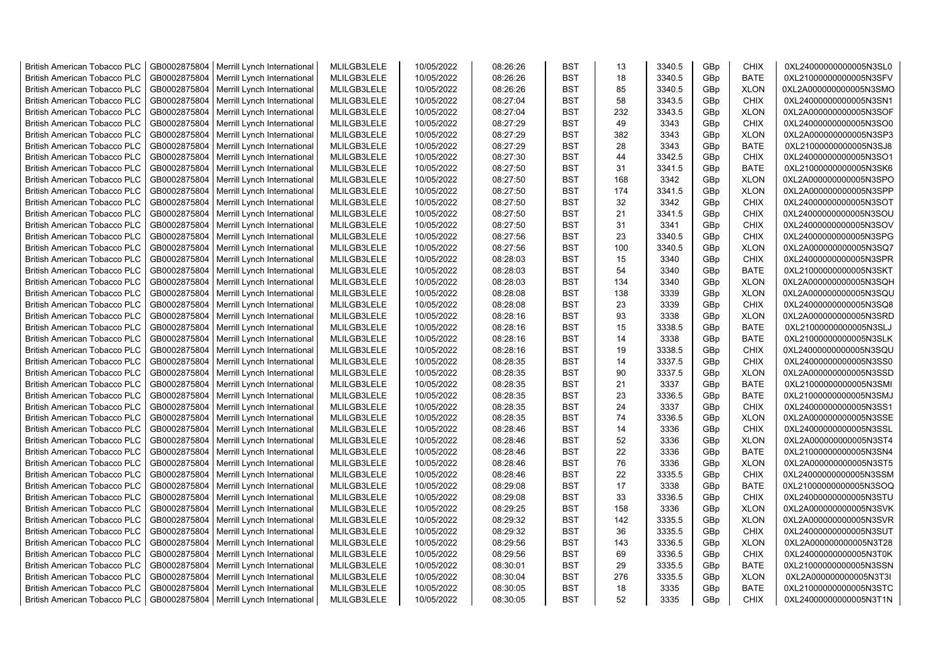| <b>British American Tobacco PLC</b> | GB0002875804 | Merrill Lynch International | MLILGB3LELE | 10/05/2022 | 08:26:26 | <b>BST</b> | 13  | 3340.5 | GBp | <b>CHIX</b> | 0XL24000000000005N3SL0 |
|-------------------------------------|--------------|-----------------------------|-------------|------------|----------|------------|-----|--------|-----|-------------|------------------------|
| <b>British American Tobacco PLC</b> | GB0002875804 | Merrill Lynch International | MLILGB3LELE | 10/05/2022 | 08:26:26 | <b>BST</b> | 18  | 3340.5 | GBp | <b>BATE</b> | 0XL21000000000005N3SFV |
| <b>British American Tobacco PLC</b> | GB0002875804 | Merrill Lynch International | MLILGB3LELE | 10/05/2022 | 08:26:26 | <b>BST</b> | 85  | 3340.5 | GBp | <b>XLON</b> | 0XL2A000000000005N3SMO |
| <b>British American Tobacco PLC</b> | GB0002875804 | Merrill Lynch International | MLILGB3LELE | 10/05/2022 | 08:27:04 | <b>BST</b> | 58  | 3343.5 | GBp | <b>CHIX</b> | 0XL24000000000005N3SN1 |
| <b>British American Tobacco PLC</b> | GB0002875804 | Merrill Lynch International | MLILGB3LELE | 10/05/2022 | 08:27:04 | <b>BST</b> | 232 | 3343.5 | GBp | <b>XLON</b> | 0XL2A000000000005N3SOF |
| <b>British American Tobacco PLC</b> | GB0002875804 | Merrill Lynch International | MLILGB3LELE | 10/05/2022 | 08:27:29 | <b>BST</b> | 49  | 3343   | GBp | <b>CHIX</b> | 0XL24000000000005N3SO0 |
| <b>British American Tobacco PLC</b> | GB0002875804 | Merrill Lynch International | MLILGB3LELE | 10/05/2022 | 08:27:29 | <b>BST</b> | 382 | 3343   | GBp | <b>XLON</b> | 0XL2A000000000005N3SP3 |
| <b>British American Tobacco PLC</b> | GB0002875804 | Merrill Lynch International | MLILGB3LELE | 10/05/2022 | 08:27:29 | <b>BST</b> | 28  | 3343   | GBp | <b>BATE</b> | 0XL21000000000005N3SJ8 |
| <b>British American Tobacco PLC</b> | GB0002875804 | Merrill Lynch International | MLILGB3LELE | 10/05/2022 | 08:27:30 | <b>BST</b> | 44  | 3342.5 | GBp | <b>CHIX</b> | 0XL24000000000005N3SO1 |
| <b>British American Tobacco PLC</b> | GB0002875804 | Merrill Lynch International | MLILGB3LELE | 10/05/2022 | 08:27:50 | <b>BST</b> | 31  | 3341.5 | GBp | <b>BATE</b> | 0XL21000000000005N3SK6 |
| British American Tobacco PLC        | GB0002875804 | Merrill Lynch International | MLILGB3LELE | 10/05/2022 | 08:27:50 | <b>BST</b> | 168 | 3342   | GBp | <b>XLON</b> | 0XL2A000000000005N3SPO |
| <b>British American Tobacco PLC</b> | GB0002875804 | Merrill Lynch International | MLILGB3LELE | 10/05/2022 | 08:27:50 | <b>BST</b> | 174 | 3341.5 | GBp | <b>XLON</b> | 0XL2A000000000005N3SPP |
| <b>British American Tobacco PLC</b> | GB0002875804 | Merrill Lynch International | MLILGB3LELE | 10/05/2022 | 08:27:50 | <b>BST</b> | 32  | 3342   | GBp | <b>CHIX</b> | 0XL24000000000005N3SOT |
| <b>British American Tobacco PLC</b> | GB0002875804 | Merrill Lynch International | MLILGB3LELE | 10/05/2022 | 08:27:50 | <b>BST</b> | 21  | 3341.5 | GBp | <b>CHIX</b> | 0XL24000000000005N3SOU |
| <b>British American Tobacco PLC</b> | GB0002875804 | Merrill Lynch International | MLILGB3LELE | 10/05/2022 | 08:27:50 | <b>BST</b> | 31  | 3341   | GBp | <b>CHIX</b> | 0XL24000000000005N3SOV |
| <b>British American Tobacco PLC</b> | GB0002875804 | Merrill Lynch International | MLILGB3LELE | 10/05/2022 | 08:27:56 | <b>BST</b> | 23  | 3340.5 | GBp | <b>CHIX</b> | 0XL24000000000005N3SPG |
| <b>British American Tobacco PLC</b> | GB0002875804 | Merrill Lynch International | MLILGB3LELE | 10/05/2022 | 08:27:56 | <b>BST</b> | 100 | 3340.5 | GBp | <b>XLON</b> | 0XL2A000000000005N3SQ7 |
| <b>British American Tobacco PLC</b> | GB0002875804 | Merrill Lynch International | MLILGB3LELE | 10/05/2022 | 08:28:03 | <b>BST</b> | 15  | 3340   | GBp | <b>CHIX</b> | 0XL24000000000005N3SPR |
| <b>British American Tobacco PLC</b> | GB0002875804 | Merrill Lynch International | MLILGB3LELE | 10/05/2022 | 08:28:03 | <b>BST</b> | 54  | 3340   | GBp | <b>BATE</b> | 0XL21000000000005N3SKT |
| <b>British American Tobacco PLC</b> | GB0002875804 | Merrill Lynch International | MLILGB3LELE | 10/05/2022 | 08:28:03 | <b>BST</b> | 134 | 3340   | GBp | <b>XLON</b> | 0XL2A000000000005N3SQH |
| <b>British American Tobacco PLC</b> | GB0002875804 | Merrill Lynch International | MLILGB3LELE | 10/05/2022 | 08:28:08 | <b>BST</b> | 138 | 3339   | GBp | <b>XLON</b> | 0XL2A000000000005N3SQU |
| <b>British American Tobacco PLC</b> | GB0002875804 | Merrill Lynch International | MLILGB3LELE | 10/05/2022 | 08:28:08 | <b>BST</b> | 23  | 3339   | GBp | <b>CHIX</b> | 0XL24000000000005N3SQ8 |
| <b>British American Tobacco PLC</b> | GB0002875804 | Merrill Lynch International | MLILGB3LELE | 10/05/2022 | 08:28:16 | <b>BST</b> | 93  | 3338   | GBp | <b>XLON</b> | 0XL2A000000000005N3SRD |
| <b>British American Tobacco PLC</b> | GB0002875804 | Merrill Lynch International | MLILGB3LELE | 10/05/2022 | 08:28:16 | <b>BST</b> | 15  | 3338.5 | GBp | <b>BATE</b> | 0XL21000000000005N3SLJ |
| <b>British American Tobacco PLC</b> | GB0002875804 | Merrill Lynch International | MLILGB3LELE | 10/05/2022 | 08:28:16 | <b>BST</b> | 14  | 3338   | GBp | <b>BATE</b> | 0XL21000000000005N3SLK |
| British American Tobacco PLC        | GB0002875804 | Merrill Lynch International | MLILGB3LELE | 10/05/2022 | 08:28:16 | <b>BST</b> | 19  | 3338.5 | GBp | <b>CHIX</b> | 0XL24000000000005N3SQU |
| <b>British American Tobacco PLC</b> | GB0002875804 | Merrill Lynch International | MLILGB3LELE | 10/05/2022 | 08:28:35 | <b>BST</b> | 14  | 3337.5 | GBp | <b>CHIX</b> | 0XL24000000000005N3SS0 |
| British American Tobacco PLC        | GB0002875804 | Merrill Lynch International | MLILGB3LELE | 10/05/2022 | 08:28:35 | <b>BST</b> | 90  | 3337.5 | GBp | <b>XLON</b> | 0XL2A000000000005N3SSD |
| <b>British American Tobacco PLC</b> | GB0002875804 | Merrill Lynch International | MLILGB3LELE | 10/05/2022 | 08:28:35 | <b>BST</b> | 21  | 3337   | GBp | <b>BATE</b> | 0XL21000000000005N3SMI |
| <b>British American Tobacco PLC</b> | GB0002875804 | Merrill Lynch International | MLILGB3LELE | 10/05/2022 | 08:28:35 | <b>BST</b> | 23  | 3336.5 | GBp | <b>BATE</b> | 0XL21000000000005N3SMJ |
| <b>British American Tobacco PLC</b> | GB0002875804 | Merrill Lynch International | MLILGB3LELE | 10/05/2022 | 08:28:35 | <b>BST</b> | 24  | 3337   | GBp | <b>CHIX</b> | 0XL24000000000005N3SS1 |
| <b>British American Tobacco PLC</b> | GB0002875804 | Merrill Lynch International | MLILGB3LELE | 10/05/2022 | 08:28:35 | <b>BST</b> | 74  | 3336.5 | GBp | <b>XLON</b> | 0XL2A000000000005N3SSE |
| <b>British American Tobacco PLC</b> | GB0002875804 | Merrill Lynch International | MLILGB3LELE | 10/05/2022 | 08:28:46 | <b>BST</b> | 14  | 3336   | GBp | <b>CHIX</b> | 0XL24000000000005N3SSL |
| <b>British American Tobacco PLC</b> | GB0002875804 | Merrill Lynch International | MLILGB3LELE | 10/05/2022 | 08:28:46 | <b>BST</b> | 52  | 3336   | GBp | <b>XLON</b> | 0XL2A000000000005N3ST4 |
| <b>British American Tobacco PLC</b> | GB0002875804 | Merrill Lynch International | MLILGB3LELE | 10/05/2022 | 08:28:46 | <b>BST</b> | 22  | 3336   | GBp | <b>BATE</b> | 0XL21000000000005N3SN4 |
| <b>British American Tobacco PLC</b> | GB0002875804 | Merrill Lynch International | MLILGB3LELE | 10/05/2022 | 08:28:46 | <b>BST</b> | 76  | 3336   | GBp | <b>XLON</b> | 0XL2A000000000005N3ST5 |
| <b>British American Tobacco PLC</b> | GB0002875804 | Merrill Lynch International | MLILGB3LELE | 10/05/2022 | 08:28:46 | <b>BST</b> | 22  | 3335.5 | GBp | CHIX        | 0XL24000000000005N3SSM |
| <b>British American Tobacco PLC</b> | GB0002875804 | Merrill Lynch International | MLILGB3LELE | 10/05/2022 | 08:29:08 | <b>BST</b> | 17  | 3338   | GBp | <b>BATE</b> | 0XL21000000000005N3SOQ |
| <b>British American Tobacco PLC</b> | GB0002875804 | Merrill Lynch International | MLILGB3LELE | 10/05/2022 | 08:29:08 | <b>BST</b> | 33  | 3336.5 | GBp | <b>CHIX</b> | 0XL24000000000005N3STU |
| <b>British American Tobacco PLC</b> | GB0002875804 | Merrill Lynch International | MLILGB3LELE | 10/05/2022 | 08:29:25 | <b>BST</b> | 158 | 3336   | GBp | <b>XLON</b> | 0XL2A000000000005N3SVK |
| British American Tobacco PLC        | GB0002875804 | Merrill Lynch International | MLILGB3LELE | 10/05/2022 | 08:29:32 | <b>BST</b> | 142 | 3335.5 | GBp | <b>XLON</b> | 0XL2A000000000005N3SVR |
| <b>British American Tobacco PLC</b> | GB0002875804 | Merrill Lynch International | MLILGB3LELE | 10/05/2022 | 08:29:32 | <b>BST</b> | 36  | 3335.5 | GBp | <b>CHIX</b> | 0XL24000000000005N3SUT |
| <b>British American Tobacco PLC</b> | GB0002875804 | Merrill Lynch International | MLILGB3LELE | 10/05/2022 | 08:29:56 | <b>BST</b> | 143 | 3336.5 | GBp | <b>XLON</b> | 0XL2A000000000005N3T28 |
| British American Tobacco PLC        | GB0002875804 | Merrill Lynch International | MLILGB3LELE | 10/05/2022 | 08:29:56 | <b>BST</b> | 69  | 3336.5 | GBp | <b>CHIX</b> | 0XL24000000000005N3T0K |
| <b>British American Tobacco PLC</b> | GB0002875804 | Merrill Lynch International | MLILGB3LELE | 10/05/2022 | 08:30:01 | <b>BST</b> | 29  | 3335.5 | GBp | <b>BATE</b> | 0XL21000000000005N3SSN |
| <b>British American Tobacco PLC</b> | GB0002875804 | Merrill Lynch International | MLILGB3LELE | 10/05/2022 | 08:30:04 | <b>BST</b> | 276 | 3335.5 | GBp | <b>XLON</b> | 0XL2A000000000005N3T3I |
| <b>British American Tobacco PLC</b> | GB0002875804 | Merrill Lynch International | MLILGB3LELE | 10/05/2022 | 08:30:05 | <b>BST</b> | 18  | 3335   | GBp | <b>BATE</b> | 0XL21000000000005N3STC |
| <b>British American Tobacco PLC</b> | GB0002875804 | Merrill Lynch International | MLILGB3LELE | 10/05/2022 | 08:30:05 | <b>BST</b> | 52  | 3335   | GBp | <b>CHIX</b> | 0XL24000000000005N3T1N |
|                                     |              |                             |             |            |          |            |     |        |     |             |                        |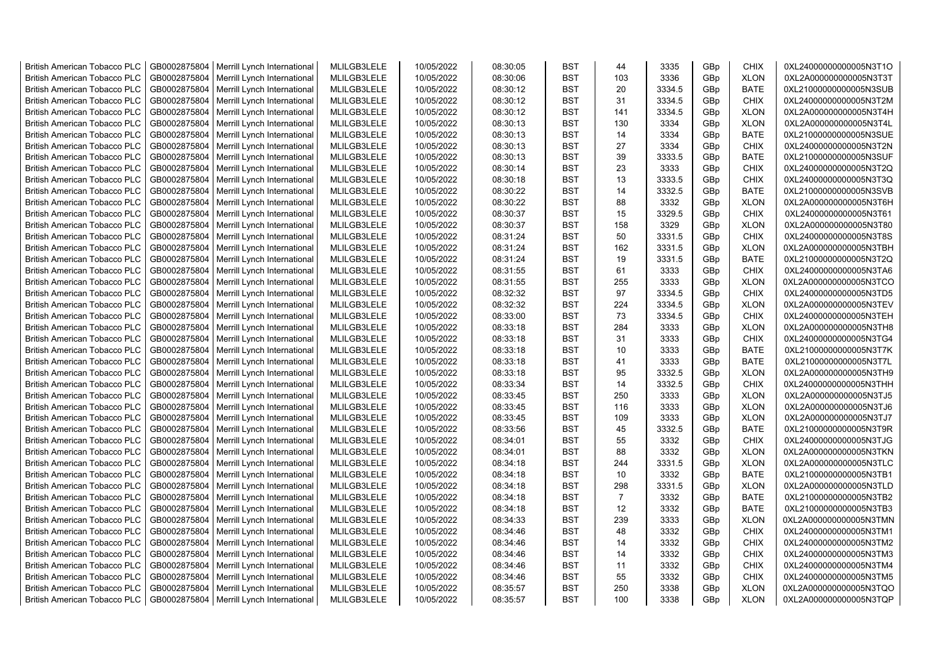| <b>British American Tobacco PLC</b> | GB0002875804 | Merrill Lynch International | MLILGB3LELE | 10/05/2022 | 08:30:05 | <b>BST</b> | 44             | 3335   | GBp             | <b>CHIX</b> | 0XL24000000000005N3T1O |
|-------------------------------------|--------------|-----------------------------|-------------|------------|----------|------------|----------------|--------|-----------------|-------------|------------------------|
| <b>British American Tobacco PLC</b> | GB0002875804 | Merrill Lynch International | MLILGB3LELE | 10/05/2022 | 08:30:06 | <b>BST</b> | 103            | 3336   | GBp             | <b>XLON</b> | 0XL2A000000000005N3T3T |
| <b>British American Tobacco PLC</b> | GB0002875804 | Merrill Lynch International | MLILGB3LELE | 10/05/2022 | 08:30:12 | <b>BST</b> | 20             | 3334.5 | GBp             | <b>BATE</b> | 0XL21000000000005N3SUB |
| <b>British American Tobacco PLC</b> | GB0002875804 | Merrill Lynch International | MLILGB3LELE | 10/05/2022 | 08:30:12 | <b>BST</b> | 31             | 3334.5 | GBp             | <b>CHIX</b> | 0XL24000000000005N3T2M |
| <b>British American Tobacco PLC</b> | GB0002875804 | Merrill Lynch International | MLILGB3LELE | 10/05/2022 | 08:30:12 | <b>BST</b> | 141            | 3334.5 | GBp             | <b>XLON</b> | 0XL2A000000000005N3T4H |
| <b>British American Tobacco PLC</b> | GB0002875804 | Merrill Lynch International | MLILGB3LELE | 10/05/2022 | 08:30:13 | <b>BST</b> | 130            | 3334   | GBp             | <b>XLON</b> | 0XL2A000000000005N3T4L |
| <b>British American Tobacco PLC</b> | GB0002875804 | Merrill Lynch International | MLILGB3LELE | 10/05/2022 | 08:30:13 | <b>BST</b> | 14             | 3334   | GBp             | <b>BATE</b> | 0XL21000000000005N3SUE |
| <b>British American Tobacco PLC</b> | GB0002875804 | Merrill Lynch International | MLILGB3LELE | 10/05/2022 | 08:30:13 | <b>BST</b> | 27             | 3334   | GBp             | <b>CHIX</b> | 0XL24000000000005N3T2N |
| <b>British American Tobacco PLC</b> | GB0002875804 | Merrill Lynch International | MLILGB3LELE | 10/05/2022 | 08:30:13 | <b>BST</b> | 39             | 3333.5 | GBp             | BATE        | 0XL21000000000005N3SUF |
| <b>British American Tobacco PLC</b> | GB0002875804 | Merrill Lynch International | MLILGB3LELE | 10/05/2022 | 08:30:14 | <b>BST</b> | 23             | 3333   | GBp             | <b>CHIX</b> | 0XL24000000000005N3T2Q |
| <b>British American Tobacco PLC</b> | GB0002875804 | Merrill Lynch International | MLILGB3LELE | 10/05/2022 | 08:30:18 | <b>BST</b> | 13             | 3333.5 | GBp             | <b>CHIX</b> | 0XL24000000000005N3T3Q |
| <b>British American Tobacco PLC</b> | GB0002875804 | Merrill Lynch International | MLILGB3LELE | 10/05/2022 | 08:30:22 | <b>BST</b> | 14             | 3332.5 | GBp             | <b>BATE</b> | 0XL21000000000005N3SVB |
| <b>British American Tobacco PLC</b> | GB0002875804 | Merrill Lynch International | MLILGB3LELE | 10/05/2022 | 08:30:22 | <b>BST</b> | 88             | 3332   | GBp             | <b>XLON</b> | 0XL2A000000000005N3T6H |
| <b>British American Tobacco PLC</b> | GB0002875804 | Merrill Lynch International | MLILGB3LELE | 10/05/2022 | 08:30:37 | <b>BST</b> | 15             | 3329.5 | GBp             | <b>CHIX</b> | 0XL24000000000005N3T61 |
| <b>British American Tobacco PLC</b> | GB0002875804 | Merrill Lynch International | MLILGB3LELE | 10/05/2022 | 08:30:37 | <b>BST</b> | 158            | 3329   | GBp             | <b>XLON</b> | 0XL2A000000000005N3T80 |
| <b>British American Tobacco PLC</b> | GB0002875804 | Merrill Lynch International | MLILGB3LELE | 10/05/2022 | 08:31:24 | <b>BST</b> | 50             | 3331.5 | GBp             | <b>CHIX</b> | 0XL24000000000005N3T8S |
| <b>British American Tobacco PLC</b> | GB0002875804 | Merrill Lynch International | MLILGB3LELE | 10/05/2022 | 08:31:24 | <b>BST</b> | 162            | 3331.5 | GBp             | <b>XLON</b> | 0XL2A000000000005N3TBH |
| <b>British American Tobacco PLC</b> | GB0002875804 | Merrill Lynch International | MLILGB3LELE | 10/05/2022 | 08:31:24 | <b>BST</b> | 19             | 3331.5 | GBp             | BATE        | 0XL21000000000005N3T2Q |
| <b>British American Tobacco PLC</b> | GB0002875804 | Merrill Lynch International | MLILGB3LELE | 10/05/2022 | 08:31:55 | <b>BST</b> | 61             | 3333   | GBp             | <b>CHIX</b> | 0XL24000000000005N3TA6 |
| <b>British American Tobacco PLC</b> | GB0002875804 | Merrill Lynch International | MLILGB3LELE | 10/05/2022 | 08:31:55 | <b>BST</b> | 255            | 3333   | GBp             | <b>XLON</b> | 0XL2A000000000005N3TCO |
| <b>British American Tobacco PLC</b> | GB0002875804 | Merrill Lynch International | MLILGB3LELE | 10/05/2022 | 08:32:32 | <b>BST</b> | 97             | 3334.5 | GBp             | <b>CHIX</b> | 0XL24000000000005N3TD5 |
| <b>British American Tobacco PLC</b> | GB0002875804 | Merrill Lynch International | MLILGB3LELE | 10/05/2022 | 08:32:32 | <b>BST</b> | 224            | 3334.5 | GBp             | <b>XLON</b> | 0XL2A000000000005N3TEV |
| <b>British American Tobacco PLC</b> | GB0002875804 | Merrill Lynch International | MLILGB3LELE | 10/05/2022 | 08:33:00 | <b>BST</b> | 73             | 3334.5 | GBp             | <b>CHIX</b> | 0XL24000000000005N3TEH |
| <b>British American Tobacco PLC</b> | GB0002875804 | Merrill Lynch International | MLILGB3LELE | 10/05/2022 | 08:33:18 | <b>BST</b> | 284            | 3333   | GBp             | <b>XLON</b> | 0XL2A000000000005N3TH8 |
| <b>British American Tobacco PLC</b> | GB0002875804 | Merrill Lynch International | MLILGB3LELE | 10/05/2022 | 08:33:18 | <b>BST</b> | 31             | 3333   | GBp             | <b>CHIX</b> | 0XL24000000000005N3TG4 |
| <b>British American Tobacco PLC</b> | GB0002875804 | Merrill Lynch International | MLILGB3LELE | 10/05/2022 | 08:33:18 | <b>BST</b> | 10             | 3333   | GBp             | BATE        | 0XL21000000000005N3T7K |
| <b>British American Tobacco PLC</b> | GB0002875804 | Merrill Lynch International | MLILGB3LELE | 10/05/2022 | 08:33:18 | <b>BST</b> | 41             | 3333   | GBp             | <b>BATE</b> | 0XL21000000000005N3T7L |
| <b>British American Tobacco PLC</b> | GB0002875804 | Merrill Lynch International | MLILGB3LELE | 10/05/2022 | 08:33:18 | <b>BST</b> | 95             | 3332.5 | GBp             | <b>XLON</b> | 0XL2A000000000005N3TH9 |
| <b>British American Tobacco PLC</b> | GB0002875804 | Merrill Lynch International | MLILGB3LELE | 10/05/2022 | 08:33:34 | <b>BST</b> | 14             | 3332.5 | GBp             | <b>CHIX</b> | 0XL24000000000005N3THH |
| <b>British American Tobacco PLC</b> | GB0002875804 | Merrill Lynch International | MLILGB3LELE | 10/05/2022 | 08:33:45 | <b>BST</b> | 250            | 3333   | GBp             | <b>XLON</b> | 0XL2A000000000005N3TJ5 |
| <b>British American Tobacco PLC</b> | GB0002875804 | Merrill Lynch International | MLILGB3LELE | 10/05/2022 | 08:33:45 | <b>BST</b> | 116            | 3333   | GBp             | <b>XLON</b> | 0XL2A000000000005N3TJ6 |
| <b>British American Tobacco PLC</b> | GB0002875804 | Merrill Lynch International | MLILGB3LELE | 10/05/2022 | 08:33:45 | <b>BST</b> | 109            | 3333   | GBp             | <b>XLON</b> | 0XL2A000000000005N3TJ7 |
| <b>British American Tobacco PLC</b> | GB0002875804 | Merrill Lynch International | MLILGB3LELE | 10/05/2022 | 08:33:56 | BST        | 45             | 3332.5 | GBp             | <b>BATE</b> | 0XL21000000000005N3T9R |
| <b>British American Tobacco PLC</b> | GB0002875804 | Merrill Lynch International | MLILGB3LELE | 10/05/2022 | 08:34:01 | <b>BST</b> | 55             | 3332   | GBp             | <b>CHIX</b> | 0XL24000000000005N3TJG |
| <b>British American Tobacco PLC</b> | GB0002875804 | Merrill Lynch International | MLILGB3LELE | 10/05/2022 | 08:34:01 | <b>BST</b> | 88             | 3332   | GBp             | <b>XLON</b> | 0XL2A000000000005N3TKN |
| <b>British American Tobacco PLC</b> | GB0002875804 | Merrill Lynch International | MLILGB3LELE | 10/05/2022 | 08:34:18 | <b>BST</b> | 244            | 3331.5 | GBp             | <b>XLON</b> | 0XL2A000000000005N3TLC |
| <b>British American Tobacco PLC</b> | GB0002875804 | Merrill Lynch International | MLILGB3LELE | 10/05/2022 | 08:34:18 | <b>BST</b> | 10             | 3332   | GBp             | <b>BATE</b> | 0XL21000000000005N3TB1 |
| <b>British American Tobacco PLC</b> | GB0002875804 | Merrill Lynch International | MLILGB3LELE | 10/05/2022 | 08:34:18 | <b>BST</b> | 298            | 3331.5 | GBp             | <b>XLON</b> | 0XL2A000000000005N3TLD |
| <b>British American Tobacco PLC</b> | GB0002875804 | Merrill Lynch International | MLILGB3LELE | 10/05/2022 | 08:34:18 | <b>BST</b> | $\overline{7}$ | 3332   | GBp             | <b>BATE</b> | 0XL21000000000005N3TB2 |
| <b>British American Tobacco PLC</b> | GB0002875804 | Merrill Lynch International | MLILGB3LELE | 10/05/2022 | 08:34:18 | <b>BST</b> | 12             | 3332   | GBp             | <b>BATE</b> | 0XL21000000000005N3TB3 |
| <b>British American Tobacco PLC</b> | GB0002875804 | Merrill Lynch International | MLILGB3LELE | 10/05/2022 | 08:34:33 | <b>BST</b> | 239            | 3333   | GBp             | <b>XLON</b> | 0XL2A000000000005N3TMN |
| <b>British American Tobacco PLC</b> | GB0002875804 | Merrill Lynch International | MLILGB3LELE | 10/05/2022 | 08:34:46 | <b>BST</b> | 48             | 3332   | GBp             | <b>CHIX</b> | 0XL24000000000005N3TM1 |
| <b>British American Tobacco PLC</b> | GB0002875804 | Merrill Lynch International | MLILGB3LELE | 10/05/2022 | 08:34:46 | <b>BST</b> | 14             | 3332   | GBp             | <b>CHIX</b> | 0XL24000000000005N3TM2 |
| <b>British American Tobacco PLC</b> | GB0002875804 | Merrill Lynch International | MLILGB3LELE | 10/05/2022 | 08:34:46 | <b>BST</b> | 14             | 3332   | GBp             | <b>CHIX</b> | 0XL24000000000005N3TM3 |
| <b>British American Tobacco PLC</b> | GB0002875804 | Merrill Lynch International | MLILGB3LELE | 10/05/2022 | 08:34:46 | <b>BST</b> | 11             | 3332   | GBp             | <b>CHIX</b> | 0XL24000000000005N3TM4 |
| <b>British American Tobacco PLC</b> | GB0002875804 | Merrill Lynch International | MLILGB3LELE | 10/05/2022 | 08:34:46 | <b>BST</b> | 55             | 3332   | GBp             | <b>CHIX</b> | 0XL24000000000005N3TM5 |
| <b>British American Tobacco PLC</b> | GB0002875804 | Merrill Lynch International | MLILGB3LELE | 10/05/2022 | 08:35:57 | <b>BST</b> | 250            | 3338   | GBp             | <b>XLON</b> | 0XL2A000000000005N3TQO |
| <b>British American Tobacco PLC</b> | GB0002875804 | Merrill Lynch International | MLILGB3LELE | 10/05/2022 | 08:35:57 | <b>BST</b> | 100            | 3338   | GB <sub>p</sub> | <b>XLON</b> | 0XL2A000000000005N3TQP |
|                                     |              |                             |             |            |          |            |                |        |                 |             |                        |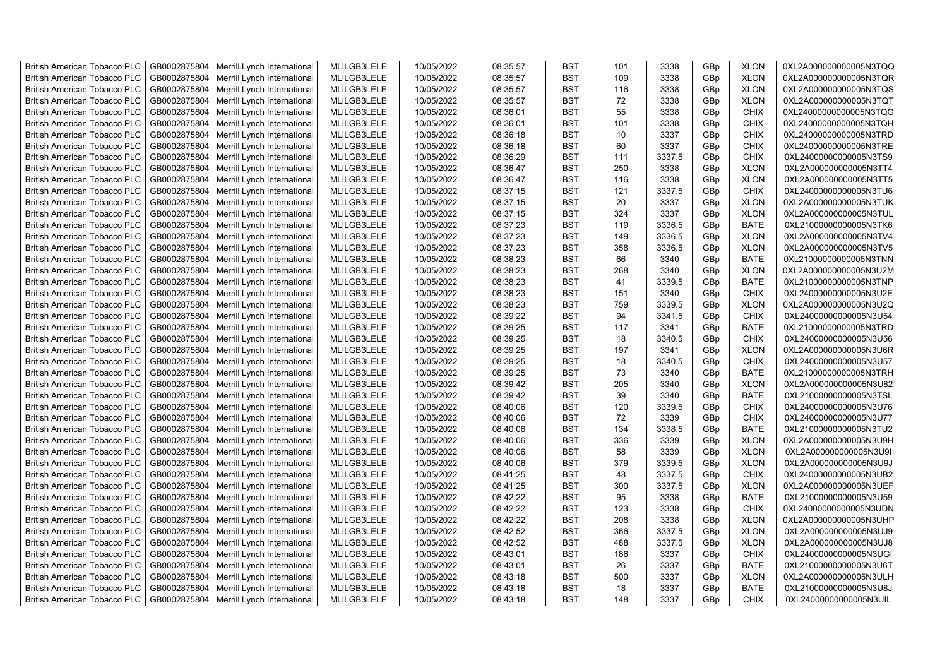| <b>British American Tobacco PLC</b>                                        | GB0002875804                 | Merrill Lynch International | MLILGB3LELE                | 10/05/2022 | 08:35:57 | <b>BST</b>               | 101        | 3338         | GBp             | <b>XLON</b>                | 0XL2A000000000005N3TQQ                           |
|----------------------------------------------------------------------------|------------------------------|-----------------------------|----------------------------|------------|----------|--------------------------|------------|--------------|-----------------|----------------------------|--------------------------------------------------|
| <b>British American Tobacco PLC</b>                                        | GB0002875804                 | Merrill Lynch International | MLILGB3LELE                | 10/05/2022 | 08:35:57 | <b>BST</b>               | 109        | 3338         | GBp             | <b>XLON</b>                | 0XL2A000000000005N3TQR                           |
| <b>British American Tobacco PLC</b>                                        | GB0002875804                 | Merrill Lynch International | MLILGB3LELE                | 10/05/2022 | 08:35:57 | <b>BST</b>               | 116        | 3338         | GBp             | <b>XLON</b>                | 0XL2A000000000005N3TQS                           |
| <b>British American Tobacco PLC</b>                                        | GB0002875804                 | Merrill Lynch International | MLILGB3LELE                | 10/05/2022 | 08:35:57 | <b>BST</b>               | 72         | 3338         | GBp             | <b>XLON</b>                | 0XL2A000000000005N3TQT                           |
| <b>British American Tobacco PLC</b>                                        | GB0002875804                 | Merrill Lynch International | MLILGB3LELE                | 10/05/2022 | 08:36:01 | <b>BST</b>               | 55         | 3338         | GB <sub>p</sub> | <b>CHIX</b>                | 0XL24000000000005N3TQG                           |
| <b>British American Tobacco PLC</b>                                        | GB0002875804                 | Merrill Lynch International | MLILGB3LELE                | 10/05/2022 | 08:36:01 | <b>BST</b>               | 101        | 3338         | GBp             | <b>CHIX</b>                | 0XL24000000000005N3TQH                           |
| <b>British American Tobacco PLC</b>                                        | GB0002875804                 | Merrill Lynch International | MLILGB3LELE                | 10/05/2022 | 08:36:18 | <b>BST</b>               | 10         | 3337         | GBp             | <b>CHIX</b>                | 0XL24000000000005N3TRD                           |
| <b>British American Tobacco PLC</b>                                        | GB0002875804                 | Merrill Lynch International | MLILGB3LELE                | 10/05/2022 | 08:36:18 | <b>BST</b>               | 60         | 3337         | GBp             | <b>CHIX</b>                | 0XL24000000000005N3TRE                           |
| <b>British American Tobacco PLC</b>                                        | GB0002875804                 | Merrill Lynch International | MLILGB3LELE                | 10/05/2022 | 08:36:29 | <b>BST</b>               | 111        | 3337.5       | GBp             | <b>CHIX</b>                | 0XL24000000000005N3TS9                           |
| <b>British American Tobacco PLC</b>                                        | GB0002875804                 | Merrill Lynch International | MLILGB3LELE                | 10/05/2022 | 08:36:47 | <b>BST</b>               | 250        | 3338         | GBp             | <b>XLON</b>                | 0XL2A000000000005N3TT4                           |
| <b>British American Tobacco PLC</b>                                        | GB0002875804                 | Merrill Lynch International | MLILGB3LELE                | 10/05/2022 | 08:36:47 | <b>BST</b>               | 116        | 3338         | GBp             | <b>XLON</b>                | 0XL2A000000000005N3TT5                           |
| <b>British American Tobacco PLC</b>                                        | GB0002875804                 | Merrill Lynch International | MLILGB3LELE                | 10/05/2022 | 08:37:15 | <b>BST</b>               | 121        | 3337.5       | GBp             | CHIX                       | 0XL24000000000005N3TU6                           |
| <b>British American Tobacco PLC</b>                                        | GB0002875804                 | Merrill Lynch International | MLILGB3LELE                | 10/05/2022 | 08:37:15 | <b>BST</b>               | 20         | 3337         | GBp             | <b>XLON</b>                | 0XL2A000000000005N3TUK                           |
| <b>British American Tobacco PLC</b>                                        | GB0002875804                 | Merrill Lynch International | MLILGB3LELE                | 10/05/2022 | 08:37:15 | <b>BST</b>               | 324        | 3337         | GBp             | <b>XLON</b>                | 0XL2A000000000005N3TUL                           |
| <b>British American Tobacco PLC</b>                                        | GB0002875804                 | Merrill Lynch International | MLILGB3LELE                | 10/05/2022 | 08:37:23 | <b>BST</b>               | 119        | 3336.5       | GBp             | <b>BATE</b>                | 0XL21000000000005N3TK6                           |
| <b>British American Tobacco PLC</b>                                        | GB0002875804                 | Merrill Lynch International | MLILGB3LELE                | 10/05/2022 | 08:37:23 | <b>BST</b>               | 149        | 3336.5       | GBp             | <b>XLON</b>                | 0XL2A000000000005N3TV4                           |
| <b>British American Tobacco PLC</b>                                        | GB0002875804                 | Merrill Lynch International | MLILGB3LELE                | 10/05/2022 | 08:37:23 | <b>BST</b>               | 358        | 3336.5       | GBp             | <b>XLON</b>                | 0XL2A000000000005N3TV5                           |
| <b>British American Tobacco PLC</b>                                        | GB0002875804                 | Merrill Lynch International | MLILGB3LELE                | 10/05/2022 | 08:38:23 | <b>BST</b>               | 66         | 3340         | GBp             | <b>BATE</b>                | 0XL21000000000005N3TNN                           |
| <b>British American Tobacco PLC</b>                                        | GB0002875804                 | Merrill Lynch International | MLILGB3LELE                | 10/05/2022 | 08:38:23 | <b>BST</b>               | 268        | 3340         | GBp             | <b>XLON</b>                | 0XL2A000000000005N3U2M                           |
| <b>British American Tobacco PLC</b>                                        | GB0002875804                 | Merrill Lynch International | MLILGB3LELE                | 10/05/2022 | 08:38:23 | <b>BST</b>               | 41         | 3339.5       | GBp             | <b>BATE</b>                | 0XL21000000000005N3TNP                           |
| <b>British American Tobacco PLC</b>                                        | GB0002875804                 | Merrill Lynch International | MLILGB3LELE                | 10/05/2022 | 08:38:23 | <b>BST</b>               | 151        | 3340         | GBp             | <b>CHIX</b>                | 0XL24000000000005N3U2E                           |
| <b>British American Tobacco PLC</b>                                        | GB0002875804                 | Merrill Lynch International | MLILGB3LELE                | 10/05/2022 | 08:38:23 | <b>BST</b>               | 759        | 3339.5       | GB <sub>p</sub> | <b>XLON</b>                | 0XL2A000000000005N3U2Q                           |
| <b>British American Tobacco PLC</b>                                        | GB0002875804                 | Merrill Lynch International | MLILGB3LELE                | 10/05/2022 | 08:39:22 | <b>BST</b>               | 94         | 3341.5       | GBp             | <b>CHIX</b>                | 0XL24000000000005N3U54                           |
| <b>British American Tobacco PLC</b>                                        | GB0002875804                 | Merrill Lynch International | MLILGB3LELE                | 10/05/2022 | 08:39:25 | <b>BST</b>               | 117        | 3341         | GBp             | <b>BATE</b>                | 0XL21000000000005N3TRD                           |
| <b>British American Tobacco PLC</b>                                        | GB0002875804                 | Merrill Lynch International | MLILGB3LELE                | 10/05/2022 | 08:39:25 | <b>BST</b>               | 18         | 3340.5       | GBp             | <b>CHIX</b>                | 0XL24000000000005N3U56                           |
| <b>British American Tobacco PLC</b>                                        | GB0002875804                 | Merrill Lynch International | MLILGB3LELE                | 10/05/2022 | 08:39:25 | <b>BST</b>               | 197        | 3341         | GBp             | <b>XLON</b>                | 0XL2A000000000005N3U6R                           |
| <b>British American Tobacco PLC</b>                                        | GB0002875804                 | Merrill Lynch International | MLILGB3LELE                | 10/05/2022 | 08:39:25 | <b>BST</b>               | 18         | 3340.5       | GBp             | <b>CHIX</b>                | 0XL24000000000005N3U57                           |
| <b>British American Tobacco PLC</b>                                        | GB0002875804                 | Merrill Lynch International | MLILGB3LELE                | 10/05/2022 | 08:39:25 | <b>BST</b>               | 73         | 3340         | GBp             | <b>BATE</b>                | 0XL21000000000005N3TRH                           |
| <b>British American Tobacco PLC</b>                                        | GB0002875804                 | Merrill Lynch International | MLILGB3LELE                | 10/05/2022 | 08:39:42 | <b>BST</b>               | 205        | 3340         | GBp             | <b>XLON</b>                | 0XL2A000000000005N3U82                           |
| <b>British American Tobacco PLC</b>                                        | GB0002875804                 | Merrill Lynch International | MLILGB3LELE                | 10/05/2022 | 08:39:42 | <b>BST</b>               | 39         | 3340         | GBp             | <b>BATE</b>                | 0XL21000000000005N3TSL                           |
| <b>British American Tobacco PLC</b>                                        | GB0002875804                 | Merrill Lynch International | MLILGB3LELE                | 10/05/2022 | 08:40:06 | <b>BST</b>               | 120        | 3339.5       | GBp             | <b>CHIX</b>                | 0XL24000000000005N3U76                           |
| <b>British American Tobacco PLC</b>                                        | GB0002875804                 | Merrill Lynch International | MLILGB3LELE                | 10/05/2022 | 08:40:06 | <b>BST</b>               | 72         | 3339         | GBp             | <b>CHIX</b>                | 0XL24000000000005N3U77                           |
| <b>British American Tobacco PLC</b>                                        | GB0002875804                 | Merrill Lynch International | MLILGB3LELE                | 10/05/2022 | 08:40:06 | <b>BST</b>               | 134        | 3338.5       | GBp             | <b>BATE</b>                | 0XL21000000000005N3TU2                           |
| <b>British American Tobacco PLC</b>                                        | GB0002875804                 | Merrill Lynch International | MLILGB3LELE                | 10/05/2022 | 08:40:06 | <b>BST</b>               | 336        | 3339         | GBp             | <b>XLON</b>                | 0XL2A000000000005N3U9H                           |
| <b>British American Tobacco PLC</b>                                        | GB0002875804                 | Merrill Lynch International | MLILGB3LELE                | 10/05/2022 | 08:40:06 | <b>BST</b>               | 58         | 3339         | GBp             | <b>XLON</b>                | 0XL2A000000000005N3U9I                           |
| <b>British American Tobacco PLC</b>                                        | GB0002875804                 | Merrill Lynch International | MLILGB3LELE                | 10/05/2022 | 08:40:06 | <b>BST</b>               | 379        | 3339.5       | GBp             | <b>XLON</b>                | 0XL2A000000000005N3U9J                           |
| <b>British American Tobacco PLC</b>                                        | GB0002875804                 | Merrill Lynch International | MLILGB3LELE                | 10/05/2022 | 08:41:25 | <b>BST</b>               | 48         | 3337.5       | GBp             | CHIX                       | 0XL24000000000005N3UB2                           |
| <b>British American Tobacco PLC</b>                                        | GB0002875804                 | Merrill Lynch International | MLILGB3LELE                | 10/05/2022 | 08:41:25 | <b>BST</b>               | 300        | 3337.5       | GBp             | <b>XLON</b>                | 0XL2A000000000005N3UEF                           |
| <b>British American Tobacco PLC</b>                                        | GB0002875804                 | Merrill Lynch International | MLILGB3LELE                | 10/05/2022 | 08:42:22 | <b>BST</b>               | 95         | 3338         | GB <sub>p</sub> | <b>BATE</b>                | 0XL21000000000005N3U59                           |
| <b>British American Tobacco PLC</b>                                        | GB0002875804                 | Merrill Lynch International | MLILGB3LELE                | 10/05/2022 | 08:42:22 | <b>BST</b>               | 123        | 3338         | GBp             | <b>CHIX</b>                | 0XL24000000000005N3UDN                           |
| <b>British American Tobacco PLC</b>                                        | GB0002875804                 | Merrill Lynch International | MLILGB3LELE                | 10/05/2022 | 08:42:22 | <b>BST</b>               | 208        | 3338         | GBp             | <b>XLON</b>                | 0XL2A000000000005N3UHP                           |
| <b>British American Tobacco PLC</b>                                        | GB0002875804                 | Merrill Lynch International | MLILGB3LELE                | 10/05/2022 | 08:42:52 | <b>BST</b>               | 366        | 3337.5       | GBp             | <b>XLON</b>                | 0XL2A000000000005N3UJ9                           |
|                                                                            |                              |                             |                            |            |          |                          |            |              |                 |                            |                                                  |
| <b>British American Tobacco PLC</b>                                        | GB0002875804                 | Merrill Lynch International | MLILGB3LELE                | 10/05/2022 | 08:42:52 | <b>BST</b><br><b>BST</b> | 488<br>186 | 3337.5       | GBp             | <b>XLON</b>                | 0XL2A000000000005N3UJ8                           |
| <b>British American Tobacco PLC</b>                                        | GB0002875804<br>GB0002875804 | Merrill Lynch International | MLILGB3LELE<br>MLILGB3LELE | 10/05/2022 | 08:43:01 | <b>BST</b>               | 26         | 3337<br>3337 | GBp             | <b>CHIX</b><br><b>BATE</b> | 0XL24000000000005N3UGI<br>0XL21000000000005N3U6T |
| <b>British American Tobacco PLC</b><br><b>British American Tobacco PLC</b> |                              | Merrill Lynch International | MLILGB3LELE                | 10/05/2022 | 08:43:01 | <b>BST</b>               | 500        | 3337         | GBp             | <b>XLON</b>                | 0XL2A000000000005N3ULH                           |
|                                                                            | GB0002875804                 | Merrill Lynch International | MLILGB3LELE                | 10/05/2022 | 08:43:18 |                          | 18         |              | GBp             |                            |                                                  |
| <b>British American Tobacco PLC</b>                                        | GB0002875804                 | Merrill Lynch International | MLILGB3LELE                | 10/05/2022 | 08:43:18 | <b>BST</b><br><b>BST</b> |            | 3337<br>3337 | GBp<br>GBp      | <b>BATE</b><br><b>CHIX</b> | 0XL21000000000005N3U8J                           |
| <b>British American Tobacco PLC</b>                                        | GB0002875804                 | Merrill Lynch International |                            | 10/05/2022 | 08:43:18 |                          | 148        |              |                 |                            | 0XL24000000000005N3UIL                           |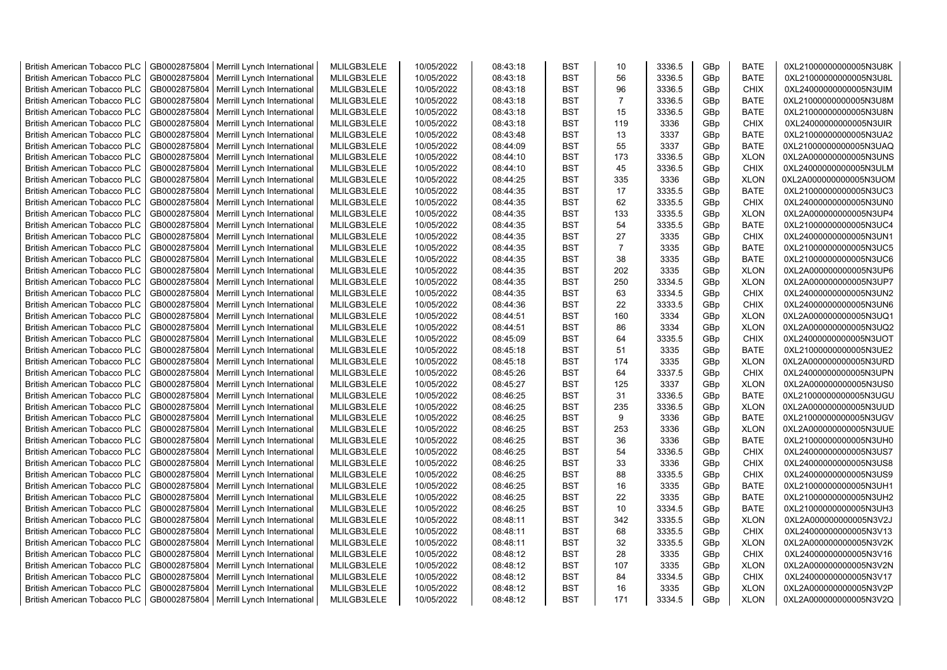| <b>British American Tobacco PLC</b> | GB0002875804 | Merrill Lynch International | MLILGB3LELE | 10/05/2022 | 08:43:18 | <b>BST</b> | 10             | 3336.5 | GBp             | <b>BATE</b> | 0XL21000000000005N3U8K |
|-------------------------------------|--------------|-----------------------------|-------------|------------|----------|------------|----------------|--------|-----------------|-------------|------------------------|
| <b>British American Tobacco PLC</b> | GB0002875804 | Merrill Lynch International | MLILGB3LELE | 10/05/2022 | 08:43:18 | <b>BST</b> | 56             | 3336.5 | GBp             | <b>BATE</b> | 0XL21000000000005N3U8L |
| <b>British American Tobacco PLC</b> | GB0002875804 | Merrill Lynch International | MLILGB3LELE | 10/05/2022 | 08:43:18 | <b>BST</b> | 96             | 3336.5 | GBp             | <b>CHIX</b> | 0XL24000000000005N3UIM |
| <b>British American Tobacco PLC</b> | GB0002875804 | Merrill Lynch International | MLILGB3LELE | 10/05/2022 | 08:43:18 | <b>BST</b> | $\overline{7}$ | 3336.5 | GBp             | <b>BATE</b> | 0XL21000000000005N3U8M |
| <b>British American Tobacco PLC</b> | GB0002875804 | Merrill Lynch International | MLILGB3LELE | 10/05/2022 | 08:43:18 | <b>BST</b> | 15             | 3336.5 | GBp             | <b>BATE</b> | 0XL21000000000005N3U8N |
| <b>British American Tobacco PLC</b> | GB0002875804 | Merrill Lynch International | MLILGB3LELE | 10/05/2022 | 08:43:18 | <b>BST</b> | 119            | 3336   | GBp             | <b>CHIX</b> | 0XL24000000000005N3UIR |
| <b>British American Tobacco PLC</b> | GB0002875804 | Merrill Lynch International | MLILGB3LELE | 10/05/2022 | 08:43:48 | <b>BST</b> | 13             | 3337   | GBp             | <b>BATE</b> | 0XL21000000000005N3UA2 |
| <b>British American Tobacco PLC</b> | GB0002875804 | Merrill Lynch International | MLILGB3LELE | 10/05/2022 | 08:44:09 | <b>BST</b> | 55             | 3337   | GBp             | <b>BATE</b> | 0XL21000000000005N3UAQ |
| <b>British American Tobacco PLC</b> | GB0002875804 | Merrill Lynch International | MLILGB3LELE | 10/05/2022 | 08:44:10 | <b>BST</b> | 173            | 3336.5 | GBp             | <b>XLON</b> | 0XL2A000000000005N3UNS |
| <b>British American Tobacco PLC</b> | GB0002875804 | Merrill Lynch International | MLILGB3LELE | 10/05/2022 | 08:44:10 | <b>BST</b> | 45             | 3336.5 | GBp             | <b>CHIX</b> | 0XL24000000000005N3ULM |
| British American Tobacco PLC        | GB0002875804 | Merrill Lynch International | MLILGB3LELE | 10/05/2022 | 08:44:25 | <b>BST</b> | 335            | 3336   | GBp             | <b>XLON</b> | 0XL2A000000000005N3UOM |
| <b>British American Tobacco PLC</b> | GB0002875804 | Merrill Lynch International | MLILGB3LELE | 10/05/2022 | 08:44:35 | <b>BST</b> | 17             | 3335.5 | GBp             | <b>BATE</b> | 0XL21000000000005N3UC3 |
| <b>British American Tobacco PLC</b> | GB0002875804 | Merrill Lynch International | MLILGB3LELE | 10/05/2022 | 08:44:35 | <b>BST</b> | 62             | 3335.5 | GBp             | <b>CHIX</b> | 0XL24000000000005N3UN0 |
| <b>British American Tobacco PLC</b> | GB0002875804 | Merrill Lynch International | MLILGB3LELE | 10/05/2022 | 08:44:35 | <b>BST</b> | 133            | 3335.5 | GBp             | <b>XLON</b> | 0XL2A000000000005N3UP4 |
| <b>British American Tobacco PLC</b> | GB0002875804 | Merrill Lynch International | MLILGB3LELE | 10/05/2022 | 08:44:35 | <b>BST</b> | 54             | 3335.5 | GBp             | <b>BATE</b> | 0XL21000000000005N3UC4 |
| <b>British American Tobacco PLC</b> | GB0002875804 | Merrill Lynch International | MLILGB3LELE | 10/05/2022 | 08:44:35 | <b>BST</b> | 27             | 3335   | GBp             | <b>CHIX</b> | 0XL24000000000005N3UN1 |
| <b>British American Tobacco PLC</b> | GB0002875804 | Merrill Lynch International | MLILGB3LELE | 10/05/2022 | 08:44:35 | <b>BST</b> | $\overline{7}$ | 3335   | GBp             | <b>BATE</b> | 0XL21000000000005N3UC5 |
| <b>British American Tobacco PLC</b> | GB0002875804 | Merrill Lynch International | MLILGB3LELE | 10/05/2022 | 08:44:35 | <b>BST</b> | 38             | 3335   | GBp             | <b>BATE</b> | 0XL21000000000005N3UC6 |
| <b>British American Tobacco PLC</b> | GB0002875804 | Merrill Lynch International | MLILGB3LELE | 10/05/2022 | 08:44:35 | <b>BST</b> | 202            | 3335   | GBp             | <b>XLON</b> | 0XL2A000000000005N3UP6 |
| <b>British American Tobacco PLC</b> | GB0002875804 | Merrill Lynch International | MLILGB3LELE | 10/05/2022 | 08:44:35 | <b>BST</b> | 250            | 3334.5 | GBp             | <b>XLON</b> | 0XL2A000000000005N3UP7 |
| <b>British American Tobacco PLC</b> | GB0002875804 | Merrill Lynch International | MLILGB3LELE | 10/05/2022 | 08:44:35 | <b>BST</b> | 63             | 3334.5 | GBp             | <b>CHIX</b> | 0XL24000000000005N3UN2 |
| <b>British American Tobacco PLC</b> | GB0002875804 | Merrill Lynch International | MLILGB3LELE | 10/05/2022 | 08:44:36 | <b>BST</b> | 22             | 3333.5 | GBp             | <b>CHIX</b> | 0XL24000000000005N3UN6 |
| <b>British American Tobacco PLC</b> | GB0002875804 | Merrill Lynch International | MLILGB3LELE | 10/05/2022 | 08:44:51 | <b>BST</b> | 160            | 3334   | GBp             | <b>XLON</b> | 0XL2A000000000005N3UQ1 |
| <b>British American Tobacco PLC</b> | GB0002875804 | Merrill Lynch International | MLILGB3LELE | 10/05/2022 | 08:44:51 | <b>BST</b> | 86             | 3334   | GBp             | <b>XLON</b> | 0XL2A000000000005N3UQ2 |
| <b>British American Tobacco PLC</b> | GB0002875804 | Merrill Lynch International | MLILGB3LELE | 10/05/2022 | 08:45:09 | <b>BST</b> | 64             | 3335.5 | GBp             | <b>CHIX</b> | 0XL24000000000005N3UOT |
| British American Tobacco PLC        | GB0002875804 | Merrill Lynch International | MLILGB3LELE | 10/05/2022 | 08:45:18 | <b>BST</b> | 51             | 3335   | GBp             | <b>BATE</b> | 0XL21000000000005N3UE2 |
| British American Tobacco PLC        | GB0002875804 | Merrill Lynch International | MLILGB3LELE | 10/05/2022 | 08:45:18 | <b>BST</b> | 174            | 3335   | GBp             | <b>XLON</b> | 0XL2A000000000005N3URD |
| British American Tobacco PLC        | GB0002875804 | Merrill Lynch International | MLILGB3LELE | 10/05/2022 | 08:45:26 | <b>BST</b> | 64             | 3337.5 | GBp             | CHIX        | 0XL24000000000005N3UPN |
| <b>British American Tobacco PLC</b> | GB0002875804 | Merrill Lynch International | MLILGB3LELE | 10/05/2022 | 08:45:27 | <b>BST</b> | 125            | 3337   | GBp             | <b>XLON</b> | 0XL2A000000000005N3US0 |
| <b>British American Tobacco PLC</b> | GB0002875804 | Merrill Lynch International | MLILGB3LELE | 10/05/2022 | 08:46:25 | <b>BST</b> | 31             | 3336.5 | GBp             | <b>BATE</b> | 0XL21000000000005N3UGU |
| <b>British American Tobacco PLC</b> | GB0002875804 | Merrill Lynch International | MLILGB3LELE | 10/05/2022 | 08:46:25 | <b>BST</b> | 235            | 3336.5 | GBp             | <b>XLON</b> | 0XL2A000000000005N3UUD |
| <b>British American Tobacco PLC</b> | GB0002875804 | Merrill Lynch International | MLILGB3LELE | 10/05/2022 | 08:46:25 | <b>BST</b> | 9              | 3336   | GBp             | <b>BATE</b> | 0XL21000000000005N3UGV |
| <b>British American Tobacco PLC</b> | GB0002875804 | Merrill Lynch International | MLILGB3LELE | 10/05/2022 | 08:46:25 | <b>BST</b> | 253            | 3336   | GBp             | <b>XLON</b> | 0XL2A000000000005N3UUE |
| <b>British American Tobacco PLC</b> | GB0002875804 | Merrill Lynch International | MLILGB3LELE | 10/05/2022 | 08:46:25 | <b>BST</b> | 36             | 3336   | GBp             | <b>BATE</b> | 0XL21000000000005N3UH0 |
| <b>British American Tobacco PLC</b> | GB0002875804 | Merrill Lynch International | MLILGB3LELE | 10/05/2022 | 08:46:25 | <b>BST</b> | 54             | 3336.5 | GBp             | <b>CHIX</b> | 0XL24000000000005N3US7 |
| <b>British American Tobacco PLC</b> | GB0002875804 | Merrill Lynch International | MLILGB3LELE | 10/05/2022 | 08:46:25 | <b>BST</b> | 33             | 3336   | GBp             | <b>CHIX</b> | 0XL24000000000005N3US8 |
| British American Tobacco PLC        | GB0002875804 | Merrill Lynch International | MLILGB3LELE | 10/05/2022 | 08:46:25 | <b>BST</b> | 88             | 3335.5 | GBp             | <b>CHIX</b> | 0XL24000000000005N3US9 |
| <b>British American Tobacco PLC</b> | GB0002875804 | Merrill Lynch International | MLILGB3LELE | 10/05/2022 | 08:46:25 | <b>BST</b> | 16             | 3335   | GBp             | <b>BATE</b> | 0XL21000000000005N3UH1 |
| <b>British American Tobacco PLC</b> | GB0002875804 | Merrill Lynch International | MLILGB3LELE | 10/05/2022 | 08:46:25 | <b>BST</b> | 22             | 3335   | GBp             | <b>BATE</b> | 0XL21000000000005N3UH2 |
| <b>British American Tobacco PLC</b> | GB0002875804 | Merrill Lynch International | MLILGB3LELE | 10/05/2022 | 08:46:25 | <b>BST</b> | 10             | 3334.5 | GBp             | <b>BATE</b> | 0XL21000000000005N3UH3 |
| British American Tobacco PLC        | GB0002875804 | Merrill Lynch International | MLILGB3LELE | 10/05/2022 | 08:48:11 | <b>BST</b> | 342            | 3335.5 | GBp             | <b>XLON</b> | 0XL2A000000000005N3V2J |
| <b>British American Tobacco PLC</b> | GB0002875804 | Merrill Lynch International | MLILGB3LELE | 10/05/2022 | 08:48:11 | <b>BST</b> | 68             | 3335.5 | GBp             | <b>CHIX</b> | 0XL24000000000005N3V13 |
| <b>British American Tobacco PLC</b> | GB0002875804 | Merrill Lynch International | MLILGB3LELE | 10/05/2022 | 08:48:11 | <b>BST</b> | 32             | 3335.5 | GBp             | <b>XLON</b> | 0XL2A000000000005N3V2K |
| British American Tobacco PLC        | GB0002875804 | Merrill Lynch International | MLILGB3LELE | 10/05/2022 | 08:48:12 | <b>BST</b> | 28             | 3335   | GBp             | <b>CHIX</b> | 0XL24000000000005N3V16 |
| <b>British American Tobacco PLC</b> | GB0002875804 | Merrill Lynch International | MLILGB3LELE | 10/05/2022 | 08:48:12 | <b>BST</b> | 107            | 3335   | GBp             | <b>XLON</b> | 0XL2A000000000005N3V2N |
| <b>British American Tobacco PLC</b> | GB0002875804 | Merrill Lynch International | MLILGB3LELE | 10/05/2022 | 08:48:12 | <b>BST</b> | 84             | 3334.5 | GBp             | <b>CHIX</b> | 0XL24000000000005N3V17 |
| <b>British American Tobacco PLC</b> | GB0002875804 | Merrill Lynch International | MLILGB3LELE | 10/05/2022 | 08:48:12 | <b>BST</b> | 16             | 3335   | GBp             | <b>XLON</b> | 0XL2A000000000005N3V2P |
| <b>British American Tobacco PLC</b> | GB0002875804 | Merrill Lynch International | MLILGB3LELE | 10/05/2022 | 08:48:12 | <b>BST</b> | 171            | 3334.5 | GB <sub>p</sub> | <b>XLON</b> | 0XL2A000000000005N3V2Q |
|                                     |              |                             |             |            |          |            |                |        |                 |             |                        |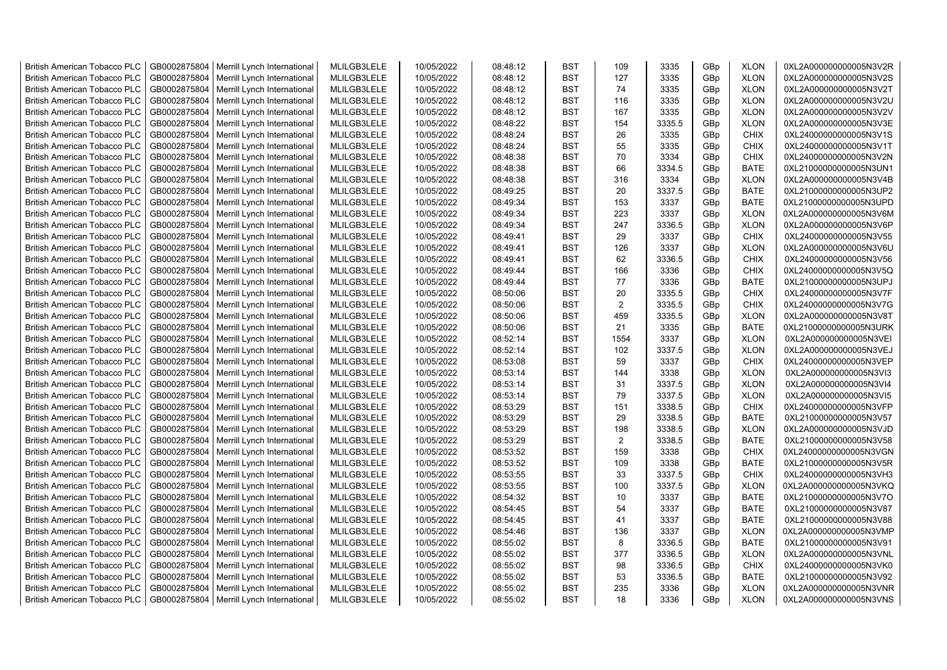| <b>British American Tobacco PLC</b> | GB0002875804                 | Merrill Lynch International | MLILGB3LELE                | 10/05/2022 | 08:48:12 | <b>BST</b>               | 109  | 3335   | GBp             | <b>XLON</b>                | 0XL2A000000000005N3V2R |
|-------------------------------------|------------------------------|-----------------------------|----------------------------|------------|----------|--------------------------|------|--------|-----------------|----------------------------|------------------------|
| <b>British American Tobacco PLC</b> | GB0002875804                 | Merrill Lynch International | MLILGB3LELE                | 10/05/2022 | 08:48:12 | <b>BST</b>               | 127  | 3335   | GBp             | <b>XLON</b>                | 0XL2A000000000005N3V2S |
| <b>British American Tobacco PLC</b> | GB0002875804                 | Merrill Lynch International | MLILGB3LELE                | 10/05/2022 | 08:48:12 | <b>BST</b>               | 74   | 3335   | GBp             | <b>XLON</b>                | 0XL2A000000000005N3V2T |
| <b>British American Tobacco PLC</b> | GB0002875804                 | Merrill Lynch International | MLILGB3LELE                | 10/05/2022 | 08:48:12 | <b>BST</b>               | 116  | 3335   | GBp             | <b>XLON</b>                | 0XL2A000000000005N3V2U |
| <b>British American Tobacco PLC</b> | GB0002875804                 | Merrill Lynch International | MLILGB3LELE                | 10/05/2022 | 08:48:12 | <b>BST</b>               | 167  | 3335   | GBp             | <b>XLON</b>                | 0XL2A000000000005N3V2V |
| <b>British American Tobacco PLC</b> | GB0002875804                 | Merrill Lynch International | MLILGB3LELE                | 10/05/2022 | 08:48:22 | <b>BST</b>               | 154  | 3335.5 | GBp             | <b>XLON</b>                | 0XL2A000000000005N3V3E |
| <b>British American Tobacco PLC</b> | GB0002875804                 | Merrill Lynch International | MLILGB3LELE                | 10/05/2022 | 08:48:24 | <b>BST</b>               | 26   | 3335   | GBp             | <b>CHIX</b>                | 0XL24000000000005N3V1S |
| <b>British American Tobacco PLC</b> | GB0002875804                 | Merrill Lynch International | MLILGB3LELE                | 10/05/2022 | 08:48:24 | <b>BST</b>               | 55   | 3335   | GBp             | <b>CHIX</b>                | 0XL24000000000005N3V1T |
| <b>British American Tobacco PLC</b> | GB0002875804                 | Merrill Lynch International | MLILGB3LELE                | 10/05/2022 | 08:48:38 | <b>BST</b>               | 70   | 3334   | GBp             | <b>CHIX</b>                | 0XL24000000000005N3V2N |
| <b>British American Tobacco PLC</b> | GB0002875804                 | Merrill Lynch International | MLILGB3LELE                | 10/05/2022 | 08:48:38 | <b>BST</b>               | 66   | 3334.5 | GBp             | <b>BATE</b>                | 0XL21000000000005N3UN1 |
| <b>British American Tobacco PLC</b> | GB0002875804                 | Merrill Lynch International | MLILGB3LELE                | 10/05/2022 | 08:48:38 | <b>BST</b>               | 316  | 3334   | GBp             | <b>XLON</b>                | 0XL2A000000000005N3V4B |
| <b>British American Tobacco PLC</b> | GB0002875804                 | Merrill Lynch International | MLILGB3LELE                | 10/05/2022 | 08:49:25 | <b>BST</b>               | 20   | 3337.5 | GBp             | <b>BATE</b>                | 0XL21000000000005N3UP2 |
| <b>British American Tobacco PLC</b> | GB0002875804                 | Merrill Lynch International | MLILGB3LELE                | 10/05/2022 | 08:49:34 | <b>BST</b>               | 153  | 3337   | GBp             | <b>BATE</b>                | 0XL21000000000005N3UPD |
| <b>British American Tobacco PLC</b> | GB0002875804                 | Merrill Lynch International | MLILGB3LELE                | 10/05/2022 | 08:49:34 | <b>BST</b>               | 223  | 3337   | GBp             | <b>XLON</b>                | 0XL2A000000000005N3V6M |
| <b>British American Tobacco PLC</b> | GB0002875804                 | Merrill Lynch International | MLILGB3LELE                | 10/05/2022 | 08:49:34 | <b>BST</b>               | 247  | 3336.5 | GBp             | <b>XLON</b>                | 0XL2A000000000005N3V6P |
| <b>British American Tobacco PLC</b> | GB0002875804                 | Merrill Lynch International | MLILGB3LELE                | 10/05/2022 | 08:49:41 | <b>BST</b>               | 29   | 3337   | GBp             | <b>CHIX</b>                | 0XL24000000000005N3V55 |
| <b>British American Tobacco PLC</b> | GB0002875804                 | Merrill Lynch International | MLILGB3LELE                | 10/05/2022 | 08:49:41 | <b>BST</b>               | 126  | 3337   | GBp             | <b>XLON</b>                | 0XL2A000000000005N3V6U |
| <b>British American Tobacco PLC</b> | GB0002875804                 | Merrill Lynch International | MLILGB3LELE                | 10/05/2022 | 08:49:41 | <b>BST</b>               | 62   | 3336.5 | GBp             | <b>CHIX</b>                | 0XL24000000000005N3V56 |
| <b>British American Tobacco PLC</b> | GB0002875804                 | Merrill Lynch International | MLILGB3LELE                | 10/05/2022 | 08:49:44 | <b>BST</b>               | 166  | 3336   | GBp             | <b>CHIX</b>                | 0XL24000000000005N3V5Q |
| <b>British American Tobacco PLC</b> | GB0002875804                 | Merrill Lynch International | MLILGB3LELE                | 10/05/2022 | 08:49:44 | <b>BST</b>               | 77   | 3336   | GBp             | <b>BATE</b>                | 0XL21000000000005N3UPJ |
| <b>British American Tobacco PLC</b> | GB0002875804                 | Merrill Lynch International | MLILGB3LELE                | 10/05/2022 | 08:50:06 | <b>BST</b>               | 20   | 3335.5 | GBp             | <b>CHIX</b>                | 0XL24000000000005N3V7F |
| <b>British American Tobacco PLC</b> | GB0002875804                 | Merrill Lynch International | MLILGB3LELE                | 10/05/2022 | 08:50:06 | <b>BST</b>               | 2    | 3335.5 | GBp             | <b>CHIX</b>                | 0XL24000000000005N3V7G |
| <b>British American Tobacco PLC</b> | GB0002875804                 | Merrill Lynch International | MLILGB3LELE                | 10/05/2022 | 08:50:06 | <b>BST</b>               | 459  | 3335.5 | GBp             | <b>XLON</b>                | 0XL2A000000000005N3V8T |
| <b>British American Tobacco PLC</b> | GB0002875804                 | Merrill Lynch International | MLILGB3LELE                | 10/05/2022 | 08:50:06 | <b>BST</b>               | 21   | 3335   | GBp             | <b>BATE</b>                | 0XL21000000000005N3URK |
| <b>British American Tobacco PLC</b> | GB0002875804                 | Merrill Lynch International | MLILGB3LELE                | 10/05/2022 | 08:52:14 | <b>BST</b>               | 1554 | 3337   | GBp             | <b>XLON</b>                | 0XL2A000000000005N3VEI |
| <b>British American Tobacco PLC</b> | GB0002875804                 | Merrill Lynch International | MLILGB3LELE                | 10/05/2022 | 08:52:14 | <b>BST</b>               | 102  | 3337.5 | GBp             | <b>XLON</b>                | 0XL2A000000000005N3VEJ |
| <b>British American Tobacco PLC</b> | GB0002875804                 | Merrill Lynch International | MLILGB3LELE                | 10/05/2022 | 08:53:08 | <b>BST</b>               | 59   | 3337   | GBp             | <b>CHIX</b>                | 0XL24000000000005N3VEP |
| <b>British American Tobacco PLC</b> | GB0002875804                 | Merrill Lynch International | MLILGB3LELE                | 10/05/2022 | 08:53:14 | <b>BST</b>               | 144  | 3338   | GBp             | <b>XLON</b>                | 0XL2A000000000005N3VI3 |
| <b>British American Tobacco PLC</b> | GB0002875804                 | Merrill Lynch International | MLILGB3LELE                | 10/05/2022 | 08:53:14 | <b>BST</b>               | 31   | 3337.5 | GBp             | <b>XLON</b>                | 0XL2A000000000005N3VI4 |
| <b>British American Tobacco PLC</b> | GB0002875804                 | Merrill Lynch International | MLILGB3LELE                | 10/05/2022 | 08:53:14 | <b>BST</b>               | 79   | 3337.5 | GBp             | <b>XLON</b>                | 0XL2A000000000005N3VI5 |
| <b>British American Tobacco PLC</b> | GB0002875804                 | Merrill Lynch International | MLILGB3LELE                | 10/05/2022 | 08:53:29 | <b>BST</b>               | 151  | 3338.5 | GBp             | <b>CHIX</b>                | 0XL24000000000005N3VFP |
| <b>British American Tobacco PLC</b> | GB0002875804                 | Merrill Lynch International | MLILGB3LELE                | 10/05/2022 | 08:53:29 | <b>BST</b>               | 29   | 3338.5 | GBp             | <b>BATE</b>                | 0XL21000000000005N3V57 |
| <b>British American Tobacco PLC</b> | GB0002875804                 | Merrill Lynch International | MLILGB3LELE                | 10/05/2022 | 08:53:29 | BST                      | 198  | 3338.5 | GBp             | <b>XLON</b>                | 0XL2A000000000005N3VJD |
| <b>British American Tobacco PLC</b> | GB0002875804                 | Merrill Lynch International | MLILGB3LELE                | 10/05/2022 | 08:53:29 | <b>BST</b>               | 2    | 3338.5 | GBp             | <b>BATE</b>                | 0XL21000000000005N3V58 |
| <b>British American Tobacco PLC</b> | GB0002875804                 | Merrill Lynch International | MLILGB3LELE                | 10/05/2022 | 08:53:52 | <b>BST</b>               | 159  | 3338   | GBp             | <b>CHIX</b>                | 0XL24000000000005N3VGN |
| <b>British American Tobacco PLC</b> | GB0002875804                 | Merrill Lynch International | MLILGB3LELE                | 10/05/2022 | 08:53:52 | <b>BST</b>               | 109  | 3338   | GBp             | <b>BATE</b>                | 0XL21000000000005N3V5R |
| <b>British American Tobacco PLC</b> | GB0002875804                 | Merrill Lynch International | MLILGB3LELE                | 10/05/2022 | 08:53:55 | <b>BST</b>               | 33   | 3337.5 | GBp             | <b>CHIX</b>                | 0XL24000000000005N3VH3 |
| <b>British American Tobacco PLC</b> | GB0002875804                 | Merrill Lynch International | MLILGB3LELE                | 10/05/2022 | 08:53:55 | <b>BST</b>               | 100  | 3337.5 | GBp             | <b>XLON</b>                | 0XL2A000000000005N3VKQ |
| <b>British American Tobacco PLC</b> | GB0002875804                 | Merrill Lynch International | MLILGB3LELE                | 10/05/2022 | 08:54:32 | <b>BST</b>               | 10   | 3337   | GBp             | <b>BATE</b>                | 0XL21000000000005N3V7O |
| <b>British American Tobacco PLC</b> | GB0002875804                 | Merrill Lynch International | MLILGB3LELE                | 10/05/2022 | 08:54:45 | <b>BST</b>               | 54   | 3337   | GBp             | <b>BATE</b>                | 0XL21000000000005N3V87 |
| <b>British American Tobacco PLC</b> | GB0002875804                 | Merrill Lynch International | MLILGB3LELE                | 10/05/2022 | 08:54:45 | <b>BST</b>               | 41   | 3337   | GBp             | <b>BATE</b>                | 0XL21000000000005N3V88 |
| <b>British American Tobacco PLC</b> | GB0002875804                 | Merrill Lynch International | MLILGB3LELE                | 10/05/2022 | 08:54:46 | <b>BST</b>               | 136  | 3337   | GBp             | <b>XLON</b>                | 0XL2A000000000005N3VMP |
|                                     |                              |                             |                            |            |          |                          | 8    |        |                 |                            |                        |
| <b>British American Tobacco PLC</b> | GB0002875804                 | Merrill Lynch International | MLILGB3LELE                | 10/05/2022 | 08:55:02 | <b>BST</b><br><b>BST</b> | 377  | 3336.5 | GBp             | <b>BATE</b>                | 0XL21000000000005N3V91 |
| <b>British American Tobacco PLC</b> | GB0002875804<br>GB0002875804 | Merrill Lynch International | MLILGB3LELE<br>MLILGB3LELE | 10/05/2022 | 08:55:02 | <b>BST</b>               | 98   | 3336.5 | GBp             | <b>XLON</b><br><b>CHIX</b> | 0XL2A000000000005N3VNL |
| <b>British American Tobacco PLC</b> |                              | Merrill Lynch International |                            | 10/05/2022 | 08:55:02 | <b>BST</b>               |      | 3336.5 | GBp             |                            | 0XL24000000000005N3VK0 |
| <b>British American Tobacco PLC</b> | GB0002875804                 | Merrill Lynch International | MLILGB3LELE                | 10/05/2022 | 08:55:02 |                          | 53   | 3336.5 | GBp             | <b>BATE</b>                | 0XL21000000000005N3V92 |
| <b>British American Tobacco PLC</b> | GB0002875804                 | Merrill Lynch International | MLILGB3LELE                | 10/05/2022 | 08:55:02 | <b>BST</b>               | 235  | 3336   | GBp             | <b>XLON</b>                | 0XL2A000000000005N3VNR |
| <b>British American Tobacco PLC</b> | GB0002875804                 | Merrill Lynch International | MLILGB3LELE                | 10/05/2022 | 08:55:02 | <b>BST</b>               | 18   | 3336   | GB <sub>p</sub> | <b>XLON</b>                | 0XL2A000000000005N3VNS |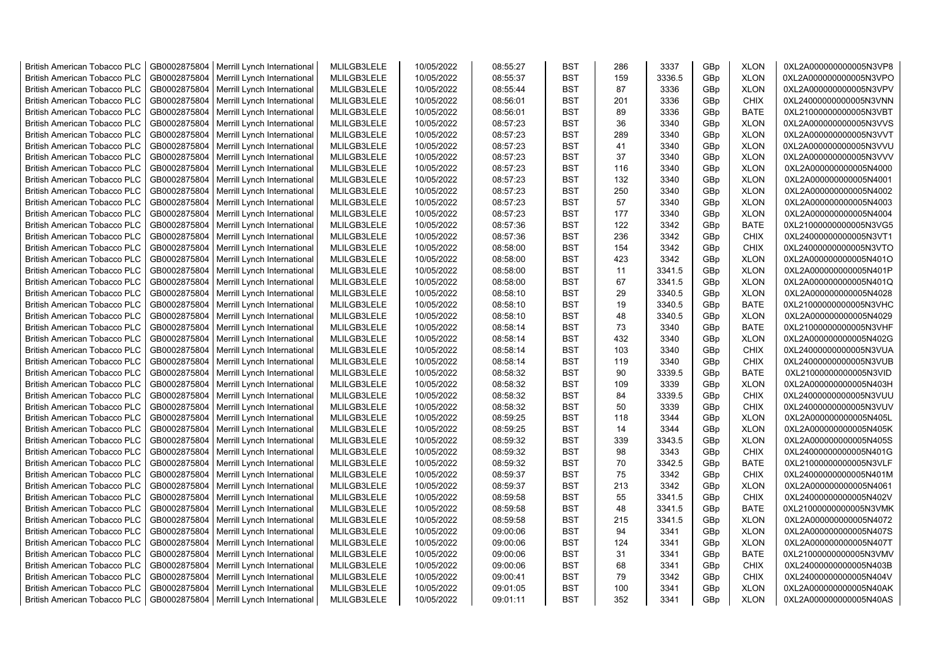| <b>British American Tobacco PLC</b> | GB0002875804 | Merrill Lynch International                | MLILGB3LELE | 10/05/2022 | 08:55:27 | <b>BST</b> | 286 | 3337   | GBp             | <b>XLON</b> | 0XL2A000000000005N3VP8 |
|-------------------------------------|--------------|--------------------------------------------|-------------|------------|----------|------------|-----|--------|-----------------|-------------|------------------------|
| <b>British American Tobacco PLC</b> | GB0002875804 | Merrill Lynch International                | MLILGB3LELE | 10/05/2022 | 08:55:37 | <b>BST</b> | 159 | 3336.5 | GBp             | <b>XLON</b> | 0XL2A000000000005N3VPO |
| <b>British American Tobacco PLC</b> | GB0002875804 | Merrill Lynch International                | MLILGB3LELE | 10/05/2022 | 08:55:44 | <b>BST</b> | 87  | 3336   | GBp             | <b>XLON</b> | 0XL2A000000000005N3VPV |
| <b>British American Tobacco PLC</b> | GB0002875804 | Merrill Lynch International                | MLILGB3LELE | 10/05/2022 | 08:56:01 | <b>BST</b> | 201 | 3336   | GBp             | <b>CHIX</b> | 0XL24000000000005N3VNN |
| <b>British American Tobacco PLC</b> | GB0002875804 | Merrill Lynch International                | MLILGB3LELE | 10/05/2022 | 08:56:01 | <b>BST</b> | 89  | 3336   | GBp             | <b>BATE</b> | 0XL21000000000005N3VBT |
| <b>British American Tobacco PLC</b> | GB0002875804 | Merrill Lynch International                | MLILGB3LELE | 10/05/2022 | 08:57:23 | <b>BST</b> | 36  | 3340   | GBp             | <b>XLON</b> | 0XL2A000000000005N3VVS |
| British American Tobacco PLC        | GB0002875804 | Merrill Lynch International                | MLILGB3LELE | 10/05/2022 | 08:57:23 | <b>BST</b> | 289 | 3340   | GBp             | <b>XLON</b> | 0XL2A000000000005N3VVT |
| <b>British American Tobacco PLC</b> | GB0002875804 | Merrill Lynch International                | MLILGB3LELE | 10/05/2022 | 08:57:23 | <b>BST</b> | 41  | 3340   | GBp             | <b>XLON</b> | 0XL2A000000000005N3VVU |
| <b>British American Tobacco PLC</b> | GB0002875804 | Merrill Lynch International                | MLILGB3LELE | 10/05/2022 | 08:57:23 | <b>BST</b> | 37  | 3340   | GBp             | <b>XLON</b> | 0XL2A000000000005N3VVV |
| <b>British American Tobacco PLC</b> | GB0002875804 | Merrill Lynch International                | MLILGB3LELE | 10/05/2022 | 08:57:23 | <b>BST</b> | 116 | 3340   | GBp             | <b>XLON</b> | 0XL2A000000000005N4000 |
| <b>British American Tobacco PLC</b> | GB0002875804 | Merrill Lynch International                | MLILGB3LELE | 10/05/2022 | 08:57:23 | <b>BST</b> | 132 | 3340   | GBp             | <b>XLON</b> | 0XL2A000000000005N4001 |
| <b>British American Tobacco PLC</b> | GB0002875804 | Merrill Lynch International                | MLILGB3LELE | 10/05/2022 | 08:57:23 | <b>BST</b> | 250 | 3340   | GBp             | <b>XLON</b> | 0XL2A000000000005N4002 |
| <b>British American Tobacco PLC</b> | GB0002875804 | Merrill Lynch International                | MLILGB3LELE | 10/05/2022 | 08:57:23 | BST        | 57  | 3340   | GBp             | <b>XLON</b> | 0XL2A000000000005N4003 |
| <b>British American Tobacco PLC</b> | GB0002875804 | Merrill Lynch International                | MLILGB3LELE | 10/05/2022 | 08:57:23 | <b>BST</b> | 177 | 3340   | GBp             | <b>XLON</b> | 0XL2A000000000005N4004 |
| <b>British American Tobacco PLC</b> | GB0002875804 | Merrill Lynch International                | MLILGB3LELE | 10/05/2022 | 08:57:36 | <b>BST</b> | 122 | 3342   | GBp             | <b>BATE</b> | 0XL21000000000005N3VG5 |
| <b>British American Tobacco PLC</b> | GB0002875804 | Merrill Lynch International                | MLILGB3LELE | 10/05/2022 | 08:57:36 | <b>BST</b> | 236 | 3342   | GBp             | <b>CHIX</b> | 0XL24000000000005N3VT1 |
| <b>British American Tobacco PLC</b> | GB0002875804 | Merrill Lynch International                | MLILGB3LELE | 10/05/2022 | 08:58:00 | <b>BST</b> | 154 | 3342   | GBp             | <b>CHIX</b> | 0XL24000000000005N3VTO |
| <b>British American Tobacco PLC</b> | GB0002875804 | Merrill Lynch International                | MLILGB3LELE | 10/05/2022 | 08:58:00 | <b>BST</b> | 423 | 3342   | GBp             | <b>XLON</b> | 0XL2A000000000005N401O |
| <b>British American Tobacco PLC</b> | GB0002875804 | Merrill Lynch International                | MLILGB3LELE | 10/05/2022 | 08:58:00 | <b>BST</b> | 11  | 3341.5 | GBp             | <b>XLON</b> | 0XL2A000000000005N401P |
| <b>British American Tobacco PLC</b> | GB0002875804 | Merrill Lynch International                | MLILGB3LELE | 10/05/2022 | 08:58:00 | <b>BST</b> | 67  | 3341.5 | GBp             | <b>XLON</b> | 0XL2A000000000005N401Q |
| <b>British American Tobacco PLC</b> | GB0002875804 | Merrill Lynch International                | MLILGB3LELE | 10/05/2022 | 08:58:10 | <b>BST</b> | 29  | 3340.5 | GBp             | <b>XLON</b> | 0XL2A000000000005N4028 |
| <b>British American Tobacco PLC</b> | GB0002875804 | Merrill Lynch International                | MLILGB3LELE | 10/05/2022 | 08:58:10 | <b>BST</b> | 19  | 3340.5 | GBp             | <b>BATE</b> | 0XL21000000000005N3VHC |
| <b>British American Tobacco PLC</b> | GB0002875804 | Merrill Lynch International                | MLILGB3LELE | 10/05/2022 | 08:58:10 | <b>BST</b> | 48  | 3340.5 | GBp             | <b>XLON</b> | 0XL2A000000000005N4029 |
| <b>British American Tobacco PLC</b> |              |                                            |             |            |          | <b>BST</b> | 73  |        |                 |             |                        |
|                                     | GB0002875804 | Merrill Lynch International                | MLILGB3LELE | 10/05/2022 | 08:58:14 |            |     | 3340   | GBp             | <b>BATE</b> | 0XL21000000000005N3VHF |
| <b>British American Tobacco PLC</b> | GB0002875804 | Merrill Lynch International                | MLILGB3LELE | 10/05/2022 | 08:58:14 | <b>BST</b> | 432 | 3340   | GBp             | <b>XLON</b> | 0XL2A000000000005N402G |
| <b>British American Tobacco PLC</b> | GB0002875804 | Merrill Lynch International                | MLILGB3LELE | 10/05/2022 | 08:58:14 | <b>BST</b> | 103 | 3340   | GBp             | <b>CHIX</b> | 0XL24000000000005N3VUA |
| <b>British American Tobacco PLC</b> | GB0002875804 | Merrill Lynch International                | MLILGB3LELE | 10/05/2022 | 08:58:14 | <b>BST</b> | 119 | 3340   | GBp             | <b>CHIX</b> | 0XL24000000000005N3VUB |
| <b>British American Tobacco PLC</b> | GB0002875804 | Merrill Lynch International                | MLILGB3LELE | 10/05/2022 | 08:58:32 | <b>BST</b> | 90  | 3339.5 | GBp             | <b>BATE</b> | 0XL21000000000005N3VID |
| <b>British American Tobacco PLC</b> | GB0002875804 | Merrill Lynch International                | MLILGB3LELE | 10/05/2022 | 08:58:32 | <b>BST</b> | 109 | 3339   | GBp             | <b>XLON</b> | 0XL2A000000000005N403H |
| <b>British American Tobacco PLC</b> | GB0002875804 | Merrill Lynch International                | MLILGB3LELE | 10/05/2022 | 08:58:32 | <b>BST</b> | 84  | 3339.5 | GBp             | <b>CHIX</b> | 0XL24000000000005N3VUU |
| <b>British American Tobacco PLC</b> | GB0002875804 | Merrill Lynch International                | MLILGB3LELE | 10/05/2022 | 08:58:32 | <b>BST</b> | 50  | 3339   | GBp             | <b>CHIX</b> | 0XL24000000000005N3VUV |
| <b>British American Tobacco PLC</b> | GB0002875804 | Merrill Lynch International                | MLILGB3LELE | 10/05/2022 | 08:59:25 | <b>BST</b> | 118 | 3344   | GBp             | <b>XLON</b> | 0XL2A000000000005N405L |
| <b>British American Tobacco PLC</b> | GB0002875804 | Merrill Lynch International                | MLILGB3LELE | 10/05/2022 | 08:59:25 | <b>BST</b> | 14  | 3344   | GBp             | <b>XLON</b> | 0XL2A000000000005N405K |
| <b>British American Tobacco PLC</b> | GB0002875804 | Merrill Lynch International                | MLILGB3LELE | 10/05/2022 | 08:59:32 | BST        | 339 | 3343.5 | GBp             | <b>XLON</b> | 0XL2A000000000005N405S |
| <b>British American Tobacco PLC</b> | GB0002875804 | Merrill Lynch International                | MLILGB3LELE | 10/05/2022 | 08:59:32 | <b>BST</b> | 98  | 3343   | GBp             | <b>CHIX</b> | 0XL24000000000005N401G |
| British American Tobacco PLC        | GB0002875804 | Merrill Lynch International                | MLILGB3LELE | 10/05/2022 | 08:59:32 | <b>BST</b> | 70  | 3342.5 | GBp             | <b>BATE</b> | 0XL21000000000005N3VLF |
| <b>British American Tobacco PLC</b> | GB0002875804 | Merrill Lynch International                | MLILGB3LELE | 10/05/2022 | 08:59:37 | <b>BST</b> | 75  | 3342   | GBp             | <b>CHIX</b> | 0XL24000000000005N401M |
| <b>British American Tobacco PLC</b> | GB0002875804 | Merrill Lynch International                | MLILGB3LELE | 10/05/2022 | 08:59:37 | <b>BST</b> | 213 | 3342   | GBp             | <b>XLON</b> | 0XL2A000000000005N4061 |
| <b>British American Tobacco PLC</b> | GB0002875804 | Merrill Lynch International                | MLILGB3LELE | 10/05/2022 | 08:59:58 | <b>BST</b> | 55  | 3341.5 | GBp             | <b>CHIX</b> | 0XL24000000000005N402V |
| <b>British American Tobacco PLC</b> | GB0002875804 | Merrill Lynch International                | MLILGB3LELE | 10/05/2022 | 08:59:58 | <b>BST</b> | 48  | 3341.5 | GBp             | <b>BATE</b> | 0XL21000000000005N3VMK |
| <b>British American Tobacco PLC</b> | GB0002875804 | Merrill Lynch International                | MLILGB3LELE | 10/05/2022 | 08:59:58 | <b>BST</b> | 215 | 3341.5 | GBp             | <b>XLON</b> | 0XL2A000000000005N4072 |
| <b>British American Tobacco PLC</b> | GB0002875804 | Merrill Lynch International                | MLILGB3LELE | 10/05/2022 | 09:00:06 | <b>BST</b> | 94  | 3341   | GBp             | <b>XLON</b> | 0XL2A000000000005N407S |
| <b>British American Tobacco PLC</b> | GB0002875804 | Merrill Lynch International                | MLILGB3LELE | 10/05/2022 | 09:00:06 | <b>BST</b> | 124 | 3341   | GBp             | <b>XLON</b> | 0XL2A000000000005N407T |
| <b>British American Tobacco PLC</b> | GB0002875804 | Merrill Lynch International                | MLILGB3LELE | 10/05/2022 | 09:00:06 | <b>BST</b> | 31  | 3341   | GBp             | <b>BATE</b> | 0XL21000000000005N3VMV |
| <b>British American Tobacco PLC</b> | GB0002875804 | Merrill Lynch International                | MLILGB3LELE | 10/05/2022 | 09:00:06 | <b>BST</b> | 68  | 3341   | GBp             | <b>CHIX</b> | 0XL24000000000005N403B |
| <b>British American Tobacco PLC</b> | GB0002875804 | Merrill Lynch International                | MLILGB3LELE | 10/05/2022 | 09:00:41 | <b>BST</b> | 79  | 3342   | GBp             | <b>CHIX</b> | 0XL24000000000005N404V |
| <b>British American Tobacco PLC</b> | GB0002875804 | Merrill Lynch International                | MLILGB3LELE | 10/05/2022 | 09:01:05 | <b>BST</b> | 100 | 3341   | GBp             | <b>XLON</b> | 0XL2A000000000005N40AK |
| <b>British American Tobacco PLC</b> |              | GB0002875804   Merrill Lynch International | MLILGB3LELE | 10/05/2022 | 09:01:11 | <b>BST</b> | 352 | 3341   | GB <sub>p</sub> | <b>XLON</b> | 0XL2A000000000005N40AS |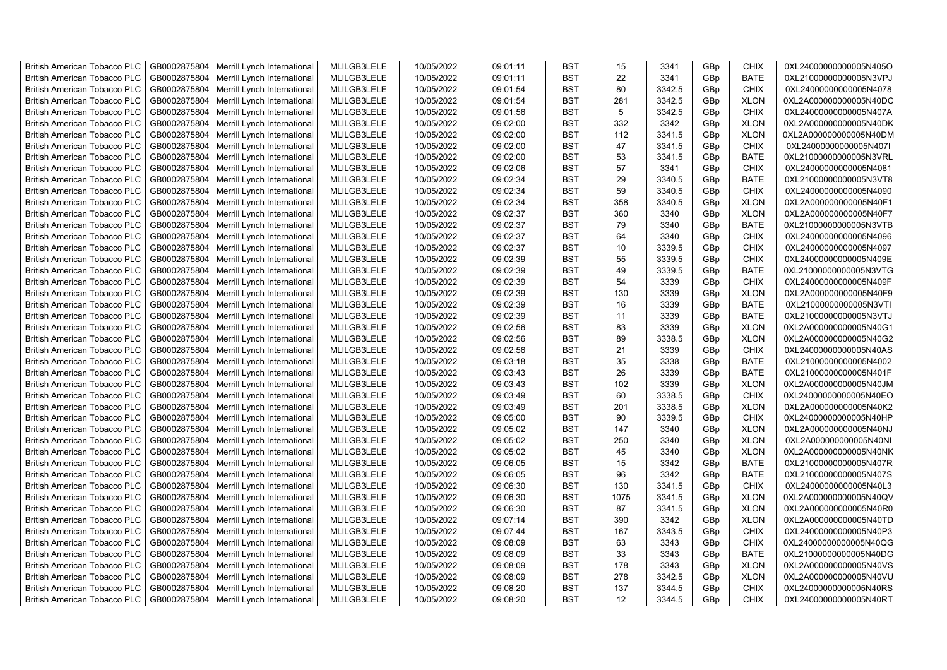| <b>British American Tobacco PLC</b> | GB0002875804 | Merrill Lynch International                | MLILGB3LELE | 10/05/2022 | 09:01:11 | <b>BST</b> | 15   | 3341   | GBp             | <b>CHIX</b> | 0XL24000000000005N405O |
|-------------------------------------|--------------|--------------------------------------------|-------------|------------|----------|------------|------|--------|-----------------|-------------|------------------------|
| <b>British American Tobacco PLC</b> | GB0002875804 | Merrill Lynch International                | MLILGB3LELE | 10/05/2022 | 09:01:11 | <b>BST</b> | 22   | 3341   | GBp             | <b>BATE</b> | 0XL21000000000005N3VPJ |
| <b>British American Tobacco PLC</b> | GB0002875804 | Merrill Lynch International                | MLILGB3LELE | 10/05/2022 | 09:01:54 | <b>BST</b> | 80   | 3342.5 | GBp             | <b>CHIX</b> | 0XL24000000000005N4078 |
| <b>British American Tobacco PLC</b> | GB0002875804 | Merrill Lynch International                | MLILGB3LELE | 10/05/2022 | 09:01:54 | <b>BST</b> | 281  | 3342.5 | GBp             | <b>XLON</b> | 0XL2A000000000005N40DC |
| <b>British American Tobacco PLC</b> | GB0002875804 | Merrill Lynch International                | MLILGB3LELE | 10/05/2022 | 09:01:56 | <b>BST</b> | 5    | 3342.5 | GBp             | <b>CHIX</b> | 0XL24000000000005N407A |
| <b>British American Tobacco PLC</b> | GB0002875804 | Merrill Lynch International                | MLILGB3LELE | 10/05/2022 | 09:02:00 | <b>BST</b> | 332  | 3342   | GBp             | <b>XLON</b> | 0XL2A000000000005N40DK |
| <b>British American Tobacco PLC</b> | GB0002875804 | Merrill Lynch International                | MLILGB3LELE | 10/05/2022 | 09:02:00 | <b>BST</b> | 112  | 3341.5 | GBp             | <b>XLON</b> | 0XL2A000000000005N40DM |
| <b>British American Tobacco PLC</b> | GB0002875804 | Merrill Lynch International                | MLILGB3LELE | 10/05/2022 | 09:02:00 | <b>BST</b> | 47   | 3341.5 | GBp             | <b>CHIX</b> | 0XL24000000000005N407I |
| <b>British American Tobacco PLC</b> | GB0002875804 | Merrill Lynch International                | MLILGB3LELE | 10/05/2022 | 09:02:00 | BST        | 53   | 3341.5 | GBp             | <b>BATE</b> | 0XL21000000000005N3VRL |
| <b>British American Tobacco PLC</b> | GB0002875804 | Merrill Lynch International                | MLILGB3LELE | 10/05/2022 | 09:02:06 | <b>BST</b> | 57   | 3341   | GBp             | <b>CHIX</b> | 0XL24000000000005N4081 |
| <b>British American Tobacco PLC</b> | GB0002875804 | Merrill Lynch International                | MLILGB3LELE | 10/05/2022 | 09:02:34 | BST        | 29   | 3340.5 | GBp             | <b>BATE</b> | 0XL21000000000005N3VT8 |
| <b>British American Tobacco PLC</b> | GB0002875804 | Merrill Lynch International                | MLILGB3LELE | 10/05/2022 | 09:02:34 | <b>BST</b> | 59   | 3340.5 | GBp             | <b>CHIX</b> | 0XL24000000000005N4090 |
| <b>British American Tobacco PLC</b> | GB0002875804 | Merrill Lynch International                | MLILGB3LELE | 10/05/2022 | 09:02:34 | <b>BST</b> | 358  | 3340.5 | GBp             | <b>XLON</b> | 0XL2A000000000005N40F1 |
| <b>British American Tobacco PLC</b> | GB0002875804 | Merrill Lynch International                | MLILGB3LELE | 10/05/2022 | 09:02:37 | <b>BST</b> | 360  | 3340   | GBp             | <b>XLON</b> | 0XL2A000000000005N40F7 |
| <b>British American Tobacco PLC</b> | GB0002875804 | Merrill Lynch International                | MLILGB3LELE | 10/05/2022 | 09:02:37 | <b>BST</b> | 79   | 3340   | GBp             | <b>BATE</b> | 0XL21000000000005N3VTB |
| <b>British American Tobacco PLC</b> | GB0002875804 | Merrill Lynch International                | MLILGB3LELE | 10/05/2022 | 09:02:37 | <b>BST</b> | 64   | 3340   | GBp             | <b>CHIX</b> | 0XL24000000000005N4096 |
| <b>British American Tobacco PLC</b> | GB0002875804 | Merrill Lynch International                | MLILGB3LELE | 10/05/2022 | 09:02:37 | <b>BST</b> | 10   | 3339.5 | GBp             | <b>CHIX</b> | 0XL24000000000005N4097 |
| <b>British American Tobacco PLC</b> | GB0002875804 | Merrill Lynch International                | MLILGB3LELE | 10/05/2022 | 09:02:39 | <b>BST</b> | 55   | 3339.5 | GBp             | <b>CHIX</b> | 0XL24000000000005N409E |
| <b>British American Tobacco PLC</b> | GB0002875804 | Merrill Lynch International                | MLILGB3LELE | 10/05/2022 | 09:02:39 | <b>BST</b> | 49   | 3339.5 | GBp             | <b>BATE</b> | 0XL21000000000005N3VTG |
| <b>British American Tobacco PLC</b> | GB0002875804 | Merrill Lynch International                | MLILGB3LELE | 10/05/2022 | 09:02:39 | <b>BST</b> | 54   | 3339   | GBp             | <b>CHIX</b> | 0XL24000000000005N409F |
| <b>British American Tobacco PLC</b> | GB0002875804 | Merrill Lynch International                | MLILGB3LELE | 10/05/2022 | 09:02:39 | <b>BST</b> | 130  | 3339   | GBp             | <b>XLON</b> | 0XL2A000000000005N40F9 |
| <b>British American Tobacco PLC</b> | GB0002875804 | Merrill Lynch International                | MLILGB3LELE | 10/05/2022 | 09:02:39 | <b>BST</b> | 16   | 3339   | GBp             | <b>BATE</b> | 0XL21000000000005N3VTI |
| <b>British American Tobacco PLC</b> | GB0002875804 | Merrill Lynch International                | MLILGB3LELE | 10/05/2022 | 09:02:39 | <b>BST</b> | 11   | 3339   | GBp             | <b>BATE</b> | 0XL21000000000005N3VTJ |
|                                     |              |                                            |             |            |          | <b>BST</b> | 83   | 3339   |                 | <b>XLON</b> |                        |
| <b>British American Tobacco PLC</b> | GB0002875804 | Merrill Lynch International                | MLILGB3LELE | 10/05/2022 | 09:02:56 |            |      |        | GBp             |             | 0XL2A000000000005N40G1 |
| <b>British American Tobacco PLC</b> | GB0002875804 | Merrill Lynch International                | MLILGB3LELE | 10/05/2022 | 09:02:56 | <b>BST</b> | 89   | 3338.5 | GBp             | <b>XLON</b> | 0XL2A000000000005N40G2 |
| <b>British American Tobacco PLC</b> | GB0002875804 | Merrill Lynch International                | MLILGB3LELE | 10/05/2022 | 09:02:56 | BST        | 21   | 3339   | GBp             | <b>CHIX</b> | 0XL24000000000005N40AS |
| <b>British American Tobacco PLC</b> | GB0002875804 | Merrill Lynch International                | MLILGB3LELE | 10/05/2022 | 09:03:18 | <b>BST</b> | 35   | 3338   | GBp             | <b>BATE</b> | 0XL21000000000005N4002 |
| <b>British American Tobacco PLC</b> | GB0002875804 | Merrill Lynch International                | MLILGB3LELE | 10/05/2022 | 09:03:43 | <b>BST</b> | 26   | 3339   | GBp             | <b>BATE</b> | 0XL21000000000005N401F |
| <b>British American Tobacco PLC</b> | GB0002875804 | Merrill Lynch International                | MLILGB3LELE | 10/05/2022 | 09:03:43 | BST        | 102  | 3339   | GBp             | <b>XLON</b> | 0XL2A000000000005N40JM |
| <b>British American Tobacco PLC</b> | GB0002875804 | Merrill Lynch International                | MLILGB3LELE | 10/05/2022 | 09:03:49 | <b>BST</b> | 60   | 3338.5 | GBp             | <b>CHIX</b> | 0XL24000000000005N40EO |
| <b>British American Tobacco PLC</b> | GB0002875804 | Merrill Lynch International                | MLILGB3LELE | 10/05/2022 | 09:03:49 | <b>BST</b> | 201  | 3338.5 | GBp             | <b>XLON</b> | 0XL2A000000000005N40K2 |
| <b>British American Tobacco PLC</b> | GB0002875804 | Merrill Lynch International                | MLILGB3LELE | 10/05/2022 | 09:05:00 | <b>BST</b> | 90   | 3339.5 | GBp             | <b>CHIX</b> | 0XL24000000000005N40HP |
| <b>British American Tobacco PLC</b> | GB0002875804 | Merrill Lynch International                | MLILGB3LELE | 10/05/2022 | 09:05:02 | <b>BST</b> | 147  | 3340   | GBp             | <b>XLON</b> | 0XL2A000000000005N40NJ |
| <b>British American Tobacco PLC</b> | GB0002875804 | Merrill Lynch International                | MLILGB3LELE | 10/05/2022 | 09:05:02 | BST        | 250  | 3340   | GBp             | <b>XLON</b> | 0XL2A000000000005N40NI |
| <b>British American Tobacco PLC</b> | GB0002875804 | Merrill Lynch International                | MLILGB3LELE | 10/05/2022 | 09:05:02 | <b>BST</b> | 45   | 3340   | GBp             | <b>XLON</b> | 0XL2A000000000005N40NK |
| <b>British American Tobacco PLC</b> | GB0002875804 | Merrill Lynch International                | MLILGB3LELE | 10/05/2022 | 09:06:05 | <b>BST</b> | 15   | 3342   | GBp             | <b>BATE</b> | 0XL21000000000005N407R |
| <b>British American Tobacco PLC</b> | GB0002875804 | Merrill Lynch International                | MLILGB3LELE | 10/05/2022 | 09:06:05 | <b>BST</b> | 96   | 3342   | GBp             | <b>BATE</b> | 0XL21000000000005N407S |
| <b>British American Tobacco PLC</b> | GB0002875804 | Merrill Lynch International                | MLILGB3LELE | 10/05/2022 | 09:06:30 | <b>BST</b> | 130  | 3341.5 | GBp             | <b>CHIX</b> | 0XL24000000000005N40L3 |
| <b>British American Tobacco PLC</b> | GB0002875804 | Merrill Lynch International                | MLILGB3LELE | 10/05/2022 | 09:06:30 | <b>BST</b> | 1075 | 3341.5 | GBp             | <b>XLON</b> | 0XL2A000000000005N40QV |
| British American Tobacco PLC        | GB0002875804 | Merrill Lynch International                | MLILGB3LELE | 10/05/2022 | 09:06:30 | <b>BST</b> | 87   | 3341.5 | GBp             | <b>XLON</b> | 0XL2A000000000005N40R0 |
| <b>British American Tobacco PLC</b> | GB0002875804 | Merrill Lynch International                | MLILGB3LELE | 10/05/2022 | 09:07:14 | <b>BST</b> | 390  | 3342   | GBp             | <b>XLON</b> | 0XL2A000000000005N40TD |
| <b>British American Tobacco PLC</b> | GB0002875804 | Merrill Lynch International                | MLILGB3LELE | 10/05/2022 | 09:07:44 | BST        | 167  | 3343.5 | GBp             | <b>CHIX</b> | 0XL24000000000005N40P3 |
| <b>British American Tobacco PLC</b> | GB0002875804 | Merrill Lynch International                | MLILGB3LELE | 10/05/2022 | 09:08:09 | <b>BST</b> | 63   | 3343   | GBp             | <b>CHIX</b> | 0XL24000000000005N40QG |
| <b>British American Tobacco PLC</b> | GB0002875804 | Merrill Lynch International                | MLILGB3LELE | 10/05/2022 | 09:08:09 | <b>BST</b> | 33   | 3343   | GBp             | <b>BATE</b> | 0XL21000000000005N40DG |
| <b>British American Tobacco PLC</b> | GB0002875804 | Merrill Lynch International                | MLILGB3LELE | 10/05/2022 | 09:08:09 | <b>BST</b> | 178  | 3343   | GBp             | <b>XLON</b> | 0XL2A000000000005N40VS |
| <b>British American Tobacco PLC</b> | GB0002875804 | Merrill Lynch International                | MLILGB3LELE | 10/05/2022 | 09:08:09 | <b>BST</b> | 278  | 3342.5 | GBp             | <b>XLON</b> | 0XL2A000000000005N40VU |
| <b>British American Tobacco PLC</b> | GB0002875804 | Merrill Lynch International                | MLILGB3LELE | 10/05/2022 | 09:08:20 | <b>BST</b> | 137  | 3344.5 | GBp             | <b>CHIX</b> | 0XL24000000000005N40RS |
| <b>British American Tobacco PLC</b> |              | GB0002875804   Merrill Lynch International | MLILGB3LELE | 10/05/2022 | 09:08:20 | <b>BST</b> | 12   | 3344.5 | GB <sub>p</sub> | <b>CHIX</b> | 0XL24000000000005N40RT |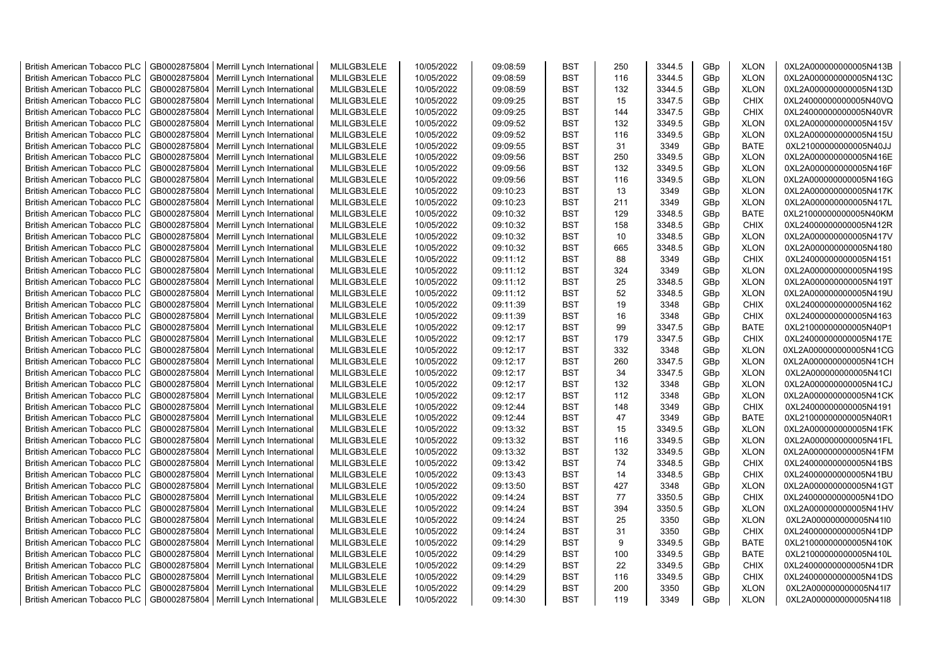| <b>British American Tobacco PLC</b> | GB0002875804 | Merrill Lynch International                | MLILGB3LELE | 10/05/2022 | 09:08:59 | <b>BST</b> | 250 | 3344.5 | GBp             | <b>XLON</b> | 0XL2A000000000005N413B |
|-------------------------------------|--------------|--------------------------------------------|-------------|------------|----------|------------|-----|--------|-----------------|-------------|------------------------|
| <b>British American Tobacco PLC</b> | GB0002875804 | Merrill Lynch International                | MLILGB3LELE | 10/05/2022 | 09:08:59 | <b>BST</b> | 116 | 3344.5 | GBp             | <b>XLON</b> | 0XL2A000000000005N413C |
| <b>British American Tobacco PLC</b> | GB0002875804 | Merrill Lynch International                | MLILGB3LELE | 10/05/2022 | 09:08:59 | <b>BST</b> | 132 | 3344.5 | GBp             | <b>XLON</b> | 0XL2A000000000005N413D |
| <b>British American Tobacco PLC</b> | GB0002875804 | Merrill Lynch International                | MLILGB3LELE | 10/05/2022 | 09:09:25 | <b>BST</b> | 15  | 3347.5 | GBp             | <b>CHIX</b> | 0XL24000000000005N40VQ |
| <b>British American Tobacco PLC</b> | GB0002875804 | Merrill Lynch International                | MLILGB3LELE | 10/05/2022 | 09:09:25 | <b>BST</b> | 144 | 3347.5 | GBp             | <b>CHIX</b> | 0XL24000000000005N40VR |
| <b>British American Tobacco PLC</b> | GB0002875804 | Merrill Lynch International                | MLILGB3LELE | 10/05/2022 | 09:09:52 | <b>BST</b> | 132 | 3349.5 | GBp             | <b>XLON</b> | 0XL2A000000000005N415V |
| <b>British American Tobacco PLC</b> | GB0002875804 | Merrill Lynch International                | MLILGB3LELE | 10/05/2022 | 09:09:52 | <b>BST</b> | 116 | 3349.5 | GBp             | <b>XLON</b> | 0XL2A000000000005N415U |
| <b>British American Tobacco PLC</b> | GB0002875804 | Merrill Lynch International                | MLILGB3LELE | 10/05/2022 | 09:09:55 | <b>BST</b> | 31  | 3349   | GBp             | <b>BATE</b> | 0XL21000000000005N40JJ |
| <b>British American Tobacco PLC</b> | GB0002875804 | Merrill Lynch International                | MLILGB3LELE | 10/05/2022 | 09:09:56 | BST        | 250 | 3349.5 | GBp             | <b>XLON</b> | 0XL2A000000000005N416E |
| <b>British American Tobacco PLC</b> | GB0002875804 | Merrill Lynch International                | MLILGB3LELE | 10/05/2022 | 09:09:56 | <b>BST</b> | 132 | 3349.5 | GBp             | <b>XLON</b> | 0XL2A000000000005N416F |
| <b>British American Tobacco PLC</b> | GB0002875804 | Merrill Lynch International                | MLILGB3LELE | 10/05/2022 | 09:09:56 | BST        | 116 | 3349.5 | GBp             | <b>XLON</b> | 0XL2A000000000005N416G |
| <b>British American Tobacco PLC</b> | GB0002875804 | Merrill Lynch International                | MLILGB3LELE | 10/05/2022 | 09:10:23 | <b>BST</b> | 13  | 3349   | GBp             | <b>XLON</b> | 0XL2A000000000005N417K |
| <b>British American Tobacco PLC</b> | GB0002875804 | Merrill Lynch International                | MLILGB3LELE | 10/05/2022 | 09:10:23 | <b>BST</b> | 211 | 3349   | GBp             | <b>XLON</b> | 0XL2A000000000005N417L |
| <b>British American Tobacco PLC</b> | GB0002875804 | Merrill Lynch International                | MLILGB3LELE | 10/05/2022 | 09:10:32 | <b>BST</b> | 129 | 3348.5 | GBp             | <b>BATE</b> | 0XL21000000000005N40KM |
| <b>British American Tobacco PLC</b> | GB0002875804 | Merrill Lynch International                | MLILGB3LELE | 10/05/2022 | 09:10:32 | <b>BST</b> | 158 | 3348.5 | GBp             | <b>CHIX</b> | 0XL24000000000005N412R |
| <b>British American Tobacco PLC</b> | GB0002875804 | Merrill Lynch International                | MLILGB3LELE | 10/05/2022 | 09:10:32 | <b>BST</b> | 10  | 3348.5 | GBp             | <b>XLON</b> | 0XL2A000000000005N417V |
| <b>British American Tobacco PLC</b> | GB0002875804 | Merrill Lynch International                | MLILGB3LELE | 10/05/2022 | 09:10:32 | <b>BST</b> | 665 | 3348.5 | GBp             | <b>XLON</b> | 0XL2A000000000005N4180 |
| <b>British American Tobacco PLC</b> | GB0002875804 | Merrill Lynch International                | MLILGB3LELE | 10/05/2022 | 09:11:12 | <b>BST</b> | 88  | 3349   | GBp             | <b>CHIX</b> | 0XL24000000000005N4151 |
| <b>British American Tobacco PLC</b> | GB0002875804 | Merrill Lynch International                | MLILGB3LELE | 10/05/2022 | 09:11:12 | <b>BST</b> | 324 | 3349   | GBp             | <b>XLON</b> | 0XL2A000000000005N419S |
| <b>British American Tobacco PLC</b> | GB0002875804 | Merrill Lynch International                | MLILGB3LELE | 10/05/2022 | 09:11:12 | <b>BST</b> | 25  | 3348.5 | GBp             | <b>XLON</b> | 0XL2A000000000005N419T |
| <b>British American Tobacco PLC</b> | GB0002875804 | Merrill Lynch International                | MLILGB3LELE | 10/05/2022 | 09:11:12 | <b>BST</b> | 52  | 3348.5 | GBp             | <b>XLON</b> | 0XL2A000000000005N419U |
| <b>British American Tobacco PLC</b> | GB0002875804 | Merrill Lynch International                | MLILGB3LELE | 10/05/2022 | 09:11:39 | <b>BST</b> | 19  | 3348   | GBp             | <b>CHIX</b> | 0XL24000000000005N4162 |
| <b>British American Tobacco PLC</b> | GB0002875804 | Merrill Lynch International                | MLILGB3LELE | 10/05/2022 | 09:11:39 | <b>BST</b> | 16  | 3348   | GBp             | <b>CHIX</b> | 0XL24000000000005N4163 |
| <b>British American Tobacco PLC</b> | GB0002875804 | Merrill Lynch International                | MLILGB3LELE | 10/05/2022 | 09:12:17 | <b>BST</b> | 99  | 3347.5 | GBp             | <b>BATE</b> | 0XL21000000000005N40P1 |
|                                     |              |                                            |             |            |          | <b>BST</b> |     |        |                 |             |                        |
| <b>British American Tobacco PLC</b> | GB0002875804 | Merrill Lynch International                | MLILGB3LELE | 10/05/2022 | 09:12:17 |            | 179 | 3347.5 | GBp             | <b>CHIX</b> | 0XL24000000000005N417E |
| <b>British American Tobacco PLC</b> | GB0002875804 | Merrill Lynch International                | MLILGB3LELE | 10/05/2022 | 09:12:17 | <b>BST</b> | 332 | 3348   | GBp             | <b>XLON</b> | 0XL2A000000000005N41CG |
| <b>British American Tobacco PLC</b> | GB0002875804 | Merrill Lynch International                | MLILGB3LELE | 10/05/2022 | 09:12:17 | <b>BST</b> | 260 | 3347.5 | GBp             | <b>XLON</b> | 0XL2A000000000005N41CH |
| <b>British American Tobacco PLC</b> | GB0002875804 | Merrill Lynch International                | MLILGB3LELE | 10/05/2022 | 09:12:17 | <b>BST</b> | 34  | 3347.5 | GBp             | <b>XLON</b> | 0XL2A000000000005N41Cl |
| <b>British American Tobacco PLC</b> | GB0002875804 | Merrill Lynch International                | MLILGB3LELE | 10/05/2022 | 09:12:17 | BST        | 132 | 3348   | GBp             | <b>XLON</b> | 0XL2A000000000005N41CJ |
| <b>British American Tobacco PLC</b> | GB0002875804 | Merrill Lynch International                | MLILGB3LELE | 10/05/2022 | 09:12:17 | <b>BST</b> | 112 | 3348   | GBp             | <b>XLON</b> | 0XL2A000000000005N41CK |
| <b>British American Tobacco PLC</b> | GB0002875804 | Merrill Lynch International                | MLILGB3LELE | 10/05/2022 | 09:12:44 | <b>BST</b> | 148 | 3349   | GBp             | <b>CHIX</b> | 0XL24000000000005N4191 |
| <b>British American Tobacco PLC</b> | GB0002875804 | Merrill Lynch International                | MLILGB3LELE | 10/05/2022 | 09:12:44 | <b>BST</b> | 47  | 3349   | GBp             | <b>BATE</b> | 0XL21000000000005N40R1 |
| <b>British American Tobacco PLC</b> | GB0002875804 | Merrill Lynch International                | MLILGB3LELE | 10/05/2022 | 09:13:32 | BST        | 15  | 3349.5 | GBp             | <b>XLON</b> | 0XL2A000000000005N41FK |
| <b>British American Tobacco PLC</b> | GB0002875804 | Merrill Lynch International                | MLILGB3LELE | 10/05/2022 | 09:13:32 | BST        | 116 | 3349.5 | GBp             | <b>XLON</b> | 0XL2A000000000005N41FL |
| <b>British American Tobacco PLC</b> | GB0002875804 | Merrill Lynch International                | MLILGB3LELE | 10/05/2022 | 09:13:32 | <b>BST</b> | 132 | 3349.5 | GBp             | <b>XLON</b> | 0XL2A000000000005N41FM |
| <b>British American Tobacco PLC</b> | GB0002875804 | Merrill Lynch International                | MLILGB3LELE | 10/05/2022 | 09:13:42 | <b>BST</b> | 74  | 3348.5 | GBp             | <b>CHIX</b> | 0XL24000000000005N41BS |
| <b>British American Tobacco PLC</b> | GB0002875804 | Merrill Lynch International                | MLILGB3LELE | 10/05/2022 | 09:13:43 | <b>BST</b> | 14  | 3348.5 | GBp             | <b>CHIX</b> | 0XL24000000000005N41BU |
| <b>British American Tobacco PLC</b> | GB0002875804 | Merrill Lynch International                | MLILGB3LELE | 10/05/2022 | 09:13:50 | <b>BST</b> | 427 | 3348   | GBp             | <b>XLON</b> | 0XL2A000000000005N41GT |
| <b>British American Tobacco PLC</b> | GB0002875804 | Merrill Lynch International                | MLILGB3LELE | 10/05/2022 | 09:14:24 | <b>BST</b> | 77  | 3350.5 | GBp             | <b>CHIX</b> | 0XL24000000000005N41DO |
| <b>British American Tobacco PLC</b> | GB0002875804 | Merrill Lynch International                | MLILGB3LELE | 10/05/2022 | 09:14:24 | <b>BST</b> | 394 | 3350.5 | GBp             | <b>XLON</b> | 0XL2A000000000005N41HV |
| <b>British American Tobacco PLC</b> | GB0002875804 | Merrill Lynch International                | MLILGB3LELE | 10/05/2022 | 09:14:24 | <b>BST</b> | 25  | 3350   | GBp             | <b>XLON</b> | 0XL2A000000000005N41l0 |
| <b>British American Tobacco PLC</b> | GB0002875804 | Merrill Lynch International                | MLILGB3LELE | 10/05/2022 | 09:14:24 | <b>BST</b> | 31  | 3350   | GBp             | <b>CHIX</b> | 0XL24000000000005N41DP |
| <b>British American Tobacco PLC</b> | GB0002875804 | Merrill Lynch International                | MLILGB3LELE | 10/05/2022 | 09:14:29 | <b>BST</b> | 9   | 3349.5 | GBp             | <b>BATE</b> | 0XL21000000000005N410K |
| <b>British American Tobacco PLC</b> | GB0002875804 | Merrill Lynch International                | MLILGB3LELE | 10/05/2022 | 09:14:29 | <b>BST</b> | 100 | 3349.5 | GBp             | <b>BATE</b> | 0XL21000000000005N410L |
| <b>British American Tobacco PLC</b> | GB0002875804 | Merrill Lynch International                | MLILGB3LELE | 10/05/2022 | 09:14:29 | <b>BST</b> | 22  | 3349.5 | GBp             | <b>CHIX</b> | 0XL24000000000005N41DR |
| <b>British American Tobacco PLC</b> | GB0002875804 | Merrill Lynch International                | MLILGB3LELE | 10/05/2022 | 09:14:29 | <b>BST</b> | 116 | 3349.5 | GBp             | <b>CHIX</b> | 0XL24000000000005N41DS |
| <b>British American Tobacco PLC</b> | GB0002875804 | Merrill Lynch International                | MLILGB3LELE | 10/05/2022 | 09:14:29 | <b>BST</b> | 200 | 3350   | GBp             | <b>XLON</b> | 0XL2A000000000005N41l7 |
| <b>British American Tobacco PLC</b> |              | GB0002875804   Merrill Lynch International | MLILGB3LELE | 10/05/2022 | 09:14:30 | <b>BST</b> | 119 | 3349   | GB <sub>p</sub> | <b>XLON</b> | 0XL2A000000000005N41I8 |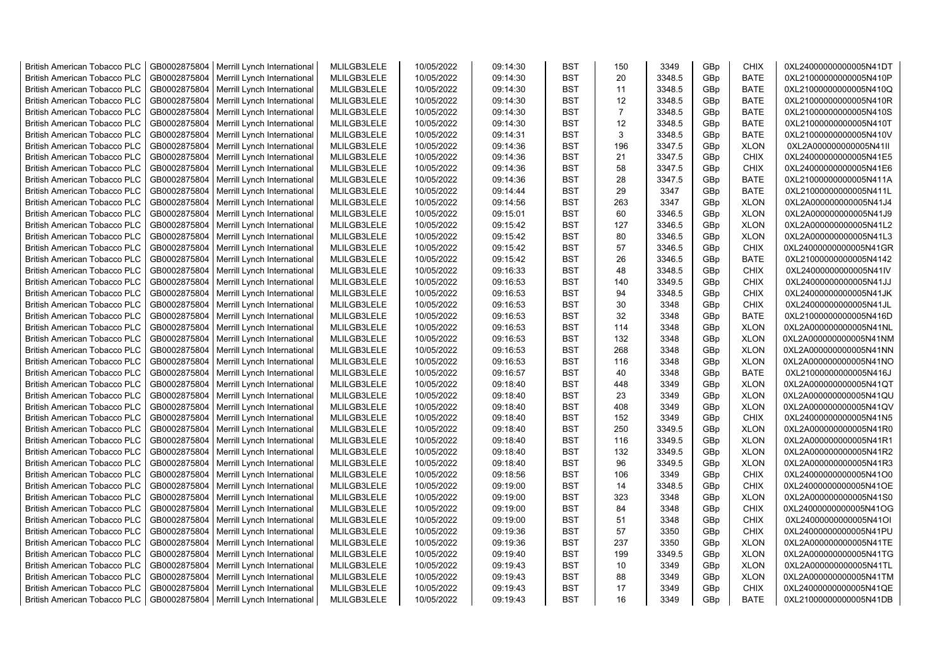| <b>British American Tobacco PLC</b> | GB0002875804 | Merrill Lynch International                | MLILGB3LELE | 10/05/2022 | 09:14:30 | <b>BST</b> | 150            | 3349   | GBp             | <b>CHIX</b> | 0XL24000000000005N41DT |
|-------------------------------------|--------------|--------------------------------------------|-------------|------------|----------|------------|----------------|--------|-----------------|-------------|------------------------|
| <b>British American Tobacco PLC</b> | GB0002875804 | Merrill Lynch International                | MLILGB3LELE | 10/05/2022 | 09:14:30 | <b>BST</b> | 20             | 3348.5 | GBp             | <b>BATE</b> | 0XL21000000000005N410P |
| <b>British American Tobacco PLC</b> | GB0002875804 | Merrill Lynch International                | MLILGB3LELE | 10/05/2022 | 09:14:30 | <b>BST</b> | 11             | 3348.5 | GBp             | <b>BATE</b> | 0XL21000000000005N410Q |
| <b>British American Tobacco PLC</b> | GB0002875804 | Merrill Lynch International                | MLILGB3LELE | 10/05/2022 | 09:14:30 | <b>BST</b> | 12             | 3348.5 | GBp             | <b>BATE</b> | 0XL21000000000005N410R |
| <b>British American Tobacco PLC</b> | GB0002875804 | Merrill Lynch International                | MLILGB3LELE | 10/05/2022 | 09:14:30 | <b>BST</b> | $\overline{7}$ | 3348.5 | GBp             | <b>BATE</b> | 0XL21000000000005N410S |
| <b>British American Tobacco PLC</b> | GB0002875804 | Merrill Lynch International                | MLILGB3LELE | 10/05/2022 | 09:14:30 | <b>BST</b> | 12             | 3348.5 | GBp             | <b>BATE</b> | 0XL21000000000005N410T |
| <b>British American Tobacco PLC</b> | GB0002875804 | Merrill Lynch International                | MLILGB3LELE | 10/05/2022 | 09:14:31 | <b>BST</b> | 3              | 3348.5 | GBp             | <b>BATE</b> | 0XL21000000000005N410V |
| <b>British American Tobacco PLC</b> | GB0002875804 | Merrill Lynch International                | MLILGB3LELE | 10/05/2022 | 09:14:36 | <b>BST</b> | 196            | 3347.5 | GBp             | <b>XLON</b> | 0XL2A000000000005N41II |
| <b>British American Tobacco PLC</b> | GB0002875804 | Merrill Lynch International                | MLILGB3LELE | 10/05/2022 | 09:14:36 | BST        | 21             | 3347.5 | GBp             | <b>CHIX</b> | 0XL24000000000005N41E5 |
| <b>British American Tobacco PLC</b> | GB0002875804 | Merrill Lynch International                | MLILGB3LELE | 10/05/2022 | 09:14:36 | <b>BST</b> | 58             | 3347.5 | GBp             | <b>CHIX</b> | 0XL24000000000005N41E6 |
| <b>British American Tobacco PLC</b> | GB0002875804 | Merrill Lynch International                | MLILGB3LELE | 10/05/2022 | 09:14:36 | BST        | 28             | 3347.5 | GBp             | <b>BATE</b> | 0XL21000000000005N411A |
| <b>British American Tobacco PLC</b> | GB0002875804 | Merrill Lynch International                | MLILGB3LELE | 10/05/2022 | 09:14:44 | <b>BST</b> | 29             | 3347   | GBp             | <b>BATE</b> | 0XL21000000000005N411L |
| <b>British American Tobacco PLC</b> | GB0002875804 | Merrill Lynch International                | MLILGB3LELE | 10/05/2022 | 09:14:56 | <b>BST</b> | 263            | 3347   | GBp             | <b>XLON</b> | 0XL2A000000000005N41J4 |
| <b>British American Tobacco PLC</b> | GB0002875804 | Merrill Lynch International                | MLILGB3LELE | 10/05/2022 | 09:15:01 | <b>BST</b> | 60             | 3346.5 | GBp             | <b>XLON</b> | 0XL2A000000000005N41J9 |
| <b>British American Tobacco PLC</b> | GB0002875804 | Merrill Lynch International                | MLILGB3LELE | 10/05/2022 | 09:15:42 | <b>BST</b> | 127            | 3346.5 | GBp             | <b>XLON</b> | 0XL2A000000000005N41L2 |
| <b>British American Tobacco PLC</b> | GB0002875804 | Merrill Lynch International                | MLILGB3LELE | 10/05/2022 | 09:15:42 | <b>BST</b> | 80             | 3346.5 | GBp             | <b>XLON</b> | 0XL2A000000000005N41L3 |
| <b>British American Tobacco PLC</b> | GB0002875804 | Merrill Lynch International                | MLILGB3LELE | 10/05/2022 | 09:15:42 | <b>BST</b> | 57             | 3346.5 | GBp             | <b>CHIX</b> | 0XL24000000000005N41GR |
| <b>British American Tobacco PLC</b> | GB0002875804 | Merrill Lynch International                | MLILGB3LELE | 10/05/2022 | 09:15:42 | <b>BST</b> | 26             | 3346.5 | GBp             | <b>BATE</b> | 0XL21000000000005N4142 |
| <b>British American Tobacco PLC</b> | GB0002875804 | Merrill Lynch International                | MLILGB3LELE | 10/05/2022 | 09:16:33 | <b>BST</b> | 48             | 3348.5 | GBp             | <b>CHIX</b> | 0XL24000000000005N41IV |
| <b>British American Tobacco PLC</b> | GB0002875804 | Merrill Lynch International                | MLILGB3LELE | 10/05/2022 | 09:16:53 | <b>BST</b> | 140            | 3349.5 | GBp             | <b>CHIX</b> | 0XL24000000000005N41JJ |
| <b>British American Tobacco PLC</b> | GB0002875804 | Merrill Lynch International                | MLILGB3LELE | 10/05/2022 | 09:16:53 | <b>BST</b> | 94             | 3348.5 | GBp             | <b>CHIX</b> | 0XL24000000000005N41JK |
| <b>British American Tobacco PLC</b> | GB0002875804 | Merrill Lynch International                | MLILGB3LELE | 10/05/2022 | 09:16:53 | <b>BST</b> | 30             | 3348   | GBp             | <b>CHIX</b> | 0XL24000000000005N41JL |
| <b>British American Tobacco PLC</b> | GB0002875804 | Merrill Lynch International                | MLILGB3LELE | 10/05/2022 | 09:16:53 | <b>BST</b> | 32             | 3348   | GBp             | <b>BATE</b> | 0XL21000000000005N416D |
| <b>British American Tobacco PLC</b> | GB0002875804 | Merrill Lynch International                | MLILGB3LELE | 10/05/2022 | 09:16:53 | <b>BST</b> | 114            | 3348   | GBp             | <b>XLON</b> | 0XL2A000000000005N41NL |
| <b>British American Tobacco PLC</b> | GB0002875804 | Merrill Lynch International                | MLILGB3LELE | 10/05/2022 | 09:16:53 | <b>BST</b> | 132            | 3348   | GBp             | <b>XLON</b> | 0XL2A000000000005N41NM |
| <b>British American Tobacco PLC</b> | GB0002875804 | Merrill Lynch International                | MLILGB3LELE | 10/05/2022 | 09:16:53 | <b>BST</b> | 268            | 3348   | GBp             | <b>XLON</b> | 0XL2A000000000005N41NN |
| <b>British American Tobacco PLC</b> | GB0002875804 | Merrill Lynch International                | MLILGB3LELE | 10/05/2022 | 09:16:53 | <b>BST</b> | 116            | 3348   | GBp             | <b>XLON</b> | 0XL2A000000000005N41NO |
| <b>British American Tobacco PLC</b> | GB0002875804 | Merrill Lynch International                | MLILGB3LELE | 10/05/2022 | 09:16:57 | <b>BST</b> | 40             | 3348   | GBp             | <b>BATE</b> | 0XL21000000000005N416J |
| <b>British American Tobacco PLC</b> | GB0002875804 | Merrill Lynch International                | MLILGB3LELE | 10/05/2022 | 09:18:40 | BST        | 448            | 3349   | GBp             | <b>XLON</b> | 0XL2A000000000005N41QT |
| <b>British American Tobacco PLC</b> | GB0002875804 | Merrill Lynch International                | MLILGB3LELE | 10/05/2022 | 09:18:40 | <b>BST</b> | 23             | 3349   | GBp             | <b>XLON</b> | 0XL2A000000000005N41QU |
| <b>British American Tobacco PLC</b> | GB0002875804 | Merrill Lynch International                | MLILGB3LELE | 10/05/2022 | 09:18:40 | <b>BST</b> | 408            | 3349   | GBp             | <b>XLON</b> | 0XL2A000000000005N41QV |
| <b>British American Tobacco PLC</b> | GB0002875804 | Merrill Lynch International                | MLILGB3LELE | 10/05/2022 | 09:18:40 | <b>BST</b> | 152            | 3349   | GBp             | <b>CHIX</b> | 0XL24000000000005N41N5 |
| <b>British American Tobacco PLC</b> | GB0002875804 | Merrill Lynch International                | MLILGB3LELE | 10/05/2022 | 09:18:40 | <b>BST</b> | 250            | 3349.5 | GBp             | <b>XLON</b> | 0XL2A000000000005N41R0 |
| <b>British American Tobacco PLC</b> | GB0002875804 | Merrill Lynch International                | MLILGB3LELE | 10/05/2022 | 09:18:40 | BST        | 116            | 3349.5 | GBp             | <b>XLON</b> | 0XL2A000000000005N41R1 |
| <b>British American Tobacco PLC</b> | GB0002875804 | Merrill Lynch International                | MLILGB3LELE | 10/05/2022 | 09:18:40 | <b>BST</b> | 132            | 3349.5 | GBp             | <b>XLON</b> | 0XL2A000000000005N41R2 |
| <b>British American Tobacco PLC</b> | GB0002875804 | Merrill Lynch International                | MLILGB3LELE | 10/05/2022 | 09:18:40 | <b>BST</b> | 96             | 3349.5 | GBp             | <b>XLON</b> | 0XL2A000000000005N41R3 |
| <b>British American Tobacco PLC</b> | GB0002875804 | Merrill Lynch International                | MLILGB3LELE | 10/05/2022 | 09:18:56 | <b>BST</b> | 106            | 3349   | GBp             | <b>CHIX</b> | 0XL24000000000005N41O0 |
| <b>British American Tobacco PLC</b> | GB0002875804 | Merrill Lynch International                | MLILGB3LELE | 10/05/2022 | 09:19:00 | <b>BST</b> | 14             | 3348.5 | GBp             | <b>CHIX</b> | 0XL24000000000005N41OE |
| <b>British American Tobacco PLC</b> | GB0002875804 | Merrill Lynch International                | MLILGB3LELE | 10/05/2022 | 09:19:00 | <b>BST</b> | 323            | 3348   | GBp             | <b>XLON</b> | 0XL2A000000000005N41S0 |
| <b>British American Tobacco PLC</b> | GB0002875804 | Merrill Lynch International                | MLILGB3LELE | 10/05/2022 | 09:19:00 | <b>BST</b> | 84             | 3348   | GBp             | <b>CHIX</b> | 0XL24000000000005N41OG |
| <b>British American Tobacco PLC</b> | GB0002875804 | Merrill Lynch International                | MLILGB3LELE | 10/05/2022 | 09:19:00 | <b>BST</b> | 51             | 3348   | GBp             | <b>CHIX</b> | 0XL24000000000005N41OI |
| <b>British American Tobacco PLC</b> | GB0002875804 | Merrill Lynch International                | MLILGB3LELE | 10/05/2022 | 09:19:36 | <b>BST</b> | 57             | 3350   | GBp             | <b>CHIX</b> | 0XL24000000000005N41PU |
| <b>British American Tobacco PLC</b> | GB0002875804 | Merrill Lynch International                | MLILGB3LELE | 10/05/2022 | 09:19:36 | <b>BST</b> | 237            | 3350   | GBp             | <b>XLON</b> | 0XL2A000000000005N41TE |
| <b>British American Tobacco PLC</b> | GB0002875804 | Merrill Lynch International                | MLILGB3LELE | 10/05/2022 | 09:19:40 | <b>BST</b> | 199            | 3349.5 | GBp             | <b>XLON</b> | 0XL2A000000000005N41TG |
| <b>British American Tobacco PLC</b> | GB0002875804 | Merrill Lynch International                | MLILGB3LELE | 10/05/2022 | 09:19:43 | <b>BST</b> | 10             | 3349   | GBp             | <b>XLON</b> | 0XL2A000000000005N41TL |
| <b>British American Tobacco PLC</b> | GB0002875804 | Merrill Lynch International                | MLILGB3LELE | 10/05/2022 | 09:19:43 | <b>BST</b> | 88             | 3349   | GBp             | <b>XLON</b> | 0XL2A000000000005N41TM |
| <b>British American Tobacco PLC</b> | GB0002875804 | Merrill Lynch International                | MLILGB3LELE | 10/05/2022 | 09:19:43 | <b>BST</b> | 17             | 3349   | GBp             | <b>CHIX</b> | 0XL24000000000005N41QE |
| <b>British American Tobacco PLC</b> |              | GB0002875804   Merrill Lynch International | MLILGB3LELE | 10/05/2022 | 09:19:43 | <b>BST</b> | 16             | 3349   | GB <sub>p</sub> | <b>BATE</b> | 0XL21000000000005N41DB |
|                                     |              |                                            |             |            |          |            |                |        |                 |             |                        |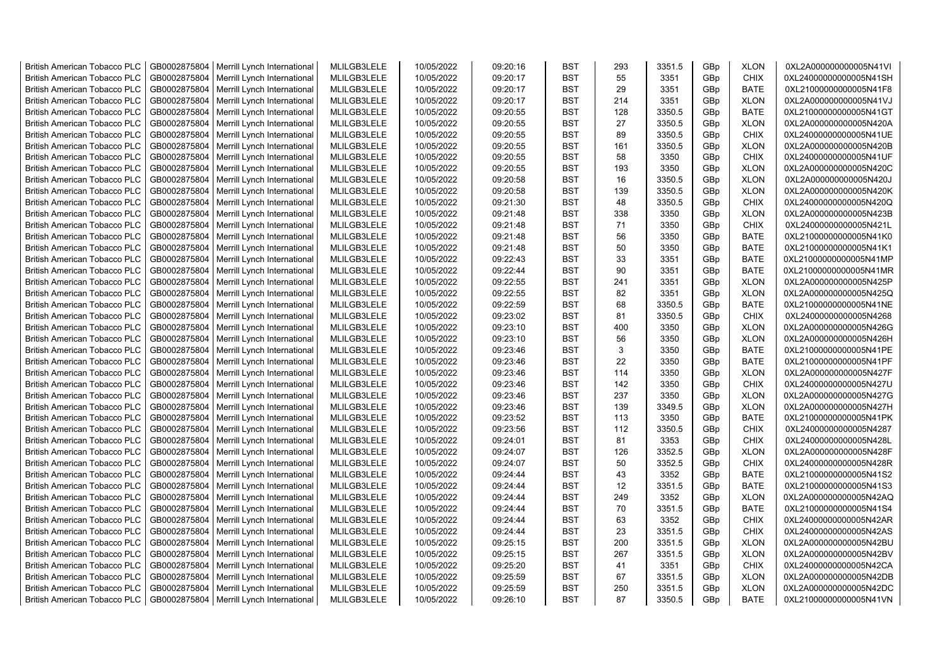| <b>British American Tobacco PLC</b> | GB0002875804 | Merrill Lynch International | MLILGB3LELE | 10/05/2022 | 09:20:16 | <b>BST</b> | 293 | 3351.5 | GBp | <b>XLON</b> | 0XL2A000000000005N41VI |
|-------------------------------------|--------------|-----------------------------|-------------|------------|----------|------------|-----|--------|-----|-------------|------------------------|
| <b>British American Tobacco PLC</b> | GB0002875804 | Merrill Lynch International | MLILGB3LELE | 10/05/2022 | 09:20:17 | <b>BST</b> | 55  | 3351   | GBp | <b>CHIX</b> | 0XL24000000000005N41SH |
| <b>British American Tobacco PLC</b> | GB0002875804 | Merrill Lynch International | MLILGB3LELE | 10/05/2022 | 09:20:17 | <b>BST</b> | 29  | 3351   | GBp | <b>BATE</b> | 0XL21000000000005N41F8 |
| <b>British American Tobacco PLC</b> | GB0002875804 | Merrill Lynch International | MLILGB3LELE | 10/05/2022 | 09:20:17 | <b>BST</b> | 214 | 3351   | GBp | <b>XLON</b> | 0XL2A000000000005N41VJ |
| British American Tobacco PLC        | GB0002875804 | Merrill Lynch International | MLILGB3LELE | 10/05/2022 | 09:20:55 | <b>BST</b> | 128 | 3350.5 | GBp | <b>BATE</b> | 0XL21000000000005N41GT |
| <b>British American Tobacco PLC</b> | GB0002875804 | Merrill Lynch International | MLILGB3LELE | 10/05/2022 | 09:20:55 | <b>BST</b> | 27  | 3350.5 | GBp | <b>XLON</b> | 0XL2A000000000005N420A |
| British American Tobacco PLC        | GB0002875804 | Merrill Lynch International | MLILGB3LELE | 10/05/2022 | 09:20:55 | <b>BST</b> | 89  | 3350.5 | GBp | <b>CHIX</b> | 0XL24000000000005N41UE |
| <b>British American Tobacco PLC</b> | GB0002875804 | Merrill Lynch International | MLILGB3LELE | 10/05/2022 | 09:20:55 | <b>BST</b> | 161 | 3350.5 | GBp | <b>XLON</b> | 0XL2A000000000005N420B |
| <b>British American Tobacco PLC</b> | GB0002875804 | Merrill Lynch International | MLILGB3LELE | 10/05/2022 | 09:20:55 | <b>BST</b> | 58  | 3350   | GBp | <b>CHIX</b> | 0XL24000000000005N41UF |
| <b>British American Tobacco PLC</b> | GB0002875804 | Merrill Lynch International | MLILGB3LELE | 10/05/2022 | 09:20:55 | <b>BST</b> | 193 | 3350   | GBp | <b>XLON</b> | 0XL2A000000000005N420C |
| <b>British American Tobacco PLC</b> | GB0002875804 | Merrill Lynch International | MLILGB3LELE | 10/05/2022 | 09:20:58 | <b>BST</b> | 16  | 3350.5 | GBp | <b>XLON</b> | 0XL2A000000000005N420J |
| <b>British American Tobacco PLC</b> | GB0002875804 | Merrill Lynch International | MLILGB3LELE | 10/05/2022 | 09:20:58 | <b>BST</b> | 139 | 3350.5 | GBp | <b>XLON</b> | 0XL2A000000000005N420K |
| <b>British American Tobacco PLC</b> | GB0002875804 | Merrill Lynch International | MLILGB3LELE | 10/05/2022 | 09:21:30 | <b>BST</b> | 48  | 3350.5 | GBp | <b>CHIX</b> | 0XL24000000000005N420Q |
| <b>British American Tobacco PLC</b> | GB0002875804 | Merrill Lynch International | MLILGB3LELE | 10/05/2022 | 09:21:48 | <b>BST</b> | 338 | 3350   | GBp | <b>XLON</b> | 0XL2A000000000005N423B |
| <b>British American Tobacco PLC</b> | GB0002875804 | Merrill Lynch International | MLILGB3LELE | 10/05/2022 | 09:21:48 | <b>BST</b> | 71  | 3350   | GBp | <b>CHIX</b> | 0XL24000000000005N421L |
| <b>British American Tobacco PLC</b> | GB0002875804 | Merrill Lynch International | MLILGB3LELE | 10/05/2022 | 09:21:48 | <b>BST</b> | 56  | 3350   | GBp | <b>BATE</b> | 0XL21000000000005N41K0 |
| <b>British American Tobacco PLC</b> | GB0002875804 | Merrill Lynch International | MLILGB3LELE | 10/05/2022 | 09:21:48 | <b>BST</b> | 50  | 3350   | GBp | <b>BATE</b> | 0XL21000000000005N41K1 |
| <b>British American Tobacco PLC</b> | GB0002875804 | Merrill Lynch International | MLILGB3LELE | 10/05/2022 | 09:22:43 | <b>BST</b> | 33  | 3351   | GBp | <b>BATE</b> | 0XL21000000000005N41MP |
| <b>British American Tobacco PLC</b> | GB0002875804 | Merrill Lynch International | MLILGB3LELE | 10/05/2022 | 09:22:44 | <b>BST</b> | 90  | 3351   | GBp | <b>BATE</b> | 0XL21000000000005N41MR |
| <b>British American Tobacco PLC</b> | GB0002875804 | Merrill Lynch International | MLILGB3LELE | 10/05/2022 | 09:22:55 | <b>BST</b> | 241 | 3351   | GBp | <b>XLON</b> | 0XL2A000000000005N425P |
| <b>British American Tobacco PLC</b> | GB0002875804 | Merrill Lynch International | MLILGB3LELE | 10/05/2022 | 09:22:55 | <b>BST</b> | 82  | 3351   | GBp | <b>XLON</b> | 0XL2A000000000005N425Q |
| <b>British American Tobacco PLC</b> | GB0002875804 | Merrill Lynch International | MLILGB3LELE | 10/05/2022 | 09:22:59 | <b>BST</b> | 68  | 3350.5 | GBp | <b>BATE</b> | 0XL21000000000005N41NE |
| <b>British American Tobacco PLC</b> | GB0002875804 | Merrill Lynch International | MLILGB3LELE | 10/05/2022 | 09:23:02 | <b>BST</b> | 81  | 3350.5 | GBp | <b>CHIX</b> | 0XL24000000000005N4268 |
| <b>British American Tobacco PLC</b> | GB0002875804 | Merrill Lynch International | MLILGB3LELE | 10/05/2022 | 09:23:10 | <b>BST</b> | 400 | 3350   | GBp | <b>XLON</b> | 0XL2A000000000005N426G |
| <b>British American Tobacco PLC</b> | GB0002875804 | Merrill Lynch International | MLILGB3LELE | 10/05/2022 | 09:23:10 | <b>BST</b> | 56  | 3350   | GBp | <b>XLON</b> | 0XL2A000000000005N426H |
| <b>British American Tobacco PLC</b> | GB0002875804 | Merrill Lynch International | MLILGB3LELE | 10/05/2022 | 09:23:46 | <b>BST</b> | 3   | 3350   | GBp | <b>BATE</b> | 0XL21000000000005N41PE |
| <b>British American Tobacco PLC</b> | GB0002875804 | Merrill Lynch International | MLILGB3LELE | 10/05/2022 | 09:23:46 | <b>BST</b> | 22  | 3350   | GBp | <b>BATE</b> | 0XL21000000000005N41PF |
| <b>British American Tobacco PLC</b> | GB0002875804 | Merrill Lynch International | MLILGB3LELE | 10/05/2022 | 09:23:46 | <b>BST</b> | 114 | 3350   | GBp | <b>XLON</b> | 0XL2A000000000005N427F |
| <b>British American Tobacco PLC</b> | GB0002875804 | Merrill Lynch International | MLILGB3LELE | 10/05/2022 | 09:23:46 | <b>BST</b> | 142 | 3350   | GBp | <b>CHIX</b> | 0XL24000000000005N427U |
| <b>British American Tobacco PLC</b> | GB0002875804 | Merrill Lynch International | MLILGB3LELE | 10/05/2022 | 09:23:46 | <b>BST</b> | 237 | 3350   | GBp | <b>XLON</b> | 0XL2A000000000005N427G |
| <b>British American Tobacco PLC</b> | GB0002875804 | Merrill Lynch International | MLILGB3LELE | 10/05/2022 | 09:23:46 | <b>BST</b> | 139 | 3349.5 | GBp | <b>XLON</b> | 0XL2A000000000005N427H |
|                                     | GB0002875804 |                             | MLILGB3LELE | 10/05/2022 |          | <b>BST</b> | 113 |        |     | <b>BATE</b> |                        |
| <b>British American Tobacco PLC</b> |              | Merrill Lynch International |             |            | 09:23:52 |            |     | 3350   | GBp |             | 0XL21000000000005N41PK |
| <b>British American Tobacco PLC</b> | GB0002875804 | Merrill Lynch International | MLILGB3LELE | 10/05/2022 | 09:23:56 | <b>BST</b> | 112 | 3350.5 | GBp | CHIX        | 0XL24000000000005N4287 |
| <b>British American Tobacco PLC</b> | GB0002875804 | Merrill Lynch International | MLILGB3LELE | 10/05/2022 | 09:24:01 | <b>BST</b> | 81  | 3353   | GBp | CHIX        | 0XL24000000000005N428L |
| <b>British American Tobacco PLC</b> | GB0002875804 | Merrill Lynch International | MLILGB3LELE | 10/05/2022 | 09:24:07 | <b>BST</b> | 126 | 3352.5 | GBp | <b>XLON</b> | 0XL2A000000000005N428F |
| <b>British American Tobacco PLC</b> | GB0002875804 | Merrill Lynch International | MLILGB3LELE | 10/05/2022 | 09:24:07 | <b>BST</b> | 50  | 3352.5 | GBp | <b>CHIX</b> | 0XL24000000000005N428R |
| <b>British American Tobacco PLC</b> | GB0002875804 | Merrill Lynch International | MLILGB3LELE | 10/05/2022 | 09:24:44 | <b>BST</b> | 43  | 3352   | GBp | <b>BATE</b> | 0XL21000000000005N41S2 |
| <b>British American Tobacco PLC</b> | GB0002875804 | Merrill Lynch International | MLILGB3LELE | 10/05/2022 | 09:24:44 | <b>BST</b> | 12  | 3351.5 | GBp | <b>BATE</b> | 0XL21000000000005N41S3 |
| <b>British American Tobacco PLC</b> | GB0002875804 | Merrill Lynch International | MLILGB3LELE | 10/05/2022 | 09:24:44 | <b>BST</b> | 249 | 3352   | GBp | <b>XLON</b> | 0XL2A000000000005N42AQ |
| <b>British American Tobacco PLC</b> | GB0002875804 | Merrill Lynch International | MLILGB3LELE | 10/05/2022 | 09:24:44 | <b>BST</b> | 70  | 3351.5 | GBp | <b>BATE</b> | 0XL21000000000005N41S4 |
| <b>British American Tobacco PLC</b> | GB0002875804 | Merrill Lynch International | MLILGB3LELE | 10/05/2022 | 09:24:44 | <b>BST</b> | 63  | 3352   | GBp | <b>CHIX</b> | 0XL24000000000005N42AR |
| <b>British American Tobacco PLC</b> | GB0002875804 | Merrill Lynch International | MLILGB3LELE | 10/05/2022 | 09:24:44 | <b>BST</b> | 23  | 3351.5 | GBp | CHIX        | 0XL24000000000005N42AS |
| <b>British American Tobacco PLC</b> | GB0002875804 | Merrill Lynch International | MLILGB3LELE | 10/05/2022 | 09:25:15 | <b>BST</b> | 200 | 3351.5 | GBp | <b>XLON</b> | 0XL2A000000000005N42BU |
| <b>British American Tobacco PLC</b> | GB0002875804 | Merrill Lynch International | MLILGB3LELE | 10/05/2022 | 09:25:15 | <b>BST</b> | 267 | 3351.5 | GBp | <b>XLON</b> | 0XL2A000000000005N42BV |
| <b>British American Tobacco PLC</b> | GB0002875804 | Merrill Lynch International | MLILGB3LELE | 10/05/2022 | 09:25:20 | <b>BST</b> | 41  | 3351   | GBp | <b>CHIX</b> | 0XL24000000000005N42CA |
| <b>British American Tobacco PLC</b> | GB0002875804 | Merrill Lynch International | MLILGB3LELE | 10/05/2022 | 09:25:59 | <b>BST</b> | 67  | 3351.5 | GBp | <b>XLON</b> | 0XL2A000000000005N42DB |
| <b>British American Tobacco PLC</b> | GB0002875804 | Merrill Lynch International | MLILGB3LELE | 10/05/2022 | 09:25:59 | <b>BST</b> | 250 | 3351.5 | GBp | <b>XLON</b> | 0XL2A000000000005N42DC |
| <b>British American Tobacco PLC</b> | GB0002875804 | Merrill Lynch International | MLILGB3LELE | 10/05/2022 | 09:26:10 | <b>BST</b> | 87  | 3350.5 | GBp | <b>BATE</b> | 0XL21000000000005N41VN |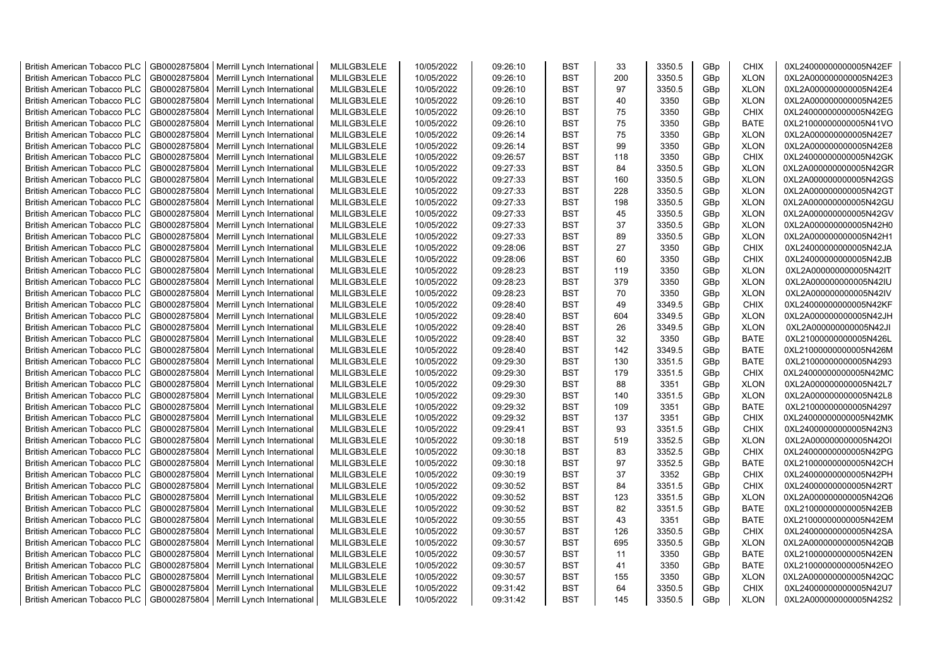| <b>British American Tobacco PLC</b> | GB0002875804 | Merrill Lynch International | MLILGB3LELE | 10/05/2022 | 09:26:10 | <b>BST</b> | 33  | 3350.5 | GBp | <b>CHIX</b> | 0XL24000000000005N42EF |
|-------------------------------------|--------------|-----------------------------|-------------|------------|----------|------------|-----|--------|-----|-------------|------------------------|
| <b>British American Tobacco PLC</b> | GB0002875804 | Merrill Lynch International | MLILGB3LELE | 10/05/2022 | 09:26:10 | <b>BST</b> | 200 | 3350.5 | GBp | <b>XLON</b> | 0XL2A000000000005N42E3 |
| <b>British American Tobacco PLC</b> | GB0002875804 | Merrill Lynch International | MLILGB3LELE | 10/05/2022 | 09:26:10 | <b>BST</b> | 97  | 3350.5 | GBp | <b>XLON</b> | 0XL2A000000000005N42E4 |
| <b>British American Tobacco PLC</b> | GB0002875804 | Merrill Lynch International | MLILGB3LELE | 10/05/2022 | 09:26:10 | <b>BST</b> | 40  | 3350   | GBp | <b>XLON</b> | 0XL2A000000000005N42E5 |
| <b>British American Tobacco PLC</b> | GB0002875804 | Merrill Lynch International | MLILGB3LELE | 10/05/2022 | 09:26:10 | <b>BST</b> | 75  | 3350   | GBp | <b>CHIX</b> | 0XL24000000000005N42EG |
| <b>British American Tobacco PLC</b> | GB0002875804 | Merrill Lynch International | MLILGB3LELE | 10/05/2022 | 09:26:10 | <b>BST</b> | 75  | 3350   | GBp | <b>BATE</b> | 0XL21000000000005N41VO |
| British American Tobacco PLC        | GB0002875804 | Merrill Lynch International | MLILGB3LELE | 10/05/2022 | 09:26:14 | <b>BST</b> | 75  | 3350   | GBp | <b>XLON</b> | 0XL2A000000000005N42E7 |
| <b>British American Tobacco PLC</b> | GB0002875804 | Merrill Lynch International | MLILGB3LELE | 10/05/2022 | 09:26:14 | <b>BST</b> | 99  | 3350   | GBp | <b>XLON</b> | 0XL2A000000000005N42E8 |
| <b>British American Tobacco PLC</b> | GB0002875804 | Merrill Lynch International | MLILGB3LELE | 10/05/2022 | 09:26:57 | <b>BST</b> | 118 | 3350   | GBp | <b>CHIX</b> | 0XL24000000000005N42GK |
| <b>British American Tobacco PLC</b> | GB0002875804 | Merrill Lynch International | MLILGB3LELE | 10/05/2022 | 09:27:33 | <b>BST</b> | 84  | 3350.5 | GBp | <b>XLON</b> | 0XL2A000000000005N42GR |
| <b>British American Tobacco PLC</b> | GB0002875804 | Merrill Lynch International | MLILGB3LELE | 10/05/2022 | 09:27:33 | <b>BST</b> | 160 | 3350.5 | GBp | <b>XLON</b> | 0XL2A000000000005N42GS |
| <b>British American Tobacco PLC</b> | GB0002875804 | Merrill Lynch International | MLILGB3LELE | 10/05/2022 | 09:27:33 | <b>BST</b> | 228 | 3350.5 | GBp | <b>XLON</b> | 0XL2A000000000005N42GT |
| <b>British American Tobacco PLC</b> | GB0002875804 | Merrill Lynch International | MLILGB3LELE | 10/05/2022 | 09:27:33 | <b>BST</b> | 198 | 3350.5 | GBp | <b>XLON</b> | 0XL2A000000000005N42GU |
| <b>British American Tobacco PLC</b> | GB0002875804 | Merrill Lynch International | MLILGB3LELE | 10/05/2022 | 09:27:33 | <b>BST</b> | 45  | 3350.5 | GBp | <b>XLON</b> | 0XL2A000000000005N42GV |
| <b>British American Tobacco PLC</b> | GB0002875804 | Merrill Lynch International | MLILGB3LELE | 10/05/2022 | 09:27:33 | <b>BST</b> | 37  | 3350.5 | GBp | <b>XLON</b> | 0XL2A000000000005N42H0 |
| <b>British American Tobacco PLC</b> | GB0002875804 | Merrill Lynch International | MLILGB3LELE | 10/05/2022 | 09:27:33 | <b>BST</b> | 89  | 3350.5 | GBp | <b>XLON</b> | 0XL2A000000000005N42H1 |
| <b>British American Tobacco PLC</b> | GB0002875804 | Merrill Lynch International | MLILGB3LELE | 10/05/2022 | 09:28:06 | <b>BST</b> | 27  | 3350   | GBp | <b>CHIX</b> | 0XL24000000000005N42JA |
| <b>British American Tobacco PLC</b> | GB0002875804 | Merrill Lynch International | MLILGB3LELE | 10/05/2022 | 09:28:06 | <b>BST</b> | 60  | 3350   | GBp | <b>CHIX</b> | 0XL24000000000005N42JB |
| <b>British American Tobacco PLC</b> | GB0002875804 | Merrill Lynch International | MLILGB3LELE | 10/05/2022 | 09:28:23 | <b>BST</b> | 119 | 3350   | GBp | <b>XLON</b> | 0XL2A000000000005N42IT |
| <b>British American Tobacco PLC</b> | GB0002875804 | Merrill Lynch International | MLILGB3LELE | 10/05/2022 | 09:28:23 | <b>BST</b> | 379 | 3350   | GBp | <b>XLON</b> | 0XL2A000000000005N42IU |
| <b>British American Tobacco PLC</b> | GB0002875804 | Merrill Lynch International | MLILGB3LELE | 10/05/2022 | 09:28:23 | <b>BST</b> | 70  | 3350   | GBp | <b>XLON</b> | 0XL2A000000000005N42IV |
| <b>British American Tobacco PLC</b> | GB0002875804 | Merrill Lynch International | MLILGB3LELE | 10/05/2022 | 09:28:40 | <b>BST</b> | 49  | 3349.5 | GBp | <b>CHIX</b> | 0XL24000000000005N42KF |
| <b>British American Tobacco PLC</b> | GB0002875804 | Merrill Lynch International | MLILGB3LELE | 10/05/2022 | 09:28:40 | <b>BST</b> | 604 | 3349.5 | GBp | <b>XLON</b> | 0XL2A000000000005N42JH |
| <b>British American Tobacco PLC</b> | GB0002875804 | Merrill Lynch International | MLILGB3LELE | 10/05/2022 | 09:28:40 | <b>BST</b> | 26  | 3349.5 | GBp | <b>XLON</b> | 0XL2A000000000005N42JI |
| <b>British American Tobacco PLC</b> | GB0002875804 | Merrill Lynch International | MLILGB3LELE | 10/05/2022 | 09:28:40 | <b>BST</b> | 32  | 3350   | GBp | <b>BATE</b> | 0XL21000000000005N426L |
| <b>British American Tobacco PLC</b> | GB0002875804 | Merrill Lynch International | MLILGB3LELE | 10/05/2022 | 09:28:40 | <b>BST</b> | 142 | 3349.5 | GBp | <b>BATE</b> | 0XL21000000000005N426M |
| <b>British American Tobacco PLC</b> | GB0002875804 | Merrill Lynch International | MLILGB3LELE | 10/05/2022 | 09:29:30 | <b>BST</b> | 130 | 3351.5 | GBp | <b>BATE</b> | 0XL21000000000005N4293 |
| <b>British American Tobacco PLC</b> | GB0002875804 | Merrill Lynch International | MLILGB3LELE | 10/05/2022 | 09:29:30 | <b>BST</b> | 179 | 3351.5 | GBp | <b>CHIX</b> | 0XL24000000000005N42MC |
| <b>British American Tobacco PLC</b> | GB0002875804 | Merrill Lynch International | MLILGB3LELE | 10/05/2022 | 09:29:30 | <b>BST</b> | 88  | 3351   | GBp | <b>XLON</b> | 0XL2A000000000005N42L7 |
| <b>British American Tobacco PLC</b> | GB0002875804 | Merrill Lynch International | MLILGB3LELE | 10/05/2022 | 09:29:30 | <b>BST</b> | 140 | 3351.5 | GBp | <b>XLON</b> | 0XL2A000000000005N42L8 |
| <b>British American Tobacco PLC</b> | GB0002875804 | Merrill Lynch International | MLILGB3LELE | 10/05/2022 | 09:29:32 | <b>BST</b> | 109 | 3351   | GBp | <b>BATE</b> | 0XL21000000000005N4297 |
| <b>British American Tobacco PLC</b> | GB0002875804 | Merrill Lynch International | MLILGB3LELE | 10/05/2022 | 09:29:32 | <b>BST</b> | 137 | 3351   | GBp | <b>CHIX</b> | 0XL24000000000005N42MK |
| <b>British American Tobacco PLC</b> | GB0002875804 | Merrill Lynch International | MLILGB3LELE | 10/05/2022 | 09:29:41 | <b>BST</b> | 93  | 3351.5 | GBp | CHIX        | 0XL24000000000005N42N3 |
| <b>British American Tobacco PLC</b> | GB0002875804 | Merrill Lynch International | MLILGB3LELE | 10/05/2022 | 09:30:18 | <b>BST</b> | 519 | 3352.5 | GBp | <b>XLON</b> | 0XL2A000000000005N42OI |
| <b>British American Tobacco PLC</b> | GB0002875804 | Merrill Lynch International | MLILGB3LELE | 10/05/2022 | 09:30:18 | <b>BST</b> | 83  | 3352.5 | GBp | <b>CHIX</b> | 0XL24000000000005N42PG |
| <b>British American Tobacco PLC</b> | GB0002875804 | Merrill Lynch International | MLILGB3LELE | 10/05/2022 | 09:30:18 | <b>BST</b> | 97  | 3352.5 | GBp | <b>BATE</b> | 0XL21000000000005N42CH |
| <b>British American Tobacco PLC</b> | GB0002875804 | Merrill Lynch International | MLILGB3LELE | 10/05/2022 | 09:30:19 | <b>BST</b> | 37  | 3352   | GBp | <b>CHIX</b> | 0XL24000000000005N42PH |
| <b>British American Tobacco PLC</b> | GB0002875804 | Merrill Lynch International | MLILGB3LELE | 10/05/2022 | 09:30:52 | <b>BST</b> | 84  | 3351.5 | GBp | <b>CHIX</b> | 0XL24000000000005N42RT |
| <b>British American Tobacco PLC</b> | GB0002875804 | Merrill Lynch International | MLILGB3LELE | 10/05/2022 | 09:30:52 | <b>BST</b> | 123 | 3351.5 | GBp | <b>XLON</b> | 0XL2A000000000005N42Q6 |
| <b>British American Tobacco PLC</b> | GB0002875804 | Merrill Lynch International | MLILGB3LELE | 10/05/2022 | 09:30:52 | <b>BST</b> | 82  | 3351.5 | GBp | <b>BATE</b> | 0XL21000000000005N42EB |
| <b>British American Tobacco PLC</b> | GB0002875804 | Merrill Lynch International | MLILGB3LELE | 10/05/2022 | 09:30:55 | <b>BST</b> | 43  | 3351   | GBp | <b>BATE</b> | 0XL21000000000005N42EM |
| <b>British American Tobacco PLC</b> | GB0002875804 | Merrill Lynch International | MLILGB3LELE | 10/05/2022 | 09:30:57 | <b>BST</b> | 126 | 3350.5 | GBp | CHIX        | 0XL24000000000005N42SA |
| <b>British American Tobacco PLC</b> | GB0002875804 | Merrill Lynch International | MLILGB3LELE | 10/05/2022 | 09:30:57 | <b>BST</b> | 695 | 3350.5 | GBp | <b>XLON</b> | 0XL2A000000000005N42QB |
| <b>British American Tobacco PLC</b> | GB0002875804 | Merrill Lynch International | MLILGB3LELE | 10/05/2022 | 09:30:57 | <b>BST</b> | 11  | 3350   | GBp | <b>BATE</b> | 0XL21000000000005N42EN |
| <b>British American Tobacco PLC</b> | GB0002875804 | Merrill Lynch International | MLILGB3LELE | 10/05/2022 | 09:30:57 | <b>BST</b> | 41  | 3350   | GBp | <b>BATE</b> | 0XL21000000000005N42EO |
| <b>British American Tobacco PLC</b> | GB0002875804 | Merrill Lynch International | MLILGB3LELE | 10/05/2022 | 09:30:57 | <b>BST</b> | 155 | 3350   | GBp | <b>XLON</b> | 0XL2A000000000005N42QC |
| <b>British American Tobacco PLC</b> | GB0002875804 | Merrill Lynch International | MLILGB3LELE | 10/05/2022 | 09:31:42 | <b>BST</b> | 64  | 3350.5 | GBp | <b>CHIX</b> | 0XL24000000000005N42U7 |
| <b>British American Tobacco PLC</b> | GB0002875804 | Merrill Lynch International | MLILGB3LELE | 10/05/2022 | 09:31:42 | <b>BST</b> | 145 | 3350.5 | GBp | <b>XLON</b> | 0XL2A000000000005N42S2 |
|                                     |              |                             |             |            |          |            |     |        |     |             |                        |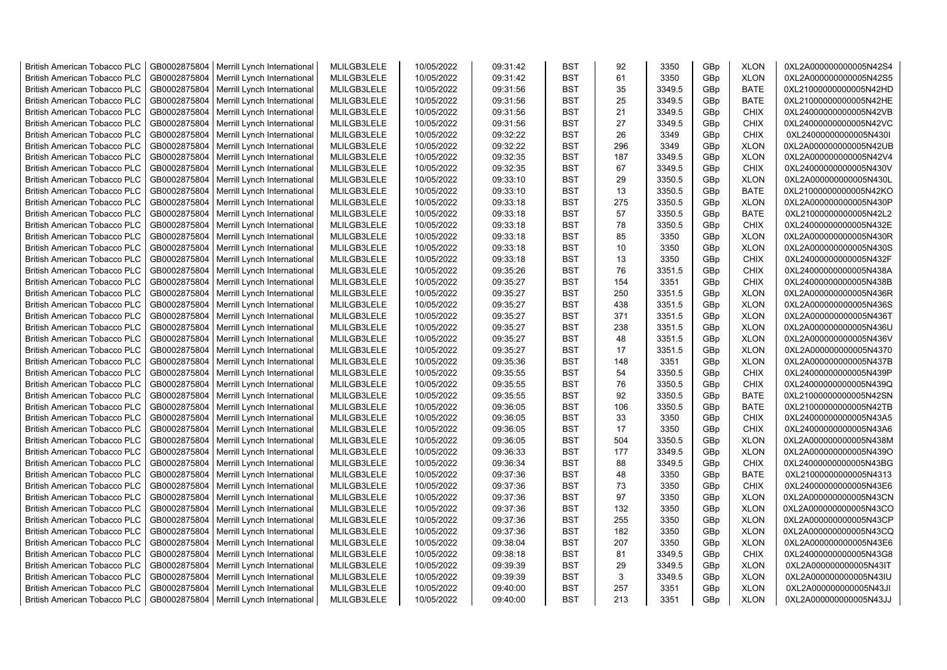| <b>British American Tobacco PLC</b> | GB0002875804 | Merrill Lynch International                | MLILGB3LELE | 10/05/2022 | 09:31:42 | <b>BST</b> | 92  | 3350   | GBp             | <b>XLON</b> | 0XL2A000000000005N42S4 |
|-------------------------------------|--------------|--------------------------------------------|-------------|------------|----------|------------|-----|--------|-----------------|-------------|------------------------|
| <b>British American Tobacco PLC</b> | GB0002875804 | Merrill Lynch International                | MLILGB3LELE | 10/05/2022 | 09:31:42 | <b>BST</b> | 61  | 3350   | GBp             | <b>XLON</b> | 0XL2A000000000005N42S5 |
| <b>British American Tobacco PLC</b> | GB0002875804 | Merrill Lynch International                | MLILGB3LELE | 10/05/2022 | 09:31:56 | <b>BST</b> | 35  | 3349.5 | GBp             | <b>BATE</b> | 0XL21000000000005N42HD |
| <b>British American Tobacco PLC</b> | GB0002875804 | Merrill Lynch International                | MLILGB3LELE | 10/05/2022 | 09:31:56 | <b>BST</b> | 25  | 3349.5 | GBp             | <b>BATE</b> | 0XL21000000000005N42HE |
| <b>British American Tobacco PLC</b> | GB0002875804 | Merrill Lynch International                | MLILGB3LELE | 10/05/2022 | 09:31:56 | <b>BST</b> | 21  | 3349.5 | GBp             | <b>CHIX</b> | 0XL24000000000005N42VB |
| <b>British American Tobacco PLC</b> | GB0002875804 | Merrill Lynch International                | MLILGB3LELE | 10/05/2022 | 09:31:56 | <b>BST</b> | 27  | 3349.5 | GBp             | <b>CHIX</b> | 0XL24000000000005N42VC |
| <b>British American Tobacco PLC</b> | GB0002875804 | Merrill Lynch International                | MLILGB3LELE | 10/05/2022 | 09:32:22 | <b>BST</b> | 26  | 3349   | GBp             | <b>CHIX</b> | 0XL24000000000005N430I |
| <b>British American Tobacco PLC</b> | GB0002875804 | Merrill Lynch International                | MLILGB3LELE | 10/05/2022 | 09:32:22 | <b>BST</b> | 296 | 3349   | GBp             | <b>XLON</b> | 0XL2A000000000005N42UB |
| <b>British American Tobacco PLC</b> | GB0002875804 | Merrill Lynch International                | MLILGB3LELE | 10/05/2022 | 09:32:35 | BST        | 187 | 3349.5 | GBp             | <b>XLON</b> | 0XL2A000000000005N42V4 |
| <b>British American Tobacco PLC</b> | GB0002875804 | Merrill Lynch International                | MLILGB3LELE | 10/05/2022 | 09:32:35 | <b>BST</b> | 67  | 3349.5 | GBp             | <b>CHIX</b> | 0XL24000000000005N430V |
| <b>British American Tobacco PLC</b> | GB0002875804 | Merrill Lynch International                | MLILGB3LELE | 10/05/2022 | 09:33:10 | BST        | 29  | 3350.5 | GBp             | <b>XLON</b> | 0XL2A000000000005N430L |
| <b>British American Tobacco PLC</b> | GB0002875804 | Merrill Lynch International                | MLILGB3LELE | 10/05/2022 | 09:33:10 | <b>BST</b> | 13  | 3350.5 | GBp             | <b>BATE</b> | 0XL21000000000005N42KO |
| <b>British American Tobacco PLC</b> | GB0002875804 | Merrill Lynch International                | MLILGB3LELE | 10/05/2022 | 09:33:18 | <b>BST</b> | 275 | 3350.5 | GBp             | <b>XLON</b> | 0XL2A000000000005N430P |
| <b>British American Tobacco PLC</b> | GB0002875804 | Merrill Lynch International                | MLILGB3LELE | 10/05/2022 | 09:33:18 | <b>BST</b> | 57  | 3350.5 | GBp             | <b>BATE</b> | 0XL21000000000005N42L2 |
| <b>British American Tobacco PLC</b> | GB0002875804 | Merrill Lynch International                | MLILGB3LELE | 10/05/2022 | 09:33:18 | <b>BST</b> | 78  | 3350.5 | GBp             | <b>CHIX</b> | 0XL24000000000005N432E |
| <b>British American Tobacco PLC</b> | GB0002875804 | Merrill Lynch International                | MLILGB3LELE | 10/05/2022 | 09:33:18 | <b>BST</b> | 85  | 3350   | GBp             | <b>XLON</b> | 0XL2A000000000005N430R |
| <b>British American Tobacco PLC</b> | GB0002875804 | Merrill Lynch International                | MLILGB3LELE | 10/05/2022 | 09:33:18 | <b>BST</b> | 10  | 3350   | GBp             | <b>XLON</b> | 0XL2A000000000005N430S |
| <b>British American Tobacco PLC</b> | GB0002875804 | Merrill Lynch International                | MLILGB3LELE | 10/05/2022 | 09:33:18 | <b>BST</b> | 13  | 3350   | GBp             | <b>CHIX</b> | 0XL24000000000005N432F |
| <b>British American Tobacco PLC</b> | GB0002875804 | Merrill Lynch International                | MLILGB3LELE | 10/05/2022 | 09:35:26 | <b>BST</b> | 76  | 3351.5 | GBp             | <b>CHIX</b> | 0XL24000000000005N438A |
| <b>British American Tobacco PLC</b> | GB0002875804 | Merrill Lynch International                | MLILGB3LELE | 10/05/2022 | 09:35:27 | <b>BST</b> | 154 | 3351   | GBp             | <b>CHIX</b> | 0XL24000000000005N438B |
| <b>British American Tobacco PLC</b> | GB0002875804 | Merrill Lynch International                | MLILGB3LELE | 10/05/2022 | 09:35:27 | <b>BST</b> | 250 | 3351.5 | GBp             | <b>XLON</b> | 0XL2A000000000005N436R |
| <b>British American Tobacco PLC</b> | GB0002875804 | Merrill Lynch International                | MLILGB3LELE | 10/05/2022 | 09:35:27 | <b>BST</b> | 438 | 3351.5 | GBp             | <b>XLON</b> | 0XL2A000000000005N436S |
| <b>British American Tobacco PLC</b> | GB0002875804 | Merrill Lynch International                | MLILGB3LELE | 10/05/2022 | 09:35:27 | <b>BST</b> | 371 | 3351.5 | GBp             | <b>XLON</b> | 0XL2A000000000005N436T |
| <b>British American Tobacco PLC</b> | GB0002875804 | Merrill Lynch International                | MLILGB3LELE | 10/05/2022 | 09:35:27 | <b>BST</b> | 238 | 3351.5 | GBp             | <b>XLON</b> | 0XL2A000000000005N436U |
| <b>British American Tobacco PLC</b> | GB0002875804 | Merrill Lynch International                | MLILGB3LELE | 10/05/2022 | 09:35:27 | <b>BST</b> | 48  | 3351.5 | GBp             | <b>XLON</b> | 0XL2A000000000005N436V |
| <b>British American Tobacco PLC</b> | GB0002875804 | Merrill Lynch International                | MLILGB3LELE | 10/05/2022 | 09:35:27 | <b>BST</b> | 17  | 3351.5 | GBp             | <b>XLON</b> | 0XL2A000000000005N4370 |
| <b>British American Tobacco PLC</b> | GB0002875804 | Merrill Lynch International                | MLILGB3LELE | 10/05/2022 | 09:35:36 | <b>BST</b> | 148 | 3351   | GBp             | <b>XLON</b> | 0XL2A000000000005N437B |
| <b>British American Tobacco PLC</b> | GB0002875804 | Merrill Lynch International                | MLILGB3LELE | 10/05/2022 | 09:35:55 | <b>BST</b> | 54  | 3350.5 | GBp             | <b>CHIX</b> | 0XL24000000000005N439P |
| <b>British American Tobacco PLC</b> | GB0002875804 | Merrill Lynch International                | MLILGB3LELE | 10/05/2022 | 09:35:55 | BST        | 76  | 3350.5 | GBp             | <b>CHIX</b> | 0XL24000000000005N439Q |
| <b>British American Tobacco PLC</b> | GB0002875804 | Merrill Lynch International                | MLILGB3LELE | 10/05/2022 | 09:35:55 | <b>BST</b> | 92  | 3350.5 | GBp             | <b>BATE</b> | 0XL21000000000005N42SN |
| <b>British American Tobacco PLC</b> | GB0002875804 | Merrill Lynch International                | MLILGB3LELE | 10/05/2022 | 09:36:05 | <b>BST</b> | 106 | 3350.5 | GBp             | <b>BATE</b> | 0XL21000000000005N42TB |
| <b>British American Tobacco PLC</b> | GB0002875804 | Merrill Lynch International                | MLILGB3LELE | 10/05/2022 | 09:36:05 | <b>BST</b> | 33  | 3350   | GBp             | <b>CHIX</b> | 0XL24000000000005N43A5 |
| <b>British American Tobacco PLC</b> | GB0002875804 | Merrill Lynch International                | MLILGB3LELE | 10/05/2022 | 09:36:05 | <b>BST</b> | 17  | 3350   | GBp             | <b>CHIX</b> | 0XL24000000000005N43A6 |
| <b>British American Tobacco PLC</b> | GB0002875804 | Merrill Lynch International                | MLILGB3LELE | 10/05/2022 | 09:36:05 | BST        | 504 | 3350.5 | GBp             | <b>XLON</b> | 0XL2A000000000005N438M |
| <b>British American Tobacco PLC</b> | GB0002875804 | Merrill Lynch International                | MLILGB3LELE | 10/05/2022 | 09:36:33 | <b>BST</b> | 177 | 3349.5 | GBp             | <b>XLON</b> | 0XL2A000000000005N439O |
| <b>British American Tobacco PLC</b> | GB0002875804 | Merrill Lynch International                | MLILGB3LELE | 10/05/2022 | 09:36:34 | <b>BST</b> | 88  | 3349.5 | GBp             | <b>CHIX</b> | 0XL24000000000005N43BG |
| <b>British American Tobacco PLC</b> | GB0002875804 | Merrill Lynch International                | MLILGB3LELE | 10/05/2022 | 09:37:36 | <b>BST</b> | 48  | 3350   | GBp             | <b>BATE</b> | 0XL21000000000005N4313 |
| <b>British American Tobacco PLC</b> | GB0002875804 | Merrill Lynch International                | MLILGB3LELE | 10/05/2022 | 09:37:36 | <b>BST</b> | 73  | 3350   | GBp             | <b>CHIX</b> | 0XL24000000000005N43E6 |
| <b>British American Tobacco PLC</b> | GB0002875804 | Merrill Lynch International                | MLILGB3LELE | 10/05/2022 | 09:37:36 | <b>BST</b> | 97  | 3350   | GBp             | <b>XLON</b> | 0XL2A000000000005N43CN |
| <b>British American Tobacco PLC</b> | GB0002875804 | Merrill Lynch International                | MLILGB3LELE | 10/05/2022 | 09:37:36 | <b>BST</b> | 132 | 3350   | GBp             | <b>XLON</b> | 0XL2A000000000005N43CO |
| <b>British American Tobacco PLC</b> | GB0002875804 | Merrill Lynch International                | MLILGB3LELE | 10/05/2022 | 09:37:36 | <b>BST</b> | 255 | 3350   | GBp             | <b>XLON</b> | 0XL2A000000000005N43CP |
| <b>British American Tobacco PLC</b> | GB0002875804 | Merrill Lynch International                | MLILGB3LELE | 10/05/2022 | 09:37:36 | <b>BST</b> | 182 | 3350   | GBp             | <b>XLON</b> | 0XL2A000000000005N43CQ |
| <b>British American Tobacco PLC</b> | GB0002875804 | Merrill Lynch International                | MLILGB3LELE | 10/05/2022 | 09:38:04 | <b>BST</b> | 207 | 3350   | GBp             | <b>XLON</b> | 0XL2A000000000005N43E6 |
| <b>British American Tobacco PLC</b> | GB0002875804 | Merrill Lynch International                | MLILGB3LELE | 10/05/2022 | 09:38:18 | <b>BST</b> | 81  | 3349.5 | GBp             | <b>CHIX</b> | 0XL24000000000005N43G8 |
| <b>British American Tobacco PLC</b> | GB0002875804 | Merrill Lynch International                | MLILGB3LELE | 10/05/2022 | 09:39:39 | <b>BST</b> | 29  | 3349.5 | GBp             | <b>XLON</b> | 0XL2A000000000005N43IT |
| <b>British American Tobacco PLC</b> | GB0002875804 | Merrill Lynch International                | MLILGB3LELE | 10/05/2022 | 09:39:39 | <b>BST</b> | 3   | 3349.5 | GBp             | <b>XLON</b> | 0XL2A000000000005N43IU |
| <b>British American Tobacco PLC</b> | GB0002875804 | Merrill Lynch International                | MLILGB3LELE | 10/05/2022 | 09:40:00 | <b>BST</b> | 257 | 3351   | GBp             | <b>XLON</b> | 0XL2A000000000005N43JI |
| <b>British American Tobacco PLC</b> |              | GB0002875804   Merrill Lynch International | MLILGB3LELE | 10/05/2022 | 09:40:00 | <b>BST</b> | 213 | 3351   | GB <sub>p</sub> | <b>XLON</b> | 0XL2A000000000005N43JJ |
|                                     |              |                                            |             |            |          |            |     |        |                 |             |                        |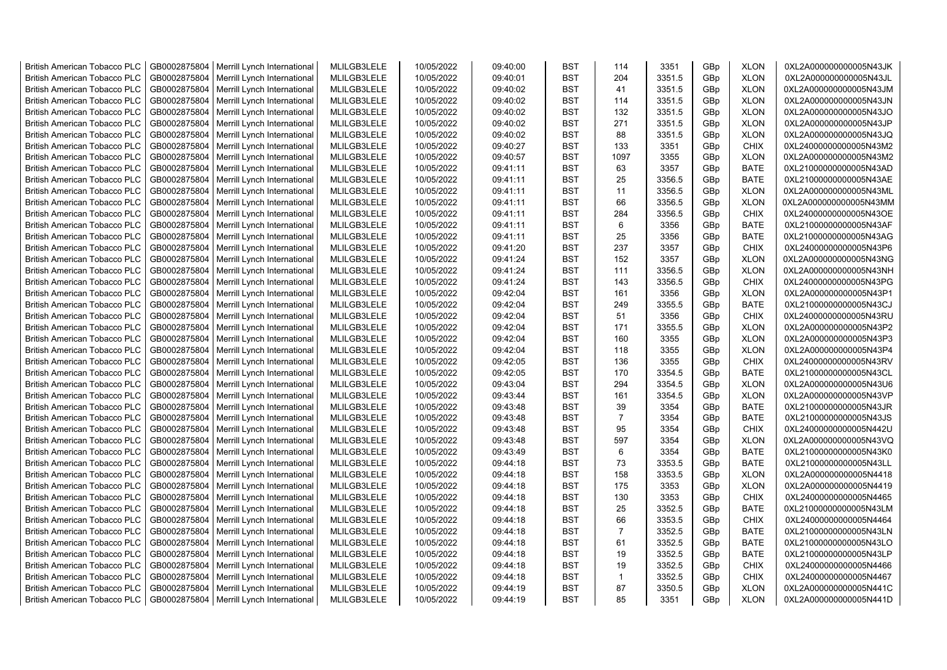| <b>British American Tobacco PLC</b> | GB0002875804 | Merrill Lynch International | MLILGB3LELE | 10/05/2022 | 09:40:00 | <b>BST</b> | 114            | 3351   | GBp | <b>XLON</b> | 0XL2A000000000005N43JK |
|-------------------------------------|--------------|-----------------------------|-------------|------------|----------|------------|----------------|--------|-----|-------------|------------------------|
| <b>British American Tobacco PLC</b> | GB0002875804 | Merrill Lynch International | MLILGB3LELE | 10/05/2022 | 09:40:01 | <b>BST</b> | 204            | 3351.5 | GBp | <b>XLON</b> | 0XL2A000000000005N43JL |
| <b>British American Tobacco PLC</b> | GB0002875804 | Merrill Lynch International | MLILGB3LELE | 10/05/2022 | 09:40:02 | <b>BST</b> | 41             | 3351.5 | GBp | <b>XLON</b> | 0XL2A000000000005N43JM |
| <b>British American Tobacco PLC</b> | GB0002875804 | Merrill Lynch International | MLILGB3LELE | 10/05/2022 | 09:40:02 | <b>BST</b> | 114            | 3351.5 | GBp | <b>XLON</b> | 0XL2A000000000005N43JN |
| <b>British American Tobacco PLC</b> | GB0002875804 | Merrill Lynch International | MLILGB3LELE | 10/05/2022 | 09:40:02 | <b>BST</b> | 132            | 3351.5 | GBp | <b>XLON</b> | 0XL2A000000000005N43JO |
| <b>British American Tobacco PLC</b> | GB0002875804 | Merrill Lynch International | MLILGB3LELE | 10/05/2022 | 09:40:02 | <b>BST</b> | 271            | 3351.5 | GBp | <b>XLON</b> | 0XL2A000000000005N43JP |
| British American Tobacco PLC        | GB0002875804 | Merrill Lynch International | MLILGB3LELE | 10/05/2022 | 09:40:02 | <b>BST</b> | 88             | 3351.5 | GBp | <b>XLON</b> | 0XL2A000000000005N43JQ |
| <b>British American Tobacco PLC</b> | GB0002875804 | Merrill Lynch International | MLILGB3LELE | 10/05/2022 | 09:40:27 | <b>BST</b> | 133            | 3351   | GBp | <b>CHIX</b> | 0XL24000000000005N43M2 |
| <b>British American Tobacco PLC</b> | GB0002875804 | Merrill Lynch International | MLILGB3LELE | 10/05/2022 | 09:40:57 | <b>BST</b> | 1097           | 3355   | GBp | <b>XLON</b> | 0XL2A000000000005N43M2 |
| <b>British American Tobacco PLC</b> | GB0002875804 | Merrill Lynch International | MLILGB3LELE | 10/05/2022 | 09:41:11 | <b>BST</b> | 63             | 3357   | GBp | <b>BATE</b> | 0XL21000000000005N43AD |
| <b>British American Tobacco PLC</b> | GB0002875804 | Merrill Lynch International | MLILGB3LELE | 10/05/2022 | 09:41:11 | <b>BST</b> | 25             | 3356.5 | GBp | <b>BATE</b> | 0XL21000000000005N43AE |
| <b>British American Tobacco PLC</b> | GB0002875804 | Merrill Lynch International | MLILGB3LELE | 10/05/2022 | 09:41:11 | <b>BST</b> | 11             | 3356.5 | GBp | <b>XLON</b> | 0XL2A000000000005N43ML |
| <b>British American Tobacco PLC</b> | GB0002875804 | Merrill Lynch International | MLILGB3LELE | 10/05/2022 | 09:41:11 | <b>BST</b> | 66             | 3356.5 | GBp | <b>XLON</b> | 0XL2A000000000005N43MM |
| <b>British American Tobacco PLC</b> | GB0002875804 | Merrill Lynch International | MLILGB3LELE | 10/05/2022 | 09:41:11 | <b>BST</b> | 284            | 3356.5 | GBp | <b>CHIX</b> | 0XL24000000000005N43OE |
| <b>British American Tobacco PLC</b> | GB0002875804 | Merrill Lynch International | MLILGB3LELE | 10/05/2022 | 09:41:11 | <b>BST</b> | $6\phantom{1}$ | 3356   | GBp | <b>BATE</b> | 0XL21000000000005N43AF |
| <b>British American Tobacco PLC</b> | GB0002875804 | Merrill Lynch International | MLILGB3LELE | 10/05/2022 | 09:41:11 | <b>BST</b> | 25             | 3356   | GBp | <b>BATE</b> | 0XL21000000000005N43AG |
| <b>British American Tobacco PLC</b> | GB0002875804 | Merrill Lynch International | MLILGB3LELE | 10/05/2022 | 09:41:20 | <b>BST</b> | 237            | 3357   | GBp | <b>CHIX</b> | 0XL24000000000005N43P6 |
| <b>British American Tobacco PLC</b> | GB0002875804 | Merrill Lynch International | MLILGB3LELE | 10/05/2022 | 09:41:24 | <b>BST</b> | 152            | 3357   | GBp | <b>XLON</b> | 0XL2A000000000005N43NG |
| <b>British American Tobacco PLC</b> | GB0002875804 | Merrill Lynch International | MLILGB3LELE | 10/05/2022 | 09:41:24 | <b>BST</b> | 111            | 3356.5 | GBp | <b>XLON</b> | 0XL2A000000000005N43NH |
| <b>British American Tobacco PLC</b> | GB0002875804 | Merrill Lynch International | MLILGB3LELE | 10/05/2022 | 09:41:24 | <b>BST</b> | 143            | 3356.5 | GBp | <b>CHIX</b> | 0XL24000000000005N43PG |
| <b>British American Tobacco PLC</b> | GB0002875804 | Merrill Lynch International | MLILGB3LELE | 10/05/2022 | 09:42:04 | <b>BST</b> | 161            | 3356   | GBp | <b>XLON</b> | 0XL2A000000000005N43P1 |
| <b>British American Tobacco PLC</b> | GB0002875804 | Merrill Lynch International | MLILGB3LELE | 10/05/2022 | 09:42:04 | <b>BST</b> | 249            | 3355.5 | GBp | <b>BATE</b> | 0XL21000000000005N43CJ |
| <b>British American Tobacco PLC</b> | GB0002875804 | Merrill Lynch International | MLILGB3LELE | 10/05/2022 | 09:42:04 | <b>BST</b> | 51             | 3356   | GBp | <b>CHIX</b> | 0XL24000000000005N43RU |
| <b>British American Tobacco PLC</b> | GB0002875804 | Merrill Lynch International | MLILGB3LELE | 10/05/2022 | 09:42:04 | <b>BST</b> | 171            | 3355.5 | GBp | <b>XLON</b> | 0XL2A000000000005N43P2 |
| <b>British American Tobacco PLC</b> | GB0002875804 | Merrill Lynch International | MLILGB3LELE | 10/05/2022 | 09:42:04 | <b>BST</b> | 160            | 3355   | GBp | <b>XLON</b> | 0XL2A000000000005N43P3 |
| <b>British American Tobacco PLC</b> | GB0002875804 | Merrill Lynch International | MLILGB3LELE | 10/05/2022 | 09:42:04 | <b>BST</b> | 118            | 3355   | GBp | <b>XLON</b> | 0XL2A000000000005N43P4 |
| <b>British American Tobacco PLC</b> | GB0002875804 | Merrill Lynch International | MLILGB3LELE | 10/05/2022 | 09:42:05 | <b>BST</b> | 136            | 3355   | GBp | <b>CHIX</b> | 0XL24000000000005N43RV |
| <b>British American Tobacco PLC</b> | GB0002875804 | Merrill Lynch International | MLILGB3LELE | 10/05/2022 | 09:42:05 | <b>BST</b> | 170            | 3354.5 | GBp | <b>BATE</b> | 0XL21000000000005N43CL |
| <b>British American Tobacco PLC</b> | GB0002875804 | Merrill Lynch International | MLILGB3LELE | 10/05/2022 | 09:43:04 | <b>BST</b> | 294            | 3354.5 | GBp | <b>XLON</b> | 0XL2A000000000005N43U6 |
| <b>British American Tobacco PLC</b> | GB0002875804 | Merrill Lynch International | MLILGB3LELE | 10/05/2022 | 09:43:44 | <b>BST</b> | 161            | 3354.5 | GBp | <b>XLON</b> | 0XL2A000000000005N43VP |
| <b>British American Tobacco PLC</b> | GB0002875804 | Merrill Lynch International | MLILGB3LELE | 10/05/2022 | 09:43:48 | <b>BST</b> | 39             | 3354   | GBp | <b>BATE</b> | 0XL21000000000005N43JR |
| <b>British American Tobacco PLC</b> | GB0002875804 | Merrill Lynch International | MLILGB3LELE | 10/05/2022 | 09:43:48 | <b>BST</b> | $\overline{7}$ | 3354   | GBp | <b>BATE</b> | 0XL21000000000005N43JS |
| <b>British American Tobacco PLC</b> | GB0002875804 | Merrill Lynch International | MLILGB3LELE | 10/05/2022 | 09:43:48 | <b>BST</b> | 95             | 3354   | GBp | CHIX        | 0XL24000000000005N442U |
| <b>British American Tobacco PLC</b> | GB0002875804 | Merrill Lynch International | MLILGB3LELE | 10/05/2022 | 09:43:48 | <b>BST</b> | 597            | 3354   | GBp | <b>XLON</b> | 0XL2A000000000005N43VQ |
| <b>British American Tobacco PLC</b> | GB0002875804 | Merrill Lynch International | MLILGB3LELE | 10/05/2022 | 09:43:49 | <b>BST</b> | 6              | 3354   | GBp | <b>BATE</b> | 0XL21000000000005N43K0 |
| <b>British American Tobacco PLC</b> | GB0002875804 | Merrill Lynch International | MLILGB3LELE | 10/05/2022 | 09:44:18 | <b>BST</b> | 73             | 3353.5 | GBp | <b>BATE</b> | 0XL21000000000005N43LL |
| <b>British American Tobacco PLC</b> | GB0002875804 | Merrill Lynch International | MLILGB3LELE | 10/05/2022 | 09:44:18 | <b>BST</b> | 158            | 3353.5 | GBp | <b>XLON</b> | 0XL2A000000000005N4418 |
| <b>British American Tobacco PLC</b> | GB0002875804 | Merrill Lynch International | MLILGB3LELE | 10/05/2022 | 09:44:18 | <b>BST</b> | 175            | 3353   | GBp | <b>XLON</b> | 0XL2A000000000005N4419 |
| <b>British American Tobacco PLC</b> | GB0002875804 | Merrill Lynch International | MLILGB3LELE | 10/05/2022 | 09:44:18 | <b>BST</b> | 130            | 3353   | GBp | <b>CHIX</b> | 0XL24000000000005N4465 |
| <b>British American Tobacco PLC</b> | GB0002875804 | Merrill Lynch International | MLILGB3LELE | 10/05/2022 | 09:44:18 | <b>BST</b> | 25             | 3352.5 | GBp | <b>BATE</b> | 0XL21000000000005N43LM |
| <b>British American Tobacco PLC</b> | GB0002875804 | Merrill Lynch International | MLILGB3LELE | 10/05/2022 | 09:44:18 | <b>BST</b> | 66             | 3353.5 | GBp | <b>CHIX</b> | 0XL24000000000005N4464 |
| <b>British American Tobacco PLC</b> | GB0002875804 | Merrill Lynch International | MLILGB3LELE | 10/05/2022 | 09:44:18 | <b>BST</b> | $\overline{7}$ | 3352.5 | GBp | <b>BATE</b> | 0XL21000000000005N43LN |
| <b>British American Tobacco PLC</b> | GB0002875804 | Merrill Lynch International | MLILGB3LELE | 10/05/2022 | 09:44:18 | <b>BST</b> | 61             | 3352.5 | GBp | <b>BATE</b> | 0XL21000000000005N43LO |
| <b>British American Tobacco PLC</b> | GB0002875804 | Merrill Lynch International | MLILGB3LELE | 10/05/2022 | 09:44:18 | <b>BST</b> | 19             | 3352.5 | GBp | <b>BATE</b> | 0XL21000000000005N43LP |
| <b>British American Tobacco PLC</b> | GB0002875804 | Merrill Lynch International | MLILGB3LELE | 10/05/2022 | 09:44:18 | <b>BST</b> | 19             | 3352.5 | GBp | <b>CHIX</b> | 0XL24000000000005N4466 |
| <b>British American Tobacco PLC</b> | GB0002875804 | Merrill Lynch International | MLILGB3LELE | 10/05/2022 | 09:44:18 | <b>BST</b> | $\overline{1}$ | 3352.5 | GBp | <b>CHIX</b> | 0XL24000000000005N4467 |
| <b>British American Tobacco PLC</b> | GB0002875804 | Merrill Lynch International | MLILGB3LELE | 10/05/2022 | 09:44:19 | <b>BST</b> | 87             | 3350.5 | GBp | <b>XLON</b> | 0XL2A000000000005N441C |
| <b>British American Tobacco PLC</b> | GB0002875804 | Merrill Lynch International | MLILGB3LELE | 10/05/2022 | 09:44:19 | <b>BST</b> | 85             | 3351   | GBp | <b>XLON</b> | 0XL2A000000000005N441D |
|                                     |              |                             |             |            |          |            |                |        |     |             |                        |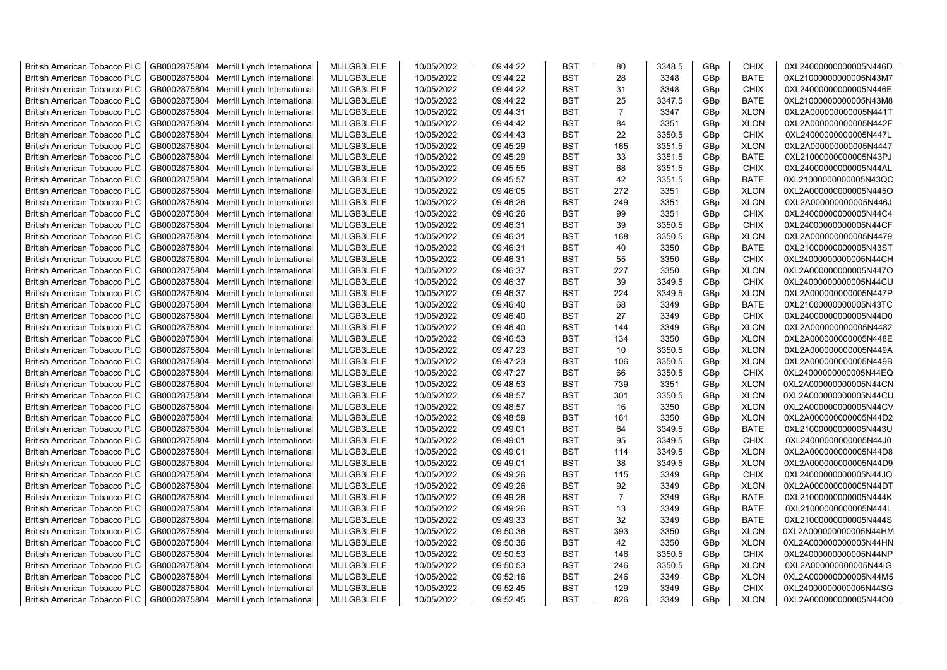| <b>British American Tobacco PLC</b> | GB0002875804 | Merrill Lynch International | MLILGB3LELE | 10/05/2022 | 09:44:22 | <b>BST</b> | 80             | 3348.5 | GBp | <b>CHIX</b> | 0XL24000000000005N446D |
|-------------------------------------|--------------|-----------------------------|-------------|------------|----------|------------|----------------|--------|-----|-------------|------------------------|
| <b>British American Tobacco PLC</b> | GB0002875804 | Merrill Lynch International | MLILGB3LELE | 10/05/2022 | 09:44:22 | <b>BST</b> | 28             | 3348   | GBp | <b>BATE</b> | 0XL21000000000005N43M7 |
| <b>British American Tobacco PLC</b> | GB0002875804 | Merrill Lynch International | MLILGB3LELE | 10/05/2022 | 09:44:22 | <b>BST</b> | 31             | 3348   | GBp | <b>CHIX</b> | 0XL24000000000005N446E |
| <b>British American Tobacco PLC</b> | GB0002875804 | Merrill Lynch International | MLILGB3LELE | 10/05/2022 | 09:44:22 | <b>BST</b> | 25             | 3347.5 | GBp | <b>BATE</b> | 0XL21000000000005N43M8 |
| British American Tobacco PLC        | GB0002875804 | Merrill Lynch International | MLILGB3LELE | 10/05/2022 | 09:44:31 | <b>BST</b> | $\overline{7}$ | 3347   | GBp | <b>XLON</b> | 0XL2A000000000005N441T |
| <b>British American Tobacco PLC</b> | GB0002875804 | Merrill Lynch International | MLILGB3LELE | 10/05/2022 | 09:44:42 | <b>BST</b> | 84             | 3351   | GBp | <b>XLON</b> | 0XL2A000000000005N442F |
| <b>British American Tobacco PLC</b> | GB0002875804 | Merrill Lynch International | MLILGB3LELE | 10/05/2022 | 09:44:43 | <b>BST</b> | 22             | 3350.5 | GBp | <b>CHIX</b> | 0XL24000000000005N447L |
| <b>British American Tobacco PLC</b> | GB0002875804 | Merrill Lynch International | MLILGB3LELE | 10/05/2022 | 09:45:29 | <b>BST</b> | 165            | 3351.5 | GBp | <b>XLON</b> | 0XL2A000000000005N4447 |
| <b>British American Tobacco PLC</b> | GB0002875804 | Merrill Lynch International | MLILGB3LELE | 10/05/2022 | 09:45:29 | <b>BST</b> | 33             | 3351.5 | GBp | <b>BATE</b> | 0XL21000000000005N43PJ |
| <b>British American Tobacco PLC</b> | GB0002875804 | Merrill Lynch International | MLILGB3LELE | 10/05/2022 | 09:45:55 | <b>BST</b> | 68             | 3351.5 | GBp | CHIX        | 0XL24000000000005N44AL |
| <b>British American Tobacco PLC</b> | GB0002875804 | Merrill Lynch International | MLILGB3LELE | 10/05/2022 | 09:45:57 | <b>BST</b> | 42             | 3351.5 | GBp | <b>BATE</b> | 0XL21000000000005N43QC |
| <b>British American Tobacco PLC</b> | GB0002875804 | Merrill Lynch International | MLILGB3LELE | 10/05/2022 | 09:46:05 | <b>BST</b> | 272            | 3351   | GBp | <b>XLON</b> | 0XL2A000000000005N445O |
| <b>British American Tobacco PLC</b> | GB0002875804 | Merrill Lynch International | MLILGB3LELE | 10/05/2022 | 09:46:26 | <b>BST</b> | 249            | 3351   | GBp | <b>XLON</b> | 0XL2A000000000005N446J |
| <b>British American Tobacco PLC</b> | GB0002875804 | Merrill Lynch International | MLILGB3LELE | 10/05/2022 | 09:46:26 | <b>BST</b> | 99             | 3351   | GBp | <b>CHIX</b> | 0XL24000000000005N44C4 |
| <b>British American Tobacco PLC</b> | GB0002875804 | Merrill Lynch International | MLILGB3LELE | 10/05/2022 | 09:46:31 | <b>BST</b> | 39             | 3350.5 | GBp | <b>CHIX</b> | 0XL24000000000005N44CF |
| <b>British American Tobacco PLC</b> | GB0002875804 | Merrill Lynch International | MLILGB3LELE | 10/05/2022 | 09:46:31 | <b>BST</b> | 168            | 3350.5 | GBp | <b>XLON</b> | 0XL2A000000000005N4479 |
| <b>British American Tobacco PLC</b> | GB0002875804 | Merrill Lynch International | MLILGB3LELE | 10/05/2022 | 09:46:31 | <b>BST</b> | 40             | 3350   | GBp | <b>BATE</b> | 0XL21000000000005N43ST |
| <b>British American Tobacco PLC</b> | GB0002875804 | Merrill Lynch International | MLILGB3LELE | 10/05/2022 | 09:46:31 | <b>BST</b> | 55             | 3350   | GBp | <b>CHIX</b> | 0XL24000000000005N44CH |
| <b>British American Tobacco PLC</b> | GB0002875804 | Merrill Lynch International | MLILGB3LELE | 10/05/2022 | 09:46:37 | <b>BST</b> | 227            | 3350   | GBp | <b>XLON</b> | 0XL2A000000000005N447O |
| <b>British American Tobacco PLC</b> | GB0002875804 | Merrill Lynch International | MLILGB3LELE | 10/05/2022 | 09:46:37 | <b>BST</b> | 39             | 3349.5 | GBp | <b>CHIX</b> | 0XL24000000000005N44CU |
| <b>British American Tobacco PLC</b> | GB0002875804 | Merrill Lynch International | MLILGB3LELE | 10/05/2022 | 09:46:37 | <b>BST</b> | 224            | 3349.5 | GBp | <b>XLON</b> | 0XL2A000000000005N447P |
| British American Tobacco PLC        | GB0002875804 | Merrill Lynch International | MLILGB3LELE | 10/05/2022 | 09:46:40 | <b>BST</b> | 68             | 3349   | GBp | <b>BATE</b> | 0XL21000000000005N43TC |
| British American Tobacco PLC        | GB0002875804 | Merrill Lynch International | MLILGB3LELE | 10/05/2022 | 09:46:40 | <b>BST</b> | 27             | 3349   | GBp | <b>CHIX</b> | 0XL24000000000005N44D0 |
| <b>British American Tobacco PLC</b> | GB0002875804 | Merrill Lynch International | MLILGB3LELE | 10/05/2022 | 09:46:40 | <b>BST</b> | 144            | 3349   | GBp | <b>XLON</b> | 0XL2A000000000005N4482 |
| <b>British American Tobacco PLC</b> | GB0002875804 | Merrill Lynch International | MLILGB3LELE | 10/05/2022 | 09:46:53 | <b>BST</b> | 134            | 3350   | GBp | <b>XLON</b> | 0XL2A000000000005N448E |
| <b>British American Tobacco PLC</b> | GB0002875804 | Merrill Lynch International | MLILGB3LELE | 10/05/2022 | 09:47:23 | <b>BST</b> | 10             | 3350.5 | GBp | <b>XLON</b> | 0XL2A000000000005N449A |
| <b>British American Tobacco PLC</b> | GB0002875804 | Merrill Lynch International | MLILGB3LELE | 10/05/2022 | 09:47:23 | <b>BST</b> | 106            | 3350.5 | GBp | <b>XLON</b> | 0XL2A000000000005N449B |
| <b>British American Tobacco PLC</b> | GB0002875804 | Merrill Lynch International | MLILGB3LELE | 10/05/2022 | 09:47:27 | <b>BST</b> | 66             | 3350.5 | GBp | <b>CHIX</b> | 0XL24000000000005N44EQ |
| <b>British American Tobacco PLC</b> | GB0002875804 | Merrill Lynch International | MLILGB3LELE | 10/05/2022 | 09:48:53 | <b>BST</b> | 739            | 3351   | GBp | <b>XLON</b> | 0XL2A000000000005N44CN |
| <b>British American Tobacco PLC</b> | GB0002875804 | Merrill Lynch International | MLILGB3LELE | 10/05/2022 | 09:48:57 | <b>BST</b> | 301            | 3350.5 | GBp | <b>XLON</b> | 0XL2A000000000005N44CU |
| <b>British American Tobacco PLC</b> | GB0002875804 | Merrill Lynch International | MLILGB3LELE | 10/05/2022 | 09:48:57 | <b>BST</b> | 16             | 3350   | GBp | <b>XLON</b> | 0XL2A000000000005N44CV |
|                                     | GB0002875804 |                             | MLILGB3LELE | 10/05/2022 |          | <b>BST</b> | 161            |        | GBp | <b>XLON</b> |                        |
| <b>British American Tobacco PLC</b> |              | Merrill Lynch International |             |            | 09:48:59 |            |                | 3350   |     |             | 0XL2A000000000005N44D2 |
| <b>British American Tobacco PLC</b> | GB0002875804 | Merrill Lynch International | MLILGB3LELE | 10/05/2022 | 09:49:01 | <b>BST</b> | 64             | 3349.5 | GBp | <b>BATE</b> | 0XL21000000000005N443U |
| <b>British American Tobacco PLC</b> | GB0002875804 | Merrill Lynch International | MLILGB3LELE | 10/05/2022 | 09:49:01 | <b>BST</b> | 95             | 3349.5 | GBp | <b>CHIX</b> | 0XL24000000000005N44J0 |
| <b>British American Tobacco PLC</b> | GB0002875804 | Merrill Lynch International | MLILGB3LELE | 10/05/2022 | 09:49:01 | <b>BST</b> | 114            | 3349.5 | GBp | <b>XLON</b> | 0XL2A000000000005N44D8 |
| <b>British American Tobacco PLC</b> | GB0002875804 | Merrill Lynch International | MLILGB3LELE | 10/05/2022 | 09:49:01 | <b>BST</b> | 38             | 3349.5 | GBp | <b>XLON</b> | 0XL2A000000000005N44D9 |
| <b>British American Tobacco PLC</b> | GB0002875804 | Merrill Lynch International | MLILGB3LELE | 10/05/2022 | 09:49:26 | <b>BST</b> | 115            | 3349   | GBp | CHIX        | 0XL24000000000005N44JQ |
| <b>British American Tobacco PLC</b> | GB0002875804 | Merrill Lynch International | MLILGB3LELE | 10/05/2022 | 09:49:26 | <b>BST</b> | 92             | 3349   | GBp | <b>XLON</b> | 0XL2A000000000005N44DT |
| <b>British American Tobacco PLC</b> | GB0002875804 | Merrill Lynch International | MLILGB3LELE | 10/05/2022 | 09:49:26 | <b>BST</b> | $\overline{7}$ | 3349   | GBp | <b>BATE</b> | 0XL21000000000005N444K |
| <b>British American Tobacco PLC</b> | GB0002875804 | Merrill Lynch International | MLILGB3LELE | 10/05/2022 | 09:49:26 | <b>BST</b> | 13             | 3349   | GBp | <b>BATE</b> | 0XL21000000000005N444L |
| <b>British American Tobacco PLC</b> | GB0002875804 | Merrill Lynch International | MLILGB3LELE | 10/05/2022 | 09:49:33 | <b>BST</b> | 32             | 3349   | GBp | <b>BATE</b> | 0XL21000000000005N444S |
| <b>British American Tobacco PLC</b> | GB0002875804 | Merrill Lynch International | MLILGB3LELE | 10/05/2022 | 09:50:36 | <b>BST</b> | 393            | 3350   | GBp | <b>XLON</b> | 0XL2A000000000005N44HM |
| <b>British American Tobacco PLC</b> | GB0002875804 | Merrill Lynch International | MLILGB3LELE | 10/05/2022 | 09:50:36 | <b>BST</b> | 42             | 3350   | GBp | <b>XLON</b> | 0XL2A000000000005N44HN |
| <b>British American Tobacco PLC</b> | GB0002875804 | Merrill Lynch International | MLILGB3LELE | 10/05/2022 | 09:50:53 | <b>BST</b> | 146            | 3350.5 | GBp | <b>CHIX</b> | 0XL24000000000005N44NP |
| <b>British American Tobacco PLC</b> | GB0002875804 | Merrill Lynch International | MLILGB3LELE | 10/05/2022 | 09:50:53 | <b>BST</b> | 246            | 3350.5 | GBp | <b>XLON</b> | 0XL2A000000000005N44IG |
| <b>British American Tobacco PLC</b> | GB0002875804 | Merrill Lynch International | MLILGB3LELE | 10/05/2022 | 09:52:16 | <b>BST</b> | 246            | 3349   | GBp | <b>XLON</b> | 0XL2A000000000005N44M5 |
| <b>British American Tobacco PLC</b> | GB0002875804 | Merrill Lynch International | MLILGB3LELE | 10/05/2022 | 09:52:45 | <b>BST</b> | 129            | 3349   | GBp | <b>CHIX</b> | 0XL24000000000005N44SG |
| <b>British American Tobacco PLC</b> | GB0002875804 | Merrill Lynch International | MLILGB3LELE | 10/05/2022 | 09:52:45 | <b>BST</b> | 826            | 3349   | GBp | <b>XLON</b> | 0XL2A000000000005N44O0 |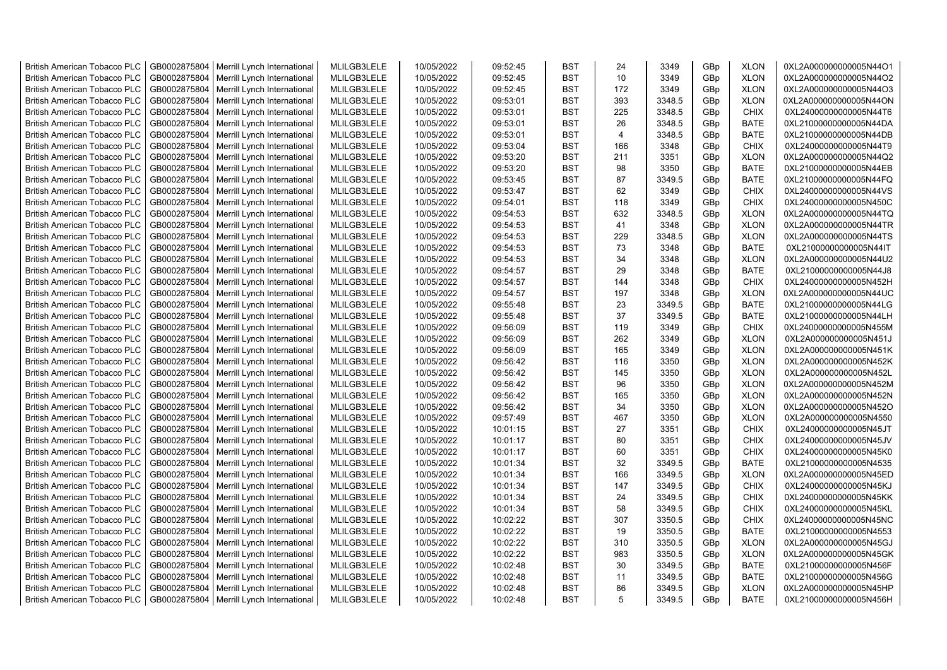| <b>British American Tobacco PLC</b> | GB0002875804 | Merrill Lynch International                | MLILGB3LELE | 10/05/2022 | 09:52:45 | <b>BST</b> | 24             | 3349   | GBp | <b>XLON</b> | 0XL2A000000000005N44O1 |
|-------------------------------------|--------------|--------------------------------------------|-------------|------------|----------|------------|----------------|--------|-----|-------------|------------------------|
| <b>British American Tobacco PLC</b> | GB0002875804 | Merrill Lynch International                | MLILGB3LELE | 10/05/2022 | 09:52:45 | <b>BST</b> | 10             | 3349   | GBp | <b>XLON</b> | 0XL2A000000000005N44O2 |
| <b>British American Tobacco PLC</b> | GB0002875804 | Merrill Lynch International                | MLILGB3LELE | 10/05/2022 | 09:52:45 | <b>BST</b> | 172            | 3349   | GBp | <b>XLON</b> | 0XL2A000000000005N44O3 |
| <b>British American Tobacco PLC</b> | GB0002875804 | Merrill Lynch International                | MLILGB3LELE | 10/05/2022 | 09:53:01 | <b>BST</b> | 393            | 3348.5 | GBp | <b>XLON</b> | 0XL2A000000000005N44ON |
| <b>British American Tobacco PLC</b> | GB0002875804 | Merrill Lynch International                | MLILGB3LELE | 10/05/2022 | 09:53:01 | <b>BST</b> | 225            | 3348.5 | GBp | <b>CHIX</b> | 0XL24000000000005N44T6 |
| <b>British American Tobacco PLC</b> | GB0002875804 | Merrill Lynch International                | MLILGB3LELE | 10/05/2022 | 09:53:01 | <b>BST</b> | 26             | 3348.5 | GBp | <b>BATE</b> | 0XL21000000000005N44DA |
| <b>British American Tobacco PLC</b> | GB0002875804 | Merrill Lynch International                | MLILGB3LELE | 10/05/2022 | 09:53:01 | <b>BST</b> | $\overline{4}$ | 3348.5 | GBp | <b>BATE</b> | 0XL21000000000005N44DB |
| <b>British American Tobacco PLC</b> | GB0002875804 | Merrill Lynch International                | MLILGB3LELE | 10/05/2022 | 09:53:04 | <b>BST</b> | 166            | 3348   | GBp | CHIX        | 0XL24000000000005N44T9 |
| <b>British American Tobacco PLC</b> | GB0002875804 | Merrill Lynch International                | MLILGB3LELE | 10/05/2022 | 09:53:20 | <b>BST</b> | 211            | 3351   | GBp | <b>XLON</b> | 0XL2A000000000005N44Q2 |
| <b>British American Tobacco PLC</b> | GB0002875804 | Merrill Lynch International                | MLILGB3LELE | 10/05/2022 | 09:53:20 | <b>BST</b> | 98             | 3350   | GBp | <b>BATE</b> | 0XL21000000000005N44EB |
| <b>British American Tobacco PLC</b> | GB0002875804 | Merrill Lynch International                | MLILGB3LELE | 10/05/2022 | 09:53:45 | <b>BST</b> | 87             | 3349.5 | GBp | <b>BATE</b> | 0XL21000000000005N44FQ |
| <b>British American Tobacco PLC</b> | GB0002875804 | Merrill Lynch International                | MLILGB3LELE | 10/05/2022 | 09:53:47 | <b>BST</b> | 62             | 3349   | GBp | <b>CHIX</b> | 0XL24000000000005N44VS |
| <b>British American Tobacco PLC</b> | GB0002875804 | Merrill Lynch International                | MLILGB3LELE | 10/05/2022 | 09:54:01 | <b>BST</b> | 118            | 3349   | GBp | <b>CHIX</b> | 0XL24000000000005N450C |
| <b>British American Tobacco PLC</b> | GB0002875804 | Merrill Lynch International                | MLILGB3LELE | 10/05/2022 | 09:54:53 | <b>BST</b> | 632            | 3348.5 | GBp | <b>XLON</b> | 0XL2A000000000005N44TQ |
| <b>British American Tobacco PLC</b> | GB0002875804 | Merrill Lynch International                | MLILGB3LELE | 10/05/2022 | 09:54:53 | <b>BST</b> | 41             | 3348   | GBp | <b>XLON</b> | 0XL2A000000000005N44TR |
| <b>British American Tobacco PLC</b> | GB0002875804 | Merrill Lynch International                | MLILGB3LELE | 10/05/2022 | 09:54:53 | <b>BST</b> | 229            | 3348.5 | GBp | <b>XLON</b> | 0XL2A000000000005N44TS |
| <b>British American Tobacco PLC</b> | GB0002875804 | Merrill Lynch International                | MLILGB3LELE | 10/05/2022 | 09:54:53 | <b>BST</b> | 73             | 3348   | GBp | <b>BATE</b> | 0XL21000000000005N44IT |
| <b>British American Tobacco PLC</b> | GB0002875804 | Merrill Lynch International                | MLILGB3LELE | 10/05/2022 | 09:54:53 | <b>BST</b> | 34             | 3348   | GBp | <b>XLON</b> | 0XL2A000000000005N44U2 |
| <b>British American Tobacco PLC</b> | GB0002875804 | Merrill Lynch International                | MLILGB3LELE | 10/05/2022 | 09:54:57 | <b>BST</b> | 29             | 3348   | GBp | <b>BATE</b> | 0XL21000000000005N44J8 |
| <b>British American Tobacco PLC</b> | GB0002875804 | Merrill Lynch International                | MLILGB3LELE | 10/05/2022 | 09:54:57 | <b>BST</b> | 144            | 3348   | GBp | <b>CHIX</b> | 0XL24000000000005N452H |
| <b>British American Tobacco PLC</b> | GB0002875804 | Merrill Lynch International                | MLILGB3LELE | 10/05/2022 | 09:54:57 | <b>BST</b> | 197            | 3348   | GBp | <b>XLON</b> | 0XL2A000000000005N44UC |
| <b>British American Tobacco PLC</b> | GB0002875804 | Merrill Lynch International                | MLILGB3LELE | 10/05/2022 | 09:55:48 | <b>BST</b> | 23             | 3349.5 | GBp | <b>BATE</b> | 0XL21000000000005N44LG |
| <b>British American Tobacco PLC</b> | GB0002875804 | Merrill Lynch International                | MLILGB3LELE | 10/05/2022 | 09:55:48 | <b>BST</b> | 37             | 3349.5 | GBp | <b>BATE</b> | 0XL21000000000005N44LH |
| <b>British American Tobacco PLC</b> | GB0002875804 | Merrill Lynch International                | MLILGB3LELE | 10/05/2022 | 09:56:09 | <b>BST</b> | 119            | 3349   | GBp | CHIX        | 0XL24000000000005N455M |
| <b>British American Tobacco PLC</b> | GB0002875804 | Merrill Lynch International                | MLILGB3LELE | 10/05/2022 | 09:56:09 | <b>BST</b> | 262            | 3349   | GBp | <b>XLON</b> | 0XL2A000000000005N451J |
| British American Tobacco PLC        | GB0002875804 | Merrill Lynch International                | MLILGB3LELE | 10/05/2022 | 09:56:09 | <b>BST</b> | 165            | 3349   | GBp | <b>XLON</b> | 0XL2A000000000005N451K |
| <b>British American Tobacco PLC</b> | GB0002875804 | Merrill Lynch International                | MLILGB3LELE | 10/05/2022 | 09:56:42 | <b>BST</b> | 116            | 3350   | GBp | <b>XLON</b> | 0XL2A000000000005N452K |
| <b>British American Tobacco PLC</b> | GB0002875804 | Merrill Lynch International                | MLILGB3LELE | 10/05/2022 | 09:56:42 | <b>BST</b> | 145            | 3350   | GBp | <b>XLON</b> | 0XL2A000000000005N452L |
| <b>British American Tobacco PLC</b> | GB0002875804 | Merrill Lynch International                | MLILGB3LELE | 10/05/2022 | 09:56:42 | <b>BST</b> | 96             | 3350   | GBp | <b>XLON</b> | 0XL2A000000000005N452M |
| <b>British American Tobacco PLC</b> | GB0002875804 | Merrill Lynch International                | MLILGB3LELE | 10/05/2022 | 09:56:42 | <b>BST</b> | 165            | 3350   | GBp | <b>XLON</b> | 0XL2A000000000005N452N |
| <b>British American Tobacco PLC</b> | GB0002875804 | Merrill Lynch International                | MLILGB3LELE | 10/05/2022 | 09:56:42 | <b>BST</b> | 34             | 3350   | GBp | <b>XLON</b> | 0XL2A000000000005N452O |
|                                     |              |                                            |             |            |          | <b>BST</b> |                | 3350   |     |             |                        |
| <b>British American Tobacco PLC</b> | GB0002875804 | Merrill Lynch International                | MLILGB3LELE | 10/05/2022 | 09:57:49 |            | 467            |        | GBp | <b>XLON</b> | 0XL2A000000000005N4550 |
| <b>British American Tobacco PLC</b> | GB0002875804 | Merrill Lynch International                | MLILGB3LELE | 10/05/2022 | 10:01:15 | <b>BST</b> | 27             | 3351   | GBp | CHIX        | 0XL24000000000005N45JT |
| <b>British American Tobacco PLC</b> | GB0002875804 | Merrill Lynch International                | MLILGB3LELE | 10/05/2022 | 10:01:17 | <b>BST</b> | 80             | 3351   | GBp | <b>CHIX</b> | 0XL24000000000005N45JV |
| <b>British American Tobacco PLC</b> | GB0002875804 | Merrill Lynch International                | MLILGB3LELE | 10/05/2022 | 10:01:17 | <b>BST</b> | 60             | 3351   | GBp | <b>CHIX</b> | 0XL24000000000005N45K0 |
| <b>British American Tobacco PLC</b> | GB0002875804 | Merrill Lynch International                | MLILGB3LELE | 10/05/2022 | 10:01:34 | <b>BST</b> | 32             | 3349.5 | GBp | <b>BATE</b> | 0XL21000000000005N4535 |
| <b>British American Tobacco PLC</b> | GB0002875804 | Merrill Lynch International                | MLILGB3LELE | 10/05/2022 | 10:01:34 | <b>BST</b> | 166            | 3349.5 | GBp | <b>XLON</b> | 0XL2A000000000005N45ED |
| <b>British American Tobacco PLC</b> | GB0002875804 | Merrill Lynch International                | MLILGB3LELE | 10/05/2022 | 10:01:34 | <b>BST</b> | 147            | 3349.5 | GBp | <b>CHIX</b> | 0XL24000000000005N45KJ |
| <b>British American Tobacco PLC</b> | GB0002875804 | Merrill Lynch International                | MLILGB3LELE | 10/05/2022 | 10:01:34 | <b>BST</b> | 24             | 3349.5 | GBp | CHIX        | 0XL24000000000005N45KK |
| <b>British American Tobacco PLC</b> | GB0002875804 | Merrill Lynch International                | MLILGB3LELE | 10/05/2022 | 10:01:34 | <b>BST</b> | 58             | 3349.5 | GBp | <b>CHIX</b> | 0XL24000000000005N45KL |
| <b>British American Tobacco PLC</b> | GB0002875804 | Merrill Lynch International                | MLILGB3LELE | 10/05/2022 | 10:02:22 | <b>BST</b> | 307            | 3350.5 | GBp | <b>CHIX</b> | 0XL24000000000005N45NC |
| <b>British American Tobacco PLC</b> | GB0002875804 | Merrill Lynch International                | MLILGB3LELE | 10/05/2022 | 10:02:22 | <b>BST</b> | 19             | 3350.5 | GBp | <b>BATE</b> | 0XL21000000000005N4553 |
| <b>British American Tobacco PLC</b> | GB0002875804 | Merrill Lynch International                | MLILGB3LELE | 10/05/2022 | 10:02:22 | <b>BST</b> | 310            | 3350.5 | GBp | <b>XLON</b> | 0XL2A000000000005N45GJ |
| <b>British American Tobacco PLC</b> | GB0002875804 | Merrill Lynch International                | MLILGB3LELE | 10/05/2022 | 10:02:22 | <b>BST</b> | 983            | 3350.5 | GBp | <b>XLON</b> | 0XL2A000000000005N45GK |
| <b>British American Tobacco PLC</b> | GB0002875804 | Merrill Lynch International                | MLILGB3LELE | 10/05/2022 | 10:02:48 | <b>BST</b> | 30             | 3349.5 | GBp | <b>BATE</b> | 0XL21000000000005N456F |
| <b>British American Tobacco PLC</b> | GB0002875804 | Merrill Lynch International                | MLILGB3LELE | 10/05/2022 | 10:02:48 | <b>BST</b> | 11             | 3349.5 | GBp | <b>BATE</b> | 0XL21000000000005N456G |
| <b>British American Tobacco PLC</b> | GB0002875804 | Merrill Lynch International                | MLILGB3LELE | 10/05/2022 | 10:02:48 | <b>BST</b> | 86             | 3349.5 | GBp | <b>XLON</b> | 0XL2A000000000005N45HP |
| <b>British American Tobacco PLC</b> |              | GB0002875804   Merrill Lynch International | MLILGB3LELE | 10/05/2022 | 10:02:48 | <b>BST</b> | 5              | 3349.5 | GBp | <b>BATE</b> | 0XL21000000000005N456H |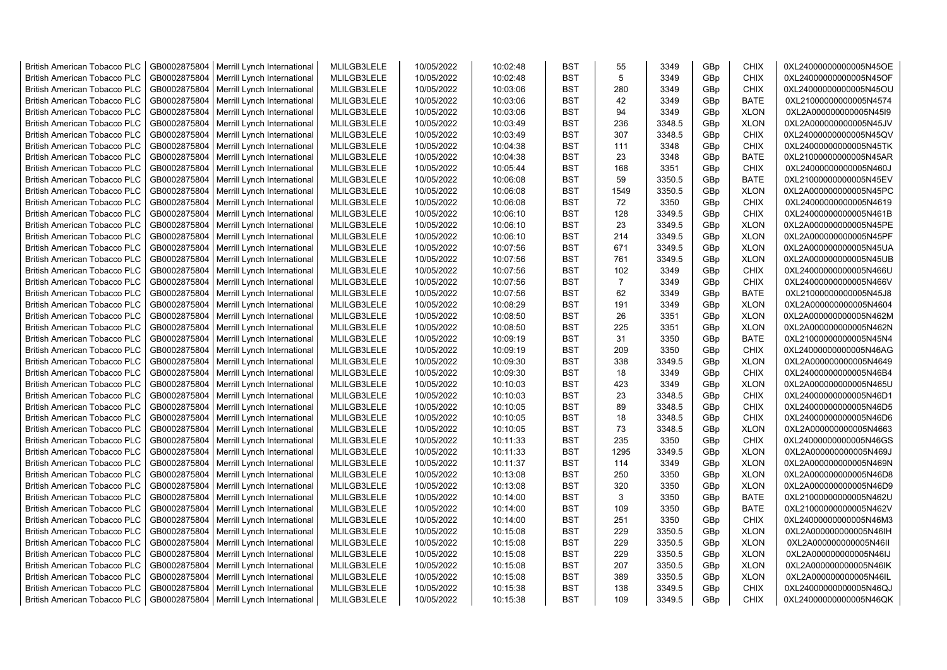| <b>British American Tobacco PLC</b> | GB0002875804 | Merrill Lynch International                | MLILGB3LELE | 10/05/2022 | 10:02:48 | <b>BST</b> | 55             | 3349   | GBp | CHIX        | 0XL24000000000005N45OE |
|-------------------------------------|--------------|--------------------------------------------|-------------|------------|----------|------------|----------------|--------|-----|-------------|------------------------|
| <b>British American Tobacco PLC</b> | GB0002875804 | Merrill Lynch International                | MLILGB3LELE | 10/05/2022 | 10:02:48 | <b>BST</b> | 5              | 3349   | GBp | <b>CHIX</b> | 0XL24000000000005N45OF |
| <b>British American Tobacco PLC</b> | GB0002875804 | Merrill Lynch International                | MLILGB3LELE | 10/05/2022 | 10:03:06 | <b>BST</b> | 280            | 3349   | GBp | <b>CHIX</b> | 0XL24000000000005N45OU |
| <b>British American Tobacco PLC</b> | GB0002875804 | Merrill Lynch International                | MLILGB3LELE | 10/05/2022 | 10:03:06 | <b>BST</b> | 42             | 3349   | GBp | <b>BATE</b> | 0XL21000000000005N4574 |
| <b>British American Tobacco PLC</b> | GB0002875804 | Merrill Lynch International                | MLILGB3LELE | 10/05/2022 | 10:03:06 | <b>BST</b> | 94             | 3349   | GBp | <b>XLON</b> | 0XL2A000000000005N45I9 |
| <b>British American Tobacco PLC</b> | GB0002875804 | Merrill Lynch International                | MLILGB3LELE | 10/05/2022 | 10:03:49 | <b>BST</b> | 236            | 3348.5 | GBp | <b>XLON</b> | 0XL2A000000000005N45JV |
| <b>British American Tobacco PLC</b> | GB0002875804 | Merrill Lynch International                | MLILGB3LELE | 10/05/2022 | 10:03:49 | <b>BST</b> | 307            | 3348.5 | GBp | <b>CHIX</b> | 0XL24000000000005N45QV |
| <b>British American Tobacco PLC</b> | GB0002875804 | Merrill Lynch International                | MLILGB3LELE | 10/05/2022 | 10:04:38 | <b>BST</b> | 111            | 3348   | GBp | CHIX        | 0XL24000000000005N45TK |
| <b>British American Tobacco PLC</b> | GB0002875804 | Merrill Lynch International                | MLILGB3LELE | 10/05/2022 | 10:04:38 | <b>BST</b> | 23             | 3348   | GBp | <b>BATE</b> | 0XL21000000000005N45AR |
| <b>British American Tobacco PLC</b> | GB0002875804 | Merrill Lynch International                | MLILGB3LELE | 10/05/2022 | 10:05:44 | <b>BST</b> | 168            | 3351   | GBp | <b>CHIX</b> | 0XL24000000000005N460J |
| <b>British American Tobacco PLC</b> | GB0002875804 | Merrill Lynch International                | MLILGB3LELE | 10/05/2022 | 10:06:08 | <b>BST</b> | 59             | 3350.5 | GBp | <b>BATE</b> | 0XL21000000000005N45EV |
| <b>British American Tobacco PLC</b> | GB0002875804 | Merrill Lynch International                | MLILGB3LELE | 10/05/2022 | 10:06:08 | <b>BST</b> | 1549           | 3350.5 | GBp | <b>XLON</b> | 0XL2A000000000005N45PC |
| <b>British American Tobacco PLC</b> | GB0002875804 | Merrill Lynch International                | MLILGB3LELE | 10/05/2022 | 10:06:08 | <b>BST</b> | 72             | 3350   | GBp | <b>CHIX</b> | 0XL24000000000005N4619 |
| <b>British American Tobacco PLC</b> | GB0002875804 | Merrill Lynch International                | MLILGB3LELE | 10/05/2022 | 10:06:10 | <b>BST</b> | 128            | 3349.5 | GBp | <b>CHIX</b> | 0XL24000000000005N461B |
|                                     |              |                                            | MLILGB3LELE |            |          | <b>BST</b> |                |        |     |             |                        |
| <b>British American Tobacco PLC</b> | GB0002875804 | Merrill Lynch International                |             | 10/05/2022 | 10:06:10 |            | 23             | 3349.5 | GBp | <b>XLON</b> | 0XL2A000000000005N45PE |
| <b>British American Tobacco PLC</b> | GB0002875804 | Merrill Lynch International                | MLILGB3LELE | 10/05/2022 | 10:06:10 | <b>BST</b> | 214            | 3349.5 | GBp | <b>XLON</b> | 0XL2A000000000005N45PF |
| <b>British American Tobacco PLC</b> | GB0002875804 | Merrill Lynch International                | MLILGB3LELE | 10/05/2022 | 10:07:56 | BST        | 671            | 3349.5 | GBp | <b>XLON</b> | 0XL2A000000000005N45UA |
| <b>British American Tobacco PLC</b> | GB0002875804 | Merrill Lynch International                | MLILGB3LELE | 10/05/2022 | 10:07:56 | <b>BST</b> | 761            | 3349.5 | GBp | <b>XLON</b> | 0XL2A000000000005N45UB |
| <b>British American Tobacco PLC</b> | GB0002875804 | Merrill Lynch International                | MLILGB3LELE | 10/05/2022 | 10:07:56 | <b>BST</b> | 102            | 3349   | GBp | <b>CHIX</b> | 0XL24000000000005N466U |
| <b>British American Tobacco PLC</b> | GB0002875804 | Merrill Lynch International                | MLILGB3LELE | 10/05/2022 | 10:07:56 | <b>BST</b> | $\overline{7}$ | 3349   | GBp | <b>CHIX</b> | 0XL24000000000005N466V |
| <b>British American Tobacco PLC</b> | GB0002875804 | Merrill Lynch International                | MLILGB3LELE | 10/05/2022 | 10:07:56 | <b>BST</b> | 62             | 3349   | GBp | <b>BATE</b> | 0XL21000000000005N45J8 |
| <b>British American Tobacco PLC</b> | GB0002875804 | Merrill Lynch International                | MLILGB3LELE | 10/05/2022 | 10:08:29 | <b>BST</b> | 191            | 3349   | GBp | <b>XLON</b> | 0XL2A000000000005N4604 |
| <b>British American Tobacco PLC</b> | GB0002875804 | Merrill Lynch International                | MLILGB3LELE | 10/05/2022 | 10:08:50 | <b>BST</b> | 26             | 3351   | GBp | <b>XLON</b> | 0XL2A000000000005N462M |
| <b>British American Tobacco PLC</b> | GB0002875804 | Merrill Lynch International                | MLILGB3LELE | 10/05/2022 | 10:08:50 | <b>BST</b> | 225            | 3351   | GBp | <b>XLON</b> | 0XL2A000000000005N462N |
| <b>British American Tobacco PLC</b> | GB0002875804 | Merrill Lynch International                | MLILGB3LELE | 10/05/2022 | 10:09:19 | <b>BST</b> | 31             | 3350   | GBp | <b>BATE</b> | 0XL21000000000005N45N4 |
| <b>British American Tobacco PLC</b> | GB0002875804 | Merrill Lynch International                | MLILGB3LELE | 10/05/2022 | 10:09:19 | BST        | 209            | 3350   | GBp | CHIX        | 0XL24000000000005N46AG |
| <b>British American Tobacco PLC</b> | GB0002875804 | Merrill Lynch International                | MLILGB3LELE | 10/05/2022 | 10:09:30 | <b>BST</b> | 338            | 3349.5 | GBp | <b>XLON</b> | 0XL2A000000000005N4649 |
| <b>British American Tobacco PLC</b> | GB0002875804 | Merrill Lynch International                | MLILGB3LELE | 10/05/2022 | 10:09:30 | <b>BST</b> | 18             | 3349   | GBp | <b>CHIX</b> | 0XL24000000000005N46B4 |
| <b>British American Tobacco PLC</b> | GB0002875804 | Merrill Lynch International                | MLILGB3LELE | 10/05/2022 | 10:10:03 | <b>BST</b> | 423            | 3349   | GBp | <b>XLON</b> | 0XL2A000000000005N465U |
| <b>British American Tobacco PLC</b> | GB0002875804 | Merrill Lynch International                | MLILGB3LELE | 10/05/2022 | 10:10:03 | <b>BST</b> | 23             | 3348.5 | GBp | <b>CHIX</b> | 0XL24000000000005N46D1 |
| <b>British American Tobacco PLC</b> | GB0002875804 | Merrill Lynch International                | MLILGB3LELE | 10/05/2022 | 10:10:05 | <b>BST</b> | 89             | 3348.5 | GBp | <b>CHIX</b> | 0XL24000000000005N46D5 |
| British American Tobacco PLC        | GB0002875804 | Merrill Lynch International                | MLILGB3LELE | 10/05/2022 | 10:10:05 | <b>BST</b> | 18             | 3348.5 | GBp | <b>CHIX</b> | 0XL24000000000005N46D6 |
| <b>British American Tobacco PLC</b> | GB0002875804 | Merrill Lynch International                | MLILGB3LELE | 10/05/2022 | 10:10:05 | <b>BST</b> | 73             | 3348.5 | GBp | <b>XLON</b> | 0XL2A000000000005N4663 |
| <b>British American Tobacco PLC</b> | GB0002875804 | Merrill Lynch International                | MLILGB3LELE | 10/05/2022 | 10:11:33 | <b>BST</b> | 235            | 3350   | GBp | <b>CHIX</b> | 0XL24000000000005N46GS |
| <b>British American Tobacco PLC</b> | GB0002875804 | Merrill Lynch International                | MLILGB3LELE | 10/05/2022 | 10:11:33 | <b>BST</b> | 1295           | 3349.5 | GBp | <b>XLON</b> | 0XL2A000000000005N469J |
| <b>British American Tobacco PLC</b> | GB0002875804 | Merrill Lynch International                | MLILGB3LELE | 10/05/2022 | 10:11:37 | <b>BST</b> | 114            | 3349   | GBp | <b>XLON</b> | 0XL2A000000000005N469N |
| <b>British American Tobacco PLC</b> | GB0002875804 | Merrill Lynch International                | MLILGB3LELE | 10/05/2022 | 10:13:08 | <b>BST</b> | 250            | 3350   | GBp | <b>XLON</b> | 0XL2A000000000005N46D8 |
| <b>British American Tobacco PLC</b> | GB0002875804 | Merrill Lynch International                | MLILGB3LELE | 10/05/2022 | 10:13:08 | <b>BST</b> | 320            | 3350   | GBp | <b>XLON</b> | 0XL2A000000000005N46D9 |
| <b>British American Tobacco PLC</b> | GB0002875804 | Merrill Lynch International                | MLILGB3LELE | 10/05/2022 | 10:14:00 | <b>BST</b> | 3              | 3350   | GBp | <b>BATE</b> | 0XL21000000000005N462U |
| <b>British American Tobacco PLC</b> | GB0002875804 | Merrill Lynch International                | MLILGB3LELE | 10/05/2022 | 10:14:00 | <b>BST</b> | 109            | 3350   | GBp | <b>BATE</b> | 0XL21000000000005N462V |
| <b>British American Tobacco PLC</b> | GB0002875804 | Merrill Lynch International                | MLILGB3LELE | 10/05/2022 | 10:14:00 | <b>BST</b> | 251            | 3350   | GBp | <b>CHIX</b> | 0XL24000000000005N46M3 |
| <b>British American Tobacco PLC</b> | GB0002875804 | Merrill Lynch International                | MLILGB3LELE | 10/05/2022 | 10:15:08 | <b>BST</b> | 229            | 3350.5 | GBp | <b>XLON</b> | 0XL2A000000000005N46IH |
| <b>British American Tobacco PLC</b> | GB0002875804 | Merrill Lynch International                | MLILGB3LELE | 10/05/2022 | 10:15:08 | <b>BST</b> | 229            | 3350.5 | GBp | <b>XLON</b> | 0XL2A000000000005N46II |
| <b>British American Tobacco PLC</b> | GB0002875804 | Merrill Lynch International                | MLILGB3LELE | 10/05/2022 | 10:15:08 | <b>BST</b> | 229            | 3350.5 | GBp | <b>XLON</b> | 0XL2A000000000005N46IJ |
| <b>British American Tobacco PLC</b> | GB0002875804 | Merrill Lynch International                | MLILGB3LELE | 10/05/2022 | 10:15:08 | <b>BST</b> | 207            | 3350.5 | GBp | <b>XLON</b> | 0XL2A000000000005N46IK |
| <b>British American Tobacco PLC</b> | GB0002875804 | Merrill Lynch International                | MLILGB3LELE | 10/05/2022 | 10:15:08 | <b>BST</b> | 389            | 3350.5 | GBp | <b>XLON</b> | 0XL2A000000000005N46IL |
| <b>British American Tobacco PLC</b> | GB0002875804 | Merrill Lynch International                | MLILGB3LELE | 10/05/2022 | 10:15:38 | <b>BST</b> | 138            | 3349.5 | GBp | <b>CHIX</b> | 0XL24000000000005N46QJ |
| <b>British American Tobacco PLC</b> |              | GB0002875804   Merrill Lynch International | MLILGB3LELE | 10/05/2022 | 10:15:38 | <b>BST</b> | 109            | 3349.5 | GBp | <b>CHIX</b> | 0XL24000000000005N46QK |
|                                     |              |                                            |             |            |          |            |                |        |     |             |                        |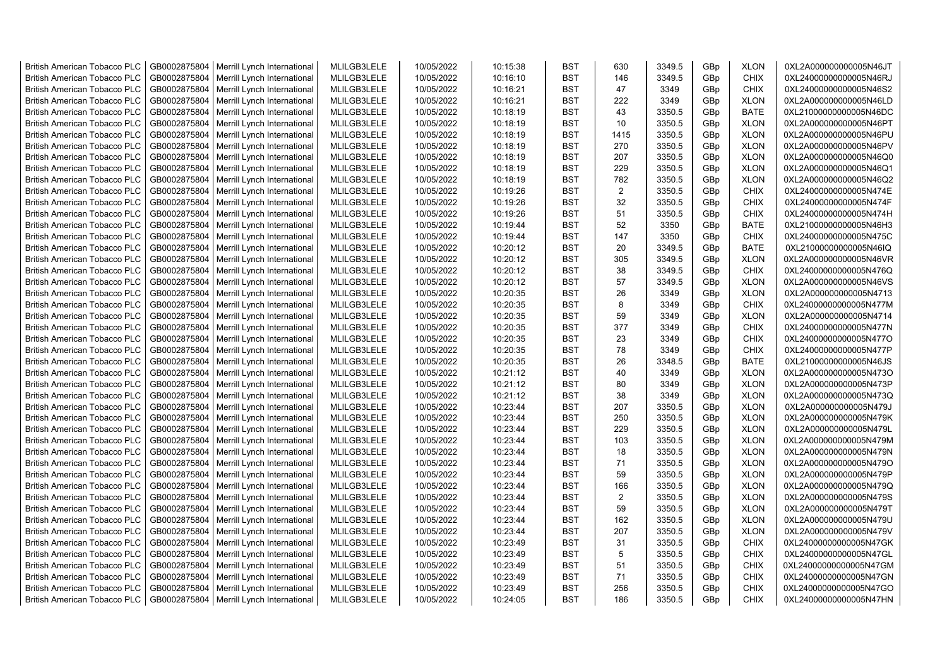| <b>British American Tobacco PLC</b> | GB0002875804 | Merrill Lynch International                | MLILGB3LELE | 10/05/2022 | 10:15:38 | <b>BST</b> | 630            | 3349.5 | GBp             | <b>XLON</b> | 0XL2A000000000005N46JT |
|-------------------------------------|--------------|--------------------------------------------|-------------|------------|----------|------------|----------------|--------|-----------------|-------------|------------------------|
| <b>British American Tobacco PLC</b> | GB0002875804 | Merrill Lynch International                | MLILGB3LELE | 10/05/2022 | 10:16:10 | <b>BST</b> | 146            | 3349.5 | GBp             | <b>CHIX</b> | 0XL24000000000005N46RJ |
| <b>British American Tobacco PLC</b> | GB0002875804 | Merrill Lynch International                | MLILGB3LELE | 10/05/2022 | 10:16:21 | <b>BST</b> | 47             | 3349   | GBp             | <b>CHIX</b> | 0XL24000000000005N46S2 |
| <b>British American Tobacco PLC</b> | GB0002875804 | Merrill Lynch International                | MLILGB3LELE | 10/05/2022 | 10:16:21 | <b>BST</b> | 222            | 3349   | GBp             | <b>XLON</b> | 0XL2A000000000005N46LD |
| <b>British American Tobacco PLC</b> | GB0002875804 | Merrill Lynch International                | MLILGB3LELE | 10/05/2022 | 10:18:19 | <b>BST</b> | 43             | 3350.5 | GBp             | <b>BATE</b> | 0XL21000000000005N46DC |
| <b>British American Tobacco PLC</b> | GB0002875804 | Merrill Lynch International                | MLILGB3LELE | 10/05/2022 | 10:18:19 | <b>BST</b> | 10             | 3350.5 | GBp             | <b>XLON</b> | 0XL2A000000000005N46PT |
| British American Tobacco PLC        | GB0002875804 | Merrill Lynch International                | MLILGB3LELE | 10/05/2022 | 10:18:19 | <b>BST</b> | 1415           | 3350.5 | GBp             | <b>XLON</b> | 0XL2A000000000005N46PU |
| <b>British American Tobacco PLC</b> | GB0002875804 | Merrill Lynch International                | MLILGB3LELE | 10/05/2022 | 10:18:19 | <b>BST</b> | 270            | 3350.5 | GBp             | <b>XLON</b> | 0XL2A000000000005N46PV |
| <b>British American Tobacco PLC</b> | GB0002875804 | Merrill Lynch International                | MLILGB3LELE | 10/05/2022 | 10:18:19 | <b>BST</b> | 207            | 3350.5 | GBp             | <b>XLON</b> | 0XL2A000000000005N46Q0 |
| <b>British American Tobacco PLC</b> | GB0002875804 | Merrill Lynch International                | MLILGB3LELE | 10/05/2022 | 10:18:19 | <b>BST</b> | 229            | 3350.5 | GBp             | <b>XLON</b> | 0XL2A000000000005N46Q1 |
| <b>British American Tobacco PLC</b> | GB0002875804 | Merrill Lynch International                | MLILGB3LELE | 10/05/2022 | 10:18:19 | <b>BST</b> | 782            | 3350.5 | GBp             | <b>XLON</b> | 0XL2A000000000005N46Q2 |
| <b>British American Tobacco PLC</b> | GB0002875804 | Merrill Lynch International                | MLILGB3LELE | 10/05/2022 | 10:19:26 | <b>BST</b> | $\overline{2}$ | 3350.5 | GBp             | <b>CHIX</b> | 0XL24000000000005N474E |
| <b>British American Tobacco PLC</b> | GB0002875804 | Merrill Lynch International                | MLILGB3LELE | 10/05/2022 | 10:19:26 | BST        | 32             | 3350.5 | GBp             | <b>CHIX</b> | 0XL24000000000005N474F |
| <b>British American Tobacco PLC</b> | GB0002875804 | Merrill Lynch International                | MLILGB3LELE | 10/05/2022 | 10:19:26 | <b>BST</b> | 51             | 3350.5 | GBp             | <b>CHIX</b> | 0XL24000000000005N474H |
| <b>British American Tobacco PLC</b> | GB0002875804 | Merrill Lynch International                | MLILGB3LELE | 10/05/2022 | 10:19:44 | <b>BST</b> | 52             | 3350   | GBp             | <b>BATE</b> | 0XL21000000000005N46H3 |
| <b>British American Tobacco PLC</b> | GB0002875804 | Merrill Lynch International                | MLILGB3LELE | 10/05/2022 | 10:19:44 | <b>BST</b> | 147            | 3350   | GBp             | <b>CHIX</b> | 0XL24000000000005N475C |
| <b>British American Tobacco PLC</b> | GB0002875804 | Merrill Lynch International                | MLILGB3LELE | 10/05/2022 | 10:20:12 | <b>BST</b> | 20             | 3349.5 | GBp             | <b>BATE</b> | 0XL21000000000005N46IQ |
| <b>British American Tobacco PLC</b> | GB0002875804 | Merrill Lynch International                | MLILGB3LELE | 10/05/2022 | 10:20:12 | <b>BST</b> | 305            | 3349.5 | GBp             | <b>XLON</b> | 0XL2A000000000005N46VR |
| <b>British American Tobacco PLC</b> | GB0002875804 | Merrill Lynch International                | MLILGB3LELE | 10/05/2022 | 10:20:12 | <b>BST</b> | 38             | 3349.5 | GBp             | <b>CHIX</b> | 0XL24000000000005N476Q |
| <b>British American Tobacco PLC</b> | GB0002875804 | Merrill Lynch International                | MLILGB3LELE | 10/05/2022 | 10:20:12 | <b>BST</b> | 57             | 3349.5 | GBp             | <b>XLON</b> | 0XL2A000000000005N46VS |
| <b>British American Tobacco PLC</b> | GB0002875804 | Merrill Lynch International                | MLILGB3LELE | 10/05/2022 | 10:20:35 | <b>BST</b> | 26             | 3349   | GBp             | <b>XLON</b> | 0XL2A000000000005N4713 |
| <b>British American Tobacco PLC</b> | GB0002875804 | Merrill Lynch International                | MLILGB3LELE | 10/05/2022 | 10:20:35 | <b>BST</b> | 8              | 3349   | GBp             | <b>CHIX</b> | 0XL24000000000005N477M |
| <b>British American Tobacco PLC</b> | GB0002875804 | Merrill Lynch International                | MLILGB3LELE | 10/05/2022 | 10:20:35 | <b>BST</b> | 59             | 3349   | GBp             | <b>XLON</b> | 0XL2A000000000005N4714 |
| <b>British American Tobacco PLC</b> | GB0002875804 | Merrill Lynch International                | MLILGB3LELE | 10/05/2022 | 10:20:35 | <b>BST</b> | 377            | 3349   | GBp             | <b>CHIX</b> | 0XL24000000000005N477N |
| <b>British American Tobacco PLC</b> | GB0002875804 | Merrill Lynch International                | MLILGB3LELE | 10/05/2022 | 10:20:35 | <b>BST</b> | 23             | 3349   | GBp             | <b>CHIX</b> | 0XL24000000000005N477O |
| <b>British American Tobacco PLC</b> | GB0002875804 | Merrill Lynch International                | MLILGB3LELE | 10/05/2022 | 10:20:35 | <b>BST</b> | 78             | 3349   | GBp             | <b>CHIX</b> | 0XL24000000000005N477P |
| <b>British American Tobacco PLC</b> | GB0002875804 | Merrill Lynch International                | MLILGB3LELE | 10/05/2022 | 10:20:35 | <b>BST</b> | 26             | 3348.5 | GBp             | <b>BATE</b> | 0XL21000000000005N46JS |
| <b>British American Tobacco PLC</b> | GB0002875804 | Merrill Lynch International                | MLILGB3LELE | 10/05/2022 | 10:21:12 | <b>BST</b> | 40             | 3349   | GBp             | <b>XLON</b> | 0XL2A000000000005N473O |
| <b>British American Tobacco PLC</b> | GB0002875804 | Merrill Lynch International                | MLILGB3LELE | 10/05/2022 | 10:21:12 | <b>BST</b> | 80             | 3349   | GBp             | <b>XLON</b> | 0XL2A000000000005N473P |
| <b>British American Tobacco PLC</b> | GB0002875804 | Merrill Lynch International                | MLILGB3LELE | 10/05/2022 | 10:21:12 | <b>BST</b> | 38             | 3349   | GBp             | <b>XLON</b> | 0XL2A000000000005N473Q |
| <b>British American Tobacco PLC</b> | GB0002875804 | Merrill Lynch International                | MLILGB3LELE | 10/05/2022 | 10:23:44 | <b>BST</b> | 207            | 3350.5 | GBp             | <b>XLON</b> | 0XL2A000000000005N479J |
| <b>British American Tobacco PLC</b> | GB0002875804 | Merrill Lynch International                | MLILGB3LELE | 10/05/2022 | 10:23:44 | <b>BST</b> | 250            | 3350.5 | GBp             | <b>XLON</b> | 0XL2A000000000005N479K |
| <b>British American Tobacco PLC</b> | GB0002875804 | Merrill Lynch International                | MLILGB3LELE | 10/05/2022 | 10:23:44 | <b>BST</b> | 229            | 3350.5 | GBp             | <b>XLON</b> | 0XL2A000000000005N479L |
| <b>British American Tobacco PLC</b> | GB0002875804 | Merrill Lynch International                | MLILGB3LELE | 10/05/2022 | 10:23:44 | BST        | 103            | 3350.5 | GBp             | <b>XLON</b> | 0XL2A000000000005N479M |
| <b>British American Tobacco PLC</b> | GB0002875804 | Merrill Lynch International                | MLILGB3LELE | 10/05/2022 | 10:23:44 | <b>BST</b> | 18             | 3350.5 | GBp             | <b>XLON</b> | 0XL2A000000000005N479N |
| British American Tobacco PLC        | GB0002875804 | Merrill Lynch International                | MLILGB3LELE | 10/05/2022 | 10:23:44 | <b>BST</b> | 71             | 3350.5 | GBp             | <b>XLON</b> | 0XL2A000000000005N479O |
| <b>British American Tobacco PLC</b> | GB0002875804 | Merrill Lynch International                | MLILGB3LELE | 10/05/2022 | 10:23:44 | <b>BST</b> | 59             | 3350.5 | GBp             | <b>XLON</b> | 0XL2A000000000005N479P |
| <b>British American Tobacco PLC</b> | GB0002875804 | Merrill Lynch International                | MLILGB3LELE | 10/05/2022 | 10:23:44 | <b>BST</b> | 166            | 3350.5 | GBp             | <b>XLON</b> | 0XL2A000000000005N479Q |
| <b>British American Tobacco PLC</b> | GB0002875804 | Merrill Lynch International                | MLILGB3LELE | 10/05/2022 | 10:23:44 | <b>BST</b> | 2              | 3350.5 | GBp             | <b>XLON</b> | 0XL2A000000000005N479S |
| <b>British American Tobacco PLC</b> | GB0002875804 | Merrill Lynch International                | MLILGB3LELE | 10/05/2022 | 10:23:44 | <b>BST</b> | 59             | 3350.5 | GBp             | <b>XLON</b> | 0XL2A000000000005N479T |
| <b>British American Tobacco PLC</b> | GB0002875804 | Merrill Lynch International                | MLILGB3LELE | 10/05/2022 | 10:23:44 | <b>BST</b> | 162            | 3350.5 | GBp             | <b>XLON</b> | 0XL2A000000000005N479U |
| <b>British American Tobacco PLC</b> | GB0002875804 | Merrill Lynch International                | MLILGB3LELE | 10/05/2022 | 10:23:44 | <b>BST</b> | 207            | 3350.5 | GBp             | <b>XLON</b> | 0XL2A000000000005N479V |
| <b>British American Tobacco PLC</b> | GB0002875804 | Merrill Lynch International                | MLILGB3LELE | 10/05/2022 | 10:23:49 | <b>BST</b> | 31             | 3350.5 | GBp             | <b>CHIX</b> | 0XL24000000000005N47GK |
| <b>British American Tobacco PLC</b> | GB0002875804 | Merrill Lynch International                | MLILGB3LELE | 10/05/2022 | 10:23:49 | <b>BST</b> | 5              | 3350.5 | GBp             | <b>CHIX</b> | 0XL24000000000005N47GL |
| <b>British American Tobacco PLC</b> | GB0002875804 | Merrill Lynch International                | MLILGB3LELE | 10/05/2022 | 10:23:49 | <b>BST</b> | 51             | 3350.5 | GBp             | <b>CHIX</b> | 0XL24000000000005N47GM |
| <b>British American Tobacco PLC</b> | GB0002875804 | Merrill Lynch International                | MLILGB3LELE | 10/05/2022 | 10:23:49 | <b>BST</b> | 71             | 3350.5 | GBp             | <b>CHIX</b> | 0XL24000000000005N47GN |
| <b>British American Tobacco PLC</b> | GB0002875804 | Merrill Lynch International                | MLILGB3LELE | 10/05/2022 | 10:23:49 | <b>BST</b> | 256            | 3350.5 | GBp             | <b>CHIX</b> | 0XL24000000000005N47GO |
| <b>British American Tobacco PLC</b> |              | GB0002875804   Merrill Lynch International | MLILGB3LELE | 10/05/2022 | 10:24:05 | <b>BST</b> | 186            | 3350.5 | GB <sub>p</sub> | <b>CHIX</b> | 0XL24000000000005N47HN |
|                                     |              |                                            |             |            |          |            |                |        |                 |             |                        |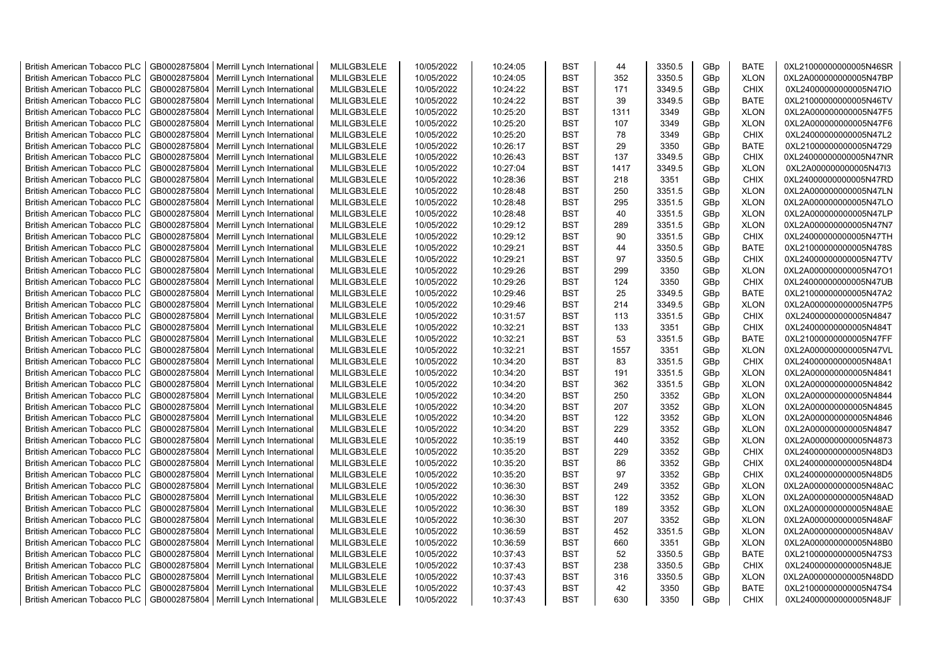| <b>British American Tobacco PLC</b> | GB0002875804 | Merrill Lynch International                | MLILGB3LELE | 10/05/2022 | 10:24:05 | <b>BST</b>               | 44   | 3350.5 | GBp             | <b>BATE</b> | 0XL21000000000005N46SR |
|-------------------------------------|--------------|--------------------------------------------|-------------|------------|----------|--------------------------|------|--------|-----------------|-------------|------------------------|
| <b>British American Tobacco PLC</b> | GB0002875804 | Merrill Lynch International                | MLILGB3LELE | 10/05/2022 | 10:24:05 | <b>BST</b>               | 352  | 3350.5 | GBp             | <b>XLON</b> | 0XL2A000000000005N47BP |
| <b>British American Tobacco PLC</b> | GB0002875804 | Merrill Lynch International                | MLILGB3LELE | 10/05/2022 | 10:24:22 | <b>BST</b>               | 171  | 3349.5 | GBp             | <b>CHIX</b> | 0XL24000000000005N47IO |
| <b>British American Tobacco PLC</b> | GB0002875804 | Merrill Lynch International                | MLILGB3LELE | 10/05/2022 | 10:24:22 | <b>BST</b>               | 39   | 3349.5 | GBp             | <b>BATE</b> | 0XL21000000000005N46TV |
| <b>British American Tobacco PLC</b> | GB0002875804 | Merrill Lynch International                | MLILGB3LELE | 10/05/2022 | 10:25:20 | <b>BST</b>               | 1311 | 3349   | GBp             | <b>XLON</b> | 0XL2A000000000005N47F5 |
| <b>British American Tobacco PLC</b> | GB0002875804 | Merrill Lynch International                | MLILGB3LELE | 10/05/2022 | 10:25:20 | <b>BST</b>               | 107  | 3349   | GBp             | <b>XLON</b> | 0XL2A000000000005N47F6 |
| British American Tobacco PLC        | GB0002875804 | Merrill Lynch International                | MLILGB3LELE | 10/05/2022 | 10:25:20 | <b>BST</b>               | 78   | 3349   | GBp             | <b>CHIX</b> | 0XL24000000000005N47L2 |
| <b>British American Tobacco PLC</b> | GB0002875804 | Merrill Lynch International                | MLILGB3LELE | 10/05/2022 | 10:26:17 | <b>BST</b>               | 29   | 3350   | GBp             | <b>BATE</b> | 0XL21000000000005N4729 |
| <b>British American Tobacco PLC</b> | GB0002875804 | Merrill Lynch International                | MLILGB3LELE | 10/05/2022 | 10:26:43 | <b>BST</b>               | 137  | 3349.5 | GBp             | <b>CHIX</b> | 0XL24000000000005N47NR |
| <b>British American Tobacco PLC</b> | GB0002875804 | Merrill Lynch International                | MLILGB3LELE | 10/05/2022 | 10:27:04 | <b>BST</b>               | 1417 | 3349.5 | GBp             | <b>XLON</b> | 0XL2A000000000005N47I3 |
| <b>British American Tobacco PLC</b> | GB0002875804 | Merrill Lynch International                | MLILGB3LELE | 10/05/2022 | 10:28:36 | <b>BST</b>               | 218  | 3351   | GBp             | <b>CHIX</b> | 0XL24000000000005N47RD |
| <b>British American Tobacco PLC</b> | GB0002875804 | Merrill Lynch International                | MLILGB3LELE | 10/05/2022 | 10:28:48 | <b>BST</b>               | 250  | 3351.5 | GBp             | <b>XLON</b> | 0XL2A000000000005N47LN |
| <b>British American Tobacco PLC</b> | GB0002875804 | Merrill Lynch International                | MLILGB3LELE | 10/05/2022 | 10:28:48 | <b>BST</b>               | 295  | 3351.5 | GBp             | <b>XLON</b> | 0XL2A000000000005N47LO |
| <b>British American Tobacco PLC</b> | GB0002875804 | Merrill Lynch International                | MLILGB3LELE | 10/05/2022 | 10:28:48 | <b>BST</b>               | 40   | 3351.5 | GBp             | <b>XLON</b> | 0XL2A000000000005N47LP |
| <b>British American Tobacco PLC</b> | GB0002875804 | Merrill Lynch International                | MLILGB3LELE | 10/05/2022 | 10:29:12 | <b>BST</b>               | 289  | 3351.5 | GBp             | <b>XLON</b> | 0XL2A000000000005N47N7 |
| <b>British American Tobacco PLC</b> | GB0002875804 | Merrill Lynch International                | MLILGB3LELE | 10/05/2022 | 10:29:12 | <b>BST</b>               | 90   | 3351.5 | GBp             | <b>CHIX</b> | 0XL24000000000005N47TH |
| <b>British American Tobacco PLC</b> | GB0002875804 | Merrill Lynch International                | MLILGB3LELE | 10/05/2022 | 10:29:21 | <b>BST</b>               | 44   | 3350.5 | GBp             | <b>BATE</b> | 0XL21000000000005N478S |
| <b>British American Tobacco PLC</b> | GB0002875804 | Merrill Lynch International                | MLILGB3LELE | 10/05/2022 | 10:29:21 | <b>BST</b>               | 97   | 3350.5 | GBp             | <b>CHIX</b> | 0XL24000000000005N47TV |
| <b>British American Tobacco PLC</b> | GB0002875804 | Merrill Lynch International                | MLILGB3LELE | 10/05/2022 | 10:29:26 | <b>BST</b>               | 299  | 3350   | GBp             | <b>XLON</b> | 0XL2A000000000005N47O1 |
| <b>British American Tobacco PLC</b> | GB0002875804 | Merrill Lynch International                | MLILGB3LELE | 10/05/2022 | 10:29:26 | <b>BST</b>               | 124  | 3350   | GBp             | <b>CHIX</b> | 0XL24000000000005N47UB |
| <b>British American Tobacco PLC</b> | GB0002875804 | Merrill Lynch International                | MLILGB3LELE | 10/05/2022 | 10:29:46 | <b>BST</b>               | 25   | 3349.5 | GBp             | <b>BATE</b> | 0XL21000000000005N47A2 |
| <b>British American Tobacco PLC</b> | GB0002875804 | Merrill Lynch International                | MLILGB3LELE | 10/05/2022 | 10:29:46 | <b>BST</b>               | 214  | 3349.5 | GBp             | <b>XLON</b> | 0XL2A000000000005N47P5 |
| <b>British American Tobacco PLC</b> | GB0002875804 | Merrill Lynch International                | MLILGB3LELE | 10/05/2022 | 10:31:57 | <b>BST</b>               | 113  | 3351.5 | GBp             | <b>CHIX</b> | 0XL24000000000005N4847 |
|                                     |              |                                            |             |            |          | <b>BST</b>               | 133  |        |                 | <b>CHIX</b> |                        |
| <b>British American Tobacco PLC</b> | GB0002875804 | Merrill Lynch International                | MLILGB3LELE | 10/05/2022 | 10:32:21 |                          | 53   | 3351   | GBp             |             | 0XL24000000000005N484T |
| <b>British American Tobacco PLC</b> | GB0002875804 | Merrill Lynch International                | MLILGB3LELE | 10/05/2022 | 10:32:21 | <b>BST</b><br><b>BST</b> | 1557 | 3351.5 | GBp             | <b>BATE</b> | 0XL21000000000005N47FF |
| <b>British American Tobacco PLC</b> | GB0002875804 | Merrill Lynch International                | MLILGB3LELE | 10/05/2022 | 10:32:21 |                          |      | 3351   | GBp             | <b>XLON</b> | 0XL2A000000000005N47VL |
| <b>British American Tobacco PLC</b> | GB0002875804 | Merrill Lynch International                | MLILGB3LELE | 10/05/2022 | 10:34:20 | <b>BST</b>               | 83   | 3351.5 | GBp             | <b>CHIX</b> | 0XL24000000000005N48A1 |
| <b>British American Tobacco PLC</b> | GB0002875804 | Merrill Lynch International                | MLILGB3LELE | 10/05/2022 | 10:34:20 | <b>BST</b>               | 191  | 3351.5 | GBp             | <b>XLON</b> | 0XL2A000000000005N4841 |
| <b>British American Tobacco PLC</b> | GB0002875804 | Merrill Lynch International                | MLILGB3LELE | 10/05/2022 | 10:34:20 | <b>BST</b>               | 362  | 3351.5 | GBp             | <b>XLON</b> | 0XL2A000000000005N4842 |
| <b>British American Tobacco PLC</b> | GB0002875804 | Merrill Lynch International                | MLILGB3LELE | 10/05/2022 | 10:34:20 | <b>BST</b>               | 250  | 3352   | GBp             | <b>XLON</b> | 0XL2A000000000005N4844 |
| <b>British American Tobacco PLC</b> | GB0002875804 | Merrill Lynch International                | MLILGB3LELE | 10/05/2022 | 10:34:20 | <b>BST</b>               | 207  | 3352   | GBp             | <b>XLON</b> | 0XL2A000000000005N4845 |
| <b>British American Tobacco PLC</b> | GB0002875804 | Merrill Lynch International                | MLILGB3LELE | 10/05/2022 | 10:34:20 | <b>BST</b>               | 122  | 3352   | GBp             | <b>XLON</b> | 0XL2A000000000005N4846 |
| <b>British American Tobacco PLC</b> | GB0002875804 | Merrill Lynch International                | MLILGB3LELE | 10/05/2022 | 10:34:20 | <b>BST</b>               | 229  | 3352   | GBp             | <b>XLON</b> | 0XL2A000000000005N4847 |
| <b>British American Tobacco PLC</b> | GB0002875804 | Merrill Lynch International                | MLILGB3LELE | 10/05/2022 | 10:35:19 | <b>BST</b>               | 440  | 3352   | GBp             | <b>XLON</b> | 0XL2A000000000005N4873 |
| <b>British American Tobacco PLC</b> | GB0002875804 | Merrill Lynch International                | MLILGB3LELE | 10/05/2022 | 10:35:20 | <b>BST</b>               | 229  | 3352   | GBp             | <b>CHIX</b> | 0XL24000000000005N48D3 |
| <b>British American Tobacco PLC</b> | GB0002875804 | Merrill Lynch International                | MLILGB3LELE | 10/05/2022 | 10:35:20 | <b>BST</b>               | 86   | 3352   | GBp             | <b>CHIX</b> | 0XL24000000000005N48D4 |
| <b>British American Tobacco PLC</b> | GB0002875804 | Merrill Lynch International                | MLILGB3LELE | 10/05/2022 | 10:35:20 | <b>BST</b>               | 97   | 3352   | GBp             | <b>CHIX</b> | 0XL24000000000005N48D5 |
| <b>British American Tobacco PLC</b> | GB0002875804 | Merrill Lynch International                | MLILGB3LELE | 10/05/2022 | 10:36:30 | <b>BST</b>               | 249  | 3352   | GBp             | <b>XLON</b> | 0XL2A000000000005N48AC |
| <b>British American Tobacco PLC</b> | GB0002875804 | Merrill Lynch International                | MLILGB3LELE | 10/05/2022 | 10:36:30 | <b>BST</b>               | 122  | 3352   | GBp             | <b>XLON</b> | 0XL2A000000000005N48AD |
| <b>British American Tobacco PLC</b> | GB0002875804 | Merrill Lynch International                | MLILGB3LELE | 10/05/2022 | 10:36:30 | <b>BST</b>               | 189  | 3352   | GBp             | <b>XLON</b> | 0XL2A000000000005N48AE |
| <b>British American Tobacco PLC</b> | GB0002875804 | Merrill Lynch International                | MLILGB3LELE | 10/05/2022 | 10:36:30 | <b>BST</b>               | 207  | 3352   | GBp             | <b>XLON</b> | 0XL2A000000000005N48AF |
| <b>British American Tobacco PLC</b> | GB0002875804 | Merrill Lynch International                | MLILGB3LELE | 10/05/2022 | 10:36:59 | <b>BST</b>               | 452  | 3351.5 | GBp             | <b>XLON</b> | 0XL2A000000000005N48AV |
| <b>British American Tobacco PLC</b> | GB0002875804 | Merrill Lynch International                | MLILGB3LELE | 10/05/2022 | 10:36:59 | <b>BST</b>               | 660  | 3351   | GBp             | <b>XLON</b> | 0XL2A000000000005N48B0 |
| <b>British American Tobacco PLC</b> | GB0002875804 | Merrill Lynch International                | MLILGB3LELE | 10/05/2022 | 10:37:43 | <b>BST</b>               | 52   | 3350.5 | GBp             | <b>BATE</b> | 0XL21000000000005N47S3 |
| <b>British American Tobacco PLC</b> | GB0002875804 | Merrill Lynch International                | MLILGB3LELE | 10/05/2022 | 10:37:43 | <b>BST</b>               | 238  | 3350.5 | GBp             | <b>CHIX</b> | 0XL24000000000005N48JE |
| <b>British American Tobacco PLC</b> | GB0002875804 | Merrill Lynch International                | MLILGB3LELE | 10/05/2022 | 10:37:43 | <b>BST</b>               | 316  | 3350.5 | GBp             | <b>XLON</b> | 0XL2A000000000005N48DD |
| <b>British American Tobacco PLC</b> | GB0002875804 | Merrill Lynch International                | MLILGB3LELE | 10/05/2022 | 10:37:43 | <b>BST</b>               | 42   | 3350   | GBp             | <b>BATE</b> | 0XL21000000000005N47S4 |
| <b>British American Tobacco PLC</b> |              | GB0002875804   Merrill Lynch International | MLILGB3LELE | 10/05/2022 | 10:37:43 | <b>BST</b>               | 630  | 3350   | GB <sub>p</sub> | <b>CHIX</b> | 0XL24000000000005N48JF |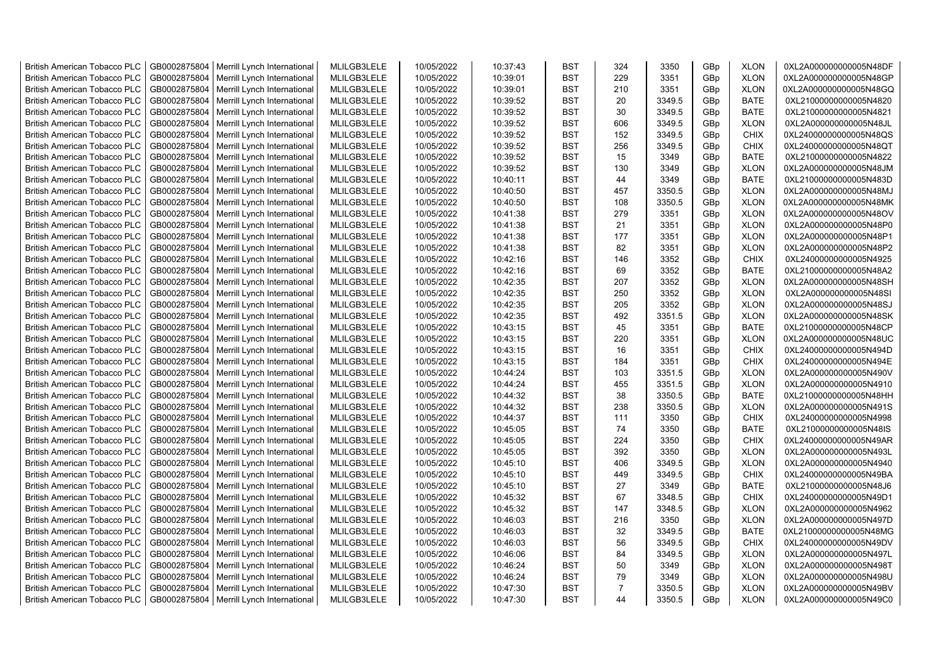| <b>British American Tobacco PLC</b> | GB0002875804 | Merrill Lynch International | MLILGB3LELE | 10/05/2022 | 10:37:43 | <b>BST</b> | 324            | 3350   | GBp | <b>XLON</b> | 0XL2A000000000005N48DF |
|-------------------------------------|--------------|-----------------------------|-------------|------------|----------|------------|----------------|--------|-----|-------------|------------------------|
| <b>British American Tobacco PLC</b> | GB0002875804 | Merrill Lynch International | MLILGB3LELE | 10/05/2022 | 10:39:01 | <b>BST</b> | 229            | 3351   | GBp | <b>XLON</b> | 0XL2A000000000005N48GP |
| <b>British American Tobacco PLC</b> | GB0002875804 | Merrill Lynch International | MLILGB3LELE | 10/05/2022 | 10:39:01 | <b>BST</b> | 210            | 3351   | GBp | <b>XLON</b> | 0XL2A000000000005N48GQ |
| <b>British American Tobacco PLC</b> | GB0002875804 | Merrill Lynch International | MLILGB3LELE | 10/05/2022 | 10:39:52 | <b>BST</b> | 20             | 3349.5 | GBp | <b>BATE</b> | 0XL21000000000005N4820 |
| <b>British American Tobacco PLC</b> | GB0002875804 | Merrill Lynch International | MLILGB3LELE | 10/05/2022 | 10:39:52 | <b>BST</b> | 30             | 3349.5 | GBp | <b>BATE</b> | 0XL21000000000005N4821 |
| <b>British American Tobacco PLC</b> | GB0002875804 | Merrill Lynch International | MLILGB3LELE | 10/05/2022 | 10:39:52 | <b>BST</b> | 606            | 3349.5 | GBp | <b>XLON</b> | 0XL2A000000000005N48JL |
| <b>British American Tobacco PLC</b> | GB0002875804 | Merrill Lynch International | MLILGB3LELE | 10/05/2022 | 10:39:52 | <b>BST</b> | 152            | 3349.5 | GBp | CHIX        | 0XL24000000000005N48QS |
| <b>British American Tobacco PLC</b> | GB0002875804 | Merrill Lynch International | MLILGB3LELE | 10/05/2022 | 10:39:52 | <b>BST</b> | 256            | 3349.5 | GBp | <b>CHIX</b> | 0XL24000000000005N48QT |
| <b>British American Tobacco PLC</b> | GB0002875804 | Merrill Lynch International | MLILGB3LELE | 10/05/2022 | 10:39:52 | <b>BST</b> | 15             | 3349   | GBp | <b>BATE</b> | 0XL21000000000005N4822 |
| <b>British American Tobacco PLC</b> | GB0002875804 | Merrill Lynch International | MLILGB3LELE | 10/05/2022 | 10:39:52 | <b>BST</b> | 130            | 3349   | GBp | <b>XLON</b> | 0XL2A000000000005N48JM |
| <b>British American Tobacco PLC</b> | GB0002875804 | Merrill Lynch International | MLILGB3LELE | 10/05/2022 | 10:40:11 | <b>BST</b> | 44             | 3349   | GBp | <b>BATE</b> | 0XL21000000000005N483D |
| <b>British American Tobacco PLC</b> | GB0002875804 | Merrill Lynch International | MLILGB3LELE | 10/05/2022 | 10:40:50 | <b>BST</b> | 457            | 3350.5 | GBp | <b>XLON</b> | 0XL2A000000000005N48MJ |
| <b>British American Tobacco PLC</b> | GB0002875804 | Merrill Lynch International | MLILGB3LELE | 10/05/2022 | 10:40:50 | <b>BST</b> | 108            | 3350.5 | GBp | <b>XLON</b> | 0XL2A000000000005N48MK |
| <b>British American Tobacco PLC</b> | GB0002875804 | Merrill Lynch International | MLILGB3LELE | 10/05/2022 | 10:41:38 | <b>BST</b> | 279            | 3351   | GBp | <b>XLON</b> | 0XL2A000000000005N48OV |
| <b>British American Tobacco PLC</b> | GB0002875804 |                             |             | 10/05/2022 |          | <b>BST</b> | 21             |        |     | <b>XLON</b> |                        |
|                                     |              | Merrill Lynch International | MLILGB3LELE |            | 10:41:38 |            |                | 3351   | GBp |             | 0XL2A000000000005N48P0 |
| British American Tobacco PLC        | GB0002875804 | Merrill Lynch International | MLILGB3LELE | 10/05/2022 | 10:41:38 | <b>BST</b> | 177            | 3351   | GBp | <b>XLON</b> | 0XL2A000000000005N48P1 |
| <b>British American Tobacco PLC</b> | GB0002875804 | Merrill Lynch International | MLILGB3LELE | 10/05/2022 | 10:41:38 | <b>BST</b> | 82             | 3351   | GBp | <b>XLON</b> | 0XL2A000000000005N48P2 |
| <b>British American Tobacco PLC</b> | GB0002875804 | Merrill Lynch International | MLILGB3LELE | 10/05/2022 | 10:42:16 | <b>BST</b> | 146            | 3352   | GBp | <b>CHIX</b> | 0XL24000000000005N4925 |
| <b>British American Tobacco PLC</b> | GB0002875804 | Merrill Lynch International | MLILGB3LELE | 10/05/2022 | 10:42:16 | <b>BST</b> | 69             | 3352   | GBp | <b>BATE</b> | 0XL21000000000005N48A2 |
| <b>British American Tobacco PLC</b> | GB0002875804 | Merrill Lynch International | MLILGB3LELE | 10/05/2022 | 10:42:35 | <b>BST</b> | 207            | 3352   | GBp | <b>XLON</b> | 0XL2A000000000005N48SH |
| <b>British American Tobacco PLC</b> | GB0002875804 | Merrill Lynch International | MLILGB3LELE | 10/05/2022 | 10:42:35 | <b>BST</b> | 250            | 3352   | GBp | <b>XLON</b> | 0XL2A000000000005N48SI |
| <b>British American Tobacco PLC</b> | GB0002875804 | Merrill Lynch International | MLILGB3LELE | 10/05/2022 | 10:42:35 | <b>BST</b> | 205            | 3352   | GBp | <b>XLON</b> | 0XL2A000000000005N48SJ |
| <b>British American Tobacco PLC</b> | GB0002875804 | Merrill Lynch International | MLILGB3LELE | 10/05/2022 | 10:42:35 | <b>BST</b> | 492            | 3351.5 | GBp | <b>XLON</b> | 0XL2A000000000005N48SK |
| <b>British American Tobacco PLC</b> | GB0002875804 | Merrill Lynch International | MLILGB3LELE | 10/05/2022 | 10:43:15 | <b>BST</b> | 45             | 3351   | GBp | <b>BATE</b> | 0XL21000000000005N48CP |
| <b>British American Tobacco PLC</b> | GB0002875804 | Merrill Lynch International | MLILGB3LELE | 10/05/2022 | 10:43:15 | <b>BST</b> | 220            | 3351   | GBp | <b>XLON</b> | 0XL2A000000000005N48UC |
| <b>British American Tobacco PLC</b> | GB0002875804 | Merrill Lynch International | MLILGB3LELE | 10/05/2022 | 10:43:15 | <b>BST</b> | 16             | 3351   | GBp | CHIX        | 0XL24000000000005N494D |
| <b>British American Tobacco PLC</b> | GB0002875804 | Merrill Lynch International | MLILGB3LELE | 10/05/2022 | 10:43:15 | <b>BST</b> | 184            | 3351   | GBp | <b>CHIX</b> | 0XL24000000000005N494E |
| <b>British American Tobacco PLC</b> | GB0002875804 | Merrill Lynch International | MLILGB3LELE | 10/05/2022 | 10:44:24 | <b>BST</b> | 103            | 3351.5 | GBp | <b>XLON</b> | 0XL2A000000000005N490V |
| <b>British American Tobacco PLC</b> | GB0002875804 | Merrill Lynch International | MLILGB3LELE | 10/05/2022 | 10:44:24 | <b>BST</b> | 455            | 3351.5 | GBp | <b>XLON</b> | 0XL2A000000000005N4910 |
| <b>British American Tobacco PLC</b> | GB0002875804 | Merrill Lynch International | MLILGB3LELE | 10/05/2022 | 10:44:32 | <b>BST</b> | 38             | 3350.5 | GBp | <b>BATE</b> | 0XL21000000000005N48HH |
| <b>British American Tobacco PLC</b> | GB0002875804 | Merrill Lynch International | MLILGB3LELE | 10/05/2022 | 10:44:32 | <b>BST</b> | 238            | 3350.5 | GBp | <b>XLON</b> | 0XL2A000000000005N491S |
| <b>British American Tobacco PLC</b> | GB0002875804 | Merrill Lynch International | MLILGB3LELE | 10/05/2022 | 10:44:37 | <b>BST</b> | 111            | 3350   | GBp | <b>CHIX</b> | 0XL24000000000005N4998 |
| <b>British American Tobacco PLC</b> | GB0002875804 | Merrill Lynch International | MLILGB3LELE | 10/05/2022 | 10:45:05 | <b>BST</b> | 74             | 3350   | GBp | <b>BATE</b> | 0XL21000000000005N48IS |
| <b>British American Tobacco PLC</b> | GB0002875804 | Merrill Lynch International | MLILGB3LELE | 10/05/2022 | 10:45:05 | <b>BST</b> | 224            | 3350   | GBp | <b>CHIX</b> | 0XL24000000000005N49AR |
| <b>British American Tobacco PLC</b> | GB0002875804 | Merrill Lynch International | MLILGB3LELE | 10/05/2022 | 10:45:05 | <b>BST</b> | 392            | 3350   | GBp | <b>XLON</b> | 0XL2A000000000005N493L |
| <b>British American Tobacco PLC</b> | GB0002875804 | Merrill Lynch International | MLILGB3LELE | 10/05/2022 | 10:45:10 | <b>BST</b> | 406            | 3349.5 | GBp | <b>XLON</b> | 0XL2A000000000005N4940 |
| <b>British American Tobacco PLC</b> | GB0002875804 | Merrill Lynch International | MLILGB3LELE | 10/05/2022 | 10:45:10 | <b>BST</b> | 449            | 3349.5 | GBp | <b>CHIX</b> | 0XL24000000000005N49BA |
| <b>British American Tobacco PLC</b> | GB0002875804 | Merrill Lynch International | MLILGB3LELE | 10/05/2022 | 10:45:10 | BST        | 27             | 3349   | GBp | <b>BATE</b> | 0XL21000000000005N48J6 |
| <b>British American Tobacco PLC</b> | GB0002875804 | Merrill Lynch International | MLILGB3LELE | 10/05/2022 | 10:45:32 | <b>BST</b> | 67             | 3348.5 | GBp | <b>CHIX</b> | 0XL24000000000005N49D1 |
| <b>British American Tobacco PLC</b> | GB0002875804 | Merrill Lynch International | MLILGB3LELE | 10/05/2022 | 10:45:32 | <b>BST</b> | 147            | 3348.5 | GBp | <b>XLON</b> | 0XL2A000000000005N4962 |
| <b>British American Tobacco PLC</b> | GB0002875804 | Merrill Lynch International | MLILGB3LELE | 10/05/2022 | 10:46:03 | <b>BST</b> | 216            | 3350   | GBp | <b>XLON</b> | 0XL2A000000000005N497D |
| British American Tobacco PLC        | GB0002875804 | Merrill Lynch International | MLILGB3LELE | 10/05/2022 | 10:46:03 | <b>BST</b> | 32             | 3349.5 | GBp | <b>BATE</b> | 0XL21000000000005N48MG |
| <b>British American Tobacco PLC</b> | GB0002875804 | Merrill Lynch International | MLILGB3LELE | 10/05/2022 | 10:46:03 | <b>BST</b> | 56             | 3349.5 | GBp | <b>CHIX</b> | 0XL24000000000005N49DV |
| <b>British American Tobacco PLC</b> | GB0002875804 | Merrill Lynch International | MLILGB3LELE | 10/05/2022 | 10:46:06 | <b>BST</b> | 84             | 3349.5 | GBp | <b>XLON</b> | 0XL2A000000000005N497L |
| <b>British American Tobacco PLC</b> | GB0002875804 | Merrill Lynch International | MLILGB3LELE | 10/05/2022 | 10:46:24 | <b>BST</b> | 50             | 3349   | GBp | <b>XLON</b> | 0XL2A000000000005N498T |
| <b>British American Tobacco PLC</b> | GB0002875804 | Merrill Lynch International | MLILGB3LELE | 10/05/2022 | 10:46:24 | <b>BST</b> | 79             | 3349   | GBp | <b>XLON</b> | 0XL2A000000000005N498U |
| <b>British American Tobacco PLC</b> | GB0002875804 | Merrill Lynch International | MLILGB3LELE | 10/05/2022 | 10:47:30 | <b>BST</b> | $\overline{7}$ | 3350.5 | GBp | <b>XLON</b> | 0XL2A000000000005N49BV |
| <b>British American Tobacco PLC</b> | GB0002875804 | Merrill Lynch International | MLILGB3LELE | 10/05/2022 | 10:47:30 | <b>BST</b> | 44             | 3350.5 | GBp | <b>XLON</b> | 0XL2A000000000005N49C0 |
|                                     |              |                             |             |            |          |            |                |        |     |             |                        |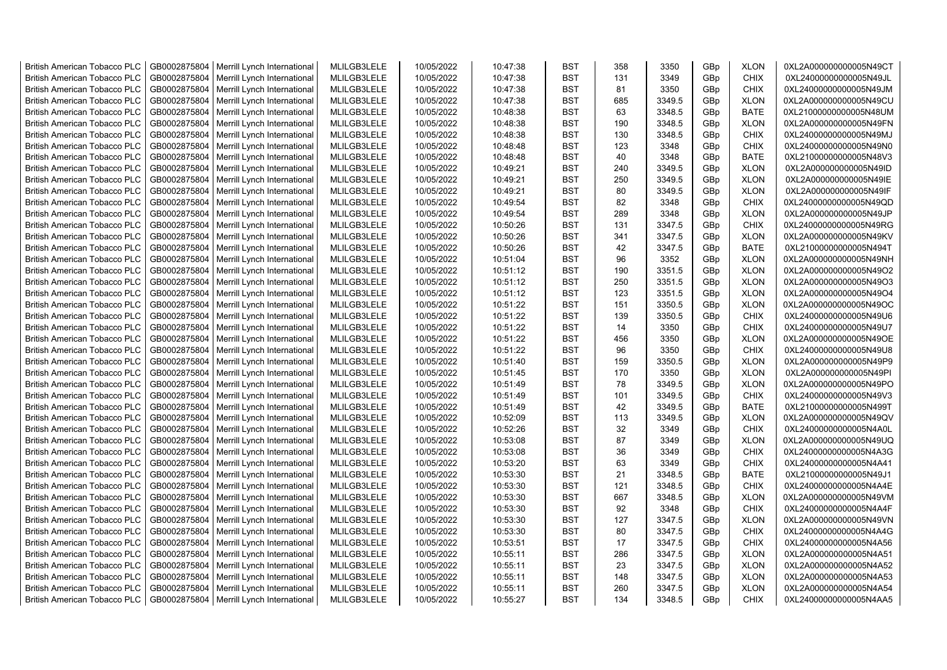| <b>British American Tobacco PLC</b> | GB0002875804 | Merrill Lynch International | MLILGB3LELE | 10/05/2022 | 10:47:38 | <b>BST</b> | 358 | 3350   | GBp             | <b>XLON</b> | 0XL2A000000000005N49CT |
|-------------------------------------|--------------|-----------------------------|-------------|------------|----------|------------|-----|--------|-----------------|-------------|------------------------|
| <b>British American Tobacco PLC</b> | GB0002875804 | Merrill Lynch International | MLILGB3LELE | 10/05/2022 | 10:47:38 | <b>BST</b> | 131 | 3349   | GBp             | <b>CHIX</b> | 0XL24000000000005N49JL |
| <b>British American Tobacco PLC</b> | GB0002875804 | Merrill Lynch International | MLILGB3LELE | 10/05/2022 | 10:47:38 | <b>BST</b> | 81  | 3350   | GBp             | <b>CHIX</b> | 0XL24000000000005N49JM |
| <b>British American Tobacco PLC</b> | GB0002875804 | Merrill Lynch International | MLILGB3LELE | 10/05/2022 | 10:47:38 | <b>BST</b> | 685 | 3349.5 | GBp             | <b>XLON</b> | 0XL2A000000000005N49CU |
| <b>British American Tobacco PLC</b> | GB0002875804 | Merrill Lynch International | MLILGB3LELE | 10/05/2022 | 10:48:38 | <b>BST</b> | 63  | 3348.5 | GBp             | <b>BATE</b> | 0XL21000000000005N48UM |
| <b>British American Tobacco PLC</b> | GB0002875804 | Merrill Lynch International | MLILGB3LELE | 10/05/2022 | 10:48:38 | <b>BST</b> | 190 | 3348.5 | GBp             | <b>XLON</b> | 0XL2A000000000005N49FN |
| <b>British American Tobacco PLC</b> | GB0002875804 | Merrill Lynch International | MLILGB3LELE | 10/05/2022 | 10:48:38 | <b>BST</b> | 130 | 3348.5 | GBp             | <b>CHIX</b> | 0XL24000000000005N49MJ |
| <b>British American Tobacco PLC</b> | GB0002875804 | Merrill Lynch International | MLILGB3LELE | 10/05/2022 | 10:48:48 | <b>BST</b> | 123 | 3348   | GBp             | <b>CHIX</b> | 0XL24000000000005N49N0 |
| <b>British American Tobacco PLC</b> | GB0002875804 | Merrill Lynch International | MLILGB3LELE | 10/05/2022 | 10:48:48 | <b>BST</b> | 40  | 3348   | GBp             | <b>BATE</b> | 0XL21000000000005N48V3 |
| <b>British American Tobacco PLC</b> | GB0002875804 | Merrill Lynch International | MLILGB3LELE | 10/05/2022 | 10:49:21 | <b>BST</b> | 240 | 3349.5 | GBp             | <b>XLON</b> | 0XL2A000000000005N49ID |
| <b>British American Tobacco PLC</b> | GB0002875804 | Merrill Lynch International | MLILGB3LELE | 10/05/2022 | 10:49:21 | <b>BST</b> | 250 | 3349.5 | GBp             | <b>XLON</b> | 0XL2A000000000005N49IE |
| <b>British American Tobacco PLC</b> | GB0002875804 | Merrill Lynch International | MLILGB3LELE | 10/05/2022 | 10:49:21 | <b>BST</b> | 80  | 3349.5 | GBp             | <b>XLON</b> | 0XL2A000000000005N49IF |
| <b>British American Tobacco PLC</b> | GB0002875804 | Merrill Lynch International | MLILGB3LELE | 10/05/2022 | 10:49:54 | <b>BST</b> | 82  | 3348   | GBp             | <b>CHIX</b> | 0XL24000000000005N49QD |
| <b>British American Tobacco PLC</b> | GB0002875804 | Merrill Lynch International | MLILGB3LELE | 10/05/2022 | 10:49:54 | <b>BST</b> | 289 | 3348   | GBp             | <b>XLON</b> | 0XL2A000000000005N49JP |
| <b>British American Tobacco PLC</b> | GB0002875804 | Merrill Lynch International | MLILGB3LELE | 10/05/2022 | 10:50:26 | <b>BST</b> | 131 | 3347.5 | GBp             | <b>CHIX</b> | 0XL24000000000005N49RG |
| <b>British American Tobacco PLC</b> | GB0002875804 | Merrill Lynch International | MLILGB3LELE | 10/05/2022 | 10:50:26 | <b>BST</b> | 341 | 3347.5 | GBp             | <b>XLON</b> | 0XL2A000000000005N49KV |
| <b>British American Tobacco PLC</b> | GB0002875804 | Merrill Lynch International | MLILGB3LELE | 10/05/2022 | 10:50:26 | <b>BST</b> | 42  | 3347.5 | GBp             | BATE        | 0XL21000000000005N494T |
| <b>British American Tobacco PLC</b> | GB0002875804 | Merrill Lynch International | MLILGB3LELE | 10/05/2022 | 10:51:04 | <b>BST</b> | 96  | 3352   | GBp             | <b>XLON</b> | 0XL2A000000000005N49NH |
| <b>British American Tobacco PLC</b> | GB0002875804 | Merrill Lynch International | MLILGB3LELE | 10/05/2022 | 10:51:12 | <b>BST</b> | 190 | 3351.5 | GBp             | <b>XLON</b> | 0XL2A000000000005N49O2 |
| <b>British American Tobacco PLC</b> | GB0002875804 | Merrill Lynch International | MLILGB3LELE | 10/05/2022 | 10:51:12 | <b>BST</b> | 250 | 3351.5 | GBp             | <b>XLON</b> | 0XL2A000000000005N49O3 |
| <b>British American Tobacco PLC</b> | GB0002875804 | Merrill Lynch International | MLILGB3LELE | 10/05/2022 | 10:51:12 | <b>BST</b> | 123 | 3351.5 | GBp             | <b>XLON</b> | 0XL2A000000000005N49O4 |
| <b>British American Tobacco PLC</b> | GB0002875804 | Merrill Lynch International | MLILGB3LELE | 10/05/2022 | 10:51:22 | <b>BST</b> | 151 | 3350.5 | GBp             | <b>XLON</b> | 0XL2A000000000005N49OC |
| British American Tobacco PLC        | GB0002875804 | Merrill Lynch International | MLILGB3LELE | 10/05/2022 | 10:51:22 | <b>BST</b> | 139 | 3350.5 | GBp             | <b>CHIX</b> | 0XL24000000000005N49U6 |
| British American Tobacco PLC        | GB0002875804 | Merrill Lynch International | MLILGB3LELE | 10/05/2022 | 10:51:22 | <b>BST</b> | 14  | 3350   | GBp             | <b>CHIX</b> | 0XL24000000000005N49U7 |
| <b>British American Tobacco PLC</b> | GB0002875804 | Merrill Lynch International | MLILGB3LELE | 10/05/2022 | 10:51:22 | <b>BST</b> | 456 | 3350   | GBp             | <b>XLON</b> | 0XL2A000000000005N49OE |
| <b>British American Tobacco PLC</b> | GB0002875804 | Merrill Lynch International | MLILGB3LELE | 10/05/2022 | 10:51:22 | <b>BST</b> | 96  | 3350   | GBp             | <b>CHIX</b> | 0XL24000000000005N49U8 |
| <b>British American Tobacco PLC</b> | GB0002875804 | Merrill Lynch International | MLILGB3LELE | 10/05/2022 | 10:51:40 | <b>BST</b> | 159 | 3350.5 | GBp             | <b>XLON</b> | 0XL2A000000000005N49P9 |
| <b>British American Tobacco PLC</b> | GB0002875804 | Merrill Lynch International | MLILGB3LELE | 10/05/2022 | 10:51:45 | <b>BST</b> | 170 | 3350   | GBp             | <b>XLON</b> | 0XL2A000000000005N49PI |
| <b>British American Tobacco PLC</b> | GB0002875804 | Merrill Lynch International | MLILGB3LELE | 10/05/2022 | 10:51:49 | <b>BST</b> | 78  | 3349.5 | GBp             | <b>XLON</b> | 0XL2A000000000005N49PO |
| <b>British American Tobacco PLC</b> | GB0002875804 | Merrill Lynch International | MLILGB3LELE | 10/05/2022 | 10:51:49 | <b>BST</b> | 101 | 3349.5 | GBp             | <b>CHIX</b> | 0XL24000000000005N49V3 |
| <b>British American Tobacco PLC</b> | GB0002875804 | Merrill Lynch International | MLILGB3LELE | 10/05/2022 | 10:51:49 | <b>BST</b> | 42  | 3349.5 | GBp             | <b>BATE</b> | 0XL21000000000005N499T |
| <b>British American Tobacco PLC</b> | GB0002875804 | Merrill Lynch International | MLILGB3LELE | 10/05/2022 | 10:52:09 | <b>BST</b> | 113 | 3349.5 | GBp             | <b>XLON</b> | 0XL2A000000000005N49QV |
| <b>British American Tobacco PLC</b> | GB0002875804 | Merrill Lynch International | MLILGB3LELE | 10/05/2022 | 10:52:26 | <b>BST</b> | 32  | 3349   | GBp             | <b>CHIX</b> | 0XL24000000000005N4A0L |
| <b>British American Tobacco PLC</b> | GB0002875804 | Merrill Lynch International | MLILGB3LELE | 10/05/2022 | 10:53:08 | <b>BST</b> | 87  | 3349   | GBp             | <b>XLON</b> | 0XL2A000000000005N49UQ |
| <b>British American Tobacco PLC</b> | GB0002875804 | Merrill Lynch International | MLILGB3LELE | 10/05/2022 | 10:53:08 | <b>BST</b> | 36  | 3349   | GBp             | <b>CHIX</b> | 0XL24000000000005N4A3G |
| <b>British American Tobacco PLC</b> | GB0002875804 | Merrill Lynch International | MLILGB3LELE | 10/05/2022 | 10:53:20 | <b>BST</b> | 63  | 3349   | GBp             | <b>CHIX</b> | 0XL24000000000005N4A41 |
| <b>British American Tobacco PLC</b> | GB0002875804 | Merrill Lynch International | MLILGB3LELE | 10/05/2022 | 10:53:30 | <b>BST</b> | 21  | 3348.5 | GBp             | <b>BATE</b> | 0XL21000000000005N49J1 |
| <b>British American Tobacco PLC</b> | GB0002875804 | Merrill Lynch International | MLILGB3LELE | 10/05/2022 | 10:53:30 | <b>BST</b> | 121 | 3348.5 | GBp             | <b>CHIX</b> | 0XL24000000000005N4A4E |
| <b>British American Tobacco PLC</b> | GB0002875804 | Merrill Lynch International | MLILGB3LELE | 10/05/2022 | 10:53:30 | <b>BST</b> | 667 | 3348.5 | GBp             | <b>XLON</b> | 0XL2A000000000005N49VM |
| <b>British American Tobacco PLC</b> | GB0002875804 | Merrill Lynch International | MLILGB3LELE | 10/05/2022 | 10:53:30 | <b>BST</b> | 92  | 3348   | GBp             | <b>CHIX</b> | 0XL24000000000005N4A4F |
| <b>British American Tobacco PLC</b> | GB0002875804 | Merrill Lynch International | MLILGB3LELE | 10/05/2022 | 10:53:30 | <b>BST</b> | 127 | 3347.5 | GBp             | <b>XLON</b> | 0XL2A000000000005N49VN |
| <b>British American Tobacco PLC</b> | GB0002875804 | Merrill Lynch International | MLILGB3LELE | 10/05/2022 | 10:53:30 | <b>BST</b> | 80  | 3347.5 | GBp             | <b>CHIX</b> | 0XL24000000000005N4A4G |
| <b>British American Tobacco PLC</b> | GB0002875804 | Merrill Lynch International | MLILGB3LELE | 10/05/2022 | 10:53:51 | <b>BST</b> | 17  | 3347.5 | GBp             | <b>CHIX</b> | 0XL24000000000005N4A56 |
| <b>British American Tobacco PLC</b> | GB0002875804 | Merrill Lynch International | MLILGB3LELE | 10/05/2022 | 10:55:11 | <b>BST</b> | 286 | 3347.5 | GBp             | <b>XLON</b> | 0XL2A000000000005N4A51 |
| <b>British American Tobacco PLC</b> | GB0002875804 | Merrill Lynch International | MLILGB3LELE | 10/05/2022 | 10:55:11 | <b>BST</b> | 23  | 3347.5 | GBp             | <b>XLON</b> | 0XL2A000000000005N4A52 |
| <b>British American Tobacco PLC</b> | GB0002875804 | Merrill Lynch International | MLILGB3LELE | 10/05/2022 | 10:55:11 | <b>BST</b> | 148 | 3347.5 | GBp             | <b>XLON</b> | 0XL2A000000000005N4A53 |
| <b>British American Tobacco PLC</b> | GB0002875804 | Merrill Lynch International | MLILGB3LELE | 10/05/2022 | 10:55:11 | <b>BST</b> | 260 | 3347.5 | GBp             | <b>XLON</b> | 0XL2A000000000005N4A54 |
| <b>British American Tobacco PLC</b> | GB0002875804 | Merrill Lynch International | MLILGB3LELE | 10/05/2022 | 10:55:27 | <b>BST</b> | 134 | 3348.5 | GB <sub>p</sub> | <b>CHIX</b> | 0XL24000000000005N4AA5 |
|                                     |              |                             |             |            |          |            |     |        |                 |             |                        |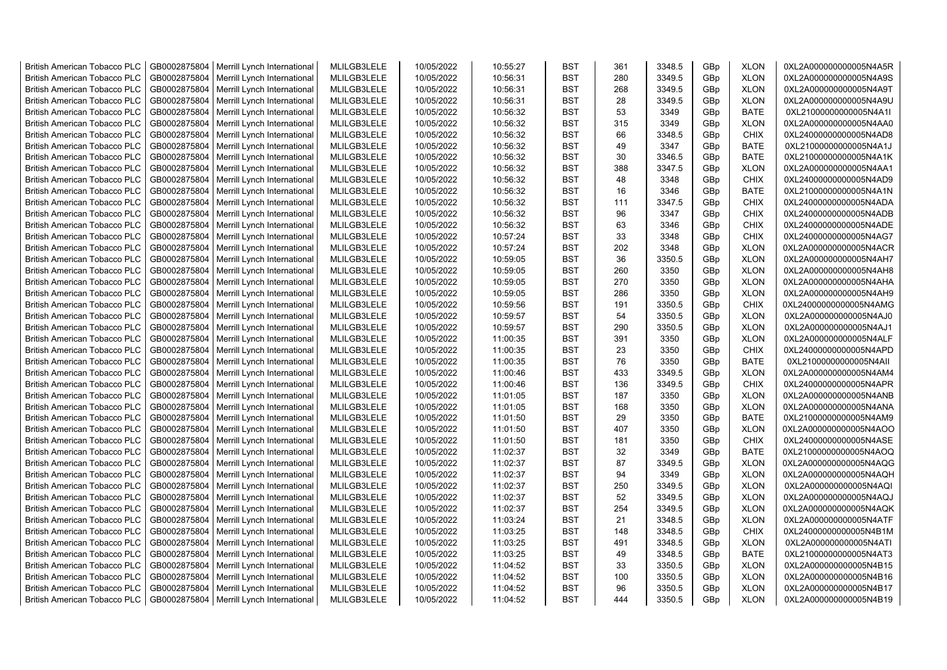| <b>British American Tobacco PLC</b> | GB0002875804 | Merrill Lynch International | MLILGB3LELE | 10/05/2022 | 10:55:27 | <b>BST</b> | 361 | 3348.5 | GBp | <b>XLON</b> | 0XL2A000000000005N4A5R |
|-------------------------------------|--------------|-----------------------------|-------------|------------|----------|------------|-----|--------|-----|-------------|------------------------|
| <b>British American Tobacco PLC</b> | GB0002875804 | Merrill Lynch International | MLILGB3LELE | 10/05/2022 | 10:56:31 | <b>BST</b> | 280 | 3349.5 | GBp | <b>XLON</b> | 0XL2A000000000005N4A9S |
| <b>British American Tobacco PLC</b> | GB0002875804 | Merrill Lynch International | MLILGB3LELE | 10/05/2022 | 10:56:31 | <b>BST</b> | 268 | 3349.5 | GBp | <b>XLON</b> | 0XL2A000000000005N4A9T |
| <b>British American Tobacco PLC</b> | GB0002875804 | Merrill Lynch International | MLILGB3LELE | 10/05/2022 | 10:56:31 | <b>BST</b> | 28  | 3349.5 | GBp | <b>XLON</b> | 0XL2A000000000005N4A9U |
| <b>British American Tobacco PLC</b> | GB0002875804 | Merrill Lynch International | MLILGB3LELE | 10/05/2022 | 10:56:32 | <b>BST</b> | 53  | 3349   | GBp | <b>BATE</b> | 0XL21000000000005N4A1I |
| <b>British American Tobacco PLC</b> | GB0002875804 | Merrill Lynch International | MLILGB3LELE | 10/05/2022 | 10:56:32 | <b>BST</b> | 315 | 3349   | GBp | <b>XLON</b> | 0XL2A000000000005N4AA0 |
| <b>British American Tobacco PLC</b> | GB0002875804 | Merrill Lynch International | MLILGB3LELE | 10/05/2022 | 10:56:32 | <b>BST</b> | 66  | 3348.5 | GBp | <b>CHIX</b> | 0XL24000000000005N4AD8 |
| <b>British American Tobacco PLC</b> | GB0002875804 | Merrill Lynch International | MLILGB3LELE | 10/05/2022 | 10:56:32 | <b>BST</b> | 49  | 3347   | GBp | BATE        | 0XL21000000000005N4A1J |
| <b>British American Tobacco PLC</b> | GB0002875804 | Merrill Lynch International | MLILGB3LELE | 10/05/2022 | 10:56:32 | <b>BST</b> | 30  | 3346.5 | GBp | <b>BATE</b> | 0XL21000000000005N4A1K |
| <b>British American Tobacco PLC</b> | GB0002875804 | Merrill Lynch International | MLILGB3LELE | 10/05/2022 | 10:56:32 | <b>BST</b> | 388 | 3347.5 | GBp | <b>XLON</b> | 0XL2A000000000005N4AA1 |
| <b>British American Tobacco PLC</b> | GB0002875804 | Merrill Lynch International | MLILGB3LELE | 10/05/2022 | 10:56:32 | <b>BST</b> | 48  | 3348   | GBp | <b>CHIX</b> | 0XL24000000000005N4AD9 |
| <b>British American Tobacco PLC</b> | GB0002875804 | Merrill Lynch International | MLILGB3LELE | 10/05/2022 | 10:56:32 | <b>BST</b> | 16  | 3346   | GBp | <b>BATE</b> | 0XL21000000000005N4A1N |
| <b>British American Tobacco PLC</b> | GB0002875804 | Merrill Lynch International | MLILGB3LELE | 10/05/2022 | 10:56:32 | <b>BST</b> | 111 | 3347.5 | GBp | <b>CHIX</b> | 0XL24000000000005N4ADA |
| <b>British American Tobacco PLC</b> | GB0002875804 | Merrill Lynch International | MLILGB3LELE | 10/05/2022 | 10:56:32 | <b>BST</b> | 96  | 3347   | GBp | <b>CHIX</b> | 0XL24000000000005N4ADB |
| <b>British American Tobacco PLC</b> | GB0002875804 | Merrill Lynch International | MLILGB3LELE | 10/05/2022 | 10:56:32 | <b>BST</b> | 63  | 3346   | GBp | <b>CHIX</b> | 0XL24000000000005N4ADE |
| <b>British American Tobacco PLC</b> | GB0002875804 | Merrill Lynch International | MLILGB3LELE | 10/05/2022 | 10:57:24 | <b>BST</b> | 33  | 3348   | GBp | <b>CHIX</b> | 0XL24000000000005N4AG7 |
| <b>British American Tobacco PLC</b> | GB0002875804 | Merrill Lynch International | MLILGB3LELE | 10/05/2022 | 10:57:24 | <b>BST</b> | 202 | 3348   | GBp | <b>XLON</b> | 0XL2A000000000005N4ACR |
| <b>British American Tobacco PLC</b> | GB0002875804 | Merrill Lynch International | MLILGB3LELE | 10/05/2022 | 10:59:05 | <b>BST</b> | 36  | 3350.5 | GBp | <b>XLON</b> | 0XL2A000000000005N4AH7 |
| <b>British American Tobacco PLC</b> | GB0002875804 | Merrill Lynch International | MLILGB3LELE | 10/05/2022 | 10:59:05 | <b>BST</b> | 260 | 3350   | GBp | <b>XLON</b> | 0XL2A000000000005N4AH8 |
| <b>British American Tobacco PLC</b> | GB0002875804 | Merrill Lynch International | MLILGB3LELE | 10/05/2022 | 10:59:05 | <b>BST</b> | 270 | 3350   | GBp | <b>XLON</b> | 0XL2A000000000005N4AHA |
| <b>British American Tobacco PLC</b> | GB0002875804 | Merrill Lynch International | MLILGB3LELE | 10/05/2022 | 10:59:05 | <b>BST</b> | 286 | 3350   | GBp | <b>XLON</b> | 0XL2A000000000005N4AH9 |
| <b>British American Tobacco PLC</b> | GB0002875804 | Merrill Lynch International | MLILGB3LELE | 10/05/2022 | 10:59:56 | <b>BST</b> | 191 | 3350.5 | GBp | <b>CHIX</b> | 0XL24000000000005N4AMG |
| <b>British American Tobacco PLC</b> | GB0002875804 | Merrill Lynch International | MLILGB3LELE | 10/05/2022 | 10:59:57 | <b>BST</b> | 54  | 3350.5 | GBp | <b>XLON</b> | 0XL2A000000000005N4AJ0 |
| <b>British American Tobacco PLC</b> | GB0002875804 | Merrill Lynch International | MLILGB3LELE | 10/05/2022 | 10:59:57 | BST        | 290 | 3350.5 | GBp | <b>XLON</b> | 0XL2A000000000005N4AJ1 |
| <b>British American Tobacco PLC</b> | GB0002875804 | Merrill Lynch International | MLILGB3LELE | 10/05/2022 | 11:00:35 | <b>BST</b> | 391 | 3350   | GBp | <b>XLON</b> | 0XL2A000000000005N4ALF |
| British American Tobacco PLC        | GB0002875804 | Merrill Lynch International | MLILGB3LELE | 10/05/2022 | 11:00:35 | <b>BST</b> | 23  | 3350   | GBp | <b>CHIX</b> | 0XL24000000000005N4APD |
| <b>British American Tobacco PLC</b> | GB0002875804 | Merrill Lynch International | MLILGB3LELE | 10/05/2022 | 11:00:35 | <b>BST</b> | 76  | 3350   | GBp | <b>BATE</b> | 0XL21000000000005N4All |
| British American Tobacco PLC        | GB0002875804 | Merrill Lynch International | MLILGB3LELE | 10/05/2022 | 11:00:46 | <b>BST</b> | 433 | 3349.5 | GBp | <b>XLON</b> | 0XL2A000000000005N4AM4 |
| <b>British American Tobacco PLC</b> | GB0002875804 | Merrill Lynch International | MLILGB3LELE | 10/05/2022 | 11:00:46 | <b>BST</b> | 136 | 3349.5 | GBp | <b>CHIX</b> | 0XL24000000000005N4APR |
| <b>British American Tobacco PLC</b> | GB0002875804 | Merrill Lynch International | MLILGB3LELE | 10/05/2022 | 11:01:05 | <b>BST</b> | 187 | 3350   | GBp | <b>XLON</b> | 0XL2A000000000005N4ANB |
| <b>British American Tobacco PLC</b> | GB0002875804 | Merrill Lynch International | MLILGB3LELE | 10/05/2022 | 11:01:05 | <b>BST</b> | 168 | 3350   | GBp | <b>XLON</b> | 0XL2A000000000005N4ANA |
| <b>British American Tobacco PLC</b> | GB0002875804 | Merrill Lynch International | MLILGB3LELE | 10/05/2022 | 11:01:50 | <b>BST</b> | 29  | 3350   | GBp | <b>BATE</b> | 0XL21000000000005N4AM9 |
| <b>British American Tobacco PLC</b> | GB0002875804 | Merrill Lynch International | MLILGB3LELE | 10/05/2022 | 11:01:50 | <b>BST</b> | 407 | 3350   | GBp | <b>XLON</b> | 0XL2A000000000005N4AOO |
| <b>British American Tobacco PLC</b> | GB0002875804 | Merrill Lynch International | MLILGB3LELE | 10/05/2022 | 11:01:50 | <b>BST</b> | 181 | 3350   | GBp | <b>CHIX</b> | 0XL24000000000005N4ASE |
| <b>British American Tobacco PLC</b> | GB0002875804 | Merrill Lynch International | MLILGB3LELE | 10/05/2022 | 11:02:37 | <b>BST</b> | 32  | 3349   | GBp | <b>BATE</b> | 0XL21000000000005N4AOQ |
| <b>British American Tobacco PLC</b> | GB0002875804 | Merrill Lynch International | MLILGB3LELE | 10/05/2022 | 11:02:37 | <b>BST</b> | 87  | 3349.5 | GBp | <b>XLON</b> | 0XL2A000000000005N4AQG |
| <b>British American Tobacco PLC</b> | GB0002875804 | Merrill Lynch International | MLILGB3LELE | 10/05/2022 | 11:02:37 | <b>BST</b> | 94  | 3349   | GBp | <b>XLON</b> | 0XL2A000000000005N4AQH |
| <b>British American Tobacco PLC</b> | GB0002875804 | Merrill Lynch International | MLILGB3LELE | 10/05/2022 | 11:02:37 | <b>BST</b> | 250 | 3349.5 | GBp | <b>XLON</b> | 0XL2A000000000005N4AQI |
| <b>British American Tobacco PLC</b> | GB0002875804 | Merrill Lynch International | MLILGB3LELE | 10/05/2022 | 11:02:37 | <b>BST</b> | 52  | 3349.5 | GBp | <b>XLON</b> | 0XL2A000000000005N4AQJ |
| <b>British American Tobacco PLC</b> | GB0002875804 | Merrill Lynch International | MLILGB3LELE | 10/05/2022 | 11:02:37 | <b>BST</b> | 254 | 3349.5 | GBp | <b>XLON</b> | 0XL2A000000000005N4AQK |
| <b>British American Tobacco PLC</b> | GB0002875804 | Merrill Lynch International | MLILGB3LELE | 10/05/2022 | 11:03:24 | <b>BST</b> | 21  | 3348.5 | GBp | <b>XLON</b> | 0XL2A000000000005N4ATF |
| <b>British American Tobacco PLC</b> | GB0002875804 | Merrill Lynch International | MLILGB3LELE | 10/05/2022 | 11:03:25 | <b>BST</b> | 148 | 3348.5 | GBp | <b>CHIX</b> | 0XL24000000000005N4B1M |
| <b>British American Tobacco PLC</b> | GB0002875804 | Merrill Lynch International | MLILGB3LELE | 10/05/2022 | 11:03:25 | <b>BST</b> | 491 | 3348.5 | GBp | <b>XLON</b> | 0XL2A000000000005N4ATI |
| British American Tobacco PLC        | GB0002875804 | Merrill Lynch International | MLILGB3LELE | 10/05/2022 | 11:03:25 | <b>BST</b> | 49  | 3348.5 | GBp | <b>BATE</b> | 0XL21000000000005N4AT3 |
| <b>British American Tobacco PLC</b> | GB0002875804 | Merrill Lynch International | MLILGB3LELE | 10/05/2022 | 11:04:52 | <b>BST</b> | 33  | 3350.5 | GBp | <b>XLON</b> | 0XL2A000000000005N4B15 |
| <b>British American Tobacco PLC</b> | GB0002875804 | Merrill Lynch International | MLILGB3LELE | 10/05/2022 | 11:04:52 | <b>BST</b> | 100 | 3350.5 | GBp | <b>XLON</b> | 0XL2A000000000005N4B16 |
| <b>British American Tobacco PLC</b> | GB0002875804 | Merrill Lynch International | MLILGB3LELE | 10/05/2022 | 11:04:52 | <b>BST</b> | 96  | 3350.5 | GBp | <b>XLON</b> | 0XL2A000000000005N4B17 |
| <b>British American Tobacco PLC</b> | GB0002875804 | Merrill Lynch International | MLILGB3LELE | 10/05/2022 | 11:04:52 | <b>BST</b> | 444 | 3350.5 | GBp | <b>XLON</b> | 0XL2A000000000005N4B19 |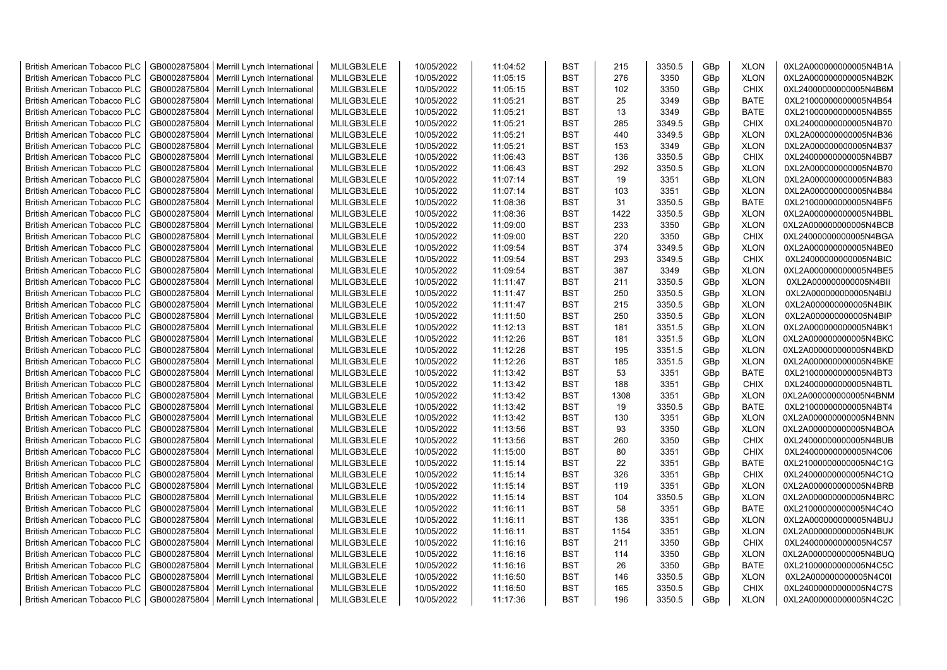| <b>British American Tobacco PLC</b> | GB0002875804 | Merrill Lynch International | MLILGB3LELE | 10/05/2022 | 11:04:52 | <b>BST</b> | 215  | 3350.5 | GBp             | <b>XLON</b> | 0XL2A000000000005N4B1A |
|-------------------------------------|--------------|-----------------------------|-------------|------------|----------|------------|------|--------|-----------------|-------------|------------------------|
| <b>British American Tobacco PLC</b> | GB0002875804 | Merrill Lynch International | MLILGB3LELE | 10/05/2022 | 11:05:15 | <b>BST</b> | 276  | 3350   | GBp             | <b>XLON</b> | 0XL2A000000000005N4B2K |
| <b>British American Tobacco PLC</b> | GB0002875804 | Merrill Lynch International | MLILGB3LELE | 10/05/2022 | 11:05:15 | <b>BST</b> | 102  | 3350   | GBp             | <b>CHIX</b> | 0XL24000000000005N4B6M |
| <b>British American Tobacco PLC</b> | GB0002875804 | Merrill Lynch International | MLILGB3LELE | 10/05/2022 | 11:05:21 | <b>BST</b> | 25   | 3349   | GBp             | <b>BATE</b> | 0XL21000000000005N4B54 |
| <b>British American Tobacco PLC</b> | GB0002875804 | Merrill Lynch International | MLILGB3LELE | 10/05/2022 | 11:05:21 | <b>BST</b> | 13   | 3349   | GBp             | <b>BATE</b> | 0XL21000000000005N4B55 |
| <b>British American Tobacco PLC</b> | GB0002875804 | Merrill Lynch International | MLILGB3LELE | 10/05/2022 | 11:05:21 | <b>BST</b> | 285  | 3349.5 | GBp             | <b>CHIX</b> | 0XL24000000000005N4B70 |
| <b>British American Tobacco PLC</b> | GB0002875804 | Merrill Lynch International | MLILGB3LELE | 10/05/2022 | 11:05:21 | <b>BST</b> | 440  | 3349.5 | GBp             | <b>XLON</b> | 0XL2A000000000005N4B36 |
| <b>British American Tobacco PLC</b> | GB0002875804 | Merrill Lynch International | MLILGB3LELE | 10/05/2022 | 11:05:21 | BST        | 153  | 3349   | GBp             | <b>XLON</b> | 0XL2A000000000005N4B37 |
| <b>British American Tobacco PLC</b> | GB0002875804 | Merrill Lynch International | MLILGB3LELE | 10/05/2022 | 11:06:43 | <b>BST</b> | 136  | 3350.5 | GBp             | <b>CHIX</b> | 0XL24000000000005N4BB7 |
| <b>British American Tobacco PLC</b> | GB0002875804 | Merrill Lynch International | MLILGB3LELE | 10/05/2022 | 11:06:43 | <b>BST</b> | 292  | 3350.5 | GBp             | <b>XLON</b> | 0XL2A000000000005N4B70 |
| <b>British American Tobacco PLC</b> | GB0002875804 | Merrill Lynch International | MLILGB3LELE | 10/05/2022 | 11:07:14 | <b>BST</b> | 19   | 3351   | GBp             | <b>XLON</b> | 0XL2A000000000005N4B83 |
| British American Tobacco PLC        | GB0002875804 | Merrill Lynch International | MLILGB3LELE | 10/05/2022 | 11:07:14 | <b>BST</b> | 103  | 3351   | GBp             | <b>XLON</b> | 0XL2A000000000005N4B84 |
| <b>British American Tobacco PLC</b> | GB0002875804 | Merrill Lynch International | MLILGB3LELE | 10/05/2022 | 11:08:36 | <b>BST</b> | 31   | 3350.5 | GBp             | <b>BATE</b> | 0XL21000000000005N4BF5 |
| <b>British American Tobacco PLC</b> | GB0002875804 | Merrill Lynch International | MLILGB3LELE | 10/05/2022 | 11:08:36 | <b>BST</b> | 1422 | 3350.5 | GBp             | <b>XLON</b> | 0XL2A000000000005N4BBL |
| <b>British American Tobacco PLC</b> | GB0002875804 | Merrill Lynch International | MLILGB3LELE | 10/05/2022 | 11:09:00 | <b>BST</b> | 233  | 3350   | GBp             | <b>XLON</b> | 0XL2A000000000005N4BCB |
|                                     |              |                             |             |            |          |            |      |        |                 |             |                        |
| <b>British American Tobacco PLC</b> | GB0002875804 | Merrill Lynch International | MLILGB3LELE | 10/05/2022 | 11:09:00 | <b>BST</b> | 220  | 3350   | GBp             | <b>CHIX</b> | 0XL24000000000005N4BGA |
| <b>British American Tobacco PLC</b> | GB0002875804 | Merrill Lynch International | MLILGB3LELE | 10/05/2022 | 11:09:54 | <b>BST</b> | 374  | 3349.5 | GBp             | <b>XLON</b> | 0XL2A000000000005N4BE0 |
| <b>British American Tobacco PLC</b> | GB0002875804 | Merrill Lynch International | MLILGB3LELE | 10/05/2022 | 11:09:54 | <b>BST</b> | 293  | 3349.5 | GBp             | <b>CHIX</b> | 0XL24000000000005N4BIC |
| <b>British American Tobacco PLC</b> | GB0002875804 | Merrill Lynch International | MLILGB3LELE | 10/05/2022 | 11:09:54 | <b>BST</b> | 387  | 3349   | GBp             | <b>XLON</b> | 0XL2A000000000005N4BE5 |
| <b>British American Tobacco PLC</b> | GB0002875804 | Merrill Lynch International | MLILGB3LELE | 10/05/2022 | 11:11:47 | <b>BST</b> | 211  | 3350.5 | GBp             | <b>XLON</b> | 0XL2A000000000005N4BII |
| <b>British American Tobacco PLC</b> | GB0002875804 | Merrill Lynch International | MLILGB3LELE | 10/05/2022 | 11:11:47 | <b>BST</b> | 250  | 3350.5 | GBp             | <b>XLON</b> | 0XL2A000000000005N4BIJ |
| <b>British American Tobacco PLC</b> | GB0002875804 | Merrill Lynch International | MLILGB3LELE | 10/05/2022 | 11:11:47 | <b>BST</b> | 215  | 3350.5 | GBp             | <b>XLON</b> | 0XL2A000000000005N4BIK |
| <b>British American Tobacco PLC</b> | GB0002875804 | Merrill Lynch International | MLILGB3LELE | 10/05/2022 | 11:11:50 | <b>BST</b> | 250  | 3350.5 | GBp             | <b>XLON</b> | 0XL2A000000000005N4BIP |
| <b>British American Tobacco PLC</b> | GB0002875804 | Merrill Lynch International | MLILGB3LELE | 10/05/2022 | 11:12:13 | <b>BST</b> | 181  | 3351.5 | GBp             | <b>XLON</b> | 0XL2A000000000005N4BK1 |
| <b>British American Tobacco PLC</b> | GB0002875804 | Merrill Lynch International | MLILGB3LELE | 10/05/2022 | 11:12:26 | <b>BST</b> | 181  | 3351.5 | GBp             | <b>XLON</b> | 0XL2A000000000005N4BKC |
| <b>British American Tobacco PLC</b> | GB0002875804 | Merrill Lynch International | MLILGB3LELE | 10/05/2022 | 11:12:26 | <b>BST</b> | 195  | 3351.5 | GBp             | <b>XLON</b> | 0XL2A000000000005N4BKD |
| <b>British American Tobacco PLC</b> | GB0002875804 | Merrill Lynch International | MLILGB3LELE | 10/05/2022 | 11:12:26 | <b>BST</b> | 185  | 3351.5 | GBp             | <b>XLON</b> | 0XL2A000000000005N4BKE |
| <b>British American Tobacco PLC</b> | GB0002875804 | Merrill Lynch International | MLILGB3LELE | 10/05/2022 | 11:13:42 | <b>BST</b> | 53   | 3351   | GBp             | <b>BATE</b> | 0XL21000000000005N4BT3 |
| <b>British American Tobacco PLC</b> | GB0002875804 | Merrill Lynch International | MLILGB3LELE | 10/05/2022 | 11:13:42 | <b>BST</b> | 188  | 3351   | GBp             | <b>CHIX</b> | 0XL24000000000005N4BTL |
| <b>British American Tobacco PLC</b> | GB0002875804 | Merrill Lynch International | MLILGB3LELE | 10/05/2022 | 11:13:42 | <b>BST</b> | 1308 | 3351   | GBp             | <b>XLON</b> | 0XL2A000000000005N4BNM |
| <b>British American Tobacco PLC</b> | GB0002875804 | Merrill Lynch International | MLILGB3LELE | 10/05/2022 | 11:13:42 | <b>BST</b> | 19   | 3350.5 | GBp             | <b>BATE</b> | 0XL21000000000005N4BT4 |
| <b>British American Tobacco PLC</b> | GB0002875804 | Merrill Lynch International | MLILGB3LELE | 10/05/2022 | 11:13:42 | <b>BST</b> | 130  | 3351   | GBp             | <b>XLON</b> | 0XL2A000000000005N4BNN |
| <b>British American Tobacco PLC</b> | GB0002875804 | Merrill Lynch International | MLILGB3LELE | 10/05/2022 | 11:13:56 | <b>BST</b> | 93   | 3350   | GBp             | <b>XLON</b> | 0XL2A000000000005N4BOA |
| <b>British American Tobacco PLC</b> | GB0002875804 | Merrill Lynch International | MLILGB3LELE | 10/05/2022 | 11:13:56 | <b>BST</b> | 260  | 3350   | GBp             | <b>CHIX</b> | 0XL24000000000005N4BUB |
| British American Tobacco PLC        | GB0002875804 | Merrill Lynch International | MLILGB3LELE | 10/05/2022 | 11:15:00 | <b>BST</b> | 80   | 3351   | GBp             | <b>CHIX</b> | 0XL24000000000005N4C06 |
| <b>British American Tobacco PLC</b> | GB0002875804 | Merrill Lynch International | MLILGB3LELE | 10/05/2022 | 11:15:14 | <b>BST</b> | 22   | 3351   | GBp             | BATE        | 0XL21000000000005N4C1G |
| <b>British American Tobacco PLC</b> | GB0002875804 | Merrill Lynch International | MLILGB3LELE | 10/05/2022 | 11:15:14 | <b>BST</b> | 326  | 3351   | GBp             | <b>CHIX</b> | 0XL24000000000005N4C1Q |
| <b>British American Tobacco PLC</b> | GB0002875804 | Merrill Lynch International | MLILGB3LELE | 10/05/2022 | 11:15:14 | BST        | 119  | 3351   | GBp             | <b>XLON</b> | 0XL2A000000000005N4BRB |
| <b>British American Tobacco PLC</b> | GB0002875804 | Merrill Lynch International | MLILGB3LELE | 10/05/2022 | 11:15:14 | <b>BST</b> | 104  | 3350.5 | GBp             | <b>XLON</b> | 0XL2A000000000005N4BRC |
| <b>British American Tobacco PLC</b> | GB0002875804 | Merrill Lynch International | MLILGB3LELE | 10/05/2022 | 11:16:11 | <b>BST</b> | 58   | 3351   | GBp             | <b>BATE</b> | 0XL21000000000005N4C4O |
| <b>British American Tobacco PLC</b> | GB0002875804 | Merrill Lynch International | MLILGB3LELE | 10/05/2022 | 11:16:11 | <b>BST</b> | 136  | 3351   | GBp             | <b>XLON</b> | 0XL2A000000000005N4BUJ |
| British American Tobacco PLC        | GB0002875804 | Merrill Lynch International | MLILGB3LELE | 10/05/2022 | 11:16:11 | <b>BST</b> | 1154 | 3351   | GBp             | <b>XLON</b> | 0XL2A000000000005N4BUK |
| <b>British American Tobacco PLC</b> | GB0002875804 | Merrill Lynch International | MLILGB3LELE | 10/05/2022 | 11:16:16 | <b>BST</b> | 211  | 3350   | GBp             | <b>CHIX</b> | 0XL24000000000005N4C57 |
| <b>British American Tobacco PLC</b> | GB0002875804 | Merrill Lynch International | MLILGB3LELE | 10/05/2022 | 11:16:16 | <b>BST</b> | 114  | 3350   | GBp             | <b>XLON</b> | 0XL2A000000000005N4BUQ |
| British American Tobacco PLC        | GB0002875804 | Merrill Lynch International | MLILGB3LELE | 10/05/2022 | 11:16:16 | <b>BST</b> | 26   | 3350   | GBp             | <b>BATE</b> | 0XL21000000000005N4C5C |
| <b>British American Tobacco PLC</b> | GB0002875804 | Merrill Lynch International | MLILGB3LELE | 10/05/2022 | 11:16:50 | <b>BST</b> | 146  | 3350.5 | GBp             | <b>XLON</b> | 0XL2A000000000005N4C0I |
| <b>British American Tobacco PLC</b> | GB0002875804 | Merrill Lynch International | MLILGB3LELE | 10/05/2022 | 11:16:50 | <b>BST</b> | 165  | 3350.5 | GBp             | <b>CHIX</b> | 0XL24000000000005N4C7S |
| <b>British American Tobacco PLC</b> | GB0002875804 | Merrill Lynch International | MLILGB3LELE | 10/05/2022 | 11:17:36 | <b>BST</b> | 196  | 3350.5 | GB <sub>p</sub> | <b>XLON</b> | 0XL2A000000000005N4C2C |
|                                     |              |                             |             |            |          |            |      |        |                 |             |                        |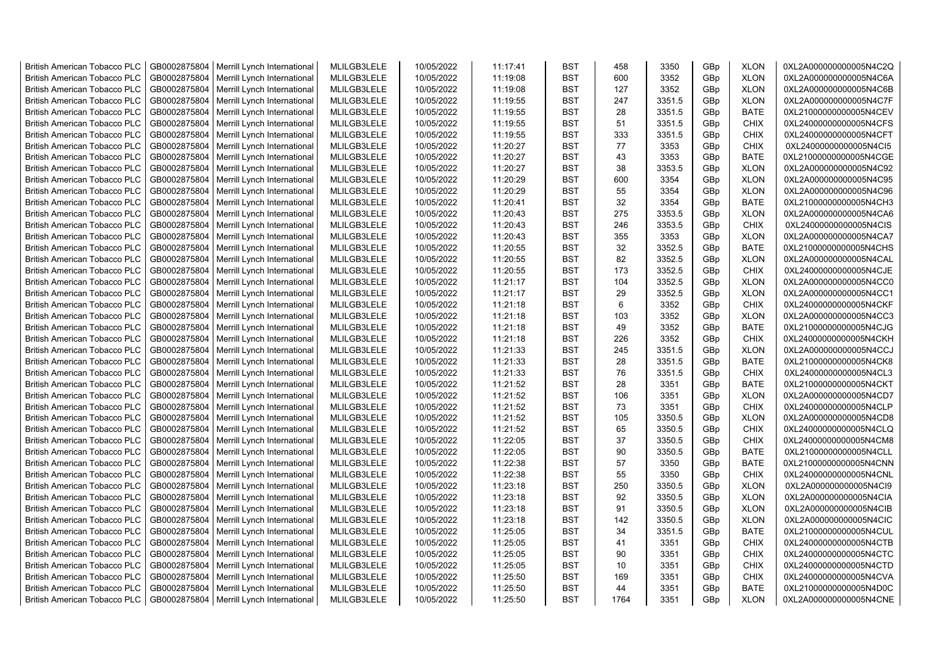| <b>British American Tobacco PLC</b> | GB0002875804                 | Merrill Lynch International | MLILGB3LELE                | 10/05/2022 | 11:17:41             | <b>BST</b> | 458  | 3350             | GBp        | <b>XLON</b>                | 0XL2A000000000005N4C2Q                           |
|-------------------------------------|------------------------------|-----------------------------|----------------------------|------------|----------------------|------------|------|------------------|------------|----------------------------|--------------------------------------------------|
| <b>British American Tobacco PLC</b> | GB0002875804                 | Merrill Lynch International | MLILGB3LELE                | 10/05/2022 | 11:19:08             | <b>BST</b> | 600  | 3352             | GBp        | <b>XLON</b>                | 0XL2A000000000005N4C6A                           |
| <b>British American Tobacco PLC</b> | GB0002875804                 | Merrill Lynch International | MLILGB3LELE                | 10/05/2022 | 11:19:08             | <b>BST</b> | 127  | 3352             | GBp        | <b>XLON</b>                | 0XL2A000000000005N4C6B                           |
| <b>British American Tobacco PLC</b> | GB0002875804                 | Merrill Lynch International | MLILGB3LELE                | 10/05/2022 | 11:19:55             | <b>BST</b> | 247  | 3351.5           | GBp        | <b>XLON</b>                | 0XL2A000000000005N4C7F                           |
| <b>British American Tobacco PLC</b> | GB0002875804                 | Merrill Lynch International | MLILGB3LELE                | 10/05/2022 | 11:19:55             | <b>BST</b> | 28   | 3351.5           | GBp        | <b>BATE</b>                | 0XL21000000000005N4CEV                           |
| <b>British American Tobacco PLC</b> | GB0002875804                 | Merrill Lynch International | MLILGB3LELE                | 10/05/2022 | 11:19:55             | <b>BST</b> | 51   | 3351.5           | GBp        | <b>CHIX</b>                | 0XL24000000000005N4CFS                           |
| <b>British American Tobacco PLC</b> | GB0002875804                 | Merrill Lynch International | MLILGB3LELE                | 10/05/2022 | 11:19:55             | <b>BST</b> | 333  | 3351.5           | GBp        | <b>CHIX</b>                | 0XL24000000000005N4CFT                           |
| British American Tobacco PLC        | GB0002875804                 | Merrill Lynch International | MLILGB3LELE                | 10/05/2022 | 11:20:27             | <b>BST</b> | 77   | 3353             | GBp        | <b>CHIX</b>                | 0XL24000000000005N4CI5                           |
| British American Tobacco PLC        | GB0002875804                 | Merrill Lynch International | MLILGB3LELE                | 10/05/2022 | 11:20:27             | <b>BST</b> | 43   | 3353             | GBp        | <b>BATE</b>                | 0XL21000000000005N4CGE                           |
| <b>British American Tobacco PLC</b> | GB0002875804                 | Merrill Lynch International | MLILGB3LELE                | 10/05/2022 | 11:20:27             | <b>BST</b> | 38   | 3353.5           | GBp        | <b>XLON</b>                | 0XL2A000000000005N4C92                           |
| <b>British American Tobacco PLC</b> | GB0002875804                 | Merrill Lynch International | MLILGB3LELE                | 10/05/2022 | 11:20:29             | <b>BST</b> | 600  | 3354             | GBp        | <b>XLON</b>                | 0XL2A000000000005N4C95                           |
| <b>British American Tobacco PLC</b> | GB0002875804                 | Merrill Lynch International | MLILGB3LELE                | 10/05/2022 | 11:20:29             | <b>BST</b> | 55   | 3354             | GBp        | <b>XLON</b>                | 0XL2A000000000005N4C96                           |
| <b>British American Tobacco PLC</b> | GB0002875804                 | Merrill Lynch International | MLILGB3LELE                | 10/05/2022 | 11:20:41             | <b>BST</b> | 32   | 3354             | GBp        | <b>BATE</b>                | 0XL21000000000005N4CH3                           |
| <b>British American Tobacco PLC</b> | GB0002875804                 | Merrill Lynch International | MLILGB3LELE                | 10/05/2022 | 11:20:43             | <b>BST</b> | 275  | 3353.5           | GBp        | <b>XLON</b>                | 0XL2A000000000005N4CA6                           |
| <b>British American Tobacco PLC</b> | GB0002875804                 | Merrill Lynch International | MLILGB3LELE                | 10/05/2022 | 11:20:43             | <b>BST</b> | 246  | 3353.5           | GBp        | <b>CHIX</b>                | 0XL24000000000005N4CIS                           |
| <b>British American Tobacco PLC</b> | GB0002875804                 | Merrill Lynch International | MLILGB3LELE                | 10/05/2022 | 11:20:43             | <b>BST</b> | 355  | 3353             | GBp        | <b>XLON</b>                | 0XL2A000000000005N4CA7                           |
| <b>British American Tobacco PLC</b> | GB0002875804                 | Merrill Lynch International | MLILGB3LELE                | 10/05/2022 | 11:20:55             | <b>BST</b> | 32   | 3352.5           | GBp        | <b>BATE</b>                | 0XL21000000000005N4CHS                           |
| <b>British American Tobacco PLC</b> | GB0002875804                 | Merrill Lynch International | MLILGB3LELE                | 10/05/2022 | 11:20:55             | <b>BST</b> | 82   | 3352.5           | GBp        | <b>XLON</b>                | 0XL2A000000000005N4CAL                           |
| British American Tobacco PLC        | GB0002875804                 | Merrill Lynch International | MLILGB3LELE                | 10/05/2022 | 11:20:55             | <b>BST</b> | 173  | 3352.5           | GBp        | <b>CHIX</b>                | 0XL24000000000005N4CJE                           |
| British American Tobacco PLC        | GB0002875804                 | Merrill Lynch International | MLILGB3LELE                | 10/05/2022 | 11:21:17             | <b>BST</b> | 104  | 3352.5           | GBp        | <b>XLON</b>                | 0XL2A000000000005N4CC0                           |
| British American Tobacco PLC        | GB0002875804                 | Merrill Lynch International | MLILGB3LELE                | 10/05/2022 | 11:21:17             | <b>BST</b> | 29   | 3352.5           | GBp        | <b>XLON</b>                | 0XL2A000000000005N4CC1                           |
| <b>British American Tobacco PLC</b> | GB0002875804                 | Merrill Lynch International | MLILGB3LELE                | 10/05/2022 | 11:21:18             | <b>BST</b> | 6    | 3352             | GBp        | <b>CHIX</b>                | 0XL24000000000005N4CKF                           |
| <b>British American Tobacco PLC</b> | GB0002875804                 | Merrill Lynch International | MLILGB3LELE                | 10/05/2022 | 11:21:18             | <b>BST</b> | 103  | 3352             | GBp        | <b>XLON</b>                | 0XL2A000000000005N4CC3                           |
| <b>British American Tobacco PLC</b> | GB0002875804                 | Merrill Lynch International | MLILGB3LELE                | 10/05/2022 | 11:21:18             | <b>BST</b> | 49   | 3352             | GBp        | <b>BATE</b>                | 0XL21000000000005N4CJG                           |
|                                     |                              |                             |                            |            |                      | <b>BST</b> | 226  |                  |            |                            |                                                  |
| <b>British American Tobacco PLC</b> | GB0002875804<br>GB0002875804 | Merrill Lynch International | MLILGB3LELE<br>MLILGB3LELE | 10/05/2022 | 11:21:18<br>11:21:33 | <b>BST</b> | 245  | 3352<br>3351.5   | GBp<br>GBp | <b>CHIX</b><br><b>XLON</b> | 0XL24000000000005N4CKH<br>0XL2A000000000005N4CCJ |
| <b>British American Tobacco PLC</b> |                              | Merrill Lynch International |                            | 10/05/2022 |                      |            |      |                  |            |                            |                                                  |
| <b>British American Tobacco PLC</b> | GB0002875804                 | Merrill Lynch International | MLILGB3LELE<br>MLILGB3LELE | 10/05/2022 | 11:21:33             | <b>BST</b> | 28   | 3351.5<br>3351.5 | GBp        | <b>BATE</b>                | 0XL21000000000005N4CK8                           |
| <b>British American Tobacco PLC</b> | GB0002875804                 | Merrill Lynch International |                            | 10/05/2022 | 11:21:33             | <b>BST</b> | 76   |                  | GBp        | <b>CHIX</b>                | 0XL24000000000005N4CL3                           |
| <b>British American Tobacco PLC</b> | GB0002875804                 | Merrill Lynch International | MLILGB3LELE                | 10/05/2022 | 11:21:52             | <b>BST</b> | 28   | 3351             | GBp        | <b>BATE</b>                | 0XL21000000000005N4CKT                           |
| <b>British American Tobacco PLC</b> | GB0002875804                 | Merrill Lynch International | MLILGB3LELE                | 10/05/2022 | 11:21:52             | <b>BST</b> | 106  | 3351             | GBp        | <b>XLON</b>                | 0XL2A000000000005N4CD7                           |
| British American Tobacco PLC        | GB0002875804                 | Merrill Lynch International | MLILGB3LELE                | 10/05/2022 | 11:21:52             | <b>BST</b> | 73   | 3351             | GBp        | <b>CHIX</b>                | 0XL24000000000005N4CLP                           |
| <b>British American Tobacco PLC</b> | GB0002875804                 | Merrill Lynch International | MLILGB3LELE                | 10/05/2022 | 11:21:52             | <b>BST</b> | 105  | 3350.5           | GBp        | <b>XLON</b>                | 0XL2A000000000005N4CD8                           |
| British American Tobacco PLC        | GB0002875804                 | Merrill Lynch International | MLILGB3LELE                | 10/05/2022 | 11:21:52             | <b>BST</b> | 65   | 3350.5           | GBp        | <b>CHIX</b>                | 0XL24000000000005N4CLQ                           |
| <b>British American Tobacco PLC</b> | GB0002875804                 | Merrill Lynch International | MLILGB3LELE                | 10/05/2022 | 11:22:05             | <b>BST</b> | 37   | 3350.5           | GBp        | <b>CHIX</b>                | 0XL24000000000005N4CM8                           |
| <b>British American Tobacco PLC</b> | GB0002875804                 | Merrill Lynch International | MLILGB3LELE                | 10/05/2022 | 11:22:05             | <b>BST</b> | 90   | 3350.5           | GBp        | <b>BATE</b>                | 0XL21000000000005N4CLL                           |
| <b>British American Tobacco PLC</b> | GB0002875804                 | Merrill Lynch International | MLILGB3LELE                | 10/05/2022 | 11:22:38             | <b>BST</b> | 57   | 3350             | GBp        | <b>BATE</b>                | 0XL21000000000005N4CNN                           |
| <b>British American Tobacco PLC</b> | GB0002875804                 | Merrill Lynch International | MLILGB3LELE                | 10/05/2022 | 11:22:38             | <b>BST</b> | 55   | 3350             | GBp        | CHIX                       | 0XL24000000000005N4CNL                           |
| <b>British American Tobacco PLC</b> | GB0002875804                 | Merrill Lynch International | MLILGB3LELE                | 10/05/2022 | 11:23:18             | <b>BST</b> | 250  | 3350.5           | GBp        | <b>XLON</b>                | 0XL2A000000000005N4Cl9                           |
| British American Tobacco PLC        | GB0002875804                 | Merrill Lynch International | MLILGB3LELE                | 10/05/2022 | 11:23:18             | <b>BST</b> | 92   | 3350.5           | GBp        | <b>XLON</b>                | 0XL2A000000000005N4CIA                           |
| <b>British American Tobacco PLC</b> | GB0002875804                 | Merrill Lynch International | MLILGB3LELE                | 10/05/2022 | 11:23:18             | <b>BST</b> | 91   | 3350.5           | GBp        | <b>XLON</b>                | 0XL2A000000000005N4CIB                           |
| <b>British American Tobacco PLC</b> | GB0002875804                 | Merrill Lynch International | MLILGB3LELE                | 10/05/2022 | 11:23:18             | <b>BST</b> | 142  | 3350.5           | GBp        | <b>XLON</b>                | 0XL2A000000000005N4CIC                           |
| <b>British American Tobacco PLC</b> | GB0002875804                 | Merrill Lynch International | MLILGB3LELE                | 10/05/2022 | 11:25:05             | <b>BST</b> | 34   | 3351.5           | GBp        | <b>BATE</b>                | 0XL21000000000005N4CUL                           |
| British American Tobacco PLC        | GB0002875804                 | Merrill Lynch International | MLILGB3LELE                | 10/05/2022 | 11:25:05             | <b>BST</b> | 41   | 3351             | GBp        | <b>CHIX</b>                | 0XL24000000000005N4CTB                           |
| <b>British American Tobacco PLC</b> | GB0002875804                 | Merrill Lynch International | MLILGB3LELE                | 10/05/2022 | 11:25:05             | <b>BST</b> | 90   | 3351             | GBp        | <b>CHIX</b>                | 0XL24000000000005N4CTC                           |
| <b>British American Tobacco PLC</b> | GB0002875804                 | Merrill Lynch International | MLILGB3LELE                | 10/05/2022 | 11:25:05             | <b>BST</b> | 10   | 3351             | GBp        | <b>CHIX</b>                | 0XL24000000000005N4CTD                           |
| <b>British American Tobacco PLC</b> | GB0002875804                 | Merrill Lynch International | MLILGB3LELE                | 10/05/2022 | 11:25:50             | <b>BST</b> | 169  | 3351             | GBp        | <b>CHIX</b>                | 0XL24000000000005N4CVA                           |
| <b>British American Tobacco PLC</b> | GB0002875804                 | Merrill Lynch International | MLILGB3LELE                | 10/05/2022 | 11:25:50             | <b>BST</b> | 44   | 3351             | GBp        | <b>BATE</b>                | 0XL21000000000005N4D0C                           |
| <b>British American Tobacco PLC</b> | GB0002875804                 | Merrill Lynch International | MLILGB3LELE                | 10/05/2022 | 11:25:50             | <b>BST</b> | 1764 | 3351             | GBp        | <b>XLON</b>                | 0XL2A000000000005N4CNE                           |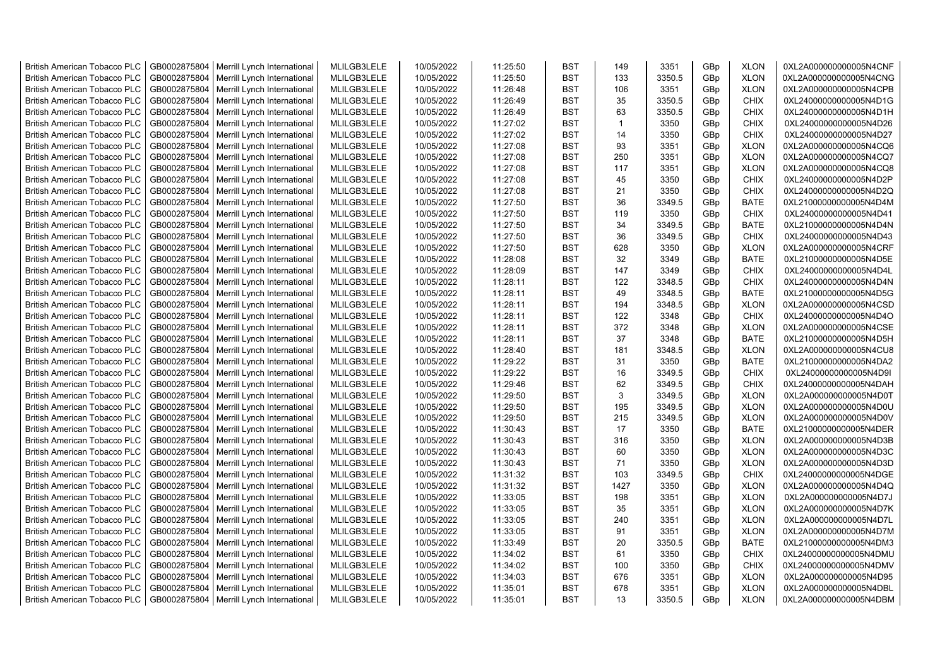| <b>British American Tobacco PLC</b> | GB0002875804 | Merrill Lynch International | MLILGB3LELE                | 10/05/2022 | 11:25:50 | <b>BST</b> | 149          | 3351   | GBp             | <b>XLON</b> | 0XL2A000000000005N4CNF |
|-------------------------------------|--------------|-----------------------------|----------------------------|------------|----------|------------|--------------|--------|-----------------|-------------|------------------------|
| <b>British American Tobacco PLC</b> | GB0002875804 | Merrill Lynch International | MLILGB3LELE                | 10/05/2022 | 11:25:50 | <b>BST</b> | 133          | 3350.5 | GBp             | <b>XLON</b> | 0XL2A000000000005N4CNG |
| <b>British American Tobacco PLC</b> | GB0002875804 | Merrill Lynch International | MLILGB3LELE                | 10/05/2022 | 11:26:48 | <b>BST</b> | 106          | 3351   | GBp             | <b>XLON</b> | 0XL2A000000000005N4CPB |
| <b>British American Tobacco PLC</b> | GB0002875804 | Merrill Lynch International | MLILGB3LELE                | 10/05/2022 | 11:26:49 | <b>BST</b> | 35           | 3350.5 | GBp             | <b>CHIX</b> | 0XL24000000000005N4D1G |
| <b>British American Tobacco PLC</b> | GB0002875804 | Merrill Lynch International | MLILGB3LELE                | 10/05/2022 | 11:26:49 | <b>BST</b> | 63           | 3350.5 | GBp             | <b>CHIX</b> | 0XL24000000000005N4D1H |
| <b>British American Tobacco PLC</b> | GB0002875804 | Merrill Lynch International | MLILGB3LELE                | 10/05/2022 | 11:27:02 | <b>BST</b> | $\mathbf{1}$ | 3350   | GBp             | <b>CHIX</b> | 0XL24000000000005N4D26 |
| British American Tobacco PLC        | GB0002875804 | Merrill Lynch International | MLILGB3LELE                | 10/05/2022 | 11:27:02 | <b>BST</b> | 14           | 3350   | GBp             | <b>CHIX</b> | 0XL24000000000005N4D27 |
| <b>British American Tobacco PLC</b> | GB0002875804 | Merrill Lynch International | MLILGB3LELE                | 10/05/2022 | 11:27:08 | <b>BST</b> | 93           | 3351   | GBp             | <b>XLON</b> | 0XL2A000000000005N4CQ6 |
| <b>British American Tobacco PLC</b> | GB0002875804 | Merrill Lynch International | MLILGB3LELE                | 10/05/2022 | 11:27:08 | <b>BST</b> | 250          | 3351   | GBp             | <b>XLON</b> | 0XL2A000000000005N4CQ7 |
| <b>British American Tobacco PLC</b> | GB0002875804 | Merrill Lynch International | MLILGB3LELE                | 10/05/2022 | 11:27:08 | <b>BST</b> | 117          | 3351   | GBp             | <b>XLON</b> | 0XL2A000000000005N4CQ8 |
| <b>British American Tobacco PLC</b> | GB0002875804 | Merrill Lynch International | MLILGB3LELE                | 10/05/2022 | 11:27:08 | <b>BST</b> | 45           | 3350   | GBp             | <b>CHIX</b> | 0XL24000000000005N4D2P |
| <b>British American Tobacco PLC</b> | GB0002875804 | Merrill Lynch International | MLILGB3LELE                | 10/05/2022 | 11:27:08 | <b>BST</b> | 21           | 3350   | GBp             | <b>CHIX</b> | 0XL24000000000005N4D2Q |
| <b>British American Tobacco PLC</b> | GB0002875804 | Merrill Lynch International | MLILGB3LELE                | 10/05/2022 | 11:27:50 | <b>BST</b> | 36           | 3349.5 | GBp             | <b>BATE</b> | 0XL21000000000005N4D4M |
| <b>British American Tobacco PLC</b> | GB0002875804 | Merrill Lynch International | MLILGB3LELE                | 10/05/2022 | 11:27:50 | <b>BST</b> | 119          | 3350   | GBp             | <b>CHIX</b> | 0XL24000000000005N4D41 |
| <b>British American Tobacco PLC</b> | GB0002875804 | Merrill Lynch International | MLILGB3LELE                | 10/05/2022 | 11:27:50 | <b>BST</b> | 34           | 3349.5 | GBp             | <b>BATE</b> | 0XL21000000000005N4D4N |
| British American Tobacco PLC        | GB0002875804 | Merrill Lynch International | MLILGB3LELE                | 10/05/2022 | 11:27:50 | <b>BST</b> | 36           | 3349.5 | GBp             | <b>CHIX</b> | 0XL24000000000005N4D43 |
| British American Tobacco PLC        | GB0002875804 | Merrill Lynch International | MLILGB3LELE                | 10/05/2022 | 11:27:50 | <b>BST</b> | 628          | 3350   | GBp             | <b>XLON</b> | 0XL2A000000000005N4CRF |
| <b>British American Tobacco PLC</b> | GB0002875804 | Merrill Lynch International | MLILGB3LELE                | 10/05/2022 | 11:28:08 | <b>BST</b> | 32           | 3349   | GBp             | <b>BATE</b> | 0XL21000000000005N4D5E |
| <b>British American Tobacco PLC</b> | GB0002875804 | Merrill Lynch International | MLILGB3LELE                | 10/05/2022 | 11:28:09 | <b>BST</b> | 147          | 3349   | GBp             | <b>CHIX</b> | 0XL24000000000005N4D4L |
| <b>British American Tobacco PLC</b> | GB0002875804 | Merrill Lynch International | MLILGB3LELE                | 10/05/2022 | 11:28:11 | <b>BST</b> | 122          | 3348.5 | GBp             | <b>CHIX</b> | 0XL24000000000005N4D4N |
| <b>British American Tobacco PLC</b> | GB0002875804 | Merrill Lynch International | MLILGB3LELE                | 10/05/2022 | 11:28:11 | <b>BST</b> | 49           | 3348.5 | GBp             | <b>BATE</b> | 0XL21000000000005N4D5G |
| <b>British American Tobacco PLC</b> | GB0002875804 | Merrill Lynch International | MLILGB3LELE                | 10/05/2022 | 11:28:11 | <b>BST</b> | 194          | 3348.5 | GBp             | <b>XLON</b> | 0XL2A000000000005N4CSD |
| <b>British American Tobacco PLC</b> | GB0002875804 | Merrill Lynch International | MLILGB3LELE                | 10/05/2022 | 11:28:11 | <b>BST</b> | 122          | 3348   | GBp             | <b>CHIX</b> | 0XL24000000000005N4D4O |
| <b>British American Tobacco PLC</b> |              |                             | MLILGB3LELE                |            |          | <b>BST</b> | 372          |        |                 |             |                        |
|                                     | GB0002875804 | Merrill Lynch International |                            | 10/05/2022 | 11:28:11 |            |              | 3348   | GBp             | <b>XLON</b> | 0XL2A000000000005N4CSE |
| <b>British American Tobacco PLC</b> | GB0002875804 | Merrill Lynch International | MLILGB3LELE                | 10/05/2022 | 11:28:11 | <b>BST</b> | 37           | 3348   | GBp             | <b>BATE</b> | 0XL21000000000005N4D5H |
| <b>British American Tobacco PLC</b> | GB0002875804 | Merrill Lynch International | MLILGB3LELE                | 10/05/2022 | 11:28:40 | <b>BST</b> | 181          | 3348.5 | GBp             | <b>XLON</b> | 0XL2A000000000005N4CU8 |
| <b>British American Tobacco PLC</b> | GB0002875804 | Merrill Lynch International | MLILGB3LELE<br>MLILGB3LELE | 10/05/2022 | 11:29:22 | <b>BST</b> | 31           | 3350   | GBp             | <b>BATE</b> | 0XL21000000000005N4DA2 |
| <b>British American Tobacco PLC</b> | GB0002875804 | Merrill Lynch International |                            | 10/05/2022 | 11:29:22 | <b>BST</b> | 16           | 3349.5 | GBp             | <b>CHIX</b> | 0XL24000000000005N4D9I |
| <b>British American Tobacco PLC</b> | GB0002875804 | Merrill Lynch International | MLILGB3LELE                | 10/05/2022 | 11:29:46 | <b>BST</b> | 62           | 3349.5 | GBp             | <b>CHIX</b> | 0XL24000000000005N4DAH |
| <b>British American Tobacco PLC</b> | GB0002875804 | Merrill Lynch International | MLILGB3LELE                | 10/05/2022 | 11:29:50 | <b>BST</b> | 3            | 3349.5 | GBp             | <b>XLON</b> | 0XL2A000000000005N4D0T |
| <b>British American Tobacco PLC</b> | GB0002875804 | Merrill Lynch International | MLILGB3LELE                | 10/05/2022 | 11:29:50 | <b>BST</b> | 195          | 3349.5 | GBp             | <b>XLON</b> | 0XL2A000000000005N4D0U |
| <b>British American Tobacco PLC</b> | GB0002875804 | Merrill Lynch International | MLILGB3LELE                | 10/05/2022 | 11:29:50 | <b>BST</b> | 215          | 3349.5 | GBp             | <b>XLON</b> | 0XL2A000000000005N4D0V |
| <b>British American Tobacco PLC</b> | GB0002875804 | Merrill Lynch International | MLILGB3LELE                | 10/05/2022 | 11:30:43 | <b>BST</b> | 17           | 3350   | GBp             | <b>BATE</b> | 0XL21000000000005N4DER |
| <b>British American Tobacco PLC</b> | GB0002875804 | Merrill Lynch International | MLILGB3LELE                | 10/05/2022 | 11:30:43 | <b>BST</b> | 316          | 3350   | GBp             | <b>XLON</b> | 0XL2A000000000005N4D3B |
| <b>British American Tobacco PLC</b> | GB0002875804 | Merrill Lynch International | MLILGB3LELE                | 10/05/2022 | 11:30:43 | <b>BST</b> | 60           | 3350   | GBp             | <b>XLON</b> | 0XL2A000000000005N4D3C |
| British American Tobacco PLC        | GB0002875804 | Merrill Lynch International | MLILGB3LELE                | 10/05/2022 | 11:30:43 | <b>BST</b> | 71           | 3350   | GBp             | <b>XLON</b> | 0XL2A000000000005N4D3D |
| <b>British American Tobacco PLC</b> | GB0002875804 | Merrill Lynch International | MLILGB3LELE                | 10/05/2022 | 11:31:32 | <b>BST</b> | 103          | 3349.5 | GBp             | <b>CHIX</b> | 0XL24000000000005N4DGE |
| <b>British American Tobacco PLC</b> | GB0002875804 | Merrill Lynch International | MLILGB3LELE                | 10/05/2022 | 11:31:32 | <b>BST</b> | 1427         | 3350   | GBp             | <b>XLON</b> | 0XL2A000000000005N4D4Q |
| <b>British American Tobacco PLC</b> | GB0002875804 | Merrill Lynch International | MLILGB3LELE                | 10/05/2022 | 11:33:05 | <b>BST</b> | 198          | 3351   | GBp             | <b>XLON</b> | 0XL2A000000000005N4D7J |
| <b>British American Tobacco PLC</b> | GB0002875804 | Merrill Lynch International | MLILGB3LELE                | 10/05/2022 | 11:33:05 | <b>BST</b> | 35           | 3351   | GBp             | <b>XLON</b> | 0XL2A000000000005N4D7K |
| <b>British American Tobacco PLC</b> | GB0002875804 | Merrill Lynch International | MLILGB3LELE                | 10/05/2022 | 11:33:05 | <b>BST</b> | 240          | 3351   | GBp             | <b>XLON</b> | 0XL2A000000000005N4D7L |
| <b>British American Tobacco PLC</b> | GB0002875804 | Merrill Lynch International | MLILGB3LELE                | 10/05/2022 | 11:33:05 | <b>BST</b> | 91           | 3351   | GBp             | <b>XLON</b> | 0XL2A000000000005N4D7M |
| <b>British American Tobacco PLC</b> | GB0002875804 | Merrill Lynch International | MLILGB3LELE                | 10/05/2022 | 11:33:49 | <b>BST</b> | 20           | 3350.5 | GBp             | <b>BATE</b> | 0XL21000000000005N4DM3 |
| <b>British American Tobacco PLC</b> | GB0002875804 | Merrill Lynch International | MLILGB3LELE                | 10/05/2022 | 11:34:02 | <b>BST</b> | 61           | 3350   | GBp             | <b>CHIX</b> | 0XL24000000000005N4DMU |
| <b>British American Tobacco PLC</b> | GB0002875804 | Merrill Lynch International | MLILGB3LELE                | 10/05/2022 | 11:34:02 | <b>BST</b> | 100          | 3350   | GBp             | <b>CHIX</b> | 0XL24000000000005N4DMV |
| <b>British American Tobacco PLC</b> | GB0002875804 | Merrill Lynch International | MLILGB3LELE                | 10/05/2022 | 11:34:03 | <b>BST</b> | 676          | 3351   | GBp             | <b>XLON</b> | 0XL2A000000000005N4D95 |
| <b>British American Tobacco PLC</b> | GB0002875804 | Merrill Lynch International | MLILGB3LELE                | 10/05/2022 | 11:35:01 | <b>BST</b> | 678          | 3351   | GBp             | <b>XLON</b> | 0XL2A000000000005N4DBL |
| <b>British American Tobacco PLC</b> | GB0002875804 | Merrill Lynch International | MLILGB3LELE                | 10/05/2022 | 11:35:01 | <b>BST</b> | 13           | 3350.5 | GB <sub>p</sub> | <b>XLON</b> | 0XL2A000000000005N4DBM |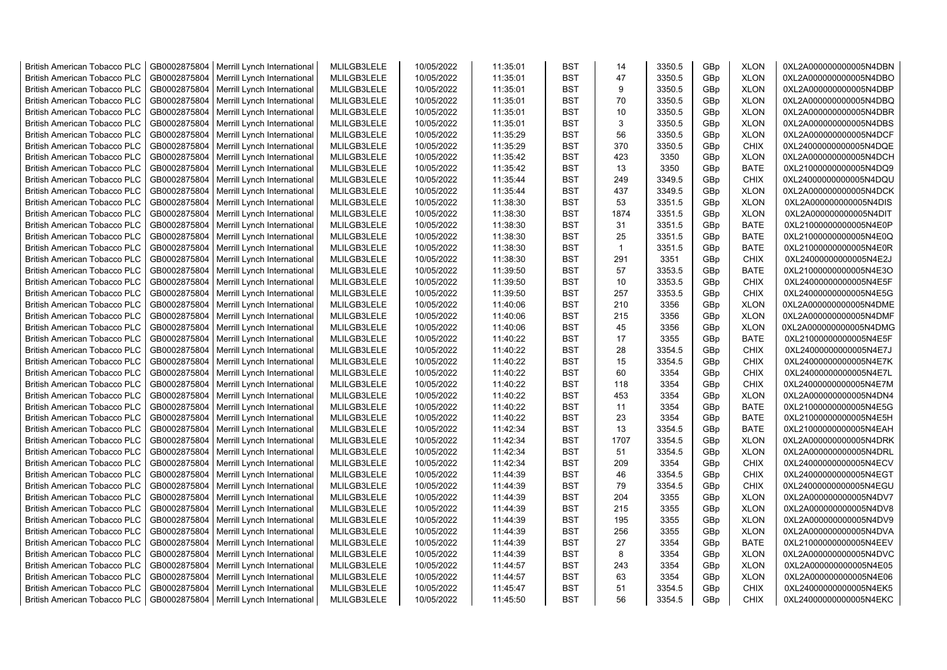| <b>British American Tobacco PLC</b>                                        | GB0002875804                 | Merrill Lynch International | MLILGB3LELE                | 10/05/2022 | 11:35:01 | <b>BST</b>               | 14           | 3350.5           | GBp             | <b>XLON</b>                | 0XL2A000000000005N4DBN |
|----------------------------------------------------------------------------|------------------------------|-----------------------------|----------------------------|------------|----------|--------------------------|--------------|------------------|-----------------|----------------------------|------------------------|
| <b>British American Tobacco PLC</b>                                        | GB0002875804                 | Merrill Lynch International | MLILGB3LELE                | 10/05/2022 | 11:35:01 | <b>BST</b>               | 47           | 3350.5           | GBp             | <b>XLON</b>                | 0XL2A000000000005N4DBO |
| <b>British American Tobacco PLC</b>                                        | GB0002875804                 | Merrill Lynch International | MLILGB3LELE                | 10/05/2022 | 11:35:01 | <b>BST</b>               | 9            | 3350.5           | GBp             | <b>XLON</b>                | 0XL2A000000000005N4DBP |
| <b>British American Tobacco PLC</b>                                        | GB0002875804                 | Merrill Lynch International | MLILGB3LELE                | 10/05/2022 | 11:35:01 | <b>BST</b>               | 70           | 3350.5           | GBp             | <b>XLON</b>                | 0XL2A000000000005N4DBQ |
| <b>British American Tobacco PLC</b>                                        | GB0002875804                 | Merrill Lynch International | MLILGB3LELE                | 10/05/2022 | 11:35:01 | <b>BST</b>               | 10           | 3350.5           | GBp             | <b>XLON</b>                | 0XL2A000000000005N4DBR |
| <b>British American Tobacco PLC</b>                                        | GB0002875804                 | Merrill Lynch International | MLILGB3LELE                | 10/05/2022 | 11:35:01 | <b>BST</b>               | 3            | 3350.5           | GBp             | <b>XLON</b>                | 0XL2A000000000005N4DBS |
| British American Tobacco PLC                                               | GB0002875804                 | Merrill Lynch International | MLILGB3LELE                | 10/05/2022 | 11:35:29 | <b>BST</b>               | 56           | 3350.5           | GBp             | <b>XLON</b>                | 0XL2A000000000005N4DCF |
| <b>British American Tobacco PLC</b>                                        | GB0002875804                 | Merrill Lynch International | MLILGB3LELE                | 10/05/2022 | 11:35:29 | <b>BST</b>               | 370          | 3350.5           | GBp             | <b>CHIX</b>                | 0XL24000000000005N4DQE |
| <b>British American Tobacco PLC</b>                                        | GB0002875804                 | Merrill Lynch International | MLILGB3LELE                | 10/05/2022 | 11:35:42 | <b>BST</b>               | 423          | 3350             | GBp             | <b>XLON</b>                | 0XL2A000000000005N4DCH |
| <b>British American Tobacco PLC</b>                                        | GB0002875804                 | Merrill Lynch International | MLILGB3LELE                | 10/05/2022 | 11:35:42 | <b>BST</b>               | 13           | 3350             | GBp             | <b>BATE</b>                | 0XL21000000000005N4DQ9 |
| <b>British American Tobacco PLC</b>                                        | GB0002875804                 | Merrill Lynch International | MLILGB3LELE                | 10/05/2022 | 11:35:44 | <b>BST</b>               | 249          | 3349.5           | GBp             | <b>CHIX</b>                | 0XL24000000000005N4DQU |
| <b>British American Tobacco PLC</b>                                        | GB0002875804                 | Merrill Lynch International | MLILGB3LELE                | 10/05/2022 | 11:35:44 | <b>BST</b>               | 437          | 3349.5           | GBp             | <b>XLON</b>                | 0XL2A000000000005N4DCK |
| <b>British American Tobacco PLC</b>                                        | GB0002875804                 | Merrill Lynch International | MLILGB3LELE                | 10/05/2022 | 11:38:30 | <b>BST</b>               | 53           | 3351.5           | GBp             | <b>XLON</b>                | 0XL2A000000000005N4DIS |
| <b>British American Tobacco PLC</b>                                        | GB0002875804                 | Merrill Lynch International | MLILGB3LELE                | 10/05/2022 | 11:38:30 | <b>BST</b>               | 1874         | 3351.5           | GBp             | <b>XLON</b>                | 0XL2A000000000005N4DIT |
| <b>British American Tobacco PLC</b>                                        | GB0002875804                 | Merrill Lynch International | MLILGB3LELE                | 10/05/2022 | 11:38:30 | <b>BST</b>               | 31           | 3351.5           | GBp             | <b>BATE</b>                | 0XL21000000000005N4E0P |
| <b>British American Tobacco PLC</b>                                        | GB0002875804                 | Merrill Lynch International | MLILGB3LELE                | 10/05/2022 | 11:38:30 | <b>BST</b>               | 25           | 3351.5           | GBp             | <b>BATE</b>                | 0XL21000000000005N4E0Q |
| British American Tobacco PLC                                               | GB0002875804                 | Merrill Lynch International | MLILGB3LELE                | 10/05/2022 | 11:38:30 | <b>BST</b>               | $\mathbf{1}$ | 3351.5           | GBp             | <b>BATE</b>                | 0XL21000000000005N4E0R |
| <b>British American Tobacco PLC</b>                                        | GB0002875804                 | Merrill Lynch International | MLILGB3LELE                | 10/05/2022 | 11:38:30 | <b>BST</b>               | 291          | 3351             | GBp             | <b>CHIX</b>                | 0XL24000000000005N4E2J |
| <b>British American Tobacco PLC</b>                                        | GB0002875804                 | Merrill Lynch International | MLILGB3LELE                | 10/05/2022 | 11:39:50 | <b>BST</b>               | 57           | 3353.5           | GBp             | <b>BATE</b>                | 0XL21000000000005N4E3O |
| <b>British American Tobacco PLC</b>                                        | GB0002875804                 | Merrill Lynch International | MLILGB3LELE                | 10/05/2022 | 11:39:50 | <b>BST</b>               | 10           | 3353.5           | GBp             | <b>CHIX</b>                | 0XL24000000000005N4E5F |
| <b>British American Tobacco PLC</b>                                        | GB0002875804                 | Merrill Lynch International | MLILGB3LELE                | 10/05/2022 | 11:39:50 | <b>BST</b>               | 257          | 3353.5           | GBp             | <b>CHIX</b>                | 0XL24000000000005N4E5G |
| <b>British American Tobacco PLC</b>                                        | GB0002875804                 | Merrill Lynch International | MLILGB3LELE                | 10/05/2022 | 11:40:06 | <b>BST</b>               | 210          | 3356             | GBp             | <b>XLON</b>                | 0XL2A000000000005N4DME |
| British American Tobacco PLC                                               | GB0002875804                 | Merrill Lynch International | MLILGB3LELE                | 10/05/2022 | 11:40:06 | <b>BST</b>               | 215          | 3356             | GBp             | <b>XLON</b>                | 0XL2A000000000005N4DMF |
| <b>British American Tobacco PLC</b>                                        | GB0002875804                 | Merrill Lynch International | MLILGB3LELE                | 10/05/2022 | 11:40:06 | <b>BST</b>               | 45           | 3356             | GBp             | <b>XLON</b>                | 0XL2A000000000005N4DMG |
| <b>British American Tobacco PLC</b>                                        | GB0002875804                 | Merrill Lynch International | MLILGB3LELE                | 10/05/2022 | 11:40:22 | <b>BST</b>               | 17           | 3355             | GBp             | <b>BATE</b>                | 0XL21000000000005N4E5F |
| <b>British American Tobacco PLC</b>                                        | GB0002875804                 | Merrill Lynch International | MLILGB3LELE                | 10/05/2022 | 11:40:22 | <b>BST</b>               | 28           | 3354.5           | GBp             | <b>CHIX</b>                | 0XL24000000000005N4E7J |
| <b>British American Tobacco PLC</b>                                        | GB0002875804                 | Merrill Lynch International | MLILGB3LELE                | 10/05/2022 | 11:40:22 | <b>BST</b>               | 15           | 3354.5           | GBp             | <b>CHIX</b>                | 0XL24000000000005N4E7K |
| <b>British American Tobacco PLC</b>                                        | GB0002875804                 | Merrill Lynch International | MLILGB3LELE                | 10/05/2022 | 11:40:22 | <b>BST</b>               | 60           | 3354             | GBp             | <b>CHIX</b>                | 0XL24000000000005N4E7L |
| <b>British American Tobacco PLC</b>                                        | GB0002875804                 | Merrill Lynch International | MLILGB3LELE                | 10/05/2022 | 11:40:22 | <b>BST</b>               | 118          | 3354             | GBp             | <b>CHIX</b>                | 0XL24000000000005N4E7M |
| <b>British American Tobacco PLC</b>                                        | GB0002875804                 | Merrill Lynch International | MLILGB3LELE                | 10/05/2022 | 11:40:22 | <b>BST</b>               | 453          | 3354             | GBp             | <b>XLON</b>                | 0XL2A000000000005N4DN4 |
| <b>British American Tobacco PLC</b>                                        | GB0002875804                 | Merrill Lynch International | MLILGB3LELE                | 10/05/2022 | 11:40:22 | <b>BST</b>               | 11           | 3354             | GBp             | <b>BATE</b>                | 0XL21000000000005N4E5G |
| <b>British American Tobacco PLC</b>                                        | GB0002875804                 | Merrill Lynch International | MLILGB3LELE                | 10/05/2022 | 11:40:22 | <b>BST</b>               | 23           | 3354             | GBp             | <b>BATE</b>                | 0XL21000000000005N4E5H |
| <b>British American Tobacco PLC</b>                                        | GB0002875804                 | Merrill Lynch International | MLILGB3LELE                | 10/05/2022 | 11:42:34 | <b>BST</b>               | 13           | 3354.5           | GBp             | <b>BATE</b>                | 0XL21000000000005N4EAH |
| <b>British American Tobacco PLC</b>                                        | GB0002875804                 | Merrill Lynch International | MLILGB3LELE                | 10/05/2022 | 11:42:34 | <b>BST</b>               | 1707         | 3354.5           | GBp             | <b>XLON</b>                | 0XL2A000000000005N4DRK |
| <b>British American Tobacco PLC</b>                                        | GB0002875804                 | Merrill Lynch International | MLILGB3LELE                | 10/05/2022 | 11:42:34 | <b>BST</b>               | 51           | 3354.5           | GBp             | <b>XLON</b>                | 0XL2A000000000005N4DRL |
| British American Tobacco PLC                                               | GB0002875804                 | Merrill Lynch International | MLILGB3LELE                | 10/05/2022 | 11:42:34 | <b>BST</b>               | 209          | 3354             | GBp             | <b>CHIX</b>                | 0XL24000000000005N4ECV |
| <b>British American Tobacco PLC</b>                                        | GB0002875804                 | Merrill Lynch International | MLILGB3LELE                | 10/05/2022 | 11:44:39 | <b>BST</b>               | 46           | 3354.5           | GBp             | <b>CHIX</b>                | 0XL24000000000005N4EGT |
| <b>British American Tobacco PLC</b>                                        | GB0002875804                 | Merrill Lynch International | MLILGB3LELE                | 10/05/2022 | 11:44:39 | <b>BST</b>               | 79           | 3354.5           | GBp             | <b>CHIX</b>                | 0XL24000000000005N4EGU |
| <b>British American Tobacco PLC</b>                                        | GB0002875804                 | Merrill Lynch International | MLILGB3LELE                | 10/05/2022 | 11:44:39 | <b>BST</b>               | 204          | 3355             | GBp             | <b>XLON</b>                | 0XL2A000000000005N4DV7 |
| <b>British American Tobacco PLC</b>                                        | GB0002875804                 | Merrill Lynch International | MLILGB3LELE                | 10/05/2022 | 11:44:39 | <b>BST</b>               | 215          | 3355             | GBp             | <b>XLON</b>                | 0XL2A000000000005N4DV8 |
| <b>British American Tobacco PLC</b>                                        | GB0002875804                 | Merrill Lynch International | MLILGB3LELE                | 10/05/2022 | 11:44:39 | <b>BST</b>               | 195          | 3355             | GBp             | <b>XLON</b>                | 0XL2A000000000005N4DV9 |
|                                                                            |                              |                             |                            |            |          | <b>BST</b>               | 256          | 3355             |                 |                            |                        |
| <b>British American Tobacco PLC</b><br><b>British American Tobacco PLC</b> | GB0002875804<br>GB0002875804 | Merrill Lynch International | MLILGB3LELE<br>MLILGB3LELE | 10/05/2022 | 11:44:39 | <b>BST</b>               | 27           | 3354             | GBp             | <b>XLON</b>                | 0XL2A000000000005N4DVA |
|                                                                            |                              | Merrill Lynch International |                            | 10/05/2022 | 11:44:39 | <b>BST</b>               | 8            |                  | GBp             | <b>BATE</b>                | 0XL21000000000005N4EEV |
| <b>British American Tobacco PLC</b>                                        | GB0002875804                 | Merrill Lynch International | MLILGB3LELE<br>MLILGB3LELE | 10/05/2022 | 11:44:39 | <b>BST</b>               | 243          | 3354<br>3354     | GBp             | <b>XLON</b>                | 0XL2A000000000005N4DVC |
| <b>British American Tobacco PLC</b>                                        | GB0002875804                 | Merrill Lynch International | MLILGB3LELE                | 10/05/2022 | 11:44:57 | <b>BST</b>               | 63           | 3354             | GBp             | <b>XLON</b><br><b>XLON</b> | 0XL2A000000000005N4E05 |
| <b>British American Tobacco PLC</b>                                        | GB0002875804                 | Merrill Lynch International |                            | 10/05/2022 | 11:44:57 |                          | 51           |                  | GBp             |                            | 0XL2A000000000005N4E06 |
| <b>British American Tobacco PLC</b>                                        | GB0002875804                 | Merrill Lynch International | MLILGB3LELE                | 10/05/2022 | 11:45:47 | <b>BST</b><br><b>BST</b> |              | 3354.5<br>3354.5 | GBp             | <b>CHIX</b><br><b>CHIX</b> | 0XL24000000000005N4EK5 |
| <b>British American Tobacco PLC</b>                                        | GB0002875804                 | Merrill Lynch International | MLILGB3LELE                | 10/05/2022 | 11:45:50 |                          | 56           |                  | GB <sub>p</sub> |                            | 0XL24000000000005N4EKC |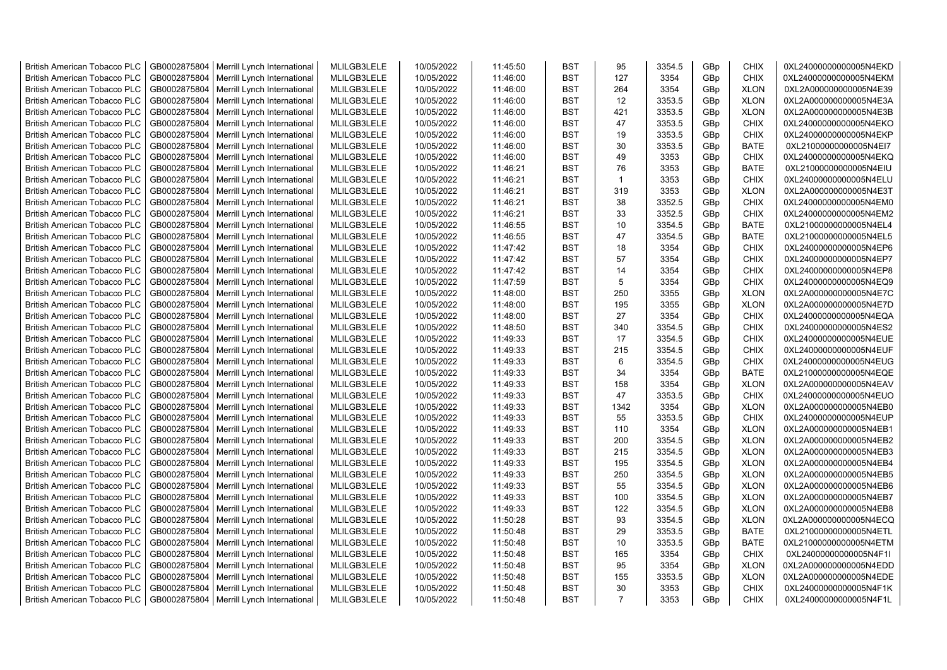| <b>British American Tobacco PLC</b>                                 | GB0002875804 | Merrill Lynch International                                | MLILGB3LELE                | 10/05/2022 | 11:45:50             | <b>BST</b> | 95             | 3354.5 | GBp             | <b>CHIX</b> | 0XL24000000000005N4EKD                           |
|---------------------------------------------------------------------|--------------|------------------------------------------------------------|----------------------------|------------|----------------------|------------|----------------|--------|-----------------|-------------|--------------------------------------------------|
| <b>British American Tobacco PLC</b>                                 | GB0002875804 | Merrill Lynch International                                | MLILGB3LELE                | 10/05/2022 | 11:46:00             | <b>BST</b> | 127            | 3354   | GBp             | <b>CHIX</b> | 0XL24000000000005N4EKM                           |
| <b>British American Tobacco PLC</b>                                 | GB0002875804 | Merrill Lynch International                                | MLILGB3LELE                | 10/05/2022 | 11:46:00             | <b>BST</b> | 264            | 3354   | GBp             | <b>XLON</b> | 0XL2A000000000005N4E39                           |
| <b>British American Tobacco PLC</b>                                 | GB0002875804 | Merrill Lynch International                                | MLILGB3LELE                | 10/05/2022 | 11:46:00             | <b>BST</b> | 12             | 3353.5 | GBp             | <b>XLON</b> | 0XL2A000000000005N4E3A                           |
| <b>British American Tobacco PLC</b>                                 | GB0002875804 | Merrill Lynch International                                | MLILGB3LELE                | 10/05/2022 | 11:46:00             | <b>BST</b> | 421            | 3353.5 | GBp             | <b>XLON</b> | 0XL2A000000000005N4E3B                           |
| <b>British American Tobacco PLC</b>                                 | GB0002875804 | Merrill Lynch International                                | MLILGB3LELE                | 10/05/2022 | 11:46:00             | <b>BST</b> | 47             | 3353.5 | GBp             | <b>CHIX</b> | 0XL24000000000005N4EKO                           |
| British American Tobacco PLC                                        | GB0002875804 | Merrill Lynch International                                | MLILGB3LELE                | 10/05/2022 | 11:46:00             | <b>BST</b> | 19             | 3353.5 | GBp             | <b>CHIX</b> | 0XL24000000000005N4EKP                           |
| <b>British American Tobacco PLC</b>                                 | GB0002875804 | Merrill Lynch International                                | MLILGB3LELE                | 10/05/2022 | 11:46:00             | <b>BST</b> | 30             | 3353.5 | GBp             | <b>BATE</b> | 0XL21000000000005N4EI7                           |
| <b>British American Tobacco PLC</b>                                 | GB0002875804 | Merrill Lynch International                                | MLILGB3LELE                | 10/05/2022 | 11:46:00             | <b>BST</b> | 49             | 3353   | GBp             | <b>CHIX</b> | 0XL24000000000005N4EKQ                           |
| <b>British American Tobacco PLC</b>                                 | GB0002875804 | Merrill Lynch International                                | MLILGB3LELE                | 10/05/2022 | 11:46:21             | <b>BST</b> | 76             | 3353   | GBp             | <b>BATE</b> | 0XL21000000000005N4EIU                           |
| <b>British American Tobacco PLC</b>                                 | GB0002875804 | Merrill Lynch International                                | MLILGB3LELE                | 10/05/2022 | 11:46:21             | <b>BST</b> | $\overline{1}$ | 3353   | GBp             | <b>CHIX</b> | 0XL24000000000005N4ELU                           |
| <b>British American Tobacco PLC</b>                                 | GB0002875804 | Merrill Lynch International                                | MLILGB3LELE                | 10/05/2022 | 11:46:21             | <b>BST</b> | 319            | 3353   | GBp             | <b>XLON</b> | 0XL2A000000000005N4E3T                           |
| <b>British American Tobacco PLC</b>                                 | GB0002875804 | Merrill Lynch International                                | MLILGB3LELE                | 10/05/2022 | 11:46:21             | BST        | 38             | 3352.5 | GBp             | <b>CHIX</b> | 0XL24000000000005N4EM0                           |
| <b>British American Tobacco PLC</b>                                 | GB0002875804 | Merrill Lynch International                                | MLILGB3LELE                | 10/05/2022 | 11:46:21             | <b>BST</b> | 33             | 3352.5 | GBp             | <b>CHIX</b> | 0XL24000000000005N4EM2                           |
| <b>British American Tobacco PLC</b>                                 | GB0002875804 | Merrill Lynch International                                | MLILGB3LELE                | 10/05/2022 | 11:46:55             | <b>BST</b> | 10             | 3354.5 | GBp             | <b>BATE</b> | 0XL21000000000005N4EL4                           |
| <b>British American Tobacco PLC</b>                                 | GB0002875804 | Merrill Lynch International                                | MLILGB3LELE                | 10/05/2022 | 11:46:55             | <b>BST</b> | 47             | 3354.5 | GBp             | <b>BATE</b> | 0XL21000000000005N4EL5                           |
| <b>British American Tobacco PLC</b>                                 | GB0002875804 | Merrill Lynch International                                | MLILGB3LELE                | 10/05/2022 | 11:47:42             | <b>BST</b> | 18             | 3354   | GBp             | <b>CHIX</b> | 0XL24000000000005N4EP6                           |
| <b>British American Tobacco PLC</b>                                 | GB0002875804 | Merrill Lynch International                                | MLILGB3LELE                | 10/05/2022 | 11:47:42             | <b>BST</b> | 57             | 3354   | GBp             | <b>CHIX</b> | 0XL24000000000005N4EP7                           |
| <b>British American Tobacco PLC</b>                                 | GB0002875804 | Merrill Lynch International                                | MLILGB3LELE                | 10/05/2022 | 11:47:42             | <b>BST</b> | 14             | 3354   | GBp             | <b>CHIX</b> | 0XL24000000000005N4EP8                           |
| <b>British American Tobacco PLC</b>                                 | GB0002875804 | Merrill Lynch International                                | MLILGB3LELE                | 10/05/2022 | 11:47:59             | <b>BST</b> | 5              | 3354   | GBp             | <b>CHIX</b> | 0XL24000000000005N4EQ9                           |
| <b>British American Tobacco PLC</b>                                 | GB0002875804 | Merrill Lynch International                                | MLILGB3LELE                | 10/05/2022 | 11:48:00             | <b>BST</b> | 250            | 3355   | GBp             | <b>XLON</b> | 0XL2A000000000005N4E7C                           |
| <b>British American Tobacco PLC</b>                                 | GB0002875804 | Merrill Lynch International                                | MLILGB3LELE                | 10/05/2022 | 11:48:00             | <b>BST</b> | 195            | 3355   | GBp             | <b>XLON</b> | 0XL2A000000000005N4E7D                           |
| British American Tobacco PLC                                        | GB0002875804 | Merrill Lynch International                                | MLILGB3LELE                | 10/05/2022 | 11:48:00             | <b>BST</b> | 27             | 3354   | GBp             | <b>CHIX</b> | 0XL24000000000005N4EQA                           |
| <b>British American Tobacco PLC</b>                                 | GB0002875804 | Merrill Lynch International                                | MLILGB3LELE                | 10/05/2022 | 11:48:50             | <b>BST</b> | 340            | 3354.5 | GBp             | <b>CHIX</b> | 0XL24000000000005N4ES2                           |
| <b>British American Tobacco PLC</b>                                 | GB0002875804 | Merrill Lynch International                                | MLILGB3LELE                | 10/05/2022 | 11:49:33             | <b>BST</b> | 17             | 3354.5 | GBp             | <b>CHIX</b> | 0XL24000000000005N4EUE                           |
| <b>British American Tobacco PLC</b>                                 | GB0002875804 | Merrill Lynch International                                | MLILGB3LELE                | 10/05/2022 | 11:49:33             | <b>BST</b> | 215            | 3354.5 | GBp             | <b>CHIX</b> | 0XL24000000000005N4EUF                           |
| <b>British American Tobacco PLC</b>                                 | GB0002875804 | Merrill Lynch International                                | MLILGB3LELE                | 10/05/2022 | 11:49:33             | <b>BST</b> | 6              | 3354.5 | GBp             | <b>CHIX</b> | 0XL24000000000005N4EUG                           |
| <b>British American Tobacco PLC</b>                                 | GB0002875804 | Merrill Lynch International                                | MLILGB3LELE                | 10/05/2022 | 11:49:33             | <b>BST</b> | 34             | 3354   | GBp             | <b>BATE</b> | 0XL21000000000005N4EQE                           |
| <b>British American Tobacco PLC</b>                                 | GB0002875804 | Merrill Lynch International                                | MLILGB3LELE                | 10/05/2022 | 11:49:33             | <b>BST</b> | 158            | 3354   | GBp             | <b>XLON</b> | 0XL2A000000000005N4EAV                           |
| <b>British American Tobacco PLC</b>                                 | GB0002875804 | Merrill Lynch International                                | MLILGB3LELE                | 10/05/2022 | 11:49:33             | <b>BST</b> | 47             | 3353.5 | GBp             | <b>CHIX</b> | 0XL24000000000005N4EUO                           |
| <b>British American Tobacco PLC</b>                                 | GB0002875804 | Merrill Lynch International                                | MLILGB3LELE                | 10/05/2022 | 11:49:33             | <b>BST</b> | 1342           | 3354   | GBp             | <b>XLON</b> | 0XL2A000000000005N4EB0                           |
| <b>British American Tobacco PLC</b>                                 | GB0002875804 | Merrill Lynch International                                | MLILGB3LELE                | 10/05/2022 | 11:49:33             | <b>BST</b> | 55             | 3353.5 | GBp             | <b>CHIX</b> | 0XL24000000000005N4EUP                           |
| <b>British American Tobacco PLC</b>                                 | GB0002875804 |                                                            | MLILGB3LELE                | 10/05/2022 | 11:49:33             | <b>BST</b> | 110            | 3354   | GBp             | <b>XLON</b> | 0XL2A000000000005N4EB1                           |
| <b>British American Tobacco PLC</b>                                 | GB0002875804 | Merrill Lynch International<br>Merrill Lynch International | MLILGB3LELE                | 10/05/2022 | 11:49:33             | <b>BST</b> | 200            | 3354.5 |                 | <b>XLON</b> |                                                  |
|                                                                     | GB0002875804 |                                                            | MLILGB3LELE                | 10/05/2022 | 11:49:33             | <b>BST</b> | 215            | 3354.5 | GBp<br>GBp      | <b>XLON</b> | 0XL2A000000000005N4EB2<br>0XL2A000000000005N4EB3 |
| <b>British American Tobacco PLC</b><br>British American Tobacco PLC | GB0002875804 | Merrill Lynch International<br>Merrill Lynch International | MLILGB3LELE                | 10/05/2022 | 11:49:33             | <b>BST</b> | 195            | 3354.5 | GBp             | <b>XLON</b> | 0XL2A000000000005N4EB4                           |
| <b>British American Tobacco PLC</b>                                 | GB0002875804 |                                                            | MLILGB3LELE                | 10/05/2022 | 11:49:33             | <b>BST</b> | 250            | 3354.5 |                 | <b>XLON</b> | 0XL2A000000000005N4EB5                           |
| <b>British American Tobacco PLC</b>                                 | GB0002875804 | Merrill Lynch International<br>Merrill Lynch International | MLILGB3LELE                | 10/05/2022 | 11:49:33             | <b>BST</b> | 55             | 3354.5 | GBp<br>GBp      | <b>XLON</b> | 0XL2A000000000005N4EB6                           |
| <b>British American Tobacco PLC</b>                                 | GB0002875804 |                                                            |                            | 10/05/2022 |                      | <b>BST</b> | 100            | 3354.5 |                 | <b>XLON</b> |                                                  |
| <b>British American Tobacco PLC</b>                                 | GB0002875804 | Merrill Lynch International                                | MLILGB3LELE<br>MLILGB3LELE | 10/05/2022 | 11:49:33<br>11:49:33 | <b>BST</b> | 122            | 3354.5 | GBp             | <b>XLON</b> | 0XL2A000000000005N4EB7<br>0XL2A000000000005N4EB8 |
|                                                                     |              | Merrill Lynch International                                |                            |            |                      | <b>BST</b> | 93             |        | GBp             |             |                                                  |
| <b>British American Tobacco PLC</b>                                 | GB0002875804 | Merrill Lynch International                                | MLILGB3LELE                | 10/05/2022 | 11:50:28             |            | 29             | 3354.5 | GBp             | <b>XLON</b> | 0XL2A000000000005N4ECQ                           |
| <b>British American Tobacco PLC</b>                                 | GB0002875804 | Merrill Lynch International                                | MLILGB3LELE                | 10/05/2022 | 11:50:48             | <b>BST</b> |                | 3353.5 | GBp             | <b>BATE</b> | 0XL21000000000005N4ETL                           |
| <b>British American Tobacco PLC</b>                                 | GB0002875804 | Merrill Lynch International                                | MLILGB3LELE                | 10/05/2022 | 11:50:48             | <b>BST</b> | 10             | 3353.5 | GBp             | <b>BATE</b> | 0XL21000000000005N4ETM                           |
| <b>British American Tobacco PLC</b>                                 | GB0002875804 | Merrill Lynch International                                | MLILGB3LELE                | 10/05/2022 | 11:50:48             | <b>BST</b> | 165            | 3354   | GBp             | <b>CHIX</b> | 0XL24000000000005N4F1I                           |
| <b>British American Tobacco PLC</b>                                 | GB0002875804 | Merrill Lynch International                                | MLILGB3LELE                | 10/05/2022 | 11:50:48             | <b>BST</b> | 95             | 3354   | GBp             | <b>XLON</b> | 0XL2A000000000005N4EDD                           |
| <b>British American Tobacco PLC</b>                                 | GB0002875804 | Merrill Lynch International                                | MLILGB3LELE                | 10/05/2022 | 11:50:48             | <b>BST</b> | 155            | 3353.5 | GBp             | <b>XLON</b> | 0XL2A000000000005N4EDE                           |
| <b>British American Tobacco PLC</b>                                 | GB0002875804 | Merrill Lynch International                                | MLILGB3LELE                | 10/05/2022 | 11:50:48             | <b>BST</b> | 30             | 3353   | GBp             | <b>CHIX</b> | 0XL24000000000005N4F1K                           |
| <b>British American Tobacco PLC</b>                                 |              | GB0002875804   Merrill Lynch International                 | MLILGB3LELE                | 10/05/2022 | 11:50:48             | <b>BST</b> | $\overline{7}$ | 3353   | GB <sub>p</sub> | <b>CHIX</b> | 0XL24000000000005N4F1L                           |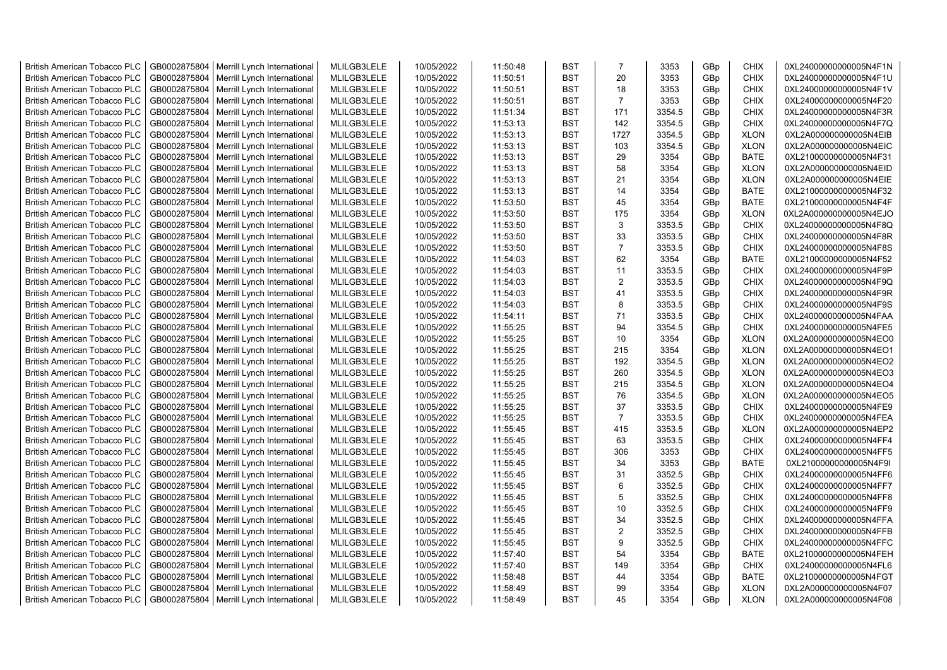| <b>British American Tobacco PLC</b>                                        | GB0002875804                 | Merrill Lynch International                | MLILGB3LELE                | 10/05/2022               | 11:50:48             | <b>BST</b>               | $\overline{7}$ | 3353             | GBp             | <b>CHIX</b>                | 0XL24000000000005N4F1N                           |
|----------------------------------------------------------------------------|------------------------------|--------------------------------------------|----------------------------|--------------------------|----------------------|--------------------------|----------------|------------------|-----------------|----------------------------|--------------------------------------------------|
| <b>British American Tobacco PLC</b>                                        | GB0002875804                 | Merrill Lynch International                | MLILGB3LELE                | 10/05/2022               | 11:50:51             | <b>BST</b>               | 20             | 3353             | GBp             | <b>CHIX</b>                | 0XL24000000000005N4F1U                           |
| <b>British American Tobacco PLC</b>                                        | GB0002875804                 | Merrill Lynch International                | MLILGB3LELE                | 10/05/2022               | 11:50:51             | <b>BST</b>               | 18             | 3353             | GBp             | <b>CHIX</b>                | 0XL24000000000005N4F1V                           |
| <b>British American Tobacco PLC</b>                                        | GB0002875804                 | Merrill Lynch International                | MLILGB3LELE                | 10/05/2022               | 11:50:51             | <b>BST</b>               | $\overline{7}$ | 3353             | GBp             | <b>CHIX</b>                | 0XL24000000000005N4F20                           |
| British American Tobacco PLC                                               | GB0002875804                 | Merrill Lynch International                | MLILGB3LELE                | 10/05/2022               | 11:51:34             | <b>BST</b>               | 171            | 3354.5           | GBp             | <b>CHIX</b>                | 0XL24000000000005N4F3R                           |
| <b>British American Tobacco PLC</b>                                        | GB0002875804                 | Merrill Lynch International                | MLILGB3LELE                | 10/05/2022               | 11:53:13             | <b>BST</b>               | 142            | 3354.5           | GBp             | <b>CHIX</b>                | 0XL24000000000005N4F7Q                           |
| <b>British American Tobacco PLC</b>                                        | GB0002875804                 | Merrill Lynch International                | MLILGB3LELE                | 10/05/2022               | 11:53:13             | <b>BST</b>               | 1727           | 3354.5           | GBp             | <b>XLON</b>                | 0XL2A000000000005N4EIB                           |
| <b>British American Tobacco PLC</b>                                        | GB0002875804                 | Merrill Lynch International                | MLILGB3LELE                | 10/05/2022               | 11:53:13             | <b>BST</b>               | 103            | 3354.5           | GBp             | <b>XLON</b>                | 0XL2A000000000005N4EIC                           |
| <b>British American Tobacco PLC</b>                                        | GB0002875804                 | Merrill Lynch International                | MLILGB3LELE                | 10/05/2022               | 11:53:13             | <b>BST</b>               | 29             | 3354             | GBp             | <b>BATE</b>                | 0XL21000000000005N4F31                           |
| <b>British American Tobacco PLC</b>                                        | GB0002875804                 | Merrill Lynch International                | MLILGB3LELE                | 10/05/2022               | 11:53:13             | <b>BST</b>               | 58             | 3354             | GBp             | <b>XLON</b>                | 0XL2A000000000005N4EID                           |
| <b>British American Tobacco PLC</b>                                        | GB0002875804                 | Merrill Lynch International                | MLILGB3LELE                | 10/05/2022               | 11:53:13             | <b>BST</b>               | 21             | 3354             | GBp             | <b>XLON</b>                | 0XL2A000000000005N4EIE                           |
| <b>British American Tobacco PLC</b>                                        | GB0002875804                 | Merrill Lynch International                | MLILGB3LELE                | 10/05/2022               | 11:53:13             | <b>BST</b>               | 14             | 3354             | GBp             | <b>BATE</b>                | 0XL21000000000005N4F32                           |
| <b>British American Tobacco PLC</b>                                        | GB0002875804                 | Merrill Lynch International                | MLILGB3LELE                | 10/05/2022               | 11:53:50             | <b>BST</b>               | 45             | 3354             | GBp             | <b>BATE</b>                | 0XL21000000000005N4F4F                           |
| <b>British American Tobacco PLC</b>                                        | GB0002875804                 | Merrill Lynch International                | MLILGB3LELE                | 10/05/2022               | 11:53:50             | <b>BST</b>               | 175            | 3354             | GBp             | <b>XLON</b>                | 0XL2A000000000005N4EJO                           |
| <b>British American Tobacco PLC</b>                                        | GB0002875804                 | Merrill Lynch International                | MLILGB3LELE                | 10/05/2022               | 11:53:50             | <b>BST</b>               | 3              | 3353.5           | GBp             | <b>CHIX</b>                | 0XL24000000000005N4F8Q                           |
| <b>British American Tobacco PLC</b>                                        | GB0002875804                 | Merrill Lynch International                | MLILGB3LELE                | 10/05/2022               | 11:53:50             | <b>BST</b>               | 33             | 3353.5           | GBp             | <b>CHIX</b>                | 0XL24000000000005N4F8R                           |
| <b>British American Tobacco PLC</b>                                        | GB0002875804                 | Merrill Lynch International                | MLILGB3LELE                | 10/05/2022               | 11:53:50             | <b>BST</b>               | $\overline{7}$ | 3353.5           | GBp             | <b>CHIX</b>                | 0XL24000000000005N4F8S                           |
| <b>British American Tobacco PLC</b>                                        | GB0002875804                 | Merrill Lynch International                | MLILGB3LELE                | 10/05/2022               | 11:54:03             | <b>BST</b>               | 62             | 3354             | GBp             | <b>BATE</b>                | 0XL21000000000005N4F52                           |
| <b>British American Tobacco PLC</b>                                        | GB0002875804                 | Merrill Lynch International                | MLILGB3LELE                | 10/05/2022               | 11:54:03             | <b>BST</b>               | 11             | 3353.5           | GBp             | <b>CHIX</b>                | 0XL24000000000005N4F9P                           |
| <b>British American Tobacco PLC</b>                                        | GB0002875804                 | Merrill Lynch International                | MLILGB3LELE                | 10/05/2022               | 11:54:03             | <b>BST</b>               | $\overline{2}$ | 3353.5           | GBp             | <b>CHIX</b>                | 0XL24000000000005N4F9Q                           |
| <b>British American Tobacco PLC</b>                                        | GB0002875804                 | Merrill Lynch International                | MLILGB3LELE                | 10/05/2022               | 11:54:03             | <b>BST</b>               | 41             | 3353.5           | GBp             | <b>CHIX</b>                | 0XL24000000000005N4F9R                           |
| <b>British American Tobacco PLC</b>                                        | GB0002875804                 | Merrill Lynch International                | MLILGB3LELE                | 10/05/2022               | 11:54:03             | <b>BST</b>               | 8              | 3353.5           | GBp             | <b>CHIX</b>                | 0XL24000000000005N4F9S                           |
| <b>British American Tobacco PLC</b>                                        | GB0002875804                 | Merrill Lynch International                | MLILGB3LELE                | 10/05/2022               | 11:54:11             | <b>BST</b>               | 71             | 3353.5           | GBp             | <b>CHIX</b>                | 0XL24000000000005N4FAA                           |
|                                                                            |                              |                                            |                            |                          |                      | <b>BST</b>               | 94             | 3354.5           |                 | <b>CHIX</b>                |                                                  |
| <b>British American Tobacco PLC</b>                                        | GB0002875804                 | Merrill Lynch International                | MLILGB3LELE                | 10/05/2022               | 11:55:25             |                          |                |                  | GBp             |                            | 0XL24000000000005N4FE5                           |
| <b>British American Tobacco PLC</b><br><b>British American Tobacco PLC</b> | GB0002875804<br>GB0002875804 | Merrill Lynch International                | MLILGB3LELE<br>MLILGB3LELE | 10/05/2022<br>10/05/2022 | 11:55:25<br>11:55:25 | <b>BST</b><br><b>BST</b> | 10<br>215      | 3354<br>3354     | GBp<br>GBp      | <b>XLON</b><br><b>XLON</b> | 0XL2A000000000005N4EO0<br>0XL2A000000000005N4EO1 |
|                                                                            |                              | Merrill Lynch International                |                            |                          |                      | <b>BST</b>               |                |                  |                 |                            |                                                  |
| <b>British American Tobacco PLC</b>                                        | GB0002875804<br>GB0002875804 | Merrill Lynch International                | MLILGB3LELE<br>MLILGB3LELE | 10/05/2022<br>10/05/2022 | 11:55:25<br>11:55:25 | <b>BST</b>               | 192<br>260     | 3354.5<br>3354.5 | GBp             | <b>XLON</b><br><b>XLON</b> | 0XL2A000000000005N4EO2                           |
| <b>British American Tobacco PLC</b>                                        |                              | Merrill Lynch International                |                            |                          |                      |                          |                |                  | GBp             |                            | 0XL2A000000000005N4EO3                           |
| <b>British American Tobacco PLC</b>                                        | GB0002875804                 | Merrill Lynch International                | MLILGB3LELE                | 10/05/2022               | 11:55:25             | BST                      | 215            | 3354.5           | GBp             | <b>XLON</b>                | 0XL2A000000000005N4EO4                           |
| <b>British American Tobacco PLC</b>                                        | GB0002875804                 | Merrill Lynch International                | MLILGB3LELE                | 10/05/2022               | 11:55:25             | <b>BST</b>               | 76             | 3354.5           | GBp             | <b>XLON</b>                | 0XL2A000000000005N4EO5                           |
| <b>British American Tobacco PLC</b>                                        | GB0002875804                 | Merrill Lynch International                | MLILGB3LELE                | 10/05/2022               | 11:55:25             | <b>BST</b>               | 37             | 3353.5           | GBp             | <b>CHIX</b>                | 0XL24000000000005N4FE9                           |
| <b>British American Tobacco PLC</b>                                        | GB0002875804                 | Merrill Lynch International                | MLILGB3LELE                | 10/05/2022               | 11:55:25             | <b>BST</b>               | $\overline{7}$ | 3353.5           | GBp             | <b>CHIX</b>                | 0XL24000000000005N4FEA                           |
| <b>British American Tobacco PLC</b>                                        | GB0002875804                 | Merrill Lynch International                | MLILGB3LELE                | 10/05/2022               | 11:55:45             | <b>BST</b>               | 415            | 3353.5           | GBp             | <b>XLON</b>                | 0XL2A000000000005N4EP2                           |
| <b>British American Tobacco PLC</b>                                        | GB0002875804                 | Merrill Lynch International                | MLILGB3LELE                | 10/05/2022               | 11:55:45             | BST                      | 63             | 3353.5           | GBp             | <b>CHIX</b>                | 0XL24000000000005N4FF4                           |
| <b>British American Tobacco PLC</b>                                        | GB0002875804                 | Merrill Lynch International                | MLILGB3LELE                | 10/05/2022               | 11:55:45             | <b>BST</b>               | 306            | 3353             | GBp             | <b>CHIX</b>                | 0XL24000000000005N4FF5                           |
| <b>British American Tobacco PLC</b>                                        | GB0002875804                 | Merrill Lynch International                | MLILGB3LELE                | 10/05/2022               | 11:55:45             | <b>BST</b>               | 34             | 3353             | GBp             | <b>BATE</b>                | 0XL21000000000005N4F9I                           |
| <b>British American Tobacco PLC</b>                                        | GB0002875804                 | Merrill Lynch International                | MLILGB3LELE                | 10/05/2022               | 11:55:45             | <b>BST</b>               | 31             | 3352.5           | GBp             | <b>CHIX</b>                | 0XL24000000000005N4FF6                           |
| <b>British American Tobacco PLC</b>                                        | GB0002875804                 | Merrill Lynch International                | MLILGB3LELE                | 10/05/2022               | 11:55:45             | <b>BST</b>               | 6              | 3352.5           | GBp             | <b>CHIX</b>                | 0XL24000000000005N4FF7                           |
| <b>British American Tobacco PLC</b>                                        | GB0002875804                 | Merrill Lynch International                | MLILGB3LELE                | 10/05/2022               | 11:55:45             | <b>BST</b>               | 5              | 3352.5           | GBp             | <b>CHIX</b>                | 0XL24000000000005N4FF8                           |
| British American Tobacco PLC                                               | GB0002875804                 | Merrill Lynch International                | MLILGB3LELE                | 10/05/2022               | 11:55:45             | <b>BST</b>               | 10             | 3352.5           | GBp             | <b>CHIX</b>                | 0XL24000000000005N4FF9                           |
| <b>British American Tobacco PLC</b>                                        | GB0002875804                 | Merrill Lynch International                | MLILGB3LELE                | 10/05/2022               | 11:55:45             | <b>BST</b>               | 34             | 3352.5           | GBp             | <b>CHIX</b>                | 0XL24000000000005N4FFA                           |
| <b>British American Tobacco PLC</b>                                        | GB0002875804                 | Merrill Lynch International                | MLILGB3LELE                | 10/05/2022               | 11:55:45             | BST                      | $\overline{2}$ | 3352.5           | GBp             | <b>CHIX</b>                | 0XL24000000000005N4FFB                           |
| <b>British American Tobacco PLC</b>                                        | GB0002875804                 | Merrill Lynch International                | MLILGB3LELE                | 10/05/2022               | 11:55:45             | <b>BST</b>               | 9              | 3352.5           | GBp             | <b>CHIX</b>                | 0XL24000000000005N4FFC                           |
| <b>British American Tobacco PLC</b>                                        | GB0002875804                 | Merrill Lynch International                | MLILGB3LELE                | 10/05/2022               | 11:57:40             | <b>BST</b>               | 54             | 3354             | GBp             | <b>BATE</b>                | 0XL21000000000005N4FEH                           |
| <b>British American Tobacco PLC</b>                                        | GB0002875804                 | Merrill Lynch International                | MLILGB3LELE                | 10/05/2022               | 11:57:40             | <b>BST</b>               | 149            | 3354             | GBp             | <b>CHIX</b>                | 0XL24000000000005N4FL6                           |
| <b>British American Tobacco PLC</b>                                        | GB0002875804                 | Merrill Lynch International                | MLILGB3LELE                | 10/05/2022               | 11:58:48             | <b>BST</b>               | 44             | 3354             | GBp             | <b>BATE</b>                | 0XL21000000000005N4FGT                           |
| <b>British American Tobacco PLC</b>                                        | GB0002875804                 | Merrill Lynch International                | MLILGB3LELE                | 10/05/2022               | 11:58:49             | <b>BST</b>               | 99             | 3354             | GBp             | <b>XLON</b>                | 0XL2A000000000005N4F07                           |
| <b>British American Tobacco PLC</b>                                        |                              | GB0002875804   Merrill Lynch International | MLILGB3LELE                | 10/05/2022               | 11:58:49             | <b>BST</b>               | 45             | 3354             | GB <sub>p</sub> | <b>XLON</b>                | 0XL2A000000000005N4F08                           |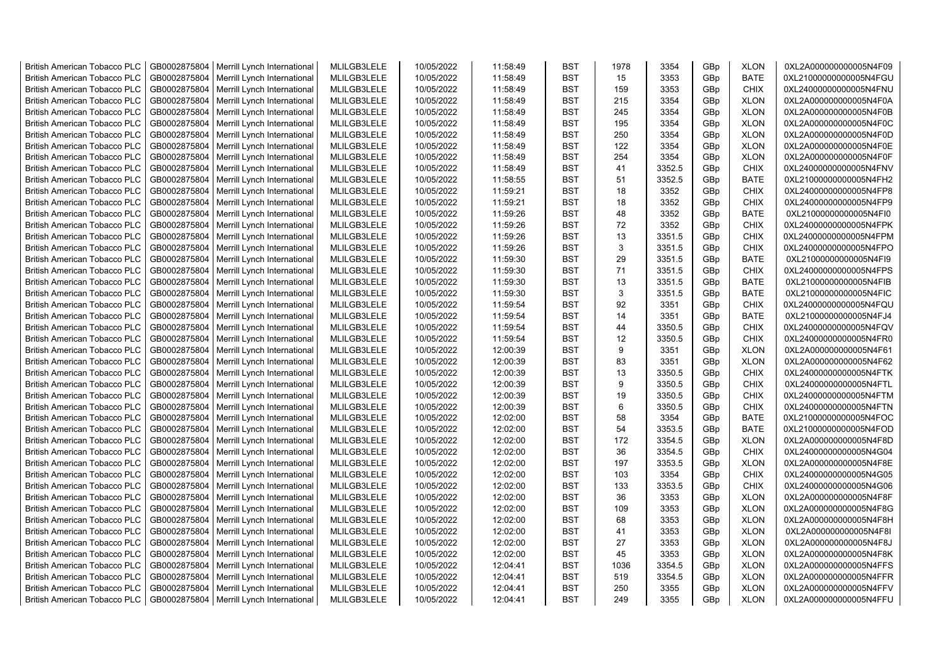| <b>British American Tobacco PLC</b> | GB0002875804 | Merrill Lynch International | MLILGB3LELE | 10/05/2022 | 11:58:49 | <b>BST</b> | 1978 | 3354   | GBp | <b>XLON</b> | 0XL2A000000000005N4F09 |
|-------------------------------------|--------------|-----------------------------|-------------|------------|----------|------------|------|--------|-----|-------------|------------------------|
| <b>British American Tobacco PLC</b> | GB0002875804 | Merrill Lynch International | MLILGB3LELE | 10/05/2022 | 11:58:49 | <b>BST</b> | 15   | 3353   | GBp | <b>BATE</b> | 0XL21000000000005N4FGU |
| <b>British American Tobacco PLC</b> | GB0002875804 | Merrill Lynch International | MLILGB3LELE | 10/05/2022 | 11:58:49 | <b>BST</b> | 159  | 3353   | GBp | <b>CHIX</b> | 0XL24000000000005N4FNU |
| <b>British American Tobacco PLC</b> | GB0002875804 | Merrill Lynch International | MLILGB3LELE | 10/05/2022 | 11:58:49 | <b>BST</b> | 215  | 3354   | GBp | <b>XLON</b> | 0XL2A000000000005N4F0A |
| <b>British American Tobacco PLC</b> | GB0002875804 | Merrill Lynch International | MLILGB3LELE | 10/05/2022 | 11:58:49 | <b>BST</b> | 245  | 3354   | GBp | <b>XLON</b> | 0XL2A000000000005N4F0B |
| <b>British American Tobacco PLC</b> | GB0002875804 | Merrill Lynch International | MLILGB3LELE | 10/05/2022 | 11:58:49 | <b>BST</b> | 195  | 3354   | GBp | <b>XLON</b> | 0XL2A000000000005N4F0C |
| British American Tobacco PLC        | GB0002875804 | Merrill Lynch International | MLILGB3LELE | 10/05/2022 | 11:58:49 | <b>BST</b> | 250  | 3354   | GBp | <b>XLON</b> | 0XL2A000000000005N4F0D |
| <b>British American Tobacco PLC</b> | GB0002875804 | Merrill Lynch International | MLILGB3LELE | 10/05/2022 | 11:58:49 | <b>BST</b> | 122  | 3354   | GBp | <b>XLON</b> | 0XL2A000000000005N4F0E |
| <b>British American Tobacco PLC</b> | GB0002875804 | Merrill Lynch International | MLILGB3LELE | 10/05/2022 | 11:58:49 | <b>BST</b> | 254  | 3354   | GBp | <b>XLON</b> | 0XL2A000000000005N4F0F |
| <b>British American Tobacco PLC</b> | GB0002875804 | Merrill Lynch International | MLILGB3LELE | 10/05/2022 | 11:58:49 | <b>BST</b> | 41   | 3352.5 | GBp | <b>CHIX</b> | 0XL24000000000005N4FNV |
| <b>British American Tobacco PLC</b> | GB0002875804 | Merrill Lynch International | MLILGB3LELE | 10/05/2022 | 11:58:55 | <b>BST</b> | 51   | 3352.5 | GBp | <b>BATE</b> | 0XL21000000000005N4FH2 |
| <b>British American Tobacco PLC</b> | GB0002875804 | Merrill Lynch International | MLILGB3LELE | 10/05/2022 | 11:59:21 | <b>BST</b> | 18   | 3352   | GBp | CHIX        | 0XL24000000000005N4FP8 |
| <b>British American Tobacco PLC</b> | GB0002875804 | Merrill Lynch International | MLILGB3LELE | 10/05/2022 | 11:59:21 | <b>BST</b> | 18   | 3352   | GBp | <b>CHIX</b> | 0XL24000000000005N4FP9 |
| <b>British American Tobacco PLC</b> | GB0002875804 | Merrill Lynch International | MLILGB3LELE | 10/05/2022 | 11:59:26 | <b>BST</b> | 48   | 3352   | GBp | <b>BATE</b> | 0XL21000000000005N4FI0 |
| <b>British American Tobacco PLC</b> | GB0002875804 | Merrill Lynch International | MLILGB3LELE | 10/05/2022 | 11:59:26 | <b>BST</b> | 72   | 3352   | GBp | <b>CHIX</b> | 0XL24000000000005N4FPK |
| <b>British American Tobacco PLC</b> | GB0002875804 | Merrill Lynch International | MLILGB3LELE | 10/05/2022 | 11:59:26 | <b>BST</b> | 13   | 3351.5 | GBp | <b>CHIX</b> | 0XL24000000000005N4FPM |
| <b>British American Tobacco PLC</b> | GB0002875804 | Merrill Lynch International | MLILGB3LELE | 10/05/2022 | 11:59:26 | <b>BST</b> | 3    | 3351.5 | GBp | CHIX        | 0XL24000000000005N4FPO |
| <b>British American Tobacco PLC</b> | GB0002875804 | Merrill Lynch International | MLILGB3LELE | 10/05/2022 | 11:59:30 | <b>BST</b> | 29   | 3351.5 | GBp | <b>BATE</b> | 0XL21000000000005N4FI9 |
| <b>British American Tobacco PLC</b> | GB0002875804 | Merrill Lynch International | MLILGB3LELE | 10/05/2022 | 11:59:30 | <b>BST</b> | 71   | 3351.5 | GBp | <b>CHIX</b> | 0XL24000000000005N4FPS |
| <b>British American Tobacco PLC</b> | GB0002875804 | Merrill Lynch International | MLILGB3LELE | 10/05/2022 | 11:59:30 | <b>BST</b> | 13   | 3351.5 | GBp | <b>BATE</b> | 0XL21000000000005N4FIB |
| <b>British American Tobacco PLC</b> | GB0002875804 | Merrill Lynch International | MLILGB3LELE | 10/05/2022 | 11:59:30 | <b>BST</b> | 3    | 3351.5 | GBp | <b>BATE</b> | 0XL21000000000005N4FIC |
| <b>British American Tobacco PLC</b> | GB0002875804 | Merrill Lynch International | MLILGB3LELE | 10/05/2022 | 11:59:54 | <b>BST</b> | 92   | 3351   | GBp | <b>CHIX</b> | 0XL24000000000005N4FQU |
| <b>British American Tobacco PLC</b> | GB0002875804 | Merrill Lynch International | MLILGB3LELE | 10/05/2022 | 11:59:54 | <b>BST</b> | 14   | 3351   | GBp | <b>BATE</b> | 0XL21000000000005N4FJ4 |
| <b>British American Tobacco PLC</b> | GB0002875804 | Merrill Lynch International | MLILGB3LELE | 10/05/2022 | 11:59:54 | <b>BST</b> | 44   | 3350.5 | GBp | <b>CHIX</b> | 0XL24000000000005N4FQV |
| <b>British American Tobacco PLC</b> | GB0002875804 | Merrill Lynch International | MLILGB3LELE | 10/05/2022 | 11:59:54 | <b>BST</b> | 12   | 3350.5 | GBp | CHIX        | 0XL24000000000005N4FR0 |
| <b>British American Tobacco PLC</b> | GB0002875804 | Merrill Lynch International | MLILGB3LELE | 10/05/2022 | 12:00:39 | <b>BST</b> | 9    | 3351   | GBp | <b>XLON</b> | 0XL2A000000000005N4F61 |
| British American Tobacco PLC        | GB0002875804 | Merrill Lynch International | MLILGB3LELE | 10/05/2022 | 12:00:39 | <b>BST</b> | 83   | 3351   | GBp | <b>XLON</b> | 0XL2A000000000005N4F62 |
| <b>British American Tobacco PLC</b> | GB0002875804 | Merrill Lynch International | MLILGB3LELE | 10/05/2022 | 12:00:39 | <b>BST</b> | 13   | 3350.5 | GBp | <b>CHIX</b> | 0XL24000000000005N4FTK |
| <b>British American Tobacco PLC</b> | GB0002875804 | Merrill Lynch International | MLILGB3LELE | 10/05/2022 | 12:00:39 | <b>BST</b> | 9    | 3350.5 | GBp | CHIX        | 0XL24000000000005N4FTL |
| <b>British American Tobacco PLC</b> | GB0002875804 | Merrill Lynch International | MLILGB3LELE | 10/05/2022 | 12:00:39 | <b>BST</b> | 19   | 3350.5 | GBp | CHIX        | 0XL24000000000005N4FTM |
| <b>British American Tobacco PLC</b> | GB0002875804 | Merrill Lynch International | MLILGB3LELE | 10/05/2022 | 12:00:39 | <b>BST</b> | 6    | 3350.5 | GBp | CHIX        | 0XL24000000000005N4FTN |
| <b>British American Tobacco PLC</b> | GB0002875804 | Merrill Lynch International | MLILGB3LELE | 10/05/2022 | 12:02:00 | <b>BST</b> | 58   | 3354   | GBp | <b>BATE</b> | 0XL21000000000005N4FOC |
| <b>British American Tobacco PLC</b> | GB0002875804 | Merrill Lynch International | MLILGB3LELE | 10/05/2022 | 12:02:00 | <b>BST</b> | 54   | 3353.5 | GBp | <b>BATE</b> | 0XL21000000000005N4FOD |
| <b>British American Tobacco PLC</b> | GB0002875804 | Merrill Lynch International | MLILGB3LELE | 10/05/2022 | 12:02:00 | <b>BST</b> | 172  | 3354.5 | GBp | <b>XLON</b> | 0XL2A000000000005N4F8D |
| <b>British American Tobacco PLC</b> | GB0002875804 | Merrill Lynch International | MLILGB3LELE | 10/05/2022 | 12:02:00 | <b>BST</b> | 36   | 3354.5 | GBp | <b>CHIX</b> | 0XL24000000000005N4G04 |
| <b>British American Tobacco PLC</b> | GB0002875804 | Merrill Lynch International | MLILGB3LELE | 10/05/2022 | 12:02:00 | <b>BST</b> | 197  | 3353.5 | GBp | <b>XLON</b> | 0XL2A000000000005N4F8E |
| <b>British American Tobacco PLC</b> | GB0002875804 | Merrill Lynch International | MLILGB3LELE | 10/05/2022 | 12:02:00 | <b>BST</b> | 103  | 3354   | GBp | <b>CHIX</b> | 0XL24000000000005N4G05 |
| <b>British American Tobacco PLC</b> | GB0002875804 | Merrill Lynch International | MLILGB3LELE | 10/05/2022 | 12:02:00 | <b>BST</b> | 133  | 3353.5 | GBp | <b>CHIX</b> | 0XL24000000000005N4G06 |
| <b>British American Tobacco PLC</b> | GB0002875804 | Merrill Lynch International | MLILGB3LELE | 10/05/2022 | 12:02:00 | <b>BST</b> | 36   | 3353   | GBp | <b>XLON</b> | 0XL2A000000000005N4F8F |
| <b>British American Tobacco PLC</b> | GB0002875804 | Merrill Lynch International | MLILGB3LELE | 10/05/2022 | 12:02:00 | <b>BST</b> | 109  | 3353   | GBp | <b>XLON</b> | 0XL2A000000000005N4F8G |
| <b>British American Tobacco PLC</b> | GB0002875804 | Merrill Lynch International | MLILGB3LELE | 10/05/2022 | 12:02:00 | <b>BST</b> | 68   | 3353   | GBp | <b>XLON</b> | 0XL2A000000000005N4F8H |
| <b>British American Tobacco PLC</b> | GB0002875804 | Merrill Lynch International | MLILGB3LELE | 10/05/2022 | 12:02:00 | <b>BST</b> | 41   | 3353   | GBp | <b>XLON</b> | 0XL2A000000000005N4F8I |
| <b>British American Tobacco PLC</b> | GB0002875804 | Merrill Lynch International | MLILGB3LELE | 10/05/2022 | 12:02:00 | <b>BST</b> | 27   | 3353   | GBp | <b>XLON</b> | 0XL2A000000000005N4F8J |
| <b>British American Tobacco PLC</b> | GB0002875804 | Merrill Lynch International | MLILGB3LELE | 10/05/2022 | 12:02:00 | <b>BST</b> | 45   | 3353   | GBp | <b>XLON</b> | 0XL2A000000000005N4F8K |
| <b>British American Tobacco PLC</b> | GB0002875804 | Merrill Lynch International | MLILGB3LELE | 10/05/2022 | 12:04:41 | <b>BST</b> | 1036 | 3354.5 | GBp | <b>XLON</b> | 0XL2A000000000005N4FFS |
| <b>British American Tobacco PLC</b> | GB0002875804 | Merrill Lynch International | MLILGB3LELE | 10/05/2022 | 12:04:41 | <b>BST</b> | 519  | 3354.5 | GBp | <b>XLON</b> | 0XL2A000000000005N4FFR |
| <b>British American Tobacco PLC</b> | GB0002875804 | Merrill Lynch International | MLILGB3LELE | 10/05/2022 | 12:04:41 | <b>BST</b> | 250  | 3355   | GBp | <b>XLON</b> | 0XL2A000000000005N4FFV |
| <b>British American Tobacco PLC</b> | GB0002875804 | Merrill Lynch International | MLILGB3LELE | 10/05/2022 | 12:04:41 | <b>BST</b> | 249  | 3355   | GBp | <b>XLON</b> | 0XL2A000000000005N4FFU |
|                                     |              |                             |             |            |          |            |      |        |     |             |                        |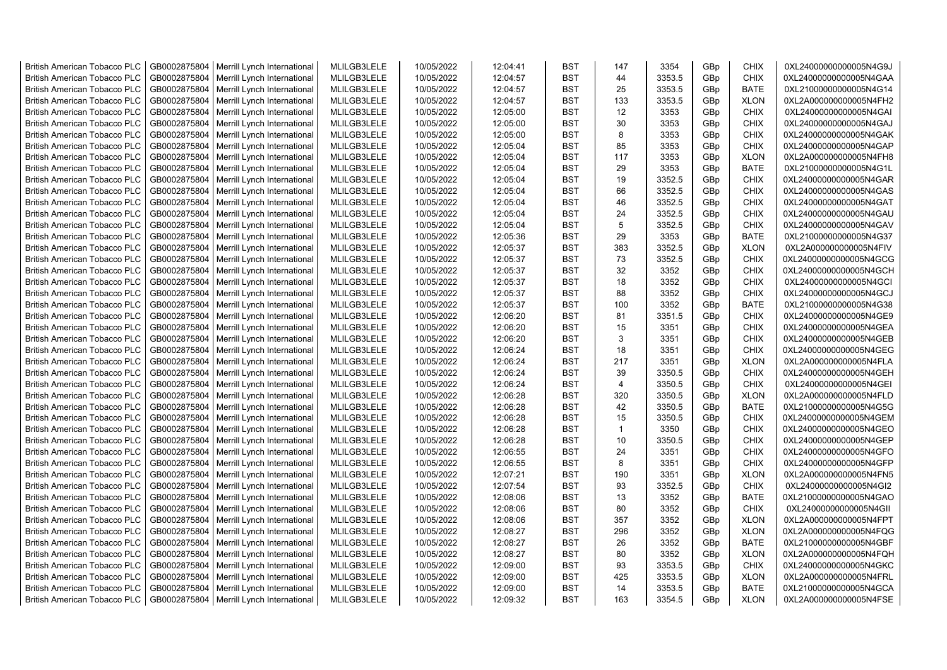| <b>British American Tobacco PLC</b> | GB0002875804 | Merrill Lynch International                | MLILGB3LELE | 10/05/2022 | 12:04:41 | <b>BST</b> | 147            | 3354   | GBp             | <b>CHIX</b> | 0XL24000000000005N4G9J |
|-------------------------------------|--------------|--------------------------------------------|-------------|------------|----------|------------|----------------|--------|-----------------|-------------|------------------------|
| <b>British American Tobacco PLC</b> | GB0002875804 | Merrill Lynch International                | MLILGB3LELE | 10/05/2022 | 12:04:57 | <b>BST</b> | 44             | 3353.5 | GBp             | <b>CHIX</b> | 0XL24000000000005N4GAA |
| <b>British American Tobacco PLC</b> | GB0002875804 | Merrill Lynch International                | MLILGB3LELE | 10/05/2022 | 12:04:57 | <b>BST</b> | 25             | 3353.5 | GBp             | <b>BATE</b> | 0XL21000000000005N4G14 |
| <b>British American Tobacco PLC</b> | GB0002875804 | Merrill Lynch International                | MLILGB3LELE | 10/05/2022 | 12:04:57 | <b>BST</b> | 133            | 3353.5 | GBp             | <b>XLON</b> | 0XL2A000000000005N4FH2 |
| <b>British American Tobacco PLC</b> | GB0002875804 | Merrill Lynch International                | MLILGB3LELE | 10/05/2022 | 12:05:00 | <b>BST</b> | 12             | 3353   | GBp             | <b>CHIX</b> | 0XL24000000000005N4GAI |
| <b>British American Tobacco PLC</b> | GB0002875804 | Merrill Lynch International                | MLILGB3LELE | 10/05/2022 | 12:05:00 | <b>BST</b> | 30             | 3353   | GBp             | <b>CHIX</b> | 0XL24000000000005N4GAJ |
| British American Tobacco PLC        | GB0002875804 | Merrill Lynch International                | MLILGB3LELE | 10/05/2022 | 12:05:00 | <b>BST</b> | 8              | 3353   | GBp             | <b>CHIX</b> | 0XL24000000000005N4GAK |
| <b>British American Tobacco PLC</b> | GB0002875804 | Merrill Lynch International                | MLILGB3LELE | 10/05/2022 | 12:05:04 | <b>BST</b> | 85             | 3353   | GBp             | <b>CHIX</b> | 0XL24000000000005N4GAP |
| <b>British American Tobacco PLC</b> | GB0002875804 | Merrill Lynch International                | MLILGB3LELE | 10/05/2022 | 12:05:04 | <b>BST</b> | 117            | 3353   | GBp             | <b>XLON</b> | 0XL2A000000000005N4FH8 |
| <b>British American Tobacco PLC</b> | GB0002875804 | Merrill Lynch International                | MLILGB3LELE | 10/05/2022 | 12:05:04 | <b>BST</b> | 29             | 3353   | GBp             | <b>BATE</b> | 0XL21000000000005N4G1L |
| <b>British American Tobacco PLC</b> | GB0002875804 | Merrill Lynch International                | MLILGB3LELE | 10/05/2022 | 12:05:04 | <b>BST</b> | 19             | 3352.5 | GBp             | <b>CHIX</b> | 0XL24000000000005N4GAR |
| <b>British American Tobacco PLC</b> | GB0002875804 | Merrill Lynch International                | MLILGB3LELE | 10/05/2022 | 12:05:04 | <b>BST</b> | 66             | 3352.5 | GBp             | <b>CHIX</b> | 0XL24000000000005N4GAS |
| <b>British American Tobacco PLC</b> | GB0002875804 | Merrill Lynch International                | MLILGB3LELE | 10/05/2022 | 12:05:04 | BST        | 46             | 3352.5 | GBp             | <b>CHIX</b> | 0XL24000000000005N4GAT |
| <b>British American Tobacco PLC</b> | GB0002875804 | Merrill Lynch International                | MLILGB3LELE | 10/05/2022 | 12:05:04 | <b>BST</b> | 24             | 3352.5 | GBp             | <b>CHIX</b> | 0XL24000000000005N4GAU |
| <b>British American Tobacco PLC</b> | GB0002875804 | Merrill Lynch International                | MLILGB3LELE | 10/05/2022 | 12:05:04 | <b>BST</b> | 5              | 3352.5 | GBp             | <b>CHIX</b> | 0XL24000000000005N4GAV |
| <b>British American Tobacco PLC</b> | GB0002875804 | Merrill Lynch International                | MLILGB3LELE | 10/05/2022 | 12:05:36 | <b>BST</b> | 29             | 3353   | GBp             | <b>BATE</b> | 0XL21000000000005N4G37 |
| <b>British American Tobacco PLC</b> | GB0002875804 | Merrill Lynch International                | MLILGB3LELE | 10/05/2022 | 12:05:37 | <b>BST</b> | 383            | 3352.5 | GBp             | <b>XLON</b> | 0XL2A000000000005N4FIV |
| <b>British American Tobacco PLC</b> | GB0002875804 | Merrill Lynch International                | MLILGB3LELE | 10/05/2022 | 12:05:37 | <b>BST</b> | 73             | 3352.5 | GBp             | <b>CHIX</b> | 0XL24000000000005N4GCG |
| <b>British American Tobacco PLC</b> | GB0002875804 | Merrill Lynch International                | MLILGB3LELE | 10/05/2022 | 12:05:37 | <b>BST</b> | 32             | 3352   | GBp             | <b>CHIX</b> | 0XL24000000000005N4GCH |
| <b>British American Tobacco PLC</b> | GB0002875804 | Merrill Lynch International                | MLILGB3LELE | 10/05/2022 | 12:05:37 | <b>BST</b> | 18             | 3352   | GBp             | <b>CHIX</b> | 0XL24000000000005N4GCI |
| <b>British American Tobacco PLC</b> | GB0002875804 | Merrill Lynch International                | MLILGB3LELE | 10/05/2022 | 12:05:37 | <b>BST</b> | 88             | 3352   | GBp             | <b>CHIX</b> | 0XL24000000000005N4GCJ |
| <b>British American Tobacco PLC</b> | GB0002875804 | Merrill Lynch International                | MLILGB3LELE | 10/05/2022 | 12:05:37 | <b>BST</b> | 100            | 3352   | GBp             | <b>BATE</b> | 0XL21000000000005N4G38 |
| <b>British American Tobacco PLC</b> | GB0002875804 | Merrill Lynch International                | MLILGB3LELE | 10/05/2022 | 12:06:20 | <b>BST</b> | 81             | 3351.5 | GBp             | <b>CHIX</b> | 0XL24000000000005N4GE9 |
| <b>British American Tobacco PLC</b> | GB0002875804 | Merrill Lynch International                | MLILGB3LELE | 10/05/2022 | 12:06:20 | <b>BST</b> | 15             | 3351   | GBp             | <b>CHIX</b> | 0XL24000000000005N4GEA |
| <b>British American Tobacco PLC</b> | GB0002875804 | Merrill Lynch International                | MLILGB3LELE | 10/05/2022 | 12:06:20 | <b>BST</b> | 3              | 3351   | GBp             | <b>CHIX</b> | 0XL24000000000005N4GEB |
| <b>British American Tobacco PLC</b> | GB0002875804 | Merrill Lynch International                | MLILGB3LELE | 10/05/2022 | 12:06:24 | <b>BST</b> | 18             | 3351   | GBp             | <b>CHIX</b> | 0XL24000000000005N4GEG |
| <b>British American Tobacco PLC</b> | GB0002875804 | Merrill Lynch International                | MLILGB3LELE | 10/05/2022 | 12:06:24 | <b>BST</b> | 217            | 3351   | GBp             | <b>XLON</b> | 0XL2A000000000005N4FLA |
| <b>British American Tobacco PLC</b> | GB0002875804 | Merrill Lynch International                | MLILGB3LELE | 10/05/2022 | 12:06:24 | <b>BST</b> | 39             | 3350.5 | GBp             | <b>CHIX</b> | 0XL24000000000005N4GEH |
| <b>British American Tobacco PLC</b> | GB0002875804 | Merrill Lynch International                | MLILGB3LELE | 10/05/2022 | 12:06:24 | <b>BST</b> | $\overline{4}$ | 3350.5 | GBp             | <b>CHIX</b> | 0XL24000000000005N4GEI |
| <b>British American Tobacco PLC</b> | GB0002875804 | Merrill Lynch International                | MLILGB3LELE | 10/05/2022 | 12:06:28 | <b>BST</b> | 320            | 3350.5 | GBp             | <b>XLON</b> | 0XL2A000000000005N4FLD |
| <b>British American Tobacco PLC</b> | GB0002875804 | Merrill Lynch International                | MLILGB3LELE | 10/05/2022 | 12:06:28 | <b>BST</b> | 42             | 3350.5 | GBp             | <b>BATE</b> | 0XL21000000000005N4G5G |
| <b>British American Tobacco PLC</b> | GB0002875804 | Merrill Lynch International                | MLILGB3LELE | 10/05/2022 | 12:06:28 | <b>BST</b> | 15             | 3350.5 | GBp             | <b>CHIX</b> | 0XL24000000000005N4GEM |
| <b>British American Tobacco PLC</b> | GB0002875804 | Merrill Lynch International                | MLILGB3LELE | 10/05/2022 | 12:06:28 | <b>BST</b> | $\overline{1}$ | 3350   | GBp             | <b>CHIX</b> | 0XL24000000000005N4GEO |
| <b>British American Tobacco PLC</b> | GB0002875804 | Merrill Lynch International                | MLILGB3LELE | 10/05/2022 | 12:06:28 | <b>BST</b> | 10             | 3350.5 | GBp             | <b>CHIX</b> | 0XL24000000000005N4GEP |
| <b>British American Tobacco PLC</b> | GB0002875804 | Merrill Lynch International                | MLILGB3LELE | 10/05/2022 | 12:06:55 | <b>BST</b> | 24             | 3351   | GBp             | <b>CHIX</b> | 0XL24000000000005N4GFO |
| British American Tobacco PLC        | GB0002875804 | Merrill Lynch International                | MLILGB3LELE | 10/05/2022 | 12:06:55 | <b>BST</b> | 8              | 3351   | GBp             | <b>CHIX</b> | 0XL24000000000005N4GFP |
| <b>British American Tobacco PLC</b> | GB0002875804 | Merrill Lynch International                | MLILGB3LELE | 10/05/2022 | 12:07:21 | <b>BST</b> | 190            | 3351   | GBp             | <b>XLON</b> | 0XL2A000000000005N4FN5 |
| <b>British American Tobacco PLC</b> | GB0002875804 | Merrill Lynch International                | MLILGB3LELE | 10/05/2022 | 12:07:54 | <b>BST</b> | 93             | 3352.5 | GBp             | <b>CHIX</b> | 0XL24000000000005N4GI2 |
| <b>British American Tobacco PLC</b> | GB0002875804 | Merrill Lynch International                | MLILGB3LELE | 10/05/2022 | 12:08:06 | <b>BST</b> | 13             | 3352   | GBp             | <b>BATE</b> | 0XL21000000000005N4GAO |
| <b>British American Tobacco PLC</b> | GB0002875804 | Merrill Lynch International                | MLILGB3LELE | 10/05/2022 | 12:08:06 | <b>BST</b> | 80             | 3352   | GBp             | <b>CHIX</b> | 0XL24000000000005N4GII |
| <b>British American Tobacco PLC</b> | GB0002875804 | Merrill Lynch International                | MLILGB3LELE | 10/05/2022 | 12:08:06 | <b>BST</b> | 357            | 3352   | GBp             | <b>XLON</b> | 0XL2A000000000005N4FPT |
| <b>British American Tobacco PLC</b> | GB0002875804 | Merrill Lynch International                | MLILGB3LELE | 10/05/2022 | 12:08:27 | <b>BST</b> | 296            | 3352   | GBp             | <b>XLON</b> | 0XL2A000000000005N4FQG |
| <b>British American Tobacco PLC</b> | GB0002875804 | Merrill Lynch International                | MLILGB3LELE | 10/05/2022 | 12:08:27 | <b>BST</b> | 26             | 3352   | GBp             | <b>BATE</b> | 0XL21000000000005N4GBF |
| <b>British American Tobacco PLC</b> | GB0002875804 | Merrill Lynch International                | MLILGB3LELE | 10/05/2022 | 12:08:27 | <b>BST</b> | 80             | 3352   | GBp             | <b>XLON</b> | 0XL2A000000000005N4FQH |
| <b>British American Tobacco PLC</b> | GB0002875804 | Merrill Lynch International                | MLILGB3LELE | 10/05/2022 | 12:09:00 | <b>BST</b> | 93             | 3353.5 | GBp             | <b>CHIX</b> | 0XL24000000000005N4GKC |
| <b>British American Tobacco PLC</b> | GB0002875804 | Merrill Lynch International                | MLILGB3LELE | 10/05/2022 | 12:09:00 | <b>BST</b> | 425            | 3353.5 | GBp             | <b>XLON</b> | 0XL2A000000000005N4FRL |
| <b>British American Tobacco PLC</b> | GB0002875804 | Merrill Lynch International                | MLILGB3LELE | 10/05/2022 | 12:09:00 | <b>BST</b> | 14             | 3353.5 | GBp             | <b>BATE</b> | 0XL21000000000005N4GCA |
| <b>British American Tobacco PLC</b> |              | GB0002875804   Merrill Lynch International | MLILGB3LELE | 10/05/2022 | 12:09:32 | <b>BST</b> | 163            | 3354.5 | GB <sub>p</sub> | <b>XLON</b> | 0XL2A000000000005N4FSE |
|                                     |              |                                            |             |            |          |            |                |        |                 |             |                        |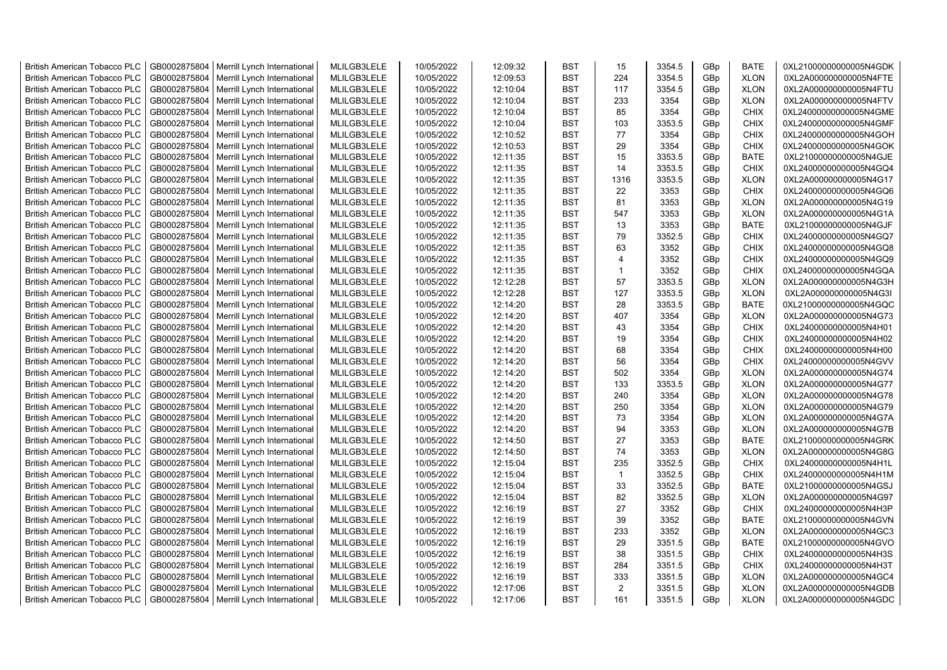| <b>British American Tobacco PLC</b> | GB0002875804 | Merrill Lynch International | MLILGB3LELE | 10/05/2022 | 12:09:32 | <b>BST</b> | 15             | 3354.5 | GBp             | <b>BATE</b> | 0XL21000000000005N4GDK |
|-------------------------------------|--------------|-----------------------------|-------------|------------|----------|------------|----------------|--------|-----------------|-------------|------------------------|
| <b>British American Tobacco PLC</b> | GB0002875804 | Merrill Lynch International | MLILGB3LELE | 10/05/2022 | 12:09:53 | <b>BST</b> | 224            | 3354.5 | GBp             | <b>XLON</b> | 0XL2A000000000005N4FTE |
| <b>British American Tobacco PLC</b> | GB0002875804 | Merrill Lynch International | MLILGB3LELE | 10/05/2022 | 12:10:04 | <b>BST</b> | 117            | 3354.5 | GBp             | <b>XLON</b> | 0XL2A000000000005N4FTU |
| <b>British American Tobacco PLC</b> | GB0002875804 | Merrill Lynch International | MLILGB3LELE | 10/05/2022 | 12:10:04 | <b>BST</b> | 233            | 3354   | GBp             | <b>XLON</b> | 0XL2A000000000005N4FTV |
| <b>British American Tobacco PLC</b> | GB0002875804 | Merrill Lynch International | MLILGB3LELE | 10/05/2022 | 12:10:04 | <b>BST</b> | 85             | 3354   | GBp             | <b>CHIX</b> | 0XL24000000000005N4GME |
| <b>British American Tobacco PLC</b> | GB0002875804 | Merrill Lynch International | MLILGB3LELE | 10/05/2022 | 12:10:04 | <b>BST</b> | 103            | 3353.5 | GBp             | <b>CHIX</b> | 0XL24000000000005N4GMF |
| <b>British American Tobacco PLC</b> | GB0002875804 | Merrill Lynch International | MLILGB3LELE | 10/05/2022 | 12:10:52 | <b>BST</b> | 77             | 3354   | GBp             | <b>CHIX</b> | 0XL24000000000005N4GOH |
| <b>British American Tobacco PLC</b> | GB0002875804 | Merrill Lynch International | MLILGB3LELE | 10/05/2022 | 12:10:53 | <b>BST</b> | 29             | 3354   | GBp             | <b>CHIX</b> | 0XL24000000000005N4GOK |
| <b>British American Tobacco PLC</b> | GB0002875804 | Merrill Lynch International | MLILGB3LELE | 10/05/2022 | 12:11:35 | <b>BST</b> | 15             | 3353.5 | GBp             | <b>BATE</b> | 0XL21000000000005N4GJE |
| <b>British American Tobacco PLC</b> | GB0002875804 | Merrill Lynch International | MLILGB3LELE | 10/05/2022 | 12:11:35 | <b>BST</b> | 14             | 3353.5 | GBp             | <b>CHIX</b> | 0XL24000000000005N4GQ4 |
| <b>British American Tobacco PLC</b> | GB0002875804 | Merrill Lynch International | MLILGB3LELE | 10/05/2022 | 12:11:35 | <b>BST</b> | 1316           | 3353.5 | GBp             | <b>XLON</b> | 0XL2A000000000005N4G17 |
| <b>British American Tobacco PLC</b> | GB0002875804 | Merrill Lynch International | MLILGB3LELE | 10/05/2022 | 12:11:35 | <b>BST</b> | 22             | 3353   | GBp             | <b>CHIX</b> | 0XL24000000000005N4GQ6 |
| <b>British American Tobacco PLC</b> | GB0002875804 | Merrill Lynch International | MLILGB3LELE | 10/05/2022 | 12:11:35 | <b>BST</b> | 81             | 3353   | GBp             | <b>XLON</b> | 0XL2A000000000005N4G19 |
| <b>British American Tobacco PLC</b> | GB0002875804 | Merrill Lynch International | MLILGB3LELE | 10/05/2022 | 12:11:35 | <b>BST</b> | 547            | 3353   | GBp             | <b>XLON</b> | 0XL2A000000000005N4G1A |
| <b>British American Tobacco PLC</b> | GB0002875804 | Merrill Lynch International | MLILGB3LELE | 10/05/2022 | 12:11:35 | <b>BST</b> | 13             | 3353   | GBp             | <b>BATE</b> | 0XL21000000000005N4GJF |
| British American Tobacco PLC        | GB0002875804 | Merrill Lynch International | MLILGB3LELE | 10/05/2022 | 12:11:35 | <b>BST</b> | 79             | 3352.5 | GBp             | <b>CHIX</b> | 0XL24000000000005N4GQ7 |
| British American Tobacco PLC        | GB0002875804 | Merrill Lynch International | MLILGB3LELE | 10/05/2022 | 12:11:35 | <b>BST</b> | 63             | 3352   | GBp             | <b>CHIX</b> | 0XL24000000000005N4GQ8 |
| <b>British American Tobacco PLC</b> | GB0002875804 | Merrill Lynch International | MLILGB3LELE | 10/05/2022 | 12:11:35 | <b>BST</b> | $\overline{4}$ | 3352   | GBp             | <b>CHIX</b> | 0XL24000000000005N4GQ9 |
| <b>British American Tobacco PLC</b> | GB0002875804 | Merrill Lynch International | MLILGB3LELE | 10/05/2022 | 12:11:35 | <b>BST</b> | $\mathbf{1}$   | 3352   | GBp             | <b>CHIX</b> | 0XL24000000000005N4GQA |
| <b>British American Tobacco PLC</b> | GB0002875804 | Merrill Lynch International | MLILGB3LELE | 10/05/2022 | 12:12:28 | <b>BST</b> | 57             | 3353.5 | GBp             | <b>XLON</b> | 0XL2A000000000005N4G3H |
| <b>British American Tobacco PLC</b> | GB0002875804 | Merrill Lynch International | MLILGB3LELE | 10/05/2022 | 12:12:28 | <b>BST</b> | 127            | 3353.5 | GBp             | <b>XLON</b> | 0XL2A000000000005N4G3I |
| <b>British American Tobacco PLC</b> | GB0002875804 | Merrill Lynch International | MLILGB3LELE | 10/05/2022 | 12:14:20 | <b>BST</b> | 28             | 3353.5 | GBp             | <b>BATE</b> | 0XL21000000000005N4GQC |
| <b>British American Tobacco PLC</b> | GB0002875804 | Merrill Lynch International | MLILGB3LELE | 10/05/2022 | 12:14:20 | <b>BST</b> | 407            | 3354   | GBp             | <b>XLON</b> | 0XL2A000000000005N4G73 |
| <b>British American Tobacco PLC</b> | GB0002875804 | Merrill Lynch International | MLILGB3LELE | 10/05/2022 | 12:14:20 | <b>BST</b> | 43             | 3354   | GBp             | <b>CHIX</b> | 0XL24000000000005N4H01 |
| <b>British American Tobacco PLC</b> | GB0002875804 | Merrill Lynch International | MLILGB3LELE | 10/05/2022 | 12:14:20 | <b>BST</b> | 19             | 3354   | GBp             | <b>CHIX</b> | 0XL24000000000005N4H02 |
| <b>British American Tobacco PLC</b> | GB0002875804 | Merrill Lynch International | MLILGB3LELE | 10/05/2022 | 12:14:20 | <b>BST</b> | 68             | 3354   | GBp             | <b>CHIX</b> | 0XL24000000000005N4H00 |
| <b>British American Tobacco PLC</b> | GB0002875804 | Merrill Lynch International | MLILGB3LELE | 10/05/2022 | 12:14:20 | <b>BST</b> | 56             | 3354   | GBp             | <b>CHIX</b> | 0XL24000000000005N4GVV |
| <b>British American Tobacco PLC</b> | GB0002875804 | Merrill Lynch International | MLILGB3LELE | 10/05/2022 | 12:14:20 | <b>BST</b> | 502            | 3354   | GBp             | <b>XLON</b> | 0XL2A000000000005N4G74 |
| <b>British American Tobacco PLC</b> | GB0002875804 | Merrill Lynch International | MLILGB3LELE | 10/05/2022 | 12:14:20 | <b>BST</b> | 133            | 3353.5 | GBp             | <b>XLON</b> | 0XL2A000000000005N4G77 |
| <b>British American Tobacco PLC</b> | GB0002875804 | Merrill Lynch International | MLILGB3LELE | 10/05/2022 | 12:14:20 | <b>BST</b> | 240            | 3354   | GBp             | <b>XLON</b> | 0XL2A000000000005N4G78 |
| <b>British American Tobacco PLC</b> | GB0002875804 | Merrill Lynch International | MLILGB3LELE | 10/05/2022 | 12:14:20 | <b>BST</b> | 250            | 3354   | GBp             | <b>XLON</b> | 0XL2A000000000005N4G79 |
| <b>British American Tobacco PLC</b> | GB0002875804 | Merrill Lynch International | MLILGB3LELE | 10/05/2022 | 12:14:20 | <b>BST</b> | 73             | 3354   | GBp             | <b>XLON</b> | 0XL2A000000000005N4G7A |
| <b>British American Tobacco PLC</b> | GB0002875804 | Merrill Lynch International | MLILGB3LELE | 10/05/2022 | 12:14:20 | <b>BST</b> | 94             | 3353   | GBp             | <b>XLON</b> | 0XL2A000000000005N4G7B |
| <b>British American Tobacco PLC</b> | GB0002875804 | Merrill Lynch International | MLILGB3LELE | 10/05/2022 | 12:14:50 | <b>BST</b> | 27             | 3353   | GBp             | <b>BATE</b> | 0XL21000000000005N4GRK |
| <b>British American Tobacco PLC</b> | GB0002875804 | Merrill Lynch International | MLILGB3LELE | 10/05/2022 | 12:14:50 | <b>BST</b> | 74             | 3353   | GBp             | <b>XLON</b> | 0XL2A000000000005N4G8G |
| British American Tobacco PLC        | GB0002875804 | Merrill Lynch International | MLILGB3LELE | 10/05/2022 | 12:15:04 | <b>BST</b> | 235            | 3352.5 | GBp             | <b>CHIX</b> | 0XL24000000000005N4H1L |
| <b>British American Tobacco PLC</b> | GB0002875804 | Merrill Lynch International | MLILGB3LELE | 10/05/2022 | 12:15:04 | <b>BST</b> | $\mathbf{1}$   | 3352.5 | GBp             | <b>CHIX</b> | 0XL24000000000005N4H1M |
| <b>British American Tobacco PLC</b> | GB0002875804 | Merrill Lynch International | MLILGB3LELE | 10/05/2022 | 12:15:04 | <b>BST</b> | 33             | 3352.5 | GBp             | <b>BATE</b> | 0XL21000000000005N4GSJ |
| <b>British American Tobacco PLC</b> | GB0002875804 | Merrill Lynch International | MLILGB3LELE | 10/05/2022 | 12:15:04 | <b>BST</b> | 82             | 3352.5 | GBp             | <b>XLON</b> | 0XL2A000000000005N4G97 |
| <b>British American Tobacco PLC</b> | GB0002875804 | Merrill Lynch International | MLILGB3LELE | 10/05/2022 | 12:16:19 | <b>BST</b> | 27             | 3352   | GBp             | <b>CHIX</b> | 0XL24000000000005N4H3P |
| <b>British American Tobacco PLC</b> | GB0002875804 | Merrill Lynch International | MLILGB3LELE | 10/05/2022 | 12:16:19 | <b>BST</b> | 39             | 3352   | GBp             | <b>BATE</b> | 0XL21000000000005N4GVN |
| <b>British American Tobacco PLC</b> | GB0002875804 | Merrill Lynch International | MLILGB3LELE | 10/05/2022 | 12:16:19 | <b>BST</b> | 233            | 3352   | GBp             | <b>XLON</b> | 0XL2A000000000005N4GC3 |
| <b>British American Tobacco PLC</b> | GB0002875804 | Merrill Lynch International | MLILGB3LELE | 10/05/2022 | 12:16:19 | <b>BST</b> | 29             | 3351.5 | GBp             | <b>BATE</b> | 0XL21000000000005N4GVO |
| <b>British American Tobacco PLC</b> | GB0002875804 | Merrill Lynch International | MLILGB3LELE | 10/05/2022 | 12:16:19 | <b>BST</b> | 38             | 3351.5 | GBp             | <b>CHIX</b> | 0XL24000000000005N4H3S |
| <b>British American Tobacco PLC</b> | GB0002875804 | Merrill Lynch International | MLILGB3LELE | 10/05/2022 | 12:16:19 | <b>BST</b> | 284            | 3351.5 | GBp             | <b>CHIX</b> | 0XL24000000000005N4H3T |
| <b>British American Tobacco PLC</b> | GB0002875804 | Merrill Lynch International | MLILGB3LELE | 10/05/2022 | 12:16:19 | <b>BST</b> | 333            | 3351.5 | GBp             | <b>XLON</b> | 0XL2A000000000005N4GC4 |
| <b>British American Tobacco PLC</b> | GB0002875804 | Merrill Lynch International | MLILGB3LELE | 10/05/2022 | 12:17:06 | <b>BST</b> | $\overline{2}$ | 3351.5 | GBp             | <b>XLON</b> | 0XL2A000000000005N4GDB |
| <b>British American Tobacco PLC</b> | GB0002875804 | Merrill Lynch International | MLILGB3LELE | 10/05/2022 | 12:17:06 | <b>BST</b> | 161            | 3351.5 | GB <sub>p</sub> | <b>XLON</b> | 0XL2A000000000005N4GDC |
|                                     |              |                             |             |            |          |            |                |        |                 |             |                        |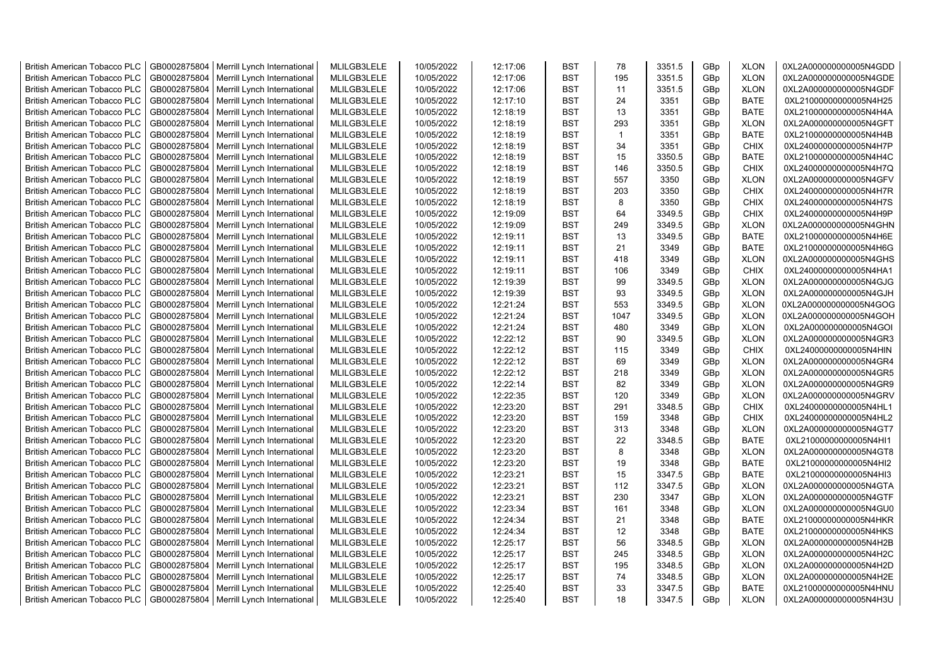| <b>British American Tobacco PLC</b> | GB0002875804 | Merrill Lynch International | MLILGB3LELE | 10/05/2022 | 12:17:06 | <b>BST</b> | 78           | 3351.5 | GBp             | <b>XLON</b> | 0XL2A000000000005N4GDD |
|-------------------------------------|--------------|-----------------------------|-------------|------------|----------|------------|--------------|--------|-----------------|-------------|------------------------|
| <b>British American Tobacco PLC</b> | GB0002875804 | Merrill Lynch International | MLILGB3LELE | 10/05/2022 | 12:17:06 | <b>BST</b> | 195          | 3351.5 | GBp             | <b>XLON</b> | 0XL2A000000000005N4GDE |
| <b>British American Tobacco PLC</b> | GB0002875804 | Merrill Lynch International | MLILGB3LELE | 10/05/2022 | 12:17:06 | <b>BST</b> | 11           | 3351.5 | GBp             | <b>XLON</b> | 0XL2A000000000005N4GDF |
| <b>British American Tobacco PLC</b> | GB0002875804 | Merrill Lynch International | MLILGB3LELE | 10/05/2022 | 12:17:10 | <b>BST</b> | 24           | 3351   | GBp             | <b>BATE</b> | 0XL21000000000005N4H25 |
| <b>British American Tobacco PLC</b> | GB0002875804 | Merrill Lynch International | MLILGB3LELE | 10/05/2022 | 12:18:19 | <b>BST</b> | 13           | 3351   | GBp             | <b>BATE</b> | 0XL21000000000005N4H4A |
| <b>British American Tobacco PLC</b> | GB0002875804 | Merrill Lynch International | MLILGB3LELE | 10/05/2022 | 12:18:19 | <b>BST</b> | 293          | 3351   | GBp             | <b>XLON</b> | 0XL2A000000000005N4GFT |
| <b>British American Tobacco PLC</b> | GB0002875804 | Merrill Lynch International | MLILGB3LELE | 10/05/2022 | 12:18:19 | <b>BST</b> | $\mathbf{1}$ | 3351   | GBp             | <b>BATE</b> | 0XL21000000000005N4H4B |
| <b>British American Tobacco PLC</b> | GB0002875804 | Merrill Lynch International | MLILGB3LELE | 10/05/2022 | 12:18:19 | <b>BST</b> | 34           | 3351   | GBp             | <b>CHIX</b> | 0XL24000000000005N4H7P |
| <b>British American Tobacco PLC</b> | GB0002875804 | Merrill Lynch International | MLILGB3LELE | 10/05/2022 | 12:18:19 | <b>BST</b> | 15           | 3350.5 | GBp             | <b>BATE</b> | 0XL21000000000005N4H4C |
| <b>British American Tobacco PLC</b> | GB0002875804 | Merrill Lynch International | MLILGB3LELE | 10/05/2022 | 12:18:19 | <b>BST</b> | 146          | 3350.5 | GBp             | <b>CHIX</b> | 0XL24000000000005N4H7Q |
| <b>British American Tobacco PLC</b> | GB0002875804 | Merrill Lynch International | MLILGB3LELE | 10/05/2022 | 12:18:19 | <b>BST</b> | 557          | 3350   | GBp             | <b>XLON</b> | 0XL2A000000000005N4GFV |
| <b>British American Tobacco PLC</b> | GB0002875804 | Merrill Lynch International | MLILGB3LELE | 10/05/2022 | 12:18:19 | <b>BST</b> | 203          | 3350   | GBp             | <b>CHIX</b> | 0XL24000000000005N4H7R |
| <b>British American Tobacco PLC</b> | GB0002875804 | Merrill Lynch International | MLILGB3LELE | 10/05/2022 | 12:18:19 | <b>BST</b> | 8            | 3350   | GBp             | <b>CHIX</b> | 0XL24000000000005N4H7S |
| <b>British American Tobacco PLC</b> | GB0002875804 | Merrill Lynch International | MLILGB3LELE | 10/05/2022 | 12:19:09 | <b>BST</b> | 64           | 3349.5 | GBp             | <b>CHIX</b> | 0XL24000000000005N4H9P |
| <b>British American Tobacco PLC</b> | GB0002875804 | Merrill Lynch International | MLILGB3LELE | 10/05/2022 | 12:19:09 | <b>BST</b> | 249          | 3349.5 | GBp             | <b>XLON</b> | 0XL2A000000000005N4GHN |
| British American Tobacco PLC        | GB0002875804 | Merrill Lynch International | MLILGB3LELE | 10/05/2022 | 12:19:11 | <b>BST</b> | 13           | 3349.5 | GBp             | <b>BATE</b> | 0XL21000000000005N4H6E |
| British American Tobacco PLC        | GB0002875804 | Merrill Lynch International | MLILGB3LELE | 10/05/2022 | 12:19:11 | <b>BST</b> | 21           | 3349   | GBp             | <b>BATE</b> | 0XL21000000000005N4H6G |
| <b>British American Tobacco PLC</b> | GB0002875804 | Merrill Lynch International | MLILGB3LELE | 10/05/2022 | 12:19:11 | <b>BST</b> | 418          | 3349   | GBp             | <b>XLON</b> | 0XL2A000000000005N4GHS |
| <b>British American Tobacco PLC</b> | GB0002875804 | Merrill Lynch International | MLILGB3LELE | 10/05/2022 | 12:19:11 | <b>BST</b> | 106          | 3349   | GBp             | <b>CHIX</b> | 0XL24000000000005N4HA1 |
| <b>British American Tobacco PLC</b> | GB0002875804 | Merrill Lynch International | MLILGB3LELE | 10/05/2022 | 12:19:39 | <b>BST</b> | 99           | 3349.5 | GBp             | <b>XLON</b> | 0XL2A000000000005N4GJG |
| <b>British American Tobacco PLC</b> | GB0002875804 | Merrill Lynch International | MLILGB3LELE | 10/05/2022 | 12:19:39 | <b>BST</b> | 93           | 3349.5 | GBp             | <b>XLON</b> | 0XL2A000000000005N4GJH |
| <b>British American Tobacco PLC</b> | GB0002875804 | Merrill Lynch International | MLILGB3LELE | 10/05/2022 | 12:21:24 | <b>BST</b> | 553          | 3349.5 | GBp             | <b>XLON</b> | 0XL2A000000000005N4GOG |
| <b>British American Tobacco PLC</b> | GB0002875804 | Merrill Lynch International | MLILGB3LELE | 10/05/2022 | 12:21:24 | <b>BST</b> | 1047         | 3349.5 | GBp             | <b>XLON</b> | 0XL2A000000000005N4GOH |
| <b>British American Tobacco PLC</b> | GB0002875804 | Merrill Lynch International | MLILGB3LELE | 10/05/2022 | 12:21:24 | <b>BST</b> | 480          | 3349   | GBp             | <b>XLON</b> | 0XL2A000000000005N4GOI |
| <b>British American Tobacco PLC</b> | GB0002875804 | Merrill Lynch International | MLILGB3LELE | 10/05/2022 | 12:22:12 | <b>BST</b> | 90           | 3349.5 | GBp             | <b>XLON</b> | 0XL2A000000000005N4GR3 |
| <b>British American Tobacco PLC</b> | GB0002875804 | Merrill Lynch International | MLILGB3LELE | 10/05/2022 | 12:22:12 | <b>BST</b> | 115          | 3349   | GBp             | <b>CHIX</b> | 0XL24000000000005N4HIN |
| <b>British American Tobacco PLC</b> | GB0002875804 | Merrill Lynch International | MLILGB3LELE | 10/05/2022 | 12:22:12 | <b>BST</b> | 69           | 3349   | GBp             | <b>XLON</b> | 0XL2A000000000005N4GR4 |
| <b>British American Tobacco PLC</b> | GB0002875804 | Merrill Lynch International | MLILGB3LELE | 10/05/2022 | 12:22:12 | <b>BST</b> | 218          | 3349   | GBp             | <b>XLON</b> | 0XL2A000000000005N4GR5 |
| <b>British American Tobacco PLC</b> | GB0002875804 | Merrill Lynch International | MLILGB3LELE | 10/05/2022 | 12:22:14 | <b>BST</b> | 82           | 3349   | GBp             | <b>XLON</b> | 0XL2A000000000005N4GR9 |
| <b>British American Tobacco PLC</b> | GB0002875804 | Merrill Lynch International | MLILGB3LELE | 10/05/2022 | 12:22:35 | <b>BST</b> | 120          | 3349   | GBp             | <b>XLON</b> | 0XL2A000000000005N4GRV |
| <b>British American Tobacco PLC</b> | GB0002875804 | Merrill Lynch International | MLILGB3LELE | 10/05/2022 | 12:23:20 | <b>BST</b> | 291          | 3348.5 | GBp             | <b>CHIX</b> | 0XL24000000000005N4HL1 |
| <b>British American Tobacco PLC</b> | GB0002875804 | Merrill Lynch International | MLILGB3LELE | 10/05/2022 | 12:23:20 | <b>BST</b> | 159          | 3348   | GBp             | <b>CHIX</b> | 0XL24000000000005N4HL2 |
| <b>British American Tobacco PLC</b> | GB0002875804 | Merrill Lynch International | MLILGB3LELE | 10/05/2022 | 12:23:20 | <b>BST</b> | 313          | 3348   | GBp             | <b>XLON</b> | 0XL2A000000000005N4GT7 |
| <b>British American Tobacco PLC</b> | GB0002875804 | Merrill Lynch International | MLILGB3LELE | 10/05/2022 | 12:23:20 | <b>BST</b> | 22           | 3348.5 | GBp             | <b>BATE</b> | 0XL21000000000005N4HI1 |
| <b>British American Tobacco PLC</b> | GB0002875804 | Merrill Lynch International | MLILGB3LELE | 10/05/2022 | 12:23:20 | <b>BST</b> | 8            | 3348   | GBp             | <b>XLON</b> | 0XL2A000000000005N4GT8 |
| British American Tobacco PLC        | GB0002875804 | Merrill Lynch International | MLILGB3LELE | 10/05/2022 | 12:23:20 | <b>BST</b> | 19           | 3348   | GBp             | <b>BATE</b> | 0XL21000000000005N4HI2 |
| <b>British American Tobacco PLC</b> | GB0002875804 | Merrill Lynch International | MLILGB3LELE | 10/05/2022 | 12:23:21 | <b>BST</b> | 15           | 3347.5 | GBp             | <b>BATE</b> | 0XL21000000000005N4HI3 |
| <b>British American Tobacco PLC</b> | GB0002875804 | Merrill Lynch International | MLILGB3LELE | 10/05/2022 | 12:23:21 | <b>BST</b> | 112          | 3347.5 | GBp             | <b>XLON</b> | 0XL2A000000000005N4GTA |
| <b>British American Tobacco PLC</b> | GB0002875804 | Merrill Lynch International | MLILGB3LELE | 10/05/2022 | 12:23:21 | <b>BST</b> | 230          | 3347   | GBp             | <b>XLON</b> | 0XL2A000000000005N4GTF |
| <b>British American Tobacco PLC</b> | GB0002875804 | Merrill Lynch International | MLILGB3LELE | 10/05/2022 | 12:23:34 | <b>BST</b> | 161          | 3348   | GBp             | <b>XLON</b> | 0XL2A000000000005N4GU0 |
| <b>British American Tobacco PLC</b> | GB0002875804 | Merrill Lynch International | MLILGB3LELE | 10/05/2022 | 12:24:34 | <b>BST</b> | 21           | 3348   | GBp             | <b>BATE</b> | 0XL21000000000005N4HKR |
| <b>British American Tobacco PLC</b> | GB0002875804 | Merrill Lynch International | MLILGB3LELE | 10/05/2022 | 12:24:34 | <b>BST</b> | 12           | 3348   | GBp             | <b>BATE</b> | 0XL21000000000005N4HKS |
| <b>British American Tobacco PLC</b> | GB0002875804 | Merrill Lynch International | MLILGB3LELE | 10/05/2022 | 12:25:17 | <b>BST</b> | 56           | 3348.5 | GBp             | <b>XLON</b> | 0XL2A000000000005N4H2B |
| <b>British American Tobacco PLC</b> | GB0002875804 | Merrill Lynch International | MLILGB3LELE | 10/05/2022 | 12:25:17 | <b>BST</b> | 245          | 3348.5 | GBp             | <b>XLON</b> | 0XL2A000000000005N4H2C |
| <b>British American Tobacco PLC</b> | GB0002875804 | Merrill Lynch International | MLILGB3LELE | 10/05/2022 | 12:25:17 | <b>BST</b> | 195          | 3348.5 | GBp             | <b>XLON</b> | 0XL2A000000000005N4H2D |
| <b>British American Tobacco PLC</b> | GB0002875804 | Merrill Lynch International | MLILGB3LELE | 10/05/2022 | 12:25:17 | <b>BST</b> | 74           | 3348.5 | GBp             | <b>XLON</b> | 0XL2A000000000005N4H2E |
| <b>British American Tobacco PLC</b> | GB0002875804 | Merrill Lynch International | MLILGB3LELE | 10/05/2022 | 12:25:40 | <b>BST</b> | 33           | 3347.5 | GBp             | <b>BATE</b> | 0XL21000000000005N4HNU |
| <b>British American Tobacco PLC</b> | GB0002875804 | Merrill Lynch International | MLILGB3LELE | 10/05/2022 | 12:25:40 | <b>BST</b> | 18           | 3347.5 | GB <sub>p</sub> | <b>XLON</b> | 0XL2A000000000005N4H3U |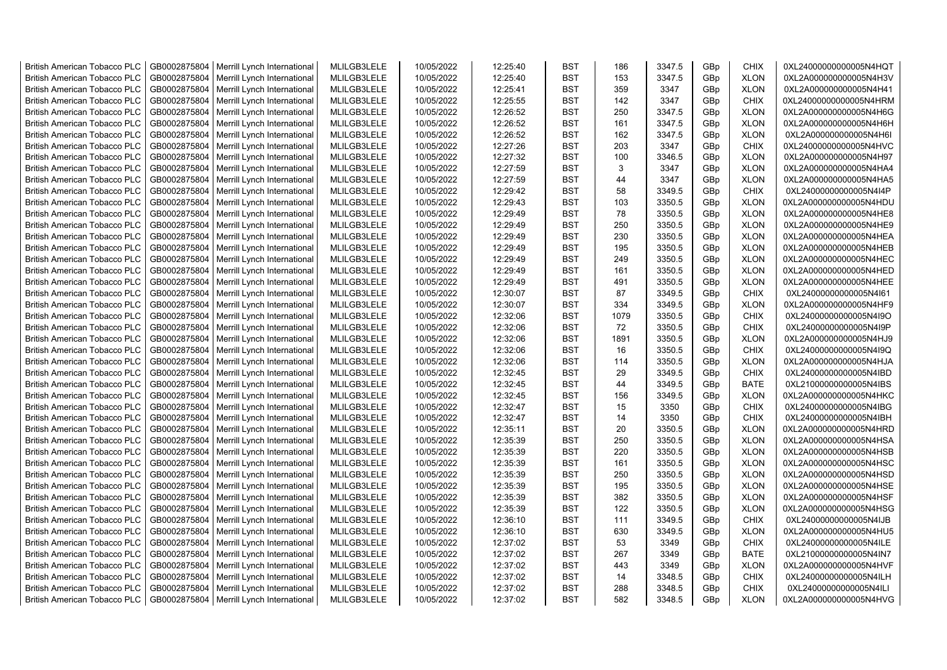| <b>British American Tobacco PLC</b>                          | GB0002875804                 | Merrill Lynch International                                | MLILGB3LELE                | 10/05/2022               | 12:25:40             | <b>BST</b>               | 186        | 3347.5           | GBp             | <b>CHIX</b>                | 0XL24000000000005N4HQT                           |
|--------------------------------------------------------------|------------------------------|------------------------------------------------------------|----------------------------|--------------------------|----------------------|--------------------------|------------|------------------|-----------------|----------------------------|--------------------------------------------------|
| <b>British American Tobacco PLC</b>                          | GB0002875804                 | Merrill Lynch International                                | MLILGB3LELE                | 10/05/2022               | 12:25:40             | <b>BST</b>               | 153        | 3347.5           | GBp             | <b>XLON</b>                | 0XL2A000000000005N4H3V                           |
| <b>British American Tobacco PLC</b>                          | GB0002875804                 | Merrill Lynch International                                | MLILGB3LELE                | 10/05/2022               | 12:25:41             | <b>BST</b>               | 359        | 3347             | GBp             | <b>XLON</b>                | 0XL2A000000000005N4H41                           |
| <b>British American Tobacco PLC</b>                          | GB0002875804                 | Merrill Lynch International                                | MLILGB3LELE                | 10/05/2022               | 12:25:55             | <b>BST</b>               | 142        | 3347             | GBp             | <b>CHIX</b>                | 0XL24000000000005N4HRM                           |
| <b>British American Tobacco PLC</b>                          | GB0002875804                 | Merrill Lynch International                                | MLILGB3LELE                | 10/05/2022               | 12:26:52             | <b>BST</b>               | 250        | 3347.5           | GBp             | <b>XLON</b>                | 0XL2A000000000005N4H6G                           |
| <b>British American Tobacco PLC</b>                          | GB0002875804                 | Merrill Lynch International                                | MLILGB3LELE                | 10/05/2022               | 12:26:52             | <b>BST</b>               | 161        | 3347.5           | GBp             | <b>XLON</b>                | 0XL2A000000000005N4H6H                           |
| <b>British American Tobacco PLC</b>                          | GB0002875804                 | Merrill Lynch International                                | MLILGB3LELE                | 10/05/2022               | 12:26:52             | <b>BST</b>               | 162        | 3347.5           | GBp             | <b>XLON</b>                | 0XL2A000000000005N4H6I                           |
| <b>British American Tobacco PLC</b>                          | GB0002875804                 | Merrill Lynch International                                | MLILGB3LELE                | 10/05/2022               | 12:27:26             | <b>BST</b>               | 203        | 3347             | GBp             | <b>CHIX</b>                | 0XL24000000000005N4HVC                           |
| <b>British American Tobacco PLC</b>                          | GB0002875804                 | Merrill Lynch International                                | MLILGB3LELE                | 10/05/2022               | 12:27:32             | <b>BST</b>               | 100        | 3346.5           | GBp             | <b>XLON</b>                | 0XL2A000000000005N4H97                           |
| <b>British American Tobacco PLC</b>                          | GB0002875804                 | Merrill Lynch International                                | MLILGB3LELE                | 10/05/2022               | 12:27:59             | <b>BST</b>               | 3          | 3347             | GBp             | <b>XLON</b>                | 0XL2A000000000005N4HA4                           |
| <b>British American Tobacco PLC</b>                          | GB0002875804                 | Merrill Lynch International                                | MLILGB3LELE                | 10/05/2022               | 12:27:59             | <b>BST</b>               | 44         | 3347             | GBp             | <b>XLON</b>                | 0XL2A000000000005N4HA5                           |
| <b>British American Tobacco PLC</b>                          | GB0002875804                 | Merrill Lynch International                                | MLILGB3LELE                | 10/05/2022               | 12:29:42             | <b>BST</b>               | 58         | 3349.5           | GBp             | <b>CHIX</b>                | 0XL24000000000005N4I4P                           |
| <b>British American Tobacco PLC</b>                          | GB0002875804                 | Merrill Lynch International                                | MLILGB3LELE                | 10/05/2022               | 12:29:43             | <b>BST</b>               | 103        | 3350.5           | GBp             | <b>XLON</b>                | 0XL2A000000000005N4HDU                           |
| <b>British American Tobacco PLC</b>                          | GB0002875804                 | Merrill Lynch International                                | MLILGB3LELE                | 10/05/2022               | 12:29:49             | <b>BST</b>               | 78         | 3350.5           | GBp             | <b>XLON</b>                | 0XL2A000000000005N4HE8                           |
| <b>British American Tobacco PLC</b>                          | GB0002875804                 | Merrill Lynch International                                | MLILGB3LELE                | 10/05/2022               | 12:29:49             | <b>BST</b>               | 250        | 3350.5           | GBp             | <b>XLON</b>                | 0XL2A000000000005N4HE9                           |
| <b>British American Tobacco PLC</b>                          | GB0002875804                 | Merrill Lynch International                                | MLILGB3LELE                | 10/05/2022               | 12:29:49             | <b>BST</b>               | 230        | 3350.5           | GBp             | <b>XLON</b>                | 0XL2A000000000005N4HEA                           |
| <b>British American Tobacco PLC</b>                          | GB0002875804                 | Merrill Lynch International                                | MLILGB3LELE                | 10/05/2022               | 12:29:49             | <b>BST</b>               | 195        | 3350.5           | GBp             | <b>XLON</b>                | 0XL2A000000000005N4HEB                           |
| <b>British American Tobacco PLC</b>                          | GB0002875804                 | Merrill Lynch International                                | MLILGB3LELE                | 10/05/2022               | 12:29:49             | <b>BST</b>               | 249        | 3350.5           | GBp             | <b>XLON</b>                | 0XL2A000000000005N4HEC                           |
| <b>British American Tobacco PLC</b>                          | GB0002875804                 | Merrill Lynch International                                | MLILGB3LELE                | 10/05/2022               | 12:29:49             | <b>BST</b>               | 161        | 3350.5           | GBp             | <b>XLON</b>                | 0XL2A000000000005N4HED                           |
| <b>British American Tobacco PLC</b>                          | GB0002875804                 | Merrill Lynch International                                | MLILGB3LELE                | 10/05/2022               | 12:29:49             | <b>BST</b>               | 491        | 3350.5           | GBp             | <b>XLON</b>                | 0XL2A000000000005N4HEE                           |
| <b>British American Tobacco PLC</b>                          | GB0002875804                 | Merrill Lynch International                                | MLILGB3LELE                | 10/05/2022               | 12:30:07             | <b>BST</b>               | 87         | 3349.5           | GBp             | <b>CHIX</b>                | 0XL24000000000005N4I61                           |
| <b>British American Tobacco PLC</b>                          | GB0002875804                 | Merrill Lynch International                                | MLILGB3LELE                | 10/05/2022               | 12:30:07             | <b>BST</b>               | 334        | 3349.5           | GBp             | <b>XLON</b>                | 0XL2A000000000005N4HF9                           |
| <b>British American Tobacco PLC</b>                          | GB0002875804                 | Merrill Lynch International                                | MLILGB3LELE                | 10/05/2022               | 12:32:06             | <b>BST</b>               | 1079       | 3350.5           | GBp             | <b>CHIX</b>                | 0XL24000000000005N4I9O                           |
| <b>British American Tobacco PLC</b>                          | GB0002875804                 | Merrill Lynch International                                | MLILGB3LELE                | 10/05/2022               | 12:32:06             | <b>BST</b>               | 72         | 3350.5           | GBp             | <b>CHIX</b>                | 0XL24000000000005N4I9P                           |
| <b>British American Tobacco PLC</b>                          | GB0002875804                 | Merrill Lynch International                                | MLILGB3LELE                | 10/05/2022               | 12:32:06             | <b>BST</b>               | 1891       | 3350.5           | GBp             | <b>XLON</b>                | 0XL2A000000000005N4HJ9                           |
| <b>British American Tobacco PLC</b>                          | GB0002875804                 | Merrill Lynch International                                | MLILGB3LELE                | 10/05/2022               | 12:32:06             | <b>BST</b>               | 16         | 3350.5           | GBp             | <b>CHIX</b>                | 0XL24000000000005N4I9Q                           |
| <b>British American Tobacco PLC</b>                          | GB0002875804                 | Merrill Lynch International                                | MLILGB3LELE                | 10/05/2022               | 12:32:06             | <b>BST</b>               | 114        | 3350.5           | GBp             | <b>XLON</b>                | 0XL2A000000000005N4HJA                           |
| British American Tobacco PLC                                 | GB0002875804                 | Merrill Lynch International                                | MLILGB3LELE                | 10/05/2022               | 12:32:45             | <b>BST</b>               | 29         | 3349.5           | GBp             | CHIX                       | 0XL24000000000005N4IBD                           |
| <b>British American Tobacco PLC</b>                          | GB0002875804                 | Merrill Lynch International                                | MLILGB3LELE                | 10/05/2022               | 12:32:45             | <b>BST</b>               | 44         | 3349.5           | GBp             | <b>BATE</b>                | 0XL21000000000005N4IBS                           |
| <b>British American Tobacco PLC</b>                          | GB0002875804                 | Merrill Lynch International                                | MLILGB3LELE                | 10/05/2022               | 12:32:45             | <b>BST</b>               | 156        | 3349.5           | GBp             | <b>XLON</b>                | 0XL2A000000000005N4HKC                           |
| <b>British American Tobacco PLC</b>                          | GB0002875804                 |                                                            | MLILGB3LELE                | 10/05/2022               | 12:32:47             | <b>BST</b>               | 15         | 3350             |                 | <b>CHIX</b>                | 0XL24000000000005N4IBG                           |
| <b>British American Tobacco PLC</b>                          | GB0002875804                 | Merrill Lynch International<br>Merrill Lynch International | MLILGB3LELE                | 10/05/2022               | 12:32:47             | <b>BST</b>               | 14         | 3350             | GBp<br>GBp      | <b>CHIX</b>                | 0XL24000000000005N4IBH                           |
| <b>British American Tobacco PLC</b>                          | GB0002875804                 | Merrill Lynch International                                | MLILGB3LELE                | 10/05/2022               | 12:35:11             | <b>BST</b>               | 20         | 3350.5           | GBp             | <b>XLON</b>                | 0XL2A000000000005N4HRD                           |
| British American Tobacco PLC                                 | GB0002875804                 |                                                            | MLILGB3LELE                | 10/05/2022               | 12:35:39             | <b>BST</b>               | 250        | 3350.5           | GBp             | <b>XLON</b>                | 0XL2A000000000005N4HSA                           |
| <b>British American Tobacco PLC</b>                          | GB0002875804                 | Merrill Lynch International<br>Merrill Lynch International | MLILGB3LELE                | 10/05/2022               | 12:35:39             | <b>BST</b>               | 220        | 3350.5           | GBp             | <b>XLON</b>                | 0XL2A000000000005N4HSB                           |
| <b>British American Tobacco PLC</b>                          | GB0002875804                 | Merrill Lynch International                                | MLILGB3LELE                | 10/05/2022               | 12:35:39             | <b>BST</b>               | 161        | 3350.5           | GBp             | <b>XLON</b>                | 0XL2A000000000005N4HSC                           |
| <b>British American Tobacco PLC</b>                          | GB0002875804                 | Merrill Lynch International                                | MLILGB3LELE                | 10/05/2022               | 12:35:39             | <b>BST</b>               | 250        | 3350.5           | GBp             | <b>XLON</b>                | 0XL2A000000000005N4HSD                           |
| <b>British American Tobacco PLC</b>                          | GB0002875804                 | Merrill Lynch International                                | MLILGB3LELE                | 10/05/2022               | 12:35:39             | <b>BST</b>               | 195        | 3350.5           | GBp             | <b>XLON</b>                | 0XL2A000000000005N4HSE                           |
| <b>British American Tobacco PLC</b>                          | GB0002875804                 | Merrill Lynch International                                | MLILGB3LELE                | 10/05/2022               | 12:35:39             | <b>BST</b>               | 382        | 3350.5           | GBp             | <b>XLON</b>                | 0XL2A000000000005N4HSF                           |
| <b>British American Tobacco PLC</b>                          | GB0002875804                 | Merrill Lynch International                                | MLILGB3LELE                | 10/05/2022               | 12:35:39             | <b>BST</b>               | 122        | 3350.5           | GBp             | <b>XLON</b>                | 0XL2A000000000005N4HSG                           |
| <b>British American Tobacco PLC</b>                          | GB0002875804                 |                                                            |                            |                          |                      | <b>BST</b>               |            |                  |                 | <b>CHIX</b>                |                                                  |
|                                                              | GB0002875804                 | Merrill Lynch International                                | MLILGB3LELE                | 10/05/2022               | 12:36:10             | <b>BST</b>               | 111<br>630 | 3349.5<br>3349.5 | GBp<br>GBp      |                            | 0XL24000000000005N4IJB<br>0XL2A000000000005N4HU5 |
| <b>British American Tobacco PLC</b>                          |                              | Merrill Lynch International                                | MLILGB3LELE                | 10/05/2022               | 12:36:10             |                          |            |                  |                 | <b>XLON</b>                |                                                  |
| <b>British American Tobacco PLC</b>                          | GB0002875804                 | Merrill Lynch International                                | MLILGB3LELE                | 10/05/2022               | 12:37:02             | <b>BST</b><br><b>BST</b> | 53<br>267  | 3349<br>3349     | GBp             | <b>CHIX</b><br><b>BATE</b> | 0XL24000000000005N4ILE                           |
| British American Tobacco PLC<br>British American Tobacco PLC | GB0002875804<br>GB0002875804 | Merrill Lynch International                                | MLILGB3LELE<br>MLILGB3LELE | 10/05/2022<br>10/05/2022 | 12:37:02<br>12:37:02 | <b>BST</b>               | 443        | 3349             | GBp<br>GBp      | <b>XLON</b>                | 0XL21000000000005N4IN7<br>0XL2A000000000005N4HVF |
| <b>British American Tobacco PLC</b>                          | GB0002875804                 | Merrill Lynch International<br>Merrill Lynch International | MLILGB3LELE                | 10/05/2022               | 12:37:02             | <b>BST</b>               | 14         | 3348.5           | GBp             | <b>CHIX</b>                | 0XL24000000000005N4ILH                           |
|                                                              |                              |                                                            | MLILGB3LELE                | 10/05/2022               | 12:37:02             | <b>BST</b>               | 288        | 3348.5           |                 | <b>CHIX</b>                |                                                  |
| <b>British American Tobacco PLC</b>                          | GB0002875804                 | Merrill Lynch International                                |                            |                          |                      | <b>BST</b>               |            |                  | GBp             |                            | 0XL24000000000005N4ILI                           |
| <b>British American Tobacco PLC</b>                          | GB0002875804                 | Merrill Lynch International                                | MLILGB3LELE                | 10/05/2022               | 12:37:02             |                          | 582        | 3348.5           | GB <sub>p</sub> | <b>XLON</b>                | 0XL2A000000000005N4HVG                           |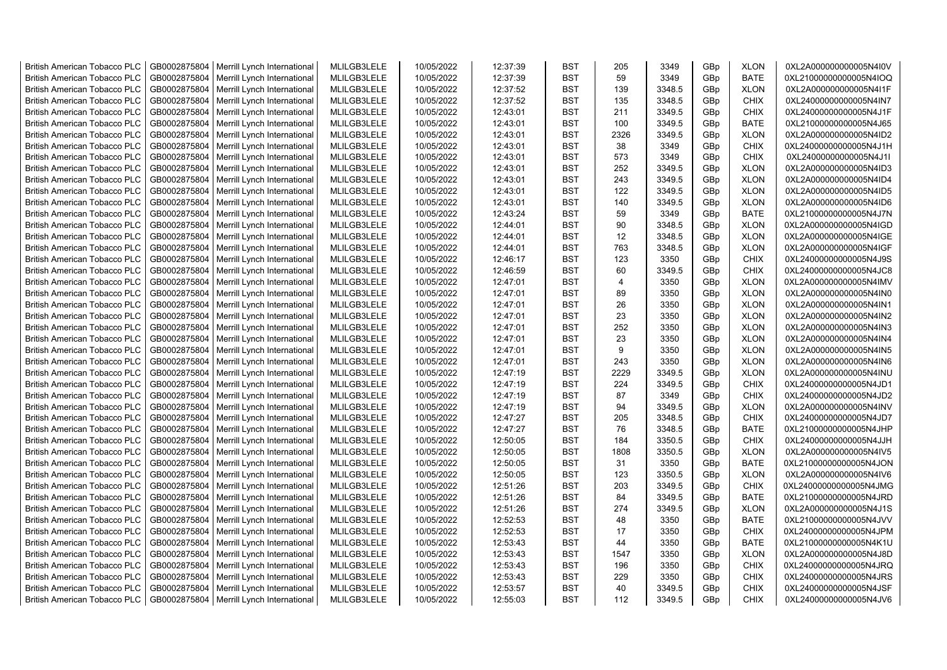| <b>British American Tobacco PLC</b> | GB0002875804 | Merrill Lynch International                | MLILGB3LELE | 10/05/2022 | 12:37:39 | <b>BST</b> | 205            | 3349   | GBp             | <b>XLON</b> | 0XL2A000000000005N4I0V |
|-------------------------------------|--------------|--------------------------------------------|-------------|------------|----------|------------|----------------|--------|-----------------|-------------|------------------------|
| <b>British American Tobacco PLC</b> | GB0002875804 | Merrill Lynch International                | MLILGB3LELE | 10/05/2022 | 12:37:39 | <b>BST</b> | 59             | 3349   | GBp             | <b>BATE</b> | 0XL21000000000005N4IOQ |
| <b>British American Tobacco PLC</b> | GB0002875804 | Merrill Lynch International                | MLILGB3LELE | 10/05/2022 | 12:37:52 | <b>BST</b> | 139            | 3348.5 | GBp             | <b>XLON</b> | 0XL2A000000000005N4I1F |
| <b>British American Tobacco PLC</b> | GB0002875804 | Merrill Lynch International                | MLILGB3LELE | 10/05/2022 | 12:37:52 | <b>BST</b> | 135            | 3348.5 | GBp             | <b>CHIX</b> | 0XL24000000000005N4IN7 |
| <b>British American Tobacco PLC</b> | GB0002875804 | Merrill Lynch International                | MLILGB3LELE | 10/05/2022 | 12:43:01 | <b>BST</b> | 211            | 3349.5 | GBp             | <b>CHIX</b> | 0XL24000000000005N4J1F |
| <b>British American Tobacco PLC</b> | GB0002875804 | Merrill Lynch International                | MLILGB3LELE | 10/05/2022 | 12:43:01 | <b>BST</b> | 100            | 3349.5 | GBp             | <b>BATE</b> | 0XL21000000000005N4J65 |
| <b>British American Tobacco PLC</b> | GB0002875804 | Merrill Lynch International                | MLILGB3LELE | 10/05/2022 | 12:43:01 | BST        | 2326           | 3349.5 | GBp             | <b>XLON</b> | 0XL2A000000000005N4ID2 |
| <b>British American Tobacco PLC</b> | GB0002875804 | Merrill Lynch International                | MLILGB3LELE | 10/05/2022 | 12:43:01 | BST        | 38             | 3349   | GBp             | <b>CHIX</b> | 0XL24000000000005N4J1H |
| <b>British American Tobacco PLC</b> | GB0002875804 | Merrill Lynch International                | MLILGB3LELE | 10/05/2022 | 12:43:01 | BST        | 573            | 3349   | GBp             | <b>CHIX</b> | 0XL24000000000005N4J1I |
| <b>British American Tobacco PLC</b> | GB0002875804 | Merrill Lynch International                | MLILGB3LELE | 10/05/2022 | 12:43:01 | <b>BST</b> | 252            | 3349.5 | GBp             | <b>XLON</b> | 0XL2A000000000005N4ID3 |
| <b>British American Tobacco PLC</b> | GB0002875804 | Merrill Lynch International                | MLILGB3LELE | 10/05/2022 | 12:43:01 | <b>BST</b> | 243            | 3349.5 | GBp             | <b>XLON</b> | 0XL2A000000000005N4ID4 |
| <b>British American Tobacco PLC</b> | GB0002875804 | Merrill Lynch International                | MLILGB3LELE | 10/05/2022 | 12:43:01 | <b>BST</b> | 122            | 3349.5 | GBp             | <b>XLON</b> | 0XL2A000000000005N4ID5 |
| <b>British American Tobacco PLC</b> | GB0002875804 | Merrill Lynch International                | MLILGB3LELE | 10/05/2022 | 12:43:01 | <b>BST</b> | 140            | 3349.5 | GBp             | <b>XLON</b> | 0XL2A000000000005N4ID6 |
| <b>British American Tobacco PLC</b> | GB0002875804 | Merrill Lynch International                | MLILGB3LELE | 10/05/2022 | 12:43:24 | <b>BST</b> | 59             | 3349   | GBp             | <b>BATE</b> | 0XL21000000000005N4J7N |
| <b>British American Tobacco PLC</b> | GB0002875804 | Merrill Lynch International                | MLILGB3LELE | 10/05/2022 | 12:44:01 | <b>BST</b> | 90             | 3348.5 | GBp             | <b>XLON</b> | 0XL2A000000000005N4IGD |
| <b>British American Tobacco PLC</b> | GB0002875804 | Merrill Lynch International                | MLILGB3LELE | 10/05/2022 | 12:44:01 | <b>BST</b> | 12             | 3348.5 | GBp             | <b>XLON</b> | 0XL2A000000000005N4IGE |
| <b>British American Tobacco PLC</b> | GB0002875804 | Merrill Lynch International                | MLILGB3LELE | 10/05/2022 | 12:44:01 | <b>BST</b> | 763            | 3348.5 | GBp             | <b>XLON</b> | 0XL2A000000000005N4IGF |
| <b>British American Tobacco PLC</b> | GB0002875804 | Merrill Lynch International                | MLILGB3LELE | 10/05/2022 | 12:46:17 | <b>BST</b> | 123            | 3350   | GBp             | <b>CHIX</b> | 0XL24000000000005N4J9S |
| <b>British American Tobacco PLC</b> | GB0002875804 | Merrill Lynch International                | MLILGB3LELE | 10/05/2022 | 12:46:59 | <b>BST</b> | 60             | 3349.5 | GBp             | <b>CHIX</b> | 0XL24000000000005N4JC8 |
| <b>British American Tobacco PLC</b> | GB0002875804 | Merrill Lynch International                | MLILGB3LELE | 10/05/2022 | 12:47:01 | <b>BST</b> | $\overline{4}$ | 3350   | GBp             | <b>XLON</b> | 0XL2A000000000005N4IMV |
| <b>British American Tobacco PLC</b> | GB0002875804 | Merrill Lynch International                | MLILGB3LELE | 10/05/2022 | 12:47:01 | <b>BST</b> | 89             | 3350   | GBp             | <b>XLON</b> | 0XL2A000000000005N4IN0 |
| <b>British American Tobacco PLC</b> | GB0002875804 |                                            | MLILGB3LELE | 10/05/2022 | 12:47:01 | <b>BST</b> | 26             | 3350   | GBp             | <b>XLON</b> | 0XL2A000000000005N4IN1 |
|                                     | GB0002875804 | Merrill Lynch International                |             | 10/05/2022 |          | <b>BST</b> | 23             | 3350   |                 | <b>XLON</b> |                        |
| <b>British American Tobacco PLC</b> |              | Merrill Lynch International                | MLILGB3LELE |            | 12:47:01 |            |                |        | GBp             |             | 0XL2A000000000005N4IN2 |
| <b>British American Tobacco PLC</b> | GB0002875804 | Merrill Lynch International                | MLILGB3LELE | 10/05/2022 | 12:47:01 | <b>BST</b> | 252            | 3350   | GBp             | <b>XLON</b> | 0XL2A000000000005N4IN3 |
| <b>British American Tobacco PLC</b> | GB0002875804 | Merrill Lynch International                | MLILGB3LELE | 10/05/2022 | 12:47:01 | BST        | 23<br>9        | 3350   | GBp             | <b>XLON</b> | 0XL2A000000000005N4IN4 |
| British American Tobacco PLC        | GB0002875804 | Merrill Lynch International                | MLILGB3LELE | 10/05/2022 | 12:47:01 | BST        |                | 3350   | GBp             | <b>XLON</b> | 0XL2A000000000005N4IN5 |
| <b>British American Tobacco PLC</b> | GB0002875804 | Merrill Lynch International                | MLILGB3LELE | 10/05/2022 | 12:47:01 | <b>BST</b> | 243            | 3350   | GBp             | <b>XLON</b> | 0XL2A000000000005N4IN6 |
| <b>British American Tobacco PLC</b> | GB0002875804 | Merrill Lynch International                | MLILGB3LELE | 10/05/2022 | 12:47:19 | <b>BST</b> | 2229           | 3349.5 | GBp             | <b>XLON</b> | 0XL2A000000000005N4INU |
| <b>British American Tobacco PLC</b> | GB0002875804 | Merrill Lynch International                | MLILGB3LELE | 10/05/2022 | 12:47:19 | <b>BST</b> | 224            | 3349.5 | GBp             | <b>CHIX</b> | 0XL24000000000005N4JD1 |
| <b>British American Tobacco PLC</b> | GB0002875804 | Merrill Lynch International                | MLILGB3LELE | 10/05/2022 | 12:47:19 | <b>BST</b> | 87             | 3349   | GBp             | <b>CHIX</b> | 0XL24000000000005N4JD2 |
| <b>British American Tobacco PLC</b> | GB0002875804 | Merrill Lynch International                | MLILGB3LELE | 10/05/2022 | 12:47:19 | <b>BST</b> | 94             | 3349.5 | GBp             | <b>XLON</b> | 0XL2A000000000005N4INV |
| <b>British American Tobacco PLC</b> | GB0002875804 | Merrill Lynch International                | MLILGB3LELE | 10/05/2022 | 12:47:27 | <b>BST</b> | 205            | 3348.5 | GBp             | <b>CHIX</b> | 0XL24000000000005N4JD7 |
| <b>British American Tobacco PLC</b> | GB0002875804 | Merrill Lynch International                | MLILGB3LELE | 10/05/2022 | 12:47:27 | BST        | 76             | 3348.5 | GBp             | <b>BATE</b> | 0XL21000000000005N4JHP |
| <b>British American Tobacco PLC</b> | GB0002875804 | Merrill Lynch International                | MLILGB3LELE | 10/05/2022 | 12:50:05 | BST        | 184            | 3350.5 | GBp             | <b>CHIX</b> | 0XL24000000000005N4JJH |
| <b>British American Tobacco PLC</b> | GB0002875804 | Merrill Lynch International                | MLILGB3LELE | 10/05/2022 | 12:50:05 | <b>BST</b> | 1808           | 3350.5 | GBp             | <b>XLON</b> | 0XL2A000000000005N4IV5 |
| <b>British American Tobacco PLC</b> | GB0002875804 | Merrill Lynch International                | MLILGB3LELE | 10/05/2022 | 12:50:05 | <b>BST</b> | 31             | 3350   | GBp             | <b>BATE</b> | 0XL21000000000005N4JON |
| <b>British American Tobacco PLC</b> | GB0002875804 | Merrill Lynch International                | MLILGB3LELE | 10/05/2022 | 12:50:05 | <b>BST</b> | 123            | 3350.5 | GBp             | <b>XLON</b> | 0XL2A000000000005N4IV6 |
| <b>British American Tobacco PLC</b> | GB0002875804 | Merrill Lynch International                | MLILGB3LELE | 10/05/2022 | 12:51:26 | <b>BST</b> | 203            | 3349.5 | GBp             | <b>CHIX</b> | 0XL24000000000005N4JMG |
| <b>British American Tobacco PLC</b> | GB0002875804 | Merrill Lynch International                | MLILGB3LELE | 10/05/2022 | 12:51:26 | <b>BST</b> | 84             | 3349.5 | GBp             | <b>BATE</b> | 0XL21000000000005N4JRD |
| <b>British American Tobacco PLC</b> | GB0002875804 | Merrill Lynch International                | MLILGB3LELE | 10/05/2022 | 12:51:26 | <b>BST</b> | 274            | 3349.5 | GBp             | <b>XLON</b> | 0XL2A000000000005N4J1S |
| <b>British American Tobacco PLC</b> | GB0002875804 | Merrill Lynch International                | MLILGB3LELE | 10/05/2022 | 12:52:53 | <b>BST</b> | 48             | 3350   | GBp             | <b>BATE</b> | 0XL21000000000005N4JVV |
| <b>British American Tobacco PLC</b> | GB0002875804 | Merrill Lynch International                | MLILGB3LELE | 10/05/2022 | 12:52:53 | <b>BST</b> | 17             | 3350   | GBp             | <b>CHIX</b> | 0XL24000000000005N4JPM |
| <b>British American Tobacco PLC</b> | GB0002875804 | Merrill Lynch International                | MLILGB3LELE | 10/05/2022 | 12:53:43 | <b>BST</b> | 44             | 3350   | GBp             | <b>BATE</b> | 0XL21000000000005N4K1U |
| <b>British American Tobacco PLC</b> | GB0002875804 | Merrill Lynch International                | MLILGB3LELE | 10/05/2022 | 12:53:43 | <b>BST</b> | 1547           | 3350   | GBp             | <b>XLON</b> | 0XL2A000000000005N4J8D |
| <b>British American Tobacco PLC</b> | GB0002875804 | Merrill Lynch International                | MLILGB3LELE | 10/05/2022 | 12:53:43 | <b>BST</b> | 196            | 3350   | GBp             | <b>CHIX</b> | 0XL24000000000005N4JRQ |
| <b>British American Tobacco PLC</b> | GB0002875804 | Merrill Lynch International                | MLILGB3LELE | 10/05/2022 | 12:53:43 | <b>BST</b> | 229            | 3350   | GBp             | <b>CHIX</b> | 0XL24000000000005N4JRS |
| <b>British American Tobacco PLC</b> | GB0002875804 | Merrill Lynch International                | MLILGB3LELE | 10/05/2022 | 12:53:57 | <b>BST</b> | 40             | 3349.5 | GBp             | <b>CHIX</b> | 0XL24000000000005N4JSF |
| <b>British American Tobacco PLC</b> |              | GB0002875804   Merrill Lynch International | MLILGB3LELE | 10/05/2022 | 12:55:03 | <b>BST</b> | 112            | 3349.5 | GB <sub>p</sub> | <b>CHIX</b> | 0XL24000000000005N4JV6 |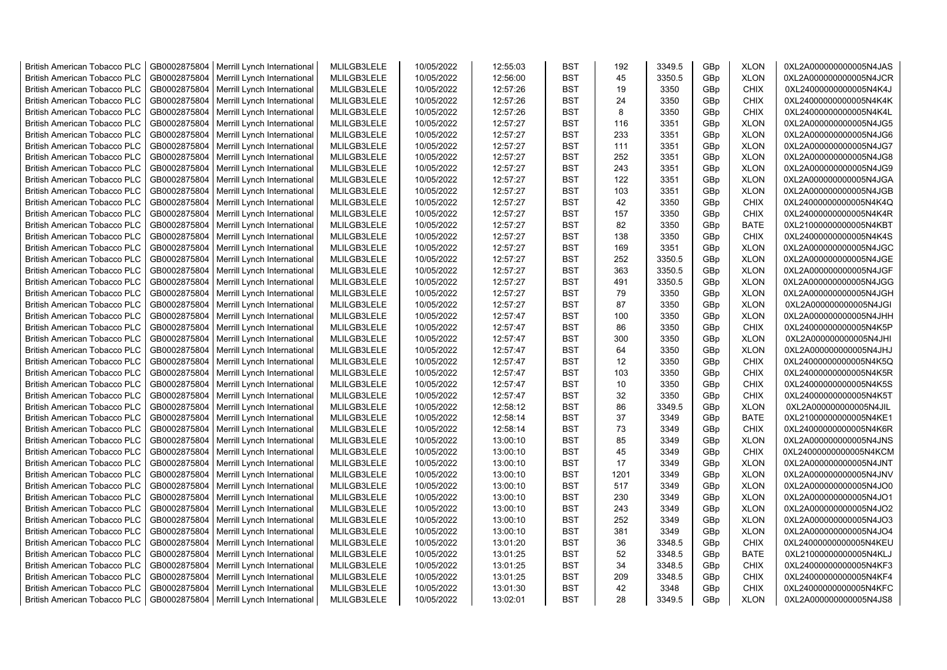| <b>British American Tobacco PLC</b> | GB0002875804 | Merrill Lynch International                | MLILGB3LELE | 10/05/2022 | 12:55:03 | <b>BST</b> | 192  | 3349.5 | GBp | <b>XLON</b> | 0XL2A000000000005N4JAS |
|-------------------------------------|--------------|--------------------------------------------|-------------|------------|----------|------------|------|--------|-----|-------------|------------------------|
| <b>British American Tobacco PLC</b> | GB0002875804 | Merrill Lynch International                | MLILGB3LELE | 10/05/2022 | 12:56:00 | <b>BST</b> | 45   | 3350.5 | GBp | <b>XLON</b> | 0XL2A000000000005N4JCR |
| <b>British American Tobacco PLC</b> | GB0002875804 | Merrill Lynch International                | MLILGB3LELE | 10/05/2022 | 12:57:26 | <b>BST</b> | 19   | 3350   | GBp | <b>CHIX</b> | 0XL24000000000005N4K4J |
| <b>British American Tobacco PLC</b> | GB0002875804 | Merrill Lynch International                | MLILGB3LELE | 10/05/2022 | 12:57:26 | <b>BST</b> | 24   | 3350   | GBp | CHIX        | 0XL24000000000005N4K4K |
| <b>British American Tobacco PLC</b> | GB0002875804 | Merrill Lynch International                | MLILGB3LELE | 10/05/2022 | 12:57:26 | <b>BST</b> | 8    | 3350   | GBp | <b>CHIX</b> | 0XL24000000000005N4K4L |
| <b>British American Tobacco PLC</b> | GB0002875804 | Merrill Lynch International                | MLILGB3LELE | 10/05/2022 | 12:57:27 | <b>BST</b> | 116  | 3351   | GBp | <b>XLON</b> | 0XL2A000000000005N4JG5 |
| <b>British American Tobacco PLC</b> | GB0002875804 | Merrill Lynch International                | MLILGB3LELE | 10/05/2022 | 12:57:27 | <b>BST</b> | 233  | 3351   | GBp | <b>XLON</b> | 0XL2A000000000005N4JG6 |
| <b>British American Tobacco PLC</b> | GB0002875804 | Merrill Lynch International                | MLILGB3LELE | 10/05/2022 | 12:57:27 | <b>BST</b> | 111  | 3351   | GBp | <b>XLON</b> | 0XL2A000000000005N4JG7 |
| <b>British American Tobacco PLC</b> | GB0002875804 | Merrill Lynch International                | MLILGB3LELE | 10/05/2022 | 12:57:27 | <b>BST</b> | 252  | 3351   | GBp | <b>XLON</b> | 0XL2A000000000005N4JG8 |
| <b>British American Tobacco PLC</b> | GB0002875804 |                                            | MLILGB3LELE | 10/05/2022 | 12:57:27 | <b>BST</b> | 243  | 3351   |     | <b>XLON</b> | 0XL2A000000000005N4JG9 |
|                                     |              | Merrill Lynch International                |             |            |          | <b>BST</b> | 122  |        | GBp |             |                        |
| <b>British American Tobacco PLC</b> | GB0002875804 | Merrill Lynch International                | MLILGB3LELE | 10/05/2022 | 12:57:27 |            |      | 3351   | GBp | <b>XLON</b> | 0XL2A000000000005N4JGA |
| <b>British American Tobacco PLC</b> | GB0002875804 | Merrill Lynch International                | MLILGB3LELE | 10/05/2022 | 12:57:27 | <b>BST</b> | 103  | 3351   | GBp | <b>XLON</b> | 0XL2A000000000005N4JGB |
| British American Tobacco PLC        | GB0002875804 | Merrill Lynch International                | MLILGB3LELE | 10/05/2022 | 12:57:27 | <b>BST</b> | 42   | 3350   | GBp | <b>CHIX</b> | 0XL24000000000005N4K4Q |
| <b>British American Tobacco PLC</b> | GB0002875804 | Merrill Lynch International                | MLILGB3LELE | 10/05/2022 | 12:57:27 | <b>BST</b> | 157  | 3350   | GBp | <b>CHIX</b> | 0XL24000000000005N4K4R |
| <b>British American Tobacco PLC</b> | GB0002875804 | Merrill Lynch International                | MLILGB3LELE | 10/05/2022 | 12:57:27 | <b>BST</b> | 82   | 3350   | GBp | <b>BATE</b> | 0XL21000000000005N4KBT |
| <b>British American Tobacco PLC</b> | GB0002875804 | Merrill Lynch International                | MLILGB3LELE | 10/05/2022 | 12:57:27 | <b>BST</b> | 138  | 3350   | GBp | <b>CHIX</b> | 0XL24000000000005N4K4S |
| <b>British American Tobacco PLC</b> | GB0002875804 | Merrill Lynch International                | MLILGB3LELE | 10/05/2022 | 12:57:27 | <b>BST</b> | 169  | 3351   | GBp | <b>XLON</b> | 0XL2A000000000005N4JGC |
| <b>British American Tobacco PLC</b> | GB0002875804 | Merrill Lynch International                | MLILGB3LELE | 10/05/2022 | 12:57:27 | <b>BST</b> | 252  | 3350.5 | GBp | <b>XLON</b> | 0XL2A000000000005N4JGE |
| <b>British American Tobacco PLC</b> | GB0002875804 | Merrill Lynch International                | MLILGB3LELE | 10/05/2022 | 12:57:27 | <b>BST</b> | 363  | 3350.5 | GBp | <b>XLON</b> | 0XL2A000000000005N4JGF |
| <b>British American Tobacco PLC</b> | GB0002875804 | Merrill Lynch International                | MLILGB3LELE | 10/05/2022 | 12:57:27 | <b>BST</b> | 491  | 3350.5 | GBp | <b>XLON</b> | 0XL2A000000000005N4JGG |
| <b>British American Tobacco PLC</b> | GB0002875804 | Merrill Lynch International                | MLILGB3LELE | 10/05/2022 | 12:57:27 | <b>BST</b> | 79   | 3350   | GBp | <b>XLON</b> | 0XL2A000000000005N4JGH |
| <b>British American Tobacco PLC</b> | GB0002875804 | Merrill Lynch International                | MLILGB3LELE | 10/05/2022 | 12:57:27 | <b>BST</b> | 87   | 3350   | GBp | <b>XLON</b> | 0XL2A000000000005N4JGI |
| <b>British American Tobacco PLC</b> | GB0002875804 | Merrill Lynch International                | MLILGB3LELE | 10/05/2022 | 12:57:47 | <b>BST</b> | 100  | 3350   | GBp | <b>XLON</b> | 0XL2A000000000005N4JHH |
| <b>British American Tobacco PLC</b> | GB0002875804 | Merrill Lynch International                | MLILGB3LELE | 10/05/2022 | 12:57:47 | <b>BST</b> | 86   | 3350   | GBp | <b>CHIX</b> | 0XL24000000000005N4K5P |
| <b>British American Tobacco PLC</b> | GB0002875804 | Merrill Lynch International                | MLILGB3LELE | 10/05/2022 | 12:57:47 | <b>BST</b> | 300  | 3350   | GBp | <b>XLON</b> | 0XL2A000000000005N4JHI |
| <b>British American Tobacco PLC</b> | GB0002875804 | Merrill Lynch International                | MLILGB3LELE | 10/05/2022 | 12:57:47 | <b>BST</b> | 64   | 3350   | GBp | <b>XLON</b> | 0XL2A000000000005N4JHJ |
| <b>British American Tobacco PLC</b> | GB0002875804 | Merrill Lynch International                | MLILGB3LELE | 10/05/2022 | 12:57:47 | <b>BST</b> | 12   | 3350   | GBp | <b>CHIX</b> | 0XL24000000000005N4K5Q |
| <b>British American Tobacco PLC</b> | GB0002875804 | Merrill Lynch International                | MLILGB3LELE | 10/05/2022 | 12:57:47 | <b>BST</b> | 103  | 3350   | GBp | <b>CHIX</b> | 0XL24000000000005N4K5R |
| <b>British American Tobacco PLC</b> | GB0002875804 | Merrill Lynch International                | MLILGB3LELE | 10/05/2022 | 12:57:47 | <b>BST</b> | 10   | 3350   | GBp | CHIX        | 0XL24000000000005N4K5S |
| <b>British American Tobacco PLC</b> | GB0002875804 | Merrill Lynch International                | MLILGB3LELE | 10/05/2022 | 12:57:47 | <b>BST</b> | 32   | 3350   | GBp | CHIX        | 0XL24000000000005N4K5T |
| <b>British American Tobacco PLC</b> | GB0002875804 |                                            | MLILGB3LELE | 10/05/2022 | 12:58:12 | <b>BST</b> | 86   | 3349.5 | GBp | <b>XLON</b> |                        |
|                                     |              | Merrill Lynch International                |             |            |          | <b>BST</b> | 37   |        |     |             | 0XL2A000000000005N4JIL |
| <b>British American Tobacco PLC</b> | GB0002875804 | Merrill Lynch International                | MLILGB3LELE | 10/05/2022 | 12:58:14 |            |      | 3349   | GBp | <b>BATE</b> | 0XL21000000000005N4KE1 |
| <b>British American Tobacco PLC</b> | GB0002875804 | Merrill Lynch International                | MLILGB3LELE | 10/05/2022 | 12:58:14 | <b>BST</b> | 73   | 3349   | GBp | <b>CHIX</b> | 0XL24000000000005N4K6R |
| <b>British American Tobacco PLC</b> | GB0002875804 | Merrill Lynch International                | MLILGB3LELE | 10/05/2022 | 13:00:10 | <b>BST</b> | 85   | 3349   | GBp | <b>XLON</b> | 0XL2A000000000005N4JNS |
| <b>British American Tobacco PLC</b> | GB0002875804 | Merrill Lynch International                | MLILGB3LELE | 10/05/2022 | 13:00:10 | <b>BST</b> | 45   | 3349   | GBp | <b>CHIX</b> | 0XL24000000000005N4KCM |
| <b>British American Tobacco PLC</b> | GB0002875804 | Merrill Lynch International                | MLILGB3LELE | 10/05/2022 | 13:00:10 | <b>BST</b> | 17   | 3349   | GBp | <b>XLON</b> | 0XL2A000000000005N4JNT |
| <b>British American Tobacco PLC</b> | GB0002875804 | Merrill Lynch International                | MLILGB3LELE | 10/05/2022 | 13:00:10 | <b>BST</b> | 1201 | 3349   | GBp | <b>XLON</b> | 0XL2A000000000005N4JNV |
| <b>British American Tobacco PLC</b> | GB0002875804 | Merrill Lynch International                | MLILGB3LELE | 10/05/2022 | 13:00:10 | <b>BST</b> | 517  | 3349   | GBp | <b>XLON</b> | 0XL2A000000000005N4JO0 |
| <b>British American Tobacco PLC</b> | GB0002875804 | Merrill Lynch International                | MLILGB3LELE | 10/05/2022 | 13:00:10 | <b>BST</b> | 230  | 3349   | GBp | <b>XLON</b> | 0XL2A000000000005N4JO1 |
| <b>British American Tobacco PLC</b> | GB0002875804 | Merrill Lynch International                | MLILGB3LELE | 10/05/2022 | 13:00:10 | <b>BST</b> | 243  | 3349   | GBp | <b>XLON</b> | 0XL2A000000000005N4JO2 |
| <b>British American Tobacco PLC</b> | GB0002875804 | Merrill Lynch International                | MLILGB3LELE | 10/05/2022 | 13:00:10 | <b>BST</b> | 252  | 3349   | GBp | <b>XLON</b> | 0XL2A000000000005N4JO3 |
| <b>British American Tobacco PLC</b> | GB0002875804 | Merrill Lynch International                | MLILGB3LELE | 10/05/2022 | 13:00:10 | <b>BST</b> | 381  | 3349   | GBp | <b>XLON</b> | 0XL2A000000000005N4JO4 |
| <b>British American Tobacco PLC</b> | GB0002875804 | Merrill Lynch International                | MLILGB3LELE | 10/05/2022 | 13:01:20 | <b>BST</b> | 36   | 3348.5 | GBp | <b>CHIX</b> | 0XL24000000000005N4KEU |
| <b>British American Tobacco PLC</b> | GB0002875804 | Merrill Lynch International                | MLILGB3LELE | 10/05/2022 | 13:01:25 | <b>BST</b> | 52   | 3348.5 | GBp | <b>BATE</b> | 0XL21000000000005N4KLJ |
| <b>British American Tobacco PLC</b> | GB0002875804 | Merrill Lynch International                | MLILGB3LELE | 10/05/2022 | 13:01:25 | <b>BST</b> | 34   | 3348.5 | GBp | CHIX        | 0XL24000000000005N4KF3 |
| <b>British American Tobacco PLC</b> | GB0002875804 | Merrill Lynch International                | MLILGB3LELE | 10/05/2022 | 13:01:25 | <b>BST</b> | 209  | 3348.5 | GBp | <b>CHIX</b> | 0XL24000000000005N4KF4 |
| <b>British American Tobacco PLC</b> | GB0002875804 | Merrill Lynch International                | MLILGB3LELE | 10/05/2022 | 13:01:30 | <b>BST</b> | 42   | 3348   | GBp | <b>CHIX</b> | 0XL24000000000005N4KFC |
| <b>British American Tobacco PLC</b> |              | GB0002875804   Merrill Lynch International | MLILGB3LELE | 10/05/2022 | 13:02:01 | <b>BST</b> | 28   | 3349.5 | GBp | <b>XLON</b> | 0XL2A000000000005N4JS8 |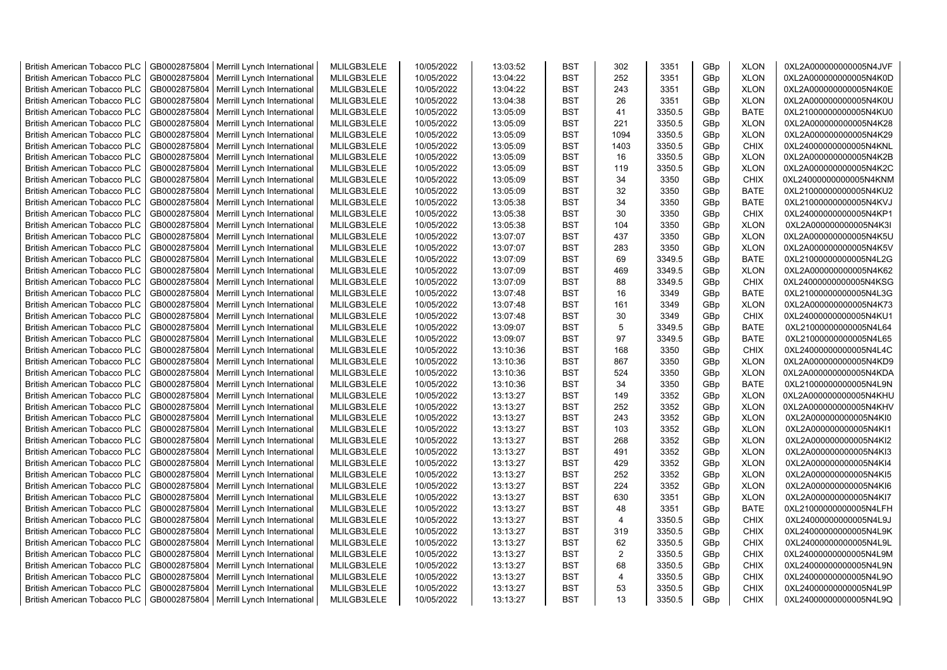| <b>British American Tobacco PLC</b> | GB0002875804 | Merrill Lynch International | MLILGB3LELE | 10/05/2022 | 13:03:52 | <b>BST</b> | 302            | 3351   | GBp | <b>XLON</b> | 0XL2A000000000005N4JVF |
|-------------------------------------|--------------|-----------------------------|-------------|------------|----------|------------|----------------|--------|-----|-------------|------------------------|
| <b>British American Tobacco PLC</b> | GB0002875804 | Merrill Lynch International | MLILGB3LELE | 10/05/2022 | 13:04:22 | <b>BST</b> | 252            | 3351   | GBp | <b>XLON</b> | 0XL2A000000000005N4K0D |
| <b>British American Tobacco PLC</b> | GB0002875804 | Merrill Lynch International | MLILGB3LELE | 10/05/2022 | 13:04:22 | <b>BST</b> | 243            | 3351   | GBp | <b>XLON</b> | 0XL2A000000000005N4K0E |
| <b>British American Tobacco PLC</b> | GB0002875804 | Merrill Lynch International | MLILGB3LELE | 10/05/2022 | 13:04:38 | <b>BST</b> | 26             | 3351   | GBp | <b>XLON</b> | 0XL2A000000000005N4K0U |
| British American Tobacco PLC        | GB0002875804 | Merrill Lynch International | MLILGB3LELE | 10/05/2022 | 13:05:09 | <b>BST</b> | 41             | 3350.5 | GBp | <b>BATE</b> | 0XL21000000000005N4KU0 |
| <b>British American Tobacco PLC</b> | GB0002875804 | Merrill Lynch International | MLILGB3LELE | 10/05/2022 | 13:05:09 | <b>BST</b> | 221            | 3350.5 | GBp | <b>XLON</b> | 0XL2A000000000005N4K28 |
| British American Tobacco PLC        | GB0002875804 | Merrill Lynch International | MLILGB3LELE | 10/05/2022 | 13:05:09 | <b>BST</b> | 1094           | 3350.5 | GBp | <b>XLON</b> | 0XL2A000000000005N4K29 |
| <b>British American Tobacco PLC</b> | GB0002875804 | Merrill Lynch International | MLILGB3LELE | 10/05/2022 | 13:05:09 | <b>BST</b> | 1403           | 3350.5 | GBp | <b>CHIX</b> | 0XL24000000000005N4KNL |
| <b>British American Tobacco PLC</b> | GB0002875804 | Merrill Lynch International | MLILGB3LELE | 10/05/2022 | 13:05:09 | <b>BST</b> | 16             | 3350.5 | GBp | <b>XLON</b> | 0XL2A000000000005N4K2B |
| <b>British American Tobacco PLC</b> | GB0002875804 | Merrill Lynch International | MLILGB3LELE | 10/05/2022 | 13:05:09 | <b>BST</b> | 119            | 3350.5 | GBp | <b>XLON</b> | 0XL2A000000000005N4K2C |
| <b>British American Tobacco PLC</b> | GB0002875804 | Merrill Lynch International | MLILGB3LELE | 10/05/2022 | 13:05:09 | <b>BST</b> | 34             | 3350   | GBp | <b>CHIX</b> | 0XL24000000000005N4KNM |
| <b>British American Tobacco PLC</b> | GB0002875804 | Merrill Lynch International | MLILGB3LELE | 10/05/2022 | 13:05:09 | <b>BST</b> | 32             | 3350   | GBp | <b>BATE</b> | 0XL21000000000005N4KU2 |
| <b>British American Tobacco PLC</b> | GB0002875804 | Merrill Lynch International | MLILGB3LELE | 10/05/2022 | 13:05:38 | <b>BST</b> | 34             | 3350   | GBp | <b>BATE</b> | 0XL21000000000005N4KVJ |
| <b>British American Tobacco PLC</b> | GB0002875804 | Merrill Lynch International | MLILGB3LELE | 10/05/2022 | 13:05:38 | <b>BST</b> | 30             | 3350   | GBp | <b>CHIX</b> | 0XL24000000000005N4KP1 |
| <b>British American Tobacco PLC</b> | GB0002875804 | Merrill Lynch International | MLILGB3LELE | 10/05/2022 | 13:05:38 | <b>BST</b> | 104            | 3350   | GBp | <b>XLON</b> | 0XL2A000000000005N4K3I |
| <b>British American Tobacco PLC</b> | GB0002875804 | Merrill Lynch International | MLILGB3LELE | 10/05/2022 | 13:07:07 | <b>BST</b> | 437            | 3350   | GBp | <b>XLON</b> | 0XL2A000000000005N4K5U |
| <b>British American Tobacco PLC</b> | GB0002875804 | Merrill Lynch International | MLILGB3LELE | 10/05/2022 | 13:07:07 | <b>BST</b> | 283            | 3350   | GBp | <b>XLON</b> | 0XL2A000000000005N4K5V |
| <b>British American Tobacco PLC</b> | GB0002875804 | Merrill Lynch International | MLILGB3LELE | 10/05/2022 | 13:07:09 | <b>BST</b> | 69             | 3349.5 | GBp | <b>BATE</b> | 0XL21000000000005N4L2G |
| <b>British American Tobacco PLC</b> | GB0002875804 | Merrill Lynch International | MLILGB3LELE | 10/05/2022 | 13:07:09 | <b>BST</b> | 469            | 3349.5 | GBp | <b>XLON</b> | 0XL2A000000000005N4K62 |
| <b>British American Tobacco PLC</b> | GB0002875804 | Merrill Lynch International | MLILGB3LELE | 10/05/2022 | 13:07:09 | <b>BST</b> | 88             | 3349.5 | GBp | <b>CHIX</b> | 0XL24000000000005N4KSG |
| <b>British American Tobacco PLC</b> | GB0002875804 | Merrill Lynch International | MLILGB3LELE | 10/05/2022 | 13:07:48 | <b>BST</b> | 16             | 3349   | GBp | <b>BATE</b> | 0XL21000000000005N4L3G |
| <b>British American Tobacco PLC</b> | GB0002875804 | Merrill Lynch International | MLILGB3LELE | 10/05/2022 | 13:07:48 | <b>BST</b> | 161            | 3349   | GBp | <b>XLON</b> | 0XL2A000000000005N4K73 |
| British American Tobacco PLC        | GB0002875804 | Merrill Lynch International | MLILGB3LELE | 10/05/2022 | 13:07:48 | <b>BST</b> | 30             | 3349   | GBp | <b>CHIX</b> | 0XL24000000000005N4KU1 |
| <b>British American Tobacco PLC</b> | GB0002875804 | Merrill Lynch International | MLILGB3LELE | 10/05/2022 | 13:09:07 | <b>BST</b> | 5              | 3349.5 | GBp | <b>BATE</b> | 0XL21000000000005N4L64 |
| <b>British American Tobacco PLC</b> | GB0002875804 | Merrill Lynch International | MLILGB3LELE | 10/05/2022 | 13:09:07 | <b>BST</b> | 97             | 3349.5 | GBp | <b>BATE</b> | 0XL21000000000005N4L65 |
| <b>British American Tobacco PLC</b> | GB0002875804 | Merrill Lynch International | MLILGB3LELE | 10/05/2022 | 13:10:36 | <b>BST</b> | 168            | 3350   | GBp | CHIX        | 0XL24000000000005N4L4C |
| <b>British American Tobacco PLC</b> | GB0002875804 | Merrill Lynch International | MLILGB3LELE | 10/05/2022 | 13:10:36 | <b>BST</b> | 867            | 3350   | GBp | <b>XLON</b> | 0XL2A000000000005N4KD9 |
| <b>British American Tobacco PLC</b> | GB0002875804 | Merrill Lynch International | MLILGB3LELE | 10/05/2022 | 13:10:36 | <b>BST</b> | 524            | 3350   | GBp | <b>XLON</b> | 0XL2A000000000005N4KDA |
| <b>British American Tobacco PLC</b> | GB0002875804 | Merrill Lynch International | MLILGB3LELE | 10/05/2022 | 13:10:36 | <b>BST</b> | 34             | 3350   | GBp | <b>BATE</b> | 0XL21000000000005N4L9N |
| <b>British American Tobacco PLC</b> | GB0002875804 | Merrill Lynch International | MLILGB3LELE | 10/05/2022 | 13:13:27 | <b>BST</b> | 149            | 3352   | GBp | <b>XLON</b> | 0XL2A000000000005N4KHU |
| <b>British American Tobacco PLC</b> | GB0002875804 | Merrill Lynch International | MLILGB3LELE | 10/05/2022 | 13:13:27 | <b>BST</b> | 252            | 3352   | GBp | <b>XLON</b> | 0XL2A000000000005N4KHV |
| <b>British American Tobacco PLC</b> | GB0002875804 | Merrill Lynch International | MLILGB3LELE | 10/05/2022 | 13:13:27 | <b>BST</b> | 243            | 3352   | GBp | <b>XLON</b> | 0XL2A000000000005N4KI0 |
| <b>British American Tobacco PLC</b> | GB0002875804 | Merrill Lynch International | MLILGB3LELE | 10/05/2022 | 13:13:27 | <b>BST</b> | 103            | 3352   | GBp | <b>XLON</b> | 0XL2A000000000005N4KI1 |
| <b>British American Tobacco PLC</b> | GB0002875804 | Merrill Lynch International | MLILGB3LELE | 10/05/2022 | 13:13:27 | <b>BST</b> | 268            | 3352   | GBp | <b>XLON</b> | 0XL2A000000000005N4KI2 |
| <b>British American Tobacco PLC</b> | GB0002875804 | Merrill Lynch International | MLILGB3LELE | 10/05/2022 | 13:13:27 | <b>BST</b> | 491            | 3352   | GBp | <b>XLON</b> | 0XL2A000000000005N4KI3 |
| <b>British American Tobacco PLC</b> | GB0002875804 | Merrill Lynch International | MLILGB3LELE | 10/05/2022 | 13:13:27 | <b>BST</b> | 429            | 3352   | GBp | <b>XLON</b> | 0XL2A000000000005N4KI4 |
| <b>British American Tobacco PLC</b> | GB0002875804 | Merrill Lynch International | MLILGB3LELE | 10/05/2022 | 13:13:27 | <b>BST</b> | 252            | 3352   | GBp | <b>XLON</b> | 0XL2A000000000005N4KI5 |
| <b>British American Tobacco PLC</b> | GB0002875804 | Merrill Lynch International | MLILGB3LELE | 10/05/2022 | 13:13:27 | <b>BST</b> | 224            | 3352   | GBp | <b>XLON</b> | 0XL2A000000000005N4KI6 |
| <b>British American Tobacco PLC</b> | GB0002875804 | Merrill Lynch International | MLILGB3LELE | 10/05/2022 | 13:13:27 | <b>BST</b> | 630            | 3351   | GBp | <b>XLON</b> | 0XL2A000000000005N4KI7 |
| <b>British American Tobacco PLC</b> | GB0002875804 | Merrill Lynch International | MLILGB3LELE | 10/05/2022 | 13:13:27 | <b>BST</b> | 48             | 3351   | GBp | <b>BATE</b> | 0XL21000000000005N4LFH |
| <b>British American Tobacco PLC</b> | GB0002875804 | Merrill Lynch International | MLILGB3LELE | 10/05/2022 | 13:13:27 | <b>BST</b> | $\overline{4}$ | 3350.5 | GBp | <b>CHIX</b> | 0XL24000000000005N4L9J |
| <b>British American Tobacco PLC</b> | GB0002875804 | Merrill Lynch International | MLILGB3LELE | 10/05/2022 | 13:13:27 | <b>BST</b> | 319            | 3350.5 | GBp | CHIX        | 0XL24000000000005N4L9K |
| <b>British American Tobacco PLC</b> | GB0002875804 | Merrill Lynch International | MLILGB3LELE | 10/05/2022 | 13:13:27 | <b>BST</b> | 62             | 3350.5 | GBp | <b>CHIX</b> | 0XL24000000000005N4L9L |
| <b>British American Tobacco PLC</b> | GB0002875804 | Merrill Lynch International | MLILGB3LELE | 10/05/2022 | 13:13:27 | <b>BST</b> | $\overline{2}$ | 3350.5 | GBp | <b>CHIX</b> | 0XL24000000000005N4L9M |
| <b>British American Tobacco PLC</b> | GB0002875804 | Merrill Lynch International | MLILGB3LELE | 10/05/2022 | 13:13:27 | <b>BST</b> | 68             | 3350.5 | GBp | <b>CHIX</b> | 0XL24000000000005N4L9N |
| <b>British American Tobacco PLC</b> | GB0002875804 | Merrill Lynch International | MLILGB3LELE | 10/05/2022 | 13:13:27 | <b>BST</b> | $\overline{4}$ | 3350.5 | GBp | <b>CHIX</b> | 0XL24000000000005N4L9O |
| <b>British American Tobacco PLC</b> | GB0002875804 | Merrill Lynch International | MLILGB3LELE | 10/05/2022 | 13:13:27 | <b>BST</b> | 53             | 3350.5 | GBp | CHIX        | 0XL24000000000005N4L9P |
| <b>British American Tobacco PLC</b> | GB0002875804 | Merrill Lynch International | MLILGB3LELE | 10/05/2022 | 13:13:27 | <b>BST</b> | 13             | 3350.5 | GBp | <b>CHIX</b> | 0XL24000000000005N4L9Q |
|                                     |              |                             |             |            |          |            |                |        |     |             |                        |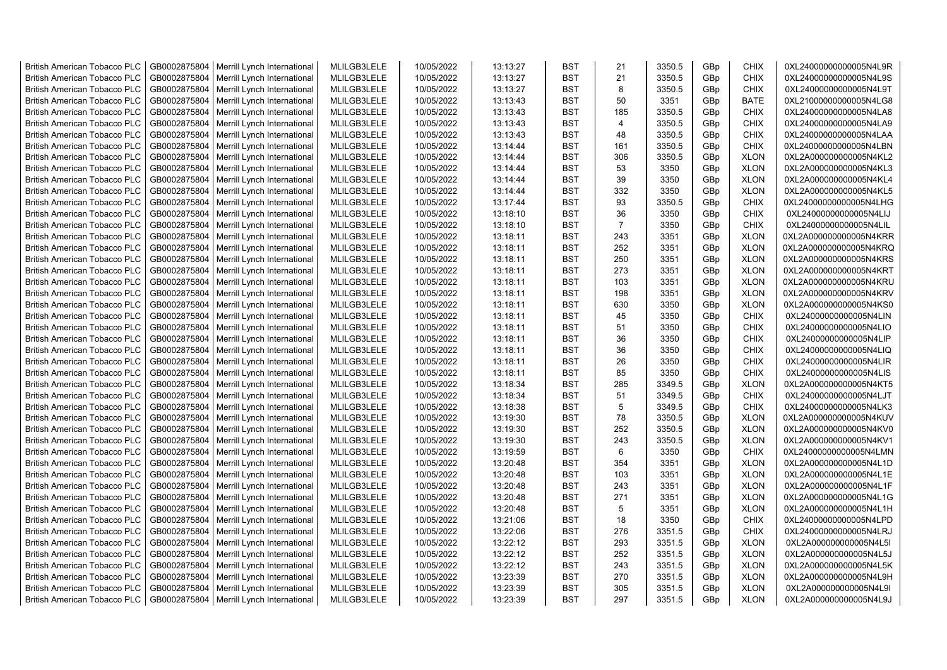| <b>British American Tobacco PLC</b> | GB0002875804 | Merrill Lynch International                | MLILGB3LELE | 10/05/2022 | 13:13:27 | <b>BST</b> | 21             | 3350.5 | GBp | <b>CHIX</b> | 0XL24000000000005N4L9R |
|-------------------------------------|--------------|--------------------------------------------|-------------|------------|----------|------------|----------------|--------|-----|-------------|------------------------|
| <b>British American Tobacco PLC</b> | GB0002875804 | Merrill Lynch International                | MLILGB3LELE | 10/05/2022 | 13:13:27 | <b>BST</b> | 21             | 3350.5 | GBp | <b>CHIX</b> | 0XL24000000000005N4L9S |
| <b>British American Tobacco PLC</b> | GB0002875804 | Merrill Lynch International                | MLILGB3LELE | 10/05/2022 | 13:13:27 | <b>BST</b> | 8              | 3350.5 | GBp | <b>CHIX</b> | 0XL24000000000005N4L9T |
| <b>British American Tobacco PLC</b> | GB0002875804 | Merrill Lynch International                | MLILGB3LELE | 10/05/2022 | 13:13:43 | <b>BST</b> | 50             | 3351   | GBp | <b>BATE</b> | 0XL21000000000005N4LG8 |
| <b>British American Tobacco PLC</b> | GB0002875804 | Merrill Lynch International                | MLILGB3LELE | 10/05/2022 | 13:13:43 | <b>BST</b> | 185            | 3350.5 | GBp | <b>CHIX</b> | 0XL24000000000005N4LA8 |
| <b>British American Tobacco PLC</b> | GB0002875804 | Merrill Lynch International                | MLILGB3LELE | 10/05/2022 | 13:13:43 | <b>BST</b> | $\overline{4}$ | 3350.5 | GBp | <b>CHIX</b> | 0XL24000000000005N4LA9 |
| <b>British American Tobacco PLC</b> | GB0002875804 | Merrill Lynch International                | MLILGB3LELE | 10/05/2022 | 13:13:43 | <b>BST</b> | 48             | 3350.5 | GBp | CHIX        | 0XL24000000000005N4LAA |
| <b>British American Tobacco PLC</b> | GB0002875804 | Merrill Lynch International                | MLILGB3LELE | 10/05/2022 | 13:14:44 | <b>BST</b> | 161            | 3350.5 | GBp | CHIX        | 0XL24000000000005N4LBN |
| <b>British American Tobacco PLC</b> | GB0002875804 | Merrill Lynch International                | MLILGB3LELE | 10/05/2022 | 13:14:44 | <b>BST</b> | 306            | 3350.5 | GBp | <b>XLON</b> | 0XL2A000000000005N4KL2 |
| <b>British American Tobacco PLC</b> | GB0002875804 | Merrill Lynch International                | MLILGB3LELE | 10/05/2022 | 13:14:44 | <b>BST</b> | 53             | 3350   | GBp | <b>XLON</b> | 0XL2A000000000005N4KL3 |
|                                     |              |                                            |             |            |          |            |                |        |     |             |                        |
| <b>British American Tobacco PLC</b> | GB0002875804 | Merrill Lynch International                | MLILGB3LELE | 10/05/2022 | 13:14:44 | <b>BST</b> | 39             | 3350   | GBp | <b>XLON</b> | 0XL2A000000000005N4KL4 |
| <b>British American Tobacco PLC</b> | GB0002875804 | Merrill Lynch International                | MLILGB3LELE | 10/05/2022 | 13:14:44 | <b>BST</b> | 332            | 3350   | GBp | <b>XLON</b> | 0XL2A000000000005N4KL5 |
| <b>British American Tobacco PLC</b> | GB0002875804 | Merrill Lynch International                | MLILGB3LELE | 10/05/2022 | 13:17:44 | <b>BST</b> | 93             | 3350.5 | GBp | <b>CHIX</b> | 0XL24000000000005N4LHG |
| <b>British American Tobacco PLC</b> | GB0002875804 | Merrill Lynch International                | MLILGB3LELE | 10/05/2022 | 13:18:10 | <b>BST</b> | 36             | 3350   | GBp | <b>CHIX</b> | 0XL24000000000005N4LIJ |
| <b>British American Tobacco PLC</b> | GB0002875804 | Merrill Lynch International                | MLILGB3LELE | 10/05/2022 | 13:18:10 | <b>BST</b> | $\overline{7}$ | 3350   | GBp | <b>CHIX</b> | 0XL24000000000005N4LIL |
| <b>British American Tobacco PLC</b> | GB0002875804 | Merrill Lynch International                | MLILGB3LELE | 10/05/2022 | 13:18:11 | <b>BST</b> | 243            | 3351   | GBp | <b>XLON</b> | 0XL2A000000000005N4KRR |
| <b>British American Tobacco PLC</b> | GB0002875804 | Merrill Lynch International                | MLILGB3LELE | 10/05/2022 | 13:18:11 | <b>BST</b> | 252            | 3351   | GBp | <b>XLON</b> | 0XL2A000000000005N4KRQ |
| <b>British American Tobacco PLC</b> | GB0002875804 | Merrill Lynch International                | MLILGB3LELE | 10/05/2022 | 13:18:11 | <b>BST</b> | 250            | 3351   | GBp | <b>XLON</b> | 0XL2A000000000005N4KRS |
| <b>British American Tobacco PLC</b> | GB0002875804 | Merrill Lynch International                | MLILGB3LELE | 10/05/2022 | 13:18:11 | <b>BST</b> | 273            | 3351   | GBp | <b>XLON</b> | 0XL2A000000000005N4KRT |
| <b>British American Tobacco PLC</b> | GB0002875804 | Merrill Lynch International                | MLILGB3LELE | 10/05/2022 | 13:18:11 | <b>BST</b> | 103            | 3351   | GBp | <b>XLON</b> | 0XL2A000000000005N4KRU |
| <b>British American Tobacco PLC</b> | GB0002875804 | Merrill Lynch International                | MLILGB3LELE | 10/05/2022 | 13:18:11 | <b>BST</b> | 198            | 3351   | GBp | <b>XLON</b> | 0XL2A000000000005N4KRV |
| <b>British American Tobacco PLC</b> | GB0002875804 | Merrill Lynch International                | MLILGB3LELE | 10/05/2022 | 13:18:11 | <b>BST</b> | 630            | 3350   | GBp | <b>XLON</b> | 0XL2A000000000005N4KS0 |
| <b>British American Tobacco PLC</b> | GB0002875804 | Merrill Lynch International                | MLILGB3LELE | 10/05/2022 | 13:18:11 | <b>BST</b> | 45             | 3350   | GBp | <b>CHIX</b> | 0XL24000000000005N4LIN |
| <b>British American Tobacco PLC</b> | GB0002875804 | Merrill Lynch International                | MLILGB3LELE | 10/05/2022 | 13:18:11 | <b>BST</b> | 51             | 3350   | GBp | CHIX        | 0XL24000000000005N4LIO |
| <b>British American Tobacco PLC</b> | GB0002875804 | Merrill Lynch International                | MLILGB3LELE | 10/05/2022 | 13:18:11 | <b>BST</b> | 36             | 3350   | GBp | <b>CHIX</b> | 0XL24000000000005N4LIP |
| <b>British American Tobacco PLC</b> | GB0002875804 | Merrill Lynch International                | MLILGB3LELE | 10/05/2022 | 13:18:11 | <b>BST</b> | 36             | 3350   | GBp | <b>CHIX</b> | 0XL24000000000005N4LIQ |
| <b>British American Tobacco PLC</b> | GB0002875804 | Merrill Lynch International                | MLILGB3LELE | 10/05/2022 | 13:18:11 | <b>BST</b> | 26             | 3350   | GBp | <b>CHIX</b> | 0XL24000000000005N4LIR |
| <b>British American Tobacco PLC</b> | GB0002875804 | Merrill Lynch International                | MLILGB3LELE | 10/05/2022 | 13:18:11 | <b>BST</b> | 85             | 3350   | GBp | <b>CHIX</b> | 0XL24000000000005N4LIS |
| <b>British American Tobacco PLC</b> | GB0002875804 | Merrill Lynch International                | MLILGB3LELE | 10/05/2022 | 13:18:34 | <b>BST</b> | 285            | 3349.5 | GBp | <b>XLON</b> | 0XL2A000000000005N4KT5 |
| <b>British American Tobacco PLC</b> | GB0002875804 | Merrill Lynch International                | MLILGB3LELE | 10/05/2022 | 13:18:34 | <b>BST</b> | 51             | 3349.5 | GBp | <b>CHIX</b> | 0XL24000000000005N4LJT |
| British American Tobacco PLC        | GB0002875804 | Merrill Lynch International                | MLILGB3LELE | 10/05/2022 | 13:18:38 | <b>BST</b> | 5              | 3349.5 | GBp | <b>CHIX</b> | 0XL24000000000005N4LK3 |
| <b>British American Tobacco PLC</b> | GB0002875804 |                                            | MLILGB3LELE | 10/05/2022 | 13:19:30 | <b>BST</b> | 78             | 3350.5 | GBp | <b>XLON</b> | 0XL2A000000000005N4KUV |
|                                     |              | Merrill Lynch International                |             |            |          |            |                |        |     |             |                        |
| <b>British American Tobacco PLC</b> | GB0002875804 | Merrill Lynch International                | MLILGB3LELE | 10/05/2022 | 13:19:30 | <b>BST</b> | 252            | 3350.5 | GBp | <b>XLON</b> | 0XL2A000000000005N4KV0 |
| <b>British American Tobacco PLC</b> | GB0002875804 | Merrill Lynch International                | MLILGB3LELE | 10/05/2022 | 13:19:30 | <b>BST</b> | 243            | 3350.5 | GBp | <b>XLON</b> | 0XL2A000000000005N4KV1 |
| <b>British American Tobacco PLC</b> | GB0002875804 | Merrill Lynch International                | MLILGB3LELE | 10/05/2022 | 13:19:59 | <b>BST</b> | 6              | 3350   | GBp | <b>CHIX</b> | 0XL24000000000005N4LMN |
| <b>British American Tobacco PLC</b> | GB0002875804 | Merrill Lynch International                | MLILGB3LELE | 10/05/2022 | 13:20:48 | <b>BST</b> | 354            | 3351   | GBp | <b>XLON</b> | 0XL2A000000000005N4L1D |
| <b>British American Tobacco PLC</b> | GB0002875804 | Merrill Lynch International                | MLILGB3LELE | 10/05/2022 | 13:20:48 | <b>BST</b> | 103            | 3351   | GBp | <b>XLON</b> | 0XL2A000000000005N4L1E |
| <b>British American Tobacco PLC</b> | GB0002875804 | Merrill Lynch International                | MLILGB3LELE | 10/05/2022 | 13:20:48 | <b>BST</b> | 243            | 3351   | GBp | <b>XLON</b> | 0XL2A000000000005N4L1F |
| <b>British American Tobacco PLC</b> | GB0002875804 | Merrill Lynch International                | MLILGB3LELE | 10/05/2022 | 13:20:48 | <b>BST</b> | 271            | 3351   | GBp | <b>XLON</b> | 0XL2A000000000005N4L1G |
| <b>British American Tobacco PLC</b> | GB0002875804 | Merrill Lynch International                | MLILGB3LELE | 10/05/2022 | 13:20:48 | <b>BST</b> | 5              | 3351   | GBp | <b>XLON</b> | 0XL2A000000000005N4L1H |
| <b>British American Tobacco PLC</b> | GB0002875804 | Merrill Lynch International                | MLILGB3LELE | 10/05/2022 | 13:21:06 | <b>BST</b> | 18             | 3350   | GBp | <b>CHIX</b> | 0XL24000000000005N4LPD |
| <b>British American Tobacco PLC</b> | GB0002875804 | Merrill Lynch International                | MLILGB3LELE | 10/05/2022 | 13:22:06 | <b>BST</b> | 276            | 3351.5 | GBp | <b>CHIX</b> | 0XL24000000000005N4LRJ |
| <b>British American Tobacco PLC</b> | GB0002875804 | Merrill Lynch International                | MLILGB3LELE | 10/05/2022 | 13:22:12 | <b>BST</b> | 293            | 3351.5 | GBp | <b>XLON</b> | 0XL2A000000000005N4L5I |
| <b>British American Tobacco PLC</b> | GB0002875804 | Merrill Lynch International                | MLILGB3LELE | 10/05/2022 | 13:22:12 | <b>BST</b> | 252            | 3351.5 | GBp | <b>XLON</b> | 0XL2A000000000005N4L5J |
| <b>British American Tobacco PLC</b> | GB0002875804 | Merrill Lynch International                | MLILGB3LELE | 10/05/2022 | 13:22:12 | <b>BST</b> | 243            | 3351.5 | GBp | <b>XLON</b> | 0XL2A000000000005N4L5K |
| <b>British American Tobacco PLC</b> | GB0002875804 | Merrill Lynch International                | MLILGB3LELE | 10/05/2022 | 13:23:39 | <b>BST</b> | 270            | 3351.5 | GBp | <b>XLON</b> | 0XL2A000000000005N4L9H |
| <b>British American Tobacco PLC</b> | GB0002875804 | Merrill Lynch International                | MLILGB3LELE | 10/05/2022 | 13:23:39 | <b>BST</b> | 305            | 3351.5 | GBp | <b>XLON</b> | 0XL2A000000000005N4L9I |
| <b>British American Tobacco PLC</b> |              | GB0002875804   Merrill Lynch International | MLILGB3LELE | 10/05/2022 | 13:23:39 | <b>BST</b> | 297            | 3351.5 | GBp | <b>XLON</b> | 0XL2A000000000005N4L9J |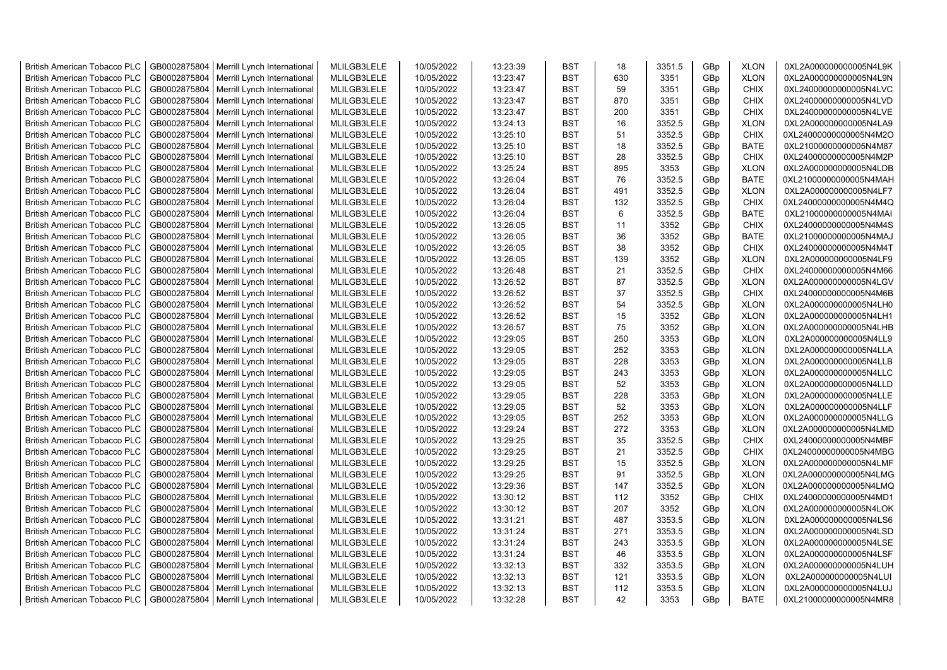| <b>British American Tobacco PLC</b> | GB0002875804 | Merrill Lynch International                | MLILGB3LELE | 10/05/2022 | 13:23:39 | <b>BST</b> | 18  | 3351.5 | GBp | <b>XLON</b> | 0XL2A000000000005N4L9K |
|-------------------------------------|--------------|--------------------------------------------|-------------|------------|----------|------------|-----|--------|-----|-------------|------------------------|
| <b>British American Tobacco PLC</b> | GB0002875804 | Merrill Lynch International                | MLILGB3LELE | 10/05/2022 | 13:23:47 | <b>BST</b> | 630 | 3351   | GBp | <b>XLON</b> | 0XL2A000000000005N4L9N |
| <b>British American Tobacco PLC</b> | GB0002875804 | Merrill Lynch International                | MLILGB3LELE | 10/05/2022 | 13:23:47 | <b>BST</b> | 59  | 3351   | GBp | <b>CHIX</b> | 0XL24000000000005N4LVC |
| <b>British American Tobacco PLC</b> | GB0002875804 | Merrill Lynch International                | MLILGB3LELE | 10/05/2022 | 13:23:47 | <b>BST</b> | 870 | 3351   | GBp | <b>CHIX</b> | 0XL24000000000005N4LVD |
| <b>British American Tobacco PLC</b> | GB0002875804 | Merrill Lynch International                | MLILGB3LELE | 10/05/2022 | 13:23:47 | <b>BST</b> | 200 | 3351   | GBp | <b>CHIX</b> | 0XL24000000000005N4LVE |
| <b>British American Tobacco PLC</b> | GB0002875804 | Merrill Lynch International                | MLILGB3LELE | 10/05/2022 | 13:24:13 | <b>BST</b> | 16  | 3352.5 | GBp | <b>XLON</b> | 0XL2A000000000005N4LA9 |
| <b>British American Tobacco PLC</b> | GB0002875804 | Merrill Lynch International                | MLILGB3LELE | 10/05/2022 | 13:25:10 | <b>BST</b> | 51  | 3352.5 | GBp | <b>CHIX</b> | 0XL24000000000005N4M2O |
| <b>British American Tobacco PLC</b> | GB0002875804 | Merrill Lynch International                | MLILGB3LELE | 10/05/2022 | 13:25:10 | <b>BST</b> | 18  | 3352.5 | GBp | <b>BATE</b> | 0XL21000000000005N4M87 |
| <b>British American Tobacco PLC</b> | GB0002875804 | Merrill Lynch International                | MLILGB3LELE | 10/05/2022 | 13:25:10 | <b>BST</b> | 28  | 3352.5 | GBp | <b>CHIX</b> | 0XL24000000000005N4M2P |
|                                     | GB0002875804 |                                            | MLILGB3LELE | 10/05/2022 | 13:25:24 | <b>BST</b> | 895 | 3353   |     | <b>XLON</b> | 0XL2A000000000005N4LDB |
| <b>British American Tobacco PLC</b> |              | Merrill Lynch International                |             |            |          |            |     |        | GBp |             |                        |
| <b>British American Tobacco PLC</b> | GB0002875804 | Merrill Lynch International                | MLILGB3LELE | 10/05/2022 | 13:26:04 | <b>BST</b> | 76  | 3352.5 | GBp | <b>BATE</b> | 0XL21000000000005N4MAH |
| <b>British American Tobacco PLC</b> | GB0002875804 | Merrill Lynch International                | MLILGB3LELE | 10/05/2022 | 13:26:04 | <b>BST</b> | 491 | 3352.5 | GBp | <b>XLON</b> | 0XL2A000000000005N4LF7 |
| <b>British American Tobacco PLC</b> | GB0002875804 | Merrill Lynch International                | MLILGB3LELE | 10/05/2022 | 13:26:04 | <b>BST</b> | 132 | 3352.5 | GBp | <b>CHIX</b> | 0XL24000000000005N4M4Q |
| <b>British American Tobacco PLC</b> | GB0002875804 | Merrill Lynch International                | MLILGB3LELE | 10/05/2022 | 13:26:04 | <b>BST</b> | 6   | 3352.5 | GBp | <b>BATE</b> | 0XL21000000000005N4MAI |
| <b>British American Tobacco PLC</b> | GB0002875804 | Merrill Lynch International                | MLILGB3LELE | 10/05/2022 | 13:26:05 | <b>BST</b> | 11  | 3352   | GBp | <b>CHIX</b> | 0XL24000000000005N4M4S |
| <b>British American Tobacco PLC</b> | GB0002875804 | Merrill Lynch International                | MLILGB3LELE | 10/05/2022 | 13:26:05 | <b>BST</b> | 36  | 3352   | GBp | <b>BATE</b> | 0XL21000000000005N4MAJ |
| <b>British American Tobacco PLC</b> | GB0002875804 | Merrill Lynch International                | MLILGB3LELE | 10/05/2022 | 13:26:05 | <b>BST</b> | 38  | 3352   | GBp | <b>CHIX</b> | 0XL24000000000005N4M4T |
| <b>British American Tobacco PLC</b> | GB0002875804 | Merrill Lynch International                | MLILGB3LELE | 10/05/2022 | 13:26:05 | <b>BST</b> | 139 | 3352   | GBp | <b>XLON</b> | 0XL2A000000000005N4LF9 |
| <b>British American Tobacco PLC</b> | GB0002875804 | Merrill Lynch International                | MLILGB3LELE | 10/05/2022 | 13:26:48 | <b>BST</b> | 21  | 3352.5 | GBp | <b>CHIX</b> | 0XL24000000000005N4M66 |
| <b>British American Tobacco PLC</b> | GB0002875804 | Merrill Lynch International                | MLILGB3LELE | 10/05/2022 | 13:26:52 | <b>BST</b> | 87  | 3352.5 | GBp | <b>XLON</b> | 0XL2A000000000005N4LGV |
| <b>British American Tobacco PLC</b> | GB0002875804 | Merrill Lynch International                | MLILGB3LELE | 10/05/2022 | 13:26:52 | <b>BST</b> | 37  | 3352.5 | GBp | <b>CHIX</b> | 0XL24000000000005N4M6B |
| <b>British American Tobacco PLC</b> | GB0002875804 | Merrill Lynch International                | MLILGB3LELE | 10/05/2022 | 13:26:52 | <b>BST</b> | 54  | 3352.5 | GBp | <b>XLON</b> | 0XL2A000000000005N4LH0 |
| <b>British American Tobacco PLC</b> | GB0002875804 | Merrill Lynch International                | MLILGB3LELE | 10/05/2022 | 13:26:52 | <b>BST</b> | 15  | 3352   | GBp | <b>XLON</b> | 0XL2A000000000005N4LH1 |
| <b>British American Tobacco PLC</b> | GB0002875804 | Merrill Lynch International                | MLILGB3LELE | 10/05/2022 | 13:26:57 | <b>BST</b> | 75  | 3352   | GBp | <b>XLON</b> | 0XL2A000000000005N4LHB |
| <b>British American Tobacco PLC</b> | GB0002875804 | Merrill Lynch International                | MLILGB3LELE | 10/05/2022 | 13:29:05 | <b>BST</b> | 250 | 3353   | GBp | <b>XLON</b> | 0XL2A000000000005N4LL9 |
| <b>British American Tobacco PLC</b> | GB0002875804 | Merrill Lynch International                | MLILGB3LELE | 10/05/2022 | 13:29:05 | <b>BST</b> | 252 | 3353   | GBp | <b>XLON</b> | 0XL2A000000000005N4LLA |
| <b>British American Tobacco PLC</b> | GB0002875804 | Merrill Lynch International                | MLILGB3LELE | 10/05/2022 | 13:29:05 | <b>BST</b> | 228 | 3353   | GBp | <b>XLON</b> | 0XL2A000000000005N4LLB |
| <b>British American Tobacco PLC</b> | GB0002875804 | Merrill Lynch International                | MLILGB3LELE | 10/05/2022 | 13:29:05 | <b>BST</b> | 243 | 3353   | GBp | <b>XLON</b> | 0XL2A000000000005N4LLC |
| <b>British American Tobacco PLC</b> | GB0002875804 | Merrill Lynch International                | MLILGB3LELE | 10/05/2022 | 13:29:05 | <b>BST</b> | 52  | 3353   | GBp | <b>XLON</b> | 0XL2A000000000005N4LLD |
| <b>British American Tobacco PLC</b> | GB0002875804 | Merrill Lynch International                | MLILGB3LELE | 10/05/2022 | 13:29:05 | <b>BST</b> | 228 | 3353   | GBp | <b>XLON</b> | 0XL2A000000000005N4LLE |
| <b>British American Tobacco PLC</b> | GB0002875804 |                                            | MLILGB3LELE | 10/05/2022 | 13:29:05 | <b>BST</b> | 52  | 3353   |     | <b>XLON</b> | 0XL2A000000000005N4LLF |
|                                     |              | Merrill Lynch International                |             |            |          |            |     |        | GBp |             |                        |
| <b>British American Tobacco PLC</b> | GB0002875804 | Merrill Lynch International                | MLILGB3LELE | 10/05/2022 | 13:29:05 | <b>BST</b> | 252 | 3353   | GBp | <b>XLON</b> | 0XL2A000000000005N4LLG |
| <b>British American Tobacco PLC</b> | GB0002875804 | Merrill Lynch International                | MLILGB3LELE | 10/05/2022 | 13:29:24 | <b>BST</b> | 272 | 3353   | GBp | <b>XLON</b> | 0XL2A000000000005N4LMD |
| British American Tobacco PLC        | GB0002875804 | Merrill Lynch International                | MLILGB3LELE | 10/05/2022 | 13:29:25 | <b>BST</b> | 35  | 3352.5 | GBp | <b>CHIX</b> | 0XL24000000000005N4MBF |
| <b>British American Tobacco PLC</b> | GB0002875804 | Merrill Lynch International                | MLILGB3LELE | 10/05/2022 | 13:29:25 | <b>BST</b> | 21  | 3352.5 | GBp | <b>CHIX</b> | 0XL24000000000005N4MBG |
| <b>British American Tobacco PLC</b> | GB0002875804 | Merrill Lynch International                | MLILGB3LELE | 10/05/2022 | 13:29:25 | <b>BST</b> | 15  | 3352.5 | GBp | <b>XLON</b> | 0XL2A000000000005N4LMF |
| <b>British American Tobacco PLC</b> | GB0002875804 | Merrill Lynch International                | MLILGB3LELE | 10/05/2022 | 13:29:25 | <b>BST</b> | 91  | 3352.5 | GBp | <b>XLON</b> | 0XL2A000000000005N4LMG |
| <b>British American Tobacco PLC</b> | GB0002875804 | Merrill Lynch International                | MLILGB3LELE | 10/05/2022 | 13:29:36 | <b>BST</b> | 147 | 3352.5 | GBp | <b>XLON</b> | 0XL2A000000000005N4LMQ |
| <b>British American Tobacco PLC</b> | GB0002875804 | Merrill Lynch International                | MLILGB3LELE | 10/05/2022 | 13:30:12 | <b>BST</b> | 112 | 3352   | GBp | <b>CHIX</b> | 0XL24000000000005N4MD1 |
| <b>British American Tobacco PLC</b> | GB0002875804 | Merrill Lynch International                | MLILGB3LELE | 10/05/2022 | 13:30:12 | <b>BST</b> | 207 | 3352   | GBp | <b>XLON</b> | 0XL2A000000000005N4LOK |
| <b>British American Tobacco PLC</b> | GB0002875804 | Merrill Lynch International                | MLILGB3LELE | 10/05/2022 | 13:31:21 | <b>BST</b> | 487 | 3353.5 | GBp | <b>XLON</b> | 0XL2A000000000005N4LS6 |
| <b>British American Tobacco PLC</b> | GB0002875804 | Merrill Lynch International                | MLILGB3LELE | 10/05/2022 | 13:31:24 | <b>BST</b> | 271 | 3353.5 | GBp | <b>XLON</b> | 0XL2A000000000005N4LSD |
| <b>British American Tobacco PLC</b> | GB0002875804 | Merrill Lynch International                | MLILGB3LELE | 10/05/2022 | 13:31:24 | <b>BST</b> | 243 | 3353.5 | GBp | <b>XLON</b> | 0XL2A000000000005N4LSE |
| <b>British American Tobacco PLC</b> | GB0002875804 | Merrill Lynch International                | MLILGB3LELE | 10/05/2022 | 13:31:24 | <b>BST</b> | 46  | 3353.5 | GBp | <b>XLON</b> | 0XL2A000000000005N4LSF |
| British American Tobacco PLC        | GB0002875804 | Merrill Lynch International                | MLILGB3LELE | 10/05/2022 | 13:32:13 | <b>BST</b> | 332 | 3353.5 | GBp | <b>XLON</b> | 0XL2A000000000005N4LUH |
| <b>British American Tobacco PLC</b> | GB0002875804 | Merrill Lynch International                | MLILGB3LELE | 10/05/2022 | 13:32:13 | <b>BST</b> | 121 | 3353.5 | GBp | <b>XLON</b> | 0XL2A000000000005N4LUI |
| <b>British American Tobacco PLC</b> | GB0002875804 | Merrill Lynch International                | MLILGB3LELE | 10/05/2022 | 13:32:13 | <b>BST</b> | 112 | 3353.5 | GBp | <b>XLON</b> | 0XL2A000000000005N4LUJ |
| <b>British American Tobacco PLC</b> |              | GB0002875804   Merrill Lynch International | MLILGB3LELE | 10/05/2022 | 13:32:28 | <b>BST</b> | 42  | 3353   | GBp | <b>BATE</b> | 0XL21000000000005N4MR8 |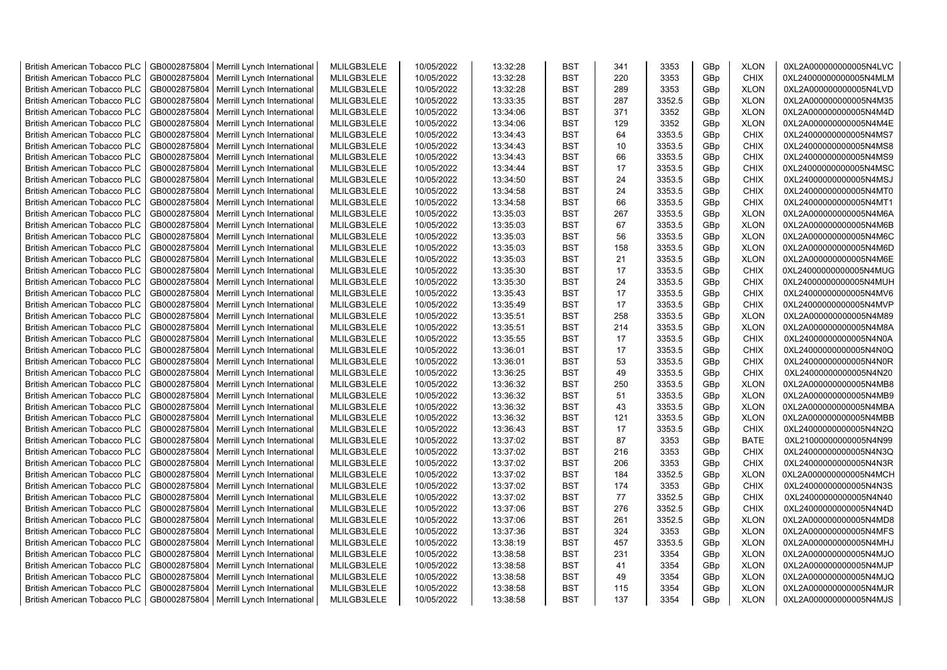| <b>British American Tobacco PLC</b> | GB0002875804                 | Merrill Lynch International | MLILGB3LELE                | 10/05/2022 | 13:32:28 | <b>BST</b>               | 341 | 3353         | GBp             | <b>XLON</b>                | 0XL2A000000000005N4LVC |
|-------------------------------------|------------------------------|-----------------------------|----------------------------|------------|----------|--------------------------|-----|--------------|-----------------|----------------------------|------------------------|
| <b>British American Tobacco PLC</b> | GB0002875804                 | Merrill Lynch International | MLILGB3LELE                | 10/05/2022 | 13:32:28 | <b>BST</b>               | 220 | 3353         | GBp             | <b>CHIX</b>                | 0XL24000000000005N4MLM |
| <b>British American Tobacco PLC</b> | GB0002875804                 | Merrill Lynch International | MLILGB3LELE                | 10/05/2022 | 13:32:28 | <b>BST</b>               | 289 | 3353         | GBp             | <b>XLON</b>                | 0XL2A000000000005N4LVD |
| <b>British American Tobacco PLC</b> | GB0002875804                 | Merrill Lynch International | MLILGB3LELE                | 10/05/2022 | 13:33:35 | <b>BST</b>               | 287 | 3352.5       | GBp             | <b>XLON</b>                | 0XL2A000000000005N4M35 |
| <b>British American Tobacco PLC</b> | GB0002875804                 | Merrill Lynch International | MLILGB3LELE                | 10/05/2022 | 13:34:06 | <b>BST</b>               | 371 | 3352         | GBp             | <b>XLON</b>                | 0XL2A000000000005N4M4D |
| <b>British American Tobacco PLC</b> | GB0002875804                 | Merrill Lynch International | MLILGB3LELE                | 10/05/2022 | 13:34:06 | <b>BST</b>               | 129 | 3352         | GBp             | <b>XLON</b>                | 0XL2A000000000005N4M4E |
| <b>British American Tobacco PLC</b> | GB0002875804                 | Merrill Lynch International | MLILGB3LELE                | 10/05/2022 | 13:34:43 | <b>BST</b>               | 64  | 3353.5       | GBp             | <b>CHIX</b>                | 0XL24000000000005N4MS7 |
| <b>British American Tobacco PLC</b> | GB0002875804                 | Merrill Lynch International | MLILGB3LELE                | 10/05/2022 | 13:34:43 | <b>BST</b>               | 10  | 3353.5       | GBp             | <b>CHIX</b>                | 0XL24000000000005N4MS8 |
| <b>British American Tobacco PLC</b> | GB0002875804                 | Merrill Lynch International | MLILGB3LELE                | 10/05/2022 | 13:34:43 | <b>BST</b>               | 66  | 3353.5       | GBp             | <b>CHIX</b>                | 0XL24000000000005N4MS9 |
| <b>British American Tobacco PLC</b> | GB0002875804                 | Merrill Lynch International | MLILGB3LELE                | 10/05/2022 | 13:34:44 | <b>BST</b>               | 17  | 3353.5       | GBp             | <b>CHIX</b>                | 0XL24000000000005N4MSC |
| <b>British American Tobacco PLC</b> | GB0002875804                 | Merrill Lynch International | MLILGB3LELE                | 10/05/2022 | 13:34:50 | <b>BST</b>               | 24  | 3353.5       | GBp             | <b>CHIX</b>                | 0XL24000000000005N4MSJ |
| <b>British American Tobacco PLC</b> | GB0002875804                 | Merrill Lynch International | MLILGB3LELE                | 10/05/2022 | 13:34:58 | <b>BST</b>               | 24  | 3353.5       | GBp             | <b>CHIX</b>                | 0XL24000000000005N4MT0 |
| <b>British American Tobacco PLC</b> | GB0002875804                 | Merrill Lynch International | MLILGB3LELE                | 10/05/2022 | 13:34:58 | <b>BST</b>               | 66  | 3353.5       | GBp             | <b>CHIX</b>                | 0XL24000000000005N4MT1 |
| <b>British American Tobacco PLC</b> | GB0002875804                 | Merrill Lynch International | MLILGB3LELE                | 10/05/2022 | 13:35:03 | <b>BST</b>               | 267 | 3353.5       | GBp             | <b>XLON</b>                | 0XL2A000000000005N4M6A |
| <b>British American Tobacco PLC</b> | GB0002875804                 | Merrill Lynch International | MLILGB3LELE                | 10/05/2022 | 13:35:03 | <b>BST</b>               | 67  | 3353.5       | GBp             | <b>XLON</b>                | 0XL2A000000000005N4M6B |
| British American Tobacco PLC        | GB0002875804                 | Merrill Lynch International | MLILGB3LELE                | 10/05/2022 | 13:35:03 | <b>BST</b>               | 56  | 3353.5       | GBp             | <b>XLON</b>                | 0XL2A000000000005N4M6C |
| British American Tobacco PLC        | GB0002875804                 | Merrill Lynch International | MLILGB3LELE                | 10/05/2022 | 13:35:03 | <b>BST</b>               | 158 | 3353.5       | GBp             | <b>XLON</b>                | 0XL2A000000000005N4M6D |
| <b>British American Tobacco PLC</b> | GB0002875804                 | Merrill Lynch International | MLILGB3LELE                | 10/05/2022 | 13:35:03 | <b>BST</b>               | 21  | 3353.5       | GBp             | <b>XLON</b>                | 0XL2A000000000005N4M6E |
| <b>British American Tobacco PLC</b> | GB0002875804                 | Merrill Lynch International | MLILGB3LELE                | 10/05/2022 | 13:35:30 | <b>BST</b>               | 17  | 3353.5       | GBp             | <b>CHIX</b>                | 0XL24000000000005N4MUG |
| <b>British American Tobacco PLC</b> | GB0002875804                 | Merrill Lynch International | MLILGB3LELE                | 10/05/2022 | 13:35:30 | <b>BST</b>               | 24  | 3353.5       | GBp             | <b>CHIX</b>                | 0XL24000000000005N4MUH |
| <b>British American Tobacco PLC</b> | GB0002875804                 | Merrill Lynch International | MLILGB3LELE                | 10/05/2022 | 13:35:43 | <b>BST</b>               | 17  | 3353.5       | GBp             | <b>CHIX</b>                | 0XL24000000000005N4MV6 |
| <b>British American Tobacco PLC</b> | GB0002875804                 | Merrill Lynch International | MLILGB3LELE                | 10/05/2022 | 13:35:49 | <b>BST</b>               | 17  | 3353.5       | GBp             | <b>CHIX</b>                | 0XL24000000000005N4MVP |
| British American Tobacco PLC        | GB0002875804                 | Merrill Lynch International | MLILGB3LELE                | 10/05/2022 | 13:35:51 | <b>BST</b>               | 258 | 3353.5       | GBp             | <b>XLON</b>                | 0XL2A000000000005N4M89 |
| <b>British American Tobacco PLC</b> | GB0002875804                 | Merrill Lynch International | MLILGB3LELE                | 10/05/2022 | 13:35:51 | <b>BST</b>               | 214 | 3353.5       | GBp             | <b>XLON</b>                | 0XL2A000000000005N4M8A |
| <b>British American Tobacco PLC</b> | GB0002875804                 | Merrill Lynch International | MLILGB3LELE                | 10/05/2022 | 13:35:55 | <b>BST</b>               | 17  | 3353.5       | GBp             | <b>CHIX</b>                | 0XL24000000000005N4N0A |
| <b>British American Tobacco PLC</b> | GB0002875804                 | Merrill Lynch International | MLILGB3LELE                | 10/05/2022 | 13:36:01 | <b>BST</b>               | 17  | 3353.5       | GBp             | <b>CHIX</b>                | 0XL24000000000005N4N0Q |
| <b>British American Tobacco PLC</b> | GB0002875804                 | Merrill Lynch International | MLILGB3LELE                | 10/05/2022 | 13:36:01 | <b>BST</b>               | 53  | 3353.5       | GBp             | <b>CHIX</b>                | 0XL24000000000005N4N0R |
| <b>British American Tobacco PLC</b> | GB0002875804                 | Merrill Lynch International | MLILGB3LELE                | 10/05/2022 | 13:36:25 | <b>BST</b>               | 49  | 3353.5       | GBp             | <b>CHIX</b>                | 0XL24000000000005N4N20 |
| <b>British American Tobacco PLC</b> | GB0002875804                 | Merrill Lynch International | MLILGB3LELE                | 10/05/2022 | 13:36:32 | <b>BST</b>               | 250 | 3353.5       | GBp             | <b>XLON</b>                | 0XL2A000000000005N4MB8 |
| <b>British American Tobacco PLC</b> | GB0002875804                 | Merrill Lynch International | MLILGB3LELE                | 10/05/2022 | 13:36:32 | <b>BST</b>               | 51  | 3353.5       | GBp             | <b>XLON</b>                | 0XL2A000000000005N4MB9 |
| <b>British American Tobacco PLC</b> | GB0002875804                 | Merrill Lynch International | MLILGB3LELE                | 10/05/2022 | 13:36:32 | <b>BST</b>               | 43  | 3353.5       | GBp             | <b>XLON</b>                | 0XL2A000000000005N4MBA |
| <b>British American Tobacco PLC</b> | GB0002875804                 | Merrill Lynch International | MLILGB3LELE                | 10/05/2022 | 13:36:32 | <b>BST</b>               | 121 | 3353.5       | GBp             | <b>XLON</b>                | 0XL2A000000000005N4MBB |
| <b>British American Tobacco PLC</b> | GB0002875804                 | Merrill Lynch International | MLILGB3LELE                | 10/05/2022 | 13:36:43 | <b>BST</b>               | 17  | 3353.5       | GBp             | <b>CHIX</b>                | 0XL24000000000005N4N2Q |
| <b>British American Tobacco PLC</b> | GB0002875804                 | Merrill Lynch International | MLILGB3LELE                | 10/05/2022 | 13:37:02 | <b>BST</b>               | 87  | 3353         | GBp             | <b>BATE</b>                | 0XL21000000000005N4N99 |
| <b>British American Tobacco PLC</b> | GB0002875804                 | Merrill Lynch International | MLILGB3LELE                | 10/05/2022 | 13:37:02 | <b>BST</b>               | 216 | 3353         | GBp             | <b>CHIX</b>                | 0XL24000000000005N4N3Q |
| British American Tobacco PLC        | GB0002875804                 | Merrill Lynch International | MLILGB3LELE                | 10/05/2022 | 13:37:02 | <b>BST</b>               | 206 | 3353         | GBp             | <b>CHIX</b>                | 0XL24000000000005N4N3R |
| <b>British American Tobacco PLC</b> | GB0002875804                 | Merrill Lynch International | MLILGB3LELE                | 10/05/2022 | 13:37:02 | <b>BST</b>               | 184 | 3352.5       | GBp             | <b>XLON</b>                | 0XL2A000000000005N4MCH |
| <b>British American Tobacco PLC</b> | GB0002875804                 | Merrill Lynch International | MLILGB3LELE                | 10/05/2022 | 13:37:02 | <b>BST</b>               | 174 | 3353         | GBp             | <b>CHIX</b>                | 0XL24000000000005N4N3S |
| <b>British American Tobacco PLC</b> | GB0002875804                 | Merrill Lynch International | MLILGB3LELE                | 10/05/2022 | 13:37:02 | <b>BST</b>               | 77  | 3352.5       | GBp             | <b>CHIX</b>                | 0XL24000000000005N4N40 |
| <b>British American Tobacco PLC</b> | GB0002875804                 | Merrill Lynch International | MLILGB3LELE                | 10/05/2022 | 13:37:06 | <b>BST</b>               | 276 | 3352.5       | GBp             | <b>CHIX</b>                | 0XL24000000000005N4N4D |
| <b>British American Tobacco PLC</b> | GB0002875804                 | Merrill Lynch International | MLILGB3LELE                | 10/05/2022 | 13:37:06 | <b>BST</b>               | 261 | 3352.5       | GBp             | <b>XLON</b>                | 0XL2A000000000005N4MD8 |
|                                     |                              |                             |                            |            |          |                          | 324 | 3353         |                 |                            |                        |
| <b>British American Tobacco PLC</b> | GB0002875804<br>GB0002875804 | Merrill Lynch International | MLILGB3LELE<br>MLILGB3LELE | 10/05/2022 | 13:37:36 | <b>BST</b><br><b>BST</b> | 457 | 3353.5       | GBp             | <b>XLON</b>                | 0XL2A000000000005N4MFS |
| <b>British American Tobacco PLC</b> |                              | Merrill Lynch International |                            | 10/05/2022 | 13:38:19 | <b>BST</b>               | 231 |              | GBp             | <b>XLON</b>                | 0XL2A000000000005N4MHJ |
| <b>British American Tobacco PLC</b> | GB0002875804                 | Merrill Lynch International | MLILGB3LELE<br>MLILGB3LELE | 10/05/2022 | 13:38:58 | <b>BST</b>               | 41  | 3354<br>3354 | GBp             | <b>XLON</b>                | 0XL2A000000000005N4MJO |
| <b>British American Tobacco PLC</b> | GB0002875804                 | Merrill Lynch International | MLILGB3LELE                | 10/05/2022 | 13:38:58 | <b>BST</b>               | 49  |              | GBp             | <b>XLON</b><br><b>XLON</b> | 0XL2A000000000005N4MJP |
| <b>British American Tobacco PLC</b> | GB0002875804                 | Merrill Lynch International |                            | 10/05/2022 | 13:38:58 |                          |     | 3354         | GBp             |                            | 0XL2A000000000005N4MJQ |
| <b>British American Tobacco PLC</b> | GB0002875804                 | Merrill Lynch International | MLILGB3LELE                | 10/05/2022 | 13:38:58 | <b>BST</b><br><b>BST</b> | 115 | 3354<br>3354 | GBp             | <b>XLON</b>                | 0XL2A000000000005N4MJR |
| <b>British American Tobacco PLC</b> | GB0002875804                 | Merrill Lynch International | MLILGB3LELE                | 10/05/2022 | 13:38:58 |                          | 137 |              | GB <sub>p</sub> | <b>XLON</b>                | 0XL2A000000000005N4MJS |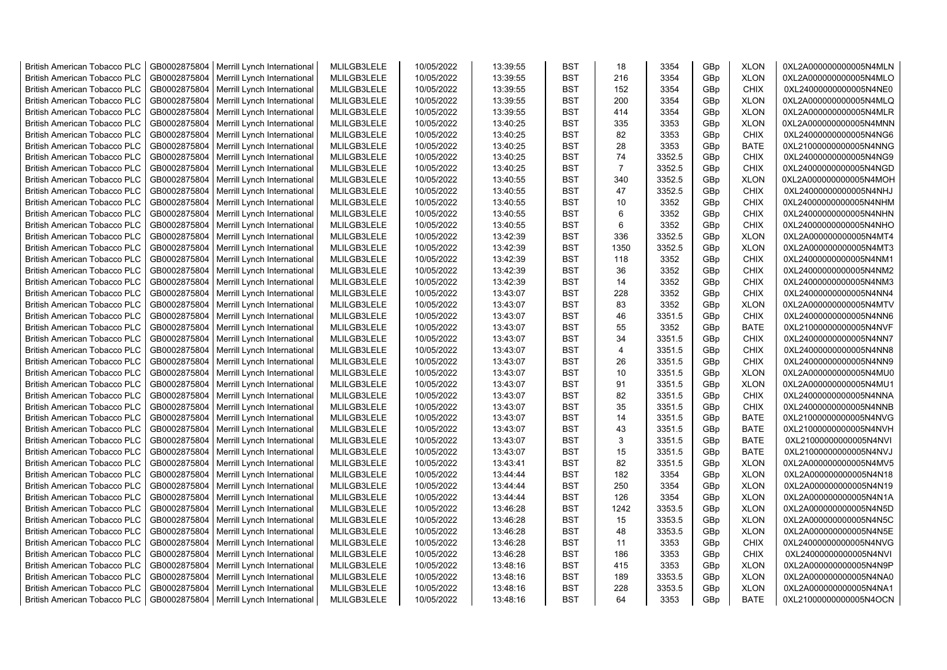| <b>British American Tobacco PLC</b> | GB0002875804 | Merrill Lynch International | MLILGB3LELE | 10/05/2022 | 13:39:55 | <b>BST</b> | 18             | 3354   | GBp             | <b>XLON</b> | 0XL2A000000000005N4MLN |
|-------------------------------------|--------------|-----------------------------|-------------|------------|----------|------------|----------------|--------|-----------------|-------------|------------------------|
| <b>British American Tobacco PLC</b> | GB0002875804 | Merrill Lynch International | MLILGB3LELE | 10/05/2022 | 13:39:55 | <b>BST</b> | 216            | 3354   | GBp             | <b>XLON</b> | 0XL2A000000000005N4MLO |
| <b>British American Tobacco PLC</b> | GB0002875804 | Merrill Lynch International | MLILGB3LELE | 10/05/2022 | 13:39:55 | <b>BST</b> | 152            | 3354   | GBp             | <b>CHIX</b> | 0XL24000000000005N4NE0 |
| <b>British American Tobacco PLC</b> | GB0002875804 | Merrill Lynch International | MLILGB3LELE | 10/05/2022 | 13:39:55 | <b>BST</b> | 200            | 3354   | GBp             | <b>XLON</b> | 0XL2A000000000005N4MLQ |
| <b>British American Tobacco PLC</b> | GB0002875804 | Merrill Lynch International | MLILGB3LELE | 10/05/2022 | 13:39:55 | <b>BST</b> | 414            | 3354   | GBp             | <b>XLON</b> | 0XL2A000000000005N4MLR |
| <b>British American Tobacco PLC</b> | GB0002875804 | Merrill Lynch International | MLILGB3LELE | 10/05/2022 | 13:40:25 | <b>BST</b> | 335            | 3353   | GBp             | <b>XLON</b> | 0XL2A000000000005N4MNN |
| <b>British American Tobacco PLC</b> | GB0002875804 | Merrill Lynch International | MLILGB3LELE | 10/05/2022 | 13:40:25 | <b>BST</b> | 82             | 3353   | GBp             | <b>CHIX</b> | 0XL24000000000005N4NG6 |
| <b>British American Tobacco PLC</b> | GB0002875804 | Merrill Lynch International | MLILGB3LELE | 10/05/2022 | 13:40:25 | <b>BST</b> | 28             | 3353   | GBp             | <b>BATE</b> | 0XL21000000000005N4NNG |
| <b>British American Tobacco PLC</b> | GB0002875804 | Merrill Lynch International | MLILGB3LELE | 10/05/2022 | 13:40:25 | <b>BST</b> | 74             | 3352.5 | GBp             | <b>CHIX</b> | 0XL24000000000005N4NG9 |
| <b>British American Tobacco PLC</b> | GB0002875804 | Merrill Lynch International | MLILGB3LELE | 10/05/2022 | 13:40:25 | <b>BST</b> | $\overline{7}$ | 3352.5 | GBp             | <b>CHIX</b> | 0XL24000000000005N4NGD |
| <b>British American Tobacco PLC</b> | GB0002875804 | Merrill Lynch International | MLILGB3LELE | 10/05/2022 | 13:40:55 | <b>BST</b> | 340            | 3352.5 | GBp             | <b>XLON</b> | 0XL2A000000000005N4MOH |
| <b>British American Tobacco PLC</b> | GB0002875804 | Merrill Lynch International | MLILGB3LELE | 10/05/2022 | 13:40:55 | <b>BST</b> | 47             | 3352.5 | GBp             | <b>CHIX</b> | 0XL24000000000005N4NHJ |
| <b>British American Tobacco PLC</b> | GB0002875804 | Merrill Lynch International | MLILGB3LELE | 10/05/2022 | 13:40:55 | <b>BST</b> | 10             | 3352   | GBp             | <b>CHIX</b> | 0XL24000000000005N4NHM |
| <b>British American Tobacco PLC</b> | GB0002875804 | Merrill Lynch International | MLILGB3LELE | 10/05/2022 | 13:40:55 | <b>BST</b> | 6              | 3352   | GBp             | <b>CHIX</b> | 0XL24000000000005N4NHN |
| <b>British American Tobacco PLC</b> | GB0002875804 | Merrill Lynch International | MLILGB3LELE | 10/05/2022 | 13:40:55 | <b>BST</b> | 6              | 3352   | GBp             | <b>CHIX</b> | 0XL24000000000005N4NHO |
| British American Tobacco PLC        | GB0002875804 | Merrill Lynch International | MLILGB3LELE | 10/05/2022 | 13:42:39 | <b>BST</b> | 336            | 3352.5 | GBp             | <b>XLON</b> | 0XL2A000000000005N4MT4 |
| British American Tobacco PLC        | GB0002875804 | Merrill Lynch International | MLILGB3LELE | 10/05/2022 | 13:42:39 | <b>BST</b> | 1350           | 3352.5 | GBp             | <b>XLON</b> | 0XL2A000000000005N4MT3 |
| <b>British American Tobacco PLC</b> | GB0002875804 | Merrill Lynch International | MLILGB3LELE | 10/05/2022 | 13:42:39 | <b>BST</b> | 118            | 3352   | GBp             | <b>CHIX</b> | 0XL24000000000005N4NM1 |
| <b>British American Tobacco PLC</b> | GB0002875804 | Merrill Lynch International | MLILGB3LELE | 10/05/2022 | 13:42:39 | <b>BST</b> | 36             | 3352   | GBp             | <b>CHIX</b> | 0XL24000000000005N4NM2 |
| <b>British American Tobacco PLC</b> | GB0002875804 | Merrill Lynch International | MLILGB3LELE | 10/05/2022 | 13:42:39 | <b>BST</b> | 14             | 3352   | GBp             | <b>CHIX</b> | 0XL24000000000005N4NM3 |
| <b>British American Tobacco PLC</b> | GB0002875804 | Merrill Lynch International | MLILGB3LELE | 10/05/2022 | 13:43:07 | <b>BST</b> | 228            | 3352   | GBp             | <b>CHIX</b> | 0XL24000000000005N4NN4 |
| <b>British American Tobacco PLC</b> | GB0002875804 | Merrill Lynch International | MLILGB3LELE | 10/05/2022 | 13:43:07 | <b>BST</b> | 83             | 3352   | GBp             | <b>XLON</b> | 0XL2A000000000005N4MTV |
| British American Tobacco PLC        | GB0002875804 | Merrill Lynch International | MLILGB3LELE | 10/05/2022 | 13:43:07 | <b>BST</b> | 46             | 3351.5 | GBp             | <b>CHIX</b> | 0XL24000000000005N4NN6 |
| <b>British American Tobacco PLC</b> | GB0002875804 | Merrill Lynch International | MLILGB3LELE | 10/05/2022 | 13:43:07 | <b>BST</b> | 55             | 3352   | GBp             | <b>BATE</b> | 0XL21000000000005N4NVF |
| <b>British American Tobacco PLC</b> | GB0002875804 | Merrill Lynch International | MLILGB3LELE | 10/05/2022 | 13:43:07 | <b>BST</b> | 34             | 3351.5 | GBp             | <b>CHIX</b> | 0XL24000000000005N4NN7 |
| <b>British American Tobacco PLC</b> | GB0002875804 | Merrill Lynch International | MLILGB3LELE | 10/05/2022 | 13:43:07 | <b>BST</b> | $\overline{4}$ | 3351.5 | GBp             | <b>CHIX</b> | 0XL24000000000005N4NN8 |
| <b>British American Tobacco PLC</b> | GB0002875804 | Merrill Lynch International | MLILGB3LELE | 10/05/2022 | 13:43:07 | <b>BST</b> | 26             | 3351.5 | GBp             | <b>CHIX</b> | 0XL24000000000005N4NN9 |
| <b>British American Tobacco PLC</b> | GB0002875804 | Merrill Lynch International | MLILGB3LELE | 10/05/2022 | 13:43:07 | <b>BST</b> | 10             | 3351.5 | GBp             | <b>XLON</b> | 0XL2A000000000005N4MU0 |
| <b>British American Tobacco PLC</b> | GB0002875804 | Merrill Lynch International | MLILGB3LELE | 10/05/2022 | 13:43:07 | <b>BST</b> | 91             | 3351.5 | GBp             | <b>XLON</b> | 0XL2A000000000005N4MU1 |
| <b>British American Tobacco PLC</b> | GB0002875804 | Merrill Lynch International | MLILGB3LELE | 10/05/2022 | 13:43:07 | <b>BST</b> | 82             | 3351.5 | GBp             | <b>CHIX</b> | 0XL24000000000005N4NNA |
| <b>British American Tobacco PLC</b> | GB0002875804 | Merrill Lynch International | MLILGB3LELE | 10/05/2022 | 13:43:07 | <b>BST</b> | 35             | 3351.5 | GBp             | <b>CHIX</b> | 0XL24000000000005N4NNB |
| <b>British American Tobacco PLC</b> | GB0002875804 | Merrill Lynch International | MLILGB3LELE | 10/05/2022 | 13:43:07 | <b>BST</b> | 14             | 3351.5 | GBp             | <b>BATE</b> | 0XL21000000000005N4NVG |
| <b>British American Tobacco PLC</b> | GB0002875804 | Merrill Lynch International | MLILGB3LELE | 10/05/2022 | 13:43:07 | <b>BST</b> | 43             | 3351.5 | GBp             | <b>BATE</b> | 0XL21000000000005N4NVH |
| <b>British American Tobacco PLC</b> | GB0002875804 | Merrill Lynch International | MLILGB3LELE | 10/05/2022 | 13:43:07 | <b>BST</b> | 3              | 3351.5 | GBp             | <b>BATE</b> | 0XL21000000000005N4NVI |
| <b>British American Tobacco PLC</b> | GB0002875804 | Merrill Lynch International | MLILGB3LELE | 10/05/2022 | 13:43:07 | <b>BST</b> | 15             | 3351.5 | GBp             | <b>BATE</b> | 0XL21000000000005N4NVJ |
| British American Tobacco PLC        | GB0002875804 | Merrill Lynch International | MLILGB3LELE | 10/05/2022 | 13:43:41 | <b>BST</b> | 82             | 3351.5 | GBp             | <b>XLON</b> | 0XL2A000000000005N4MV5 |
| <b>British American Tobacco PLC</b> | GB0002875804 | Merrill Lynch International | MLILGB3LELE | 10/05/2022 | 13:44:44 | <b>BST</b> | 182            | 3354   | GBp             | <b>XLON</b> | 0XL2A000000000005N4N18 |
| <b>British American Tobacco PLC</b> | GB0002875804 | Merrill Lynch International | MLILGB3LELE | 10/05/2022 | 13:44:44 | <b>BST</b> | 250            | 3354   | GBp             | <b>XLON</b> | 0XL2A000000000005N4N19 |
| <b>British American Tobacco PLC</b> | GB0002875804 | Merrill Lynch International | MLILGB3LELE | 10/05/2022 | 13:44:44 | <b>BST</b> | 126            | 3354   | GBp             | <b>XLON</b> | 0XL2A000000000005N4N1A |
| <b>British American Tobacco PLC</b> | GB0002875804 | Merrill Lynch International | MLILGB3LELE | 10/05/2022 | 13:46:28 | <b>BST</b> | 1242           | 3353.5 | GBp             | <b>XLON</b> | 0XL2A000000000005N4N5D |
| <b>British American Tobacco PLC</b> | GB0002875804 | Merrill Lynch International | MLILGB3LELE | 10/05/2022 | 13:46:28 | <b>BST</b> | 15             | 3353.5 | GBp             | <b>XLON</b> | 0XL2A000000000005N4N5C |
| <b>British American Tobacco PLC</b> | GB0002875804 | Merrill Lynch International | MLILGB3LELE | 10/05/2022 | 13:46:28 | <b>BST</b> | 48             | 3353.5 | GBp             | <b>XLON</b> | 0XL2A000000000005N4N5E |
| <b>British American Tobacco PLC</b> | GB0002875804 | Merrill Lynch International | MLILGB3LELE | 10/05/2022 | 13:46:28 | <b>BST</b> | 11             | 3353   | GBp             | <b>CHIX</b> | 0XL24000000000005N4NVG |
| <b>British American Tobacco PLC</b> | GB0002875804 | Merrill Lynch International | MLILGB3LELE | 10/05/2022 | 13:46:28 | <b>BST</b> | 186            | 3353   | GBp             | <b>CHIX</b> | 0XL24000000000005N4NVI |
| <b>British American Tobacco PLC</b> | GB0002875804 | Merrill Lynch International | MLILGB3LELE | 10/05/2022 | 13:48:16 | <b>BST</b> | 415            | 3353   | GBp             | <b>XLON</b> | 0XL2A000000000005N4N9P |
| <b>British American Tobacco PLC</b> | GB0002875804 | Merrill Lynch International | MLILGB3LELE | 10/05/2022 | 13:48:16 | <b>BST</b> | 189            | 3353.5 | GBp             | <b>XLON</b> | 0XL2A000000000005N4NA0 |
| <b>British American Tobacco PLC</b> | GB0002875804 | Merrill Lynch International | MLILGB3LELE | 10/05/2022 | 13:48:16 | <b>BST</b> | 228            | 3353.5 | GBp             | <b>XLON</b> | 0XL2A000000000005N4NA1 |
| <b>British American Tobacco PLC</b> | GB0002875804 | Merrill Lynch International | MLILGB3LELE | 10/05/2022 | 13:48:16 | <b>BST</b> | 64             | 3353   | GB <sub>p</sub> | <b>BATE</b> | 0XL21000000000005N4OCN |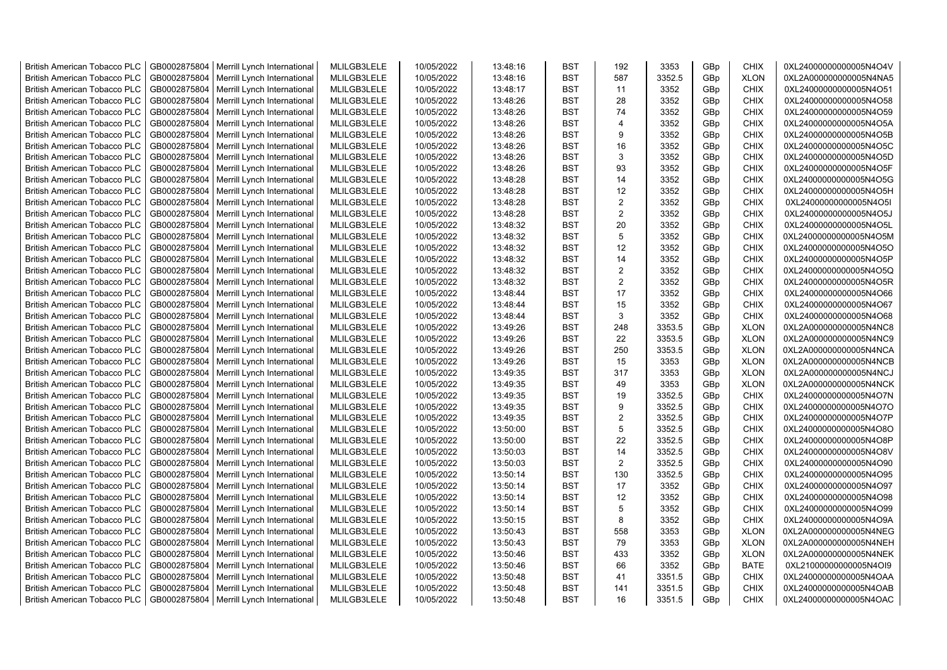| <b>British American Tobacco PLC</b> | GB0002875804 | Merrill Lynch International | MLILGB3LELE | 10/05/2022 | 13:48:16 | <b>BST</b> | 192            | 3353   | GBp             | <b>CHIX</b> | 0XL24000000000005N4O4V |
|-------------------------------------|--------------|-----------------------------|-------------|------------|----------|------------|----------------|--------|-----------------|-------------|------------------------|
| <b>British American Tobacco PLC</b> | GB0002875804 | Merrill Lynch International | MLILGB3LELE | 10/05/2022 | 13:48:16 | <b>BST</b> | 587            | 3352.5 | GBp             | <b>XLON</b> | 0XL2A000000000005N4NA5 |
| <b>British American Tobacco PLC</b> | GB0002875804 | Merrill Lynch International | MLILGB3LELE | 10/05/2022 | 13:48:17 | <b>BST</b> | 11             | 3352   | GBp             | <b>CHIX</b> | 0XL24000000000005N4O51 |
| <b>British American Tobacco PLC</b> | GB0002875804 | Merrill Lynch International | MLILGB3LELE | 10/05/2022 | 13:48:26 | <b>BST</b> | 28             | 3352   | GBp             | <b>CHIX</b> | 0XL24000000000005N4O58 |
| <b>British American Tobacco PLC</b> | GB0002875804 | Merrill Lynch International | MLILGB3LELE | 10/05/2022 | 13:48:26 | <b>BST</b> | 74             | 3352   | GBp             | <b>CHIX</b> | 0XL24000000000005N4O59 |
| <b>British American Tobacco PLC</b> | GB0002875804 | Merrill Lynch International | MLILGB3LELE | 10/05/2022 | 13:48:26 | <b>BST</b> | $\overline{4}$ | 3352   | GBp             | <b>CHIX</b> | 0XL24000000000005N4O5A |
| <b>British American Tobacco PLC</b> | GB0002875804 | Merrill Lynch International | MLILGB3LELE | 10/05/2022 | 13:48:26 | <b>BST</b> | 9              | 3352   | GBp             | <b>CHIX</b> | 0XL24000000000005N4O5B |
| <b>British American Tobacco PLC</b> | GB0002875804 | Merrill Lynch International | MLILGB3LELE | 10/05/2022 | 13:48:26 | <b>BST</b> | 16             | 3352   | GBp             | <b>CHIX</b> | 0XL24000000000005N4O5C |
| <b>British American Tobacco PLC</b> | GB0002875804 | Merrill Lynch International | MLILGB3LELE | 10/05/2022 | 13:48:26 | <b>BST</b> | 3              | 3352   | GBp             | <b>CHIX</b> | 0XL24000000000005N4O5D |
| <b>British American Tobacco PLC</b> | GB0002875804 | Merrill Lynch International | MLILGB3LELE | 10/05/2022 | 13:48:26 | <b>BST</b> | 93             | 3352   | GBp             | <b>CHIX</b> | 0XL24000000000005N4O5F |
| <b>British American Tobacco PLC</b> | GB0002875804 | Merrill Lynch International | MLILGB3LELE | 10/05/2022 | 13:48:28 | <b>BST</b> | 14             | 3352   | GBp             | <b>CHIX</b> | 0XL24000000000005N4O5G |
| <b>British American Tobacco PLC</b> | GB0002875804 | Merrill Lynch International | MLILGB3LELE | 10/05/2022 | 13:48:28 | <b>BST</b> | 12             | 3352   | GBp             | <b>CHIX</b> | 0XL24000000000005N4O5H |
| <b>British American Tobacco PLC</b> | GB0002875804 | Merrill Lynch International | MLILGB3LELE | 10/05/2022 | 13:48:28 | <b>BST</b> | $\overline{2}$ | 3352   | GBp             | <b>CHIX</b> | 0XL24000000000005N4O5I |
| <b>British American Tobacco PLC</b> | GB0002875804 | Merrill Lynch International | MLILGB3LELE | 10/05/2022 | 13:48:28 | <b>BST</b> | $\overline{2}$ | 3352   | GBp             | <b>CHIX</b> | 0XL24000000000005N4O5J |
| <b>British American Tobacco PLC</b> | GB0002875804 | Merrill Lynch International | MLILGB3LELE | 10/05/2022 | 13:48:32 | <b>BST</b> | 20             | 3352   | GBp             | <b>CHIX</b> | 0XL24000000000005N4O5L |
| <b>British American Tobacco PLC</b> | GB0002875804 | Merrill Lynch International | MLILGB3LELE | 10/05/2022 | 13:48:32 | <b>BST</b> | 5              | 3352   | GBp             | <b>CHIX</b> | 0XL24000000000005N4O5M |
| <b>British American Tobacco PLC</b> | GB0002875804 | Merrill Lynch International | MLILGB3LELE | 10/05/2022 | 13:48:32 | <b>BST</b> | 12             | 3352   | GBp             | <b>CHIX</b> | 0XL24000000000005N4O5O |
| <b>British American Tobacco PLC</b> | GB0002875804 | Merrill Lynch International | MLILGB3LELE | 10/05/2022 | 13:48:32 | <b>BST</b> | 14             | 3352   | GBp             | <b>CHIX</b> | 0XL24000000000005N4O5P |
| <b>British American Tobacco PLC</b> | GB0002875804 | Merrill Lynch International | MLILGB3LELE | 10/05/2022 | 13:48:32 | <b>BST</b> | 2              | 3352   | GBp             | <b>CHIX</b> | 0XL24000000000005N4O5Q |
| <b>British American Tobacco PLC</b> | GB0002875804 | Merrill Lynch International | MLILGB3LELE | 10/05/2022 | 13:48:32 | <b>BST</b> | $\overline{2}$ | 3352   | GBp             | <b>CHIX</b> | 0XL24000000000005N4O5R |
| <b>British American Tobacco PLC</b> | GB0002875804 | Merrill Lynch International | MLILGB3LELE | 10/05/2022 | 13:48:44 | <b>BST</b> | 17             | 3352   | GBp             | <b>CHIX</b> | 0XL24000000000005N4O66 |
| <b>British American Tobacco PLC</b> | GB0002875804 | Merrill Lynch International | MLILGB3LELE | 10/05/2022 | 13:48:44 | <b>BST</b> | 15             | 3352   | GBp             | <b>CHIX</b> | 0XL24000000000005N4O67 |
| British American Tobacco PLC        | GB0002875804 | Merrill Lynch International | MLILGB3LELE | 10/05/2022 | 13:48:44 | <b>BST</b> | 3              | 3352   | GBp             | <b>CHIX</b> | 0XL24000000000005N4O68 |
| <b>British American Tobacco PLC</b> | GB0002875804 | Merrill Lynch International | MLILGB3LELE | 10/05/2022 | 13:49:26 | <b>BST</b> | 248            | 3353.5 | GBp             | <b>XLON</b> | 0XL2A000000000005N4NC8 |
| <b>British American Tobacco PLC</b> | GB0002875804 | Merrill Lynch International | MLILGB3LELE | 10/05/2022 | 13:49:26 | <b>BST</b> | 22             | 3353.5 | GBp             | <b>XLON</b> | 0XL2A000000000005N4NC9 |
| <b>British American Tobacco PLC</b> | GB0002875804 | Merrill Lynch International | MLILGB3LELE | 10/05/2022 | 13:49:26 | <b>BST</b> | 250            | 3353.5 | GBp             | <b>XLON</b> | 0XL2A000000000005N4NCA |
| <b>British American Tobacco PLC</b> | GB0002875804 | Merrill Lynch International | MLILGB3LELE | 10/05/2022 | 13:49:26 | <b>BST</b> | 15             | 3353   | GBp             | <b>XLON</b> | 0XL2A000000000005N4NCB |
| <b>British American Tobacco PLC</b> | GB0002875804 | Merrill Lynch International | MLILGB3LELE | 10/05/2022 | 13:49:35 | <b>BST</b> | 317            | 3353   | GBp             | <b>XLON</b> | 0XL2A000000000005N4NCJ |
| <b>British American Tobacco PLC</b> | GB0002875804 | Merrill Lynch International | MLILGB3LELE | 10/05/2022 | 13:49:35 | BST        | 49             | 3353   | GBp             | <b>XLON</b> | 0XL2A000000000005N4NCK |
| <b>British American Tobacco PLC</b> | GB0002875804 | Merrill Lynch International | MLILGB3LELE | 10/05/2022 | 13:49:35 | <b>BST</b> | 19             | 3352.5 | GBp             | <b>CHIX</b> | 0XL24000000000005N4O7N |
| <b>British American Tobacco PLC</b> | GB0002875804 | Merrill Lynch International | MLILGB3LELE | 10/05/2022 | 13:49:35 | <b>BST</b> | 9              | 3352.5 | GBp             | <b>CHIX</b> | 0XL24000000000005N4O7O |
| <b>British American Tobacco PLC</b> | GB0002875804 | Merrill Lynch International | MLILGB3LELE | 10/05/2022 | 13:49:35 | <b>BST</b> | $\overline{2}$ | 3352.5 | GBp             | <b>CHIX</b> | 0XL24000000000005N4O7P |
| <b>British American Tobacco PLC</b> | GB0002875804 | Merrill Lynch International | MLILGB3LELE | 10/05/2022 | 13:50:00 | <b>BST</b> | $\mathbf 5$    | 3352.5 | GBp             | <b>CHIX</b> | 0XL24000000000005N4O8O |
| <b>British American Tobacco PLC</b> | GB0002875804 | Merrill Lynch International | MLILGB3LELE | 10/05/2022 | 13:50:00 | <b>BST</b> | 22             | 3352.5 | GBp             | <b>CHIX</b> | 0XL24000000000005N4O8P |
| <b>British American Tobacco PLC</b> | GB0002875804 | Merrill Lynch International | MLILGB3LELE | 10/05/2022 | 13:50:03 | <b>BST</b> | 14             | 3352.5 | GBp             | <b>CHIX</b> | 0XL24000000000005N4O8V |
| <b>British American Tobacco PLC</b> | GB0002875804 | Merrill Lynch International | MLILGB3LELE | 10/05/2022 | 13:50:03 | <b>BST</b> | $\overline{2}$ | 3352.5 | GBp             | <b>CHIX</b> | 0XL24000000000005N4O90 |
| <b>British American Tobacco PLC</b> | GB0002875804 | Merrill Lynch International | MLILGB3LELE | 10/05/2022 | 13:50:14 | <b>BST</b> | 130            | 3352.5 | GBp             | <b>CHIX</b> | 0XL24000000000005N4O95 |
| <b>British American Tobacco PLC</b> | GB0002875804 | Merrill Lynch International | MLILGB3LELE | 10/05/2022 | 13:50:14 | <b>BST</b> | 17             | 3352   | GBp             | <b>CHIX</b> | 0XL24000000000005N4O97 |
| <b>British American Tobacco PLC</b> | GB0002875804 | Merrill Lynch International | MLILGB3LELE | 10/05/2022 | 13:50:14 | <b>BST</b> | 12             | 3352   | GBp             | <b>CHIX</b> | 0XL24000000000005N4O98 |
| <b>British American Tobacco PLC</b> | GB0002875804 | Merrill Lynch International | MLILGB3LELE | 10/05/2022 | 13:50:14 | <b>BST</b> | 5              | 3352   | GBp             | <b>CHIX</b> | 0XL24000000000005N4O99 |
| <b>British American Tobacco PLC</b> | GB0002875804 | Merrill Lynch International | MLILGB3LELE | 10/05/2022 | 13:50:15 | <b>BST</b> | 8              | 3352   | GBp             | <b>CHIX</b> | 0XL24000000000005N4O9A |
| <b>British American Tobacco PLC</b> | GB0002875804 | Merrill Lynch International | MLILGB3LELE | 10/05/2022 | 13:50:43 | <b>BST</b> | 558            | 3353   | GBp             | <b>XLON</b> | 0XL2A000000000005N4NEG |
| <b>British American Tobacco PLC</b> | GB0002875804 | Merrill Lynch International | MLILGB3LELE | 10/05/2022 | 13:50:43 | <b>BST</b> | 79             | 3353   | GBp             | <b>XLON</b> | 0XL2A000000000005N4NEH |
| <b>British American Tobacco PLC</b> | GB0002875804 | Merrill Lynch International | MLILGB3LELE | 10/05/2022 | 13:50:46 | <b>BST</b> | 433            | 3352   | GBp             | <b>XLON</b> | 0XL2A000000000005N4NEK |
| <b>British American Tobacco PLC</b> | GB0002875804 | Merrill Lynch International | MLILGB3LELE | 10/05/2022 | 13:50:46 | <b>BST</b> | 66             | 3352   | GBp             | <b>BATE</b> | 0XL21000000000005N4OI9 |
| <b>British American Tobacco PLC</b> | GB0002875804 | Merrill Lynch International | MLILGB3LELE | 10/05/2022 | 13:50:48 | <b>BST</b> | 41             | 3351.5 | GBp             | <b>CHIX</b> | 0XL24000000000005N4OAA |
| <b>British American Tobacco PLC</b> | GB0002875804 | Merrill Lynch International | MLILGB3LELE | 10/05/2022 | 13:50:48 | <b>BST</b> | 141            | 3351.5 | GBp             | <b>CHIX</b> | 0XL24000000000005N4OAB |
| <b>British American Tobacco PLC</b> | GB0002875804 | Merrill Lynch International | MLILGB3LELE | 10/05/2022 | 13:50:48 | <b>BST</b> | 16             | 3351.5 | GB <sub>p</sub> | <b>CHIX</b> | 0XL24000000000005N4OAC |
|                                     |              |                             |             |            |          |            |                |        |                 |             |                        |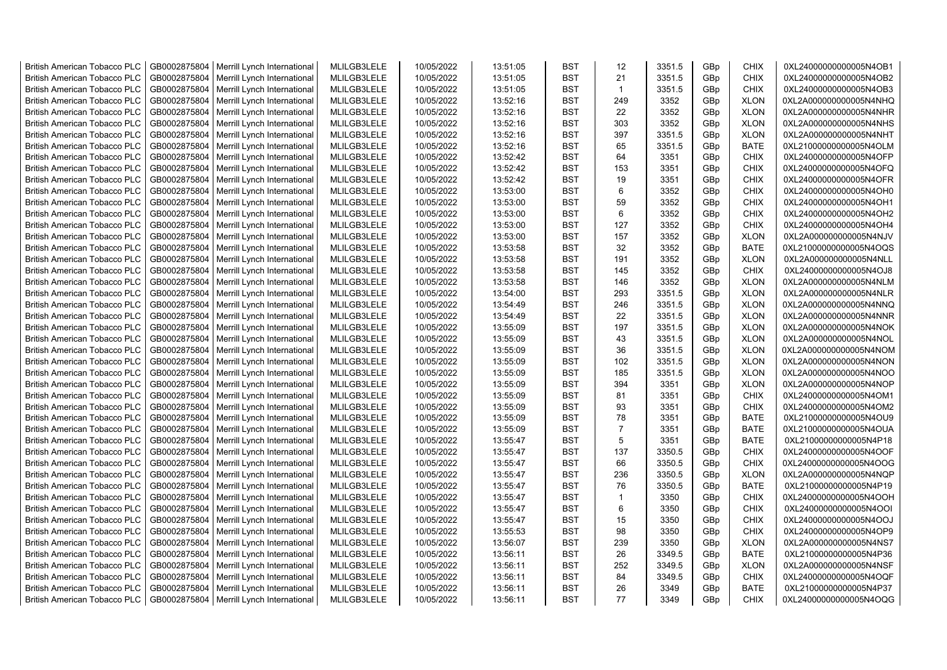| <b>British American Tobacco PLC</b> | GB0002875804 | Merrill Lynch International | MLILGB3LELE | 10/05/2022 | 13:51:05 | <b>BST</b> | 12             | 3351.5 | GBp             | <b>CHIX</b> | 0XL24000000000005N4OB1 |
|-------------------------------------|--------------|-----------------------------|-------------|------------|----------|------------|----------------|--------|-----------------|-------------|------------------------|
| <b>British American Tobacco PLC</b> | GB0002875804 | Merrill Lynch International | MLILGB3LELE | 10/05/2022 | 13:51:05 | <b>BST</b> | 21             | 3351.5 | GBp             | <b>CHIX</b> | 0XL24000000000005N4OB2 |
| <b>British American Tobacco PLC</b> | GB0002875804 | Merrill Lynch International | MLILGB3LELE | 10/05/2022 | 13:51:05 | <b>BST</b> | $\mathbf{1}$   | 3351.5 | GBp             | <b>CHIX</b> | 0XL24000000000005N4OB3 |
| <b>British American Tobacco PLC</b> | GB0002875804 | Merrill Lynch International | MLILGB3LELE | 10/05/2022 | 13:52:16 | <b>BST</b> | 249            | 3352   | GBp             | <b>XLON</b> | 0XL2A000000000005N4NHQ |
| <b>British American Tobacco PLC</b> | GB0002875804 | Merrill Lynch International | MLILGB3LELE | 10/05/2022 | 13:52:16 | <b>BST</b> | 22             | 3352   | GBp             | <b>XLON</b> | 0XL2A000000000005N4NHR |
| <b>British American Tobacco PLC</b> | GB0002875804 | Merrill Lynch International | MLILGB3LELE | 10/05/2022 | 13:52:16 | <b>BST</b> | 303            | 3352   | GBp             | <b>XLON</b> | 0XL2A000000000005N4NHS |
| British American Tobacco PLC        | GB0002875804 | Merrill Lynch International | MLILGB3LELE | 10/05/2022 | 13:52:16 | <b>BST</b> | 397            | 3351.5 | GBp             | <b>XLON</b> | 0XL2A000000000005N4NHT |
| <b>British American Tobacco PLC</b> | GB0002875804 | Merrill Lynch International | MLILGB3LELE | 10/05/2022 | 13:52:16 | <b>BST</b> | 65             | 3351.5 | GBp             | <b>BATE</b> | 0XL21000000000005N4OLM |
| <b>British American Tobacco PLC</b> | GB0002875804 | Merrill Lynch International | MLILGB3LELE | 10/05/2022 | 13:52:42 | <b>BST</b> | 64             | 3351   | GBp             | <b>CHIX</b> | 0XL24000000000005N4OFP |
| <b>British American Tobacco PLC</b> | GB0002875804 | Merrill Lynch International | MLILGB3LELE | 10/05/2022 | 13:52:42 | <b>BST</b> | 153            | 3351   | GBp             | <b>CHIX</b> | 0XL24000000000005N4OFQ |
| <b>British American Tobacco PLC</b> | GB0002875804 | Merrill Lynch International | MLILGB3LELE | 10/05/2022 | 13:52:42 | <b>BST</b> | 19             | 3351   | GBp             | <b>CHIX</b> | 0XL24000000000005N4OFR |
| <b>British American Tobacco PLC</b> | GB0002875804 | Merrill Lynch International | MLILGB3LELE | 10/05/2022 | 13:53:00 | <b>BST</b> | 6              | 3352   | GBp             | <b>CHIX</b> | 0XL24000000000005N4OH0 |
| <b>British American Tobacco PLC</b> | GB0002875804 | Merrill Lynch International | MLILGB3LELE | 10/05/2022 | 13:53:00 | <b>BST</b> | 59             | 3352   | GBp             | <b>CHIX</b> | 0XL24000000000005N4OH1 |
| <b>British American Tobacco PLC</b> | GB0002875804 | Merrill Lynch International | MLILGB3LELE | 10/05/2022 | 13:53:00 | <b>BST</b> | 6              | 3352   | GBp             | <b>CHIX</b> | 0XL24000000000005N4OH2 |
| <b>British American Tobacco PLC</b> | GB0002875804 | Merrill Lynch International | MLILGB3LELE | 10/05/2022 | 13:53:00 | <b>BST</b> | 127            | 3352   | GBp             | <b>CHIX</b> | 0XL24000000000005N4OH4 |
| British American Tobacco PLC        | GB0002875804 | Merrill Lynch International | MLILGB3LELE | 10/05/2022 | 13:53:00 | <b>BST</b> | 157            | 3352   | GBp             | <b>XLON</b> | 0XL2A000000000005N4NJV |
| British American Tobacco PLC        | GB0002875804 | Merrill Lynch International | MLILGB3LELE | 10/05/2022 | 13:53:58 | <b>BST</b> | 32             | 3352   | GBp             | <b>BATE</b> | 0XL21000000000005N4OQS |
| <b>British American Tobacco PLC</b> | GB0002875804 | Merrill Lynch International | MLILGB3LELE | 10/05/2022 | 13:53:58 | <b>BST</b> | 191            | 3352   | GBp             | <b>XLON</b> | 0XL2A000000000005N4NLL |
| <b>British American Tobacco PLC</b> | GB0002875804 | Merrill Lynch International | MLILGB3LELE | 10/05/2022 | 13:53:58 | <b>BST</b> | 145            | 3352   | GBp             | <b>CHIX</b> | 0XL24000000000005N4OJ8 |
| <b>British American Tobacco PLC</b> | GB0002875804 | Merrill Lynch International | MLILGB3LELE | 10/05/2022 | 13:53:58 | <b>BST</b> | 146            | 3352   | GBp             | <b>XLON</b> | 0XL2A000000000005N4NLM |
| <b>British American Tobacco PLC</b> | GB0002875804 | Merrill Lynch International | MLILGB3LELE | 10/05/2022 | 13:54:00 | <b>BST</b> | 293            | 3351.5 | GBp             | <b>XLON</b> | 0XL2A000000000005N4NLR |
| <b>British American Tobacco PLC</b> | GB0002875804 | Merrill Lynch International | MLILGB3LELE | 10/05/2022 | 13:54:49 | <b>BST</b> | 246            | 3351.5 | GBp             | <b>XLON</b> | 0XL2A000000000005N4NNQ |
| <b>British American Tobacco PLC</b> | GB0002875804 | Merrill Lynch International | MLILGB3LELE | 10/05/2022 | 13:54:49 | <b>BST</b> | 22             | 3351.5 | GBp             | <b>XLON</b> | 0XL2A000000000005N4NNR |
| <b>British American Tobacco PLC</b> | GB0002875804 | Merrill Lynch International | MLILGB3LELE | 10/05/2022 | 13:55:09 | <b>BST</b> | 197            | 3351.5 | GBp             | <b>XLON</b> | 0XL2A000000000005N4NOK |
| <b>British American Tobacco PLC</b> | GB0002875804 | Merrill Lynch International | MLILGB3LELE | 10/05/2022 | 13:55:09 | <b>BST</b> | 43             | 3351.5 | GBp             | <b>XLON</b> | 0XL2A000000000005N4NOL |
| <b>British American Tobacco PLC</b> | GB0002875804 | Merrill Lynch International | MLILGB3LELE | 10/05/2022 | 13:55:09 | <b>BST</b> | 36             | 3351.5 | GBp             | <b>XLON</b> | 0XL2A000000000005N4NOM |
| <b>British American Tobacco PLC</b> | GB0002875804 | Merrill Lynch International | MLILGB3LELE | 10/05/2022 | 13:55:09 | <b>BST</b> | 102            | 3351.5 | GBp             | <b>XLON</b> | 0XL2A000000000005N4NON |
| <b>British American Tobacco PLC</b> | GB0002875804 | Merrill Lynch International | MLILGB3LELE | 10/05/2022 | 13:55:09 | <b>BST</b> | 185            | 3351.5 | GBp             | <b>XLON</b> | 0XL2A000000000005N4NOO |
| <b>British American Tobacco PLC</b> | GB0002875804 | Merrill Lynch International | MLILGB3LELE | 10/05/2022 | 13:55:09 | <b>BST</b> | 394            | 3351   | GBp             | <b>XLON</b> | 0XL2A000000000005N4NOP |
| <b>British American Tobacco PLC</b> | GB0002875804 | Merrill Lynch International | MLILGB3LELE | 10/05/2022 | 13:55:09 | <b>BST</b> | 81             | 3351   | GBp             | <b>CHIX</b> | 0XL24000000000005N4OM1 |
| <b>British American Tobacco PLC</b> | GB0002875804 | Merrill Lynch International | MLILGB3LELE | 10/05/2022 | 13:55:09 | <b>BST</b> | 93             | 3351   | GBp             | <b>CHIX</b> | 0XL24000000000005N4OM2 |
| <b>British American Tobacco PLC</b> | GB0002875804 | Merrill Lynch International | MLILGB3LELE | 10/05/2022 | 13:55:09 | <b>BST</b> | 78             | 3351   | GBp             | <b>BATE</b> | 0XL21000000000005N4OU9 |
| <b>British American Tobacco PLC</b> | GB0002875804 | Merrill Lynch International | MLILGB3LELE | 10/05/2022 | 13:55:09 | <b>BST</b> | $\overline{7}$ | 3351   | GBp             | <b>BATE</b> | 0XL21000000000005N4OUA |
| <b>British American Tobacco PLC</b> | GB0002875804 | Merrill Lynch International | MLILGB3LELE | 10/05/2022 | 13:55:47 | <b>BST</b> | 5              | 3351   | GBp             | <b>BATE</b> | 0XL21000000000005N4P18 |
| <b>British American Tobacco PLC</b> | GB0002875804 | Merrill Lynch International | MLILGB3LELE | 10/05/2022 | 13:55:47 | <b>BST</b> | 137            | 3350.5 | GBp             | <b>CHIX</b> | 0XL24000000000005N4OOF |
| British American Tobacco PLC        | GB0002875804 | Merrill Lynch International | MLILGB3LELE | 10/05/2022 | 13:55:47 | <b>BST</b> | 66             | 3350.5 | GBp             | <b>CHIX</b> | 0XL24000000000005N4OOG |
| <b>British American Tobacco PLC</b> | GB0002875804 | Merrill Lynch International | MLILGB3LELE | 10/05/2022 | 13:55:47 | <b>BST</b> | 236            | 3350.5 | GBp             | <b>XLON</b> | 0XL2A000000000005N4NQP |
| <b>British American Tobacco PLC</b> | GB0002875804 | Merrill Lynch International | MLILGB3LELE | 10/05/2022 | 13:55:47 | <b>BST</b> | 76             | 3350.5 | GBp             | <b>BATE</b> | 0XL21000000000005N4P19 |
| <b>British American Tobacco PLC</b> | GB0002875804 | Merrill Lynch International | MLILGB3LELE | 10/05/2022 | 13:55:47 | <b>BST</b> | $\mathbf{1}$   | 3350   | GBp             | <b>CHIX</b> | 0XL24000000000005N4OOH |
| <b>British American Tobacco PLC</b> | GB0002875804 | Merrill Lynch International | MLILGB3LELE | 10/05/2022 | 13:55:47 | <b>BST</b> | 6              | 3350   | GBp             | <b>CHIX</b> | 0XL24000000000005N4OOI |
| <b>British American Tobacco PLC</b> | GB0002875804 | Merrill Lynch International | MLILGB3LELE | 10/05/2022 | 13:55:47 | <b>BST</b> | 15             | 3350   | GBp             | <b>CHIX</b> | 0XL24000000000005N4OOJ |
| <b>British American Tobacco PLC</b> | GB0002875804 | Merrill Lynch International | MLILGB3LELE | 10/05/2022 | 13:55:53 | <b>BST</b> | 98             | 3350   | GBp             | <b>CHIX</b> | 0XL24000000000005N4OP9 |
| <b>British American Tobacco PLC</b> | GB0002875804 | Merrill Lynch International | MLILGB3LELE | 10/05/2022 | 13:56:07 | <b>BST</b> | 239            | 3350   | GBp             | <b>XLON</b> | 0XL2A000000000005N4NS7 |
| <b>British American Tobacco PLC</b> | GB0002875804 | Merrill Lynch International | MLILGB3LELE | 10/05/2022 | 13:56:11 | <b>BST</b> | 26             | 3349.5 | GBp             | <b>BATE</b> | 0XL21000000000005N4P36 |
| <b>British American Tobacco PLC</b> | GB0002875804 | Merrill Lynch International | MLILGB3LELE | 10/05/2022 | 13:56:11 | <b>BST</b> | 252            | 3349.5 | GBp             | <b>XLON</b> | 0XL2A000000000005N4NSF |
| <b>British American Tobacco PLC</b> | GB0002875804 | Merrill Lynch International | MLILGB3LELE | 10/05/2022 | 13:56:11 | <b>BST</b> | 84             | 3349.5 | GBp             | <b>CHIX</b> | 0XL24000000000005N4OQF |
| <b>British American Tobacco PLC</b> | GB0002875804 | Merrill Lynch International | MLILGB3LELE | 10/05/2022 | 13:56:11 | <b>BST</b> | 26             | 3349   | GBp             | <b>BATE</b> | 0XL21000000000005N4P37 |
| <b>British American Tobacco PLC</b> | GB0002875804 | Merrill Lynch International | MLILGB3LELE | 10/05/2022 | 13:56:11 | <b>BST</b> | 77             | 3349   | GB <sub>p</sub> | <b>CHIX</b> | 0XL24000000000005N4OQG |
|                                     |              |                             |             |            |          |            |                |        |                 |             |                        |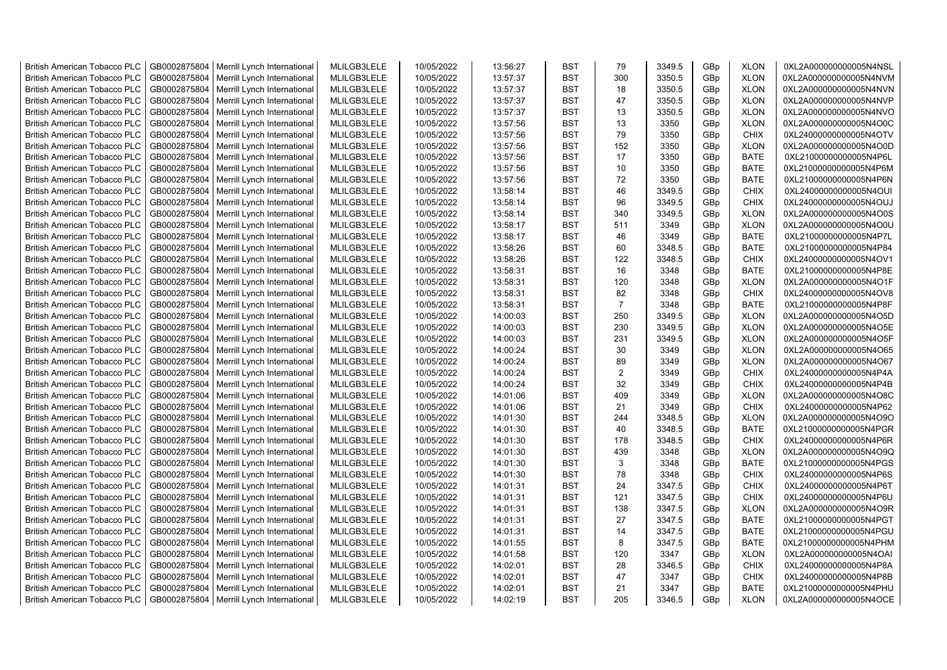| <b>British American Tobacco PLC</b> | GB0002875804 | Merrill Lynch International | MLILGB3LELE | 10/05/2022 | 13:56:27 | <b>BST</b> | 79             | 3349.5 | GBp             | <b>XLON</b> | 0XL2A000000000005N4NSL |
|-------------------------------------|--------------|-----------------------------|-------------|------------|----------|------------|----------------|--------|-----------------|-------------|------------------------|
| <b>British American Tobacco PLC</b> | GB0002875804 | Merrill Lynch International | MLILGB3LELE | 10/05/2022 | 13:57:37 | <b>BST</b> | 300            | 3350.5 | GBp             | <b>XLON</b> | 0XL2A000000000005N4NVM |
| <b>British American Tobacco PLC</b> | GB0002875804 | Merrill Lynch International | MLILGB3LELE | 10/05/2022 | 13:57:37 | <b>BST</b> | 18             | 3350.5 | GBp             | <b>XLON</b> | 0XL2A000000000005N4NVN |
| <b>British American Tobacco PLC</b> | GB0002875804 | Merrill Lynch International | MLILGB3LELE | 10/05/2022 | 13:57:37 | <b>BST</b> | 47             | 3350.5 | GBp             | <b>XLON</b> | 0XL2A000000000005N4NVP |
| <b>British American Tobacco PLC</b> | GB0002875804 | Merrill Lynch International | MLILGB3LELE | 10/05/2022 | 13:57:37 | <b>BST</b> | 13             | 3350.5 | GBp             | <b>XLON</b> | 0XL2A000000000005N4NVO |
| <b>British American Tobacco PLC</b> | GB0002875804 | Merrill Lynch International | MLILGB3LELE | 10/05/2022 | 13:57:56 | <b>BST</b> | 13             | 3350   | GBp             | <b>XLON</b> | 0XL2A000000000005N4O0C |
| <b>British American Tobacco PLC</b> | GB0002875804 | Merrill Lynch International | MLILGB3LELE | 10/05/2022 | 13:57:56 | <b>BST</b> | 79             | 3350   | GBp             | <b>CHIX</b> | 0XL24000000000005N4OTV |
| <b>British American Tobacco PLC</b> | GB0002875804 | Merrill Lynch International | MLILGB3LELE | 10/05/2022 | 13:57:56 | <b>BST</b> | 152            | 3350   | GBp             | <b>XLON</b> | 0XL2A000000000005N4O0D |
| <b>British American Tobacco PLC</b> | GB0002875804 | Merrill Lynch International | MLILGB3LELE | 10/05/2022 | 13:57:56 | <b>BST</b> | 17             | 3350   | GBp             | <b>BATE</b> | 0XL21000000000005N4P6L |
| <b>British American Tobacco PLC</b> | GB0002875804 | Merrill Lynch International | MLILGB3LELE | 10/05/2022 | 13:57:56 | <b>BST</b> | 10             | 3350   | GBp             | <b>BATE</b> | 0XL21000000000005N4P6M |
| <b>British American Tobacco PLC</b> | GB0002875804 | Merrill Lynch International | MLILGB3LELE | 10/05/2022 | 13:57:56 | <b>BST</b> | 72             | 3350   | GBp             | <b>BATE</b> | 0XL21000000000005N4P6N |
| <b>British American Tobacco PLC</b> | GB0002875804 | Merrill Lynch International | MLILGB3LELE | 10/05/2022 | 13:58:14 | <b>BST</b> | 46             | 3349.5 | GBp             | <b>CHIX</b> | 0XL24000000000005N4OUI |
| <b>British American Tobacco PLC</b> | GB0002875804 | Merrill Lynch International | MLILGB3LELE | 10/05/2022 | 13:58:14 | <b>BST</b> | 96             | 3349.5 | GBp             | <b>CHIX</b> | 0XL24000000000005N4OUJ |
| <b>British American Tobacco PLC</b> | GB0002875804 | Merrill Lynch International | MLILGB3LELE | 10/05/2022 | 13:58:14 | <b>BST</b> | 340            | 3349.5 | GBp             | <b>XLON</b> | 0XL2A000000000005N4O0S |
| <b>British American Tobacco PLC</b> | GB0002875804 | Merrill Lynch International | MLILGB3LELE | 10/05/2022 | 13:58:17 | <b>BST</b> | 511            | 3349   | GBp             | <b>XLON</b> | 0XL2A000000000005N4O0U |
| <b>British American Tobacco PLC</b> | GB0002875804 | Merrill Lynch International | MLILGB3LELE | 10/05/2022 | 13:58:17 | <b>BST</b> | 46             | 3349   | GBp             | <b>BATE</b> | 0XL21000000000005N4P7L |
| <b>British American Tobacco PLC</b> | GB0002875804 | Merrill Lynch International | MLILGB3LELE | 10/05/2022 | 13:58:26 | <b>BST</b> | 60             | 3348.5 | GBp             | <b>BATE</b> | 0XL21000000000005N4P84 |
| <b>British American Tobacco PLC</b> | GB0002875804 | Merrill Lynch International | MLILGB3LELE | 10/05/2022 | 13:58:26 | <b>BST</b> | 122            | 3348.5 | GBp             | <b>CHIX</b> | 0XL24000000000005N4OV1 |
| <b>British American Tobacco PLC</b> | GB0002875804 | Merrill Lynch International | MLILGB3LELE | 10/05/2022 | 13:58:31 | <b>BST</b> | 16             | 3348   | GBp             | <b>BATE</b> | 0XL21000000000005N4P8E |
| <b>British American Tobacco PLC</b> | GB0002875804 | Merrill Lynch International | MLILGB3LELE | 10/05/2022 | 13:58:31 | <b>BST</b> | 120            | 3348   | GBp             | <b>XLON</b> | 0XL2A000000000005N4O1F |
| <b>British American Tobacco PLC</b> | GB0002875804 | Merrill Lynch International | MLILGB3LELE | 10/05/2022 | 13:58:31 | <b>BST</b> | 82             | 3348   | GBp             | <b>CHIX</b> | 0XL24000000000005N4OV8 |
| <b>British American Tobacco PLC</b> | GB0002875804 | Merrill Lynch International | MLILGB3LELE | 10/05/2022 | 13:58:31 | <b>BST</b> | $\overline{7}$ | 3348   | GBp             | <b>BATE</b> | 0XL21000000000005N4P8F |
|                                     |              |                             | MLILGB3LELE |            |          | <b>BST</b> | 250            | 3349.5 |                 | <b>XLON</b> |                        |
| <b>British American Tobacco PLC</b> | GB0002875804 | Merrill Lynch International |             | 10/05/2022 | 14:00:03 |            |                |        | GBp             |             | 0XL2A000000000005N4O5D |
| <b>British American Tobacco PLC</b> | GB0002875804 | Merrill Lynch International | MLILGB3LELE | 10/05/2022 | 14:00:03 | <b>BST</b> | 230            | 3349.5 | GBp             | <b>XLON</b> | 0XL2A000000000005N4O5E |
| <b>British American Tobacco PLC</b> | GB0002875804 | Merrill Lynch International | MLILGB3LELE | 10/05/2022 | 14:00:03 | <b>BST</b> | 231            | 3349.5 | GBp             | <b>XLON</b> | 0XL2A000000000005N4O5F |
| <b>British American Tobacco PLC</b> | GB0002875804 | Merrill Lynch International | MLILGB3LELE | 10/05/2022 | 14:00:24 | <b>BST</b> | 30             | 3349   | GBp             | <b>XLON</b> | 0XL2A000000000005N4O65 |
| <b>British American Tobacco PLC</b> | GB0002875804 | Merrill Lynch International | MLILGB3LELE | 10/05/2022 | 14:00:24 | <b>BST</b> | 89             | 3349   | GBp             | <b>XLON</b> | 0XL2A000000000005N4O67 |
| British American Tobacco PLC        | GB0002875804 | Merrill Lynch International | MLILGB3LELE | 10/05/2022 | 14:00:24 | <b>BST</b> | $\overline{2}$ | 3349   | GBp             | CHIX        | 0XL24000000000005N4P4A |
| <b>British American Tobacco PLC</b> | GB0002875804 | Merrill Lynch International | MLILGB3LELE | 10/05/2022 | 14:00:24 | <b>BST</b> | 32             | 3349   | GBp             | <b>CHIX</b> | 0XL24000000000005N4P4B |
| <b>British American Tobacco PLC</b> | GB0002875804 | Merrill Lynch International | MLILGB3LELE | 10/05/2022 | 14:01:06 | <b>BST</b> | 409            | 3349   | GBp             | <b>XLON</b> | 0XL2A000000000005N4O8C |
| <b>British American Tobacco PLC</b> | GB0002875804 | Merrill Lynch International | MLILGB3LELE | 10/05/2022 | 14:01:06 | <b>BST</b> | 21             | 3349   | GBp             | <b>CHIX</b> | 0XL24000000000005N4P62 |
| <b>British American Tobacco PLC</b> | GB0002875804 | Merrill Lynch International | MLILGB3LELE | 10/05/2022 | 14:01:30 | <b>BST</b> | 244            | 3348.5 | GBp             | <b>XLON</b> | 0XL2A000000000005N4O9O |
| <b>British American Tobacco PLC</b> | GB0002875804 | Merrill Lynch International | MLILGB3LELE | 10/05/2022 | 14:01:30 | <b>BST</b> | 40             | 3348.5 | GBp             | <b>BATE</b> | 0XL21000000000005N4PGR |
| British American Tobacco PLC        | GB0002875804 | Merrill Lynch International | MLILGB3LELE | 10/05/2022 | 14:01:30 | <b>BST</b> | 178            | 3348.5 | GBp             | <b>CHIX</b> | 0XL24000000000005N4P6R |
| <b>British American Tobacco PLC</b> | GB0002875804 | Merrill Lynch International | MLILGB3LELE | 10/05/2022 | 14:01:30 | <b>BST</b> | 439            | 3348   | GBp             | <b>XLON</b> | 0XL2A000000000005N4O9Q |
| <b>British American Tobacco PLC</b> | GB0002875804 | Merrill Lynch International | MLILGB3LELE | 10/05/2022 | 14:01:30 | <b>BST</b> | 3              | 3348   | GBp             | <b>BATE</b> | 0XL21000000000005N4PGS |
| <b>British American Tobacco PLC</b> | GB0002875804 | Merrill Lynch International | MLILGB3LELE | 10/05/2022 | 14:01:30 | <b>BST</b> | 78             | 3348   | GBp             | <b>CHIX</b> | 0XL24000000000005N4P6S |
| <b>British American Tobacco PLC</b> | GB0002875804 | Merrill Lynch International | MLILGB3LELE | 10/05/2022 | 14:01:31 | <b>BST</b> | 24             | 3347.5 | GBp             | <b>CHIX</b> | 0XL24000000000005N4P6T |
| <b>British American Tobacco PLC</b> | GB0002875804 | Merrill Lynch International | MLILGB3LELE | 10/05/2022 | 14:01:31 | <b>BST</b> | 121            | 3347.5 | GBp             | <b>CHIX</b> | 0XL24000000000005N4P6U |
| <b>British American Tobacco PLC</b> | GB0002875804 | Merrill Lynch International | MLILGB3LELE | 10/05/2022 | 14:01:31 | <b>BST</b> | 138            | 3347.5 | GBp             | <b>XLON</b> | 0XL2A000000000005N4O9R |
| <b>British American Tobacco PLC</b> | GB0002875804 | Merrill Lynch International | MLILGB3LELE | 10/05/2022 | 14:01:31 | <b>BST</b> | 27             | 3347.5 | GBp             | <b>BATE</b> | 0XL21000000000005N4PGT |
| <b>British American Tobacco PLC</b> | GB0002875804 | Merrill Lynch International | MLILGB3LELE | 10/05/2022 | 14:01:31 | <b>BST</b> | 14             | 3347.5 | GBp             | <b>BATE</b> | 0XL21000000000005N4PGU |
| <b>British American Tobacco PLC</b> | GB0002875804 | Merrill Lynch International | MLILGB3LELE | 10/05/2022 | 14:01:55 | <b>BST</b> | 8              | 3347.5 | GBp             | <b>BATE</b> | 0XL21000000000005N4PHM |
| <b>British American Tobacco PLC</b> | GB0002875804 | Merrill Lynch International | MLILGB3LELE | 10/05/2022 | 14:01:58 | <b>BST</b> | 120            | 3347   | GBp             | <b>XLON</b> | 0XL2A000000000005N4OAI |
| British American Tobacco PLC        | GB0002875804 | Merrill Lynch International | MLILGB3LELE | 10/05/2022 | 14:02:01 | <b>BST</b> | 28             | 3346.5 | GBp             | <b>CHIX</b> | 0XL24000000000005N4P8A |
| <b>British American Tobacco PLC</b> | GB0002875804 | Merrill Lynch International | MLILGB3LELE | 10/05/2022 | 14:02:01 | <b>BST</b> | 47             | 3347   | GBp             | <b>CHIX</b> | 0XL24000000000005N4P8B |
| <b>British American Tobacco PLC</b> | GB0002875804 | Merrill Lynch International | MLILGB3LELE | 10/05/2022 | 14:02:01 | <b>BST</b> | 21             | 3347   | GBp             | <b>BATE</b> | 0XL21000000000005N4PHU |
| <b>British American Tobacco PLC</b> | GB0002875804 | Merrill Lynch International | MLILGB3LELE | 10/05/2022 | 14:02:19 | <b>BST</b> | 205            | 3346.5 | GB <sub>p</sub> | <b>XLON</b> | 0XL2A000000000005N4OCE |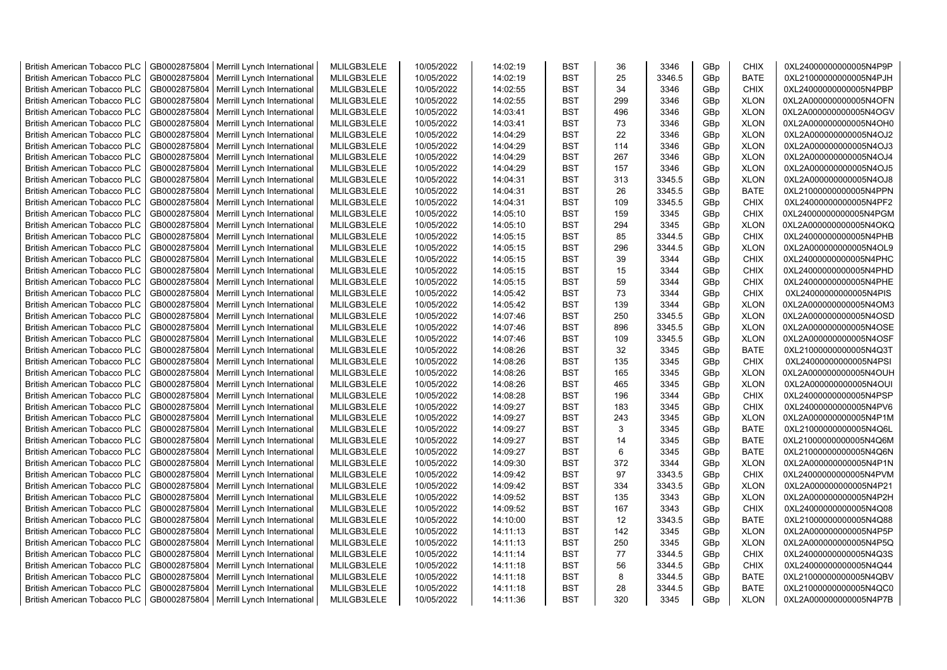| <b>British American Tobacco PLC</b>                                        | GB0002875804 | Merrill Lynch International                                | MLILGB3LELE | 10/05/2022 | 14:02:19 | <b>BST</b> | 36              | 3346   | GBp             | <b>CHIX</b> | 0XL24000000000005N4P9P                           |
|----------------------------------------------------------------------------|--------------|------------------------------------------------------------|-------------|------------|----------|------------|-----------------|--------|-----------------|-------------|--------------------------------------------------|
| <b>British American Tobacco PLC</b>                                        | GB0002875804 | Merrill Lynch International                                | MLILGB3LELE | 10/05/2022 | 14:02:19 | <b>BST</b> | 25              | 3346.5 | GBp             | <b>BATE</b> | 0XL21000000000005N4PJH                           |
| <b>British American Tobacco PLC</b>                                        | GB0002875804 | Merrill Lynch International                                | MLILGB3LELE | 10/05/2022 | 14:02:55 | <b>BST</b> | 34              | 3346   | GBp             | <b>CHIX</b> | 0XL24000000000005N4PBP                           |
| <b>British American Tobacco PLC</b>                                        | GB0002875804 | Merrill Lynch International                                | MLILGB3LELE | 10/05/2022 | 14:02:55 | <b>BST</b> | 299             | 3346   | GBp             | <b>XLON</b> | 0XL2A000000000005N4OFN                           |
| <b>British American Tobacco PLC</b>                                        | GB0002875804 | Merrill Lynch International                                | MLILGB3LELE | 10/05/2022 | 14:03:41 | <b>BST</b> | 496             | 3346   | GBp             | <b>XLON</b> | 0XL2A000000000005N4OGV                           |
| <b>British American Tobacco PLC</b>                                        | GB0002875804 | Merrill Lynch International                                | MLILGB3LELE | 10/05/2022 | 14:03:41 | <b>BST</b> | 73              | 3346   | GBp             | <b>XLON</b> | 0XL2A000000000005N4OH0                           |
| <b>British American Tobacco PLC</b>                                        | GB0002875804 | Merrill Lynch International                                | MLILGB3LELE | 10/05/2022 | 14:04:29 | <b>BST</b> | 22              | 3346   | GBp             | <b>XLON</b> | 0XL2A000000000005N4OJ2                           |
| <b>British American Tobacco PLC</b>                                        | GB0002875804 | Merrill Lynch International                                | MLILGB3LELE | 10/05/2022 | 14:04:29 | <b>BST</b> | 114             | 3346   | GBp             | <b>XLON</b> | 0XL2A000000000005N4OJ3                           |
| <b>British American Tobacco PLC</b>                                        | GB0002875804 | Merrill Lynch International                                | MLILGB3LELE | 10/05/2022 | 14:04:29 | <b>BST</b> | 267             | 3346   | GBp             | <b>XLON</b> | 0XL2A000000000005N4OJ4                           |
| <b>British American Tobacco PLC</b>                                        | GB0002875804 | Merrill Lynch International                                | MLILGB3LELE | 10/05/2022 | 14:04:29 | <b>BST</b> | 157             | 3346   | GBp             | <b>XLON</b> | 0XL2A000000000005N4OJ5                           |
| <b>British American Tobacco PLC</b>                                        | GB0002875804 | Merrill Lynch International                                | MLILGB3LELE | 10/05/2022 | 14:04:31 | <b>BST</b> | 313             | 3345.5 | GBp             | <b>XLON</b> | 0XL2A000000000005N4OJ8                           |
| <b>British American Tobacco PLC</b>                                        | GB0002875804 | Merrill Lynch International                                | MLILGB3LELE | 10/05/2022 | 14:04:31 | <b>BST</b> | 26              | 3345.5 | GBp             | <b>BATE</b> | 0XL21000000000005N4PPN                           |
| <b>British American Tobacco PLC</b>                                        | GB0002875804 | Merrill Lynch International                                | MLILGB3LELE | 10/05/2022 | 14:04:31 | <b>BST</b> | 109             | 3345.5 | GBp             | <b>CHIX</b> | 0XL24000000000005N4PF2                           |
| <b>British American Tobacco PLC</b>                                        | GB0002875804 | Merrill Lynch International                                | MLILGB3LELE | 10/05/2022 | 14:05:10 | <b>BST</b> | 159             | 3345   | GBp             | <b>CHIX</b> | 0XL24000000000005N4PGM                           |
| <b>British American Tobacco PLC</b>                                        | GB0002875804 | Merrill Lynch International                                | MLILGB3LELE | 10/05/2022 | 14:05:10 | <b>BST</b> | 294             | 3345   | GBp             | <b>XLON</b> | 0XL2A000000000005N4OKQ                           |
| <b>British American Tobacco PLC</b>                                        | GB0002875804 | Merrill Lynch International                                | MLILGB3LELE | 10/05/2022 | 14:05:15 | <b>BST</b> | 85              | 3344.5 | GBp             | <b>CHIX</b> | 0XL24000000000005N4PHB                           |
| <b>British American Tobacco PLC</b>                                        | GB0002875804 | Merrill Lynch International                                | MLILGB3LELE | 10/05/2022 | 14:05:15 | <b>BST</b> | 296             | 3344.5 | GBp             | <b>XLON</b> | 0XL2A000000000005N4OL9                           |
| <b>British American Tobacco PLC</b>                                        | GB0002875804 | Merrill Lynch International                                | MLILGB3LELE | 10/05/2022 | 14:05:15 | <b>BST</b> | 39              | 3344   | GBp             | <b>CHIX</b> | 0XL24000000000005N4PHC                           |
| <b>British American Tobacco PLC</b>                                        | GB0002875804 | Merrill Lynch International                                | MLILGB3LELE | 10/05/2022 | 14:05:15 | <b>BST</b> | 15              | 3344   | GBp             | <b>CHIX</b> | 0XL24000000000005N4PHD                           |
| <b>British American Tobacco PLC</b>                                        | GB0002875804 | Merrill Lynch International                                | MLILGB3LELE | 10/05/2022 | 14:05:15 | <b>BST</b> | 59              | 3344   | GBp             | <b>CHIX</b> | 0XL24000000000005N4PHE                           |
| <b>British American Tobacco PLC</b>                                        | GB0002875804 | Merrill Lynch International                                | MLILGB3LELE | 10/05/2022 | 14:05:42 | <b>BST</b> | 73              | 3344   | GBp             | <b>CHIX</b> | 0XL24000000000005N4PIS                           |
| <b>British American Tobacco PLC</b>                                        | GB0002875804 | Merrill Lynch International                                | MLILGB3LELE | 10/05/2022 | 14:05:42 | <b>BST</b> | 139             | 3344   | GBp             | <b>XLON</b> | 0XL2A000000000005N4OM3                           |
| <b>British American Tobacco PLC</b>                                        | GB0002875804 | Merrill Lynch International                                | MLILGB3LELE | 10/05/2022 | 14:07:46 | <b>BST</b> | 250             | 3345.5 | GBp             | <b>XLON</b> | 0XL2A000000000005N4OSD                           |
| <b>British American Tobacco PLC</b>                                        | GB0002875804 | Merrill Lynch International                                | MLILGB3LELE | 10/05/2022 | 14:07:46 | <b>BST</b> | 896             | 3345.5 | GBp             | <b>XLON</b> | 0XL2A000000000005N4OSE                           |
| <b>British American Tobacco PLC</b>                                        | GB0002875804 | Merrill Lynch International                                | MLILGB3LELE | 10/05/2022 | 14:07:46 | <b>BST</b> | 109             | 3345.5 | GBp             | <b>XLON</b> | 0XL2A000000000005N4OSF                           |
| <b>British American Tobacco PLC</b>                                        | GB0002875804 | Merrill Lynch International                                | MLILGB3LELE | 10/05/2022 | 14:08:26 | <b>BST</b> | 32              | 3345   | GBp             | <b>BATE</b> | 0XL21000000000005N4Q3T                           |
| <b>British American Tobacco PLC</b>                                        | GB0002875804 | Merrill Lynch International                                | MLILGB3LELE | 10/05/2022 | 14:08:26 | <b>BST</b> | 135             | 3345   | GBp             | <b>CHIX</b> | 0XL24000000000005N4PSI                           |
| <b>British American Tobacco PLC</b>                                        | GB0002875804 | Merrill Lynch International                                | MLILGB3LELE | 10/05/2022 | 14:08:26 | <b>BST</b> | 165             | 3345   | GBp             | <b>XLON</b> | 0XL2A000000000005N4OUH                           |
| <b>British American Tobacco PLC</b>                                        | GB0002875804 | Merrill Lynch International                                | MLILGB3LELE | 10/05/2022 | 14:08:26 | BST        | 465             | 3345   | GBp             | <b>XLON</b> | 0XL2A000000000005N4OUI                           |
| <b>British American Tobacco PLC</b>                                        | GB0002875804 | Merrill Lynch International                                | MLILGB3LELE | 10/05/2022 | 14:08:28 | <b>BST</b> | 196             | 3344   | GBp             | <b>CHIX</b> | 0XL24000000000005N4PSP                           |
| <b>British American Tobacco PLC</b>                                        | GB0002875804 | Merrill Lynch International                                | MLILGB3LELE | 10/05/2022 | 14:09:27 | <b>BST</b> | 183             | 3345   | GBp             | <b>CHIX</b> | 0XL24000000000005N4PV6                           |
| <b>British American Tobacco PLC</b>                                        | GB0002875804 | Merrill Lynch International                                | MLILGB3LELE | 10/05/2022 | 14:09:27 | <b>BST</b> | 243             | 3345   | GBp             | <b>XLON</b> | 0XL2A000000000005N4P1M                           |
| <b>British American Tobacco PLC</b>                                        | GB0002875804 | Merrill Lynch International                                | MLILGB3LELE | 10/05/2022 | 14:09:27 | <b>BST</b> | 3               | 3345   | GBp             | <b>BATE</b> |                                                  |
| <b>British American Tobacco PLC</b>                                        | GB0002875804 | Merrill Lynch International                                | MLILGB3LELE | 10/05/2022 | 14:09:27 | <b>BST</b> | 14              | 3345   |                 | <b>BATE</b> | 0XL21000000000005N4Q6L<br>0XL21000000000005N4Q6M |
|                                                                            | GB0002875804 | Merrill Lynch International                                | MLILGB3LELE | 10/05/2022 | 14:09:27 | <b>BST</b> | 6               | 3345   | GBp             | <b>BATE</b> | 0XL21000000000005N4Q6N                           |
| <b>British American Tobacco PLC</b><br><b>British American Tobacco PLC</b> | GB0002875804 | Merrill Lynch International                                | MLILGB3LELE | 10/05/2022 | 14:09:30 | <b>BST</b> | 372             | 3344   | GBp<br>GBp      | <b>XLON</b> | 0XL2A000000000005N4P1N                           |
| <b>British American Tobacco PLC</b>                                        | GB0002875804 |                                                            | MLILGB3LELE | 10/05/2022 | 14:09:42 | <b>BST</b> | 97              | 3343.5 | GBp             | <b>CHIX</b> | 0XL24000000000005N4PVM                           |
| <b>British American Tobacco PLC</b>                                        | GB0002875804 | Merrill Lynch International<br>Merrill Lynch International | MLILGB3LELE | 10/05/2022 | 14:09:42 | <b>BST</b> | 334             | 3343.5 | GBp             | <b>XLON</b> | 0XL2A000000000005N4P21                           |
| <b>British American Tobacco PLC</b>                                        | GB0002875804 |                                                            | MLILGB3LELE | 10/05/2022 | 14:09:52 | <b>BST</b> | 135             | 3343   |                 | <b>XLON</b> |                                                  |
|                                                                            | GB0002875804 | Merrill Lynch International                                | MLILGB3LELE | 10/05/2022 | 14:09:52 | <b>BST</b> | 167             | 3343   | GBp             | <b>CHIX</b> | 0XL2A000000000005N4P2H<br>0XL24000000000005N4Q08 |
| <b>British American Tobacco PLC</b><br><b>British American Tobacco PLC</b> |              | Merrill Lynch International                                | MLILGB3LELE |            |          | <b>BST</b> | 12 <sup>2</sup> | 3343.5 | GBp             | <b>BATE</b> |                                                  |
|                                                                            | GB0002875804 | Merrill Lynch International                                |             | 10/05/2022 | 14:10:00 |            |                 |        | GBp             |             | 0XL21000000000005N4Q88                           |
| <b>British American Tobacco PLC</b>                                        | GB0002875804 | Merrill Lynch International                                | MLILGB3LELE | 10/05/2022 | 14:11:13 | <b>BST</b> | 142             | 3345   | GBp             | <b>XLON</b> | 0XL2A000000000005N4P5P                           |
| <b>British American Tobacco PLC</b>                                        | GB0002875804 | Merrill Lynch International                                | MLILGB3LELE | 10/05/2022 | 14:11:13 | <b>BST</b> | 250             | 3345   | GBp             | <b>XLON</b> | 0XL2A000000000005N4P5Q                           |
| <b>British American Tobacco PLC</b>                                        | GB0002875804 | Merrill Lynch International                                | MLILGB3LELE | 10/05/2022 | 14:11:14 | <b>BST</b> | 77              | 3344.5 | GBp             | <b>CHIX</b> | 0XL24000000000005N4Q3S                           |
| <b>British American Tobacco PLC</b>                                        | GB0002875804 | Merrill Lynch International                                | MLILGB3LELE | 10/05/2022 | 14:11:18 | <b>BST</b> | 56              | 3344.5 | GBp             | <b>CHIX</b> | 0XL24000000000005N4Q44                           |
| <b>British American Tobacco PLC</b>                                        | GB0002875804 | Merrill Lynch International                                | MLILGB3LELE | 10/05/2022 | 14:11:18 | <b>BST</b> | 8               | 3344.5 | GBp             | <b>BATE</b> | 0XL21000000000005N4QBV                           |
| <b>British American Tobacco PLC</b>                                        | GB0002875804 | Merrill Lynch International                                | MLILGB3LELE | 10/05/2022 | 14:11:18 | <b>BST</b> | 28              | 3344.5 | GBp             | <b>BATE</b> | 0XL21000000000005N4QC0                           |
| <b>British American Tobacco PLC</b>                                        | GB0002875804 | Merrill Lynch International                                | MLILGB3LELE | 10/05/2022 | 14:11:36 | <b>BST</b> | 320             | 3345   | GB <sub>p</sub> | <b>XLON</b> | 0XL2A000000000005N4P7B                           |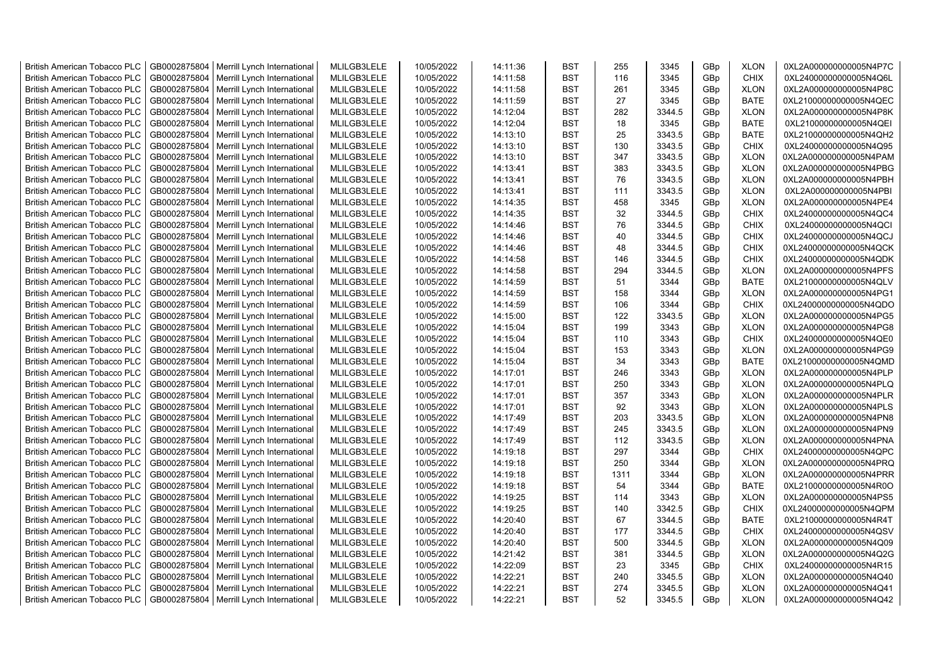| <b>British American Tobacco PLC</b> | GB0002875804                 | Merrill Lynch International | MLILGB3LELE                | 10/05/2022 | 14:11:36 | <b>BST</b>               | 255  | 3345   | GBp             | <b>XLON</b>                | 0XL2A000000000005N4P7C |
|-------------------------------------|------------------------------|-----------------------------|----------------------------|------------|----------|--------------------------|------|--------|-----------------|----------------------------|------------------------|
| <b>British American Tobacco PLC</b> | GB0002875804                 | Merrill Lynch International | MLILGB3LELE                | 10/05/2022 | 14:11:58 | <b>BST</b>               | 116  | 3345   | GBp             | <b>CHIX</b>                | 0XL24000000000005N4Q6L |
| <b>British American Tobacco PLC</b> | GB0002875804                 | Merrill Lynch International | MLILGB3LELE                | 10/05/2022 | 14:11:58 | <b>BST</b>               | 261  | 3345   | GBp             | <b>XLON</b>                | 0XL2A000000000005N4P8C |
| <b>British American Tobacco PLC</b> | GB0002875804                 | Merrill Lynch International | MLILGB3LELE                | 10/05/2022 | 14:11:59 | <b>BST</b>               | 27   | 3345   | GBp             | <b>BATE</b>                | 0XL21000000000005N4QEC |
| <b>British American Tobacco PLC</b> | GB0002875804                 | Merrill Lynch International | MLILGB3LELE                | 10/05/2022 | 14:12:04 | <b>BST</b>               | 282  | 3344.5 | GBp             | <b>XLON</b>                | 0XL2A000000000005N4P8K |
| <b>British American Tobacco PLC</b> | GB0002875804                 | Merrill Lynch International | MLILGB3LELE                | 10/05/2022 | 14:12:04 | <b>BST</b>               | 18   | 3345   | GBp             | <b>BATE</b>                | 0XL21000000000005N4QEI |
| <b>British American Tobacco PLC</b> | GB0002875804                 | Merrill Lynch International | MLILGB3LELE                | 10/05/2022 | 14:13:10 | <b>BST</b>               | 25   | 3343.5 | GBp             | <b>BATE</b>                | 0XL21000000000005N4QH2 |
| <b>British American Tobacco PLC</b> | GB0002875804                 | Merrill Lynch International | MLILGB3LELE                | 10/05/2022 | 14:13:10 | <b>BST</b>               | 130  | 3343.5 | GBp             | <b>CHIX</b>                | 0XL24000000000005N4Q95 |
| <b>British American Tobacco PLC</b> | GB0002875804                 | Merrill Lynch International | MLILGB3LELE                | 10/05/2022 | 14:13:10 | <b>BST</b>               | 347  | 3343.5 | GBp             | <b>XLON</b>                | 0XL2A000000000005N4PAM |
| <b>British American Tobacco PLC</b> | GB0002875804                 | Merrill Lynch International | MLILGB3LELE                | 10/05/2022 | 14:13:41 | <b>BST</b>               | 383  | 3343.5 | GBp             | <b>XLON</b>                | 0XL2A000000000005N4PBG |
| <b>British American Tobacco PLC</b> | GB0002875804                 | Merrill Lynch International | MLILGB3LELE                | 10/05/2022 | 14:13:41 | <b>BST</b>               | 76   | 3343.5 | GBp             | <b>XLON</b>                | 0XL2A000000000005N4PBH |
| <b>British American Tobacco PLC</b> | GB0002875804                 | Merrill Lynch International | MLILGB3LELE                | 10/05/2022 | 14:13:41 | <b>BST</b>               | 111  | 3343.5 | GBp             | <b>XLON</b>                | 0XL2A000000000005N4PBI |
| <b>British American Tobacco PLC</b> | GB0002875804                 | Merrill Lynch International | MLILGB3LELE                | 10/05/2022 | 14:14:35 | <b>BST</b>               | 458  | 3345   | GBp             | <b>XLON</b>                | 0XL2A000000000005N4PE4 |
| <b>British American Tobacco PLC</b> | GB0002875804                 | Merrill Lynch International | MLILGB3LELE                | 10/05/2022 | 14:14:35 | <b>BST</b>               | 32   | 3344.5 | GBp             | <b>CHIX</b>                | 0XL24000000000005N4QC4 |
| <b>British American Tobacco PLC</b> | GB0002875804                 | Merrill Lynch International | MLILGB3LELE                | 10/05/2022 | 14:14:46 | <b>BST</b>               | 76   | 3344.5 | GBp             | <b>CHIX</b>                | 0XL24000000000005N4QCI |
| British American Tobacco PLC        | GB0002875804                 | Merrill Lynch International | MLILGB3LELE                | 10/05/2022 | 14:14:46 | <b>BST</b>               | 40   | 3344.5 | GBp             | <b>CHIX</b>                | 0XL24000000000005N4QCJ |
| British American Tobacco PLC        | GB0002875804                 | Merrill Lynch International | MLILGB3LELE                | 10/05/2022 | 14:14:46 | <b>BST</b>               | 48   | 3344.5 | GBp             | <b>CHIX</b>                | 0XL24000000000005N4QCK |
| <b>British American Tobacco PLC</b> | GB0002875804                 | Merrill Lynch International | MLILGB3LELE                | 10/05/2022 | 14:14:58 | <b>BST</b>               | 146  | 3344.5 | GBp             | <b>CHIX</b>                | 0XL24000000000005N4QDK |
| <b>British American Tobacco PLC</b> | GB0002875804                 | Merrill Lynch International | MLILGB3LELE                | 10/05/2022 | 14:14:58 | <b>BST</b>               | 294  | 3344.5 | GBp             | <b>XLON</b>                | 0XL2A000000000005N4PFS |
| <b>British American Tobacco PLC</b> | GB0002875804                 | Merrill Lynch International | MLILGB3LELE                | 10/05/2022 | 14:14:59 | <b>BST</b>               | 51   | 3344   | GBp             | <b>BATE</b>                | 0XL21000000000005N4QLV |
| <b>British American Tobacco PLC</b> | GB0002875804                 | Merrill Lynch International | MLILGB3LELE                | 10/05/2022 | 14:14:59 | <b>BST</b>               | 158  | 3344   | GBp             | <b>XLON</b>                | 0XL2A000000000005N4PG1 |
| <b>British American Tobacco PLC</b> | GB0002875804                 | Merrill Lynch International | MLILGB3LELE                | 10/05/2022 | 14:14:59 | <b>BST</b>               | 106  | 3344   | GBp             | <b>CHIX</b>                | 0XL24000000000005N4QDO |
| British American Tobacco PLC        | GB0002875804                 | Merrill Lynch International | MLILGB3LELE                | 10/05/2022 | 14:15:00 | <b>BST</b>               | 122  | 3343.5 | GBp             | <b>XLON</b>                | 0XL2A000000000005N4PG5 |
| <b>British American Tobacco PLC</b> | GB0002875804                 | Merrill Lynch International | MLILGB3LELE                | 10/05/2022 | 14:15:04 | <b>BST</b>               | 199  | 3343   | GBp             | <b>XLON</b>                | 0XL2A000000000005N4PG8 |
| <b>British American Tobacco PLC</b> | GB0002875804                 | Merrill Lynch International | MLILGB3LELE                | 10/05/2022 | 14:15:04 | <b>BST</b>               | 110  | 3343   | GBp             | <b>CHIX</b>                | 0XL24000000000005N4QE0 |
| <b>British American Tobacco PLC</b> | GB0002875804                 | Merrill Lynch International | MLILGB3LELE                | 10/05/2022 | 14:15:04 | <b>BST</b>               | 153  | 3343   | GBp             | <b>XLON</b>                | 0XL2A000000000005N4PG9 |
| <b>British American Tobacco PLC</b> | GB0002875804                 | Merrill Lynch International | MLILGB3LELE                | 10/05/2022 | 14:15:04 | <b>BST</b>               | 34   | 3343   | GBp             | <b>BATE</b>                | 0XL21000000000005N4QMD |
| <b>British American Tobacco PLC</b> | GB0002875804                 | Merrill Lynch International | MLILGB3LELE                | 10/05/2022 | 14:17:01 | <b>BST</b>               | 246  | 3343   | GBp             | <b>XLON</b>                | 0XL2A000000000005N4PLP |
| <b>British American Tobacco PLC</b> | GB0002875804                 | Merrill Lynch International | MLILGB3LELE                | 10/05/2022 | 14:17:01 | <b>BST</b>               | 250  | 3343   | GBp             | <b>XLON</b>                | 0XL2A000000000005N4PLQ |
| <b>British American Tobacco PLC</b> | GB0002875804                 | Merrill Lynch International | MLILGB3LELE                | 10/05/2022 | 14:17:01 | <b>BST</b>               | 357  | 3343   | GBp             | <b>XLON</b>                | 0XL2A000000000005N4PLR |
| <b>British American Tobacco PLC</b> | GB0002875804                 | Merrill Lynch International | MLILGB3LELE                | 10/05/2022 | 14:17:01 | <b>BST</b>               | 92   | 3343   | GBp             | <b>XLON</b>                | 0XL2A000000000005N4PLS |
| <b>British American Tobacco PLC</b> | GB0002875804                 | Merrill Lynch International | MLILGB3LELE                | 10/05/2022 | 14:17:49 | <b>BST</b>               | 203  | 3343.5 | GBp             | <b>XLON</b>                | 0XL2A000000000005N4PN8 |
| <b>British American Tobacco PLC</b> | GB0002875804                 | Merrill Lynch International | MLILGB3LELE                | 10/05/2022 | 14:17:49 | <b>BST</b>               | 245  | 3343.5 | GBp             | <b>XLON</b>                | 0XL2A000000000005N4PN9 |
| <b>British American Tobacco PLC</b> | GB0002875804                 | Merrill Lynch International | MLILGB3LELE                | 10/05/2022 | 14:17:49 | <b>BST</b>               | 112  | 3343.5 | GBp             | <b>XLON</b>                | 0XL2A000000000005N4PNA |
| <b>British American Tobacco PLC</b> | GB0002875804                 | Merrill Lynch International | MLILGB3LELE                | 10/05/2022 | 14:19:18 | <b>BST</b>               | 297  | 3344   | GBp             | <b>CHIX</b>                | 0XL24000000000005N4QPC |
| British American Tobacco PLC        | GB0002875804                 | Merrill Lynch International | MLILGB3LELE                | 10/05/2022 | 14:19:18 | <b>BST</b>               | 250  | 3344   | GBp             | <b>XLON</b>                | 0XL2A000000000005N4PRQ |
| <b>British American Tobacco PLC</b> | GB0002875804                 | Merrill Lynch International | MLILGB3LELE                | 10/05/2022 | 14:19:18 | <b>BST</b>               | 1311 | 3344   | GBp             | <b>XLON</b>                | 0XL2A000000000005N4PRR |
| <b>British American Tobacco PLC</b> | GB0002875804                 | Merrill Lynch International | MLILGB3LELE                | 10/05/2022 | 14:19:18 | <b>BST</b>               | 54   | 3344   | GBp             | <b>BATE</b>                | 0XL21000000000005N4R0O |
| <b>British American Tobacco PLC</b> | GB0002875804                 | Merrill Lynch International | MLILGB3LELE                | 10/05/2022 | 14:19:25 | <b>BST</b>               | 114  | 3343   | GBp             | <b>XLON</b>                | 0XL2A000000000005N4PS5 |
| <b>British American Tobacco PLC</b> | GB0002875804                 | Merrill Lynch International | MLILGB3LELE                | 10/05/2022 | 14:19:25 | <b>BST</b>               | 140  | 3342.5 | GBp             | <b>CHIX</b>                | 0XL24000000000005N4QPM |
| <b>British American Tobacco PLC</b> | GB0002875804                 | Merrill Lynch International | MLILGB3LELE                | 10/05/2022 | 14:20:40 | <b>BST</b>               | 67   | 3344.5 | GBp             | <b>BATE</b>                | 0XL21000000000005N4R4T |
|                                     |                              |                             |                            |            |          |                          | 177  | 3344.5 |                 | <b>CHIX</b>                |                        |
| <b>British American Tobacco PLC</b> | GB0002875804<br>GB0002875804 | Merrill Lynch International | MLILGB3LELE<br>MLILGB3LELE | 10/05/2022 | 14:20:40 | <b>BST</b><br><b>BST</b> | 500  | 3344.5 | GBp             |                            | 0XL24000000000005N4QSV |
| <b>British American Tobacco PLC</b> |                              | Merrill Lynch International |                            | 10/05/2022 | 14:20:40 |                          |      |        | GBp             | <b>XLON</b>                | 0XL2A000000000005N4Q09 |
| <b>British American Tobacco PLC</b> | GB0002875804                 | Merrill Lynch International | MLILGB3LELE<br>MLILGB3LELE | 10/05/2022 | 14:21:42 | <b>BST</b><br><b>BST</b> | 381  | 3344.5 | GBp             | <b>XLON</b><br><b>CHIX</b> | 0XL2A000000000005N4Q2G |
| <b>British American Tobacco PLC</b> | GB0002875804                 | Merrill Lynch International |                            | 10/05/2022 | 14:22:09 | <b>BST</b>               | 23   | 3345   | GBp             |                            | 0XL24000000000005N4R15 |
| <b>British American Tobacco PLC</b> | GB0002875804                 | Merrill Lynch International | MLILGB3LELE                | 10/05/2022 | 14:22:21 |                          | 240  | 3345.5 | GBp             | <b>XLON</b>                | 0XL2A000000000005N4Q40 |
| <b>British American Tobacco PLC</b> | GB0002875804                 | Merrill Lynch International | MLILGB3LELE                | 10/05/2022 | 14:22:21 | <b>BST</b>               | 274  | 3345.5 | GBp             | <b>XLON</b>                | 0XL2A000000000005N4Q41 |
| <b>British American Tobacco PLC</b> | GB0002875804                 | Merrill Lynch International | MLILGB3LELE                | 10/05/2022 | 14:22:21 | <b>BST</b>               | 52   | 3345.5 | GB <sub>p</sub> | <b>XLON</b>                | 0XL2A000000000005N4Q42 |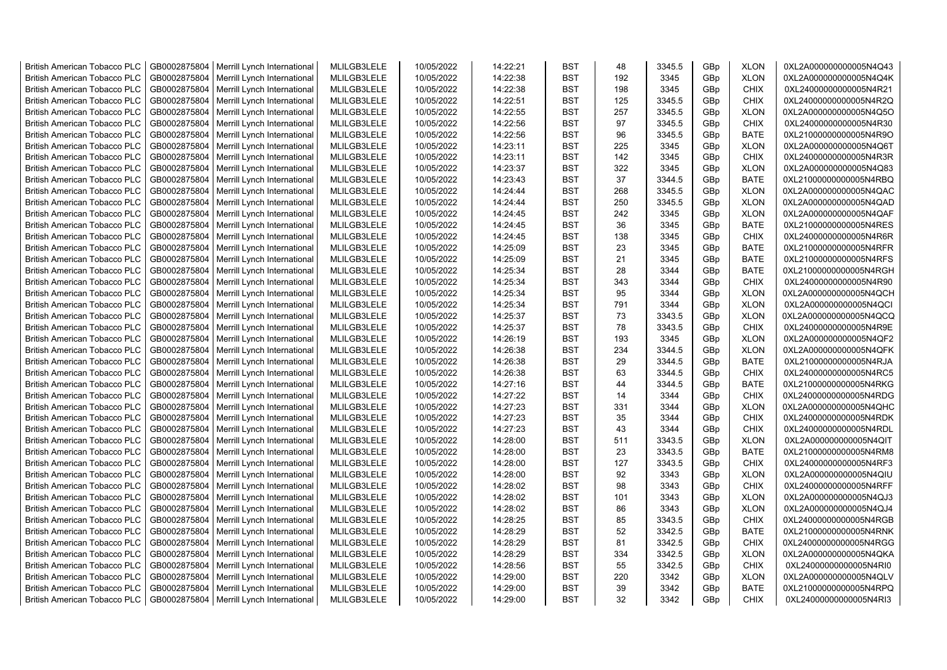| <b>British American Tobacco PLC</b> | GB0002875804 | Merrill Lynch International | MLILGB3LELE | 10/05/2022 | 14:22:21 | <b>BST</b> | 48  | 3345.5 | GBp | <b>XLON</b> | 0XL2A000000000005N4Q43 |
|-------------------------------------|--------------|-----------------------------|-------------|------------|----------|------------|-----|--------|-----|-------------|------------------------|
| <b>British American Tobacco PLC</b> | GB0002875804 | Merrill Lynch International | MLILGB3LELE | 10/05/2022 | 14:22:38 | <b>BST</b> | 192 | 3345   | GBp | <b>XLON</b> | 0XL2A000000000005N4Q4K |
| <b>British American Tobacco PLC</b> | GB0002875804 | Merrill Lynch International | MLILGB3LELE | 10/05/2022 | 14:22:38 | <b>BST</b> | 198 | 3345   | GBp | <b>CHIX</b> | 0XL24000000000005N4R21 |
| <b>British American Tobacco PLC</b> | GB0002875804 | Merrill Lynch International | MLILGB3LELE | 10/05/2022 | 14:22:51 | <b>BST</b> | 125 | 3345.5 | GBp | <b>CHIX</b> | 0XL24000000000005N4R2Q |
| <b>British American Tobacco PLC</b> | GB0002875804 | Merrill Lynch International | MLILGB3LELE | 10/05/2022 | 14:22:55 | <b>BST</b> | 257 | 3345.5 | GBp | <b>XLON</b> | 0XL2A000000000005N4Q5O |
| <b>British American Tobacco PLC</b> | GB0002875804 | Merrill Lynch International | MLILGB3LELE | 10/05/2022 | 14:22:56 | <b>BST</b> | 97  | 3345.5 | GBp | <b>CHIX</b> | 0XL24000000000005N4R30 |
| <b>British American Tobacco PLC</b> | GB0002875804 | Merrill Lynch International | MLILGB3LELE | 10/05/2022 | 14:22:56 | BST        | 96  | 3345.5 | GBp | <b>BATE</b> | 0XL21000000000005N4R9O |
| <b>British American Tobacco PLC</b> | GB0002875804 | Merrill Lynch International | MLILGB3LELE | 10/05/2022 | 14:23:11 | <b>BST</b> | 225 | 3345   | GBp | <b>XLON</b> | 0XL2A000000000005N4Q6T |
| British American Tobacco PLC        | GB0002875804 | Merrill Lynch International | MLILGB3LELE | 10/05/2022 | 14:23:11 | <b>BST</b> | 142 | 3345   | GBp | <b>CHIX</b> | 0XL24000000000005N4R3R |
| <b>British American Tobacco PLC</b> | GB0002875804 | Merrill Lynch International | MLILGB3LELE | 10/05/2022 | 14:23:37 | <b>BST</b> | 322 | 3345   | GBp | <b>XLON</b> | 0XL2A000000000005N4Q83 |
| <b>British American Tobacco PLC</b> | GB0002875804 | Merrill Lynch International | MLILGB3LELE | 10/05/2022 | 14:23:43 | <b>BST</b> | 37  | 3344.5 | GBp | <b>BATE</b> | 0XL21000000000005N4RBQ |
| <b>British American Tobacco PLC</b> | GB0002875804 | Merrill Lynch International | MLILGB3LELE | 10/05/2022 | 14:24:44 | <b>BST</b> | 268 | 3345.5 | GBp | <b>XLON</b> | 0XL2A000000000005N4QAC |
| <b>British American Tobacco PLC</b> | GB0002875804 | Merrill Lynch International | MLILGB3LELE | 10/05/2022 | 14:24:44 | <b>BST</b> | 250 | 3345.5 | GBp | <b>XLON</b> | 0XL2A000000000005N4QAD |
| <b>British American Tobacco PLC</b> | GB0002875804 | Merrill Lynch International | MLILGB3LELE | 10/05/2022 | 14:24:45 | <b>BST</b> | 242 | 3345   |     | <b>XLON</b> | 0XL2A000000000005N4QAF |
|                                     |              |                             | MLILGB3LELE |            |          | <b>BST</b> |     |        | GBp |             |                        |
| <b>British American Tobacco PLC</b> | GB0002875804 | Merrill Lynch International |             | 10/05/2022 | 14:24:45 |            | 36  | 3345   | GBp | <b>BATE</b> | 0XL21000000000005N4RES |
| <b>British American Tobacco PLC</b> | GB0002875804 | Merrill Lynch International | MLILGB3LELE | 10/05/2022 | 14:24:45 | <b>BST</b> | 138 | 3345   | GBp | CHIX        | 0XL24000000000005N4R6R |
| <b>British American Tobacco PLC</b> | GB0002875804 | Merrill Lynch International | MLILGB3LELE | 10/05/2022 | 14:25:09 | BST        | 23  | 3345   | GBp | BATE        | 0XL21000000000005N4RFR |
| <b>British American Tobacco PLC</b> | GB0002875804 | Merrill Lynch International | MLILGB3LELE | 10/05/2022 | 14:25:09 | <b>BST</b> | 21  | 3345   | GBp | BATE        | 0XL21000000000005N4RFS |
| <b>British American Tobacco PLC</b> | GB0002875804 | Merrill Lynch International | MLILGB3LELE | 10/05/2022 | 14:25:34 | <b>BST</b> | 28  | 3344   | GBp | <b>BATE</b> | 0XL21000000000005N4RGH |
| British American Tobacco PLC        | GB0002875804 | Merrill Lynch International | MLILGB3LELE | 10/05/2022 | 14:25:34 | <b>BST</b> | 343 | 3344   | GBp | <b>CHIX</b> | 0XL24000000000005N4R90 |
| <b>British American Tobacco PLC</b> | GB0002875804 | Merrill Lynch International | MLILGB3LELE | 10/05/2022 | 14:25:34 | <b>BST</b> | 95  | 3344   | GBp | <b>XLON</b> | 0XL2A000000000005N4QCH |
| <b>British American Tobacco PLC</b> | GB0002875804 | Merrill Lynch International | MLILGB3LELE | 10/05/2022 | 14:25:34 | <b>BST</b> | 791 | 3344   | GBp | <b>XLON</b> | 0XL2A000000000005N4QCI |
| <b>British American Tobacco PLC</b> | GB0002875804 | Merrill Lynch International | MLILGB3LELE | 10/05/2022 | 14:25:37 | <b>BST</b> | 73  | 3343.5 | GBp | <b>XLON</b> | 0XL2A000000000005N4QCQ |
| <b>British American Tobacco PLC</b> | GB0002875804 | Merrill Lynch International | MLILGB3LELE | 10/05/2022 | 14:25:37 | <b>BST</b> | 78  | 3343.5 | GBp | <b>CHIX</b> | 0XL24000000000005N4R9E |
| <b>British American Tobacco PLC</b> | GB0002875804 | Merrill Lynch International | MLILGB3LELE | 10/05/2022 | 14:26:19 | <b>BST</b> | 193 | 3345   | GBp | <b>XLON</b> | 0XL2A000000000005N4QF2 |
| <b>British American Tobacco PLC</b> | GB0002875804 | Merrill Lynch International | MLILGB3LELE | 10/05/2022 | 14:26:38 | <b>BST</b> | 234 | 3344.5 | GBp | <b>XLON</b> | 0XL2A000000000005N4QFK |
| <b>British American Tobacco PLC</b> | GB0002875804 | Merrill Lynch International | MLILGB3LELE | 10/05/2022 | 14:26:38 | <b>BST</b> | 29  | 3344.5 | GBp | <b>BATE</b> | 0XL21000000000005N4RJA |
| <b>British American Tobacco PLC</b> | GB0002875804 | Merrill Lynch International | MLILGB3LELE | 10/05/2022 | 14:26:38 | <b>BST</b> | 63  | 3344.5 | GBp | <b>CHIX</b> | 0XL24000000000005N4RC5 |
| <b>British American Tobacco PLC</b> | GB0002875804 | Merrill Lynch International | MLILGB3LELE | 10/05/2022 | 14:27:16 | BST        | 44  | 3344.5 | GBp | BATE        | 0XL21000000000005N4RKG |
| <b>British American Tobacco PLC</b> | GB0002875804 | Merrill Lynch International | MLILGB3LELE | 10/05/2022 | 14:27:22 | <b>BST</b> | 14  | 3344   | GBp | <b>CHIX</b> | 0XL24000000000005N4RDG |
| <b>British American Tobacco PLC</b> | GB0002875804 | Merrill Lynch International | MLILGB3LELE | 10/05/2022 | 14:27:23 | <b>BST</b> | 331 | 3344   | GBp | <b>XLON</b> | 0XL2A000000000005N4QHC |
| <b>British American Tobacco PLC</b> | GB0002875804 | Merrill Lynch International | MLILGB3LELE | 10/05/2022 | 14:27:23 | <b>BST</b> | 35  | 3344   | GBp | <b>CHIX</b> | 0XL24000000000005N4RDK |
| British American Tobacco PLC        | GB0002875804 | Merrill Lynch International | MLILGB3LELE | 10/05/2022 | 14:27:23 | <b>BST</b> | 43  | 3344   | GBp | <b>CHIX</b> | 0XL24000000000005N4RDL |
| <b>British American Tobacco PLC</b> | GB0002875804 | Merrill Lynch International | MLILGB3LELE | 10/05/2022 | 14:28:00 | <b>BST</b> | 511 | 3343.5 | GBp | <b>XLON</b> | 0XL2A000000000005N4QIT |
| <b>British American Tobacco PLC</b> | GB0002875804 | Merrill Lynch International | MLILGB3LELE | 10/05/2022 | 14:28:00 | <b>BST</b> | 23  | 3343.5 | GBp | <b>BATE</b> | 0XL21000000000005N4RM8 |
| <b>British American Tobacco PLC</b> | GB0002875804 | Merrill Lynch International | MLILGB3LELE | 10/05/2022 | 14:28:00 | <b>BST</b> | 127 | 3343.5 | GBp | <b>CHIX</b> | 0XL24000000000005N4RF3 |
| <b>British American Tobacco PLC</b> | GB0002875804 | Merrill Lynch International | MLILGB3LELE | 10/05/2022 | 14:28:00 | <b>BST</b> | 92  | 3343   | GBp | <b>XLON</b> | 0XL2A000000000005N4QIU |
| <b>British American Tobacco PLC</b> | GB0002875804 | Merrill Lynch International | MLILGB3LELE | 10/05/2022 | 14:28:02 | <b>BST</b> | 98  | 3343   | GBp | <b>CHIX</b> | 0XL24000000000005N4RFF |
| <b>British American Tobacco PLC</b> | GB0002875804 | Merrill Lynch International | MLILGB3LELE | 10/05/2022 | 14:28:02 | <b>BST</b> | 101 | 3343   | GBp | <b>XLON</b> | 0XL2A000000000005N4QJ3 |
| <b>British American Tobacco PLC</b> | GB0002875804 | Merrill Lynch International | MLILGB3LELE | 10/05/2022 | 14:28:02 | <b>BST</b> | 86  | 3343   | GBp | <b>XLON</b> | 0XL2A000000000005N4QJ4 |
| <b>British American Tobacco PLC</b> | GB0002875804 | Merrill Lynch International | MLILGB3LELE | 10/05/2022 | 14:28:25 | <b>BST</b> | 85  | 3343.5 | GBp | <b>CHIX</b> | 0XL24000000000005N4RGB |
| <b>British American Tobacco PLC</b> | GB0002875804 | Merrill Lynch International | MLILGB3LELE | 10/05/2022 | 14:28:29 | <b>BST</b> | 52  | 3342.5 | GBp | BATE        | 0XL21000000000005N4RNK |
| <b>British American Tobacco PLC</b> | GB0002875804 | Merrill Lynch International | MLILGB3LELE | 10/05/2022 | 14:28:29 | <b>BST</b> | 81  | 3342.5 | GBp | <b>CHIX</b> | 0XL24000000000005N4RGG |
| <b>British American Tobacco PLC</b> | GB0002875804 | Merrill Lynch International | MLILGB3LELE | 10/05/2022 | 14:28:29 | <b>BST</b> | 334 | 3342.5 | GBp | <b>XLON</b> | 0XL2A000000000005N4QKA |
| <b>British American Tobacco PLC</b> | GB0002875804 | Merrill Lynch International | MLILGB3LELE | 10/05/2022 | 14:28:56 | <b>BST</b> | 55  | 3342.5 | GBp | <b>CHIX</b> | 0XL24000000000005N4RI0 |
| <b>British American Tobacco PLC</b> | GB0002875804 | Merrill Lynch International | MLILGB3LELE | 10/05/2022 | 14:29:00 | <b>BST</b> | 220 | 3342   | GBp | <b>XLON</b> | 0XL2A000000000005N4QLV |
| <b>British American Tobacco PLC</b> | GB0002875804 | Merrill Lynch International | MLILGB3LELE | 10/05/2022 | 14:29:00 | <b>BST</b> | 39  | 3342   | GBp | <b>BATE</b> | 0XL21000000000005N4RPQ |
| <b>British American Tobacco PLC</b> | GB0002875804 | Merrill Lynch International | MLILGB3LELE | 10/05/2022 | 14:29:00 | <b>BST</b> | 32  | 3342   | GBp | <b>CHIX</b> | 0XL24000000000005N4RI3 |
|                                     |              |                             |             |            |          |            |     |        |     |             |                        |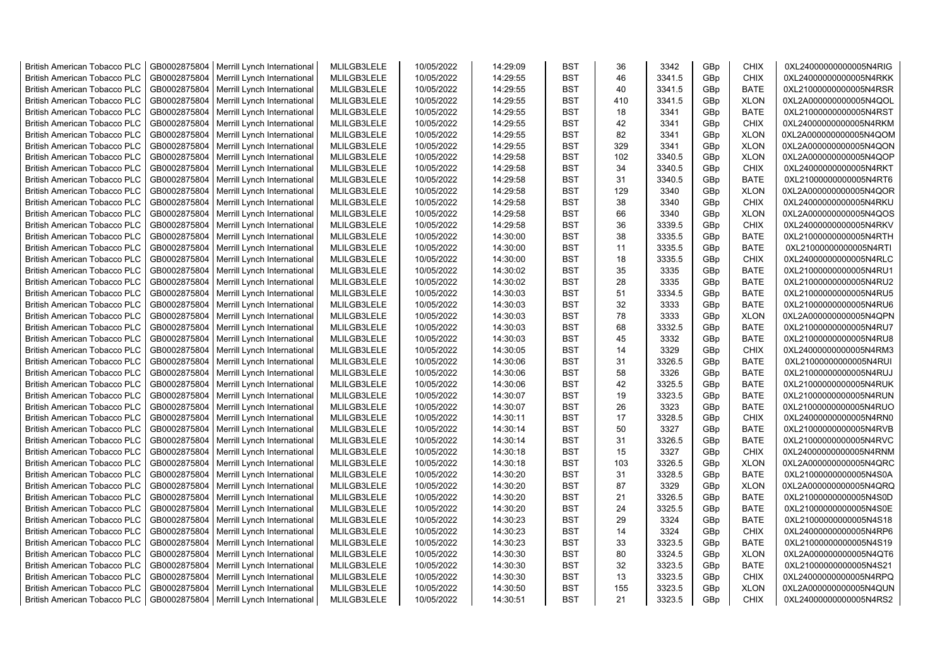| <b>British American Tobacco PLC</b>                                 | GB0002875804 | Merrill Lynch International | MLILGB3LELE | 10/05/2022 | 14:29:09 | <b>BST</b>               | 36  | 3342   | GBp             | <b>CHIX</b> | 0XL24000000000005N4RIG                           |
|---------------------------------------------------------------------|--------------|-----------------------------|-------------|------------|----------|--------------------------|-----|--------|-----------------|-------------|--------------------------------------------------|
| <b>British American Tobacco PLC</b>                                 | GB0002875804 | Merrill Lynch International | MLILGB3LELE | 10/05/2022 | 14:29:55 | <b>BST</b>               | 46  | 3341.5 | GBp             | <b>CHIX</b> | 0XL24000000000005N4RKK                           |
| <b>British American Tobacco PLC</b>                                 | GB0002875804 | Merrill Lynch International | MLILGB3LELE | 10/05/2022 | 14:29:55 | <b>BST</b>               | 40  | 3341.5 | GBp             | <b>BATE</b> | 0XL21000000000005N4RSR                           |
| <b>British American Tobacco PLC</b>                                 | GB0002875804 | Merrill Lynch International | MLILGB3LELE | 10/05/2022 | 14:29:55 | <b>BST</b>               | 410 | 3341.5 | GBp             | <b>XLON</b> | 0XL2A000000000005N4QOL                           |
| <b>British American Tobacco PLC</b>                                 | GB0002875804 | Merrill Lynch International | MLILGB3LELE | 10/05/2022 | 14:29:55 | <b>BST</b>               | 18  | 3341   | GBp             | <b>BATE</b> | 0XL21000000000005N4RST                           |
| <b>British American Tobacco PLC</b>                                 | GB0002875804 | Merrill Lynch International | MLILGB3LELE | 10/05/2022 | 14:29:55 | <b>BST</b>               | 42  | 3341   | GBp             | <b>CHIX</b> | 0XL24000000000005N4RKM                           |
| <b>British American Tobacco PLC</b>                                 | GB0002875804 | Merrill Lynch International | MLILGB3LELE | 10/05/2022 | 14:29:55 | <b>BST</b>               | 82  | 3341   | GBp             | <b>XLON</b> | 0XL2A000000000005N4QOM                           |
| <b>British American Tobacco PLC</b>                                 | GB0002875804 | Merrill Lynch International | MLILGB3LELE | 10/05/2022 | 14:29:55 | <b>BST</b>               | 329 | 3341   | GBp             | <b>XLON</b> | 0XL2A000000000005N4QON                           |
| <b>British American Tobacco PLC</b>                                 | GB0002875804 | Merrill Lynch International | MLILGB3LELE | 10/05/2022 | 14:29:58 | <b>BST</b>               | 102 | 3340.5 | GBp             | <b>XLON</b> | 0XL2A000000000005N4QOP                           |
| <b>British American Tobacco PLC</b>                                 | GB0002875804 | Merrill Lynch International | MLILGB3LELE | 10/05/2022 | 14:29:58 | <b>BST</b>               | 34  | 3340.5 | GBp             | <b>CHIX</b> | 0XL24000000000005N4RKT                           |
| <b>British American Tobacco PLC</b>                                 | GB0002875804 | Merrill Lynch International | MLILGB3LELE | 10/05/2022 | 14:29:58 | <b>BST</b>               | 31  | 3340.5 | GBp             | <b>BATE</b> | 0XL21000000000005N4RT6                           |
| <b>British American Tobacco PLC</b>                                 | GB0002875804 | Merrill Lynch International | MLILGB3LELE | 10/05/2022 | 14:29:58 | <b>BST</b>               | 129 | 3340   | GBp             | <b>XLON</b> | 0XL2A000000000005N4QOR                           |
| <b>British American Tobacco PLC</b>                                 | GB0002875804 | Merrill Lynch International | MLILGB3LELE | 10/05/2022 | 14:29:58 | <b>BST</b>               | 38  | 3340   | GBp             | <b>CHIX</b> | 0XL24000000000005N4RKU                           |
| <b>British American Tobacco PLC</b>                                 | GB0002875804 | Merrill Lynch International | MLILGB3LELE | 10/05/2022 | 14:29:58 | <b>BST</b>               | 66  | 3340   | GBp             | <b>XLON</b> | 0XL2A000000000005N4QOS                           |
| <b>British American Tobacco PLC</b>                                 | GB0002875804 | Merrill Lynch International | MLILGB3LELE | 10/05/2022 | 14:29:58 | <b>BST</b>               | 36  | 3339.5 | GBp             | <b>CHIX</b> | 0XL24000000000005N4RKV                           |
| British American Tobacco PLC                                        | GB0002875804 | Merrill Lynch International | MLILGB3LELE | 10/05/2022 | 14:30:00 | <b>BST</b>               | 38  | 3335.5 | GBp             | <b>BATE</b> | 0XL21000000000005N4RTH                           |
| British American Tobacco PLC                                        | GB0002875804 | Merrill Lynch International | MLILGB3LELE | 10/05/2022 | 14:30:00 | <b>BST</b>               | 11  | 3335.5 | GBp             | <b>BATE</b> | 0XL21000000000005N4RTI                           |
| <b>British American Tobacco PLC</b>                                 | GB0002875804 | Merrill Lynch International | MLILGB3LELE | 10/05/2022 | 14:30:00 | <b>BST</b>               | 18  | 3335.5 | GBp             | <b>CHIX</b> | 0XL24000000000005N4RLC                           |
| <b>British American Tobacco PLC</b>                                 | GB0002875804 | Merrill Lynch International | MLILGB3LELE | 10/05/2022 | 14:30:02 | <b>BST</b>               | 35  | 3335   | GBp             | <b>BATE</b> | 0XL21000000000005N4RU1                           |
| <b>British American Tobacco PLC</b>                                 | GB0002875804 | Merrill Lynch International | MLILGB3LELE | 10/05/2022 | 14:30:02 | <b>BST</b>               | 28  | 3335   | GBp             | <b>BATE</b> | 0XL21000000000005N4RU2                           |
| <b>British American Tobacco PLC</b>                                 | GB0002875804 | Merrill Lynch International | MLILGB3LELE | 10/05/2022 | 14:30:03 | <b>BST</b>               | 51  | 3334.5 | GBp             | <b>BATE</b> | 0XL21000000000005N4RU5                           |
| British American Tobacco PLC                                        | GB0002875804 | Merrill Lynch International | MLILGB3LELE | 10/05/2022 | 14:30:03 | <b>BST</b>               | 32  | 3333   | GBp             | <b>BATE</b> | 0XL21000000000005N4RU6                           |
| British American Tobacco PLC                                        | GB0002875804 | Merrill Lynch International | MLILGB3LELE | 10/05/2022 | 14:30:03 | <b>BST</b>               | 78  | 3333   | GBp             | <b>XLON</b> | 0XL2A000000000005N4QPN                           |
| <b>British American Tobacco PLC</b>                                 | GB0002875804 | Merrill Lynch International | MLILGB3LELE | 10/05/2022 | 14:30:03 | <b>BST</b>               | 68  | 3332.5 | GBp             | <b>BATE</b> | 0XL21000000000005N4RU7                           |
| <b>British American Tobacco PLC</b>                                 | GB0002875804 | Merrill Lynch International | MLILGB3LELE | 10/05/2022 | 14:30:03 | <b>BST</b>               | 45  | 3332   | GBp             | <b>BATE</b> | 0XL21000000000005N4RU8                           |
| <b>British American Tobacco PLC</b>                                 | GB0002875804 | Merrill Lynch International | MLILGB3LELE | 10/05/2022 | 14:30:05 | <b>BST</b>               | 14  | 3329   | GBp             | <b>CHIX</b> | 0XL24000000000005N4RM3                           |
| <b>British American Tobacco PLC</b>                                 | GB0002875804 | Merrill Lynch International | MLILGB3LELE | 10/05/2022 | 14:30:06 | <b>BST</b>               | 31  | 3326.5 | GBp             | <b>BATE</b> | 0XL21000000000005N4RUI                           |
| <b>British American Tobacco PLC</b>                                 | GB0002875804 | Merrill Lynch International | MLILGB3LELE | 10/05/2022 | 14:30:06 | <b>BST</b>               | 58  | 3326   | GBp             | <b>BATE</b> | 0XL21000000000005N4RUJ                           |
| <b>British American Tobacco PLC</b>                                 | GB0002875804 | Merrill Lynch International | MLILGB3LELE | 10/05/2022 | 14:30:06 | <b>BST</b>               | 42  | 3325.5 | GBp             | <b>BATE</b> | 0XL21000000000005N4RUK                           |
| <b>British American Tobacco PLC</b>                                 | GB0002875804 | Merrill Lynch International | MLILGB3LELE | 10/05/2022 | 14:30:07 | <b>BST</b>               | 19  | 3323.5 | GBp             | <b>BATE</b> | 0XL21000000000005N4RUN                           |
| <b>British American Tobacco PLC</b>                                 | GB0002875804 | Merrill Lynch International | MLILGB3LELE | 10/05/2022 | 14:30:07 | <b>BST</b>               | 26  | 3323   | GBp             | <b>BATE</b> | 0XL21000000000005N4RUO                           |
| <b>British American Tobacco PLC</b>                                 | GB0002875804 | Merrill Lynch International | MLILGB3LELE | 10/05/2022 | 14:30:11 | <b>BST</b>               | 17  | 3328.5 | GBp             | <b>CHIX</b> | 0XL24000000000005N4RN0                           |
| <b>British American Tobacco PLC</b>                                 | GB0002875804 | Merrill Lynch International | MLILGB3LELE | 10/05/2022 | 14:30:14 | <b>BST</b>               | 50  | 3327   | GBp             | <b>BATE</b> |                                                  |
| <b>British American Tobacco PLC</b>                                 | GB0002875804 | Merrill Lynch International | MLILGB3LELE | 10/05/2022 | 14:30:14 | <b>BST</b>               | 31  | 3326.5 |                 | <b>BATE</b> | 0XL21000000000005N4RVB                           |
|                                                                     | GB0002875804 | Merrill Lynch International | MLILGB3LELE | 10/05/2022 | 14:30:18 | <b>BST</b>               | 15  | 3327   | GBp<br>GBp      | <b>CHIX</b> | 0XL21000000000005N4RVC<br>0XL24000000000005N4RNM |
| <b>British American Tobacco PLC</b><br>British American Tobacco PLC | GB0002875804 | Merrill Lynch International | MLILGB3LELE | 10/05/2022 | 14:30:18 | <b>BST</b>               | 103 | 3326.5 | GBp             | <b>XLON</b> | 0XL2A000000000005N4QRC                           |
|                                                                     | GB0002875804 |                             | MLILGB3LELE | 10/05/2022 | 14:30:20 | <b>BST</b>               | 31  | 3328.5 |                 | <b>BATE</b> |                                                  |
| <b>British American Tobacco PLC</b>                                 |              | Merrill Lynch International |             |            |          |                          | 87  |        | GBp             |             | 0XL21000000000005N4S0A                           |
| British American Tobacco PLC                                        | GB0002875804 | Merrill Lynch International | MLILGB3LELE | 10/05/2022 | 14:30:20 | <b>BST</b><br><b>BST</b> | 21  | 3329   | GBp             | <b>XLON</b> | 0XL2A000000000005N4QRQ                           |
| <b>British American Tobacco PLC</b>                                 | GB0002875804 | Merrill Lynch International | MLILGB3LELE | 10/05/2022 | 14:30:20 |                          |     | 3326.5 | GBp             | <b>BATE</b> | 0XL21000000000005N4S0D                           |
| <b>British American Tobacco PLC</b>                                 | GB0002875804 | Merrill Lynch International | MLILGB3LELE | 10/05/2022 | 14:30:20 | <b>BST</b>               | 24  | 3325.5 | GBp             | <b>BATE</b> | 0XL21000000000005N4S0E                           |
| <b>British American Tobacco PLC</b>                                 | GB0002875804 | Merrill Lynch International | MLILGB3LELE | 10/05/2022 | 14:30:23 | <b>BST</b>               | 29  | 3324   | GBp             | <b>BATE</b> | 0XL21000000000005N4S18                           |
| <b>British American Tobacco PLC</b>                                 | GB0002875804 | Merrill Lynch International | MLILGB3LELE | 10/05/2022 | 14:30:23 | <b>BST</b>               | 14  | 3324   | GBp             | <b>CHIX</b> | 0XL24000000000005N4RP6                           |
| <b>British American Tobacco PLC</b>                                 | GB0002875804 | Merrill Lynch International | MLILGB3LELE | 10/05/2022 | 14:30:23 | <b>BST</b>               | 33  | 3323.5 | GBp             | <b>BATE</b> | 0XL21000000000005N4S19                           |
| <b>British American Tobacco PLC</b>                                 | GB0002875804 | Merrill Lynch International | MLILGB3LELE | 10/05/2022 | 14:30:30 | <b>BST</b>               | 80  | 3324.5 | GBp             | <b>XLON</b> | 0XL2A000000000005N4QT6                           |
| <b>British American Tobacco PLC</b>                                 | GB0002875804 | Merrill Lynch International | MLILGB3LELE | 10/05/2022 | 14:30:30 | <b>BST</b>               | 32  | 3323.5 | GBp             | <b>BATE</b> | 0XL21000000000005N4S21                           |
| <b>British American Tobacco PLC</b>                                 | GB0002875804 | Merrill Lynch International | MLILGB3LELE | 10/05/2022 | 14:30:30 | <b>BST</b>               | 13  | 3323.5 | GBp             | <b>CHIX</b> | 0XL24000000000005N4RPQ                           |
| <b>British American Tobacco PLC</b>                                 | GB0002875804 | Merrill Lynch International | MLILGB3LELE | 10/05/2022 | 14:30:50 | <b>BST</b>               | 155 | 3323.5 | GBp             | <b>XLON</b> | 0XL2A000000000005N4QUN                           |
| <b>British American Tobacco PLC</b>                                 | GB0002875804 | Merrill Lynch International | MLILGB3LELE | 10/05/2022 | 14:30:51 | <b>BST</b>               | 21  | 3323.5 | GB <sub>p</sub> | <b>CHIX</b> | 0XL24000000000005N4RS2                           |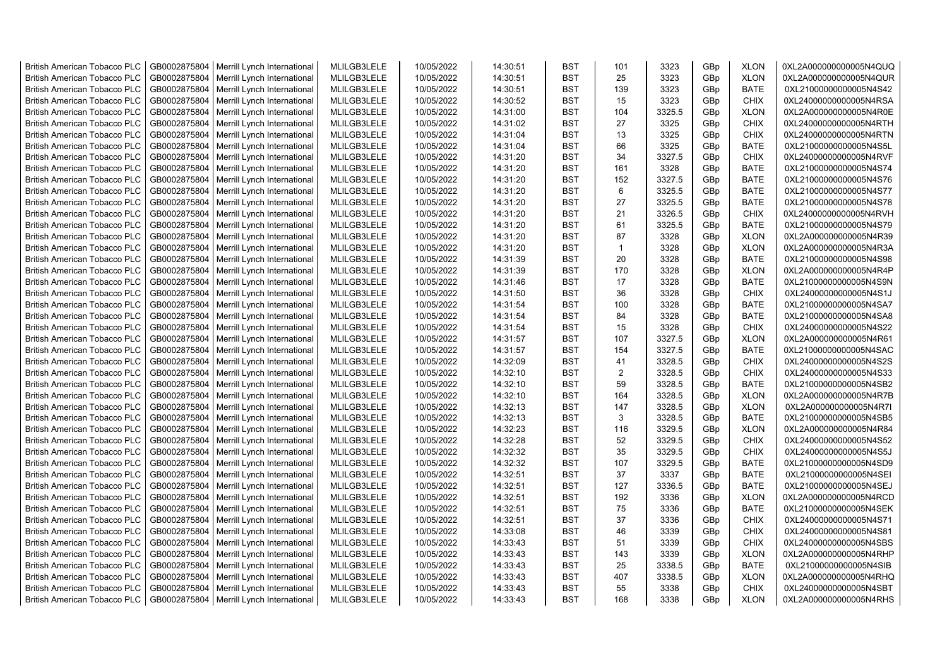| <b>British American Tobacco PLC</b> | GB0002875804 | Merrill Lynch International | MLILGB3LELE | 10/05/2022 | 14:30:51 | <b>BST</b> | 101            | 3323   | GBp             | <b>XLON</b> | 0XL2A000000000005N4QUQ |
|-------------------------------------|--------------|-----------------------------|-------------|------------|----------|------------|----------------|--------|-----------------|-------------|------------------------|
| <b>British American Tobacco PLC</b> | GB0002875804 | Merrill Lynch International | MLILGB3LELE | 10/05/2022 | 14:30:51 | <b>BST</b> | 25             | 3323   | GBp             | <b>XLON</b> | 0XL2A000000000005N4QUR |
| <b>British American Tobacco PLC</b> | GB0002875804 | Merrill Lynch International | MLILGB3LELE | 10/05/2022 | 14:30:51 | <b>BST</b> | 139            | 3323   | GBp             | <b>BATE</b> | 0XL21000000000005N4S42 |
| <b>British American Tobacco PLC</b> | GB0002875804 | Merrill Lynch International | MLILGB3LELE | 10/05/2022 | 14:30:52 | <b>BST</b> | 15             | 3323   | GBp             | <b>CHIX</b> | 0XL24000000000005N4RSA |
| <b>British American Tobacco PLC</b> | GB0002875804 | Merrill Lynch International | MLILGB3LELE | 10/05/2022 | 14:31:00 | <b>BST</b> | 104            | 3325.5 | GBp             | <b>XLON</b> | 0XL2A000000000005N4R0E |
| <b>British American Tobacco PLC</b> | GB0002875804 | Merrill Lynch International | MLILGB3LELE | 10/05/2022 | 14:31:02 | <b>BST</b> | 27             | 3325   | GBp             | <b>CHIX</b> | 0XL24000000000005N4RTH |
| <b>British American Tobacco PLC</b> | GB0002875804 | Merrill Lynch International | MLILGB3LELE | 10/05/2022 | 14:31:04 | <b>BST</b> | 13             | 3325   | GBp             | <b>CHIX</b> | 0XL24000000000005N4RTN |
| <b>British American Tobacco PLC</b> | GB0002875804 | Merrill Lynch International | MLILGB3LELE | 10/05/2022 | 14:31:04 | <b>BST</b> | 66             | 3325   | GBp             | <b>BATE</b> | 0XL21000000000005N4S5L |
| <b>British American Tobacco PLC</b> | GB0002875804 | Merrill Lynch International | MLILGB3LELE | 10/05/2022 | 14:31:20 | <b>BST</b> | 34             | 3327.5 | GBp             | <b>CHIX</b> | 0XL24000000000005N4RVF |
| <b>British American Tobacco PLC</b> | GB0002875804 | Merrill Lynch International | MLILGB3LELE | 10/05/2022 | 14:31:20 | <b>BST</b> | 161            | 3328   | GBp             | <b>BATE</b> | 0XL21000000000005N4S74 |
| <b>British American Tobacco PLC</b> | GB0002875804 | Merrill Lynch International | MLILGB3LELE | 10/05/2022 | 14:31:20 | <b>BST</b> | 152            | 3327.5 | GBp             | <b>BATE</b> | 0XL21000000000005N4S76 |
| <b>British American Tobacco PLC</b> | GB0002875804 | Merrill Lynch International | MLILGB3LELE | 10/05/2022 | 14:31:20 | <b>BST</b> | $\,6\,$        | 3325.5 | GBp             | <b>BATE</b> | 0XL21000000000005N4S77 |
| <b>British American Tobacco PLC</b> | GB0002875804 | Merrill Lynch International | MLILGB3LELE | 10/05/2022 | 14:31:20 | <b>BST</b> | 27             | 3325.5 | GBp             | <b>BATE</b> | 0XL21000000000005N4S78 |
| <b>British American Tobacco PLC</b> | GB0002875804 | Merrill Lynch International | MLILGB3LELE | 10/05/2022 | 14:31:20 | <b>BST</b> | 21             | 3326.5 | GBp             | <b>CHIX</b> | 0XL24000000000005N4RVH |
| <b>British American Tobacco PLC</b> | GB0002875804 | Merrill Lynch International | MLILGB3LELE | 10/05/2022 | 14:31:20 | <b>BST</b> | 61             | 3325.5 | GBp             | <b>BATE</b> | 0XL21000000000005N4S79 |
| British American Tobacco PLC        | GB0002875804 | Merrill Lynch International | MLILGB3LELE | 10/05/2022 | 14:31:20 | <b>BST</b> | 87             | 3328   | GBp             | <b>XLON</b> | 0XL2A000000000005N4R39 |
| British American Tobacco PLC        | GB0002875804 | Merrill Lynch International | MLILGB3LELE | 10/05/2022 | 14:31:20 | <b>BST</b> | $\mathbf{1}$   | 3328   | GBp             | <b>XLON</b> | 0XL2A000000000005N4R3A |
| <b>British American Tobacco PLC</b> | GB0002875804 | Merrill Lynch International | MLILGB3LELE | 10/05/2022 | 14:31:39 | <b>BST</b> | 20             | 3328   | GBp             | <b>BATE</b> | 0XL21000000000005N4S98 |
| <b>British American Tobacco PLC</b> | GB0002875804 | Merrill Lynch International | MLILGB3LELE | 10/05/2022 | 14:31:39 | <b>BST</b> | 170            | 3328   | GBp             | <b>XLON</b> | 0XL2A000000000005N4R4P |
| <b>British American Tobacco PLC</b> | GB0002875804 | Merrill Lynch International | MLILGB3LELE | 10/05/2022 | 14:31:46 | <b>BST</b> | 17             | 3328   | GBp             | <b>BATE</b> | 0XL21000000000005N4S9N |
| <b>British American Tobacco PLC</b> | GB0002875804 | Merrill Lynch International | MLILGB3LELE | 10/05/2022 | 14:31:50 | <b>BST</b> | 36             | 3328   | GBp             | <b>CHIX</b> | 0XL24000000000005N4S1J |
| <b>British American Tobacco PLC</b> | GB0002875804 | Merrill Lynch International | MLILGB3LELE | 10/05/2022 | 14:31:54 | <b>BST</b> | 100            | 3328   | GBp             | <b>BATE</b> | 0XL21000000000005N4SA7 |
| <b>British American Tobacco PLC</b> | GB0002875804 | Merrill Lynch International | MLILGB3LELE | 10/05/2022 | 14:31:54 | <b>BST</b> | 84             | 3328   | GBp             | <b>BATE</b> | 0XL21000000000005N4SA8 |
| <b>British American Tobacco PLC</b> | GB0002875804 | Merrill Lynch International | MLILGB3LELE | 10/05/2022 | 14:31:54 | <b>BST</b> | 15             | 3328   | GBp             | <b>CHIX</b> | 0XL24000000000005N4S22 |
| <b>British American Tobacco PLC</b> | GB0002875804 | Merrill Lynch International | MLILGB3LELE | 10/05/2022 | 14:31:57 | <b>BST</b> | 107            | 3327.5 | GBp             | <b>XLON</b> | 0XL2A000000000005N4R61 |
| <b>British American Tobacco PLC</b> | GB0002875804 | Merrill Lynch International | MLILGB3LELE | 10/05/2022 | 14:31:57 | <b>BST</b> | 154            | 3327.5 | GBp             | <b>BATE</b> | 0XL21000000000005N4SAC |
| <b>British American Tobacco PLC</b> | GB0002875804 | Merrill Lynch International | MLILGB3LELE | 10/05/2022 | 14:32:09 | <b>BST</b> | 41             | 3328.5 | GBp             | <b>CHIX</b> | 0XL24000000000005N4S2S |
| <b>British American Tobacco PLC</b> | GB0002875804 | Merrill Lynch International | MLILGB3LELE | 10/05/2022 | 14:32:10 | <b>BST</b> | $\overline{2}$ | 3328.5 | GBp             | <b>CHIX</b> | 0XL24000000000005N4S33 |
| <b>British American Tobacco PLC</b> | GB0002875804 | Merrill Lynch International | MLILGB3LELE | 10/05/2022 | 14:32:10 | <b>BST</b> | 59             | 3328.5 | GBp             | <b>BATE</b> | 0XL21000000000005N4SB2 |
| <b>British American Tobacco PLC</b> | GB0002875804 | Merrill Lynch International | MLILGB3LELE | 10/05/2022 | 14:32:10 | <b>BST</b> | 164            | 3328.5 | GBp             | <b>XLON</b> | 0XL2A000000000005N4R7B |
| <b>British American Tobacco PLC</b> | GB0002875804 | Merrill Lynch International | MLILGB3LELE | 10/05/2022 | 14:32:13 | <b>BST</b> | 147            | 3328.5 | GBp             | <b>XLON</b> | 0XL2A000000000005N4R7I |
| <b>British American Tobacco PLC</b> | GB0002875804 | Merrill Lynch International | MLILGB3LELE | 10/05/2022 | 14:32:13 | <b>BST</b> | 3              | 3328.5 | GBp             | <b>BATE</b> | 0XL21000000000005N4SB5 |
| <b>British American Tobacco PLC</b> | GB0002875804 | Merrill Lynch International | MLILGB3LELE | 10/05/2022 | 14:32:23 | <b>BST</b> | 116            | 3329.5 | GBp             | <b>XLON</b> | 0XL2A000000000005N4R84 |
| <b>British American Tobacco PLC</b> | GB0002875804 | Merrill Lynch International | MLILGB3LELE | 10/05/2022 | 14:32:28 | <b>BST</b> | 52             | 3329.5 | GBp             | <b>CHIX</b> | 0XL24000000000005N4S52 |
| <b>British American Tobacco PLC</b> | GB0002875804 | Merrill Lynch International | MLILGB3LELE | 10/05/2022 | 14:32:32 | <b>BST</b> | 35             | 3329.5 | GBp             | <b>CHIX</b> | 0XL24000000000005N4S5J |
| British American Tobacco PLC        | GB0002875804 | Merrill Lynch International | MLILGB3LELE | 10/05/2022 | 14:32:32 | <b>BST</b> | 107            | 3329.5 | GBp             | <b>BATE</b> | 0XL21000000000005N4SD9 |
| <b>British American Tobacco PLC</b> | GB0002875804 | Merrill Lynch International | MLILGB3LELE | 10/05/2022 | 14:32:51 | <b>BST</b> | 37             | 3337   | GBp             | <b>BATE</b> | 0XL21000000000005N4SEI |
| <b>British American Tobacco PLC</b> | GB0002875804 | Merrill Lynch International | MLILGB3LELE | 10/05/2022 | 14:32:51 | <b>BST</b> | 127            | 3336.5 | GBp             | <b>BATE</b> | 0XL21000000000005N4SEJ |
| <b>British American Tobacco PLC</b> | GB0002875804 | Merrill Lynch International | MLILGB3LELE | 10/05/2022 | 14:32:51 | <b>BST</b> | 192            | 3336   | GBp             | <b>XLON</b> | 0XL2A000000000005N4RCD |
| <b>British American Tobacco PLC</b> | GB0002875804 | Merrill Lynch International | MLILGB3LELE | 10/05/2022 | 14:32:51 | <b>BST</b> | 75             | 3336   | GBp             | <b>BATE</b> | 0XL21000000000005N4SEK |
| <b>British American Tobacco PLC</b> | GB0002875804 | Merrill Lynch International | MLILGB3LELE | 10/05/2022 | 14:32:51 | <b>BST</b> | 37             | 3336   | GBp             | <b>CHIX</b> | 0XL24000000000005N4S71 |
| <b>British American Tobacco PLC</b> | GB0002875804 | Merrill Lynch International | MLILGB3LELE | 10/05/2022 | 14:33:08 | <b>BST</b> | 46             | 3339   | GBp             | <b>CHIX</b> | 0XL24000000000005N4S81 |
| <b>British American Tobacco PLC</b> | GB0002875804 | Merrill Lynch International | MLILGB3LELE | 10/05/2022 | 14:33:43 | <b>BST</b> | 51             | 3339   | GBp             | <b>CHIX</b> | 0XL24000000000005N4SBS |
| <b>British American Tobacco PLC</b> | GB0002875804 | Merrill Lynch International | MLILGB3LELE | 10/05/2022 | 14:33:43 | <b>BST</b> | 143            | 3339   | GBp             | <b>XLON</b> | 0XL2A000000000005N4RHP |
| <b>British American Tobacco PLC</b> | GB0002875804 | Merrill Lynch International | MLILGB3LELE | 10/05/2022 | 14:33:43 | <b>BST</b> | 25             | 3338.5 | GBp             | <b>BATE</b> | 0XL21000000000005N4SIB |
| <b>British American Tobacco PLC</b> | GB0002875804 | Merrill Lynch International | MLILGB3LELE | 10/05/2022 | 14:33:43 | <b>BST</b> | 407            | 3338.5 | GBp             | <b>XLON</b> | 0XL2A000000000005N4RHQ |
| <b>British American Tobacco PLC</b> | GB0002875804 | Merrill Lynch International | MLILGB3LELE | 10/05/2022 | 14:33:43 | <b>BST</b> | 55             | 3338   | GBp             | <b>CHIX</b> | 0XL24000000000005N4SBT |
| <b>British American Tobacco PLC</b> | GB0002875804 | Merrill Lynch International | MLILGB3LELE | 10/05/2022 | 14:33:43 | <b>BST</b> | 168            | 3338   | GB <sub>p</sub> | <b>XLON</b> | 0XL2A000000000005N4RHS |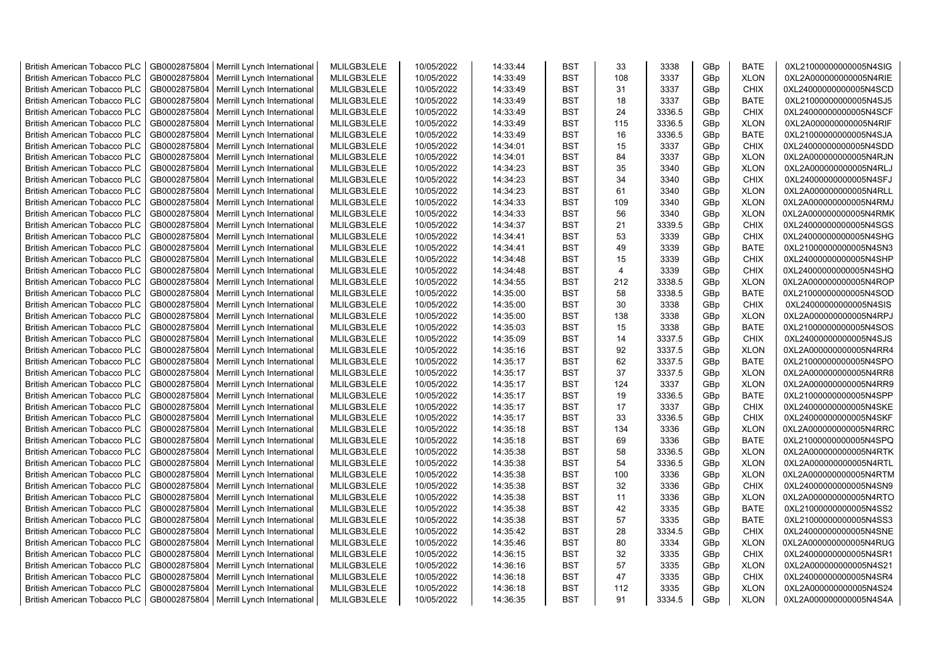| <b>British American Tobacco PLC</b> | GB0002875804 | Merrill Lynch International                | MLILGB3LELE | 10/05/2022 | 14:33:44 | <b>BST</b> | 33             | 3338   | GBp             | <b>BATE</b> | 0XL21000000000005N4SIG |
|-------------------------------------|--------------|--------------------------------------------|-------------|------------|----------|------------|----------------|--------|-----------------|-------------|------------------------|
| <b>British American Tobacco PLC</b> | GB0002875804 | Merrill Lynch International                | MLILGB3LELE | 10/05/2022 | 14:33:49 | <b>BST</b> | 108            | 3337   | GBp             | <b>XLON</b> | 0XL2A000000000005N4RIE |
| <b>British American Tobacco PLC</b> | GB0002875804 | Merrill Lynch International                | MLILGB3LELE | 10/05/2022 | 14:33:49 | <b>BST</b> | 31             | 3337   | GBp             | <b>CHIX</b> | 0XL24000000000005N4SCD |
| <b>British American Tobacco PLC</b> | GB0002875804 | Merrill Lynch International                | MLILGB3LELE | 10/05/2022 | 14:33:49 | <b>BST</b> | 18             | 3337   | GBp             | <b>BATE</b> | 0XL21000000000005N4SJ5 |
| <b>British American Tobacco PLC</b> | GB0002875804 | Merrill Lynch International                | MLILGB3LELE | 10/05/2022 | 14:33:49 | <b>BST</b> | 24             | 3336.5 | GBp             | <b>CHIX</b> | 0XL24000000000005N4SCF |
| <b>British American Tobacco PLC</b> | GB0002875804 | Merrill Lynch International                | MLILGB3LELE | 10/05/2022 | 14:33:49 | <b>BST</b> | 115            | 3336.5 | GBp             | <b>XLON</b> | 0XL2A000000000005N4RIF |
| British American Tobacco PLC        | GB0002875804 | Merrill Lynch International                | MLILGB3LELE | 10/05/2022 | 14:33:49 | <b>BST</b> | 16             | 3336.5 | GBp             | <b>BATE</b> | 0XL21000000000005N4SJA |
| <b>British American Tobacco PLC</b> | GB0002875804 | Merrill Lynch International                | MLILGB3LELE | 10/05/2022 | 14:34:01 | <b>BST</b> | 15             | 3337   | GBp             | <b>CHIX</b> | 0XL24000000000005N4SDD |
| <b>British American Tobacco PLC</b> | GB0002875804 | Merrill Lynch International                | MLILGB3LELE | 10/05/2022 | 14:34:01 | <b>BST</b> | 84             | 3337   | GBp             | <b>XLON</b> | 0XL2A000000000005N4RJN |
| <b>British American Tobacco PLC</b> | GB0002875804 | Merrill Lynch International                | MLILGB3LELE | 10/05/2022 | 14:34:23 | <b>BST</b> | 35             | 3340   | GBp             | <b>XLON</b> | 0XL2A000000000005N4RLJ |
| <b>British American Tobacco PLC</b> | GB0002875804 | Merrill Lynch International                | MLILGB3LELE | 10/05/2022 | 14:34:23 | <b>BST</b> | 34             | 3340   | GBp             | <b>CHIX</b> | 0XL24000000000005N4SFJ |
| <b>British American Tobacco PLC</b> | GB0002875804 | Merrill Lynch International                | MLILGB3LELE | 10/05/2022 | 14:34:23 | <b>BST</b> | 61             | 3340   | GBp             | <b>XLON</b> | 0XL2A000000000005N4RLL |
| <b>British American Tobacco PLC</b> | GB0002875804 | Merrill Lynch International                | MLILGB3LELE | 10/05/2022 | 14:34:33 | BST        | 109            | 3340   | GBp             | <b>XLON</b> | 0XL2A000000000005N4RMJ |
| <b>British American Tobacco PLC</b> | GB0002875804 | Merrill Lynch International                | MLILGB3LELE | 10/05/2022 | 14:34:33 | <b>BST</b> | 56             | 3340   | GBp             | <b>XLON</b> | 0XL2A000000000005N4RMK |
| <b>British American Tobacco PLC</b> | GB0002875804 | Merrill Lynch International                | MLILGB3LELE | 10/05/2022 | 14:34:37 | <b>BST</b> | 21             | 3339.5 | GBp             | <b>CHIX</b> | 0XL24000000000005N4SGS |
| <b>British American Tobacco PLC</b> | GB0002875804 | Merrill Lynch International                | MLILGB3LELE | 10/05/2022 | 14:34:41 | <b>BST</b> | 53             | 3339   | GBp             | <b>CHIX</b> | 0XL24000000000005N4SHG |
| <b>British American Tobacco PLC</b> | GB0002875804 | Merrill Lynch International                | MLILGB3LELE | 10/05/2022 | 14:34:41 | <b>BST</b> | 49             | 3339   | GBp             | BATE        | 0XL21000000000005N4SN3 |
| <b>British American Tobacco PLC</b> | GB0002875804 | Merrill Lynch International                | MLILGB3LELE | 10/05/2022 | 14:34:48 | <b>BST</b> | 15             | 3339   | GBp             | <b>CHIX</b> | 0XL24000000000005N4SHP |
| <b>British American Tobacco PLC</b> | GB0002875804 | Merrill Lynch International                | MLILGB3LELE | 10/05/2022 | 14:34:48 | <b>BST</b> | $\overline{4}$ | 3339   | GBp             | <b>CHIX</b> | 0XL24000000000005N4SHQ |
| <b>British American Tobacco PLC</b> | GB0002875804 | Merrill Lynch International                | MLILGB3LELE | 10/05/2022 | 14:34:55 | <b>BST</b> | 212            | 3338.5 | GBp             | <b>XLON</b> | 0XL2A000000000005N4ROP |
| <b>British American Tobacco PLC</b> | GB0002875804 | Merrill Lynch International                | MLILGB3LELE | 10/05/2022 | 14:35:00 | <b>BST</b> | 58             | 3338.5 | GBp             | <b>BATE</b> | 0XL21000000000005N4SOD |
| <b>British American Tobacco PLC</b> | GB0002875804 | Merrill Lynch International                | MLILGB3LELE | 10/05/2022 | 14:35:00 | <b>BST</b> | 30             | 3338   | GBp             | <b>CHIX</b> | 0XL24000000000005N4SIS |
| <b>British American Tobacco PLC</b> | GB0002875804 | Merrill Lynch International                | MLILGB3LELE | 10/05/2022 | 14:35:00 | <b>BST</b> | 138            | 3338   | GBp             | <b>XLON</b> | 0XL2A000000000005N4RPJ |
| <b>British American Tobacco PLC</b> | GB0002875804 | Merrill Lynch International                | MLILGB3LELE | 10/05/2022 | 14:35:03 | <b>BST</b> | 15             | 3338   | GBp             | <b>BATE</b> | 0XL21000000000005N4SOS |
| <b>British American Tobacco PLC</b> | GB0002875804 | Merrill Lynch International                | MLILGB3LELE | 10/05/2022 | 14:35:09 | <b>BST</b> | 14             | 3337.5 | GBp             | <b>CHIX</b> | 0XL24000000000005N4SJS |
| <b>British American Tobacco PLC</b> | GB0002875804 | Merrill Lynch International                | MLILGB3LELE | 10/05/2022 | 14:35:16 | <b>BST</b> | 92             | 3337.5 | GBp             | <b>XLON</b> | 0XL2A000000000005N4RR4 |
| <b>British American Tobacco PLC</b> | GB0002875804 | Merrill Lynch International                | MLILGB3LELE | 10/05/2022 | 14:35:17 | <b>BST</b> | 62             | 3337.5 | GBp             | <b>BATE</b> | 0XL21000000000005N4SPO |
| <b>British American Tobacco PLC</b> | GB0002875804 | Merrill Lynch International                | MLILGB3LELE | 10/05/2022 | 14:35:17 | <b>BST</b> | 37             | 3337.5 | GBp             | <b>XLON</b> | 0XL2A000000000005N4RR8 |
| <b>British American Tobacco PLC</b> | GB0002875804 | Merrill Lynch International                | MLILGB3LELE | 10/05/2022 | 14:35:17 | <b>BST</b> | 124            | 3337   | GBp             | <b>XLON</b> | 0XL2A000000000005N4RR9 |
| <b>British American Tobacco PLC</b> | GB0002875804 | Merrill Lynch International                | MLILGB3LELE | 10/05/2022 | 14:35:17 | <b>BST</b> | 19             | 3336.5 | GBp             | <b>BATE</b> | 0XL21000000000005N4SPP |
| <b>British American Tobacco PLC</b> | GB0002875804 | Merrill Lynch International                | MLILGB3LELE | 10/05/2022 | 14:35:17 | <b>BST</b> | 17             | 3337   | GBp             | <b>CHIX</b> | 0XL24000000000005N4SKE |
| <b>British American Tobacco PLC</b> | GB0002875804 | Merrill Lynch International                | MLILGB3LELE | 10/05/2022 | 14:35:17 | <b>BST</b> | 33             | 3336.5 | GBp             | <b>CHIX</b> | 0XL24000000000005N4SKF |
| <b>British American Tobacco PLC</b> | GB0002875804 | Merrill Lynch International                | MLILGB3LELE | 10/05/2022 | 14:35:18 | <b>BST</b> | 134            | 3336   | GBp             | <b>XLON</b> | 0XL2A000000000005N4RRC |
| <b>British American Tobacco PLC</b> | GB0002875804 | Merrill Lynch International                | MLILGB3LELE | 10/05/2022 | 14:35:18 | <b>BST</b> | 69             | 3336   | GBp             | <b>BATE</b> | 0XL21000000000005N4SPQ |
| <b>British American Tobacco PLC</b> | GB0002875804 | Merrill Lynch International                | MLILGB3LELE | 10/05/2022 | 14:35:38 | <b>BST</b> | 58             | 3336.5 | GBp             | <b>XLON</b> | 0XL2A000000000005N4RTK |
| British American Tobacco PLC        | GB0002875804 | Merrill Lynch International                | MLILGB3LELE | 10/05/2022 | 14:35:38 | <b>BST</b> | 54             | 3336.5 | GBp             | <b>XLON</b> | 0XL2A000000000005N4RTL |
| <b>British American Tobacco PLC</b> | GB0002875804 | Merrill Lynch International                | MLILGB3LELE | 10/05/2022 | 14:35:38 | <b>BST</b> | 100            | 3336   | GBp             | <b>XLON</b> | 0XL2A000000000005N4RTM |
| <b>British American Tobacco PLC</b> | GB0002875804 | Merrill Lynch International                | MLILGB3LELE | 10/05/2022 | 14:35:38 | <b>BST</b> | 32             | 3336   | GBp             | <b>CHIX</b> | 0XL24000000000005N4SN9 |
| <b>British American Tobacco PLC</b> | GB0002875804 | Merrill Lynch International                | MLILGB3LELE | 10/05/2022 | 14:35:38 | <b>BST</b> | 11             | 3336   | GBp             | <b>XLON</b> | 0XL2A000000000005N4RTO |
| <b>British American Tobacco PLC</b> | GB0002875804 | Merrill Lynch International                | MLILGB3LELE | 10/05/2022 | 14:35:38 | <b>BST</b> | 42             | 3335   | GBp             | <b>BATE</b> | 0XL21000000000005N4SS2 |
| <b>British American Tobacco PLC</b> | GB0002875804 | Merrill Lynch International                | MLILGB3LELE | 10/05/2022 | 14:35:38 | <b>BST</b> | 57             | 3335   | GBp             | <b>BATE</b> | 0XL21000000000005N4SS3 |
| <b>British American Tobacco PLC</b> | GB0002875804 | Merrill Lynch International                | MLILGB3LELE | 10/05/2022 | 14:35:42 | <b>BST</b> | 28             | 3334.5 | GBp             | <b>CHIX</b> | 0XL24000000000005N4SNE |
| <b>British American Tobacco PLC</b> | GB0002875804 | Merrill Lynch International                | MLILGB3LELE | 10/05/2022 | 14:35:46 | <b>BST</b> | 80             | 3334   | GBp             | <b>XLON</b> | 0XL2A000000000005N4RUG |
| <b>British American Tobacco PLC</b> | GB0002875804 | Merrill Lynch International                | MLILGB3LELE | 10/05/2022 | 14:36:15 | <b>BST</b> | 32             | 3335   | GBp             | <b>CHIX</b> | 0XL24000000000005N4SR1 |
| <b>British American Tobacco PLC</b> | GB0002875804 | Merrill Lynch International                | MLILGB3LELE | 10/05/2022 | 14:36:16 | <b>BST</b> | 57             | 3335   | GBp             | <b>XLON</b> | 0XL2A000000000005N4S21 |
| <b>British American Tobacco PLC</b> | GB0002875804 | Merrill Lynch International                | MLILGB3LELE | 10/05/2022 | 14:36:18 | <b>BST</b> | 47             | 3335   | GBp             | <b>CHIX</b> | 0XL24000000000005N4SR4 |
| <b>British American Tobacco PLC</b> | GB0002875804 | Merrill Lynch International                | MLILGB3LELE | 10/05/2022 | 14:36:18 | <b>BST</b> | 112            | 3335   | GBp             | <b>XLON</b> | 0XL2A000000000005N4S24 |
| <b>British American Tobacco PLC</b> |              | GB0002875804   Merrill Lynch International | MLILGB3LELE | 10/05/2022 | 14:36:35 | <b>BST</b> | 91             | 3334.5 | GB <sub>p</sub> | <b>XLON</b> | 0XL2A000000000005N4S4A |
|                                     |              |                                            |             |            |          |            |                |        |                 |             |                        |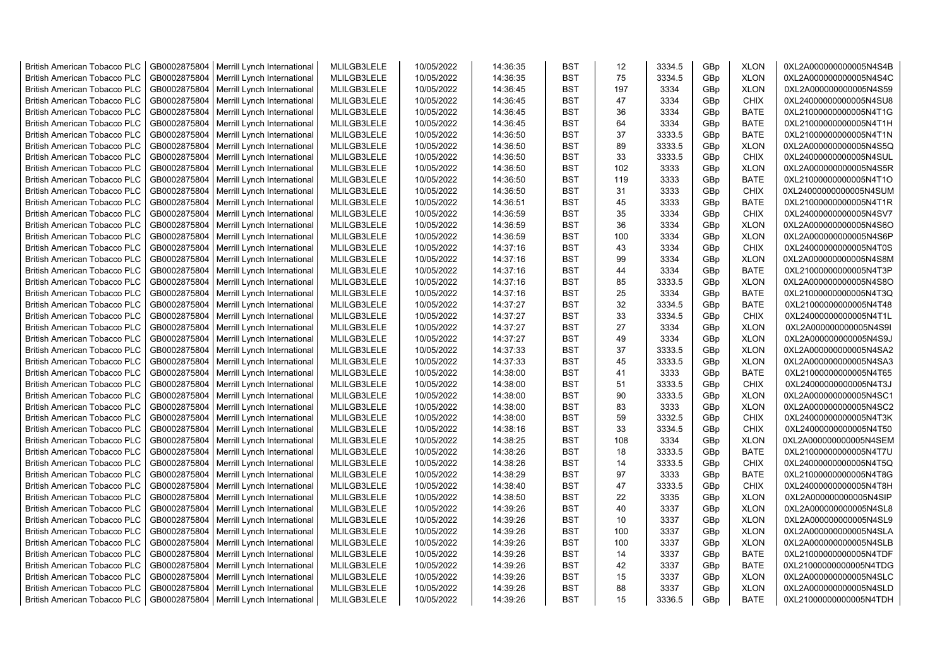| GB0002875804<br>MLILGB3LELE<br>10/05/2022<br><b>BST</b><br>75<br>3334.5<br><b>XLON</b><br><b>British American Tobacco PLC</b><br>Merrill Lynch International<br>14:36:35<br>GBp<br>0XL2A000000000005N4S4C<br>GB0002875804<br><b>BST</b><br>197<br>3334<br><b>XLON</b><br><b>British American Tobacco PLC</b><br>Merrill Lynch International<br>MLILGB3LELE<br>10/05/2022<br>14:36:45<br>0XL2A000000000005N4S59<br>GBp<br>3334<br><b>British American Tobacco PLC</b><br>GB0002875804<br>Merrill Lynch International<br>MLILGB3LELE<br>10/05/2022<br>14:36:45<br><b>BST</b><br>47<br>GBp<br><b>CHIX</b><br>0XL24000000000005N4SU8<br>MLILGB3LELE<br>3334<br><b>British American Tobacco PLC</b><br>GB0002875804<br>Merrill Lynch International<br>10/05/2022<br>14:36:45<br><b>BST</b><br>36<br>GBp<br><b>BATE</b><br>0XL21000000000005N4T1G<br>MLILGB3LELE<br>64<br><b>BATE</b><br>GB0002875804<br>Merrill Lynch International<br>10/05/2022<br>14:36:45<br><b>BST</b><br>3334<br>GBp<br>0XL21000000000005N4T1H<br><b>British American Tobacco PLC</b><br>Merrill Lynch International<br>MLILGB3LELE<br>10/05/2022<br>14:36:50<br><b>BST</b><br>37<br>3333.5<br><b>BATE</b><br><b>British American Tobacco PLC</b><br>GB0002875804<br>GBp<br>0XL21000000000005N4T1N<br>GB0002875804<br>MLILGB3LELE<br><b>BST</b><br>89<br>3333.5<br><b>British American Tobacco PLC</b><br>Merrill Lynch International<br>10/05/2022<br>14:36:50<br>GBp<br><b>XLON</b><br>0XL2A000000000005N4S5Q<br>33<br>GB0002875804<br>Merrill Lynch International<br>MLILGB3LELE<br>10/05/2022<br>14:36:50<br><b>BST</b><br>3333.5<br><b>CHIX</b><br>0XL24000000000005N4SUL<br><b>British American Tobacco PLC</b><br>GBp<br>GB0002875804<br>Merrill Lynch International<br>MLILGB3LELE<br>10/05/2022<br>14:36:50<br><b>BST</b><br>102<br>3333<br>GBp<br><b>XLON</b><br>0XL2A000000000005N4S5R<br><b>British American Tobacco PLC</b><br>GB0002875804<br>3333<br>Merrill Lynch International<br>MLILGB3LELE<br>10/05/2022<br>14:36:50<br><b>BST</b><br>119<br><b>BATE</b><br>0XL21000000000005N4T1O<br><b>British American Tobacco PLC</b><br>GBp<br>3333<br>GB0002875804<br>Merrill Lynch International<br>MLILGB3LELE<br>10/05/2022<br>14:36:50<br><b>BST</b><br>31<br><b>CHIX</b><br>0XL24000000000005N4SUM<br><b>British American Tobacco PLC</b><br>GBp<br>GB0002875804<br>Merrill Lynch International<br>MLILGB3LELE<br>10/05/2022<br>14:36:51<br><b>BST</b><br>45<br>3333<br><b>BATE</b><br><b>British American Tobacco PLC</b><br>GBp<br>0XL21000000000005N4T1R<br>GB0002875804<br>MLILGB3LELE<br>10/05/2022<br>14:36:59<br><b>BST</b><br>35<br>3334<br><b>CHIX</b><br>0XL24000000000005N4SV7<br><b>British American Tobacco PLC</b><br>Merrill Lynch International<br>GBp<br>GB0002875804<br>Merrill Lynch International<br>MLILGB3LELE<br>10/05/2022<br>14:36:59<br><b>BST</b><br>36<br>3334<br><b>XLON</b><br><b>British American Tobacco PLC</b><br>GBp<br>0XL2A000000000005N4S6O<br>Merrill Lynch International<br>3334<br><b>British American Tobacco PLC</b><br>GB0002875804<br>MLILGB3LELE<br>10/05/2022<br>14:36:59<br><b>BST</b><br>100<br>GBp<br><b>XLON</b><br>0XL2A000000000005N4S6P<br>3334<br><b>British American Tobacco PLC</b><br>GB0002875804<br>Merrill Lynch International<br>MLILGB3LELE<br>10/05/2022<br>14:37:16<br><b>BST</b><br>43<br>GBp<br><b>CHIX</b><br>0XL24000000000005N4T0S<br>99<br>3334<br><b>British American Tobacco PLC</b><br>GB0002875804<br>Merrill Lynch International<br>MLILGB3LELE<br>10/05/2022<br>14:37:16<br><b>BST</b><br>GBp<br><b>XLON</b><br>0XL2A000000000005N4S8M<br>GB0002875804<br>MLILGB3LELE<br>10/05/2022<br>14:37:16<br><b>BST</b><br>44<br>3334<br><b>BATE</b><br>0XL21000000000005N4T3P<br><b>British American Tobacco PLC</b><br>Merrill Lynch International<br>GBp<br>GB0002875804<br>MLILGB3LELE<br>10/05/2022<br>85<br>3333.5<br><b>British American Tobacco PLC</b><br>Merrill Lynch International<br>14:37:16<br><b>BST</b><br><b>XLON</b><br>0XL2A000000000005N4S8O<br>GBp<br>3334<br>GB0002875804<br>25<br><b>BATE</b><br><b>British American Tobacco PLC</b><br>Merrill Lynch International<br>MLILGB3LELE<br>10/05/2022<br>14:37:16<br><b>BST</b><br>GBp<br>0XL21000000000005N4T3Q<br>GB0002875804<br>MLILGB3LELE<br>32<br>3334.5<br><b>British American Tobacco PLC</b><br>Merrill Lynch International<br>10/05/2022<br>14:37:27<br><b>BST</b><br>GBp<br><b>BATE</b><br>0XL21000000000005N4T48<br>MLILGB3LELE<br>14:37:27<br><b>BST</b><br>33<br>3334.5<br><b>CHIX</b><br><b>British American Tobacco PLC</b><br>GB0002875804<br>Merrill Lynch International<br>10/05/2022<br>GBp<br>0XL24000000000005N4T1L<br>MLILGB3LELE<br>27<br><b>British American Tobacco PLC</b><br>GB0002875804<br>Merrill Lynch International<br>10/05/2022<br>14:37:27<br><b>BST</b><br>3334<br>GBp<br><b>XLON</b><br>0XL2A000000000005N4S9I<br><b>British American Tobacco PLC</b><br>GB0002875804<br>Merrill Lynch International<br>MLILGB3LELE<br>10/05/2022<br>14:37:27<br><b>BST</b><br>49<br>3334<br>GBp<br><b>XLON</b><br>0XL2A000000000005N4S9J<br><b>British American Tobacco PLC</b><br>GB0002875804<br>Merrill Lynch International<br>MLILGB3LELE<br>10/05/2022<br>14:37:33<br><b>BST</b><br>37<br>3333.5<br>GBp<br><b>XLON</b><br>0XL2A000000000005N4SA2<br>3333.5<br>GB0002875804<br>Merrill Lynch International<br>MLILGB3LELE<br>10/05/2022<br>14:37:33<br><b>BST</b><br>45<br><b>XLON</b><br>0XL2A000000000005N4SA3<br><b>British American Tobacco PLC</b><br>GBp<br>GB0002875804<br>MLILGB3LELE<br><b>BST</b><br>3333<br><b>BATE</b><br><b>British American Tobacco PLC</b><br>Merrill Lynch International<br>10/05/2022<br>14:38:00<br>41<br>GBp<br>0XL21000000000005N4T65<br>GB0002875804<br>Merrill Lynch International<br>MLILGB3LELE<br>10/05/2022<br>51<br>3333.5<br><b>CHIX</b><br>0XL24000000000005N4T3J<br><b>British American Tobacco PLC</b><br>14:38:00<br>BST<br>GBp<br>3333.5<br><b>British American Tobacco PLC</b><br>GB0002875804<br>Merrill Lynch International<br>MLILGB3LELE<br>10/05/2022<br>14:38:00<br><b>BST</b><br>90<br><b>XLON</b><br>0XL2A000000000005N4SC1<br>GBp<br>GB0002875804<br>Merrill Lynch International<br>MLILGB3LELE<br>10/05/2022<br>14:38:00<br><b>BST</b><br>83<br>3333<br>GBp<br><b>XLON</b><br>0XL2A000000000005N4SC2<br><b>British American Tobacco PLC</b><br>59<br>Merrill Lynch International<br>MLILGB3LELE<br>10/05/2022<br>14:38:00<br><b>BST</b><br>3332.5<br><b>CHIX</b><br><b>British American Tobacco PLC</b><br>GB0002875804<br>GBp<br>0XL24000000000005N4T3K<br>33<br>GB0002875804<br>Merrill Lynch International<br>MLILGB3LELE<br>10/05/2022<br>3334.5<br><b>CHIX</b><br><b>British American Tobacco PLC</b><br>14:38:16<br>BST<br>GBp<br>0XL24000000000005N4T50<br>GB0002875804<br>Merrill Lynch International<br>MLILGB3LELE<br>10/05/2022<br>14:38:25<br><b>BST</b><br>108<br>3334<br>0XL2A000000000005N4SEM<br><b>British American Tobacco PLC</b><br>GBp<br><b>XLON</b><br>3333.5<br>GB0002875804<br>Merrill Lynch International<br>MLILGB3LELE<br>10/05/2022<br>14:38:26<br><b>BST</b><br>18<br><b>BATE</b><br>0XL21000000000005N4T7U<br><b>British American Tobacco PLC</b><br>GBp<br>GB0002875804<br>MLILGB3LELE<br>10/05/2022<br>14:38:26<br>14<br>3333.5<br><b>CHIX</b><br>0XL24000000000005N4T5Q<br><b>British American Tobacco PLC</b><br>Merrill Lynch International<br><b>BST</b><br>GBp<br><b>BATE</b><br>GB0002875804<br>MLILGB3LELE<br>10/05/2022<br>14:38:29<br><b>BST</b><br>97<br>3333<br>0XL21000000000005N4T8G<br><b>British American Tobacco PLC</b><br>Merrill Lynch International<br>GBp<br>GB0002875804<br>MLILGB3LELE<br>47<br>3333.5<br><b>British American Tobacco PLC</b><br>Merrill Lynch International<br>10/05/2022<br>14:38:40<br><b>BST</b><br>GBp<br><b>CHIX</b><br>0XL24000000000005N4T8H<br>GB0002875804<br>MLILGB3LELE<br>10/05/2022<br>14:38:50<br><b>BST</b><br>22<br>3335<br><b>XLON</b><br><b>British American Tobacco PLC</b><br>Merrill Lynch International<br>GBp<br>0XL2A000000000005N4SIP<br>GB0002875804<br>MLILGB3LELE<br>10/05/2022<br>14:39:26<br>40<br>3337<br><b>XLON</b><br><b>British American Tobacco PLC</b><br>Merrill Lynch International<br><b>BST</b><br>GBp<br>0XL2A000000000005N4SL8<br>MLILGB3LELE<br><b>BST</b><br>10<br>3337<br><b>British American Tobacco PLC</b><br>GB0002875804<br>Merrill Lynch International<br>10/05/2022<br>14:39:26<br>GBp<br><b>XLON</b><br>0XL2A000000000005N4SL9<br><b>British American Tobacco PLC</b><br>GB0002875804<br>Merrill Lynch International<br>MLILGB3LELE<br>10/05/2022<br>14:39:26<br><b>BST</b><br>100<br>3337<br>GBp<br><b>XLON</b><br>0XL2A000000000005N4SLA<br>GB0002875804<br>MLILGB3LELE<br>100<br>3337<br>0XL2A000000000005N4SLB<br><b>British American Tobacco PLC</b><br>Merrill Lynch International<br>10/05/2022<br>14:39:26<br><b>BST</b><br>GBp<br><b>XLON</b><br>GB0002875804<br>MLILGB3LELE<br>14:39:26<br><b>BST</b><br>3337<br><b>BATE</b><br>0XL21000000000005N4TDF<br><b>British American Tobacco PLC</b><br>Merrill Lynch International<br>10/05/2022<br>14<br>GBp<br>GB0002875804<br>MLILGB3LELE<br>42<br>3337<br><b>BATE</b><br>0XL21000000000005N4TDG<br>Merrill Lynch International<br>10/05/2022<br>14:39:26<br><b>BST</b><br><b>British American Tobacco PLC</b><br>GBp<br>MLILGB3LELE<br><b>BST</b><br>3337<br><b>British American Tobacco PLC</b><br>GB0002875804<br>Merrill Lynch International<br>10/05/2022<br>14:39:26<br>15<br><b>XLON</b><br>0XL2A000000000005N4SLC<br>GBp<br><b>British American Tobacco PLC</b><br>GB0002875804<br>Merrill Lynch International<br>MLILGB3LELE<br>10/05/2022<br>14:39:26<br><b>BST</b><br>88<br>3337<br>GBp<br><b>XLON</b><br>0XL2A000000000005N4SLD<br>MLILGB3LELE<br><b>BST</b><br>3336.5<br><b>BATE</b><br><b>British American Tobacco PLC</b><br>GB0002875804<br>Merrill Lynch International<br>10/05/2022<br>14:39:26<br>15<br>GB <sub>p</sub><br>0XL21000000000005N4TDH | <b>British American Tobacco PLC</b> | GB0002875804 | Merrill Lynch International | MLILGB3LELE | 10/05/2022 | 14:36:35 | <b>BST</b> | 12 | 3334.5 | GBp | <b>XLON</b> | 0XL2A000000000005N4S4B |
|--------------------------------------------------------------------------------------------------------------------------------------------------------------------------------------------------------------------------------------------------------------------------------------------------------------------------------------------------------------------------------------------------------------------------------------------------------------------------------------------------------------------------------------------------------------------------------------------------------------------------------------------------------------------------------------------------------------------------------------------------------------------------------------------------------------------------------------------------------------------------------------------------------------------------------------------------------------------------------------------------------------------------------------------------------------------------------------------------------------------------------------------------------------------------------------------------------------------------------------------------------------------------------------------------------------------------------------------------------------------------------------------------------------------------------------------------------------------------------------------------------------------------------------------------------------------------------------------------------------------------------------------------------------------------------------------------------------------------------------------------------------------------------------------------------------------------------------------------------------------------------------------------------------------------------------------------------------------------------------------------------------------------------------------------------------------------------------------------------------------------------------------------------------------------------------------------------------------------------------------------------------------------------------------------------------------------------------------------------------------------------------------------------------------------------------------------------------------------------------------------------------------------------------------------------------------------------------------------------------------------------------------------------------------------------------------------------------------------------------------------------------------------------------------------------------------------------------------------------------------------------------------------------------------------------------------------------------------------------------------------------------------------------------------------------------------------------------------------------------------------------------------------------------------------------------------------------------------------------------------------------------------------------------------------------------------------------------------------------------------------------------------------------------------------------------------------------------------------------------------------------------------------------------------------------------------------------------------------------------------------------------------------------------------------------------------------------------------------------------------------------------------------------------------------------------------------------------------------------------------------------------------------------------------------------------------------------------------------------------------------------------------------------------------------------------------------------------------------------------------------------------------------------------------------------------------------------------------------------------------------------------------------------------------------------------------------------------------------------------------------------------------------------------------------------------------------------------------------------------------------------------------------------------------------------------------------------------------------------------------------------------------------------------------------------------------------------------------------------------------------------------------------------------------------------------------------------------------------------------------------------------------------------------------------------------------------------------------------------------------------------------------------------------------------------------------------------------------------------------------------------------------------------------------------------------------------------------------------------------------------------------------------------------------------------------------------------------------------------------------------------------------------------------------------------------------------------------------------------------------------------------------------------------------------------------------------------------------------------------------------------------------------------------------------------------------------------------------------------------------------------------------------------------------------------------------------------------------------------------------------------------------------------------------------------------------------------------------------------------------------------------------------------------------------------------------------------------------------------------------------------------------------------------------------------------------------------------------------------------------------------------------------------------------------------------------------------------------------------------------------------------------------------------------------------------------------------------------------------------------------------------------------------------------------------------------------------------------------------------------------------------------------------------------------------------------------------------------------------------------------------------------------------------------------------------------------------------------------------------------------------------------------------------------------------------------------------------------------------------------------------------------------------------------------------------------------------------------------------------------------------------------------------------------------------------------------------------------------------------------------------------------------------------------------------------------------------------------------------------------------------------------------------------------------------------------------------------------------------------------------------------------------------------------------------------------------------------------------------------------------------------------------------------------------------------------------------------------------------------------------------------------------------------------------------------------------------------------------------------------------------------------------------------------------------------------------------------------------------------------------------------------------------------------------------------------------------------------------------------------------------------------------------------------------------------------------------------------------------------------------------------------------------------------------------------------------------------------------------------------------------------------------------------------------------------------------------------------------------------------------------------------------------------------------------------------------------------------------------------------------------------------------------------------------------------------------------------------------------------------------------------------------------------------------------------------------------------------------------------------------------------------------------------------------------------------------------------------------------------------------------------------------------------------------------------------------------------------------------------------------------------------------------------------------------------------------------------------------------------------------------------------------------------------------------------------------------------------------------------------------------------------------------------------------------------------------------------------------------------------------------------------------------------------------------------------------------------------------------------------------------------------------------------------------------------------------------------------------------------------------------------------------------------------------------------------------------------------------------------------------------------------------------------------------------------------------------------------------|-------------------------------------|--------------|-----------------------------|-------------|------------|----------|------------|----|--------|-----|-------------|------------------------|
|                                                                                                                                                                                                                                                                                                                                                                                                                                                                                                                                                                                                                                                                                                                                                                                                                                                                                                                                                                                                                                                                                                                                                                                                                                                                                                                                                                                                                                                                                                                                                                                                                                                                                                                                                                                                                                                                                                                                                                                                                                                                                                                                                                                                                                                                                                                                                                                                                                                                                                                                                                                                                                                                                                                                                                                                                                                                                                                                                                                                                                                                                                                                                                                                                                                                                                                                                                                                                                                                                                                                                                                                                                                                                                                                                                                                                                                                                                                                                                                                                                                                                                                                                                                                                                                                                                                                                                                                                                                                                                                                                                                                                                                                                                                                                                                                                                                                                                                                                                                                                                                                                                                                                                                                                                                                                                                                                                                                                                                                                                                                                                                                                                                                                                                                                                                                                                                                                                                                                                                                                                                                                                                                                                                                                                                                                                                                                                                                                                                                                                                                                                                                                                                                                                                                                                                                                                                                                                                                                                                                                                                                                                                                                                                                                                                                                                                                                                                                                                                                                                                                                                                                                                                                                                                                                                                                                                                                                                                                                                                                                                                                                                                                                                                                                                                                                                                                                                                                                                                                                                                                                                                                                                                                                                                                                                                                                                                                                                                                                                                                                                                                                                                                                                                                                                                                                                                                                                                                                                                                                                                                                                                                                                                                                                                                                                                                                                                                                                                                                                          |                                     |              |                             |             |            |          |            |    |        |     |             |                        |
|                                                                                                                                                                                                                                                                                                                                                                                                                                                                                                                                                                                                                                                                                                                                                                                                                                                                                                                                                                                                                                                                                                                                                                                                                                                                                                                                                                                                                                                                                                                                                                                                                                                                                                                                                                                                                                                                                                                                                                                                                                                                                                                                                                                                                                                                                                                                                                                                                                                                                                                                                                                                                                                                                                                                                                                                                                                                                                                                                                                                                                                                                                                                                                                                                                                                                                                                                                                                                                                                                                                                                                                                                                                                                                                                                                                                                                                                                                                                                                                                                                                                                                                                                                                                                                                                                                                                                                                                                                                                                                                                                                                                                                                                                                                                                                                                                                                                                                                                                                                                                                                                                                                                                                                                                                                                                                                                                                                                                                                                                                                                                                                                                                                                                                                                                                                                                                                                                                                                                                                                                                                                                                                                                                                                                                                                                                                                                                                                                                                                                                                                                                                                                                                                                                                                                                                                                                                                                                                                                                                                                                                                                                                                                                                                                                                                                                                                                                                                                                                                                                                                                                                                                                                                                                                                                                                                                                                                                                                                                                                                                                                                                                                                                                                                                                                                                                                                                                                                                                                                                                                                                                                                                                                                                                                                                                                                                                                                                                                                                                                                                                                                                                                                                                                                                                                                                                                                                                                                                                                                                                                                                                                                                                                                                                                                                                                                                                                                                                                                                                          |                                     |              |                             |             |            |          |            |    |        |     |             |                        |
|                                                                                                                                                                                                                                                                                                                                                                                                                                                                                                                                                                                                                                                                                                                                                                                                                                                                                                                                                                                                                                                                                                                                                                                                                                                                                                                                                                                                                                                                                                                                                                                                                                                                                                                                                                                                                                                                                                                                                                                                                                                                                                                                                                                                                                                                                                                                                                                                                                                                                                                                                                                                                                                                                                                                                                                                                                                                                                                                                                                                                                                                                                                                                                                                                                                                                                                                                                                                                                                                                                                                                                                                                                                                                                                                                                                                                                                                                                                                                                                                                                                                                                                                                                                                                                                                                                                                                                                                                                                                                                                                                                                                                                                                                                                                                                                                                                                                                                                                                                                                                                                                                                                                                                                                                                                                                                                                                                                                                                                                                                                                                                                                                                                                                                                                                                                                                                                                                                                                                                                                                                                                                                                                                                                                                                                                                                                                                                                                                                                                                                                                                                                                                                                                                                                                                                                                                                                                                                                                                                                                                                                                                                                                                                                                                                                                                                                                                                                                                                                                                                                                                                                                                                                                                                                                                                                                                                                                                                                                                                                                                                                                                                                                                                                                                                                                                                                                                                                                                                                                                                                                                                                                                                                                                                                                                                                                                                                                                                                                                                                                                                                                                                                                                                                                                                                                                                                                                                                                                                                                                                                                                                                                                                                                                                                                                                                                                                                                                                                                                                          |                                     |              |                             |             |            |          |            |    |        |     |             |                        |
|                                                                                                                                                                                                                                                                                                                                                                                                                                                                                                                                                                                                                                                                                                                                                                                                                                                                                                                                                                                                                                                                                                                                                                                                                                                                                                                                                                                                                                                                                                                                                                                                                                                                                                                                                                                                                                                                                                                                                                                                                                                                                                                                                                                                                                                                                                                                                                                                                                                                                                                                                                                                                                                                                                                                                                                                                                                                                                                                                                                                                                                                                                                                                                                                                                                                                                                                                                                                                                                                                                                                                                                                                                                                                                                                                                                                                                                                                                                                                                                                                                                                                                                                                                                                                                                                                                                                                                                                                                                                                                                                                                                                                                                                                                                                                                                                                                                                                                                                                                                                                                                                                                                                                                                                                                                                                                                                                                                                                                                                                                                                                                                                                                                                                                                                                                                                                                                                                                                                                                                                                                                                                                                                                                                                                                                                                                                                                                                                                                                                                                                                                                                                                                                                                                                                                                                                                                                                                                                                                                                                                                                                                                                                                                                                                                                                                                                                                                                                                                                                                                                                                                                                                                                                                                                                                                                                                                                                                                                                                                                                                                                                                                                                                                                                                                                                                                                                                                                                                                                                                                                                                                                                                                                                                                                                                                                                                                                                                                                                                                                                                                                                                                                                                                                                                                                                                                                                                                                                                                                                                                                                                                                                                                                                                                                                                                                                                                                                                                                                                                          |                                     |              |                             |             |            |          |            |    |        |     |             |                        |
|                                                                                                                                                                                                                                                                                                                                                                                                                                                                                                                                                                                                                                                                                                                                                                                                                                                                                                                                                                                                                                                                                                                                                                                                                                                                                                                                                                                                                                                                                                                                                                                                                                                                                                                                                                                                                                                                                                                                                                                                                                                                                                                                                                                                                                                                                                                                                                                                                                                                                                                                                                                                                                                                                                                                                                                                                                                                                                                                                                                                                                                                                                                                                                                                                                                                                                                                                                                                                                                                                                                                                                                                                                                                                                                                                                                                                                                                                                                                                                                                                                                                                                                                                                                                                                                                                                                                                                                                                                                                                                                                                                                                                                                                                                                                                                                                                                                                                                                                                                                                                                                                                                                                                                                                                                                                                                                                                                                                                                                                                                                                                                                                                                                                                                                                                                                                                                                                                                                                                                                                                                                                                                                                                                                                                                                                                                                                                                                                                                                                                                                                                                                                                                                                                                                                                                                                                                                                                                                                                                                                                                                                                                                                                                                                                                                                                                                                                                                                                                                                                                                                                                                                                                                                                                                                                                                                                                                                                                                                                                                                                                                                                                                                                                                                                                                                                                                                                                                                                                                                                                                                                                                                                                                                                                                                                                                                                                                                                                                                                                                                                                                                                                                                                                                                                                                                                                                                                                                                                                                                                                                                                                                                                                                                                                                                                                                                                                                                                                                                                                          |                                     |              |                             |             |            |          |            |    |        |     |             |                        |
|                                                                                                                                                                                                                                                                                                                                                                                                                                                                                                                                                                                                                                                                                                                                                                                                                                                                                                                                                                                                                                                                                                                                                                                                                                                                                                                                                                                                                                                                                                                                                                                                                                                                                                                                                                                                                                                                                                                                                                                                                                                                                                                                                                                                                                                                                                                                                                                                                                                                                                                                                                                                                                                                                                                                                                                                                                                                                                                                                                                                                                                                                                                                                                                                                                                                                                                                                                                                                                                                                                                                                                                                                                                                                                                                                                                                                                                                                                                                                                                                                                                                                                                                                                                                                                                                                                                                                                                                                                                                                                                                                                                                                                                                                                                                                                                                                                                                                                                                                                                                                                                                                                                                                                                                                                                                                                                                                                                                                                                                                                                                                                                                                                                                                                                                                                                                                                                                                                                                                                                                                                                                                                                                                                                                                                                                                                                                                                                                                                                                                                                                                                                                                                                                                                                                                                                                                                                                                                                                                                                                                                                                                                                                                                                                                                                                                                                                                                                                                                                                                                                                                                                                                                                                                                                                                                                                                                                                                                                                                                                                                                                                                                                                                                                                                                                                                                                                                                                                                                                                                                                                                                                                                                                                                                                                                                                                                                                                                                                                                                                                                                                                                                                                                                                                                                                                                                                                                                                                                                                                                                                                                                                                                                                                                                                                                                                                                                                                                                                                                                          |                                     |              |                             |             |            |          |            |    |        |     |             |                        |
|                                                                                                                                                                                                                                                                                                                                                                                                                                                                                                                                                                                                                                                                                                                                                                                                                                                                                                                                                                                                                                                                                                                                                                                                                                                                                                                                                                                                                                                                                                                                                                                                                                                                                                                                                                                                                                                                                                                                                                                                                                                                                                                                                                                                                                                                                                                                                                                                                                                                                                                                                                                                                                                                                                                                                                                                                                                                                                                                                                                                                                                                                                                                                                                                                                                                                                                                                                                                                                                                                                                                                                                                                                                                                                                                                                                                                                                                                                                                                                                                                                                                                                                                                                                                                                                                                                                                                                                                                                                                                                                                                                                                                                                                                                                                                                                                                                                                                                                                                                                                                                                                                                                                                                                                                                                                                                                                                                                                                                                                                                                                                                                                                                                                                                                                                                                                                                                                                                                                                                                                                                                                                                                                                                                                                                                                                                                                                                                                                                                                                                                                                                                                                                                                                                                                                                                                                                                                                                                                                                                                                                                                                                                                                                                                                                                                                                                                                                                                                                                                                                                                                                                                                                                                                                                                                                                                                                                                                                                                                                                                                                                                                                                                                                                                                                                                                                                                                                                                                                                                                                                                                                                                                                                                                                                                                                                                                                                                                                                                                                                                                                                                                                                                                                                                                                                                                                                                                                                                                                                                                                                                                                                                                                                                                                                                                                                                                                                                                                                                                                          |                                     |              |                             |             |            |          |            |    |        |     |             |                        |
|                                                                                                                                                                                                                                                                                                                                                                                                                                                                                                                                                                                                                                                                                                                                                                                                                                                                                                                                                                                                                                                                                                                                                                                                                                                                                                                                                                                                                                                                                                                                                                                                                                                                                                                                                                                                                                                                                                                                                                                                                                                                                                                                                                                                                                                                                                                                                                                                                                                                                                                                                                                                                                                                                                                                                                                                                                                                                                                                                                                                                                                                                                                                                                                                                                                                                                                                                                                                                                                                                                                                                                                                                                                                                                                                                                                                                                                                                                                                                                                                                                                                                                                                                                                                                                                                                                                                                                                                                                                                                                                                                                                                                                                                                                                                                                                                                                                                                                                                                                                                                                                                                                                                                                                                                                                                                                                                                                                                                                                                                                                                                                                                                                                                                                                                                                                                                                                                                                                                                                                                                                                                                                                                                                                                                                                                                                                                                                                                                                                                                                                                                                                                                                                                                                                                                                                                                                                                                                                                                                                                                                                                                                                                                                                                                                                                                                                                                                                                                                                                                                                                                                                                                                                                                                                                                                                                                                                                                                                                                                                                                                                                                                                                                                                                                                                                                                                                                                                                                                                                                                                                                                                                                                                                                                                                                                                                                                                                                                                                                                                                                                                                                                                                                                                                                                                                                                                                                                                                                                                                                                                                                                                                                                                                                                                                                                                                                                                                                                                                                                          |                                     |              |                             |             |            |          |            |    |        |     |             |                        |
|                                                                                                                                                                                                                                                                                                                                                                                                                                                                                                                                                                                                                                                                                                                                                                                                                                                                                                                                                                                                                                                                                                                                                                                                                                                                                                                                                                                                                                                                                                                                                                                                                                                                                                                                                                                                                                                                                                                                                                                                                                                                                                                                                                                                                                                                                                                                                                                                                                                                                                                                                                                                                                                                                                                                                                                                                                                                                                                                                                                                                                                                                                                                                                                                                                                                                                                                                                                                                                                                                                                                                                                                                                                                                                                                                                                                                                                                                                                                                                                                                                                                                                                                                                                                                                                                                                                                                                                                                                                                                                                                                                                                                                                                                                                                                                                                                                                                                                                                                                                                                                                                                                                                                                                                                                                                                                                                                                                                                                                                                                                                                                                                                                                                                                                                                                                                                                                                                                                                                                                                                                                                                                                                                                                                                                                                                                                                                                                                                                                                                                                                                                                                                                                                                                                                                                                                                                                                                                                                                                                                                                                                                                                                                                                                                                                                                                                                                                                                                                                                                                                                                                                                                                                                                                                                                                                                                                                                                                                                                                                                                                                                                                                                                                                                                                                                                                                                                                                                                                                                                                                                                                                                                                                                                                                                                                                                                                                                                                                                                                                                                                                                                                                                                                                                                                                                                                                                                                                                                                                                                                                                                                                                                                                                                                                                                                                                                                                                                                                                                                          |                                     |              |                             |             |            |          |            |    |        |     |             |                        |
|                                                                                                                                                                                                                                                                                                                                                                                                                                                                                                                                                                                                                                                                                                                                                                                                                                                                                                                                                                                                                                                                                                                                                                                                                                                                                                                                                                                                                                                                                                                                                                                                                                                                                                                                                                                                                                                                                                                                                                                                                                                                                                                                                                                                                                                                                                                                                                                                                                                                                                                                                                                                                                                                                                                                                                                                                                                                                                                                                                                                                                                                                                                                                                                                                                                                                                                                                                                                                                                                                                                                                                                                                                                                                                                                                                                                                                                                                                                                                                                                                                                                                                                                                                                                                                                                                                                                                                                                                                                                                                                                                                                                                                                                                                                                                                                                                                                                                                                                                                                                                                                                                                                                                                                                                                                                                                                                                                                                                                                                                                                                                                                                                                                                                                                                                                                                                                                                                                                                                                                                                                                                                                                                                                                                                                                                                                                                                                                                                                                                                                                                                                                                                                                                                                                                                                                                                                                                                                                                                                                                                                                                                                                                                                                                                                                                                                                                                                                                                                                                                                                                                                                                                                                                                                                                                                                                                                                                                                                                                                                                                                                                                                                                                                                                                                                                                                                                                                                                                                                                                                                                                                                                                                                                                                                                                                                                                                                                                                                                                                                                                                                                                                                                                                                                                                                                                                                                                                                                                                                                                                                                                                                                                                                                                                                                                                                                                                                                                                                                                                          |                                     |              |                             |             |            |          |            |    |        |     |             |                        |
|                                                                                                                                                                                                                                                                                                                                                                                                                                                                                                                                                                                                                                                                                                                                                                                                                                                                                                                                                                                                                                                                                                                                                                                                                                                                                                                                                                                                                                                                                                                                                                                                                                                                                                                                                                                                                                                                                                                                                                                                                                                                                                                                                                                                                                                                                                                                                                                                                                                                                                                                                                                                                                                                                                                                                                                                                                                                                                                                                                                                                                                                                                                                                                                                                                                                                                                                                                                                                                                                                                                                                                                                                                                                                                                                                                                                                                                                                                                                                                                                                                                                                                                                                                                                                                                                                                                                                                                                                                                                                                                                                                                                                                                                                                                                                                                                                                                                                                                                                                                                                                                                                                                                                                                                                                                                                                                                                                                                                                                                                                                                                                                                                                                                                                                                                                                                                                                                                                                                                                                                                                                                                                                                                                                                                                                                                                                                                                                                                                                                                                                                                                                                                                                                                                                                                                                                                                                                                                                                                                                                                                                                                                                                                                                                                                                                                                                                                                                                                                                                                                                                                                                                                                                                                                                                                                                                                                                                                                                                                                                                                                                                                                                                                                                                                                                                                                                                                                                                                                                                                                                                                                                                                                                                                                                                                                                                                                                                                                                                                                                                                                                                                                                                                                                                                                                                                                                                                                                                                                                                                                                                                                                                                                                                                                                                                                                                                                                                                                                                                                          |                                     |              |                             |             |            |          |            |    |        |     |             |                        |
|                                                                                                                                                                                                                                                                                                                                                                                                                                                                                                                                                                                                                                                                                                                                                                                                                                                                                                                                                                                                                                                                                                                                                                                                                                                                                                                                                                                                                                                                                                                                                                                                                                                                                                                                                                                                                                                                                                                                                                                                                                                                                                                                                                                                                                                                                                                                                                                                                                                                                                                                                                                                                                                                                                                                                                                                                                                                                                                                                                                                                                                                                                                                                                                                                                                                                                                                                                                                                                                                                                                                                                                                                                                                                                                                                                                                                                                                                                                                                                                                                                                                                                                                                                                                                                                                                                                                                                                                                                                                                                                                                                                                                                                                                                                                                                                                                                                                                                                                                                                                                                                                                                                                                                                                                                                                                                                                                                                                                                                                                                                                                                                                                                                                                                                                                                                                                                                                                                                                                                                                                                                                                                                                                                                                                                                                                                                                                                                                                                                                                                                                                                                                                                                                                                                                                                                                                                                                                                                                                                                                                                                                                                                                                                                                                                                                                                                                                                                                                                                                                                                                                                                                                                                                                                                                                                                                                                                                                                                                                                                                                                                                                                                                                                                                                                                                                                                                                                                                                                                                                                                                                                                                                                                                                                                                                                                                                                                                                                                                                                                                                                                                                                                                                                                                                                                                                                                                                                                                                                                                                                                                                                                                                                                                                                                                                                                                                                                                                                                                                                          |                                     |              |                             |             |            |          |            |    |        |     |             |                        |
|                                                                                                                                                                                                                                                                                                                                                                                                                                                                                                                                                                                                                                                                                                                                                                                                                                                                                                                                                                                                                                                                                                                                                                                                                                                                                                                                                                                                                                                                                                                                                                                                                                                                                                                                                                                                                                                                                                                                                                                                                                                                                                                                                                                                                                                                                                                                                                                                                                                                                                                                                                                                                                                                                                                                                                                                                                                                                                                                                                                                                                                                                                                                                                                                                                                                                                                                                                                                                                                                                                                                                                                                                                                                                                                                                                                                                                                                                                                                                                                                                                                                                                                                                                                                                                                                                                                                                                                                                                                                                                                                                                                                                                                                                                                                                                                                                                                                                                                                                                                                                                                                                                                                                                                                                                                                                                                                                                                                                                                                                                                                                                                                                                                                                                                                                                                                                                                                                                                                                                                                                                                                                                                                                                                                                                                                                                                                                                                                                                                                                                                                                                                                                                                                                                                                                                                                                                                                                                                                                                                                                                                                                                                                                                                                                                                                                                                                                                                                                                                                                                                                                                                                                                                                                                                                                                                                                                                                                                                                                                                                                                                                                                                                                                                                                                                                                                                                                                                                                                                                                                                                                                                                                                                                                                                                                                                                                                                                                                                                                                                                                                                                                                                                                                                                                                                                                                                                                                                                                                                                                                                                                                                                                                                                                                                                                                                                                                                                                                                                                                          |                                     |              |                             |             |            |          |            |    |        |     |             |                        |
|                                                                                                                                                                                                                                                                                                                                                                                                                                                                                                                                                                                                                                                                                                                                                                                                                                                                                                                                                                                                                                                                                                                                                                                                                                                                                                                                                                                                                                                                                                                                                                                                                                                                                                                                                                                                                                                                                                                                                                                                                                                                                                                                                                                                                                                                                                                                                                                                                                                                                                                                                                                                                                                                                                                                                                                                                                                                                                                                                                                                                                                                                                                                                                                                                                                                                                                                                                                                                                                                                                                                                                                                                                                                                                                                                                                                                                                                                                                                                                                                                                                                                                                                                                                                                                                                                                                                                                                                                                                                                                                                                                                                                                                                                                                                                                                                                                                                                                                                                                                                                                                                                                                                                                                                                                                                                                                                                                                                                                                                                                                                                                                                                                                                                                                                                                                                                                                                                                                                                                                                                                                                                                                                                                                                                                                                                                                                                                                                                                                                                                                                                                                                                                                                                                                                                                                                                                                                                                                                                                                                                                                                                                                                                                                                                                                                                                                                                                                                                                                                                                                                                                                                                                                                                                                                                                                                                                                                                                                                                                                                                                                                                                                                                                                                                                                                                                                                                                                                                                                                                                                                                                                                                                                                                                                                                                                                                                                                                                                                                                                                                                                                                                                                                                                                                                                                                                                                                                                                                                                                                                                                                                                                                                                                                                                                                                                                                                                                                                                                                                          |                                     |              |                             |             |            |          |            |    |        |     |             |                        |
|                                                                                                                                                                                                                                                                                                                                                                                                                                                                                                                                                                                                                                                                                                                                                                                                                                                                                                                                                                                                                                                                                                                                                                                                                                                                                                                                                                                                                                                                                                                                                                                                                                                                                                                                                                                                                                                                                                                                                                                                                                                                                                                                                                                                                                                                                                                                                                                                                                                                                                                                                                                                                                                                                                                                                                                                                                                                                                                                                                                                                                                                                                                                                                                                                                                                                                                                                                                                                                                                                                                                                                                                                                                                                                                                                                                                                                                                                                                                                                                                                                                                                                                                                                                                                                                                                                                                                                                                                                                                                                                                                                                                                                                                                                                                                                                                                                                                                                                                                                                                                                                                                                                                                                                                                                                                                                                                                                                                                                                                                                                                                                                                                                                                                                                                                                                                                                                                                                                                                                                                                                                                                                                                                                                                                                                                                                                                                                                                                                                                                                                                                                                                                                                                                                                                                                                                                                                                                                                                                                                                                                                                                                                                                                                                                                                                                                                                                                                                                                                                                                                                                                                                                                                                                                                                                                                                                                                                                                                                                                                                                                                                                                                                                                                                                                                                                                                                                                                                                                                                                                                                                                                                                                                                                                                                                                                                                                                                                                                                                                                                                                                                                                                                                                                                                                                                                                                                                                                                                                                                                                                                                                                                                                                                                                                                                                                                                                                                                                                                                                          |                                     |              |                             |             |            |          |            |    |        |     |             |                        |
|                                                                                                                                                                                                                                                                                                                                                                                                                                                                                                                                                                                                                                                                                                                                                                                                                                                                                                                                                                                                                                                                                                                                                                                                                                                                                                                                                                                                                                                                                                                                                                                                                                                                                                                                                                                                                                                                                                                                                                                                                                                                                                                                                                                                                                                                                                                                                                                                                                                                                                                                                                                                                                                                                                                                                                                                                                                                                                                                                                                                                                                                                                                                                                                                                                                                                                                                                                                                                                                                                                                                                                                                                                                                                                                                                                                                                                                                                                                                                                                                                                                                                                                                                                                                                                                                                                                                                                                                                                                                                                                                                                                                                                                                                                                                                                                                                                                                                                                                                                                                                                                                                                                                                                                                                                                                                                                                                                                                                                                                                                                                                                                                                                                                                                                                                                                                                                                                                                                                                                                                                                                                                                                                                                                                                                                                                                                                                                                                                                                                                                                                                                                                                                                                                                                                                                                                                                                                                                                                                                                                                                                                                                                                                                                                                                                                                                                                                                                                                                                                                                                                                                                                                                                                                                                                                                                                                                                                                                                                                                                                                                                                                                                                                                                                                                                                                                                                                                                                                                                                                                                                                                                                                                                                                                                                                                                                                                                                                                                                                                                                                                                                                                                                                                                                                                                                                                                                                                                                                                                                                                                                                                                                                                                                                                                                                                                                                                                                                                                                                                          |                                     |              |                             |             |            |          |            |    |        |     |             |                        |
|                                                                                                                                                                                                                                                                                                                                                                                                                                                                                                                                                                                                                                                                                                                                                                                                                                                                                                                                                                                                                                                                                                                                                                                                                                                                                                                                                                                                                                                                                                                                                                                                                                                                                                                                                                                                                                                                                                                                                                                                                                                                                                                                                                                                                                                                                                                                                                                                                                                                                                                                                                                                                                                                                                                                                                                                                                                                                                                                                                                                                                                                                                                                                                                                                                                                                                                                                                                                                                                                                                                                                                                                                                                                                                                                                                                                                                                                                                                                                                                                                                                                                                                                                                                                                                                                                                                                                                                                                                                                                                                                                                                                                                                                                                                                                                                                                                                                                                                                                                                                                                                                                                                                                                                                                                                                                                                                                                                                                                                                                                                                                                                                                                                                                                                                                                                                                                                                                                                                                                                                                                                                                                                                                                                                                                                                                                                                                                                                                                                                                                                                                                                                                                                                                                                                                                                                                                                                                                                                                                                                                                                                                                                                                                                                                                                                                                                                                                                                                                                                                                                                                                                                                                                                                                                                                                                                                                                                                                                                                                                                                                                                                                                                                                                                                                                                                                                                                                                                                                                                                                                                                                                                                                                                                                                                                                                                                                                                                                                                                                                                                                                                                                                                                                                                                                                                                                                                                                                                                                                                                                                                                                                                                                                                                                                                                                                                                                                                                                                                                                          |                                     |              |                             |             |            |          |            |    |        |     |             |                        |
|                                                                                                                                                                                                                                                                                                                                                                                                                                                                                                                                                                                                                                                                                                                                                                                                                                                                                                                                                                                                                                                                                                                                                                                                                                                                                                                                                                                                                                                                                                                                                                                                                                                                                                                                                                                                                                                                                                                                                                                                                                                                                                                                                                                                                                                                                                                                                                                                                                                                                                                                                                                                                                                                                                                                                                                                                                                                                                                                                                                                                                                                                                                                                                                                                                                                                                                                                                                                                                                                                                                                                                                                                                                                                                                                                                                                                                                                                                                                                                                                                                                                                                                                                                                                                                                                                                                                                                                                                                                                                                                                                                                                                                                                                                                                                                                                                                                                                                                                                                                                                                                                                                                                                                                                                                                                                                                                                                                                                                                                                                                                                                                                                                                                                                                                                                                                                                                                                                                                                                                                                                                                                                                                                                                                                                                                                                                                                                                                                                                                                                                                                                                                                                                                                                                                                                                                                                                                                                                                                                                                                                                                                                                                                                                                                                                                                                                                                                                                                                                                                                                                                                                                                                                                                                                                                                                                                                                                                                                                                                                                                                                                                                                                                                                                                                                                                                                                                                                                                                                                                                                                                                                                                                                                                                                                                                                                                                                                                                                                                                                                                                                                                                                                                                                                                                                                                                                                                                                                                                                                                                                                                                                                                                                                                                                                                                                                                                                                                                                                                                          |                                     |              |                             |             |            |          |            |    |        |     |             |                        |
|                                                                                                                                                                                                                                                                                                                                                                                                                                                                                                                                                                                                                                                                                                                                                                                                                                                                                                                                                                                                                                                                                                                                                                                                                                                                                                                                                                                                                                                                                                                                                                                                                                                                                                                                                                                                                                                                                                                                                                                                                                                                                                                                                                                                                                                                                                                                                                                                                                                                                                                                                                                                                                                                                                                                                                                                                                                                                                                                                                                                                                                                                                                                                                                                                                                                                                                                                                                                                                                                                                                                                                                                                                                                                                                                                                                                                                                                                                                                                                                                                                                                                                                                                                                                                                                                                                                                                                                                                                                                                                                                                                                                                                                                                                                                                                                                                                                                                                                                                                                                                                                                                                                                                                                                                                                                                                                                                                                                                                                                                                                                                                                                                                                                                                                                                                                                                                                                                                                                                                                                                                                                                                                                                                                                                                                                                                                                                                                                                                                                                                                                                                                                                                                                                                                                                                                                                                                                                                                                                                                                                                                                                                                                                                                                                                                                                                                                                                                                                                                                                                                                                                                                                                                                                                                                                                                                                                                                                                                                                                                                                                                                                                                                                                                                                                                                                                                                                                                                                                                                                                                                                                                                                                                                                                                                                                                                                                                                                                                                                                                                                                                                                                                                                                                                                                                                                                                                                                                                                                                                                                                                                                                                                                                                                                                                                                                                                                                                                                                                                                          |                                     |              |                             |             |            |          |            |    |        |     |             |                        |
|                                                                                                                                                                                                                                                                                                                                                                                                                                                                                                                                                                                                                                                                                                                                                                                                                                                                                                                                                                                                                                                                                                                                                                                                                                                                                                                                                                                                                                                                                                                                                                                                                                                                                                                                                                                                                                                                                                                                                                                                                                                                                                                                                                                                                                                                                                                                                                                                                                                                                                                                                                                                                                                                                                                                                                                                                                                                                                                                                                                                                                                                                                                                                                                                                                                                                                                                                                                                                                                                                                                                                                                                                                                                                                                                                                                                                                                                                                                                                                                                                                                                                                                                                                                                                                                                                                                                                                                                                                                                                                                                                                                                                                                                                                                                                                                                                                                                                                                                                                                                                                                                                                                                                                                                                                                                                                                                                                                                                                                                                                                                                                                                                                                                                                                                                                                                                                                                                                                                                                                                                                                                                                                                                                                                                                                                                                                                                                                                                                                                                                                                                                                                                                                                                                                                                                                                                                                                                                                                                                                                                                                                                                                                                                                                                                                                                                                                                                                                                                                                                                                                                                                                                                                                                                                                                                                                                                                                                                                                                                                                                                                                                                                                                                                                                                                                                                                                                                                                                                                                                                                                                                                                                                                                                                                                                                                                                                                                                                                                                                                                                                                                                                                                                                                                                                                                                                                                                                                                                                                                                                                                                                                                                                                                                                                                                                                                                                                                                                                                                                          |                                     |              |                             |             |            |          |            |    |        |     |             |                        |
|                                                                                                                                                                                                                                                                                                                                                                                                                                                                                                                                                                                                                                                                                                                                                                                                                                                                                                                                                                                                                                                                                                                                                                                                                                                                                                                                                                                                                                                                                                                                                                                                                                                                                                                                                                                                                                                                                                                                                                                                                                                                                                                                                                                                                                                                                                                                                                                                                                                                                                                                                                                                                                                                                                                                                                                                                                                                                                                                                                                                                                                                                                                                                                                                                                                                                                                                                                                                                                                                                                                                                                                                                                                                                                                                                                                                                                                                                                                                                                                                                                                                                                                                                                                                                                                                                                                                                                                                                                                                                                                                                                                                                                                                                                                                                                                                                                                                                                                                                                                                                                                                                                                                                                                                                                                                                                                                                                                                                                                                                                                                                                                                                                                                                                                                                                                                                                                                                                                                                                                                                                                                                                                                                                                                                                                                                                                                                                                                                                                                                                                                                                                                                                                                                                                                                                                                                                                                                                                                                                                                                                                                                                                                                                                                                                                                                                                                                                                                                                                                                                                                                                                                                                                                                                                                                                                                                                                                                                                                                                                                                                                                                                                                                                                                                                                                                                                                                                                                                                                                                                                                                                                                                                                                                                                                                                                                                                                                                                                                                                                                                                                                                                                                                                                                                                                                                                                                                                                                                                                                                                                                                                                                                                                                                                                                                                                                                                                                                                                                                                          |                                     |              |                             |             |            |          |            |    |        |     |             |                        |
|                                                                                                                                                                                                                                                                                                                                                                                                                                                                                                                                                                                                                                                                                                                                                                                                                                                                                                                                                                                                                                                                                                                                                                                                                                                                                                                                                                                                                                                                                                                                                                                                                                                                                                                                                                                                                                                                                                                                                                                                                                                                                                                                                                                                                                                                                                                                                                                                                                                                                                                                                                                                                                                                                                                                                                                                                                                                                                                                                                                                                                                                                                                                                                                                                                                                                                                                                                                                                                                                                                                                                                                                                                                                                                                                                                                                                                                                                                                                                                                                                                                                                                                                                                                                                                                                                                                                                                                                                                                                                                                                                                                                                                                                                                                                                                                                                                                                                                                                                                                                                                                                                                                                                                                                                                                                                                                                                                                                                                                                                                                                                                                                                                                                                                                                                                                                                                                                                                                                                                                                                                                                                                                                                                                                                                                                                                                                                                                                                                                                                                                                                                                                                                                                                                                                                                                                                                                                                                                                                                                                                                                                                                                                                                                                                                                                                                                                                                                                                                                                                                                                                                                                                                                                                                                                                                                                                                                                                                                                                                                                                                                                                                                                                                                                                                                                                                                                                                                                                                                                                                                                                                                                                                                                                                                                                                                                                                                                                                                                                                                                                                                                                                                                                                                                                                                                                                                                                                                                                                                                                                                                                                                                                                                                                                                                                                                                                                                                                                                                                                          |                                     |              |                             |             |            |          |            |    |        |     |             |                        |
|                                                                                                                                                                                                                                                                                                                                                                                                                                                                                                                                                                                                                                                                                                                                                                                                                                                                                                                                                                                                                                                                                                                                                                                                                                                                                                                                                                                                                                                                                                                                                                                                                                                                                                                                                                                                                                                                                                                                                                                                                                                                                                                                                                                                                                                                                                                                                                                                                                                                                                                                                                                                                                                                                                                                                                                                                                                                                                                                                                                                                                                                                                                                                                                                                                                                                                                                                                                                                                                                                                                                                                                                                                                                                                                                                                                                                                                                                                                                                                                                                                                                                                                                                                                                                                                                                                                                                                                                                                                                                                                                                                                                                                                                                                                                                                                                                                                                                                                                                                                                                                                                                                                                                                                                                                                                                                                                                                                                                                                                                                                                                                                                                                                                                                                                                                                                                                                                                                                                                                                                                                                                                                                                                                                                                                                                                                                                                                                                                                                                                                                                                                                                                                                                                                                                                                                                                                                                                                                                                                                                                                                                                                                                                                                                                                                                                                                                                                                                                                                                                                                                                                                                                                                                                                                                                                                                                                                                                                                                                                                                                                                                                                                                                                                                                                                                                                                                                                                                                                                                                                                                                                                                                                                                                                                                                                                                                                                                                                                                                                                                                                                                                                                                                                                                                                                                                                                                                                                                                                                                                                                                                                                                                                                                                                                                                                                                                                                                                                                                                                          |                                     |              |                             |             |            |          |            |    |        |     |             |                        |
|                                                                                                                                                                                                                                                                                                                                                                                                                                                                                                                                                                                                                                                                                                                                                                                                                                                                                                                                                                                                                                                                                                                                                                                                                                                                                                                                                                                                                                                                                                                                                                                                                                                                                                                                                                                                                                                                                                                                                                                                                                                                                                                                                                                                                                                                                                                                                                                                                                                                                                                                                                                                                                                                                                                                                                                                                                                                                                                                                                                                                                                                                                                                                                                                                                                                                                                                                                                                                                                                                                                                                                                                                                                                                                                                                                                                                                                                                                                                                                                                                                                                                                                                                                                                                                                                                                                                                                                                                                                                                                                                                                                                                                                                                                                                                                                                                                                                                                                                                                                                                                                                                                                                                                                                                                                                                                                                                                                                                                                                                                                                                                                                                                                                                                                                                                                                                                                                                                                                                                                                                                                                                                                                                                                                                                                                                                                                                                                                                                                                                                                                                                                                                                                                                                                                                                                                                                                                                                                                                                                                                                                                                                                                                                                                                                                                                                                                                                                                                                                                                                                                                                                                                                                                                                                                                                                                                                                                                                                                                                                                                                                                                                                                                                                                                                                                                                                                                                                                                                                                                                                                                                                                                                                                                                                                                                                                                                                                                                                                                                                                                                                                                                                                                                                                                                                                                                                                                                                                                                                                                                                                                                                                                                                                                                                                                                                                                                                                                                                                                                          |                                     |              |                             |             |            |          |            |    |        |     |             |                        |
|                                                                                                                                                                                                                                                                                                                                                                                                                                                                                                                                                                                                                                                                                                                                                                                                                                                                                                                                                                                                                                                                                                                                                                                                                                                                                                                                                                                                                                                                                                                                                                                                                                                                                                                                                                                                                                                                                                                                                                                                                                                                                                                                                                                                                                                                                                                                                                                                                                                                                                                                                                                                                                                                                                                                                                                                                                                                                                                                                                                                                                                                                                                                                                                                                                                                                                                                                                                                                                                                                                                                                                                                                                                                                                                                                                                                                                                                                                                                                                                                                                                                                                                                                                                                                                                                                                                                                                                                                                                                                                                                                                                                                                                                                                                                                                                                                                                                                                                                                                                                                                                                                                                                                                                                                                                                                                                                                                                                                                                                                                                                                                                                                                                                                                                                                                                                                                                                                                                                                                                                                                                                                                                                                                                                                                                                                                                                                                                                                                                                                                                                                                                                                                                                                                                                                                                                                                                                                                                                                                                                                                                                                                                                                                                                                                                                                                                                                                                                                                                                                                                                                                                                                                                                                                                                                                                                                                                                                                                                                                                                                                                                                                                                                                                                                                                                                                                                                                                                                                                                                                                                                                                                                                                                                                                                                                                                                                                                                                                                                                                                                                                                                                                                                                                                                                                                                                                                                                                                                                                                                                                                                                                                                                                                                                                                                                                                                                                                                                                                                                          |                                     |              |                             |             |            |          |            |    |        |     |             |                        |
|                                                                                                                                                                                                                                                                                                                                                                                                                                                                                                                                                                                                                                                                                                                                                                                                                                                                                                                                                                                                                                                                                                                                                                                                                                                                                                                                                                                                                                                                                                                                                                                                                                                                                                                                                                                                                                                                                                                                                                                                                                                                                                                                                                                                                                                                                                                                                                                                                                                                                                                                                                                                                                                                                                                                                                                                                                                                                                                                                                                                                                                                                                                                                                                                                                                                                                                                                                                                                                                                                                                                                                                                                                                                                                                                                                                                                                                                                                                                                                                                                                                                                                                                                                                                                                                                                                                                                                                                                                                                                                                                                                                                                                                                                                                                                                                                                                                                                                                                                                                                                                                                                                                                                                                                                                                                                                                                                                                                                                                                                                                                                                                                                                                                                                                                                                                                                                                                                                                                                                                                                                                                                                                                                                                                                                                                                                                                                                                                                                                                                                                                                                                                                                                                                                                                                                                                                                                                                                                                                                                                                                                                                                                                                                                                                                                                                                                                                                                                                                                                                                                                                                                                                                                                                                                                                                                                                                                                                                                                                                                                                                                                                                                                                                                                                                                                                                                                                                                                                                                                                                                                                                                                                                                                                                                                                                                                                                                                                                                                                                                                                                                                                                                                                                                                                                                                                                                                                                                                                                                                                                                                                                                                                                                                                                                                                                                                                                                                                                                                                                          |                                     |              |                             |             |            |          |            |    |        |     |             |                        |
|                                                                                                                                                                                                                                                                                                                                                                                                                                                                                                                                                                                                                                                                                                                                                                                                                                                                                                                                                                                                                                                                                                                                                                                                                                                                                                                                                                                                                                                                                                                                                                                                                                                                                                                                                                                                                                                                                                                                                                                                                                                                                                                                                                                                                                                                                                                                                                                                                                                                                                                                                                                                                                                                                                                                                                                                                                                                                                                                                                                                                                                                                                                                                                                                                                                                                                                                                                                                                                                                                                                                                                                                                                                                                                                                                                                                                                                                                                                                                                                                                                                                                                                                                                                                                                                                                                                                                                                                                                                                                                                                                                                                                                                                                                                                                                                                                                                                                                                                                                                                                                                                                                                                                                                                                                                                                                                                                                                                                                                                                                                                                                                                                                                                                                                                                                                                                                                                                                                                                                                                                                                                                                                                                                                                                                                                                                                                                                                                                                                                                                                                                                                                                                                                                                                                                                                                                                                                                                                                                                                                                                                                                                                                                                                                                                                                                                                                                                                                                                                                                                                                                                                                                                                                                                                                                                                                                                                                                                                                                                                                                                                                                                                                                                                                                                                                                                                                                                                                                                                                                                                                                                                                                                                                                                                                                                                                                                                                                                                                                                                                                                                                                                                                                                                                                                                                                                                                                                                                                                                                                                                                                                                                                                                                                                                                                                                                                                                                                                                                                                          |                                     |              |                             |             |            |          |            |    |        |     |             |                        |
|                                                                                                                                                                                                                                                                                                                                                                                                                                                                                                                                                                                                                                                                                                                                                                                                                                                                                                                                                                                                                                                                                                                                                                                                                                                                                                                                                                                                                                                                                                                                                                                                                                                                                                                                                                                                                                                                                                                                                                                                                                                                                                                                                                                                                                                                                                                                                                                                                                                                                                                                                                                                                                                                                                                                                                                                                                                                                                                                                                                                                                                                                                                                                                                                                                                                                                                                                                                                                                                                                                                                                                                                                                                                                                                                                                                                                                                                                                                                                                                                                                                                                                                                                                                                                                                                                                                                                                                                                                                                                                                                                                                                                                                                                                                                                                                                                                                                                                                                                                                                                                                                                                                                                                                                                                                                                                                                                                                                                                                                                                                                                                                                                                                                                                                                                                                                                                                                                                                                                                                                                                                                                                                                                                                                                                                                                                                                                                                                                                                                                                                                                                                                                                                                                                                                                                                                                                                                                                                                                                                                                                                                                                                                                                                                                                                                                                                                                                                                                                                                                                                                                                                                                                                                                                                                                                                                                                                                                                                                                                                                                                                                                                                                                                                                                                                                                                                                                                                                                                                                                                                                                                                                                                                                                                                                                                                                                                                                                                                                                                                                                                                                                                                                                                                                                                                                                                                                                                                                                                                                                                                                                                                                                                                                                                                                                                                                                                                                                                                                                                          |                                     |              |                             |             |            |          |            |    |        |     |             |                        |
|                                                                                                                                                                                                                                                                                                                                                                                                                                                                                                                                                                                                                                                                                                                                                                                                                                                                                                                                                                                                                                                                                                                                                                                                                                                                                                                                                                                                                                                                                                                                                                                                                                                                                                                                                                                                                                                                                                                                                                                                                                                                                                                                                                                                                                                                                                                                                                                                                                                                                                                                                                                                                                                                                                                                                                                                                                                                                                                                                                                                                                                                                                                                                                                                                                                                                                                                                                                                                                                                                                                                                                                                                                                                                                                                                                                                                                                                                                                                                                                                                                                                                                                                                                                                                                                                                                                                                                                                                                                                                                                                                                                                                                                                                                                                                                                                                                                                                                                                                                                                                                                                                                                                                                                                                                                                                                                                                                                                                                                                                                                                                                                                                                                                                                                                                                                                                                                                                                                                                                                                                                                                                                                                                                                                                                                                                                                                                                                                                                                                                                                                                                                                                                                                                                                                                                                                                                                                                                                                                                                                                                                                                                                                                                                                                                                                                                                                                                                                                                                                                                                                                                                                                                                                                                                                                                                                                                                                                                                                                                                                                                                                                                                                                                                                                                                                                                                                                                                                                                                                                                                                                                                                                                                                                                                                                                                                                                                                                                                                                                                                                                                                                                                                                                                                                                                                                                                                                                                                                                                                                                                                                                                                                                                                                                                                                                                                                                                                                                                                                                          |                                     |              |                             |             |            |          |            |    |        |     |             |                        |
|                                                                                                                                                                                                                                                                                                                                                                                                                                                                                                                                                                                                                                                                                                                                                                                                                                                                                                                                                                                                                                                                                                                                                                                                                                                                                                                                                                                                                                                                                                                                                                                                                                                                                                                                                                                                                                                                                                                                                                                                                                                                                                                                                                                                                                                                                                                                                                                                                                                                                                                                                                                                                                                                                                                                                                                                                                                                                                                                                                                                                                                                                                                                                                                                                                                                                                                                                                                                                                                                                                                                                                                                                                                                                                                                                                                                                                                                                                                                                                                                                                                                                                                                                                                                                                                                                                                                                                                                                                                                                                                                                                                                                                                                                                                                                                                                                                                                                                                                                                                                                                                                                                                                                                                                                                                                                                                                                                                                                                                                                                                                                                                                                                                                                                                                                                                                                                                                                                                                                                                                                                                                                                                                                                                                                                                                                                                                                                                                                                                                                                                                                                                                                                                                                                                                                                                                                                                                                                                                                                                                                                                                                                                                                                                                                                                                                                                                                                                                                                                                                                                                                                                                                                                                                                                                                                                                                                                                                                                                                                                                                                                                                                                                                                                                                                                                                                                                                                                                                                                                                                                                                                                                                                                                                                                                                                                                                                                                                                                                                                                                                                                                                                                                                                                                                                                                                                                                                                                                                                                                                                                                                                                                                                                                                                                                                                                                                                                                                                                                                                          |                                     |              |                             |             |            |          |            |    |        |     |             |                        |
|                                                                                                                                                                                                                                                                                                                                                                                                                                                                                                                                                                                                                                                                                                                                                                                                                                                                                                                                                                                                                                                                                                                                                                                                                                                                                                                                                                                                                                                                                                                                                                                                                                                                                                                                                                                                                                                                                                                                                                                                                                                                                                                                                                                                                                                                                                                                                                                                                                                                                                                                                                                                                                                                                                                                                                                                                                                                                                                                                                                                                                                                                                                                                                                                                                                                                                                                                                                                                                                                                                                                                                                                                                                                                                                                                                                                                                                                                                                                                                                                                                                                                                                                                                                                                                                                                                                                                                                                                                                                                                                                                                                                                                                                                                                                                                                                                                                                                                                                                                                                                                                                                                                                                                                                                                                                                                                                                                                                                                                                                                                                                                                                                                                                                                                                                                                                                                                                                                                                                                                                                                                                                                                                                                                                                                                                                                                                                                                                                                                                                                                                                                                                                                                                                                                                                                                                                                                                                                                                                                                                                                                                                                                                                                                                                                                                                                                                                                                                                                                                                                                                                                                                                                                                                                                                                                                                                                                                                                                                                                                                                                                                                                                                                                                                                                                                                                                                                                                                                                                                                                                                                                                                                                                                                                                                                                                                                                                                                                                                                                                                                                                                                                                                                                                                                                                                                                                                                                                                                                                                                                                                                                                                                                                                                                                                                                                                                                                                                                                                                                          |                                     |              |                             |             |            |          |            |    |        |     |             |                        |
|                                                                                                                                                                                                                                                                                                                                                                                                                                                                                                                                                                                                                                                                                                                                                                                                                                                                                                                                                                                                                                                                                                                                                                                                                                                                                                                                                                                                                                                                                                                                                                                                                                                                                                                                                                                                                                                                                                                                                                                                                                                                                                                                                                                                                                                                                                                                                                                                                                                                                                                                                                                                                                                                                                                                                                                                                                                                                                                                                                                                                                                                                                                                                                                                                                                                                                                                                                                                                                                                                                                                                                                                                                                                                                                                                                                                                                                                                                                                                                                                                                                                                                                                                                                                                                                                                                                                                                                                                                                                                                                                                                                                                                                                                                                                                                                                                                                                                                                                                                                                                                                                                                                                                                                                                                                                                                                                                                                                                                                                                                                                                                                                                                                                                                                                                                                                                                                                                                                                                                                                                                                                                                                                                                                                                                                                                                                                                                                                                                                                                                                                                                                                                                                                                                                                                                                                                                                                                                                                                                                                                                                                                                                                                                                                                                                                                                                                                                                                                                                                                                                                                                                                                                                                                                                                                                                                                                                                                                                                                                                                                                                                                                                                                                                                                                                                                                                                                                                                                                                                                                                                                                                                                                                                                                                                                                                                                                                                                                                                                                                                                                                                                                                                                                                                                                                                                                                                                                                                                                                                                                                                                                                                                                                                                                                                                                                                                                                                                                                                                                          |                                     |              |                             |             |            |          |            |    |        |     |             |                        |
|                                                                                                                                                                                                                                                                                                                                                                                                                                                                                                                                                                                                                                                                                                                                                                                                                                                                                                                                                                                                                                                                                                                                                                                                                                                                                                                                                                                                                                                                                                                                                                                                                                                                                                                                                                                                                                                                                                                                                                                                                                                                                                                                                                                                                                                                                                                                                                                                                                                                                                                                                                                                                                                                                                                                                                                                                                                                                                                                                                                                                                                                                                                                                                                                                                                                                                                                                                                                                                                                                                                                                                                                                                                                                                                                                                                                                                                                                                                                                                                                                                                                                                                                                                                                                                                                                                                                                                                                                                                                                                                                                                                                                                                                                                                                                                                                                                                                                                                                                                                                                                                                                                                                                                                                                                                                                                                                                                                                                                                                                                                                                                                                                                                                                                                                                                                                                                                                                                                                                                                                                                                                                                                                                                                                                                                                                                                                                                                                                                                                                                                                                                                                                                                                                                                                                                                                                                                                                                                                                                                                                                                                                                                                                                                                                                                                                                                                                                                                                                                                                                                                                                                                                                                                                                                                                                                                                                                                                                                                                                                                                                                                                                                                                                                                                                                                                                                                                                                                                                                                                                                                                                                                                                                                                                                                                                                                                                                                                                                                                                                                                                                                                                                                                                                                                                                                                                                                                                                                                                                                                                                                                                                                                                                                                                                                                                                                                                                                                                                                                                          |                                     |              |                             |             |            |          |            |    |        |     |             |                        |
|                                                                                                                                                                                                                                                                                                                                                                                                                                                                                                                                                                                                                                                                                                                                                                                                                                                                                                                                                                                                                                                                                                                                                                                                                                                                                                                                                                                                                                                                                                                                                                                                                                                                                                                                                                                                                                                                                                                                                                                                                                                                                                                                                                                                                                                                                                                                                                                                                                                                                                                                                                                                                                                                                                                                                                                                                                                                                                                                                                                                                                                                                                                                                                                                                                                                                                                                                                                                                                                                                                                                                                                                                                                                                                                                                                                                                                                                                                                                                                                                                                                                                                                                                                                                                                                                                                                                                                                                                                                                                                                                                                                                                                                                                                                                                                                                                                                                                                                                                                                                                                                                                                                                                                                                                                                                                                                                                                                                                                                                                                                                                                                                                                                                                                                                                                                                                                                                                                                                                                                                                                                                                                                                                                                                                                                                                                                                                                                                                                                                                                                                                                                                                                                                                                                                                                                                                                                                                                                                                                                                                                                                                                                                                                                                                                                                                                                                                                                                                                                                                                                                                                                                                                                                                                                                                                                                                                                                                                                                                                                                                                                                                                                                                                                                                                                                                                                                                                                                                                                                                                                                                                                                                                                                                                                                                                                                                                                                                                                                                                                                                                                                                                                                                                                                                                                                                                                                                                                                                                                                                                                                                                                                                                                                                                                                                                                                                                                                                                                                                                          |                                     |              |                             |             |            |          |            |    |        |     |             |                        |
|                                                                                                                                                                                                                                                                                                                                                                                                                                                                                                                                                                                                                                                                                                                                                                                                                                                                                                                                                                                                                                                                                                                                                                                                                                                                                                                                                                                                                                                                                                                                                                                                                                                                                                                                                                                                                                                                                                                                                                                                                                                                                                                                                                                                                                                                                                                                                                                                                                                                                                                                                                                                                                                                                                                                                                                                                                                                                                                                                                                                                                                                                                                                                                                                                                                                                                                                                                                                                                                                                                                                                                                                                                                                                                                                                                                                                                                                                                                                                                                                                                                                                                                                                                                                                                                                                                                                                                                                                                                                                                                                                                                                                                                                                                                                                                                                                                                                                                                                                                                                                                                                                                                                                                                                                                                                                                                                                                                                                                                                                                                                                                                                                                                                                                                                                                                                                                                                                                                                                                                                                                                                                                                                                                                                                                                                                                                                                                                                                                                                                                                                                                                                                                                                                                                                                                                                                                                                                                                                                                                                                                                                                                                                                                                                                                                                                                                                                                                                                                                                                                                                                                                                                                                                                                                                                                                                                                                                                                                                                                                                                                                                                                                                                                                                                                                                                                                                                                                                                                                                                                                                                                                                                                                                                                                                                                                                                                                                                                                                                                                                                                                                                                                                                                                                                                                                                                                                                                                                                                                                                                                                                                                                                                                                                                                                                                                                                                                                                                                                                                          |                                     |              |                             |             |            |          |            |    |        |     |             |                        |
|                                                                                                                                                                                                                                                                                                                                                                                                                                                                                                                                                                                                                                                                                                                                                                                                                                                                                                                                                                                                                                                                                                                                                                                                                                                                                                                                                                                                                                                                                                                                                                                                                                                                                                                                                                                                                                                                                                                                                                                                                                                                                                                                                                                                                                                                                                                                                                                                                                                                                                                                                                                                                                                                                                                                                                                                                                                                                                                                                                                                                                                                                                                                                                                                                                                                                                                                                                                                                                                                                                                                                                                                                                                                                                                                                                                                                                                                                                                                                                                                                                                                                                                                                                                                                                                                                                                                                                                                                                                                                                                                                                                                                                                                                                                                                                                                                                                                                                                                                                                                                                                                                                                                                                                                                                                                                                                                                                                                                                                                                                                                                                                                                                                                                                                                                                                                                                                                                                                                                                                                                                                                                                                                                                                                                                                                                                                                                                                                                                                                                                                                                                                                                                                                                                                                                                                                                                                                                                                                                                                                                                                                                                                                                                                                                                                                                                                                                                                                                                                                                                                                                                                                                                                                                                                                                                                                                                                                                                                                                                                                                                                                                                                                                                                                                                                                                                                                                                                                                                                                                                                                                                                                                                                                                                                                                                                                                                                                                                                                                                                                                                                                                                                                                                                                                                                                                                                                                                                                                                                                                                                                                                                                                                                                                                                                                                                                                                                                                                                                                                          |                                     |              |                             |             |            |          |            |    |        |     |             |                        |
|                                                                                                                                                                                                                                                                                                                                                                                                                                                                                                                                                                                                                                                                                                                                                                                                                                                                                                                                                                                                                                                                                                                                                                                                                                                                                                                                                                                                                                                                                                                                                                                                                                                                                                                                                                                                                                                                                                                                                                                                                                                                                                                                                                                                                                                                                                                                                                                                                                                                                                                                                                                                                                                                                                                                                                                                                                                                                                                                                                                                                                                                                                                                                                                                                                                                                                                                                                                                                                                                                                                                                                                                                                                                                                                                                                                                                                                                                                                                                                                                                                                                                                                                                                                                                                                                                                                                                                                                                                                                                                                                                                                                                                                                                                                                                                                                                                                                                                                                                                                                                                                                                                                                                                                                                                                                                                                                                                                                                                                                                                                                                                                                                                                                                                                                                                                                                                                                                                                                                                                                                                                                                                                                                                                                                                                                                                                                                                                                                                                                                                                                                                                                                                                                                                                                                                                                                                                                                                                                                                                                                                                                                                                                                                                                                                                                                                                                                                                                                                                                                                                                                                                                                                                                                                                                                                                                                                                                                                                                                                                                                                                                                                                                                                                                                                                                                                                                                                                                                                                                                                                                                                                                                                                                                                                                                                                                                                                                                                                                                                                                                                                                                                                                                                                                                                                                                                                                                                                                                                                                                                                                                                                                                                                                                                                                                                                                                                                                                                                                                                          |                                     |              |                             |             |            |          |            |    |        |     |             |                        |
|                                                                                                                                                                                                                                                                                                                                                                                                                                                                                                                                                                                                                                                                                                                                                                                                                                                                                                                                                                                                                                                                                                                                                                                                                                                                                                                                                                                                                                                                                                                                                                                                                                                                                                                                                                                                                                                                                                                                                                                                                                                                                                                                                                                                                                                                                                                                                                                                                                                                                                                                                                                                                                                                                                                                                                                                                                                                                                                                                                                                                                                                                                                                                                                                                                                                                                                                                                                                                                                                                                                                                                                                                                                                                                                                                                                                                                                                                                                                                                                                                                                                                                                                                                                                                                                                                                                                                                                                                                                                                                                                                                                                                                                                                                                                                                                                                                                                                                                                                                                                                                                                                                                                                                                                                                                                                                                                                                                                                                                                                                                                                                                                                                                                                                                                                                                                                                                                                                                                                                                                                                                                                                                                                                                                                                                                                                                                                                                                                                                                                                                                                                                                                                                                                                                                                                                                                                                                                                                                                                                                                                                                                                                                                                                                                                                                                                                                                                                                                                                                                                                                                                                                                                                                                                                                                                                                                                                                                                                                                                                                                                                                                                                                                                                                                                                                                                                                                                                                                                                                                                                                                                                                                                                                                                                                                                                                                                                                                                                                                                                                                                                                                                                                                                                                                                                                                                                                                                                                                                                                                                                                                                                                                                                                                                                                                                                                                                                                                                                                                                          |                                     |              |                             |             |            |          |            |    |        |     |             |                        |
|                                                                                                                                                                                                                                                                                                                                                                                                                                                                                                                                                                                                                                                                                                                                                                                                                                                                                                                                                                                                                                                                                                                                                                                                                                                                                                                                                                                                                                                                                                                                                                                                                                                                                                                                                                                                                                                                                                                                                                                                                                                                                                                                                                                                                                                                                                                                                                                                                                                                                                                                                                                                                                                                                                                                                                                                                                                                                                                                                                                                                                                                                                                                                                                                                                                                                                                                                                                                                                                                                                                                                                                                                                                                                                                                                                                                                                                                                                                                                                                                                                                                                                                                                                                                                                                                                                                                                                                                                                                                                                                                                                                                                                                                                                                                                                                                                                                                                                                                                                                                                                                                                                                                                                                                                                                                                                                                                                                                                                                                                                                                                                                                                                                                                                                                                                                                                                                                                                                                                                                                                                                                                                                                                                                                                                                                                                                                                                                                                                                                                                                                                                                                                                                                                                                                                                                                                                                                                                                                                                                                                                                                                                                                                                                                                                                                                                                                                                                                                                                                                                                                                                                                                                                                                                                                                                                                                                                                                                                                                                                                                                                                                                                                                                                                                                                                                                                                                                                                                                                                                                                                                                                                                                                                                                                                                                                                                                                                                                                                                                                                                                                                                                                                                                                                                                                                                                                                                                                                                                                                                                                                                                                                                                                                                                                                                                                                                                                                                                                                                                          |                                     |              |                             |             |            |          |            |    |        |     |             |                        |
|                                                                                                                                                                                                                                                                                                                                                                                                                                                                                                                                                                                                                                                                                                                                                                                                                                                                                                                                                                                                                                                                                                                                                                                                                                                                                                                                                                                                                                                                                                                                                                                                                                                                                                                                                                                                                                                                                                                                                                                                                                                                                                                                                                                                                                                                                                                                                                                                                                                                                                                                                                                                                                                                                                                                                                                                                                                                                                                                                                                                                                                                                                                                                                                                                                                                                                                                                                                                                                                                                                                                                                                                                                                                                                                                                                                                                                                                                                                                                                                                                                                                                                                                                                                                                                                                                                                                                                                                                                                                                                                                                                                                                                                                                                                                                                                                                                                                                                                                                                                                                                                                                                                                                                                                                                                                                                                                                                                                                                                                                                                                                                                                                                                                                                                                                                                                                                                                                                                                                                                                                                                                                                                                                                                                                                                                                                                                                                                                                                                                                                                                                                                                                                                                                                                                                                                                                                                                                                                                                                                                                                                                                                                                                                                                                                                                                                                                                                                                                                                                                                                                                                                                                                                                                                                                                                                                                                                                                                                                                                                                                                                                                                                                                                                                                                                                                                                                                                                                                                                                                                                                                                                                                                                                                                                                                                                                                                                                                                                                                                                                                                                                                                                                                                                                                                                                                                                                                                                                                                                                                                                                                                                                                                                                                                                                                                                                                                                                                                                                                                          |                                     |              |                             |             |            |          |            |    |        |     |             |                        |
|                                                                                                                                                                                                                                                                                                                                                                                                                                                                                                                                                                                                                                                                                                                                                                                                                                                                                                                                                                                                                                                                                                                                                                                                                                                                                                                                                                                                                                                                                                                                                                                                                                                                                                                                                                                                                                                                                                                                                                                                                                                                                                                                                                                                                                                                                                                                                                                                                                                                                                                                                                                                                                                                                                                                                                                                                                                                                                                                                                                                                                                                                                                                                                                                                                                                                                                                                                                                                                                                                                                                                                                                                                                                                                                                                                                                                                                                                                                                                                                                                                                                                                                                                                                                                                                                                                                                                                                                                                                                                                                                                                                                                                                                                                                                                                                                                                                                                                                                                                                                                                                                                                                                                                                                                                                                                                                                                                                                                                                                                                                                                                                                                                                                                                                                                                                                                                                                                                                                                                                                                                                                                                                                                                                                                                                                                                                                                                                                                                                                                                                                                                                                                                                                                                                                                                                                                                                                                                                                                                                                                                                                                                                                                                                                                                                                                                                                                                                                                                                                                                                                                                                                                                                                                                                                                                                                                                                                                                                                                                                                                                                                                                                                                                                                                                                                                                                                                                                                                                                                                                                                                                                                                                                                                                                                                                                                                                                                                                                                                                                                                                                                                                                                                                                                                                                                                                                                                                                                                                                                                                                                                                                                                                                                                                                                                                                                                                                                                                                                                                          |                                     |              |                             |             |            |          |            |    |        |     |             |                        |
|                                                                                                                                                                                                                                                                                                                                                                                                                                                                                                                                                                                                                                                                                                                                                                                                                                                                                                                                                                                                                                                                                                                                                                                                                                                                                                                                                                                                                                                                                                                                                                                                                                                                                                                                                                                                                                                                                                                                                                                                                                                                                                                                                                                                                                                                                                                                                                                                                                                                                                                                                                                                                                                                                                                                                                                                                                                                                                                                                                                                                                                                                                                                                                                                                                                                                                                                                                                                                                                                                                                                                                                                                                                                                                                                                                                                                                                                                                                                                                                                                                                                                                                                                                                                                                                                                                                                                                                                                                                                                                                                                                                                                                                                                                                                                                                                                                                                                                                                                                                                                                                                                                                                                                                                                                                                                                                                                                                                                                                                                                                                                                                                                                                                                                                                                                                                                                                                                                                                                                                                                                                                                                                                                                                                                                                                                                                                                                                                                                                                                                                                                                                                                                                                                                                                                                                                                                                                                                                                                                                                                                                                                                                                                                                                                                                                                                                                                                                                                                                                                                                                                                                                                                                                                                                                                                                                                                                                                                                                                                                                                                                                                                                                                                                                                                                                                                                                                                                                                                                                                                                                                                                                                                                                                                                                                                                                                                                                                                                                                                                                                                                                                                                                                                                                                                                                                                                                                                                                                                                                                                                                                                                                                                                                                                                                                                                                                                                                                                                                                                          |                                     |              |                             |             |            |          |            |    |        |     |             |                        |
|                                                                                                                                                                                                                                                                                                                                                                                                                                                                                                                                                                                                                                                                                                                                                                                                                                                                                                                                                                                                                                                                                                                                                                                                                                                                                                                                                                                                                                                                                                                                                                                                                                                                                                                                                                                                                                                                                                                                                                                                                                                                                                                                                                                                                                                                                                                                                                                                                                                                                                                                                                                                                                                                                                                                                                                                                                                                                                                                                                                                                                                                                                                                                                                                                                                                                                                                                                                                                                                                                                                                                                                                                                                                                                                                                                                                                                                                                                                                                                                                                                                                                                                                                                                                                                                                                                                                                                                                                                                                                                                                                                                                                                                                                                                                                                                                                                                                                                                                                                                                                                                                                                                                                                                                                                                                                                                                                                                                                                                                                                                                                                                                                                                                                                                                                                                                                                                                                                                                                                                                                                                                                                                                                                                                                                                                                                                                                                                                                                                                                                                                                                                                                                                                                                                                                                                                                                                                                                                                                                                                                                                                                                                                                                                                                                                                                                                                                                                                                                                                                                                                                                                                                                                                                                                                                                                                                                                                                                                                                                                                                                                                                                                                                                                                                                                                                                                                                                                                                                                                                                                                                                                                                                                                                                                                                                                                                                                                                                                                                                                                                                                                                                                                                                                                                                                                                                                                                                                                                                                                                                                                                                                                                                                                                                                                                                                                                                                                                                                                                                          |                                     |              |                             |             |            |          |            |    |        |     |             |                        |
|                                                                                                                                                                                                                                                                                                                                                                                                                                                                                                                                                                                                                                                                                                                                                                                                                                                                                                                                                                                                                                                                                                                                                                                                                                                                                                                                                                                                                                                                                                                                                                                                                                                                                                                                                                                                                                                                                                                                                                                                                                                                                                                                                                                                                                                                                                                                                                                                                                                                                                                                                                                                                                                                                                                                                                                                                                                                                                                                                                                                                                                                                                                                                                                                                                                                                                                                                                                                                                                                                                                                                                                                                                                                                                                                                                                                                                                                                                                                                                                                                                                                                                                                                                                                                                                                                                                                                                                                                                                                                                                                                                                                                                                                                                                                                                                                                                                                                                                                                                                                                                                                                                                                                                                                                                                                                                                                                                                                                                                                                                                                                                                                                                                                                                                                                                                                                                                                                                                                                                                                                                                                                                                                                                                                                                                                                                                                                                                                                                                                                                                                                                                                                                                                                                                                                                                                                                                                                                                                                                                                                                                                                                                                                                                                                                                                                                                                                                                                                                                                                                                                                                                                                                                                                                                                                                                                                                                                                                                                                                                                                                                                                                                                                                                                                                                                                                                                                                                                                                                                                                                                                                                                                                                                                                                                                                                                                                                                                                                                                                                                                                                                                                                                                                                                                                                                                                                                                                                                                                                                                                                                                                                                                                                                                                                                                                                                                                                                                                                                                                          |                                     |              |                             |             |            |          |            |    |        |     |             |                        |
|                                                                                                                                                                                                                                                                                                                                                                                                                                                                                                                                                                                                                                                                                                                                                                                                                                                                                                                                                                                                                                                                                                                                                                                                                                                                                                                                                                                                                                                                                                                                                                                                                                                                                                                                                                                                                                                                                                                                                                                                                                                                                                                                                                                                                                                                                                                                                                                                                                                                                                                                                                                                                                                                                                                                                                                                                                                                                                                                                                                                                                                                                                                                                                                                                                                                                                                                                                                                                                                                                                                                                                                                                                                                                                                                                                                                                                                                                                                                                                                                                                                                                                                                                                                                                                                                                                                                                                                                                                                                                                                                                                                                                                                                                                                                                                                                                                                                                                                                                                                                                                                                                                                                                                                                                                                                                                                                                                                                                                                                                                                                                                                                                                                                                                                                                                                                                                                                                                                                                                                                                                                                                                                                                                                                                                                                                                                                                                                                                                                                                                                                                                                                                                                                                                                                                                                                                                                                                                                                                                                                                                                                                                                                                                                                                                                                                                                                                                                                                                                                                                                                                                                                                                                                                                                                                                                                                                                                                                                                                                                                                                                                                                                                                                                                                                                                                                                                                                                                                                                                                                                                                                                                                                                                                                                                                                                                                                                                                                                                                                                                                                                                                                                                                                                                                                                                                                                                                                                                                                                                                                                                                                                                                                                                                                                                                                                                                                                                                                                                                                          |                                     |              |                             |             |            |          |            |    |        |     |             |                        |
|                                                                                                                                                                                                                                                                                                                                                                                                                                                                                                                                                                                                                                                                                                                                                                                                                                                                                                                                                                                                                                                                                                                                                                                                                                                                                                                                                                                                                                                                                                                                                                                                                                                                                                                                                                                                                                                                                                                                                                                                                                                                                                                                                                                                                                                                                                                                                                                                                                                                                                                                                                                                                                                                                                                                                                                                                                                                                                                                                                                                                                                                                                                                                                                                                                                                                                                                                                                                                                                                                                                                                                                                                                                                                                                                                                                                                                                                                                                                                                                                                                                                                                                                                                                                                                                                                                                                                                                                                                                                                                                                                                                                                                                                                                                                                                                                                                                                                                                                                                                                                                                                                                                                                                                                                                                                                                                                                                                                                                                                                                                                                                                                                                                                                                                                                                                                                                                                                                                                                                                                                                                                                                                                                                                                                                                                                                                                                                                                                                                                                                                                                                                                                                                                                                                                                                                                                                                                                                                                                                                                                                                                                                                                                                                                                                                                                                                                                                                                                                                                                                                                                                                                                                                                                                                                                                                                                                                                                                                                                                                                                                                                                                                                                                                                                                                                                                                                                                                                                                                                                                                                                                                                                                                                                                                                                                                                                                                                                                                                                                                                                                                                                                                                                                                                                                                                                                                                                                                                                                                                                                                                                                                                                                                                                                                                                                                                                                                                                                                                                                          |                                     |              |                             |             |            |          |            |    |        |     |             |                        |
|                                                                                                                                                                                                                                                                                                                                                                                                                                                                                                                                                                                                                                                                                                                                                                                                                                                                                                                                                                                                                                                                                                                                                                                                                                                                                                                                                                                                                                                                                                                                                                                                                                                                                                                                                                                                                                                                                                                                                                                                                                                                                                                                                                                                                                                                                                                                                                                                                                                                                                                                                                                                                                                                                                                                                                                                                                                                                                                                                                                                                                                                                                                                                                                                                                                                                                                                                                                                                                                                                                                                                                                                                                                                                                                                                                                                                                                                                                                                                                                                                                                                                                                                                                                                                                                                                                                                                                                                                                                                                                                                                                                                                                                                                                                                                                                                                                                                                                                                                                                                                                                                                                                                                                                                                                                                                                                                                                                                                                                                                                                                                                                                                                                                                                                                                                                                                                                                                                                                                                                                                                                                                                                                                                                                                                                                                                                                                                                                                                                                                                                                                                                                                                                                                                                                                                                                                                                                                                                                                                                                                                                                                                                                                                                                                                                                                                                                                                                                                                                                                                                                                                                                                                                                                                                                                                                                                                                                                                                                                                                                                                                                                                                                                                                                                                                                                                                                                                                                                                                                                                                                                                                                                                                                                                                                                                                                                                                                                                                                                                                                                                                                                                                                                                                                                                                                                                                                                                                                                                                                                                                                                                                                                                                                                                                                                                                                                                                                                                                                                                          |                                     |              |                             |             |            |          |            |    |        |     |             |                        |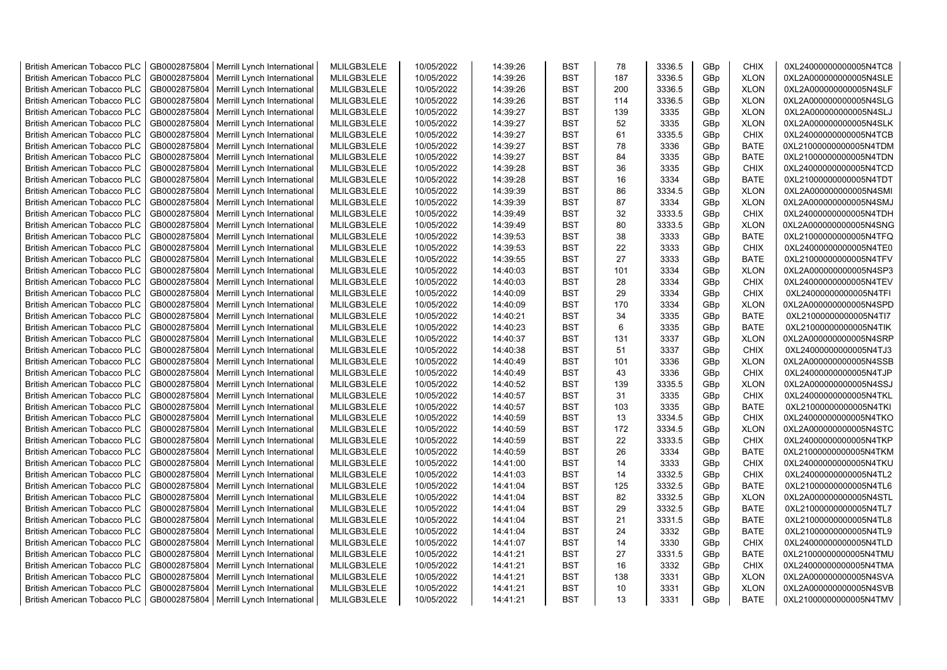| <b>British American Tobacco PLC</b> | GB0002875804 | Merrill Lynch International                | MLILGB3LELE | 10/05/2022 | 14:39:26 | <b>BST</b> | 78  | 3336.5 | GBp | <b>CHIX</b> | 0XL24000000000005N4TC8 |
|-------------------------------------|--------------|--------------------------------------------|-------------|------------|----------|------------|-----|--------|-----|-------------|------------------------|
| <b>British American Tobacco PLC</b> | GB0002875804 | Merrill Lynch International                | MLILGB3LELE | 10/05/2022 | 14:39:26 | <b>BST</b> | 187 | 3336.5 | GBp | <b>XLON</b> | 0XL2A000000000005N4SLE |
| <b>British American Tobacco PLC</b> | GB0002875804 | Merrill Lynch International                | MLILGB3LELE | 10/05/2022 | 14:39:26 | <b>BST</b> | 200 | 3336.5 | GBp | <b>XLON</b> | 0XL2A000000000005N4SLF |
| <b>British American Tobacco PLC</b> | GB0002875804 | Merrill Lynch International                | MLILGB3LELE | 10/05/2022 | 14:39:26 | <b>BST</b> | 114 | 3336.5 | GBp | <b>XLON</b> | 0XL2A000000000005N4SLG |
| <b>British American Tobacco PLC</b> | GB0002875804 | Merrill Lynch International                | MLILGB3LELE | 10/05/2022 | 14:39:27 | <b>BST</b> | 139 | 3335   | GBp | <b>XLON</b> | 0XL2A000000000005N4SLJ |
| <b>British American Tobacco PLC</b> | GB0002875804 | Merrill Lynch International                | MLILGB3LELE | 10/05/2022 | 14:39:27 | <b>BST</b> | 52  | 3335   | GBp | <b>XLON</b> | 0XL2A000000000005N4SLK |
| <b>British American Tobacco PLC</b> | GB0002875804 | Merrill Lynch International                | MLILGB3LELE | 10/05/2022 | 14:39:27 | <b>BST</b> | 61  | 3335.5 | GBp | <b>CHIX</b> | 0XL24000000000005N4TCB |
| <b>British American Tobacco PLC</b> | GB0002875804 | Merrill Lynch International                | MLILGB3LELE | 10/05/2022 | 14:39:27 | <b>BST</b> | 78  | 3336   | GBp | BATE        | 0XL21000000000005N4TDM |
| <b>British American Tobacco PLC</b> | GB0002875804 | Merrill Lynch International                | MLILGB3LELE | 10/05/2022 | 14:39:27 | <b>BST</b> | 84  | 3335   | GBp | <b>BATE</b> | 0XL21000000000005N4TDN |
| <b>British American Tobacco PLC</b> | GB0002875804 | Merrill Lynch International                | MLILGB3LELE | 10/05/2022 | 14:39:28 | <b>BST</b> | 36  | 3335   | GBp | <b>CHIX</b> | 0XL24000000000005N4TCD |
| <b>British American Tobacco PLC</b> | GB0002875804 | Merrill Lynch International                | MLILGB3LELE | 10/05/2022 | 14:39:28 | <b>BST</b> | 16  | 3334   | GBp | <b>BATE</b> | 0XL21000000000005N4TDT |
| <b>British American Tobacco PLC</b> | GB0002875804 | Merrill Lynch International                | MLILGB3LELE | 10/05/2022 | 14:39:39 | <b>BST</b> | 86  | 3334.5 | GBp | <b>XLON</b> | 0XL2A000000000005N4SMI |
| <b>British American Tobacco PLC</b> | GB0002875804 | Merrill Lynch International                | MLILGB3LELE | 10/05/2022 | 14:39:39 | <b>BST</b> | 87  | 3334   | GBp | <b>XLON</b> | 0XL2A000000000005N4SMJ |
| <b>British American Tobacco PLC</b> | GB0002875804 | Merrill Lynch International                | MLILGB3LELE | 10/05/2022 | 14:39:49 | <b>BST</b> | 32  | 3333.5 | GBp | <b>CHIX</b> | 0XL24000000000005N4TDH |
| <b>British American Tobacco PLC</b> | GB0002875804 | Merrill Lynch International                | MLILGB3LELE | 10/05/2022 | 14:39:49 | <b>BST</b> | 80  | 3333.5 | GBp | <b>XLON</b> | 0XL2A000000000005N4SNG |
| <b>British American Tobacco PLC</b> | GB0002875804 | Merrill Lynch International                | MLILGB3LELE | 10/05/2022 | 14:39:53 | <b>BST</b> | 38  | 3333   | GBp | <b>BATE</b> | 0XL21000000000005N4TFQ |
| <b>British American Tobacco PLC</b> | GB0002875804 | Merrill Lynch International                | MLILGB3LELE | 10/05/2022 | 14:39:53 | <b>BST</b> | 22  | 3333   | GBp | CHIX        | 0XL24000000000005N4TE0 |
| <b>British American Tobacco PLC</b> | GB0002875804 | Merrill Lynch International                | MLILGB3LELE | 10/05/2022 | 14:39:55 | <b>BST</b> | 27  | 3333   | GBp | <b>BATE</b> | 0XL21000000000005N4TFV |
| <b>British American Tobacco PLC</b> | GB0002875804 | Merrill Lynch International                | MLILGB3LELE | 10/05/2022 | 14:40:03 | <b>BST</b> | 101 | 3334   | GBp | <b>XLON</b> | 0XL2A000000000005N4SP3 |
| <b>British American Tobacco PLC</b> | GB0002875804 | Merrill Lynch International                | MLILGB3LELE | 10/05/2022 | 14:40:03 | <b>BST</b> | 28  | 3334   | GBp | <b>CHIX</b> | 0XL24000000000005N4TEV |
| <b>British American Tobacco PLC</b> | GB0002875804 | Merrill Lynch International                | MLILGB3LELE | 10/05/2022 | 14:40:09 | <b>BST</b> | 29  | 3334   | GBp | <b>CHIX</b> | 0XL24000000000005N4TFI |
| <b>British American Tobacco PLC</b> | GB0002875804 | Merrill Lynch International                | MLILGB3LELE | 10/05/2022 | 14:40:09 | <b>BST</b> | 170 | 3334   | GBp | <b>XLON</b> | 0XL2A000000000005N4SPD |
| <b>British American Tobacco PLC</b> | GB0002875804 | Merrill Lynch International                | MLILGB3LELE | 10/05/2022 | 14:40:21 | <b>BST</b> | 34  | 3335   | GBp | <b>BATE</b> | 0XL21000000000005N4TI7 |
| <b>British American Tobacco PLC</b> | GB0002875804 | Merrill Lynch International                | MLILGB3LELE | 10/05/2022 | 14:40:23 | <b>BST</b> | 6   | 3335   | GBp | <b>BATE</b> | 0XL21000000000005N4TIK |
| <b>British American Tobacco PLC</b> | GB0002875804 | Merrill Lynch International                | MLILGB3LELE | 10/05/2022 | 14:40:37 | <b>BST</b> | 131 | 3337   | GBp | <b>XLON</b> | 0XL2A000000000005N4SRP |
| <b>British American Tobacco PLC</b> | GB0002875804 | Merrill Lynch International                | MLILGB3LELE | 10/05/2022 | 14:40:38 | <b>BST</b> | 51  | 3337   | GBp | <b>CHIX</b> | 0XL24000000000005N4TJ3 |
| <b>British American Tobacco PLC</b> | GB0002875804 | Merrill Lynch International                | MLILGB3LELE | 10/05/2022 | 14:40:49 | <b>BST</b> | 101 | 3336   | GBp | <b>XLON</b> | 0XL2A000000000005N4SSB |
| <b>British American Tobacco PLC</b> | GB0002875804 | Merrill Lynch International                | MLILGB3LELE | 10/05/2022 | 14:40:49 | <b>BST</b> | 43  | 3336   | GBp | <b>CHIX</b> | 0XL24000000000005N4TJP |
| <b>British American Tobacco PLC</b> | GB0002875804 | Merrill Lynch International                | MLILGB3LELE | 10/05/2022 | 14:40:52 | <b>BST</b> | 139 | 3335.5 | GBp | <b>XLON</b> | 0XL2A000000000005N4SSJ |
| <b>British American Tobacco PLC</b> | GB0002875804 | Merrill Lynch International                | MLILGB3LELE | 10/05/2022 | 14:40:57 | <b>BST</b> | 31  | 3335   | GBp | <b>CHIX</b> | 0XL24000000000005N4TKL |
| <b>British American Tobacco PLC</b> | GB0002875804 | Merrill Lynch International                | MLILGB3LELE | 10/05/2022 | 14:40:57 | <b>BST</b> | 103 | 3335   | GBp | <b>BATE</b> | 0XL21000000000005N4TKI |
| <b>British American Tobacco PLC</b> | GB0002875804 | Merrill Lynch International                | MLILGB3LELE | 10/05/2022 | 14:40:59 | <b>BST</b> | 13  | 3334.5 | GBp | <b>CHIX</b> | 0XL24000000000005N4TKO |
| <b>British American Tobacco PLC</b> | GB0002875804 | Merrill Lynch International                | MLILGB3LELE | 10/05/2022 | 14:40:59 | <b>BST</b> | 172 | 3334.5 | GBp | <b>XLON</b> | 0XL2A000000000005N4STC |
| <b>British American Tobacco PLC</b> | GB0002875804 | Merrill Lynch International                | MLILGB3LELE | 10/05/2022 | 14:40:59 | <b>BST</b> | 22  | 3333.5 | GBp | <b>CHIX</b> | 0XL24000000000005N4TKP |
| <b>British American Tobacco PLC</b> | GB0002875804 | Merrill Lynch International                | MLILGB3LELE | 10/05/2022 | 14:40:59 | <b>BST</b> | 26  | 3334   | GBp | <b>BATE</b> | 0XL21000000000005N4TKM |
| <b>British American Tobacco PLC</b> | GB0002875804 | Merrill Lynch International                | MLILGB3LELE | 10/05/2022 | 14:41:00 | <b>BST</b> | 14  | 3333   | GBp | <b>CHIX</b> | 0XL24000000000005N4TKU |
| <b>British American Tobacco PLC</b> | GB0002875804 | Merrill Lynch International                | MLILGB3LELE | 10/05/2022 | 14:41:03 | <b>BST</b> | 14  | 3332.5 | GBp | <b>CHIX</b> | 0XL24000000000005N4TL2 |
| <b>British American Tobacco PLC</b> | GB0002875804 | Merrill Lynch International                | MLILGB3LELE | 10/05/2022 | 14:41:04 | <b>BST</b> | 125 | 3332.5 | GBp | <b>BATE</b> | 0XL21000000000005N4TL6 |
| <b>British American Tobacco PLC</b> | GB0002875804 | Merrill Lynch International                | MLILGB3LELE | 10/05/2022 | 14:41:04 | <b>BST</b> | 82  | 3332.5 | GBp | <b>XLON</b> | 0XL2A000000000005N4STL |
| <b>British American Tobacco PLC</b> | GB0002875804 | Merrill Lynch International                | MLILGB3LELE | 10/05/2022 | 14:41:04 | <b>BST</b> | 29  | 3332.5 | GBp | <b>BATE</b> | 0XL21000000000005N4TL7 |
| <b>British American Tobacco PLC</b> | GB0002875804 | Merrill Lynch International                | MLILGB3LELE | 10/05/2022 | 14:41:04 | <b>BST</b> | 21  | 3331.5 | GBp | <b>BATE</b> | 0XL21000000000005N4TL8 |
| <b>British American Tobacco PLC</b> | GB0002875804 | Merrill Lynch International                | MLILGB3LELE | 10/05/2022 | 14:41:04 | <b>BST</b> | 24  | 3332   | GBp | <b>BATE</b> | 0XL21000000000005N4TL9 |
| <b>British American Tobacco PLC</b> | GB0002875804 | Merrill Lynch International                | MLILGB3LELE | 10/05/2022 | 14:41:07 | <b>BST</b> | 14  | 3330   | GBp | <b>CHIX</b> | 0XL24000000000005N4TLD |
| <b>British American Tobacco PLC</b> | GB0002875804 | Merrill Lynch International                | MLILGB3LELE | 10/05/2022 | 14:41:21 | <b>BST</b> | 27  | 3331.5 | GBp | <b>BATE</b> | 0XL21000000000005N4TMU |
| <b>British American Tobacco PLC</b> | GB0002875804 | Merrill Lynch International                | MLILGB3LELE | 10/05/2022 | 14:41:21 | <b>BST</b> | 16  | 3332   | GBp | <b>CHIX</b> | 0XL24000000000005N4TMA |
| <b>British American Tobacco PLC</b> | GB0002875804 | Merrill Lynch International                | MLILGB3LELE | 10/05/2022 | 14:41:21 | <b>BST</b> | 138 | 3331   | GBp | <b>XLON</b> | 0XL2A000000000005N4SVA |
| <b>British American Tobacco PLC</b> | GB0002875804 | Merrill Lynch International                | MLILGB3LELE | 10/05/2022 | 14:41:21 | <b>BST</b> | 10  | 3331   | GBp | <b>XLON</b> | 0XL2A000000000005N4SVB |
| <b>British American Tobacco PLC</b> |              | GB0002875804   Merrill Lynch International | MLILGB3LELE | 10/05/2022 | 14:41:21 | <b>BST</b> | 13  | 3331   | GBp | <b>BATE</b> | 0XL21000000000005N4TMV |
|                                     |              |                                            |             |            |          |            |     |        |     |             |                        |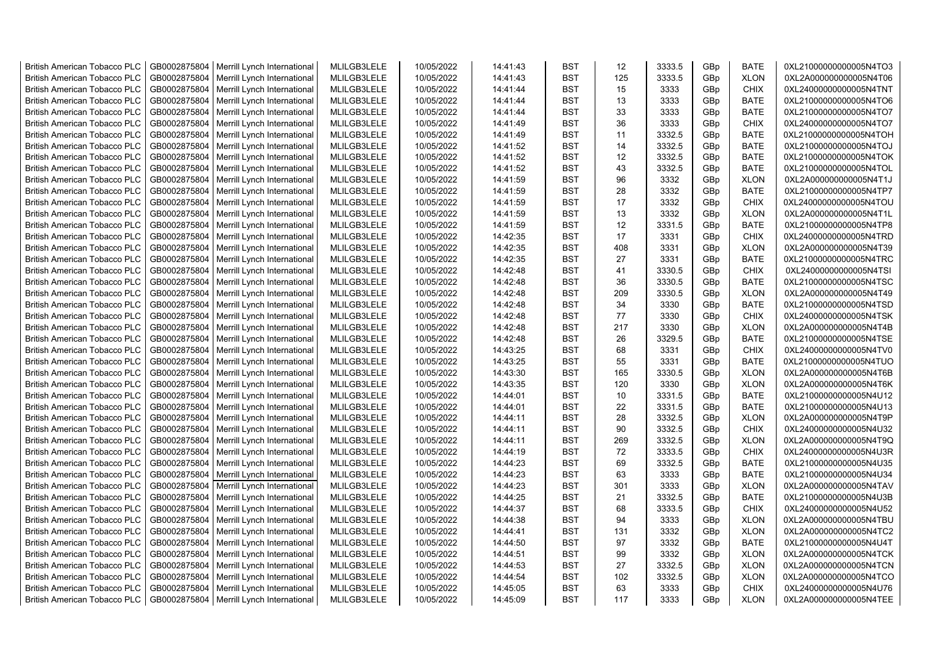| <b>British American Tobacco PLC</b> | GB0002875804 | Merrill Lynch International | MLILGB3LELE | 10/05/2022 | 14:41:43 | <b>BST</b> | 12 <sup>2</sup> | 3333.5 | GBp             | <b>BATE</b> | 0XL21000000000005N4TO3 |
|-------------------------------------|--------------|-----------------------------|-------------|------------|----------|------------|-----------------|--------|-----------------|-------------|------------------------|
| <b>British American Tobacco PLC</b> | GB0002875804 | Merrill Lynch International | MLILGB3LELE | 10/05/2022 | 14:41:43 | <b>BST</b> | 125             | 3333.5 | GBp             | <b>XLON</b> | 0XL2A000000000005N4T06 |
| <b>British American Tobacco PLC</b> | GB0002875804 | Merrill Lynch International | MLILGB3LELE | 10/05/2022 | 14:41:44 | <b>BST</b> | 15              | 3333   | GBp             | <b>CHIX</b> | 0XL24000000000005N4TNT |
| <b>British American Tobacco PLC</b> | GB0002875804 | Merrill Lynch International | MLILGB3LELE | 10/05/2022 | 14:41:44 | <b>BST</b> | 13              | 3333   | GBp             | <b>BATE</b> | 0XL21000000000005N4TO6 |
| <b>British American Tobacco PLC</b> | GB0002875804 | Merrill Lynch International | MLILGB3LELE | 10/05/2022 | 14:41:44 | <b>BST</b> | 33              | 3333   | GBp             | <b>BATE</b> | 0XL21000000000005N4TO7 |
| <b>British American Tobacco PLC</b> | GB0002875804 | Merrill Lynch International | MLILGB3LELE | 10/05/2022 | 14:41:49 | <b>BST</b> | 36              | 3333   | GBp             | <b>CHIX</b> | 0XL24000000000005N4TO7 |
| <b>British American Tobacco PLC</b> | GB0002875804 | Merrill Lynch International | MLILGB3LELE | 10/05/2022 | 14:41:49 | <b>BST</b> | 11              | 3332.5 | GBp             | <b>BATE</b> | 0XL21000000000005N4TOH |
| <b>British American Tobacco PLC</b> | GB0002875804 | Merrill Lynch International | MLILGB3LELE | 10/05/2022 | 14:41:52 | <b>BST</b> | 14              | 3332.5 | GBp             | <b>BATE</b> | 0XL21000000000005N4TOJ |
| <b>British American Tobacco PLC</b> | GB0002875804 | Merrill Lynch International | MLILGB3LELE | 10/05/2022 | 14:41:52 | <b>BST</b> | 12              | 3332.5 | GBp             | <b>BATE</b> | 0XL21000000000005N4TOK |
| <b>British American Tobacco PLC</b> | GB0002875804 | Merrill Lynch International | MLILGB3LELE | 10/05/2022 | 14:41:52 | <b>BST</b> | 43              | 3332.5 | GBp             | <b>BATE</b> | 0XL21000000000005N4TOL |
| <b>British American Tobacco PLC</b> | GB0002875804 | Merrill Lynch International | MLILGB3LELE | 10/05/2022 | 14:41:59 | <b>BST</b> | 96              | 3332   | GBp             | <b>XLON</b> | 0XL2A000000000005N4T1J |
| <b>British American Tobacco PLC</b> | GB0002875804 | Merrill Lynch International | MLILGB3LELE | 10/05/2022 | 14:41:59 | <b>BST</b> | 28              | 3332   | GBp             | <b>BATE</b> | 0XL21000000000005N4TP7 |
| <b>British American Tobacco PLC</b> | GB0002875804 | Merrill Lynch International | MLILGB3LELE | 10/05/2022 | 14:41:59 | <b>BST</b> | 17              | 3332   | GBp             | <b>CHIX</b> | 0XL24000000000005N4TOU |
| <b>British American Tobacco PLC</b> | GB0002875804 | Merrill Lynch International | MLILGB3LELE | 10/05/2022 | 14:41:59 | <b>BST</b> | 13              | 3332   | GBp             | <b>XLON</b> | 0XL2A000000000005N4T1L |
| <b>British American Tobacco PLC</b> | GB0002875804 | Merrill Lynch International | MLILGB3LELE | 10/05/2022 | 14:41:59 | <b>BST</b> | 12              | 3331.5 | GBp             | <b>BATE</b> | 0XL21000000000005N4TP8 |
| <b>British American Tobacco PLC</b> | GB0002875804 | Merrill Lynch International | MLILGB3LELE | 10/05/2022 | 14:42:35 | <b>BST</b> | 17              | 3331   | GBp             | <b>CHIX</b> | 0XL24000000000005N4TRD |
| <b>British American Tobacco PLC</b> | GB0002875804 | Merrill Lynch International | MLILGB3LELE | 10/05/2022 | 14:42:35 | <b>BST</b> | 408             | 3331   | GBp             | <b>XLON</b> | 0XL2A000000000005N4T39 |
| <b>British American Tobacco PLC</b> | GB0002875804 | Merrill Lynch International | MLILGB3LELE | 10/05/2022 | 14:42:35 | <b>BST</b> | 27              | 3331   | GBp             | BATE        | 0XL21000000000005N4TRC |
| <b>British American Tobacco PLC</b> | GB0002875804 | Merrill Lynch International | MLILGB3LELE | 10/05/2022 | 14:42:48 | <b>BST</b> | 41              | 3330.5 | GBp             | <b>CHIX</b> | 0XL24000000000005N4TSI |
| <b>British American Tobacco PLC</b> | GB0002875804 | Merrill Lynch International | MLILGB3LELE | 10/05/2022 | 14:42:48 | <b>BST</b> | 36              | 3330.5 | GBp             | <b>BATE</b> | 0XL21000000000005N4TSC |
| <b>British American Tobacco PLC</b> | GB0002875804 | Merrill Lynch International | MLILGB3LELE | 10/05/2022 | 14:42:48 | <b>BST</b> | 209             | 3330.5 | GBp             | <b>XLON</b> | 0XL2A000000000005N4T49 |
| <b>British American Tobacco PLC</b> | GB0002875804 | Merrill Lynch International | MLILGB3LELE | 10/05/2022 | 14:42:48 | <b>BST</b> | 34              | 3330   | GBp             | <b>BATE</b> | 0XL21000000000005N4TSD |
| <b>British American Tobacco PLC</b> | GB0002875804 | Merrill Lynch International | MLILGB3LELE | 10/05/2022 | 14:42:48 | <b>BST</b> | 77              | 3330   | GBp             | <b>CHIX</b> | 0XL24000000000005N4TSK |
| <b>British American Tobacco PLC</b> | GB0002875804 | Merrill Lynch International | MLILGB3LELE | 10/05/2022 | 14:42:48 | <b>BST</b> | 217             | 3330   | GBp             | <b>XLON</b> | 0XL2A000000000005N4T4B |
| <b>British American Tobacco PLC</b> | GB0002875804 | Merrill Lynch International | MLILGB3LELE | 10/05/2022 | 14:42:48 | <b>BST</b> | 26              | 3329.5 | GBp             | <b>BATE</b> | 0XL21000000000005N4TSE |
| <b>British American Tobacco PLC</b> | GB0002875804 | Merrill Lynch International | MLILGB3LELE | 10/05/2022 | 14:43:25 | <b>BST</b> | 68              | 3331   | GBp             | <b>CHIX</b> | 0XL24000000000005N4TV0 |
| <b>British American Tobacco PLC</b> | GB0002875804 | Merrill Lynch International | MLILGB3LELE | 10/05/2022 | 14:43:25 | <b>BST</b> | 55              | 3331   | GBp             | <b>BATE</b> | 0XL21000000000005N4TUO |
| <b>British American Tobacco PLC</b> | GB0002875804 | Merrill Lynch International | MLILGB3LELE | 10/05/2022 | 14:43:30 | <b>BST</b> | 165             | 3330.5 | GBp             | <b>XLON</b> | 0XL2A000000000005N4T6B |
| <b>British American Tobacco PLC</b> | GB0002875804 | Merrill Lynch International | MLILGB3LELE | 10/05/2022 | 14:43:35 | <b>BST</b> | 120             | 3330   | GBp             | <b>XLON</b> | 0XL2A000000000005N4T6K |
| <b>British American Tobacco PLC</b> | GB0002875804 | Merrill Lynch International | MLILGB3LELE | 10/05/2022 | 14:44:01 | <b>BST</b> | 10              | 3331.5 | GBp             | <b>BATE</b> | 0XL21000000000005N4U12 |
| <b>British American Tobacco PLC</b> | GB0002875804 | Merrill Lynch International | MLILGB3LELE | 10/05/2022 | 14:44:01 | <b>BST</b> | 22              | 3331.5 | GBp             | <b>BATE</b> | 0XL21000000000005N4U13 |
| <b>British American Tobacco PLC</b> | GB0002875804 | Merrill Lynch International | MLILGB3LELE | 10/05/2022 | 14:44:11 | <b>BST</b> | 28              | 3332.5 | GBp             | <b>XLON</b> | 0XL2A000000000005N4T9P |
| <b>British American Tobacco PLC</b> | GB0002875804 | Merrill Lynch International | MLILGB3LELE | 10/05/2022 | 14:44:11 | <b>BST</b> | 90              | 3332.5 | GBp             | <b>CHIX</b> | 0XL24000000000005N4U32 |
| <b>British American Tobacco PLC</b> | GB0002875804 | Merrill Lynch International | MLILGB3LELE | 10/05/2022 | 14:44:11 | <b>BST</b> | 269             | 3332.5 | GBp             | <b>XLON</b> | 0XL2A000000000005N4T9Q |
| <b>British American Tobacco PLC</b> | GB0002875804 | Merrill Lynch International | MLILGB3LELE | 10/05/2022 | 14:44:19 | <b>BST</b> | 72              | 3333.5 | GBp             | <b>CHIX</b> | 0XL24000000000005N4U3R |
| <b>British American Tobacco PLC</b> | GB0002875804 | Merrill Lynch International | MLILGB3LELE | 10/05/2022 | 14:44:23 | <b>BST</b> | 69              | 3332.5 | GBp             | <b>BATE</b> | 0XL21000000000005N4U35 |
| <b>British American Tobacco PLC</b> | GB0002875804 | Merrill Lynch International | MLILGB3LELE | 10/05/2022 | 14:44:23 | <b>BST</b> | 63              | 3333   | GBp             | <b>BATE</b> | 0XL21000000000005N4U34 |
| <b>British American Tobacco PLC</b> | GB0002875804 | Merrill Lynch International | MLILGB3LELE | 10/05/2022 | 14:44:23 | <b>BST</b> | 301             | 3333   | GBp             | <b>XLON</b> | 0XL2A000000000005N4TAV |
| <b>British American Tobacco PLC</b> | GB0002875804 | Merrill Lynch International | MLILGB3LELE | 10/05/2022 | 14:44:25 | <b>BST</b> | 21              | 3332.5 | GBp             | <b>BATE</b> | 0XL21000000000005N4U3B |
| <b>British American Tobacco PLC</b> | GB0002875804 | Merrill Lynch International | MLILGB3LELE | 10/05/2022 | 14:44:37 | <b>BST</b> | 68              | 3333.5 | GBp             | <b>CHIX</b> | 0XL24000000000005N4U52 |
| <b>British American Tobacco PLC</b> | GB0002875804 | Merrill Lynch International | MLILGB3LELE | 10/05/2022 | 14:44:38 | <b>BST</b> | 94              | 3333   | GBp             | <b>XLON</b> | 0XL2A000000000005N4TBU |
| <b>British American Tobacco PLC</b> | GB0002875804 | Merrill Lynch International | MLILGB3LELE | 10/05/2022 | 14:44:41 | <b>BST</b> | 131             | 3332   | GBp             | <b>XLON</b> | 0XL2A000000000005N4TC2 |
| <b>British American Tobacco PLC</b> | GB0002875804 | Merrill Lynch International | MLILGB3LELE | 10/05/2022 | 14:44:50 | <b>BST</b> | 97              | 3332   | GBp             | <b>BATE</b> | 0XL21000000000005N4U4T |
| <b>British American Tobacco PLC</b> | GB0002875804 | Merrill Lynch International | MLILGB3LELE | 10/05/2022 | 14:44:51 | <b>BST</b> | 99              | 3332   | GBp             | <b>XLON</b> | 0XL2A000000000005N4TCK |
| <b>British American Tobacco PLC</b> | GB0002875804 | Merrill Lynch International | MLILGB3LELE | 10/05/2022 | 14:44:53 | <b>BST</b> | 27              | 3332.5 | GBp             | <b>XLON</b> | 0XL2A000000000005N4TCN |
| <b>British American Tobacco PLC</b> | GB0002875804 | Merrill Lynch International | MLILGB3LELE | 10/05/2022 | 14:44:54 | <b>BST</b> | 102             | 3332.5 | GBp             | <b>XLON</b> | 0XL2A000000000005N4TCO |
| <b>British American Tobacco PLC</b> | GB0002875804 | Merrill Lynch International | MLILGB3LELE | 10/05/2022 | 14:45:05 | <b>BST</b> | 63              | 3333   | GBp             | <b>CHIX</b> | 0XL24000000000005N4U76 |
| <b>British American Tobacco PLC</b> | GB0002875804 | Merrill Lynch International | MLILGB3LELE | 10/05/2022 | 14:45:09 | <b>BST</b> | 117             | 3333   | GB <sub>p</sub> | <b>XLON</b> | 0XL2A000000000005N4TEE |
|                                     |              |                             |             |            |          |            |                 |        |                 |             |                        |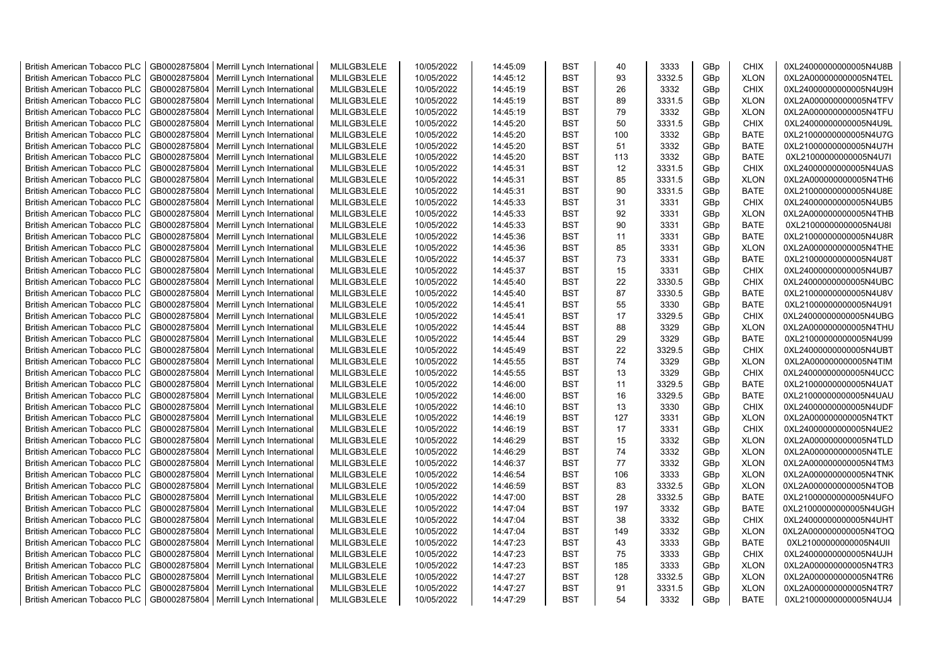| <b>British American Tobacco PLC</b> | GB0002875804 | Merrill Lynch International | MLILGB3LELE | 10/05/2022 | 14:45:09 | <b>BST</b> | 40  | 3333   | GBp             | <b>CHIX</b> | 0XL24000000000005N4U8B |
|-------------------------------------|--------------|-----------------------------|-------------|------------|----------|------------|-----|--------|-----------------|-------------|------------------------|
| <b>British American Tobacco PLC</b> | GB0002875804 | Merrill Lynch International | MLILGB3LELE | 10/05/2022 | 14:45:12 | <b>BST</b> | 93  | 3332.5 | GBp             | <b>XLON</b> | 0XL2A000000000005N4TEL |
| <b>British American Tobacco PLC</b> | GB0002875804 | Merrill Lynch International | MLILGB3LELE | 10/05/2022 | 14:45:19 | <b>BST</b> | 26  | 3332   | GBp             | <b>CHIX</b> | 0XL24000000000005N4U9H |
| <b>British American Tobacco PLC</b> | GB0002875804 | Merrill Lynch International | MLILGB3LELE | 10/05/2022 | 14:45:19 | <b>BST</b> | 89  | 3331.5 | GBp             | <b>XLON</b> | 0XL2A000000000005N4TFV |
| <b>British American Tobacco PLC</b> | GB0002875804 | Merrill Lynch International | MLILGB3LELE | 10/05/2022 | 14:45:19 | <b>BST</b> | 79  | 3332   | GBp             | <b>XLON</b> | 0XL2A000000000005N4TFU |
| <b>British American Tobacco PLC</b> | GB0002875804 | Merrill Lynch International | MLILGB3LELE | 10/05/2022 | 14:45:20 | <b>BST</b> | 50  | 3331.5 | GBp             | <b>CHIX</b> | 0XL24000000000005N4U9L |
| <b>British American Tobacco PLC</b> | GB0002875804 | Merrill Lynch International | MLILGB3LELE | 10/05/2022 | 14:45:20 | <b>BST</b> | 100 | 3332   | GBp             | <b>BATE</b> | 0XL21000000000005N4U7G |
| <b>British American Tobacco PLC</b> | GB0002875804 | Merrill Lynch International | MLILGB3LELE | 10/05/2022 | 14:45:20 | <b>BST</b> | 51  | 3332   | GBp             | <b>BATE</b> | 0XL21000000000005N4U7H |
| <b>British American Tobacco PLC</b> | GB0002875804 | Merrill Lynch International | MLILGB3LELE | 10/05/2022 | 14:45:20 | <b>BST</b> | 113 | 3332   | GBp             | <b>BATE</b> | 0XL21000000000005N4U7I |
| <b>British American Tobacco PLC</b> | GB0002875804 | Merrill Lynch International | MLILGB3LELE | 10/05/2022 | 14:45:31 | <b>BST</b> | 12  | 3331.5 | GBp             | <b>CHIX</b> | 0XL24000000000005N4UAS |
| <b>British American Tobacco PLC</b> | GB0002875804 | Merrill Lynch International | MLILGB3LELE | 10/05/2022 | 14:45:31 | <b>BST</b> | 85  | 3331.5 | GBp             | <b>XLON</b> | 0XL2A000000000005N4TH6 |
| <b>British American Tobacco PLC</b> | GB0002875804 | Merrill Lynch International | MLILGB3LELE | 10/05/2022 | 14:45:31 | <b>BST</b> | 90  | 3331.5 | GBp             | <b>BATE</b> | 0XL21000000000005N4U8E |
| <b>British American Tobacco PLC</b> | GB0002875804 | Merrill Lynch International | MLILGB3LELE | 10/05/2022 | 14:45:33 | <b>BST</b> | 31  | 3331   | GBp             | <b>CHIX</b> | 0XL24000000000005N4UB5 |
| <b>British American Tobacco PLC</b> | GB0002875804 | Merrill Lynch International | MLILGB3LELE | 10/05/2022 | 14:45:33 | <b>BST</b> | 92  | 3331   | GBp             | <b>XLON</b> | 0XL2A000000000005N4THB |
| <b>British American Tobacco PLC</b> | GB0002875804 | Merrill Lynch International | MLILGB3LELE | 10/05/2022 | 14:45:33 | <b>BST</b> | 90  | 3331   | GBp             | <b>BATE</b> | 0XL21000000000005N4U8I |
| <b>British American Tobacco PLC</b> | GB0002875804 | Merrill Lynch International | MLILGB3LELE | 10/05/2022 | 14:45:36 | <b>BST</b> | 11  | 3331   | GBp             | <b>BATE</b> | 0XL21000000000005N4U8R |
| <b>British American Tobacco PLC</b> | GB0002875804 | Merrill Lynch International | MLILGB3LELE | 10/05/2022 | 14:45:36 | <b>BST</b> | 85  | 3331   | GBp             | <b>XLON</b> | 0XL2A000000000005N4THE |
| <b>British American Tobacco PLC</b> | GB0002875804 | Merrill Lynch International | MLILGB3LELE | 10/05/2022 | 14:45:37 | <b>BST</b> | 73  | 3331   | GBp             | BATE        | 0XL21000000000005N4U8T |
| <b>British American Tobacco PLC</b> | GB0002875804 | Merrill Lynch International | MLILGB3LELE | 10/05/2022 | 14:45:37 | <b>BST</b> | 15  | 3331   | GBp             | <b>CHIX</b> | 0XL24000000000005N4UB7 |
| <b>British American Tobacco PLC</b> | GB0002875804 | Merrill Lynch International | MLILGB3LELE | 10/05/2022 | 14:45:40 | <b>BST</b> | 22  | 3330.5 | GBp             | <b>CHIX</b> | 0XL24000000000005N4UBC |
| <b>British American Tobacco PLC</b> | GB0002875804 | Merrill Lynch International | MLILGB3LELE | 10/05/2022 | 14:45:40 | <b>BST</b> | 87  | 3330.5 | GBp             | <b>BATE</b> | 0XL21000000000005N4U8V |
| <b>British American Tobacco PLC</b> | GB0002875804 | Merrill Lynch International | MLILGB3LELE | 10/05/2022 | 14:45:41 | <b>BST</b> | 55  | 3330   | GBp             | <b>BATE</b> | 0XL21000000000005N4U91 |
| <b>British American Tobacco PLC</b> | GB0002875804 | Merrill Lynch International | MLILGB3LELE | 10/05/2022 | 14:45:41 | <b>BST</b> | 17  | 3329.5 | GBp             | <b>CHIX</b> | 0XL24000000000005N4UBG |
| <b>British American Tobacco PLC</b> | GB0002875804 | Merrill Lynch International | MLILGB3LELE | 10/05/2022 | 14:45:44 | <b>BST</b> | 88  | 3329   | GBp             | <b>XLON</b> | 0XL2A000000000005N4THU |
| <b>British American Tobacco PLC</b> | GB0002875804 | Merrill Lynch International | MLILGB3LELE | 10/05/2022 | 14:45:44 | <b>BST</b> | 29  | 3329   | GBp             | <b>BATE</b> | 0XL21000000000005N4U99 |
| <b>British American Tobacco PLC</b> | GB0002875804 | Merrill Lynch International | MLILGB3LELE | 10/05/2022 | 14:45:49 | <b>BST</b> | 22  | 3329.5 | GBp             | <b>CHIX</b> | 0XL24000000000005N4UBT |
| <b>British American Tobacco PLC</b> | GB0002875804 | Merrill Lynch International | MLILGB3LELE | 10/05/2022 | 14:45:55 | <b>BST</b> | 74  | 3329   | GBp             | <b>XLON</b> | 0XL2A000000000005N4TIM |
| <b>British American Tobacco PLC</b> | GB0002875804 | Merrill Lynch International | MLILGB3LELE | 10/05/2022 | 14:45:55 | <b>BST</b> | 13  | 3329   | GBp             | <b>CHIX</b> | 0XL24000000000005N4UCC |
| <b>British American Tobacco PLC</b> | GB0002875804 | Merrill Lynch International | MLILGB3LELE | 10/05/2022 | 14:46:00 | BST        | 11  | 3329.5 | GBp             | <b>BATE</b> | 0XL21000000000005N4UAT |
| <b>British American Tobacco PLC</b> | GB0002875804 | Merrill Lynch International | MLILGB3LELE | 10/05/2022 | 14:46:00 | <b>BST</b> | 16  | 3329.5 | GBp             | <b>BATE</b> | 0XL21000000000005N4UAU |
| <b>British American Tobacco PLC</b> | GB0002875804 | Merrill Lynch International | MLILGB3LELE | 10/05/2022 | 14:46:10 | <b>BST</b> | 13  | 3330   | GBp             | <b>CHIX</b> | 0XL24000000000005N4UDF |
| <b>British American Tobacco PLC</b> | GB0002875804 | Merrill Lynch International | MLILGB3LELE | 10/05/2022 | 14:46:19 | <b>BST</b> | 127 | 3331   | GBp             | <b>XLON</b> | 0XL2A000000000005N4TKT |
| <b>British American Tobacco PLC</b> | GB0002875804 | Merrill Lynch International | MLILGB3LELE | 10/05/2022 | 14:46:19 | BST        | 17  | 3331   | GBp             | <b>CHIX</b> | 0XL24000000000005N4UE2 |
| <b>British American Tobacco PLC</b> | GB0002875804 | Merrill Lynch International | MLILGB3LELE | 10/05/2022 | 14:46:29 | <b>BST</b> | 15  | 3332   | GBp             | <b>XLON</b> | 0XL2A000000000005N4TLD |
| <b>British American Tobacco PLC</b> | GB0002875804 | Merrill Lynch International | MLILGB3LELE | 10/05/2022 | 14:46:29 | <b>BST</b> | 74  | 3332   | GBp             | <b>XLON</b> | 0XL2A000000000005N4TLE |
| <b>British American Tobacco PLC</b> | GB0002875804 | Merrill Lynch International | MLILGB3LELE | 10/05/2022 | 14:46:37 | <b>BST</b> | 77  | 3332   | GBp             | <b>XLON</b> | 0XL2A000000000005N4TM3 |
| <b>British American Tobacco PLC</b> | GB0002875804 | Merrill Lynch International | MLILGB3LELE | 10/05/2022 | 14:46:54 | <b>BST</b> | 106 | 3333   | GBp             | <b>XLON</b> | 0XL2A000000000005N4TNK |
| <b>British American Tobacco PLC</b> | GB0002875804 | Merrill Lynch International | MLILGB3LELE | 10/05/2022 | 14:46:59 | <b>BST</b> | 83  | 3332.5 | GBp             | <b>XLON</b> | 0XL2A000000000005N4TOB |
| <b>British American Tobacco PLC</b> | GB0002875804 | Merrill Lynch International | MLILGB3LELE | 10/05/2022 | 14:47:00 | <b>BST</b> | 28  | 3332.5 | GBp             | <b>BATE</b> | 0XL21000000000005N4UFO |
| <b>British American Tobacco PLC</b> | GB0002875804 | Merrill Lynch International | MLILGB3LELE | 10/05/2022 | 14:47:04 | <b>BST</b> | 197 | 3332   | GBp             | <b>BATE</b> | 0XL21000000000005N4UGH |
| <b>British American Tobacco PLC</b> | GB0002875804 | Merrill Lynch International | MLILGB3LELE | 10/05/2022 | 14:47:04 | <b>BST</b> | 38  | 3332   | GBp             | <b>CHIX</b> | 0XL24000000000005N4UHT |
| <b>British American Tobacco PLC</b> | GB0002875804 | Merrill Lynch International | MLILGB3LELE | 10/05/2022 | 14:47:04 | <b>BST</b> | 149 | 3332   | GBp             | <b>XLON</b> | 0XL2A000000000005N4TOQ |
| <b>British American Tobacco PLC</b> | GB0002875804 | Merrill Lynch International | MLILGB3LELE | 10/05/2022 | 14:47:23 | <b>BST</b> | 43  | 3333   | GBp             | <b>BATE</b> | 0XL21000000000005N4UII |
| <b>British American Tobacco PLC</b> | GB0002875804 | Merrill Lynch International | MLILGB3LELE | 10/05/2022 | 14:47:23 | <b>BST</b> | 75  | 3333   | GBp             | <b>CHIX</b> | 0XL24000000000005N4UJH |
| <b>British American Tobacco PLC</b> | GB0002875804 | Merrill Lynch International | MLILGB3LELE | 10/05/2022 | 14:47:23 | <b>BST</b> | 185 | 3333   | GBp             | <b>XLON</b> | 0XL2A000000000005N4TR3 |
| <b>British American Tobacco PLC</b> | GB0002875804 | Merrill Lynch International | MLILGB3LELE | 10/05/2022 | 14:47:27 | <b>BST</b> | 128 | 3332.5 | GBp             | <b>XLON</b> | 0XL2A000000000005N4TR6 |
| <b>British American Tobacco PLC</b> | GB0002875804 | Merrill Lynch International | MLILGB3LELE | 10/05/2022 | 14:47:27 | <b>BST</b> | 91  | 3331.5 | GBp             | <b>XLON</b> | 0XL2A000000000005N4TR7 |
| <b>British American Tobacco PLC</b> | GB0002875804 | Merrill Lynch International | MLILGB3LELE | 10/05/2022 | 14:47:29 | <b>BST</b> | 54  | 3332   | GB <sub>p</sub> | <b>BATE</b> | 0XL21000000000005N4UJ4 |
|                                     |              |                             |             |            |          |            |     |        |                 |             |                        |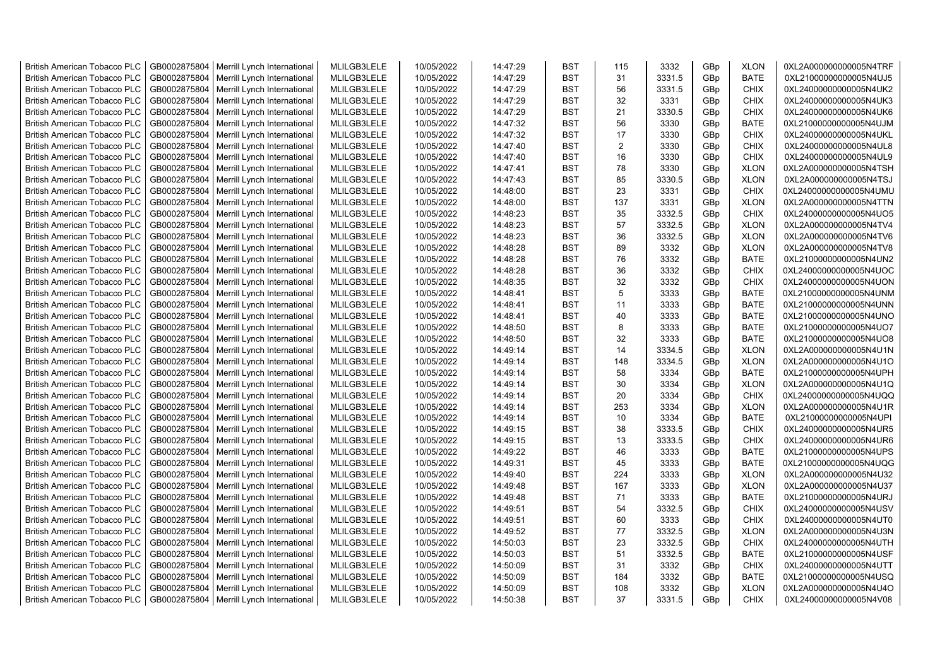| <b>British American Tobacco PLC</b> | GB0002875804 | Merrill Lynch International | MLILGB3LELE | 10/05/2022 | 14:47:29 | <b>BST</b> | 115            | 3332   | GBp             | <b>XLON</b> | 0XL2A000000000005N4TRF |
|-------------------------------------|--------------|-----------------------------|-------------|------------|----------|------------|----------------|--------|-----------------|-------------|------------------------|
| <b>British American Tobacco PLC</b> | GB0002875804 | Merrill Lynch International | MLILGB3LELE | 10/05/2022 | 14:47:29 | <b>BST</b> | 31             | 3331.5 | GBp             | <b>BATE</b> | 0XL21000000000005N4UJ5 |
| <b>British American Tobacco PLC</b> | GB0002875804 | Merrill Lynch International | MLILGB3LELE | 10/05/2022 | 14:47:29 | <b>BST</b> | 56             | 3331.5 | GBp             | <b>CHIX</b> | 0XL24000000000005N4UK2 |
| <b>British American Tobacco PLC</b> | GB0002875804 | Merrill Lynch International | MLILGB3LELE | 10/05/2022 | 14:47:29 | <b>BST</b> | 32             | 3331   | GBp             | <b>CHIX</b> | 0XL24000000000005N4UK3 |
| <b>British American Tobacco PLC</b> | GB0002875804 | Merrill Lynch International | MLILGB3LELE | 10/05/2022 | 14:47:29 | <b>BST</b> | 21             | 3330.5 | GBp             | <b>CHIX</b> | 0XL24000000000005N4UK6 |
| <b>British American Tobacco PLC</b> | GB0002875804 | Merrill Lynch International | MLILGB3LELE | 10/05/2022 | 14:47:32 | <b>BST</b> | 56             | 3330   | GBp             | <b>BATE</b> | 0XL21000000000005N4UJM |
| <b>British American Tobacco PLC</b> | GB0002875804 | Merrill Lynch International | MLILGB3LELE | 10/05/2022 | 14:47:32 | <b>BST</b> | 17             | 3330   | GBp             | <b>CHIX</b> | 0XL24000000000005N4UKL |
| <b>British American Tobacco PLC</b> | GB0002875804 | Merrill Lynch International | MLILGB3LELE | 10/05/2022 | 14:47:40 | <b>BST</b> | $\overline{2}$ | 3330   | GBp             | <b>CHIX</b> | 0XL24000000000005N4UL8 |
| <b>British American Tobacco PLC</b> | GB0002875804 | Merrill Lynch International | MLILGB3LELE | 10/05/2022 | 14:47:40 | <b>BST</b> | 16             | 3330   | GBp             | <b>CHIX</b> | 0XL24000000000005N4UL9 |
| <b>British American Tobacco PLC</b> | GB0002875804 | Merrill Lynch International | MLILGB3LELE | 10/05/2022 | 14:47:41 | <b>BST</b> | 78             | 3330   | GBp             | <b>XLON</b> | 0XL2A000000000005N4TSH |
| <b>British American Tobacco PLC</b> | GB0002875804 | Merrill Lynch International | MLILGB3LELE | 10/05/2022 | 14:47:43 | <b>BST</b> | 85             | 3330.5 | GBp             | <b>XLON</b> | 0XL2A000000000005N4TSJ |
| <b>British American Tobacco PLC</b> | GB0002875804 | Merrill Lynch International | MLILGB3LELE | 10/05/2022 | 14:48:00 | <b>BST</b> | 23             | 3331   | GBp             | <b>CHIX</b> | 0XL24000000000005N4UMU |
| <b>British American Tobacco PLC</b> | GB0002875804 | Merrill Lynch International | MLILGB3LELE | 10/05/2022 | 14:48:00 | <b>BST</b> | 137            | 3331   | GBp             | <b>XLON</b> | 0XL2A000000000005N4TTN |
| <b>British American Tobacco PLC</b> | GB0002875804 | Merrill Lynch International | MLILGB3LELE | 10/05/2022 | 14:48:23 | <b>BST</b> | 35             | 3332.5 | GBp             | <b>CHIX</b> | 0XL24000000000005N4UO5 |
|                                     |              |                             |             |            |          |            |                |        |                 |             |                        |
| <b>British American Tobacco PLC</b> | GB0002875804 | Merrill Lynch International | MLILGB3LELE | 10/05/2022 | 14:48:23 | <b>BST</b> | 57             | 3332.5 | GBp             | <b>XLON</b> | 0XL2A000000000005N4TV4 |
| <b>British American Tobacco PLC</b> | GB0002875804 | Merrill Lynch International | MLILGB3LELE | 10/05/2022 | 14:48:23 | <b>BST</b> | 36             | 3332.5 | GBp             | <b>XLON</b> | 0XL2A000000000005N4TV6 |
| <b>British American Tobacco PLC</b> | GB0002875804 | Merrill Lynch International | MLILGB3LELE | 10/05/2022 | 14:48:28 | <b>BST</b> | 89             | 3332   | GBp             | <b>XLON</b> | 0XL2A000000000005N4TV8 |
| <b>British American Tobacco PLC</b> | GB0002875804 | Merrill Lynch International | MLILGB3LELE | 10/05/2022 | 14:48:28 | <b>BST</b> | 76             | 3332   | GBp             | <b>BATE</b> | 0XL21000000000005N4UN2 |
| <b>British American Tobacco PLC</b> | GB0002875804 | Merrill Lynch International | MLILGB3LELE | 10/05/2022 | 14:48:28 | <b>BST</b> | 36             | 3332   | GBp             | <b>CHIX</b> | 0XL24000000000005N4UOC |
| <b>British American Tobacco PLC</b> | GB0002875804 | Merrill Lynch International | MLILGB3LELE | 10/05/2022 | 14:48:35 | BST        | 32             | 3332   | GBp             | <b>CHIX</b> | 0XL24000000000005N4UON |
| <b>British American Tobacco PLC</b> | GB0002875804 | Merrill Lynch International | MLILGB3LELE | 10/05/2022 | 14:48:41 | <b>BST</b> | 5              | 3333   | GBp             | <b>BATE</b> | 0XL21000000000005N4UNM |
| <b>British American Tobacco PLC</b> | GB0002875804 | Merrill Lynch International | MLILGB3LELE | 10/05/2022 | 14:48:41 | <b>BST</b> | 11             | 3333   | GBp             | <b>BATE</b> | 0XL21000000000005N4UNN |
| <b>British American Tobacco PLC</b> | GB0002875804 | Merrill Lynch International | MLILGB3LELE | 10/05/2022 | 14:48:41 | <b>BST</b> | 40             | 3333   | GBp             | <b>BATE</b> | 0XL21000000000005N4UNO |
| <b>British American Tobacco PLC</b> | GB0002875804 | Merrill Lynch International | MLILGB3LELE | 10/05/2022 | 14:48:50 | BST        | 8              | 3333   | GBp             | <b>BATE</b> | 0XL21000000000005N4UO7 |
| <b>British American Tobacco PLC</b> | GB0002875804 | Merrill Lynch International | MLILGB3LELE | 10/05/2022 | 14:48:50 | <b>BST</b> | 32             | 3333   | GBp             | <b>BATE</b> | 0XL21000000000005N4UO8 |
| British American Tobacco PLC        | GB0002875804 | Merrill Lynch International | MLILGB3LELE | 10/05/2022 | 14:49:14 | <b>BST</b> | 14             | 3334.5 | GBp             | <b>XLON</b> | 0XL2A000000000005N4U1N |
| <b>British American Tobacco PLC</b> | GB0002875804 | Merrill Lynch International | MLILGB3LELE | 10/05/2022 | 14:49:14 | <b>BST</b> | 148            | 3334.5 | GBp             | <b>XLON</b> | 0XL2A000000000005N4U1O |
| British American Tobacco PLC        | GB0002875804 | Merrill Lynch International | MLILGB3LELE | 10/05/2022 | 14:49:14 | <b>BST</b> | 58             | 3334   | GBp             | <b>BATE</b> | 0XL21000000000005N4UPH |
| <b>British American Tobacco PLC</b> | GB0002875804 | Merrill Lynch International | MLILGB3LELE | 10/05/2022 | 14:49:14 | <b>BST</b> | 30             | 3334   | GBp             | <b>XLON</b> | 0XL2A000000000005N4U1Q |
| <b>British American Tobacco PLC</b> | GB0002875804 | Merrill Lynch International | MLILGB3LELE | 10/05/2022 | 14:49:14 | <b>BST</b> | 20             | 3334   | GBp             | <b>CHIX</b> | 0XL24000000000005N4UQQ |
| <b>British American Tobacco PLC</b> | GB0002875804 | Merrill Lynch International | MLILGB3LELE | 10/05/2022 | 14:49:14 | <b>BST</b> | 253            | 3334   | GBp             | <b>XLON</b> | 0XL2A000000000005N4U1R |
| <b>British American Tobacco PLC</b> | GB0002875804 | Merrill Lynch International | MLILGB3LELE | 10/05/2022 | 14:49:14 | <b>BST</b> | 10             | 3334   | GBp             | <b>BATE</b> | 0XL21000000000005N4UPI |
| <b>British American Tobacco PLC</b> | GB0002875804 | Merrill Lynch International | MLILGB3LELE | 10/05/2022 | 14:49:15 | <b>BST</b> | 38             | 3333.5 | GBp             | <b>CHIX</b> | 0XL24000000000005N4UR5 |
| <b>British American Tobacco PLC</b> | GB0002875804 | Merrill Lynch International | MLILGB3LELE | 10/05/2022 | 14:49:15 | <b>BST</b> | 13             | 3333.5 | GBp             | <b>CHIX</b> | 0XL24000000000005N4UR6 |
| <b>British American Tobacco PLC</b> | GB0002875804 | Merrill Lynch International | MLILGB3LELE | 10/05/2022 | 14:49:22 | <b>BST</b> | 46             | 3333   | GBp             | <b>BATE</b> | 0XL21000000000005N4UPS |
| <b>British American Tobacco PLC</b> | GB0002875804 | Merrill Lynch International | MLILGB3LELE | 10/05/2022 | 14:49:31 | <b>BST</b> | 45             | 3333   | GBp             | <b>BATE</b> | 0XL21000000000005N4UQG |
| <b>British American Tobacco PLC</b> | GB0002875804 | Merrill Lynch International | MLILGB3LELE | 10/05/2022 | 14:49:40 | <b>BST</b> | 224            | 3333   | GBp             | <b>XLON</b> | 0XL2A000000000005N4U32 |
| <b>British American Tobacco PLC</b> | GB0002875804 | Merrill Lynch International | MLILGB3LELE | 10/05/2022 | 14:49:48 | <b>BST</b> | 167            | 3333   | GBp             | <b>XLON</b> | 0XL2A000000000005N4U37 |
| <b>British American Tobacco PLC</b> | GB0002875804 | Merrill Lynch International | MLILGB3LELE | 10/05/2022 | 14:49:48 | <b>BST</b> | 71             | 3333   | GBp             | <b>BATE</b> | 0XL21000000000005N4URJ |
| <b>British American Tobacco PLC</b> | GB0002875804 | Merrill Lynch International | MLILGB3LELE | 10/05/2022 | 14:49:51 | <b>BST</b> | 54             | 3332.5 | GBp             | <b>CHIX</b> | 0XL24000000000005N4USV |
| <b>British American Tobacco PLC</b> | GB0002875804 | Merrill Lynch International | MLILGB3LELE | 10/05/2022 | 14:49:51 | <b>BST</b> | 60             | 3333   | GBp             | <b>CHIX</b> | 0XL24000000000005N4UT0 |
| <b>British American Tobacco PLC</b> | GB0002875804 | Merrill Lynch International | MLILGB3LELE | 10/05/2022 | 14:49:52 | <b>BST</b> | 77             | 3332.5 | GBp             | <b>XLON</b> | 0XL2A000000000005N4U3N |
| <b>British American Tobacco PLC</b> | GB0002875804 | Merrill Lynch International | MLILGB3LELE | 10/05/2022 | 14:50:03 | <b>BST</b> | 23             | 3332.5 | GBp             | <b>CHIX</b> | 0XL24000000000005N4UTH |
| <b>British American Tobacco PLC</b> | GB0002875804 | Merrill Lynch International | MLILGB3LELE | 10/05/2022 | 14:50:03 | <b>BST</b> | 51             | 3332.5 | GBp             | <b>BATE</b> | 0XL21000000000005N4USF |
| <b>British American Tobacco PLC</b> | GB0002875804 | Merrill Lynch International | MLILGB3LELE | 10/05/2022 | 14:50:09 | <b>BST</b> | 31             | 3332   | GBp             | <b>CHIX</b> | 0XL24000000000005N4UTT |
| <b>British American Tobacco PLC</b> | GB0002875804 | Merrill Lynch International | MLILGB3LELE | 10/05/2022 | 14:50:09 | <b>BST</b> | 184            | 3332   | GBp             | <b>BATE</b> | 0XL21000000000005N4USQ |
| <b>British American Tobacco PLC</b> | GB0002875804 | Merrill Lynch International | MLILGB3LELE | 10/05/2022 | 14:50:09 | <b>BST</b> | 108            | 3332   | GBp             | <b>XLON</b> | 0XL2A000000000005N4U4O |
| <b>British American Tobacco PLC</b> | GB0002875804 | Merrill Lynch International | MLILGB3LELE | 10/05/2022 | 14:50:38 | <b>BST</b> | 37             | 3331.5 | GB <sub>p</sub> | <b>CHIX</b> | 0XL24000000000005N4V08 |
|                                     |              |                             |             |            |          |            |                |        |                 |             |                        |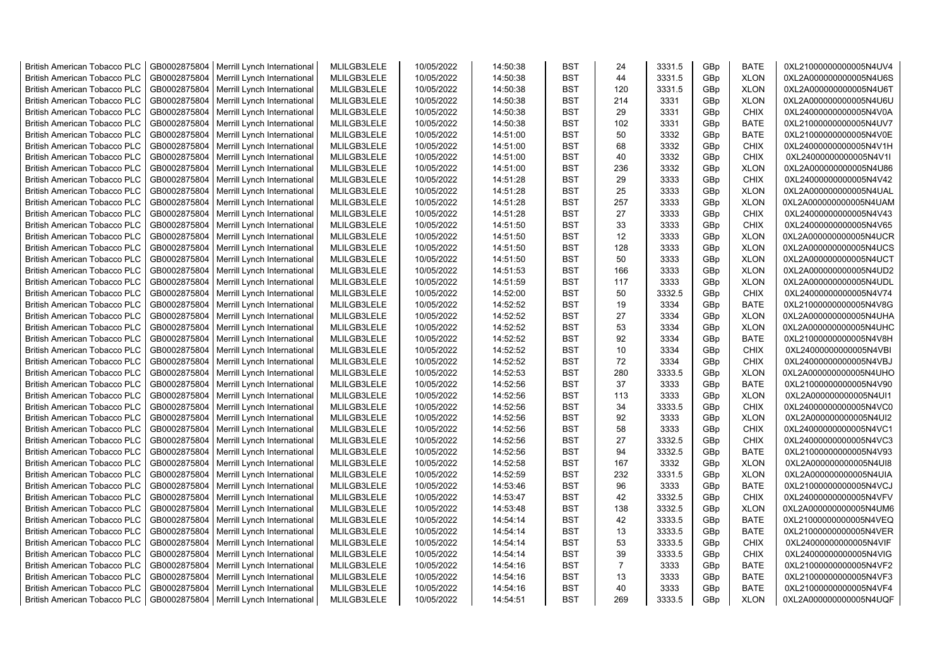| <b>British American Tobacco PLC</b> | GB0002875804 | Merrill Lynch International | MLILGB3LELE | 10/05/2022 | 14:50:38 | <b>BST</b> | 24             | 3331.5 | GBp             | <b>BATE</b> | 0XL21000000000005N4UV4 |
|-------------------------------------|--------------|-----------------------------|-------------|------------|----------|------------|----------------|--------|-----------------|-------------|------------------------|
| <b>British American Tobacco PLC</b> | GB0002875804 | Merrill Lynch International | MLILGB3LELE | 10/05/2022 | 14:50:38 | <b>BST</b> | 44             | 3331.5 | GBp             | <b>XLON</b> | 0XL2A000000000005N4U6S |
| <b>British American Tobacco PLC</b> | GB0002875804 | Merrill Lynch International | MLILGB3LELE | 10/05/2022 | 14:50:38 | <b>BST</b> | 120            | 3331.5 | GBp             | <b>XLON</b> | 0XL2A000000000005N4U6T |
| <b>British American Tobacco PLC</b> | GB0002875804 | Merrill Lynch International | MLILGB3LELE | 10/05/2022 | 14:50:38 | <b>BST</b> | 214            | 3331   | GBp             | <b>XLON</b> | 0XL2A000000000005N4U6U |
| <b>British American Tobacco PLC</b> | GB0002875804 | Merrill Lynch International | MLILGB3LELE | 10/05/2022 | 14:50:38 | <b>BST</b> | 29             | 3331   | GBp             | <b>CHIX</b> | 0XL24000000000005N4V0A |
| <b>British American Tobacco PLC</b> | GB0002875804 | Merrill Lynch International | MLILGB3LELE | 10/05/2022 | 14:50:38 | <b>BST</b> | 102            | 3331   | GBp             | <b>BATE</b> | 0XL21000000000005N4UV7 |
| <b>British American Tobacco PLC</b> | GB0002875804 | Merrill Lynch International | MLILGB3LELE | 10/05/2022 | 14:51:00 | <b>BST</b> | 50             | 3332   | GBp             | <b>BATE</b> | 0XL21000000000005N4V0E |
| <b>British American Tobacco PLC</b> | GB0002875804 | Merrill Lynch International | MLILGB3LELE | 10/05/2022 | 14:51:00 | <b>BST</b> | 68             | 3332   | GBp             | <b>CHIX</b> | 0XL24000000000005N4V1H |
| <b>British American Tobacco PLC</b> | GB0002875804 | Merrill Lynch International | MLILGB3LELE | 10/05/2022 | 14:51:00 | <b>BST</b> | 40             | 3332   | GBp             | <b>CHIX</b> | 0XL24000000000005N4V1I |
| <b>British American Tobacco PLC</b> | GB0002875804 | Merrill Lynch International | MLILGB3LELE | 10/05/2022 | 14:51:00 | <b>BST</b> | 236            | 3332   | GBp             | <b>XLON</b> | 0XL2A000000000005N4U86 |
| <b>British American Tobacco PLC</b> | GB0002875804 | Merrill Lynch International | MLILGB3LELE | 10/05/2022 | 14:51:28 | <b>BST</b> | 29             | 3333   | GBp             | <b>CHIX</b> | 0XL24000000000005N4V42 |
| <b>British American Tobacco PLC</b> | GB0002875804 | Merrill Lynch International | MLILGB3LELE | 10/05/2022 | 14:51:28 | <b>BST</b> | 25             | 3333   | GBp             | <b>XLON</b> | 0XL2A000000000005N4UAL |
| <b>British American Tobacco PLC</b> | GB0002875804 | Merrill Lynch International | MLILGB3LELE | 10/05/2022 | 14:51:28 | <b>BST</b> | 257            | 3333   | GBp             | <b>XLON</b> | 0XL2A000000000005N4UAM |
| <b>British American Tobacco PLC</b> | GB0002875804 | Merrill Lynch International | MLILGB3LELE | 10/05/2022 | 14:51:28 | <b>BST</b> | 27             | 3333   | GBp             | <b>CHIX</b> | 0XL24000000000005N4V43 |
| <b>British American Tobacco PLC</b> | GB0002875804 | Merrill Lynch International | MLILGB3LELE | 10/05/2022 | 14:51:50 | <b>BST</b> | 33             | 3333   | GBp             | <b>CHIX</b> | 0XL24000000000005N4V65 |
| <b>British American Tobacco PLC</b> | GB0002875804 | Merrill Lynch International | MLILGB3LELE | 10/05/2022 | 14:51:50 | <b>BST</b> | 12             | 3333   | GBp             | <b>XLON</b> | 0XL2A000000000005N4UCR |
| <b>British American Tobacco PLC</b> | GB0002875804 | Merrill Lynch International | MLILGB3LELE | 10/05/2022 | 14:51:50 | <b>BST</b> | 128            | 3333   | GBp             | <b>XLON</b> | 0XL2A000000000005N4UCS |
| <b>British American Tobacco PLC</b> | GB0002875804 | Merrill Lynch International | MLILGB3LELE | 10/05/2022 | 14:51:50 | <b>BST</b> | 50             | 3333   | GBp             | <b>XLON</b> | 0XL2A000000000005N4UCT |
| <b>British American Tobacco PLC</b> | GB0002875804 | Merrill Lynch International | MLILGB3LELE | 10/05/2022 | 14:51:53 | <b>BST</b> | 166            | 3333   | GBp             | <b>XLON</b> | 0XL2A000000000005N4UD2 |
| <b>British American Tobacco PLC</b> | GB0002875804 | Merrill Lynch International | MLILGB3LELE | 10/05/2022 | 14:51:59 | <b>BST</b> | 117            | 3333   | GBp             | <b>XLON</b> | 0XL2A000000000005N4UDL |
| <b>British American Tobacco PLC</b> | GB0002875804 | Merrill Lynch International | MLILGB3LELE | 10/05/2022 | 14:52:00 | <b>BST</b> | 50             | 3332.5 | GBp             | <b>CHIX</b> | 0XL24000000000005N4V74 |
| British American Tobacco PLC        | GB0002875804 | Merrill Lynch International | MLILGB3LELE | 10/05/2022 | 14:52:52 | <b>BST</b> | 19             | 3334   | GBp             | <b>BATE</b> | 0XL21000000000005N4V8G |
| <b>British American Tobacco PLC</b> | GB0002875804 | Merrill Lynch International | MLILGB3LELE | 10/05/2022 | 14:52:52 | <b>BST</b> | 27             | 3334   | GBp             | <b>XLON</b> | 0XL2A000000000005N4UHA |
| <b>British American Tobacco PLC</b> | GB0002875804 | Merrill Lynch International | MLILGB3LELE | 10/05/2022 | 14:52:52 | <b>BST</b> | 53             | 3334   | GBp             | <b>XLON</b> | 0XL2A000000000005N4UHC |
| <b>British American Tobacco PLC</b> | GB0002875804 | Merrill Lynch International | MLILGB3LELE | 10/05/2022 | 14:52:52 | <b>BST</b> | 92             | 3334   | GBp             | <b>BATE</b> | 0XL21000000000005N4V8H |
| <b>British American Tobacco PLC</b> | GB0002875804 | Merrill Lynch International | MLILGB3LELE | 10/05/2022 | 14:52:52 | <b>BST</b> | 10             | 3334   | GBp             | <b>CHIX</b> | 0XL24000000000005N4VBI |
| <b>British American Tobacco PLC</b> | GB0002875804 | Merrill Lynch International | MLILGB3LELE | 10/05/2022 | 14:52:52 | <b>BST</b> | 72             | 3334   | GBp             | <b>CHIX</b> | 0XL24000000000005N4VBJ |
| <b>British American Tobacco PLC</b> | GB0002875804 | Merrill Lynch International | MLILGB3LELE | 10/05/2022 | 14:52:53 | <b>BST</b> | 280            | 3333.5 | GBp             | <b>XLON</b> | 0XL2A000000000005N4UHO |
| <b>British American Tobacco PLC</b> | GB0002875804 | Merrill Lynch International | MLILGB3LELE | 10/05/2022 | 14:52:56 | <b>BST</b> | 37             | 3333   | GBp             | <b>BATE</b> | 0XL21000000000005N4V90 |
| <b>British American Tobacco PLC</b> | GB0002875804 | Merrill Lynch International | MLILGB3LELE | 10/05/2022 | 14:52:56 | <b>BST</b> | 113            | 3333   | GBp             | <b>XLON</b> | 0XL2A000000000005N4UI1 |
| <b>British American Tobacco PLC</b> | GB0002875804 | Merrill Lynch International | MLILGB3LELE | 10/05/2022 | 14:52:56 | <b>BST</b> | 34             | 3333.5 | GBp             | <b>CHIX</b> | 0XL24000000000005N4VC0 |
| <b>British American Tobacco PLC</b> | GB0002875804 | Merrill Lynch International | MLILGB3LELE | 10/05/2022 | 14:52:56 | <b>BST</b> | 92             | 3333   | GBp             | <b>XLON</b> | 0XL2A000000000005N4UI2 |
| <b>British American Tobacco PLC</b> | GB0002875804 | Merrill Lynch International | MLILGB3LELE | 10/05/2022 | 14:52:56 | BST        | 58             | 3333   | GBp             | <b>CHIX</b> | 0XL24000000000005N4VC1 |
| <b>British American Tobacco PLC</b> | GB0002875804 | Merrill Lynch International | MLILGB3LELE | 10/05/2022 | 14:52:56 | <b>BST</b> | 27             | 3332.5 | GBp             | <b>CHIX</b> | 0XL24000000000005N4VC3 |
| <b>British American Tobacco PLC</b> | GB0002875804 | Merrill Lynch International | MLILGB3LELE | 10/05/2022 | 14:52:56 | <b>BST</b> | 94             | 3332.5 | GBp             | <b>BATE</b> | 0XL21000000000005N4V93 |
| <b>British American Tobacco PLC</b> | GB0002875804 | Merrill Lynch International | MLILGB3LELE | 10/05/2022 | 14:52:58 | <b>BST</b> | 167            | 3332   | GBp             | <b>XLON</b> | 0XL2A000000000005N4UI8 |
| <b>British American Tobacco PLC</b> | GB0002875804 | Merrill Lynch International | MLILGB3LELE | 10/05/2022 | 14:52:59 | <b>BST</b> | 232            | 3331.5 | GBp             | <b>XLON</b> | 0XL2A000000000005N4UIA |
| <b>British American Tobacco PLC</b> | GB0002875804 | Merrill Lynch International | MLILGB3LELE | 10/05/2022 | 14:53:46 | <b>BST</b> | 96             | 3333   | GBp             | <b>BATE</b> | 0XL21000000000005N4VCJ |
| <b>British American Tobacco PLC</b> | GB0002875804 | Merrill Lynch International | MLILGB3LELE | 10/05/2022 | 14:53:47 | <b>BST</b> | 42             | 3332.5 | GBp             | <b>CHIX</b> | 0XL24000000000005N4VFV |
| <b>British American Tobacco PLC</b> | GB0002875804 | Merrill Lynch International | MLILGB3LELE | 10/05/2022 | 14:53:48 | <b>BST</b> | 138            | 3332.5 | GBp             | <b>XLON</b> | 0XL2A000000000005N4UM6 |
| <b>British American Tobacco PLC</b> | GB0002875804 | Merrill Lynch International | MLILGB3LELE | 10/05/2022 | 14:54:14 | <b>BST</b> | 42             | 3333.5 | GBp             | <b>BATE</b> | 0XL21000000000005N4VEQ |
| <b>British American Tobacco PLC</b> | GB0002875804 | Merrill Lynch International | MLILGB3LELE | 10/05/2022 | 14:54:14 | <b>BST</b> | 13             | 3333.5 | GBp             | BATE        | 0XL21000000000005N4VER |
| <b>British American Tobacco PLC</b> | GB0002875804 | Merrill Lynch International | MLILGB3LELE | 10/05/2022 | 14:54:14 | <b>BST</b> | 53             | 3333.5 | GBp             | <b>CHIX</b> | 0XL24000000000005N4VIF |
| <b>British American Tobacco PLC</b> | GB0002875804 | Merrill Lynch International | MLILGB3LELE | 10/05/2022 | 14:54:14 | <b>BST</b> | 39             | 3333.5 | GBp             | <b>CHIX</b> | 0XL24000000000005N4VIG |
| <b>British American Tobacco PLC</b> | GB0002875804 | Merrill Lynch International | MLILGB3LELE | 10/05/2022 | 14:54:16 | <b>BST</b> | $\overline{7}$ | 3333   | GBp             | <b>BATE</b> | 0XL21000000000005N4VF2 |
| <b>British American Tobacco PLC</b> | GB0002875804 | Merrill Lynch International | MLILGB3LELE | 10/05/2022 | 14:54:16 | <b>BST</b> | 13             | 3333   | GBp             | <b>BATE</b> | 0XL21000000000005N4VF3 |
| <b>British American Tobacco PLC</b> | GB0002875804 | Merrill Lynch International | MLILGB3LELE | 10/05/2022 | 14:54:16 | <b>BST</b> | 40             | 3333   | GBp             | <b>BATE</b> | 0XL21000000000005N4VF4 |
| <b>British American Tobacco PLC</b> | GB0002875804 | Merrill Lynch International | MLILGB3LELE | 10/05/2022 | 14:54:51 | <b>BST</b> | 269            | 3333.5 | GB <sub>p</sub> | <b>XLON</b> | 0XL2A000000000005N4UQF |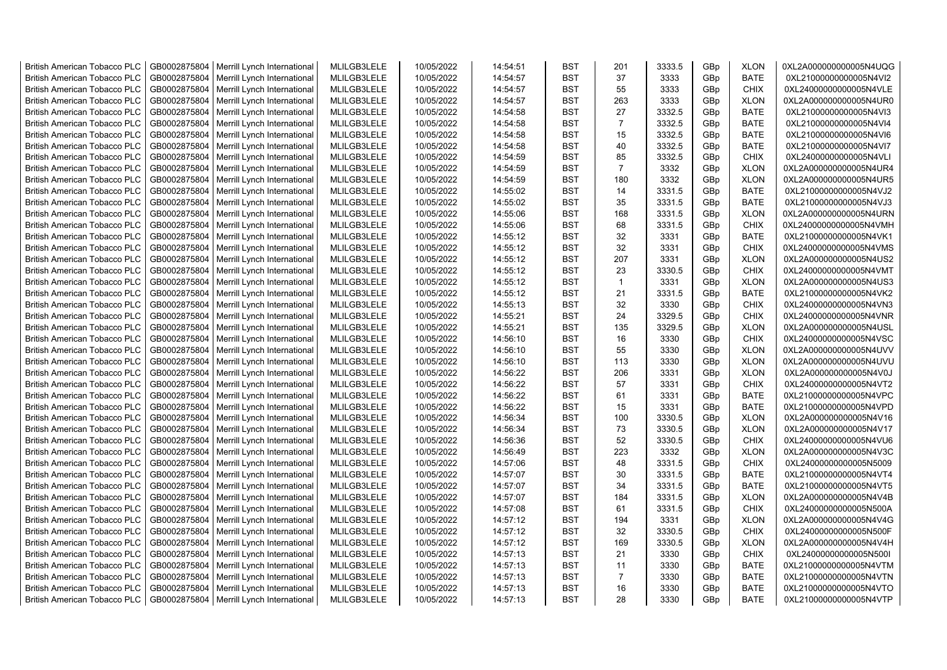| <b>British American Tobacco PLC</b> | GB0002875804 | Merrill Lynch International | MLILGB3LELE | 10/05/2022 | 14:54:51 | <b>BST</b> | 201            | 3333.5 | GBp             | <b>XLON</b> | 0XL2A000000000005N4UQG |
|-------------------------------------|--------------|-----------------------------|-------------|------------|----------|------------|----------------|--------|-----------------|-------------|------------------------|
| <b>British American Tobacco PLC</b> | GB0002875804 | Merrill Lynch International | MLILGB3LELE | 10/05/2022 | 14:54:57 | <b>BST</b> | 37             | 3333   | GBp             | <b>BATE</b> | 0XL21000000000005N4VI2 |
| <b>British American Tobacco PLC</b> | GB0002875804 | Merrill Lynch International | MLILGB3LELE | 10/05/2022 | 14:54:57 | <b>BST</b> | 55             | 3333   | GBp             | <b>CHIX</b> | 0XL24000000000005N4VLE |
| <b>British American Tobacco PLC</b> | GB0002875804 | Merrill Lynch International | MLILGB3LELE | 10/05/2022 | 14:54:57 | <b>BST</b> | 263            | 3333   | GBp             | <b>XLON</b> | 0XL2A000000000005N4UR0 |
| <b>British American Tobacco PLC</b> | GB0002875804 | Merrill Lynch International | MLILGB3LELE | 10/05/2022 | 14:54:58 | <b>BST</b> | 27             | 3332.5 | GBp             | <b>BATE</b> | 0XL21000000000005N4VI3 |
| <b>British American Tobacco PLC</b> | GB0002875804 | Merrill Lynch International | MLILGB3LELE | 10/05/2022 | 14:54:58 | <b>BST</b> | $\overline{7}$ | 3332.5 | GBp             | <b>BATE</b> | 0XL21000000000005N4VI4 |
| <b>British American Tobacco PLC</b> | GB0002875804 | Merrill Lynch International | MLILGB3LELE | 10/05/2022 | 14:54:58 | <b>BST</b> | 15             | 3332.5 | GBp             | <b>BATE</b> | 0XL21000000000005N4VI6 |
| <b>British American Tobacco PLC</b> | GB0002875804 | Merrill Lynch International | MLILGB3LELE | 10/05/2022 | 14:54:58 | <b>BST</b> | 40             | 3332.5 | GBp             | <b>BATE</b> | 0XL21000000000005N4VI7 |
| <b>British American Tobacco PLC</b> | GB0002875804 | Merrill Lynch International | MLILGB3LELE | 10/05/2022 | 14:54:59 | <b>BST</b> | 85             | 3332.5 | GBp             | <b>CHIX</b> | 0XL24000000000005N4VLI |
| <b>British American Tobacco PLC</b> | GB0002875804 | Merrill Lynch International | MLILGB3LELE | 10/05/2022 | 14:54:59 | <b>BST</b> | $\overline{7}$ | 3332   | GBp             | <b>XLON</b> | 0XL2A000000000005N4UR4 |
| <b>British American Tobacco PLC</b> | GB0002875804 | Merrill Lynch International | MLILGB3LELE | 10/05/2022 | 14:54:59 | <b>BST</b> | 180            | 3332   | GBp             | <b>XLON</b> | 0XL2A000000000005N4UR5 |
| <b>British American Tobacco PLC</b> | GB0002875804 | Merrill Lynch International | MLILGB3LELE | 10/05/2022 | 14:55:02 | <b>BST</b> | 14             | 3331.5 | GBp             | <b>BATE</b> | 0XL21000000000005N4VJ2 |
| <b>British American Tobacco PLC</b> | GB0002875804 | Merrill Lynch International | MLILGB3LELE | 10/05/2022 | 14:55:02 | <b>BST</b> | 35             | 3331.5 | GBp             | <b>BATE</b> | 0XL21000000000005N4VJ3 |
| <b>British American Tobacco PLC</b> | GB0002875804 | Merrill Lynch International | MLILGB3LELE | 10/05/2022 | 14:55:06 | <b>BST</b> | 168            | 3331.5 | GBp             | <b>XLON</b> | 0XL2A000000000005N4URN |
| <b>British American Tobacco PLC</b> | GB0002875804 | Merrill Lynch International | MLILGB3LELE | 10/05/2022 | 14:55:06 | <b>BST</b> | 68             | 3331.5 | GBp             | <b>CHIX</b> | 0XL24000000000005N4VMH |
| <b>British American Tobacco PLC</b> | GB0002875804 | Merrill Lynch International | MLILGB3LELE | 10/05/2022 | 14:55:12 | <b>BST</b> | 32             | 3331   | GBp             | <b>BATE</b> | 0XL21000000000005N4VK1 |
| <b>British American Tobacco PLC</b> | GB0002875804 | Merrill Lynch International | MLILGB3LELE | 10/05/2022 | 14:55:12 | <b>BST</b> | 32             | 3331   | GBp             | <b>CHIX</b> | 0XL24000000000005N4VMS |
| <b>British American Tobacco PLC</b> | GB0002875804 | Merrill Lynch International | MLILGB3LELE | 10/05/2022 | 14:55:12 | <b>BST</b> | 207            | 3331   | GBp             | <b>XLON</b> | 0XL2A000000000005N4US2 |
| <b>British American Tobacco PLC</b> | GB0002875804 | Merrill Lynch International | MLILGB3LELE | 10/05/2022 | 14:55:12 | <b>BST</b> | 23             | 3330.5 | GBp             | <b>CHIX</b> | 0XL24000000000005N4VMT |
| <b>British American Tobacco PLC</b> | GB0002875804 | Merrill Lynch International | MLILGB3LELE | 10/05/2022 | 14:55:12 | <b>BST</b> | $\overline{1}$ | 3331   | GBp             | <b>XLON</b> | 0XL2A000000000005N4US3 |
| <b>British American Tobacco PLC</b> | GB0002875804 | Merrill Lynch International | MLILGB3LELE | 10/05/2022 | 14:55:12 | <b>BST</b> | 21             | 3331.5 | GBp             | <b>BATE</b> | 0XL21000000000005N4VK2 |
| British American Tobacco PLC        | GB0002875804 | Merrill Lynch International | MLILGB3LELE | 10/05/2022 | 14:55:13 | <b>BST</b> | 32             | 3330   | GBp             | <b>CHIX</b> | 0XL24000000000005N4VN3 |
| <b>British American Tobacco PLC</b> | GB0002875804 | Merrill Lynch International | MLILGB3LELE | 10/05/2022 | 14:55:21 | <b>BST</b> | 24             | 3329.5 | GBp             | <b>CHIX</b> | 0XL24000000000005N4VNR |
| <b>British American Tobacco PLC</b> | GB0002875804 | Merrill Lynch International | MLILGB3LELE | 10/05/2022 | 14:55:21 | <b>BST</b> | 135            | 3329.5 | GBp             | <b>XLON</b> | 0XL2A000000000005N4USL |
| <b>British American Tobacco PLC</b> | GB0002875804 | Merrill Lynch International | MLILGB3LELE | 10/05/2022 | 14:56:10 | <b>BST</b> | 16             | 3330   | GBp             | <b>CHIX</b> | 0XL24000000000005N4VSC |
| <b>British American Tobacco PLC</b> | GB0002875804 | Merrill Lynch International | MLILGB3LELE | 10/05/2022 | 14:56:10 | <b>BST</b> | 55             | 3330   | GBp             | <b>XLON</b> | 0XL2A000000000005N4UVV |
| <b>British American Tobacco PLC</b> | GB0002875804 | Merrill Lynch International | MLILGB3LELE | 10/05/2022 | 14:56:10 | <b>BST</b> | 113            | 3330   | GBp             | <b>XLON</b> | 0XL2A000000000005N4UVU |
| <b>British American Tobacco PLC</b> | GB0002875804 | Merrill Lynch International | MLILGB3LELE | 10/05/2022 | 14:56:22 | <b>BST</b> | 206            | 3331   | GBp             | <b>XLON</b> | 0XL2A000000000005N4V0J |
| <b>British American Tobacco PLC</b> | GB0002875804 | Merrill Lynch International | MLILGB3LELE | 10/05/2022 | 14:56:22 | BST        | 57             | 3331   | GBp             | <b>CHIX</b> | 0XL24000000000005N4VT2 |
| <b>British American Tobacco PLC</b> | GB0002875804 | Merrill Lynch International | MLILGB3LELE | 10/05/2022 | 14:56:22 | <b>BST</b> | 61             | 3331   | GBp             | <b>BATE</b> | 0XL21000000000005N4VPC |
| <b>British American Tobacco PLC</b> | GB0002875804 | Merrill Lynch International | MLILGB3LELE | 10/05/2022 | 14:56:22 | <b>BST</b> | 15             | 3331   | GBp             | <b>BATE</b> | 0XL21000000000005N4VPD |
| <b>British American Tobacco PLC</b> | GB0002875804 | Merrill Lynch International | MLILGB3LELE | 10/05/2022 | 14:56:34 | <b>BST</b> | 100            | 3330.5 | GBp             | <b>XLON</b> | 0XL2A000000000005N4V16 |
| <b>British American Tobacco PLC</b> | GB0002875804 | Merrill Lynch International | MLILGB3LELE | 10/05/2022 | 14:56:34 | BST        | 73             | 3330.5 | GBp             | <b>XLON</b> | 0XL2A000000000005N4V17 |
| <b>British American Tobacco PLC</b> | GB0002875804 | Merrill Lynch International | MLILGB3LELE | 10/05/2022 | 14:56:36 | <b>BST</b> | 52             | 3330.5 | GBp             | <b>CHIX</b> | 0XL24000000000005N4VU6 |
| <b>British American Tobacco PLC</b> | GB0002875804 | Merrill Lynch International | MLILGB3LELE | 10/05/2022 | 14:56:49 | <b>BST</b> | 223            | 3332   | GBp             | <b>XLON</b> | 0XL2A000000000005N4V3C |
| <b>British American Tobacco PLC</b> | GB0002875804 | Merrill Lynch International | MLILGB3LELE | 10/05/2022 | 14:57:06 | <b>BST</b> | 48             | 3331.5 | GBp             | <b>CHIX</b> | 0XL24000000000005N5009 |
| <b>British American Tobacco PLC</b> | GB0002875804 | Merrill Lynch International | MLILGB3LELE | 10/05/2022 | 14:57:07 | <b>BST</b> | 30             | 3331.5 | GBp             | <b>BATE</b> | 0XL21000000000005N4VT4 |
| <b>British American Tobacco PLC</b> | GB0002875804 | Merrill Lynch International | MLILGB3LELE | 10/05/2022 | 14:57:07 | <b>BST</b> | 34             | 3331.5 | GBp             | BATE        | 0XL21000000000005N4VT5 |
| <b>British American Tobacco PLC</b> | GB0002875804 | Merrill Lynch International | MLILGB3LELE | 10/05/2022 | 14:57:07 | <b>BST</b> | 184            | 3331.5 | GBp             | <b>XLON</b> | 0XL2A000000000005N4V4B |
| <b>British American Tobacco PLC</b> | GB0002875804 | Merrill Lynch International | MLILGB3LELE | 10/05/2022 | 14:57:08 | <b>BST</b> | 61             | 3331.5 | GBp             | <b>CHIX</b> | 0XL24000000000005N500A |
| <b>British American Tobacco PLC</b> | GB0002875804 | Merrill Lynch International | MLILGB3LELE | 10/05/2022 | 14:57:12 | <b>BST</b> | 194            | 3331   | GBp             | <b>XLON</b> | 0XL2A000000000005N4V4G |
| <b>British American Tobacco PLC</b> | GB0002875804 | Merrill Lynch International | MLILGB3LELE | 10/05/2022 | 14:57:12 | <b>BST</b> | 32             | 3330.5 | GBp             | <b>CHIX</b> | 0XL24000000000005N500F |
| <b>British American Tobacco PLC</b> | GB0002875804 | Merrill Lynch International | MLILGB3LELE | 10/05/2022 | 14:57:12 | <b>BST</b> | 169            | 3330.5 | GBp             | <b>XLON</b> | 0XL2A000000000005N4V4H |
| <b>British American Tobacco PLC</b> | GB0002875804 | Merrill Lynch International | MLILGB3LELE | 10/05/2022 | 14:57:13 | <b>BST</b> | 21             | 3330   | GBp             | <b>CHIX</b> | 0XL24000000000005N500I |
| <b>British American Tobacco PLC</b> | GB0002875804 | Merrill Lynch International | MLILGB3LELE | 10/05/2022 | 14:57:13 | <b>BST</b> | 11             | 3330   | GBp             | <b>BATE</b> | 0XL21000000000005N4VTM |
| <b>British American Tobacco PLC</b> | GB0002875804 | Merrill Lynch International | MLILGB3LELE | 10/05/2022 | 14:57:13 | <b>BST</b> | $\overline{7}$ | 3330   | GBp             | <b>BATE</b> | 0XL21000000000005N4VTN |
| <b>British American Tobacco PLC</b> | GB0002875804 | Merrill Lynch International | MLILGB3LELE | 10/05/2022 | 14:57:13 | <b>BST</b> | 16             | 3330   | GBp             | <b>BATE</b> | 0XL21000000000005N4VTO |
| <b>British American Tobacco PLC</b> | GB0002875804 | Merrill Lynch International | MLILGB3LELE | 10/05/2022 | 14:57:13 | <b>BST</b> | 28             | 3330   | GB <sub>p</sub> | <b>BATE</b> | 0XL21000000000005N4VTP |
|                                     |              |                             |             |            |          |            |                |        |                 |             |                        |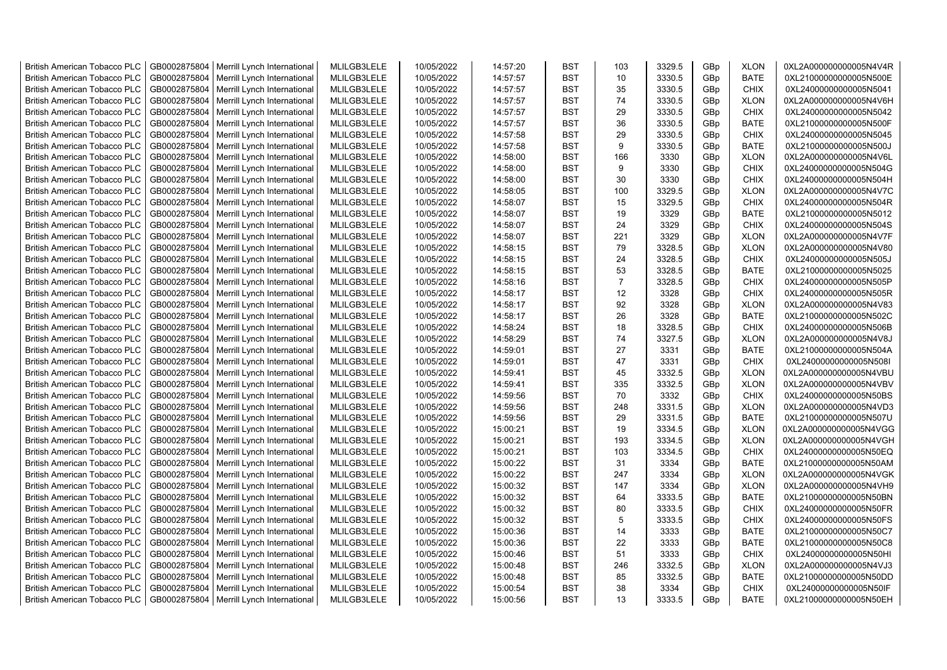| <b>British American Tobacco PLC</b> | GB0002875804 | Merrill Lynch International                | MLILGB3LELE | 10/05/2022 | 14:57:20 | <b>BST</b> | 103            | 3329.5 | GBp             | <b>XLON</b> | 0XL2A000000000005N4V4R |
|-------------------------------------|--------------|--------------------------------------------|-------------|------------|----------|------------|----------------|--------|-----------------|-------------|------------------------|
| <b>British American Tobacco PLC</b> | GB0002875804 | Merrill Lynch International                | MLILGB3LELE | 10/05/2022 | 14:57:57 | <b>BST</b> | 10             | 3330.5 | GBp             | <b>BATE</b> | 0XL21000000000005N500E |
| <b>British American Tobacco PLC</b> | GB0002875804 | Merrill Lynch International                | MLILGB3LELE | 10/05/2022 | 14:57:57 | <b>BST</b> | 35             | 3330.5 | GBp             | <b>CHIX</b> | 0XL24000000000005N5041 |
| <b>British American Tobacco PLC</b> | GB0002875804 | Merrill Lynch International                | MLILGB3LELE | 10/05/2022 | 14:57:57 | <b>BST</b> | 74             | 3330.5 | GBp             | <b>XLON</b> | 0XL2A000000000005N4V6H |
| <b>British American Tobacco PLC</b> | GB0002875804 | Merrill Lynch International                | MLILGB3LELE | 10/05/2022 | 14:57:57 | <b>BST</b> | 29             | 3330.5 | GBp             | <b>CHIX</b> | 0XL24000000000005N5042 |
| <b>British American Tobacco PLC</b> | GB0002875804 | Merrill Lynch International                | MLILGB3LELE | 10/05/2022 | 14:57:57 | <b>BST</b> | 36             | 3330.5 | GBp             | <b>BATE</b> | 0XL21000000000005N500F |
| <b>British American Tobacco PLC</b> | GB0002875804 | Merrill Lynch International                | MLILGB3LELE | 10/05/2022 | 14:57:58 | <b>BST</b> | 29             | 3330.5 | GBp             | <b>CHIX</b> | 0XL24000000000005N5045 |
| <b>British American Tobacco PLC</b> | GB0002875804 | Merrill Lynch International                | MLILGB3LELE | 10/05/2022 | 14:57:58 | BST        | 9              | 3330.5 | GBp             | BATE        | 0XL21000000000005N500J |
| <b>British American Tobacco PLC</b> | GB0002875804 | Merrill Lynch International                | MLILGB3LELE | 10/05/2022 | 14:58:00 | <b>BST</b> | 166            | 3330   | GBp             | <b>XLON</b> | 0XL2A000000000005N4V6L |
| <b>British American Tobacco PLC</b> | GB0002875804 | Merrill Lynch International                | MLILGB3LELE | 10/05/2022 | 14:58:00 | <b>BST</b> | 9              | 3330   | GBp             | <b>CHIX</b> | 0XL24000000000005N504G |
| <b>British American Tobacco PLC</b> | GB0002875804 | Merrill Lynch International                | MLILGB3LELE | 10/05/2022 | 14:58:00 | <b>BST</b> | 30             | 3330   | GBp             | <b>CHIX</b> | 0XL24000000000005N504H |
| <b>British American Tobacco PLC</b> | GB0002875804 | Merrill Lynch International                | MLILGB3LELE | 10/05/2022 | 14:58:05 | <b>BST</b> | 100            | 3329.5 | GBp             | <b>XLON</b> | 0XL2A000000000005N4V7C |
| <b>British American Tobacco PLC</b> | GB0002875804 | Merrill Lynch International                | MLILGB3LELE | 10/05/2022 | 14:58:07 | <b>BST</b> | 15             | 3329.5 | GBp             | <b>CHIX</b> | 0XL24000000000005N504R |
| <b>British American Tobacco PLC</b> | GB0002875804 | Merrill Lynch International                | MLILGB3LELE | 10/05/2022 | 14:58:07 | <b>BST</b> | 19             | 3329   | GBp             | <b>BATE</b> | 0XL21000000000005N5012 |
| <b>British American Tobacco PLC</b> | GB0002875804 | Merrill Lynch International                | MLILGB3LELE | 10/05/2022 | 14:58:07 | <b>BST</b> | 24             | 3329   | GBp             | <b>CHIX</b> | 0XL24000000000005N504S |
| <b>British American Tobacco PLC</b> | GB0002875804 | Merrill Lynch International                | MLILGB3LELE | 10/05/2022 | 14:58:07 | <b>BST</b> | 221            | 3329   | GBp             | <b>XLON</b> | 0XL2A000000000005N4V7F |
| <b>British American Tobacco PLC</b> | GB0002875804 | Merrill Lynch International                | MLILGB3LELE | 10/05/2022 | 14:58:15 | <b>BST</b> | 79             | 3328.5 | GBp             | <b>XLON</b> | 0XL2A000000000005N4V80 |
| <b>British American Tobacco PLC</b> | GB0002875804 | Merrill Lynch International                | MLILGB3LELE | 10/05/2022 | 14:58:15 | <b>BST</b> | 24             | 3328.5 | GBp             | <b>CHIX</b> | 0XL24000000000005N505J |
| <b>British American Tobacco PLC</b> | GB0002875804 | Merrill Lynch International                | MLILGB3LELE | 10/05/2022 | 14:58:15 | <b>BST</b> | 53             | 3328.5 | GBp             | <b>BATE</b> | 0XL21000000000005N5025 |
| <b>British American Tobacco PLC</b> | GB0002875804 | Merrill Lynch International                | MLILGB3LELE | 10/05/2022 | 14:58:16 | <b>BST</b> | $\overline{7}$ | 3328.5 | GBp             | <b>CHIX</b> | 0XL24000000000005N505P |
| <b>British American Tobacco PLC</b> | GB0002875804 | Merrill Lynch International                | MLILGB3LELE | 10/05/2022 | 14:58:17 | <b>BST</b> | 12             | 3328   | GBp             | <b>CHIX</b> | 0XL24000000000005N505R |
| <b>British American Tobacco PLC</b> | GB0002875804 | Merrill Lynch International                | MLILGB3LELE | 10/05/2022 | 14:58:17 | <b>BST</b> | 92             | 3328   | GBp             | <b>XLON</b> | 0XL2A000000000005N4V83 |
|                                     | GB0002875804 |                                            | MLILGB3LELE | 10/05/2022 |          | <b>BST</b> | 26             | 3328   |                 | <b>BATE</b> | 0XL21000000000005N502C |
| <b>British American Tobacco PLC</b> |              | Merrill Lynch International                |             |            | 14:58:17 |            |                |        | GBp             |             |                        |
| <b>British American Tobacco PLC</b> | GB0002875804 | Merrill Lynch International                | MLILGB3LELE | 10/05/2022 | 14:58:24 | BST        | 18             | 3328.5 | GBp             | <b>CHIX</b> | 0XL24000000000005N506B |
| <b>British American Tobacco PLC</b> | GB0002875804 | Merrill Lynch International                | MLILGB3LELE | 10/05/2022 | 14:58:29 | <b>BST</b> | 74             | 3327.5 | GBp             | <b>XLON</b> | 0XL2A000000000005N4V8J |
| <b>British American Tobacco PLC</b> | GB0002875804 | Merrill Lynch International                | MLILGB3LELE | 10/05/2022 | 14:59:01 | <b>BST</b> | 27             | 3331   | GBp             | <b>BATE</b> | 0XL21000000000005N504A |
| <b>British American Tobacco PLC</b> | GB0002875804 | Merrill Lynch International                | MLILGB3LELE | 10/05/2022 | 14:59:01 | <b>BST</b> | 47             | 3331   | GBp             | <b>CHIX</b> | 0XL24000000000005N508I |
| <b>British American Tobacco PLC</b> | GB0002875804 | Merrill Lynch International                | MLILGB3LELE | 10/05/2022 | 14:59:41 | <b>BST</b> | 45             | 3332.5 | GBp             | <b>XLON</b> | 0XL2A000000000005N4VBU |
| <b>British American Tobacco PLC</b> | GB0002875804 | Merrill Lynch International                | MLILGB3LELE | 10/05/2022 | 14:59:41 | <b>BST</b> | 335            | 3332.5 | GBp             | <b>XLON</b> | 0XL2A000000000005N4VBV |
| <b>British American Tobacco PLC</b> | GB0002875804 | Merrill Lynch International                | MLILGB3LELE | 10/05/2022 | 14:59:56 | <b>BST</b> | 70             | 3332   | GBp             | <b>CHIX</b> | 0XL24000000000005N50BS |
| <b>British American Tobacco PLC</b> | GB0002875804 | Merrill Lynch International                | MLILGB3LELE | 10/05/2022 | 14:59:56 | <b>BST</b> | 248            | 3331.5 | GBp             | <b>XLON</b> | 0XL2A000000000005N4VD3 |
| <b>British American Tobacco PLC</b> | GB0002875804 | Merrill Lynch International                | MLILGB3LELE | 10/05/2022 | 14:59:56 | <b>BST</b> | 29             | 3331.5 | GBp             | <b>BATE</b> | 0XL21000000000005N507U |
| <b>British American Tobacco PLC</b> | GB0002875804 | Merrill Lynch International                | MLILGB3LELE | 10/05/2022 | 15:00:21 | <b>BST</b> | 19             | 3334.5 | GBp             | <b>XLON</b> | 0XL2A000000000005N4VGG |
| <b>British American Tobacco PLC</b> | GB0002875804 | Merrill Lynch International                | MLILGB3LELE | 10/05/2022 | 15:00:21 | <b>BST</b> | 193            | 3334.5 | GBp             | <b>XLON</b> | 0XL2A000000000005N4VGH |
| <b>British American Tobacco PLC</b> | GB0002875804 | Merrill Lynch International                | MLILGB3LELE | 10/05/2022 | 15:00:21 | <b>BST</b> | 103            | 3334.5 | GBp             | <b>CHIX</b> | 0XL24000000000005N50EQ |
| <b>British American Tobacco PLC</b> | GB0002875804 | Merrill Lynch International                | MLILGB3LELE | 10/05/2022 | 15:00:22 | <b>BST</b> | 31             | 3334   | GBp             | <b>BATE</b> | 0XL21000000000005N50AM |
| <b>British American Tobacco PLC</b> | GB0002875804 | Merrill Lynch International                | MLILGB3LELE | 10/05/2022 | 15:00:22 | <b>BST</b> | 247            | 3334   | GBp             | <b>XLON</b> | 0XL2A000000000005N4VGK |
| <b>British American Tobacco PLC</b> | GB0002875804 | Merrill Lynch International                | MLILGB3LELE | 10/05/2022 | 15:00:32 | <b>BST</b> | 147            | 3334   | GBp             | <b>XLON</b> | 0XL2A000000000005N4VH9 |
| <b>British American Tobacco PLC</b> | GB0002875804 | Merrill Lynch International                | MLILGB3LELE | 10/05/2022 | 15:00:32 | <b>BST</b> | 64             | 3333.5 | GBp             | <b>BATE</b> | 0XL21000000000005N50BN |
| <b>British American Tobacco PLC</b> | GB0002875804 | Merrill Lynch International                | MLILGB3LELE | 10/05/2022 | 15:00:32 | <b>BST</b> | 80             | 3333.5 | GBp             | <b>CHIX</b> | 0XL24000000000005N50FR |
| <b>British American Tobacco PLC</b> | GB0002875804 | Merrill Lynch International                | MLILGB3LELE | 10/05/2022 | 15:00:32 | <b>BST</b> | 5              | 3333.5 | GBp             | <b>CHIX</b> | 0XL24000000000005N50FS |
| <b>British American Tobacco PLC</b> | GB0002875804 | Merrill Lynch International                | MLILGB3LELE | 10/05/2022 | 15:00:36 | <b>BST</b> | 14             | 3333   | GBp             | <b>BATE</b> | 0XL21000000000005N50C7 |
| <b>British American Tobacco PLC</b> | GB0002875804 | Merrill Lynch International                | MLILGB3LELE | 10/05/2022 | 15:00:36 | <b>BST</b> | 22             | 3333   | GBp             | <b>BATE</b> | 0XL21000000000005N50C8 |
| <b>British American Tobacco PLC</b> | GB0002875804 | Merrill Lynch International                | MLILGB3LELE | 10/05/2022 | 15:00:46 | <b>BST</b> | 51             | 3333   | GBp             | <b>CHIX</b> | 0XL24000000000005N50HI |
| <b>British American Tobacco PLC</b> | GB0002875804 | Merrill Lynch International                | MLILGB3LELE | 10/05/2022 | 15:00:48 | <b>BST</b> | 246            | 3332.5 | GBp             | <b>XLON</b> | 0XL2A000000000005N4VJ3 |
| <b>British American Tobacco PLC</b> | GB0002875804 | Merrill Lynch International                | MLILGB3LELE | 10/05/2022 | 15:00:48 | <b>BST</b> | 85             | 3332.5 | GBp             | <b>BATE</b> | 0XL21000000000005N50DD |
| <b>British American Tobacco PLC</b> | GB0002875804 | Merrill Lynch International                | MLILGB3LELE | 10/05/2022 | 15:00:54 | <b>BST</b> | 38             | 3334   | GBp             | <b>CHIX</b> | 0XL24000000000005N50IF |
| <b>British American Tobacco PLC</b> |              | GB0002875804   Merrill Lynch International | MLILGB3LELE | 10/05/2022 | 15:00:56 | <b>BST</b> | 13             | 3333.5 | GB <sub>p</sub> | <b>BATE</b> | 0XL21000000000005N50EH |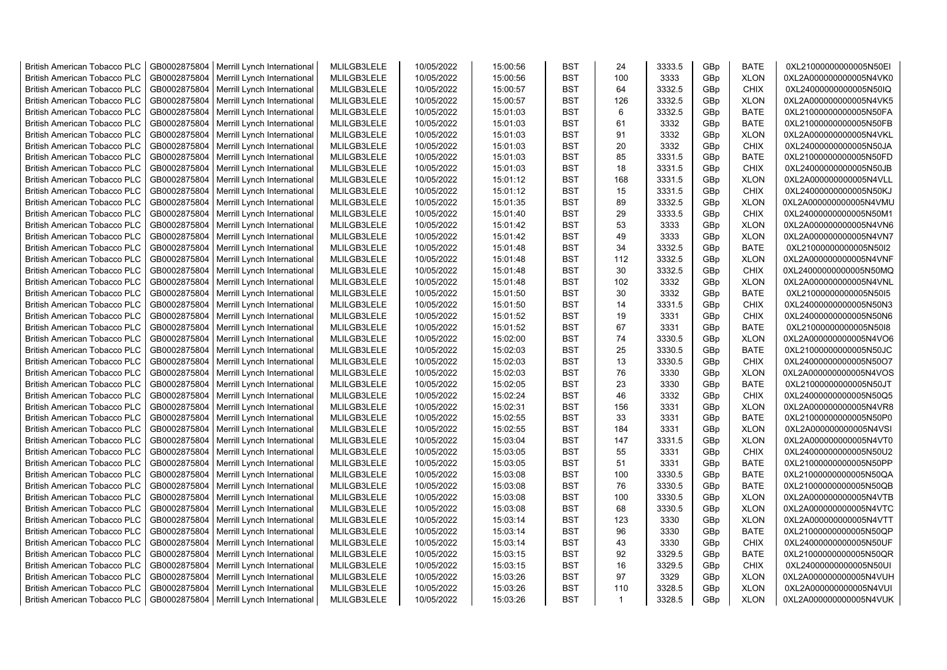| <b>British American Tobacco PLC</b> | GB0002875804 | Merrill Lynch International | MLILGB3LELE | 10/05/2022 | 15:00:56 | <b>BST</b> | 24           | 3333.5 | GBp             | <b>BATE</b> | 0XL21000000000005N50EI |
|-------------------------------------|--------------|-----------------------------|-------------|------------|----------|------------|--------------|--------|-----------------|-------------|------------------------|
| <b>British American Tobacco PLC</b> | GB0002875804 | Merrill Lynch International | MLILGB3LELE | 10/05/2022 | 15:00:56 | <b>BST</b> | 100          | 3333   | GBp             | <b>XLON</b> | 0XL2A000000000005N4VK0 |
| <b>British American Tobacco PLC</b> | GB0002875804 | Merrill Lynch International | MLILGB3LELE | 10/05/2022 | 15:00:57 | <b>BST</b> | 64           | 3332.5 | GBp             | <b>CHIX</b> | 0XL24000000000005N50IQ |
| <b>British American Tobacco PLC</b> | GB0002875804 | Merrill Lynch International | MLILGB3LELE | 10/05/2022 | 15:00:57 | <b>BST</b> | 126          | 3332.5 | GBp             | <b>XLON</b> | 0XL2A000000000005N4VK5 |
| <b>British American Tobacco PLC</b> | GB0002875804 | Merrill Lynch International | MLILGB3LELE | 10/05/2022 | 15:01:03 | <b>BST</b> | 6            | 3332.5 | GBp             | <b>BATE</b> | 0XL21000000000005N50FA |
| <b>British American Tobacco PLC</b> | GB0002875804 | Merrill Lynch International | MLILGB3LELE | 10/05/2022 | 15:01:03 | <b>BST</b> | 61           | 3332   | GBp             | <b>BATE</b> | 0XL21000000000005N50FB |
| <b>British American Tobacco PLC</b> | GB0002875804 | Merrill Lynch International | MLILGB3LELE | 10/05/2022 | 15:01:03 | <b>BST</b> | 91           | 3332   | GBp             | <b>XLON</b> | 0XL2A000000000005N4VKL |
| <b>British American Tobacco PLC</b> | GB0002875804 | Merrill Lynch International | MLILGB3LELE | 10/05/2022 | 15:01:03 | <b>BST</b> | 20           | 3332   | GBp             | <b>CHIX</b> | 0XL24000000000005N50JA |
| <b>British American Tobacco PLC</b> | GB0002875804 | Merrill Lynch International | MLILGB3LELE | 10/05/2022 | 15:01:03 | <b>BST</b> | 85           | 3331.5 | GBp             | <b>BATE</b> | 0XL21000000000005N50FD |
| <b>British American Tobacco PLC</b> | GB0002875804 | Merrill Lynch International | MLILGB3LELE | 10/05/2022 | 15:01:03 | <b>BST</b> | 18           | 3331.5 | GBp             | <b>CHIX</b> | 0XL24000000000005N50JB |
| <b>British American Tobacco PLC</b> | GB0002875804 | Merrill Lynch International | MLILGB3LELE | 10/05/2022 | 15:01:12 | <b>BST</b> | 168          | 3331.5 | GBp             | <b>XLON</b> | 0XL2A000000000005N4VLL |
| <b>British American Tobacco PLC</b> | GB0002875804 | Merrill Lynch International | MLILGB3LELE | 10/05/2022 | 15:01:12 | <b>BST</b> | 15           | 3331.5 | GBp             | <b>CHIX</b> | 0XL24000000000005N50KJ |
| <b>British American Tobacco PLC</b> | GB0002875804 | Merrill Lynch International | MLILGB3LELE | 10/05/2022 | 15:01:35 | <b>BST</b> | 89           | 3332.5 | GBp             | <b>XLON</b> | 0XL2A000000000005N4VMU |
| <b>British American Tobacco PLC</b> | GB0002875804 | Merrill Lynch International | MLILGB3LELE | 10/05/2022 | 15:01:40 | <b>BST</b> | 29           | 3333.5 | GBp             | <b>CHIX</b> | 0XL24000000000005N50M1 |
|                                     |              |                             |             |            |          |            |              |        |                 |             |                        |
| <b>British American Tobacco PLC</b> | GB0002875804 | Merrill Lynch International | MLILGB3LELE | 10/05/2022 | 15:01:42 | <b>BST</b> | 53           | 3333   | GBp             | <b>XLON</b> | 0XL2A000000000005N4VN6 |
| <b>British American Tobacco PLC</b> | GB0002875804 | Merrill Lynch International | MLILGB3LELE | 10/05/2022 | 15:01:42 | <b>BST</b> | 49           | 3333   | GBp             | <b>XLON</b> | 0XL2A000000000005N4VN7 |
| <b>British American Tobacco PLC</b> | GB0002875804 | Merrill Lynch International | MLILGB3LELE | 10/05/2022 | 15:01:48 | <b>BST</b> | 34           | 3332.5 | GBp             | <b>BATE</b> | 0XL21000000000005N50I2 |
| <b>British American Tobacco PLC</b> | GB0002875804 | Merrill Lynch International | MLILGB3LELE | 10/05/2022 | 15:01:48 | <b>BST</b> | 112          | 3332.5 | GBp             | <b>XLON</b> | 0XL2A000000000005N4VNF |
| <b>British American Tobacco PLC</b> | GB0002875804 | Merrill Lynch International | MLILGB3LELE | 10/05/2022 | 15:01:48 | <b>BST</b> | 30           | 3332.5 | GBp             | <b>CHIX</b> | 0XL24000000000005N50MQ |
| <b>British American Tobacco PLC</b> | GB0002875804 | Merrill Lynch International | MLILGB3LELE | 10/05/2022 | 15:01:48 | <b>BST</b> | 102          | 3332   | GBp             | <b>XLON</b> | 0XL2A000000000005N4VNL |
| <b>British American Tobacco PLC</b> | GB0002875804 | Merrill Lynch International | MLILGB3LELE | 10/05/2022 | 15:01:50 | <b>BST</b> | 30           | 3332   | GBp             | <b>BATE</b> | 0XL21000000000005N50I5 |
| <b>British American Tobacco PLC</b> | GB0002875804 | Merrill Lynch International | MLILGB3LELE | 10/05/2022 | 15:01:50 | <b>BST</b> | 14           | 3331.5 | GBp             | <b>CHIX</b> | 0XL24000000000005N50N3 |
| <b>British American Tobacco PLC</b> | GB0002875804 | Merrill Lynch International | MLILGB3LELE | 10/05/2022 | 15:01:52 | <b>BST</b> | 19           | 3331   | GBp             | <b>CHIX</b> | 0XL24000000000005N50N6 |
| <b>British American Tobacco PLC</b> | GB0002875804 | Merrill Lynch International | MLILGB3LELE | 10/05/2022 | 15:01:52 | BST        | 67           | 3331   | GBp             | <b>BATE</b> | 0XL21000000000005N50I8 |
| <b>British American Tobacco PLC</b> | GB0002875804 | Merrill Lynch International | MLILGB3LELE | 10/05/2022 | 15:02:00 | <b>BST</b> | 74           | 3330.5 | GBp             | <b>XLON</b> | 0XL2A000000000005N4VO6 |
| <b>British American Tobacco PLC</b> | GB0002875804 | Merrill Lynch International | MLILGB3LELE | 10/05/2022 | 15:02:03 | <b>BST</b> | 25           | 3330.5 | GBp             | <b>BATE</b> | 0XL21000000000005N50JC |
| <b>British American Tobacco PLC</b> | GB0002875804 | Merrill Lynch International | MLILGB3LELE | 10/05/2022 | 15:02:03 | <b>BST</b> | 13           | 3330.5 | GBp             | <b>CHIX</b> | 0XL24000000000005N50O7 |
| British American Tobacco PLC        | GB0002875804 | Merrill Lynch International | MLILGB3LELE | 10/05/2022 | 15:02:03 | <b>BST</b> | 76           | 3330   | GBp             | <b>XLON</b> | 0XL2A000000000005N4VOS |
| <b>British American Tobacco PLC</b> | GB0002875804 | Merrill Lynch International | MLILGB3LELE | 10/05/2022 | 15:02:05 | <b>BST</b> | 23           | 3330   | GBp             | <b>BATE</b> | 0XL21000000000005N50JT |
| <b>British American Tobacco PLC</b> | GB0002875804 | Merrill Lynch International | MLILGB3LELE | 10/05/2022 | 15:02:24 | <b>BST</b> | 46           | 3332   | GBp             | <b>CHIX</b> | 0XL24000000000005N50Q5 |
| <b>British American Tobacco PLC</b> | GB0002875804 | Merrill Lynch International | MLILGB3LELE | 10/05/2022 | 15:02:31 | <b>BST</b> | 156          | 3331   | GBp             | <b>XLON</b> | 0XL2A000000000005N4VR8 |
| <b>British American Tobacco PLC</b> | GB0002875804 | Merrill Lynch International | MLILGB3LELE | 10/05/2022 | 15:02:55 | <b>BST</b> | 33           | 3331   | GBp             | <b>BATE</b> | 0XL21000000000005N50P0 |
| <b>British American Tobacco PLC</b> | GB0002875804 | Merrill Lynch International | MLILGB3LELE | 10/05/2022 | 15:02:55 | <b>BST</b> | 184          | 3331   | GBp             | <b>XLON</b> | 0XL2A000000000005N4VSI |
| <b>British American Tobacco PLC</b> | GB0002875804 | Merrill Lynch International | MLILGB3LELE | 10/05/2022 | 15:03:04 | <b>BST</b> | 147          | 3331.5 | GBp             | <b>XLON</b> | 0XL2A000000000005N4VT0 |
| <b>British American Tobacco PLC</b> | GB0002875804 | Merrill Lynch International | MLILGB3LELE | 10/05/2022 | 15:03:05 | <b>BST</b> | 55           | 3331   | GBp             | <b>CHIX</b> | 0XL24000000000005N50U2 |
| <b>British American Tobacco PLC</b> | GB0002875804 | Merrill Lynch International | MLILGB3LELE | 10/05/2022 | 15:03:05 | <b>BST</b> | 51           | 3331   | GBp             | <b>BATE</b> | 0XL21000000000005N50PP |
| <b>British American Tobacco PLC</b> | GB0002875804 | Merrill Lynch International | MLILGB3LELE | 10/05/2022 | 15:03:08 | <b>BST</b> | 100          | 3330.5 | GBp             | <b>BATE</b> | 0XL21000000000005N50QA |
| <b>British American Tobacco PLC</b> | GB0002875804 | Merrill Lynch International | MLILGB3LELE | 10/05/2022 | 15:03:08 | <b>BST</b> | 76           | 3330.5 | GBp             | <b>BATE</b> | 0XL21000000000005N50QB |
| <b>British American Tobacco PLC</b> | GB0002875804 | Merrill Lynch International | MLILGB3LELE | 10/05/2022 | 15:03:08 | <b>BST</b> | 100          | 3330.5 | GBp             | <b>XLON</b> | 0XL2A000000000005N4VTB |
| <b>British American Tobacco PLC</b> | GB0002875804 | Merrill Lynch International | MLILGB3LELE | 10/05/2022 | 15:03:08 | <b>BST</b> | 68           | 3330.5 | GBp             | <b>XLON</b> | 0XL2A000000000005N4VTC |
| <b>British American Tobacco PLC</b> | GB0002875804 | Merrill Lynch International | MLILGB3LELE | 10/05/2022 | 15:03:14 | <b>BST</b> | 123          | 3330   | GBp             | <b>XLON</b> | 0XL2A000000000005N4VTT |
| <b>British American Tobacco PLC</b> | GB0002875804 | Merrill Lynch International | MLILGB3LELE | 10/05/2022 | 15:03:14 | <b>BST</b> | 96           | 3330   | GBp             | <b>BATE</b> | 0XL21000000000005N50QP |
| <b>British American Tobacco PLC</b> | GB0002875804 | Merrill Lynch International | MLILGB3LELE | 10/05/2022 | 15:03:14 | <b>BST</b> | 43           | 3330   | GBp             | <b>CHIX</b> | 0XL24000000000005N50UF |
| <b>British American Tobacco PLC</b> | GB0002875804 | Merrill Lynch International | MLILGB3LELE | 10/05/2022 | 15:03:15 | <b>BST</b> | 92           | 3329.5 | GBp             | <b>BATE</b> | 0XL21000000000005N50QR |
| <b>British American Tobacco PLC</b> | GB0002875804 | Merrill Lynch International | MLILGB3LELE | 10/05/2022 | 15:03:15 | <b>BST</b> | 16           | 3329.5 | GBp             | <b>CHIX</b> | 0XL24000000000005N50UI |
| <b>British American Tobacco PLC</b> | GB0002875804 | Merrill Lynch International | MLILGB3LELE | 10/05/2022 | 15:03:26 | <b>BST</b> | 97           | 3329   | GBp             | <b>XLON</b> | 0XL2A000000000005N4VUH |
| <b>British American Tobacco PLC</b> | GB0002875804 | Merrill Lynch International | MLILGB3LELE | 10/05/2022 | 15:03:26 | <b>BST</b> | 110          | 3328.5 | GBp             | <b>XLON</b> | 0XL2A000000000005N4VUI |
| <b>British American Tobacco PLC</b> | GB0002875804 | Merrill Lynch International | MLILGB3LELE | 10/05/2022 | 15:03:26 | <b>BST</b> | $\mathbf{1}$ | 3328.5 | GB <sub>p</sub> | <b>XLON</b> | 0XL2A000000000005N4VUK |
|                                     |              |                             |             |            |          |            |              |        |                 |             |                        |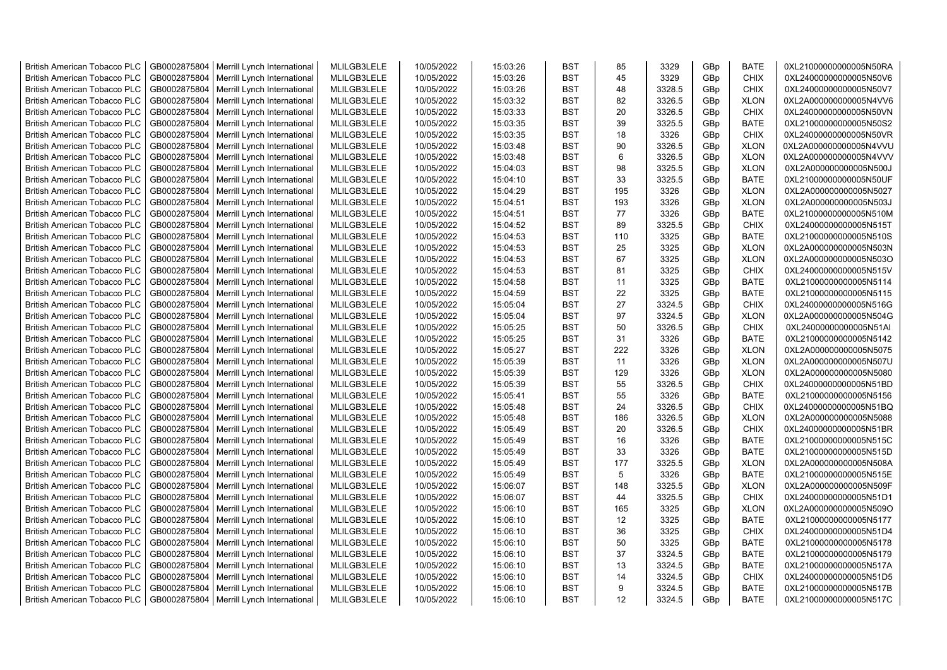| <b>British American Tobacco PLC</b> | GB0002875804 | Merrill Lynch International                | MLILGB3LELE | 10/05/2022 | 15:03:26 | <b>BST</b> | 85  | 3329   | GBp | <b>BATE</b> | 0XL21000000000005N50RA |
|-------------------------------------|--------------|--------------------------------------------|-------------|------------|----------|------------|-----|--------|-----|-------------|------------------------|
| <b>British American Tobacco PLC</b> | GB0002875804 | Merrill Lynch International                | MLILGB3LELE | 10/05/2022 | 15:03:26 | <b>BST</b> | 45  | 3329   | GBp | <b>CHIX</b> | 0XL24000000000005N50V6 |
| <b>British American Tobacco PLC</b> | GB0002875804 | Merrill Lynch International                | MLILGB3LELE | 10/05/2022 | 15:03:26 | <b>BST</b> | 48  | 3328.5 | GBp | <b>CHIX</b> | 0XL24000000000005N50V7 |
| <b>British American Tobacco PLC</b> | GB0002875804 | Merrill Lynch International                | MLILGB3LELE | 10/05/2022 | 15:03:32 | <b>BST</b> | 82  | 3326.5 | GBp | <b>XLON</b> | 0XL2A000000000005N4VV6 |
| <b>British American Tobacco PLC</b> | GB0002875804 | Merrill Lynch International                | MLILGB3LELE | 10/05/2022 | 15:03:33 | <b>BST</b> | 20  | 3326.5 | GBp | <b>CHIX</b> | 0XL24000000000005N50VN |
| <b>British American Tobacco PLC</b> | GB0002875804 | Merrill Lynch International                | MLILGB3LELE | 10/05/2022 | 15:03:35 | <b>BST</b> | 39  | 3325.5 | GBp | <b>BATE</b> | 0XL21000000000005N50S2 |
| <b>British American Tobacco PLC</b> | GB0002875804 | Merrill Lynch International                | MLILGB3LELE | 10/05/2022 | 15:03:35 | <b>BST</b> | 18  | 3326   | GBp | <b>CHIX</b> | 0XL24000000000005N50VR |
| <b>British American Tobacco PLC</b> | GB0002875804 | Merrill Lynch International                | MLILGB3LELE | 10/05/2022 | 15:03:48 | <b>BST</b> | 90  | 3326.5 | GBp | <b>XLON</b> | 0XL2A000000000005N4VVU |
| <b>British American Tobacco PLC</b> | GB0002875804 | Merrill Lynch International                | MLILGB3LELE | 10/05/2022 | 15:03:48 | <b>BST</b> | 6   | 3326.5 | GBp | <b>XLON</b> | 0XL2A000000000005N4VVV |
| <b>British American Tobacco PLC</b> | GB0002875804 | Merrill Lynch International                | MLILGB3LELE | 10/05/2022 | 15:04:03 | <b>BST</b> | 98  | 3325.5 | GBp | <b>XLON</b> | 0XL2A000000000005N500J |
| <b>British American Tobacco PLC</b> | GB0002875804 | Merrill Lynch International                | MLILGB3LELE | 10/05/2022 | 15:04:10 | <b>BST</b> | 33  | 3325.5 | GBp | <b>BATE</b> | 0XL21000000000005N50UF |
| <b>British American Tobacco PLC</b> | GB0002875804 | Merrill Lynch International                | MLILGB3LELE | 10/05/2022 | 15:04:29 | <b>BST</b> | 195 | 3326   | GBp | <b>XLON</b> | 0XL2A000000000005N5027 |
| <b>British American Tobacco PLC</b> | GB0002875804 | Merrill Lynch International                | MLILGB3LELE | 10/05/2022 | 15:04:51 | <b>BST</b> | 193 | 3326   | GBp | <b>XLON</b> | 0XL2A000000000005N503J |
| <b>British American Tobacco PLC</b> | GB0002875804 | Merrill Lynch International                | MLILGB3LELE | 10/05/2022 | 15:04:51 | <b>BST</b> | 77  | 3326   | GBp | <b>BATE</b> | 0XL21000000000005N510M |
| <b>British American Tobacco PLC</b> | GB0002875804 | Merrill Lynch International                | MLILGB3LELE | 10/05/2022 | 15:04:52 | <b>BST</b> | 89  | 3325.5 | GBp | <b>CHIX</b> | 0XL24000000000005N515T |
| <b>British American Tobacco PLC</b> | GB0002875804 | Merrill Lynch International                | MLILGB3LELE | 10/05/2022 | 15:04:53 | <b>BST</b> | 110 | 3325   | GBp | <b>BATE</b> | 0XL21000000000005N510S |
| <b>British American Tobacco PLC</b> | GB0002875804 | Merrill Lynch International                | MLILGB3LELE | 10/05/2022 | 15:04:53 | BST        | 25  | 3325   | GBp | <b>XLON</b> | 0XL2A000000000005N503N |
| <b>British American Tobacco PLC</b> | GB0002875804 | Merrill Lynch International                | MLILGB3LELE | 10/05/2022 | 15:04:53 | <b>BST</b> | 67  | 3325   | GBp | <b>XLON</b> | 0XL2A000000000005N503O |
| <b>British American Tobacco PLC</b> | GB0002875804 | Merrill Lynch International                | MLILGB3LELE | 10/05/2022 | 15:04:53 | <b>BST</b> | 81  | 3325   | GBp | <b>CHIX</b> | 0XL24000000000005N515V |
| <b>British American Tobacco PLC</b> | GB0002875804 | Merrill Lynch International                | MLILGB3LELE | 10/05/2022 | 15:04:58 | <b>BST</b> | 11  | 3325   | GBp | <b>BATE</b> | 0XL21000000000005N5114 |
| <b>British American Tobacco PLC</b> | GB0002875804 | Merrill Lynch International                | MLILGB3LELE | 10/05/2022 | 15:04:59 | <b>BST</b> | 22  | 3325   | GBp | <b>BATE</b> | 0XL21000000000005N5115 |
| <b>British American Tobacco PLC</b> | GB0002875804 | Merrill Lynch International                | MLILGB3LELE | 10/05/2022 | 15:05:04 | <b>BST</b> | 27  | 3324.5 | GBp | <b>CHIX</b> | 0XL24000000000005N516G |
| <b>British American Tobacco PLC</b> | GB0002875804 | Merrill Lynch International                | MLILGB3LELE | 10/05/2022 | 15:05:04 | <b>BST</b> | 97  | 3324.5 | GBp | <b>XLON</b> | 0XL2A000000000005N504G |
| <b>British American Tobacco PLC</b> | GB0002875804 | Merrill Lynch International                | MLILGB3LELE | 10/05/2022 | 15:05:25 | <b>BST</b> | 50  | 3326.5 | GBp | <b>CHIX</b> | 0XL24000000000005N51AI |
| <b>British American Tobacco PLC</b> | GB0002875804 | Merrill Lynch International                | MLILGB3LELE | 10/05/2022 | 15:05:25 | <b>BST</b> | 31  | 3326   | GBp | <b>BATE</b> | 0XL21000000000005N5142 |
| <b>British American Tobacco PLC</b> | GB0002875804 | Merrill Lynch International                | MLILGB3LELE | 10/05/2022 | 15:05:27 | <b>BST</b> | 222 | 3326   | GBp | <b>XLON</b> | 0XL2A000000000005N5075 |
| <b>British American Tobacco PLC</b> | GB0002875804 | Merrill Lynch International                | MLILGB3LELE | 10/05/2022 | 15:05:39 | <b>BST</b> | 11  | 3326   | GBp | <b>XLON</b> | 0XL2A000000000005N507U |
| <b>British American Tobacco PLC</b> | GB0002875804 | Merrill Lynch International                | MLILGB3LELE | 10/05/2022 | 15:05:39 | <b>BST</b> | 129 | 3326   | GBp | <b>XLON</b> | 0XL2A000000000005N5080 |
| <b>British American Tobacco PLC</b> | GB0002875804 | Merrill Lynch International                | MLILGB3LELE | 10/05/2022 | 15:05:39 | <b>BST</b> | 55  | 3326.5 | GBp | <b>CHIX</b> | 0XL24000000000005N51BD |
| <b>British American Tobacco PLC</b> | GB0002875804 | Merrill Lynch International                | MLILGB3LELE | 10/05/2022 | 15:05:41 | <b>BST</b> | 55  | 3326   | GBp | <b>BATE</b> | 0XL21000000000005N5156 |
| <b>British American Tobacco PLC</b> | GB0002875804 | Merrill Lynch International                | MLILGB3LELE | 10/05/2022 | 15:05:48 | <b>BST</b> | 24  | 3326.5 | GBp | <b>CHIX</b> | 0XL24000000000005N51BQ |
| <b>British American Tobacco PLC</b> | GB0002875804 | Merrill Lynch International                | MLILGB3LELE | 10/05/2022 | 15:05:48 | <b>BST</b> | 186 | 3326.5 | GBp | <b>XLON</b> | 0XL2A000000000005N5088 |
| <b>British American Tobacco PLC</b> | GB0002875804 | Merrill Lynch International                | MLILGB3LELE | 10/05/2022 | 15:05:49 | <b>BST</b> | 20  | 3326.5 | GBp | <b>CHIX</b> | 0XL24000000000005N51BR |
| <b>British American Tobacco PLC</b> | GB0002875804 | Merrill Lynch International                | MLILGB3LELE | 10/05/2022 | 15:05:49 | <b>BST</b> | 16  | 3326   | GBp | <b>BATE</b> | 0XL21000000000005N515C |
| <b>British American Tobacco PLC</b> | GB0002875804 | Merrill Lynch International                | MLILGB3LELE | 10/05/2022 | 15:05:49 | <b>BST</b> | 33  | 3326   | GBp | <b>BATE</b> | 0XL21000000000005N515D |
| <b>British American Tobacco PLC</b> | GB0002875804 | Merrill Lynch International                | MLILGB3LELE | 10/05/2022 | 15:05:49 | <b>BST</b> | 177 | 3325.5 | GBp | <b>XLON</b> | 0XL2A000000000005N508A |
| <b>British American Tobacco PLC</b> | GB0002875804 | Merrill Lynch International                | MLILGB3LELE | 10/05/2022 | 15:05:49 | <b>BST</b> | 5   | 3326   | GBp | <b>BATE</b> | 0XL21000000000005N515E |
| <b>British American Tobacco PLC</b> | GB0002875804 | Merrill Lynch International                | MLILGB3LELE | 10/05/2022 | 15:06:07 | <b>BST</b> | 148 | 3325.5 | GBp | <b>XLON</b> | 0XL2A000000000005N509F |
| <b>British American Tobacco PLC</b> | GB0002875804 | Merrill Lynch International                | MLILGB3LELE | 10/05/2022 | 15:06:07 | <b>BST</b> | 44  | 3325.5 | GBp | <b>CHIX</b> | 0XL24000000000005N51D1 |
| <b>British American Tobacco PLC</b> | GB0002875804 | Merrill Lynch International                | MLILGB3LELE | 10/05/2022 | 15:06:10 | <b>BST</b> | 165 | 3325   | GBp | <b>XLON</b> | 0XL2A000000000005N509O |
| <b>British American Tobacco PLC</b> | GB0002875804 | Merrill Lynch International                | MLILGB3LELE | 10/05/2022 | 15:06:10 | <b>BST</b> | 12  | 3325   | GBp | <b>BATE</b> | 0XL21000000000005N5177 |
| <b>British American Tobacco PLC</b> | GB0002875804 | Merrill Lynch International                | MLILGB3LELE | 10/05/2022 | 15:06:10 | <b>BST</b> | 36  | 3325   | GBp | <b>CHIX</b> | 0XL24000000000005N51D4 |
| <b>British American Tobacco PLC</b> | GB0002875804 | Merrill Lynch International                | MLILGB3LELE | 10/05/2022 | 15:06:10 | <b>BST</b> | 50  | 3325   | GBp | <b>BATE</b> | 0XL21000000000005N5178 |
| <b>British American Tobacco PLC</b> | GB0002875804 | Merrill Lynch International                | MLILGB3LELE | 10/05/2022 | 15:06:10 | <b>BST</b> | 37  | 3324.5 | GBp | <b>BATE</b> | 0XL21000000000005N5179 |
| <b>British American Tobacco PLC</b> | GB0002875804 | Merrill Lynch International                | MLILGB3LELE | 10/05/2022 | 15:06:10 | <b>BST</b> | 13  | 3324.5 | GBp | <b>BATE</b> | 0XL21000000000005N517A |
| <b>British American Tobacco PLC</b> | GB0002875804 | Merrill Lynch International                | MLILGB3LELE | 10/05/2022 | 15:06:10 | <b>BST</b> | 14  | 3324.5 | GBp | <b>CHIX</b> | 0XL24000000000005N51D5 |
| <b>British American Tobacco PLC</b> | GB0002875804 | Merrill Lynch International                | MLILGB3LELE | 10/05/2022 | 15:06:10 | <b>BST</b> | 9   | 3324.5 | GBp | <b>BATE</b> | 0XL21000000000005N517B |
| <b>British American Tobacco PLC</b> |              | GB0002875804   Merrill Lynch International | MLILGB3LELE | 10/05/2022 | 15:06:10 | <b>BST</b> | 12  | 3324.5 | GBp | <b>BATE</b> | 0XL21000000000005N517C |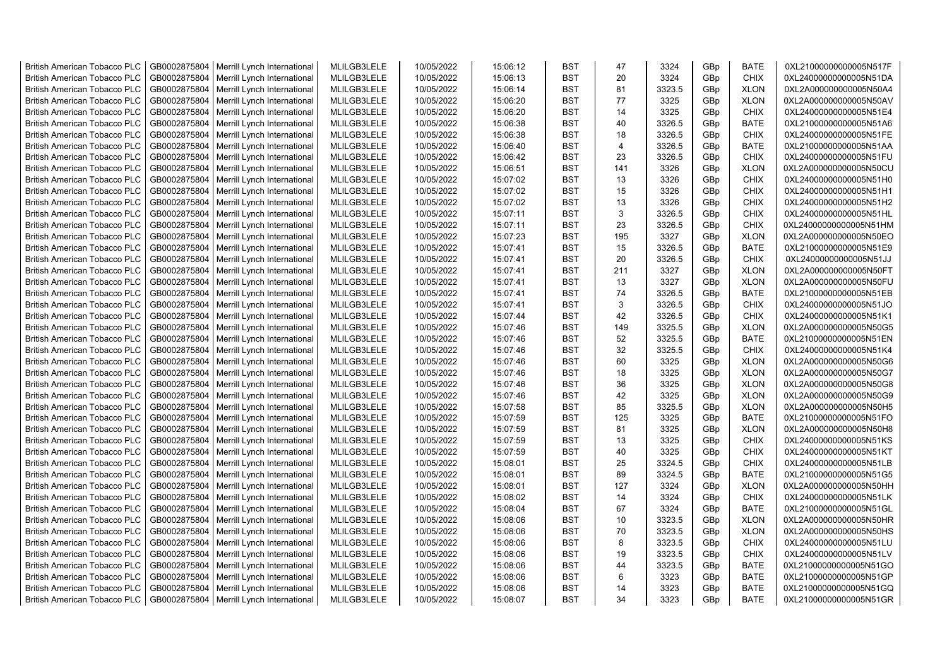| <b>British American Tobacco PLC</b> | GB0002875804 | Merrill Lynch International | MLILGB3LELE | 10/05/2022 | 15:06:12 | <b>BST</b> | 47             | 3324   | GBp | <b>BATE</b> | 0XL21000000000005N517F |
|-------------------------------------|--------------|-----------------------------|-------------|------------|----------|------------|----------------|--------|-----|-------------|------------------------|
| <b>British American Tobacco PLC</b> | GB0002875804 | Merrill Lynch International | MLILGB3LELE | 10/05/2022 | 15:06:13 | <b>BST</b> | 20             | 3324   | GBp | <b>CHIX</b> | 0XL24000000000005N51DA |
| <b>British American Tobacco PLC</b> | GB0002875804 | Merrill Lynch International | MLILGB3LELE | 10/05/2022 | 15:06:14 | <b>BST</b> | 81             | 3323.5 | GBp | <b>XLON</b> | 0XL2A000000000005N50A4 |
| <b>British American Tobacco PLC</b> | GB0002875804 | Merrill Lynch International | MLILGB3LELE | 10/05/2022 | 15:06:20 | <b>BST</b> | 77             | 3325   | GBp | <b>XLON</b> | 0XL2A000000000005N50AV |
| <b>British American Tobacco PLC</b> | GB0002875804 | Merrill Lynch International | MLILGB3LELE | 10/05/2022 | 15:06:20 | <b>BST</b> | 14             | 3325   | GBp | <b>CHIX</b> | 0XL24000000000005N51E4 |
| <b>British American Tobacco PLC</b> | GB0002875804 | Merrill Lynch International | MLILGB3LELE | 10/05/2022 | 15:06:38 | <b>BST</b> | 40             | 3326.5 | GBp | <b>BATE</b> | 0XL21000000000005N51A6 |
| <b>British American Tobacco PLC</b> | GB0002875804 | Merrill Lynch International | MLILGB3LELE | 10/05/2022 | 15:06:38 | BST        | 18             | 3326.5 | GBp | <b>CHIX</b> | 0XL24000000000005N51FE |
| <b>British American Tobacco PLC</b> | GB0002875804 | Merrill Lynch International | MLILGB3LELE | 10/05/2022 | 15:06:40 | <b>BST</b> | $\overline{4}$ | 3326.5 | GBp | <b>BATE</b> | 0XL21000000000005N51AA |
| <b>British American Tobacco PLC</b> | GB0002875804 | Merrill Lynch International | MLILGB3LELE | 10/05/2022 | 15:06:42 | <b>BST</b> | 23             | 3326.5 | GBp | <b>CHIX</b> | 0XL24000000000005N51FU |
| <b>British American Tobacco PLC</b> | GB0002875804 | Merrill Lynch International | MLILGB3LELE | 10/05/2022 | 15:06:51 | <b>BST</b> | 141            | 3326   | GBp | <b>XLON</b> | 0XL2A000000000005N50CU |
| <b>British American Tobacco PLC</b> | GB0002875804 | Merrill Lynch International | MLILGB3LELE | 10/05/2022 | 15:07:02 | <b>BST</b> | 13             | 3326   | GBp | <b>CHIX</b> | 0XL24000000000005N51H0 |
| <b>British American Tobacco PLC</b> | GB0002875804 | Merrill Lynch International | MLILGB3LELE | 10/05/2022 | 15:07:02 | <b>BST</b> | 15             | 3326   | GBp | <b>CHIX</b> | 0XL24000000000005N51H1 |
| <b>British American Tobacco PLC</b> | GB0002875804 | Merrill Lynch International | MLILGB3LELE | 10/05/2022 | 15:07:02 | <b>BST</b> | 13             | 3326   | GBp | <b>CHIX</b> | 0XL24000000000005N51H2 |
| <b>British American Tobacco PLC</b> | GB0002875804 | Merrill Lynch International | MLILGB3LELE | 10/05/2022 | 15:07:11 | <b>BST</b> | 3              | 3326.5 | GBp | <b>CHIX</b> | 0XL24000000000005N51HL |
| <b>British American Tobacco PLC</b> | GB0002875804 | Merrill Lynch International | MLILGB3LELE | 10/05/2022 | 15:07:11 | <b>BST</b> | 23             | 3326.5 | GBp | <b>CHIX</b> | 0XL24000000000005N51HM |
| <b>British American Tobacco PLC</b> | GB0002875804 | Merrill Lynch International | MLILGB3LELE | 10/05/2022 | 15:07:23 | <b>BST</b> | 195            | 3327   | GBp | <b>XLON</b> | 0XL2A000000000005N50EO |
| <b>British American Tobacco PLC</b> | GB0002875804 | Merrill Lynch International | MLILGB3LELE | 10/05/2022 | 15:07:41 | <b>BST</b> | 15             | 3326.5 | GBp | <b>BATE</b> | 0XL21000000000005N51E9 |
| <b>British American Tobacco PLC</b> | GB0002875804 | Merrill Lynch International | MLILGB3LELE | 10/05/2022 | 15:07:41 | <b>BST</b> | 20             | 3326.5 | GBp | <b>CHIX</b> | 0XL24000000000005N51JJ |
| <b>British American Tobacco PLC</b> | GB0002875804 | Merrill Lynch International | MLILGB3LELE | 10/05/2022 | 15:07:41 | <b>BST</b> | 211            | 3327   | GBp | <b>XLON</b> | 0XL2A000000000005N50FT |
| <b>British American Tobacco PLC</b> | GB0002875804 | Merrill Lynch International | MLILGB3LELE | 10/05/2022 | 15:07:41 | <b>BST</b> | 13             | 3327   | GBp | <b>XLON</b> | 0XL2A000000000005N50FU |
| <b>British American Tobacco PLC</b> | GB0002875804 | Merrill Lynch International | MLILGB3LELE | 10/05/2022 | 15:07:41 | <b>BST</b> | 74             | 3326.5 | GBp | <b>BATE</b> | 0XL21000000000005N51EB |
| <b>British American Tobacco PLC</b> | GB0002875804 | Merrill Lynch International | MLILGB3LELE | 10/05/2022 | 15:07:41 | <b>BST</b> | 3              | 3326.5 | GBp | <b>CHIX</b> | 0XL24000000000005N51JO |
| <b>British American Tobacco PLC</b> | GB0002875804 | Merrill Lynch International | MLILGB3LELE | 10/05/2022 | 15:07:44 | <b>BST</b> | 42             | 3326.5 | GBp | <b>CHIX</b> | 0XL24000000000005N51K1 |
| <b>British American Tobacco PLC</b> | GB0002875804 | Merrill Lynch International | MLILGB3LELE | 10/05/2022 | 15:07:46 | <b>BST</b> | 149            | 3325.5 | GBp | <b>XLON</b> | 0XL2A000000000005N50G5 |
| <b>British American Tobacco PLC</b> | GB0002875804 | Merrill Lynch International | MLILGB3LELE | 10/05/2022 | 15:07:46 | <b>BST</b> | 52             | 3325.5 | GBp | <b>BATE</b> | 0XL21000000000005N51EN |
| <b>British American Tobacco PLC</b> | GB0002875804 | Merrill Lynch International | MLILGB3LELE | 10/05/2022 | 15:07:46 | <b>BST</b> | 32             | 3325.5 | GBp | <b>CHIX</b> | 0XL24000000000005N51K4 |
| <b>British American Tobacco PLC</b> | GB0002875804 | Merrill Lynch International | MLILGB3LELE | 10/05/2022 | 15:07:46 | <b>BST</b> | 60             | 3325   | GBp | <b>XLON</b> | 0XL2A000000000005N50G6 |
| British American Tobacco PLC        | GB0002875804 | Merrill Lynch International | MLILGB3LELE | 10/05/2022 | 15:07:46 | <b>BST</b> | 18             | 3325   | GBp | <b>XLON</b> | 0XL2A000000000005N50G7 |
| <b>British American Tobacco PLC</b> | GB0002875804 | Merrill Lynch International | MLILGB3LELE | 10/05/2022 | 15:07:46 | <b>BST</b> | 36             | 3325   | GBp | <b>XLON</b> | 0XL2A000000000005N50G8 |
| <b>British American Tobacco PLC</b> | GB0002875804 | Merrill Lynch International | MLILGB3LELE | 10/05/2022 | 15:07:46 | <b>BST</b> | 42             | 3325   | GBp | <b>XLON</b> | 0XL2A000000000005N50G9 |
| <b>British American Tobacco PLC</b> | GB0002875804 | Merrill Lynch International | MLILGB3LELE | 10/05/2022 | 15:07:58 | <b>BST</b> | 85             | 3325.5 | GBp | <b>XLON</b> | 0XL2A000000000005N50H5 |
| <b>British American Tobacco PLC</b> | GB0002875804 | Merrill Lynch International | MLILGB3LELE | 10/05/2022 | 15:07:59 | <b>BST</b> | 125            | 3325   | GBp | <b>BATE</b> | 0XL21000000000005N51FO |
| <b>British American Tobacco PLC</b> | GB0002875804 | Merrill Lynch International | MLILGB3LELE | 10/05/2022 | 15:07:59 | <b>BST</b> | 81             | 3325   | GBp | <b>XLON</b> | 0XL2A000000000005N50H8 |
| <b>British American Tobacco PLC</b> | GB0002875804 | Merrill Lynch International | MLILGB3LELE | 10/05/2022 | 15:07:59 | <b>BST</b> | 13             | 3325   | GBp | <b>CHIX</b> | 0XL24000000000005N51KS |
| <b>British American Tobacco PLC</b> | GB0002875804 | Merrill Lynch International | MLILGB3LELE | 10/05/2022 | 15:07:59 | <b>BST</b> | 40             | 3325   | GBp | <b>CHIX</b> | 0XL24000000000005N51KT |
| <b>British American Tobacco PLC</b> | GB0002875804 | Merrill Lynch International | MLILGB3LELE | 10/05/2022 | 15:08:01 | <b>BST</b> | 25             | 3324.5 | GBp | <b>CHIX</b> | 0XL24000000000005N51LB |
| <b>British American Tobacco PLC</b> | GB0002875804 | Merrill Lynch International | MLILGB3LELE | 10/05/2022 | 15:08:01 | <b>BST</b> | 89             | 3324.5 | GBp | <b>BATE</b> | 0XL21000000000005N51G5 |
| <b>British American Tobacco PLC</b> | GB0002875804 | Merrill Lynch International | MLILGB3LELE | 10/05/2022 | 15:08:01 | <b>BST</b> | 127            | 3324   | GBp | <b>XLON</b> | 0XL2A000000000005N50HH |
| <b>British American Tobacco PLC</b> | GB0002875804 | Merrill Lynch International | MLILGB3LELE | 10/05/2022 | 15:08:02 | <b>BST</b> | 14             | 3324   | GBp | <b>CHIX</b> | 0XL24000000000005N51LK |
| <b>British American Tobacco PLC</b> | GB0002875804 | Merrill Lynch International | MLILGB3LELE | 10/05/2022 | 15:08:04 | <b>BST</b> | 67             | 3324   | GBp | <b>BATE</b> | 0XL21000000000005N51GL |
| <b>British American Tobacco PLC</b> | GB0002875804 | Merrill Lynch International | MLILGB3LELE | 10/05/2022 | 15:08:06 | <b>BST</b> | 10             | 3323.5 | GBp | <b>XLON</b> | 0XL2A000000000005N50HR |
| <b>British American Tobacco PLC</b> | GB0002875804 | Merrill Lynch International | MLILGB3LELE | 10/05/2022 | 15:08:06 | <b>BST</b> | 70             | 3323.5 | GBp | <b>XLON</b> | 0XL2A000000000005N50HS |
| <b>British American Tobacco PLC</b> | GB0002875804 | Merrill Lynch International | MLILGB3LELE | 10/05/2022 | 15:08:06 | <b>BST</b> | 8              | 3323.5 | GBp | <b>CHIX</b> | 0XL24000000000005N51LU |
| <b>British American Tobacco PLC</b> | GB0002875804 | Merrill Lynch International | MLILGB3LELE | 10/05/2022 | 15:08:06 | <b>BST</b> | 19             | 3323.5 | GBp | <b>CHIX</b> | 0XL24000000000005N51LV |
| British American Tobacco PLC        | GB0002875804 | Merrill Lynch International | MLILGB3LELE | 10/05/2022 | 15:08:06 | <b>BST</b> | 44             | 3323.5 | GBp | BATE        | 0XL21000000000005N51GO |
| <b>British American Tobacco PLC</b> | GB0002875804 | Merrill Lynch International | MLILGB3LELE | 10/05/2022 | 15:08:06 | <b>BST</b> | 6              | 3323   | GBp | <b>BATE</b> | 0XL21000000000005N51GP |
| <b>British American Tobacco PLC</b> | GB0002875804 | Merrill Lynch International | MLILGB3LELE | 10/05/2022 | 15:08:06 | <b>BST</b> | 14             | 3323   | GBp | <b>BATE</b> | 0XL21000000000005N51GQ |
| <b>British American Tobacco PLC</b> | GB0002875804 | Merrill Lynch International | MLILGB3LELE | 10/05/2022 | 15:08:07 | <b>BST</b> | 34             | 3323   | GBp | <b>BATE</b> | 0XL21000000000005N51GR |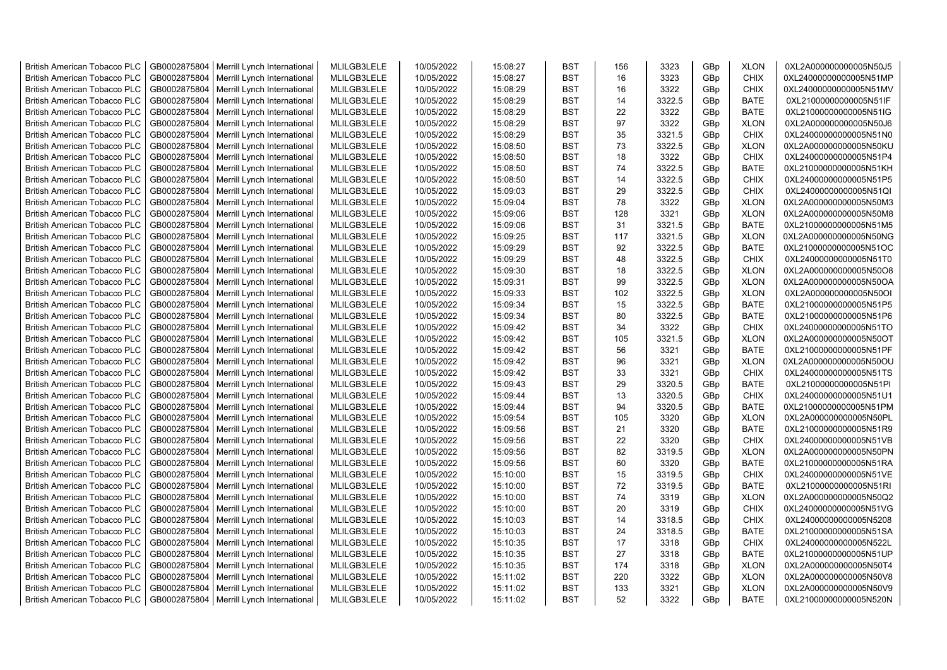| <b>British American Tobacco PLC</b> | GB0002875804 | Merrill Lynch International                | MLILGB3LELE | 10/05/2022 | 15:08:27 | <b>BST</b> | 156 | 3323   | GBp | <b>XLON</b> | 0XL2A000000000005N50J5 |
|-------------------------------------|--------------|--------------------------------------------|-------------|------------|----------|------------|-----|--------|-----|-------------|------------------------|
| <b>British American Tobacco PLC</b> | GB0002875804 | Merrill Lynch International                | MLILGB3LELE | 10/05/2022 | 15:08:27 | <b>BST</b> | 16  | 3323   | GBp | <b>CHIX</b> | 0XL24000000000005N51MP |
| <b>British American Tobacco PLC</b> | GB0002875804 | Merrill Lynch International                | MLILGB3LELE | 10/05/2022 | 15:08:29 | <b>BST</b> | 16  | 3322   | GBp | <b>CHIX</b> | 0XL24000000000005N51MV |
| <b>British American Tobacco PLC</b> | GB0002875804 | Merrill Lynch International                | MLILGB3LELE | 10/05/2022 | 15:08:29 | <b>BST</b> | 14  | 3322.5 | GBp | <b>BATE</b> | 0XL21000000000005N51IF |
| <b>British American Tobacco PLC</b> | GB0002875804 | Merrill Lynch International                | MLILGB3LELE | 10/05/2022 | 15:08:29 | <b>BST</b> | 22  | 3322   | GBp | <b>BATE</b> | 0XL21000000000005N51IG |
| <b>British American Tobacco PLC</b> | GB0002875804 | Merrill Lynch International                | MLILGB3LELE | 10/05/2022 | 15:08:29 | <b>BST</b> | 97  | 3322   | GBp | <b>XLON</b> | 0XL2A000000000005N50J6 |
| <b>British American Tobacco PLC</b> | GB0002875804 | Merrill Lynch International                | MLILGB3LELE | 10/05/2022 | 15:08:29 | <b>BST</b> | 35  | 3321.5 | GBp | <b>CHIX</b> | 0XL24000000000005N51N0 |
| <b>British American Tobacco PLC</b> | GB0002875804 | Merrill Lynch International                | MLILGB3LELE | 10/05/2022 | 15:08:50 | <b>BST</b> | 73  | 3322.5 | GBp | <b>XLON</b> | 0XL2A000000000005N50KU |
| <b>British American Tobacco PLC</b> | GB0002875804 | Merrill Lynch International                | MLILGB3LELE | 10/05/2022 | 15:08:50 | <b>BST</b> | 18  | 3322   | GBp | <b>CHIX</b> | 0XL24000000000005N51P4 |
| <b>British American Tobacco PLC</b> | GB0002875804 | Merrill Lynch International                | MLILGB3LELE | 10/05/2022 | 15:08:50 | <b>BST</b> | 74  | 3322.5 | GBp | <b>BATE</b> | 0XL21000000000005N51KH |
| <b>British American Tobacco PLC</b> | GB0002875804 | Merrill Lynch International                | MLILGB3LELE | 10/05/2022 | 15:08:50 | <b>BST</b> | 14  | 3322.5 | GBp | <b>CHIX</b> | 0XL24000000000005N51P5 |
| <b>British American Tobacco PLC</b> | GB0002875804 | Merrill Lynch International                | MLILGB3LELE | 10/05/2022 | 15:09:03 | <b>BST</b> | 29  | 3322.5 | GBp | <b>CHIX</b> | 0XL24000000000005N51QI |
| <b>British American Tobacco PLC</b> | GB0002875804 | Merrill Lynch International                | MLILGB3LELE | 10/05/2022 | 15:09:04 | <b>BST</b> | 78  | 3322   | GBp | <b>XLON</b> | 0XL2A000000000005N50M3 |
| <b>British American Tobacco PLC</b> | GB0002875804 | Merrill Lynch International                | MLILGB3LELE | 10/05/2022 | 15:09:06 | <b>BST</b> | 128 | 3321   | GBp | <b>XLON</b> | 0XL2A000000000005N50M8 |
| <b>British American Tobacco PLC</b> | GB0002875804 | Merrill Lynch International                | MLILGB3LELE | 10/05/2022 | 15:09:06 | <b>BST</b> | 31  | 3321.5 | GBp | <b>BATE</b> | 0XL21000000000005N51M5 |
| <b>British American Tobacco PLC</b> | GB0002875804 | Merrill Lynch International                | MLILGB3LELE | 10/05/2022 | 15:09:25 | <b>BST</b> | 117 | 3321.5 | GBp | <b>XLON</b> | 0XL2A000000000005N50NG |
| <b>British American Tobacco PLC</b> | GB0002875804 | Merrill Lynch International                | MLILGB3LELE | 10/05/2022 | 15:09:29 | <b>BST</b> | 92  | 3322.5 | GBp | <b>BATE</b> | 0XL21000000000005N51OC |
| <b>British American Tobacco PLC</b> | GB0002875804 | Merrill Lynch International                | MLILGB3LELE | 10/05/2022 | 15:09:29 | <b>BST</b> | 48  | 3322.5 | GBp | <b>CHIX</b> | 0XL24000000000005N51T0 |
| <b>British American Tobacco PLC</b> | GB0002875804 | Merrill Lynch International                | MLILGB3LELE | 10/05/2022 | 15:09:30 | <b>BST</b> | 18  | 3322.5 | GBp | <b>XLON</b> | 0XL2A000000000005N50O8 |
| <b>British American Tobacco PLC</b> | GB0002875804 | Merrill Lynch International                | MLILGB3LELE | 10/05/2022 | 15:09:31 | <b>BST</b> | 99  | 3322.5 | GBp | <b>XLON</b> | 0XL2A000000000005N50OA |
| <b>British American Tobacco PLC</b> | GB0002875804 | Merrill Lynch International                | MLILGB3LELE | 10/05/2022 | 15:09:33 | <b>BST</b> | 102 | 3322.5 | GBp | <b>XLON</b> | 0XL2A000000000005N50OI |
| <b>British American Tobacco PLC</b> | GB0002875804 | Merrill Lynch International                | MLILGB3LELE | 10/05/2022 | 15:09:34 | <b>BST</b> | 15  | 3322.5 | GBp | <b>BATE</b> | 0XL21000000000005N51P5 |
| <b>British American Tobacco PLC</b> | GB0002875804 | Merrill Lynch International                | MLILGB3LELE | 10/05/2022 | 15:09:34 | <b>BST</b> | 80  | 3322.5 | GBp | <b>BATE</b> | 0XL21000000000005N51P6 |
| <b>British American Tobacco PLC</b> | GB0002875804 | Merrill Lynch International                | MLILGB3LELE | 10/05/2022 | 15:09:42 | <b>BST</b> | 34  | 3322   | GBp | CHIX        | 0XL24000000000005N51TO |
| <b>British American Tobacco PLC</b> | GB0002875804 | Merrill Lynch International                | MLILGB3LELE | 10/05/2022 | 15:09:42 | <b>BST</b> | 105 | 3321.5 | GBp | <b>XLON</b> | 0XL2A000000000005N50OT |
| <b>British American Tobacco PLC</b> | GB0002875804 | Merrill Lynch International                | MLILGB3LELE | 10/05/2022 | 15:09:42 | <b>BST</b> | 56  | 3321   | GBp | <b>BATE</b> | 0XL21000000000005N51PF |
| <b>British American Tobacco PLC</b> | GB0002875804 | Merrill Lynch International                | MLILGB3LELE | 10/05/2022 | 15:09:42 | <b>BST</b> | 96  | 3321   | GBp | <b>XLON</b> | 0XL2A000000000005N50OU |
| <b>British American Tobacco PLC</b> | GB0002875804 | Merrill Lynch International                | MLILGB3LELE | 10/05/2022 | 15:09:42 | <b>BST</b> | 33  | 3321   | GBp | <b>CHIX</b> | 0XL24000000000005N51TS |
| <b>British American Tobacco PLC</b> | GB0002875804 | Merrill Lynch International                | MLILGB3LELE | 10/05/2022 | 15:09:43 | <b>BST</b> | 29  | 3320.5 | GBp | <b>BATE</b> | 0XL21000000000005N51PI |
| <b>British American Tobacco PLC</b> | GB0002875804 | Merrill Lynch International                | MLILGB3LELE | 10/05/2022 | 15:09:44 | <b>BST</b> | 13  | 3320.5 | GBp | <b>CHIX</b> | 0XL24000000000005N51U1 |
| <b>British American Tobacco PLC</b> | GB0002875804 | Merrill Lynch International                | MLILGB3LELE | 10/05/2022 | 15:09:44 | <b>BST</b> | 94  | 3320.5 | GBp | <b>BATE</b> | 0XL21000000000005N51PM |
| <b>British American Tobacco PLC</b> | GB0002875804 | Merrill Lynch International                | MLILGB3LELE | 10/05/2022 | 15:09:54 | <b>BST</b> | 105 | 3320   | GBp | <b>XLON</b> | 0XL2A000000000005N50PL |
| <b>British American Tobacco PLC</b> | GB0002875804 | Merrill Lynch International                | MLILGB3LELE | 10/05/2022 | 15:09:56 | <b>BST</b> | 21  | 3320   | GBp | <b>BATE</b> | 0XL21000000000005N51R9 |
| <b>British American Tobacco PLC</b> | GB0002875804 | Merrill Lynch International                | MLILGB3LELE | 10/05/2022 | 15:09:56 | <b>BST</b> | 22  | 3320   | GBp | <b>CHIX</b> | 0XL24000000000005N51VB |
| <b>British American Tobacco PLC</b> | GB0002875804 | Merrill Lynch International                | MLILGB3LELE | 10/05/2022 | 15:09:56 | <b>BST</b> | 82  | 3319.5 | GBp | <b>XLON</b> | 0XL2A000000000005N50PN |
| <b>British American Tobacco PLC</b> | GB0002875804 | Merrill Lynch International                | MLILGB3LELE | 10/05/2022 | 15:09:56 | <b>BST</b> | 60  | 3320   | GBp | <b>BATE</b> | 0XL21000000000005N51RA |
| <b>British American Tobacco PLC</b> | GB0002875804 | Merrill Lynch International                | MLILGB3LELE | 10/05/2022 | 15:10:00 | <b>BST</b> | 15  | 3319.5 | GBp | <b>CHIX</b> | 0XL24000000000005N51VE |
| <b>British American Tobacco PLC</b> | GB0002875804 | Merrill Lynch International                | MLILGB3LELE | 10/05/2022 | 15:10:00 | <b>BST</b> | 72  | 3319.5 | GBp | <b>BATE</b> | 0XL21000000000005N51RI |
| <b>British American Tobacco PLC</b> | GB0002875804 | Merrill Lynch International                | MLILGB3LELE | 10/05/2022 | 15:10:00 | <b>BST</b> | 74  | 3319   | GBp | <b>XLON</b> | 0XL2A000000000005N50Q2 |
| <b>British American Tobacco PLC</b> | GB0002875804 | Merrill Lynch International                | MLILGB3LELE | 10/05/2022 | 15:10:00 | <b>BST</b> | 20  | 3319   | GBp | <b>CHIX</b> | 0XL24000000000005N51VG |
| <b>British American Tobacco PLC</b> | GB0002875804 | Merrill Lynch International                | MLILGB3LELE | 10/05/2022 | 15:10:03 | <b>BST</b> | 14  | 3318.5 | GBp | <b>CHIX</b> | 0XL24000000000005N5208 |
| <b>British American Tobacco PLC</b> | GB0002875804 | Merrill Lynch International                | MLILGB3LELE | 10/05/2022 | 15:10:03 | <b>BST</b> | 24  | 3318.5 | GBp | <b>BATE</b> | 0XL21000000000005N51SA |
| <b>British American Tobacco PLC</b> | GB0002875804 | Merrill Lynch International                | MLILGB3LELE | 10/05/2022 | 15:10:35 | <b>BST</b> | 17  | 3318   | GBp | <b>CHIX</b> | 0XL24000000000005N522L |
| <b>British American Tobacco PLC</b> | GB0002875804 | Merrill Lynch International                | MLILGB3LELE | 10/05/2022 | 15:10:35 | <b>BST</b> | 27  | 3318   | GBp | <b>BATE</b> | 0XL21000000000005N51UP |
| <b>British American Tobacco PLC</b> | GB0002875804 | Merrill Lynch International                | MLILGB3LELE | 10/05/2022 | 15:10:35 | <b>BST</b> | 174 | 3318   | GBp | <b>XLON</b> | 0XL2A000000000005N50T4 |
| <b>British American Tobacco PLC</b> | GB0002875804 | Merrill Lynch International                | MLILGB3LELE | 10/05/2022 | 15:11:02 | <b>BST</b> | 220 | 3322   | GBp | <b>XLON</b> | 0XL2A000000000005N50V8 |
| <b>British American Tobacco PLC</b> | GB0002875804 | Merrill Lynch International                | MLILGB3LELE | 10/05/2022 | 15:11:02 | <b>BST</b> | 133 | 3321   | GBp | <b>XLON</b> | 0XL2A000000000005N50V9 |
| <b>British American Tobacco PLC</b> |              | GB0002875804   Merrill Lynch International | MLILGB3LELE | 10/05/2022 | 15:11:02 | <b>BST</b> | 52  | 3322   | GBp | <b>BATE</b> | 0XL21000000000005N520N |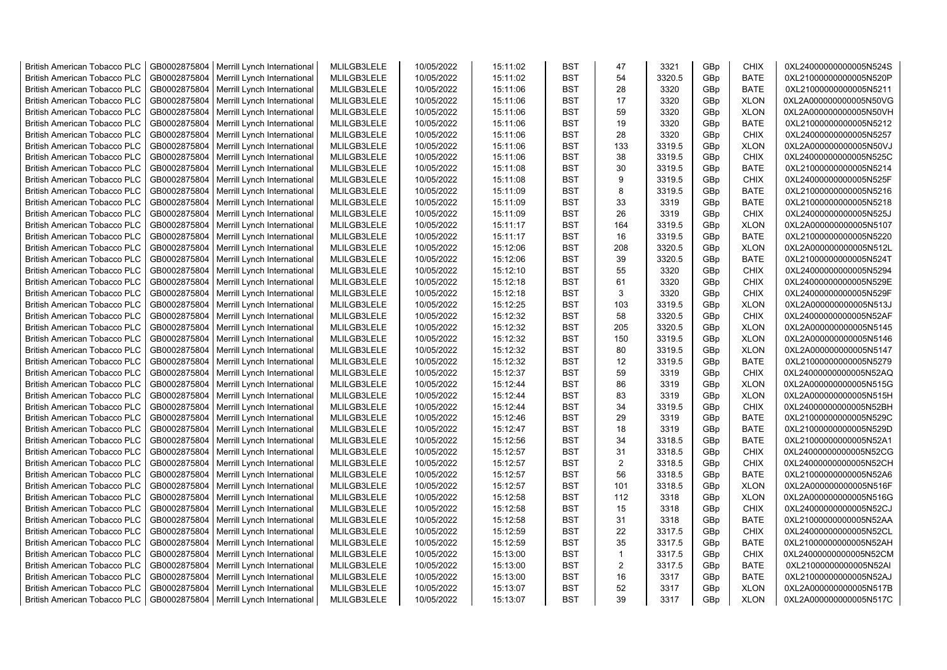| <b>British American Tobacco PLC</b> | GB0002875804 | Merrill Lynch International                | MLILGB3LELE | 10/05/2022 | 15:11:02 | <b>BST</b> | 47             | 3321   | GBp | <b>CHIX</b> | 0XL24000000000005N524S |
|-------------------------------------|--------------|--------------------------------------------|-------------|------------|----------|------------|----------------|--------|-----|-------------|------------------------|
| <b>British American Tobacco PLC</b> | GB0002875804 | Merrill Lynch International                | MLILGB3LELE | 10/05/2022 | 15:11:02 | <b>BST</b> | 54             | 3320.5 | GBp | <b>BATE</b> | 0XL21000000000005N520P |
| <b>British American Tobacco PLC</b> | GB0002875804 | Merrill Lynch International                | MLILGB3LELE | 10/05/2022 | 15:11:06 | <b>BST</b> | 28             | 3320   | GBp | <b>BATE</b> | 0XL21000000000005N5211 |
| <b>British American Tobacco PLC</b> | GB0002875804 | Merrill Lynch International                | MLILGB3LELE | 10/05/2022 | 15:11:06 | <b>BST</b> | 17             | 3320   | GBp | <b>XLON</b> | 0XL2A000000000005N50VG |
| <b>British American Tobacco PLC</b> | GB0002875804 | Merrill Lynch International                | MLILGB3LELE | 10/05/2022 | 15:11:06 | <b>BST</b> | 59             | 3320   | GBp | <b>XLON</b> | 0XL2A000000000005N50VH |
| <b>British American Tobacco PLC</b> | GB0002875804 | Merrill Lynch International                | MLILGB3LELE | 10/05/2022 | 15:11:06 | <b>BST</b> | 19             | 3320   | GBp | <b>BATE</b> | 0XL21000000000005N5212 |
| <b>British American Tobacco PLC</b> | GB0002875804 | Merrill Lynch International                | MLILGB3LELE | 10/05/2022 | 15:11:06 | <b>BST</b> | 28             | 3320   | GBp | <b>CHIX</b> | 0XL24000000000005N5257 |
| <b>British American Tobacco PLC</b> | GB0002875804 | Merrill Lynch International                | MLILGB3LELE | 10/05/2022 | 15:11:06 | <b>BST</b> | 133            | 3319.5 | GBp | <b>XLON</b> | 0XL2A000000000005N50VJ |
| <b>British American Tobacco PLC</b> | GB0002875804 | Merrill Lynch International                | MLILGB3LELE | 10/05/2022 | 15:11:06 | <b>BST</b> | 38             | 3319.5 | GBp | <b>CHIX</b> | 0XL24000000000005N525C |
| <b>British American Tobacco PLC</b> | GB0002875804 | Merrill Lynch International                | MLILGB3LELE | 10/05/2022 | 15:11:08 | <b>BST</b> | 30             | 3319.5 | GBp | <b>BATE</b> | 0XL21000000000005N5214 |
| <b>British American Tobacco PLC</b> | GB0002875804 | Merrill Lynch International                | MLILGB3LELE | 10/05/2022 | 15:11:08 | <b>BST</b> | 9              | 3319.5 | GBp | <b>CHIX</b> | 0XL24000000000005N525F |
| <b>British American Tobacco PLC</b> | GB0002875804 | Merrill Lynch International                | MLILGB3LELE | 10/05/2022 | 15:11:09 | <b>BST</b> | 8              | 3319.5 | GBp | <b>BATE</b> | 0XL21000000000005N5216 |
| British American Tobacco PLC        | GB0002875804 | Merrill Lynch International                | MLILGB3LELE | 10/05/2022 | 15:11:09 | <b>BST</b> | 33             | 3319   | GBp | <b>BATE</b> | 0XL21000000000005N5218 |
|                                     | GB0002875804 |                                            | MLILGB3LELE | 10/05/2022 | 15:11:09 | <b>BST</b> | 26             | 3319   | GBp | <b>CHIX</b> | 0XL24000000000005N525J |
| <b>British American Tobacco PLC</b> |              | Merrill Lynch International                |             |            |          |            |                |        |     |             |                        |
| <b>British American Tobacco PLC</b> | GB0002875804 | Merrill Lynch International                | MLILGB3LELE | 10/05/2022 | 15:11:17 | <b>BST</b> | 164            | 3319.5 | GBp | <b>XLON</b> | 0XL2A000000000005N5107 |
| <b>British American Tobacco PLC</b> | GB0002875804 | Merrill Lynch International                | MLILGB3LELE | 10/05/2022 | 15:11:17 | <b>BST</b> | 16             | 3319.5 | GBp | <b>BATE</b> | 0XL21000000000005N5220 |
| <b>British American Tobacco PLC</b> | GB0002875804 | Merrill Lynch International                | MLILGB3LELE | 10/05/2022 | 15:12:06 | <b>BST</b> | 208            | 3320.5 | GBp | <b>XLON</b> | 0XL2A000000000005N512L |
| <b>British American Tobacco PLC</b> | GB0002875804 | Merrill Lynch International                | MLILGB3LELE | 10/05/2022 | 15:12:06 | <b>BST</b> | 39             | 3320.5 | GBp | <b>BATE</b> | 0XL21000000000005N524T |
| <b>British American Tobacco PLC</b> | GB0002875804 | Merrill Lynch International                | MLILGB3LELE | 10/05/2022 | 15:12:10 | <b>BST</b> | 55             | 3320   | GBp | <b>CHIX</b> | 0XL24000000000005N5294 |
| <b>British American Tobacco PLC</b> | GB0002875804 | Merrill Lynch International                | MLILGB3LELE | 10/05/2022 | 15:12:18 | <b>BST</b> | 61             | 3320   | GBp | <b>CHIX</b> | 0XL24000000000005N529E |
| <b>British American Tobacco PLC</b> | GB0002875804 | Merrill Lynch International                | MLILGB3LELE | 10/05/2022 | 15:12:18 | <b>BST</b> | 3              | 3320   | GBp | <b>CHIX</b> | 0XL24000000000005N529F |
| <b>British American Tobacco PLC</b> | GB0002875804 | Merrill Lynch International                | MLILGB3LELE | 10/05/2022 | 15:12:25 | <b>BST</b> | 103            | 3319.5 | GBp | <b>XLON</b> | 0XL2A000000000005N513J |
| <b>British American Tobacco PLC</b> | GB0002875804 | Merrill Lynch International                | MLILGB3LELE | 10/05/2022 | 15:12:32 | <b>BST</b> | 58             | 3320.5 | GBp | <b>CHIX</b> | 0XL24000000000005N52AF |
| <b>British American Tobacco PLC</b> | GB0002875804 | Merrill Lynch International                | MLILGB3LELE | 10/05/2022 | 15:12:32 | <b>BST</b> | 205            | 3320.5 | GBp | <b>XLON</b> | 0XL2A000000000005N5145 |
| <b>British American Tobacco PLC</b> | GB0002875804 | Merrill Lynch International                | MLILGB3LELE | 10/05/2022 | 15:12:32 | <b>BST</b> | 150            | 3319.5 | GBp | <b>XLON</b> | 0XL2A000000000005N5146 |
| <b>British American Tobacco PLC</b> | GB0002875804 | Merrill Lynch International                | MLILGB3LELE | 10/05/2022 | 15:12:32 | <b>BST</b> | 80             | 3319.5 | GBp | <b>XLON</b> | 0XL2A000000000005N5147 |
| <b>British American Tobacco PLC</b> | GB0002875804 | Merrill Lynch International                | MLILGB3LELE | 10/05/2022 | 15:12:32 | <b>BST</b> | 12             | 3319.5 | GBp | <b>BATE</b> | 0XL21000000000005N5279 |
| <b>British American Tobacco PLC</b> | GB0002875804 | Merrill Lynch International                | MLILGB3LELE | 10/05/2022 | 15:12:37 | <b>BST</b> | 59             | 3319   | GBp | <b>CHIX</b> | 0XL24000000000005N52AQ |
| <b>British American Tobacco PLC</b> | GB0002875804 | Merrill Lynch International                | MLILGB3LELE | 10/05/2022 | 15:12:44 | <b>BST</b> | 86             | 3319   | GBp | <b>XLON</b> | 0XL2A000000000005N515G |
| <b>British American Tobacco PLC</b> | GB0002875804 | Merrill Lynch International                | MLILGB3LELE | 10/05/2022 | 15:12:44 | <b>BST</b> | 83             | 3319   | GBp | <b>XLON</b> | 0XL2A000000000005N515H |
| <b>British American Tobacco PLC</b> | GB0002875804 | Merrill Lynch International                | MLILGB3LELE | 10/05/2022 | 15:12:44 | <b>BST</b> | 34             | 3319.5 | GBp | <b>CHIX</b> | 0XL24000000000005N52BH |
| <b>British American Tobacco PLC</b> | GB0002875804 | Merrill Lynch International                | MLILGB3LELE | 10/05/2022 | 15:12:46 | <b>BST</b> | 29             | 3319   | GBp | <b>BATE</b> | 0XL21000000000005N529C |
| <b>British American Tobacco PLC</b> | GB0002875804 | Merrill Lynch International                | MLILGB3LELE | 10/05/2022 | 15:12:47 | <b>BST</b> | 18             | 3319   | GBp | <b>BATE</b> | 0XL21000000000005N529D |
| <b>British American Tobacco PLC</b> | GB0002875804 | Merrill Lynch International                | MLILGB3LELE | 10/05/2022 | 15:12:56 | <b>BST</b> | 34             | 3318.5 | GBp | <b>BATE</b> | 0XL21000000000005N52A1 |
| <b>British American Tobacco PLC</b> | GB0002875804 | Merrill Lynch International                | MLILGB3LELE | 10/05/2022 | 15:12:57 | <b>BST</b> | 31             | 3318.5 | GBp | <b>CHIX</b> | 0XL24000000000005N52CG |
| <b>British American Tobacco PLC</b> | GB0002875804 | Merrill Lynch International                | MLILGB3LELE | 10/05/2022 | 15:12:57 | <b>BST</b> | $\overline{2}$ | 3318.5 | GBp | <b>CHIX</b> | 0XL24000000000005N52CH |
| <b>British American Tobacco PLC</b> | GB0002875804 | Merrill Lynch International                | MLILGB3LELE | 10/05/2022 | 15:12:57 | <b>BST</b> | 56             | 3318.5 | GBp | <b>BATE</b> | 0XL21000000000005N52A6 |
| <b>British American Tobacco PLC</b> | GB0002875804 | Merrill Lynch International                | MLILGB3LELE | 10/05/2022 | 15:12:57 | <b>BST</b> | 101            | 3318.5 | GBp | <b>XLON</b> | 0XL2A000000000005N516F |
| <b>British American Tobacco PLC</b> | GB0002875804 | Merrill Lynch International                | MLILGB3LELE | 10/05/2022 | 15:12:58 | <b>BST</b> | 112            | 3318   | GBp | <b>XLON</b> | 0XL2A000000000005N516G |
| <b>British American Tobacco PLC</b> | GB0002875804 | Merrill Lynch International                | MLILGB3LELE | 10/05/2022 | 15:12:58 | <b>BST</b> | 15             | 3318   | GBp | CHIX        | 0XL24000000000005N52CJ |
| <b>British American Tobacco PLC</b> | GB0002875804 | Merrill Lynch International                | MLILGB3LELE | 10/05/2022 | 15:12:58 | <b>BST</b> | 31             | 3318   | GBp | <b>BATE</b> | 0XL21000000000005N52AA |
| <b>British American Tobacco PLC</b> | GB0002875804 | Merrill Lynch International                | MLILGB3LELE | 10/05/2022 | 15:12:59 | <b>BST</b> | 22             | 3317.5 | GBp | CHIX        | 0XL24000000000005N52CL |
| <b>British American Tobacco PLC</b> | GB0002875804 | Merrill Lynch International                | MLILGB3LELE | 10/05/2022 | 15:12:59 | <b>BST</b> | 35             | 3317.5 | GBp | <b>BATE</b> | 0XL21000000000005N52AH |
| <b>British American Tobacco PLC</b> | GB0002875804 | Merrill Lynch International                | MLILGB3LELE | 10/05/2022 | 15:13:00 | <b>BST</b> | $\mathbf{1}$   | 3317.5 | GBp | <b>CHIX</b> | 0XL24000000000005N52CM |
| <b>British American Tobacco PLC</b> | GB0002875804 | Merrill Lynch International                | MLILGB3LELE | 10/05/2022 | 15:13:00 | <b>BST</b> | $\overline{2}$ | 3317.5 | GBp | <b>BATE</b> | 0XL21000000000005N52AI |
| <b>British American Tobacco PLC</b> | GB0002875804 | Merrill Lynch International                | MLILGB3LELE | 10/05/2022 | 15:13:00 | <b>BST</b> | 16             | 3317   | GBp | <b>BATE</b> | 0XL21000000000005N52AJ |
| <b>British American Tobacco PLC</b> | GB0002875804 | Merrill Lynch International                | MLILGB3LELE | 10/05/2022 | 15:13:07 | <b>BST</b> | 52             | 3317   | GBp | <b>XLON</b> | 0XL2A000000000005N517B |
| <b>British American Tobacco PLC</b> |              | GB0002875804   Merrill Lynch International | MLILGB3LELE | 10/05/2022 | 15:13:07 | <b>BST</b> | 39             | 3317   | GBp | <b>XLON</b> | 0XL2A000000000005N517C |
|                                     |              |                                            |             |            |          |            |                |        |     |             |                        |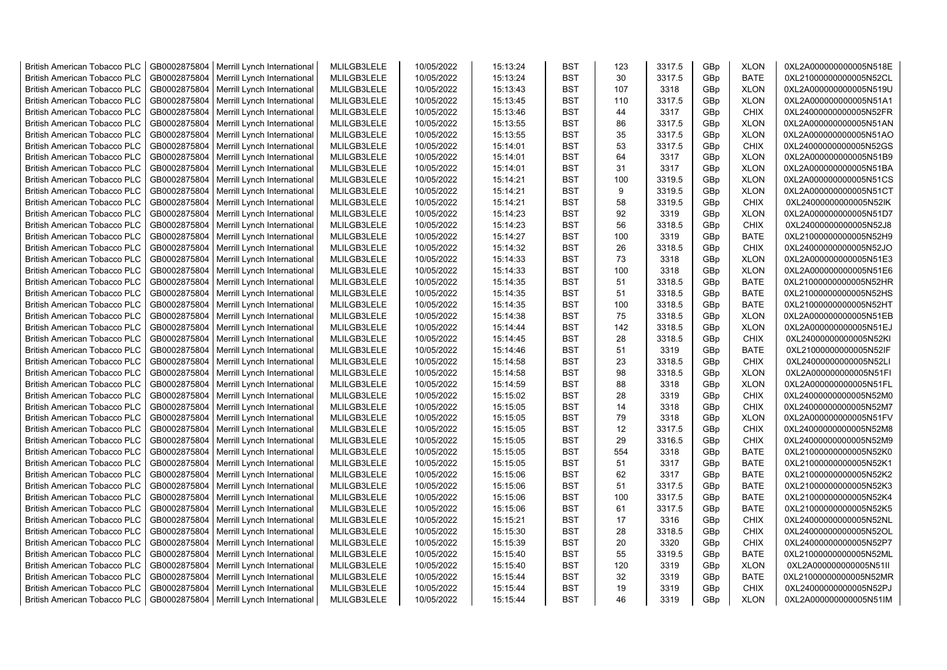| <b>British American Tobacco PLC</b> | GB0002875804 | Merrill Lynch International | MLILGB3LELE | 10/05/2022 | 15:13:24 | <b>BST</b> | 123 | 3317.5 | GBp | <b>XLON</b> | 0XL2A000000000005N518E |
|-------------------------------------|--------------|-----------------------------|-------------|------------|----------|------------|-----|--------|-----|-------------|------------------------|
| <b>British American Tobacco PLC</b> | GB0002875804 | Merrill Lynch International | MLILGB3LELE | 10/05/2022 | 15:13:24 | <b>BST</b> | 30  | 3317.5 | GBp | <b>BATE</b> | 0XL21000000000005N52CL |
| <b>British American Tobacco PLC</b> | GB0002875804 | Merrill Lynch International | MLILGB3LELE | 10/05/2022 | 15:13:43 | <b>BST</b> | 107 | 3318   | GBp | <b>XLON</b> | 0XL2A000000000005N519U |
| <b>British American Tobacco PLC</b> | GB0002875804 | Merrill Lynch International | MLILGB3LELE | 10/05/2022 | 15:13:45 | <b>BST</b> | 110 | 3317.5 | GBp | <b>XLON</b> | 0XL2A000000000005N51A1 |
| British American Tobacco PLC        | GB0002875804 | Merrill Lynch International | MLILGB3LELE | 10/05/2022 | 15:13:46 | <b>BST</b> | 44  | 3317   | GBp | <b>CHIX</b> | 0XL24000000000005N52FR |
| <b>British American Tobacco PLC</b> | GB0002875804 | Merrill Lynch International | MLILGB3LELE | 10/05/2022 | 15:13:55 | <b>BST</b> | 86  | 3317.5 | GBp | <b>XLON</b> | 0XL2A000000000005N51AN |
| <b>British American Tobacco PLC</b> | GB0002875804 | Merrill Lynch International | MLILGB3LELE | 10/05/2022 | 15:13:55 | <b>BST</b> | 35  | 3317.5 | GBp | <b>XLON</b> | 0XL2A000000000005N51AO |
| <b>British American Tobacco PLC</b> | GB0002875804 | Merrill Lynch International | MLILGB3LELE | 10/05/2022 | 15:14:01 | <b>BST</b> | 53  | 3317.5 | GBp | <b>CHIX</b> | 0XL24000000000005N52GS |
| <b>British American Tobacco PLC</b> | GB0002875804 | Merrill Lynch International | MLILGB3LELE | 10/05/2022 | 15:14:01 | <b>BST</b> | 64  | 3317   | GBp | <b>XLON</b> | 0XL2A000000000005N51B9 |
| <b>British American Tobacco PLC</b> | GB0002875804 | Merrill Lynch International | MLILGB3LELE | 10/05/2022 | 15:14:01 | <b>BST</b> | 31  | 3317   | GBp | <b>XLON</b> | 0XL2A000000000005N51BA |
| <b>British American Tobacco PLC</b> | GB0002875804 | Merrill Lynch International | MLILGB3LELE | 10/05/2022 | 15:14:21 | <b>BST</b> | 100 | 3319.5 | GBp | <b>XLON</b> | 0XL2A000000000005N51CS |
| <b>British American Tobacco PLC</b> | GB0002875804 | Merrill Lynch International | MLILGB3LELE | 10/05/2022 | 15:14:21 | <b>BST</b> | 9   | 3319.5 | GBp | <b>XLON</b> | 0XL2A000000000005N51CT |
| <b>British American Tobacco PLC</b> | GB0002875804 | Merrill Lynch International | MLILGB3LELE | 10/05/2022 | 15:14:21 | <b>BST</b> | 58  | 3319.5 | GBp | <b>CHIX</b> | 0XL24000000000005N52IK |
| <b>British American Tobacco PLC</b> | GB0002875804 | Merrill Lynch International | MLILGB3LELE | 10/05/2022 | 15:14:23 | <b>BST</b> | 92  | 3319   | GBp | <b>XLON</b> | 0XL2A000000000005N51D7 |
| <b>British American Tobacco PLC</b> | GB0002875804 | Merrill Lynch International | MLILGB3LELE | 10/05/2022 | 15:14:23 | <b>BST</b> | 56  | 3318.5 | GBp | <b>CHIX</b> | 0XL24000000000005N52J8 |
| <b>British American Tobacco PLC</b> | GB0002875804 | Merrill Lynch International | MLILGB3LELE | 10/05/2022 | 15:14:27 | <b>BST</b> | 100 | 3319   | GBp | <b>BATE</b> | 0XL21000000000005N52H9 |
| <b>British American Tobacco PLC</b> | GB0002875804 | Merrill Lynch International | MLILGB3LELE | 10/05/2022 | 15:14:32 | <b>BST</b> | 26  | 3318.5 | GBp | CHIX        | 0XL24000000000005N52JO |
| <b>British American Tobacco PLC</b> | GB0002875804 | Merrill Lynch International | MLILGB3LELE | 10/05/2022 | 15:14:33 | <b>BST</b> | 73  | 3318   | GBp | <b>XLON</b> | 0XL2A000000000005N51E3 |
| <b>British American Tobacco PLC</b> | GB0002875804 | Merrill Lynch International | MLILGB3LELE | 10/05/2022 | 15:14:33 | <b>BST</b> | 100 | 3318   | GBp | <b>XLON</b> | 0XL2A000000000005N51E6 |
| <b>British American Tobacco PLC</b> | GB0002875804 | Merrill Lynch International | MLILGB3LELE | 10/05/2022 | 15:14:35 | <b>BST</b> | 51  | 3318.5 | GBp | <b>BATE</b> | 0XL21000000000005N52HR |
| <b>British American Tobacco PLC</b> | GB0002875804 | Merrill Lynch International | MLILGB3LELE | 10/05/2022 | 15:14:35 | <b>BST</b> | 51  | 3318.5 | GBp | <b>BATE</b> | 0XL21000000000005N52HS |
| British American Tobacco PLC        | GB0002875804 | Merrill Lynch International | MLILGB3LELE | 10/05/2022 | 15:14:35 | <b>BST</b> | 100 | 3318.5 | GBp | <b>BATE</b> | 0XL21000000000005N52HT |
| British American Tobacco PLC        | GB0002875804 | Merrill Lynch International | MLILGB3LELE | 10/05/2022 | 15:14:38 | <b>BST</b> | 75  | 3318.5 | GBp | <b>XLON</b> | 0XL2A000000000005N51EB |
| <b>British American Tobacco PLC</b> | GB0002875804 | Merrill Lynch International | MLILGB3LELE | 10/05/2022 | 15:14:44 | <b>BST</b> | 142 | 3318.5 | GBp | <b>XLON</b> | 0XL2A000000000005N51EJ |
| <b>British American Tobacco PLC</b> | GB0002875804 | Merrill Lynch International | MLILGB3LELE | 10/05/2022 | 15:14:45 | <b>BST</b> | 28  | 3318.5 | GBp | <b>CHIX</b> | 0XL24000000000005N52KI |
| <b>British American Tobacco PLC</b> | GB0002875804 | Merrill Lynch International | MLILGB3LELE | 10/05/2022 | 15:14:46 | <b>BST</b> | 51  | 3319   | GBp | <b>BATE</b> | 0XL21000000000005N52IF |
| <b>British American Tobacco PLC</b> | GB0002875804 | Merrill Lynch International | MLILGB3LELE | 10/05/2022 | 15:14:58 | <b>BST</b> | 23  | 3318.5 | GBp | <b>CHIX</b> | 0XL24000000000005N52LI |
| <b>British American Tobacco PLC</b> | GB0002875804 | Merrill Lynch International | MLILGB3LELE | 10/05/2022 | 15:14:58 | <b>BST</b> | 98  | 3318.5 | GBp | <b>XLON</b> | 0XL2A000000000005N51FI |
| <b>British American Tobacco PLC</b> | GB0002875804 | Merrill Lynch International | MLILGB3LELE | 10/05/2022 | 15:14:59 | <b>BST</b> | 88  | 3318   | GBp | <b>XLON</b> | 0XL2A000000000005N51FL |
| <b>British American Tobacco PLC</b> | GB0002875804 | Merrill Lynch International | MLILGB3LELE | 10/05/2022 | 15:15:02 | <b>BST</b> | 28  | 3319   | GBp | <b>CHIX</b> | 0XL24000000000005N52M0 |
| <b>British American Tobacco PLC</b> | GB0002875804 | Merrill Lynch International | MLILGB3LELE | 10/05/2022 | 15:15:05 | <b>BST</b> | 14  | 3318   | GBp | CHIX        | 0XL24000000000005N52M7 |
| <b>British American Tobacco PLC</b> | GB0002875804 | Merrill Lynch International | MLILGB3LELE | 10/05/2022 | 15:15:05 | <b>BST</b> | 79  | 3318   | GBp | <b>XLON</b> | 0XL2A000000000005N51FV |
| <b>British American Tobacco PLC</b> | GB0002875804 | Merrill Lynch International | MLILGB3LELE | 10/05/2022 | 15:15:05 | <b>BST</b> | 12  | 3317.5 | GBp | CHIX        | 0XL24000000000005N52M8 |
| <b>British American Tobacco PLC</b> | GB0002875804 | Merrill Lynch International | MLILGB3LELE | 10/05/2022 | 15:15:05 | <b>BST</b> | 29  | 3316.5 | GBp | CHIX        | 0XL24000000000005N52M9 |
| <b>British American Tobacco PLC</b> | GB0002875804 | Merrill Lynch International | MLILGB3LELE | 10/05/2022 | 15:15:05 | <b>BST</b> | 554 | 3318   | GBp | <b>BATE</b> | 0XL21000000000005N52K0 |
| <b>British American Tobacco PLC</b> | GB0002875804 | Merrill Lynch International | MLILGB3LELE | 10/05/2022 | 15:15:05 | <b>BST</b> | 51  | 3317   | GBp | <b>BATE</b> | 0XL21000000000005N52K1 |
| <b>British American Tobacco PLC</b> | GB0002875804 | Merrill Lynch International | MLILGB3LELE | 10/05/2022 | 15:15:06 | <b>BST</b> | 62  | 3317   | GBp | <b>BATE</b> | 0XL21000000000005N52K2 |
| <b>British American Tobacco PLC</b> | GB0002875804 | Merrill Lynch International | MLILGB3LELE | 10/05/2022 | 15:15:06 | <b>BST</b> | 51  | 3317.5 | GBp | <b>BATE</b> | 0XL21000000000005N52K3 |
| <b>British American Tobacco PLC</b> | GB0002875804 | Merrill Lynch International | MLILGB3LELE | 10/05/2022 | 15:15:06 | <b>BST</b> | 100 | 3317.5 | GBp | <b>BATE</b> | 0XL21000000000005N52K4 |
| <b>British American Tobacco PLC</b> | GB0002875804 | Merrill Lynch International | MLILGB3LELE | 10/05/2022 | 15:15:06 | <b>BST</b> | 61  | 3317.5 | GBp | <b>BATE</b> | 0XL21000000000005N52K5 |
| <b>British American Tobacco PLC</b> | GB0002875804 | Merrill Lynch International | MLILGB3LELE | 10/05/2022 | 15:15:21 | <b>BST</b> | 17  | 3316   | GBp | <b>CHIX</b> | 0XL24000000000005N52NL |
| <b>British American Tobacco PLC</b> | GB0002875804 | Merrill Lynch International | MLILGB3LELE | 10/05/2022 | 15:15:30 | <b>BST</b> | 28  | 3318.5 | GBp | CHIX        | 0XL24000000000005N52OL |
| <b>British American Tobacco PLC</b> | GB0002875804 | Merrill Lynch International | MLILGB3LELE | 10/05/2022 | 15:15:39 | <b>BST</b> | 20  | 3320   | GBp | <b>CHIX</b> | 0XL24000000000005N52P7 |
| <b>British American Tobacco PLC</b> | GB0002875804 | Merrill Lynch International | MLILGB3LELE | 10/05/2022 | 15:15:40 | <b>BST</b> | 55  | 3319.5 | GBp | <b>BATE</b> | 0XL21000000000005N52ML |
| <b>British American Tobacco PLC</b> | GB0002875804 | Merrill Lynch International | MLILGB3LELE | 10/05/2022 | 15:15:40 | <b>BST</b> | 120 | 3319   | GBp | <b>XLON</b> | 0XL2A000000000005N51II |
| <b>British American Tobacco PLC</b> | GB0002875804 | Merrill Lynch International | MLILGB3LELE | 10/05/2022 | 15:15:44 | <b>BST</b> | 32  | 3319   | GBp | <b>BATE</b> | 0XL21000000000005N52MR |
| <b>British American Tobacco PLC</b> | GB0002875804 | Merrill Lynch International | MLILGB3LELE | 10/05/2022 | 15:15:44 | <b>BST</b> | 19  | 3319   | GBp | <b>CHIX</b> | 0XL24000000000005N52PJ |
| <b>British American Tobacco PLC</b> | GB0002875804 | Merrill Lynch International | MLILGB3LELE | 10/05/2022 | 15:15:44 | <b>BST</b> | 46  | 3319   | GBp | <b>XLON</b> | 0XL2A000000000005N51IM |
|                                     |              |                             |             |            |          |            |     |        |     |             |                        |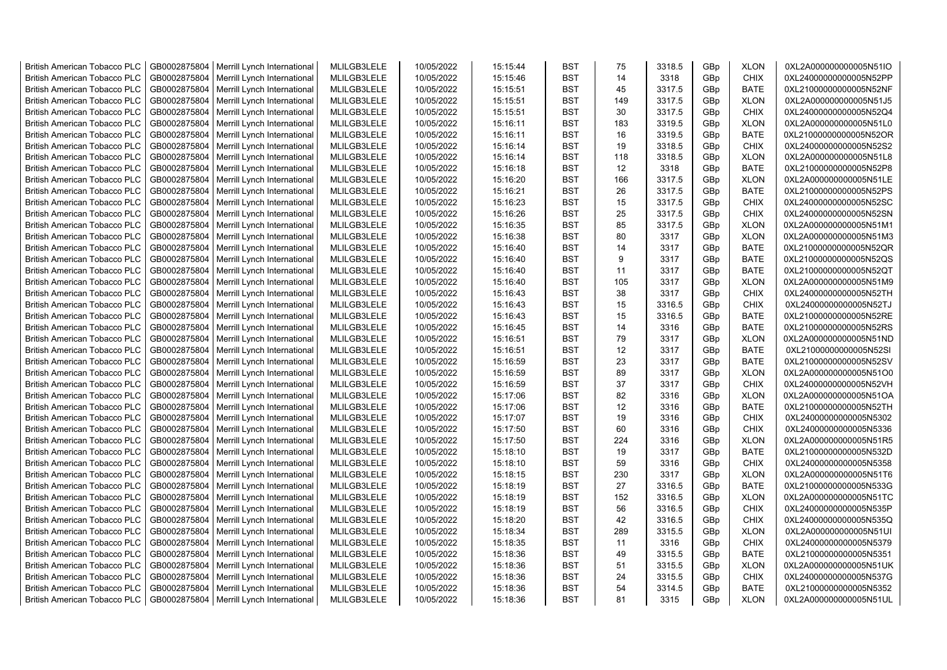| <b>British American Tobacco PLC</b> | GB0002875804 | Merrill Lynch International | MLILGB3LELE | 10/05/2022 | 15:15:44 | <b>BST</b> | 75  | 3318.5 | GBp | <b>XLON</b> | 0XL2A000000000005N51IO |
|-------------------------------------|--------------|-----------------------------|-------------|------------|----------|------------|-----|--------|-----|-------------|------------------------|
| <b>British American Tobacco PLC</b> | GB0002875804 | Merrill Lynch International | MLILGB3LELE | 10/05/2022 | 15:15:46 | <b>BST</b> | 14  | 3318   | GBp | <b>CHIX</b> | 0XL24000000000005N52PP |
| <b>British American Tobacco PLC</b> | GB0002875804 | Merrill Lynch International | MLILGB3LELE | 10/05/2022 | 15:15:51 | <b>BST</b> | 45  | 3317.5 | GBp | <b>BATE</b> | 0XL21000000000005N52NF |
| <b>British American Tobacco PLC</b> | GB0002875804 | Merrill Lynch International | MLILGB3LELE | 10/05/2022 | 15:15:51 | <b>BST</b> | 149 | 3317.5 | GBp | <b>XLON</b> | 0XL2A000000000005N51J5 |
| British American Tobacco PLC        | GB0002875804 | Merrill Lynch International | MLILGB3LELE | 10/05/2022 | 15:15:51 | <b>BST</b> | 30  | 3317.5 | GBp | <b>CHIX</b> | 0XL24000000000005N52Q4 |
| <b>British American Tobacco PLC</b> | GB0002875804 | Merrill Lynch International | MLILGB3LELE | 10/05/2022 | 15:16:11 | <b>BST</b> | 183 | 3319.5 | GBp | <b>XLON</b> | 0XL2A000000000005N51L0 |
| British American Tobacco PLC        | GB0002875804 | Merrill Lynch International | MLILGB3LELE | 10/05/2022 | 15:16:11 | <b>BST</b> | 16  | 3319.5 | GBp | <b>BATE</b> | 0XL21000000000005N52OR |
| <b>British American Tobacco PLC</b> | GB0002875804 | Merrill Lynch International | MLILGB3LELE | 10/05/2022 | 15:16:14 | <b>BST</b> | 19  | 3318.5 | GBp | CHIX        | 0XL24000000000005N52S2 |
| <b>British American Tobacco PLC</b> | GB0002875804 | Merrill Lynch International | MLILGB3LELE | 10/05/2022 | 15:16:14 | <b>BST</b> | 118 | 3318.5 | GBp | <b>XLON</b> | 0XL2A000000000005N51L8 |
| <b>British American Tobacco PLC</b> | GB0002875804 | Merrill Lynch International | MLILGB3LELE | 10/05/2022 | 15:16:18 | <b>BST</b> | 12  | 3318   | GBp | <b>BATE</b> | 0XL21000000000005N52P8 |
| <b>British American Tobacco PLC</b> | GB0002875804 | Merrill Lynch International | MLILGB3LELE | 10/05/2022 | 15:16:20 | <b>BST</b> | 166 | 3317.5 | GBp | <b>XLON</b> | 0XL2A000000000005N51LE |
| <b>British American Tobacco PLC</b> | GB0002875804 | Merrill Lynch International | MLILGB3LELE | 10/05/2022 | 15:16:21 | <b>BST</b> | 26  | 3317.5 | GBp | <b>BATE</b> | 0XL21000000000005N52PS |
| <b>British American Tobacco PLC</b> | GB0002875804 | Merrill Lynch International | MLILGB3LELE | 10/05/2022 | 15:16:23 | <b>BST</b> | 15  | 3317.5 | GBp | <b>CHIX</b> | 0XL24000000000005N52SC |
| <b>British American Tobacco PLC</b> | GB0002875804 | Merrill Lynch International | MLILGB3LELE | 10/05/2022 | 15:16:26 | <b>BST</b> | 25  | 3317.5 | GBp | <b>CHIX</b> | 0XL24000000000005N52SN |
| <b>British American Tobacco PLC</b> | GB0002875804 | Merrill Lynch International | MLILGB3LELE | 10/05/2022 | 15:16:35 | <b>BST</b> | 85  | 3317.5 | GBp | <b>XLON</b> | 0XL2A000000000005N51M1 |
| <b>British American Tobacco PLC</b> | GB0002875804 | Merrill Lynch International | MLILGB3LELE | 10/05/2022 | 15:16:38 | <b>BST</b> | 80  | 3317   | GBp | <b>XLON</b> | 0XL2A000000000005N51M3 |
| <b>British American Tobacco PLC</b> | GB0002875804 | Merrill Lynch International | MLILGB3LELE | 10/05/2022 | 15:16:40 | <b>BST</b> | 14  | 3317   | GBp | <b>BATE</b> | 0XL21000000000005N52QR |
| <b>British American Tobacco PLC</b> | GB0002875804 | Merrill Lynch International | MLILGB3LELE | 10/05/2022 | 15:16:40 | <b>BST</b> | 9   | 3317   | GBp | <b>BATE</b> | 0XL21000000000005N52QS |
| <b>British American Tobacco PLC</b> | GB0002875804 | Merrill Lynch International | MLILGB3LELE | 10/05/2022 | 15:16:40 | <b>BST</b> | 11  | 3317   | GBp | <b>BATE</b> | 0XL21000000000005N52QT |
| <b>British American Tobacco PLC</b> | GB0002875804 | Merrill Lynch International | MLILGB3LELE | 10/05/2022 | 15:16:40 | <b>BST</b> | 105 | 3317   | GBp | <b>XLON</b> | 0XL2A000000000005N51M9 |
| <b>British American Tobacco PLC</b> | GB0002875804 | Merrill Lynch International | MLILGB3LELE | 10/05/2022 | 15:16:43 | <b>BST</b> | 38  | 3317   | GBp | <b>CHIX</b> | 0XL24000000000005N52TH |
| <b>British American Tobacco PLC</b> | GB0002875804 | Merrill Lynch International | MLILGB3LELE | 10/05/2022 | 15:16:43 | <b>BST</b> | 15  | 3316.5 | GBp | <b>CHIX</b> | 0XL24000000000005N52TJ |
| <b>British American Tobacco PLC</b> | GB0002875804 | Merrill Lynch International | MLILGB3LELE | 10/05/2022 | 15:16:43 | <b>BST</b> | 15  | 3316.5 | GBp | <b>BATE</b> | 0XL21000000000005N52RE |
| <b>British American Tobacco PLC</b> | GB0002875804 | Merrill Lynch International | MLILGB3LELE | 10/05/2022 | 15:16:45 | <b>BST</b> | 14  | 3316   | GBp | <b>BATE</b> | 0XL21000000000005N52RS |
| <b>British American Tobacco PLC</b> | GB0002875804 | Merrill Lynch International | MLILGB3LELE | 10/05/2022 | 15:16:51 | <b>BST</b> | 79  | 3317   | GBp | <b>XLON</b> | 0XL2A000000000005N51ND |
| <b>British American Tobacco PLC</b> | GB0002875804 | Merrill Lynch International | MLILGB3LELE | 10/05/2022 | 15:16:51 | <b>BST</b> | 12  | 3317   | GBp | <b>BATE</b> | 0XL21000000000005N52SI |
| <b>British American Tobacco PLC</b> | GB0002875804 | Merrill Lynch International | MLILGB3LELE | 10/05/2022 | 15:16:59 | <b>BST</b> | 23  | 3317   | GBp | <b>BATE</b> | 0XL21000000000005N52SV |
| <b>British American Tobacco PLC</b> | GB0002875804 | Merrill Lynch International | MLILGB3LELE | 10/05/2022 | 15:16:59 | <b>BST</b> | 89  | 3317   | GBp | <b>XLON</b> | 0XL2A000000000005N51O0 |
| <b>British American Tobacco PLC</b> | GB0002875804 | Merrill Lynch International | MLILGB3LELE | 10/05/2022 | 15:16:59 | <b>BST</b> | 37  | 3317   | GBp | <b>CHIX</b> | 0XL24000000000005N52VH |
| <b>British American Tobacco PLC</b> | GB0002875804 | Merrill Lynch International | MLILGB3LELE | 10/05/2022 | 15:17:06 | <b>BST</b> | 82  | 3316   | GBp | <b>XLON</b> | 0XL2A000000000005N51OA |
| <b>British American Tobacco PLC</b> | GB0002875804 | Merrill Lynch International | MLILGB3LELE | 10/05/2022 | 15:17:06 | <b>BST</b> | 12  | 3316   | GBp | <b>BATE</b> | 0XL21000000000005N52TH |
| <b>British American Tobacco PLC</b> | GB0002875804 | Merrill Lynch International | MLILGB3LELE | 10/05/2022 | 15:17:07 | <b>BST</b> | 19  | 3316   | GBp | <b>CHIX</b> | 0XL24000000000005N5302 |
| <b>British American Tobacco PLC</b> | GB0002875804 | Merrill Lynch International | MLILGB3LELE | 10/05/2022 | 15:17:50 | <b>BST</b> | 60  | 3316   | GBp | CHIX        | 0XL24000000000005N5336 |
| <b>British American Tobacco PLC</b> | GB0002875804 | Merrill Lynch International | MLILGB3LELE | 10/05/2022 | 15:17:50 | <b>BST</b> | 224 | 3316   | GBp | <b>XLON</b> | 0XL2A000000000005N51R5 |
| <b>British American Tobacco PLC</b> | GB0002875804 | Merrill Lynch International | MLILGB3LELE | 10/05/2022 | 15:18:10 | <b>BST</b> | 19  | 3317   | GBp | <b>BATE</b> | 0XL21000000000005N532D |
| <b>British American Tobacco PLC</b> | GB0002875804 | Merrill Lynch International | MLILGB3LELE | 10/05/2022 | 15:18:10 | <b>BST</b> | 59  | 3316   | GBp | <b>CHIX</b> | 0XL24000000000005N5358 |
| <b>British American Tobacco PLC</b> | GB0002875804 | Merrill Lynch International | MLILGB3LELE | 10/05/2022 | 15:18:15 | <b>BST</b> | 230 | 3317   | GBp | <b>XLON</b> | 0XL2A000000000005N51T6 |
| <b>British American Tobacco PLC</b> | GB0002875804 | Merrill Lynch International | MLILGB3LELE | 10/05/2022 | 15:18:19 | <b>BST</b> | 27  | 3316.5 | GBp | <b>BATE</b> | 0XL21000000000005N533G |
| <b>British American Tobacco PLC</b> | GB0002875804 | Merrill Lynch International | MLILGB3LELE | 10/05/2022 | 15:18:19 | <b>BST</b> | 152 | 3316.5 | GBp | <b>XLON</b> | 0XL2A000000000005N51TC |
| <b>British American Tobacco PLC</b> | GB0002875804 | Merrill Lynch International | MLILGB3LELE | 10/05/2022 | 15:18:19 | <b>BST</b> | 56  | 3316.5 | GBp | <b>CHIX</b> | 0XL24000000000005N535P |
| <b>British American Tobacco PLC</b> | GB0002875804 | Merrill Lynch International | MLILGB3LELE | 10/05/2022 | 15:18:20 | <b>BST</b> | 42  | 3316.5 | GBp | <b>CHIX</b> | 0XL24000000000005N535Q |
| <b>British American Tobacco PLC</b> | GB0002875804 | Merrill Lynch International | MLILGB3LELE | 10/05/2022 | 15:18:34 | <b>BST</b> | 289 | 3315.5 | GBp | <b>XLON</b> | 0XL2A000000000005N51UI |
| <b>British American Tobacco PLC</b> | GB0002875804 | Merrill Lynch International | MLILGB3LELE | 10/05/2022 | 15:18:35 | <b>BST</b> | 11  | 3316   | GBp | <b>CHIX</b> | 0XL24000000000005N5379 |
| <b>British American Tobacco PLC</b> | GB0002875804 | Merrill Lynch International | MLILGB3LELE | 10/05/2022 | 15:18:36 | <b>BST</b> | 49  | 3315.5 | GBp | <b>BATE</b> | 0XL21000000000005N5351 |
| <b>British American Tobacco PLC</b> | GB0002875804 | Merrill Lynch International | MLILGB3LELE | 10/05/2022 | 15:18:36 | <b>BST</b> | 51  | 3315.5 | GBp | <b>XLON</b> | 0XL2A000000000005N51UK |
| <b>British American Tobacco PLC</b> | GB0002875804 | Merrill Lynch International | MLILGB3LELE | 10/05/2022 | 15:18:36 | <b>BST</b> | 24  | 3315.5 | GBp | <b>CHIX</b> | 0XL24000000000005N537G |
| <b>British American Tobacco PLC</b> | GB0002875804 | Merrill Lynch International | MLILGB3LELE | 10/05/2022 | 15:18:36 | <b>BST</b> | 54  | 3314.5 | GBp | <b>BATE</b> | 0XL21000000000005N5352 |
| <b>British American Tobacco PLC</b> | GB0002875804 | Merrill Lynch International | MLILGB3LELE | 10/05/2022 | 15:18:36 | <b>BST</b> | 81  | 3315   | GBp | <b>XLON</b> | 0XL2A000000000005N51UL |
|                                     |              |                             |             |            |          |            |     |        |     |             |                        |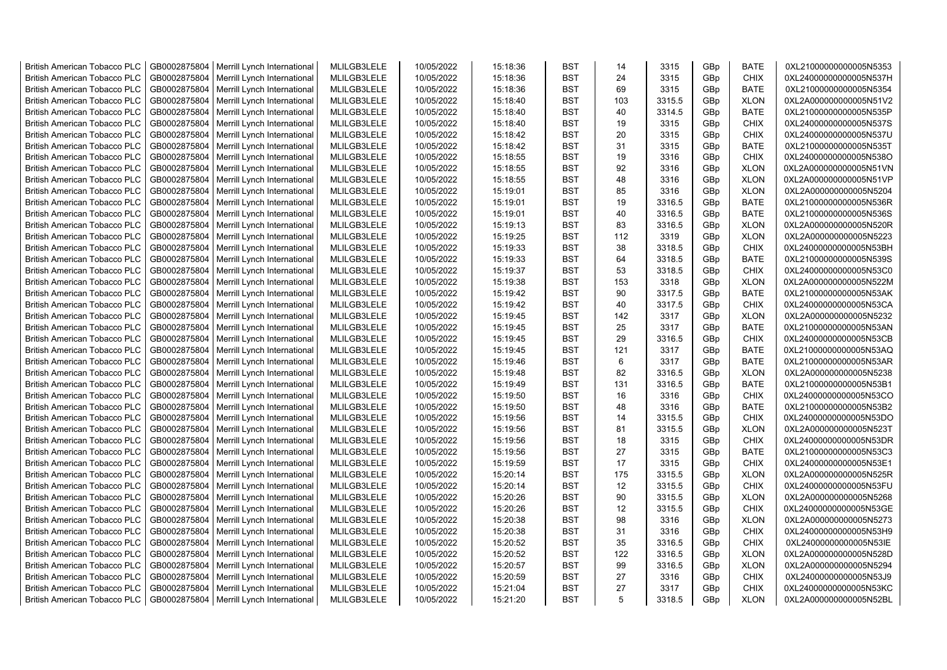| <b>British American Tobacco PLC</b>                                        | GB0002875804                 | Merrill Lynch International | MLILGB3LELE                | 10/05/2022 | 15:18:36 | <b>BST</b>               | 14  | 3315   | GBp | <b>BATE</b> | 0XL21000000000005N5353 |
|----------------------------------------------------------------------------|------------------------------|-----------------------------|----------------------------|------------|----------|--------------------------|-----|--------|-----|-------------|------------------------|
| <b>British American Tobacco PLC</b>                                        | GB0002875804                 | Merrill Lynch International | MLILGB3LELE                | 10/05/2022 | 15:18:36 | <b>BST</b>               | 24  | 3315   | GBp | <b>CHIX</b> | 0XL24000000000005N537H |
| <b>British American Tobacco PLC</b>                                        | GB0002875804                 | Merrill Lynch International | MLILGB3LELE                | 10/05/2022 | 15:18:36 | <b>BST</b>               | 69  | 3315   | GBp | <b>BATE</b> | 0XL21000000000005N5354 |
| <b>British American Tobacco PLC</b>                                        | GB0002875804                 | Merrill Lynch International | MLILGB3LELE                | 10/05/2022 | 15:18:40 | <b>BST</b>               | 103 | 3315.5 | GBp | <b>XLON</b> | 0XL2A000000000005N51V2 |
| British American Tobacco PLC                                               | GB0002875804                 | Merrill Lynch International | MLILGB3LELE                | 10/05/2022 | 15:18:40 | <b>BST</b>               | 40  | 3314.5 | GBp | <b>BATE</b> | 0XL21000000000005N535P |
| <b>British American Tobacco PLC</b>                                        | GB0002875804                 | Merrill Lynch International | MLILGB3LELE                | 10/05/2022 | 15:18:40 | <b>BST</b>               | 19  | 3315   | GBp | <b>CHIX</b> | 0XL24000000000005N537S |
| <b>British American Tobacco PLC</b>                                        | GB0002875804                 | Merrill Lynch International | MLILGB3LELE                | 10/05/2022 | 15:18:42 | <b>BST</b>               | 20  | 3315   | GBp | CHIX        | 0XL24000000000005N537U |
| <b>British American Tobacco PLC</b>                                        | GB0002875804                 | Merrill Lynch International | MLILGB3LELE                | 10/05/2022 | 15:18:42 | <b>BST</b>               | 31  | 3315   | GBp | <b>BATE</b> | 0XL21000000000005N535T |
| <b>British American Tobacco PLC</b>                                        | GB0002875804                 | Merrill Lynch International | MLILGB3LELE                | 10/05/2022 | 15:18:55 | <b>BST</b>               | 19  | 3316   | GBp | <b>CHIX</b> | 0XL24000000000005N538O |
| <b>British American Tobacco PLC</b>                                        | GB0002875804                 | Merrill Lynch International | MLILGB3LELE                | 10/05/2022 | 15:18:55 | <b>BST</b>               | 92  | 3316   | GBp | <b>XLON</b> | 0XL2A000000000005N51VN |
| <b>British American Tobacco PLC</b>                                        | GB0002875804                 | Merrill Lynch International | MLILGB3LELE                | 10/05/2022 | 15:18:55 | <b>BST</b>               | 48  | 3316   | GBp | <b>XLON</b> | 0XL2A000000000005N51VP |
| <b>British American Tobacco PLC</b>                                        | GB0002875804                 | Merrill Lynch International | MLILGB3LELE                | 10/05/2022 | 15:19:01 | <b>BST</b>               | 85  | 3316   | GBp | <b>XLON</b> | 0XL2A000000000005N5204 |
| <b>British American Tobacco PLC</b>                                        | GB0002875804                 | Merrill Lynch International | MLILGB3LELE                | 10/05/2022 | 15:19:01 | <b>BST</b>               | 19  | 3316.5 | GBp | <b>BATE</b> | 0XL21000000000005N536R |
| <b>British American Tobacco PLC</b>                                        | GB0002875804                 | Merrill Lynch International | MLILGB3LELE                | 10/05/2022 | 15:19:01 | <b>BST</b>               | 40  | 3316.5 | GBp | <b>BATE</b> | 0XL21000000000005N536S |
| <b>British American Tobacco PLC</b>                                        | GB0002875804                 | Merrill Lynch International | MLILGB3LELE                | 10/05/2022 | 15:19:13 | <b>BST</b>               | 83  | 3316.5 | GBp | <b>XLON</b> | 0XL2A000000000005N520R |
| <b>British American Tobacco PLC</b>                                        | GB0002875804                 | Merrill Lynch International | MLILGB3LELE                | 10/05/2022 | 15:19:25 | <b>BST</b>               | 112 | 3319   | GBp | <b>XLON</b> | 0XL2A000000000005N5223 |
| <b>British American Tobacco PLC</b>                                        | GB0002875804                 | Merrill Lynch International | MLILGB3LELE                | 10/05/2022 | 15:19:33 | <b>BST</b>               | 38  | 3318.5 | GBp | CHIX        | 0XL24000000000005N53BH |
| <b>British American Tobacco PLC</b>                                        | GB0002875804                 | Merrill Lynch International | MLILGB3LELE                | 10/05/2022 | 15:19:33 | <b>BST</b>               | 64  | 3318.5 | GBp | <b>BATE</b> | 0XL21000000000005N539S |
| <b>British American Tobacco PLC</b>                                        | GB0002875804                 | Merrill Lynch International | MLILGB3LELE                | 10/05/2022 | 15:19:37 | <b>BST</b>               | 53  | 3318.5 | GBp | <b>CHIX</b> | 0XL24000000000005N53C0 |
| <b>British American Tobacco PLC</b>                                        | GB0002875804                 | Merrill Lynch International | MLILGB3LELE                | 10/05/2022 | 15:19:38 | <b>BST</b>               | 153 | 3318   | GBp | <b>XLON</b> | 0XL2A000000000005N522M |
| <b>British American Tobacco PLC</b>                                        | GB0002875804                 | Merrill Lynch International | MLILGB3LELE                | 10/05/2022 | 15:19:42 | <b>BST</b>               | 90  | 3317.5 | GBp | <b>BATE</b> | 0XL21000000000005N53AK |
| British American Tobacco PLC                                               | GB0002875804                 | Merrill Lynch International | MLILGB3LELE                | 10/05/2022 | 15:19:42 | <b>BST</b>               | 40  | 3317.5 | GBp | <b>CHIX</b> | 0XL24000000000005N53CA |
| British American Tobacco PLC                                               | GB0002875804                 | Merrill Lynch International | MLILGB3LELE                | 10/05/2022 | 15:19:45 | <b>BST</b>               | 142 | 3317   | GBp | <b>XLON</b> | 0XL2A000000000005N5232 |
| <b>British American Tobacco PLC</b>                                        | GB0002875804                 | Merrill Lynch International | MLILGB3LELE                | 10/05/2022 | 15:19:45 | <b>BST</b>               | 25  | 3317   | GBp | <b>BATE</b> | 0XL21000000000005N53AN |
| <b>British American Tobacco PLC</b>                                        | GB0002875804                 | Merrill Lynch International | MLILGB3LELE                | 10/05/2022 | 15:19:45 | <b>BST</b>               | 29  | 3316.5 | GBp | <b>CHIX</b> | 0XL24000000000005N53CB |
| <b>British American Tobacco PLC</b>                                        | GB0002875804                 | Merrill Lynch International | MLILGB3LELE                | 10/05/2022 | 15:19:45 | <b>BST</b>               | 121 | 3317   | GBp | <b>BATE</b> | 0XL21000000000005N53AQ |
| <b>British American Tobacco PLC</b>                                        | GB0002875804                 | Merrill Lynch International | MLILGB3LELE                | 10/05/2022 | 15:19:46 | <b>BST</b>               | 6   | 3317   | GBp | <b>BATE</b> | 0XL21000000000005N53AR |
| <b>British American Tobacco PLC</b>                                        | GB0002875804                 | Merrill Lynch International | MLILGB3LELE                | 10/05/2022 | 15:19:48 | <b>BST</b>               | 82  | 3316.5 | GBp | <b>XLON</b> | 0XL2A000000000005N5238 |
| <b>British American Tobacco PLC</b>                                        | GB0002875804                 | Merrill Lynch International | MLILGB3LELE                | 10/05/2022 | 15:19:49 | <b>BST</b>               | 131 | 3316.5 | GBp | <b>BATE</b> | 0XL21000000000005N53B1 |
| <b>British American Tobacco PLC</b>                                        | GB0002875804                 | Merrill Lynch International | MLILGB3LELE                | 10/05/2022 | 15:19:50 | <b>BST</b>               | 16  | 3316   | GBp | CHIX        | 0XL24000000000005N53CO |
| <b>British American Tobacco PLC</b>                                        | GB0002875804                 | Merrill Lynch International | MLILGB3LELE                | 10/05/2022 | 15:19:50 | <b>BST</b>               | 48  | 3316   | GBp | <b>BATE</b> | 0XL21000000000005N53B2 |
| <b>British American Tobacco PLC</b>                                        | GB0002875804                 | Merrill Lynch International | MLILGB3LELE                | 10/05/2022 | 15:19:56 | <b>BST</b>               | 14  | 3315.5 | GBp | <b>CHIX</b> | 0XL24000000000005N53DO |
| <b>British American Tobacco PLC</b>                                        | GB0002875804                 | Merrill Lynch International | MLILGB3LELE                | 10/05/2022 | 15:19:56 | <b>BST</b>               | 81  | 3315.5 | GBp | <b>XLON</b> | 0XL2A000000000005N523T |
| <b>British American Tobacco PLC</b>                                        | GB0002875804                 | Merrill Lynch International | MLILGB3LELE                | 10/05/2022 | 15:19:56 | <b>BST</b>               | 18  | 3315   | GBp | <b>CHIX</b> | 0XL24000000000005N53DR |
| <b>British American Tobacco PLC</b>                                        | GB0002875804                 | Merrill Lynch International | MLILGB3LELE                | 10/05/2022 | 15:19:56 | <b>BST</b>               | 27  | 3315   | GBp | <b>BATE</b> | 0XL21000000000005N53C3 |
| <b>British American Tobacco PLC</b>                                        | GB0002875804                 | Merrill Lynch International | MLILGB3LELE                | 10/05/2022 | 15:19:59 | <b>BST</b>               | 17  | 3315   | GBp | <b>CHIX</b> | 0XL24000000000005N53E1 |
| <b>British American Tobacco PLC</b>                                        | GB0002875804                 | Merrill Lynch International | MLILGB3LELE                | 10/05/2022 | 15:20:14 | <b>BST</b>               | 175 | 3315.5 | GBp | <b>XLON</b> | 0XL2A000000000005N525R |
| <b>British American Tobacco PLC</b>                                        | GB0002875804                 | Merrill Lynch International | MLILGB3LELE                | 10/05/2022 | 15:20:14 | <b>BST</b>               | 12  | 3315.5 | GBp | <b>CHIX</b> | 0XL24000000000005N53FU |
| <b>British American Tobacco PLC</b>                                        | GB0002875804                 | Merrill Lynch International | MLILGB3LELE                | 10/05/2022 | 15:20:26 | <b>BST</b>               | 90  | 3315.5 | GBp | <b>XLON</b> | 0XL2A000000000005N5268 |
| <b>British American Tobacco PLC</b>                                        | GB0002875804                 | Merrill Lynch International | MLILGB3LELE                | 10/05/2022 | 15:20:26 | <b>BST</b>               | 12  | 3315.5 | GBp | <b>CHIX</b> | 0XL24000000000005N53GE |
| <b>British American Tobacco PLC</b>                                        | GB0002875804                 | Merrill Lynch International | MLILGB3LELE                | 10/05/2022 | 15:20:38 | <b>BST</b>               | 98  | 3316   | GBp | <b>XLON</b> | 0XL2A000000000005N5273 |
|                                                                            |                              |                             |                            |            |          | <b>BST</b>               | 31  |        |     | <b>CHIX</b> |                        |
| <b>British American Tobacco PLC</b><br><b>British American Tobacco PLC</b> | GB0002875804<br>GB0002875804 | Merrill Lynch International | MLILGB3LELE<br>MLILGB3LELE | 10/05/2022 | 15:20:38 | <b>BST</b>               | 35  | 3316   | GBp | <b>CHIX</b> | 0XL24000000000005N53H9 |
|                                                                            |                              | Merrill Lynch International |                            | 10/05/2022 | 15:20:52 | <b>BST</b>               | 122 | 3316.5 | GBp |             | 0XL24000000000005N53IE |
| <b>British American Tobacco PLC</b>                                        | GB0002875804                 | Merrill Lynch International | MLILGB3LELE<br>MLILGB3LELE | 10/05/2022 | 15:20:52 |                          | 99  | 3316.5 | GBp | <b>XLON</b> | 0XL2A000000000005N528D |
| <b>British American Tobacco PLC</b>                                        | GB0002875804                 | Merrill Lynch International |                            | 10/05/2022 | 15:20:57 | <b>BST</b><br><b>BST</b> | 27  | 3316.5 | GBp | <b>XLON</b> | 0XL2A000000000005N5294 |
| <b>British American Tobacco PLC</b>                                        | GB0002875804                 | Merrill Lynch International | MLILGB3LELE                | 10/05/2022 | 15:20:59 |                          |     | 3316   | GBp | <b>CHIX</b> | 0XL24000000000005N53J9 |
| <b>British American Tobacco PLC</b>                                        | GB0002875804                 | Merrill Lynch International | MLILGB3LELE                | 10/05/2022 | 15:21:04 | <b>BST</b>               | 27  | 3317   | GBp | <b>CHIX</b> | 0XL24000000000005N53KC |
| <b>British American Tobacco PLC</b>                                        | GB0002875804                 | Merrill Lynch International | MLILGB3LELE                | 10/05/2022 | 15:21:20 | <b>BST</b>               | 5   | 3318.5 | GBp | <b>XLON</b> | 0XL2A000000000005N52BL |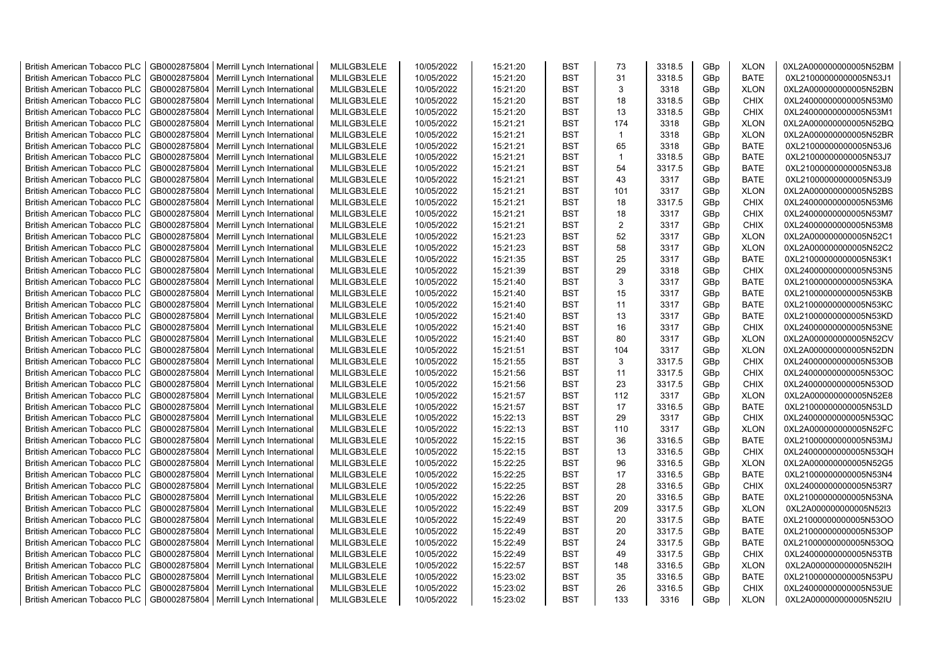| <b>British American Tobacco PLC</b>                                        | GB0002875804                 | Merrill Lynch International                                | MLILGB3LELE                | 10/05/2022 | 15:21:20             | <b>BST</b>               | 73                      | 3318.5       | GBp             | <b>XLON</b> | 0XL2A000000000005N52BM                           |
|----------------------------------------------------------------------------|------------------------------|------------------------------------------------------------|----------------------------|------------|----------------------|--------------------------|-------------------------|--------------|-----------------|-------------|--------------------------------------------------|
| <b>British American Tobacco PLC</b>                                        | GB0002875804                 | Merrill Lynch International                                | MLILGB3LELE                | 10/05/2022 | 15:21:20             | <b>BST</b>               | 31                      | 3318.5       | GBp             | <b>BATE</b> | 0XL21000000000005N53J1                           |
| <b>British American Tobacco PLC</b>                                        | GB0002875804                 | Merrill Lynch International                                | MLILGB3LELE                | 10/05/2022 | 15:21:20             | <b>BST</b>               | 3                       | 3318         | GBp             | <b>XLON</b> | 0XL2A000000000005N52BN                           |
| <b>British American Tobacco PLC</b>                                        | GB0002875804                 | Merrill Lynch International                                | MLILGB3LELE                | 10/05/2022 | 15:21:20             | <b>BST</b>               | 18                      | 3318.5       | GBp             | <b>CHIX</b> | 0XL24000000000005N53M0                           |
| <b>British American Tobacco PLC</b>                                        | GB0002875804                 | Merrill Lynch International                                | MLILGB3LELE                | 10/05/2022 | 15:21:20             | <b>BST</b>               | 13                      | 3318.5       | GBp             | <b>CHIX</b> | 0XL24000000000005N53M1                           |
| <b>British American Tobacco PLC</b>                                        | GB0002875804                 | Merrill Lynch International                                | MLILGB3LELE                | 10/05/2022 | 15:21:21             | <b>BST</b>               | 174                     | 3318         | GBp             | <b>XLON</b> | 0XL2A000000000005N52BQ                           |
| British American Tobacco PLC                                               | GB0002875804                 | Merrill Lynch International                                | MLILGB3LELE                | 10/05/2022 | 15:21:21             | <b>BST</b>               | $\overline{1}$          | 3318         | GBp             | <b>XLON</b> | 0XL2A000000000005N52BR                           |
| <b>British American Tobacco PLC</b>                                        | GB0002875804                 | Merrill Lynch International                                | MLILGB3LELE                | 10/05/2022 | 15:21:21             | <b>BST</b>               | 65                      | 3318         | GBp             | <b>BATE</b> | 0XL21000000000005N53J6                           |
| <b>British American Tobacco PLC</b>                                        | GB0002875804                 | Merrill Lynch International                                | MLILGB3LELE                | 10/05/2022 | 15:21:21             | <b>BST</b>               | $\overline{\mathbf{1}}$ | 3318.5       | GBp             | <b>BATE</b> | 0XL21000000000005N53J7                           |
| <b>British American Tobacco PLC</b>                                        | GB0002875804                 | Merrill Lynch International                                | MLILGB3LELE                | 10/05/2022 | 15:21:21             | <b>BST</b>               | 54                      | 3317.5       | GBp             | <b>BATE</b> | 0XL21000000000005N53J8                           |
| <b>British American Tobacco PLC</b>                                        | GB0002875804                 | Merrill Lynch International                                | MLILGB3LELE                | 10/05/2022 | 15:21:21             | <b>BST</b>               | 43                      | 3317         | GBp             | <b>BATE</b> | 0XL21000000000005N53J9                           |
| <b>British American Tobacco PLC</b>                                        | GB0002875804                 | Merrill Lynch International                                | MLILGB3LELE                | 10/05/2022 | 15:21:21             | <b>BST</b>               | 101                     | 3317         | GBp             | <b>XLON</b> | 0XL2A000000000005N52BS                           |
| <b>British American Tobacco PLC</b>                                        | GB0002875804                 | Merrill Lynch International                                | MLILGB3LELE                | 10/05/2022 | 15:21:21             | BST                      | 18                      | 3317.5       | GBp             | <b>CHIX</b> | 0XL24000000000005N53M6                           |
| <b>British American Tobacco PLC</b>                                        | GB0002875804                 | Merrill Lynch International                                | MLILGB3LELE                | 10/05/2022 | 15:21:21             | <b>BST</b>               | 18                      | 3317         | GBp             | <b>CHIX</b> | 0XL24000000000005N53M7                           |
| <b>British American Tobacco PLC</b>                                        | GB0002875804                 | Merrill Lynch International                                | MLILGB3LELE                | 10/05/2022 | 15:21:21             | <b>BST</b>               | 2                       | 3317         | GBp             | <b>CHIX</b> | 0XL24000000000005N53M8                           |
| <b>British American Tobacco PLC</b>                                        | GB0002875804                 | Merrill Lynch International                                | MLILGB3LELE                | 10/05/2022 | 15:21:23             | <b>BST</b>               | 52                      | 3317         | GBp             | <b>XLON</b> | 0XL2A000000000005N52C1                           |
| <b>British American Tobacco PLC</b>                                        | GB0002875804                 | Merrill Lynch International                                | MLILGB3LELE                | 10/05/2022 | 15:21:23             | <b>BST</b>               | 58                      | 3317         | GBp             | <b>XLON</b> | 0XL2A000000000005N52C2                           |
| <b>British American Tobacco PLC</b>                                        | GB0002875804                 | Merrill Lynch International                                | MLILGB3LELE                | 10/05/2022 | 15:21:35             | <b>BST</b>               | 25                      | 3317         | GBp             | <b>BATE</b> | 0XL21000000000005N53K1                           |
| <b>British American Tobacco PLC</b>                                        | GB0002875804                 | Merrill Lynch International                                | MLILGB3LELE                | 10/05/2022 | 15:21:39             | <b>BST</b>               | 29                      | 3318         | GBp             | <b>CHIX</b> | 0XL24000000000005N53N5                           |
| <b>British American Tobacco PLC</b>                                        | GB0002875804                 | Merrill Lynch International                                | MLILGB3LELE                | 10/05/2022 | 15:21:40             | <b>BST</b>               | 3                       | 3317         | GBp             | <b>BATE</b> | 0XL21000000000005N53KA                           |
| <b>British American Tobacco PLC</b>                                        | GB0002875804                 | Merrill Lynch International                                | MLILGB3LELE                | 10/05/2022 | 15:21:40             | <b>BST</b>               | 15                      | 3317         | GBp             | <b>BATE</b> | 0XL21000000000005N53KB                           |
| <b>British American Tobacco PLC</b>                                        | GB0002875804                 | Merrill Lynch International                                | MLILGB3LELE                | 10/05/2022 | 15:21:40             | <b>BST</b>               | 11                      | 3317         | GBp             | <b>BATE</b> | 0XL21000000000005N53KC                           |
| British American Tobacco PLC                                               | GB0002875804                 | Merrill Lynch International                                | MLILGB3LELE                | 10/05/2022 | 15:21:40             | <b>BST</b>               | 13                      | 3317         |                 | <b>BATE</b> | 0XL21000000000005N53KD                           |
| <b>British American Tobacco PLC</b>                                        |                              |                                                            |                            |            |                      | <b>BST</b>               | 16                      |              | GBp             | <b>CHIX</b> |                                                  |
|                                                                            | GB0002875804                 | Merrill Lynch International                                | MLILGB3LELE                | 10/05/2022 | 15:21:40             |                          | 80                      | 3317         | GBp             |             | 0XL24000000000005N53NE                           |
| <b>British American Tobacco PLC</b><br><b>British American Tobacco PLC</b> | GB0002875804<br>GB0002875804 | Merrill Lynch International<br>Merrill Lynch International | MLILGB3LELE<br>MLILGB3LELE | 10/05/2022 | 15:21:40<br>15:21:51 | <b>BST</b><br><b>BST</b> | 104                     | 3317<br>3317 | GBp             | <b>XLON</b> | 0XL2A000000000005N52CV<br>0XL2A000000000005N52DN |
|                                                                            |                              |                                                            |                            | 10/05/2022 |                      | <b>BST</b>               | 3                       |              | GBp             | <b>XLON</b> |                                                  |
| <b>British American Tobacco PLC</b>                                        | GB0002875804<br>GB0002875804 | Merrill Lynch International                                | MLILGB3LELE                | 10/05/2022 | 15:21:55             |                          | 11                      | 3317.5       | GBp             | <b>CHIX</b> | 0XL24000000000005N53OB                           |
| <b>British American Tobacco PLC</b>                                        |                              | Merrill Lynch International                                | MLILGB3LELE                | 10/05/2022 | 15:21:56             | <b>BST</b>               |                         | 3317.5       | GBp             | <b>CHIX</b> | 0XL24000000000005N53OC                           |
| <b>British American Tobacco PLC</b>                                        | GB0002875804                 | Merrill Lynch International                                | MLILGB3LELE                | 10/05/2022 | 15:21:56             | <b>BST</b>               | 23                      | 3317.5       | GBp             | <b>CHIX</b> | 0XL24000000000005N53OD                           |
| <b>British American Tobacco PLC</b>                                        | GB0002875804                 | Merrill Lynch International                                | MLILGB3LELE                | 10/05/2022 | 15:21:57             | <b>BST</b>               | 112                     | 3317         | GBp             | <b>XLON</b> | 0XL2A000000000005N52E8                           |
| <b>British American Tobacco PLC</b>                                        | GB0002875804                 | Merrill Lynch International                                | MLILGB3LELE                | 10/05/2022 | 15:21:57             | <b>BST</b>               | 17                      | 3316.5       | GBp             | <b>BATE</b> | 0XL21000000000005N53LD                           |
| <b>British American Tobacco PLC</b>                                        | GB0002875804                 | Merrill Lynch International                                | MLILGB3LELE                | 10/05/2022 | 15:22:13             | <b>BST</b>               | 29                      | 3317         | GBp             | <b>CHIX</b> | 0XL24000000000005N53QC                           |
| <b>British American Tobacco PLC</b>                                        | GB0002875804                 | Merrill Lynch International                                | MLILGB3LELE                | 10/05/2022 | 15:22:13             | <b>BST</b>               | 110                     | 3317         | GBp             | <b>XLON</b> | 0XL2A000000000005N52FC                           |
| <b>British American Tobacco PLC</b>                                        | GB0002875804                 | Merrill Lynch International                                | MLILGB3LELE                | 10/05/2022 | 15:22:15             | <b>BST</b>               | 36                      | 3316.5       | GBp             | <b>BATE</b> | 0XL21000000000005N53MJ                           |
| <b>British American Tobacco PLC</b>                                        | GB0002875804                 | Merrill Lynch International                                | MLILGB3LELE                | 10/05/2022 | 15:22:15             | <b>BST</b>               | 13                      | 3316.5       | GBp             | <b>CHIX</b> | 0XL24000000000005N53QH                           |
| British American Tobacco PLC                                               | GB0002875804                 | Merrill Lynch International                                | MLILGB3LELE                | 10/05/2022 | 15:22:25             | <b>BST</b>               | 96                      | 3316.5       | GBp             | <b>XLON</b> | 0XL2A000000000005N52G5                           |
| <b>British American Tobacco PLC</b>                                        | GB0002875804                 | Merrill Lynch International                                | MLILGB3LELE                | 10/05/2022 | 15:22:25             | <b>BST</b>               | 17                      | 3316.5       | GBp             | <b>BATE</b> | 0XL21000000000005N53N4                           |
| <b>British American Tobacco PLC</b>                                        | GB0002875804                 | Merrill Lynch International                                | MLILGB3LELE                | 10/05/2022 | 15:22:25             | <b>BST</b>               | 28                      | 3316.5       | GBp             | <b>CHIX</b> | 0XL24000000000005N53R7                           |
| <b>British American Tobacco PLC</b>                                        | GB0002875804                 | Merrill Lynch International                                | MLILGB3LELE                | 10/05/2022 | 15:22:26             | <b>BST</b>               | 20                      | 3316.5       | GBp             | <b>BATE</b> | 0XL21000000000005N53NA                           |
| <b>British American Tobacco PLC</b>                                        | GB0002875804                 | Merrill Lynch International                                | MLILGB3LELE                | 10/05/2022 | 15:22:49             | <b>BST</b>               | 209                     | 3317.5       | GBp             | <b>XLON</b> | 0XL2A000000000005N52I3                           |
| <b>British American Tobacco PLC</b>                                        | GB0002875804                 | Merrill Lynch International                                | MLILGB3LELE                | 10/05/2022 | 15:22:49             | <b>BST</b>               | 20                      | 3317.5       | GBp             | <b>BATE</b> | 0XL21000000000005N53OO                           |
| <b>British American Tobacco PLC</b>                                        | GB0002875804                 | Merrill Lynch International                                | MLILGB3LELE                | 10/05/2022 | 15:22:49             | <b>BST</b>               | 20                      | 3317.5       | GBp             | BATE        | 0XL21000000000005N53OP                           |
| <b>British American Tobacco PLC</b>                                        | GB0002875804                 | Merrill Lynch International                                | MLILGB3LELE                | 10/05/2022 | 15:22:49             | <b>BST</b>               | 24                      | 3317.5       | GBp             | <b>BATE</b> | 0XL21000000000005N53OQ                           |
| <b>British American Tobacco PLC</b>                                        | GB0002875804                 | Merrill Lynch International                                | MLILGB3LELE                | 10/05/2022 | 15:22:49             | <b>BST</b>               | 49                      | 3317.5       | GBp             | <b>CHIX</b> | 0XL24000000000005N53TB                           |
| <b>British American Tobacco PLC</b>                                        | GB0002875804                 | Merrill Lynch International                                | MLILGB3LELE                | 10/05/2022 | 15:22:57             | <b>BST</b>               | 148                     | 3316.5       | GBp             | <b>XLON</b> | 0XL2A000000000005N52IH                           |
| <b>British American Tobacco PLC</b>                                        | GB0002875804                 | Merrill Lynch International                                | MLILGB3LELE                | 10/05/2022 | 15:23:02             | <b>BST</b>               | 35                      | 3316.5       | GBp             | <b>BATE</b> | 0XL21000000000005N53PU                           |
| <b>British American Tobacco PLC</b>                                        | GB0002875804                 | Merrill Lynch International                                | MLILGB3LELE                | 10/05/2022 | 15:23:02             | <b>BST</b>               | 26                      | 3316.5       | GBp             | <b>CHIX</b> | 0XL24000000000005N53UE                           |
| <b>British American Tobacco PLC</b>                                        |                              | GB0002875804   Merrill Lynch International                 | MLILGB3LELE                | 10/05/2022 | 15:23:02             | <b>BST</b>               | 133                     | 3316         | GB <sub>p</sub> | <b>XLON</b> | 0XL2A000000000005N52IU                           |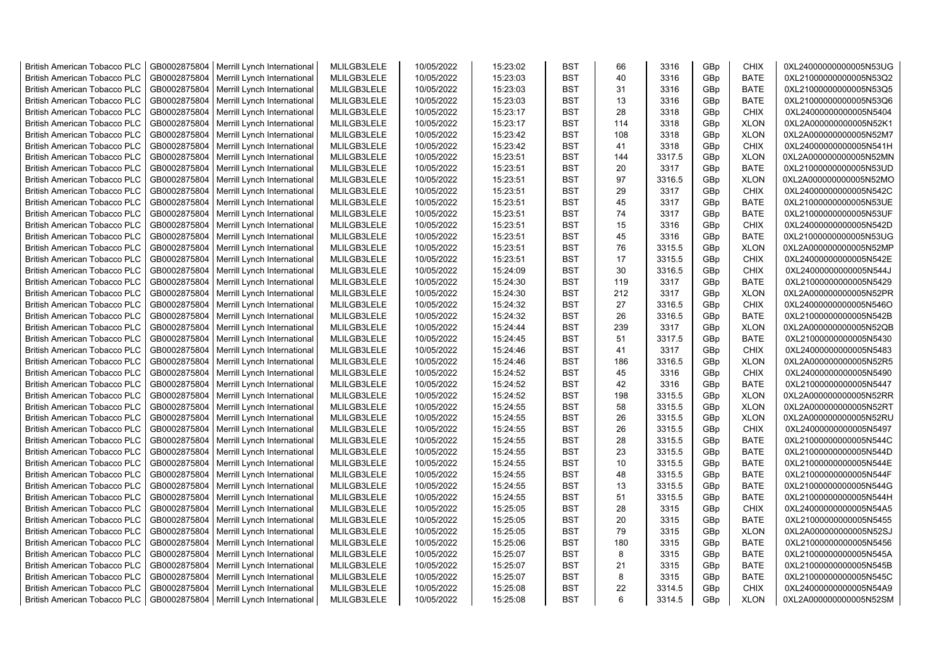| <b>British American Tobacco PLC</b> | GB0002875804 | Merrill Lynch International | MLILGB3LELE | 10/05/2022 | 15:23:02 | <b>BST</b> | 66  | 3316   | GBp             | <b>CHIX</b> | 0XL24000000000005N53UG |
|-------------------------------------|--------------|-----------------------------|-------------|------------|----------|------------|-----|--------|-----------------|-------------|------------------------|
| <b>British American Tobacco PLC</b> | GB0002875804 | Merrill Lynch International | MLILGB3LELE | 10/05/2022 | 15:23:03 | <b>BST</b> | 40  | 3316   | GBp             | <b>BATE</b> | 0XL21000000000005N53Q2 |
| <b>British American Tobacco PLC</b> | GB0002875804 | Merrill Lynch International | MLILGB3LELE | 10/05/2022 | 15:23:03 | <b>BST</b> | 31  | 3316   | GBp             | <b>BATE</b> | 0XL21000000000005N53Q5 |
| <b>British American Tobacco PLC</b> | GB0002875804 | Merrill Lynch International | MLILGB3LELE | 10/05/2022 | 15:23:03 | <b>BST</b> | 13  | 3316   | GBp             | <b>BATE</b> | 0XL21000000000005N53Q6 |
| <b>British American Tobacco PLC</b> | GB0002875804 | Merrill Lynch International | MLILGB3LELE | 10/05/2022 | 15:23:17 | <b>BST</b> | 28  | 3318   | GBp             | <b>CHIX</b> | 0XL24000000000005N5404 |
| <b>British American Tobacco PLC</b> | GB0002875804 | Merrill Lynch International | MLILGB3LELE | 10/05/2022 | 15:23:17 | <b>BST</b> | 114 | 3318   | GBp             | <b>XLON</b> | 0XL2A000000000005N52K1 |
| <b>British American Tobacco PLC</b> | GB0002875804 | Merrill Lynch International | MLILGB3LELE | 10/05/2022 | 15:23:42 | <b>BST</b> | 108 | 3318   | GBp             | <b>XLON</b> | 0XL2A000000000005N52M7 |
| <b>British American Tobacco PLC</b> | GB0002875804 | Merrill Lynch International | MLILGB3LELE | 10/05/2022 | 15:23:42 | <b>BST</b> | 41  | 3318   | GBp             | <b>CHIX</b> | 0XL24000000000005N541H |
| <b>British American Tobacco PLC</b> | GB0002875804 | Merrill Lynch International | MLILGB3LELE | 10/05/2022 | 15:23:51 | <b>BST</b> | 144 | 3317.5 | GBp             | <b>XLON</b> | 0XL2A000000000005N52MN |
| <b>British American Tobacco PLC</b> | GB0002875804 | Merrill Lynch International | MLILGB3LELE | 10/05/2022 | 15:23:51 | <b>BST</b> | 20  | 3317   | GBp             | <b>BATE</b> | 0XL21000000000005N53UD |
| British American Tobacco PLC        | GB0002875804 | Merrill Lynch International | MLILGB3LELE | 10/05/2022 | 15:23:51 | <b>BST</b> | 97  | 3316.5 | GBp             | <b>XLON</b> | 0XL2A000000000005N52MO |
| <b>British American Tobacco PLC</b> | GB0002875804 | Merrill Lynch International | MLILGB3LELE | 10/05/2022 | 15:23:51 | <b>BST</b> | 29  | 3317   | GBp             | <b>CHIX</b> | 0XL24000000000005N542C |
| <b>British American Tobacco PLC</b> | GB0002875804 | Merrill Lynch International | MLILGB3LELE | 10/05/2022 | 15:23:51 | <b>BST</b> | 45  | 3317   | GBp             | BATE        | 0XL21000000000005N53UE |
| <b>British American Tobacco PLC</b> | GB0002875804 | Merrill Lynch International | MLILGB3LELE | 10/05/2022 | 15:23:51 | <b>BST</b> | 74  | 3317   | GBp             | <b>BATE</b> | 0XL21000000000005N53UF |
| <b>British American Tobacco PLC</b> | GB0002875804 | Merrill Lynch International | MLILGB3LELE | 10/05/2022 | 15:23:51 | <b>BST</b> | 15  | 3316   | GBp             | <b>CHIX</b> | 0XL24000000000005N542D |
| <b>British American Tobacco PLC</b> | GB0002875804 | Merrill Lynch International | MLILGB3LELE | 10/05/2022 | 15:23:51 | <b>BST</b> | 45  | 3316   | GBp             | <b>BATE</b> | 0XL21000000000005N53UG |
| <b>British American Tobacco PLC</b> | GB0002875804 | Merrill Lynch International | MLILGB3LELE | 10/05/2022 | 15:23:51 | <b>BST</b> | 76  | 3315.5 | GBp             | <b>XLON</b> | 0XL2A000000000005N52MP |
| <b>British American Tobacco PLC</b> | GB0002875804 | Merrill Lynch International | MLILGB3LELE | 10/05/2022 | 15:23:51 | <b>BST</b> | 17  | 3315.5 | GBp             | <b>CHIX</b> | 0XL24000000000005N542E |
| <b>British American Tobacco PLC</b> | GB0002875804 | Merrill Lynch International | MLILGB3LELE | 10/05/2022 | 15:24:09 | <b>BST</b> | 30  | 3316.5 | GBp             | <b>CHIX</b> | 0XL24000000000005N544J |
| <b>British American Tobacco PLC</b> | GB0002875804 | Merrill Lynch International | MLILGB3LELE | 10/05/2022 | 15:24:30 | <b>BST</b> | 119 | 3317   | GBp             | <b>BATE</b> | 0XL21000000000005N5429 |
| <b>British American Tobacco PLC</b> | GB0002875804 | Merrill Lynch International | MLILGB3LELE | 10/05/2022 | 15:24:30 | <b>BST</b> | 212 | 3317   | GBp             | <b>XLON</b> | 0XL2A000000000005N52PR |
| <b>British American Tobacco PLC</b> | GB0002875804 | Merrill Lynch International | MLILGB3LELE | 10/05/2022 | 15:24:32 | <b>BST</b> | 27  | 3316.5 | GBp             | <b>CHIX</b> | 0XL24000000000005N546O |
| <b>British American Tobacco PLC</b> | GB0002875804 | Merrill Lynch International | MLILGB3LELE | 10/05/2022 | 15:24:32 | <b>BST</b> | 26  | 3316.5 | GBp             | <b>BATE</b> | 0XL21000000000005N542B |
| <b>British American Tobacco PLC</b> | GB0002875804 | Merrill Lynch International | MLILGB3LELE | 10/05/2022 | 15:24:44 | BST        | 239 | 3317   | GBp             | <b>XLON</b> | 0XL2A000000000005N52QB |
| <b>British American Tobacco PLC</b> | GB0002875804 | Merrill Lynch International | MLILGB3LELE | 10/05/2022 | 15:24:45 | <b>BST</b> | 51  | 3317.5 | GBp             | <b>BATE</b> | 0XL21000000000005N5430 |
| <b>British American Tobacco PLC</b> | GB0002875804 | Merrill Lynch International | MLILGB3LELE | 10/05/2022 | 15:24:46 | <b>BST</b> | 41  | 3317   | GBp             | <b>CHIX</b> | 0XL24000000000005N5483 |
| <b>British American Tobacco PLC</b> | GB0002875804 | Merrill Lynch International | MLILGB3LELE | 10/05/2022 | 15:24:46 | <b>BST</b> | 186 | 3316.5 | GBp             | <b>XLON</b> | 0XL2A000000000005N52R5 |
| British American Tobacco PLC        | GB0002875804 | Merrill Lynch International | MLILGB3LELE | 10/05/2022 | 15:24:52 | <b>BST</b> | 45  | 3316   | GBp             | <b>CHIX</b> | 0XL24000000000005N5490 |
| <b>British American Tobacco PLC</b> | GB0002875804 | Merrill Lynch International | MLILGB3LELE | 10/05/2022 | 15:24:52 | <b>BST</b> | 42  | 3316   | GBp             | <b>BATE</b> | 0XL21000000000005N5447 |
| <b>British American Tobacco PLC</b> | GB0002875804 | Merrill Lynch International | MLILGB3LELE | 10/05/2022 | 15:24:52 | <b>BST</b> | 198 | 3315.5 | GBp             | <b>XLON</b> | 0XL2A000000000005N52RR |
| <b>British American Tobacco PLC</b> | GB0002875804 | Merrill Lynch International | MLILGB3LELE | 10/05/2022 | 15:24:55 | <b>BST</b> | 58  | 3315.5 | GBp             | <b>XLON</b> | 0XL2A000000000005N52RT |
| <b>British American Tobacco PLC</b> | GB0002875804 | Merrill Lynch International | MLILGB3LELE | 10/05/2022 | 15:24:55 | <b>BST</b> | 26  | 3315.5 | GBp             | <b>XLON</b> | 0XL2A000000000005N52RU |
| <b>British American Tobacco PLC</b> | GB0002875804 | Merrill Lynch International | MLILGB3LELE | 10/05/2022 | 15:24:55 | <b>BST</b> | 26  | 3315.5 | GBp             | <b>CHIX</b> | 0XL24000000000005N5497 |
| <b>British American Tobacco PLC</b> | GB0002875804 | Merrill Lynch International | MLILGB3LELE | 10/05/2022 | 15:24:55 | <b>BST</b> | 28  | 3315.5 | GBp             | <b>BATE</b> | 0XL21000000000005N544C |
| <b>British American Tobacco PLC</b> | GB0002875804 | Merrill Lynch International | MLILGB3LELE | 10/05/2022 | 15:24:55 | <b>BST</b> | 23  | 3315.5 | GBp             | <b>BATE</b> | 0XL21000000000005N544D |
| <b>British American Tobacco PLC</b> | GB0002875804 | Merrill Lynch International | MLILGB3LELE | 10/05/2022 | 15:24:55 | <b>BST</b> | 10  | 3315.5 | GBp             | <b>BATE</b> | 0XL21000000000005N544E |
| <b>British American Tobacco PLC</b> | GB0002875804 | Merrill Lynch International | MLILGB3LELE | 10/05/2022 | 15:24:55 | <b>BST</b> | 48  | 3315.5 | GBp             | <b>BATE</b> | 0XL21000000000005N544F |
| <b>British American Tobacco PLC</b> | GB0002875804 | Merrill Lynch International | MLILGB3LELE | 10/05/2022 | 15:24:55 | <b>BST</b> | 13  | 3315.5 | GBp             | <b>BATE</b> | 0XL21000000000005N544G |
| <b>British American Tobacco PLC</b> | GB0002875804 | Merrill Lynch International | MLILGB3LELE | 10/05/2022 | 15:24:55 | <b>BST</b> | 51  | 3315.5 | GBp             | <b>BATE</b> | 0XL21000000000005N544H |
| <b>British American Tobacco PLC</b> | GB0002875804 | Merrill Lynch International | MLILGB3LELE | 10/05/2022 | 15:25:05 | <b>BST</b> | 28  | 3315   | GBp             | <b>CHIX</b> | 0XL24000000000005N54A5 |
| <b>British American Tobacco PLC</b> | GB0002875804 | Merrill Lynch International | MLILGB3LELE | 10/05/2022 | 15:25:05 | <b>BST</b> | 20  | 3315   | GBp             | <b>BATE</b> | 0XL21000000000005N5455 |
| <b>British American Tobacco PLC</b> | GB0002875804 | Merrill Lynch International | MLILGB3LELE | 10/05/2022 | 15:25:05 | <b>BST</b> | 79  | 3315   | GBp             | <b>XLON</b> | 0XL2A000000000005N52SJ |
| <b>British American Tobacco PLC</b> | GB0002875804 | Merrill Lynch International | MLILGB3LELE | 10/05/2022 | 15:25:06 | <b>BST</b> | 180 | 3315   | GBp             | <b>BATE</b> | 0XL21000000000005N5456 |
| British American Tobacco PLC        | GB0002875804 | Merrill Lynch International | MLILGB3LELE | 10/05/2022 | 15:25:07 | <b>BST</b> | 8   | 3315   | GBp             | <b>BATE</b> | 0XL21000000000005N545A |
| <b>British American Tobacco PLC</b> | GB0002875804 | Merrill Lynch International | MLILGB3LELE | 10/05/2022 | 15:25:07 | <b>BST</b> | 21  | 3315   | GBp             | <b>BATE</b> | 0XL21000000000005N545B |
| <b>British American Tobacco PLC</b> | GB0002875804 | Merrill Lynch International | MLILGB3LELE | 10/05/2022 | 15:25:07 | <b>BST</b> | 8   | 3315   | GBp             | <b>BATE</b> | 0XL21000000000005N545C |
| <b>British American Tobacco PLC</b> | GB0002875804 | Merrill Lynch International | MLILGB3LELE | 10/05/2022 | 15:25:08 | <b>BST</b> | 22  | 3314.5 | GBp             | <b>CHIX</b> | 0XL24000000000005N54A9 |
| <b>British American Tobacco PLC</b> | GB0002875804 | Merrill Lynch International | MLILGB3LELE | 10/05/2022 | 15:25:08 | <b>BST</b> | 6   | 3314.5 | GB <sub>p</sub> | <b>XLON</b> | 0XL2A000000000005N52SM |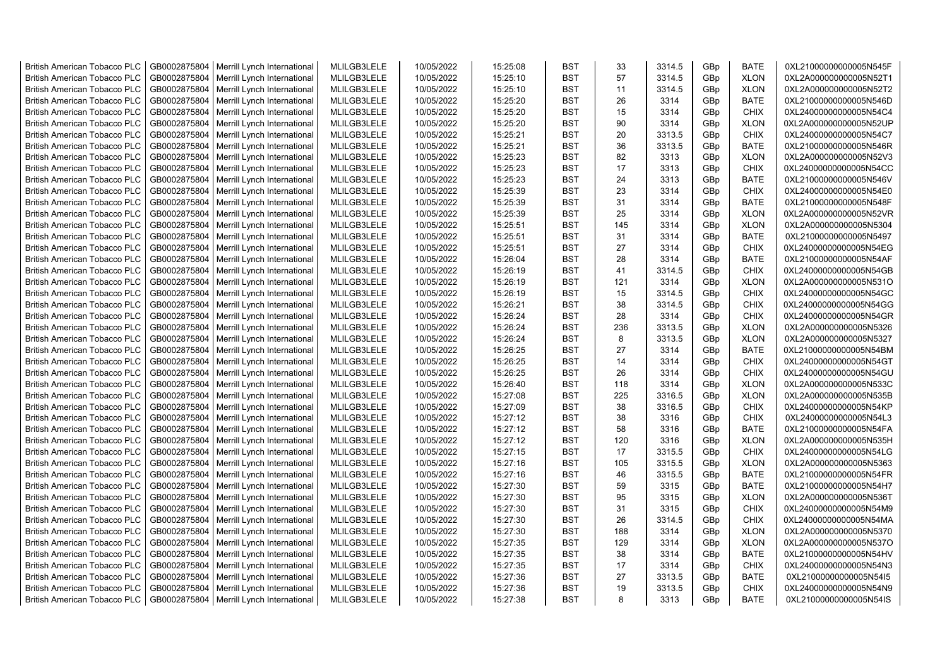| <b>British American Tobacco PLC</b> | GB0002875804 | Merrill Lynch International                | MLILGB3LELE | 10/05/2022 | 15:25:08 | <b>BST</b> | 33  | 3314.5 | GBp | <b>BATE</b> | 0XL21000000000005N545F |
|-------------------------------------|--------------|--------------------------------------------|-------------|------------|----------|------------|-----|--------|-----|-------------|------------------------|
| <b>British American Tobacco PLC</b> | GB0002875804 | Merrill Lynch International                | MLILGB3LELE | 10/05/2022 | 15:25:10 | <b>BST</b> | 57  | 3314.5 | GBp | <b>XLON</b> | 0XL2A000000000005N52T1 |
| <b>British American Tobacco PLC</b> | GB0002875804 | Merrill Lynch International                | MLILGB3LELE | 10/05/2022 | 15:25:10 | <b>BST</b> | 11  | 3314.5 | GBp | <b>XLON</b> | 0XL2A000000000005N52T2 |
| <b>British American Tobacco PLC</b> | GB0002875804 | Merrill Lynch International                | MLILGB3LELE | 10/05/2022 | 15:25:20 | <b>BST</b> | 26  | 3314   | GBp | <b>BATE</b> | 0XL21000000000005N546D |
| <b>British American Tobacco PLC</b> | GB0002875804 | Merrill Lynch International                | MLILGB3LELE | 10/05/2022 | 15:25:20 | <b>BST</b> | 15  | 3314   | GBp | <b>CHIX</b> | 0XL24000000000005N54C4 |
| <b>British American Tobacco PLC</b> | GB0002875804 | Merrill Lynch International                | MLILGB3LELE | 10/05/2022 | 15:25:20 | <b>BST</b> | 90  | 3314   | GBp | <b>XLON</b> | 0XL2A000000000005N52UP |
| <b>British American Tobacco PLC</b> | GB0002875804 | Merrill Lynch International                | MLILGB3LELE | 10/05/2022 | 15:25:21 | BST        | 20  | 3313.5 | GBp | <b>CHIX</b> | 0XL24000000000005N54C7 |
| <b>British American Tobacco PLC</b> | GB0002875804 | Merrill Lynch International                | MLILGB3LELE | 10/05/2022 | 15:25:21 | BST        | 36  | 3313.5 | GBp | <b>BATE</b> | 0XL21000000000005N546R |
| <b>British American Tobacco PLC</b> | GB0002875804 | Merrill Lynch International                | MLILGB3LELE | 10/05/2022 | 15:25:23 | <b>BST</b> | 82  | 3313   | GBp | <b>XLON</b> | 0XL2A000000000005N52V3 |
| <b>British American Tobacco PLC</b> | GB0002875804 | Merrill Lynch International                | MLILGB3LELE | 10/05/2022 | 15:25:23 | <b>BST</b> | 17  | 3313   | GBp | <b>CHIX</b> | 0XL24000000000005N54CC |
| <b>British American Tobacco PLC</b> | GB0002875804 | Merrill Lynch International                | MLILGB3LELE | 10/05/2022 | 15:25:23 | <b>BST</b> | 24  | 3313   | GBp | <b>BATE</b> | 0XL21000000000005N546V |
| <b>British American Tobacco PLC</b> | GB0002875804 | Merrill Lynch International                | MLILGB3LELE | 10/05/2022 | 15:25:39 | <b>BST</b> | 23  | 3314   | GBp | <b>CHIX</b> | 0XL24000000000005N54E0 |
| <b>British American Tobacco PLC</b> | GB0002875804 | Merrill Lynch International                | MLILGB3LELE | 10/05/2022 | 15:25:39 | <b>BST</b> | 31  | 3314   | GBp | <b>BATE</b> | 0XL21000000000005N548F |
| <b>British American Tobacco PLC</b> | GB0002875804 | Merrill Lynch International                | MLILGB3LELE | 10/05/2022 | 15:25:39 | <b>BST</b> | 25  | 3314   | GBp | <b>XLON</b> | 0XL2A000000000005N52VR |
| <b>British American Tobacco PLC</b> | GB0002875804 | Merrill Lynch International                | MLILGB3LELE | 10/05/2022 | 15:25:51 | <b>BST</b> | 145 | 3314   | GBp | <b>XLON</b> | 0XL2A000000000005N5304 |
| <b>British American Tobacco PLC</b> | GB0002875804 | Merrill Lynch International                | MLILGB3LELE | 10/05/2022 | 15:25:51 | BST        | 31  | 3314   | GBp | <b>BATE</b> | 0XL21000000000005N5497 |
| <b>British American Tobacco PLC</b> | GB0002875804 | Merrill Lynch International                | MLILGB3LELE | 10/05/2022 | 15:25:51 | BST        | 27  | 3314   | GBp | <b>CHIX</b> | 0XL24000000000005N54EG |
| <b>British American Tobacco PLC</b> | GB0002875804 | Merrill Lynch International                | MLILGB3LELE | 10/05/2022 | 15:26:04 | <b>BST</b> | 28  | 3314   | GBp | <b>BATE</b> | 0XL21000000000005N54AF |
| <b>British American Tobacco PLC</b> | GB0002875804 | Merrill Lynch International                | MLILGB3LELE | 10/05/2022 | 15:26:19 | <b>BST</b> | 41  | 3314.5 | GBp | <b>CHIX</b> | 0XL24000000000005N54GB |
| <b>British American Tobacco PLC</b> | GB0002875804 | Merrill Lynch International                | MLILGB3LELE | 10/05/2022 | 15:26:19 | BST        | 121 | 3314   | GBp | <b>XLON</b> | 0XL2A000000000005N531O |
| <b>British American Tobacco PLC</b> | GB0002875804 | Merrill Lynch International                | MLILGB3LELE | 10/05/2022 | 15:26:19 | <b>BST</b> | 15  | 3314.5 | GBp | <b>CHIX</b> | 0XL24000000000005N54GC |
| <b>British American Tobacco PLC</b> | GB0002875804 | Merrill Lynch International                | MLILGB3LELE | 10/05/2022 | 15:26:21 | <b>BST</b> | 38  | 3314.5 | GBp | <b>CHIX</b> | 0XL24000000000005N54GG |
| <b>British American Tobacco PLC</b> | GB0002875804 | Merrill Lynch International                | MLILGB3LELE | 10/05/2022 | 15:26:24 | <b>BST</b> | 28  | 3314   | GBp | <b>CHIX</b> | 0XL24000000000005N54GR |
| <b>British American Tobacco PLC</b> | GB0002875804 | Merrill Lynch International                | MLILGB3LELE | 10/05/2022 | 15:26:24 | BST        | 236 | 3313.5 | GBp | <b>XLON</b> | 0XL2A000000000005N5326 |
| <b>British American Tobacco PLC</b> | GB0002875804 | Merrill Lynch International                | MLILGB3LELE | 10/05/2022 | 15:26:24 | BST        | 8   | 3313.5 | GBp | <b>XLON</b> | 0XL2A000000000005N5327 |
| <b>British American Tobacco PLC</b> | GB0002875804 | Merrill Lynch International                | MLILGB3LELE | 10/05/2022 | 15:26:25 | BST        | 27  | 3314   | GBp | <b>BATE</b> | 0XL21000000000005N54BM |
| <b>British American Tobacco PLC</b> | GB0002875804 | Merrill Lynch International                | MLILGB3LELE | 10/05/2022 | 15:26:25 | <b>BST</b> | 14  | 3314   | GBp | <b>CHIX</b> | 0XL24000000000005N54GT |
| <b>British American Tobacco PLC</b> | GB0002875804 | Merrill Lynch International                | MLILGB3LELE | 10/05/2022 | 15:26:25 | <b>BST</b> | 26  | 3314   | GBp | <b>CHIX</b> | 0XL24000000000005N54GU |
| <b>British American Tobacco PLC</b> | GB0002875804 | Merrill Lynch International                | MLILGB3LELE | 10/05/2022 | 15:26:40 | <b>BST</b> | 118 | 3314   | GBp | <b>XLON</b> | 0XL2A000000000005N533C |
| <b>British American Tobacco PLC</b> | GB0002875804 | Merrill Lynch International                | MLILGB3LELE | 10/05/2022 | 15:27:08 | <b>BST</b> | 225 | 3316.5 | GBp | <b>XLON</b> | 0XL2A000000000005N535B |
| <b>British American Tobacco PLC</b> | GB0002875804 | Merrill Lynch International                | MLILGB3LELE | 10/05/2022 | 15:27:09 | <b>BST</b> | 38  | 3316.5 | GBp | <b>CHIX</b> | 0XL24000000000005N54KP |
| <b>British American Tobacco PLC</b> | GB0002875804 | Merrill Lynch International                | MLILGB3LELE | 10/05/2022 | 15:27:12 | <b>BST</b> | 38  | 3316   | GBp | <b>CHIX</b> | 0XL24000000000005N54L3 |
| <b>British American Tobacco PLC</b> | GB0002875804 | Merrill Lynch International                | MLILGB3LELE | 10/05/2022 | 15:27:12 | <b>BST</b> | 58  | 3316   | GBp | <b>BATE</b> | 0XL21000000000005N54FA |
| <b>British American Tobacco PLC</b> | GB0002875804 | Merrill Lynch International                | MLILGB3LELE | 10/05/2022 | 15:27:12 | <b>BST</b> | 120 | 3316   | GBp | <b>XLON</b> | 0XL2A000000000005N535H |
| <b>British American Tobacco PLC</b> | GB0002875804 | Merrill Lynch International                | MLILGB3LELE | 10/05/2022 | 15:27:15 | <b>BST</b> | 17  | 3315.5 | GBp | <b>CHIX</b> | 0XL24000000000005N54LG |
| <b>British American Tobacco PLC</b> | GB0002875804 | Merrill Lynch International                | MLILGB3LELE | 10/05/2022 | 15:27:16 | <b>BST</b> | 105 | 3315.5 | GBp | <b>XLON</b> | 0XL2A000000000005N5363 |
| <b>British American Tobacco PLC</b> | GB0002875804 | Merrill Lynch International                | MLILGB3LELE | 10/05/2022 | 15:27:16 | <b>BST</b> | 46  | 3315.5 | GBp | <b>BATE</b> | 0XL21000000000005N54FR |
| <b>British American Tobacco PLC</b> | GB0002875804 | Merrill Lynch International                | MLILGB3LELE | 10/05/2022 | 15:27:30 | <b>BST</b> | 59  | 3315   | GBp | <b>BATE</b> | 0XL21000000000005N54H7 |
| <b>British American Tobacco PLC</b> | GB0002875804 | Merrill Lynch International                | MLILGB3LELE | 10/05/2022 | 15:27:30 | <b>BST</b> | 95  | 3315   | GBp | <b>XLON</b> | 0XL2A000000000005N536T |
| <b>British American Tobacco PLC</b> | GB0002875804 | Merrill Lynch International                | MLILGB3LELE | 10/05/2022 | 15:27:30 | <b>BST</b> | 31  | 3315   | GBp | <b>CHIX</b> | 0XL24000000000005N54M9 |
| <b>British American Tobacco PLC</b> | GB0002875804 | Merrill Lynch International                | MLILGB3LELE | 10/05/2022 | 15:27:30 | <b>BST</b> | 26  | 3314.5 | GBp | <b>CHIX</b> | 0XL24000000000005N54MA |
| <b>British American Tobacco PLC</b> | GB0002875804 | Merrill Lynch International                | MLILGB3LELE | 10/05/2022 | 15:27:30 | BST        | 188 | 3314   | GBp | <b>XLON</b> | 0XL2A000000000005N5370 |
| <b>British American Tobacco PLC</b> | GB0002875804 | Merrill Lynch International                | MLILGB3LELE | 10/05/2022 | 15:27:35 | <b>BST</b> | 129 | 3314   | GBp | <b>XLON</b> | 0XL2A000000000005N537O |
| <b>British American Tobacco PLC</b> | GB0002875804 | Merrill Lynch International                | MLILGB3LELE | 10/05/2022 | 15:27:35 | <b>BST</b> | 38  | 3314   | GBp | <b>BATE</b> | 0XL21000000000005N54HV |
| <b>British American Tobacco PLC</b> | GB0002875804 | Merrill Lynch International                | MLILGB3LELE | 10/05/2022 | 15:27:35 | <b>BST</b> | 17  | 3314   | GBp | <b>CHIX</b> | 0XL24000000000005N54N3 |
| <b>British American Tobacco PLC</b> | GB0002875804 | Merrill Lynch International                | MLILGB3LELE | 10/05/2022 | 15:27:36 | <b>BST</b> | 27  | 3313.5 | GBp | <b>BATE</b> | 0XL21000000000005N54I5 |
| <b>British American Tobacco PLC</b> | GB0002875804 | Merrill Lynch International                | MLILGB3LELE | 10/05/2022 | 15:27:36 | <b>BST</b> | 19  | 3313.5 | GBp | <b>CHIX</b> | 0XL24000000000005N54N9 |
| <b>British American Tobacco PLC</b> |              | GB0002875804   Merrill Lynch International | MLILGB3LELE | 10/05/2022 | 15:27:38 | <b>BST</b> | 8   | 3313   | GBp | <b>BATE</b> | 0XL21000000000005N54IS |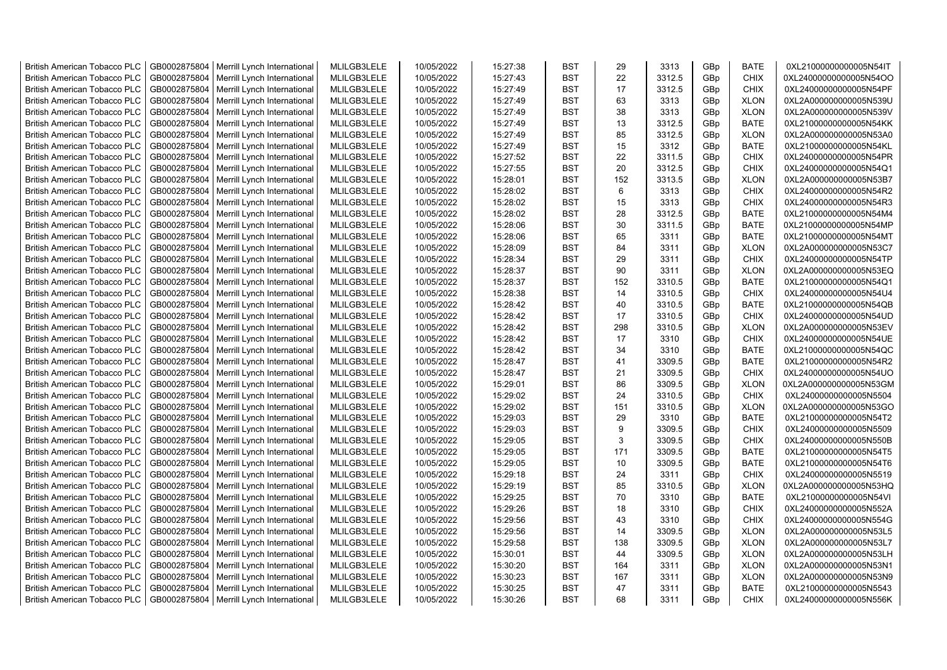| <b>British American Tobacco PLC</b> | GB0002875804 | Merrill Lynch International | MLILGB3LELE | 10/05/2022 | 15:27:38 | <b>BST</b> | 29             | 3313   | GBp | <b>BATE</b> | 0XL21000000000005N54IT |
|-------------------------------------|--------------|-----------------------------|-------------|------------|----------|------------|----------------|--------|-----|-------------|------------------------|
| <b>British American Tobacco PLC</b> | GB0002875804 | Merrill Lynch International | MLILGB3LELE | 10/05/2022 | 15:27:43 | <b>BST</b> | 22             | 3312.5 | GBp | <b>CHIX</b> | 0XL24000000000005N54OO |
| <b>British American Tobacco PLC</b> | GB0002875804 | Merrill Lynch International | MLILGB3LELE | 10/05/2022 | 15:27:49 | <b>BST</b> | 17             | 3312.5 | GBp | <b>CHIX</b> | 0XL24000000000005N54PF |
| <b>British American Tobacco PLC</b> | GB0002875804 | Merrill Lynch International | MLILGB3LELE | 10/05/2022 | 15:27:49 | <b>BST</b> | 63             | 3313   | GBp | <b>XLON</b> | 0XL2A000000000005N539U |
| <b>British American Tobacco PLC</b> | GB0002875804 | Merrill Lynch International | MLILGB3LELE | 10/05/2022 | 15:27:49 | <b>BST</b> | 38             | 3313   | GBp | <b>XLON</b> | 0XL2A000000000005N539V |
| <b>British American Tobacco PLC</b> | GB0002875804 | Merrill Lynch International | MLILGB3LELE | 10/05/2022 | 15:27:49 | <b>BST</b> | 13             | 3312.5 | GBp | <b>BATE</b> | 0XL21000000000005N54KK |
| <b>British American Tobacco PLC</b> | GB0002875804 | Merrill Lynch International | MLILGB3LELE | 10/05/2022 | 15:27:49 | <b>BST</b> | 85             | 3312.5 | GBp | <b>XLON</b> | 0XL2A000000000005N53A0 |
| <b>British American Tobacco PLC</b> | GB0002875804 | Merrill Lynch International | MLILGB3LELE | 10/05/2022 | 15:27:49 | <b>BST</b> | 15             | 3312   | GBp | <b>BATE</b> | 0XL21000000000005N54KL |
| <b>British American Tobacco PLC</b> | GB0002875804 | Merrill Lynch International | MLILGB3LELE | 10/05/2022 | 15:27:52 | <b>BST</b> | 22             | 3311.5 | GBp | CHIX        | 0XL24000000000005N54PR |
| <b>British American Tobacco PLC</b> | GB0002875804 | Merrill Lynch International | MLILGB3LELE | 10/05/2022 | 15:27:55 | <b>BST</b> | 20             | 3312.5 | GBp | <b>CHIX</b> | 0XL24000000000005N54Q1 |
| <b>British American Tobacco PLC</b> | GB0002875804 | Merrill Lynch International | MLILGB3LELE | 10/05/2022 | 15:28:01 | <b>BST</b> | 152            | 3313.5 | GBp | <b>XLON</b> | 0XL2A000000000005N53B7 |
| <b>British American Tobacco PLC</b> | GB0002875804 | Merrill Lynch International | MLILGB3LELE | 10/05/2022 | 15:28:02 | <b>BST</b> | $6\phantom{1}$ | 3313   | GBp | <b>CHIX</b> | 0XL24000000000005N54R2 |
| <b>British American Tobacco PLC</b> | GB0002875804 | Merrill Lynch International | MLILGB3LELE | 10/05/2022 | 15:28:02 | <b>BST</b> | 15             | 3313   | GBp | <b>CHIX</b> | 0XL24000000000005N54R3 |
| <b>British American Tobacco PLC</b> | GB0002875804 | Merrill Lynch International | MLILGB3LELE | 10/05/2022 | 15:28:02 | <b>BST</b> | 28             | 3312.5 | GBp | <b>BATE</b> | 0XL21000000000005N54M4 |
| <b>British American Tobacco PLC</b> | GB0002875804 | Merrill Lynch International | MLILGB3LELE | 10/05/2022 | 15:28:06 | <b>BST</b> | 30             | 3311.5 | GBp | <b>BATE</b> | 0XL21000000000005N54MP |
| <b>British American Tobacco PLC</b> | GB0002875804 | Merrill Lynch International | MLILGB3LELE | 10/05/2022 | 15:28:06 | <b>BST</b> | 65             | 3311   | GBp | <b>BATE</b> | 0XL21000000000005N54MT |
| <b>British American Tobacco PLC</b> | GB0002875804 | Merrill Lynch International | MLILGB3LELE | 10/05/2022 | 15:28:09 | <b>BST</b> | 84             | 3311   | GBp | <b>XLON</b> | 0XL2A000000000005N53C7 |
| <b>British American Tobacco PLC</b> | GB0002875804 | Merrill Lynch International | MLILGB3LELE | 10/05/2022 | 15:28:34 | <b>BST</b> | 29             | 3311   | GBp | <b>CHIX</b> | 0XL24000000000005N54TP |
| <b>British American Tobacco PLC</b> | GB0002875804 | Merrill Lynch International | MLILGB3LELE | 10/05/2022 | 15:28:37 | <b>BST</b> | 90             | 3311   | GBp | <b>XLON</b> | 0XL2A000000000005N53EQ |
| <b>British American Tobacco PLC</b> | GB0002875804 | Merrill Lynch International | MLILGB3LELE | 10/05/2022 | 15:28:37 | <b>BST</b> | 152            | 3310.5 | GBp | <b>BATE</b> | 0XL21000000000005N54Q1 |
| <b>British American Tobacco PLC</b> | GB0002875804 | Merrill Lynch International | MLILGB3LELE | 10/05/2022 | 15:28:38 | <b>BST</b> | 14             | 3310.5 | GBp | <b>CHIX</b> | 0XL24000000000005N54U4 |
| <b>British American Tobacco PLC</b> | GB0002875804 | Merrill Lynch International | MLILGB3LELE | 10/05/2022 | 15:28:42 | <b>BST</b> | 40             | 3310.5 | GBp | <b>BATE</b> | 0XL21000000000005N54QB |
| <b>British American Tobacco PLC</b> | GB0002875804 | Merrill Lynch International | MLILGB3LELE | 10/05/2022 | 15:28:42 | <b>BST</b> | 17             | 3310.5 | GBp | <b>CHIX</b> | 0XL24000000000005N54UD |
| <b>British American Tobacco PLC</b> | GB0002875804 | Merrill Lynch International | MLILGB3LELE | 10/05/2022 | 15:28:42 | <b>BST</b> | 298            | 3310.5 | GBp | <b>XLON</b> | 0XL2A000000000005N53EV |
| <b>British American Tobacco PLC</b> | GB0002875804 | Merrill Lynch International | MLILGB3LELE | 10/05/2022 | 15:28:42 | <b>BST</b> | 17             | 3310   | GBp | <b>CHIX</b> | 0XL24000000000005N54UE |
| <b>British American Tobacco PLC</b> | GB0002875804 | Merrill Lynch International | MLILGB3LELE | 10/05/2022 | 15:28:42 | <b>BST</b> | 34             | 3310   | GBp | <b>BATE</b> | 0XL21000000000005N54QC |
| <b>British American Tobacco PLC</b> | GB0002875804 | Merrill Lynch International | MLILGB3LELE | 10/05/2022 | 15:28:47 | <b>BST</b> | 41             | 3309.5 | GBp | <b>BATE</b> | 0XL21000000000005N54R2 |
| <b>British American Tobacco PLC</b> | GB0002875804 | Merrill Lynch International | MLILGB3LELE | 10/05/2022 | 15:28:47 | <b>BST</b> | 21             | 3309.5 | GBp | <b>CHIX</b> | 0XL24000000000005N54UO |
| <b>British American Tobacco PLC</b> | GB0002875804 | Merrill Lynch International | MLILGB3LELE | 10/05/2022 | 15:29:01 | <b>BST</b> | 86             | 3309.5 | GBp | <b>XLON</b> | 0XL2A000000000005N53GM |
| <b>British American Tobacco PLC</b> | GB0002875804 | Merrill Lynch International | MLILGB3LELE | 10/05/2022 | 15:29:02 | <b>BST</b> | 24             | 3310.5 | GBp | <b>CHIX</b> | 0XL24000000000005N5504 |
| <b>British American Tobacco PLC</b> | GB0002875804 | Merrill Lynch International | MLILGB3LELE | 10/05/2022 | 15:29:02 | <b>BST</b> | 151            | 3310.5 | GBp | <b>XLON</b> | 0XL2A000000000005N53GO |
| <b>British American Tobacco PLC</b> | GB0002875804 | Merrill Lynch International | MLILGB3LELE | 10/05/2022 | 15:29:03 | <b>BST</b> | 29             | 3310   | GBp | <b>BATE</b> | 0XL21000000000005N54T2 |
| <b>British American Tobacco PLC</b> | GB0002875804 | Merrill Lynch International | MLILGB3LELE | 10/05/2022 | 15:29:03 | <b>BST</b> | 9              | 3309.5 | GBp | CHIX        | 0XL24000000000005N5509 |
| <b>British American Tobacco PLC</b> | GB0002875804 | Merrill Lynch International | MLILGB3LELE | 10/05/2022 | 15:29:05 | <b>BST</b> | 3              | 3309.5 | GBp | CHIX        | 0XL24000000000005N550B |
| <b>British American Tobacco PLC</b> | GB0002875804 | Merrill Lynch International | MLILGB3LELE | 10/05/2022 | 15:29:05 | <b>BST</b> | 171            | 3309.5 | GBp | <b>BATE</b> | 0XL21000000000005N54T5 |
| <b>British American Tobacco PLC</b> | GB0002875804 | Merrill Lynch International | MLILGB3LELE | 10/05/2022 | 15:29:05 | <b>BST</b> | 10             | 3309.5 | GBp | <b>BATE</b> | 0XL21000000000005N54T6 |
| <b>British American Tobacco PLC</b> | GB0002875804 | Merrill Lynch International | MLILGB3LELE | 10/05/2022 | 15:29:18 | <b>BST</b> | 24             | 3311   | GBp | <b>CHIX</b> | 0XL24000000000005N5519 |
| <b>British American Tobacco PLC</b> | GB0002875804 | Merrill Lynch International | MLILGB3LELE | 10/05/2022 | 15:29:19 | <b>BST</b> | 85             | 3310.5 | GBp | <b>XLON</b> | 0XL2A000000000005N53HQ |
| <b>British American Tobacco PLC</b> | GB0002875804 | Merrill Lynch International | MLILGB3LELE | 10/05/2022 | 15:29:25 | <b>BST</b> | 70             | 3310   | GBp | <b>BATE</b> | 0XL21000000000005N54VI |
| <b>British American Tobacco PLC</b> | GB0002875804 | Merrill Lynch International | MLILGB3LELE | 10/05/2022 | 15:29:26 | <b>BST</b> | 18             | 3310   | GBp | <b>CHIX</b> | 0XL24000000000005N552A |
| <b>British American Tobacco PLC</b> | GB0002875804 | Merrill Lynch International | MLILGB3LELE | 10/05/2022 | 15:29:56 | <b>BST</b> | 43             | 3310   | GBp | <b>CHIX</b> | 0XL24000000000005N554G |
| <b>British American Tobacco PLC</b> | GB0002875804 | Merrill Lynch International | MLILGB3LELE | 10/05/2022 | 15:29:56 | BST        | 14             | 3309.5 | GBp | <b>XLON</b> | 0XL2A000000000005N53L5 |
| <b>British American Tobacco PLC</b> | GB0002875804 | Merrill Lynch International | MLILGB3LELE | 10/05/2022 | 15:29:58 | <b>BST</b> | 138            | 3309.5 | GBp | <b>XLON</b> | 0XL2A000000000005N53L7 |
| <b>British American Tobacco PLC</b> | GB0002875804 | Merrill Lynch International | MLILGB3LELE | 10/05/2022 | 15:30:01 | <b>BST</b> | 44             | 3309.5 | GBp | <b>XLON</b> | 0XL2A000000000005N53LH |
| <b>British American Tobacco PLC</b> | GB0002875804 | Merrill Lynch International | MLILGB3LELE | 10/05/2022 | 15:30:20 | <b>BST</b> | 164            | 3311   | GBp | <b>XLON</b> | 0XL2A000000000005N53N1 |
| <b>British American Tobacco PLC</b> | GB0002875804 | Merrill Lynch International | MLILGB3LELE | 10/05/2022 | 15:30:23 | <b>BST</b> | 167            | 3311   | GBp | <b>XLON</b> | 0XL2A000000000005N53N9 |
| <b>British American Tobacco PLC</b> | GB0002875804 | Merrill Lynch International | MLILGB3LELE | 10/05/2022 | 15:30:25 | <b>BST</b> | 47             | 3311   | GBp | <b>BATE</b> | 0XL21000000000005N5543 |
| <b>British American Tobacco PLC</b> | GB0002875804 | Merrill Lynch International | MLILGB3LELE | 10/05/2022 | 15:30:26 | <b>BST</b> | 68             | 3311   | GBp | <b>CHIX</b> | 0XL24000000000005N556K |
|                                     |              |                             |             |            |          |            |                |        |     |             |                        |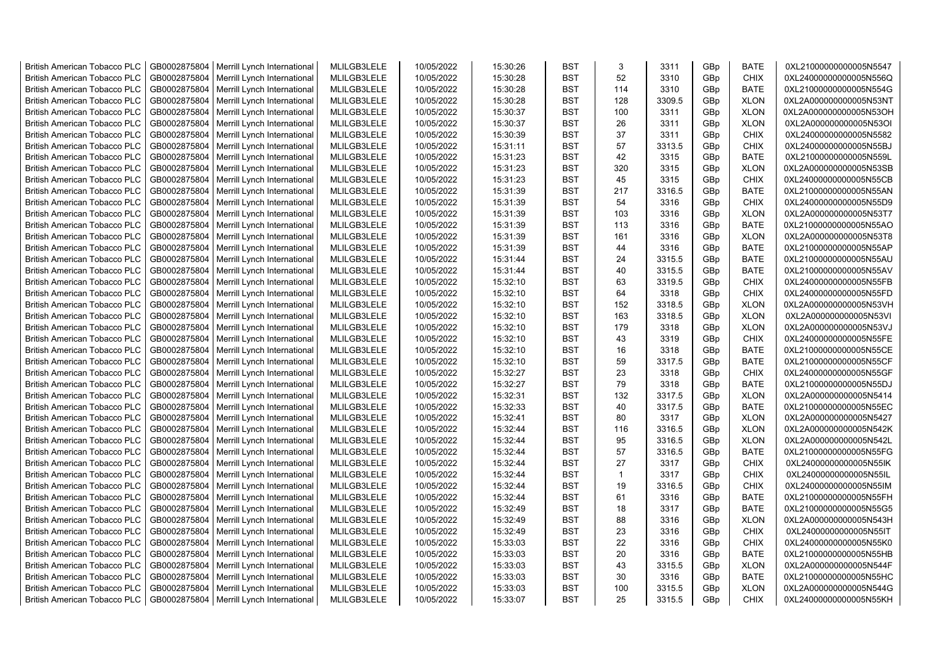| <b>British American Tobacco PLC</b> | GB0002875804 | Merrill Lynch International | MLILGB3LELE | 10/05/2022 | 15:30:26 | <b>BST</b> | 3            | 3311   | GBp | <b>BATE</b> | 0XL21000000000005N5547 |
|-------------------------------------|--------------|-----------------------------|-------------|------------|----------|------------|--------------|--------|-----|-------------|------------------------|
| <b>British American Tobacco PLC</b> | GB0002875804 | Merrill Lynch International | MLILGB3LELE | 10/05/2022 | 15:30:28 | <b>BST</b> | 52           | 3310   | GBp | <b>CHIX</b> | 0XL24000000000005N556Q |
| <b>British American Tobacco PLC</b> | GB0002875804 | Merrill Lynch International | MLILGB3LELE | 10/05/2022 | 15:30:28 | <b>BST</b> | 114          | 3310   | GBp | <b>BATE</b> | 0XL21000000000005N554G |
| <b>British American Tobacco PLC</b> | GB0002875804 | Merrill Lynch International | MLILGB3LELE | 10/05/2022 | 15:30:28 | <b>BST</b> | 128          | 3309.5 | GBp | <b>XLON</b> | 0XL2A000000000005N53NT |
| British American Tobacco PLC        | GB0002875804 | Merrill Lynch International | MLILGB3LELE | 10/05/2022 | 15:30:37 | <b>BST</b> | 100          | 3311   | GBp | <b>XLON</b> | 0XL2A000000000005N53OH |
| <b>British American Tobacco PLC</b> | GB0002875804 | Merrill Lynch International | MLILGB3LELE | 10/05/2022 | 15:30:37 | <b>BST</b> | 26           | 3311   | GBp | <b>XLON</b> | 0XL2A000000000005N53OI |
| <b>British American Tobacco PLC</b> | GB0002875804 | Merrill Lynch International | MLILGB3LELE | 10/05/2022 | 15:30:39 | <b>BST</b> | 37           | 3311   | GBp | CHIX        | 0XL24000000000005N5582 |
| <b>British American Tobacco PLC</b> | GB0002875804 | Merrill Lynch International | MLILGB3LELE | 10/05/2022 | 15:31:11 | <b>BST</b> | 57           | 3313.5 | GBp | CHIX        | 0XL24000000000005N55BJ |
| <b>British American Tobacco PLC</b> | GB0002875804 | Merrill Lynch International | MLILGB3LELE | 10/05/2022 | 15:31:23 | <b>BST</b> | 42           | 3315   | GBp | <b>BATE</b> | 0XL21000000000005N559L |
| <b>British American Tobacco PLC</b> | GB0002875804 | Merrill Lynch International | MLILGB3LELE | 10/05/2022 | 15:31:23 | <b>BST</b> | 320          | 3315   | GBp | <b>XLON</b> | 0XL2A000000000005N53SB |
| <b>British American Tobacco PLC</b> | GB0002875804 | Merrill Lynch International | MLILGB3LELE | 10/05/2022 | 15:31:23 | <b>BST</b> | 45           | 3315   | GBp | <b>CHIX</b> | 0XL24000000000005N55CB |
| <b>British American Tobacco PLC</b> | GB0002875804 | Merrill Lynch International | MLILGB3LELE | 10/05/2022 | 15:31:39 | <b>BST</b> | 217          | 3316.5 | GBp | <b>BATE</b> | 0XL21000000000005N55AN |
| <b>British American Tobacco PLC</b> | GB0002875804 | Merrill Lynch International | MLILGB3LELE | 10/05/2022 | 15:31:39 | <b>BST</b> | 54           | 3316   | GBp | <b>CHIX</b> | 0XL24000000000005N55D9 |
| <b>British American Tobacco PLC</b> | GB0002875804 | Merrill Lynch International | MLILGB3LELE | 10/05/2022 | 15:31:39 | <b>BST</b> | 103          | 3316   | GBp | <b>XLON</b> | 0XL2A000000000005N53T7 |
| <b>British American Tobacco PLC</b> | GB0002875804 | Merrill Lynch International | MLILGB3LELE | 10/05/2022 | 15:31:39 | <b>BST</b> | 113          | 3316   | GBp | <b>BATE</b> | 0XL21000000000005N55AO |
| <b>British American Tobacco PLC</b> | GB0002875804 | Merrill Lynch International | MLILGB3LELE | 10/05/2022 | 15:31:39 | <b>BST</b> | 161          | 3316   | GBp | <b>XLON</b> | 0XL2A000000000005N53T8 |
| <b>British American Tobacco PLC</b> | GB0002875804 | Merrill Lynch International | MLILGB3LELE | 10/05/2022 | 15:31:39 | <b>BST</b> | 44           | 3316   | GBp | <b>BATE</b> | 0XL21000000000005N55AP |
| <b>British American Tobacco PLC</b> | GB0002875804 | Merrill Lynch International | MLILGB3LELE | 10/05/2022 | 15:31:44 | <b>BST</b> | 24           | 3315.5 | GBp | <b>BATE</b> | 0XL21000000000005N55AU |
| <b>British American Tobacco PLC</b> | GB0002875804 | Merrill Lynch International | MLILGB3LELE | 10/05/2022 | 15:31:44 | <b>BST</b> | 40           | 3315.5 | GBp | <b>BATE</b> | 0XL21000000000005N55AV |
| <b>British American Tobacco PLC</b> | GB0002875804 | Merrill Lynch International | MLILGB3LELE | 10/05/2022 | 15:32:10 | <b>BST</b> | 63           | 3319.5 | GBp | <b>CHIX</b> | 0XL24000000000005N55FB |
| <b>British American Tobacco PLC</b> | GB0002875804 | Merrill Lynch International | MLILGB3LELE | 10/05/2022 | 15:32:10 | <b>BST</b> | 64           | 3318   | GBp | <b>CHIX</b> | 0XL24000000000005N55FD |
| <b>British American Tobacco PLC</b> | GB0002875804 | Merrill Lynch International | MLILGB3LELE | 10/05/2022 | 15:32:10 | <b>BST</b> | 152          | 3318.5 | GBp | <b>XLON</b> | 0XL2A000000000005N53VH |
| British American Tobacco PLC        | GB0002875804 | Merrill Lynch International | MLILGB3LELE | 10/05/2022 | 15:32:10 | <b>BST</b> | 163          | 3318.5 | GBp | <b>XLON</b> | 0XL2A000000000005N53VI |
| <b>British American Tobacco PLC</b> | GB0002875804 | Merrill Lynch International | MLILGB3LELE | 10/05/2022 | 15:32:10 | <b>BST</b> | 179          | 3318   | GBp | <b>XLON</b> | 0XL2A000000000005N53VJ |
| <b>British American Tobacco PLC</b> | GB0002875804 | Merrill Lynch International | MLILGB3LELE | 10/05/2022 | 15:32:10 | <b>BST</b> | 43           | 3319   | GBp | <b>CHIX</b> | 0XL24000000000005N55FE |
| <b>British American Tobacco PLC</b> | GB0002875804 | Merrill Lynch International | MLILGB3LELE | 10/05/2022 | 15:32:10 | <b>BST</b> | 16           | 3318   | GBp | <b>BATE</b> | 0XL21000000000005N55CE |
| <b>British American Tobacco PLC</b> | GB0002875804 | Merrill Lynch International | MLILGB3LELE | 10/05/2022 | 15:32:10 | <b>BST</b> | 59           | 3317.5 | GBp | <b>BATE</b> | 0XL21000000000005N55CF |
| <b>British American Tobacco PLC</b> | GB0002875804 | Merrill Lynch International | MLILGB3LELE | 10/05/2022 | 15:32:27 | <b>BST</b> | 23           | 3318   | GBp | <b>CHIX</b> | 0XL24000000000005N55GF |
| <b>British American Tobacco PLC</b> | GB0002875804 | Merrill Lynch International | MLILGB3LELE | 10/05/2022 | 15:32:27 | <b>BST</b> | 79           | 3318   | GBp | <b>BATE</b> | 0XL21000000000005N55DJ |
| <b>British American Tobacco PLC</b> | GB0002875804 | Merrill Lynch International | MLILGB3LELE | 10/05/2022 | 15:32:31 | <b>BST</b> | 132          | 3317.5 | GBp | <b>XLON</b> | 0XL2A000000000005N5414 |
| <b>British American Tobacco PLC</b> | GB0002875804 | Merrill Lynch International | MLILGB3LELE | 10/05/2022 | 15:32:33 | <b>BST</b> | 40           | 3317.5 | GBp | <b>BATE</b> | 0XL21000000000005N55EC |
| <b>British American Tobacco PLC</b> | GB0002875804 | Merrill Lynch International | MLILGB3LELE | 10/05/2022 | 15:32:41 | <b>BST</b> | 80           | 3317   | GBp | <b>XLON</b> | 0XL2A000000000005N5427 |
| <b>British American Tobacco PLC</b> | GB0002875804 | Merrill Lynch International | MLILGB3LELE | 10/05/2022 | 15:32:44 | <b>BST</b> | 116          | 3316.5 | GBp | <b>XLON</b> | 0XL2A000000000005N542K |
| <b>British American Tobacco PLC</b> | GB0002875804 | Merrill Lynch International | MLILGB3LELE | 10/05/2022 | 15:32:44 | <b>BST</b> | 95           | 3316.5 | GBp | <b>XLON</b> | 0XL2A000000000005N542L |
| <b>British American Tobacco PLC</b> | GB0002875804 | Merrill Lynch International | MLILGB3LELE | 10/05/2022 | 15:32:44 | <b>BST</b> | 57           | 3316.5 | GBp | <b>BATE</b> | 0XL21000000000005N55FG |
| <b>British American Tobacco PLC</b> | GB0002875804 | Merrill Lynch International | MLILGB3LELE | 10/05/2022 | 15:32:44 | <b>BST</b> | 27           | 3317   | GBp | <b>CHIX</b> | 0XL24000000000005N55IK |
| <b>British American Tobacco PLC</b> | GB0002875804 | Merrill Lynch International | MLILGB3LELE | 10/05/2022 | 15:32:44 | <b>BST</b> | $\mathbf{1}$ | 3317   | GBp | <b>CHIX</b> | 0XL24000000000005N55IL |
| <b>British American Tobacco PLC</b> | GB0002875804 | Merrill Lynch International | MLILGB3LELE | 10/05/2022 | 15:32:44 | <b>BST</b> | 19           | 3316.5 | GBp | <b>CHIX</b> | 0XL24000000000005N55IM |
| <b>British American Tobacco PLC</b> | GB0002875804 | Merrill Lynch International | MLILGB3LELE | 10/05/2022 | 15:32:44 | <b>BST</b> | 61           | 3316   | GBp | <b>BATE</b> | 0XL21000000000005N55FH |
| <b>British American Tobacco PLC</b> | GB0002875804 | Merrill Lynch International | MLILGB3LELE | 10/05/2022 | 15:32:49 | <b>BST</b> | 18           | 3317   | GBp | <b>BATE</b> | 0XL21000000000005N55G5 |
| <b>British American Tobacco PLC</b> | GB0002875804 | Merrill Lynch International | MLILGB3LELE | 10/05/2022 | 15:32:49 | <b>BST</b> | 88           | 3316   | GBp | <b>XLON</b> | 0XL2A000000000005N543H |
| <b>British American Tobacco PLC</b> | GB0002875804 | Merrill Lynch International | MLILGB3LELE | 10/05/2022 | 15:32:49 | <b>BST</b> | 23           | 3316   | GBp | CHIX        | 0XL24000000000005N55IT |
| <b>British American Tobacco PLC</b> | GB0002875804 | Merrill Lynch International | MLILGB3LELE | 10/05/2022 | 15:33:03 | <b>BST</b> | 22           | 3316   | GBp | <b>CHIX</b> | 0XL24000000000005N55K0 |
| <b>British American Tobacco PLC</b> | GB0002875804 | Merrill Lynch International | MLILGB3LELE | 10/05/2022 | 15:33:03 | <b>BST</b> | 20           | 3316   | GBp | <b>BATE</b> | 0XL21000000000005N55HB |
| <b>British American Tobacco PLC</b> | GB0002875804 | Merrill Lynch International | MLILGB3LELE | 10/05/2022 | 15:33:03 | <b>BST</b> | 43           | 3315.5 | GBp | <b>XLON</b> | 0XL2A000000000005N544F |
| <b>British American Tobacco PLC</b> | GB0002875804 | Merrill Lynch International | MLILGB3LELE | 10/05/2022 | 15:33:03 | <b>BST</b> | 30           | 3316   | GBp | <b>BATE</b> | 0XL21000000000005N55HC |
| <b>British American Tobacco PLC</b> | GB0002875804 | Merrill Lynch International | MLILGB3LELE | 10/05/2022 | 15:33:03 | <b>BST</b> | 100          | 3315.5 | GBp | <b>XLON</b> | 0XL2A000000000005N544G |
| <b>British American Tobacco PLC</b> | GB0002875804 | Merrill Lynch International | MLILGB3LELE | 10/05/2022 | 15:33:07 | <b>BST</b> | 25           | 3315.5 | GBp | <b>CHIX</b> | 0XL24000000000005N55KH |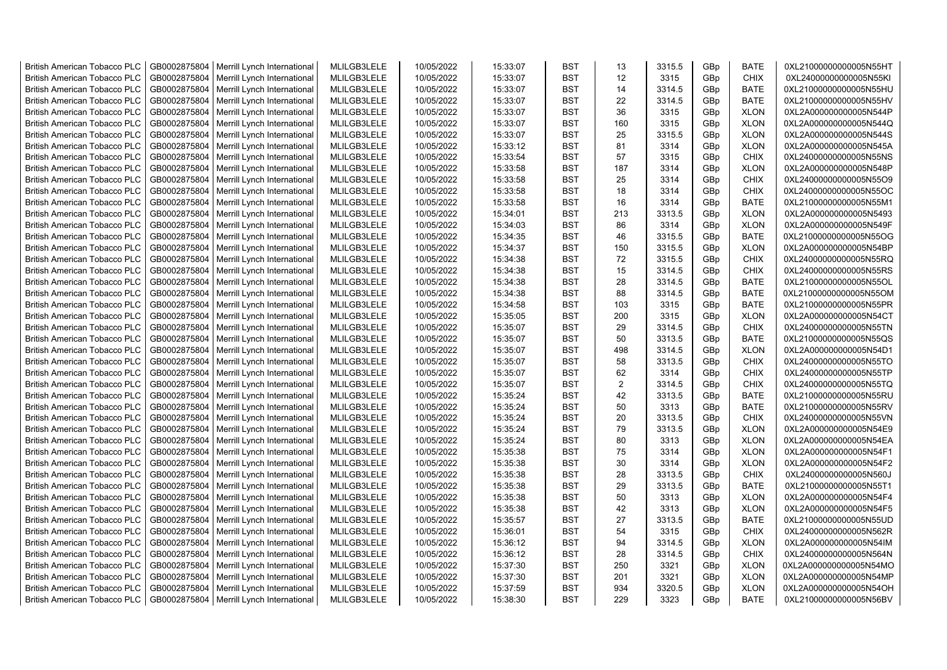| <b>British American Tobacco PLC</b> | GB0002875804 | Merrill Lynch International | MLILGB3LELE | 10/05/2022 | 15:33:07 | <b>BST</b> | 13             | 3315.5 | GBp | <b>BATE</b> | 0XL21000000000005N55HT |
|-------------------------------------|--------------|-----------------------------|-------------|------------|----------|------------|----------------|--------|-----|-------------|------------------------|
| <b>British American Tobacco PLC</b> | GB0002875804 | Merrill Lynch International | MLILGB3LELE | 10/05/2022 | 15:33:07 | <b>BST</b> | 12             | 3315   | GBp | <b>CHIX</b> | 0XL24000000000005N55KI |
| <b>British American Tobacco PLC</b> | GB0002875804 | Merrill Lynch International | MLILGB3LELE | 10/05/2022 | 15:33:07 | <b>BST</b> | 14             | 3314.5 | GBp | <b>BATE</b> | 0XL21000000000005N55HU |
| <b>British American Tobacco PLC</b> | GB0002875804 | Merrill Lynch International | MLILGB3LELE | 10/05/2022 | 15:33:07 | <b>BST</b> | 22             | 3314.5 | GBp | <b>BATE</b> | 0XL21000000000005N55HV |
| <b>British American Tobacco PLC</b> | GB0002875804 | Merrill Lynch International | MLILGB3LELE | 10/05/2022 | 15:33:07 | <b>BST</b> | 36             | 3315   | GBp | <b>XLON</b> | 0XL2A000000000005N544P |
| <b>British American Tobacco PLC</b> | GB0002875804 | Merrill Lynch International | MLILGB3LELE | 10/05/2022 | 15:33:07 | <b>BST</b> | 160            | 3315   | GBp | <b>XLON</b> | 0XL2A000000000005N544Q |
| <b>British American Tobacco PLC</b> | GB0002875804 | Merrill Lynch International | MLILGB3LELE | 10/05/2022 | 15:33:07 | <b>BST</b> | 25             | 3315.5 | GBp | <b>XLON</b> | 0XL2A000000000005N544S |
| <b>British American Tobacco PLC</b> | GB0002875804 | Merrill Lynch International | MLILGB3LELE | 10/05/2022 | 15:33:12 | <b>BST</b> | 81             | 3314   | GBp | <b>XLON</b> | 0XL2A000000000005N545A |
| <b>British American Tobacco PLC</b> | GB0002875804 | Merrill Lynch International | MLILGB3LELE | 10/05/2022 | 15:33:54 | <b>BST</b> | 57             | 3315   | GBp | <b>CHIX</b> | 0XL24000000000005N55NS |
| <b>British American Tobacco PLC</b> | GB0002875804 | Merrill Lynch International | MLILGB3LELE | 10/05/2022 | 15:33:58 | <b>BST</b> | 187            | 3314   | GBp | <b>XLON</b> | 0XL2A000000000005N548P |
| British American Tobacco PLC        | GB0002875804 | Merrill Lynch International | MLILGB3LELE | 10/05/2022 | 15:33:58 | <b>BST</b> | 25             | 3314   | GBp | <b>CHIX</b> | 0XL24000000000005N55O9 |
| <b>British American Tobacco PLC</b> | GB0002875804 | Merrill Lynch International | MLILGB3LELE | 10/05/2022 | 15:33:58 | <b>BST</b> | 18             | 3314   | GBp | <b>CHIX</b> | 0XL24000000000005N55OC |
| <b>British American Tobacco PLC</b> | GB0002875804 | Merrill Lynch International | MLILGB3LELE | 10/05/2022 | 15:33:58 | <b>BST</b> | 16             | 3314   | GBp | BATE        | 0XL21000000000005N55M1 |
| <b>British American Tobacco PLC</b> | GB0002875804 | Merrill Lynch International | MLILGB3LELE | 10/05/2022 | 15:34:01 | <b>BST</b> | 213            | 3313.5 | GBp | <b>XLON</b> | 0XL2A000000000005N5493 |
| <b>British American Tobacco PLC</b> | GB0002875804 | Merrill Lynch International | MLILGB3LELE | 10/05/2022 | 15:34:03 | <b>BST</b> | 86             | 3314   | GBp | <b>XLON</b> | 0XL2A000000000005N549F |
| <b>British American Tobacco PLC</b> | GB0002875804 | Merrill Lynch International | MLILGB3LELE | 10/05/2022 | 15:34:35 | <b>BST</b> | 46             | 3315.5 | GBp | <b>BATE</b> | 0XL21000000000005N55OG |
| <b>British American Tobacco PLC</b> | GB0002875804 | Merrill Lynch International | MLILGB3LELE | 10/05/2022 | 15:34:37 | <b>BST</b> | 150            | 3315.5 | GBp | <b>XLON</b> | 0XL2A000000000005N54BP |
| <b>British American Tobacco PLC</b> | GB0002875804 | Merrill Lynch International | MLILGB3LELE | 10/05/2022 | 15:34:38 | <b>BST</b> | 72             | 3315.5 | GBp | <b>CHIX</b> | 0XL24000000000005N55RQ |
| <b>British American Tobacco PLC</b> | GB0002875804 | Merrill Lynch International | MLILGB3LELE | 10/05/2022 | 15:34:38 | <b>BST</b> | 15             | 3314.5 | GBp | <b>CHIX</b> | 0XL24000000000005N55RS |
| <b>British American Tobacco PLC</b> | GB0002875804 | Merrill Lynch International | MLILGB3LELE | 10/05/2022 | 15:34:38 | <b>BST</b> | 28             | 3314.5 | GBp | <b>BATE</b> | 0XL21000000000005N55OL |
| <b>British American Tobacco PLC</b> | GB0002875804 | Merrill Lynch International | MLILGB3LELE | 10/05/2022 | 15:34:38 | <b>BST</b> | 88             | 3314.5 | GBp | <b>BATE</b> | 0XL21000000000005N55OM |
| <b>British American Tobacco PLC</b> | GB0002875804 | Merrill Lynch International | MLILGB3LELE | 10/05/2022 | 15:34:58 | <b>BST</b> | 103            | 3315   | GBp | <b>BATE</b> | 0XL21000000000005N55PR |
| <b>British American Tobacco PLC</b> | GB0002875804 | Merrill Lynch International | MLILGB3LELE | 10/05/2022 | 15:35:05 | <b>BST</b> | 200            | 3315   | GBp | <b>XLON</b> | 0XL2A000000000005N54CT |
| <b>British American Tobacco PLC</b> | GB0002875804 | Merrill Lynch International | MLILGB3LELE | 10/05/2022 | 15:35:07 | BST        | 29             | 3314.5 | GBp | <b>CHIX</b> | 0XL24000000000005N55TN |
| <b>British American Tobacco PLC</b> | GB0002875804 | Merrill Lynch International | MLILGB3LELE | 10/05/2022 | 15:35:07 | <b>BST</b> | 50             | 3313.5 | GBp | <b>BATE</b> | 0XL21000000000005N55QS |
| <b>British American Tobacco PLC</b> | GB0002875804 | Merrill Lynch International | MLILGB3LELE | 10/05/2022 | 15:35:07 | <b>BST</b> | 498            | 3314.5 | GBp | <b>XLON</b> | 0XL2A000000000005N54D1 |
| <b>British American Tobacco PLC</b> | GB0002875804 | Merrill Lynch International | MLILGB3LELE | 10/05/2022 | 15:35:07 | <b>BST</b> | 58             | 3313.5 | GBp | <b>CHIX</b> | 0XL24000000000005N55TO |
| British American Tobacco PLC        | GB0002875804 | Merrill Lynch International | MLILGB3LELE | 10/05/2022 | 15:35:07 | <b>BST</b> | 62             | 3314   | GBp | <b>CHIX</b> | 0XL24000000000005N55TP |
| <b>British American Tobacco PLC</b> | GB0002875804 | Merrill Lynch International | MLILGB3LELE | 10/05/2022 | 15:35:07 | <b>BST</b> | $\overline{2}$ | 3314.5 | GBp | <b>CHIX</b> | 0XL24000000000005N55TQ |
| <b>British American Tobacco PLC</b> | GB0002875804 | Merrill Lynch International | MLILGB3LELE | 10/05/2022 | 15:35:24 | <b>BST</b> | 42             | 3313.5 | GBp | <b>BATE</b> | 0XL21000000000005N55RU |
| <b>British American Tobacco PLC</b> | GB0002875804 | Merrill Lynch International | MLILGB3LELE | 10/05/2022 | 15:35:24 | <b>BST</b> | 50             | 3313   | GBp | <b>BATE</b> | 0XL21000000000005N55RV |
| <b>British American Tobacco PLC</b> | GB0002875804 | Merrill Lynch International | MLILGB3LELE | 10/05/2022 | 15:35:24 | <b>BST</b> | 20             | 3313.5 | GBp | <b>CHIX</b> | 0XL24000000000005N55VN |
| <b>British American Tobacco PLC</b> | GB0002875804 | Merrill Lynch International | MLILGB3LELE | 10/05/2022 | 15:35:24 | <b>BST</b> | 79             | 3313.5 | GBp | <b>XLON</b> | 0XL2A000000000005N54E9 |
| <b>British American Tobacco PLC</b> | GB0002875804 | Merrill Lynch International | MLILGB3LELE | 10/05/2022 | 15:35:24 | <b>BST</b> | 80             | 3313   | GBp | <b>XLON</b> | 0XL2A000000000005N54EA |
| <b>British American Tobacco PLC</b> | GB0002875804 | Merrill Lynch International | MLILGB3LELE | 10/05/2022 | 15:35:38 | <b>BST</b> | 75             | 3314   | GBp | <b>XLON</b> | 0XL2A000000000005N54F1 |
| <b>British American Tobacco PLC</b> | GB0002875804 | Merrill Lynch International | MLILGB3LELE | 10/05/2022 | 15:35:38 | <b>BST</b> | 30             | 3314   | GBp | <b>XLON</b> | 0XL2A000000000005N54F2 |
| <b>British American Tobacco PLC</b> | GB0002875804 | Merrill Lynch International | MLILGB3LELE | 10/05/2022 | 15:35:38 | <b>BST</b> | 28             | 3313.5 | GBp | <b>CHIX</b> | 0XL24000000000005N560J |
| <b>British American Tobacco PLC</b> | GB0002875804 | Merrill Lynch International | MLILGB3LELE | 10/05/2022 | 15:35:38 | <b>BST</b> | 29             | 3313.5 | GBp | <b>BATE</b> | 0XL21000000000005N55T1 |
| <b>British American Tobacco PLC</b> | GB0002875804 | Merrill Lynch International | MLILGB3LELE | 10/05/2022 | 15:35:38 | <b>BST</b> | 50             | 3313   | GBp | <b>XLON</b> | 0XL2A000000000005N54F4 |
| <b>British American Tobacco PLC</b> | GB0002875804 | Merrill Lynch International | MLILGB3LELE | 10/05/2022 | 15:35:38 | <b>BST</b> | 42             | 3313   | GBp | <b>XLON</b> | 0XL2A000000000005N54F5 |
| <b>British American Tobacco PLC</b> | GB0002875804 | Merrill Lynch International | MLILGB3LELE | 10/05/2022 | 15:35:57 | <b>BST</b> | 27             | 3313.5 | GBp | BATE        | 0XL21000000000005N55UD |
| <b>British American Tobacco PLC</b> | GB0002875804 | Merrill Lynch International | MLILGB3LELE | 10/05/2022 | 15:36:01 | <b>BST</b> | 54             | 3315   | GBp | <b>CHIX</b> | 0XL24000000000005N562R |
| <b>British American Tobacco PLC</b> | GB0002875804 | Merrill Lynch International | MLILGB3LELE | 10/05/2022 | 15:36:12 | <b>BST</b> | 94             | 3314.5 | GBp | <b>XLON</b> | 0XL2A000000000005N54IM |
| British American Tobacco PLC        | GB0002875804 | Merrill Lynch International | MLILGB3LELE | 10/05/2022 | 15:36:12 | <b>BST</b> | 28             | 3314.5 | GBp | <b>CHIX</b> | 0XL24000000000005N564N |
| <b>British American Tobacco PLC</b> | GB0002875804 | Merrill Lynch International | MLILGB3LELE | 10/05/2022 | 15:37:30 | <b>BST</b> | 250            | 3321   | GBp | <b>XLON</b> | 0XL2A000000000005N54MO |
| <b>British American Tobacco PLC</b> | GB0002875804 | Merrill Lynch International | MLILGB3LELE | 10/05/2022 | 15:37:30 | <b>BST</b> | 201            | 3321   | GBp | <b>XLON</b> | 0XL2A000000000005N54MP |
| <b>British American Tobacco PLC</b> | GB0002875804 | Merrill Lynch International | MLILGB3LELE | 10/05/2022 | 15:37:59 | <b>BST</b> | 934            | 3320.5 | GBp | <b>XLON</b> | 0XL2A000000000005N54OH |
| <b>British American Tobacco PLC</b> | GB0002875804 | Merrill Lynch International | MLILGB3LELE | 10/05/2022 | 15:38:30 | <b>BST</b> | 229            | 3323   | GBp | <b>BATE</b> | 0XL21000000000005N56BV |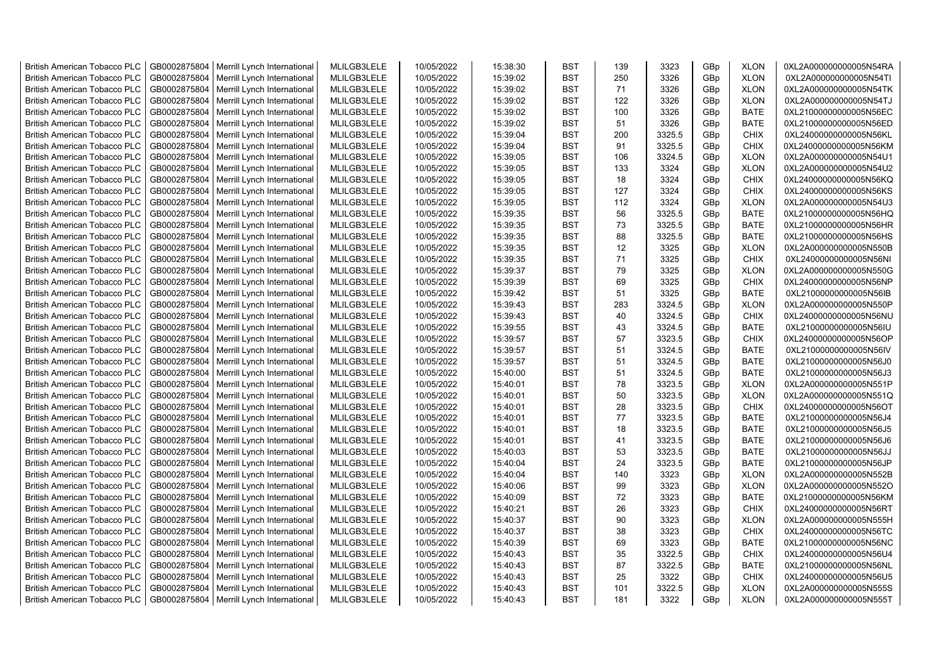| <b>British American Tobacco PLC</b> | GB0002875804 | Merrill Lynch International | MLILGB3LELE | 10/05/2022 | 15:38:30 | <b>BST</b> | 139 | 3323   | GBp             | <b>XLON</b> | 0XL2A000000000005N54RA |
|-------------------------------------|--------------|-----------------------------|-------------|------------|----------|------------|-----|--------|-----------------|-------------|------------------------|
| <b>British American Tobacco PLC</b> | GB0002875804 | Merrill Lynch International | MLILGB3LELE | 10/05/2022 | 15:39:02 | <b>BST</b> | 250 | 3326   | GBp             | <b>XLON</b> | 0XL2A000000000005N54TI |
| <b>British American Tobacco PLC</b> | GB0002875804 | Merrill Lynch International | MLILGB3LELE | 10/05/2022 | 15:39:02 | <b>BST</b> | 71  | 3326   | GBp             | <b>XLON</b> | 0XL2A000000000005N54TK |
| <b>British American Tobacco PLC</b> | GB0002875804 | Merrill Lynch International | MLILGB3LELE | 10/05/2022 | 15:39:02 | <b>BST</b> | 122 | 3326   | GBp             | <b>XLON</b> | 0XL2A000000000005N54TJ |
| <b>British American Tobacco PLC</b> | GB0002875804 | Merrill Lynch International | MLILGB3LELE | 10/05/2022 | 15:39:02 | <b>BST</b> | 100 | 3326   | GBp             | <b>BATE</b> | 0XL21000000000005N56EC |
| <b>British American Tobacco PLC</b> | GB0002875804 | Merrill Lynch International | MLILGB3LELE | 10/05/2022 | 15:39:02 | <b>BST</b> | 51  | 3326   | GBp             | <b>BATE</b> | 0XL21000000000005N56ED |
| <b>British American Tobacco PLC</b> | GB0002875804 | Merrill Lynch International | MLILGB3LELE | 10/05/2022 | 15:39:04 | <b>BST</b> | 200 | 3325.5 | GBp             | <b>CHIX</b> | 0XL24000000000005N56KL |
| <b>British American Tobacco PLC</b> | GB0002875804 | Merrill Lynch International | MLILGB3LELE | 10/05/2022 | 15:39:04 | <b>BST</b> | 91  | 3325.5 | GBp             | <b>CHIX</b> | 0XL24000000000005N56KM |
| <b>British American Tobacco PLC</b> | GB0002875804 | Merrill Lynch International | MLILGB3LELE | 10/05/2022 | 15:39:05 | <b>BST</b> | 106 | 3324.5 | GBp             | <b>XLON</b> | 0XL2A000000000005N54U1 |
| <b>British American Tobacco PLC</b> | GB0002875804 | Merrill Lynch International | MLILGB3LELE | 10/05/2022 | 15:39:05 | <b>BST</b> | 133 | 3324   | GBp             | <b>XLON</b> | 0XL2A000000000005N54U2 |
| <b>British American Tobacco PLC</b> | GB0002875804 | Merrill Lynch International | MLILGB3LELE | 10/05/2022 | 15:39:05 | <b>BST</b> | 18  | 3324   | GBp             | <b>CHIX</b> | 0XL24000000000005N56KQ |
| <b>British American Tobacco PLC</b> | GB0002875804 | Merrill Lynch International | MLILGB3LELE | 10/05/2022 | 15:39:05 | <b>BST</b> | 127 | 3324   | GBp             | <b>CHIX</b> | 0XL24000000000005N56KS |
| <b>British American Tobacco PLC</b> | GB0002875804 | Merrill Lynch International | MLILGB3LELE | 10/05/2022 | 15:39:05 | <b>BST</b> | 112 | 3324   | GBp             | <b>XLON</b> | 0XL2A000000000005N54U3 |
| <b>British American Tobacco PLC</b> | GB0002875804 | Merrill Lynch International | MLILGB3LELE | 10/05/2022 | 15:39:35 | <b>BST</b> | 56  | 3325.5 | GBp             | <b>BATE</b> | 0XL21000000000005N56HQ |
| <b>British American Tobacco PLC</b> | GB0002875804 | Merrill Lynch International | MLILGB3LELE | 10/05/2022 | 15:39:35 | <b>BST</b> | 73  | 3325.5 | GBp             | <b>BATE</b> | 0XL21000000000005N56HR |
| British American Tobacco PLC        | GB0002875804 | Merrill Lynch International | MLILGB3LELE | 10/05/2022 | 15:39:35 | <b>BST</b> | 88  | 3325.5 | GBp             | <b>BATE</b> | 0XL21000000000005N56HS |
| British American Tobacco PLC        | GB0002875804 | Merrill Lynch International | MLILGB3LELE | 10/05/2022 | 15:39:35 | <b>BST</b> | 12  | 3325   | GBp             | <b>XLON</b> | 0XL2A000000000005N550B |
| <b>British American Tobacco PLC</b> | GB0002875804 | Merrill Lynch International | MLILGB3LELE | 10/05/2022 | 15:39:35 | <b>BST</b> | 71  | 3325   | GBp             | <b>CHIX</b> | 0XL24000000000005N56NI |
| <b>British American Tobacco PLC</b> | GB0002875804 | Merrill Lynch International | MLILGB3LELE | 10/05/2022 | 15:39:37 | <b>BST</b> | 79  | 3325   | GBp             | <b>XLON</b> | 0XL2A000000000005N550G |
| <b>British American Tobacco PLC</b> | GB0002875804 | Merrill Lynch International | MLILGB3LELE | 10/05/2022 | 15:39:39 | <b>BST</b> | 69  | 3325   | GBp             | <b>CHIX</b> | 0XL24000000000005N56NP |
| <b>British American Tobacco PLC</b> | GB0002875804 | Merrill Lynch International | MLILGB3LELE | 10/05/2022 | 15:39:42 | <b>BST</b> | 51  | 3325   | GBp             | <b>BATE</b> | 0XL21000000000005N56IB |
| <b>British American Tobacco PLC</b> | GB0002875804 | Merrill Lynch International | MLILGB3LELE | 10/05/2022 | 15:39:43 | <b>BST</b> | 283 | 3324.5 | GBp             | <b>XLON</b> | 0XL2A000000000005N550P |
| British American Tobacco PLC        | GB0002875804 | Merrill Lynch International | MLILGB3LELE | 10/05/2022 | 15:39:43 | <b>BST</b> | 40  | 3324.5 | GBp             | <b>CHIX</b> | 0XL24000000000005N56NU |
| <b>British American Tobacco PLC</b> | GB0002875804 | Merrill Lynch International | MLILGB3LELE | 10/05/2022 | 15:39:55 | <b>BST</b> | 43  | 3324.5 | GBp             | <b>BATE</b> | 0XL21000000000005N56IU |
| <b>British American Tobacco PLC</b> | GB0002875804 | Merrill Lynch International | MLILGB3LELE | 10/05/2022 | 15:39:57 | <b>BST</b> | 57  | 3323.5 | GBp             | <b>CHIX</b> | 0XL24000000000005N56OP |
| <b>British American Tobacco PLC</b> | GB0002875804 | Merrill Lynch International | MLILGB3LELE | 10/05/2022 | 15:39:57 | <b>BST</b> | 51  | 3324.5 | GBp             | <b>BATE</b> | 0XL21000000000005N56IV |
| <b>British American Tobacco PLC</b> | GB0002875804 | Merrill Lynch International | MLILGB3LELE | 10/05/2022 | 15:39:57 | <b>BST</b> | 51  | 3324.5 | GBp             | <b>BATE</b> | 0XL21000000000005N56J0 |
| <b>British American Tobacco PLC</b> | GB0002875804 | Merrill Lynch International | MLILGB3LELE | 10/05/2022 | 15:40:00 | <b>BST</b> | 51  | 3324.5 | GBp             | <b>BATE</b> | 0XL21000000000005N56J3 |
| <b>British American Tobacco PLC</b> | GB0002875804 | Merrill Lynch International | MLILGB3LELE | 10/05/2022 | 15:40:01 | <b>BST</b> | 78  | 3323.5 | GBp             | <b>XLON</b> | 0XL2A000000000005N551P |
| <b>British American Tobacco PLC</b> | GB0002875804 | Merrill Lynch International | MLILGB3LELE | 10/05/2022 | 15:40:01 | <b>BST</b> | 50  | 3323.5 | GBp             | <b>XLON</b> | 0XL2A000000000005N551Q |
| <b>British American Tobacco PLC</b> | GB0002875804 | Merrill Lynch International | MLILGB3LELE | 10/05/2022 | 15:40:01 | <b>BST</b> | 28  | 3323.5 | GBp             | <b>CHIX</b> | 0XL24000000000005N56OT |
| <b>British American Tobacco PLC</b> | GB0002875804 | Merrill Lynch International | MLILGB3LELE | 10/05/2022 | 15:40:01 | <b>BST</b> | 77  | 3323.5 | GBp             | <b>BATE</b> | 0XL21000000000005N56J4 |
| <b>British American Tobacco PLC</b> | GB0002875804 | Merrill Lynch International | MLILGB3LELE | 10/05/2022 | 15:40:01 | <b>BST</b> | 18  | 3323.5 | GBp             | <b>BATE</b> | 0XL21000000000005N56J5 |
| <b>British American Tobacco PLC</b> | GB0002875804 | Merrill Lynch International | MLILGB3LELE | 10/05/2022 | 15:40:01 | <b>BST</b> | 41  | 3323.5 | GBp             | <b>BATE</b> | 0XL21000000000005N56J6 |
| <b>British American Tobacco PLC</b> | GB0002875804 | Merrill Lynch International | MLILGB3LELE | 10/05/2022 | 15:40:03 | <b>BST</b> | 53  | 3323.5 | GBp             | <b>BATE</b> | 0XL21000000000005N56JJ |
| British American Tobacco PLC        | GB0002875804 | Merrill Lynch International | MLILGB3LELE | 10/05/2022 | 15:40:04 | <b>BST</b> | 24  | 3323.5 | GBp             | <b>BATE</b> | 0XL21000000000005N56JP |
| <b>British American Tobacco PLC</b> | GB0002875804 | Merrill Lynch International | MLILGB3LELE | 10/05/2022 | 15:40:04 | <b>BST</b> | 140 | 3323   | GBp             | <b>XLON</b> | 0XL2A000000000005N552B |
| <b>British American Tobacco PLC</b> | GB0002875804 | Merrill Lynch International | MLILGB3LELE | 10/05/2022 | 15:40:06 | <b>BST</b> | 99  | 3323   | GBp             | <b>XLON</b> | 0XL2A000000000005N552O |
| <b>British American Tobacco PLC</b> | GB0002875804 | Merrill Lynch International | MLILGB3LELE | 10/05/2022 | 15:40:09 | <b>BST</b> | 72  | 3323   | GBp             | <b>BATE</b> | 0XL21000000000005N56KM |
| <b>British American Tobacco PLC</b> | GB0002875804 | Merrill Lynch International | MLILGB3LELE | 10/05/2022 | 15:40:21 | <b>BST</b> | 26  | 3323   | GBp             | <b>CHIX</b> | 0XL24000000000005N56RT |
| <b>British American Tobacco PLC</b> | GB0002875804 | Merrill Lynch International | MLILGB3LELE | 10/05/2022 | 15:40:37 | <b>BST</b> | 90  | 3323   | GBp             | <b>XLON</b> | 0XL2A000000000005N555H |
| <b>British American Tobacco PLC</b> | GB0002875804 | Merrill Lynch International | MLILGB3LELE | 10/05/2022 | 15:40:37 | <b>BST</b> | 38  | 3323   | GBp             | <b>CHIX</b> | 0XL24000000000005N56TC |
| <b>British American Tobacco PLC</b> | GB0002875804 | Merrill Lynch International | MLILGB3LELE | 10/05/2022 | 15:40:39 | <b>BST</b> | 69  | 3323   | GBp             | <b>BATE</b> | 0XL21000000000005N56NC |
| <b>British American Tobacco PLC</b> | GB0002875804 | Merrill Lynch International | MLILGB3LELE | 10/05/2022 | 15:40:43 | <b>BST</b> | 35  | 3322.5 | GBp             | <b>CHIX</b> | 0XL24000000000005N56U4 |
| <b>British American Tobacco PLC</b> | GB0002875804 | Merrill Lynch International | MLILGB3LELE | 10/05/2022 | 15:40:43 | <b>BST</b> | 87  | 3322.5 | GBp             | <b>BATE</b> | 0XL21000000000005N56NL |
| <b>British American Tobacco PLC</b> | GB0002875804 | Merrill Lynch International | MLILGB3LELE | 10/05/2022 | 15:40:43 | <b>BST</b> | 25  | 3322   | GBp             | <b>CHIX</b> | 0XL24000000000005N56U5 |
| <b>British American Tobacco PLC</b> | GB0002875804 | Merrill Lynch International | MLILGB3LELE | 10/05/2022 | 15:40:43 | <b>BST</b> | 101 | 3322.5 | GBp             | <b>XLON</b> | 0XL2A000000000005N555S |
| <b>British American Tobacco PLC</b> | GB0002875804 | Merrill Lynch International | MLILGB3LELE | 10/05/2022 | 15:40:43 | <b>BST</b> | 181 | 3322   | GB <sub>p</sub> | <b>XLON</b> | 0XL2A000000000005N555T |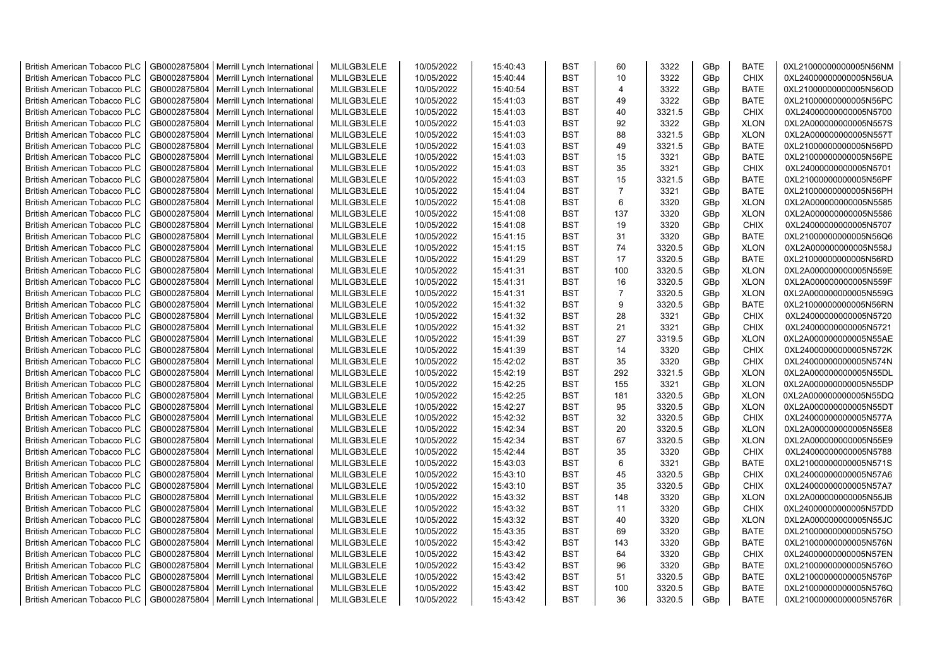| <b>British American Tobacco PLC</b> | GB0002875804 | Merrill Lynch International | MLILGB3LELE | 10/05/2022 | 15:40:43 | <b>BST</b> | 60             | 3322   | GBp             | <b>BATE</b> | 0XL21000000000005N56NM |
|-------------------------------------|--------------|-----------------------------|-------------|------------|----------|------------|----------------|--------|-----------------|-------------|------------------------|
| <b>British American Tobacco PLC</b> | GB0002875804 | Merrill Lynch International | MLILGB3LELE | 10/05/2022 | 15:40:44 | <b>BST</b> | 10             | 3322   | GBp             | <b>CHIX</b> | 0XL24000000000005N56UA |
| <b>British American Tobacco PLC</b> | GB0002875804 | Merrill Lynch International | MLILGB3LELE | 10/05/2022 | 15:40:54 | <b>BST</b> | $\overline{4}$ | 3322   | GBp             | <b>BATE</b> | 0XL21000000000005N56OD |
| <b>British American Tobacco PLC</b> | GB0002875804 | Merrill Lynch International | MLILGB3LELE | 10/05/2022 | 15:41:03 | <b>BST</b> | 49             | 3322   | GBp             | <b>BATE</b> | 0XL21000000000005N56PC |
| <b>British American Tobacco PLC</b> | GB0002875804 | Merrill Lynch International | MLILGB3LELE | 10/05/2022 | 15:41:03 | <b>BST</b> | 40             | 3321.5 | GBp             | <b>CHIX</b> | 0XL24000000000005N5700 |
| <b>British American Tobacco PLC</b> | GB0002875804 | Merrill Lynch International | MLILGB3LELE | 10/05/2022 | 15:41:03 | <b>BST</b> | 92             | 3322   | GBp             | <b>XLON</b> | 0XL2A000000000005N557S |
| <b>British American Tobacco PLC</b> | GB0002875804 | Merrill Lynch International | MLILGB3LELE | 10/05/2022 | 15:41:03 | <b>BST</b> | 88             | 3321.5 | GBp             | <b>XLON</b> | 0XL2A000000000005N557T |
| <b>British American Tobacco PLC</b> | GB0002875804 | Merrill Lynch International | MLILGB3LELE | 10/05/2022 | 15:41:03 | <b>BST</b> | 49             | 3321.5 | GBp             | <b>BATE</b> | 0XL21000000000005N56PD |
| <b>British American Tobacco PLC</b> | GB0002875804 | Merrill Lynch International | MLILGB3LELE | 10/05/2022 | 15:41:03 | <b>BST</b> | 15             | 3321   | GBp             | <b>BATE</b> | 0XL21000000000005N56PE |
| <b>British American Tobacco PLC</b> | GB0002875804 | Merrill Lynch International | MLILGB3LELE | 10/05/2022 | 15:41:03 | <b>BST</b> | 35             | 3321   | GBp             | <b>CHIX</b> | 0XL24000000000005N5701 |
| <b>British American Tobacco PLC</b> | GB0002875804 | Merrill Lynch International | MLILGB3LELE | 10/05/2022 | 15:41:03 | <b>BST</b> | 15             | 3321.5 | GBp             | <b>BATE</b> | 0XL21000000000005N56PF |
| <b>British American Tobacco PLC</b> | GB0002875804 | Merrill Lynch International | MLILGB3LELE | 10/05/2022 | 15:41:04 | <b>BST</b> | $\overline{7}$ | 3321   | GBp             | <b>BATE</b> | 0XL21000000000005N56PH |
| <b>British American Tobacco PLC</b> | GB0002875804 | Merrill Lynch International | MLILGB3LELE | 10/05/2022 | 15:41:08 | <b>BST</b> | 6              | 3320   | GBp             | <b>XLON</b> | 0XL2A000000000005N5585 |
| <b>British American Tobacco PLC</b> | GB0002875804 | Merrill Lynch International | MLILGB3LELE | 10/05/2022 | 15:41:08 | <b>BST</b> | 137            | 3320   | GBp             | <b>XLON</b> | 0XL2A000000000005N5586 |
| <b>British American Tobacco PLC</b> | GB0002875804 | Merrill Lynch International | MLILGB3LELE | 10/05/2022 | 15:41:08 | <b>BST</b> | 19             | 3320   | GBp             | <b>CHIX</b> | 0XL24000000000005N5707 |
| <b>British American Tobacco PLC</b> | GB0002875804 | Merrill Lynch International | MLILGB3LELE | 10/05/2022 | 15:41:15 | <b>BST</b> | 31             | 3320   | GBp             | <b>BATE</b> | 0XL21000000000005N56Q6 |
| <b>British American Tobacco PLC</b> | GB0002875804 | Merrill Lynch International | MLILGB3LELE | 10/05/2022 | 15:41:15 | <b>BST</b> | 74             | 3320.5 | GBp             | <b>XLON</b> | 0XL2A000000000005N558J |
| <b>British American Tobacco PLC</b> | GB0002875804 | Merrill Lynch International | MLILGB3LELE | 10/05/2022 | 15:41:29 | <b>BST</b> | 17             | 3320.5 | GBp             | <b>BATE</b> | 0XL21000000000005N56RD |
| <b>British American Tobacco PLC</b> | GB0002875804 | Merrill Lynch International | MLILGB3LELE | 10/05/2022 | 15:41:31 | <b>BST</b> | 100            | 3320.5 | GBp             | <b>XLON</b> | 0XL2A000000000005N559E |
| <b>British American Tobacco PLC</b> | GB0002875804 | Merrill Lynch International | MLILGB3LELE | 10/05/2022 | 15:41:31 | <b>BST</b> | 16             | 3320.5 | GBp             | <b>XLON</b> | 0XL2A000000000005N559F |
| <b>British American Tobacco PLC</b> | GB0002875804 | Merrill Lynch International | MLILGB3LELE | 10/05/2022 | 15:41:31 | <b>BST</b> | $\overline{7}$ | 3320.5 | GBp             | <b>XLON</b> | 0XL2A000000000005N559G |
| <b>British American Tobacco PLC</b> | GB0002875804 | Merrill Lynch International | MLILGB3LELE | 10/05/2022 | 15:41:32 | <b>BST</b> | 9              | 3320.5 | GBp             | <b>BATE</b> | 0XL21000000000005N56RN |
| British American Tobacco PLC        | GB0002875804 | Merrill Lynch International | MLILGB3LELE | 10/05/2022 | 15:41:32 | <b>BST</b> | 28             | 3321   | GBp             | <b>CHIX</b> | 0XL24000000000005N5720 |
| British American Tobacco PLC        | GB0002875804 | Merrill Lynch International | MLILGB3LELE | 10/05/2022 | 15:41:32 | <b>BST</b> | 21             | 3321   | GBp             | <b>CHIX</b> | 0XL24000000000005N5721 |
| <b>British American Tobacco PLC</b> | GB0002875804 | Merrill Lynch International | MLILGB3LELE | 10/05/2022 | 15:41:39 | <b>BST</b> | 27             | 3319.5 | GBp             | <b>XLON</b> | 0XL2A000000000005N55AE |
| <b>British American Tobacco PLC</b> | GB0002875804 | Merrill Lynch International | MLILGB3LELE | 10/05/2022 | 15:41:39 | <b>BST</b> | 14             | 3320   | GBp             | <b>CHIX</b> | 0XL24000000000005N572K |
| <b>British American Tobacco PLC</b> | GB0002875804 | Merrill Lynch International | MLILGB3LELE | 10/05/2022 | 15:42:02 | <b>BST</b> | 35             | 3320   | GBp             | <b>CHIX</b> | 0XL24000000000005N574N |
| <b>British American Tobacco PLC</b> | GB0002875804 | Merrill Lynch International | MLILGB3LELE | 10/05/2022 | 15:42:19 | <b>BST</b> | 292            | 3321.5 | GBp             | <b>XLON</b> | 0XL2A000000000005N55DL |
| <b>British American Tobacco PLC</b> | GB0002875804 | Merrill Lynch International | MLILGB3LELE | 10/05/2022 | 15:42:25 | <b>BST</b> | 155            | 3321   | GBp             | <b>XLON</b> | 0XL2A000000000005N55DP |
| <b>British American Tobacco PLC</b> | GB0002875804 | Merrill Lynch International | MLILGB3LELE | 10/05/2022 | 15:42:25 | <b>BST</b> | 181            | 3320.5 | GBp             | <b>XLON</b> | 0XL2A000000000005N55DQ |
| <b>British American Tobacco PLC</b> | GB0002875804 | Merrill Lynch International | MLILGB3LELE | 10/05/2022 | 15:42:27 | <b>BST</b> | 95             | 3320.5 | GBp             | <b>XLON</b> | 0XL2A000000000005N55DT |
| <b>British American Tobacco PLC</b> | GB0002875804 | Merrill Lynch International | MLILGB3LELE | 10/05/2022 | 15:42:32 | <b>BST</b> | 32             | 3320.5 | GBp             | <b>CHIX</b> | 0XL24000000000005N577A |
| <b>British American Tobacco PLC</b> | GB0002875804 | Merrill Lynch International | MLILGB3LELE | 10/05/2022 | 15:42:34 | BST        | 20             | 3320.5 | GBp             | <b>XLON</b> | 0XL2A000000000005N55E8 |
| <b>British American Tobacco PLC</b> | GB0002875804 | Merrill Lynch International | MLILGB3LELE | 10/05/2022 | 15:42:34 | <b>BST</b> | 67             | 3320.5 | GBp             | <b>XLON</b> | 0XL2A000000000005N55E9 |
| <b>British American Tobacco PLC</b> | GB0002875804 | Merrill Lynch International | MLILGB3LELE | 10/05/2022 | 15:42:44 | <b>BST</b> | 35             | 3320   | GBp             | <b>CHIX</b> | 0XL24000000000005N5788 |
| <b>British American Tobacco PLC</b> | GB0002875804 | Merrill Lynch International | MLILGB3LELE | 10/05/2022 | 15:43:03 | <b>BST</b> | 6              | 3321   | GBp             | <b>BATE</b> | 0XL21000000000005N571S |
| <b>British American Tobacco PLC</b> | GB0002875804 | Merrill Lynch International | MLILGB3LELE | 10/05/2022 | 15:43:10 | <b>BST</b> | 45             | 3320.5 | GBp             | <b>CHIX</b> | 0XL24000000000005N57A6 |
| <b>British American Tobacco PLC</b> | GB0002875804 | Merrill Lynch International | MLILGB3LELE | 10/05/2022 | 15:43:10 | <b>BST</b> | 35             | 3320.5 | GBp             | <b>CHIX</b> | 0XL24000000000005N57A7 |
| <b>British American Tobacco PLC</b> | GB0002875804 | Merrill Lynch International | MLILGB3LELE | 10/05/2022 | 15:43:32 | <b>BST</b> | 148            | 3320   | GBp             | <b>XLON</b> | 0XL2A000000000005N55JB |
| <b>British American Tobacco PLC</b> | GB0002875804 | Merrill Lynch International | MLILGB3LELE | 10/05/2022 | 15:43:32 | <b>BST</b> | 11             | 3320   | GBp             | <b>CHIX</b> | 0XL24000000000005N57DD |
| <b>British American Tobacco PLC</b> | GB0002875804 | Merrill Lynch International | MLILGB3LELE | 10/05/2022 | 15:43:32 | <b>BST</b> | 40             | 3320   | GBp             | <b>XLON</b> | 0XL2A000000000005N55JC |
| <b>British American Tobacco PLC</b> | GB0002875804 | Merrill Lynch International | MLILGB3LELE | 10/05/2022 | 15:43:35 | <b>BST</b> | 69             | 3320   | GBp             | <b>BATE</b> | 0XL21000000000005N575O |
| <b>British American Tobacco PLC</b> | GB0002875804 | Merrill Lynch International | MLILGB3LELE | 10/05/2022 | 15:43:42 | <b>BST</b> | 143            | 3320   | GBp             | <b>BATE</b> | 0XL21000000000005N576N |
| <b>British American Tobacco PLC</b> | GB0002875804 | Merrill Lynch International | MLILGB3LELE | 10/05/2022 | 15:43:42 | <b>BST</b> | 64             | 3320   | GBp             | <b>CHIX</b> | 0XL24000000000005N57EN |
| <b>British American Tobacco PLC</b> | GB0002875804 | Merrill Lynch International | MLILGB3LELE | 10/05/2022 | 15:43:42 | <b>BST</b> | 96             | 3320   | GBp             | <b>BATE</b> | 0XL21000000000005N576O |
| <b>British American Tobacco PLC</b> | GB0002875804 | Merrill Lynch International | MLILGB3LELE | 10/05/2022 | 15:43:42 | <b>BST</b> | 51             | 3320.5 | GBp             | <b>BATE</b> | 0XL21000000000005N576P |
| <b>British American Tobacco PLC</b> | GB0002875804 | Merrill Lynch International | MLILGB3LELE | 10/05/2022 | 15:43:42 | <b>BST</b> | 100            | 3320.5 | GBp             | <b>BATE</b> | 0XL21000000000005N576Q |
| <b>British American Tobacco PLC</b> | GB0002875804 | Merrill Lynch International | MLILGB3LELE | 10/05/2022 | 15:43:42 | <b>BST</b> | 36             | 3320.5 | GB <sub>p</sub> | <b>BATE</b> | 0XL21000000000005N576R |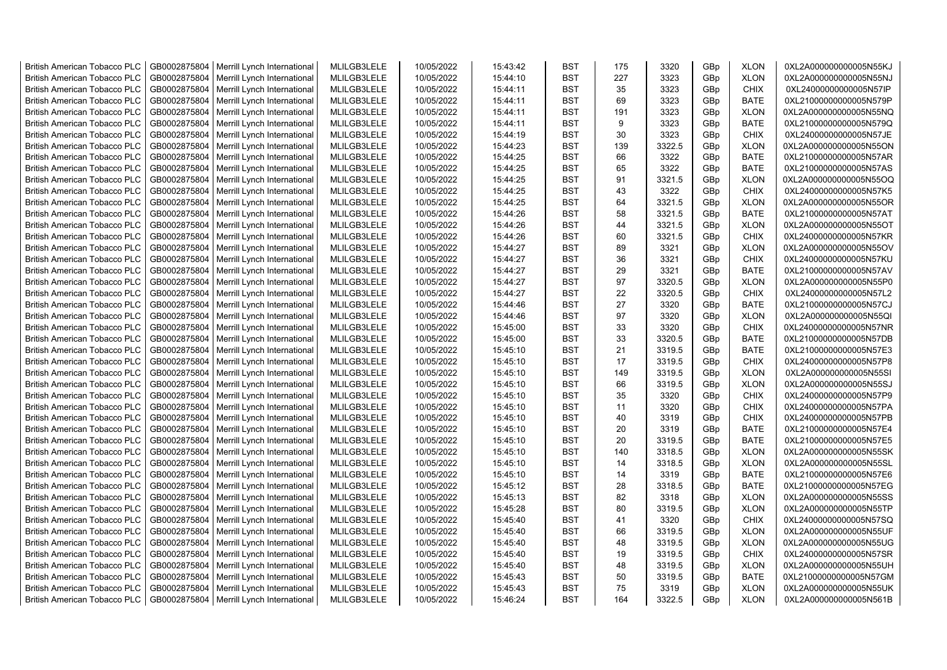| <b>British American Tobacco PLC</b> | GB0002875804 | Merrill Lynch International | MLILGB3LELE | 10/05/2022 | 15:43:42 | <b>BST</b> | 175 | 3320   | GBp             | <b>XLON</b> | 0XL2A000000000005N55KJ |
|-------------------------------------|--------------|-----------------------------|-------------|------------|----------|------------|-----|--------|-----------------|-------------|------------------------|
| <b>British American Tobacco PLC</b> | GB0002875804 | Merrill Lynch International | MLILGB3LELE | 10/05/2022 | 15:44:10 | <b>BST</b> | 227 | 3323   | GBp             | <b>XLON</b> | 0XL2A000000000005N55NJ |
| <b>British American Tobacco PLC</b> | GB0002875804 | Merrill Lynch International | MLILGB3LELE | 10/05/2022 | 15:44:11 | <b>BST</b> | 35  | 3323   | GBp             | <b>CHIX</b> | 0XL24000000000005N57IP |
| <b>British American Tobacco PLC</b> | GB0002875804 | Merrill Lynch International | MLILGB3LELE | 10/05/2022 | 15:44:11 | <b>BST</b> | 69  | 3323   | GBp             | <b>BATE</b> | 0XL21000000000005N579P |
| <b>British American Tobacco PLC</b> | GB0002875804 | Merrill Lynch International | MLILGB3LELE | 10/05/2022 | 15:44:11 | <b>BST</b> | 191 | 3323   | GBp             | <b>XLON</b> | 0XL2A000000000005N55NQ |
| <b>British American Tobacco PLC</b> | GB0002875804 | Merrill Lynch International | MLILGB3LELE | 10/05/2022 | 15:44:11 | <b>BST</b> | 9   | 3323   | GBp             | <b>BATE</b> | 0XL21000000000005N579Q |
| <b>British American Tobacco PLC</b> | GB0002875804 | Merrill Lynch International | MLILGB3LELE | 10/05/2022 | 15:44:19 | <b>BST</b> | 30  | 3323   | GBp             | <b>CHIX</b> | 0XL24000000000005N57JE |
| <b>British American Tobacco PLC</b> | GB0002875804 | Merrill Lynch International | MLILGB3LELE | 10/05/2022 | 15:44:23 | <b>BST</b> | 139 | 3322.5 | GBp             | <b>XLON</b> | 0XL2A000000000005N55ON |
| <b>British American Tobacco PLC</b> | GB0002875804 | Merrill Lynch International | MLILGB3LELE | 10/05/2022 | 15:44:25 | <b>BST</b> | 66  | 3322   | GBp             | <b>BATE</b> | 0XL21000000000005N57AR |
| <b>British American Tobacco PLC</b> | GB0002875804 | Merrill Lynch International | MLILGB3LELE | 10/05/2022 | 15:44:25 | <b>BST</b> | 65  | 3322   | GBp             | <b>BATE</b> | 0XL21000000000005N57AS |
| <b>British American Tobacco PLC</b> | GB0002875804 | Merrill Lynch International | MLILGB3LELE | 10/05/2022 | 15:44:25 | <b>BST</b> | 91  | 3321.5 | GBp             | <b>XLON</b> | 0XL2A000000000005N55OQ |
| <b>British American Tobacco PLC</b> | GB0002875804 | Merrill Lynch International | MLILGB3LELE | 10/05/2022 | 15:44:25 | <b>BST</b> | 43  | 3322   | GBp             | CHIX        | 0XL24000000000005N57K5 |
| <b>British American Tobacco PLC</b> | GB0002875804 | Merrill Lynch International | MLILGB3LELE | 10/05/2022 | 15:44:25 | <b>BST</b> | 64  | 3321.5 | GBp             | <b>XLON</b> | 0XL2A000000000005N55OR |
| <b>British American Tobacco PLC</b> | GB0002875804 | Merrill Lynch International | MLILGB3LELE | 10/05/2022 | 15:44:26 | <b>BST</b> | 58  | 3321.5 | GBp             | <b>BATE</b> | 0XL21000000000005N57AT |
| <b>British American Tobacco PLC</b> | GB0002875804 | Merrill Lynch International | MLILGB3LELE | 10/05/2022 | 15:44:26 | <b>BST</b> | 44  | 3321.5 | GBp             | <b>XLON</b> | 0XL2A000000000005N55OT |
| British American Tobacco PLC        | GB0002875804 | Merrill Lynch International | MLILGB3LELE | 10/05/2022 | 15:44:26 | <b>BST</b> | 60  | 3321.5 | GBp             | <b>CHIX</b> | 0XL24000000000005N57KR |
| British American Tobacco PLC        | GB0002875804 | Merrill Lynch International | MLILGB3LELE | 10/05/2022 | 15:44:27 | <b>BST</b> | 89  | 3321   | GBp             | <b>XLON</b> | 0XL2A000000000005N55OV |
| <b>British American Tobacco PLC</b> | GB0002875804 | Merrill Lynch International | MLILGB3LELE | 10/05/2022 | 15:44:27 | <b>BST</b> | 36  | 3321   | GBp             | <b>CHIX</b> | 0XL24000000000005N57KU |
| <b>British American Tobacco PLC</b> | GB0002875804 | Merrill Lynch International | MLILGB3LELE | 10/05/2022 | 15:44:27 | <b>BST</b> | 29  | 3321   | GBp             | <b>BATE</b> | 0XL21000000000005N57AV |
| <b>British American Tobacco PLC</b> | GB0002875804 | Merrill Lynch International | MLILGB3LELE | 10/05/2022 | 15:44:27 | <b>BST</b> | 97  | 3320.5 | GBp             | <b>XLON</b> | 0XL2A000000000005N55P0 |
| <b>British American Tobacco PLC</b> | GB0002875804 | Merrill Lynch International | MLILGB3LELE | 10/05/2022 | 15:44:27 | <b>BST</b> | 22  | 3320.5 | GBp             | <b>CHIX</b> | 0XL24000000000005N57L2 |
| <b>British American Tobacco PLC</b> | GB0002875804 | Merrill Lynch International | MLILGB3LELE | 10/05/2022 | 15:44:46 | <b>BST</b> | 27  | 3320   | GBp             | <b>BATE</b> | 0XL21000000000005N57CJ |
| <b>British American Tobacco PLC</b> | GB0002875804 | Merrill Lynch International | MLILGB3LELE | 10/05/2022 | 15:44:46 | <b>BST</b> | 97  | 3320   | GBp             | <b>XLON</b> | 0XL2A000000000005N55QI |
| <b>British American Tobacco PLC</b> | GB0002875804 | Merrill Lynch International | MLILGB3LELE | 10/05/2022 | 15:45:00 | <b>BST</b> | 33  | 3320   | GBp             | <b>CHIX</b> | 0XL24000000000005N57NR |
| <b>British American Tobacco PLC</b> | GB0002875804 | Merrill Lynch International | MLILGB3LELE | 10/05/2022 | 15:45:00 | <b>BST</b> | 33  | 3320.5 | GBp             | <b>BATE</b> | 0XL21000000000005N57DB |
| <b>British American Tobacco PLC</b> | GB0002875804 | Merrill Lynch International | MLILGB3LELE | 10/05/2022 | 15:45:10 | <b>BST</b> | 21  | 3319.5 | GBp             | <b>BATE</b> | 0XL21000000000005N57E3 |
| <b>British American Tobacco PLC</b> | GB0002875804 | Merrill Lynch International | MLILGB3LELE | 10/05/2022 | 15:45:10 | <b>BST</b> | 17  | 3319.5 | GBp             | <b>CHIX</b> | 0XL24000000000005N57P8 |
| <b>British American Tobacco PLC</b> | GB0002875804 | Merrill Lynch International | MLILGB3LELE | 10/05/2022 | 15:45:10 | <b>BST</b> | 149 | 3319.5 | GBp             | <b>XLON</b> | 0XL2A000000000005N55SI |
| <b>British American Tobacco PLC</b> | GB0002875804 | Merrill Lynch International | MLILGB3LELE | 10/05/2022 | 15:45:10 | <b>BST</b> | 66  | 3319.5 | GBp             | <b>XLON</b> | 0XL2A000000000005N55SJ |
| <b>British American Tobacco PLC</b> | GB0002875804 | Merrill Lynch International | MLILGB3LELE | 10/05/2022 | 15:45:10 | <b>BST</b> | 35  | 3320   | GBp             | <b>CHIX</b> | 0XL24000000000005N57P9 |
| <b>British American Tobacco PLC</b> | GB0002875804 | Merrill Lynch International | MLILGB3LELE | 10/05/2022 | 15:45:10 | <b>BST</b> | 11  | 3320   | GBp             | <b>CHIX</b> | 0XL24000000000005N57PA |
| <b>British American Tobacco PLC</b> | GB0002875804 | Merrill Lynch International | MLILGB3LELE | 10/05/2022 | 15:45:10 | <b>BST</b> | 40  | 3319   | GBp             | <b>CHIX</b> | 0XL24000000000005N57PB |
| <b>British American Tobacco PLC</b> | GB0002875804 | Merrill Lynch International | MLILGB3LELE | 10/05/2022 | 15:45:10 | <b>BST</b> | 20  | 3319   | GBp             | <b>BATE</b> | 0XL21000000000005N57E4 |
| <b>British American Tobacco PLC</b> | GB0002875804 | Merrill Lynch International | MLILGB3LELE | 10/05/2022 | 15:45:10 | <b>BST</b> | 20  | 3319.5 | GBp             | <b>BATE</b> | 0XL21000000000005N57E5 |
| <b>British American Tobacco PLC</b> | GB0002875804 | Merrill Lynch International | MLILGB3LELE | 10/05/2022 | 15:45:10 | <b>BST</b> | 140 | 3318.5 | GBp             | <b>XLON</b> | 0XL2A000000000005N55SK |
| British American Tobacco PLC        | GB0002875804 | Merrill Lynch International | MLILGB3LELE | 10/05/2022 | 15:45:10 | <b>BST</b> | 14  | 3318.5 | GBp             | <b>XLON</b> | 0XL2A000000000005N55SL |
| <b>British American Tobacco PLC</b> | GB0002875804 | Merrill Lynch International | MLILGB3LELE | 10/05/2022 | 15:45:10 | <b>BST</b> | 14  | 3319   | GBp             | <b>BATE</b> | 0XL21000000000005N57E6 |
| <b>British American Tobacco PLC</b> | GB0002875804 | Merrill Lynch International | MLILGB3LELE | 10/05/2022 | 15:45:12 | <b>BST</b> | 28  | 3318.5 | GBp             | <b>BATE</b> | 0XL21000000000005N57EG |
| <b>British American Tobacco PLC</b> | GB0002875804 | Merrill Lynch International | MLILGB3LELE | 10/05/2022 | 15:45:13 | <b>BST</b> | 82  | 3318   | GBp             | <b>XLON</b> | 0XL2A000000000005N55SS |
| <b>British American Tobacco PLC</b> | GB0002875804 | Merrill Lynch International | MLILGB3LELE | 10/05/2022 | 15:45:28 | <b>BST</b> | 80  | 3319.5 | GBp             | <b>XLON</b> | 0XL2A000000000005N55TP |
| <b>British American Tobacco PLC</b> | GB0002875804 | Merrill Lynch International | MLILGB3LELE | 10/05/2022 | 15:45:40 | <b>BST</b> | 41  | 3320   | GBp             | <b>CHIX</b> | 0XL24000000000005N57SQ |
| <b>British American Tobacco PLC</b> | GB0002875804 | Merrill Lynch International | MLILGB3LELE | 10/05/2022 | 15:45:40 | <b>BST</b> | 66  | 3319.5 | GBp             | <b>XLON</b> | 0XL2A000000000005N55UF |
| <b>British American Tobacco PLC</b> | GB0002875804 | Merrill Lynch International | MLILGB3LELE | 10/05/2022 | 15:45:40 | <b>BST</b> | 48  | 3319.5 | GBp             | <b>XLON</b> | 0XL2A000000000005N55UG |
| <b>British American Tobacco PLC</b> | GB0002875804 | Merrill Lynch International | MLILGB3LELE | 10/05/2022 | 15:45:40 | <b>BST</b> | 19  | 3319.5 | GBp             | <b>CHIX</b> | 0XL24000000000005N57SR |
| <b>British American Tobacco PLC</b> | GB0002875804 | Merrill Lynch International | MLILGB3LELE | 10/05/2022 | 15:45:40 | <b>BST</b> | 48  | 3319.5 | GBp             | <b>XLON</b> | 0XL2A000000000005N55UH |
| <b>British American Tobacco PLC</b> | GB0002875804 | Merrill Lynch International | MLILGB3LELE | 10/05/2022 | 15:45:43 | <b>BST</b> | 50  | 3319.5 | GBp             | <b>BATE</b> | 0XL21000000000005N57GM |
| <b>British American Tobacco PLC</b> | GB0002875804 | Merrill Lynch International | MLILGB3LELE | 10/05/2022 | 15:45:43 | <b>BST</b> | 75  | 3319   | GBp             | <b>XLON</b> | 0XL2A000000000005N55UK |
| <b>British American Tobacco PLC</b> | GB0002875804 | Merrill Lynch International | MLILGB3LELE | 10/05/2022 | 15:46:24 | <b>BST</b> | 164 | 3322.5 | GB <sub>p</sub> | <b>XLON</b> | 0XL2A000000000005N561B |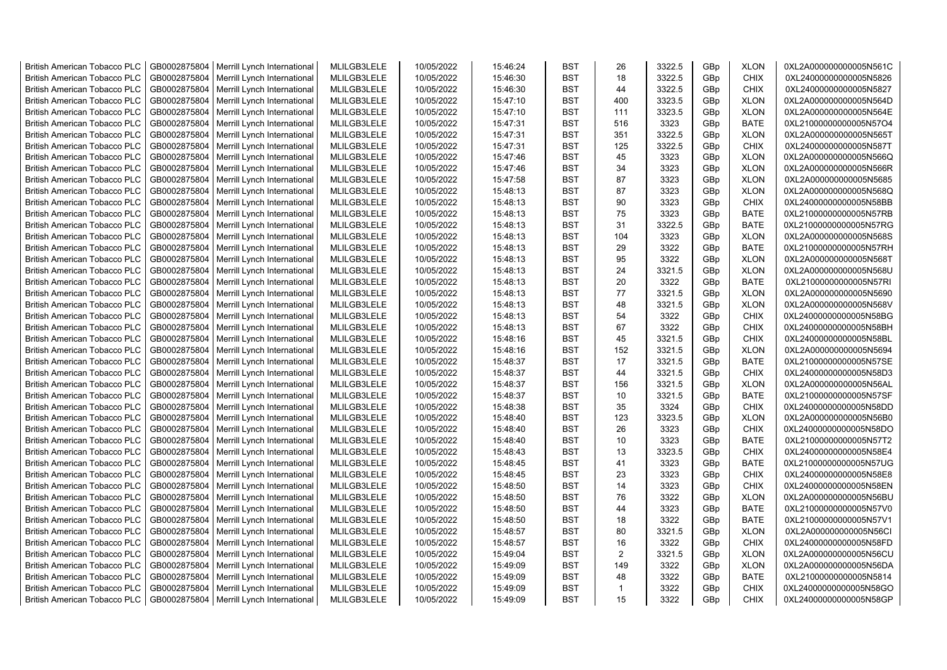| <b>British American Tobacco PLC</b> | GB0002875804 | Merrill Lynch International                | MLILGB3LELE | 10/05/2022 | 15:46:24 | <b>BST</b> | 26             | 3322.5 | GBp | <b>XLON</b> | 0XL2A000000000005N561C |
|-------------------------------------|--------------|--------------------------------------------|-------------|------------|----------|------------|----------------|--------|-----|-------------|------------------------|
| <b>British American Tobacco PLC</b> | GB0002875804 | Merrill Lynch International                | MLILGB3LELE | 10/05/2022 | 15:46:30 | <b>BST</b> | 18             | 3322.5 | GBp | <b>CHIX</b> | 0XL24000000000005N5826 |
| <b>British American Tobacco PLC</b> | GB0002875804 | Merrill Lynch International                | MLILGB3LELE | 10/05/2022 | 15:46:30 | <b>BST</b> | 44             | 3322.5 | GBp | <b>CHIX</b> | 0XL24000000000005N5827 |
| <b>British American Tobacco PLC</b> | GB0002875804 | Merrill Lynch International                | MLILGB3LELE | 10/05/2022 | 15:47:10 | <b>BST</b> | 400            | 3323.5 | GBp | <b>XLON</b> | 0XL2A000000000005N564D |
| <b>British American Tobacco PLC</b> | GB0002875804 | Merrill Lynch International                | MLILGB3LELE | 10/05/2022 | 15:47:10 | <b>BST</b> | 111            | 3323.5 | GBp | <b>XLON</b> | 0XL2A000000000005N564E |
| <b>British American Tobacco PLC</b> | GB0002875804 | Merrill Lynch International                | MLILGB3LELE | 10/05/2022 | 15:47:31 | <b>BST</b> | 516            | 3323   | GBp | <b>BATE</b> | 0XL21000000000005N57O4 |
| <b>British American Tobacco PLC</b> | GB0002875804 | Merrill Lynch International                | MLILGB3LELE | 10/05/2022 | 15:47:31 | <b>BST</b> | 351            | 3322.5 | GBp | <b>XLON</b> | 0XL2A000000000005N565T |
| <b>British American Tobacco PLC</b> | GB0002875804 | Merrill Lynch International                | MLILGB3LELE | 10/05/2022 | 15:47:31 | <b>BST</b> | 125            | 3322.5 | GBp | <b>CHIX</b> | 0XL24000000000005N587T |
| <b>British American Tobacco PLC</b> | GB0002875804 | Merrill Lynch International                | MLILGB3LELE | 10/05/2022 | 15:47:46 | <b>BST</b> | 45             | 3323   | GBp | <b>XLON</b> | 0XL2A000000000005N566Q |
| <b>British American Tobacco PLC</b> | GB0002875804 | Merrill Lynch International                | MLILGB3LELE | 10/05/2022 | 15:47:46 | <b>BST</b> | 34             | 3323   | GBp | <b>XLON</b> | 0XL2A000000000005N566R |
| <b>British American Tobacco PLC</b> | GB0002875804 | Merrill Lynch International                | MLILGB3LELE | 10/05/2022 | 15:47:58 | <b>BST</b> | 87             | 3323   | GBp | <b>XLON</b> | 0XL2A000000000005N5685 |
| <b>British American Tobacco PLC</b> | GB0002875804 | Merrill Lynch International                | MLILGB3LELE | 10/05/2022 | 15:48:13 | <b>BST</b> | 87             | 3323   | GBp | <b>XLON</b> | 0XL2A000000000005N568Q |
| <b>British American Tobacco PLC</b> | GB0002875804 | Merrill Lynch International                | MLILGB3LELE | 10/05/2022 | 15:48:13 | <b>BST</b> | 90             | 3323   | GBp | <b>CHIX</b> | 0XL24000000000005N58BB |
| <b>British American Tobacco PLC</b> | GB0002875804 | Merrill Lynch International                | MLILGB3LELE | 10/05/2022 | 15:48:13 | <b>BST</b> | 75             | 3323   | GBp | <b>BATE</b> | 0XL21000000000005N57RB |
| <b>British American Tobacco PLC</b> | GB0002875804 | Merrill Lynch International                | MLILGB3LELE | 10/05/2022 | 15:48:13 | <b>BST</b> | 31             | 3322.5 | GBp | <b>BATE</b> | 0XL21000000000005N57RG |
| <b>British American Tobacco PLC</b> | GB0002875804 | Merrill Lynch International                | MLILGB3LELE | 10/05/2022 | 15:48:13 | <b>BST</b> | 104            | 3323   | GBp | <b>XLON</b> | 0XL2A000000000005N568S |
| <b>British American Tobacco PLC</b> | GB0002875804 | Merrill Lynch International                | MLILGB3LELE | 10/05/2022 | 15:48:13 | <b>BST</b> | 29             | 3322   | GBp | <b>BATE</b> | 0XL21000000000005N57RH |
| <b>British American Tobacco PLC</b> | GB0002875804 | Merrill Lynch International                | MLILGB3LELE | 10/05/2022 | 15:48:13 | <b>BST</b> | 95             | 3322   | GBp | <b>XLON</b> | 0XL2A000000000005N568T |
| <b>British American Tobacco PLC</b> | GB0002875804 | Merrill Lynch International                | MLILGB3LELE | 10/05/2022 | 15:48:13 | <b>BST</b> | 24             | 3321.5 | GBp | <b>XLON</b> | 0XL2A000000000005N568U |
| <b>British American Tobacco PLC</b> | GB0002875804 | Merrill Lynch International                | MLILGB3LELE | 10/05/2022 | 15:48:13 | <b>BST</b> | 20             | 3322   | GBp | <b>BATE</b> | 0XL21000000000005N57RI |
| <b>British American Tobacco PLC</b> | GB0002875804 | Merrill Lynch International                | MLILGB3LELE | 10/05/2022 | 15:48:13 | <b>BST</b> | 77             | 3321.5 | GBp | <b>XLON</b> | 0XL2A000000000005N5690 |
| <b>British American Tobacco PLC</b> | GB0002875804 | Merrill Lynch International                | MLILGB3LELE | 10/05/2022 | 15:48:13 | <b>BST</b> | 48             | 3321.5 | GBp | <b>XLON</b> | 0XL2A000000000005N568V |
| <b>British American Tobacco PLC</b> | GB0002875804 | Merrill Lynch International                | MLILGB3LELE | 10/05/2022 | 15:48:13 | <b>BST</b> | 54             | 3322   | GBp | <b>CHIX</b> | 0XL24000000000005N58BG |
| <b>British American Tobacco PLC</b> | GB0002875804 | Merrill Lynch International                | MLILGB3LELE | 10/05/2022 | 15:48:13 | <b>BST</b> | 67             | 3322   | GBp | CHIX        | 0XL24000000000005N58BH |
| <b>British American Tobacco PLC</b> | GB0002875804 | Merrill Lynch International                | MLILGB3LELE | 10/05/2022 | 15:48:16 | <b>BST</b> | 45             | 3321.5 | GBp | <b>CHIX</b> | 0XL24000000000005N58BL |
| <b>British American Tobacco PLC</b> | GB0002875804 | Merrill Lynch International                | MLILGB3LELE | 10/05/2022 | 15:48:16 | <b>BST</b> | 152            | 3321.5 | GBp | <b>XLON</b> | 0XL2A000000000005N5694 |
| <b>British American Tobacco PLC</b> | GB0002875804 | Merrill Lynch International                | MLILGB3LELE | 10/05/2022 | 15:48:37 | <b>BST</b> | 17             | 3321.5 | GBp | <b>BATE</b> | 0XL21000000000005N57SE |
| <b>British American Tobacco PLC</b> | GB0002875804 | Merrill Lynch International                | MLILGB3LELE | 10/05/2022 | 15:48:37 | <b>BST</b> | 44             | 3321.5 | GBp | <b>CHIX</b> | 0XL24000000000005N58D3 |
| <b>British American Tobacco PLC</b> | GB0002875804 | Merrill Lynch International                | MLILGB3LELE | 10/05/2022 | 15:48:37 | <b>BST</b> | 156            | 3321.5 | GBp | <b>XLON</b> | 0XL2A000000000005N56AL |
| <b>British American Tobacco PLC</b> | GB0002875804 | Merrill Lynch International                | MLILGB3LELE | 10/05/2022 | 15:48:37 | <b>BST</b> | 10             | 3321.5 | GBp | <b>BATE</b> | 0XL21000000000005N57SF |
| <b>British American Tobacco PLC</b> | GB0002875804 | Merrill Lynch International                | MLILGB3LELE | 10/05/2022 | 15:48:38 | <b>BST</b> | 35             | 3324   | GBp | <b>CHIX</b> | 0XL24000000000005N58DD |
| <b>British American Tobacco PLC</b> | GB0002875804 | Merrill Lynch International                | MLILGB3LELE | 10/05/2022 | 15:48:40 | <b>BST</b> | 123            | 3323.5 | GBp | <b>XLON</b> | 0XL2A000000000005N56B0 |
| <b>British American Tobacco PLC</b> | GB0002875804 | Merrill Lynch International                | MLILGB3LELE | 10/05/2022 | 15:48:40 | <b>BST</b> | 26             | 3323   | GBp | <b>CHIX</b> | 0XL24000000000005N58DO |
| <b>British American Tobacco PLC</b> | GB0002875804 | Merrill Lynch International                | MLILGB3LELE | 10/05/2022 | 15:48:40 | <b>BST</b> | 10             | 3323   | GBp | <b>BATE</b> | 0XL21000000000005N57T2 |
| <b>British American Tobacco PLC</b> | GB0002875804 | Merrill Lynch International                | MLILGB3LELE | 10/05/2022 | 15:48:43 | <b>BST</b> | 13             | 3323.5 | GBp | <b>CHIX</b> | 0XL24000000000005N58E4 |
| <b>British American Tobacco PLC</b> | GB0002875804 | Merrill Lynch International                | MLILGB3LELE | 10/05/2022 | 15:48:45 | <b>BST</b> | 41             | 3323   | GBp | <b>BATE</b> | 0XL21000000000005N57UG |
| <b>British American Tobacco PLC</b> | GB0002875804 | Merrill Lynch International                | MLILGB3LELE | 10/05/2022 | 15:48:45 | <b>BST</b> | 23             | 3323   | GBp | <b>CHIX</b> | 0XL24000000000005N58E8 |
| <b>British American Tobacco PLC</b> | GB0002875804 | Merrill Lynch International                | MLILGB3LELE | 10/05/2022 | 15:48:50 | <b>BST</b> | 14             | 3323   | GBp | <b>CHIX</b> | 0XL24000000000005N58EN |
| <b>British American Tobacco PLC</b> | GB0002875804 | Merrill Lynch International                | MLILGB3LELE | 10/05/2022 | 15:48:50 | <b>BST</b> | 76             | 3322   | GBp | <b>XLON</b> | 0XL2A000000000005N56BU |
| <b>British American Tobacco PLC</b> | GB0002875804 | Merrill Lynch International                | MLILGB3LELE | 10/05/2022 | 15:48:50 | <b>BST</b> | 44             | 3323   | GBp | <b>BATE</b> | 0XL21000000000005N57V0 |
| <b>British American Tobacco PLC</b> | GB0002875804 | Merrill Lynch International                | MLILGB3LELE | 10/05/2022 | 15:48:50 | <b>BST</b> | 18             | 3322   | GBp | <b>BATE</b> | 0XL21000000000005N57V1 |
| <b>British American Tobacco PLC</b> | GB0002875804 | Merrill Lynch International                | MLILGB3LELE | 10/05/2022 | 15:48:57 | <b>BST</b> | 80             | 3321.5 | GBp | <b>XLON</b> | 0XL2A000000000005N56CI |
| <b>British American Tobacco PLC</b> | GB0002875804 | Merrill Lynch International                | MLILGB3LELE | 10/05/2022 | 15:48:57 | <b>BST</b> | 16             | 3322   | GBp | <b>CHIX</b> | 0XL24000000000005N58FD |
| <b>British American Tobacco PLC</b> | GB0002875804 | Merrill Lynch International                | MLILGB3LELE | 10/05/2022 | 15:49:04 | <b>BST</b> | $\overline{2}$ | 3321.5 | GBp | <b>XLON</b> | 0XL2A000000000005N56CU |
| <b>British American Tobacco PLC</b> | GB0002875804 | Merrill Lynch International                | MLILGB3LELE | 10/05/2022 | 15:49:09 | <b>BST</b> | 149            | 3322   | GBp | <b>XLON</b> | 0XL2A000000000005N56DA |
| <b>British American Tobacco PLC</b> | GB0002875804 | Merrill Lynch International                | MLILGB3LELE | 10/05/2022 | 15:49:09 | <b>BST</b> | 48             | 3322   | GBp | <b>BATE</b> | 0XL21000000000005N5814 |
| <b>British American Tobacco PLC</b> | GB0002875804 | Merrill Lynch International                | MLILGB3LELE | 10/05/2022 | 15:49:09 | <b>BST</b> | $\mathbf{1}$   | 3322   | GBp | <b>CHIX</b> | 0XL24000000000005N58GO |
| <b>British American Tobacco PLC</b> |              | GB0002875804   Merrill Lynch International | MLILGB3LELE | 10/05/2022 | 15:49:09 | <b>BST</b> | 15             | 3322   | GBp | <b>CHIX</b> | 0XL24000000000005N58GP |
|                                     |              |                                            |             |            |          |            |                |        |     |             |                        |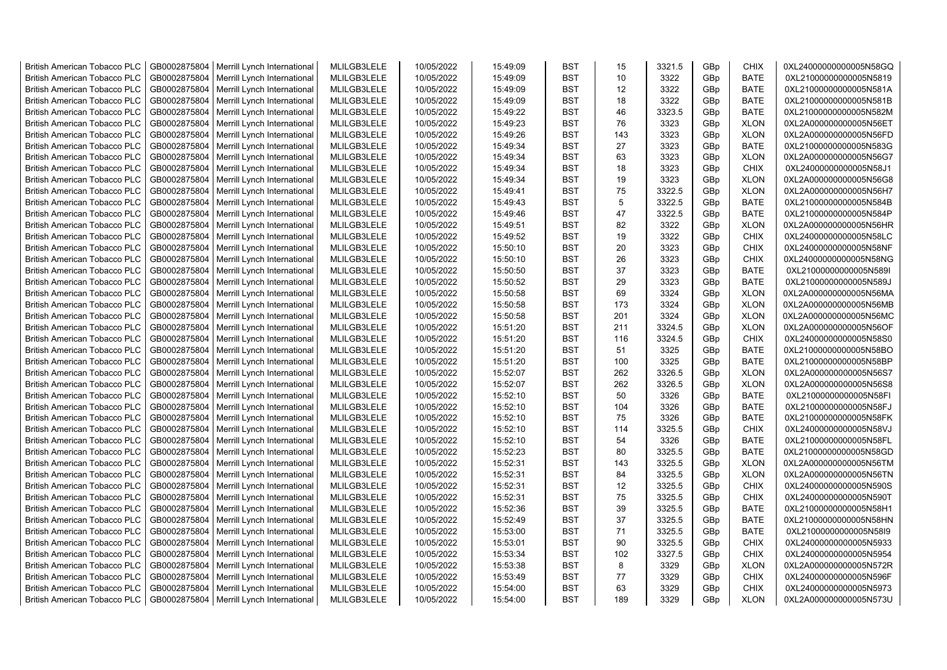| <b>British American Tobacco PLC</b> | GB0002875804 | Merrill Lynch International | MLILGB3LELE | 10/05/2022 | 15:49:09 | <b>BST</b> | 15  | 3321.5 | GBp | <b>CHIX</b> | 0XL24000000000005N58GQ |
|-------------------------------------|--------------|-----------------------------|-------------|------------|----------|------------|-----|--------|-----|-------------|------------------------|
| <b>British American Tobacco PLC</b> | GB0002875804 | Merrill Lynch International | MLILGB3LELE | 10/05/2022 | 15:49:09 | <b>BST</b> | 10  | 3322   | GBp | <b>BATE</b> | 0XL21000000000005N5819 |
| <b>British American Tobacco PLC</b> | GB0002875804 | Merrill Lynch International | MLILGB3LELE | 10/05/2022 | 15:49:09 | <b>BST</b> | 12  | 3322   | GBp | <b>BATE</b> | 0XL21000000000005N581A |
| <b>British American Tobacco PLC</b> | GB0002875804 | Merrill Lynch International | MLILGB3LELE | 10/05/2022 | 15:49:09 | <b>BST</b> | 18  | 3322   | GBp | <b>BATE</b> | 0XL21000000000005N581B |
| <b>British American Tobacco PLC</b> | GB0002875804 | Merrill Lynch International | MLILGB3LELE | 10/05/2022 | 15:49:22 | <b>BST</b> | 46  | 3323.5 | GBp | <b>BATE</b> | 0XL21000000000005N582M |
| <b>British American Tobacco PLC</b> | GB0002875804 | Merrill Lynch International | MLILGB3LELE | 10/05/2022 | 15:49:23 | <b>BST</b> | 76  | 3323   | GBp | <b>XLON</b> | 0XL2A000000000005N56ET |
| <b>British American Tobacco PLC</b> | GB0002875804 | Merrill Lynch International | MLILGB3LELE | 10/05/2022 | 15:49:26 | <b>BST</b> | 143 | 3323   | GBp | <b>XLON</b> | 0XL2A000000000005N56FD |
| <b>British American Tobacco PLC</b> | GB0002875804 | Merrill Lynch International | MLILGB3LELE | 10/05/2022 | 15:49:34 | <b>BST</b> | 27  | 3323   | GBp | <b>BATE</b> | 0XL21000000000005N583G |
| <b>British American Tobacco PLC</b> | GB0002875804 | Merrill Lynch International | MLILGB3LELE | 10/05/2022 | 15:49:34 | <b>BST</b> | 63  | 3323   | GBp | <b>XLON</b> | 0XL2A000000000005N56G7 |
| <b>British American Tobacco PLC</b> | GB0002875804 | Merrill Lynch International | MLILGB3LELE | 10/05/2022 | 15:49:34 | <b>BST</b> | 18  | 3323   | GBp | <b>CHIX</b> | 0XL24000000000005N58J1 |
| British American Tobacco PLC        | GB0002875804 | Merrill Lynch International | MLILGB3LELE | 10/05/2022 | 15:49:34 | <b>BST</b> | 19  | 3323   | GBp | <b>XLON</b> | 0XL2A000000000005N56G8 |
| <b>British American Tobacco PLC</b> | GB0002875804 | Merrill Lynch International | MLILGB3LELE | 10/05/2022 | 15:49:41 | <b>BST</b> | 75  | 3322.5 | GBp | <b>XLON</b> | 0XL2A000000000005N56H7 |
| <b>British American Tobacco PLC</b> | GB0002875804 | Merrill Lynch International | MLILGB3LELE | 10/05/2022 | 15:49:43 | <b>BST</b> | 5   | 3322.5 | GBp | <b>BATE</b> | 0XL21000000000005N584B |
| <b>British American Tobacco PLC</b> | GB0002875804 | Merrill Lynch International | MLILGB3LELE | 10/05/2022 | 15:49:46 | <b>BST</b> | 47  | 3322.5 | GBp | <b>BATE</b> | 0XL21000000000005N584P |
| <b>British American Tobacco PLC</b> | GB0002875804 | Merrill Lynch International | MLILGB3LELE | 10/05/2022 | 15:49:51 | <b>BST</b> | 82  | 3322   | GBp | <b>XLON</b> | 0XL2A000000000005N56HR |
| <b>British American Tobacco PLC</b> | GB0002875804 | Merrill Lynch International | MLILGB3LELE | 10/05/2022 | 15:49:52 | <b>BST</b> | 19  | 3322   | GBp | <b>CHIX</b> | 0XL24000000000005N58LC |
| <b>British American Tobacco PLC</b> | GB0002875804 | Merrill Lynch International | MLILGB3LELE | 10/05/2022 | 15:50:10 | <b>BST</b> | 20  | 3323   | GBp | <b>CHIX</b> | 0XL24000000000005N58NF |
| <b>British American Tobacco PLC</b> | GB0002875804 | Merrill Lynch International | MLILGB3LELE | 10/05/2022 | 15:50:10 | <b>BST</b> | 26  | 3323   | GBp | <b>CHIX</b> | 0XL24000000000005N58NG |
| <b>British American Tobacco PLC</b> | GB0002875804 | Merrill Lynch International | MLILGB3LELE | 10/05/2022 | 15:50:50 | <b>BST</b> | 37  | 3323   | GBp | <b>BATE</b> | 0XL21000000000005N589I |
| <b>British American Tobacco PLC</b> | GB0002875804 | Merrill Lynch International | MLILGB3LELE | 10/05/2022 | 15:50:52 | BST        | 29  | 3323   | GBp | <b>BATE</b> | 0XL21000000000005N589J |
| <b>British American Tobacco PLC</b> | GB0002875804 | Merrill Lynch International | MLILGB3LELE | 10/05/2022 | 15:50:58 | <b>BST</b> | 69  | 3324   | GBp | <b>XLON</b> | 0XL2A000000000005N56MA |
| <b>British American Tobacco PLC</b> | GB0002875804 | Merrill Lynch International | MLILGB3LELE | 10/05/2022 | 15:50:58 | <b>BST</b> | 173 | 3324   | GBp | <b>XLON</b> | 0XL2A000000000005N56MB |
| <b>British American Tobacco PLC</b> | GB0002875804 | Merrill Lynch International | MLILGB3LELE | 10/05/2022 | 15:50:58 | <b>BST</b> | 201 | 3324   | GBp | <b>XLON</b> | 0XL2A000000000005N56MC |
| <b>British American Tobacco PLC</b> | GB0002875804 | Merrill Lynch International | MLILGB3LELE | 10/05/2022 | 15:51:20 | BST        | 211 | 3324.5 | GBp | <b>XLON</b> | 0XL2A000000000005N56OF |
| <b>British American Tobacco PLC</b> | GB0002875804 | Merrill Lynch International | MLILGB3LELE | 10/05/2022 | 15:51:20 | <b>BST</b> | 116 | 3324.5 | GBp | <b>CHIX</b> | 0XL24000000000005N58S0 |
| <b>British American Tobacco PLC</b> | GB0002875804 | Merrill Lynch International | MLILGB3LELE | 10/05/2022 | 15:51:20 | <b>BST</b> | 51  | 3325   | GBp | BATE        | 0XL21000000000005N58BO |
| <b>British American Tobacco PLC</b> | GB0002875804 | Merrill Lynch International | MLILGB3LELE | 10/05/2022 | 15:51:20 | <b>BST</b> | 100 | 3325   | GBp | <b>BATE</b> | 0XL21000000000005N58BP |
| <b>British American Tobacco PLC</b> | GB0002875804 | Merrill Lynch International | MLILGB3LELE | 10/05/2022 | 15:52:07 | <b>BST</b> | 262 | 3326.5 | GBp | <b>XLON</b> | 0XL2A000000000005N56S7 |
| <b>British American Tobacco PLC</b> | GB0002875804 | Merrill Lynch International | MLILGB3LELE | 10/05/2022 | 15:52:07 | <b>BST</b> | 262 | 3326.5 | GBp | <b>XLON</b> | 0XL2A000000000005N56S8 |
| <b>British American Tobacco PLC</b> | GB0002875804 | Merrill Lynch International | MLILGB3LELE | 10/05/2022 | 15:52:10 | <b>BST</b> | 50  | 3326   | GBp | <b>BATE</b> | 0XL21000000000005N58FI |
| <b>British American Tobacco PLC</b> | GB0002875804 | Merrill Lynch International | MLILGB3LELE | 10/05/2022 | 15:52:10 | <b>BST</b> | 104 | 3326   | GBp | <b>BATE</b> | 0XL21000000000005N58FJ |
| <b>British American Tobacco PLC</b> | GB0002875804 | Merrill Lynch International | MLILGB3LELE | 10/05/2022 | 15:52:10 | <b>BST</b> | 75  | 3326   | GBp | <b>BATE</b> | 0XL21000000000005N58FK |
| <b>British American Tobacco PLC</b> | GB0002875804 | Merrill Lynch International | MLILGB3LELE | 10/05/2022 | 15:52:10 | <b>BST</b> | 114 | 3325.5 | GBp | <b>CHIX</b> | 0XL24000000000005N58VJ |
| <b>British American Tobacco PLC</b> | GB0002875804 | Merrill Lynch International | MLILGB3LELE | 10/05/2022 | 15:52:10 | <b>BST</b> | 54  | 3326   | GBp | <b>BATE</b> | 0XL21000000000005N58FL |
| <b>British American Tobacco PLC</b> | GB0002875804 | Merrill Lynch International | MLILGB3LELE | 10/05/2022 | 15:52:23 | <b>BST</b> | 80  | 3325.5 | GBp | <b>BATE</b> | 0XL21000000000005N58GD |
| <b>British American Tobacco PLC</b> | GB0002875804 | Merrill Lynch International | MLILGB3LELE | 10/05/2022 | 15:52:31 | <b>BST</b> | 143 | 3325.5 | GBp | <b>XLON</b> | 0XL2A000000000005N56TM |
| <b>British American Tobacco PLC</b> | GB0002875804 | Merrill Lynch International | MLILGB3LELE | 10/05/2022 | 15:52:31 | <b>BST</b> | 84  | 3325.5 | GBp | <b>XLON</b> | 0XL2A000000000005N56TN |
| <b>British American Tobacco PLC</b> | GB0002875804 | Merrill Lynch International | MLILGB3LELE | 10/05/2022 | 15:52:31 | <b>BST</b> | 12  | 3325.5 | GBp | <b>CHIX</b> | 0XL24000000000005N590S |
| <b>British American Tobacco PLC</b> | GB0002875804 | Merrill Lynch International | MLILGB3LELE | 10/05/2022 | 15:52:31 | <b>BST</b> | 75  | 3325.5 | GBp | <b>CHIX</b> | 0XL24000000000005N590T |
| <b>British American Tobacco PLC</b> | GB0002875804 | Merrill Lynch International | MLILGB3LELE | 10/05/2022 | 15:52:36 | <b>BST</b> | 39  | 3325.5 | GBp | <b>BATE</b> | 0XL21000000000005N58H1 |
| <b>British American Tobacco PLC</b> | GB0002875804 | Merrill Lynch International | MLILGB3LELE | 10/05/2022 | 15:52:49 | <b>BST</b> | 37  | 3325.5 | GBp | <b>BATE</b> | 0XL21000000000005N58HN |
| <b>British American Tobacco PLC</b> | GB0002875804 | Merrill Lynch International | MLILGB3LELE | 10/05/2022 | 15:53:00 | <b>BST</b> | 71  | 3325.5 | GBp | BATE        | 0XL21000000000005N58l9 |
| <b>British American Tobacco PLC</b> | GB0002875804 | Merrill Lynch International | MLILGB3LELE | 10/05/2022 | 15:53:01 | <b>BST</b> | 90  | 3325.5 | GBp | <b>CHIX</b> | 0XL24000000000005N5933 |
| British American Tobacco PLC        | GB0002875804 | Merrill Lynch International | MLILGB3LELE | 10/05/2022 | 15:53:34 | <b>BST</b> | 102 | 3327.5 | GBp | <b>CHIX</b> | 0XL24000000000005N5954 |
| <b>British American Tobacco PLC</b> | GB0002875804 | Merrill Lynch International | MLILGB3LELE | 10/05/2022 | 15:53:38 | <b>BST</b> | 8   | 3329   | GBp | <b>XLON</b> | 0XL2A000000000005N572R |
| <b>British American Tobacco PLC</b> | GB0002875804 | Merrill Lynch International | MLILGB3LELE | 10/05/2022 | 15:53:49 | <b>BST</b> | 77  | 3329   | GBp | <b>CHIX</b> | 0XL24000000000005N596F |
| <b>British American Tobacco PLC</b> | GB0002875804 | Merrill Lynch International | MLILGB3LELE | 10/05/2022 | 15:54:00 | <b>BST</b> | 63  | 3329   | GBp | <b>CHIX</b> | 0XL24000000000005N5973 |
| <b>British American Tobacco PLC</b> | GB0002875804 | Merrill Lynch International | MLILGB3LELE | 10/05/2022 | 15:54:00 | <b>BST</b> | 189 | 3329   | GBp | <b>XLON</b> | 0XL2A000000000005N573U |
|                                     |              |                             |             |            |          |            |     |        |     |             |                        |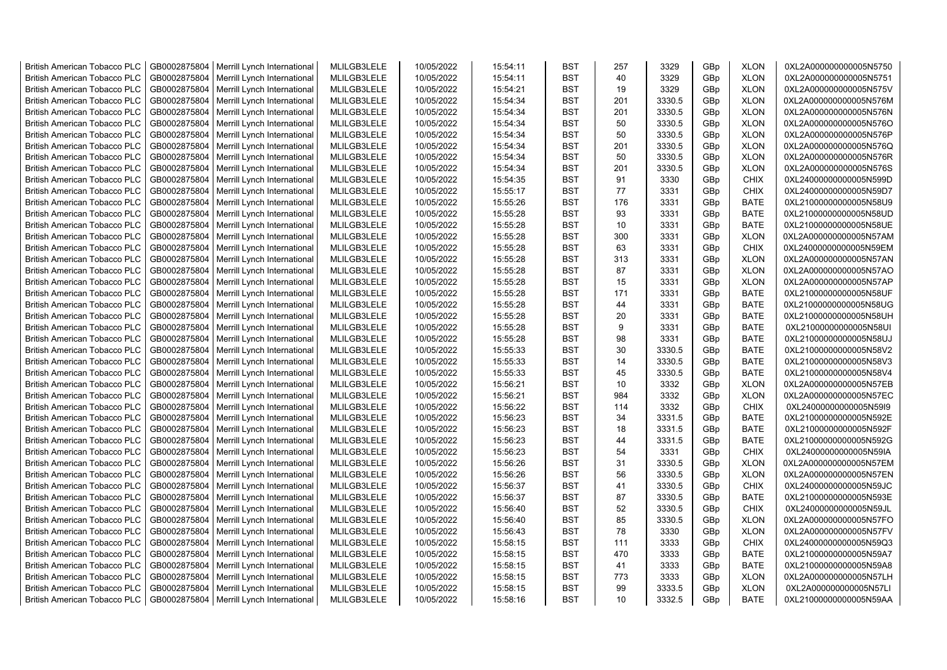| <b>British American Tobacco PLC</b> | GB0002875804 | Merrill Lynch International                | MLILGB3LELE | 10/05/2022 | 15:54:11 | <b>BST</b> | 257 | 3329   | GBp | <b>XLON</b> | 0XL2A000000000005N5750 |
|-------------------------------------|--------------|--------------------------------------------|-------------|------------|----------|------------|-----|--------|-----|-------------|------------------------|
| <b>British American Tobacco PLC</b> | GB0002875804 | Merrill Lynch International                | MLILGB3LELE | 10/05/2022 | 15:54:11 | <b>BST</b> | 40  | 3329   | GBp | <b>XLON</b> | 0XL2A000000000005N5751 |
| <b>British American Tobacco PLC</b> | GB0002875804 | Merrill Lynch International                | MLILGB3LELE | 10/05/2022 | 15:54:21 | <b>BST</b> | 19  | 3329   | GBp | <b>XLON</b> | 0XL2A000000000005N575V |
| <b>British American Tobacco PLC</b> | GB0002875804 | Merrill Lynch International                | MLILGB3LELE | 10/05/2022 | 15:54:34 | <b>BST</b> | 201 | 3330.5 | GBp | <b>XLON</b> | 0XL2A000000000005N576M |
| <b>British American Tobacco PLC</b> | GB0002875804 | Merrill Lynch International                | MLILGB3LELE | 10/05/2022 | 15:54:34 | <b>BST</b> | 201 | 3330.5 | GBp | <b>XLON</b> | 0XL2A000000000005N576N |
| <b>British American Tobacco PLC</b> | GB0002875804 | Merrill Lynch International                | MLILGB3LELE | 10/05/2022 | 15:54:34 | <b>BST</b> | 50  | 3330.5 | GBp | <b>XLON</b> | 0XL2A000000000005N576O |
| <b>British American Tobacco PLC</b> | GB0002875804 | Merrill Lynch International                | MLILGB3LELE | 10/05/2022 | 15:54:34 | BST        | 50  | 3330.5 | GBp | <b>XLON</b> | 0XL2A000000000005N576P |
| <b>British American Tobacco PLC</b> | GB0002875804 | Merrill Lynch International                | MLILGB3LELE | 10/05/2022 | 15:54:34 | <b>BST</b> | 201 | 3330.5 | GBp | <b>XLON</b> | 0XL2A000000000005N576Q |
| <b>British American Tobacco PLC</b> | GB0002875804 | Merrill Lynch International                | MLILGB3LELE | 10/05/2022 | 15:54:34 | <b>BST</b> | 50  | 3330.5 | GBp | <b>XLON</b> | 0XL2A000000000005N576R |
| <b>British American Tobacco PLC</b> | GB0002875804 | Merrill Lynch International                | MLILGB3LELE | 10/05/2022 | 15:54:34 | <b>BST</b> | 201 | 3330.5 | GBp | <b>XLON</b> | 0XL2A000000000005N576S |
| <b>British American Tobacco PLC</b> | GB0002875804 | Merrill Lynch International                | MLILGB3LELE | 10/05/2022 | 15:54:35 | <b>BST</b> | 91  | 3330   | GBp | <b>CHIX</b> | 0XL24000000000005N599D |
| <b>British American Tobacco PLC</b> | GB0002875804 | Merrill Lynch International                | MLILGB3LELE | 10/05/2022 | 15:55:17 | <b>BST</b> | 77  | 3331   | GBp | <b>CHIX</b> | 0XL24000000000005N59D7 |
| British American Tobacco PLC        | GB0002875804 | Merrill Lynch International                | MLILGB3LELE | 10/05/2022 | 15:55:26 | <b>BST</b> | 176 | 3331   | GBp | <b>BATE</b> | 0XL21000000000005N58U9 |
|                                     |              |                                            | MLILGB3LELE |            |          | <b>BST</b> | 93  | 3331   |     | <b>BATE</b> |                        |
| <b>British American Tobacco PLC</b> | GB0002875804 | Merrill Lynch International                |             | 10/05/2022 | 15:55:28 |            |     |        | GBp |             | 0XL21000000000005N58UD |
| <b>British American Tobacco PLC</b> | GB0002875804 | Merrill Lynch International                | MLILGB3LELE | 10/05/2022 | 15:55:28 | <b>BST</b> | 10  | 3331   | GBp | <b>BATE</b> | 0XL21000000000005N58UE |
| <b>British American Tobacco PLC</b> | GB0002875804 | Merrill Lynch International                | MLILGB3LELE | 10/05/2022 | 15:55:28 | <b>BST</b> | 300 | 3331   | GBp | <b>XLON</b> | 0XL2A000000000005N57AM |
| <b>British American Tobacco PLC</b> | GB0002875804 | Merrill Lynch International                | MLILGB3LELE | 10/05/2022 | 15:55:28 | <b>BST</b> | 63  | 3331   | GBp | <b>CHIX</b> | 0XL24000000000005N59EM |
| <b>British American Tobacco PLC</b> | GB0002875804 | Merrill Lynch International                | MLILGB3LELE | 10/05/2022 | 15:55:28 | <b>BST</b> | 313 | 3331   | GBp | <b>XLON</b> | 0XL2A000000000005N57AN |
| <b>British American Tobacco PLC</b> | GB0002875804 | Merrill Lynch International                | MLILGB3LELE | 10/05/2022 | 15:55:28 | <b>BST</b> | 87  | 3331   | GBp | <b>XLON</b> | 0XL2A000000000005N57AO |
| <b>British American Tobacco PLC</b> | GB0002875804 | Merrill Lynch International                | MLILGB3LELE | 10/05/2022 | 15:55:28 | <b>BST</b> | 15  | 3331   | GBp | <b>XLON</b> | 0XL2A000000000005N57AP |
| <b>British American Tobacco PLC</b> | GB0002875804 | Merrill Lynch International                | MLILGB3LELE | 10/05/2022 | 15:55:28 | <b>BST</b> | 171 | 3331   | GBp | <b>BATE</b> | 0XL21000000000005N58UF |
| <b>British American Tobacco PLC</b> | GB0002875804 | Merrill Lynch International                | MLILGB3LELE | 10/05/2022 | 15:55:28 | <b>BST</b> | 44  | 3331   | GBp | <b>BATE</b> | 0XL21000000000005N58UG |
| <b>British American Tobacco PLC</b> | GB0002875804 | Merrill Lynch International                | MLILGB3LELE | 10/05/2022 | 15:55:28 | <b>BST</b> | 20  | 3331   | GBp | <b>BATE</b> | 0XL21000000000005N58UH |
| <b>British American Tobacco PLC</b> | GB0002875804 | Merrill Lynch International                | MLILGB3LELE | 10/05/2022 | 15:55:28 | BST        | 9   | 3331   | GBp | <b>BATE</b> | 0XL21000000000005N58UI |
| <b>British American Tobacco PLC</b> | GB0002875804 | Merrill Lynch International                | MLILGB3LELE | 10/05/2022 | 15:55:28 | <b>BST</b> | 98  | 3331   | GBp | <b>BATE</b> | 0XL21000000000005N58UJ |
| <b>British American Tobacco PLC</b> | GB0002875804 | Merrill Lynch International                | MLILGB3LELE | 10/05/2022 | 15:55:33 | <b>BST</b> | 30  | 3330.5 | GBp | <b>BATE</b> | 0XL21000000000005N58V2 |
| <b>British American Tobacco PLC</b> | GB0002875804 | Merrill Lynch International                | MLILGB3LELE | 10/05/2022 | 15:55:33 | <b>BST</b> | 14  | 3330.5 | GBp | <b>BATE</b> | 0XL21000000000005N58V3 |
| <b>British American Tobacco PLC</b> | GB0002875804 | Merrill Lynch International                | MLILGB3LELE | 10/05/2022 | 15:55:33 | <b>BST</b> | 45  | 3330.5 | GBp | <b>BATE</b> | 0XL21000000000005N58V4 |
| <b>British American Tobacco PLC</b> | GB0002875804 | Merrill Lynch International                | MLILGB3LELE | 10/05/2022 | 15:56:21 | <b>BST</b> | 10  | 3332   | GBp | <b>XLON</b> | 0XL2A000000000005N57EB |
| <b>British American Tobacco PLC</b> | GB0002875804 | Merrill Lynch International                | MLILGB3LELE | 10/05/2022 | 15:56:21 | <b>BST</b> | 984 | 3332   | GBp | <b>XLON</b> | 0XL2A000000000005N57EC |
| <b>British American Tobacco PLC</b> | GB0002875804 | Merrill Lynch International                | MLILGB3LELE | 10/05/2022 | 15:56:22 | <b>BST</b> | 114 | 3332   | GBp | <b>CHIX</b> | 0XL24000000000005N59I9 |
| <b>British American Tobacco PLC</b> | GB0002875804 | Merrill Lynch International                | MLILGB3LELE | 10/05/2022 | 15:56:23 | <b>BST</b> | 34  | 3331.5 | GBp | <b>BATE</b> | 0XL21000000000005N592E |
| <b>British American Tobacco PLC</b> | GB0002875804 | Merrill Lynch International                | MLILGB3LELE | 10/05/2022 | 15:56:23 | <b>BST</b> | 18  | 3331.5 | GBp | <b>BATE</b> | 0XL21000000000005N592F |
| <b>British American Tobacco PLC</b> | GB0002875804 | Merrill Lynch International                | MLILGB3LELE | 10/05/2022 | 15:56:23 | <b>BST</b> | 44  | 3331.5 | GBp | <b>BATE</b> | 0XL21000000000005N592G |
| <b>British American Tobacco PLC</b> | GB0002875804 | Merrill Lynch International                | MLILGB3LELE | 10/05/2022 | 15:56:23 | <b>BST</b> | 54  | 3331   | GBp | <b>CHIX</b> | 0XL24000000000005N59IA |
| <b>British American Tobacco PLC</b> | GB0002875804 | Merrill Lynch International                | MLILGB3LELE | 10/05/2022 | 15:56:26 | <b>BST</b> | 31  | 3330.5 | GBp | <b>XLON</b> | 0XL2A000000000005N57EM |
| <b>British American Tobacco PLC</b> | GB0002875804 | Merrill Lynch International                | MLILGB3LELE | 10/05/2022 | 15:56:26 | <b>BST</b> | 56  | 3330.5 | GBp | <b>XLON</b> | 0XL2A000000000005N57EN |
| <b>British American Tobacco PLC</b> | GB0002875804 | Merrill Lynch International                | MLILGB3LELE | 10/05/2022 | 15:56:37 | <b>BST</b> | 41  | 3330.5 | GBp | <b>CHIX</b> | 0XL24000000000005N59JC |
| <b>British American Tobacco PLC</b> | GB0002875804 | Merrill Lynch International                | MLILGB3LELE | 10/05/2022 | 15:56:37 | <b>BST</b> | 87  | 3330.5 | GBp | <b>BATE</b> | 0XL21000000000005N593E |
| <b>British American Tobacco PLC</b> | GB0002875804 | Merrill Lynch International                | MLILGB3LELE | 10/05/2022 | 15:56:40 | <b>BST</b> | 52  | 3330.5 | GBp | CHIX        | 0XL24000000000005N59JL |
| <b>British American Tobacco PLC</b> | GB0002875804 | Merrill Lynch International                | MLILGB3LELE | 10/05/2022 | 15:56:40 | <b>BST</b> | 85  | 3330.5 | GBp | <b>XLON</b> | 0XL2A000000000005N57FO |
| <b>British American Tobacco PLC</b> | GB0002875804 | Merrill Lynch International                | MLILGB3LELE | 10/05/2022 | 15:56:43 | <b>BST</b> | 78  | 3330   | GBp | <b>XLON</b> | 0XL2A000000000005N57FV |
| <b>British American Tobacco PLC</b> | GB0002875804 | Merrill Lynch International                | MLILGB3LELE | 10/05/2022 | 15:58:15 | <b>BST</b> | 111 | 3333   | GBp | <b>CHIX</b> | 0XL24000000000005N59Q3 |
| <b>British American Tobacco PLC</b> | GB0002875804 | Merrill Lynch International                | MLILGB3LELE | 10/05/2022 | 15:58:15 | <b>BST</b> | 470 | 3333   | GBp | <b>BATE</b> | 0XL21000000000005N59A7 |
| <b>British American Tobacco PLC</b> | GB0002875804 | Merrill Lynch International                | MLILGB3LELE | 10/05/2022 | 15:58:15 | <b>BST</b> | 41  | 3333   | GBp | <b>BATE</b> | 0XL21000000000005N59A8 |
| <b>British American Tobacco PLC</b> | GB0002875804 | Merrill Lynch International                | MLILGB3LELE | 10/05/2022 | 15:58:15 | <b>BST</b> | 773 | 3333   | GBp | <b>XLON</b> | 0XL2A000000000005N57LH |
| <b>British American Tobacco PLC</b> | GB0002875804 | Merrill Lynch International                | MLILGB3LELE | 10/05/2022 | 15:58:15 | <b>BST</b> | 99  | 3333.5 | GBp | <b>XLON</b> | 0XL2A000000000005N57LI |
| <b>British American Tobacco PLC</b> |              | GB0002875804   Merrill Lynch International | MLILGB3LELE | 10/05/2022 | 15:58:16 | <b>BST</b> | 10  | 3332.5 | GBp | <b>BATE</b> | 0XL21000000000005N59AA |
|                                     |              |                                            |             |            |          |            |     |        |     |             |                        |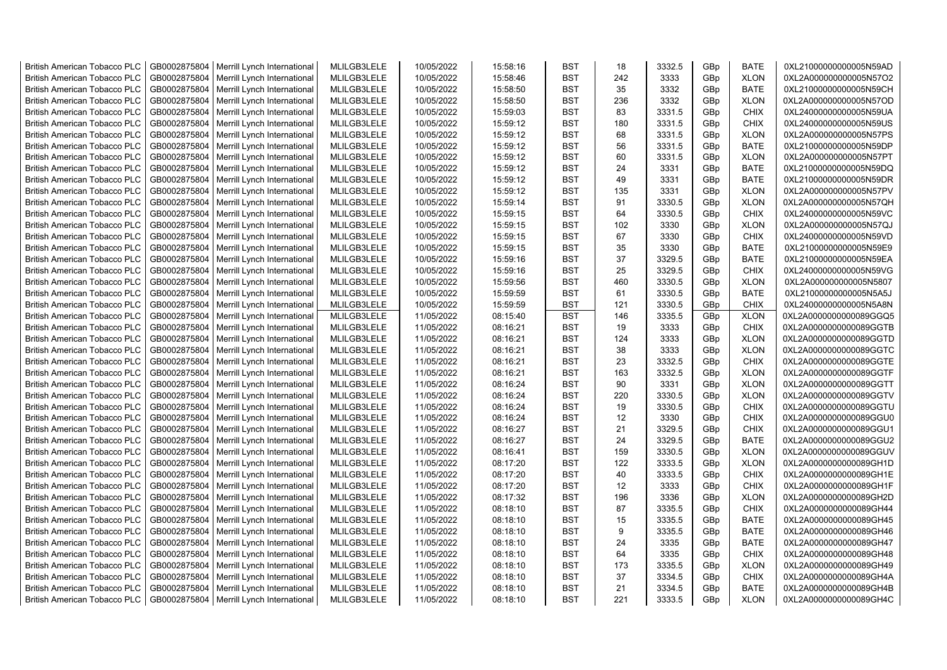| <b>British American Tobacco PLC</b> | GB0002875804 | Merrill Lynch International | MLILGB3LELE | 10/05/2022 | 15:58:16 | <b>BST</b> | 18  | 3332.5 | GBp             | <b>BATE</b> | 0XL21000000000005N59AD |
|-------------------------------------|--------------|-----------------------------|-------------|------------|----------|------------|-----|--------|-----------------|-------------|------------------------|
| <b>British American Tobacco PLC</b> | GB0002875804 | Merrill Lynch International | MLILGB3LELE | 10/05/2022 | 15:58:46 | <b>BST</b> | 242 | 3333   | GBp             | <b>XLON</b> | 0XL2A000000000005N57O2 |
| <b>British American Tobacco PLC</b> | GB0002875804 | Merrill Lynch International | MLILGB3LELE | 10/05/2022 | 15:58:50 | <b>BST</b> | 35  | 3332   | GBp             | <b>BATE</b> | 0XL21000000000005N59CH |
| <b>British American Tobacco PLC</b> | GB0002875804 | Merrill Lynch International | MLILGB3LELE | 10/05/2022 | 15:58:50 | <b>BST</b> | 236 | 3332   | GBp             | <b>XLON</b> | 0XL2A000000000005N57OD |
| <b>British American Tobacco PLC</b> | GB0002875804 | Merrill Lynch International | MLILGB3LELE | 10/05/2022 | 15:59:03 | <b>BST</b> | 83  | 3331.5 | GBp             | <b>CHIX</b> | 0XL24000000000005N59UA |
| <b>British American Tobacco PLC</b> | GB0002875804 | Merrill Lynch International | MLILGB3LELE | 10/05/2022 | 15:59:12 | <b>BST</b> | 180 | 3331.5 | GBp             | <b>CHIX</b> | 0XL24000000000005N59US |
| <b>British American Tobacco PLC</b> | GB0002875804 | Merrill Lynch International | MLILGB3LELE | 10/05/2022 | 15:59:12 | <b>BST</b> | 68  | 3331.5 | GBp             | <b>XLON</b> | 0XL2A000000000005N57PS |
| <b>British American Tobacco PLC</b> | GB0002875804 | Merrill Lynch International | MLILGB3LELE | 10/05/2022 | 15:59:12 | <b>BST</b> | 56  | 3331.5 | GBp             | <b>BATE</b> | 0XL21000000000005N59DP |
| <b>British American Tobacco PLC</b> | GB0002875804 | Merrill Lynch International | MLILGB3LELE | 10/05/2022 | 15:59:12 | <b>BST</b> | 60  | 3331.5 | GBp             | <b>XLON</b> | 0XL2A000000000005N57PT |
| <b>British American Tobacco PLC</b> | GB0002875804 | Merrill Lynch International | MLILGB3LELE | 10/05/2022 | 15:59:12 | <b>BST</b> | 24  | 3331   | GBp             | <b>BATE</b> | 0XL21000000000005N59DQ |
| <b>British American Tobacco PLC</b> | GB0002875804 | Merrill Lynch International | MLILGB3LELE | 10/05/2022 | 15:59:12 | <b>BST</b> | 49  | 3331   | GBp             | <b>BATE</b> | 0XL21000000000005N59DR |
| <b>British American Tobacco PLC</b> | GB0002875804 | Merrill Lynch International | MLILGB3LELE | 10/05/2022 | 15:59:12 | <b>BST</b> | 135 | 3331   | GBp             | <b>XLON</b> | 0XL2A000000000005N57PV |
| <b>British American Tobacco PLC</b> | GB0002875804 | Merrill Lynch International | MLILGB3LELE | 10/05/2022 | 15:59:14 | <b>BST</b> | 91  | 3330.5 | GBp             | <b>XLON</b> | 0XL2A000000000005N57QH |
| <b>British American Tobacco PLC</b> | GB0002875804 | Merrill Lynch International | MLILGB3LELE | 10/05/2022 | 15:59:15 | <b>BST</b> | 64  | 3330.5 | GBp             | <b>CHIX</b> | 0XL24000000000005N59VC |
| <b>British American Tobacco PLC</b> | GB0002875804 | Merrill Lynch International | MLILGB3LELE | 10/05/2022 | 15:59:15 | <b>BST</b> | 102 | 3330   | GBp             | <b>XLON</b> | 0XL2A000000000005N57QJ |
| <b>British American Tobacco PLC</b> | GB0002875804 | Merrill Lynch International | MLILGB3LELE | 10/05/2022 | 15:59:15 | <b>BST</b> | 67  | 3330   | GBp             | <b>CHIX</b> | 0XL24000000000005N59VD |
| <b>British American Tobacco PLC</b> | GB0002875804 | Merrill Lynch International | MLILGB3LELE | 10/05/2022 | 15:59:15 | <b>BST</b> | 35  | 3330   | GBp             | <b>BATE</b> | 0XL21000000000005N59E9 |
| <b>British American Tobacco PLC</b> | GB0002875804 | Merrill Lynch International | MLILGB3LELE | 10/05/2022 | 15:59:16 | <b>BST</b> | 37  | 3329.5 | GBp             | <b>BATE</b> | 0XL21000000000005N59EA |
| <b>British American Tobacco PLC</b> | GB0002875804 | Merrill Lynch International | MLILGB3LELE | 10/05/2022 | 15:59:16 | <b>BST</b> | 25  | 3329.5 | GBp             | <b>CHIX</b> | 0XL24000000000005N59VG |
| <b>British American Tobacco PLC</b> | GB0002875804 | Merrill Lynch International | MLILGB3LELE | 10/05/2022 | 15:59:56 | <b>BST</b> | 460 | 3330.5 | GBp             | <b>XLON</b> | 0XL2A000000000005N5807 |
| <b>British American Tobacco PLC</b> | GB0002875804 | Merrill Lynch International | MLILGB3LELE | 10/05/2022 | 15:59:59 | <b>BST</b> | 61  | 3330.5 | GBp             | <b>BATE</b> | 0XL21000000000005N5A5J |
| <b>British American Tobacco PLC</b> | GB0002875804 | Merrill Lynch International | MLILGB3LELE | 10/05/2022 | 15:59:59 | <b>BST</b> | 121 | 3330.5 | GBp             | <b>CHIX</b> | 0XL24000000000005N5A8N |
| <b>British American Tobacco PLC</b> | GB0002875804 | Merrill Lynch International | MLILGB3LELE | 11/05/2022 | 08:15:40 | <b>BST</b> | 146 | 3335.5 | GBp             | <b>XLON</b> | 0XL2A0000000000089GGQ5 |
| <b>British American Tobacco PLC</b> | GB0002875804 | Merrill Lynch International | MLILGB3LELE | 11/05/2022 | 08:16:21 | <b>BST</b> | 19  | 3333   | GBp             | <b>CHIX</b> | 0XL2A0000000000089GGTB |
| <b>British American Tobacco PLC</b> | GB0002875804 | Merrill Lynch International | MLILGB3LELE | 11/05/2022 | 08:16:21 | <b>BST</b> | 124 | 3333   | GBp             | <b>XLON</b> | 0XL2A0000000000089GGTD |
| <b>British American Tobacco PLC</b> | GB0002875804 | Merrill Lynch International | MLILGB3LELE | 11/05/2022 | 08:16:21 | <b>BST</b> | 38  | 3333   | GBp             | <b>XLON</b> | 0XL2A0000000000089GGTC |
| <b>British American Tobacco PLC</b> | GB0002875804 | Merrill Lynch International | MLILGB3LELE | 11/05/2022 | 08:16:21 | <b>BST</b> | 23  | 3332.5 | GBp             | <b>CHIX</b> | 0XL2A0000000000089GGTE |
| <b>British American Tobacco PLC</b> | GB0002875804 | Merrill Lynch International | MLILGB3LELE | 11/05/2022 | 08:16:21 | <b>BST</b> | 163 | 3332.5 | GBp             | <b>XLON</b> | 0XL2A0000000000089GGTF |
| <b>British American Tobacco PLC</b> | GB0002875804 | Merrill Lynch International | MLILGB3LELE | 11/05/2022 | 08:16:24 | <b>BST</b> | 90  | 3331   | GBp             | <b>XLON</b> | 0XL2A0000000000089GGTT |
| <b>British American Tobacco PLC</b> | GB0002875804 | Merrill Lynch International | MLILGB3LELE | 11/05/2022 | 08:16:24 | <b>BST</b> | 220 | 3330.5 | GBp             | <b>XLON</b> | 0XL2A0000000000089GGTV |
| <b>British American Tobacco PLC</b> | GB0002875804 | Merrill Lynch International | MLILGB3LELE | 11/05/2022 | 08:16:24 | <b>BST</b> | 19  | 3330.5 | GBp             | <b>CHIX</b> | 0XL2A0000000000089GGTU |
| <b>British American Tobacco PLC</b> | GB0002875804 | Merrill Lynch International | MLILGB3LELE | 11/05/2022 | 08:16:24 | <b>BST</b> | 12  | 3330   | GBp             | <b>CHIX</b> | 0XL2A0000000000089GGU0 |
| <b>British American Tobacco PLC</b> | GB0002875804 | Merrill Lynch International | MLILGB3LELE | 11/05/2022 | 08:16:27 | <b>BST</b> | 21  | 3329.5 | GBp             | <b>CHIX</b> | 0XL2A0000000000089GGU1 |
| <b>British American Tobacco PLC</b> | GB0002875804 | Merrill Lynch International | MLILGB3LELE | 11/05/2022 | 08:16:27 | <b>BST</b> | 24  | 3329.5 | GBp             | <b>BATE</b> | 0XL2A0000000000089GGU2 |
| <b>British American Tobacco PLC</b> | GB0002875804 | Merrill Lynch International | MLILGB3LELE | 11/05/2022 | 08:16:41 | <b>BST</b> | 159 | 3330.5 | GBp             | <b>XLON</b> | 0XL2A0000000000089GGUV |
| <b>British American Tobacco PLC</b> | GB0002875804 | Merrill Lynch International | MLILGB3LELE | 11/05/2022 | 08:17:20 | <b>BST</b> | 122 | 3333.5 | GBp             | <b>XLON</b> | 0XL2A0000000000089GH1D |
| <b>British American Tobacco PLC</b> | GB0002875804 | Merrill Lynch International | MLILGB3LELE | 11/05/2022 | 08:17:20 | <b>BST</b> | 40  | 3333.5 | GBp             | <b>CHIX</b> | 0XL2A0000000000089GH1E |
| <b>British American Tobacco PLC</b> | GB0002875804 | Merrill Lynch International | MLILGB3LELE | 11/05/2022 | 08:17:20 | <b>BST</b> | 12  | 3333   | GBp             | <b>CHIX</b> | 0XL2A0000000000089GH1F |
| <b>British American Tobacco PLC</b> | GB0002875804 | Merrill Lynch International | MLILGB3LELE | 11/05/2022 | 08:17:32 | <b>BST</b> | 196 | 3336   | GBp             | <b>XLON</b> | 0XL2A0000000000089GH2D |
| <b>British American Tobacco PLC</b> | GB0002875804 | Merrill Lynch International | MLILGB3LELE | 11/05/2022 | 08:18:10 | <b>BST</b> | 87  | 3335.5 | GBp             | <b>CHIX</b> | 0XL2A0000000000089GH44 |
| <b>British American Tobacco PLC</b> | GB0002875804 | Merrill Lynch International | MLILGB3LELE | 11/05/2022 | 08:18:10 | <b>BST</b> | 15  | 3335.5 | GBp             | <b>BATE</b> | 0XL2A0000000000089GH45 |
| <b>British American Tobacco PLC</b> | GB0002875804 | Merrill Lynch International | MLILGB3LELE | 11/05/2022 | 08:18:10 | <b>BST</b> | 9   | 3335.5 | GBp             | BATE        | 0XL2A0000000000089GH46 |
| <b>British American Tobacco PLC</b> | GB0002875804 | Merrill Lynch International | MLILGB3LELE | 11/05/2022 | 08:18:10 | <b>BST</b> | 24  | 3335   | GBp             | <b>BATE</b> | 0XL2A0000000000089GH47 |
| <b>British American Tobacco PLC</b> | GB0002875804 | Merrill Lynch International | MLILGB3LELE | 11/05/2022 | 08:18:10 | <b>BST</b> | 64  | 3335   | GBp             | <b>CHIX</b> | 0XL2A0000000000089GH48 |
| <b>British American Tobacco PLC</b> | GB0002875804 | Merrill Lynch International | MLILGB3LELE | 11/05/2022 | 08:18:10 | <b>BST</b> | 173 | 3335.5 | GBp             | <b>XLON</b> | 0XL2A0000000000089GH49 |
| <b>British American Tobacco PLC</b> | GB0002875804 | Merrill Lynch International | MLILGB3LELE | 11/05/2022 | 08:18:10 | <b>BST</b> | 37  | 3334.5 | GBp             | <b>CHIX</b> | 0XL2A0000000000089GH4A |
| <b>British American Tobacco PLC</b> | GB0002875804 | Merrill Lynch International | MLILGB3LELE | 11/05/2022 | 08:18:10 | <b>BST</b> | 21  | 3334.5 | GBp             | <b>BATE</b> | 0XL2A0000000000089GH4B |
| <b>British American Tobacco PLC</b> | GB0002875804 | Merrill Lynch International | MLILGB3LELE | 11/05/2022 | 08:18:10 | <b>BST</b> | 221 | 3333.5 | GB <sub>p</sub> | <b>XLON</b> | 0XL2A0000000000089GH4C |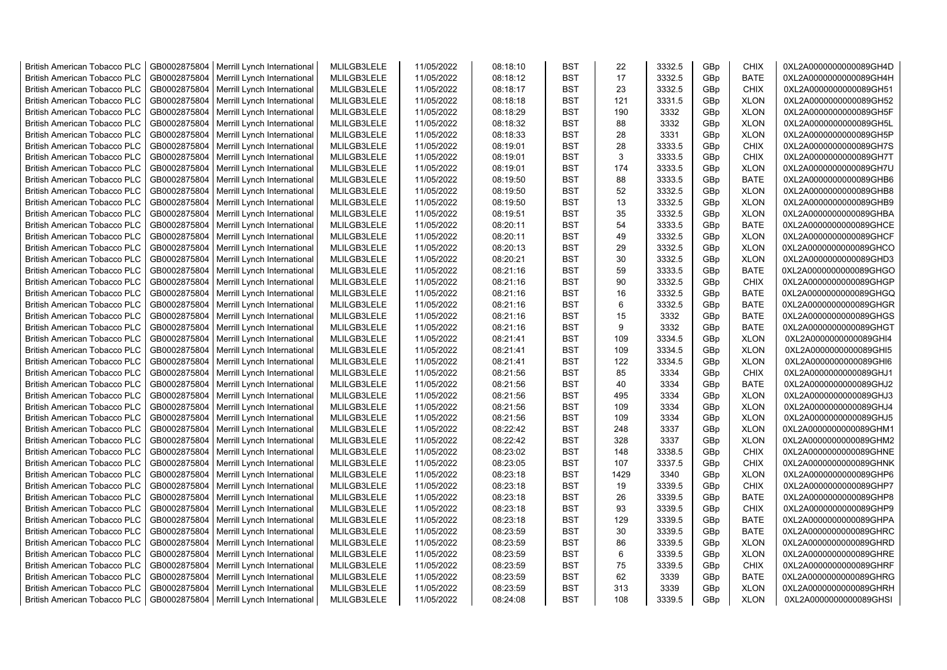| <b>British American Tobacco PLC</b>                                 | GB0002875804 | Merrill Lynch International | MLILGB3LELE | 11/05/2022 | 08:18:10 | <b>BST</b>               | 22   | 3332.5 | GBp             | <b>CHIX</b>                | 0XL2A0000000000089GH4D                           |
|---------------------------------------------------------------------|--------------|-----------------------------|-------------|------------|----------|--------------------------|------|--------|-----------------|----------------------------|--------------------------------------------------|
| <b>British American Tobacco PLC</b>                                 | GB0002875804 | Merrill Lynch International | MLILGB3LELE | 11/05/2022 | 08:18:12 | <b>BST</b>               | 17   | 3332.5 | GBp             | <b>BATE</b>                | 0XL2A0000000000089GH4H                           |
| <b>British American Tobacco PLC</b>                                 | GB0002875804 | Merrill Lynch International | MLILGB3LELE | 11/05/2022 | 08:18:17 | <b>BST</b>               | 23   | 3332.5 | GBp             | <b>CHIX</b>                | 0XL2A0000000000089GH51                           |
| <b>British American Tobacco PLC</b>                                 | GB0002875804 | Merrill Lynch International | MLILGB3LELE | 11/05/2022 | 08:18:18 | <b>BST</b>               | 121  | 3331.5 | GBp             | <b>XLON</b>                | 0XL2A0000000000089GH52                           |
| British American Tobacco PLC                                        | GB0002875804 | Merrill Lynch International | MLILGB3LELE | 11/05/2022 | 08:18:29 | <b>BST</b>               | 190  | 3332   | GBp             | <b>XLON</b>                | 0XL2A0000000000089GH5F                           |
| <b>British American Tobacco PLC</b>                                 | GB0002875804 | Merrill Lynch International | MLILGB3LELE | 11/05/2022 | 08:18:32 | <b>BST</b>               | 88   | 3332   | GBp             | <b>XLON</b>                | 0XL2A0000000000089GH5L                           |
| <b>British American Tobacco PLC</b>                                 | GB0002875804 | Merrill Lynch International | MLILGB3LELE | 11/05/2022 | 08:18:33 | <b>BST</b>               | 28   | 3331   | GBp             | <b>XLON</b>                | 0XL2A0000000000089GH5P                           |
| <b>British American Tobacco PLC</b>                                 | GB0002875804 | Merrill Lynch International | MLILGB3LELE | 11/05/2022 | 08:19:01 | <b>BST</b>               | 28   | 3333.5 | GBp             | <b>CHIX</b>                | 0XL2A0000000000089GH7S                           |
| <b>British American Tobacco PLC</b>                                 | GB0002875804 | Merrill Lynch International | MLILGB3LELE | 11/05/2022 | 08:19:01 | <b>BST</b>               | 3    | 3333.5 | GBp             | <b>CHIX</b>                | 0XL2A0000000000089GH7T                           |
| <b>British American Tobacco PLC</b>                                 | GB0002875804 | Merrill Lynch International | MLILGB3LELE | 11/05/2022 | 08:19:01 | <b>BST</b>               | 174  | 3333.5 | GBp             | <b>XLON</b>                | 0XL2A0000000000089GH7U                           |
| <b>British American Tobacco PLC</b>                                 | GB0002875804 | Merrill Lynch International | MLILGB3LELE | 11/05/2022 | 08:19:50 | <b>BST</b>               | 88   | 3333.5 | GBp             | <b>BATE</b>                | 0XL2A0000000000089GHB6                           |
| British American Tobacco PLC                                        | GB0002875804 | Merrill Lynch International | MLILGB3LELE | 11/05/2022 | 08:19:50 | <b>BST</b>               | 52   | 3332.5 | GBp             | <b>XLON</b>                | 0XL2A0000000000089GHB8                           |
| <b>British American Tobacco PLC</b>                                 | GB0002875804 | Merrill Lynch International | MLILGB3LELE | 11/05/2022 | 08:19:50 | <b>BST</b>               | 13   | 3332.5 | GBp             | <b>XLON</b>                | 0XL2A0000000000089GHB9                           |
| <b>British American Tobacco PLC</b>                                 | GB0002875804 | Merrill Lynch International | MLILGB3LELE | 11/05/2022 | 08:19:51 | <b>BST</b>               | 35   | 3332.5 | GBp             | <b>XLON</b>                | 0XL2A0000000000089GHBA                           |
| <b>British American Tobacco PLC</b>                                 | GB0002875804 | Merrill Lynch International | MLILGB3LELE | 11/05/2022 | 08:20:11 | <b>BST</b>               | 54   | 3333.5 | GBp             | <b>BATE</b>                | 0XL2A0000000000089GHCE                           |
| <b>British American Tobacco PLC</b>                                 | GB0002875804 | Merrill Lynch International | MLILGB3LELE | 11/05/2022 | 08:20:11 | <b>BST</b>               | 49   | 3332.5 | GBp             | <b>XLON</b>                | 0XL2A0000000000089GHCF                           |
| <b>British American Tobacco PLC</b>                                 | GB0002875804 | Merrill Lynch International | MLILGB3LELE | 11/05/2022 | 08:20:13 | <b>BST</b>               | 29   | 3332.5 | GBp             | <b>XLON</b>                | 0XL2A0000000000089GHCO                           |
| <b>British American Tobacco PLC</b>                                 | GB0002875804 | Merrill Lynch International | MLILGB3LELE | 11/05/2022 | 08:20:21 | <b>BST</b>               | 30   | 3332.5 | GBp             | <b>XLON</b>                | 0XL2A0000000000089GHD3                           |
| <b>British American Tobacco PLC</b>                                 | GB0002875804 | Merrill Lynch International | MLILGB3LELE | 11/05/2022 | 08:21:16 | <b>BST</b>               | 59   | 3333.5 | GBp             | <b>BATE</b>                | 0XL2A0000000000089GHGO                           |
| <b>British American Tobacco PLC</b>                                 | GB0002875804 | Merrill Lynch International | MLILGB3LELE | 11/05/2022 | 08:21:16 | <b>BST</b>               | 90   | 3332.5 | GBp             | <b>CHIX</b>                | 0XL2A0000000000089GHGP                           |
| <b>British American Tobacco PLC</b>                                 | GB0002875804 | Merrill Lynch International | MLILGB3LELE | 11/05/2022 | 08:21:16 | <b>BST</b>               | 16   | 3332.5 | GBp             | <b>BATE</b>                | 0XL2A0000000000089GHGQ                           |
| <b>British American Tobacco PLC</b>                                 | GB0002875804 | Merrill Lynch International | MLILGB3LELE | 11/05/2022 | 08:21:16 | <b>BST</b>               | 6    | 3332.5 | GBp             | <b>BATE</b>                | 0XL2A0000000000089GHGR                           |
| <b>British American Tobacco PLC</b>                                 | GB0002875804 | Merrill Lynch International | MLILGB3LELE | 11/05/2022 | 08:21:16 | <b>BST</b>               | 15   | 3332   | GBp             | <b>BATE</b>                | 0XL2A0000000000089GHGS                           |
| <b>British American Tobacco PLC</b>                                 | GB0002875804 | Merrill Lynch International | MLILGB3LELE | 11/05/2022 | 08:21:16 | <b>BST</b>               | 9    | 3332   | GBp             | <b>BATE</b>                | 0XL2A0000000000089GHGT                           |
|                                                                     | GB0002875804 | Merrill Lynch International | MLILGB3LELE | 11/05/2022 | 08:21:41 | <b>BST</b>               | 109  | 3334.5 |                 |                            |                                                  |
| <b>British American Tobacco PLC</b><br>British American Tobacco PLC | GB0002875804 | Merrill Lynch International | MLILGB3LELE | 11/05/2022 | 08:21:41 | <b>BST</b>               | 109  | 3334.5 | GBp<br>GBp      | <b>XLON</b><br><b>XLON</b> | 0XL2A0000000000089GHI4<br>0XL2A0000000000089GHI5 |
| British American Tobacco PLC                                        | GB0002875804 | Merrill Lynch International | MLILGB3LELE | 11/05/2022 | 08:21:41 | <b>BST</b>               | 122  | 3334.5 | GBp             | <b>XLON</b>                | 0XL2A0000000000089GHI6                           |
|                                                                     | GB0002875804 |                             | MLILGB3LELE | 11/05/2022 |          | <b>BST</b>               | 85   | 3334   |                 | <b>CHIX</b>                | 0XL2A0000000000089GHJ1                           |
| British American Tobacco PLC                                        | GB0002875804 | Merrill Lynch International | MLILGB3LELE |            | 08:21:56 |                          | 40   |        | GBp             | <b>BATE</b>                |                                                  |
| <b>British American Tobacco PLC</b>                                 |              | Merrill Lynch International |             | 11/05/2022 | 08:21:56 | <b>BST</b><br><b>BST</b> |      | 3334   | GBp             |                            | 0XL2A0000000000089GHJ2                           |
| <b>British American Tobacco PLC</b>                                 | GB0002875804 | Merrill Lynch International | MLILGB3LELE | 11/05/2022 | 08:21:56 |                          | 495  | 3334   | GBp             | <b>XLON</b>                | 0XL2A0000000000089GHJ3                           |
| <b>British American Tobacco PLC</b>                                 | GB0002875804 | Merrill Lynch International | MLILGB3LELE | 11/05/2022 | 08:21:56 | <b>BST</b>               | 109  | 3334   | GBp             | <b>XLON</b>                | 0XL2A0000000000089GHJ4                           |
| <b>British American Tobacco PLC</b>                                 | GB0002875804 | Merrill Lynch International | MLILGB3LELE | 11/05/2022 | 08:21:56 | <b>BST</b>               | 109  | 3334   | GBp             | <b>XLON</b>                | 0XL2A0000000000089GHJ5                           |
| <b>British American Tobacco PLC</b>                                 | GB0002875804 | Merrill Lynch International | MLILGB3LELE | 11/05/2022 | 08:22:42 | <b>BST</b>               | 248  | 3337   | GBp             | <b>XLON</b>                | 0XL2A0000000000089GHM1                           |
| <b>British American Tobacco PLC</b>                                 | GB0002875804 | Merrill Lynch International | MLILGB3LELE | 11/05/2022 | 08:22:42 | <b>BST</b>               | 328  | 3337   | GBp             | <b>XLON</b>                | 0XL2A0000000000089GHM2                           |
| British American Tobacco PLC                                        | GB0002875804 | Merrill Lynch International | MLILGB3LELE | 11/05/2022 | 08:23:02 | <b>BST</b>               | 148  | 3338.5 | GBp             | <b>CHIX</b>                | 0XL2A0000000000089GHNE                           |
| <b>British American Tobacco PLC</b>                                 | GB0002875804 | Merrill Lynch International | MLILGB3LELE | 11/05/2022 | 08:23:05 | <b>BST</b>               | 107  | 3337.5 | GBp             | <b>CHIX</b>                | 0XL2A0000000000089GHNK                           |
| British American Tobacco PLC                                        | GB0002875804 | Merrill Lynch International | MLILGB3LELE | 11/05/2022 | 08:23:18 | <b>BST</b>               | 1429 | 3340   | GBp             | <b>XLON</b>                | 0XL2A0000000000089GHP6                           |
| <b>British American Tobacco PLC</b>                                 | GB0002875804 | Merrill Lynch International | MLILGB3LELE | 11/05/2022 | 08:23:18 | <b>BST</b>               | 19   | 3339.5 | GBp             | <b>CHIX</b>                | 0XL2A0000000000089GHP7                           |
| <b>British American Tobacco PLC</b>                                 | GB0002875804 | Merrill Lynch International | MLILGB3LELE | 11/05/2022 | 08:23:18 | <b>BST</b>               | 26   | 3339.5 | GBp             | <b>BATE</b>                | 0XL2A0000000000089GHP8                           |
| <b>British American Tobacco PLC</b>                                 | GB0002875804 | Merrill Lynch International | MLILGB3LELE | 11/05/2022 | 08:23:18 | <b>BST</b>               | 93   | 3339.5 | GBp             | <b>CHIX</b>                | 0XL2A0000000000089GHP9                           |
| British American Tobacco PLC                                        | GB0002875804 | Merrill Lynch International | MLILGB3LELE | 11/05/2022 | 08:23:18 | <b>BST</b>               | 129  | 3339.5 | GBp             | <b>BATE</b>                | 0XL2A0000000000089GHPA                           |
| <b>British American Tobacco PLC</b>                                 | GB0002875804 | Merrill Lynch International | MLILGB3LELE | 11/05/2022 | 08:23:59 | <b>BST</b>               | 30   | 3339.5 | GBp             | <b>BATE</b>                | 0XL2A0000000000089GHRC                           |
| British American Tobacco PLC                                        | GB0002875804 | Merrill Lynch International | MLILGB3LELE | 11/05/2022 | 08:23:59 | <b>BST</b>               | 86   | 3339.5 | GBp             | <b>XLON</b>                | 0XL2A0000000000089GHRD                           |
| British American Tobacco PLC                                        | GB0002875804 | Merrill Lynch International | MLILGB3LELE | 11/05/2022 | 08:23:59 | <b>BST</b>               | 6    | 3339.5 | GBp             | <b>XLON</b>                | 0XL2A0000000000089GHRE                           |
| <b>British American Tobacco PLC</b>                                 | GB0002875804 | Merrill Lynch International | MLILGB3LELE | 11/05/2022 | 08:23:59 | <b>BST</b>               | 75   | 3339.5 | GBp             | <b>CHIX</b>                | 0XL2A0000000000089GHRF                           |
| <b>British American Tobacco PLC</b>                                 | GB0002875804 | Merrill Lynch International | MLILGB3LELE | 11/05/2022 | 08:23:59 | <b>BST</b>               | 62   | 3339   | GBp             | <b>BATE</b>                | 0XL2A0000000000089GHRG                           |
| <b>British American Tobacco PLC</b>                                 | GB0002875804 | Merrill Lynch International | MLILGB3LELE | 11/05/2022 | 08:23:59 | <b>BST</b>               | 313  | 3339   | GB <sub>p</sub> | <b>XLON</b>                | 0XL2A0000000000089GHRH                           |
| <b>British American Tobacco PLC</b>                                 | GB0002875804 | Merrill Lynch International | MLILGB3LELE | 11/05/2022 | 08:24:08 | <b>BST</b>               | 108  | 3339.5 | GBp             | <b>XLON</b>                | 0XL2A0000000000089GHSI                           |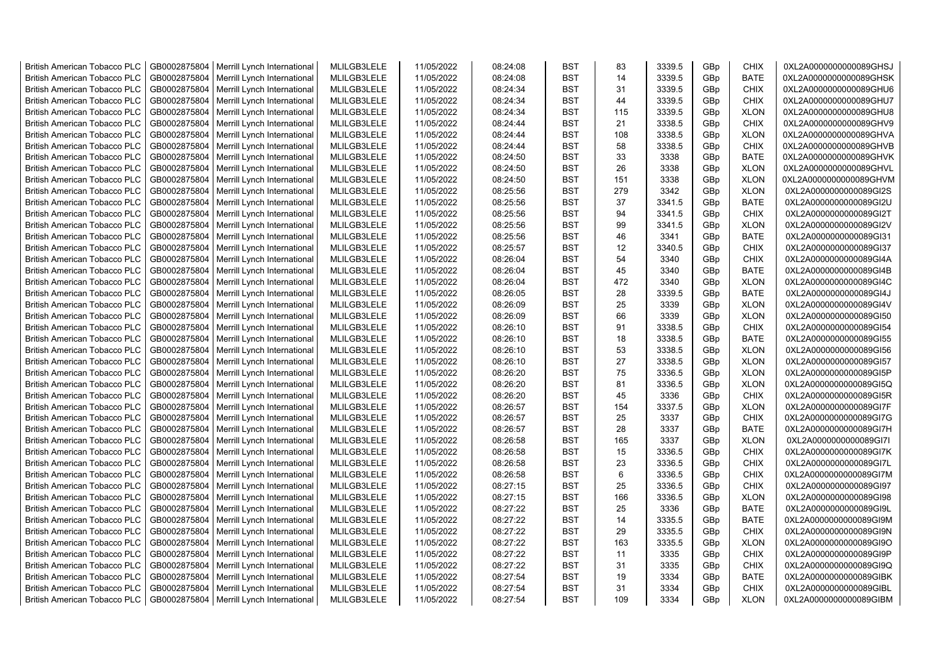| <b>British American Tobacco PLC</b> | GB0002875804 | Merrill Lynch International | MLILGB3LELE | 11/05/2022 | 08:24:08 | <b>BST</b> | 83             | 3339.5 | GBp | <b>CHIX</b> | 0XL2A0000000000089GHSJ |
|-------------------------------------|--------------|-----------------------------|-------------|------------|----------|------------|----------------|--------|-----|-------------|------------------------|
| <b>British American Tobacco PLC</b> | GB0002875804 | Merrill Lynch International | MLILGB3LELE | 11/05/2022 | 08:24:08 | <b>BST</b> | 14             | 3339.5 | GBp | <b>BATE</b> | 0XL2A0000000000089GHSK |
| <b>British American Tobacco PLC</b> | GB0002875804 | Merrill Lynch International | MLILGB3LELE | 11/05/2022 | 08:24:34 | <b>BST</b> | 31             | 3339.5 | GBp | <b>CHIX</b> | 0XL2A0000000000089GHU6 |
| <b>British American Tobacco PLC</b> | GB0002875804 | Merrill Lynch International | MLILGB3LELE | 11/05/2022 | 08:24:34 | <b>BST</b> | 44             | 3339.5 | GBp | <b>CHIX</b> | 0XL2A0000000000089GHU7 |
| <b>British American Tobacco PLC</b> | GB0002875804 | Merrill Lynch International | MLILGB3LELE | 11/05/2022 | 08:24:34 | <b>BST</b> | 115            | 3339.5 | GBp | <b>XLON</b> | 0XL2A0000000000089GHU8 |
| <b>British American Tobacco PLC</b> | GB0002875804 | Merrill Lynch International | MLILGB3LELE | 11/05/2022 | 08:24:44 | <b>BST</b> | 21             | 3338.5 | GBp | <b>CHIX</b> | 0XL2A0000000000089GHV9 |
| <b>British American Tobacco PLC</b> | GB0002875804 | Merrill Lynch International | MLILGB3LELE | 11/05/2022 | 08:24:44 | <b>BST</b> | 108            | 3338.5 | GBp | <b>XLON</b> | 0XL2A0000000000089GHVA |
| <b>British American Tobacco PLC</b> | GB0002875804 | Merrill Lynch International | MLILGB3LELE | 11/05/2022 | 08:24:44 | <b>BST</b> | 58             | 3338.5 | GBp | CHIX        | 0XL2A0000000000089GHVB |
| <b>British American Tobacco PLC</b> | GB0002875804 | Merrill Lynch International | MLILGB3LELE | 11/05/2022 | 08:24:50 | <b>BST</b> | 33             | 3338   | GBp | <b>BATE</b> | 0XL2A0000000000089GHVK |
| <b>British American Tobacco PLC</b> | GB0002875804 | Merrill Lynch International | MLILGB3LELE | 11/05/2022 | 08:24:50 | <b>BST</b> | 26             | 3338   | GBp | <b>XLON</b> | 0XL2A0000000000089GHVL |
| <b>British American Tobacco PLC</b> | GB0002875804 | Merrill Lynch International | MLILGB3LELE | 11/05/2022 | 08:24:50 | <b>BST</b> | 151            | 3338   | GBp | <b>XLON</b> | 0XL2A0000000000089GHVM |
| <b>British American Tobacco PLC</b> | GB0002875804 | Merrill Lynch International | MLILGB3LELE | 11/05/2022 | 08:25:56 | <b>BST</b> | 279            | 3342   | GBp | <b>XLON</b> | 0XL2A0000000000089GI2S |
| <b>British American Tobacco PLC</b> | GB0002875804 | Merrill Lynch International | MLILGB3LELE | 11/05/2022 | 08:25:56 | <b>BST</b> | 37             | 3341.5 | GBp | <b>BATE</b> | 0XL2A0000000000089GI2U |
| <b>British American Tobacco PLC</b> | GB0002875804 | Merrill Lynch International | MLILGB3LELE | 11/05/2022 | 08:25:56 | <b>BST</b> | 94             | 3341.5 | GBp | <b>CHIX</b> | 0XL2A0000000000089GI2T |
| <b>British American Tobacco PLC</b> | GB0002875804 | Merrill Lynch International | MLILGB3LELE | 11/05/2022 | 08:25:56 | <b>BST</b> | 99             | 3341.5 | GBp | <b>XLON</b> | 0XL2A0000000000089GI2V |
| <b>British American Tobacco PLC</b> | GB0002875804 | Merrill Lynch International | MLILGB3LELE | 11/05/2022 | 08:25:56 | <b>BST</b> | 46             | 3341   | GBp | <b>BATE</b> | 0XL2A0000000000089GI31 |
| <b>British American Tobacco PLC</b> | GB0002875804 | Merrill Lynch International | MLILGB3LELE | 11/05/2022 | 08:25:57 | <b>BST</b> | 12             | 3340.5 | GBp | CHIX        | 0XL2A0000000000089GI37 |
| <b>British American Tobacco PLC</b> | GB0002875804 | Merrill Lynch International | MLILGB3LELE | 11/05/2022 | 08:26:04 | <b>BST</b> | 54             | 3340   | GBp | <b>CHIX</b> | 0XL2A0000000000089GI4A |
| <b>British American Tobacco PLC</b> | GB0002875804 | Merrill Lynch International | MLILGB3LELE | 11/05/2022 | 08:26:04 | <b>BST</b> | 45             | 3340   | GBp | <b>BATE</b> | 0XL2A0000000000089GI4B |
| <b>British American Tobacco PLC</b> | GB0002875804 | Merrill Lynch International | MLILGB3LELE | 11/05/2022 | 08:26:04 | <b>BST</b> | 472            | 3340   | GBp | <b>XLON</b> | 0XL2A0000000000089GI4C |
| <b>British American Tobacco PLC</b> | GB0002875804 | Merrill Lynch International | MLILGB3LELE | 11/05/2022 | 08:26:05 | <b>BST</b> | 28             | 3339.5 | GBp | <b>BATE</b> | 0XL2A0000000000089GI4J |
| <b>British American Tobacco PLC</b> | GB0002875804 | Merrill Lynch International | MLILGB3LELE | 11/05/2022 | 08:26:09 | <b>BST</b> | 25             | 3339   | GBp | <b>XLON</b> | 0XL2A0000000000089GI4V |
| <b>British American Tobacco PLC</b> | GB0002875804 | Merrill Lynch International | MLILGB3LELE | 11/05/2022 | 08:26:09 | <b>BST</b> | 66             | 3339   | GBp | <b>XLON</b> | 0XL2A0000000000089GI50 |
| <b>British American Tobacco PLC</b> | GB0002875804 | Merrill Lynch International | MLILGB3LELE | 11/05/2022 | 08:26:10 | <b>BST</b> | 91             | 3338.5 | GBp | <b>CHIX</b> | 0XL2A0000000000089GI54 |
| <b>British American Tobacco PLC</b> | GB0002875804 | Merrill Lynch International | MLILGB3LELE | 11/05/2022 | 08:26:10 | <b>BST</b> | 18             | 3338.5 | GBp | <b>BATE</b> | 0XL2A0000000000089GI55 |
| <b>British American Tobacco PLC</b> | GB0002875804 | Merrill Lynch International | MLILGB3LELE | 11/05/2022 | 08:26:10 | <b>BST</b> | 53             | 3338.5 | GBp | <b>XLON</b> | 0XL2A0000000000089GI56 |
| <b>British American Tobacco PLC</b> | GB0002875804 | Merrill Lynch International | MLILGB3LELE | 11/05/2022 | 08:26:10 | <b>BST</b> | 27             | 3338.5 | GBp | <b>XLON</b> | 0XL2A0000000000089GI57 |
| <b>British American Tobacco PLC</b> | GB0002875804 | Merrill Lynch International | MLILGB3LELE | 11/05/2022 | 08:26:20 | <b>BST</b> | 75             | 3336.5 | GBp | <b>XLON</b> | 0XL2A0000000000089GI5P |
| <b>British American Tobacco PLC</b> | GB0002875804 | Merrill Lynch International | MLILGB3LELE | 11/05/2022 | 08:26:20 | <b>BST</b> | 81             | 3336.5 | GBp | <b>XLON</b> | 0XL2A0000000000089GI5Q |
| <b>British American Tobacco PLC</b> | GB0002875804 | Merrill Lynch International | MLILGB3LELE | 11/05/2022 | 08:26:20 | <b>BST</b> | 45             | 3336   | GBp | <b>CHIX</b> | 0XL2A0000000000089GI5R |
| <b>British American Tobacco PLC</b> | GB0002875804 | Merrill Lynch International | MLILGB3LELE | 11/05/2022 | 08:26:57 | <b>BST</b> | 154            | 3337.5 | GBp | <b>XLON</b> | 0XL2A0000000000089GI7F |
| <b>British American Tobacco PLC</b> | GB0002875804 | Merrill Lynch International | MLILGB3LELE | 11/05/2022 | 08:26:57 | <b>BST</b> | 25             | 3337   | GBp | <b>CHIX</b> | 0XL2A0000000000089GI7G |
| <b>British American Tobacco PLC</b> | GB0002875804 | Merrill Lynch International | MLILGB3LELE | 11/05/2022 | 08:26:57 | <b>BST</b> | 28             | 3337   | GBp | <b>BATE</b> | 0XL2A0000000000089GI7H |
| <b>British American Tobacco PLC</b> | GB0002875804 | Merrill Lynch International | MLILGB3LELE | 11/05/2022 | 08:26:58 | <b>BST</b> | 165            | 3337   | GBp | <b>XLON</b> | 0XL2A0000000000089GI7I |
| <b>British American Tobacco PLC</b> | GB0002875804 | Merrill Lynch International | MLILGB3LELE | 11/05/2022 | 08:26:58 | <b>BST</b> | 15             | 3336.5 | GBp | <b>CHIX</b> | 0XL2A0000000000089GI7K |
| <b>British American Tobacco PLC</b> | GB0002875804 | Merrill Lynch International | MLILGB3LELE | 11/05/2022 | 08:26:58 | <b>BST</b> | 23             | 3336.5 | GBp | <b>CHIX</b> | 0XL2A0000000000089GI7L |
| <b>British American Tobacco PLC</b> | GB0002875804 | Merrill Lynch International | MLILGB3LELE | 11/05/2022 | 08:26:58 | <b>BST</b> | $6\phantom{1}$ | 3336.5 | GBp | <b>CHIX</b> | 0XL2A0000000000089GI7M |
| <b>British American Tobacco PLC</b> | GB0002875804 | Merrill Lynch International | MLILGB3LELE | 11/05/2022 | 08:27:15 | <b>BST</b> | 25             | 3336.5 | GBp | <b>CHIX</b> | 0XL2A0000000000089GI97 |
| <b>British American Tobacco PLC</b> | GB0002875804 | Merrill Lynch International | MLILGB3LELE | 11/05/2022 | 08:27:15 | <b>BST</b> | 166            | 3336.5 | GBp | <b>XLON</b> | 0XL2A0000000000089GI98 |
| <b>British American Tobacco PLC</b> | GB0002875804 | Merrill Lynch International | MLILGB3LELE | 11/05/2022 | 08:27:22 | <b>BST</b> | 25             | 3336   | GBp | <b>BATE</b> | 0XL2A0000000000089GI9L |
| <b>British American Tobacco PLC</b> | GB0002875804 | Merrill Lynch International | MLILGB3LELE | 11/05/2022 | 08:27:22 | <b>BST</b> | 14             | 3335.5 | GBp | <b>BATE</b> | 0XL2A0000000000089GI9M |
| <b>British American Tobacco PLC</b> | GB0002875804 | Merrill Lynch International | MLILGB3LELE | 11/05/2022 | 08:27:22 | <b>BST</b> | 29             | 3335.5 | GBp | CHIX        | 0XL2A0000000000089GI9N |
| <b>British American Tobacco PLC</b> | GB0002875804 | Merrill Lynch International | MLILGB3LELE | 11/05/2022 | 08:27:22 | <b>BST</b> | 163            | 3335.5 | GBp | <b>XLON</b> | 0XL2A0000000000089GI9O |
| <b>British American Tobacco PLC</b> | GB0002875804 | Merrill Lynch International | MLILGB3LELE | 11/05/2022 | 08:27:22 | <b>BST</b> | 11             | 3335   | GBp | <b>CHIX</b> | 0XL2A0000000000089GI9P |
| <b>British American Tobacco PLC</b> | GB0002875804 | Merrill Lynch International | MLILGB3LELE | 11/05/2022 | 08:27:22 | <b>BST</b> | 31             | 3335   | GBp | <b>CHIX</b> | 0XL2A0000000000089GI9Q |
| <b>British American Tobacco PLC</b> | GB0002875804 | Merrill Lynch International | MLILGB3LELE | 11/05/2022 | 08:27:54 | <b>BST</b> | 19             | 3334   | GBp | <b>BATE</b> | 0XL2A0000000000089GIBK |
| <b>British American Tobacco PLC</b> | GB0002875804 | Merrill Lynch International | MLILGB3LELE | 11/05/2022 | 08:27:54 | <b>BST</b> | 31             | 3334   | GBp | <b>CHIX</b> | 0XL2A0000000000089GIBL |
| <b>British American Tobacco PLC</b> | GB0002875804 | Merrill Lynch International | MLILGB3LELE | 11/05/2022 | 08:27:54 | <b>BST</b> | 109            | 3334   | GBp | <b>XLON</b> | 0XL2A0000000000089GIBM |
|                                     |              |                             |             |            |          |            |                |        |     |             |                        |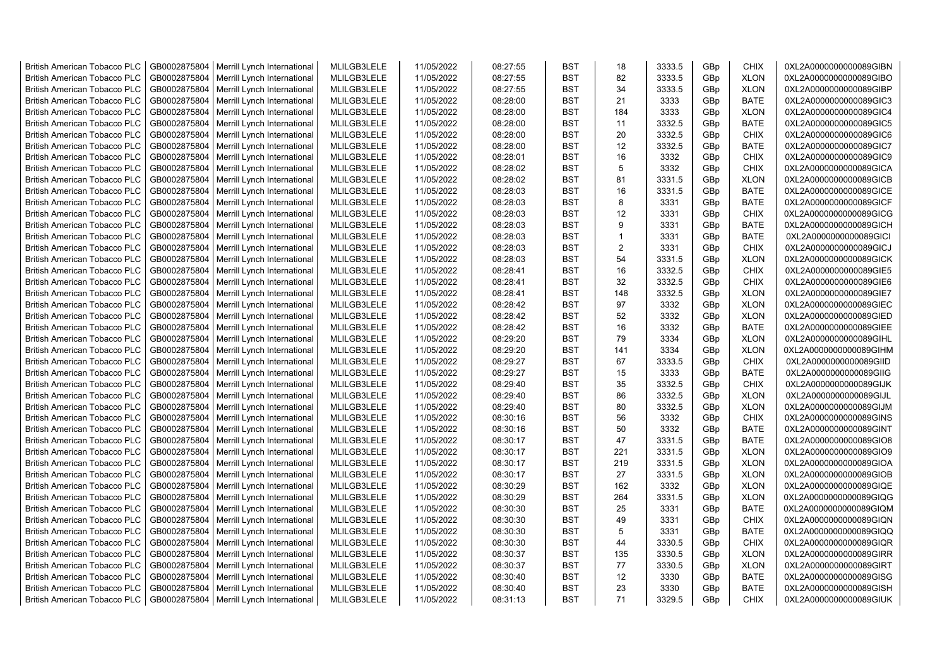| <b>British American Tobacco PLC</b> | GB0002875804 | Merrill Lynch International                | MLILGB3LELE | 11/05/2022 | 08:27:55 | <b>BST</b> | 18             | 3333.5 | GBp | <b>CHIX</b> | 0XL2A0000000000089GIBN |
|-------------------------------------|--------------|--------------------------------------------|-------------|------------|----------|------------|----------------|--------|-----|-------------|------------------------|
| <b>British American Tobacco PLC</b> | GB0002875804 | Merrill Lynch International                | MLILGB3LELE | 11/05/2022 | 08:27:55 | <b>BST</b> | 82             | 3333.5 | GBp | <b>XLON</b> | 0XL2A0000000000089GIBO |
| <b>British American Tobacco PLC</b> | GB0002875804 | Merrill Lynch International                | MLILGB3LELE | 11/05/2022 | 08:27:55 | <b>BST</b> | 34             | 3333.5 | GBp | <b>XLON</b> | 0XL2A0000000000089GIBP |
| <b>British American Tobacco PLC</b> | GB0002875804 | Merrill Lynch International                | MLILGB3LELE | 11/05/2022 | 08:28:00 | <b>BST</b> | 21             | 3333   | GBp | <b>BATE</b> | 0XL2A0000000000089GIC3 |
| <b>British American Tobacco PLC</b> | GB0002875804 | Merrill Lynch International                | MLILGB3LELE | 11/05/2022 | 08:28:00 | <b>BST</b> | 184            | 3333   | GBp | <b>XLON</b> | 0XL2A0000000000089GIC4 |
| <b>British American Tobacco PLC</b> | GB0002875804 | Merrill Lynch International                | MLILGB3LELE | 11/05/2022 | 08:28:00 | <b>BST</b> | 11             | 3332.5 | GBp | <b>BATE</b> | 0XL2A0000000000089GIC5 |
| <b>British American Tobacco PLC</b> | GB0002875804 | Merrill Lynch International                | MLILGB3LELE | 11/05/2022 | 08:28:00 | <b>BST</b> | 20             | 3332.5 | GBp | <b>CHIX</b> | 0XL2A0000000000089GIC6 |
| <b>British American Tobacco PLC</b> | GB0002875804 | Merrill Lynch International                | MLILGB3LELE | 11/05/2022 | 08:28:00 | BST        | 12             | 3332.5 | GBp | <b>BATE</b> | 0XL2A0000000000089GIC7 |
| <b>British American Tobacco PLC</b> | GB0002875804 | Merrill Lynch International                | MLILGB3LELE | 11/05/2022 | 08:28:01 | <b>BST</b> | 16             | 3332   | GBp | <b>CHIX</b> | 0XL2A0000000000089GIC9 |
| <b>British American Tobacco PLC</b> | GB0002875804 | Merrill Lynch International                | MLILGB3LELE | 11/05/2022 | 08:28:02 | <b>BST</b> | 5              | 3332   | GBp | <b>CHIX</b> | 0XL2A0000000000089GICA |
| <b>British American Tobacco PLC</b> | GB0002875804 | Merrill Lynch International                | MLILGB3LELE | 11/05/2022 | 08:28:02 | <b>BST</b> | 81             | 3331.5 | GBp | <b>XLON</b> | 0XL2A0000000000089GICB |
| <b>British American Tobacco PLC</b> | GB0002875804 | Merrill Lynch International                | MLILGB3LELE | 11/05/2022 | 08:28:03 | <b>BST</b> | 16             | 3331.5 | GBp | <b>BATE</b> | 0XL2A0000000000089GICE |
| <b>British American Tobacco PLC</b> | GB0002875804 | Merrill Lynch International                | MLILGB3LELE | 11/05/2022 | 08:28:03 | <b>BST</b> | 8              | 3331   | GBp | <b>BATE</b> | 0XL2A0000000000089GICF |
| <b>British American Tobacco PLC</b> | GB0002875804 | Merrill Lynch International                | MLILGB3LELE | 11/05/2022 | 08:28:03 | <b>BST</b> | 12             | 3331   | GBp | <b>CHIX</b> | 0XL2A0000000000089GICG |
| <b>British American Tobacco PLC</b> | GB0002875804 | Merrill Lynch International                | MLILGB3LELE | 11/05/2022 | 08:28:03 | <b>BST</b> | 9              | 3331   | GBp | <b>BATE</b> | 0XL2A0000000000089GICH |
| <b>British American Tobacco PLC</b> | GB0002875804 | Merrill Lynch International                | MLILGB3LELE | 11/05/2022 | 08:28:03 | <b>BST</b> | $\overline{1}$ | 3331   | GBp | <b>BATE</b> | 0XL2A0000000000089GICI |
| <b>British American Tobacco PLC</b> | GB0002875804 | Merrill Lynch International                | MLILGB3LELE | 11/05/2022 | 08:28:03 | <b>BST</b> | $\overline{2}$ | 3331   | GBp | <b>CHIX</b> | 0XL2A0000000000089GICJ |
| <b>British American Tobacco PLC</b> | GB0002875804 | Merrill Lynch International                | MLILGB3LELE | 11/05/2022 | 08:28:03 | <b>BST</b> | 54             | 3331.5 | GBp | <b>XLON</b> | 0XL2A0000000000089GICK |
| <b>British American Tobacco PLC</b> | GB0002875804 | Merrill Lynch International                | MLILGB3LELE | 11/05/2022 | 08:28:41 | <b>BST</b> | 16             | 3332.5 | GBp | <b>CHIX</b> | 0XL2A0000000000089GIE5 |
| <b>British American Tobacco PLC</b> | GB0002875804 | Merrill Lynch International                | MLILGB3LELE | 11/05/2022 | 08:28:41 | <b>BST</b> | 32             | 3332.5 | GBp | <b>CHIX</b> | 0XL2A0000000000089GIE6 |
| <b>British American Tobacco PLC</b> | GB0002875804 | Merrill Lynch International                | MLILGB3LELE | 11/05/2022 | 08:28:41 | <b>BST</b> | 148            | 3332.5 | GBp | <b>XLON</b> | 0XL2A0000000000089GIE7 |
| <b>British American Tobacco PLC</b> | GB0002875804 | Merrill Lynch International                | MLILGB3LELE | 11/05/2022 | 08:28:42 | <b>BST</b> | 97             | 3332   | GBp | <b>XLON</b> | 0XL2A0000000000089GIEC |
| <b>British American Tobacco PLC</b> | GB0002875804 | Merrill Lynch International                | MLILGB3LELE | 11/05/2022 | 08:28:42 | <b>BST</b> | 52             | 3332   | GBp | <b>XLON</b> | 0XL2A0000000000089GIED |
| <b>British American Tobacco PLC</b> | GB0002875804 | Merrill Lynch International                | MLILGB3LELE | 11/05/2022 | 08:28:42 | <b>BST</b> | 16             | 3332   | GBp | <b>BATE</b> | 0XL2A0000000000089GIEE |
| <b>British American Tobacco PLC</b> | GB0002875804 | Merrill Lynch International                | MLILGB3LELE | 11/05/2022 | 08:29:20 | <b>BST</b> | 79             | 3334   | GBp | <b>XLON</b> | 0XL2A0000000000089GIHL |
| British American Tobacco PLC        | GB0002875804 | Merrill Lynch International                | MLILGB3LELE | 11/05/2022 | 08:29:20 | <b>BST</b> | 141            | 3334   | GBp | <b>XLON</b> | 0XL2A0000000000089GIHM |
| <b>British American Tobacco PLC</b> | GB0002875804 | Merrill Lynch International                | MLILGB3LELE | 11/05/2022 | 08:29:27 | <b>BST</b> | 67             | 3333.5 | GBp | <b>CHIX</b> | 0XL2A0000000000089GIID |
| <b>British American Tobacco PLC</b> | GB0002875804 | Merrill Lynch International                | MLILGB3LELE | 11/05/2022 | 08:29:27 | <b>BST</b> | 15             | 3333   | GBp | <b>BATE</b> | 0XL2A0000000000089GIIG |
| <b>British American Tobacco PLC</b> | GB0002875804 | Merrill Lynch International                | MLILGB3LELE | 11/05/2022 | 08:29:40 | <b>BST</b> | 35             | 3332.5 | GBp | <b>CHIX</b> | 0XL2A0000000000089GIJK |
| <b>British American Tobacco PLC</b> | GB0002875804 | Merrill Lynch International                | MLILGB3LELE | 11/05/2022 | 08:29:40 | <b>BST</b> | 86             | 3332.5 | GBp | <b>XLON</b> | 0XL2A0000000000089GIJL |
| <b>British American Tobacco PLC</b> | GB0002875804 | Merrill Lynch International                | MLILGB3LELE | 11/05/2022 | 08:29:40 | <b>BST</b> | 80             | 3332.5 | GBp | <b>XLON</b> | 0XL2A0000000000089GIJM |
| <b>British American Tobacco PLC</b> | GB0002875804 | Merrill Lynch International                | MLILGB3LELE | 11/05/2022 | 08:30:16 | <b>BST</b> | 56             | 3332   | GBp | <b>CHIX</b> | 0XL2A0000000000089GINS |
| <b>British American Tobacco PLC</b> | GB0002875804 | Merrill Lynch International                | MLILGB3LELE | 11/05/2022 | 08:30:16 | <b>BST</b> | 50             | 3332   | GBp | <b>BATE</b> | 0XL2A0000000000089GINT |
| <b>British American Tobacco PLC</b> | GB0002875804 | Merrill Lynch International                | MLILGB3LELE | 11/05/2022 | 08:30:17 | <b>BST</b> | 47             | 3331.5 | GBp | <b>BATE</b> | 0XL2A0000000000089GIO8 |
| <b>British American Tobacco PLC</b> | GB0002875804 | Merrill Lynch International                | MLILGB3LELE | 11/05/2022 | 08:30:17 | <b>BST</b> | 221            | 3331.5 | GBp | <b>XLON</b> | 0XL2A0000000000089GIO9 |
| <b>British American Tobacco PLC</b> | GB0002875804 | Merrill Lynch International                | MLILGB3LELE | 11/05/2022 | 08:30:17 | <b>BST</b> | 219            | 3331.5 | GBp | <b>XLON</b> | 0XL2A0000000000089GIOA |
| <b>British American Tobacco PLC</b> | GB0002875804 | Merrill Lynch International                | MLILGB3LELE | 11/05/2022 | 08:30:17 | <b>BST</b> | 27             | 3331.5 | GBp | <b>XLON</b> | 0XL2A0000000000089GIOB |
| <b>British American Tobacco PLC</b> | GB0002875804 | Merrill Lynch International                | MLILGB3LELE | 11/05/2022 | 08:30:29 | <b>BST</b> | 162            | 3332   | GBp | <b>XLON</b> | 0XL2A0000000000089GIQE |
| <b>British American Tobacco PLC</b> | GB0002875804 | Merrill Lynch International                | MLILGB3LELE | 11/05/2022 | 08:30:29 | <b>BST</b> | 264            | 3331.5 | GBp | <b>XLON</b> | 0XL2A0000000000089GIQG |
| <b>British American Tobacco PLC</b> | GB0002875804 | Merrill Lynch International                | MLILGB3LELE | 11/05/2022 | 08:30:30 | <b>BST</b> | 25             | 3331   | GBp | <b>BATE</b> | 0XL2A0000000000089GIQM |
| <b>British American Tobacco PLC</b> | GB0002875804 | Merrill Lynch International                | MLILGB3LELE | 11/05/2022 | 08:30:30 | <b>BST</b> | 49             | 3331   | GBp | <b>CHIX</b> | 0XL2A0000000000089GIQN |
| <b>British American Tobacco PLC</b> | GB0002875804 | Merrill Lynch International                | MLILGB3LELE | 11/05/2022 | 08:30:30 | <b>BST</b> | 5              | 3331   | GBp | <b>BATE</b> | 0XL2A0000000000089GIQQ |
| <b>British American Tobacco PLC</b> | GB0002875804 | Merrill Lynch International                | MLILGB3LELE | 11/05/2022 | 08:30:30 | <b>BST</b> | 44             | 3330.5 | GBp | <b>CHIX</b> | 0XL2A0000000000089GIQR |
| <b>British American Tobacco PLC</b> | GB0002875804 | Merrill Lynch International                | MLILGB3LELE | 11/05/2022 | 08:30:37 | <b>BST</b> | 135            | 3330.5 | GBp | <b>XLON</b> | 0XL2A0000000000089GIRR |
| <b>British American Tobacco PLC</b> | GB0002875804 | Merrill Lynch International                | MLILGB3LELE | 11/05/2022 | 08:30:37 | <b>BST</b> | 77             | 3330.5 | GBp | <b>XLON</b> | 0XL2A0000000000089GIRT |
| <b>British American Tobacco PLC</b> | GB0002875804 | Merrill Lynch International                | MLILGB3LELE | 11/05/2022 | 08:30:40 | <b>BST</b> | 12             | 3330   | GBp | <b>BATE</b> | 0XL2A0000000000089GISG |
| <b>British American Tobacco PLC</b> | GB0002875804 | Merrill Lynch International                | MLILGB3LELE | 11/05/2022 | 08:30:40 | <b>BST</b> | 23             | 3330   | GBp | <b>BATE</b> | 0XL2A0000000000089GISH |
| <b>British American Tobacco PLC</b> |              | GB0002875804   Merrill Lynch International | MLILGB3LELE | 11/05/2022 | 08:31:13 | <b>BST</b> | 71             | 3329.5 | GBp | <b>CHIX</b> | 0XL2A0000000000089GIUK |
|                                     |              |                                            |             |            |          |            |                |        |     |             |                        |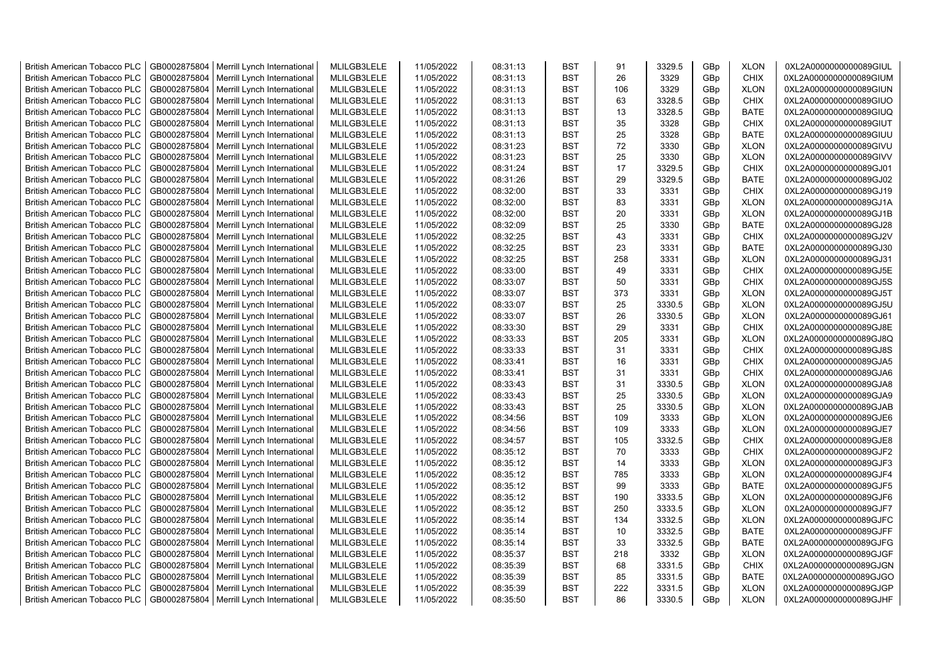| <b>British American Tobacco PLC</b> | GB0002875804 | Merrill Lynch International | MLILGB3LELE | 11/05/2022 | 08:31:13 | <b>BST</b> | 91  | 3329.5           | GBp | <b>XLON</b> | 0XL2A0000000000089GIUL |
|-------------------------------------|--------------|-----------------------------|-------------|------------|----------|------------|-----|------------------|-----|-------------|------------------------|
| <b>British American Tobacco PLC</b> | GB0002875804 | Merrill Lynch International | MLILGB3LELE | 11/05/2022 | 08:31:13 | <b>BST</b> | 26  | 3329             | GBp | <b>CHIX</b> | 0XL2A0000000000089GIUM |
| <b>British American Tobacco PLC</b> | GB0002875804 | Merrill Lynch International | MLILGB3LELE | 11/05/2022 | 08:31:13 | <b>BST</b> | 106 | 3329             | GBp | <b>XLON</b> | 0XL2A0000000000089GIUN |
| <b>British American Tobacco PLC</b> | GB0002875804 | Merrill Lynch International | MLILGB3LELE | 11/05/2022 | 08:31:13 | <b>BST</b> | 63  | 3328.5           | GBp | <b>CHIX</b> | 0XL2A0000000000089GIUO |
| British American Tobacco PLC        | GB0002875804 | Merrill Lynch International | MLILGB3LELE | 11/05/2022 | 08:31:13 | <b>BST</b> | 13  | 3328.5           | GBp | <b>BATE</b> | 0XL2A0000000000089GIUQ |
| <b>British American Tobacco PLC</b> | GB0002875804 | Merrill Lynch International | MLILGB3LELE | 11/05/2022 | 08:31:13 | <b>BST</b> | 35  | 3328             | GBp | <b>CHIX</b> | 0XL2A0000000000089GIUT |
| British American Tobacco PLC        | GB0002875804 | Merrill Lynch International | MLILGB3LELE | 11/05/2022 | 08:31:13 | <b>BST</b> | 25  | 3328             | GBp | <b>BATE</b> | 0XL2A0000000000089GIUU |
| <b>British American Tobacco PLC</b> | GB0002875804 | Merrill Lynch International | MLILGB3LELE | 11/05/2022 | 08:31:23 | <b>BST</b> | 72  | 3330             | GBp | <b>XLON</b> | 0XL2A0000000000089GIVU |
| <b>British American Tobacco PLC</b> | GB0002875804 | Merrill Lynch International | MLILGB3LELE | 11/05/2022 | 08:31:23 | <b>BST</b> | 25  | 3330             | GBp | <b>XLON</b> | 0XL2A0000000000089GIVV |
| <b>British American Tobacco PLC</b> | GB0002875804 | Merrill Lynch International | MLILGB3LELE | 11/05/2022 | 08:31:24 | <b>BST</b> | 17  | 3329.5           | GBp | <b>CHIX</b> | 0XL2A0000000000089GJ01 |
| <b>British American Tobacco PLC</b> | GB0002875804 | Merrill Lynch International | MLILGB3LELE | 11/05/2022 | 08:31:26 | <b>BST</b> | 29  | 3329.5           | GBp | <b>BATE</b> | 0XL2A0000000000089GJ02 |
| <b>British American Tobacco PLC</b> | GB0002875804 | Merrill Lynch International | MLILGB3LELE | 11/05/2022 | 08:32:00 | <b>BST</b> | 33  | 3331             | GBp | CHIX        | 0XL2A0000000000089GJ19 |
| <b>British American Tobacco PLC</b> | GB0002875804 | Merrill Lynch International | MLILGB3LELE | 11/05/2022 | 08:32:00 | <b>BST</b> | 83  | 3331             | GBp | <b>XLON</b> | 0XL2A0000000000089GJ1A |
| <b>British American Tobacco PLC</b> | GB0002875804 | Merrill Lynch International | MLILGB3LELE | 11/05/2022 | 08:32:00 | <b>BST</b> | 20  | 3331             | GBp | <b>XLON</b> | 0XL2A0000000000089GJ1B |
| <b>British American Tobacco PLC</b> | GB0002875804 | Merrill Lynch International | MLILGB3LELE | 11/05/2022 | 08:32:09 | <b>BST</b> | 25  | 3330             | GBp | <b>BATE</b> | 0XL2A0000000000089GJ28 |
| <b>British American Tobacco PLC</b> | GB0002875804 | Merrill Lynch International | MLILGB3LELE | 11/05/2022 | 08:32:25 | <b>BST</b> | 43  | 3331             | GBp | <b>CHIX</b> | 0XL2A0000000000089GJ2V |
| <b>British American Tobacco PLC</b> | GB0002875804 | Merrill Lynch International | MLILGB3LELE | 11/05/2022 | 08:32:25 | <b>BST</b> | 23  | 3331             | GBp | <b>BATE</b> | 0XL2A0000000000089GJ30 |
| <b>British American Tobacco PLC</b> | GB0002875804 | Merrill Lynch International | MLILGB3LELE | 11/05/2022 | 08:32:25 | <b>BST</b> | 258 | 3331             | GBp | <b>XLON</b> | 0XL2A0000000000089GJ31 |
| <b>British American Tobacco PLC</b> | GB0002875804 | Merrill Lynch International | MLILGB3LELE | 11/05/2022 | 08:33:00 | <b>BST</b> | 49  | 3331             | GBp | <b>CHIX</b> | 0XL2A0000000000089GJ5E |
| <b>British American Tobacco PLC</b> | GB0002875804 | Merrill Lynch International | MLILGB3LELE | 11/05/2022 | 08:33:07 | <b>BST</b> | 50  | 3331             | GBp | <b>CHIX</b> | 0XL2A0000000000089GJ5S |
| <b>British American Tobacco PLC</b> | GB0002875804 | Merrill Lynch International | MLILGB3LELE | 11/05/2022 | 08:33:07 | <b>BST</b> | 373 | 3331             | GBp | <b>XLON</b> | 0XL2A0000000000089GJ5T |
| <b>British American Tobacco PLC</b> | GB0002875804 | Merrill Lynch International | MLILGB3LELE | 11/05/2022 | 08:33:07 | <b>BST</b> | 25  | 3330.5           | GBp | <b>XLON</b> | 0XL2A0000000000089GJ5U |
| <b>British American Tobacco PLC</b> | GB0002875804 | Merrill Lynch International | MLILGB3LELE | 11/05/2022 | 08:33:07 | <b>BST</b> | 26  | 3330.5           | GBp | <b>XLON</b> | 0XL2A0000000000089GJ61 |
| <b>British American Tobacco PLC</b> | GB0002875804 | Merrill Lynch International | MLILGB3LELE | 11/05/2022 | 08:33:30 | <b>BST</b> | 29  | 3331             | GBp | <b>CHIX</b> | 0XL2A0000000000089GJ8E |
| <b>British American Tobacco PLC</b> | GB0002875804 | Merrill Lynch International | MLILGB3LELE | 11/05/2022 | 08:33:33 | <b>BST</b> | 205 | 3331             | GBp | <b>XLON</b> | 0XL2A0000000000089GJ8Q |
| <b>British American Tobacco PLC</b> | GB0002875804 | Merrill Lynch International | MLILGB3LELE | 11/05/2022 | 08:33:33 | <b>BST</b> | 31  | 3331             | GBp | CHIX        | 0XL2A0000000000089GJ8S |
| <b>British American Tobacco PLC</b> | GB0002875804 | Merrill Lynch International | MLILGB3LELE | 11/05/2022 | 08:33:41 | <b>BST</b> | 16  | 3331             | GBp | CHIX        | 0XL2A0000000000089GJA5 |
| <b>British American Tobacco PLC</b> | GB0002875804 | Merrill Lynch International | MLILGB3LELE | 11/05/2022 | 08:33:41 | <b>BST</b> | 31  | 3331             | GBp | <b>CHIX</b> | 0XL2A0000000000089GJA6 |
|                                     | GB0002875804 |                             | MLILGB3LELE |            | 08:33:43 | <b>BST</b> | 31  |                  |     | <b>XLON</b> | 0XL2A0000000000089GJA8 |
| <b>British American Tobacco PLC</b> |              | Merrill Lynch International |             | 11/05/2022 |          |            | 25  | 3330.5<br>3330.5 | GBp |             |                        |
| <b>British American Tobacco PLC</b> | GB0002875804 | Merrill Lynch International | MLILGB3LELE | 11/05/2022 | 08:33:43 | <b>BST</b> | 25  |                  | GBp | <b>XLON</b> | 0XL2A0000000000089GJA9 |
| <b>British American Tobacco PLC</b> | GB0002875804 | Merrill Lynch International | MLILGB3LELE | 11/05/2022 | 08:33:43 | <b>BST</b> |     | 3330.5           | GBp | <b>XLON</b> | 0XL2A0000000000089GJAB |
| <b>British American Tobacco PLC</b> | GB0002875804 | Merrill Lynch International | MLILGB3LELE | 11/05/2022 | 08:34:56 | <b>BST</b> | 109 | 3333             | GBp | <b>XLON</b> | 0XL2A0000000000089GJE6 |
| <b>British American Tobacco PLC</b> | GB0002875804 | Merrill Lynch International | MLILGB3LELE | 11/05/2022 | 08:34:56 | <b>BST</b> | 109 | 3333             | GBp | <b>XLON</b> | 0XL2A0000000000089GJE7 |
| <b>British American Tobacco PLC</b> | GB0002875804 | Merrill Lynch International | MLILGB3LELE | 11/05/2022 | 08:34:57 | <b>BST</b> | 105 | 3332.5           | GBp | <b>CHIX</b> | 0XL2A0000000000089GJE8 |
| <b>British American Tobacco PLC</b> | GB0002875804 | Merrill Lynch International | MLILGB3LELE | 11/05/2022 | 08:35:12 | <b>BST</b> | 70  | 3333             | GBp | <b>CHIX</b> | 0XL2A0000000000089GJF2 |
| <b>British American Tobacco PLC</b> | GB0002875804 | Merrill Lynch International | MLILGB3LELE | 11/05/2022 | 08:35:12 | <b>BST</b> | 14  | 3333             | GBp | <b>XLON</b> | 0XL2A0000000000089GJF3 |
| <b>British American Tobacco PLC</b> | GB0002875804 | Merrill Lynch International | MLILGB3LELE | 11/05/2022 | 08:35:12 | <b>BST</b> | 785 | 3333             | GBp | <b>XLON</b> | 0XL2A0000000000089GJF4 |
| <b>British American Tobacco PLC</b> | GB0002875804 | Merrill Lynch International | MLILGB3LELE | 11/05/2022 | 08:35:12 | <b>BST</b> | 99  | 3333             | GBp | <b>BATE</b> | 0XL2A0000000000089GJF5 |
| <b>British American Tobacco PLC</b> | GB0002875804 | Merrill Lynch International | MLILGB3LELE | 11/05/2022 | 08:35:12 | <b>BST</b> | 190 | 3333.5           | GBp | <b>XLON</b> | 0XL2A0000000000089GJF6 |
| <b>British American Tobacco PLC</b> | GB0002875804 | Merrill Lynch International | MLILGB3LELE | 11/05/2022 | 08:35:12 | <b>BST</b> | 250 | 3333.5           | GBp | <b>XLON</b> | 0XL2A0000000000089GJF7 |
| <b>British American Tobacco PLC</b> | GB0002875804 | Merrill Lynch International | MLILGB3LELE | 11/05/2022 | 08:35:14 | <b>BST</b> | 134 | 3332.5           | GBp | <b>XLON</b> | 0XL2A0000000000089GJFC |
| <b>British American Tobacco PLC</b> | GB0002875804 | Merrill Lynch International | MLILGB3LELE | 11/05/2022 | 08:35:14 | <b>BST</b> | 10  | 3332.5           | GBp | <b>BATE</b> | 0XL2A0000000000089GJFF |
| <b>British American Tobacco PLC</b> | GB0002875804 | Merrill Lynch International | MLILGB3LELE | 11/05/2022 | 08:35:14 | <b>BST</b> | 33  | 3332.5           | GBp | <b>BATE</b> | 0XL2A0000000000089GJFG |
| <b>British American Tobacco PLC</b> | GB0002875804 | Merrill Lynch International | MLILGB3LELE | 11/05/2022 | 08:35:37 | <b>BST</b> | 218 | 3332             | GBp | <b>XLON</b> | 0XL2A0000000000089GJGF |
| <b>British American Tobacco PLC</b> | GB0002875804 | Merrill Lynch International | MLILGB3LELE | 11/05/2022 | 08:35:39 | <b>BST</b> | 68  | 3331.5           | GBp | <b>CHIX</b> | 0XL2A0000000000089GJGN |
| <b>British American Tobacco PLC</b> | GB0002875804 | Merrill Lynch International | MLILGB3LELE | 11/05/2022 | 08:35:39 | <b>BST</b> | 85  | 3331.5           | GBp | <b>BATE</b> | 0XL2A0000000000089GJGO |
| <b>British American Tobacco PLC</b> | GB0002875804 | Merrill Lynch International | MLILGB3LELE | 11/05/2022 | 08:35:39 | <b>BST</b> | 222 | 3331.5           | GBp | <b>XLON</b> | 0XL2A0000000000089GJGP |
| <b>British American Tobacco PLC</b> | GB0002875804 | Merrill Lynch International | MLILGB3LELE | 11/05/2022 | 08:35:50 | <b>BST</b> | 86  | 3330.5           | GBp | <b>XLON</b> | 0XL2A0000000000089GJHF |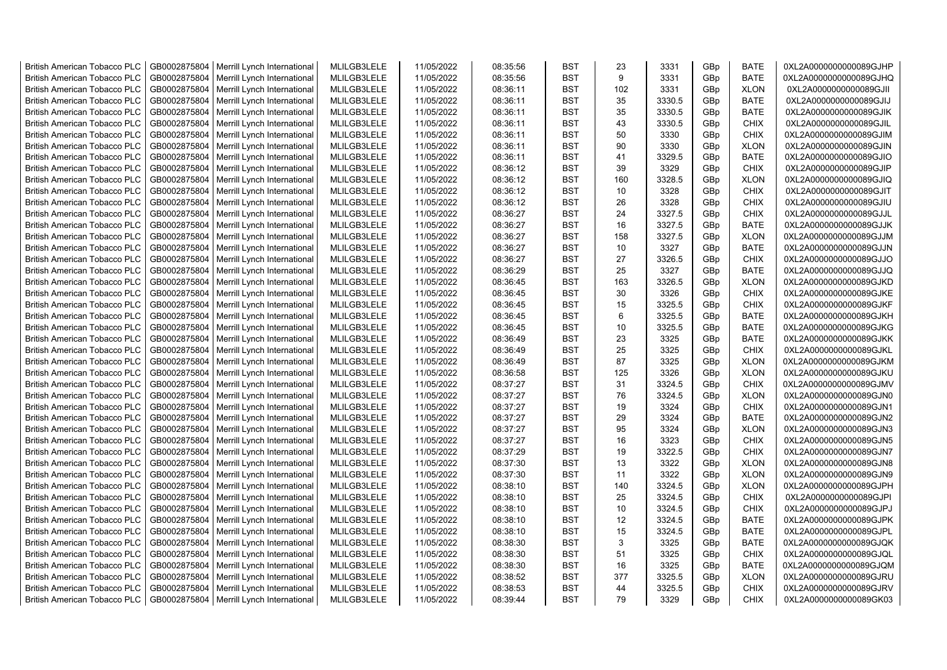| <b>British American Tobacco PLC</b> | GB0002875804                 | Merrill Lynch International | MLILGB3LELE                | 11/05/2022 | 08:35:56 | <b>BST</b>               | 23  | 3331           | GBp             | <b>BATE</b>                | 0XL2A0000000000089GJHP |
|-------------------------------------|------------------------------|-----------------------------|----------------------------|------------|----------|--------------------------|-----|----------------|-----------------|----------------------------|------------------------|
| <b>British American Tobacco PLC</b> | GB0002875804                 | Merrill Lynch International | MLILGB3LELE                | 11/05/2022 | 08:35:56 | <b>BST</b>               | 9   | 3331           | GBp             | <b>BATE</b>                | 0XL2A0000000000089GJHQ |
| <b>British American Tobacco PLC</b> | GB0002875804                 | Merrill Lynch International | MLILGB3LELE                | 11/05/2022 | 08:36:11 | <b>BST</b>               | 102 | 3331           | GBp             | <b>XLON</b>                | 0XL2A0000000000089GJII |
| <b>British American Tobacco PLC</b> | GB0002875804                 | Merrill Lynch International | MLILGB3LELE                | 11/05/2022 | 08:36:11 | <b>BST</b>               | 35  | 3330.5         | GBp             | <b>BATE</b>                | 0XL2A0000000000089GJIJ |
| <b>British American Tobacco PLC</b> | GB0002875804                 | Merrill Lynch International | MLILGB3LELE                | 11/05/2022 | 08:36:11 | <b>BST</b>               | 35  | 3330.5         | GBp             | <b>BATE</b>                | 0XL2A0000000000089GJIK |
| <b>British American Tobacco PLC</b> | GB0002875804                 | Merrill Lynch International | MLILGB3LELE                | 11/05/2022 | 08:36:11 | <b>BST</b>               | 43  | 3330.5         | GBp             | <b>CHIX</b>                | 0XL2A0000000000089GJIL |
| <b>British American Tobacco PLC</b> | GB0002875804                 | Merrill Lynch International | MLILGB3LELE                | 11/05/2022 | 08:36:11 | <b>BST</b>               | 50  | 3330           | GBp             | <b>CHIX</b>                | 0XL2A0000000000089GJIM |
| <b>British American Tobacco PLC</b> | GB0002875804                 | Merrill Lynch International | MLILGB3LELE                | 11/05/2022 | 08:36:11 | <b>BST</b>               | 90  | 3330           | GBp             | <b>XLON</b>                | 0XL2A0000000000089GJIN |
| <b>British American Tobacco PLC</b> | GB0002875804                 | Merrill Lynch International | MLILGB3LELE                | 11/05/2022 | 08:36:11 | <b>BST</b>               | 41  | 3329.5         | GBp             | <b>BATE</b>                | 0XL2A0000000000089GJIO |
| <b>British American Tobacco PLC</b> | GB0002875804                 | Merrill Lynch International | MLILGB3LELE                | 11/05/2022 | 08:36:12 | <b>BST</b>               | 39  | 3329           | GBp             | <b>CHIX</b>                | 0XL2A0000000000089GJIP |
| <b>British American Tobacco PLC</b> | GB0002875804                 | Merrill Lynch International | MLILGB3LELE                | 11/05/2022 | 08:36:12 | <b>BST</b>               | 160 | 3328.5         | GBp             | <b>XLON</b>                | 0XL2A0000000000089GJIQ |
| <b>British American Tobacco PLC</b> | GB0002875804                 | Merrill Lynch International | MLILGB3LELE                | 11/05/2022 | 08:36:12 | <b>BST</b>               | 10  | 3328           | GBp             | <b>CHIX</b>                | 0XL2A0000000000089GJIT |
| <b>British American Tobacco PLC</b> | GB0002875804                 | Merrill Lynch International | MLILGB3LELE                | 11/05/2022 | 08:36:12 | <b>BST</b>               | 26  | 3328           | GBp             | <b>CHIX</b>                | 0XL2A0000000000089GJIU |
| <b>British American Tobacco PLC</b> | GB0002875804                 | Merrill Lynch International | MLILGB3LELE                | 11/05/2022 | 08:36:27 | <b>BST</b>               | 24  | 3327.5         | GBp             | <b>CHIX</b>                | 0XL2A0000000000089GJJL |
| <b>British American Tobacco PLC</b> | GB0002875804                 | Merrill Lynch International | MLILGB3LELE                | 11/05/2022 | 08:36:27 | <b>BST</b>               | 16  | 3327.5         | GBp             | <b>BATE</b>                | 0XL2A0000000000089GJJK |
| <b>British American Tobacco PLC</b> | GB0002875804                 | Merrill Lynch International | MLILGB3LELE                | 11/05/2022 | 08:36:27 | <b>BST</b>               | 158 | 3327.5         | GBp             | <b>XLON</b>                | 0XL2A0000000000089GJJM |
| <b>British American Tobacco PLC</b> | GB0002875804                 | Merrill Lynch International | MLILGB3LELE                | 11/05/2022 | 08:36:27 | <b>BST</b>               | 10  | 3327           | GBp             | <b>BATE</b>                | 0XL2A0000000000089GJJN |
| <b>British American Tobacco PLC</b> | GB0002875804                 | Merrill Lynch International | MLILGB3LELE                | 11/05/2022 | 08:36:27 | <b>BST</b>               | 27  | 3326.5         | GBp             | <b>CHIX</b>                | 0XL2A0000000000089GJJO |
| <b>British American Tobacco PLC</b> | GB0002875804                 | Merrill Lynch International | MLILGB3LELE                | 11/05/2022 | 08:36:29 | <b>BST</b>               | 25  | 3327           | GBp             | <b>BATE</b>                | 0XL2A0000000000089GJJQ |
| <b>British American Tobacco PLC</b> | GB0002875804                 | Merrill Lynch International | MLILGB3LELE                | 11/05/2022 | 08:36:45 | <b>BST</b>               | 163 | 3326.5         | GBp             | <b>XLON</b>                | 0XL2A0000000000089GJKD |
| <b>British American Tobacco PLC</b> | GB0002875804                 | Merrill Lynch International | MLILGB3LELE                | 11/05/2022 | 08:36:45 | <b>BST</b>               | 30  | 3326           | GBp             | <b>CHIX</b>                | 0XL2A0000000000089GJKE |
| <b>British American Tobacco PLC</b> | GB0002875804                 | Merrill Lynch International | MLILGB3LELE                | 11/05/2022 | 08:36:45 | <b>BST</b>               | 15  | 3325.5         | GBp             | <b>CHIX</b>                | 0XL2A0000000000089GJKF |
| <b>British American Tobacco PLC</b> | GB0002875804                 | Merrill Lynch International | MLILGB3LELE                | 11/05/2022 | 08:36:45 | <b>BST</b>               | 6   | 3325.5         | GBp             | <b>BATE</b>                | 0XL2A0000000000089GJKH |
| <b>British American Tobacco PLC</b> | GB0002875804                 | Merrill Lynch International | MLILGB3LELE                | 11/05/2022 | 08:36:45 | <b>BST</b>               | 10  | 3325.5         | GBp             | <b>BATE</b>                | 0XL2A0000000000089GJKG |
| <b>British American Tobacco PLC</b> | GB0002875804                 | Merrill Lynch International | MLILGB3LELE                | 11/05/2022 | 08:36:49 | <b>BST</b>               | 23  | 3325           | GBp             | <b>BATE</b>                | 0XL2A0000000000089GJKK |
| <b>British American Tobacco PLC</b> | GB0002875804                 | Merrill Lynch International | MLILGB3LELE                | 11/05/2022 | 08:36:49 | <b>BST</b>               | 25  | 3325           | GBp             | <b>CHIX</b>                | 0XL2A0000000000089GJKL |
| <b>British American Tobacco PLC</b> | GB0002875804                 | Merrill Lynch International | MLILGB3LELE                | 11/05/2022 | 08:36:49 | <b>BST</b>               | 87  | 3325           | GBp             | <b>XLON</b>                | 0XL2A0000000000089GJKM |
| <b>British American Tobacco PLC</b> | GB0002875804                 | Merrill Lynch International | MLILGB3LELE                | 11/05/2022 | 08:36:58 | <b>BST</b>               | 125 | 3326           | GBp             | <b>XLON</b>                | 0XL2A0000000000089GJKU |
| <b>British American Tobacco PLC</b> | GB0002875804                 | Merrill Lynch International | MLILGB3LELE                | 11/05/2022 | 08:37:27 | <b>BST</b>               | 31  | 3324.5         | GBp             | <b>CHIX</b>                | 0XL2A0000000000089GJMV |
| <b>British American Tobacco PLC</b> | GB0002875804                 | Merrill Lynch International | MLILGB3LELE                | 11/05/2022 | 08:37:27 | <b>BST</b>               | 76  | 3324.5         | GBp             | <b>XLON</b>                | 0XL2A0000000000089GJN0 |
| <b>British American Tobacco PLC</b> | GB0002875804                 | Merrill Lynch International | MLILGB3LELE                | 11/05/2022 | 08:37:27 | <b>BST</b>               | 19  | 3324           | GBp             | <b>CHIX</b>                | 0XL2A0000000000089GJN1 |
| <b>British American Tobacco PLC</b> | GB0002875804                 | Merrill Lynch International | MLILGB3LELE                | 11/05/2022 | 08:37:27 | <b>BST</b>               | 29  | 3324           | GBp             | <b>BATE</b>                | 0XL2A0000000000089GJN2 |
| <b>British American Tobacco PLC</b> | GB0002875804                 | Merrill Lynch International | MLILGB3LELE                | 11/05/2022 | 08:37:27 | <b>BST</b>               | 95  | 3324           | GBp             | <b>XLON</b>                | 0XL2A0000000000089GJN3 |
| <b>British American Tobacco PLC</b> | GB0002875804                 | Merrill Lynch International | MLILGB3LELE                | 11/05/2022 | 08:37:27 | <b>BST</b>               | 16  | 3323           | GBp             | <b>CHIX</b>                | 0XL2A0000000000089GJN5 |
| <b>British American Tobacco PLC</b> | GB0002875804                 | Merrill Lynch International | MLILGB3LELE                | 11/05/2022 | 08:37:29 | <b>BST</b>               | 19  | 3322.5         | GBp             | <b>CHIX</b>                | 0XL2A0000000000089GJN7 |
| <b>British American Tobacco PLC</b> | GB0002875804                 | Merrill Lynch International | MLILGB3LELE                | 11/05/2022 | 08:37:30 | <b>BST</b>               | 13  | 3322           | GBp             | <b>XLON</b>                | 0XL2A0000000000089GJN8 |
| <b>British American Tobacco PLC</b> | GB0002875804                 | Merrill Lynch International | MLILGB3LELE                | 11/05/2022 | 08:37:30 | <b>BST</b>               | 11  | 3322           | GBp             | <b>XLON</b>                | 0XL2A0000000000089GJN9 |
| <b>British American Tobacco PLC</b> | GB0002875804                 | Merrill Lynch International | MLILGB3LELE                | 11/05/2022 | 08:38:10 | <b>BST</b>               | 140 | 3324.5         | GBp             | <b>XLON</b>                | 0XL2A0000000000089GJPH |
| <b>British American Tobacco PLC</b> | GB0002875804                 | Merrill Lynch International | MLILGB3LELE                | 11/05/2022 | 08:38:10 | <b>BST</b>               | 25  | 3324.5         | GBp             | <b>CHIX</b>                | 0XL2A0000000000089GJPI |
| <b>British American Tobacco PLC</b> | GB0002875804                 | Merrill Lynch International | MLILGB3LELE                | 11/05/2022 | 08:38:10 | <b>BST</b>               | 10  | 3324.5         | GBp             | <b>CHIX</b>                | 0XL2A0000000000089GJPJ |
| <b>British American Tobacco PLC</b> | GB0002875804                 | Merrill Lynch International | MLILGB3LELE                | 11/05/2022 | 08:38:10 | <b>BST</b>               | 12  | 3324.5         | GBp             | <b>BATE</b>                | 0XL2A0000000000089GJPK |
| <b>British American Tobacco PLC</b> | GB0002875804                 | Merrill Lynch International | MLILGB3LELE                | 11/05/2022 | 08:38:10 | <b>BST</b>               | 15  | 3324.5         | GBp             | BATE                       | 0XL2A0000000000089GJPL |
|                                     |                              |                             |                            |            |          |                          | 3   |                |                 |                            |                        |
| <b>British American Tobacco PLC</b> | GB0002875804                 | Merrill Lynch International | MLILGB3LELE                | 11/05/2022 | 08:38:30 | <b>BST</b><br><b>BST</b> | 51  | 3325           | GBp             | <b>BATE</b>                | 0XL2A0000000000089GJQK |
| <b>British American Tobacco PLC</b> | GB0002875804<br>GB0002875804 | Merrill Lynch International | MLILGB3LELE<br>MLILGB3LELE | 11/05/2022 | 08:38:30 | <b>BST</b>               | 16  | 3325           | GBp             | <b>CHIX</b><br><b>BATE</b> | 0XL2A0000000000089GJQL |
| <b>British American Tobacco PLC</b> |                              | Merrill Lynch International | MLILGB3LELE                | 11/05/2022 | 08:38:30 | <b>BST</b>               | 377 | 3325<br>3325.5 | GBp             |                            | 0XL2A0000000000089GJQM |
| <b>British American Tobacco PLC</b> | GB0002875804                 | Merrill Lynch International |                            | 11/05/2022 | 08:38:52 |                          |     |                | GBp             | <b>XLON</b>                | 0XL2A0000000000089GJRU |
| <b>British American Tobacco PLC</b> | GB0002875804                 | Merrill Lynch International | MLILGB3LELE                | 11/05/2022 | 08:38:53 | <b>BST</b>               | 44  | 3325.5         | GBp             | <b>CHIX</b>                | 0XL2A0000000000089GJRV |
| <b>British American Tobacco PLC</b> | GB0002875804                 | Merrill Lynch International | MLILGB3LELE                | 11/05/2022 | 08:39:44 | <b>BST</b>               | 79  | 3329           | GB <sub>p</sub> | <b>CHIX</b>                | 0XL2A0000000000089GK03 |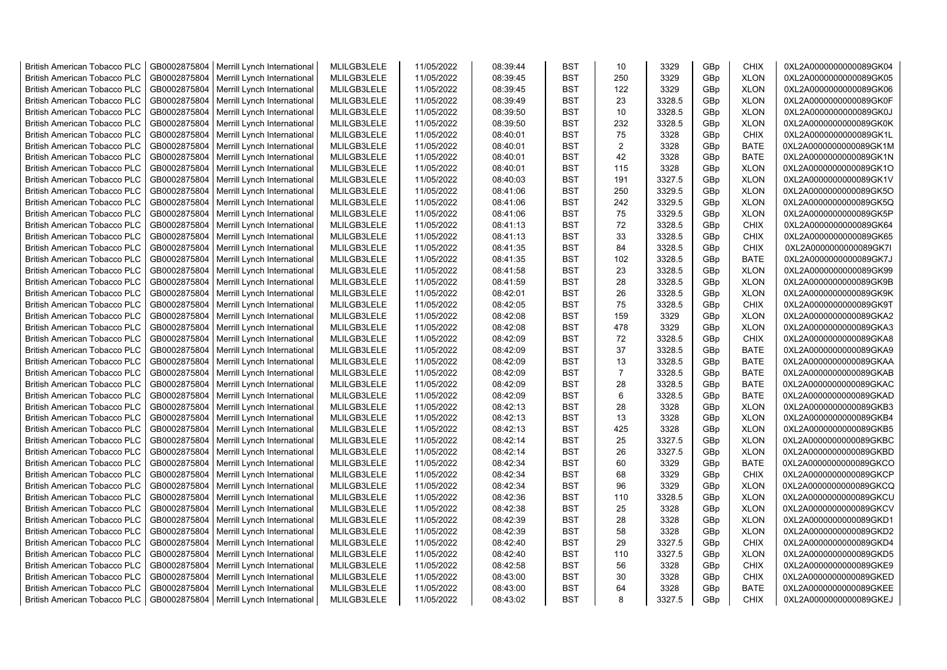| <b>British American Tobacco PLC</b> | GB0002875804 | Merrill Lynch International                | MLILGB3LELE | 11/05/2022 | 08:39:44 | <b>BST</b> | 10             | 3329   | GBp             | <b>CHIX</b> | 0XL2A0000000000089GK04 |
|-------------------------------------|--------------|--------------------------------------------|-------------|------------|----------|------------|----------------|--------|-----------------|-------------|------------------------|
| <b>British American Tobacco PLC</b> | GB0002875804 | Merrill Lynch International                | MLILGB3LELE | 11/05/2022 | 08:39:45 | <b>BST</b> | 250            | 3329   | GBp             | <b>XLON</b> | 0XL2A0000000000089GK05 |
| <b>British American Tobacco PLC</b> | GB0002875804 | Merrill Lynch International                | MLILGB3LELE | 11/05/2022 | 08:39:45 | <b>BST</b> | 122            | 3329   | GBp             | <b>XLON</b> | 0XL2A0000000000089GK06 |
| <b>British American Tobacco PLC</b> | GB0002875804 | Merrill Lynch International                | MLILGB3LELE | 11/05/2022 | 08:39:49 | <b>BST</b> | 23             | 3328.5 | GBp             | <b>XLON</b> | 0XL2A0000000000089GK0F |
| <b>British American Tobacco PLC</b> | GB0002875804 | Merrill Lynch International                | MLILGB3LELE | 11/05/2022 | 08:39:50 | <b>BST</b> | 10             | 3328.5 | GBp             | <b>XLON</b> | 0XL2A0000000000089GK0J |
| <b>British American Tobacco PLC</b> | GB0002875804 | Merrill Lynch International                | MLILGB3LELE | 11/05/2022 | 08:39:50 | <b>BST</b> | 232            | 3328.5 | GBp             | <b>XLON</b> | 0XL2A0000000000089GK0K |
| <b>British American Tobacco PLC</b> | GB0002875804 | Merrill Lynch International                | MLILGB3LELE | 11/05/2022 | 08:40:01 | <b>BST</b> | 75             | 3328   | GBp             | <b>CHIX</b> | 0XL2A0000000000089GK1L |
| <b>British American Tobacco PLC</b> | GB0002875804 | Merrill Lynch International                | MLILGB3LELE | 11/05/2022 | 08:40:01 | <b>BST</b> | 2              | 3328   | GBp             | BATE        | 0XL2A0000000000089GK1M |
| <b>British American Tobacco PLC</b> | GB0002875804 | Merrill Lynch International                | MLILGB3LELE | 11/05/2022 | 08:40:01 | <b>BST</b> | 42             | 3328   | GBp             | <b>BATE</b> | 0XL2A0000000000089GK1N |
| <b>British American Tobacco PLC</b> | GB0002875804 | Merrill Lynch International                | MLILGB3LELE | 11/05/2022 | 08:40:01 | <b>BST</b> | 115            | 3328   | GBp             | <b>XLON</b> | 0XL2A0000000000089GK1O |
| <b>British American Tobacco PLC</b> | GB0002875804 | Merrill Lynch International                | MLILGB3LELE | 11/05/2022 | 08:40:03 | <b>BST</b> | 191            | 3327.5 | GBp             | <b>XLON</b> | 0XL2A0000000000089GK1V |
| <b>British American Tobacco PLC</b> | GB0002875804 | Merrill Lynch International                | MLILGB3LELE | 11/05/2022 | 08:41:06 | <b>BST</b> | 250            | 3329.5 | GBp             | <b>XLON</b> | 0XL2A0000000000089GK5O |
| <b>British American Tobacco PLC</b> | GB0002875804 | Merrill Lynch International                | MLILGB3LELE | 11/05/2022 | 08:41:06 | <b>BST</b> | 242            | 3329.5 | GBp             | <b>XLON</b> | 0XL2A0000000000089GK5Q |
| <b>British American Tobacco PLC</b> | GB0002875804 | Merrill Lynch International                | MLILGB3LELE | 11/05/2022 | 08:41:06 | <b>BST</b> | 75             | 3329.5 | GBp             | <b>XLON</b> | 0XL2A0000000000089GK5P |
| <b>British American Tobacco PLC</b> | GB0002875804 | Merrill Lynch International                | MLILGB3LELE | 11/05/2022 | 08:41:13 | <b>BST</b> | 72             | 3328.5 | GBp             | <b>CHIX</b> | 0XL2A0000000000089GK64 |
| <b>British American Tobacco PLC</b> | GB0002875804 | Merrill Lynch International                | MLILGB3LELE | 11/05/2022 | 08:41:13 | <b>BST</b> | 33             | 3328.5 | GBp             | <b>CHIX</b> | 0XL2A0000000000089GK65 |
| <b>British American Tobacco PLC</b> | GB0002875804 | Merrill Lynch International                | MLILGB3LELE | 11/05/2022 | 08:41:35 | <b>BST</b> | 84             | 3328.5 | GBp             | <b>CHIX</b> | 0XL2A0000000000089GK7I |
| <b>British American Tobacco PLC</b> | GB0002875804 | Merrill Lynch International                | MLILGB3LELE | 11/05/2022 | 08:41:35 | <b>BST</b> | 102            | 3328.5 | GBp             | <b>BATE</b> | 0XL2A0000000000089GK7J |
| <b>British American Tobacco PLC</b> | GB0002875804 | Merrill Lynch International                | MLILGB3LELE | 11/05/2022 | 08:41:58 | <b>BST</b> | 23             | 3328.5 | GBp             | <b>XLON</b> | 0XL2A0000000000089GK99 |
| <b>British American Tobacco PLC</b> | GB0002875804 | Merrill Lynch International                | MLILGB3LELE | 11/05/2022 | 08:41:59 | <b>BST</b> | 28             | 3328.5 | GBp             | <b>XLON</b> | 0XL2A0000000000089GK9B |
| <b>British American Tobacco PLC</b> | GB0002875804 | Merrill Lynch International                | MLILGB3LELE | 11/05/2022 | 08:42:01 | <b>BST</b> | 26             | 3328.5 | GBp             | <b>XLON</b> | 0XL2A0000000000089GK9K |
| <b>British American Tobacco PLC</b> | GB0002875804 | Merrill Lynch International                | MLILGB3LELE | 11/05/2022 | 08:42:05 | <b>BST</b> | 75             | 3328.5 | GBp             | <b>CHIX</b> | 0XL2A0000000000089GK9T |
|                                     | GB0002875804 |                                            | MLILGB3LELE | 11/05/2022 | 08:42:08 | <b>BST</b> | 159            |        |                 |             |                        |
| <b>British American Tobacco PLC</b> |              | Merrill Lynch International                |             |            |          |            |                | 3329   | GBp             | <b>XLON</b> | 0XL2A0000000000089GKA2 |
| <b>British American Tobacco PLC</b> | GB0002875804 | Merrill Lynch International                | MLILGB3LELE | 11/05/2022 | 08:42:08 | BST        | 478            | 3329   | GBp             | <b>XLON</b> | 0XL2A0000000000089GKA3 |
| <b>British American Tobacco PLC</b> | GB0002875804 | Merrill Lynch International                | MLILGB3LELE | 11/05/2022 | 08:42:09 | <b>BST</b> | 72             | 3328.5 | GBp             | <b>CHIX</b> | 0XL2A0000000000089GKA8 |
| <b>British American Tobacco PLC</b> | GB0002875804 | Merrill Lynch International                | MLILGB3LELE | 11/05/2022 | 08:42:09 | <b>BST</b> | 37             | 3328.5 | GBp             | <b>BATE</b> | 0XL2A0000000000089GKA9 |
| British American Tobacco PLC        | GB0002875804 | Merrill Lynch International                | MLILGB3LELE | 11/05/2022 | 08:42:09 | <b>BST</b> | 13             | 3328.5 | GBp             | <b>BATE</b> | 0XL2A0000000000089GKAA |
| British American Tobacco PLC        | GB0002875804 | Merrill Lynch International                | MLILGB3LELE | 11/05/2022 | 08:42:09 | <b>BST</b> | $\overline{7}$ | 3328.5 | GBp             | <b>BATE</b> | 0XL2A0000000000089GKAB |
| <b>British American Tobacco PLC</b> | GB0002875804 | Merrill Lynch International                | MLILGB3LELE | 11/05/2022 | 08:42:09 | <b>BST</b> | 28             | 3328.5 | GBp             | <b>BATE</b> | 0XL2A0000000000089GKAC |
| <b>British American Tobacco PLC</b> | GB0002875804 | Merrill Lynch International                | MLILGB3LELE | 11/05/2022 | 08:42:09 | <b>BST</b> | 6              | 3328.5 | GBp             | <b>BATE</b> | 0XL2A0000000000089GKAD |
| <b>British American Tobacco PLC</b> | GB0002875804 | Merrill Lynch International                | MLILGB3LELE | 11/05/2022 | 08:42:13 | <b>BST</b> | 28             | 3328   | GBp             | <b>XLON</b> | 0XL2A0000000000089GKB3 |
| <b>British American Tobacco PLC</b> | GB0002875804 | Merrill Lynch International                | MLILGB3LELE | 11/05/2022 | 08:42:13 | <b>BST</b> | 13             | 3328   | GBp             | <b>XLON</b> | 0XL2A0000000000089GKB4 |
| <b>British American Tobacco PLC</b> | GB0002875804 | Merrill Lynch International                | MLILGB3LELE | 11/05/2022 | 08:42:13 | <b>BST</b> | 425            | 3328   | GBp             | <b>XLON</b> | 0XL2A0000000000089GKB5 |
| <b>British American Tobacco PLC</b> | GB0002875804 | Merrill Lynch International                | MLILGB3LELE | 11/05/2022 | 08:42:14 | <b>BST</b> | 25             | 3327.5 | GBp             | <b>XLON</b> | 0XL2A0000000000089GKBC |
| <b>British American Tobacco PLC</b> | GB0002875804 | Merrill Lynch International                | MLILGB3LELE | 11/05/2022 | 08:42:14 | <b>BST</b> | 26             | 3327.5 | GBp             | <b>XLON</b> | 0XL2A0000000000089GKBD |
| <b>British American Tobacco PLC</b> | GB0002875804 | Merrill Lynch International                | MLILGB3LELE | 11/05/2022 | 08:42:34 | <b>BST</b> | 60             | 3329   | GBp             | <b>BATE</b> | 0XL2A0000000000089GKCO |
| <b>British American Tobacco PLC</b> | GB0002875804 | Merrill Lynch International                | MLILGB3LELE | 11/05/2022 | 08:42:34 | <b>BST</b> | 68             | 3329   | GBp             | <b>CHIX</b> | 0XL2A0000000000089GKCP |
| <b>British American Tobacco PLC</b> | GB0002875804 | Merrill Lynch International                | MLILGB3LELE | 11/05/2022 | 08:42:34 | <b>BST</b> | 96             | 3329   | GBp             | <b>XLON</b> | 0XL2A0000000000089GKCQ |
| <b>British American Tobacco PLC</b> | GB0002875804 | Merrill Lynch International                | MLILGB3LELE | 11/05/2022 | 08:42:36 | <b>BST</b> | 110            | 3328.5 | GBp             | <b>XLON</b> | 0XL2A0000000000089GKCU |
| <b>British American Tobacco PLC</b> | GB0002875804 | Merrill Lynch International                | MLILGB3LELE | 11/05/2022 | 08:42:38 | <b>BST</b> | 25             | 3328   | GBp             | <b>XLON</b> | 0XL2A0000000000089GKCV |
| <b>British American Tobacco PLC</b> | GB0002875804 | Merrill Lynch International                | MLILGB3LELE | 11/05/2022 | 08:42:39 | <b>BST</b> | 28             | 3328   | GBp             | <b>XLON</b> | 0XL2A0000000000089GKD1 |
| <b>British American Tobacco PLC</b> | GB0002875804 | Merrill Lynch International                | MLILGB3LELE | 11/05/2022 | 08:42:39 | <b>BST</b> | 58             | 3328   | GBp             | <b>XLON</b> | 0XL2A0000000000089GKD2 |
| <b>British American Tobacco PLC</b> | GB0002875804 | Merrill Lynch International                | MLILGB3LELE | 11/05/2022 | 08:42:40 | <b>BST</b> | 29             | 3327.5 | GBp             | <b>CHIX</b> | 0XL2A0000000000089GKD4 |
| <b>British American Tobacco PLC</b> | GB0002875804 | Merrill Lynch International                | MLILGB3LELE | 11/05/2022 | 08:42:40 | <b>BST</b> | 110            | 3327.5 | GBp             | <b>XLON</b> | 0XL2A0000000000089GKD5 |
| <b>British American Tobacco PLC</b> | GB0002875804 | Merrill Lynch International                | MLILGB3LELE | 11/05/2022 | 08:42:58 | <b>BST</b> | 56             | 3328   | GBp             | <b>CHIX</b> | 0XL2A0000000000089GKE9 |
| <b>British American Tobacco PLC</b> | GB0002875804 | Merrill Lynch International                | MLILGB3LELE | 11/05/2022 | 08:43:00 | <b>BST</b> | 30             | 3328   | GBp             | <b>CHIX</b> | 0XL2A0000000000089GKED |
| <b>British American Tobacco PLC</b> | GB0002875804 | Merrill Lynch International                | MLILGB3LELE | 11/05/2022 | 08:43:00 | <b>BST</b> | 64             | 3328   | GBp             | <b>BATE</b> | 0XL2A0000000000089GKEE |
| <b>British American Tobacco PLC</b> |              | GB0002875804   Merrill Lynch International | MLILGB3LELE | 11/05/2022 | 08:43:02 | <b>BST</b> | 8              | 3327.5 | GB <sub>p</sub> | <b>CHIX</b> | 0XL2A0000000000089GKEJ |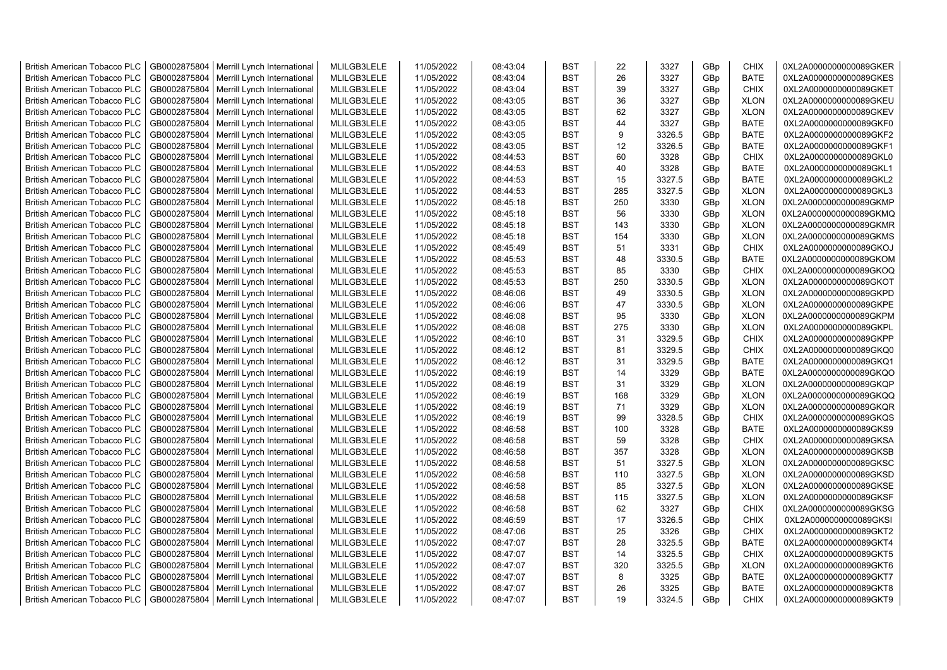| <b>British American Tobacco PLC</b> | GB0002875804 | Merrill Lynch International | MLILGB3LELE | 11/05/2022 | 08:43:04 | <b>BST</b> | 22  | 3327   | GBp             | <b>CHIX</b> | 0XL2A0000000000089GKER |
|-------------------------------------|--------------|-----------------------------|-------------|------------|----------|------------|-----|--------|-----------------|-------------|------------------------|
| <b>British American Tobacco PLC</b> | GB0002875804 | Merrill Lynch International | MLILGB3LELE | 11/05/2022 | 08:43:04 | <b>BST</b> | 26  | 3327   | GBp             | <b>BATE</b> | 0XL2A0000000000089GKES |
| <b>British American Tobacco PLC</b> | GB0002875804 | Merrill Lynch International | MLILGB3LELE | 11/05/2022 | 08:43:04 | <b>BST</b> | 39  | 3327   | GBp             | <b>CHIX</b> | 0XL2A0000000000089GKET |
| <b>British American Tobacco PLC</b> | GB0002875804 | Merrill Lynch International | MLILGB3LELE | 11/05/2022 | 08:43:05 | <b>BST</b> | 36  | 3327   | GBp             | <b>XLON</b> | 0XL2A0000000000089GKEU |
| <b>British American Tobacco PLC</b> | GB0002875804 | Merrill Lynch International | MLILGB3LELE | 11/05/2022 | 08:43:05 | <b>BST</b> | 62  | 3327   | GBp             | <b>XLON</b> | 0XL2A0000000000089GKEV |
| <b>British American Tobacco PLC</b> | GB0002875804 | Merrill Lynch International | MLILGB3LELE | 11/05/2022 | 08:43:05 | <b>BST</b> | 44  | 3327   | GBp             | <b>BATE</b> | 0XL2A0000000000089GKF0 |
| British American Tobacco PLC        | GB0002875804 | Merrill Lynch International | MLILGB3LELE | 11/05/2022 | 08:43:05 | <b>BST</b> | 9   | 3326.5 | GBp             | <b>BATE</b> | 0XL2A0000000000089GKF2 |
| <b>British American Tobacco PLC</b> | GB0002875804 | Merrill Lynch International | MLILGB3LELE | 11/05/2022 | 08:43:05 | <b>BST</b> | 12  | 3326.5 | GBp             | <b>BATE</b> | 0XL2A0000000000089GKF1 |
| <b>British American Tobacco PLC</b> | GB0002875804 | Merrill Lynch International | MLILGB3LELE | 11/05/2022 | 08:44:53 | <b>BST</b> | 60  | 3328   | GBp             | <b>CHIX</b> | 0XL2A0000000000089GKL0 |
| British American Tobacco PLC        | GB0002875804 | Merrill Lynch International | MLILGB3LELE | 11/05/2022 | 08:44:53 | <b>BST</b> | 40  | 3328   | GBp             | <b>BATE</b> | 0XL2A0000000000089GKL1 |
| <b>British American Tobacco PLC</b> | GB0002875804 | Merrill Lynch International | MLILGB3LELE | 11/05/2022 | 08:44:53 | <b>BST</b> | 15  | 3327.5 | GBp             | <b>BATE</b> | 0XL2A0000000000089GKL2 |
| <b>British American Tobacco PLC</b> | GB0002875804 | Merrill Lynch International | MLILGB3LELE | 11/05/2022 | 08:44:53 | <b>BST</b> | 285 | 3327.5 | GBp             | <b>XLON</b> | 0XL2A0000000000089GKL3 |
| <b>British American Tobacco PLC</b> | GB0002875804 | Merrill Lynch International | MLILGB3LELE | 11/05/2022 | 08:45:18 | <b>BST</b> | 250 | 3330   | GBp             | <b>XLON</b> | 0XL2A0000000000089GKMP |
| <b>British American Tobacco PLC</b> | GB0002875804 | Merrill Lynch International | MLILGB3LELE | 11/05/2022 | 08:45:18 | <b>BST</b> | 56  | 3330   | GBp             | <b>XLON</b> | 0XL2A0000000000089GKMQ |
| <b>British American Tobacco PLC</b> | GB0002875804 | Merrill Lynch International | MLILGB3LELE | 11/05/2022 | 08:45:18 | <b>BST</b> | 143 | 3330   | GBp             | <b>XLON</b> | 0XL2A0000000000089GKMR |
| <b>British American Tobacco PLC</b> | GB0002875804 | Merrill Lynch International | MLILGB3LELE | 11/05/2022 | 08:45:18 | <b>BST</b> | 154 | 3330   | GBp             | <b>XLON</b> | 0XL2A0000000000089GKMS |
| British American Tobacco PLC        | GB0002875804 | Merrill Lynch International | MLILGB3LELE | 11/05/2022 | 08:45:49 | <b>BST</b> | 51  | 3331   | GBp             | <b>CHIX</b> | 0XL2A0000000000089GKOJ |
| <b>British American Tobacco PLC</b> | GB0002875804 | Merrill Lynch International | MLILGB3LELE | 11/05/2022 | 08:45:53 | <b>BST</b> | 48  | 3330.5 | GBp             | <b>BATE</b> | 0XL2A0000000000089GKOM |
| <b>British American Tobacco PLC</b> | GB0002875804 | Merrill Lynch International | MLILGB3LELE | 11/05/2022 | 08:45:53 | <b>BST</b> | 85  | 3330   | GBp             | <b>CHIX</b> | 0XL2A0000000000089GKOQ |
| <b>British American Tobacco PLC</b> | GB0002875804 | Merrill Lynch International | MLILGB3LELE | 11/05/2022 | 08:45:53 | <b>BST</b> | 250 | 3330.5 | GBp             | <b>XLON</b> | 0XL2A0000000000089GKOT |
| <b>British American Tobacco PLC</b> | GB0002875804 | Merrill Lynch International | MLILGB3LELE | 11/05/2022 | 08:46:06 | <b>BST</b> | 49  | 3330.5 | GBp             | <b>XLON</b> | 0XL2A0000000000089GKPD |
| <b>British American Tobacco PLC</b> | GB0002875804 | Merrill Lynch International | MLILGB3LELE | 11/05/2022 | 08:46:06 | <b>BST</b> | 47  | 3330.5 | GBp             | <b>XLON</b> | 0XL2A0000000000089GKPE |
| British American Tobacco PLC        | GB0002875804 | Merrill Lynch International | MLILGB3LELE | 11/05/2022 | 08:46:08 | <b>BST</b> | 95  | 3330   | GBp             | <b>XLON</b> | 0XL2A0000000000089GKPM |
| <b>British American Tobacco PLC</b> | GB0002875804 | Merrill Lynch International | MLILGB3LELE | 11/05/2022 | 08:46:08 | <b>BST</b> | 275 | 3330   | GBp             | <b>XLON</b> | 0XL2A0000000000089GKPL |
| <b>British American Tobacco PLC</b> | GB0002875804 | Merrill Lynch International | MLILGB3LELE | 11/05/2022 | 08:46:10 | <b>BST</b> | 31  | 3329.5 | GBp             | <b>CHIX</b> | 0XL2A0000000000089GKPP |
| <b>British American Tobacco PLC</b> | GB0002875804 | Merrill Lynch International | MLILGB3LELE | 11/05/2022 | 08:46:12 | <b>BST</b> | 81  | 3329.5 | GBp             | <b>CHIX</b> | 0XL2A0000000000089GKQ0 |
| <b>British American Tobacco PLC</b> | GB0002875804 | Merrill Lynch International | MLILGB3LELE | 11/05/2022 | 08:46:12 | <b>BST</b> | 31  | 3329.5 | GBp             | <b>BATE</b> | 0XL2A0000000000089GKQ1 |
| <b>British American Tobacco PLC</b> | GB0002875804 | Merrill Lynch International | MLILGB3LELE | 11/05/2022 | 08:46:19 | <b>BST</b> | 14  | 3329   | GBp             | <b>BATE</b> | 0XL2A0000000000089GKQO |
| <b>British American Tobacco PLC</b> | GB0002875804 | Merrill Lynch International | MLILGB3LELE | 11/05/2022 | 08:46:19 | <b>BST</b> | 31  | 3329   | GBp             | <b>XLON</b> | 0XL2A0000000000089GKQP |
| <b>British American Tobacco PLC</b> | GB0002875804 | Merrill Lynch International | MLILGB3LELE | 11/05/2022 | 08:46:19 | <b>BST</b> | 168 | 3329   | GBp             | <b>XLON</b> | 0XL2A0000000000089GKQQ |
| <b>British American Tobacco PLC</b> | GB0002875804 | Merrill Lynch International | MLILGB3LELE | 11/05/2022 | 08:46:19 | <b>BST</b> | 71  | 3329   | GBp             | <b>XLON</b> | 0XL2A0000000000089GKQR |
| <b>British American Tobacco PLC</b> | GB0002875804 | Merrill Lynch International | MLILGB3LELE | 11/05/2022 | 08:46:19 | <b>BST</b> | 99  | 3328.5 | GBp             | <b>CHIX</b> | 0XL2A0000000000089GKQS |
| <b>British American Tobacco PLC</b> | GB0002875804 | Merrill Lynch International | MLILGB3LELE | 11/05/2022 | 08:46:58 | <b>BST</b> | 100 | 3328   | GBp             | <b>BATE</b> | 0XL2A0000000000089GKS9 |
| <b>British American Tobacco PLC</b> | GB0002875804 | Merrill Lynch International | MLILGB3LELE | 11/05/2022 | 08:46:58 | <b>BST</b> | 59  | 3328   | GBp             | <b>CHIX</b> | 0XL2A0000000000089GKSA |
| <b>British American Tobacco PLC</b> | GB0002875804 | Merrill Lynch International | MLILGB3LELE | 11/05/2022 | 08:46:58 | <b>BST</b> | 357 | 3328   | GBp             | <b>XLON</b> | 0XL2A0000000000089GKSB |
| British American Tobacco PLC        | GB0002875804 | Merrill Lynch International | MLILGB3LELE | 11/05/2022 | 08:46:58 | <b>BST</b> | 51  | 3327.5 | GBp             | <b>XLON</b> | 0XL2A0000000000089GKSC |
| <b>British American Tobacco PLC</b> | GB0002875804 | Merrill Lynch International | MLILGB3LELE | 11/05/2022 | 08:46:58 | <b>BST</b> | 110 | 3327.5 | GBp             | <b>XLON</b> | 0XL2A0000000000089GKSD |
| <b>British American Tobacco PLC</b> | GB0002875804 | Merrill Lynch International | MLILGB3LELE | 11/05/2022 | 08:46:58 | <b>BST</b> | 85  | 3327.5 | GBp             | <b>XLON</b> | 0XL2A0000000000089GKSE |
| <b>British American Tobacco PLC</b> | GB0002875804 | Merrill Lynch International | MLILGB3LELE | 11/05/2022 | 08:46:58 | <b>BST</b> | 115 | 3327.5 | GBp             | <b>XLON</b> | 0XL2A0000000000089GKSF |
| <b>British American Tobacco PLC</b> | GB0002875804 | Merrill Lynch International | MLILGB3LELE | 11/05/2022 | 08:46:58 | <b>BST</b> | 62  | 3327   | GBp             | <b>CHIX</b> | 0XL2A0000000000089GKSG |
| <b>British American Tobacco PLC</b> | GB0002875804 | Merrill Lynch International | MLILGB3LELE | 11/05/2022 | 08:46:59 | <b>BST</b> | 17  | 3326.5 | GBp             | <b>CHIX</b> | 0XL2A0000000000089GKSI |
| <b>British American Tobacco PLC</b> | GB0002875804 | Merrill Lynch International | MLILGB3LELE | 11/05/2022 | 08:47:06 | <b>BST</b> | 25  | 3326   | GBp             | <b>CHIX</b> | 0XL2A0000000000089GKT2 |
| <b>British American Tobacco PLC</b> | GB0002875804 | Merrill Lynch International | MLILGB3LELE | 11/05/2022 | 08:47:07 | <b>BST</b> | 28  | 3325.5 | GBp             | <b>BATE</b> | 0XL2A0000000000089GKT4 |
| <b>British American Tobacco PLC</b> | GB0002875804 | Merrill Lynch International | MLILGB3LELE | 11/05/2022 | 08:47:07 | <b>BST</b> | 14  | 3325.5 | GBp             | <b>CHIX</b> | 0XL2A0000000000089GKT5 |
| <b>British American Tobacco PLC</b> | GB0002875804 | Merrill Lynch International | MLILGB3LELE | 11/05/2022 | 08:47:07 | <b>BST</b> | 320 | 3325.5 | GBp             | <b>XLON</b> | 0XL2A0000000000089GKT6 |
| <b>British American Tobacco PLC</b> | GB0002875804 | Merrill Lynch International | MLILGB3LELE | 11/05/2022 | 08:47:07 | <b>BST</b> | 8   | 3325   | GBp             | <b>BATE</b> | 0XL2A0000000000089GKT7 |
| <b>British American Tobacco PLC</b> | GB0002875804 | Merrill Lynch International | MLILGB3LELE | 11/05/2022 | 08:47:07 | <b>BST</b> | 26  | 3325   | GBp             | <b>BATE</b> | 0XL2A0000000000089GKT8 |
| <b>British American Tobacco PLC</b> | GB0002875804 | Merrill Lynch International | MLILGB3LELE | 11/05/2022 | 08:47:07 | <b>BST</b> | 19  | 3324.5 | GB <sub>p</sub> | <b>CHIX</b> | 0XL2A0000000000089GKT9 |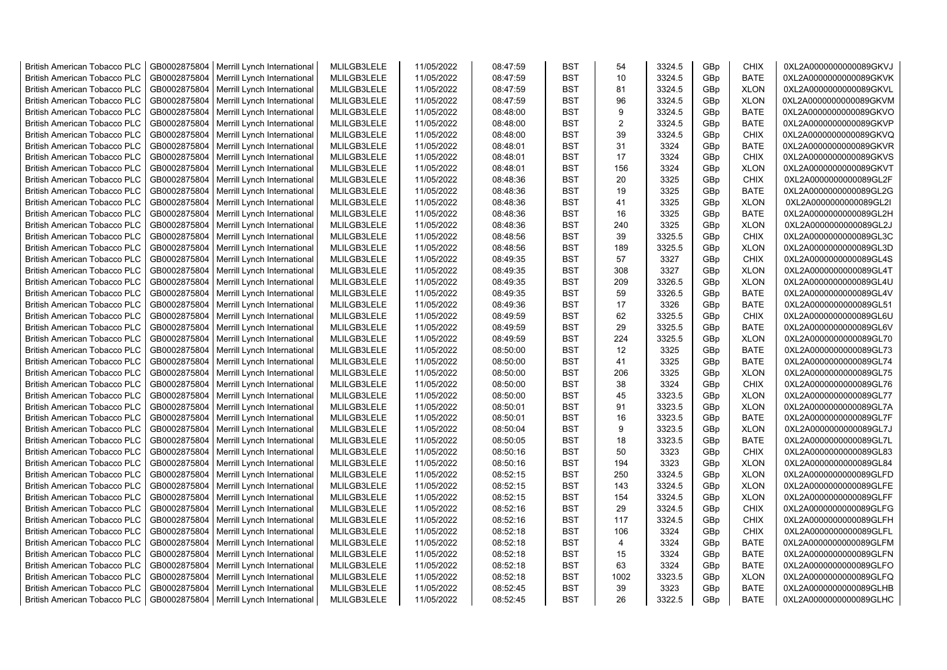| <b>British American Tobacco PLC</b> | GB0002875804 | Merrill Lynch International | MLILGB3LELE | 11/05/2022 | 08:47:59 | <b>BST</b> | 54             | 3324.5 | GBp             | <b>CHIX</b> | 0XL2A0000000000089GKVJ |
|-------------------------------------|--------------|-----------------------------|-------------|------------|----------|------------|----------------|--------|-----------------|-------------|------------------------|
| <b>British American Tobacco PLC</b> | GB0002875804 | Merrill Lynch International | MLILGB3LELE | 11/05/2022 | 08:47:59 | <b>BST</b> | 10             | 3324.5 | GBp             | <b>BATE</b> | 0XL2A0000000000089GKVK |
| <b>British American Tobacco PLC</b> | GB0002875804 | Merrill Lynch International | MLILGB3LELE | 11/05/2022 | 08:47:59 | <b>BST</b> | 81             | 3324.5 | GBp             | <b>XLON</b> | 0XL2A0000000000089GKVL |
| <b>British American Tobacco PLC</b> | GB0002875804 | Merrill Lynch International | MLILGB3LELE | 11/05/2022 | 08:47:59 | <b>BST</b> | 96             | 3324.5 | GBp             | <b>XLON</b> | 0XL2A0000000000089GKVM |
| <b>British American Tobacco PLC</b> | GB0002875804 | Merrill Lynch International | MLILGB3LELE | 11/05/2022 | 08:48:00 | <b>BST</b> | 9              | 3324.5 | GBp             | <b>BATE</b> | 0XL2A0000000000089GKVO |
| <b>British American Tobacco PLC</b> | GB0002875804 | Merrill Lynch International | MLILGB3LELE | 11/05/2022 | 08:48:00 | <b>BST</b> | $\overline{2}$ | 3324.5 | GBp             | <b>BATE</b> | 0XL2A0000000000089GKVP |
| <b>British American Tobacco PLC</b> | GB0002875804 | Merrill Lynch International | MLILGB3LELE | 11/05/2022 | 08:48:00 | <b>BST</b> | 39             | 3324.5 | GBp             | <b>CHIX</b> | 0XL2A0000000000089GKVQ |
| <b>British American Tobacco PLC</b> | GB0002875804 | Merrill Lynch International | MLILGB3LELE | 11/05/2022 | 08:48:01 | <b>BST</b> | 31             | 3324   | GBp             | <b>BATE</b> | 0XL2A0000000000089GKVR |
| <b>British American Tobacco PLC</b> | GB0002875804 | Merrill Lynch International | MLILGB3LELE | 11/05/2022 | 08:48:01 | <b>BST</b> | 17             | 3324   | GBp             | <b>CHIX</b> | 0XL2A0000000000089GKVS |
| <b>British American Tobacco PLC</b> | GB0002875804 | Merrill Lynch International | MLILGB3LELE | 11/05/2022 | 08:48:01 | <b>BST</b> | 156            | 3324   | GBp             | <b>XLON</b> | 0XL2A0000000000089GKVT |
| <b>British American Tobacco PLC</b> | GB0002875804 | Merrill Lynch International | MLILGB3LELE | 11/05/2022 | 08:48:36 | <b>BST</b> | 20             | 3325   | GBp             | <b>CHIX</b> | 0XL2A0000000000089GL2F |
| <b>British American Tobacco PLC</b> | GB0002875804 | Merrill Lynch International | MLILGB3LELE | 11/05/2022 | 08:48:36 | <b>BST</b> | 19             | 3325   | GBp             | <b>BATE</b> | 0XL2A0000000000089GL2G |
| <b>British American Tobacco PLC</b> | GB0002875804 | Merrill Lynch International | MLILGB3LELE | 11/05/2022 | 08:48:36 | <b>BST</b> | 41             | 3325   | GBp             | <b>XLON</b> | 0XL2A0000000000089GL2I |
| <b>British American Tobacco PLC</b> | GB0002875804 | Merrill Lynch International | MLILGB3LELE | 11/05/2022 | 08:48:36 | <b>BST</b> | 16             | 3325   | GBp             | <b>BATE</b> | 0XL2A0000000000089GL2H |
| <b>British American Tobacco PLC</b> | GB0002875804 | Merrill Lynch International | MLILGB3LELE | 11/05/2022 | 08:48:36 | <b>BST</b> | 240            | 3325   | GBp             | <b>XLON</b> | 0XL2A0000000000089GL2J |
| <b>British American Tobacco PLC</b> | GB0002875804 | Merrill Lynch International | MLILGB3LELE | 11/05/2022 | 08:48:56 | <b>BST</b> | 39             | 3325.5 | GBp             | <b>CHIX</b> | 0XL2A0000000000089GL3C |
| <b>British American Tobacco PLC</b> | GB0002875804 | Merrill Lynch International | MLILGB3LELE | 11/05/2022 | 08:48:56 | <b>BST</b> | 189            | 3325.5 | GBp             | <b>XLON</b> | 0XL2A0000000000089GL3D |
| <b>British American Tobacco PLC</b> | GB0002875804 | Merrill Lynch International | MLILGB3LELE | 11/05/2022 | 08:49:35 | <b>BST</b> | 57             | 3327   | GBp             | <b>CHIX</b> | 0XL2A0000000000089GL4S |
| <b>British American Tobacco PLC</b> | GB0002875804 | Merrill Lynch International | MLILGB3LELE | 11/05/2022 | 08:49:35 | <b>BST</b> | 308            | 3327   | GBp             | <b>XLON</b> | 0XL2A0000000000089GL4T |
| <b>British American Tobacco PLC</b> | GB0002875804 | Merrill Lynch International | MLILGB3LELE | 11/05/2022 | 08:49:35 | <b>BST</b> | 209            | 3326.5 | GBp             | <b>XLON</b> | 0XL2A0000000000089GL4U |
| <b>British American Tobacco PLC</b> | GB0002875804 | Merrill Lynch International | MLILGB3LELE | 11/05/2022 | 08:49:35 | <b>BST</b> | 59             | 3326.5 | GBp             | <b>BATE</b> | 0XL2A0000000000089GL4V |
| <b>British American Tobacco PLC</b> | GB0002875804 | Merrill Lynch International | MLILGB3LELE | 11/05/2022 | 08:49:36 | <b>BST</b> | 17             | 3326   | GBp             | <b>BATE</b> | 0XL2A0000000000089GL51 |
|                                     |              |                             | MLILGB3LELE |            |          | <b>BST</b> | 62             |        |                 |             |                        |
| <b>British American Tobacco PLC</b> | GB0002875804 | Merrill Lynch International |             | 11/05/2022 | 08:49:59 |            |                | 3325.5 | GBp             | <b>CHIX</b> | 0XL2A0000000000089GL6U |
| <b>British American Tobacco PLC</b> | GB0002875804 | Merrill Lynch International | MLILGB3LELE | 11/05/2022 | 08:49:59 | <b>BST</b> | 29             | 3325.5 | GBp             | <b>BATE</b> | 0XL2A0000000000089GL6V |
| <b>British American Tobacco PLC</b> | GB0002875804 | Merrill Lynch International | MLILGB3LELE | 11/05/2022 | 08:49:59 | <b>BST</b> | 224            | 3325.5 | GBp             | <b>XLON</b> | 0XL2A0000000000089GL70 |
| <b>British American Tobacco PLC</b> | GB0002875804 | Merrill Lynch International | MLILGB3LELE | 11/05/2022 | 08:50:00 | <b>BST</b> | 12             | 3325   | GBp             | <b>BATE</b> | 0XL2A0000000000089GL73 |
| <b>British American Tobacco PLC</b> | GB0002875804 | Merrill Lynch International | MLILGB3LELE | 11/05/2022 | 08:50:00 | <b>BST</b> | 41             | 3325   | GBp             | <b>BATE</b> | 0XL2A0000000000089GL74 |
| British American Tobacco PLC        | GB0002875804 | Merrill Lynch International | MLILGB3LELE | 11/05/2022 | 08:50:00 | <b>BST</b> | 206            | 3325   | GBp             | <b>XLON</b> | 0XL2A0000000000089GL75 |
| <b>British American Tobacco PLC</b> | GB0002875804 | Merrill Lynch International | MLILGB3LELE | 11/05/2022 | 08:50:00 | <b>BST</b> | 38             | 3324   | GBp             | <b>CHIX</b> | 0XL2A0000000000089GL76 |
| <b>British American Tobacco PLC</b> | GB0002875804 | Merrill Lynch International | MLILGB3LELE | 11/05/2022 | 08:50:00 | <b>BST</b> | 45             | 3323.5 | GBp             | <b>XLON</b> | 0XL2A0000000000089GL77 |
| <b>British American Tobacco PLC</b> | GB0002875804 | Merrill Lynch International | MLILGB3LELE | 11/05/2022 | 08:50:01 | <b>BST</b> | 91             | 3323.5 | GBp             | <b>XLON</b> | 0XL2A0000000000089GL7A |
| <b>British American Tobacco PLC</b> | GB0002875804 | Merrill Lynch International | MLILGB3LELE | 11/05/2022 | 08:50:01 | <b>BST</b> | 16             | 3323.5 | GBp             | <b>BATE</b> | 0XL2A0000000000089GL7F |
| <b>British American Tobacco PLC</b> | GB0002875804 | Merrill Lynch International | MLILGB3LELE | 11/05/2022 | 08:50:04 | <b>BST</b> | 9              | 3323.5 | GBp             | <b>XLON</b> | 0XL2A0000000000089GL7J |
| British American Tobacco PLC        | GB0002875804 | Merrill Lynch International | MLILGB3LELE | 11/05/2022 | 08:50:05 | <b>BST</b> | 18             | 3323.5 | GBp             | <b>BATE</b> | 0XL2A0000000000089GL7L |
| <b>British American Tobacco PLC</b> | GB0002875804 | Merrill Lynch International | MLILGB3LELE | 11/05/2022 | 08:50:16 | <b>BST</b> | 50             | 3323   | GBp             | <b>CHIX</b> | 0XL2A0000000000089GL83 |
| <b>British American Tobacco PLC</b> | GB0002875804 | Merrill Lynch International | MLILGB3LELE | 11/05/2022 | 08:50:16 | <b>BST</b> | 194            | 3323   | GBp             | <b>XLON</b> | 0XL2A0000000000089GL84 |
| <b>British American Tobacco PLC</b> | GB0002875804 | Merrill Lynch International | MLILGB3LELE | 11/05/2022 | 08:52:15 | <b>BST</b> | 250            | 3324.5 | GBp             | <b>XLON</b> | 0XL2A0000000000089GLFD |
| <b>British American Tobacco PLC</b> | GB0002875804 | Merrill Lynch International | MLILGB3LELE | 11/05/2022 | 08:52:15 | <b>BST</b> | 143            | 3324.5 | GBp             | <b>XLON</b> | 0XL2A0000000000089GLFE |
| <b>British American Tobacco PLC</b> | GB0002875804 | Merrill Lynch International | MLILGB3LELE | 11/05/2022 | 08:52:15 | <b>BST</b> | 154            | 3324.5 | GBp             | <b>XLON</b> | 0XL2A0000000000089GLFF |
| <b>British American Tobacco PLC</b> | GB0002875804 | Merrill Lynch International | MLILGB3LELE | 11/05/2022 | 08:52:16 | <b>BST</b> | 29             | 3324.5 | GBp             | <b>CHIX</b> | 0XL2A0000000000089GLFG |
| <b>British American Tobacco PLC</b> | GB0002875804 | Merrill Lynch International | MLILGB3LELE | 11/05/2022 | 08:52:16 | <b>BST</b> | 117            | 3324.5 | GBp             | <b>CHIX</b> | 0XL2A0000000000089GLFH |
| <b>British American Tobacco PLC</b> | GB0002875804 | Merrill Lynch International | MLILGB3LELE | 11/05/2022 | 08:52:18 | <b>BST</b> | 106            | 3324   | GBp             | <b>CHIX</b> | 0XL2A0000000000089GLFL |
| <b>British American Tobacco PLC</b> | GB0002875804 | Merrill Lynch International | MLILGB3LELE | 11/05/2022 | 08:52:18 | <b>BST</b> | $\overline{4}$ | 3324   | GBp             | <b>BATE</b> | 0XL2A0000000000089GLFM |
| British American Tobacco PLC        | GB0002875804 | Merrill Lynch International | MLILGB3LELE | 11/05/2022 | 08:52:18 | <b>BST</b> | 15             | 3324   | GBp             | <b>BATE</b> | 0XL2A0000000000089GLFN |
| British American Tobacco PLC        | GB0002875804 | Merrill Lynch International | MLILGB3LELE | 11/05/2022 | 08:52:18 | <b>BST</b> | 63             | 3324   | GBp             | <b>BATE</b> | 0XL2A0000000000089GLFO |
| <b>British American Tobacco PLC</b> | GB0002875804 | Merrill Lynch International | MLILGB3LELE | 11/05/2022 | 08:52:18 | <b>BST</b> | 1002           | 3323.5 | GBp             | <b>XLON</b> | 0XL2A0000000000089GLFQ |
| <b>British American Tobacco PLC</b> | GB0002875804 | Merrill Lynch International | MLILGB3LELE | 11/05/2022 | 08:52:45 | <b>BST</b> | 39             | 3323   | GBp             | <b>BATE</b> | 0XL2A0000000000089GLHB |
| <b>British American Tobacco PLC</b> | GB0002875804 | Merrill Lynch International | MLILGB3LELE | 11/05/2022 | 08:52:45 | <b>BST</b> | 26             | 3322.5 | GB <sub>p</sub> | <b>BATE</b> | 0XL2A0000000000089GLHC |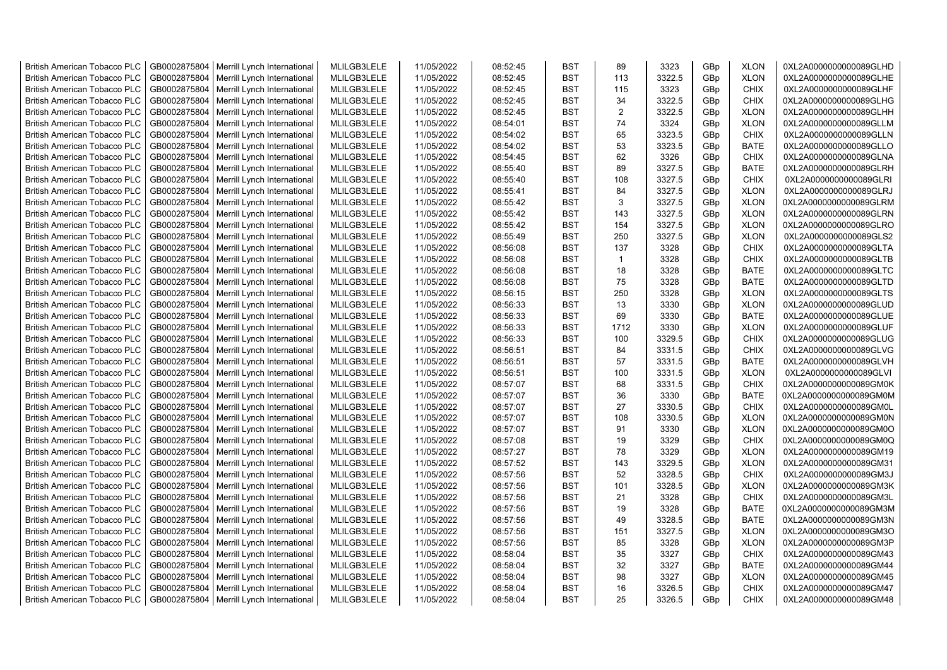| <b>British American Tobacco PLC</b> | GB0002875804 | Merrill Lynch International | MLILGB3LELE | 11/05/2022 | 08:52:45 | <b>BST</b> | 89             | 3323   | GBp             | <b>XLON</b> | 0XL2A0000000000089GLHD |
|-------------------------------------|--------------|-----------------------------|-------------|------------|----------|------------|----------------|--------|-----------------|-------------|------------------------|
| <b>British American Tobacco PLC</b> | GB0002875804 | Merrill Lynch International | MLILGB3LELE | 11/05/2022 | 08:52:45 | <b>BST</b> | 113            | 3322.5 | GBp             | <b>XLON</b> | 0XL2A0000000000089GLHE |
| <b>British American Tobacco PLC</b> | GB0002875804 | Merrill Lynch International | MLILGB3LELE | 11/05/2022 | 08:52:45 | <b>BST</b> | 115            | 3323   | GBp             | <b>CHIX</b> | 0XL2A0000000000089GLHF |
| <b>British American Tobacco PLC</b> | GB0002875804 | Merrill Lynch International | MLILGB3LELE | 11/05/2022 | 08:52:45 | <b>BST</b> | 34             | 3322.5 | GBp             | <b>CHIX</b> | 0XL2A0000000000089GLHG |
| <b>British American Tobacco PLC</b> | GB0002875804 | Merrill Lynch International | MLILGB3LELE | 11/05/2022 | 08:52:45 | <b>BST</b> | $\overline{2}$ | 3322.5 | GBp             | <b>XLON</b> | 0XL2A0000000000089GLHH |
| <b>British American Tobacco PLC</b> | GB0002875804 | Merrill Lynch International | MLILGB3LELE | 11/05/2022 | 08:54:01 | <b>BST</b> | 74             | 3324   | GBp             | <b>XLON</b> | 0XL2A0000000000089GLLM |
| <b>British American Tobacco PLC</b> | GB0002875804 | Merrill Lynch International | MLILGB3LELE | 11/05/2022 | 08:54:02 | <b>BST</b> | 65             | 3323.5 | GBp             | <b>CHIX</b> | 0XL2A0000000000089GLLN |
| British American Tobacco PLC        | GB0002875804 | Merrill Lynch International | MLILGB3LELE | 11/05/2022 | 08:54:02 | <b>BST</b> | 53             | 3323.5 | GBp             | <b>BATE</b> | 0XL2A0000000000089GLLO |
| British American Tobacco PLC        | GB0002875804 | Merrill Lynch International | MLILGB3LELE | 11/05/2022 | 08:54:45 | <b>BST</b> | 62             | 3326   | GBp             | <b>CHIX</b> | 0XL2A0000000000089GLNA |
| <b>British American Tobacco PLC</b> | GB0002875804 | Merrill Lynch International | MLILGB3LELE | 11/05/2022 | 08:55:40 | <b>BST</b> | 89             | 3327.5 | GBp             | <b>BATE</b> | 0XL2A0000000000089GLRH |
| <b>British American Tobacco PLC</b> | GB0002875804 | Merrill Lynch International | MLILGB3LELE | 11/05/2022 | 08:55:40 | <b>BST</b> | 108            | 3327.5 | GBp             | <b>CHIX</b> | 0XL2A0000000000089GLRI |
| <b>British American Tobacco PLC</b> | GB0002875804 | Merrill Lynch International | MLILGB3LELE | 11/05/2022 | 08:55:41 | <b>BST</b> | 84             | 3327.5 | GBp             | <b>XLON</b> | 0XL2A0000000000089GLRJ |
| <b>British American Tobacco PLC</b> | GB0002875804 | Merrill Lynch International | MLILGB3LELE | 11/05/2022 | 08:55:42 | <b>BST</b> | 3              | 3327.5 | GBp             | <b>XLON</b> | 0XL2A0000000000089GLRM |
| <b>British American Tobacco PLC</b> | GB0002875804 | Merrill Lynch International | MLILGB3LELE | 11/05/2022 | 08:55:42 | <b>BST</b> | 143            | 3327.5 | GBp             | <b>XLON</b> | 0XL2A0000000000089GLRN |
| <b>British American Tobacco PLC</b> | GB0002875804 | Merrill Lynch International | MLILGB3LELE | 11/05/2022 | 08:55:42 | <b>BST</b> | 154            | 3327.5 | GBp             | <b>XLON</b> | 0XL2A0000000000089GLRO |
| <b>British American Tobacco PLC</b> | GB0002875804 | Merrill Lynch International | MLILGB3LELE | 11/05/2022 | 08:55:49 | <b>BST</b> | 250            | 3327.5 | GBp             | <b>XLON</b> | 0XL2A0000000000089GLS2 |
| <b>British American Tobacco PLC</b> | GB0002875804 | Merrill Lynch International | MLILGB3LELE | 11/05/2022 | 08:56:08 | <b>BST</b> | 137            | 3328   | GBp             | <b>CHIX</b> | 0XL2A0000000000089GLTA |
| <b>British American Tobacco PLC</b> | GB0002875804 | Merrill Lynch International | MLILGB3LELE | 11/05/2022 | 08:56:08 | <b>BST</b> | $\mathbf{1}$   | 3328   | GBp             | <b>CHIX</b> | 0XL2A0000000000089GLTB |
| British American Tobacco PLC        | GB0002875804 | Merrill Lynch International | MLILGB3LELE | 11/05/2022 | 08:56:08 | <b>BST</b> | 18             | 3328   | GBp             | <b>BATE</b> | 0XL2A0000000000089GLTC |
| British American Tobacco PLC        | GB0002875804 | Merrill Lynch International | MLILGB3LELE | 11/05/2022 | 08:56:08 | <b>BST</b> | 75             | 3328   | GBp             | <b>BATE</b> | 0XL2A0000000000089GLTD |
| British American Tobacco PLC        | GB0002875804 | Merrill Lynch International | MLILGB3LELE | 11/05/2022 | 08:56:15 | <b>BST</b> | 250            | 3328   | GBp             | <b>XLON</b> | 0XL2A0000000000089GLTS |
| <b>British American Tobacco PLC</b> | GB0002875804 | Merrill Lynch International | MLILGB3LELE | 11/05/2022 | 08:56:33 | <b>BST</b> | 13             | 3330   | GBp             | <b>XLON</b> | 0XL2A0000000000089GLUD |
| <b>British American Tobacco PLC</b> | GB0002875804 | Merrill Lynch International | MLILGB3LELE | 11/05/2022 | 08:56:33 | <b>BST</b> | 69             | 3330   | GBp             | <b>BATE</b> | 0XL2A0000000000089GLUE |
| <b>British American Tobacco PLC</b> | GB0002875804 | Merrill Lynch International | MLILGB3LELE | 11/05/2022 | 08:56:33 | <b>BST</b> | 1712           | 3330   | GBp             | <b>XLON</b> | 0XL2A0000000000089GLUF |
| <b>British American Tobacco PLC</b> | GB0002875804 | Merrill Lynch International | MLILGB3LELE | 11/05/2022 | 08:56:33 | <b>BST</b> | 100            | 3329.5 | GBp             | <b>CHIX</b> | 0XL2A0000000000089GLUG |
| <b>British American Tobacco PLC</b> | GB0002875804 | Merrill Lynch International | MLILGB3LELE | 11/05/2022 | 08:56:51 | <b>BST</b> | 84             | 3331.5 | GBp             | <b>CHIX</b> | 0XL2A0000000000089GLVG |
| <b>British American Tobacco PLC</b> | GB0002875804 | Merrill Lynch International | MLILGB3LELE | 11/05/2022 | 08:56:51 | <b>BST</b> | 57             | 3331.5 | GBp             | <b>BATE</b> | 0XL2A0000000000089GLVH |
| <b>British American Tobacco PLC</b> | GB0002875804 | Merrill Lynch International | MLILGB3LELE | 11/05/2022 | 08:56:51 | <b>BST</b> | 100            | 3331.5 | GBp             | <b>XLON</b> | 0XL2A0000000000089GLVI |
| <b>British American Tobacco PLC</b> | GB0002875804 | Merrill Lynch International | MLILGB3LELE | 11/05/2022 | 08:57:07 | <b>BST</b> | 68             | 3331.5 | GBp             | <b>CHIX</b> | 0XL2A0000000000089GM0K |
| <b>British American Tobacco PLC</b> | GB0002875804 | Merrill Lynch International | MLILGB3LELE | 11/05/2022 | 08:57:07 | <b>BST</b> | 36             | 3330   | GBp             | <b>BATE</b> | 0XL2A0000000000089GM0M |
| <b>British American Tobacco PLC</b> | GB0002875804 | Merrill Lynch International | MLILGB3LELE | 11/05/2022 | 08:57:07 | <b>BST</b> | 27             | 3330.5 | GBp             | <b>CHIX</b> | 0XL2A0000000000089GM0L |
| <b>British American Tobacco PLC</b> | GB0002875804 | Merrill Lynch International | MLILGB3LELE | 11/05/2022 | 08:57:07 | <b>BST</b> | 108            | 3330.5 | GBp             | <b>XLON</b> | 0XL2A0000000000089GM0N |
| British American Tobacco PLC        | GB0002875804 | Merrill Lynch International | MLILGB3LELE | 11/05/2022 | 08:57:07 | <b>BST</b> | 91             | 3330   | GBp             | <b>XLON</b> | 0XL2A0000000000089GM0O |
| <b>British American Tobacco PLC</b> | GB0002875804 | Merrill Lynch International | MLILGB3LELE | 11/05/2022 | 08:57:08 | <b>BST</b> | 19             | 3329   | GBp             | <b>CHIX</b> | 0XL2A0000000000089GM0Q |
| <b>British American Tobacco PLC</b> | GB0002875804 | Merrill Lynch International | MLILGB3LELE | 11/05/2022 | 08:57:27 | <b>BST</b> | 78             | 3329   | GBp             | <b>XLON</b> | 0XL2A0000000000089GM19 |
| <b>British American Tobacco PLC</b> | GB0002875804 | Merrill Lynch International | MLILGB3LELE | 11/05/2022 | 08:57:52 | <b>BST</b> | 143            | 3329.5 | GBp             | <b>XLON</b> | 0XL2A0000000000089GM31 |
| <b>British American Tobacco PLC</b> | GB0002875804 | Merrill Lynch International | MLILGB3LELE | 11/05/2022 | 08:57:56 | <b>BST</b> | 52             | 3328.5 | GBp             | <b>CHIX</b> | 0XL2A0000000000089GM3J |
| <b>British American Tobacco PLC</b> | GB0002875804 | Merrill Lynch International | MLILGB3LELE | 11/05/2022 | 08:57:56 | <b>BST</b> | 101            | 3328.5 | GBp             | <b>XLON</b> | 0XL2A0000000000089GM3K |
| <b>British American Tobacco PLC</b> | GB0002875804 | Merrill Lynch International | MLILGB3LELE | 11/05/2022 | 08:57:56 | <b>BST</b> | 21             | 3328   | GBp             | <b>CHIX</b> | 0XL2A0000000000089GM3L |
| <b>British American Tobacco PLC</b> | GB0002875804 | Merrill Lynch International | MLILGB3LELE | 11/05/2022 | 08:57:56 | <b>BST</b> | 19             | 3328   | GBp             | <b>BATE</b> | 0XL2A0000000000089GM3M |
| <b>British American Tobacco PLC</b> | GB0002875804 | Merrill Lynch International | MLILGB3LELE | 11/05/2022 | 08:57:56 | <b>BST</b> | 49             | 3328.5 | GBp             | <b>BATE</b> | 0XL2A0000000000089GM3N |
| <b>British American Tobacco PLC</b> | GB0002875804 | Merrill Lynch International | MLILGB3LELE | 11/05/2022 | 08:57:56 | <b>BST</b> | 151            | 3327.5 | GBp             | <b>XLON</b> | 0XL2A0000000000089GM3O |
| British American Tobacco PLC        | GB0002875804 | Merrill Lynch International | MLILGB3LELE | 11/05/2022 | 08:57:56 | <b>BST</b> | 85             | 3328   | GBp             | <b>XLON</b> | 0XL2A0000000000089GM3P |
| <b>British American Tobacco PLC</b> | GB0002875804 | Merrill Lynch International | MLILGB3LELE | 11/05/2022 | 08:58:04 | <b>BST</b> | 35             | 3327   | GBp             | <b>CHIX</b> | 0XL2A0000000000089GM43 |
| <b>British American Tobacco PLC</b> | GB0002875804 | Merrill Lynch International | MLILGB3LELE | 11/05/2022 | 08:58:04 | <b>BST</b> | 32             | 3327   | GBp             | <b>BATE</b> | 0XL2A0000000000089GM44 |
| <b>British American Tobacco PLC</b> | GB0002875804 | Merrill Lynch International | MLILGB3LELE | 11/05/2022 | 08:58:04 | <b>BST</b> | 98             | 3327   | GBp             | <b>XLON</b> | 0XL2A0000000000089GM45 |
| <b>British American Tobacco PLC</b> | GB0002875804 | Merrill Lynch International | MLILGB3LELE | 11/05/2022 | 08:58:04 | <b>BST</b> | 16             | 3326.5 | GBp             | <b>CHIX</b> | 0XL2A0000000000089GM47 |
| <b>British American Tobacco PLC</b> | GB0002875804 | Merrill Lynch International | MLILGB3LELE | 11/05/2022 | 08:58:04 | <b>BST</b> | 25             | 3326.5 | GB <sub>p</sub> | <b>CHIX</b> | 0XL2A0000000000089GM48 |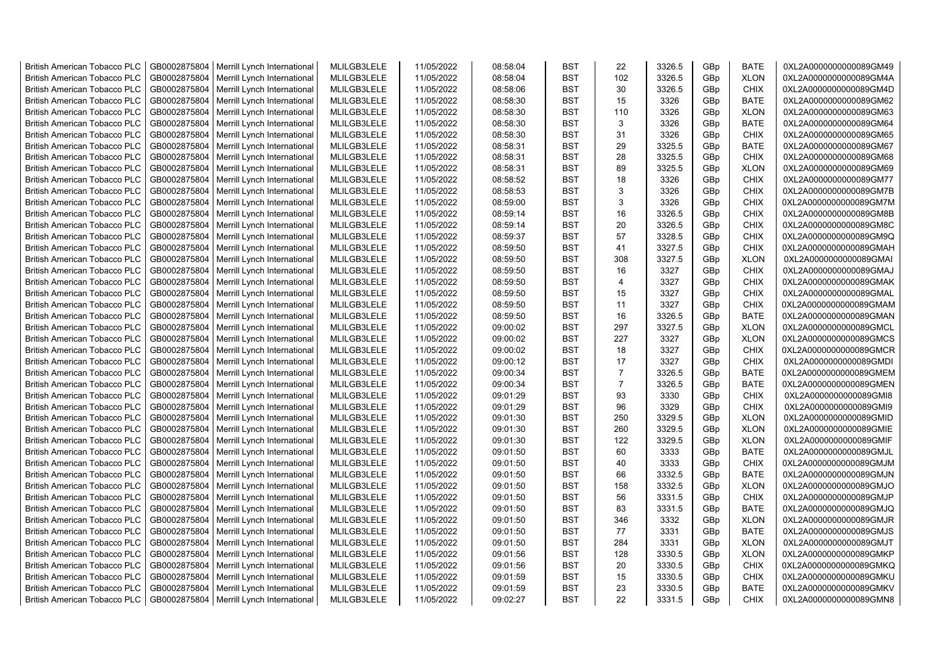| <b>British American Tobacco PLC</b> | GB0002875804 | Merrill Lynch International | MLILGB3LELE | 11/05/2022 | 08:58:04 | <b>BST</b> | 22             | 3326.5 | GBp             | <b>BATE</b> | 0XL2A0000000000089GM49 |
|-------------------------------------|--------------|-----------------------------|-------------|------------|----------|------------|----------------|--------|-----------------|-------------|------------------------|
| <b>British American Tobacco PLC</b> | GB0002875804 | Merrill Lynch International | MLILGB3LELE | 11/05/2022 | 08:58:04 | <b>BST</b> | 102            | 3326.5 | GBp             | <b>XLON</b> | 0XL2A0000000000089GM4A |
| <b>British American Tobacco PLC</b> | GB0002875804 | Merrill Lynch International | MLILGB3LELE | 11/05/2022 | 08:58:06 | <b>BST</b> | 30             | 3326.5 | GBp             | <b>CHIX</b> | 0XL2A0000000000089GM4D |
| <b>British American Tobacco PLC</b> | GB0002875804 | Merrill Lynch International | MLILGB3LELE | 11/05/2022 | 08:58:30 | <b>BST</b> | 15             | 3326   | GB <sub>p</sub> | <b>BATE</b> | 0XL2A0000000000089GM62 |
| <b>British American Tobacco PLC</b> | GB0002875804 | Merrill Lynch International | MLILGB3LELE | 11/05/2022 | 08:58:30 | <b>BST</b> | 110            | 3326   | GBp             | <b>XLON</b> | 0XL2A0000000000089GM63 |
| British American Tobacco PLC        | GB0002875804 | Merrill Lynch International | MLILGB3LELE | 11/05/2022 | 08:58:30 | <b>BST</b> | 3              | 3326   | GBp             | <b>BATE</b> | 0XL2A0000000000089GM64 |
| <b>British American Tobacco PLC</b> | GB0002875804 | Merrill Lynch International | MLILGB3LELE | 11/05/2022 | 08:58:30 | <b>BST</b> | 31             | 3326   | GBp             | <b>CHIX</b> | 0XL2A0000000000089GM65 |
| <b>British American Tobacco PLC</b> | GB0002875804 | Merrill Lynch International | MLILGB3LELE | 11/05/2022 | 08:58:31 | <b>BST</b> | 29             | 3325.5 | GBp             | <b>BATE</b> | 0XL2A0000000000089GM67 |
| <b>British American Tobacco PLC</b> | GB0002875804 | Merrill Lynch International | MLILGB3LELE | 11/05/2022 | 08:58:31 | <b>BST</b> | 28             | 3325.5 | GBp             | <b>CHIX</b> | 0XL2A0000000000089GM68 |
| <b>British American Tobacco PLC</b> | GB0002875804 | Merrill Lynch International | MLILGB3LELE | 11/05/2022 | 08:58:31 | <b>BST</b> | 89             | 3325.5 | GBp             | <b>XLON</b> | 0XL2A0000000000089GM69 |
| <b>British American Tobacco PLC</b> | GB0002875804 | Merrill Lynch International | MLILGB3LELE | 11/05/2022 | 08:58:52 | <b>BST</b> | 18             | 3326   | GBp             | <b>CHIX</b> | 0XL2A0000000000089GM77 |
| <b>British American Tobacco PLC</b> | GB0002875804 | Merrill Lynch International | MLILGB3LELE | 11/05/2022 | 08:58:53 | <b>BST</b> | 3              | 3326   | GBp             | <b>CHIX</b> | 0XL2A0000000000089GM7B |
| <b>British American Tobacco PLC</b> | GB0002875804 | Merrill Lynch International | MLILGB3LELE | 11/05/2022 | 08:59:00 | <b>BST</b> | 3              | 3326   | GBp             | <b>CHIX</b> | 0XL2A0000000000089GM7M |
| <b>British American Tobacco PLC</b> | GB0002875804 | Merrill Lynch International | MLILGB3LELE | 11/05/2022 | 08:59:14 | <b>BST</b> | 16             | 3326.5 | GBp             | <b>CHIX</b> | 0XL2A0000000000089GM8B |
| <b>British American Tobacco PLC</b> | GB0002875804 | Merrill Lynch International | MLILGB3LELE | 11/05/2022 | 08:59:14 | <b>BST</b> | 20             | 3326.5 | GBp             | <b>CHIX</b> | 0XL2A0000000000089GM8C |
| <b>British American Tobacco PLC</b> | GB0002875804 | Merrill Lynch International | MLILGB3LELE | 11/05/2022 | 08:59:37 | <b>BST</b> | 57             | 3328.5 | GBp             | <b>CHIX</b> | 0XL2A0000000000089GM9Q |
| British American Tobacco PLC        | GB0002875804 | Merrill Lynch International | MLILGB3LELE | 11/05/2022 | 08:59:50 | <b>BST</b> | 41             | 3327.5 | GBp             | <b>CHIX</b> | 0XL2A0000000000089GMAH |
| British American Tobacco PLC        | GB0002875804 | Merrill Lynch International | MLILGB3LELE | 11/05/2022 | 08:59:50 | <b>BST</b> | 308            | 3327.5 | GBp             | <b>XLON</b> | 0XL2A0000000000089GMAI |
| British American Tobacco PLC        | GB0002875804 | Merrill Lynch International | MLILGB3LELE | 11/05/2022 | 08:59:50 | <b>BST</b> | 16             | 3327   | GBp             | <b>CHIX</b> | 0XL2A0000000000089GMAJ |
| <b>British American Tobacco PLC</b> | GB0002875804 | Merrill Lynch International | MLILGB3LELE | 11/05/2022 | 08:59:50 | <b>BST</b> | $\overline{a}$ | 3327   | GBp             | <b>CHIX</b> | 0XL2A0000000000089GMAK |
| <b>British American Tobacco PLC</b> | GB0002875804 | Merrill Lynch International | MLILGB3LELE | 11/05/2022 | 08:59:50 | <b>BST</b> | 15             | 3327   | GBp             | <b>CHIX</b> | 0XL2A0000000000089GMAL |
| <b>British American Tobacco PLC</b> | GB0002875804 | Merrill Lynch International | MLILGB3LELE | 11/05/2022 | 08:59:50 | <b>BST</b> | 11             | 3327   | GBp             | <b>CHIX</b> | 0XL2A0000000000089GMAM |
| <b>British American Tobacco PLC</b> | GB0002875804 | Merrill Lynch International | MLILGB3LELE | 11/05/2022 | 08:59:50 | <b>BST</b> | 16             | 3326.5 | GBp             | <b>BATE</b> | 0XL2A0000000000089GMAN |
| <b>British American Tobacco PLC</b> | GB0002875804 | Merrill Lynch International | MLILGB3LELE | 11/05/2022 | 09:00:02 | <b>BST</b> | 297            | 3327.5 | GBp             | <b>XLON</b> | 0XL2A0000000000089GMCL |
| <b>British American Tobacco PLC</b> | GB0002875804 | Merrill Lynch International | MLILGB3LELE | 11/05/2022 | 09:00:02 | <b>BST</b> | 227            | 3327   | GBp             | <b>XLON</b> | 0XL2A0000000000089GMCS |
| <b>British American Tobacco PLC</b> | GB0002875804 | Merrill Lynch International | MLILGB3LELE | 11/05/2022 | 09:00:02 | <b>BST</b> | 18             | 3327   | GBp             | <b>CHIX</b> | 0XL2A0000000000089GMCR |
| <b>British American Tobacco PLC</b> | GB0002875804 | Merrill Lynch International | MLILGB3LELE | 11/05/2022 | 09:00:12 | <b>BST</b> | 17             | 3327   | GBp             | <b>CHIX</b> | 0XL2A0000000000089GMDI |
| <b>British American Tobacco PLC</b> | GB0002875804 | Merrill Lynch International | MLILGB3LELE | 11/05/2022 | 09:00:34 | <b>BST</b> | $\overline{7}$ | 3326.5 | GBp             | <b>BATE</b> | 0XL2A0000000000089GMEM |
| <b>British American Tobacco PLC</b> | GB0002875804 | Merrill Lynch International | MLILGB3LELE | 11/05/2022 | 09:00:34 | <b>BST</b> | $\overline{7}$ | 3326.5 | GBp             | <b>BATE</b> | 0XL2A0000000000089GMEN |
| <b>British American Tobacco PLC</b> | GB0002875804 | Merrill Lynch International | MLILGB3LELE | 11/05/2022 | 09:01:29 | <b>BST</b> | 93             | 3330   | GBp             | <b>CHIX</b> | 0XL2A0000000000089GMI8 |
| <b>British American Tobacco PLC</b> | GB0002875804 | Merrill Lynch International | MLILGB3LELE | 11/05/2022 | 09:01:29 | <b>BST</b> | 96             | 3329   | GBp             | <b>CHIX</b> | 0XL2A0000000000089GMI9 |
| <b>British American Tobacco PLC</b> | GB0002875804 | Merrill Lynch International | MLILGB3LELE | 11/05/2022 | 09:01:30 | <b>BST</b> | 250            | 3329.5 | GBp             | <b>XLON</b> | 0XL2A0000000000089GMID |
| <b>British American Tobacco PLC</b> | GB0002875804 | Merrill Lynch International | MLILGB3LELE | 11/05/2022 | 09:01:30 | <b>BST</b> | 260            | 3329.5 | GBp             | <b>XLON</b> | 0XL2A0000000000089GMIE |
| <b>British American Tobacco PLC</b> | GB0002875804 | Merrill Lynch International | MLILGB3LELE | 11/05/2022 | 09:01:30 | <b>BST</b> | 122            | 3329.5 | GBp             | <b>XLON</b> | 0XL2A0000000000089GMIF |
| <b>British American Tobacco PLC</b> | GB0002875804 | Merrill Lynch International | MLILGB3LELE | 11/05/2022 | 09:01:50 | <b>BST</b> | 60             | 3333   | GBp             | <b>BATE</b> | 0XL2A0000000000089GMJL |
| <b>British American Tobacco PLC</b> | GB0002875804 | Merrill Lynch International | MLILGB3LELE | 11/05/2022 | 09:01:50 | <b>BST</b> | 40             | 3333   | GBp             | <b>CHIX</b> | 0XL2A0000000000089GMJM |
| <b>British American Tobacco PLC</b> | GB0002875804 | Merrill Lynch International | MLILGB3LELE | 11/05/2022 | 09:01:50 | <b>BST</b> | 66             | 3332.5 | GBp             | <b>BATE</b> | 0XL2A0000000000089GMJN |
| <b>British American Tobacco PLC</b> | GB0002875804 | Merrill Lynch International | MLILGB3LELE | 11/05/2022 | 09:01:50 | <b>BST</b> | 158            | 3332.5 | GBp             | <b>XLON</b> | 0XL2A0000000000089GMJO |
| <b>British American Tobacco PLC</b> | GB0002875804 | Merrill Lynch International | MLILGB3LELE | 11/05/2022 | 09:01:50 | <b>BST</b> | 56             | 3331.5 | GBp             | <b>CHIX</b> | 0XL2A0000000000089GMJP |
| <b>British American Tobacco PLC</b> | GB0002875804 | Merrill Lynch International | MLILGB3LELE | 11/05/2022 | 09:01:50 | <b>BST</b> | 83             | 3331.5 | GBp             | <b>BATE</b> | 0XL2A0000000000089GMJQ |
| British American Tobacco PLC        | GB0002875804 | Merrill Lynch International | MLILGB3LELE | 11/05/2022 | 09:01:50 | <b>BST</b> | 346            | 3332   | GBp             | <b>XLON</b> | 0XL2A0000000000089GMJR |
| <b>British American Tobacco PLC</b> | GB0002875804 | Merrill Lynch International | MLILGB3LELE | 11/05/2022 | 09:01:50 | <b>BST</b> | 77             | 3331   | GBp             | <b>BATE</b> | 0XL2A0000000000089GMJS |
| <b>British American Tobacco PLC</b> | GB0002875804 | Merrill Lynch International | MLILGB3LELE | 11/05/2022 | 09:01:50 | <b>BST</b> | 284            | 3331   | GBp             | <b>XLON</b> | 0XL2A0000000000089GMJT |
| <b>British American Tobacco PLC</b> | GB0002875804 | Merrill Lynch International | MLILGB3LELE | 11/05/2022 | 09:01:56 | <b>BST</b> | 128            | 3330.5 | GBp             | <b>XLON</b> | 0XL2A0000000000089GMKP |
| <b>British American Tobacco PLC</b> | GB0002875804 | Merrill Lynch International | MLILGB3LELE | 11/05/2022 | 09:01:56 | <b>BST</b> | 20             | 3330.5 | GBp             | <b>CHIX</b> | 0XL2A0000000000089GMKQ |
| <b>British American Tobacco PLC</b> | GB0002875804 | Merrill Lynch International | MLILGB3LELE | 11/05/2022 | 09:01:59 | <b>BST</b> | 15             | 3330.5 | GBp             | <b>CHIX</b> | 0XL2A0000000000089GMKU |
| <b>British American Tobacco PLC</b> | GB0002875804 | Merrill Lynch International | MLILGB3LELE | 11/05/2022 | 09:01:59 | <b>BST</b> | 23             | 3330.5 | GBp             | <b>BATE</b> | 0XL2A0000000000089GMKV |
| <b>British American Tobacco PLC</b> | GB0002875804 | Merrill Lynch International | MLILGB3LELE | 11/05/2022 | 09:02:27 | <b>BST</b> | 22             | 3331.5 | GB <sub>p</sub> | <b>CHIX</b> | 0XL2A0000000000089GMN8 |
|                                     |              |                             |             |            |          |            |                |        |                 |             |                        |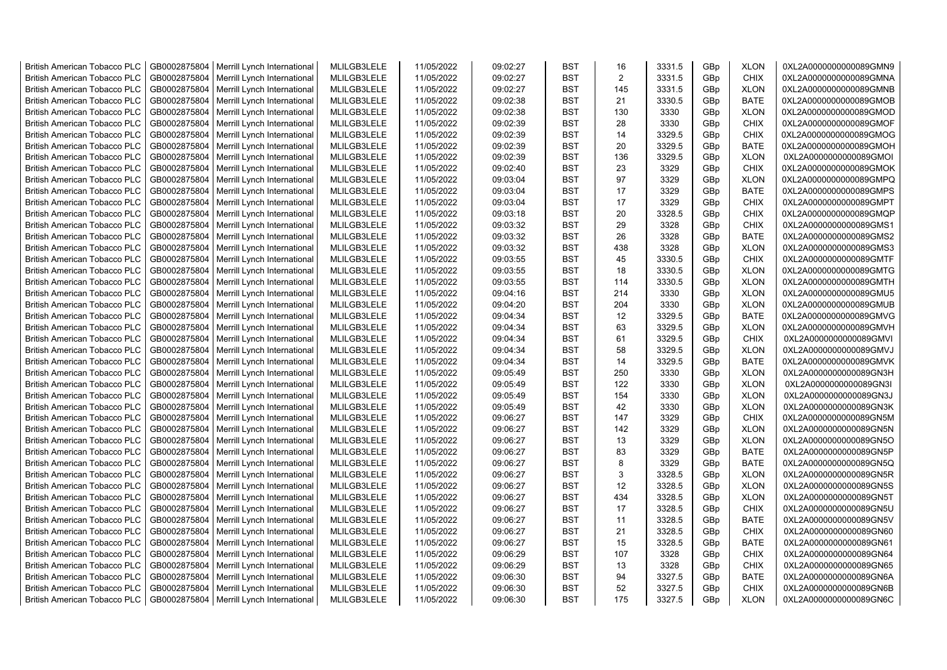| <b>British American Tobacco PLC</b> | GB0002875804 | Merrill Lynch International | MLILGB3LELE | 11/05/2022 | 09:02:27 | <b>BST</b> | 16             | 3331.5 | GBp             | <b>XLON</b> | 0XL2A0000000000089GMN9 |
|-------------------------------------|--------------|-----------------------------|-------------|------------|----------|------------|----------------|--------|-----------------|-------------|------------------------|
| <b>British American Tobacco PLC</b> | GB0002875804 | Merrill Lynch International | MLILGB3LELE | 11/05/2022 | 09:02:27 | <b>BST</b> | $\overline{2}$ | 3331.5 | GBp             | <b>CHIX</b> | 0XL2A0000000000089GMNA |
| <b>British American Tobacco PLC</b> | GB0002875804 | Merrill Lynch International | MLILGB3LELE | 11/05/2022 | 09:02:27 | <b>BST</b> | 145            | 3331.5 | GBp             | <b>XLON</b> | 0XL2A0000000000089GMNB |
| <b>British American Tobacco PLC</b> | GB0002875804 | Merrill Lynch International | MLILGB3LELE | 11/05/2022 | 09:02:38 | <b>BST</b> | 21             | 3330.5 | GBp             | <b>BATE</b> | 0XL2A0000000000089GMOB |
| <b>British American Tobacco PLC</b> | GB0002875804 | Merrill Lynch International | MLILGB3LELE | 11/05/2022 | 09:02:38 | <b>BST</b> | 130            | 3330   | GBp             | <b>XLON</b> | 0XL2A0000000000089GMOD |
| <b>British American Tobacco PLC</b> | GB0002875804 | Merrill Lynch International | MLILGB3LELE | 11/05/2022 | 09:02:39 | <b>BST</b> | 28             | 3330   | GBp             | <b>CHIX</b> | 0XL2A0000000000089GMOF |
| <b>British American Tobacco PLC</b> | GB0002875804 | Merrill Lynch International | MLILGB3LELE | 11/05/2022 | 09:02:39 | <b>BST</b> | 14             | 3329.5 | GBp             | <b>CHIX</b> | 0XL2A0000000000089GMOG |
| <b>British American Tobacco PLC</b> | GB0002875804 | Merrill Lynch International | MLILGB3LELE | 11/05/2022 | 09:02:39 | <b>BST</b> | 20             | 3329.5 | GBp             | <b>BATE</b> | 0XL2A0000000000089GMOH |
| <b>British American Tobacco PLC</b> | GB0002875804 | Merrill Lynch International | MLILGB3LELE | 11/05/2022 | 09:02:39 | <b>BST</b> | 136            | 3329.5 | GBp             | <b>XLON</b> | 0XL2A0000000000089GMOI |
| <b>British American Tobacco PLC</b> | GB0002875804 | Merrill Lynch International | MLILGB3LELE | 11/05/2022 | 09:02:40 | <b>BST</b> | 23             | 3329   | GBp             | <b>CHIX</b> | 0XL2A0000000000089GMOK |
| <b>British American Tobacco PLC</b> | GB0002875804 | Merrill Lynch International | MLILGB3LELE | 11/05/2022 | 09:03:04 | <b>BST</b> | 97             | 3329   | GBp             | <b>XLON</b> | 0XL2A0000000000089GMPQ |
| <b>British American Tobacco PLC</b> | GB0002875804 | Merrill Lynch International | MLILGB3LELE | 11/05/2022 | 09:03:04 | <b>BST</b> | 17             | 3329   | GBp             | <b>BATE</b> | 0XL2A0000000000089GMPS |
| <b>British American Tobacco PLC</b> | GB0002875804 | Merrill Lynch International | MLILGB3LELE | 11/05/2022 | 09:03:04 | BST        | 17             | 3329   | GBp             | <b>CHIX</b> | 0XL2A0000000000089GMPT |
| <b>British American Tobacco PLC</b> | GB0002875804 | Merrill Lynch International | MLILGB3LELE | 11/05/2022 | 09:03:18 | <b>BST</b> | 20             | 3328.5 | GBp             | <b>CHIX</b> | 0XL2A0000000000089GMQP |
| <b>British American Tobacco PLC</b> | GB0002875804 | Merrill Lynch International | MLILGB3LELE | 11/05/2022 | 09:03:32 | <b>BST</b> | 29             | 3328   | GBp             | <b>CHIX</b> | 0XL2A0000000000089GMS1 |
| <b>British American Tobacco PLC</b> | GB0002875804 | Merrill Lynch International | MLILGB3LELE | 11/05/2022 | 09:03:32 | <b>BST</b> | 26             | 3328   | GBp             | <b>BATE</b> | 0XL2A0000000000089GMS2 |
| British American Tobacco PLC        | GB0002875804 | Merrill Lynch International | MLILGB3LELE | 11/05/2022 | 09:03:32 | <b>BST</b> | 438            | 3328   | GBp             | <b>XLON</b> | 0XL2A0000000000089GMS3 |
| <b>British American Tobacco PLC</b> | GB0002875804 | Merrill Lynch International | MLILGB3LELE | 11/05/2022 | 09:03:55 | <b>BST</b> | 45             | 3330.5 | GBp             | <b>CHIX</b> | 0XL2A0000000000089GMTF |
| <b>British American Tobacco PLC</b> | GB0002875804 | Merrill Lynch International | MLILGB3LELE | 11/05/2022 | 09:03:55 | <b>BST</b> | 18             | 3330.5 | GBp             | <b>XLON</b> | 0XL2A0000000000089GMTG |
| <b>British American Tobacco PLC</b> | GB0002875804 | Merrill Lynch International | MLILGB3LELE | 11/05/2022 | 09:03:55 | <b>BST</b> | 114            | 3330.5 | GBp             | <b>XLON</b> | 0XL2A0000000000089GMTH |
| <b>British American Tobacco PLC</b> | GB0002875804 | Merrill Lynch International | MLILGB3LELE | 11/05/2022 | 09:04:16 | <b>BST</b> | 214            | 3330   | GBp             | <b>XLON</b> | 0XL2A0000000000089GMU5 |
| <b>British American Tobacco PLC</b> | GB0002875804 | Merrill Lynch International | MLILGB3LELE | 11/05/2022 | 09:04:20 | <b>BST</b> | 204            | 3330   | GBp             | <b>XLON</b> | 0XL2A0000000000089GMUB |
| British American Tobacco PLC        | GB0002875804 | Merrill Lynch International | MLILGB3LELE | 11/05/2022 | 09:04:34 | <b>BST</b> | 12             | 3329.5 | GBp             | <b>BATE</b> | 0XL2A0000000000089GMVG |
| <b>British American Tobacco PLC</b> | GB0002875804 | Merrill Lynch International | MLILGB3LELE | 11/05/2022 | 09:04:34 | <b>BST</b> | 63             | 3329.5 | GBp             | <b>XLON</b> | 0XL2A0000000000089GMVH |
| <b>British American Tobacco PLC</b> | GB0002875804 | Merrill Lynch International | MLILGB3LELE | 11/05/2022 | 09:04:34 | <b>BST</b> | 61             | 3329.5 | GBp             | <b>CHIX</b> | 0XL2A0000000000089GMVI |
| <b>British American Tobacco PLC</b> | GB0002875804 | Merrill Lynch International | MLILGB3LELE | 11/05/2022 | 09:04:34 | <b>BST</b> | 58             | 3329.5 | GBp             | <b>XLON</b> | 0XL2A0000000000089GMVJ |
| <b>British American Tobacco PLC</b> | GB0002875804 | Merrill Lynch International | MLILGB3LELE | 11/05/2022 | 09:04:34 | <b>BST</b> | 14             | 3329.5 | GBp             | <b>BATE</b> | 0XL2A0000000000089GMVK |
| <b>British American Tobacco PLC</b> | GB0002875804 | Merrill Lynch International | MLILGB3LELE | 11/05/2022 | 09:05:49 | <b>BST</b> | 250            | 3330   | GBp             | <b>XLON</b> | 0XL2A0000000000089GN3H |
| <b>British American Tobacco PLC</b> | GB0002875804 | Merrill Lynch International | MLILGB3LELE | 11/05/2022 | 09:05:49 | <b>BST</b> | 122            | 3330   | GBp             | <b>XLON</b> | 0XL2A0000000000089GN3I |
| <b>British American Tobacco PLC</b> | GB0002875804 | Merrill Lynch International | MLILGB3LELE | 11/05/2022 | 09:05:49 | <b>BST</b> | 154            | 3330   | GBp             | <b>XLON</b> | 0XL2A0000000000089GN3J |
| <b>British American Tobacco PLC</b> | GB0002875804 | Merrill Lynch International | MLILGB3LELE | 11/05/2022 | 09:05:49 | <b>BST</b> | 42             | 3330   | GBp             | <b>XLON</b> | 0XL2A0000000000089GN3K |
| <b>British American Tobacco PLC</b> | GB0002875804 | Merrill Lynch International | MLILGB3LELE | 11/05/2022 | 09:06:27 | <b>BST</b> | 147            | 3329   | GBp             | CHIX        | 0XL2A0000000000089GN5M |
| <b>British American Tobacco PLC</b> | GB0002875804 | Merrill Lynch International | MLILGB3LELE | 11/05/2022 | 09:06:27 | <b>BST</b> | 142            | 3329   | GBp             | <b>XLON</b> | 0XL2A0000000000089GN5N |
| <b>British American Tobacco PLC</b> | GB0002875804 | Merrill Lynch International | MLILGB3LELE | 11/05/2022 | 09:06:27 | BST        | 13             | 3329   | GBp             | <b>XLON</b> | 0XL2A0000000000089GN5O |
| <b>British American Tobacco PLC</b> | GB0002875804 | Merrill Lynch International | MLILGB3LELE | 11/05/2022 | 09:06:27 | <b>BST</b> | 83             | 3329   | GBp             | <b>BATE</b> | 0XL2A0000000000089GN5P |
| British American Tobacco PLC        | GB0002875804 | Merrill Lynch International | MLILGB3LELE | 11/05/2022 | 09:06:27 | <b>BST</b> | 8              | 3329   | GBp             | <b>BATE</b> | 0XL2A0000000000089GN5Q |
| British American Tobacco PLC        | GB0002875804 | Merrill Lynch International | MLILGB3LELE | 11/05/2022 | 09:06:27 | <b>BST</b> | 3              | 3328.5 | GBp             | <b>XLON</b> | 0XL2A0000000000089GN5R |
| British American Tobacco PLC        | GB0002875804 | Merrill Lynch International | MLILGB3LELE | 11/05/2022 | 09:06:27 | <b>BST</b> | 12             | 3328.5 | GBp             | <b>XLON</b> | 0XL2A0000000000089GN5S |
| <b>British American Tobacco PLC</b> | GB0002875804 | Merrill Lynch International | MLILGB3LELE | 11/05/2022 | 09:06:27 | <b>BST</b> | 434            | 3328.5 | GBp             | <b>XLON</b> | 0XL2A0000000000089GN5T |
| <b>British American Tobacco PLC</b> | GB0002875804 | Merrill Lynch International | MLILGB3LELE | 11/05/2022 | 09:06:27 | <b>BST</b> | 17             | 3328.5 | GBp             | <b>CHIX</b> | 0XL2A0000000000089GN5U |
| <b>British American Tobacco PLC</b> | GB0002875804 | Merrill Lynch International | MLILGB3LELE | 11/05/2022 | 09:06:27 | <b>BST</b> | 11             | 3328.5 | GBp             | <b>BATE</b> | 0XL2A0000000000089GN5V |
| <b>British American Tobacco PLC</b> | GB0002875804 | Merrill Lynch International | MLILGB3LELE | 11/05/2022 | 09:06:27 | <b>BST</b> | 21             | 3328.5 | GBp             | <b>CHIX</b> | 0XL2A0000000000089GN60 |
| <b>British American Tobacco PLC</b> | GB0002875804 | Merrill Lynch International | MLILGB3LELE | 11/05/2022 | 09:06:27 | <b>BST</b> | 15             | 3328.5 | GBp             | <b>BATE</b> | 0XL2A0000000000089GN61 |
| <b>British American Tobacco PLC</b> | GB0002875804 | Merrill Lynch International | MLILGB3LELE | 11/05/2022 | 09:06:29 | <b>BST</b> | 107            | 3328   | GBp             | <b>CHIX</b> | 0XL2A0000000000089GN64 |
| <b>British American Tobacco PLC</b> | GB0002875804 | Merrill Lynch International | MLILGB3LELE | 11/05/2022 | 09:06:29 | <b>BST</b> | 13             | 3328   | GBp             | <b>CHIX</b> | 0XL2A0000000000089GN65 |
| <b>British American Tobacco PLC</b> | GB0002875804 | Merrill Lynch International | MLILGB3LELE | 11/05/2022 | 09:06:30 | <b>BST</b> | 94             | 3327.5 | GBp             | <b>BATE</b> | 0XL2A0000000000089GN6A |
| <b>British American Tobacco PLC</b> | GB0002875804 | Merrill Lynch International | MLILGB3LELE | 11/05/2022 | 09:06:30 | <b>BST</b> | 52             | 3327.5 | GBp             | <b>CHIX</b> | 0XL2A0000000000089GN6B |
| <b>British American Tobacco PLC</b> | GB0002875804 | Merrill Lynch International | MLILGB3LELE | 11/05/2022 | 09:06:30 | <b>BST</b> | 175            | 3327.5 | GB <sub>p</sub> | <b>XLON</b> | 0XL2A0000000000089GN6C |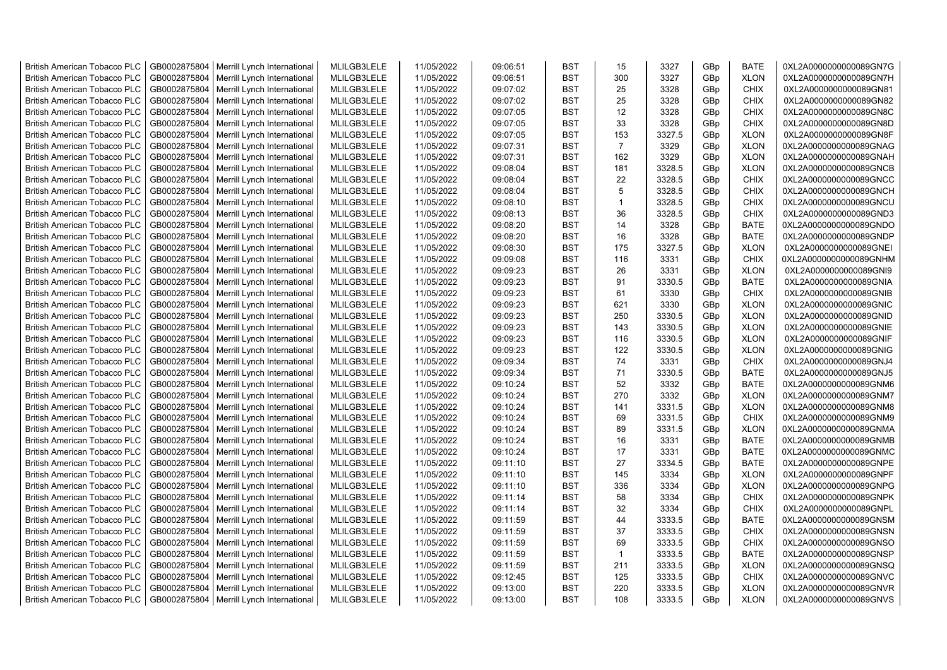| <b>British American Tobacco PLC</b> | GB0002875804 | Merrill Lynch International | MLILGB3LELE | 11/05/2022 | 09:06:51 | <b>BST</b> | 15             | 3327   | GBp             | <b>BATE</b> | 0XL2A0000000000089GN7G |
|-------------------------------------|--------------|-----------------------------|-------------|------------|----------|------------|----------------|--------|-----------------|-------------|------------------------|
| <b>British American Tobacco PLC</b> | GB0002875804 | Merrill Lynch International | MLILGB3LELE | 11/05/2022 | 09:06:51 | <b>BST</b> | 300            | 3327   | GBp             | <b>XLON</b> | 0XL2A0000000000089GN7H |
| <b>British American Tobacco PLC</b> | GB0002875804 | Merrill Lynch International | MLILGB3LELE | 11/05/2022 | 09:07:02 | <b>BST</b> | 25             | 3328   | GBp             | <b>CHIX</b> | 0XL2A0000000000089GN81 |
| <b>British American Tobacco PLC</b> | GB0002875804 | Merrill Lynch International | MLILGB3LELE | 11/05/2022 | 09:07:02 | <b>BST</b> | 25             | 3328   | GBp             | <b>CHIX</b> | 0XL2A0000000000089GN82 |
| <b>British American Tobacco PLC</b> | GB0002875804 | Merrill Lynch International | MLILGB3LELE | 11/05/2022 | 09:07:05 | <b>BST</b> | 12             | 3328   | GBp             | <b>CHIX</b> | 0XL2A0000000000089GN8C |
| <b>British American Tobacco PLC</b> | GB0002875804 | Merrill Lynch International | MLILGB3LELE | 11/05/2022 | 09:07:05 | <b>BST</b> | 33             | 3328   | GBp             | <b>CHIX</b> | 0XL2A0000000000089GN8D |
| <b>British American Tobacco PLC</b> | GB0002875804 | Merrill Lynch International | MLILGB3LELE | 11/05/2022 | 09:07:05 | <b>BST</b> | 153            | 3327.5 | GBp             | <b>XLON</b> | 0XL2A0000000000089GN8F |
| <b>British American Tobacco PLC</b> | GB0002875804 | Merrill Lynch International | MLILGB3LELE | 11/05/2022 | 09:07:31 | BST        | $\overline{7}$ | 3329   | GBp             | <b>XLON</b> | 0XL2A0000000000089GNAG |
| <b>British American Tobacco PLC</b> | GB0002875804 | Merrill Lynch International | MLILGB3LELE | 11/05/2022 | 09:07:31 | BST        | 162            | 3329   | GBp             | <b>XLON</b> | 0XL2A0000000000089GNAH |
| British American Tobacco PLC        | GB0002875804 | Merrill Lynch International | MLILGB3LELE | 11/05/2022 | 09:08:04 | <b>BST</b> | 181            | 3328.5 | GBp             | <b>XLON</b> | 0XL2A0000000000089GNCB |
| <b>British American Tobacco PLC</b> | GB0002875804 | Merrill Lynch International | MLILGB3LELE | 11/05/2022 | 09:08:04 | <b>BST</b> | 22             | 3328.5 | GBp             | <b>CHIX</b> | 0XL2A0000000000089GNCC |
| British American Tobacco PLC        | GB0002875804 | Merrill Lynch International | MLILGB3LELE | 11/05/2022 | 09:08:04 | <b>BST</b> | 5              | 3328.5 | GBp             | <b>CHIX</b> | 0XL2A0000000000089GNCH |
| <b>British American Tobacco PLC</b> | GB0002875804 | Merrill Lynch International | MLILGB3LELE | 11/05/2022 | 09:08:10 | <b>BST</b> | $\mathbf{1}$   | 3328.5 | GBp             | <b>CHIX</b> | 0XL2A0000000000089GNCU |
| <b>British American Tobacco PLC</b> | GB0002875804 | Merrill Lynch International | MLILGB3LELE | 11/05/2022 | 09:08:13 | <b>BST</b> | 36             | 3328.5 | GBp             | <b>CHIX</b> | 0XL2A0000000000089GND3 |
| <b>British American Tobacco PLC</b> | GB0002875804 | Merrill Lynch International | MLILGB3LELE | 11/05/2022 | 09:08:20 | <b>BST</b> | 14             | 3328   | GBp             | <b>BATE</b> | 0XL2A0000000000089GNDO |
| <b>British American Tobacco PLC</b> | GB0002875804 | Merrill Lynch International | MLILGB3LELE | 11/05/2022 | 09:08:20 | <b>BST</b> | 16             | 3328   | GBp             | <b>BATE</b> | 0XL2A0000000000089GNDP |
| <b>British American Tobacco PLC</b> | GB0002875804 | Merrill Lynch International | MLILGB3LELE | 11/05/2022 | 09:08:30 | <b>BST</b> | 175            | 3327.5 | GBp             | <b>XLON</b> | 0XL2A0000000000089GNEI |
| <b>British American Tobacco PLC</b> | GB0002875804 | Merrill Lynch International | MLILGB3LELE | 11/05/2022 | 09:09:08 | <b>BST</b> | 116            | 3331   | GBp             | <b>CHIX</b> | 0XL2A0000000000089GNHM |
| <b>British American Tobacco PLC</b> | GB0002875804 | Merrill Lynch International | MLILGB3LELE | 11/05/2022 | 09:09:23 | <b>BST</b> | 26             | 3331   | GBp             | <b>XLON</b> | 0XL2A0000000000089GNI9 |
| <b>British American Tobacco PLC</b> | GB0002875804 | Merrill Lynch International | MLILGB3LELE | 11/05/2022 | 09:09:23 | <b>BST</b> | 91             | 3330.5 | GBp             | <b>BATE</b> | 0XL2A0000000000089GNIA |
| <b>British American Tobacco PLC</b> | GB0002875804 | Merrill Lynch International | MLILGB3LELE | 11/05/2022 | 09:09:23 | <b>BST</b> | 61             | 3330   | GBp             | <b>CHIX</b> | 0XL2A0000000000089GNIB |
| <b>British American Tobacco PLC</b> | GB0002875804 | Merrill Lynch International | MLILGB3LELE | 11/05/2022 | 09:09:23 | <b>BST</b> | 621            | 3330   | GBp             | <b>XLON</b> | 0XL2A0000000000089GNIC |
| <b>British American Tobacco PLC</b> | GB0002875804 | Merrill Lynch International | MLILGB3LELE | 11/05/2022 | 09:09:23 | <b>BST</b> | 250            | 3330.5 | GBp             | <b>XLON</b> | 0XL2A0000000000089GNID |
| <b>British American Tobacco PLC</b> | GB0002875804 | Merrill Lynch International | MLILGB3LELE | 11/05/2022 | 09:09:23 | <b>BST</b> | 143            | 3330.5 | GBp             | <b>XLON</b> | 0XL2A0000000000089GNIE |
| <b>British American Tobacco PLC</b> | GB0002875804 | Merrill Lynch International | MLILGB3LELE | 11/05/2022 | 09:09:23 | BST        | 116            | 3330.5 | GBp             | <b>XLON</b> | 0XL2A0000000000089GNIF |
| British American Tobacco PLC        | GB0002875804 | Merrill Lynch International | MLILGB3LELE | 11/05/2022 | 09:09:23 | <b>BST</b> | 122            | 3330.5 | GBp             | <b>XLON</b> | 0XL2A0000000000089GNIG |
| British American Tobacco PLC        | GB0002875804 | Merrill Lynch International | MLILGB3LELE | 11/05/2022 | 09:09:34 | <b>BST</b> | 74             | 3331   | GBp             | <b>CHIX</b> | 0XL2A0000000000089GNJ4 |
| British American Tobacco PLC        | GB0002875804 | Merrill Lynch International | MLILGB3LELE | 11/05/2022 | 09:09:34 | <b>BST</b> | 71             | 3330.5 | GBp             | <b>BATE</b> | 0XL2A0000000000089GNJ5 |
| <b>British American Tobacco PLC</b> | GB0002875804 | Merrill Lynch International | MLILGB3LELE | 11/05/2022 | 09:10:24 | <b>BST</b> | 52             | 3332   | GBp             | <b>BATE</b> | 0XL2A0000000000089GNM6 |
| <b>British American Tobacco PLC</b> | GB0002875804 | Merrill Lynch International | MLILGB3LELE | 11/05/2022 | 09:10:24 | <b>BST</b> | 270            | 3332   | GBp             | <b>XLON</b> | 0XL2A0000000000089GNM7 |
| <b>British American Tobacco PLC</b> | GB0002875804 | Merrill Lynch International | MLILGB3LELE | 11/05/2022 | 09:10:24 | <b>BST</b> | 141            | 3331.5 | GBp             | <b>XLON</b> | 0XL2A0000000000089GNM8 |
| <b>British American Tobacco PLC</b> | GB0002875804 | Merrill Lynch International | MLILGB3LELE | 11/05/2022 | 09:10:24 | <b>BST</b> | 69             | 3331.5 | GBp             | <b>CHIX</b> | 0XL2A0000000000089GNM9 |
| <b>British American Tobacco PLC</b> | GB0002875804 | Merrill Lynch International | MLILGB3LELE | 11/05/2022 | 09:10:24 | <b>BST</b> | 89             | 3331.5 | GBp             | <b>XLON</b> | 0XL2A0000000000089GNMA |
| <b>British American Tobacco PLC</b> | GB0002875804 | Merrill Lynch International | MLILGB3LELE | 11/05/2022 | 09:10:24 | <b>BST</b> | 16             | 3331   | GBp             | <b>BATE</b> | 0XL2A0000000000089GNMB |
| <b>British American Tobacco PLC</b> | GB0002875804 | Merrill Lynch International | MLILGB3LELE | 11/05/2022 | 09:10:24 | <b>BST</b> | 17             | 3331   | GBp             | <b>BATE</b> | 0XL2A0000000000089GNMC |
| <b>British American Tobacco PLC</b> | GB0002875804 | Merrill Lynch International | MLILGB3LELE | 11/05/2022 | 09:11:10 | <b>BST</b> | 27             | 3334.5 | GBp             | <b>BATE</b> | 0XL2A0000000000089GNPE |
| <b>British American Tobacco PLC</b> | GB0002875804 | Merrill Lynch International | MLILGB3LELE | 11/05/2022 | 09:11:10 | <b>BST</b> | 145            | 3334   | GBp             | <b>XLON</b> | 0XL2A0000000000089GNPF |
| <b>British American Tobacco PLC</b> | GB0002875804 | Merrill Lynch International | MLILGB3LELE | 11/05/2022 | 09:11:10 | BST        | 336            | 3334   | GBp             | <b>XLON</b> | 0XL2A0000000000089GNPG |
| <b>British American Tobacco PLC</b> | GB0002875804 | Merrill Lynch International | MLILGB3LELE | 11/05/2022 | 09:11:14 | <b>BST</b> | 58             | 3334   | GBp             | CHIX        | 0XL2A0000000000089GNPK |
| <b>British American Tobacco PLC</b> | GB0002875804 | Merrill Lynch International | MLILGB3LELE | 11/05/2022 | 09:11:14 | <b>BST</b> | 32             | 3334   | GBp             | <b>CHIX</b> | 0XL2A0000000000089GNPL |
| British American Tobacco PLC        | GB0002875804 | Merrill Lynch International | MLILGB3LELE | 11/05/2022 | 09:11:59 | <b>BST</b> | 44             | 3333.5 | GBp             | <b>BATE</b> | 0XL2A0000000000089GNSM |
| <b>British American Tobacco PLC</b> | GB0002875804 | Merrill Lynch International | MLILGB3LELE | 11/05/2022 | 09:11:59 | <b>BST</b> | 37             | 3333.5 | GBp             | <b>CHIX</b> | 0XL2A0000000000089GNSN |
| British American Tobacco PLC        | GB0002875804 | Merrill Lynch International | MLILGB3LELE | 11/05/2022 | 09:11:59 | <b>BST</b> | 69             | 3333.5 | GBp             | <b>CHIX</b> | 0XL2A0000000000089GNSO |
| British American Tobacco PLC        | GB0002875804 | Merrill Lynch International | MLILGB3LELE | 11/05/2022 | 09:11:59 | <b>BST</b> | $\mathbf{1}$   | 3333.5 | GBp             | <b>BATE</b> | 0XL2A0000000000089GNSP |
| <b>British American Tobacco PLC</b> | GB0002875804 | Merrill Lynch International | MLILGB3LELE | 11/05/2022 | 09:11:59 | <b>BST</b> | 211            | 3333.5 | GBp             | <b>XLON</b> | 0XL2A0000000000089GNSQ |
| <b>British American Tobacco PLC</b> | GB0002875804 | Merrill Lynch International | MLILGB3LELE | 11/05/2022 | 09:12:45 | <b>BST</b> | 125            | 3333.5 | GBp             | <b>CHIX</b> | 0XL2A0000000000089GNVC |
| <b>British American Tobacco PLC</b> | GB0002875804 | Merrill Lynch International | MLILGB3LELE | 11/05/2022 | 09:13:00 | <b>BST</b> | 220            | 3333.5 | GBp             | <b>XLON</b> | 0XL2A0000000000089GNVR |
| <b>British American Tobacco PLC</b> | GB0002875804 | Merrill Lynch International | MLILGB3LELE | 11/05/2022 | 09:13:00 | <b>BST</b> | 108            | 3333.5 | GB <sub>p</sub> | <b>XLON</b> | 0XL2A0000000000089GNVS |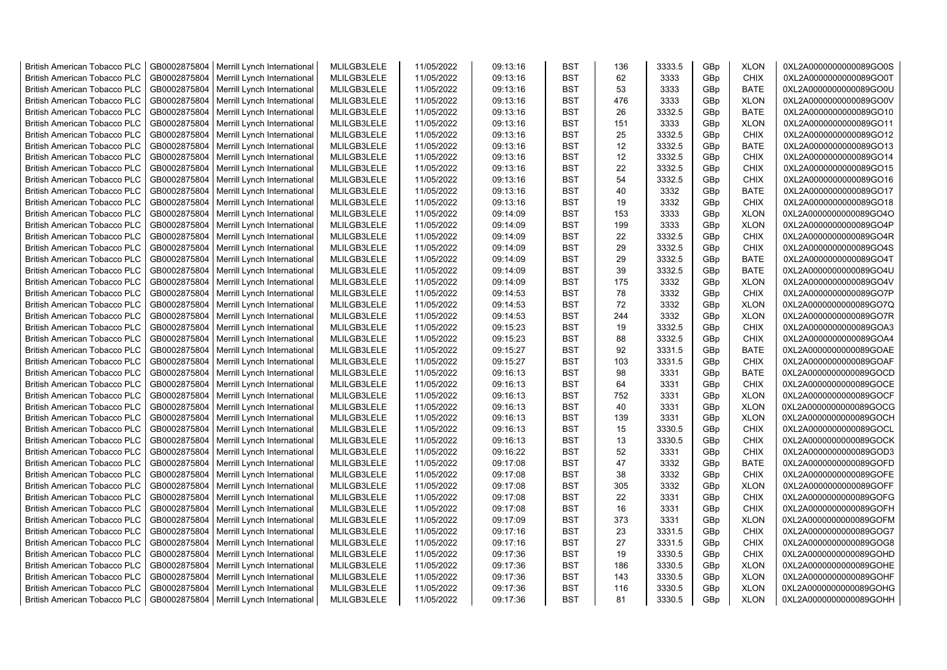| <b>British American Tobacco PLC</b> | GB0002875804 | Merrill Lynch International                                | MLILGB3LELE | 11/05/2022               | 09:13:16             | <b>BST</b> | 136 | 3333.5 | GBp             | <b>XLON</b> | 0XL2A0000000000089GO0S |
|-------------------------------------|--------------|------------------------------------------------------------|-------------|--------------------------|----------------------|------------|-----|--------|-----------------|-------------|------------------------|
| <b>British American Tobacco PLC</b> | GB0002875804 | Merrill Lynch International                                | MLILGB3LELE | 11/05/2022               | 09:13:16             | <b>BST</b> | 62  | 3333   | GBp             | <b>CHIX</b> | 0XL2A0000000000089GO0T |
| <b>British American Tobacco PLC</b> | GB0002875804 | Merrill Lynch International                                | MLILGB3LELE | 11/05/2022               | 09:13:16             | <b>BST</b> | 53  | 3333   | GBp             | <b>BATE</b> | 0XL2A0000000000089GO0U |
| <b>British American Tobacco PLC</b> | GB0002875804 | Merrill Lynch International                                | MLILGB3LELE | 11/05/2022               | 09:13:16             | <b>BST</b> | 476 | 3333   | GBp             | <b>XLON</b> | 0XL2A0000000000089GO0V |
| <b>British American Tobacco PLC</b> | GB0002875804 | Merrill Lynch International                                | MLILGB3LELE | 11/05/2022               | 09:13:16             | <b>BST</b> | 26  | 3332.5 | GBp             | <b>BATE</b> | 0XL2A0000000000089GO10 |
| <b>British American Tobacco PLC</b> | GB0002875804 | Merrill Lynch International                                | MLILGB3LELE | 11/05/2022               | 09:13:16             | <b>BST</b> | 151 | 3333   | GBp             | <b>XLON</b> | 0XL2A0000000000089GO11 |
| <b>British American Tobacco PLC</b> | GB0002875804 | Merrill Lynch International                                | MLILGB3LELE | 11/05/2022               | 09:13:16             | <b>BST</b> | 25  | 3332.5 | GBp             | <b>CHIX</b> | 0XL2A0000000000089GO12 |
| <b>British American Tobacco PLC</b> | GB0002875804 | Merrill Lynch International                                | MLILGB3LELE | 11/05/2022               | 09:13:16             | <b>BST</b> | 12  | 3332.5 | GBp             | <b>BATE</b> | 0XL2A0000000000089GO13 |
| <b>British American Tobacco PLC</b> | GB0002875804 | Merrill Lynch International                                | MLILGB3LELE | 11/05/2022               | 09:13:16             | <b>BST</b> | 12  | 3332.5 | GBp             | <b>CHIX</b> | 0XL2A0000000000089GO14 |
| <b>British American Tobacco PLC</b> | GB0002875804 | Merrill Lynch International                                | MLILGB3LELE | 11/05/2022               | 09:13:16             | <b>BST</b> | 22  | 3332.5 | GBp             | <b>CHIX</b> | 0XL2A0000000000089GO15 |
| <b>British American Tobacco PLC</b> | GB0002875804 | Merrill Lynch International                                | MLILGB3LELE | 11/05/2022               | 09:13:16             | <b>BST</b> | 54  | 3332.5 | GBp             | <b>CHIX</b> | 0XL2A0000000000089GO16 |
| <b>British American Tobacco PLC</b> | GB0002875804 | Merrill Lynch International                                | MLILGB3LELE | 11/05/2022               | 09:13:16             | <b>BST</b> | 40  | 3332   | GBp             | <b>BATE</b> | 0XL2A0000000000089GO17 |
| <b>British American Tobacco PLC</b> | GB0002875804 | Merrill Lynch International                                | MLILGB3LELE | 11/05/2022               | 09:13:16             | <b>BST</b> | 19  | 3332   | GB <sub>p</sub> | <b>CHIX</b> | 0XL2A0000000000089GO18 |
| <b>British American Tobacco PLC</b> | GB0002875804 | Merrill Lynch International                                | MLILGB3LELE | 11/05/2022               | 09:14:09             | <b>BST</b> | 153 | 3333   | GBp             | <b>XLON</b> | 0XL2A0000000000089GO4O |
| <b>British American Tobacco PLC</b> | GB0002875804 | Merrill Lynch International                                | MLILGB3LELE | 11/05/2022               | 09:14:09             | <b>BST</b> | 199 | 3333   | GBp             | <b>XLON</b> | 0XL2A0000000000089GO4P |
| <b>British American Tobacco PLC</b> | GB0002875804 | Merrill Lynch International                                | MLILGB3LELE | 11/05/2022               | 09:14:09             | <b>BST</b> | 22  | 3332.5 | GBp             | <b>CHIX</b> | 0XL2A0000000000089GO4R |
| <b>British American Tobacco PLC</b> | GB0002875804 | Merrill Lynch International                                | MLILGB3LELE | 11/05/2022               | 09:14:09             | <b>BST</b> | 29  | 3332.5 | GBp             | <b>CHIX</b> | 0XL2A0000000000089GO4S |
| <b>British American Tobacco PLC</b> | GB0002875804 | Merrill Lynch International                                | MLILGB3LELE | 11/05/2022               | 09:14:09             | <b>BST</b> | 29  | 3332.5 | GBp             | <b>BATE</b> | 0XL2A0000000000089GO4T |
| <b>British American Tobacco PLC</b> | GB0002875804 | Merrill Lynch International                                | MLILGB3LELE | 11/05/2022               | 09:14:09             | <b>BST</b> | 39  | 3332.5 | GBp             | <b>BATE</b> | 0XL2A0000000000089GO4U |
| <b>British American Tobacco PLC</b> | GB0002875804 | Merrill Lynch International                                | MLILGB3LELE | 11/05/2022               | 09:14:09             | <b>BST</b> | 175 | 3332   | GBp             | <b>XLON</b> | 0XL2A0000000000089GO4V |
| <b>British American Tobacco PLC</b> | GB0002875804 | Merrill Lynch International                                | MLILGB3LELE | 11/05/2022               | 09:14:53             | <b>BST</b> | 78  | 3332   | GBp             | <b>CHIX</b> | 0XL2A0000000000089GO7P |
| <b>British American Tobacco PLC</b> | GB0002875804 | Merrill Lynch International                                | MLILGB3LELE | 11/05/2022               | 09:14:53             | <b>BST</b> | 72  | 3332   | GB <sub>p</sub> | <b>XLON</b> | 0XL2A0000000000089GO7Q |
| <b>British American Tobacco PLC</b> | GB0002875804 | Merrill Lynch International                                | MLILGB3LELE | 11/05/2022               | 09:14:53             | <b>BST</b> | 244 | 3332   | GBp             | <b>XLON</b> | 0XL2A0000000000089GO7R |
| <b>British American Tobacco PLC</b> | GB0002875804 | Merrill Lynch International                                | MLILGB3LELE | 11/05/2022               | 09:15:23             | <b>BST</b> | 19  | 3332.5 | GBp             | <b>CHIX</b> | 0XL2A0000000000089GOA3 |
| <b>British American Tobacco PLC</b> | GB0002875804 | Merrill Lynch International                                | MLILGB3LELE | 11/05/2022               | 09:15:23             | <b>BST</b> | 88  | 3332.5 | GBp             | <b>CHIX</b> | 0XL2A0000000000089GOA4 |
| <b>British American Tobacco PLC</b> | GB0002875804 | Merrill Lynch International                                | MLILGB3LELE | 11/05/2022               | 09:15:27             | <b>BST</b> | 92  | 3331.5 | GBp             | <b>BATE</b> | 0XL2A0000000000089GOAE |
| <b>British American Tobacco PLC</b> | GB0002875804 | Merrill Lynch International                                | MLILGB3LELE | 11/05/2022               | 09:15:27             | <b>BST</b> | 103 | 3331.5 | GBp             | <b>CHIX</b> | 0XL2A0000000000089GOAF |
| <b>British American Tobacco PLC</b> | GB0002875804 | Merrill Lynch International                                | MLILGB3LELE | 11/05/2022               | 09:16:13             | <b>BST</b> | 98  | 3331   | GBp             | <b>BATE</b> | 0XL2A0000000000089GOCD |
| <b>British American Tobacco PLC</b> | GB0002875804 | Merrill Lynch International                                | MLILGB3LELE | 11/05/2022               | 09:16:13             | <b>BST</b> | 64  | 3331   | GBp             | <b>CHIX</b> | 0XL2A0000000000089GOCE |
| <b>British American Tobacco PLC</b> | GB0002875804 | Merrill Lynch International                                | MLILGB3LELE | 11/05/2022               | 09:16:13             | <b>BST</b> | 752 | 3331   | GBp             | <b>XLON</b> | 0XL2A0000000000089GOCF |
| <b>British American Tobacco PLC</b> | GB0002875804 |                                                            | MLILGB3LELE | 11/05/2022               | 09:16:13             | <b>BST</b> | 40  | 3331   | GBp             | <b>XLON</b> | 0XL2A0000000000089GOCG |
| <b>British American Tobacco PLC</b> | GB0002875804 | Merrill Lynch International<br>Merrill Lynch International | MLILGB3LELE | 11/05/2022               | 09:16:13             | <b>BST</b> | 139 | 3331   | GBp             | <b>XLON</b> | 0XL2A0000000000089GOCH |
| <b>British American Tobacco PLC</b> | GB0002875804 | Merrill Lynch International                                | MLILGB3LELE | 11/05/2022               | 09:16:13             | <b>BST</b> | 15  | 3330.5 | GBp             | <b>CHIX</b> | 0XL2A0000000000089GOCL |
| <b>British American Tobacco PLC</b> | GB0002875804 | Merrill Lynch International                                | MLILGB3LELE | 11/05/2022               | 09:16:13             | <b>BST</b> | 13  | 3330.5 |                 | <b>CHIX</b> | 0XL2A0000000000089GOCK |
| <b>British American Tobacco PLC</b> | GB0002875804 |                                                            | MLILGB3LELE |                          |                      | <b>BST</b> | 52  | 3331   | GBp             | <b>CHIX</b> | 0XL2A0000000000089GOD3 |
| British American Tobacco PLC        | GB0002875804 | Merrill Lynch International<br>Merrill Lynch International | MLILGB3LELE | 11/05/2022<br>11/05/2022 | 09:16:22<br>09:17:08 | <b>BST</b> | 47  | 3332   | GBp<br>GBp      | <b>BATE</b> | 0XL2A0000000000089GOFD |
| <b>British American Tobacco PLC</b> | GB0002875804 | Merrill Lynch International                                | MLILGB3LELE | 11/05/2022               | 09:17:08             | <b>BST</b> | 38  | 3332   | GBp             | <b>CHIX</b> | 0XL2A0000000000089GOFE |
| <b>British American Tobacco PLC</b> | GB0002875804 |                                                            | MLILGB3LELE | 11/05/2022               | 09:17:08             | <b>BST</b> | 305 | 3332   | GB <sub>p</sub> | <b>XLON</b> | 0XL2A0000000000089GOFF |
| <b>British American Tobacco PLC</b> | GB0002875804 | Merrill Lynch International                                | MLILGB3LELE | 11/05/2022               | 09:17:08             | <b>BST</b> | 22  | 3331   | GBp             | <b>CHIX</b> | 0XL2A0000000000089GOFG |
|                                     |              | Merrill Lynch International                                |             |                          |                      | <b>BST</b> | 16  |        |                 |             |                        |
| <b>British American Tobacco PLC</b> | GB0002875804 | Merrill Lynch International                                | MLILGB3LELE | 11/05/2022               | 09:17:08             |            |     | 3331   | GBp             | <b>CHIX</b> | 0XL2A0000000000089GOFH |
| <b>British American Tobacco PLC</b> | GB0002875804 | Merrill Lynch International                                | MLILGB3LELE | 11/05/2022               | 09:17:09             | <b>BST</b> | 373 | 3331   | GBp             | <b>XLON</b> | 0XL2A0000000000089GOFM |
| <b>British American Tobacco PLC</b> | GB0002875804 | Merrill Lynch International                                | MLILGB3LELE | 11/05/2022               | 09:17:16             | <b>BST</b> | 23  | 3331.5 | GBp             | <b>CHIX</b> | 0XL2A0000000000089GOG7 |
| <b>British American Tobacco PLC</b> | GB0002875804 | Merrill Lynch International                                | MLILGB3LELE | 11/05/2022               | 09:17:16             | <b>BST</b> | 27  | 3331.5 | GBp             | <b>CHIX</b> | 0XL2A0000000000089GOG8 |
| <b>British American Tobacco PLC</b> | GB0002875804 | Merrill Lynch International                                | MLILGB3LELE | 11/05/2022               | 09:17:36             | <b>BST</b> | 19  | 3330.5 | GBp             | <b>CHIX</b> | 0XL2A0000000000089GOHD |
| <b>British American Tobacco PLC</b> | GB0002875804 | Merrill Lynch International                                | MLILGB3LELE | 11/05/2022               | 09:17:36             | <b>BST</b> | 186 | 3330.5 | GBp             | <b>XLON</b> | 0XL2A0000000000089GOHE |
| <b>British American Tobacco PLC</b> | GB0002875804 | Merrill Lynch International                                | MLILGB3LELE | 11/05/2022               | 09:17:36             | <b>BST</b> | 143 | 3330.5 | GBp             | <b>XLON</b> | 0XL2A0000000000089GOHF |
| <b>British American Tobacco PLC</b> | GB0002875804 | Merrill Lynch International                                | MLILGB3LELE | 11/05/2022               | 09:17:36             | <b>BST</b> | 116 | 3330.5 | GBp             | <b>XLON</b> | 0XL2A0000000000089GOHG |
| <b>British American Tobacco PLC</b> |              | GB0002875804   Merrill Lynch International                 | MLILGB3LELE | 11/05/2022               | 09:17:36             | <b>BST</b> | 81  | 3330.5 | GB <sub>p</sub> | <b>XLON</b> | 0XL2A0000000000089GOHH |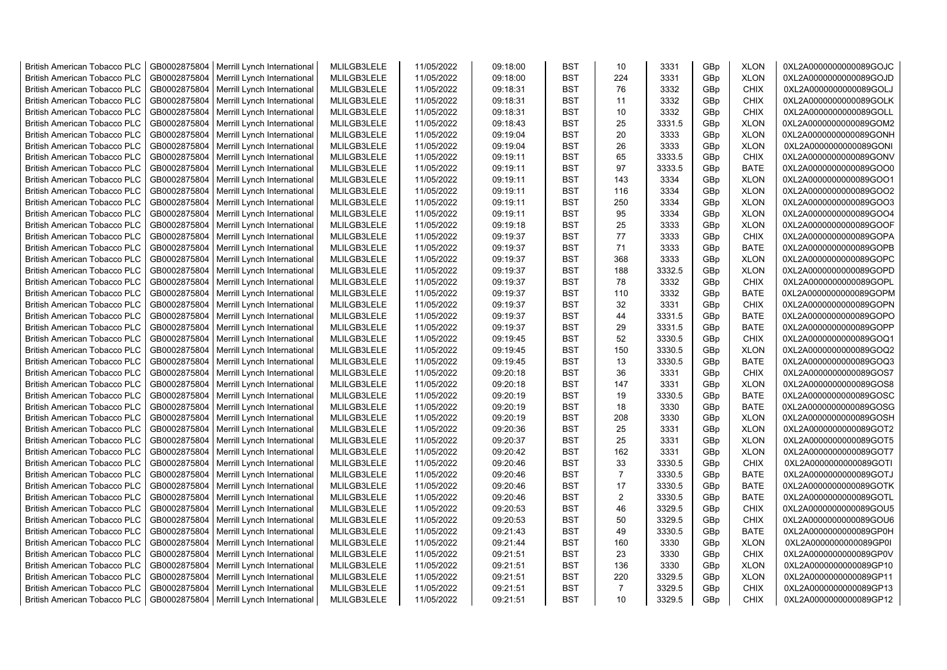| <b>British American Tobacco PLC</b> | GB0002875804 | Merrill Lynch International | MLILGB3LELE | 11/05/2022 | 09:18:00 | <b>BST</b> | 10             | 3331   | GBp             | <b>XLON</b> | 0XL2A0000000000089GOJC |
|-------------------------------------|--------------|-----------------------------|-------------|------------|----------|------------|----------------|--------|-----------------|-------------|------------------------|
| <b>British American Tobacco PLC</b> | GB0002875804 | Merrill Lynch International | MLILGB3LELE | 11/05/2022 | 09:18:00 | <b>BST</b> | 224            | 3331   | GBp             | <b>XLON</b> | 0XL2A0000000000089GOJD |
| <b>British American Tobacco PLC</b> | GB0002875804 | Merrill Lynch International | MLILGB3LELE | 11/05/2022 | 09:18:31 | <b>BST</b> | 76             | 3332   | GBp             | <b>CHIX</b> | 0XL2A0000000000089GOLJ |
| <b>British American Tobacco PLC</b> | GB0002875804 | Merrill Lynch International | MLILGB3LELE | 11/05/2022 | 09:18:31 | <b>BST</b> | 11             | 3332   | GBp             | <b>CHIX</b> | 0XL2A0000000000089GOLK |
| <b>British American Tobacco PLC</b> | GB0002875804 | Merrill Lynch International | MLILGB3LELE | 11/05/2022 | 09:18:31 | <b>BST</b> | 10             | 3332   | GBp             | <b>CHIX</b> | 0XL2A0000000000089GOLL |
| <b>British American Tobacco PLC</b> | GB0002875804 | Merrill Lynch International | MLILGB3LELE | 11/05/2022 | 09:18:43 | <b>BST</b> | 25             | 3331.5 | GBp             | <b>XLON</b> | 0XL2A0000000000089GOM2 |
| British American Tobacco PLC        | GB0002875804 | Merrill Lynch International | MLILGB3LELE | 11/05/2022 | 09:19:04 | <b>BST</b> | 20             | 3333   | GBp             | <b>XLON</b> | 0XL2A0000000000089GONH |
| <b>British American Tobacco PLC</b> | GB0002875804 | Merrill Lynch International | MLILGB3LELE | 11/05/2022 | 09:19:04 | <b>BST</b> | 26             | 3333   | GBp             | <b>XLON</b> | 0XL2A0000000000089GONI |
| <b>British American Tobacco PLC</b> | GB0002875804 | Merrill Lynch International | MLILGB3LELE | 11/05/2022 | 09:19:11 | <b>BST</b> | 65             | 3333.5 | GBp             | <b>CHIX</b> | 0XL2A0000000000089GONV |
| <b>British American Tobacco PLC</b> | GB0002875804 | Merrill Lynch International | MLILGB3LELE | 11/05/2022 | 09:19:11 | <b>BST</b> | 97             | 3333.5 | GBp             | <b>BATE</b> | 0XL2A0000000000089GOO0 |
| <b>British American Tobacco PLC</b> | GB0002875804 | Merrill Lynch International | MLILGB3LELE | 11/05/2022 | 09:19:11 | <b>BST</b> | 143            | 3334   | GBp             | <b>XLON</b> | 0XL2A0000000000089GOO1 |
| <b>British American Tobacco PLC</b> | GB0002875804 | Merrill Lynch International | MLILGB3LELE | 11/05/2022 | 09:19:11 | <b>BST</b> | 116            | 3334   | GBp             | <b>XLON</b> | 0XL2A0000000000089GOO2 |
| <b>British American Tobacco PLC</b> | GB0002875804 | Merrill Lynch International | MLILGB3LELE | 11/05/2022 | 09:19:11 | <b>BST</b> | 250            | 3334   | GBp             | <b>XLON</b> | 0XL2A0000000000089GOO3 |
| <b>British American Tobacco PLC</b> | GB0002875804 | Merrill Lynch International | MLILGB3LELE | 11/05/2022 | 09:19:11 | <b>BST</b> | 95             | 3334   | GBp             | <b>XLON</b> | 0XL2A0000000000089GOO4 |
| <b>British American Tobacco PLC</b> | GB0002875804 | Merrill Lynch International | MLILGB3LELE | 11/05/2022 | 09:19:18 | <b>BST</b> | 25             | 3333   | GBp             | <b>XLON</b> | 0XL2A0000000000089GOOF |
| <b>British American Tobacco PLC</b> | GB0002875804 | Merrill Lynch International | MLILGB3LELE | 11/05/2022 | 09:19:37 | <b>BST</b> | 77             | 3333   | GBp             | <b>CHIX</b> | 0XL2A0000000000089GOPA |
| British American Tobacco PLC        | GB0002875804 | Merrill Lynch International | MLILGB3LELE | 11/05/2022 | 09:19:37 | <b>BST</b> | 71             | 3333   | GBp             | <b>BATE</b> | 0XL2A0000000000089GOPB |
| <b>British American Tobacco PLC</b> | GB0002875804 | Merrill Lynch International | MLILGB3LELE | 11/05/2022 | 09:19:37 | <b>BST</b> | 368            | 3333   | GBp             | <b>XLON</b> | 0XL2A0000000000089GOPC |
| <b>British American Tobacco PLC</b> | GB0002875804 | Merrill Lynch International | MLILGB3LELE | 11/05/2022 | 09:19:37 | <b>BST</b> | 188            | 3332.5 | GBp             | <b>XLON</b> | 0XL2A0000000000089GOPD |
| <b>British American Tobacco PLC</b> | GB0002875804 | Merrill Lynch International | MLILGB3LELE | 11/05/2022 | 09:19:37 | <b>BST</b> | 78             | 3332   | GBp             | <b>CHIX</b> | 0XL2A0000000000089GOPL |
| <b>British American Tobacco PLC</b> | GB0002875804 | Merrill Lynch International | MLILGB3LELE | 11/05/2022 | 09:19:37 | <b>BST</b> | 110            | 3332   | GBp             | <b>BATE</b> | 0XL2A0000000000089GOPM |
| <b>British American Tobacco PLC</b> | GB0002875804 | Merrill Lynch International | MLILGB3LELE | 11/05/2022 | 09:19:37 | <b>BST</b> | 32             | 3331   | GBp             | <b>CHIX</b> | 0XL2A0000000000089GOPN |
| British American Tobacco PLC        | GB0002875804 | Merrill Lynch International | MLILGB3LELE | 11/05/2022 | 09:19:37 | <b>BST</b> | 44             | 3331.5 | GBp             | <b>BATE</b> | 0XL2A0000000000089GOPO |
| <b>British American Tobacco PLC</b> | GB0002875804 | Merrill Lynch International | MLILGB3LELE | 11/05/2022 | 09:19:37 | <b>BST</b> | 29             | 3331.5 | GBp             | <b>BATE</b> | 0XL2A0000000000089GOPP |
| <b>British American Tobacco PLC</b> | GB0002875804 | Merrill Lynch International | MLILGB3LELE | 11/05/2022 | 09:19:45 | <b>BST</b> | 52             | 3330.5 | GBp             | <b>CHIX</b> | 0XL2A0000000000089GOQ1 |
| <b>British American Tobacco PLC</b> | GB0002875804 | Merrill Lynch International | MLILGB3LELE | 11/05/2022 | 09:19:45 | <b>BST</b> | 150            | 3330.5 | GBp             | <b>XLON</b> | 0XL2A0000000000089GOQ2 |
| <b>British American Tobacco PLC</b> | GB0002875804 | Merrill Lynch International | MLILGB3LELE | 11/05/2022 | 09:19:45 | <b>BST</b> | 13             | 3330.5 | GBp             | <b>BATE</b> | 0XL2A0000000000089GOQ3 |
| <b>British American Tobacco PLC</b> | GB0002875804 | Merrill Lynch International | MLILGB3LELE | 11/05/2022 | 09:20:18 | <b>BST</b> | 36             | 3331   | GBp             | <b>CHIX</b> | 0XL2A0000000000089GOS7 |
| <b>British American Tobacco PLC</b> | GB0002875804 | Merrill Lynch International | MLILGB3LELE | 11/05/2022 | 09:20:18 | <b>BST</b> | 147            | 3331   | GBp             | <b>XLON</b> | 0XL2A0000000000089GOS8 |
| <b>British American Tobacco PLC</b> | GB0002875804 | Merrill Lynch International | MLILGB3LELE | 11/05/2022 | 09:20:19 | <b>BST</b> | 19             | 3330.5 | GBp             | <b>BATE</b> | 0XL2A0000000000089GOSC |
| <b>British American Tobacco PLC</b> | GB0002875804 | Merrill Lynch International | MLILGB3LELE | 11/05/2022 | 09:20:19 | <b>BST</b> | 18             | 3330   | GBp             | <b>BATE</b> | 0XL2A0000000000089GOSG |
| <b>British American Tobacco PLC</b> | GB0002875804 | Merrill Lynch International | MLILGB3LELE | 11/05/2022 | 09:20:19 | <b>BST</b> | 208            | 3330   | GBp             | <b>XLON</b> | 0XL2A0000000000089GOSH |
| <b>British American Tobacco PLC</b> | GB0002875804 | Merrill Lynch International | MLILGB3LELE | 11/05/2022 | 09:20:36 | <b>BST</b> | 25             | 3331   | GBp             | <b>XLON</b> | 0XL2A0000000000089GOT2 |
| <b>British American Tobacco PLC</b> | GB0002875804 | Merrill Lynch International | MLILGB3LELE | 11/05/2022 | 09:20:37 | <b>BST</b> | 25             | 3331   | GBp             | <b>XLON</b> | 0XL2A0000000000089GOT5 |
| <b>British American Tobacco PLC</b> | GB0002875804 | Merrill Lynch International | MLILGB3LELE | 11/05/2022 | 09:20:42 | <b>BST</b> | 162            | 3331   | GBp             | <b>XLON</b> | 0XL2A0000000000089GOT7 |
| British American Tobacco PLC        | GB0002875804 | Merrill Lynch International | MLILGB3LELE | 11/05/2022 | 09:20:46 | <b>BST</b> | 33             | 3330.5 | GBp             | <b>CHIX</b> | 0XL2A0000000000089GOTI |
| <b>British American Tobacco PLC</b> | GB0002875804 | Merrill Lynch International | MLILGB3LELE | 11/05/2022 | 09:20:46 | <b>BST</b> | $\overline{7}$ | 3330.5 | GBp             | <b>BATE</b> | 0XL2A0000000000089GOTJ |
| <b>British American Tobacco PLC</b> | GB0002875804 | Merrill Lynch International | MLILGB3LELE | 11/05/2022 | 09:20:46 | <b>BST</b> | 17             | 3330.5 | GBp             | <b>BATE</b> | 0XL2A0000000000089GOTK |
| <b>British American Tobacco PLC</b> | GB0002875804 | Merrill Lynch International | MLILGB3LELE | 11/05/2022 | 09:20:46 | <b>BST</b> | 2              | 3330.5 | GBp             | <b>BATE</b> | 0XL2A0000000000089GOTL |
| <b>British American Tobacco PLC</b> | GB0002875804 | Merrill Lynch International | MLILGB3LELE | 11/05/2022 | 09:20:53 | <b>BST</b> | 46             | 3329.5 | GBp             | <b>CHIX</b> | 0XL2A0000000000089GOU5 |
| <b>British American Tobacco PLC</b> | GB0002875804 | Merrill Lynch International | MLILGB3LELE | 11/05/2022 | 09:20:53 | <b>BST</b> | 50             | 3329.5 | GBp             | <b>CHIX</b> | 0XL2A0000000000089GOU6 |
| <b>British American Tobacco PLC</b> | GB0002875804 | Merrill Lynch International | MLILGB3LELE | 11/05/2022 | 09:21:43 | <b>BST</b> | 49             | 3330.5 | GBp             | <b>BATE</b> | 0XL2A0000000000089GP0H |
| <b>British American Tobacco PLC</b> | GB0002875804 | Merrill Lynch International | MLILGB3LELE | 11/05/2022 | 09:21:44 | <b>BST</b> | 160            | 3330   | GBp             | <b>XLON</b> | 0XL2A0000000000089GP0I |
| <b>British American Tobacco PLC</b> | GB0002875804 | Merrill Lynch International | MLILGB3LELE | 11/05/2022 | 09:21:51 | <b>BST</b> | 23             | 3330   | GBp             | <b>CHIX</b> | 0XL2A0000000000089GP0V |
| <b>British American Tobacco PLC</b> | GB0002875804 | Merrill Lynch International | MLILGB3LELE | 11/05/2022 | 09:21:51 | <b>BST</b> | 136            | 3330   | GBp             | <b>XLON</b> | 0XL2A0000000000089GP10 |
| <b>British American Tobacco PLC</b> | GB0002875804 | Merrill Lynch International | MLILGB3LELE | 11/05/2022 | 09:21:51 | <b>BST</b> | 220            | 3329.5 | GBp             | <b>XLON</b> | 0XL2A0000000000089GP11 |
| <b>British American Tobacco PLC</b> | GB0002875804 | Merrill Lynch International | MLILGB3LELE | 11/05/2022 | 09:21:51 | <b>BST</b> | $\overline{7}$ | 3329.5 | GBp             | <b>CHIX</b> | 0XL2A0000000000089GP13 |
| <b>British American Tobacco PLC</b> | GB0002875804 | Merrill Lynch International | MLILGB3LELE | 11/05/2022 | 09:21:51 | <b>BST</b> | 10             | 3329.5 | GB <sub>p</sub> | <b>CHIX</b> | 0XL2A0000000000089GP12 |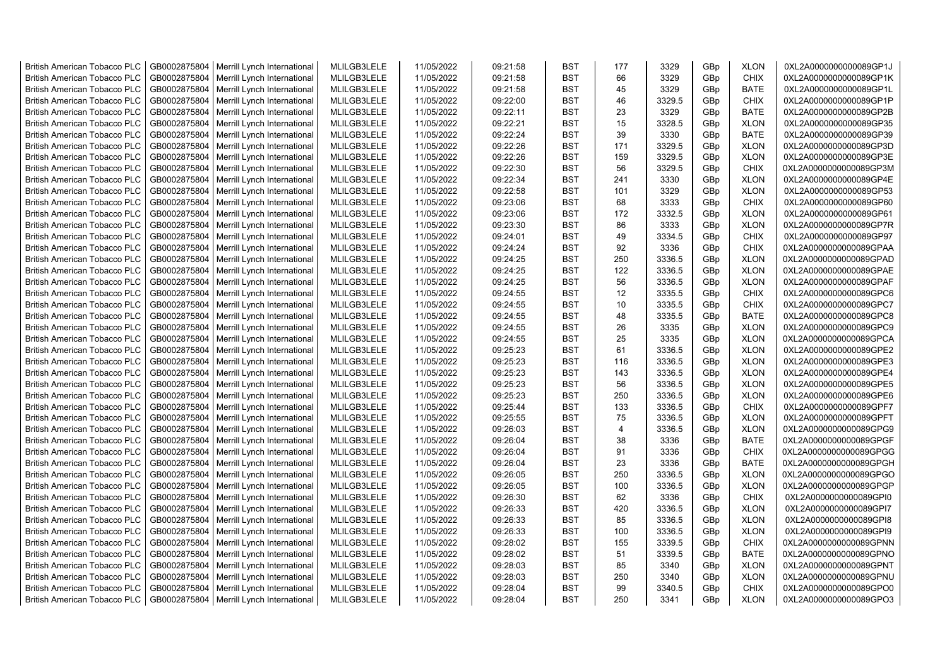| <b>British American Tobacco PLC</b> | GB0002875804 | Merrill Lynch International                | MLILGB3LELE | 11/05/2022 | 09:21:58 | <b>BST</b> | 177            | 3329   | GBp             | <b>XLON</b> | 0XL2A0000000000089GP1J |
|-------------------------------------|--------------|--------------------------------------------|-------------|------------|----------|------------|----------------|--------|-----------------|-------------|------------------------|
| <b>British American Tobacco PLC</b> | GB0002875804 | Merrill Lynch International                | MLILGB3LELE | 11/05/2022 | 09:21:58 | <b>BST</b> | 66             | 3329   | GBp             | <b>CHIX</b> | 0XL2A0000000000089GP1K |
| <b>British American Tobacco PLC</b> | GB0002875804 | Merrill Lynch International                | MLILGB3LELE | 11/05/2022 | 09:21:58 | <b>BST</b> | 45             | 3329   | GBp             | <b>BATE</b> | 0XL2A0000000000089GP1L |
| <b>British American Tobacco PLC</b> | GB0002875804 | Merrill Lynch International                | MLILGB3LELE | 11/05/2022 | 09:22:00 | <b>BST</b> | 46             | 3329.5 | GBp             | <b>CHIX</b> | 0XL2A0000000000089GP1P |
| <b>British American Tobacco PLC</b> | GB0002875804 | Merrill Lynch International                | MLILGB3LELE | 11/05/2022 | 09:22:11 | <b>BST</b> | 23             | 3329   | GB <sub>p</sub> | <b>BATE</b> | 0XL2A0000000000089GP2B |
| <b>British American Tobacco PLC</b> | GB0002875804 | Merrill Lynch International                | MLILGB3LELE | 11/05/2022 | 09:22:21 | <b>BST</b> | 15             | 3328.5 | GBp             | <b>XLON</b> | 0XL2A0000000000089GP35 |
| <b>British American Tobacco PLC</b> | GB0002875804 | Merrill Lynch International                | MLILGB3LELE | 11/05/2022 | 09:22:24 | <b>BST</b> | 39             | 3330   | GBp             | <b>BATE</b> | 0XL2A0000000000089GP39 |
| <b>British American Tobacco PLC</b> | GB0002875804 | Merrill Lynch International                | MLILGB3LELE | 11/05/2022 | 09:22:26 | <b>BST</b> | 171            | 3329.5 | GBp             | <b>XLON</b> | 0XL2A0000000000089GP3D |
| <b>British American Tobacco PLC</b> | GB0002875804 | Merrill Lynch International                | MLILGB3LELE | 11/05/2022 | 09:22:26 | <b>BST</b> | 159            | 3329.5 | GBp             | <b>XLON</b> | 0XL2A0000000000089GP3E |
| <b>British American Tobacco PLC</b> | GB0002875804 | Merrill Lynch International                | MLILGB3LELE | 11/05/2022 | 09:22:30 | <b>BST</b> | 56             | 3329.5 | GBp             | <b>CHIX</b> | 0XL2A0000000000089GP3M |
| <b>British American Tobacco PLC</b> | GB0002875804 | Merrill Lynch International                | MLILGB3LELE | 11/05/2022 | 09:22:34 | <b>BST</b> | 241            | 3330   | GBp             | <b>XLON</b> | 0XL2A0000000000089GP4E |
| <b>British American Tobacco PLC</b> | GB0002875804 | Merrill Lynch International                | MLILGB3LELE | 11/05/2022 | 09:22:58 | <b>BST</b> | 101            | 3329   | GBp             | <b>XLON</b> | 0XL2A0000000000089GP53 |
| <b>British American Tobacco PLC</b> | GB0002875804 | Merrill Lynch International                | MLILGB3LELE | 11/05/2022 | 09:23:06 | <b>BST</b> | 68             | 3333   | GB <sub>p</sub> | <b>CHIX</b> | 0XL2A0000000000089GP60 |
| <b>British American Tobacco PLC</b> | GB0002875804 | Merrill Lynch International                | MLILGB3LELE | 11/05/2022 | 09:23:06 | <b>BST</b> | 172            | 3332.5 | GBp             | <b>XLON</b> | 0XL2A0000000000089GP61 |
| <b>British American Tobacco PLC</b> | GB0002875804 | Merrill Lynch International                | MLILGB3LELE | 11/05/2022 | 09:23:30 | <b>BST</b> | 86             | 3333   | GB <sub>p</sub> | <b>XLON</b> | 0XL2A0000000000089GP7R |
| <b>British American Tobacco PLC</b> | GB0002875804 | Merrill Lynch International                | MLILGB3LELE | 11/05/2022 | 09:24:01 | <b>BST</b> | 49             | 3334.5 | GBp             | <b>CHIX</b> | 0XL2A0000000000089GP97 |
| <b>British American Tobacco PLC</b> | GB0002875804 | Merrill Lynch International                | MLILGB3LELE | 11/05/2022 | 09:24:24 | <b>BST</b> | 92             | 3336   | GBp             | <b>CHIX</b> | 0XL2A0000000000089GPAA |
| <b>British American Tobacco PLC</b> | GB0002875804 | Merrill Lynch International                | MLILGB3LELE | 11/05/2022 | 09:24:25 | <b>BST</b> | 250            | 3336.5 | GBp             | <b>XLON</b> | 0XL2A0000000000089GPAD |
| <b>British American Tobacco PLC</b> | GB0002875804 | Merrill Lynch International                | MLILGB3LELE | 11/05/2022 | 09:24:25 | <b>BST</b> | 122            | 3336.5 | GBp             | <b>XLON</b> | 0XL2A0000000000089GPAE |
| <b>British American Tobacco PLC</b> | GB0002875804 | Merrill Lynch International                | MLILGB3LELE | 11/05/2022 | 09:24:25 | <b>BST</b> | 56             | 3336.5 | GBp             | <b>XLON</b> | 0XL2A0000000000089GPAF |
| <b>British American Tobacco PLC</b> | GB0002875804 | Merrill Lynch International                | MLILGB3LELE | 11/05/2022 | 09:24:55 | <b>BST</b> | 12             | 3335.5 | GBp             | <b>CHIX</b> | 0XL2A0000000000089GPC6 |
| <b>British American Tobacco PLC</b> | GB0002875804 | Merrill Lynch International                | MLILGB3LELE | 11/05/2022 | 09:24:55 | <b>BST</b> | 10             | 3335.5 | GBp             | <b>CHIX</b> | 0XL2A0000000000089GPC7 |
| <b>British American Tobacco PLC</b> | GB0002875804 | Merrill Lynch International                | MLILGB3LELE | 11/05/2022 | 09:24:55 | <b>BST</b> | 48             | 3335.5 | GBp             | <b>BATE</b> | 0XL2A0000000000089GPC8 |
| <b>British American Tobacco PLC</b> | GB0002875804 | Merrill Lynch International                | MLILGB3LELE | 11/05/2022 | 09:24:55 | <b>BST</b> | 26             | 3335   | GBp             | <b>XLON</b> | 0XL2A0000000000089GPC9 |
| <b>British American Tobacco PLC</b> | GB0002875804 | Merrill Lynch International                | MLILGB3LELE | 11/05/2022 | 09:24:55 | <b>BST</b> | 25             | 3335   | GBp             | <b>XLON</b> | 0XL2A0000000000089GPCA |
| <b>British American Tobacco PLC</b> | GB0002875804 | Merrill Lynch International                | MLILGB3LELE | 11/05/2022 | 09:25:23 | <b>BST</b> | 61             | 3336.5 | GBp             | <b>XLON</b> | 0XL2A0000000000089GPE2 |
| <b>British American Tobacco PLC</b> | GB0002875804 | Merrill Lynch International                | MLILGB3LELE | 11/05/2022 | 09:25:23 | <b>BST</b> | 116            | 3336.5 | GBp             | <b>XLON</b> | 0XL2A0000000000089GPE3 |
| <b>British American Tobacco PLC</b> | GB0002875804 | Merrill Lynch International                | MLILGB3LELE | 11/05/2022 | 09:25:23 | <b>BST</b> | 143            | 3336.5 | GBp             | <b>XLON</b> | 0XL2A0000000000089GPE4 |
| <b>British American Tobacco PLC</b> | GB0002875804 | Merrill Lynch International                | MLILGB3LELE | 11/05/2022 | 09:25:23 | <b>BST</b> | 56             | 3336.5 | GBp             | <b>XLON</b> | 0XL2A0000000000089GPE5 |
| <b>British American Tobacco PLC</b> | GB0002875804 | Merrill Lynch International                | MLILGB3LELE | 11/05/2022 | 09:25:23 | <b>BST</b> | 250            | 3336.5 | GB <sub>p</sub> | <b>XLON</b> | 0XL2A0000000000089GPE6 |
| <b>British American Tobacco PLC</b> | GB0002875804 | Merrill Lynch International                | MLILGB3LELE | 11/05/2022 | 09:25:44 | <b>BST</b> | 133            | 3336.5 | GB <sub>p</sub> | <b>CHIX</b> | 0XL2A0000000000089GPF7 |
| <b>British American Tobacco PLC</b> | GB0002875804 | Merrill Lynch International                | MLILGB3LELE | 11/05/2022 | 09:25:55 | <b>BST</b> | 75             | 3336.5 | GBp             | <b>XLON</b> | 0XL2A0000000000089GPFT |
| <b>British American Tobacco PLC</b> | GB0002875804 | Merrill Lynch International                | MLILGB3LELE | 11/05/2022 | 09:26:03 | <b>BST</b> | $\overline{4}$ | 3336.5 | GBp             | <b>XLON</b> | 0XL2A0000000000089GPG9 |
| <b>British American Tobacco PLC</b> | GB0002875804 | Merrill Lynch International                | MLILGB3LELE | 11/05/2022 | 09:26:04 | <b>BST</b> | 38             | 3336   | GBp             | <b>BATE</b> | 0XL2A0000000000089GPGF |
| <b>British American Tobacco PLC</b> | GB0002875804 | Merrill Lynch International                | MLILGB3LELE | 11/05/2022 | 09:26:04 | <b>BST</b> | 91             | 3336   | GBp             | <b>CHIX</b> | 0XL2A0000000000089GPGG |
| <b>British American Tobacco PLC</b> | GB0002875804 | Merrill Lynch International                | MLILGB3LELE | 11/05/2022 | 09:26:04 | <b>BST</b> | 23             | 3336   | GBp             | <b>BATE</b> | 0XL2A0000000000089GPGH |
| <b>British American Tobacco PLC</b> | GB0002875804 | Merrill Lynch International                | MLILGB3LELE | 11/05/2022 | 09:26:05 | <b>BST</b> | 250            | 3336.5 | GBp             | <b>XLON</b> | 0XL2A0000000000089GPGO |
| <b>British American Tobacco PLC</b> | GB0002875804 | Merrill Lynch International                | MLILGB3LELE | 11/05/2022 | 09:26:05 | <b>BST</b> | 100            | 3336.5 | GBp             | <b>XLON</b> | 0XL2A0000000000089GPGP |
| <b>British American Tobacco PLC</b> | GB0002875804 | Merrill Lynch International                | MLILGB3LELE | 11/05/2022 | 09:26:30 | <b>BST</b> | 62             | 3336   | GBp             | <b>CHIX</b> | 0XL2A0000000000089GPI0 |
| <b>British American Tobacco PLC</b> | GB0002875804 | Merrill Lynch International                | MLILGB3LELE | 11/05/2022 | 09:26:33 | <b>BST</b> | 420            | 3336.5 | GBp             | <b>XLON</b> | 0XL2A0000000000089GPI7 |
| <b>British American Tobacco PLC</b> | GB0002875804 | Merrill Lynch International                | MLILGB3LELE | 11/05/2022 | 09:26:33 | <b>BST</b> | 85             | 3336.5 | GBp             | <b>XLON</b> | 0XL2A0000000000089GPI8 |
| <b>British American Tobacco PLC</b> | GB0002875804 | Merrill Lynch International                | MLILGB3LELE | 11/05/2022 | 09:26:33 | <b>BST</b> | 100            | 3336.5 | GBp             | <b>XLON</b> | 0XL2A0000000000089GPI9 |
| <b>British American Tobacco PLC</b> | GB0002875804 | Merrill Lynch International                | MLILGB3LELE | 11/05/2022 | 09:28:02 | <b>BST</b> | 155            | 3339.5 | GBp             | <b>CHIX</b> | 0XL2A0000000000089GPNN |
| <b>British American Tobacco PLC</b> | GB0002875804 | Merrill Lynch International                | MLILGB3LELE | 11/05/2022 | 09:28:02 | <b>BST</b> | 51             | 3339.5 | GBp             | <b>BATE</b> | 0XL2A0000000000089GPNO |
| <b>British American Tobacco PLC</b> | GB0002875804 | Merrill Lynch International                | MLILGB3LELE | 11/05/2022 | 09:28:03 | <b>BST</b> | 85             | 3340   | GBp             | <b>XLON</b> | 0XL2A0000000000089GPNT |
| <b>British American Tobacco PLC</b> | GB0002875804 | Merrill Lynch International                | MLILGB3LELE | 11/05/2022 | 09:28:03 | <b>BST</b> | 250            | 3340   | GBp             | <b>XLON</b> | 0XL2A0000000000089GPNU |
| <b>British American Tobacco PLC</b> | GB0002875804 | Merrill Lynch International                | MLILGB3LELE | 11/05/2022 | 09:28:04 | <b>BST</b> | 99             | 3340.5 | GB <sub>p</sub> | <b>CHIX</b> | 0XL2A0000000000089GPO0 |
| <b>British American Tobacco PLC</b> |              | GB0002875804   Merrill Lynch International | MLILGB3LELE | 11/05/2022 | 09:28:04 | <b>BST</b> | 250            | 3341   | GBp             | <b>XLON</b> | 0XL2A0000000000089GPO3 |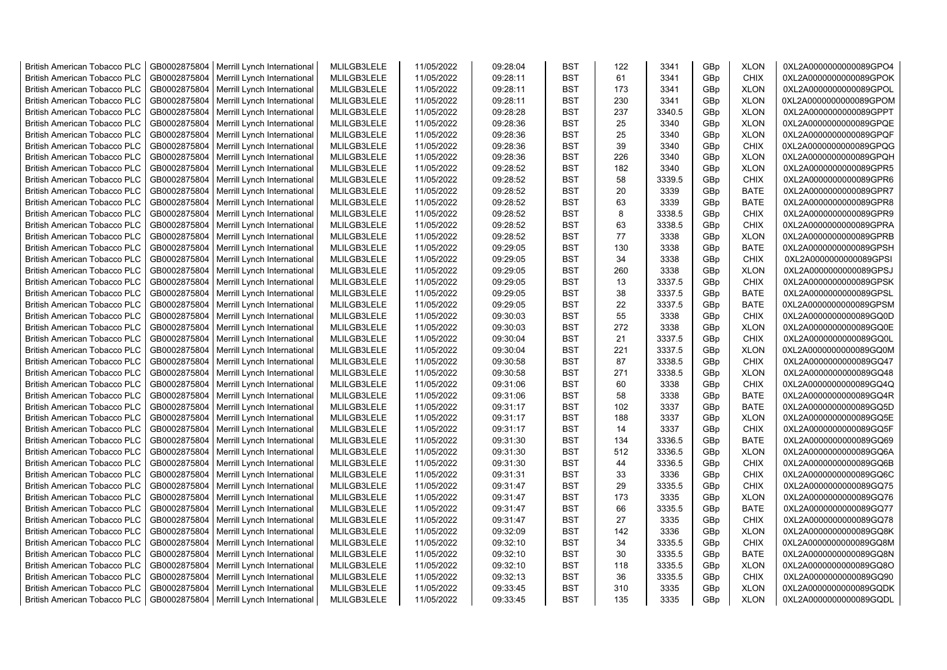| <b>British American Tobacco PLC</b> | GB0002875804 | Merrill Lynch International                | MLILGB3LELE | 11/05/2022 | 09:28:04 | <b>BST</b> | 122 | 3341   | GBp             | <b>XLON</b> | 0XL2A0000000000089GPO4 |
|-------------------------------------|--------------|--------------------------------------------|-------------|------------|----------|------------|-----|--------|-----------------|-------------|------------------------|
| <b>British American Tobacco PLC</b> | GB0002875804 | Merrill Lynch International                | MLILGB3LELE | 11/05/2022 | 09:28:11 | <b>BST</b> | 61  | 3341   | GBp             | <b>CHIX</b> | 0XL2A0000000000089GPOK |
| <b>British American Tobacco PLC</b> | GB0002875804 | Merrill Lynch International                | MLILGB3LELE | 11/05/2022 | 09:28:11 | <b>BST</b> | 173 | 3341   | GBp             | <b>XLON</b> | 0XL2A0000000000089GPOL |
| <b>British American Tobacco PLC</b> | GB0002875804 | Merrill Lynch International                | MLILGB3LELE | 11/05/2022 | 09:28:11 | <b>BST</b> | 230 | 3341   | GBp             | <b>XLON</b> | 0XL2A0000000000089GPOM |
| <b>British American Tobacco PLC</b> | GB0002875804 | Merrill Lynch International                | MLILGB3LELE | 11/05/2022 | 09:28:28 | <b>BST</b> | 237 | 3340.5 | GB <sub>p</sub> | <b>XLON</b> | 0XL2A0000000000089GPPT |
| <b>British American Tobacco PLC</b> | GB0002875804 | Merrill Lynch International                | MLILGB3LELE | 11/05/2022 | 09:28:36 | <b>BST</b> | 25  | 3340   | GBp             | <b>XLON</b> | 0XL2A0000000000089GPQE |
| <b>British American Tobacco PLC</b> | GB0002875804 | Merrill Lynch International                | MLILGB3LELE | 11/05/2022 | 09:28:36 | <b>BST</b> | 25  | 3340   | GBp             | <b>XLON</b> | 0XL2A0000000000089GPQF |
| <b>British American Tobacco PLC</b> | GB0002875804 | Merrill Lynch International                | MLILGB3LELE | 11/05/2022 | 09:28:36 | <b>BST</b> | 39  | 3340   | GBp             | <b>CHIX</b> | 0XL2A0000000000089GPQG |
| <b>British American Tobacco PLC</b> | GB0002875804 | Merrill Lynch International                | MLILGB3LELE | 11/05/2022 | 09:28:36 | <b>BST</b> | 226 | 3340   | GBp             | <b>XLON</b> | 0XL2A0000000000089GPQH |
| <b>British American Tobacco PLC</b> | GB0002875804 | Merrill Lynch International                | MLILGB3LELE | 11/05/2022 | 09:28:52 | <b>BST</b> | 182 | 3340   | GBp             | <b>XLON</b> | 0XL2A0000000000089GPR5 |
| <b>British American Tobacco PLC</b> | GB0002875804 | Merrill Lynch International                | MLILGB3LELE | 11/05/2022 | 09:28:52 | <b>BST</b> | 58  | 3339.5 | GBp             | <b>CHIX</b> | 0XL2A0000000000089GPR6 |
| <b>British American Tobacco PLC</b> | GB0002875804 | Merrill Lynch International                | MLILGB3LELE | 11/05/2022 | 09:28:52 | <b>BST</b> | 20  | 3339   | GBp             | <b>BATE</b> | 0XL2A0000000000089GPR7 |
| <b>British American Tobacco PLC</b> | GB0002875804 | Merrill Lynch International                | MLILGB3LELE | 11/05/2022 | 09:28:52 | <b>BST</b> | 63  | 3339   | GB <sub>p</sub> | <b>BATE</b> | 0XL2A0000000000089GPR8 |
| <b>British American Tobacco PLC</b> | GB0002875804 | Merrill Lynch International                | MLILGB3LELE | 11/05/2022 | 09:28:52 | <b>BST</b> | 8   | 3338.5 | GBp             | <b>CHIX</b> | 0XL2A0000000000089GPR9 |
| <b>British American Tobacco PLC</b> | GB0002875804 | Merrill Lynch International                | MLILGB3LELE | 11/05/2022 | 09:28:52 | <b>BST</b> | 63  | 3338.5 | GB <sub>p</sub> | <b>CHIX</b> | 0XL2A0000000000089GPRA |
| <b>British American Tobacco PLC</b> | GB0002875804 | Merrill Lynch International                | MLILGB3LELE | 11/05/2022 | 09:28:52 | <b>BST</b> | 77  | 3338   | GBp             | <b>XLON</b> | 0XL2A0000000000089GPRB |
| <b>British American Tobacco PLC</b> | GB0002875804 | Merrill Lynch International                | MLILGB3LELE | 11/05/2022 | 09:29:05 | <b>BST</b> | 130 | 3338   | GBp             | <b>BATE</b> | 0XL2A0000000000089GPSH |
| <b>British American Tobacco PLC</b> | GB0002875804 | Merrill Lynch International                | MLILGB3LELE | 11/05/2022 | 09:29:05 | <b>BST</b> | 34  | 3338   | GBp             | <b>CHIX</b> | 0XL2A0000000000089GPSI |
| <b>British American Tobacco PLC</b> | GB0002875804 | Merrill Lynch International                | MLILGB3LELE | 11/05/2022 | 09:29:05 | <b>BST</b> | 260 | 3338   | GBp             | <b>XLON</b> | 0XL2A0000000000089GPSJ |
| <b>British American Tobacco PLC</b> | GB0002875804 | Merrill Lynch International                | MLILGB3LELE | 11/05/2022 | 09:29:05 | <b>BST</b> | 13  | 3337.5 | GBp             | <b>CHIX</b> | 0XL2A0000000000089GPSK |
| <b>British American Tobacco PLC</b> | GB0002875804 | Merrill Lynch International                | MLILGB3LELE | 11/05/2022 | 09:29:05 | <b>BST</b> | 38  | 3337.5 | GBp             | <b>BATE</b> | 0XL2A0000000000089GPSL |
| <b>British American Tobacco PLC</b> | GB0002875804 | Merrill Lynch International                | MLILGB3LELE | 11/05/2022 | 09:29:05 | <b>BST</b> | 22  | 3337.5 | GBp             | <b>BATE</b> | 0XL2A0000000000089GPSM |
| <b>British American Tobacco PLC</b> | GB0002875804 | Merrill Lynch International                | MLILGB3LELE | 11/05/2022 | 09:30:03 | <b>BST</b> | 55  | 3338   | GBp             | <b>CHIX</b> | 0XL2A0000000000089GQ0D |
| <b>British American Tobacco PLC</b> | GB0002875804 | Merrill Lynch International                | MLILGB3LELE | 11/05/2022 | 09:30:03 | <b>BST</b> | 272 | 3338   | GBp             | <b>XLON</b> | 0XL2A0000000000089GQ0E |
| <b>British American Tobacco PLC</b> | GB0002875804 | Merrill Lynch International                | MLILGB3LELE | 11/05/2022 | 09:30:04 | <b>BST</b> | 21  | 3337.5 | GBp             | <b>CHIX</b> | 0XL2A0000000000089GQ0L |
| <b>British American Tobacco PLC</b> | GB0002875804 | Merrill Lynch International                | MLILGB3LELE | 11/05/2022 | 09:30:04 | <b>BST</b> | 221 | 3337.5 | GBp             | <b>XLON</b> | 0XL2A0000000000089GQ0M |
| <b>British American Tobacco PLC</b> | GB0002875804 | Merrill Lynch International                | MLILGB3LELE | 11/05/2022 | 09:30:58 | <b>BST</b> | 87  | 3338.5 | GBp             | <b>CHIX</b> | 0XL2A0000000000089GQ47 |
| <b>British American Tobacco PLC</b> | GB0002875804 | Merrill Lynch International                | MLILGB3LELE | 11/05/2022 | 09:30:58 | <b>BST</b> | 271 | 3338.5 | GBp             | <b>XLON</b> | 0XL2A0000000000089GQ48 |
| <b>British American Tobacco PLC</b> | GB0002875804 | Merrill Lynch International                | MLILGB3LELE | 11/05/2022 | 09:31:06 | <b>BST</b> | 60  | 3338   | GBp             | <b>CHIX</b> | 0XL2A0000000000089GQ4Q |
| <b>British American Tobacco PLC</b> | GB0002875804 | Merrill Lynch International                | MLILGB3LELE | 11/05/2022 | 09:31:06 | <b>BST</b> | 58  | 3338   | GB <sub>p</sub> | <b>BATE</b> | 0XL2A0000000000089GQ4R |
| <b>British American Tobacco PLC</b> | GB0002875804 | Merrill Lynch International                | MLILGB3LELE | 11/05/2022 | 09:31:17 | <b>BST</b> | 102 | 3337   | GB <sub>p</sub> | <b>BATE</b> | 0XL2A0000000000089GQ5D |
| <b>British American Tobacco PLC</b> | GB0002875804 | Merrill Lynch International                | MLILGB3LELE | 11/05/2022 | 09:31:17 | <b>BST</b> | 188 | 3337   | GBp             | <b>XLON</b> | 0XL2A0000000000089GQ5E |
| <b>British American Tobacco PLC</b> | GB0002875804 | Merrill Lynch International                | MLILGB3LELE | 11/05/2022 | 09:31:17 | <b>BST</b> | 14  | 3337   | GBp             | <b>CHIX</b> | 0XL2A0000000000089GQ5F |
| <b>British American Tobacco PLC</b> | GB0002875804 | Merrill Lynch International                | MLILGB3LELE | 11/05/2022 | 09:31:30 | <b>BST</b> | 134 | 3336.5 | GBp             | <b>BATE</b> | 0XL2A0000000000089GQ69 |
| <b>British American Tobacco PLC</b> | GB0002875804 | Merrill Lynch International                | MLILGB3LELE | 11/05/2022 | 09:31:30 | <b>BST</b> | 512 | 3336.5 | GBp             | <b>XLON</b> | 0XL2A0000000000089GQ6A |
| <b>British American Tobacco PLC</b> | GB0002875804 | Merrill Lynch International                | MLILGB3LELE | 11/05/2022 | 09:31:30 | <b>BST</b> | 44  | 3336.5 | GBp             | <b>CHIX</b> | 0XL2A0000000000089GQ6B |
| <b>British American Tobacco PLC</b> | GB0002875804 | Merrill Lynch International                | MLILGB3LELE | 11/05/2022 | 09:31:31 | <b>BST</b> | 33  | 3336   | GBp             | <b>CHIX</b> | 0XL2A0000000000089GQ6C |
| <b>British American Tobacco PLC</b> | GB0002875804 | Merrill Lynch International                | MLILGB3LELE | 11/05/2022 | 09:31:47 | <b>BST</b> | 29  | 3335.5 | GBp             | <b>CHIX</b> | 0XL2A0000000000089GQ75 |
| <b>British American Tobacco PLC</b> | GB0002875804 | Merrill Lynch International                | MLILGB3LELE | 11/05/2022 | 09:31:47 | <b>BST</b> | 173 | 3335   | GBp             | <b>XLON</b> | 0XL2A0000000000089GQ76 |
| <b>British American Tobacco PLC</b> | GB0002875804 | Merrill Lynch International                | MLILGB3LELE | 11/05/2022 | 09:31:47 | <b>BST</b> | 66  | 3335.5 | GBp             | <b>BATE</b> | 0XL2A0000000000089GQ77 |
| <b>British American Tobacco PLC</b> | GB0002875804 | Merrill Lynch International                | MLILGB3LELE | 11/05/2022 | 09:31:47 | <b>BST</b> | 27  | 3335   | GBp             | <b>CHIX</b> | 0XL2A0000000000089GQ78 |
| <b>British American Tobacco PLC</b> | GB0002875804 | Merrill Lynch International                | MLILGB3LELE | 11/05/2022 | 09:32:09 | <b>BST</b> | 142 | 3336   | GBp             | <b>XLON</b> | 0XL2A0000000000089GQ8K |
| <b>British American Tobacco PLC</b> | GB0002875804 | Merrill Lynch International                | MLILGB3LELE | 11/05/2022 | 09:32:10 | <b>BST</b> | 34  | 3335.5 | GBp             | <b>CHIX</b> | 0XL2A0000000000089GQ8M |
| <b>British American Tobacco PLC</b> | GB0002875804 | Merrill Lynch International                | MLILGB3LELE | 11/05/2022 | 09:32:10 | <b>BST</b> | 30  | 3335.5 | GBp             | <b>BATE</b> | 0XL2A0000000000089GQ8N |
| <b>British American Tobacco PLC</b> | GB0002875804 | Merrill Lynch International                | MLILGB3LELE | 11/05/2022 | 09:32:10 | <b>BST</b> | 118 | 3335.5 | GBp             | <b>XLON</b> | 0XL2A0000000000089GQ8O |
| <b>British American Tobacco PLC</b> | GB0002875804 | Merrill Lynch International                | MLILGB3LELE | 11/05/2022 | 09:32:13 | <b>BST</b> | 36  | 3335.5 | GBp             | <b>CHIX</b> | 0XL2A0000000000089GQ90 |
| <b>British American Tobacco PLC</b> | GB0002875804 | Merrill Lynch International                | MLILGB3LELE | 11/05/2022 | 09:33:45 | <b>BST</b> | 310 | 3335   | GB <sub>p</sub> | <b>XLON</b> | 0XL2A0000000000089GQDK |
| <b>British American Tobacco PLC</b> |              | GB0002875804   Merrill Lynch International | MLILGB3LELE | 11/05/2022 | 09:33:45 | <b>BST</b> | 135 | 3335   | GBp             | <b>XLON</b> | 0XL2A0000000000089GQDL |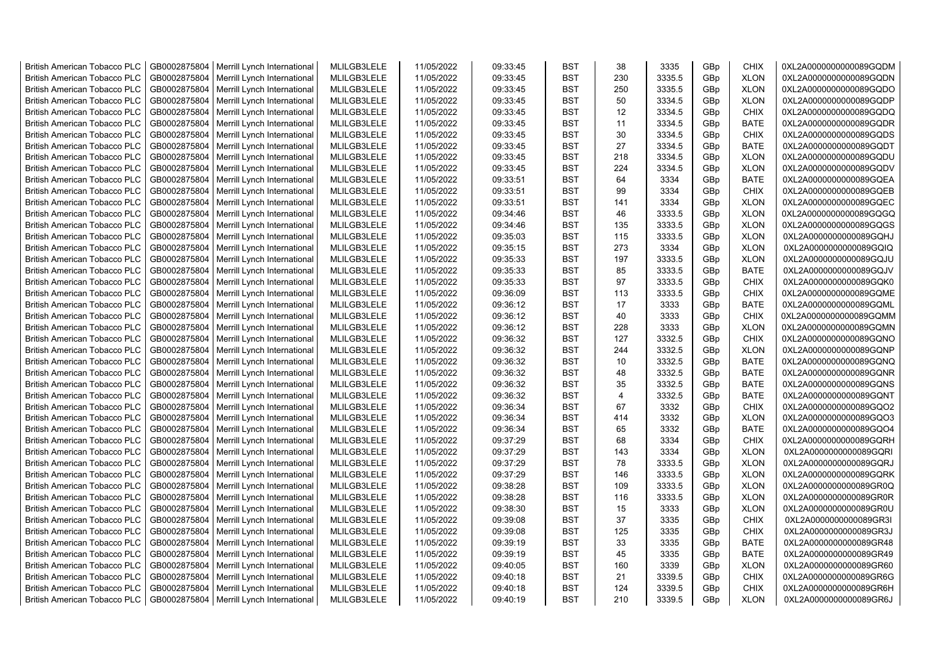| <b>British American Tobacco PLC</b> | GB0002875804 | Merrill Lynch International | MLILGB3LELE | 11/05/2022 | 09:33:45 | <b>BST</b> | 38  | 3335   | GBp             | <b>CHIX</b> | 0XL2A0000000000089GQDM |
|-------------------------------------|--------------|-----------------------------|-------------|------------|----------|------------|-----|--------|-----------------|-------------|------------------------|
| <b>British American Tobacco PLC</b> | GB0002875804 | Merrill Lynch International | MLILGB3LELE | 11/05/2022 | 09:33:45 | <b>BST</b> | 230 | 3335.5 | GBp             | <b>XLON</b> | 0XL2A0000000000089GQDN |
| <b>British American Tobacco PLC</b> | GB0002875804 | Merrill Lynch International | MLILGB3LELE | 11/05/2022 | 09:33:45 | <b>BST</b> | 250 | 3335.5 | GBp             | <b>XLON</b> | 0XL2A0000000000089GQDO |
| <b>British American Tobacco PLC</b> | GB0002875804 | Merrill Lynch International | MLILGB3LELE | 11/05/2022 | 09:33:45 | <b>BST</b> | 50  | 3334.5 | GBp             | <b>XLON</b> | 0XL2A0000000000089GQDP |
| <b>British American Tobacco PLC</b> | GB0002875804 | Merrill Lynch International | MLILGB3LELE | 11/05/2022 | 09:33:45 | <b>BST</b> | 12  | 3334.5 | GBp             | <b>CHIX</b> | 0XL2A0000000000089GQDQ |
| <b>British American Tobacco PLC</b> | GB0002875804 | Merrill Lynch International | MLILGB3LELE | 11/05/2022 | 09:33:45 | <b>BST</b> | 11  | 3334.5 | GBp             | <b>BATE</b> | 0XL2A0000000000089GQDR |
| <b>British American Tobacco PLC</b> | GB0002875804 | Merrill Lynch International | MLILGB3LELE | 11/05/2022 | 09:33:45 | <b>BST</b> | 30  | 3334.5 | GBp             | <b>CHIX</b> | 0XL2A0000000000089GQDS |
| <b>British American Tobacco PLC</b> | GB0002875804 | Merrill Lynch International | MLILGB3LELE | 11/05/2022 | 09:33:45 | <b>BST</b> | 27  | 3334.5 | GBp             | <b>BATE</b> | 0XL2A0000000000089GQDT |
| <b>British American Tobacco PLC</b> | GB0002875804 | Merrill Lynch International | MLILGB3LELE | 11/05/2022 | 09:33:45 | <b>BST</b> | 218 | 3334.5 | GBp             | <b>XLON</b> | 0XL2A0000000000089GQDU |
| <b>British American Tobacco PLC</b> | GB0002875804 | Merrill Lynch International | MLILGB3LELE | 11/05/2022 | 09:33:45 | <b>BST</b> | 224 | 3334.5 | GBp             | <b>XLON</b> | 0XL2A0000000000089GQDV |
| <b>British American Tobacco PLC</b> | GB0002875804 | Merrill Lynch International | MLILGB3LELE | 11/05/2022 | 09:33:51 | <b>BST</b> | 64  | 3334   | GBp             | <b>BATE</b> | 0XL2A0000000000089GQEA |
| <b>British American Tobacco PLC</b> | GB0002875804 | Merrill Lynch International | MLILGB3LELE | 11/05/2022 | 09:33:51 | <b>BST</b> | 99  | 3334   | GBp             | CHIX        | 0XL2A0000000000089GQEB |
| <b>British American Tobacco PLC</b> | GB0002875804 | Merrill Lynch International | MLILGB3LELE | 11/05/2022 | 09:33:51 | BST        | 141 | 3334   | GBp             | <b>XLON</b> | 0XL2A0000000000089GQEC |
| <b>British American Tobacco PLC</b> | GB0002875804 | Merrill Lynch International | MLILGB3LELE | 11/05/2022 | 09:34:46 | <b>BST</b> | 46  | 3333.5 | GBp             | <b>XLON</b> | 0XL2A0000000000089GQGQ |
| <b>British American Tobacco PLC</b> | GB0002875804 | Merrill Lynch International | MLILGB3LELE | 11/05/2022 | 09:34:46 | <b>BST</b> | 135 | 3333.5 | GBp             | <b>XLON</b> | 0XL2A0000000000089GQGS |
| <b>British American Tobacco PLC</b> | GB0002875804 | Merrill Lynch International | MLILGB3LELE | 11/05/2022 | 09:35:03 | <b>BST</b> | 115 | 3333.5 | GBp             | <b>XLON</b> | 0XL2A0000000000089GQHJ |
| British American Tobacco PLC        | GB0002875804 | Merrill Lynch International | MLILGB3LELE | 11/05/2022 | 09:35:15 | <b>BST</b> | 273 | 3334   | GBp             | <b>XLON</b> | 0XL2A0000000000089GQIQ |
| <b>British American Tobacco PLC</b> | GB0002875804 | Merrill Lynch International | MLILGB3LELE | 11/05/2022 | 09:35:33 | <b>BST</b> | 197 | 3333.5 | GBp             | <b>XLON</b> | 0XL2A0000000000089GQJU |
| <b>British American Tobacco PLC</b> | GB0002875804 | Merrill Lynch International | MLILGB3LELE | 11/05/2022 | 09:35:33 | <b>BST</b> | 85  | 3333.5 | GBp             | <b>BATE</b> | 0XL2A0000000000089GQJV |
| <b>British American Tobacco PLC</b> | GB0002875804 | Merrill Lynch International | MLILGB3LELE | 11/05/2022 | 09:35:33 | <b>BST</b> | 97  | 3333.5 | GBp             | <b>CHIX</b> | 0XL2A0000000000089GQK0 |
| <b>British American Tobacco PLC</b> | GB0002875804 | Merrill Lynch International | MLILGB3LELE | 11/05/2022 | 09:36:09 | <b>BST</b> | 113 | 3333.5 | GBp             | <b>CHIX</b> | 0XL2A0000000000089GQME |
| <b>British American Tobacco PLC</b> | GB0002875804 | Merrill Lynch International | MLILGB3LELE | 11/05/2022 | 09:36:12 | <b>BST</b> | 17  | 3333   | GBp             | <b>BATE</b> | 0XL2A0000000000089GQML |
| British American Tobacco PLC        | GB0002875804 | Merrill Lynch International | MLILGB3LELE | 11/05/2022 | 09:36:12 | <b>BST</b> | 40  | 3333   | GBp             | <b>CHIX</b> | 0XL2A0000000000089GQMM |
| <b>British American Tobacco PLC</b> | GB0002875804 | Merrill Lynch International | MLILGB3LELE | 11/05/2022 | 09:36:12 | <b>BST</b> | 228 | 3333   | GBp             | <b>XLON</b> | 0XL2A0000000000089GQMN |
| <b>British American Tobacco PLC</b> | GB0002875804 | Merrill Lynch International | MLILGB3LELE | 11/05/2022 | 09:36:32 | <b>BST</b> | 127 | 3332.5 | GBp             | <b>CHIX</b> | 0XL2A0000000000089GQNO |
| <b>British American Tobacco PLC</b> | GB0002875804 | Merrill Lynch International | MLILGB3LELE | 11/05/2022 | 09:36:32 | <b>BST</b> | 244 | 3332.5 | GBp             | <b>XLON</b> | 0XL2A0000000000089GQNP |
| <b>British American Tobacco PLC</b> | GB0002875804 | Merrill Lynch International | MLILGB3LELE | 11/05/2022 | 09:36:32 | <b>BST</b> | 10  | 3332.5 | GBp             | <b>BATE</b> | 0XL2A0000000000089GQNQ |
| <b>British American Tobacco PLC</b> | GB0002875804 | Merrill Lynch International | MLILGB3LELE | 11/05/2022 | 09:36:32 | <b>BST</b> | 48  | 3332.5 | GBp             | <b>BATE</b> | 0XL2A0000000000089GQNR |
| <b>British American Tobacco PLC</b> | GB0002875804 | Merrill Lynch International | MLILGB3LELE | 11/05/2022 | 09:36:32 | <b>BST</b> | 35  | 3332.5 | GBp             | <b>BATE</b> | 0XL2A0000000000089GQNS |
| <b>British American Tobacco PLC</b> | GB0002875804 | Merrill Lynch International | MLILGB3LELE | 11/05/2022 | 09:36:32 | <b>BST</b> | 4   | 3332.5 | GBp             | <b>BATE</b> | 0XL2A0000000000089GQNT |
| <b>British American Tobacco PLC</b> | GB0002875804 | Merrill Lynch International | MLILGB3LELE | 11/05/2022 | 09:36:34 | <b>BST</b> | 67  | 3332   | GBp             | <b>CHIX</b> | 0XL2A0000000000089GQO2 |
| <b>British American Tobacco PLC</b> | GB0002875804 | Merrill Lynch International | MLILGB3LELE | 11/05/2022 | 09:36:34 | <b>BST</b> | 414 | 3332   | GBp             | <b>XLON</b> | 0XL2A0000000000089GQO3 |
| <b>British American Tobacco PLC</b> | GB0002875804 | Merrill Lynch International | MLILGB3LELE | 11/05/2022 | 09:36:34 | <b>BST</b> | 65  | 3332   | GBp             | <b>BATE</b> | 0XL2A0000000000089GQO4 |
| <b>British American Tobacco PLC</b> | GB0002875804 | Merrill Lynch International | MLILGB3LELE | 11/05/2022 | 09:37:29 | BST        | 68  | 3334   | GBp             | <b>CHIX</b> | 0XL2A0000000000089GQRH |
| <b>British American Tobacco PLC</b> | GB0002875804 | Merrill Lynch International | MLILGB3LELE | 11/05/2022 | 09:37:29 | <b>BST</b> | 143 | 3334   | GBp             | <b>XLON</b> | 0XL2A0000000000089GQRI |
| British American Tobacco PLC        | GB0002875804 | Merrill Lynch International | MLILGB3LELE | 11/05/2022 | 09:37:29 | <b>BST</b> | 78  | 3333.5 | GBp             | <b>XLON</b> | 0XL2A0000000000089GQRJ |
| <b>British American Tobacco PLC</b> | GB0002875804 | Merrill Lynch International | MLILGB3LELE | 11/05/2022 | 09:37:29 | <b>BST</b> | 146 | 3333.5 | GBp             | <b>XLON</b> | 0XL2A0000000000089GQRK |
| British American Tobacco PLC        | GB0002875804 | Merrill Lynch International | MLILGB3LELE | 11/05/2022 | 09:38:28 | <b>BST</b> | 109 | 3333.5 | GBp             | <b>XLON</b> | 0XL2A0000000000089GR0Q |
| <b>British American Tobacco PLC</b> | GB0002875804 | Merrill Lynch International | MLILGB3LELE | 11/05/2022 | 09:38:28 | <b>BST</b> | 116 | 3333.5 | GBp             | <b>XLON</b> | 0XL2A0000000000089GR0R |
| British American Tobacco PLC        | GB0002875804 | Merrill Lynch International | MLILGB3LELE | 11/05/2022 | 09:38:30 | <b>BST</b> | 15  | 3333   | GB <sub>p</sub> | <b>XLON</b> | 0XL2A0000000000089GR0U |
| <b>British American Tobacco PLC</b> | GB0002875804 | Merrill Lynch International | MLILGB3LELE | 11/05/2022 | 09:39:08 | <b>BST</b> | 37  | 3335   | GBp             | <b>CHIX</b> | 0XL2A0000000000089GR3I |
| <b>British American Tobacco PLC</b> | GB0002875804 | Merrill Lynch International | MLILGB3LELE | 11/05/2022 | 09:39:08 | <b>BST</b> | 125 | 3335   | GBp             | <b>CHIX</b> | 0XL2A0000000000089GR3J |
| <b>British American Tobacco PLC</b> | GB0002875804 | Merrill Lynch International | MLILGB3LELE | 11/05/2022 | 09:39:19 | <b>BST</b> | 33  | 3335   | GBp             | <b>BATE</b> | 0XL2A0000000000089GR48 |
| <b>British American Tobacco PLC</b> | GB0002875804 | Merrill Lynch International | MLILGB3LELE | 11/05/2022 | 09:39:19 | <b>BST</b> | 45  | 3335   | GBp             | <b>BATE</b> | 0XL2A0000000000089GR49 |
| <b>British American Tobacco PLC</b> | GB0002875804 | Merrill Lynch International | MLILGB3LELE | 11/05/2022 | 09:40:05 | <b>BST</b> | 160 | 3339   | GBp             | <b>XLON</b> | 0XL2A0000000000089GR60 |
| <b>British American Tobacco PLC</b> | GB0002875804 | Merrill Lynch International | MLILGB3LELE | 11/05/2022 | 09:40:18 | <b>BST</b> | 21  | 3339.5 | GBp             | <b>CHIX</b> | 0XL2A0000000000089GR6G |
| <b>British American Tobacco PLC</b> | GB0002875804 | Merrill Lynch International | MLILGB3LELE | 11/05/2022 | 09:40:18 | <b>BST</b> | 124 | 3339.5 | GBp             | <b>CHIX</b> | 0XL2A0000000000089GR6H |
| <b>British American Tobacco PLC</b> | GB0002875804 | Merrill Lynch International | MLILGB3LELE | 11/05/2022 | 09:40:19 | <b>BST</b> | 210 | 3339.5 | GB <sub>p</sub> | <b>XLON</b> | 0XL2A0000000000089GR6J |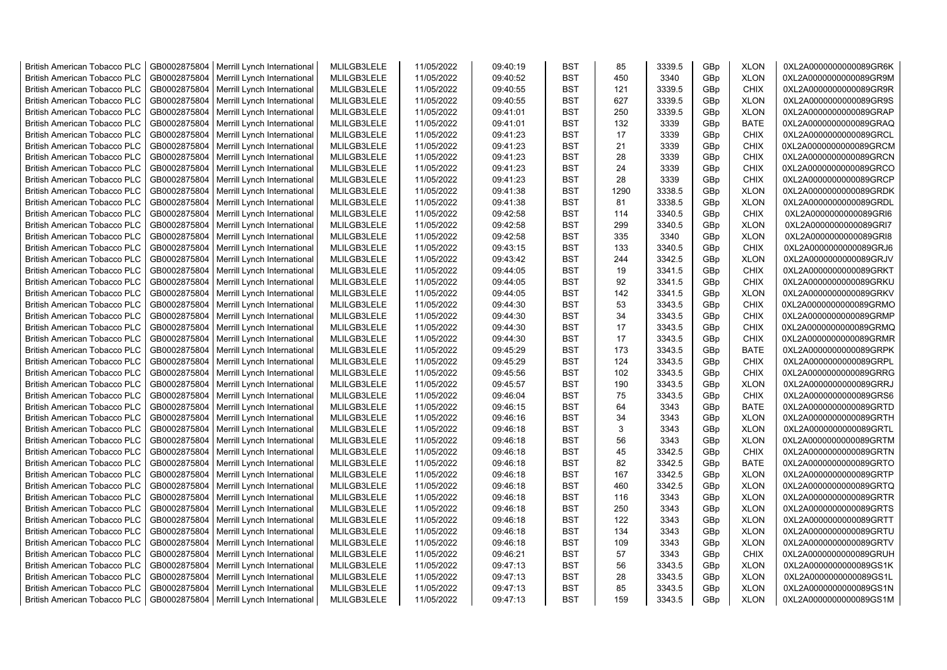| <b>British American Tobacco PLC</b> | GB0002875804 | Merrill Lynch International | MLILGB3LELE | 11/05/2022 | 09:40:19 | <b>BST</b> | 85   | 3339.5 | GBp             | <b>XLON</b> | 0XL2A0000000000089GR6K |
|-------------------------------------|--------------|-----------------------------|-------------|------------|----------|------------|------|--------|-----------------|-------------|------------------------|
| <b>British American Tobacco PLC</b> | GB0002875804 | Merrill Lynch International | MLILGB3LELE | 11/05/2022 | 09:40:52 | <b>BST</b> | 450  | 3340   | GBp             | <b>XLON</b> | 0XL2A0000000000089GR9M |
| <b>British American Tobacco PLC</b> | GB0002875804 | Merrill Lynch International | MLILGB3LELE | 11/05/2022 | 09:40:55 | <b>BST</b> | 121  | 3339.5 | GBp             | <b>CHIX</b> | 0XL2A0000000000089GR9R |
| <b>British American Tobacco PLC</b> | GB0002875804 | Merrill Lynch International | MLILGB3LELE | 11/05/2022 | 09:40:55 | <b>BST</b> | 627  | 3339.5 | GBp             | <b>XLON</b> | 0XL2A0000000000089GR9S |
| <b>British American Tobacco PLC</b> | GB0002875804 | Merrill Lynch International | MLILGB3LELE | 11/05/2022 | 09:41:01 | <b>BST</b> | 250  | 3339.5 | GBp             | <b>XLON</b> | 0XL2A0000000000089GRAP |
| <b>British American Tobacco PLC</b> | GB0002875804 | Merrill Lynch International | MLILGB3LELE | 11/05/2022 | 09:41:01 | <b>BST</b> | 132  | 3339   | GBp             | <b>BATE</b> | 0XL2A0000000000089GRAQ |
| British American Tobacco PLC        | GB0002875804 | Merrill Lynch International | MLILGB3LELE | 11/05/2022 | 09:41:23 | <b>BST</b> | 17   | 3339   | GBp             | <b>CHIX</b> | 0XL2A0000000000089GRCL |
| <b>British American Tobacco PLC</b> | GB0002875804 | Merrill Lynch International | MLILGB3LELE | 11/05/2022 | 09:41:23 | <b>BST</b> | 21   | 3339   | GBp             | <b>CHIX</b> | 0XL2A0000000000089GRCM |
| <b>British American Tobacco PLC</b> | GB0002875804 | Merrill Lynch International | MLILGB3LELE | 11/05/2022 | 09:41:23 | <b>BST</b> | 28   | 3339   | GBp             | <b>CHIX</b> | 0XL2A0000000000089GRCN |
| <b>British American Tobacco PLC</b> | GB0002875804 | Merrill Lynch International | MLILGB3LELE | 11/05/2022 | 09:41:23 | <b>BST</b> | 24   | 3339   | GBp             | <b>CHIX</b> | 0XL2A0000000000089GRCO |
| <b>British American Tobacco PLC</b> | GB0002875804 | Merrill Lynch International | MLILGB3LELE | 11/05/2022 | 09:41:23 | <b>BST</b> | 28   | 3339   | GBp             | <b>CHIX</b> | 0XL2A0000000000089GRCP |
| <b>British American Tobacco PLC</b> | GB0002875804 | Merrill Lynch International | MLILGB3LELE | 11/05/2022 | 09:41:38 | <b>BST</b> | 1290 | 3338.5 | GBp             | <b>XLON</b> | 0XL2A0000000000089GRDK |
| <b>British American Tobacco PLC</b> | GB0002875804 | Merrill Lynch International | MLILGB3LELE | 11/05/2022 | 09:41:38 | <b>BST</b> | 81   | 3338.5 | GBp             | <b>XLON</b> | 0XL2A0000000000089GRDL |
| <b>British American Tobacco PLC</b> | GB0002875804 | Merrill Lynch International | MLILGB3LELE | 11/05/2022 | 09:42:58 | <b>BST</b> | 114  | 3340.5 | GBp             | <b>CHIX</b> | 0XL2A0000000000089GRI6 |
| <b>British American Tobacco PLC</b> | GB0002875804 | Merrill Lynch International | MLILGB3LELE | 11/05/2022 | 09:42:58 | <b>BST</b> | 299  | 3340.5 | GBp             | <b>XLON</b> | 0XL2A0000000000089GRI7 |
| British American Tobacco PLC        | GB0002875804 | Merrill Lynch International | MLILGB3LELE | 11/05/2022 | 09:42:58 | <b>BST</b> | 335  | 3340   | GBp             | <b>XLON</b> | 0XL2A0000000000089GRI8 |
| British American Tobacco PLC        | GB0002875804 | Merrill Lynch International | MLILGB3LELE | 11/05/2022 | 09:43:15 | <b>BST</b> | 133  | 3340.5 | GBp             | <b>CHIX</b> | 0XL2A0000000000089GRJ6 |
| <b>British American Tobacco PLC</b> | GB0002875804 | Merrill Lynch International | MLILGB3LELE | 11/05/2022 | 09:43:42 | <b>BST</b> | 244  | 3342.5 | GBp             | <b>XLON</b> | 0XL2A0000000000089GRJV |
| <b>British American Tobacco PLC</b> | GB0002875804 | Merrill Lynch International | MLILGB3LELE | 11/05/2022 | 09:44:05 | <b>BST</b> | 19   | 3341.5 | GBp             | <b>CHIX</b> | 0XL2A0000000000089GRKT |
| <b>British American Tobacco PLC</b> | GB0002875804 | Merrill Lynch International | MLILGB3LELE | 11/05/2022 | 09:44:05 | <b>BST</b> | 92   | 3341.5 | GBp             | <b>CHIX</b> | 0XL2A0000000000089GRKU |
| <b>British American Tobacco PLC</b> | GB0002875804 | Merrill Lynch International | MLILGB3LELE | 11/05/2022 | 09:44:05 | <b>BST</b> | 142  | 3341.5 | GBp             | <b>XLON</b> | 0XL2A0000000000089GRKV |
| <b>British American Tobacco PLC</b> | GB0002875804 | Merrill Lynch International | MLILGB3LELE | 11/05/2022 | 09:44:30 | <b>BST</b> | 53   | 3343.5 | GB <sub>p</sub> | <b>CHIX</b> | 0XL2A0000000000089GRMO |
| British American Tobacco PLC        | GB0002875804 | Merrill Lynch International | MLILGB3LELE | 11/05/2022 | 09:44:30 | <b>BST</b> | 34   | 3343.5 | GBp             | <b>CHIX</b> | 0XL2A0000000000089GRMP |
| <b>British American Tobacco PLC</b> | GB0002875804 | Merrill Lynch International | MLILGB3LELE | 11/05/2022 | 09:44:30 | <b>BST</b> | 17   | 3343.5 | GBp             | <b>CHIX</b> | 0XL2A0000000000089GRMQ |
| <b>British American Tobacco PLC</b> | GB0002875804 | Merrill Lynch International | MLILGB3LELE | 11/05/2022 | 09:44:30 | <b>BST</b> | 17   | 3343.5 | GBp             | <b>CHIX</b> | 0XL2A0000000000089GRMR |
| <b>British American Tobacco PLC</b> | GB0002875804 | Merrill Lynch International | MLILGB3LELE | 11/05/2022 | 09:45:29 | <b>BST</b> | 173  | 3343.5 | GBp             | <b>BATE</b> | 0XL2A0000000000089GRPK |
| <b>British American Tobacco PLC</b> | GB0002875804 | Merrill Lynch International | MLILGB3LELE | 11/05/2022 | 09:45:29 | <b>BST</b> | 124  | 3343.5 | GBp             | <b>CHIX</b> | 0XL2A0000000000089GRPL |
| <b>British American Tobacco PLC</b> | GB0002875804 | Merrill Lynch International | MLILGB3LELE | 11/05/2022 | 09:45:56 | <b>BST</b> | 102  | 3343.5 | GBp             | <b>CHIX</b> | 0XL2A0000000000089GRRG |
| <b>British American Tobacco PLC</b> | GB0002875804 | Merrill Lynch International | MLILGB3LELE | 11/05/2022 | 09:45:57 | <b>BST</b> | 190  | 3343.5 | GBp             | <b>XLON</b> | 0XL2A0000000000089GRRJ |
| <b>British American Tobacco PLC</b> | GB0002875804 | Merrill Lynch International | MLILGB3LELE | 11/05/2022 | 09:46:04 | <b>BST</b> | 75   | 3343.5 | GBp             | <b>CHIX</b> | 0XL2A0000000000089GRS6 |
| <b>British American Tobacco PLC</b> | GB0002875804 | Merrill Lynch International | MLILGB3LELE | 11/05/2022 | 09:46:15 | <b>BST</b> | 64   | 3343   | GBp             | <b>BATE</b> | 0XL2A0000000000089GRTD |
| <b>British American Tobacco PLC</b> | GB0002875804 | Merrill Lynch International | MLILGB3LELE | 11/05/2022 | 09:46:16 | <b>BST</b> | 34   | 3343   | GBp             | <b>XLON</b> | 0XL2A0000000000089GRTH |
| <b>British American Tobacco PLC</b> | GB0002875804 | Merrill Lynch International | MLILGB3LELE | 11/05/2022 | 09:46:18 | <b>BST</b> | 3    | 3343   | GBp             | <b>XLON</b> | 0XL2A0000000000089GRTL |
| <b>British American Tobacco PLC</b> | GB0002875804 | Merrill Lynch International | MLILGB3LELE | 11/05/2022 | 09:46:18 | <b>BST</b> | 56   | 3343   | GBp             | <b>XLON</b> | 0XL2A0000000000089GRTM |
| <b>British American Tobacco PLC</b> | GB0002875804 | Merrill Lynch International | MLILGB3LELE | 11/05/2022 | 09:46:18 | <b>BST</b> | 45   | 3342.5 | GBp             | <b>CHIX</b> | 0XL2A0000000000089GRTN |
| British American Tobacco PLC        | GB0002875804 | Merrill Lynch International | MLILGB3LELE | 11/05/2022 | 09:46:18 | <b>BST</b> | 82   | 3342.5 | GBp             | <b>BATE</b> | 0XL2A0000000000089GRTO |
| <b>British American Tobacco PLC</b> | GB0002875804 | Merrill Lynch International | MLILGB3LELE | 11/05/2022 | 09:46:18 | <b>BST</b> | 167  | 3342.5 | GBp             | <b>XLON</b> | 0XL2A0000000000089GRTP |
| <b>British American Tobacco PLC</b> | GB0002875804 | Merrill Lynch International | MLILGB3LELE | 11/05/2022 | 09:46:18 | <b>BST</b> | 460  | 3342.5 | GBp             | <b>XLON</b> | 0XL2A0000000000089GRTQ |
| <b>British American Tobacco PLC</b> | GB0002875804 | Merrill Lynch International | MLILGB3LELE | 11/05/2022 | 09:46:18 | <b>BST</b> | 116  | 3343   | GB <sub>p</sub> | <b>XLON</b> | 0XL2A0000000000089GRTR |
| <b>British American Tobacco PLC</b> | GB0002875804 | Merrill Lynch International | MLILGB3LELE | 11/05/2022 | 09:46:18 | <b>BST</b> | 250  | 3343   | GBp             | <b>XLON</b> | 0XL2A0000000000089GRTS |
| <b>British American Tobacco PLC</b> | GB0002875804 | Merrill Lynch International | MLILGB3LELE | 11/05/2022 | 09:46:18 | <b>BST</b> | 122  | 3343   | GBp             | <b>XLON</b> | 0XL2A0000000000089GRTT |
| <b>British American Tobacco PLC</b> | GB0002875804 | Merrill Lynch International | MLILGB3LELE | 11/05/2022 | 09:46:18 | <b>BST</b> | 134  | 3343   | GBp             | <b>XLON</b> | 0XL2A0000000000089GRTU |
| <b>British American Tobacco PLC</b> | GB0002875804 | Merrill Lynch International | MLILGB3LELE | 11/05/2022 | 09:46:18 | <b>BST</b> | 109  | 3343   | GBp             | <b>XLON</b> | 0XL2A0000000000089GRTV |
| <b>British American Tobacco PLC</b> | GB0002875804 | Merrill Lynch International | MLILGB3LELE | 11/05/2022 | 09:46:21 | <b>BST</b> | 57   | 3343   | GBp             | <b>CHIX</b> | 0XL2A0000000000089GRUH |
| <b>British American Tobacco PLC</b> | GB0002875804 | Merrill Lynch International | MLILGB3LELE | 11/05/2022 | 09:47:13 | <b>BST</b> | 56   | 3343.5 | GBp             | <b>XLON</b> | 0XL2A0000000000089GS1K |
| <b>British American Tobacco PLC</b> | GB0002875804 | Merrill Lynch International | MLILGB3LELE | 11/05/2022 | 09:47:13 | <b>BST</b> | 28   | 3343.5 | GBp             | <b>XLON</b> | 0XL2A0000000000089GS1L |
| <b>British American Tobacco PLC</b> | GB0002875804 | Merrill Lynch International | MLILGB3LELE | 11/05/2022 | 09:47:13 | <b>BST</b> | 85   | 3343.5 | GBp             | <b>XLON</b> | 0XL2A0000000000089GS1N |
| <b>British American Tobacco PLC</b> | GB0002875804 | Merrill Lynch International | MLILGB3LELE | 11/05/2022 | 09:47:13 | <b>BST</b> | 159  | 3343.5 | GB <sub>p</sub> | <b>XLON</b> | 0XL2A0000000000089GS1M |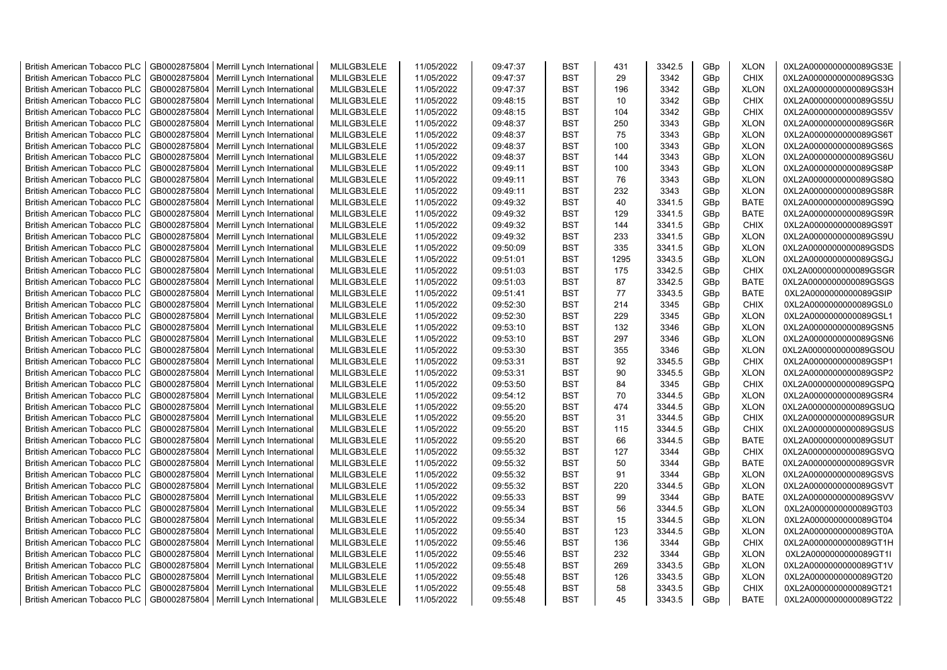| <b>British American Tobacco PLC</b>                                        | GB0002875804 | Merrill Lynch International | MLILGB3LELE                | 11/05/2022 | 09:47:37             | <b>BST</b>               | 431        | 3342.5       | GBp             | <b>XLON</b> | 0XL2A0000000000089GS3E                           |
|----------------------------------------------------------------------------|--------------|-----------------------------|----------------------------|------------|----------------------|--------------------------|------------|--------------|-----------------|-------------|--------------------------------------------------|
| <b>British American Tobacco PLC</b>                                        | GB0002875804 | Merrill Lynch International | MLILGB3LELE                | 11/05/2022 | 09:47:37             | <b>BST</b>               | 29         | 3342         | GBp             | <b>CHIX</b> | 0XL2A0000000000089GS3G                           |
| <b>British American Tobacco PLC</b>                                        | GB0002875804 | Merrill Lynch International | MLILGB3LELE                | 11/05/2022 | 09:47:37             | <b>BST</b>               | 196        | 3342         | GBp             | <b>XLON</b> | 0XL2A0000000000089GS3H                           |
| <b>British American Tobacco PLC</b>                                        | GB0002875804 | Merrill Lynch International | MLILGB3LELE                | 11/05/2022 | 09:48:15             | <b>BST</b>               | 10         | 3342         | GBp             | <b>CHIX</b> | 0XL2A0000000000089GS5U                           |
| <b>British American Tobacco PLC</b>                                        | GB0002875804 | Merrill Lynch International | MLILGB3LELE                | 11/05/2022 | 09:48:15             | <b>BST</b>               | 104        | 3342         | GBp             | <b>CHIX</b> | 0XL2A0000000000089GS5V                           |
| <b>British American Tobacco PLC</b>                                        | GB0002875804 | Merrill Lynch International | MLILGB3LELE                | 11/05/2022 | 09:48:37             | <b>BST</b>               | 250        | 3343         | GBp             | <b>XLON</b> | 0XL2A0000000000089GS6R                           |
| British American Tobacco PLC                                               | GB0002875804 | Merrill Lynch International | MLILGB3LELE                | 11/05/2022 | 09:48:37             | <b>BST</b>               | 75         | 3343         | GBp             | <b>XLON</b> | 0XL2A0000000000089GS6T                           |
| <b>British American Tobacco PLC</b>                                        | GB0002875804 | Merrill Lynch International | MLILGB3LELE                | 11/05/2022 | 09:48:37             | <b>BST</b>               | 100        | 3343         | GBp             | <b>XLON</b> | 0XL2A0000000000089GS6S                           |
| <b>British American Tobacco PLC</b>                                        | GB0002875804 | Merrill Lynch International | MLILGB3LELE                | 11/05/2022 | 09:48:37             | <b>BST</b>               | 144        | 3343         | GBp             | <b>XLON</b> | 0XL2A0000000000089GS6U                           |
| <b>British American Tobacco PLC</b>                                        | GB0002875804 | Merrill Lynch International | MLILGB3LELE                | 11/05/2022 | 09:49:11             | <b>BST</b>               | 100        | 3343         | GBp             | <b>XLON</b> | 0XL2A0000000000089GS8P                           |
| <b>British American Tobacco PLC</b>                                        | GB0002875804 | Merrill Lynch International | MLILGB3LELE                | 11/05/2022 | 09:49:11             | <b>BST</b>               | 76         | 3343         | GBp             | <b>XLON</b> | 0XL2A0000000000089GS8Q                           |
| <b>British American Tobacco PLC</b>                                        | GB0002875804 | Merrill Lynch International | MLILGB3LELE                | 11/05/2022 | 09:49:11             | <b>BST</b>               | 232        | 3343         | GBp             | <b>XLON</b> | 0XL2A0000000000089GS8R                           |
| <b>British American Tobacco PLC</b>                                        | GB0002875804 | Merrill Lynch International | MLILGB3LELE                | 11/05/2022 | 09:49:32             | <b>BST</b>               | 40         | 3341.5       | GBp             | <b>BATE</b> | 0XL2A0000000000089GS9Q                           |
| <b>British American Tobacco PLC</b>                                        | GB0002875804 | Merrill Lynch International | MLILGB3LELE                | 11/05/2022 | 09:49:32             | <b>BST</b>               | 129        | 3341.5       | GBp             | <b>BATE</b> | 0XL2A0000000000089GS9R                           |
| <b>British American Tobacco PLC</b>                                        | GB0002875804 | Merrill Lynch International | MLILGB3LELE                | 11/05/2022 | 09:49:32             | <b>BST</b>               | 144        | 3341.5       | GBp             | <b>CHIX</b> | 0XL2A0000000000089GS9T                           |
| British American Tobacco PLC                                               | GB0002875804 | Merrill Lynch International | MLILGB3LELE                | 11/05/2022 | 09:49:32             | <b>BST</b>               | 233        | 3341.5       | GBp             | <b>XLON</b> | 0XL2A0000000000089GS9U                           |
| British American Tobacco PLC                                               | GB0002875804 | Merrill Lynch International | MLILGB3LELE                | 11/05/2022 | 09:50:09             | <b>BST</b>               | 335        | 3341.5       | GBp             | <b>XLON</b> | 0XL2A0000000000089GSDS                           |
| <b>British American Tobacco PLC</b>                                        | GB0002875804 | Merrill Lynch International | MLILGB3LELE                | 11/05/2022 | 09:51:01             | <b>BST</b>               | 1295       | 3343.5       | GBp             | <b>XLON</b> | 0XL2A0000000000089GSGJ                           |
| <b>British American Tobacco PLC</b>                                        | GB0002875804 | Merrill Lynch International | MLILGB3LELE                | 11/05/2022 | 09:51:03             | <b>BST</b>               | 175        | 3342.5       | GBp             | <b>CHIX</b> | 0XL2A0000000000089GSGR                           |
| <b>British American Tobacco PLC</b>                                        | GB0002875804 | Merrill Lynch International | MLILGB3LELE                | 11/05/2022 | 09:51:03             | <b>BST</b>               | 87         | 3342.5       | GBp             | <b>BATE</b> | 0XL2A0000000000089GSGS                           |
| <b>British American Tobacco PLC</b>                                        | GB0002875804 | Merrill Lynch International | MLILGB3LELE                | 11/05/2022 | 09:51:41             | <b>BST</b>               | 77         | 3343.5       | GBp             | <b>BATE</b> | 0XL2A0000000000089GSIP                           |
| <b>British American Tobacco PLC</b>                                        | GB0002875804 | Merrill Lynch International | MLILGB3LELE                | 11/05/2022 | 09:52:30             | <b>BST</b>               | 214        | 3345         | GBp             | <b>CHIX</b> | 0XL2A0000000000089GSL0                           |
| British American Tobacco PLC                                               | GB0002875804 | Merrill Lynch International | MLILGB3LELE                | 11/05/2022 | 09:52:30             | <b>BST</b>               | 229        | 3345         | GBp             | <b>XLON</b> | 0XL2A0000000000089GSL1                           |
| <b>British American Tobacco PLC</b>                                        |              |                             | MLILGB3LELE                |            |                      | <b>BST</b>               |            |              |                 | <b>XLON</b> |                                                  |
|                                                                            | GB0002875804 | Merrill Lynch International |                            | 11/05/2022 | 09:53:10             |                          | 132        | 3346         | GBp             |             | 0XL2A0000000000089GSN5                           |
| <b>British American Tobacco PLC</b><br><b>British American Tobacco PLC</b> | GB0002875804 | Merrill Lynch International | MLILGB3LELE                | 11/05/2022 | 09:53:10<br>09:53:30 | <b>BST</b><br><b>BST</b> | 297<br>355 | 3346<br>3346 | GBp<br>GBp      | <b>XLON</b> | 0XL2A0000000000089GSN6<br>0XL2A0000000000089GSOU |
|                                                                            | GB0002875804 | Merrill Lynch International | MLILGB3LELE                | 11/05/2022 |                      | <b>BST</b>               | 92         |              |                 | <b>XLON</b> |                                                  |
| <b>British American Tobacco PLC</b>                                        | GB0002875804 | Merrill Lynch International | MLILGB3LELE<br>MLILGB3LELE | 11/05/2022 | 09:53:31             |                          | 90         | 3345.5       | GBp             | <b>CHIX</b> | 0XL2A0000000000089GSP1                           |
| <b>British American Tobacco PLC</b>                                        | GB0002875804 | Merrill Lynch International |                            | 11/05/2022 | 09:53:31             | <b>BST</b>               |            | 3345.5       | GBp             | <b>XLON</b> | 0XL2A0000000000089GSP2                           |
| <b>British American Tobacco PLC</b>                                        | GB0002875804 | Merrill Lynch International | MLILGB3LELE                | 11/05/2022 | 09:53:50             | <b>BST</b>               | 84         | 3345         | GBp             | <b>CHIX</b> | 0XL2A0000000000089GSPQ                           |
| <b>British American Tobacco PLC</b>                                        | GB0002875804 | Merrill Lynch International | MLILGB3LELE                | 11/05/2022 | 09:54:12             | <b>BST</b>               | 70         | 3344.5       | GBp             | <b>XLON</b> | 0XL2A0000000000089GSR4                           |
| <b>British American Tobacco PLC</b>                                        | GB0002875804 | Merrill Lynch International | MLILGB3LELE                | 11/05/2022 | 09:55:20             | <b>BST</b>               | 474        | 3344.5       | GBp             | <b>XLON</b> | 0XL2A0000000000089GSUQ                           |
| <b>British American Tobacco PLC</b>                                        | GB0002875804 | Merrill Lynch International | MLILGB3LELE                | 11/05/2022 | 09:55:20             | <b>BST</b>               | 31         | 3344.5       | GBp             | <b>CHIX</b> | 0XL2A0000000000089GSUR                           |
| <b>British American Tobacco PLC</b>                                        | GB0002875804 | Merrill Lynch International | MLILGB3LELE                | 11/05/2022 | 09:55:20             | <b>BST</b>               | 115        | 3344.5       | GBp             | <b>CHIX</b> | 0XL2A0000000000089GSUS                           |
| <b>British American Tobacco PLC</b>                                        | GB0002875804 | Merrill Lynch International | MLILGB3LELE                | 11/05/2022 | 09:55:20             | <b>BST</b>               | 66         | 3344.5       | GBp             | <b>BATE</b> | 0XL2A0000000000089GSUT                           |
| <b>British American Tobacco PLC</b>                                        | GB0002875804 | Merrill Lynch International | MLILGB3LELE                | 11/05/2022 | 09:55:32             | <b>BST</b>               | 127        | 3344         | GBp             | <b>CHIX</b> | 0XL2A0000000000089GSVQ                           |
| British American Tobacco PLC                                               | GB0002875804 | Merrill Lynch International | MLILGB3LELE                | 11/05/2022 | 09:55:32             | <b>BST</b>               | 50         | 3344         | GBp             | <b>BATE</b> | 0XL2A0000000000089GSVR                           |
| <b>British American Tobacco PLC</b>                                        | GB0002875804 | Merrill Lynch International | MLILGB3LELE                | 11/05/2022 | 09:55:32             | <b>BST</b>               | 91         | 3344         | GBp             | <b>XLON</b> | 0XL2A0000000000089GSVS                           |
| <b>British American Tobacco PLC</b>                                        | GB0002875804 | Merrill Lynch International | MLILGB3LELE                | 11/05/2022 | 09:55:32             | <b>BST</b>               | 220        | 3344.5       | GBp             | <b>XLON</b> | 0XL2A0000000000089GSVT                           |
| <b>British American Tobacco PLC</b>                                        | GB0002875804 | Merrill Lynch International | MLILGB3LELE                | 11/05/2022 | 09:55:33             | <b>BST</b>               | 99         | 3344         | GBp             | <b>BATE</b> | 0XL2A0000000000089GSVV                           |
| <b>British American Tobacco PLC</b>                                        | GB0002875804 | Merrill Lynch International | MLILGB3LELE                | 11/05/2022 | 09:55:34             | <b>BST</b>               | 56         | 3344.5       | GBp             | <b>XLON</b> | 0XL2A0000000000089GT03                           |
| <b>British American Tobacco PLC</b>                                        | GB0002875804 | Merrill Lynch International | MLILGB3LELE                | 11/05/2022 | 09:55:34             | <b>BST</b>               | 15         | 3344.5       | GBp             | <b>XLON</b> | 0XL2A0000000000089GT04                           |
| <b>British American Tobacco PLC</b>                                        | GB0002875804 | Merrill Lynch International | MLILGB3LELE                | 11/05/2022 | 09:55:40             | <b>BST</b>               | 123        | 3344.5       | GBp             | <b>XLON</b> | 0XL2A0000000000089GT0A                           |
| <b>British American Tobacco PLC</b>                                        | GB0002875804 | Merrill Lynch International | MLILGB3LELE                | 11/05/2022 | 09:55:46             | <b>BST</b>               | 136        | 3344         | GBp             | <b>CHIX</b> | 0XL2A0000000000089GT1H                           |
| <b>British American Tobacco PLC</b>                                        | GB0002875804 | Merrill Lynch International | MLILGB3LELE                | 11/05/2022 | 09:55:46             | <b>BST</b>               | 232        | 3344         | GBp             | <b>XLON</b> | 0XL2A0000000000089GT1I                           |
| <b>British American Tobacco PLC</b>                                        | GB0002875804 | Merrill Lynch International | MLILGB3LELE                | 11/05/2022 | 09:55:48             | <b>BST</b>               | 269        | 3343.5       | GBp             | <b>XLON</b> | 0XL2A0000000000089GT1V                           |
| <b>British American Tobacco PLC</b>                                        | GB0002875804 | Merrill Lynch International | MLILGB3LELE                | 11/05/2022 | 09:55:48             | <b>BST</b>               | 126        | 3343.5       | GBp             | <b>XLON</b> | 0XL2A0000000000089GT20                           |
| <b>British American Tobacco PLC</b>                                        | GB0002875804 | Merrill Lynch International | MLILGB3LELE                | 11/05/2022 | 09:55:48             | <b>BST</b>               | 58         | 3343.5       | GBp             | <b>CHIX</b> | 0XL2A0000000000089GT21                           |
| <b>British American Tobacco PLC</b>                                        | GB0002875804 | Merrill Lynch International | MLILGB3LELE                | 11/05/2022 | 09:55:48             | <b>BST</b>               | 45         | 3343.5       | GB <sub>p</sub> | <b>BATE</b> | 0XL2A0000000000089GT22                           |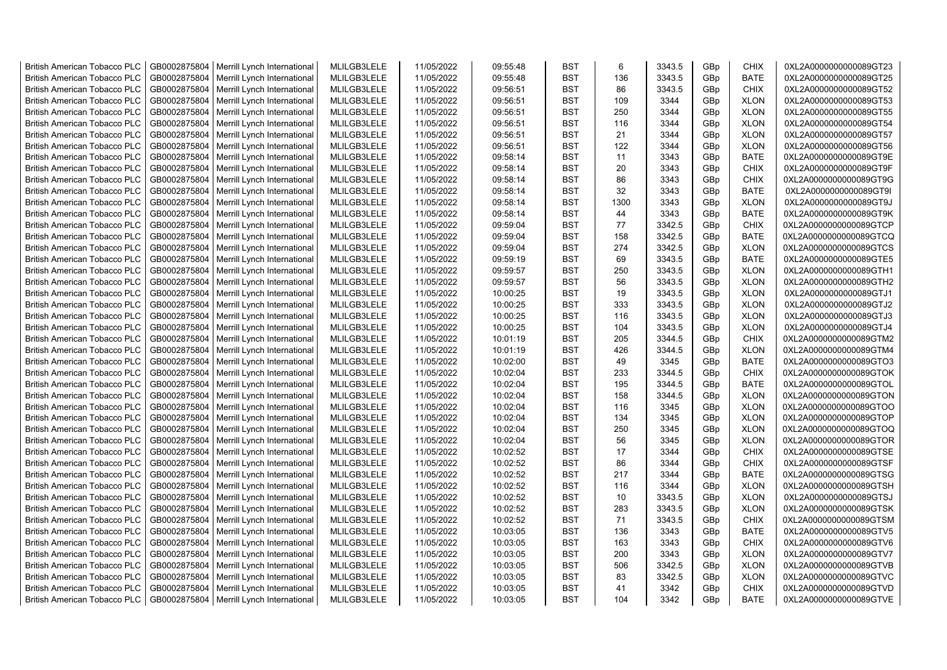| <b>British American Tobacco PLC</b>                                        | GB0002875804                 | Merrill Lynch International                                | MLILGB3LELE                | 11/05/2022               | 09:55:48             | <b>BST</b> | 6    | 3343.5       | GBp        | <b>CHIX</b> | 0XL2A0000000000089GT23                           |
|----------------------------------------------------------------------------|------------------------------|------------------------------------------------------------|----------------------------|--------------------------|----------------------|------------|------|--------------|------------|-------------|--------------------------------------------------|
| <b>British American Tobacco PLC</b>                                        | GB0002875804                 | Merrill Lynch International                                | MLILGB3LELE                | 11/05/2022               | 09:55:48             | <b>BST</b> | 136  | 3343.5       | GBp        | <b>BATE</b> | 0XL2A0000000000089GT25                           |
| <b>British American Tobacco PLC</b>                                        | GB0002875804                 | Merrill Lynch International                                | MLILGB3LELE                | 11/05/2022               | 09:56:51             | <b>BST</b> | 86   | 3343.5       | GBp        | <b>CHIX</b> | 0XL2A0000000000089GT52                           |
| <b>British American Tobacco PLC</b>                                        | GB0002875804                 | Merrill Lynch International                                | MLILGB3LELE                | 11/05/2022               | 09:56:51             | <b>BST</b> | 109  | 3344         | GBp        | <b>XLON</b> | 0XL2A0000000000089GT53                           |
| <b>British American Tobacco PLC</b>                                        | GB0002875804                 | Merrill Lynch International                                | MLILGB3LELE                | 11/05/2022               | 09:56:51             | <b>BST</b> | 250  | 3344         | GBp        | <b>XLON</b> | 0XL2A0000000000089GT55                           |
| <b>British American Tobacco PLC</b>                                        | GB0002875804                 | Merrill Lynch International                                | MLILGB3LELE                | 11/05/2022               | 09:56:51             | <b>BST</b> | 116  | 3344         | GBp        | <b>XLON</b> | 0XL2A0000000000089GT54                           |
| <b>British American Tobacco PLC</b>                                        | GB0002875804                 | Merrill Lynch International                                | MLILGB3LELE                | 11/05/2022               | 09:56:51             | <b>BST</b> | 21   | 3344         | GBp        | <b>XLON</b> | 0XL2A0000000000089GT57                           |
| <b>British American Tobacco PLC</b>                                        | GB0002875804                 | Merrill Lynch International                                | MLILGB3LELE                | 11/05/2022               | 09:56:51             | <b>BST</b> | 122  | 3344         | GBp        | <b>XLON</b> | 0XL2A0000000000089GT56                           |
| <b>British American Tobacco PLC</b>                                        | GB0002875804                 | Merrill Lynch International                                | MLILGB3LELE                | 11/05/2022               | 09:58:14             | <b>BST</b> | 11   | 3343         | GBp        | <b>BATE</b> | 0XL2A0000000000089GT9E                           |
| <b>British American Tobacco PLC</b>                                        | GB0002875804                 | Merrill Lynch International                                | MLILGB3LELE                | 11/05/2022               | 09:58:14             | <b>BST</b> | 20   | 3343         | GBp        | <b>CHIX</b> | 0XL2A0000000000089GT9F                           |
| <b>British American Tobacco PLC</b>                                        | GB0002875804                 | Merrill Lynch International                                | MLILGB3LELE                | 11/05/2022               | 09:58:14             | <b>BST</b> | 86   | 3343         | GBp        | <b>CHIX</b> | 0XL2A0000000000089GT9G                           |
| <b>British American Tobacco PLC</b>                                        | GB0002875804                 | Merrill Lynch International                                | MLILGB3LELE                | 11/05/2022               | 09:58:14             | <b>BST</b> | 32   | 3343         | GBp        | <b>BATE</b> | 0XL2A0000000000089GT9I                           |
| <b>British American Tobacco PLC</b>                                        | GB0002875804                 | Merrill Lynch International                                | MLILGB3LELE                | 11/05/2022               | 09:58:14             | <b>BST</b> | 1300 | 3343         | GBp        | <b>XLON</b> | 0XL2A0000000000089GT9J                           |
| <b>British American Tobacco PLC</b>                                        | GB0002875804                 | Merrill Lynch International                                | MLILGB3LELE                | 11/05/2022               | 09:58:14             | <b>BST</b> | 44   | 3343         | GBp        | <b>BATE</b> | 0XL2A0000000000089GT9K                           |
| British American Tobacco PLC                                               | GB0002875804                 | Merrill Lynch International                                | MLILGB3LELE                | 11/05/2022               | 09:59:04             | <b>BST</b> | 77   | 3342.5       | GBp        | <b>CHIX</b> | 0XL2A0000000000089GTCP                           |
| <b>British American Tobacco PLC</b>                                        | GB0002875804                 | Merrill Lynch International                                | MLILGB3LELE                | 11/05/2022               | 09:59:04             | <b>BST</b> | 158  | 3342.5       | GBp        | <b>BATE</b> | 0XL2A0000000000089GTCQ                           |
| <b>British American Tobacco PLC</b>                                        | GB0002875804                 | Merrill Lynch International                                | MLILGB3LELE                | 11/05/2022               | 09:59:04             | <b>BST</b> | 274  | 3342.5       | GBp        | <b>XLON</b> | 0XL2A0000000000089GTCS                           |
| <b>British American Tobacco PLC</b>                                        | GB0002875804                 | Merrill Lynch International                                | MLILGB3LELE                | 11/05/2022               | 09:59:19             | <b>BST</b> | 69   | 3343.5       | GBp        | <b>BATE</b> | 0XL2A0000000000089GTE5                           |
| <b>British American Tobacco PLC</b>                                        | GB0002875804                 | Merrill Lynch International                                | MLILGB3LELE                | 11/05/2022               | 09:59:57             | <b>BST</b> | 250  | 3343.5       | GBp        | <b>XLON</b> | 0XL2A0000000000089GTH1                           |
| <b>British American Tobacco PLC</b>                                        | GB0002875804                 | Merrill Lynch International                                | MLILGB3LELE                | 11/05/2022               | 09:59:57             | <b>BST</b> | 56   | 3343.5       | GBp        | <b>XLON</b> | 0XL2A0000000000089GTH2                           |
| <b>British American Tobacco PLC</b>                                        | GB0002875804                 | Merrill Lynch International                                | MLILGB3LELE                | 11/05/2022               | 10:00:25             | <b>BST</b> | 19   | 3343.5       | GBp        | <b>XLON</b> | 0XL2A0000000000089GTJ1                           |
| <b>British American Tobacco PLC</b>                                        | GB0002875804                 | Merrill Lynch International                                | MLILGB3LELE                | 11/05/2022               | 10:00:25             | <b>BST</b> | 333  | 3343.5       | GBp        | <b>XLON</b> | 0XL2A0000000000089GTJ2                           |
| <b>British American Tobacco PLC</b>                                        | GB0002875804                 | Merrill Lynch International                                | MLILGB3LELE                | 11/05/2022               | 10:00:25             | <b>BST</b> | 116  | 3343.5       | GBp        | <b>XLON</b> | 0XL2A0000000000089GTJ3                           |
| <b>British American Tobacco PLC</b>                                        | GB0002875804                 | Merrill Lynch International                                | MLILGB3LELE                | 11/05/2022               | 10:00:25             | <b>BST</b> | 104  | 3343.5       | GBp        | <b>XLON</b> | 0XL2A0000000000089GTJ4                           |
| <b>British American Tobacco PLC</b>                                        | GB0002875804                 | Merrill Lynch International                                | MLILGB3LELE                | 11/05/2022               | 10:01:19             | <b>BST</b> | 205  | 3344.5       | GBp        | <b>CHIX</b> | 0XL2A0000000000089GTM2                           |
| <b>British American Tobacco PLC</b>                                        | GB0002875804                 | Merrill Lynch International                                | MLILGB3LELE                | 11/05/2022               | 10:01:19             | <b>BST</b> | 426  | 3344.5       | GBp        | <b>XLON</b> | 0XL2A0000000000089GTM4                           |
| <b>British American Tobacco PLC</b>                                        | GB0002875804                 | Merrill Lynch International                                | MLILGB3LELE                | 11/05/2022               | 10:02:00             | <b>BST</b> | 49   | 3345         | GBp        | <b>BATE</b> | 0XL2A0000000000089GTO3                           |
| British American Tobacco PLC                                               | GB0002875804                 | Merrill Lynch International                                | MLILGB3LELE                | 11/05/2022               | 10:02:04             | <b>BST</b> | 233  | 3344.5       | GBp        | CHIX        | 0XL2A0000000000089GTOK                           |
| <b>British American Tobacco PLC</b>                                        | GB0002875804                 | Merrill Lynch International                                | MLILGB3LELE                | 11/05/2022               | 10:02:04             | <b>BST</b> | 195  | 3344.5       | GBp        | <b>BATE</b> | 0XL2A0000000000089GTOL                           |
| <b>British American Tobacco PLC</b>                                        | GB0002875804                 | Merrill Lynch International                                | MLILGB3LELE                | 11/05/2022               | 10:02:04             | <b>BST</b> | 158  | 3344.5       |            | <b>XLON</b> |                                                  |
| <b>British American Tobacco PLC</b>                                        | GB0002875804                 |                                                            | MLILGB3LELE                | 11/05/2022               | 10:02:04             | <b>BST</b> | 116  | 3345         | GBp<br>GBp | <b>XLON</b> | 0XL2A0000000000089GTON<br>0XL2A0000000000089GTOO |
|                                                                            |                              | Merrill Lynch International                                |                            |                          |                      | <b>BST</b> | 134  |              |            | <b>XLON</b> |                                                  |
| <b>British American Tobacco PLC</b><br><b>British American Tobacco PLC</b> | GB0002875804<br>GB0002875804 | Merrill Lynch International                                | MLILGB3LELE<br>MLILGB3LELE | 11/05/2022<br>11/05/2022 | 10:02:04<br>10:02:04 | <b>BST</b> | 250  | 3345<br>3345 | GBp<br>GBp | <b>XLON</b> | 0XL2A0000000000089GTOP<br>0XL2A0000000000089GTOQ |
|                                                                            | GB0002875804                 | Merrill Lynch International                                | MLILGB3LELE                | 11/05/2022               | 10:02:04             | <b>BST</b> | 56   | 3345         |            | <b>XLON</b> | 0XL2A0000000000089GTOR                           |
| British American Tobacco PLC                                               | GB0002875804                 | Merrill Lynch International                                | MLILGB3LELE                | 11/05/2022               | 10:02:52             | <b>BST</b> | 17   | 3344         | GBp        | <b>CHIX</b> | 0XL2A0000000000089GTSE                           |
| <b>British American Tobacco PLC</b><br><b>British American Tobacco PLC</b> | GB0002875804                 | Merrill Lynch International                                | MLILGB3LELE                | 11/05/2022               | 10:02:52             | <b>BST</b> | 86   | 3344         | GBp<br>GBp | <b>CHIX</b> | 0XL2A0000000000089GTSF                           |
| <b>British American Tobacco PLC</b>                                        | GB0002875804                 | Merrill Lynch International<br>Merrill Lynch International | MLILGB3LELE                | 11/05/2022               | 10:02:52             | <b>BST</b> | 217  | 3344         | GBp        | <b>BATE</b> | 0XL2A0000000000089GTSG                           |
| <b>British American Tobacco PLC</b>                                        | GB0002875804                 | Merrill Lynch International                                | MLILGB3LELE                | 11/05/2022               | 10:02:52             | <b>BST</b> | 116  | 3344         | GBp        | <b>XLON</b> | 0XL2A0000000000089GTSH                           |
|                                                                            | GB0002875804                 |                                                            | MLILGB3LELE                | 11/05/2022               | 10:02:52             | <b>BST</b> | 10   | 3343.5       | GBp        | <b>XLON</b> |                                                  |
| <b>British American Tobacco PLC</b>                                        |                              | Merrill Lynch International                                |                            |                          |                      |            |      |              |            |             | 0XL2A0000000000089GTSJ                           |
| <b>British American Tobacco PLC</b>                                        | GB0002875804                 | Merrill Lynch International                                | MLILGB3LELE                | 11/05/2022               | 10:02:52             | <b>BST</b> | 283  | 3343.5       | GBp        | <b>XLON</b> | 0XL2A0000000000089GTSK                           |
| <b>British American Tobacco PLC</b>                                        | GB0002875804                 | Merrill Lynch International                                | MLILGB3LELE                | 11/05/2022               | 10:02:52             | <b>BST</b> | 71   | 3343.5       | GBp        | <b>CHIX</b> | 0XL2A0000000000089GTSM                           |
| <b>British American Tobacco PLC</b>                                        | GB0002875804                 | Merrill Lynch International                                | MLILGB3LELE                | 11/05/2022               | 10:03:05             | <b>BST</b> | 136  | 3343         | GBp        | <b>BATE</b> | 0XL2A0000000000089GTV5                           |
| <b>British American Tobacco PLC</b>                                        | GB0002875804                 | Merrill Lynch International                                | MLILGB3LELE                | 11/05/2022               | 10:03:05             | <b>BST</b> | 163  | 3343         | GBp        | <b>CHIX</b> | 0XL2A0000000000089GTV6                           |
| British American Tobacco PLC                                               | GB0002875804                 | Merrill Lynch International                                | MLILGB3LELE                | 11/05/2022               | 10:03:05             | <b>BST</b> | 200  | 3343         | GBp        | <b>XLON</b> | 0XL2A0000000000089GTV7                           |
| British American Tobacco PLC                                               | GB0002875804                 | Merrill Lynch International                                | MLILGB3LELE                | 11/05/2022               | 10:03:05             | <b>BST</b> | 506  | 3342.5       | GBp        | <b>XLON</b> | 0XL2A0000000000089GTVB                           |
| <b>British American Tobacco PLC</b>                                        | GB0002875804                 | Merrill Lynch International                                | MLILGB3LELE                | 11/05/2022               | 10:03:05             | <b>BST</b> | 83   | 3342.5       | GBp        | <b>XLON</b> | 0XL2A0000000000089GTVC                           |
| <b>British American Tobacco PLC</b>                                        | GB0002875804                 | Merrill Lynch International                                | MLILGB3LELE                | 11/05/2022               | 10:03:05             | <b>BST</b> | 41   | 3342         | GBp        | <b>CHIX</b> | 0XL2A0000000000089GTVD                           |
| <b>British American Tobacco PLC</b>                                        | GB0002875804                 | Merrill Lynch International                                | MLILGB3LELE                | 11/05/2022               | 10:03:05             | <b>BST</b> | 104  | 3342         | GBp        | <b>BATE</b> | 0XL2A0000000000089GTVE                           |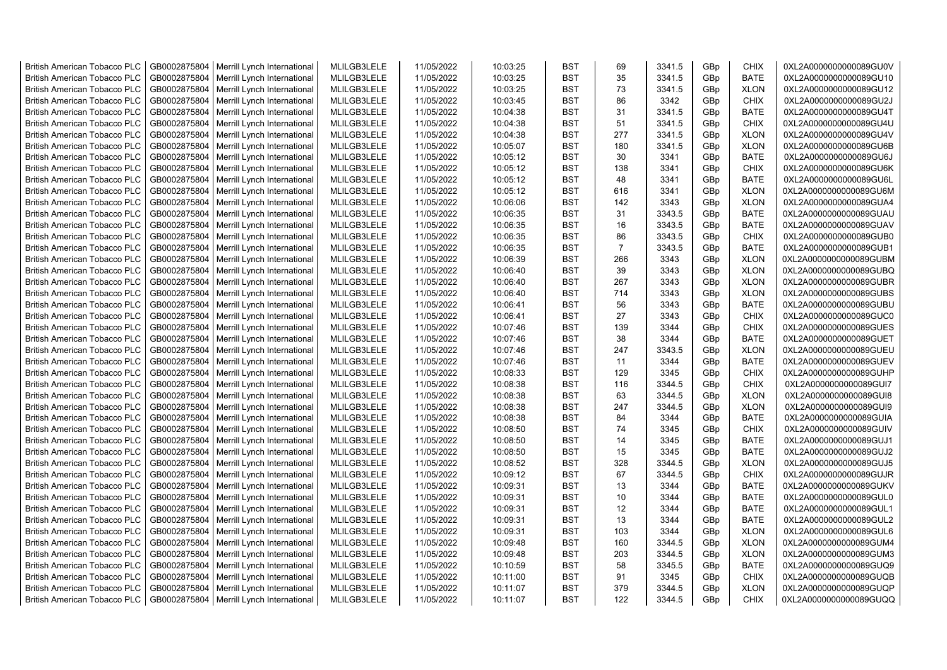| <b>British American Tobacco PLC</b> | GB0002875804 | Merrill Lynch International | MLILGB3LELE | 11/05/2022 | 10:03:25 | <b>BST</b> | 69             | 3341.5 | GBp             | <b>CHIX</b> | 0XL2A0000000000089GU0V |
|-------------------------------------|--------------|-----------------------------|-------------|------------|----------|------------|----------------|--------|-----------------|-------------|------------------------|
| <b>British American Tobacco PLC</b> | GB0002875804 | Merrill Lynch International | MLILGB3LELE | 11/05/2022 | 10:03:25 | <b>BST</b> | 35             | 3341.5 | GBp             | <b>BATE</b> | 0XL2A0000000000089GU10 |
| <b>British American Tobacco PLC</b> | GB0002875804 | Merrill Lynch International | MLILGB3LELE | 11/05/2022 | 10:03:25 | <b>BST</b> | 73             | 3341.5 | GBp             | <b>XLON</b> | 0XL2A0000000000089GU12 |
| <b>British American Tobacco PLC</b> | GB0002875804 | Merrill Lynch International | MLILGB3LELE | 11/05/2022 | 10:03:45 | <b>BST</b> | 86             | 3342   | GBp             | <b>CHIX</b> | 0XL2A0000000000089GU2J |
| <b>British American Tobacco PLC</b> | GB0002875804 | Merrill Lynch International | MLILGB3LELE | 11/05/2022 | 10:04:38 | <b>BST</b> | 31             | 3341.5 | GBp             | <b>BATE</b> | 0XL2A0000000000089GU4T |
| <b>British American Tobacco PLC</b> | GB0002875804 | Merrill Lynch International | MLILGB3LELE | 11/05/2022 | 10:04:38 | <b>BST</b> | 51             | 3341.5 | GBp             | <b>CHIX</b> | 0XL2A0000000000089GU4U |
| British American Tobacco PLC        | GB0002875804 | Merrill Lynch International | MLILGB3LELE | 11/05/2022 | 10:04:38 | <b>BST</b> | 277            | 3341.5 | GBp             | <b>XLON</b> | 0XL2A0000000000089GU4V |
| <b>British American Tobacco PLC</b> | GB0002875804 | Merrill Lynch International | MLILGB3LELE | 11/05/2022 | 10:05:07 | <b>BST</b> | 180            | 3341.5 | GBp             | <b>XLON</b> | 0XL2A0000000000089GU6B |
| <b>British American Tobacco PLC</b> | GB0002875804 | Merrill Lynch International | MLILGB3LELE | 11/05/2022 | 10:05:12 | <b>BST</b> | 30             | 3341   | GBp             | <b>BATE</b> | 0XL2A0000000000089GU6J |
| <b>British American Tobacco PLC</b> | GB0002875804 | Merrill Lynch International | MLILGB3LELE | 11/05/2022 | 10:05:12 | <b>BST</b> | 138            | 3341   | GBp             | <b>CHIX</b> | 0XL2A0000000000089GU6K |
| <b>British American Tobacco PLC</b> | GB0002875804 | Merrill Lynch International | MLILGB3LELE | 11/05/2022 | 10:05:12 | <b>BST</b> | 48             | 3341   | GBp             | <b>BATE</b> | 0XL2A0000000000089GU6L |
| <b>British American Tobacco PLC</b> | GB0002875804 | Merrill Lynch International | MLILGB3LELE | 11/05/2022 | 10:05:12 | <b>BST</b> | 616            | 3341   | GBp             | <b>XLON</b> | 0XL2A0000000000089GU6M |
| <b>British American Tobacco PLC</b> | GB0002875804 | Merrill Lynch International | MLILGB3LELE | 11/05/2022 | 10:06:06 | <b>BST</b> | 142            | 3343   | GBp             | <b>XLON</b> | 0XL2A0000000000089GUA4 |
| <b>British American Tobacco PLC</b> | GB0002875804 | Merrill Lynch International | MLILGB3LELE | 11/05/2022 | 10:06:35 | <b>BST</b> | 31             | 3343.5 | GBp             | <b>BATE</b> | 0XL2A0000000000089GUAU |
| <b>British American Tobacco PLC</b> | GB0002875804 | Merrill Lynch International | MLILGB3LELE | 11/05/2022 | 10:06:35 | <b>BST</b> | 16             | 3343.5 | GBp             | <b>BATE</b> | 0XL2A0000000000089GUAV |
| British American Tobacco PLC        | GB0002875804 | Merrill Lynch International | MLILGB3LELE | 11/05/2022 | 10:06:35 | <b>BST</b> | 86             | 3343.5 | GBp             | <b>CHIX</b> | 0XL2A0000000000089GUB0 |
| British American Tobacco PLC        | GB0002875804 | Merrill Lynch International | MLILGB3LELE | 11/05/2022 | 10:06:35 | <b>BST</b> | $\overline{7}$ | 3343.5 | GBp             | <b>BATE</b> | 0XL2A0000000000089GUB1 |
| <b>British American Tobacco PLC</b> | GB0002875804 | Merrill Lynch International | MLILGB3LELE | 11/05/2022 | 10:06:39 | <b>BST</b> | 266            | 3343   | GBp             | <b>XLON</b> | 0XL2A0000000000089GUBM |
| <b>British American Tobacco PLC</b> | GB0002875804 | Merrill Lynch International | MLILGB3LELE | 11/05/2022 | 10:06:40 | <b>BST</b> | 39             | 3343   | GBp             | <b>XLON</b> | 0XL2A0000000000089GUBQ |
| <b>British American Tobacco PLC</b> | GB0002875804 | Merrill Lynch International | MLILGB3LELE | 11/05/2022 | 10:06:40 | <b>BST</b> | 267            | 3343   | GBp             | <b>XLON</b> | 0XL2A0000000000089GUBR |
| <b>British American Tobacco PLC</b> | GB0002875804 | Merrill Lynch International | MLILGB3LELE | 11/05/2022 | 10:06:40 | <b>BST</b> | 714            | 3343   | GBp             | <b>XLON</b> | 0XL2A0000000000089GUBS |
| <b>British American Tobacco PLC</b> | GB0002875804 | Merrill Lynch International | MLILGB3LELE | 11/05/2022 | 10:06:41 | <b>BST</b> | 56             | 3343   | GB <sub>p</sub> | <b>BATE</b> | 0XL2A0000000000089GUBU |
| British American Tobacco PLC        | GB0002875804 | Merrill Lynch International | MLILGB3LELE | 11/05/2022 | 10:06:41 | <b>BST</b> | 27             | 3343   | GBp             | <b>CHIX</b> | 0XL2A0000000000089GUC0 |
| <b>British American Tobacco PLC</b> | GB0002875804 | Merrill Lynch International | MLILGB3LELE | 11/05/2022 | 10:07:46 | <b>BST</b> | 139            | 3344   | GBp             | <b>CHIX</b> | 0XL2A0000000000089GUES |
| <b>British American Tobacco PLC</b> | GB0002875804 | Merrill Lynch International | MLILGB3LELE | 11/05/2022 | 10:07:46 | <b>BST</b> | 38             | 3344   | GBp             | <b>BATE</b> | 0XL2A0000000000089GUET |
| <b>British American Tobacco PLC</b> | GB0002875804 | Merrill Lynch International | MLILGB3LELE | 11/05/2022 | 10:07:46 | <b>BST</b> | 247            | 3343.5 | GBp             | <b>XLON</b> | 0XL2A0000000000089GUEU |
| <b>British American Tobacco PLC</b> | GB0002875804 | Merrill Lynch International | MLILGB3LELE | 11/05/2022 | 10:07:46 | <b>BST</b> | 11             | 3344   | GBp             | <b>BATE</b> | 0XL2A0000000000089GUEV |
| <b>British American Tobacco PLC</b> | GB0002875804 | Merrill Lynch International | MLILGB3LELE | 11/05/2022 | 10:08:33 | <b>BST</b> | 129            | 3345   | GBp             | <b>CHIX</b> | 0XL2A0000000000089GUHP |
| <b>British American Tobacco PLC</b> | GB0002875804 | Merrill Lynch International | MLILGB3LELE | 11/05/2022 | 10:08:38 | <b>BST</b> | 116            | 3344.5 | GBp             | <b>CHIX</b> | 0XL2A0000000000089GUI7 |
| <b>British American Tobacco PLC</b> | GB0002875804 | Merrill Lynch International | MLILGB3LELE | 11/05/2022 | 10:08:38 | <b>BST</b> | 63             | 3344.5 | GBp             | <b>XLON</b> | 0XL2A0000000000089GUI8 |
| <b>British American Tobacco PLC</b> | GB0002875804 | Merrill Lynch International | MLILGB3LELE | 11/05/2022 | 10:08:38 | <b>BST</b> | 247            | 3344.5 | GBp             | <b>XLON</b> | 0XL2A0000000000089GUI9 |
| <b>British American Tobacco PLC</b> | GB0002875804 | Merrill Lynch International | MLILGB3LELE | 11/05/2022 | 10:08:38 | <b>BST</b> | 84             | 3344   | GBp             | <b>BATE</b> | 0XL2A0000000000089GUIA |
| <b>British American Tobacco PLC</b> | GB0002875804 | Merrill Lynch International | MLILGB3LELE | 11/05/2022 | 10:08:50 | <b>BST</b> | 74             | 3345   | GBp             | <b>CHIX</b> | 0XL2A0000000000089GUIV |
| <b>British American Tobacco PLC</b> | GB0002875804 | Merrill Lynch International | MLILGB3LELE | 11/05/2022 | 10:08:50 | <b>BST</b> | 14             | 3345   | GBp             | <b>BATE</b> | 0XL2A0000000000089GUJ1 |
| <b>British American Tobacco PLC</b> | GB0002875804 | Merrill Lynch International | MLILGB3LELE | 11/05/2022 | 10:08:50 | <b>BST</b> | 15             | 3345   | GBp             | <b>BATE</b> | 0XL2A0000000000089GUJ2 |
| British American Tobacco PLC        | GB0002875804 | Merrill Lynch International | MLILGB3LELE | 11/05/2022 | 10:08:52 | <b>BST</b> | 328            | 3344.5 | GBp             | <b>XLON</b> | 0XL2A0000000000089GUJ5 |
| <b>British American Tobacco PLC</b> | GB0002875804 | Merrill Lynch International | MLILGB3LELE | 11/05/2022 | 10:09:12 | <b>BST</b> | 67             | 3344.5 | GBp             | <b>CHIX</b> | 0XL2A0000000000089GUJR |
| British American Tobacco PLC        | GB0002875804 | Merrill Lynch International | MLILGB3LELE | 11/05/2022 | 10:09:31 | <b>BST</b> | 13             | 3344   | GBp             | <b>BATE</b> | 0XL2A0000000000089GUKV |
| British American Tobacco PLC        | GB0002875804 | Merrill Lynch International | MLILGB3LELE | 11/05/2022 | 10:09:31 | <b>BST</b> | 10             | 3344   | GBp             | <b>BATE</b> | 0XL2A0000000000089GUL0 |
| <b>British American Tobacco PLC</b> | GB0002875804 | Merrill Lynch International | MLILGB3LELE | 11/05/2022 | 10:09:31 | <b>BST</b> | 12             | 3344   | GBp             | <b>BATE</b> | 0XL2A0000000000089GUL1 |
| <b>British American Tobacco PLC</b> | GB0002875804 | Merrill Lynch International | MLILGB3LELE | 11/05/2022 | 10:09:31 | <b>BST</b> | 13             | 3344   | GBp             | <b>BATE</b> | 0XL2A0000000000089GUL2 |
| <b>British American Tobacco PLC</b> | GB0002875804 | Merrill Lynch International | MLILGB3LELE | 11/05/2022 | 10:09:31 | <b>BST</b> | 103            | 3344   | GBp             | <b>XLON</b> | 0XL2A0000000000089GUL6 |
| <b>British American Tobacco PLC</b> | GB0002875804 | Merrill Lynch International | MLILGB3LELE | 11/05/2022 | 10:09:48 | <b>BST</b> | 160            | 3344.5 | GBp             | <b>XLON</b> | 0XL2A0000000000089GUM4 |
| <b>British American Tobacco PLC</b> | GB0002875804 | Merrill Lynch International | MLILGB3LELE | 11/05/2022 | 10:09:48 | <b>BST</b> | 203            | 3344.5 | GBp             | <b>XLON</b> | 0XL2A0000000000089GUM3 |
| <b>British American Tobacco PLC</b> | GB0002875804 | Merrill Lynch International | MLILGB3LELE | 11/05/2022 | 10:10:59 | <b>BST</b> | 58             | 3345.5 | GBp             | <b>BATE</b> | 0XL2A0000000000089GUQ9 |
| <b>British American Tobacco PLC</b> | GB0002875804 | Merrill Lynch International | MLILGB3LELE | 11/05/2022 | 10:11:00 | <b>BST</b> | 91             | 3345   | GBp             | <b>CHIX</b> | 0XL2A0000000000089GUQB |
| <b>British American Tobacco PLC</b> | GB0002875804 | Merrill Lynch International | MLILGB3LELE | 11/05/2022 | 10:11:07 | <b>BST</b> | 379            | 3344.5 | GBp             | <b>XLON</b> | 0XL2A0000000000089GUQP |
| <b>British American Tobacco PLC</b> | GB0002875804 | Merrill Lynch International | MLILGB3LELE | 11/05/2022 | 10:11:07 | <b>BST</b> | 122            | 3344.5 | GB <sub>p</sub> | <b>CHIX</b> | 0XL2A0000000000089GUQQ |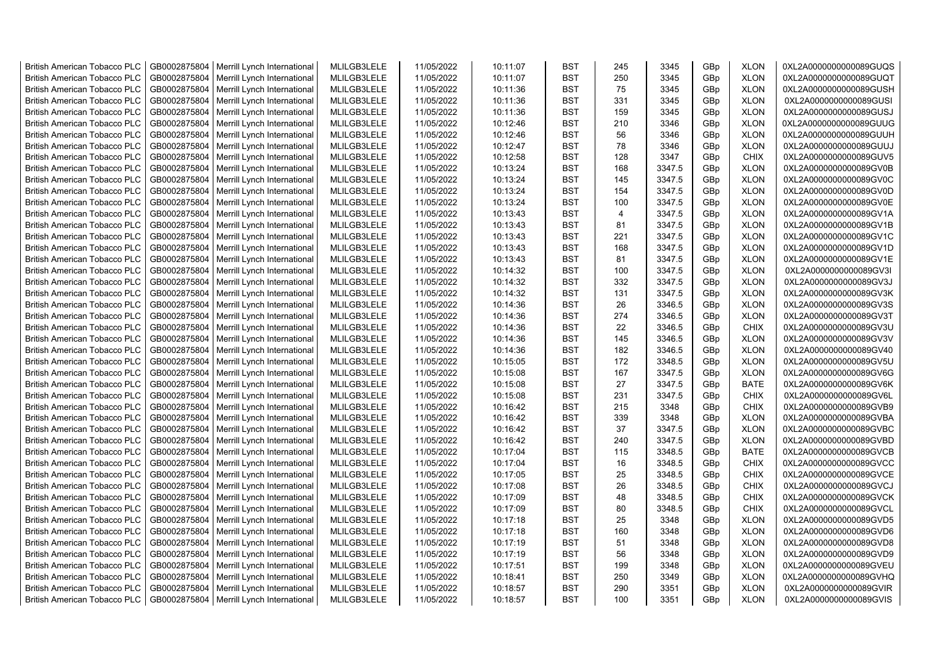| <b>British American Tobacco PLC</b> | GB0002875804 | Merrill Lynch International | MLILGB3LELE | 11/05/2022 | 10:11:07 | <b>BST</b> | 245 | 3345   | GBp             | <b>XLON</b> | 0XL2A0000000000089GUQS |
|-------------------------------------|--------------|-----------------------------|-------------|------------|----------|------------|-----|--------|-----------------|-------------|------------------------|
| <b>British American Tobacco PLC</b> | GB0002875804 | Merrill Lynch International | MLILGB3LELE | 11/05/2022 | 10:11:07 | <b>BST</b> | 250 | 3345   | GBp             | <b>XLON</b> | 0XL2A0000000000089GUQT |
| <b>British American Tobacco PLC</b> | GB0002875804 | Merrill Lynch International | MLILGB3LELE | 11/05/2022 | 10:11:36 | <b>BST</b> | 75  | 3345   | GBp             | <b>XLON</b> | 0XL2A0000000000089GUSH |
| <b>British American Tobacco PLC</b> | GB0002875804 | Merrill Lynch International | MLILGB3LELE | 11/05/2022 | 10:11:36 | <b>BST</b> | 331 | 3345   | GBp             | <b>XLON</b> | 0XL2A0000000000089GUSI |
|                                     | GB0002875804 |                             | MLILGB3LELE | 11/05/2022 | 10:11:36 | <b>BST</b> | 159 | 3345   | GBp             | <b>XLON</b> | 0XL2A0000000000089GUSJ |
| <b>British American Tobacco PLC</b> |              | Merrill Lynch International |             |            |          |            |     |        |                 |             |                        |
| <b>British American Tobacco PLC</b> | GB0002875804 | Merrill Lynch International | MLILGB3LELE | 11/05/2022 | 10:12:46 | <b>BST</b> | 210 | 3346   | GBp             | <b>XLON</b> | 0XL2A0000000000089GUUG |
| <b>British American Tobacco PLC</b> | GB0002875804 | Merrill Lynch International | MLILGB3LELE | 11/05/2022 | 10:12:46 | <b>BST</b> | 56  | 3346   | GBp             | <b>XLON</b> | 0XL2A0000000000089GUUH |
| <b>British American Tobacco PLC</b> | GB0002875804 | Merrill Lynch International | MLILGB3LELE | 11/05/2022 | 10:12:47 | <b>BST</b> | 78  | 3346   | GBp             | <b>XLON</b> | 0XL2A0000000000089GUUJ |
| <b>British American Tobacco PLC</b> | GB0002875804 | Merrill Lynch International | MLILGB3LELE | 11/05/2022 | 10:12:58 | <b>BST</b> | 128 | 3347   | GBp             | <b>CHIX</b> | 0XL2A0000000000089GUV5 |
| British American Tobacco PLC        | GB0002875804 | Merrill Lynch International | MLILGB3LELE | 11/05/2022 | 10:13:24 | <b>BST</b> | 168 | 3347.5 | GBp             | <b>XLON</b> | 0XL2A0000000000089GV0B |
| <b>British American Tobacco PLC</b> | GB0002875804 | Merrill Lynch International | MLILGB3LELE | 11/05/2022 | 10:13:24 | <b>BST</b> | 145 | 3347.5 | GBp             | <b>XLON</b> | 0XL2A0000000000089GV0C |
| <b>British American Tobacco PLC</b> | GB0002875804 | Merrill Lynch International | MLILGB3LELE | 11/05/2022 | 10:13:24 | <b>BST</b> | 154 | 3347.5 | GBp             | <b>XLON</b> | 0XL2A0000000000089GV0D |
| <b>British American Tobacco PLC</b> | GB0002875804 | Merrill Lynch International | MLILGB3LELE | 11/05/2022 | 10:13:24 | <b>BST</b> | 100 | 3347.5 | GBp             | <b>XLON</b> | 0XL2A0000000000089GV0E |
| <b>British American Tobacco PLC</b> | GB0002875804 | Merrill Lynch International | MLILGB3LELE | 11/05/2022 | 10:13:43 | <b>BST</b> | 4   | 3347.5 | GBp             | <b>XLON</b> | 0XL2A0000000000089GV1A |
| <b>British American Tobacco PLC</b> | GB0002875804 | Merrill Lynch International | MLILGB3LELE | 11/05/2022 | 10:13:43 | <b>BST</b> | 81  | 3347.5 | GBp             | <b>XLON</b> | 0XL2A0000000000089GV1B |
| <b>British American Tobacco PLC</b> | GB0002875804 | Merrill Lynch International | MLILGB3LELE | 11/05/2022 | 10:13:43 | <b>BST</b> | 221 | 3347.5 | GBp             | <b>XLON</b> | 0XL2A0000000000089GV1C |
| <b>British American Tobacco PLC</b> | GB0002875804 | Merrill Lynch International | MLILGB3LELE | 11/05/2022 | 10:13:43 | <b>BST</b> | 168 | 3347.5 | GBp             | <b>XLON</b> | 0XL2A0000000000089GV1D |
| <b>British American Tobacco PLC</b> | GB0002875804 | Merrill Lynch International | MLILGB3LELE | 11/05/2022 | 10:13:43 | <b>BST</b> | 81  | 3347.5 | GBp             | <b>XLON</b> | 0XL2A0000000000089GV1E |
| <b>British American Tobacco PLC</b> | GB0002875804 | Merrill Lynch International | MLILGB3LELE | 11/05/2022 | 10:14:32 | <b>BST</b> | 100 | 3347.5 | GBp             | <b>XLON</b> | 0XL2A0000000000089GV3I |
| <b>British American Tobacco PLC</b> | GB0002875804 | Merrill Lynch International | MLILGB3LELE | 11/05/2022 | 10:14:32 | <b>BST</b> | 332 | 3347.5 | GBp             | <b>XLON</b> | 0XL2A0000000000089GV3J |
| British American Tobacco PLC        | GB0002875804 | Merrill Lynch International | MLILGB3LELE | 11/05/2022 | 10:14:32 | <b>BST</b> | 131 | 3347.5 | GBp             | <b>XLON</b> | 0XL2A0000000000089GV3K |
| <b>British American Tobacco PLC</b> | GB0002875804 | Merrill Lynch International | MLILGB3LELE | 11/05/2022 | 10:14:36 | <b>BST</b> | 26  | 3346.5 | GB <sub>p</sub> | <b>XLON</b> | 0XL2A0000000000089GV3S |
| <b>British American Tobacco PLC</b> | GB0002875804 | Merrill Lynch International | MLILGB3LELE | 11/05/2022 | 10:14:36 | <b>BST</b> | 274 | 3346.5 | GBp             | <b>XLON</b> | 0XL2A0000000000089GV3T |
| <b>British American Tobacco PLC</b> | GB0002875804 | Merrill Lynch International | MLILGB3LELE | 11/05/2022 | 10:14:36 | <b>BST</b> | 22  | 3346.5 | GBp             | <b>CHIX</b> | 0XL2A0000000000089GV3U |
| <b>British American Tobacco PLC</b> | GB0002875804 | Merrill Lynch International | MLILGB3LELE | 11/05/2022 | 10:14:36 | <b>BST</b> | 145 | 3346.5 | GBp             | <b>XLON</b> | 0XL2A0000000000089GV3V |
| <b>British American Tobacco PLC</b> | GB0002875804 | Merrill Lynch International | MLILGB3LELE | 11/05/2022 | 10:14:36 | <b>BST</b> | 182 | 3346.5 | GBp             | <b>XLON</b> | 0XL2A0000000000089GV40 |
| <b>British American Tobacco PLC</b> | GB0002875804 | Merrill Lynch International | MLILGB3LELE | 11/05/2022 | 10:15:05 | <b>BST</b> | 172 | 3348.5 | GBp             | <b>XLON</b> | 0XL2A0000000000089GV5U |
| British American Tobacco PLC        | GB0002875804 | Merrill Lynch International | MLILGB3LELE | 11/05/2022 | 10:15:08 | <b>BST</b> | 167 | 3347.5 | GBp             | <b>XLON</b> | 0XL2A0000000000089GV6G |
| <b>British American Tobacco PLC</b> | GB0002875804 | Merrill Lynch International | MLILGB3LELE | 11/05/2022 | 10:15:08 | <b>BST</b> | 27  | 3347.5 | GBp             | <b>BATE</b> | 0XL2A0000000000089GV6K |
| <b>British American Tobacco PLC</b> | GB0002875804 | Merrill Lynch International | MLILGB3LELE | 11/05/2022 | 10:15:08 | <b>BST</b> | 231 | 3347.5 | GBp             | <b>CHIX</b> | 0XL2A0000000000089GV6L |
| <b>British American Tobacco PLC</b> | GB0002875804 | Merrill Lynch International | MLILGB3LELE | 11/05/2022 | 10:16:42 | <b>BST</b> | 215 | 3348   | GBp             | <b>CHIX</b> | 0XL2A0000000000089GVB9 |
| <b>British American Tobacco PLC</b> |              |                             |             |            |          | <b>BST</b> | 339 |        |                 |             |                        |
|                                     | GB0002875804 | Merrill Lynch International | MLILGB3LELE | 11/05/2022 | 10:16:42 |            |     | 3348   | GBp             | <b>XLON</b> | 0XL2A0000000000089GVBA |
| <b>British American Tobacco PLC</b> | GB0002875804 | Merrill Lynch International | MLILGB3LELE | 11/05/2022 | 10:16:42 | <b>BST</b> | 37  | 3347.5 | GBp             | <b>XLON</b> | 0XL2A0000000000089GVBC |
| British American Tobacco PLC        | GB0002875804 | Merrill Lynch International | MLILGB3LELE | 11/05/2022 | 10:16:42 | <b>BST</b> | 240 | 3347.5 | GBp             | <b>XLON</b> | 0XL2A0000000000089GVBD |
| <b>British American Tobacco PLC</b> | GB0002875804 | Merrill Lynch International | MLILGB3LELE | 11/05/2022 | 10:17:04 | <b>BST</b> | 115 | 3348.5 | GBp             | <b>BATE</b> | 0XL2A0000000000089GVCB |
| <b>British American Tobacco PLC</b> | GB0002875804 | Merrill Lynch International | MLILGB3LELE | 11/05/2022 | 10:17:04 | <b>BST</b> | 16  | 3348.5 | GBp             | <b>CHIX</b> | 0XL2A0000000000089GVCC |
| <b>British American Tobacco PLC</b> | GB0002875804 | Merrill Lynch International | MLILGB3LELE | 11/05/2022 | 10:17:05 | <b>BST</b> | 25  | 3348.5 | GBp             | <b>CHIX</b> | 0XL2A0000000000089GVCE |
| <b>British American Tobacco PLC</b> | GB0002875804 | Merrill Lynch International | MLILGB3LELE | 11/05/2022 | 10:17:08 | <b>BST</b> | 26  | 3348.5 | GBp             | <b>CHIX</b> | 0XL2A0000000000089GVCJ |
| <b>British American Tobacco PLC</b> | GB0002875804 | Merrill Lynch International | MLILGB3LELE | 11/05/2022 | 10:17:09 | <b>BST</b> | 48  | 3348.5 | GBp             | <b>CHIX</b> | 0XL2A0000000000089GVCK |
| <b>British American Tobacco PLC</b> | GB0002875804 | Merrill Lynch International | MLILGB3LELE | 11/05/2022 | 10:17:09 | <b>BST</b> | 80  | 3348.5 | GBp             | <b>CHIX</b> | 0XL2A0000000000089GVCL |
| <b>British American Tobacco PLC</b> | GB0002875804 | Merrill Lynch International | MLILGB3LELE | 11/05/2022 | 10:17:18 | <b>BST</b> | 25  | 3348   | GBp             | <b>XLON</b> | 0XL2A0000000000089GVD5 |
| <b>British American Tobacco PLC</b> | GB0002875804 | Merrill Lynch International | MLILGB3LELE | 11/05/2022 | 10:17:18 | <b>BST</b> | 160 | 3348   | GBp             | <b>XLON</b> | 0XL2A0000000000089GVD6 |
| <b>British American Tobacco PLC</b> | GB0002875804 | Merrill Lynch International | MLILGB3LELE | 11/05/2022 | 10:17:19 | <b>BST</b> | 51  | 3348   | GBp             | <b>XLON</b> | 0XL2A0000000000089GVD8 |
| British American Tobacco PLC        | GB0002875804 | Merrill Lynch International | MLILGB3LELE | 11/05/2022 | 10:17:19 | <b>BST</b> | 56  | 3348   | GBp             | <b>XLON</b> | 0XL2A0000000000089GVD9 |
| British American Tobacco PLC        | GB0002875804 | Merrill Lynch International | MLILGB3LELE | 11/05/2022 | 10:17:51 | <b>BST</b> | 199 | 3348   | GBp             | <b>XLON</b> | 0XL2A0000000000089GVEU |
| <b>British American Tobacco PLC</b> | GB0002875804 | Merrill Lynch International | MLILGB3LELE | 11/05/2022 | 10:18:41 | <b>BST</b> | 250 | 3349   | GBp             | <b>XLON</b> | 0XL2A0000000000089GVHQ |
| <b>British American Tobacco PLC</b> | GB0002875804 | Merrill Lynch International | MLILGB3LELE | 11/05/2022 | 10:18:57 | <b>BST</b> | 290 | 3351   | GBp             | <b>XLON</b> | 0XL2A0000000000089GVIR |
| <b>British American Tobacco PLC</b> | GB0002875804 | Merrill Lynch International | MLILGB3LELE | 11/05/2022 | 10:18:57 | <b>BST</b> | 100 | 3351   | GB <sub>p</sub> | <b>XLON</b> | 0XL2A0000000000089GVIS |